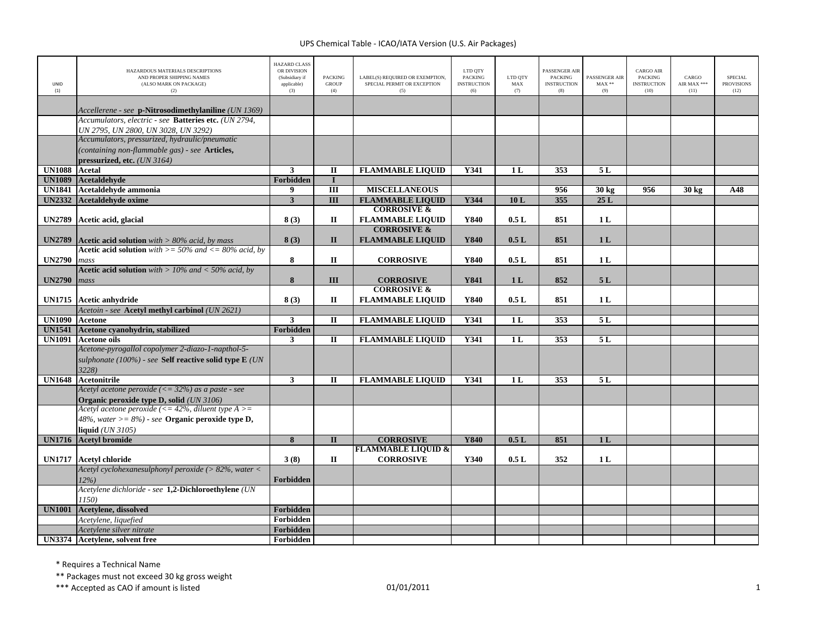| <b>UNID</b><br>(1) | HAZARDOUS MATERIALS DESCRIPTIONS<br>AND PROPER SHIPPING NAMES<br>(ALSO MARK ON PACKAGE)<br>(2) | <b>HAZARD CLASS</b><br>OR DIVISION<br>(Subsidiary if<br>applicable)<br>(3) | <b>PACKING</b><br><b>GROUP</b><br>(4) | LABEL(S) REQUIRED OR EXEMPTION,<br>SPECIAL PERMIT OR EXCEPTION<br>(5) | LTD QTY<br><b>PACKING</b><br><b>INSTRUCTION</b><br>(6) | LTD QTY<br>MAX<br>(7) | <b>PASSENGER AIR</b><br><b>PACKING</b><br><b>INSTRUCTION</b><br>(8) | PASSENGER AIR<br>$MAX**$<br>(9) | <b>CARGO AIR</b><br><b>PACKING</b><br><b>INSTRUCTION</b><br>(10) | CARGO<br>AIR MAX ***<br>(11) | <b>SPECIAL</b><br><b>PROVISIONS</b><br>(12) |
|--------------------|------------------------------------------------------------------------------------------------|----------------------------------------------------------------------------|---------------------------------------|-----------------------------------------------------------------------|--------------------------------------------------------|-----------------------|---------------------------------------------------------------------|---------------------------------|------------------------------------------------------------------|------------------------------|---------------------------------------------|
|                    | Accellerene - see p-Nitrosodimethylaniline (UN 1369)                                           |                                                                            |                                       |                                                                       |                                                        |                       |                                                                     |                                 |                                                                  |                              |                                             |
|                    | Accumulators, electric - see Batteries etc. (UN 2794,<br>UN 2795, UN 2800, UN 3028, UN 3292)   |                                                                            |                                       |                                                                       |                                                        |                       |                                                                     |                                 |                                                                  |                              |                                             |
|                    | Accumulators, pressurized, hydraulic/pneumatic                                                 |                                                                            |                                       |                                                                       |                                                        |                       |                                                                     |                                 |                                                                  |                              |                                             |
|                    | (containing non-flammable gas) - see Articles,<br>pressurized, etc. (UN 3164)                  |                                                                            |                                       |                                                                       |                                                        |                       |                                                                     |                                 |                                                                  |                              |                                             |
| <b>UN1088</b>      | Acetal                                                                                         | 3                                                                          | $\mathbf{I}$                          | <b>FLAMMABLE LIQUID</b>                                               | Y341                                                   | 1 <sub>L</sub>        | 353                                                                 | 5L                              |                                                                  |                              |                                             |
| <b>UN1089</b>      | <b>Acetaldehyde</b>                                                                            | Forbidden                                                                  | $\mathbf I$                           |                                                                       |                                                        |                       |                                                                     |                                 |                                                                  |                              |                                             |
| <b>UN1841</b>      | Acetaldehyde ammonia                                                                           | 9                                                                          | $\overline{\mathbf{H}}$               | <b>MISCELLANEOUS</b>                                                  |                                                        |                       | 956                                                                 | 30 kg                           | 956                                                              | $30 \text{ kg}$              | A48                                         |
| <b>UN2332</b>      | Acetaldehyde oxime                                                                             | $\overline{\mathbf{3}}$                                                    | $\overline{III}$                      | <b>FLAMMABLE LIQUID</b>                                               | Y344                                                   | 10L                   | 355                                                                 | 25L                             |                                                                  |                              |                                             |
|                    |                                                                                                |                                                                            |                                       | <b>CORROSIVE &amp;</b>                                                |                                                        |                       |                                                                     |                                 |                                                                  |                              |                                             |
| <b>UN2789</b>      | Acetic acid, glacial                                                                           | 8(3)                                                                       | П                                     | <b>FLAMMABLE LIQUID</b>                                               | Y840                                                   | 0.5L                  | 851                                                                 | 1 <sub>L</sub>                  |                                                                  |                              |                                             |
|                    |                                                                                                |                                                                            |                                       | <b>CORROSIVE &amp;</b>                                                |                                                        |                       |                                                                     |                                 |                                                                  |                              |                                             |
| <b>UN2789</b>      | <b>Acetic acid solution</b> with $> 80\%$ acid, by mass                                        | 8(3)                                                                       | $\mathbf{I}$                          | <b>FLAMMABLE LIQUID</b>                                               | Y840                                                   | 0.5L                  | 851                                                                 | 1 <sub>L</sub>                  |                                                                  |                              |                                             |
| <b>UN2790</b>      | <b>Acetic acid solution</b> with $\geq$ 50% and $\lt$ = 80% acid, by                           | 8                                                                          | $\Pi$                                 | <b>CORROSIVE</b>                                                      | Y840                                                   | 0.5L                  | 851                                                                 | 1 <sub>L</sub>                  |                                                                  |                              |                                             |
|                    | mass<br><b>Acetic acid solution</b> with $> 10\%$ and $< 50\%$ acid, by                        |                                                                            |                                       |                                                                       |                                                        |                       |                                                                     |                                 |                                                                  |                              |                                             |
| <b>UN2790</b>      | mass                                                                                           | 8                                                                          | III                                   | <b>CORROSIVE</b>                                                      | Y841                                                   | 1 <sub>L</sub>        | 852                                                                 | 5L                              |                                                                  |                              |                                             |
|                    |                                                                                                |                                                                            |                                       | <b>CORROSIVE &amp;</b>                                                |                                                        |                       |                                                                     |                                 |                                                                  |                              |                                             |
| <b>UN1715</b>      | Acetic anhydride                                                                               | 8(3)                                                                       | П                                     | <b>FLAMMABLE LIQUID</b>                                               | Y840                                                   | 0.5L                  | 851                                                                 | 1 <sub>L</sub>                  |                                                                  |                              |                                             |
|                    | Acetoin - see Acetyl methyl carbinol (UN 2621)                                                 |                                                                            |                                       |                                                                       |                                                        |                       |                                                                     |                                 |                                                                  |                              |                                             |
| <b>UN1090</b>      | <b>Acetone</b>                                                                                 | 3                                                                          | $\mathbf{I}$                          | <b>FLAMMABLE LIQUID</b>                                               | Y341                                                   | 1L                    | 353                                                                 | 5L                              |                                                                  |                              |                                             |
| <b>UN1541</b>      | Acetone cyanohydrin, stabilized                                                                | Forbidden                                                                  |                                       |                                                                       |                                                        |                       |                                                                     |                                 |                                                                  |                              |                                             |
| <b>UN1091</b>      | <b>Acetone oils</b>                                                                            | $\mathbf{3}$                                                               | П                                     | <b>FLAMMABLE LIQUID</b>                                               | Y341                                                   | 1 <sub>L</sub>        | 353                                                                 | 5 L                             |                                                                  |                              |                                             |
|                    | Acetone-pyrogallol copolymer 2-diazo-1-napthol-5-                                              |                                                                            |                                       |                                                                       |                                                        |                       |                                                                     |                                 |                                                                  |                              |                                             |
|                    | sulphonate (100%) - see Self reactive solid type E (UN                                         |                                                                            |                                       |                                                                       |                                                        |                       |                                                                     |                                 |                                                                  |                              |                                             |
|                    | 3228)                                                                                          |                                                                            |                                       |                                                                       |                                                        |                       |                                                                     |                                 |                                                                  |                              |                                             |
| <b>UN1648</b>      | <b>Acetonitrile</b><br>Acetyl acetone peroxide $(<=32\%)$ as a paste - see                     | $\mathbf{3}$                                                               | $\mathbf{I}$                          | <b>FLAMMABLE LIQUID</b>                                               | Y341                                                   | 1L                    | 353                                                                 | 5L                              |                                                                  |                              |                                             |
|                    | Organic peroxide type D, solid (UN 3106)                                                       |                                                                            |                                       |                                                                       |                                                        |                       |                                                                     |                                 |                                                                  |                              |                                             |
|                    | Acetyl acetone peroxide (<= 42%, diluent type $A >=$                                           |                                                                            |                                       |                                                                       |                                                        |                       |                                                                     |                                 |                                                                  |                              |                                             |
|                    | 48%, water $>= 8\%$ ) - see <b>Organic peroxide type D</b> ,                                   |                                                                            |                                       |                                                                       |                                                        |                       |                                                                     |                                 |                                                                  |                              |                                             |
|                    | liquid $(UN 3105)$                                                                             |                                                                            |                                       |                                                                       |                                                        |                       |                                                                     |                                 |                                                                  |                              |                                             |
|                    | UN1716 Acetyl bromide                                                                          | $\overline{\mathbf{8}}$                                                    | $\overline{\mathbf{H}}$               | <b>CORROSIVE</b>                                                      | <b>Y840</b>                                            | 0.5L                  | 851                                                                 | 1L                              |                                                                  |                              |                                             |
|                    | UN1717 Acetyl chloride                                                                         | 3(8)                                                                       | $\mathbf{I}$                          | <b>FLAMMABLE LIQUID &amp;</b><br><b>CORROSIVE</b>                     | Y340                                                   | 0.5L                  | 352                                                                 | 1L                              |                                                                  |                              |                                             |
|                    | Acetyl cyclohexanesulphonyl peroxide (> 82%, water <                                           |                                                                            |                                       |                                                                       |                                                        |                       |                                                                     |                                 |                                                                  |                              |                                             |
|                    | $12\%)$                                                                                        | Forbidden                                                                  |                                       |                                                                       |                                                        |                       |                                                                     |                                 |                                                                  |                              |                                             |
|                    | Acetylene dichloride - see 1,2-Dichloroethylene (UN<br>1150)                                   |                                                                            |                                       |                                                                       |                                                        |                       |                                                                     |                                 |                                                                  |                              |                                             |
| <b>UN1001</b>      | <b>Acetylene, dissolved</b>                                                                    | Forbidden                                                                  |                                       |                                                                       |                                                        |                       |                                                                     |                                 |                                                                  |                              |                                             |
|                    | Acetylene, liauefied                                                                           | Forbidden                                                                  |                                       |                                                                       |                                                        |                       |                                                                     |                                 |                                                                  |                              |                                             |
|                    | Acetylene silver nitrate                                                                       | Forbidden                                                                  |                                       |                                                                       |                                                        |                       |                                                                     |                                 |                                                                  |                              |                                             |
|                    | UN3374 Acetylene, solvent free                                                                 | Forbidden                                                                  |                                       |                                                                       |                                                        |                       |                                                                     |                                 |                                                                  |                              |                                             |

\* Requires <sup>a</sup> Technical Name

\*\* Packages must not exceed 30 kg gross weight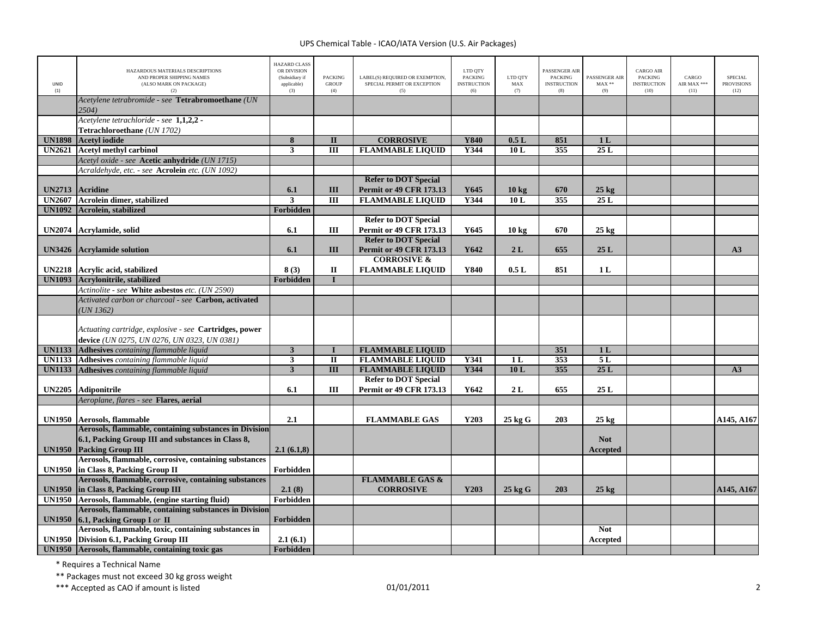| <b>UNID</b><br>(1) | HAZARDOUS MATERIALS DESCRIPTIONS<br>AND PROPER SHIPPING NAMES<br>(ALSO MARK ON PACKAGE)<br>(2)         | HAZARD CLASS<br>OR DIVISION<br>(Subsidiary if<br>applicable)<br>(3) | <b>PACKING</b><br><b>GROUP</b><br>(4) | LABEL(S) REQUIRED OR EXEMPTION,<br>SPECIAL PERMIT OR EXCEPTION<br>(5) | LTD QTY<br><b>PACKING</b><br><b>INSTRUCTION</b><br>(6) | LTD QTY<br>MAX<br>(7) | PASSENGER AIR<br><b>PACKING</b><br><b>INSTRUCTION</b><br>(8) | PASSENGER AIR<br>$MAX**$<br>(9) | <b>CARGO AIR</b><br>PACKING<br><b>INSTRUCTION</b><br>(10) | CARGO<br>AIR MAX ***<br>(11) | <b>SPECIAL</b><br><b>PROVISIONS</b><br>(12) |
|--------------------|--------------------------------------------------------------------------------------------------------|---------------------------------------------------------------------|---------------------------------------|-----------------------------------------------------------------------|--------------------------------------------------------|-----------------------|--------------------------------------------------------------|---------------------------------|-----------------------------------------------------------|------------------------------|---------------------------------------------|
|                    | Acetylene tetrabromide - see Tetrabromoethane (UN<br>2504)                                             |                                                                     |                                       |                                                                       |                                                        |                       |                                                              |                                 |                                                           |                              |                                             |
|                    | Acetylene tetrachloride - see 1,1,2,2 -                                                                |                                                                     |                                       |                                                                       |                                                        |                       |                                                              |                                 |                                                           |                              |                                             |
|                    | Tetrachloroethane (UN 1702)                                                                            |                                                                     |                                       |                                                                       |                                                        |                       |                                                              |                                 |                                                           |                              |                                             |
| <b>UN1898</b>      | <b>Acetyl</b> iodide                                                                                   | $\overline{\mathbf{8}}$                                             | $\overline{\mathbf{u}}$               | <b>CORROSIVE</b>                                                      | <b>Y840</b>                                            | 0.5L                  | 851                                                          | 1 <sub>L</sub>                  |                                                           |                              |                                             |
| <b>UN2621</b>      | <b>Acetyl methyl carbinol</b>                                                                          | $\mathbf{3}$                                                        | III                                   | <b>FLAMMABLE LIQUID</b>                                               | Y344                                                   | 10L                   | 355                                                          | 25L                             |                                                           |                              |                                             |
|                    | Acetyl oxide - see Acetic anhydride (UN 1715)                                                          |                                                                     |                                       |                                                                       |                                                        |                       |                                                              |                                 |                                                           |                              |                                             |
|                    | Acraldehyde, etc. - see Acrolein etc. (UN 1092)                                                        |                                                                     |                                       |                                                                       |                                                        |                       |                                                              |                                 |                                                           |                              |                                             |
|                    |                                                                                                        |                                                                     |                                       | <b>Refer to DOT Special</b>                                           |                                                        |                       |                                                              |                                 |                                                           |                              |                                             |
| <b>UN2713</b>      | <b>Acridine</b>                                                                                        | 6.1<br>3                                                            | III                                   | <b>Permit or 49 CFR 173.13</b>                                        | Y645<br>Y344                                           | 10 <sub>kg</sub>      | 670                                                          | $25 \text{ kg}$<br>25L          |                                                           |                              |                                             |
| <b>UN2607</b>      | Acrolein dimer, stabilized                                                                             |                                                                     | Ш                                     | <b>FLAMMABLE LIQUID</b>                                               |                                                        | 10L                   | 355                                                          |                                 |                                                           |                              |                                             |
| <b>UN1092</b>      | <b>Acrolein, stabilized</b>                                                                            | <b>Forbidden</b>                                                    |                                       | <b>Refer to DOT Special</b>                                           |                                                        |                       |                                                              |                                 |                                                           |                              |                                             |
|                    |                                                                                                        |                                                                     |                                       |                                                                       |                                                        |                       |                                                              |                                 |                                                           |                              |                                             |
| <b>UN2074</b>      | Acrylamide, solid                                                                                      | 6.1                                                                 | III                                   | <b>Permit or 49 CFR 173.13</b><br><b>Refer to DOT Special</b>         | Y645                                                   | $10 \text{ kg}$       | 670                                                          | $25 \text{ kg}$                 |                                                           |                              |                                             |
|                    |                                                                                                        | 6.1                                                                 | III                                   | <b>Permit or 49 CFR 173.13</b>                                        | Y642                                                   | 2L                    | 655                                                          | 25L                             |                                                           |                              | A3                                          |
| <b>UN3426</b>      | <b>Acrylamide solution</b>                                                                             |                                                                     |                                       | <b>CORROSIVE &amp;</b>                                                |                                                        |                       |                                                              |                                 |                                                           |                              |                                             |
| <b>UN2218</b>      | Acrylic acid, stabilized                                                                               | 8(3)                                                                | $\mathbf{I}$                          |                                                                       | Y840                                                   | 0.5L                  | 851                                                          | 1 <sub>L</sub>                  |                                                           |                              |                                             |
| <b>UN1093</b>      | Acrylonitrile, stabilized                                                                              | <b>Forbidden</b>                                                    | $\mathbf{I}$                          | <b>FLAMMABLE LIQUID</b>                                               |                                                        |                       |                                                              |                                 |                                                           |                              |                                             |
|                    |                                                                                                        |                                                                     |                                       |                                                                       |                                                        |                       |                                                              |                                 |                                                           |                              |                                             |
|                    | Actinolite - see White asbestos etc. (UN 2590)<br>Activated carbon or charcoal - see Carbon, activated |                                                                     |                                       |                                                                       |                                                        |                       |                                                              |                                 |                                                           |                              |                                             |
|                    |                                                                                                        |                                                                     |                                       |                                                                       |                                                        |                       |                                                              |                                 |                                                           |                              |                                             |
|                    | UN 1362)                                                                                               |                                                                     |                                       |                                                                       |                                                        |                       |                                                              |                                 |                                                           |                              |                                             |
|                    | Actuating cartridge, explosive - see Cartridges, power                                                 |                                                                     |                                       |                                                                       |                                                        |                       |                                                              |                                 |                                                           |                              |                                             |
|                    | device (UN 0275, UN 0276, UN 0323, UN 0381)                                                            |                                                                     |                                       |                                                                       |                                                        |                       |                                                              |                                 |                                                           |                              |                                             |
| <b>UN1133</b>      | Adhesives containing flammable liquid                                                                  | $\overline{\mathbf{3}}$                                             |                                       | <b>FLAMMABLE LIQUID</b>                                               |                                                        |                       | 351                                                          | 1L                              |                                                           |                              |                                             |
| <b>UN1133</b>      | Adhesives containing flammable liquid                                                                  | $\mathbf{3}$                                                        | $\rm II$                              | <b>FLAMMABLE LIQUID</b>                                               | Y341                                                   | 1 <sub>L</sub>        | 353                                                          | 5L                              |                                                           |                              |                                             |
| <b>UN1133</b>      | Adhesives containing flammable liquid                                                                  | $\mathbf{3}$                                                        | III                                   | <b>FLAMMABLE LIQUID</b>                                               | Y344                                                   | 10L                   | 355                                                          | 25L                             |                                                           |                              | A3                                          |
|                    |                                                                                                        |                                                                     |                                       | <b>Refer to DOT Special</b>                                           |                                                        |                       |                                                              |                                 |                                                           |                              |                                             |
| <b>UN2205</b>      | Adiponitrile                                                                                           | 6.1                                                                 | III                                   | <b>Permit or 49 CFR 173.13</b>                                        | Y642                                                   | 2L                    | 655                                                          | 25 L                            |                                                           |                              |                                             |
|                    | Aeroplane, flares - see Flares, aerial                                                                 |                                                                     |                                       |                                                                       |                                                        |                       |                                                              |                                 |                                                           |                              |                                             |
|                    |                                                                                                        |                                                                     |                                       |                                                                       |                                                        |                       |                                                              |                                 |                                                           |                              |                                             |
| <b>UN1950</b>      | Aerosols, flammable                                                                                    | 2.1                                                                 |                                       | <b>FLAMMABLE GAS</b>                                                  | Y203                                                   | 25 kg G               | 203                                                          | $25 \text{ kg}$                 |                                                           |                              | A145, A167                                  |
|                    | <b>Aerosols, flammable, containing substances in Division</b>                                          |                                                                     |                                       |                                                                       |                                                        |                       |                                                              |                                 |                                                           |                              |                                             |
|                    | 6.1, Packing Group III and substances in Class 8,                                                      |                                                                     |                                       |                                                                       |                                                        |                       |                                                              | <b>Not</b>                      |                                                           |                              |                                             |
| <b>UN1950</b>      | <b>Packing Group III</b>                                                                               | 2.1(6.1,8)                                                          |                                       |                                                                       |                                                        |                       |                                                              | <b>Accepted</b>                 |                                                           |                              |                                             |
|                    | Aerosols, flammable, corrosive, containing substances                                                  |                                                                     |                                       |                                                                       |                                                        |                       |                                                              |                                 |                                                           |                              |                                             |
| <b>UN1950</b>      | in Class 8, Packing Group II                                                                           | Forbidden                                                           |                                       |                                                                       |                                                        |                       |                                                              |                                 |                                                           |                              |                                             |
|                    | Aerosols, flammable, corrosive, containing substances                                                  |                                                                     |                                       | <b>FLAMMABLE GAS &amp;</b>                                            |                                                        |                       |                                                              |                                 |                                                           |                              |                                             |
| <b>UN1950</b>      | in Class 8, Packing Group III                                                                          | 2.1(8)                                                              |                                       | <b>CORROSIVE</b>                                                      | Y203                                                   | 25 kg G               | 203                                                          | $25 \text{ kg}$                 |                                                           |                              | A145, A167                                  |
| <b>UN1950</b>      | Aerosols, flammable, (engine starting fluid)                                                           | Forbidden                                                           |                                       |                                                                       |                                                        |                       |                                                              |                                 |                                                           |                              |                                             |
|                    | Aerosols, flammable, containing substances in Division                                                 |                                                                     |                                       |                                                                       |                                                        |                       |                                                              |                                 |                                                           |                              |                                             |
| <b>UN1950</b>      | 6.1, Packing Group I or II                                                                             | Forbidden                                                           |                                       |                                                                       |                                                        |                       |                                                              |                                 |                                                           |                              |                                             |
|                    | Aerosols, flammable, toxic, containing substances in                                                   |                                                                     |                                       |                                                                       |                                                        |                       |                                                              | <b>Not</b>                      |                                                           |                              |                                             |
|                    | <b>UN1950</b> Division 6.1, Packing Group III                                                          | 2.1(6.1)                                                            |                                       |                                                                       |                                                        |                       |                                                              | Accepted                        |                                                           |                              |                                             |
|                    | UN1950 Aerosols, flammable, containing toxic gas                                                       | Forbidden                                                           |                                       |                                                                       |                                                        |                       |                                                              |                                 |                                                           |                              |                                             |

\* Requires <sup>a</sup> Technical Name

\*\* Packages must not exceed 30 kg gross weight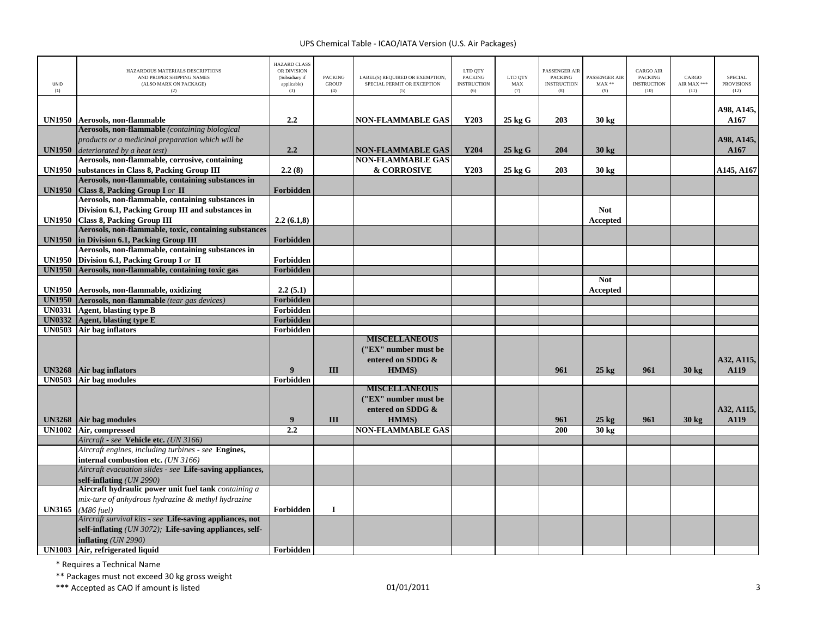| <b>UNID</b><br>(1) | HAZARDOUS MATERIALS DESCRIPTIONS<br>AND PROPER SHIPPING NAMES<br>(ALSO MARK ON PACKAGE)<br>(2) | <b>HAZARD CLASS</b><br>OR DIVISION<br>(Subsidiary if<br>applicable)<br>(3) | <b>PACKING</b><br><b>GROUP</b><br>(4) | LABEL(S) REQUIRED OR EXEMPTION,<br>SPECIAL PERMIT OR EXCEPTION<br>(5) | LTD QTY<br><b>PACKING</b><br><b>INSTRUCTION</b><br>(6) | LTD QTY<br>MAX<br>(7) | <b>PASSENGER AIR</b><br><b>PACKING</b><br><b>INSTRUCTION</b><br>(8) | PASSENGER AIR<br>$\text{MAX}$ **<br>(9) | <b>CARGO AIR</b><br>PACKING<br><b>INSTRUCTION</b><br>(10) | CARGO<br>AIR MAX ***<br>(11) | <b>SPECIAL</b><br><b>PROVISIONS</b><br>(12) |
|--------------------|------------------------------------------------------------------------------------------------|----------------------------------------------------------------------------|---------------------------------------|-----------------------------------------------------------------------|--------------------------------------------------------|-----------------------|---------------------------------------------------------------------|-----------------------------------------|-----------------------------------------------------------|------------------------------|---------------------------------------------|
|                    | UN1950 Aerosols, non-flammable                                                                 | 2.2                                                                        |                                       | <b>NON-FLAMMABLE GAS</b>                                              | Y203                                                   | 25 kg G               | 203                                                                 | 30 kg                                   |                                                           |                              | A98, A145,<br>A167                          |
|                    | Aerosols, non-flammable (containing biological                                                 |                                                                            |                                       |                                                                       |                                                        |                       |                                                                     |                                         |                                                           |                              |                                             |
|                    | products or a medicinal preparation which will be                                              |                                                                            |                                       |                                                                       |                                                        |                       |                                                                     |                                         |                                                           |                              | A98, A145,                                  |
| <b>UN1950</b>      | deteriorated by a heat test)                                                                   | 2.2                                                                        |                                       | <b>NON-FLAMMABLE GAS</b>                                              | Y204                                                   | $25$ kg G             | 204                                                                 | $30 \text{ kg}$                         |                                                           |                              | A167                                        |
|                    | Aerosols, non-flammable, corrosive, containing                                                 |                                                                            |                                       | <b>NON-FLAMMABLE GAS</b>                                              |                                                        |                       |                                                                     |                                         |                                                           |                              |                                             |
| <b>UN1950</b>      | substances in Class 8, Packing Group III                                                       | 2.2(8)                                                                     |                                       | & CORROSIVE                                                           | Y203                                                   | 25 kg G               | 203                                                                 | 30 kg                                   |                                                           |                              | A145, A167                                  |
|                    | Aerosols, non-flammable, containing substances in                                              |                                                                            |                                       |                                                                       |                                                        |                       |                                                                     |                                         |                                                           |                              |                                             |
| <b>UN1950</b>      | Class 8, Packing Group I or II                                                                 | Forbidden                                                                  |                                       |                                                                       |                                                        |                       |                                                                     |                                         |                                                           |                              |                                             |
|                    | Aerosols, non-flammable, containing substances in                                              |                                                                            |                                       |                                                                       |                                                        |                       |                                                                     |                                         |                                                           |                              |                                             |
|                    | Division 6.1, Packing Group III and substances in                                              |                                                                            |                                       |                                                                       |                                                        |                       |                                                                     | <b>Not</b>                              |                                                           |                              |                                             |
| <b>UN1950</b>      | <b>Class 8, Packing Group III</b>                                                              | 2.2(6.1,8)                                                                 |                                       |                                                                       |                                                        |                       |                                                                     | Accepted                                |                                                           |                              |                                             |
|                    | Aerosols, non-flammable, toxic, containing substances                                          |                                                                            |                                       |                                                                       |                                                        |                       |                                                                     |                                         |                                                           |                              |                                             |
| <b>UN1950</b>      | in Division 6.1, Packing Group III                                                             | Forbidden                                                                  |                                       |                                                                       |                                                        |                       |                                                                     |                                         |                                                           |                              |                                             |
|                    | Aerosols, non-flammable, containing substances in                                              |                                                                            |                                       |                                                                       |                                                        |                       |                                                                     |                                         |                                                           |                              |                                             |
| <b>UN1950</b>      | Division 6.1, Packing Group I or II                                                            | Forbidden                                                                  |                                       |                                                                       |                                                        |                       |                                                                     |                                         |                                                           |                              |                                             |
| <b>UN1950</b>      | Aerosols, non-flammable, containing toxic gas                                                  | Forbidden                                                                  |                                       |                                                                       |                                                        |                       |                                                                     |                                         |                                                           |                              |                                             |
|                    |                                                                                                |                                                                            |                                       |                                                                       |                                                        |                       |                                                                     | <b>Not</b>                              |                                                           |                              |                                             |
| <b>UN1950</b>      | Aerosols, non-flammable, oxidizing                                                             | 2.2(5.1)                                                                   |                                       |                                                                       |                                                        |                       |                                                                     | Accepted                                |                                                           |                              |                                             |
| <b>UN1950</b>      | Aerosols, non-flammable (tear gas devices)                                                     | Forbidden                                                                  |                                       |                                                                       |                                                        |                       |                                                                     |                                         |                                                           |                              |                                             |
| <b>UN0331</b>      | <b>Agent, blasting type B</b>                                                                  | Forbidden                                                                  |                                       |                                                                       |                                                        |                       |                                                                     |                                         |                                                           |                              |                                             |
| <b>UN0332</b>      | <b>Agent, blasting type E</b>                                                                  | Forbidden                                                                  |                                       |                                                                       |                                                        |                       |                                                                     |                                         |                                                           |                              |                                             |
| <b>UN0503</b>      | Air bag inflators                                                                              | Forbidden                                                                  |                                       |                                                                       |                                                        |                       |                                                                     |                                         |                                                           |                              |                                             |
|                    |                                                                                                |                                                                            |                                       | <b>MISCELLANEOUS</b>                                                  |                                                        |                       |                                                                     |                                         |                                                           |                              |                                             |
|                    |                                                                                                |                                                                            |                                       | ("EX" number must be                                                  |                                                        |                       |                                                                     |                                         |                                                           |                              |                                             |
|                    |                                                                                                |                                                                            |                                       | entered on SDDG &                                                     |                                                        |                       |                                                                     |                                         |                                                           |                              | A32, A115,                                  |
| <b>UN3268</b>      | Air bag inflators                                                                              | $\boldsymbol{9}$                                                           | III                                   | HMMS)                                                                 |                                                        |                       | 961                                                                 | $25 \text{ kg}$                         | 961                                                       | $30 \text{ kg}$              | A119                                        |
| <b>UN0503</b>      | <b>Air bag modules</b>                                                                         | Forbidden                                                                  |                                       |                                                                       |                                                        |                       |                                                                     |                                         |                                                           |                              |                                             |
|                    |                                                                                                |                                                                            |                                       | <b>MISCELLANEOUS</b>                                                  |                                                        |                       |                                                                     |                                         |                                                           |                              |                                             |
|                    |                                                                                                |                                                                            |                                       | ("EX" number must be                                                  |                                                        |                       |                                                                     |                                         |                                                           |                              |                                             |
|                    |                                                                                                |                                                                            |                                       | entered on SDDG &                                                     |                                                        |                       |                                                                     |                                         |                                                           |                              | A32, A115,                                  |
| <b>UN3268</b>      | Air bag modules                                                                                | 9                                                                          | III                                   | HMMS)                                                                 |                                                        |                       | 961                                                                 | $25 \text{ kg}$                         | 961                                                       | $30 \text{ kg}$              | A119                                        |
| <b>UN1002</b>      | Air, compressed                                                                                | 2.2                                                                        |                                       | <b>NON-FLAMMABLE GAS</b>                                              |                                                        |                       | 200                                                                 | 30 kg                                   |                                                           |                              |                                             |
|                    | Aircraft - see Vehicle etc. (UN 3166)                                                          |                                                                            |                                       |                                                                       |                                                        |                       |                                                                     |                                         |                                                           |                              |                                             |
|                    | Aircraft engines, including turbines - see Engines,                                            |                                                                            |                                       |                                                                       |                                                        |                       |                                                                     |                                         |                                                           |                              |                                             |
|                    | internal combustion etc. (UN 3166)                                                             |                                                                            |                                       |                                                                       |                                                        |                       |                                                                     |                                         |                                                           |                              |                                             |
|                    | Aircraft evacuation slides - see Life-saving appliances,                                       |                                                                            |                                       |                                                                       |                                                        |                       |                                                                     |                                         |                                                           |                              |                                             |
|                    | self-inflating (UN 2990)                                                                       |                                                                            |                                       |                                                                       |                                                        |                       |                                                                     |                                         |                                                           |                              |                                             |
|                    | Aircraft hydraulic power unit fuel tank containing a                                           |                                                                            |                                       |                                                                       |                                                        |                       |                                                                     |                                         |                                                           |                              |                                             |
|                    | mix-ture of anhydrous hydrazine & methyl hydrazine                                             |                                                                            |                                       |                                                                       |                                                        |                       |                                                                     |                                         |                                                           |                              |                                             |
| <b>UN3165</b>      | $(M86$ fuel)                                                                                   | Forbidden                                                                  | $\mathbf I$                           |                                                                       |                                                        |                       |                                                                     |                                         |                                                           |                              |                                             |
|                    | Aircraft survival kits - see Life-saving appliances, not                                       |                                                                            |                                       |                                                                       |                                                        |                       |                                                                     |                                         |                                                           |                              |                                             |
|                    | self-inflating (UN 3072); Life-saving appliances, self-                                        |                                                                            |                                       |                                                                       |                                                        |                       |                                                                     |                                         |                                                           |                              |                                             |
|                    | inflating $(UN 2990)$                                                                          |                                                                            |                                       |                                                                       |                                                        |                       |                                                                     |                                         |                                                           |                              |                                             |
| <b>UN1003</b>      | Air, refrigerated liquid                                                                       | Forbidden                                                                  |                                       |                                                                       |                                                        |                       |                                                                     |                                         |                                                           |                              |                                             |

\* Requires <sup>a</sup> Technical Name

\*\* Packages must not exceed 30 kg gross weight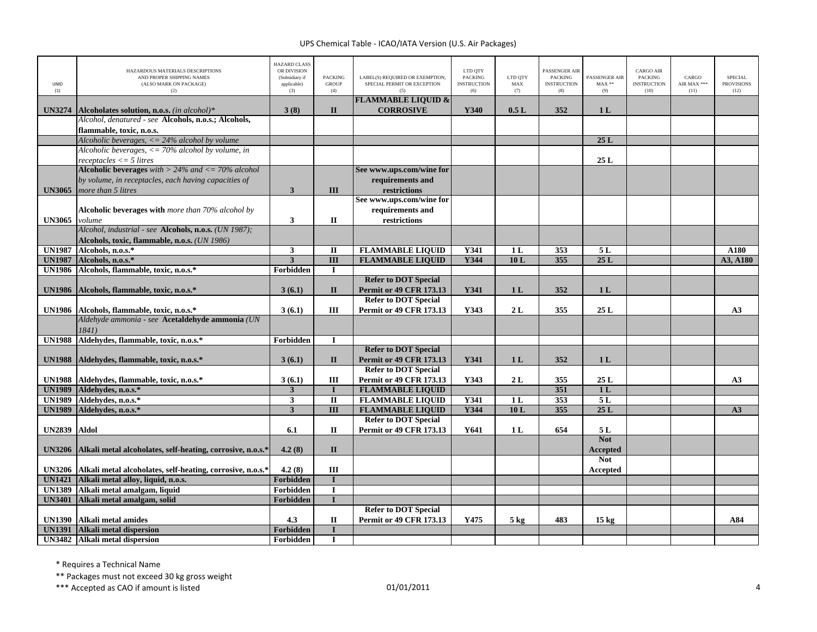| UNID<br>(1)                    | HAZARDOUS MATERIALS DESCRIPTIONS<br>AND PROPER SHIPPING NAMES<br>(ALSO MARK ON PACKAGE)<br>(2) | <b>HAZARD CLASS</b><br>OR DIVISION<br>(Subsidiary if<br>applicable)<br>(3) | <b>PACKING</b><br><b>GROUP</b><br>(4) | LABEL(S) REQUIRED OR EXEMPTION,<br>SPECIAL PERMIT OR EXCEPTION | LTD QTY<br><b>PACKING</b><br><b>INSTRUCTION</b><br>(6) | LTD QTY<br>MAX<br>(7) | PASSENGER AIR<br><b>PACKING</b><br><b>INSTRUCTION</b><br>(8) | PASSENGER AIR<br>$MAX**$<br>(9) | <b>CARGO AIR</b><br><b>PACKING</b><br><b>INSTRUCTION</b><br>(10) | CARGO<br>AIR MAX ***<br>(11) | <b>SPECIAL</b><br><b>PROVISIONS</b><br>(12) |
|--------------------------------|------------------------------------------------------------------------------------------------|----------------------------------------------------------------------------|---------------------------------------|----------------------------------------------------------------|--------------------------------------------------------|-----------------------|--------------------------------------------------------------|---------------------------------|------------------------------------------------------------------|------------------------------|---------------------------------------------|
| <b>UN3274</b>                  | Alcoholates solution, n.o.s. <i>(in alcohol)*</i>                                              | 3(8)                                                                       | $\mathbf{I}$                          | <b>FLAMMABLE LIQUID &amp;</b><br><b>CORROSIVE</b>              | Y340                                                   | 0.5L                  | 352                                                          | 1 <sub>L</sub>                  |                                                                  |                              |                                             |
|                                | Alcohol, denatured - see Alcohols, n.o.s.; Alcohols,                                           |                                                                            |                                       |                                                                |                                                        |                       |                                                              |                                 |                                                                  |                              |                                             |
|                                | flammable, toxic, n.o.s.                                                                       |                                                                            |                                       |                                                                |                                                        |                       |                                                              |                                 |                                                                  |                              |                                             |
|                                | Alcoholic beverages, $\langle 24\%$ alcohol by volume                                          |                                                                            |                                       |                                                                |                                                        |                       |                                                              | 25L                             |                                                                  |                              |                                             |
|                                | Alcoholic beverages, $\langle 1 \rangle = 70\%$ alcohol by volume, in                          |                                                                            |                                       |                                                                |                                                        |                       |                                                              |                                 |                                                                  |                              |                                             |
|                                | $receptacles \leq 5 litres$                                                                    |                                                                            |                                       |                                                                |                                                        |                       |                                                              | 25L                             |                                                                  |                              |                                             |
|                                | Alcoholic beverages with $> 24\%$ and $\lt = 70\%$ alcohol                                     |                                                                            |                                       | See www.ups.com/wine for                                       |                                                        |                       |                                                              |                                 |                                                                  |                              |                                             |
|                                | by volume, in receptacles, each having capacities of                                           |                                                                            |                                       | requirements and                                               |                                                        |                       |                                                              |                                 |                                                                  |                              |                                             |
| <b>UN3065</b>                  | more than 5 litres                                                                             | $\mathbf{3}$                                                               | III                                   | restrictions                                                   |                                                        |                       |                                                              |                                 |                                                                  |                              |                                             |
|                                | Alcoholic beverages with more than 70% alcohol by                                              |                                                                            |                                       | See www.ups.com/wine for                                       |                                                        |                       |                                                              |                                 |                                                                  |                              |                                             |
| <b>UN3065</b>                  | volume                                                                                         | $\overline{\mathbf{3}}$                                                    | $\mathbf{I}$                          | requirements and<br>restrictions                               |                                                        |                       |                                                              |                                 |                                                                  |                              |                                             |
|                                | Alcohol, industrial - see Alcohols, n.o.s. (UN 1987);                                          |                                                                            |                                       |                                                                |                                                        |                       |                                                              |                                 |                                                                  |                              |                                             |
|                                | Alcohols, toxic, flammable, n.o.s. (UN 1986)                                                   |                                                                            |                                       |                                                                |                                                        |                       |                                                              |                                 |                                                                  |                              |                                             |
| <b>UN1987</b>                  | Alcohols, n.o.s.*                                                                              | $\overline{\mathbf{3}}$                                                    | $\overline{\mathbf{u}}$               | <b>FLAMMABLE LIQUID</b>                                        | <b>Y341</b>                                            | 1L                    | 353                                                          | 5L                              |                                                                  |                              | A180                                        |
| <b>UN1987</b>                  | Alcohols, n.o.s.*                                                                              | $\overline{\mathbf{3}}$                                                    | $\overline{III}$                      | <b>FLAMMABLE LIQUID</b>                                        | Y344                                                   | 10L                   | 355                                                          | 25L                             |                                                                  |                              | A3, A180                                    |
| <b>UN1986</b>                  | Alcohols, flammable, toxic, n.o.s.*                                                            | Forbidden                                                                  | $\mathbf I$                           |                                                                |                                                        |                       |                                                              |                                 |                                                                  |                              |                                             |
|                                |                                                                                                |                                                                            |                                       | <b>Refer to DOT Special</b>                                    |                                                        |                       |                                                              |                                 |                                                                  |                              |                                             |
| <b>UN1986</b>                  | Alcohols, flammable, toxic, n.o.s.*                                                            | 3(6.1)                                                                     | $\mathbf{I}$                          | <b>Permit or 49 CFR 173.13</b>                                 | Y341                                                   | 1 <sub>L</sub>        | 352                                                          | 1 <sub>L</sub>                  |                                                                  |                              |                                             |
|                                |                                                                                                |                                                                            |                                       | <b>Refer to DOT Special</b>                                    |                                                        |                       |                                                              |                                 |                                                                  |                              |                                             |
| <b>UN1986</b>                  | Alcohols, flammable, toxic, n.o.s.*                                                            | 3(6.1)                                                                     | Ш                                     | <b>Permit or 49 CFR 173.13</b>                                 | Y343                                                   | 2L                    | 355                                                          | 25L                             |                                                                  |                              | A3                                          |
|                                | Aldehyde ammonia - see Acetaldehyde ammonia (UN                                                |                                                                            |                                       |                                                                |                                                        |                       |                                                              |                                 |                                                                  |                              |                                             |
|                                | 1841)                                                                                          |                                                                            |                                       |                                                                |                                                        |                       |                                                              |                                 |                                                                  |                              |                                             |
| <b>UN1988</b>                  | Aldehydes, flammable, toxic, n.o.s.*                                                           | Forbidden                                                                  | $\mathbf I$                           |                                                                |                                                        |                       |                                                              |                                 |                                                                  |                              |                                             |
|                                |                                                                                                |                                                                            |                                       | <b>Refer to DOT Special</b>                                    |                                                        |                       |                                                              |                                 |                                                                  |                              |                                             |
| <b>UN1988</b>                  | Aldehydes, flammable, toxic, n.o.s.*                                                           | 3(6.1)                                                                     | $\mathbf{I}$                          | <b>Permit or 49 CFR 173.13</b>                                 | Y341                                                   | 1 <sub>L</sub>        | 352                                                          | 1 <sub>L</sub>                  |                                                                  |                              |                                             |
|                                |                                                                                                |                                                                            |                                       | <b>Refer to DOT Special</b>                                    |                                                        |                       |                                                              |                                 |                                                                  |                              |                                             |
| <b>UN1988</b>                  | Aldehydes, flammable, toxic, n.o.s.*                                                           | 3(6.1)                                                                     | III                                   | <b>Permit or 49 CFR 173.13</b>                                 | Y343                                                   | 2L                    | 355                                                          | 25L                             |                                                                  |                              | A3                                          |
| <b>UN1989</b>                  | Aldehydes, n.o.s.*                                                                             | $\mathbf{3}$                                                               | $\bf{I}$<br>$\overline{\mathbf{u}}$   | <b>FLAMMABLE LIQUID</b><br><b>FLAMMABLE LIQUID</b>             |                                                        |                       | 351<br>353                                                   | 1 <sub>L</sub><br>5L            |                                                                  |                              |                                             |
| <b>UN1989</b><br><b>UN1989</b> | Aldehydes, n.o.s.*<br>Aldehydes, n.o.s.*                                                       | $\overline{\mathbf{3}}$<br>$\overline{\mathbf{3}}$                         | III                                   | <b>FLAMMABLE LIQUID</b>                                        | Y341<br>Y344                                           | 1 <sub>L</sub><br>10L | 355                                                          | 25L                             |                                                                  |                              | A3                                          |
|                                |                                                                                                |                                                                            |                                       | <b>Refer to DOT Special</b>                                    |                                                        |                       |                                                              |                                 |                                                                  |                              |                                             |
| <b>UN2839</b>                  | Aldol                                                                                          | 6.1                                                                        | $\Pi$                                 | <b>Permit or 49 CFR 173.13</b>                                 | Y641                                                   | 1 <sub>L</sub>        | 654                                                          | 5 L                             |                                                                  |                              |                                             |
|                                |                                                                                                |                                                                            |                                       |                                                                |                                                        |                       |                                                              | <b>Not</b>                      |                                                                  |                              |                                             |
| <b>UN3206</b>                  | Alkali metal alcoholates, self-heating, corrosive, n.o.s.*                                     | 4.2(8)                                                                     | $\mathbf{I}$                          |                                                                |                                                        |                       |                                                              | <b>Accepted</b>                 |                                                                  |                              |                                             |
|                                |                                                                                                |                                                                            |                                       |                                                                |                                                        |                       |                                                              | <b>Not</b>                      |                                                                  |                              |                                             |
| <b>UN3206</b>                  | Alkali metal alcoholates, self-heating, corrosive, n.o.s.*                                     | 4.2(8)                                                                     | III                                   |                                                                |                                                        |                       |                                                              | Accepted                        |                                                                  |                              |                                             |
| <b>UN1421</b>                  | Alkali metal alloy, liquid, n.o.s.                                                             | Forbidden                                                                  | $\mathbf I$                           |                                                                |                                                        |                       |                                                              |                                 |                                                                  |                              |                                             |
| <b>UN1389</b>                  | Alkali metal amalgam, liquid                                                                   | Forbidden                                                                  | $\mathbf I$                           |                                                                |                                                        |                       |                                                              |                                 |                                                                  |                              |                                             |
| <b>UN3401</b>                  | Alkali metal amalgam, solid                                                                    | Forbidden                                                                  | T                                     |                                                                |                                                        |                       |                                                              |                                 |                                                                  |                              |                                             |
|                                |                                                                                                |                                                                            |                                       | <b>Refer to DOT Special</b>                                    |                                                        |                       |                                                              |                                 |                                                                  |                              |                                             |
| <b>UN1390</b>                  | Alkali metal amides                                                                            | 4.3                                                                        | П                                     | <b>Permit or 49 CFR 173.13</b>                                 | Y475                                                   | 5 <sub>kg</sub>       | 483                                                          | $15 \text{ kg}$                 |                                                                  |                              | A84                                         |
| <b>UN1391</b>                  | Alkali metal dispersion                                                                        | Forbidden                                                                  | $\mathbf I$                           |                                                                |                                                        |                       |                                                              |                                 |                                                                  |                              |                                             |
|                                | UN3482 Alkali metal dispersion                                                                 | Forbidden                                                                  | L                                     |                                                                |                                                        |                       |                                                              |                                 |                                                                  |                              |                                             |

\* Requires <sup>a</sup> Technical Name

\*\* Packages must not exceed 30 kg gross weight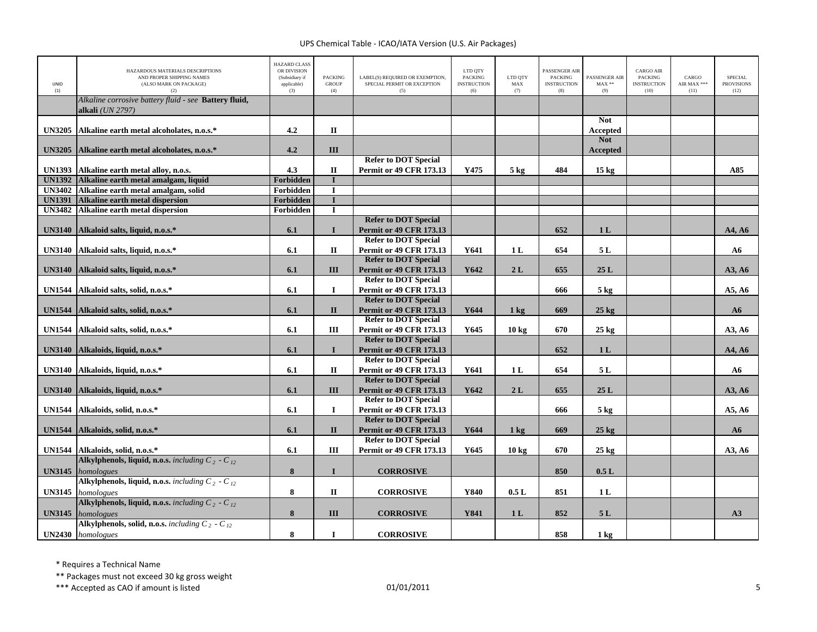| <b>UNID</b><br>(1) | HAZARDOUS MATERIALS DESCRIPTIONS<br>AND PROPER SHIPPING NAMES<br>(ALSO MARK ON PACKAGE)<br>(2) | <b>HAZARD CLASS</b><br>OR DIVISION<br>(Subsidiary if<br>applicable)<br>(3) | <b>PACKING</b><br><b>GROUP</b><br>(4) | LABEL(S) REOUIRED OR EXEMPTION.<br>SPECIAL PERMIT OR EXCEPTION<br>(5) | LTD QTY<br><b>PACKING</b><br><b>INSTRUCTION</b><br>(6) | LTD OTY<br>MAX<br>(7) | <b>PASSENGER AIR</b><br><b>PACKING</b><br><b>INSTRUCTION</b><br>(8) | <b>PASSENGER AIR</b><br>$MAX**$<br>(9) | <b>CARGO AIR</b><br><b>PACKING</b><br><b>INSTRUCTION</b><br>(10) | CARGO<br>AIR MAX ***<br>(11) | <b>SPECIAL</b><br><b>PROVISIONS</b><br>(12) |
|--------------------|------------------------------------------------------------------------------------------------|----------------------------------------------------------------------------|---------------------------------------|-----------------------------------------------------------------------|--------------------------------------------------------|-----------------------|---------------------------------------------------------------------|----------------------------------------|------------------------------------------------------------------|------------------------------|---------------------------------------------|
|                    | Alkaline corrosive battery fluid - see Battery fluid,<br>alkali (UN 2797)                      |                                                                            |                                       |                                                                       |                                                        |                       |                                                                     |                                        |                                                                  |                              |                                             |
| <b>UN3205</b>      | Alkaline earth metal alcoholates, n.o.s.*                                                      | 4.2                                                                        | $\mathbf{I}$                          |                                                                       |                                                        |                       |                                                                     | <b>Not</b><br>Accepted                 |                                                                  |                              |                                             |
| <b>UN3205</b>      | Alkaline earth metal alcoholates, n.o.s.*                                                      | 4.2                                                                        | III                                   |                                                                       |                                                        |                       |                                                                     | <b>Not</b><br>Accepted                 |                                                                  |                              |                                             |
| <b>UN1393</b>      | Alkaline earth metal alloy, n.o.s.                                                             | 4.3                                                                        | $\mathbf{I}$                          | <b>Refer to DOT Special</b><br><b>Permit or 49 CFR 173.13</b>         | Y475                                                   | $5 \text{ kg}$        | 484                                                                 | 15 <sub>kg</sub>                       |                                                                  |                              | A85                                         |
| <b>UN1392</b>      | Alkaline earth metal amalgam, liquid                                                           | Forbidden                                                                  | $\mathbf I$                           |                                                                       |                                                        |                       |                                                                     |                                        |                                                                  |                              |                                             |
| <b>UN3402</b>      | Alkaline earth metal amalgam, solid                                                            | Forbidden                                                                  | $\bf{I}$                              |                                                                       |                                                        |                       |                                                                     |                                        |                                                                  |                              |                                             |
| <b>UN1391</b>      | <b>Alkaline earth metal dispersion</b>                                                         | <b>Forbidden</b>                                                           | $\overline{I}$                        |                                                                       |                                                        |                       |                                                                     |                                        |                                                                  |                              |                                             |
| <b>UN3482</b>      | Alkaline earth metal dispersion                                                                | Forbidden                                                                  | $\mathbf I$                           |                                                                       |                                                        |                       |                                                                     |                                        |                                                                  |                              |                                             |
|                    |                                                                                                |                                                                            |                                       | <b>Refer to DOT Special</b>                                           |                                                        |                       |                                                                     |                                        |                                                                  |                              |                                             |
| <b>UN3140</b>      | Alkaloid salts, liquid, n.o.s.*                                                                | 6.1                                                                        | $\mathbf{I}$                          | <b>Permit or 49 CFR 173.13</b>                                        |                                                        |                       | 652                                                                 | 1 <sub>L</sub>                         |                                                                  |                              | A4, A6                                      |
|                    |                                                                                                |                                                                            |                                       | <b>Refer to DOT Special</b>                                           |                                                        |                       |                                                                     |                                        |                                                                  |                              |                                             |
| <b>UN3140</b>      | Alkaloid salts, liquid, n.o.s.*                                                                | 6.1                                                                        | $\mathbf{I}$                          | Permit or 49 CFR 173.13                                               | Y641                                                   | 1L                    | 654                                                                 | 5L                                     |                                                                  |                              | ${\bf A6}$                                  |
|                    |                                                                                                |                                                                            |                                       | <b>Refer to DOT Special</b>                                           |                                                        |                       |                                                                     |                                        |                                                                  |                              |                                             |
| <b>UN3140</b>      | Alkaloid salts, liquid, n.o.s.*                                                                | 6.1                                                                        | III                                   | <b>Permit or 49 CFR 173.13</b>                                        | Y642                                                   | 2L                    | 655                                                                 | 25L                                    |                                                                  |                              | A3, A6                                      |
|                    |                                                                                                |                                                                            |                                       | <b>Refer to DOT Special</b>                                           |                                                        |                       |                                                                     |                                        |                                                                  |                              |                                             |
| <b>UN1544</b>      | Alkaloid salts, solid, n.o.s.*                                                                 | 6.1                                                                        | $\mathbf I$                           | Permit or 49 CFR 173.13                                               |                                                        |                       | 666                                                                 | $5$ kg                                 |                                                                  |                              | A5, A6                                      |
|                    |                                                                                                |                                                                            |                                       | <b>Refer to DOT Special</b>                                           |                                                        |                       |                                                                     |                                        |                                                                  |                              |                                             |
| <b>UN1544</b>      | Alkaloid salts, solid, n.o.s.*                                                                 | 6.1                                                                        | $\mathbf{I}$                          | <b>Permit or 49 CFR 173.13</b>                                        | Y644                                                   | $1 \text{ kg}$        | 669                                                                 | $25 \text{ kg}$                        |                                                                  |                              | A6                                          |
|                    |                                                                                                |                                                                            |                                       | <b>Refer to DOT Special</b>                                           |                                                        |                       |                                                                     |                                        |                                                                  |                              |                                             |
| <b>UN1544</b>      | Alkaloid salts, solid, n.o.s.*                                                                 | 6.1                                                                        | III                                   | <b>Permit or 49 CFR 173.13</b>                                        | Y645                                                   | 10 <sub>kg</sub>      | 670                                                                 | $25$ kg                                |                                                                  |                              | A3, A6                                      |
|                    |                                                                                                |                                                                            |                                       | <b>Refer to DOT Special</b>                                           |                                                        |                       |                                                                     |                                        |                                                                  |                              |                                             |
|                    | UN3140 Alkaloids, liquid, n.o.s.*                                                              | 6.1                                                                        | $\mathbf{I}$                          | <b>Permit or 49 CFR 173.13</b>                                        |                                                        |                       | 652                                                                 | 1 <sub>L</sub>                         |                                                                  |                              | A4, A6                                      |
|                    |                                                                                                |                                                                            |                                       | <b>Refer to DOT Special</b>                                           |                                                        |                       |                                                                     |                                        |                                                                  |                              |                                             |
| <b>UN3140</b>      | Alkaloids, liquid, n.o.s.*                                                                     | 6.1                                                                        | $\mathbf H$                           | <b>Permit or 49 CFR 173.13</b><br><b>Refer to DOT Special</b>         | Y641                                                   | 1L                    | 654                                                                 | 5L                                     |                                                                  |                              | ${\bf A6}$                                  |
| <b>UN3140</b>      |                                                                                                | 6.1                                                                        | Ш                                     |                                                                       | Y642                                                   | 2L                    | 655                                                                 | 25L                                    |                                                                  |                              |                                             |
|                    | Alkaloids, liquid, n.o.s.*                                                                     |                                                                            |                                       | <b>Permit or 49 CFR 173.13</b><br><b>Refer to DOT Special</b>         |                                                        |                       |                                                                     |                                        |                                                                  |                              | A3, A6                                      |
| <b>UN1544</b>      | Alkaloids, solid, n.o.s.*                                                                      | 6.1                                                                        | $\bf{I}$                              | Permit or 49 CFR 173.13                                               |                                                        |                       | 666                                                                 | $5 \text{ kg}$                         |                                                                  |                              | A5, A6                                      |
|                    |                                                                                                |                                                                            |                                       | <b>Refer to DOT Special</b>                                           |                                                        |                       |                                                                     |                                        |                                                                  |                              |                                             |
| <b>UN1544</b>      | Alkaloids, solid, n.o.s.*                                                                      | 6.1                                                                        | $\mathbf{I}$                          | <b>Permit or 49 CFR 173.13</b>                                        | Y644                                                   | $1 \text{ kg}$        | 669                                                                 | $25$ kg                                |                                                                  |                              | A6                                          |
|                    |                                                                                                |                                                                            |                                       | <b>Refer to DOT Special</b>                                           |                                                        |                       |                                                                     |                                        |                                                                  |                              |                                             |
|                    | UN1544 Alkaloids, solid, n.o.s.*                                                               | 6.1                                                                        | III                                   | Permit or 49 CFR 173.13                                               | Y645                                                   | 10 <sub>kg</sub>      | 670                                                                 | $25$ kg                                |                                                                  |                              | A3, A6                                      |
|                    | Alkylphenols, liquid, n.o.s. including $C_2$ - $C_{12}$                                        |                                                                            |                                       |                                                                       |                                                        |                       |                                                                     |                                        |                                                                  |                              |                                             |
| <b>UN3145</b>      | homologues                                                                                     | 8                                                                          | $\mathbf I$                           | <b>CORROSIVE</b>                                                      |                                                        |                       | 850                                                                 | $0.5\ {\rm L}$                         |                                                                  |                              |                                             |
|                    | Alkylphenols, liquid, n.o.s. including $C_2$ - $C_{12}$                                        |                                                                            |                                       |                                                                       |                                                        |                       |                                                                     |                                        |                                                                  |                              |                                             |
| <b>UN3145</b>      | homologues                                                                                     | 8                                                                          | $\mathbf{I}\mathbf{I}$                | <b>CORROSIVE</b>                                                      | Y840                                                   | 0.5L                  | 851                                                                 | 1L                                     |                                                                  |                              |                                             |
|                    | Alkylphenols, liquid, n.o.s. including $C_2$ - $C_{12}$                                        |                                                                            |                                       |                                                                       |                                                        |                       |                                                                     |                                        |                                                                  |                              |                                             |
| <b>UN3145</b>      | homologues                                                                                     | $8\phantom{1}$                                                             | III                                   | <b>CORROSIVE</b>                                                      | Y841                                                   | 1 <sub>L</sub>        | 852                                                                 | $5 L$                                  |                                                                  |                              | A3                                          |
|                    | Alkylphenols, solid, n.o.s. including $C_2$ - $C_{12}$                                         |                                                                            |                                       |                                                                       |                                                        |                       |                                                                     |                                        |                                                                  |                              |                                             |
|                    | UN2430 homologues                                                                              | 8                                                                          | $\mathbf I$                           | <b>CORROSIVE</b>                                                      |                                                        |                       | 858                                                                 |                                        |                                                                  |                              |                                             |
|                    |                                                                                                |                                                                            |                                       |                                                                       |                                                        |                       |                                                                     | $1 \text{ kg}$                         |                                                                  |                              |                                             |

\* Requires <sup>a</sup> Technical Name

\*\* Packages must not exceed 30 kg gross weight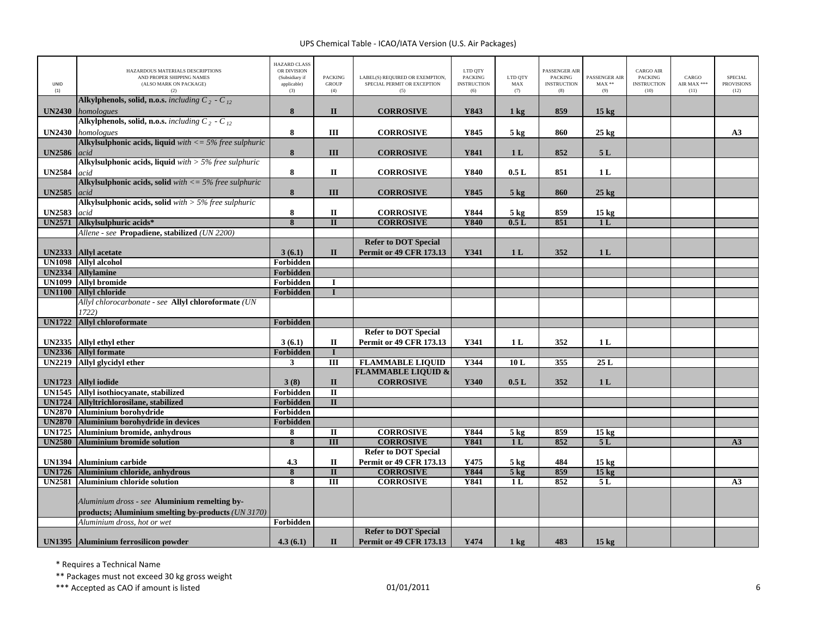| UNID<br>(1)                    | HAZARDOUS MATERIALS DESCRIPTIONS<br>AND PROPER SHIPPING NAMES<br>(ALSO MARK ON PACKAGE)<br>(2)      | <b>HAZARD CLASS</b><br>OR DIVISION<br>(Subsidiary if<br>applicable)<br>(3) | <b>PACKING</b><br><b>GROUP</b><br>(4) | LABEL(S) REQUIRED OR EXEMPTION,<br>SPECIAL PERMIT OR EXCEPTION<br>(5) | LTD QTY<br><b>PACKING</b><br><b>INSTRUCTION</b><br>(6) | LTD QTY<br>MAX<br>(7) | PASSENGER AIR<br><b>PACKING</b><br><b>INSTRUCTION</b><br>(8) | <b>PASSENGER AIR</b><br>$MAX**$<br>(9) | <b>CARGO AIR</b><br><b>PACKING</b><br><b>INSTRUCTION</b><br>(10) | CARGO<br>AIR MAX ***<br>(11) | <b>SPECIAL</b><br><b>PROVISIONS</b><br>(12) |
|--------------------------------|-----------------------------------------------------------------------------------------------------|----------------------------------------------------------------------------|---------------------------------------|-----------------------------------------------------------------------|--------------------------------------------------------|-----------------------|--------------------------------------------------------------|----------------------------------------|------------------------------------------------------------------|------------------------------|---------------------------------------------|
| <b>UN2430</b>                  | Alkylphenols, solid, n.o.s. including $C_2$ - $C_{12}$<br>homologues                                | 8                                                                          | $\mathbf{I}$                          | <b>CORROSIVE</b>                                                      | Y843                                                   | 1 <sub>kg</sub>       | 859                                                          | 15 <sub>kg</sub>                       |                                                                  |                              |                                             |
| <b>UN2430</b>                  | Alkylphenols, solid, n.o.s. including $C_2$ - $C_{12}$<br>homologues                                | 8                                                                          | Ш                                     | <b>CORROSIVE</b>                                                      | Y845                                                   | $5$ kg                | 860                                                          | $25 \text{ kg}$                        |                                                                  |                              | A3                                          |
| <b>UN2586</b>                  | Alkylsulphonic acids, liquid $with < = 5\%$ free sulphuric<br>acid                                  | 8                                                                          | III                                   | <b>CORROSIVE</b>                                                      | <b>Y841</b>                                            | 1 <sub>L</sub>        | 852                                                          | 5L                                     |                                                                  |                              |                                             |
| <b>UN2584</b>                  | Alkylsulphonic acids, liquid $with > 5\%$ free sulphuric<br>acid                                    | 8                                                                          | $\Pi$                                 | <b>CORROSIVE</b>                                                      | Y840                                                   | 0.5L                  | 851                                                          | 1L                                     |                                                                  |                              |                                             |
| <b>UN2585</b>                  | Alkylsulphonic acids, solid with $\langle 596$ free sulphuric<br>acid                               | 8                                                                          | III                                   | <b>CORROSIVE</b>                                                      | Y845                                                   | $5 \text{ kg}$        | 860                                                          | $25 \text{ kg}$                        |                                                                  |                              |                                             |
| <b>UN2583</b>                  | Alkylsulphonic acids, solid with $>$ 5% free sulphuric<br>acid                                      | 8                                                                          | $\mathbf{I}$                          | <b>CORROSIVE</b>                                                      | Y844                                                   | $5 \text{ kg}$        | 859                                                          | 15 <sub>kg</sub>                       |                                                                  |                              |                                             |
| <b>UN2571</b>                  | Alkylsulphuric acids*                                                                               | $\overline{\mathbf{8}}$                                                    | $\overline{\mathbf{u}}$               | <b>CORROSIVE</b>                                                      | Y840                                                   | 0.5L                  | 851                                                          | 1 <sub>L</sub>                         |                                                                  |                              |                                             |
|                                | Allene - see Propadiene, stabilized (UN 2200)                                                       |                                                                            |                                       |                                                                       |                                                        |                       |                                                              |                                        |                                                                  |                              |                                             |
|                                |                                                                                                     |                                                                            |                                       | <b>Refer to DOT Special</b>                                           |                                                        |                       |                                                              |                                        |                                                                  |                              |                                             |
| <b>UN2333</b>                  | <b>Allyl</b> acetate                                                                                | 3(6.1)                                                                     | $\mathbf{I}$                          | <b>Permit or 49 CFR 173.13</b>                                        | Y341                                                   | 1 <sub>L</sub>        | 352                                                          | 1 <sub>L</sub>                         |                                                                  |                              |                                             |
| <b>UN1098</b><br><b>UN2334</b> | <b>Allyl</b> alcohol<br><b>Allylamine</b>                                                           | Forbidden<br>Forbidden                                                     |                                       |                                                                       |                                                        |                       |                                                              |                                        |                                                                  |                              |                                             |
| <b>UN1099</b>                  | <b>Allyl bromide</b>                                                                                | Forbidden                                                                  | $\bf{I}$                              |                                                                       |                                                        |                       |                                                              |                                        |                                                                  |                              |                                             |
| <b>UN1100</b>                  | <b>Allyl chloride</b>                                                                               | Forbidden                                                                  | T                                     |                                                                       |                                                        |                       |                                                              |                                        |                                                                  |                              |                                             |
|                                | Allyl chlorocarbonate - see Allyl chloroformate (UN                                                 |                                                                            |                                       |                                                                       |                                                        |                       |                                                              |                                        |                                                                  |                              |                                             |
|                                | 1722)                                                                                               |                                                                            |                                       |                                                                       |                                                        |                       |                                                              |                                        |                                                                  |                              |                                             |
| <b>UN1722</b>                  | <b>Allyl chloroformate</b>                                                                          | Forbidden                                                                  |                                       |                                                                       |                                                        |                       |                                                              |                                        |                                                                  |                              |                                             |
|                                |                                                                                                     |                                                                            |                                       | <b>Refer to DOT Special</b>                                           |                                                        |                       |                                                              |                                        |                                                                  |                              |                                             |
| <b>UN2335</b>                  | Allyl ethyl ether                                                                                   | 3(6.1)                                                                     | П                                     | <b>Permit or 49 CFR 173.13</b>                                        | Y341                                                   | 1 L                   | 352                                                          | 1 <sub>L</sub>                         |                                                                  |                              |                                             |
| <b>UN2336</b>                  | <b>Allyl</b> formate                                                                                | Forbidden                                                                  | $\bf{I}$                              |                                                                       |                                                        |                       |                                                              |                                        |                                                                  |                              |                                             |
| <b>UN2219</b>                  | Allyl glycidyl ether                                                                                | 3                                                                          | $\overline{III}$                      | <b>FLAMMABLE LIQUID</b>                                               | Y344                                                   | 10L                   | 355                                                          | 25L                                    |                                                                  |                              |                                             |
|                                |                                                                                                     |                                                                            |                                       | <b>FLAMMABLE LIQUID &amp;</b>                                         |                                                        |                       |                                                              |                                        |                                                                  |                              |                                             |
| <b>UN1723</b>                  | <b>Allyl iodide</b>                                                                                 | 3(8)                                                                       | $\mathbf{I}$                          | <b>CORROSIVE</b>                                                      | Y340                                                   | 0.5L                  | 352                                                          | 1 <sub>L</sub>                         |                                                                  |                              |                                             |
| <b>UN1545</b>                  | Allyl isothiocyanate, stabilized                                                                    | Forbidden                                                                  | $\mathbf{I}$                          |                                                                       |                                                        |                       |                                                              |                                        |                                                                  |                              |                                             |
| <b>UN1724</b>                  | Allyltrichlorosilane, stabilized                                                                    | Forbidden                                                                  | $\Pi$                                 |                                                                       |                                                        |                       |                                                              |                                        |                                                                  |                              |                                             |
| <b>UN2870</b>                  | <b>Aluminium borohydride</b>                                                                        | Forbidden                                                                  |                                       |                                                                       |                                                        |                       |                                                              |                                        |                                                                  |                              |                                             |
| <b>UN2870</b>                  | Aluminium borohydride in devices                                                                    | <b>Forbidden</b>                                                           |                                       |                                                                       |                                                        |                       |                                                              |                                        |                                                                  |                              |                                             |
| <b>UN1725</b>                  | <b>Aluminium bromide, anhydrous</b>                                                                 | 8                                                                          | $\mathbf{I}$                          | <b>CORROSIVE</b>                                                      | Y844                                                   | 5 <sub>kg</sub>       | 859                                                          | 15 <sub>kg</sub>                       |                                                                  |                              |                                             |
| <b>UN2580</b>                  | <b>Aluminium bromide solution</b>                                                                   | 8                                                                          | $\overline{III}$                      | <b>CORROSIVE</b>                                                      | <b>Y841</b>                                            | 1 <sub>L</sub>        | 852                                                          | 5L                                     |                                                                  |                              | A <sub>3</sub>                              |
| <b>UN1394</b>                  | <b>Aluminium carbide</b>                                                                            | 4.3                                                                        | $\mathbf I$                           | <b>Refer to DOT Special</b><br>Permit or 49 CFR 173.13                | Y475                                                   | $5 \text{ kg}$        | 484                                                          | 15 <sub>kg</sub>                       |                                                                  |                              |                                             |
| <b>UN1726</b>                  | Aluminium chloride, anhydrous                                                                       | $\pmb{8}$                                                                  | $\overline{\mathbf{u}}$               | <b>CORROSIVE</b>                                                      | <b>Y844</b>                                            | $5$ kg                | 859                                                          | $15$ kg                                |                                                                  |                              |                                             |
| <b>UN2581</b>                  | <b>Aluminium chloride solution</b>                                                                  | 8                                                                          | $\overline{III}$                      | <b>CORROSIVE</b>                                                      | <b>Y841</b>                                            | 1L                    | 852                                                          | 5L                                     |                                                                  |                              | A3                                          |
|                                | Aluminium dross - see Aluminium remelting by-<br>products; Aluminium smelting by-products (UN 3170) |                                                                            |                                       |                                                                       |                                                        |                       |                                                              |                                        |                                                                  |                              |                                             |
|                                | Aluminium dross, hot or wet                                                                         | Forbidden                                                                  |                                       |                                                                       |                                                        |                       |                                                              |                                        |                                                                  |                              |                                             |
|                                |                                                                                                     |                                                                            |                                       | <b>Refer to DOT Special</b>                                           |                                                        |                       |                                                              |                                        |                                                                  |                              |                                             |
|                                | <b>UN1395</b> Aluminium ferrosilicon powder                                                         | 4.3(6.1)                                                                   | $\mathbf{I}$                          | <b>Permit or 49 CFR 173.13</b>                                        | Y474                                                   | $1 \text{ kg}$        | 483                                                          | $15 \text{ kg}$                        |                                                                  |                              |                                             |

\* Requires <sup>a</sup> Technical Name

\*\* Packages must not exceed 30 kg gross weight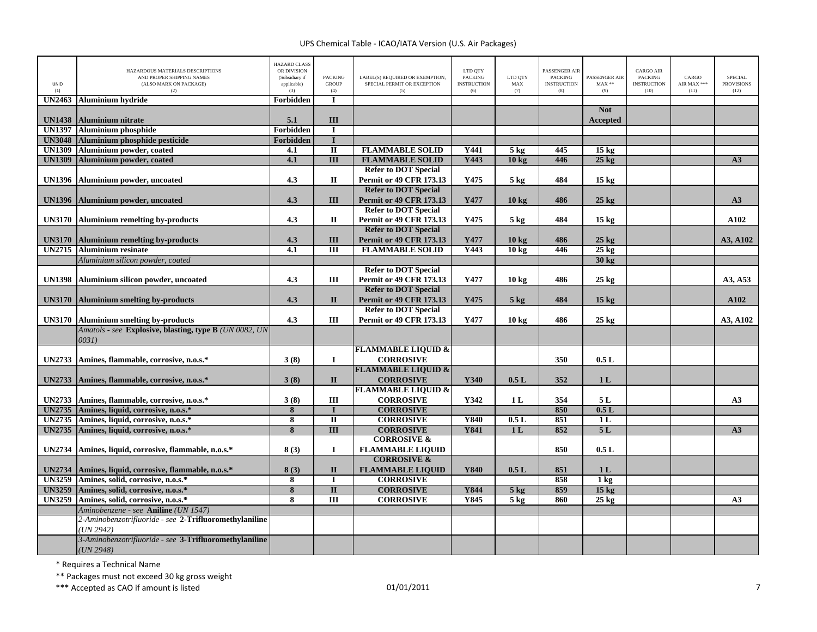| UNID<br>(1)   | HAZARDOUS MATERIALS DESCRIPTIONS<br>AND PROPER SHIPPING NAMES<br>(ALSO MARK ON PACKAGE)<br>(2) | <b>HAZARD CLASS</b><br>OR DIVISION<br>(Subsidiary if<br>applicable)<br>(3) | <b>PACKING</b><br><b>GROUP</b><br>(4) | LABEL(S) REQUIRED OR EXEMPTION,<br>SPECIAL PERMIT OR EXCEPTION<br>(5) | LTD QTY<br><b>PACKING</b><br><b>INSTRUCTION</b><br>(6) | LTD QTY<br>$\mathbf{MAX}$<br>(7) | PASSENGER AIR<br><b>PACKING</b><br><b>INSTRUCTION</b><br>(8) | PASSENGER AIR<br>$MAX**$<br>(9) | <b>CARGO AIR</b><br>PACKING<br><b>INSTRUCTION</b><br>(10) | CARGO<br>AIR MAX ***<br>(11) | <b>SPECIAL</b><br><b>PROVISIONS</b><br>(12) |
|---------------|------------------------------------------------------------------------------------------------|----------------------------------------------------------------------------|---------------------------------------|-----------------------------------------------------------------------|--------------------------------------------------------|----------------------------------|--------------------------------------------------------------|---------------------------------|-----------------------------------------------------------|------------------------------|---------------------------------------------|
| <b>UN2463</b> | <b>Aluminium hydride</b>                                                                       | Forbidden                                                                  | $\mathbf{I}$                          |                                                                       |                                                        |                                  |                                                              |                                 |                                                           |                              |                                             |
| <b>UN1438</b> |                                                                                                | 5.1                                                                        | III                                   |                                                                       |                                                        |                                  |                                                              | <b>Not</b>                      |                                                           |                              |                                             |
| <b>UN1397</b> | <b>Aluminium nitrate</b><br><b>Aluminium phosphide</b>                                         | Forbidden                                                                  | $\mathbf I$                           |                                                                       |                                                        |                                  |                                                              | Accepted                        |                                                           |                              |                                             |
| <b>UN3048</b> | Aluminium phosphide pesticide                                                                  | Forbidden                                                                  | $\mathbf{I}$                          |                                                                       |                                                        |                                  |                                                              |                                 |                                                           |                              |                                             |
| <b>UN1309</b> | Aluminium powder, coated                                                                       | 4.1                                                                        | $\mathbf{I}$                          | <b>FLAMMABLE SOLID</b>                                                | Y441                                                   | $5$ kg                           | 445                                                          | $15 \text{ kg}$                 |                                                           |                              |                                             |
| <b>UN1309</b> | Aluminium powder, coated                                                                       | 4.1                                                                        | $\overline{III}$                      | <b>FLAMMABLE SOLID</b>                                                | Y443                                                   | 10 kg                            | 446                                                          | $25$ kg                         |                                                           |                              | A3                                          |
|               |                                                                                                |                                                                            |                                       | <b>Refer to DOT Special</b>                                           |                                                        |                                  |                                                              |                                 |                                                           |                              |                                             |
| <b>UN1396</b> | Aluminium powder, uncoated                                                                     | 4.3                                                                        | П                                     | <b>Permit or 49 CFR 173.13</b>                                        | Y475                                                   | $5 \text{ kg}$                   | 484                                                          | 15 <sub>kg</sub>                |                                                           |                              |                                             |
|               |                                                                                                |                                                                            |                                       | <b>Refer to DOT Special</b>                                           |                                                        |                                  |                                                              |                                 |                                                           |                              |                                             |
| <b>UN1396</b> | Aluminium powder, uncoated                                                                     | 4.3                                                                        | III                                   | <b>Permit or 49 CFR 173.13</b>                                        | Y477                                                   | $10 \text{ kg}$                  | 486                                                          | $25 \text{ kg}$                 |                                                           |                              | A3                                          |
|               |                                                                                                |                                                                            |                                       | <b>Refer to DOT Special</b>                                           |                                                        |                                  |                                                              |                                 |                                                           |                              |                                             |
| <b>UN3170</b> | <b>Aluminium remelting by-products</b>                                                         | 4.3                                                                        | $\mathbf{I}$                          | <b>Permit or 49 CFR 173.13</b>                                        | Y475                                                   | $5$ kg                           | 484                                                          | 15 <sub>kg</sub>                |                                                           |                              | A102                                        |
|               |                                                                                                |                                                                            |                                       | <b>Refer to DOT Special</b>                                           |                                                        |                                  |                                                              |                                 |                                                           |                              |                                             |
| <b>UN3170</b> | <b>Aluminium remelting by-products</b>                                                         | 4.3                                                                        | III                                   | <b>Permit or 49 CFR 173.13</b>                                        | Y477                                                   | 10 kg                            | 486                                                          | $25 \text{ kg}$                 |                                                           |                              | A3, A102                                    |
| <b>UN2715</b> | <b>Aluminium resinate</b>                                                                      | $\overline{4.1}$                                                           | $\overline{III}$                      | <b>FLAMMABLE SOLID</b>                                                | Y443                                                   | 10 <sub>kg</sub>                 | 446                                                          | $25 \text{ kg}$                 |                                                           |                              |                                             |
|               | Aluminium silicon powder, coated                                                               |                                                                            |                                       |                                                                       |                                                        |                                  |                                                              | $30 \text{ kg}$                 |                                                           |                              |                                             |
|               |                                                                                                |                                                                            |                                       | <b>Refer to DOT Special</b>                                           |                                                        |                                  |                                                              |                                 |                                                           |                              |                                             |
| <b>UN1398</b> | Aluminium silicon powder, uncoated                                                             | 4.3                                                                        | Ш                                     | <b>Permit or 49 CFR 173.13</b>                                        | Y477                                                   | 10 kg                            | 486                                                          | $25 \text{ kg}$                 |                                                           |                              | A3, A53                                     |
|               |                                                                                                |                                                                            |                                       | <b>Refer to DOT Special</b>                                           |                                                        |                                  |                                                              |                                 |                                                           |                              |                                             |
| <b>UN3170</b> | <b>Aluminium smelting by-products</b>                                                          | 4.3                                                                        | $\mathbf{I}$                          | <b>Permit or 49 CFR 173.13</b>                                        | Y475                                                   | $5 \text{ kg}$                   | 484                                                          | 15 <sub>kg</sub>                |                                                           |                              | A102                                        |
|               |                                                                                                |                                                                            |                                       | <b>Refer to DOT Special</b>                                           |                                                        |                                  |                                                              |                                 |                                                           |                              |                                             |
| <b>UN3170</b> | <b>Aluminium smelting by-products</b>                                                          | 4.3                                                                        | III                                   | <b>Permit or 49 CFR 173.13</b>                                        | Y477                                                   | $10 \text{ kg}$                  | 486                                                          | $25 \text{ kg}$                 |                                                           |                              | A3, A102                                    |
|               | Amatols - see Explosive, blasting, type B (UN 0082, UN                                         |                                                                            |                                       |                                                                       |                                                        |                                  |                                                              |                                 |                                                           |                              |                                             |
|               | 0031)                                                                                          |                                                                            |                                       |                                                                       |                                                        |                                  |                                                              |                                 |                                                           |                              |                                             |
|               |                                                                                                |                                                                            |                                       | <b>FLAMMABLE LIQUID &amp;</b>                                         |                                                        |                                  |                                                              |                                 |                                                           |                              |                                             |
| <b>UN2733</b> | Amines, flammable, corrosive, n.o.s.*                                                          | 3(8)                                                                       | $\mathbf I$                           | <b>CORROSIVE</b>                                                      |                                                        |                                  | 350                                                          | 0.5L                            |                                                           |                              |                                             |
|               |                                                                                                |                                                                            |                                       | <b>FLAMMABLE LIQUID &amp;</b>                                         |                                                        |                                  |                                                              |                                 |                                                           |                              |                                             |
| <b>UN2733</b> | Amines, flammable, corrosive, n.o.s.*                                                          | 3(8)                                                                       | $\mathbf{I}$                          | <b>CORROSIVE</b>                                                      | Y340                                                   | 0.5L                             | 352                                                          | 1 <sub>L</sub>                  |                                                           |                              |                                             |
|               |                                                                                                |                                                                            |                                       | <b>FLAMMABLE LIQUID &amp;</b>                                         |                                                        |                                  |                                                              |                                 |                                                           |                              |                                             |
| <b>UN2733</b> | Amines, flammable, corrosive, n.o.s.*                                                          | 3(8)                                                                       | Ш                                     | <b>CORROSIVE</b>                                                      | Y342                                                   | 1 <sub>L</sub>                   | 354                                                          | 5L                              |                                                           |                              | A3                                          |
| <b>UN2735</b> | Amines, liquid, corrosive, n.o.s.*                                                             | 8                                                                          | $\mathbf{I}$                          | <b>CORROSIVE</b>                                                      |                                                        |                                  | 850                                                          | 0.5L                            |                                                           |                              |                                             |
| <b>UN2735</b> | Amines, liquid, corrosive, n.o.s.*                                                             | $\overline{\mathbf{8}}$                                                    | $\overline{\mathbf{u}}$               | <b>CORROSIVE</b>                                                      | <b>Y840</b>                                            | 0.5L                             | 851                                                          | 1L                              |                                                           |                              |                                             |
| <b>UN2735</b> | Amines, liquid, corrosive, n.o.s.*                                                             | 8                                                                          | $\overline{III}$                      | <b>CORROSIVE</b>                                                      | <b>Y841</b>                                            | 1 <sub>L</sub>                   | 852                                                          | 5L                              |                                                           |                              | A3                                          |
|               |                                                                                                |                                                                            |                                       | <b>CORROSIVE &amp;</b>                                                |                                                        |                                  |                                                              |                                 |                                                           |                              |                                             |
| <b>UN2734</b> | Amines, liquid, corrosive, flammable, n.o.s.*                                                  | 8(3)                                                                       | $\bf{I}$                              | <b>FLAMMABLE LIQUID</b>                                               |                                                        |                                  | 850                                                          | 0.5L                            |                                                           |                              |                                             |
|               |                                                                                                |                                                                            |                                       | <b>CORROSIVE &amp;</b>                                                |                                                        |                                  |                                                              |                                 |                                                           |                              |                                             |
| <b>UN2734</b> | Amines, liquid, corrosive, flammable, n.o.s.*                                                  | 8(3)                                                                       | $\mathbf{I}$                          | <b>FLAMMABLE LIQUID</b>                                               | Y840                                                   | 0.5L                             | 851                                                          | 1L                              |                                                           |                              |                                             |
| <b>UN3259</b> | Amines, solid, corrosive, n.o.s.*                                                              | 8                                                                          | $\bf{I}$                              | <b>CORROSIVE</b>                                                      |                                                        |                                  | 858                                                          | 1 <sub>kg</sub>                 |                                                           |                              |                                             |
| <b>UN3259</b> | Amines, solid, corrosive, n.o.s.*                                                              | 8                                                                          | $\mathbf{I}$                          | <b>CORROSIVE</b>                                                      | Y844                                                   | $5$ kg                           | 859                                                          | 15 <sub>kg</sub>                |                                                           |                              |                                             |
| <b>UN3259</b> | Amines, solid, corrosive, n.o.s.*                                                              | 8                                                                          | III                                   | <b>CORROSIVE</b>                                                      | Y845                                                   | $5$ kg                           | 860                                                          | $25 \text{ kg}$                 |                                                           |                              | A <sub>3</sub>                              |
|               | Aminobenzene - see Aniline (UN 1547)                                                           |                                                                            |                                       |                                                                       |                                                        |                                  |                                                              |                                 |                                                           |                              |                                             |
|               | 2-Aminobenzotrifluoride - see 2-Trifluoromethylaniline                                         |                                                                            |                                       |                                                                       |                                                        |                                  |                                                              |                                 |                                                           |                              |                                             |
|               | UN 2942                                                                                        |                                                                            |                                       |                                                                       |                                                        |                                  |                                                              |                                 |                                                           |                              |                                             |
|               | 3-Aminobenzotrifluoride - see 3-Trifluoromethylaniline                                         |                                                                            |                                       |                                                                       |                                                        |                                  |                                                              |                                 |                                                           |                              |                                             |
|               | (UN 2948)                                                                                      |                                                                            |                                       |                                                                       |                                                        |                                  |                                                              |                                 |                                                           |                              |                                             |

\* Requires <sup>a</sup> Technical Name

\*\* Packages must not exceed 30 kg gross weight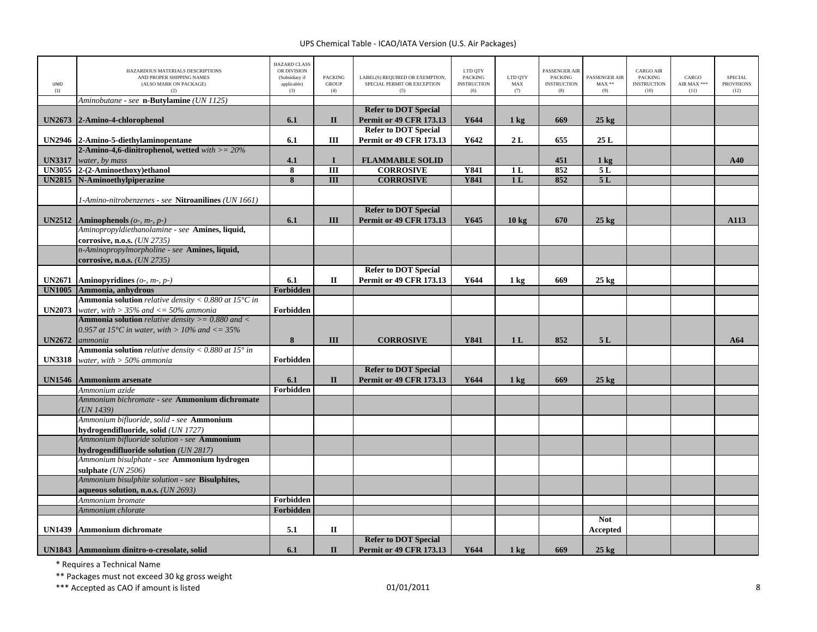| UNID<br>(1)   | HAZARDOUS MATERIALS DESCRIPTIONS<br>AND PROPER SHIPPING NAMES<br>(ALSO MARK ON PACKAGE)<br>(2) | <b>HAZARD CLASS</b><br>OR DIVISION<br>(Subsidiary if<br>applicable)<br>(3) | <b>PACKING</b><br><b>GROUP</b><br>(4) | LABEL(S) REQUIRED OR EXEMPTION,<br>SPECIAL PERMIT OR EXCEPTION<br>(5) | LTD QTY<br><b>PACKING</b><br><b>INSTRUCTION</b><br>(6) | LTD QTY<br>$\operatorname{MAX}$<br>(7) | PASSENGER AIR<br><b>PACKING</b><br><b>INSTRUCTION</b><br>(8) | PASSENGER AIR<br>$MAX**$<br>(9) | <b>CARGO AIR</b><br><b>PACKING</b><br><b>INSTRUCTION</b><br>(10) | CARGO<br>AIR MAX ***<br>(11) | <b>SPECIAL</b><br><b>PROVISIONS</b><br>(12) |
|---------------|------------------------------------------------------------------------------------------------|----------------------------------------------------------------------------|---------------------------------------|-----------------------------------------------------------------------|--------------------------------------------------------|----------------------------------------|--------------------------------------------------------------|---------------------------------|------------------------------------------------------------------|------------------------------|---------------------------------------------|
|               | Aminobutane - see n-Butylamine (UN 1125)                                                       |                                                                            |                                       |                                                                       |                                                        |                                        |                                                              |                                 |                                                                  |                              |                                             |
| <b>UN2673</b> | 2-Amino-4-chlorophenol                                                                         | 6.1                                                                        | $\mathbf{I}$                          | <b>Refer to DOT Special</b><br><b>Permit or 49 CFR 173.13</b>         | Y644                                                   | $1 \text{ kg}$                         | 669                                                          | $25$ kg                         |                                                                  |                              |                                             |
|               |                                                                                                |                                                                            |                                       | <b>Refer to DOT Special</b>                                           |                                                        |                                        |                                                              |                                 |                                                                  |                              |                                             |
|               | UN2946 2-Amino-5-diethylaminopentane                                                           | 6.1                                                                        | Ш                                     | <b>Permit or 49 CFR 173.13</b>                                        | Y642                                                   | 2L                                     | 655                                                          | 25L                             |                                                                  |                              |                                             |
|               | 2-Amino-4,6-dinitrophenol, wetted $with = 20\%$                                                |                                                                            |                                       |                                                                       |                                                        |                                        |                                                              |                                 |                                                                  |                              |                                             |
| <b>UN3317</b> | water, by mass                                                                                 | 4.1                                                                        | $\bf{I}$                              | <b>FLAMMABLE SOLID</b>                                                |                                                        |                                        | 451                                                          | 1 <sub>kg</sub>                 |                                                                  |                              | A40                                         |
| <b>UN3055</b> | 2-(2-Aminoethoxy)ethanol                                                                       | 8                                                                          | III                                   | <b>CORROSIVE</b>                                                      | Y841                                                   | 1 <sub>L</sub>                         | 852                                                          | 5L                              |                                                                  |                              |                                             |
| <b>UN2815</b> | N-Aminoethylpiperazine                                                                         | 8                                                                          | III                                   | <b>CORROSIVE</b>                                                      | <b>Y841</b>                                            | 1 <sub>L</sub>                         | 852                                                          | 5L                              |                                                                  |                              |                                             |
|               |                                                                                                |                                                                            |                                       |                                                                       |                                                        |                                        |                                                              |                                 |                                                                  |                              |                                             |
|               | 1-Amino-nitrobenzenes - see Nitroanilines (UN 1661)                                            |                                                                            |                                       | <b>Refer to DOT Special</b>                                           |                                                        |                                        |                                                              |                                 |                                                                  |                              |                                             |
| <b>UN2512</b> | <b>Aminophenols</b> ( $o$ -, $m$ -, $p$ -)                                                     | 6.1                                                                        | III                                   | <b>Permit or 49 CFR 173.13</b>                                        | Y645                                                   | $10 \text{ kg}$                        | 670                                                          | $25 \text{ kg}$                 |                                                                  |                              | A113                                        |
|               | Aminopropyldiethanolamine - see Amines, liquid,                                                |                                                                            |                                       |                                                                       |                                                        |                                        |                                                              |                                 |                                                                  |                              |                                             |
|               | corrosive, n.o.s. ( <i>UN 2735</i> )                                                           |                                                                            |                                       |                                                                       |                                                        |                                        |                                                              |                                 |                                                                  |                              |                                             |
|               | n-Aminopropylmorpholine - see Amines, liquid,<br>corrosive, n.o.s. (UN 2735)                   |                                                                            |                                       |                                                                       |                                                        |                                        |                                                              |                                 |                                                                  |                              |                                             |
|               |                                                                                                |                                                                            |                                       | <b>Refer to DOT Special</b>                                           |                                                        |                                        |                                                              |                                 |                                                                  |                              |                                             |
| <b>UN2671</b> | Aminopyridines $(o_2, m_2, p_2)$                                                               | 6.1                                                                        | П                                     | <b>Permit or 49 CFR 173.13</b>                                        | Y644                                                   | $1 \text{ kg}$                         | 669                                                          | $25 \text{ kg}$                 |                                                                  |                              |                                             |
| <b>UN1005</b> | Ammonia, anhydrous                                                                             | Forbidden                                                                  |                                       |                                                                       |                                                        |                                        |                                                              |                                 |                                                                  |                              |                                             |
|               | <b>Ammonia solution</b> relative density < $0.880$ at 15 $^{\circ}$ C in                       |                                                                            |                                       |                                                                       |                                                        |                                        |                                                              |                                 |                                                                  |                              |                                             |
| <b>UN2073</b> | water, with $> 35\%$ and $<= 50\%$ ammonia                                                     | Forbidden                                                                  |                                       |                                                                       |                                                        |                                        |                                                              |                                 |                                                                  |                              |                                             |
|               | <b>Ammonia solution</b> relative density $>= 0.880$ and $<$                                    |                                                                            |                                       |                                                                       |                                                        |                                        |                                                              |                                 |                                                                  |                              |                                             |
|               | 0.957 at 15°C in water, with > 10% and $\lt$ = 35%                                             |                                                                            |                                       |                                                                       |                                                        |                                        |                                                              |                                 |                                                                  |                              |                                             |
| <b>UN2672</b> | ammonia                                                                                        | 8                                                                          | Ш                                     | <b>CORROSIVE</b>                                                      | <b>Y841</b>                                            | 1 <sub>L</sub>                         | 852                                                          | 5L                              |                                                                  |                              | A64                                         |
|               | <b>Ammonia solution</b> relative density $< 0.880$ at 15 $^{\circ}$ in                         |                                                                            |                                       |                                                                       |                                                        |                                        |                                                              |                                 |                                                                  |                              |                                             |
| <b>UN3318</b> | water, with $> 50\%$ ammonia                                                                   | Forbidden                                                                  |                                       |                                                                       |                                                        |                                        |                                                              |                                 |                                                                  |                              |                                             |
|               |                                                                                                |                                                                            |                                       | <b>Refer to DOT Special</b>                                           |                                                        |                                        |                                                              |                                 |                                                                  |                              |                                             |
| <b>UN1546</b> | <b>Ammonium arsenate</b>                                                                       | 6.1                                                                        | $\mathbf{I}$                          | <b>Permit or 49 CFR 173.13</b>                                        | Y644                                                   | $1 \text{ kg}$                         | 669                                                          | $25 \text{ kg}$                 |                                                                  |                              |                                             |
|               | Ammonium azide                                                                                 | Forbidden                                                                  |                                       |                                                                       |                                                        |                                        |                                                              |                                 |                                                                  |                              |                                             |
|               | Ammonium bichromate - see Ammonium dichromate<br>(UN 1439)                                     |                                                                            |                                       |                                                                       |                                                        |                                        |                                                              |                                 |                                                                  |                              |                                             |
|               | Ammonium bifluoride, solid - see Ammonium                                                      |                                                                            |                                       |                                                                       |                                                        |                                        |                                                              |                                 |                                                                  |                              |                                             |
|               | hydrogendifluoride, solid (UN 1727)                                                            |                                                                            |                                       |                                                                       |                                                        |                                        |                                                              |                                 |                                                                  |                              |                                             |
|               | Ammonium bifluoride solution - see Ammonium                                                    |                                                                            |                                       |                                                                       |                                                        |                                        |                                                              |                                 |                                                                  |                              |                                             |
|               | hydrogendifluoride solution (UN 2817)                                                          |                                                                            |                                       |                                                                       |                                                        |                                        |                                                              |                                 |                                                                  |                              |                                             |
|               | Ammonium bisulphate - see Ammonium hydrogen                                                    |                                                                            |                                       |                                                                       |                                                        |                                        |                                                              |                                 |                                                                  |                              |                                             |
|               | sulphate $(UN 2506)$                                                                           |                                                                            |                                       |                                                                       |                                                        |                                        |                                                              |                                 |                                                                  |                              |                                             |
|               | Ammonium bisulphite solution - see Bisulphites,<br>aqueous solution, n.o.s. (UN 2693)          |                                                                            |                                       |                                                                       |                                                        |                                        |                                                              |                                 |                                                                  |                              |                                             |
|               | Ammonium bromate                                                                               | Forbidden                                                                  |                                       |                                                                       |                                                        |                                        |                                                              |                                 |                                                                  |                              |                                             |
|               | Ammonium chlorate                                                                              | Forbidden                                                                  |                                       |                                                                       |                                                        |                                        |                                                              |                                 |                                                                  |                              |                                             |
|               |                                                                                                |                                                                            |                                       |                                                                       |                                                        |                                        |                                                              | <b>Not</b>                      |                                                                  |                              |                                             |
| <b>UN1439</b> | <b>Ammonium dichromate</b>                                                                     | 5.1                                                                        | $\mathbf{I}$                          |                                                                       |                                                        |                                        |                                                              | Accepted                        |                                                                  |                              |                                             |
|               |                                                                                                |                                                                            |                                       | <b>Refer to DOT Special</b>                                           |                                                        |                                        |                                                              |                                 |                                                                  |                              |                                             |
|               | UN1843 Ammonium dinitro-o-cresolate, solid                                                     | 6.1                                                                        | $\mathbf{I}$                          | <b>Permit or 49 CFR 173.13</b>                                        | Y644                                                   | $1 \text{ kg}$                         | 669                                                          | $25 \text{ kg}$                 |                                                                  |                              |                                             |

\* Requires <sup>a</sup> Technical Name

\*\* Packages must not exceed 30 kg gross weight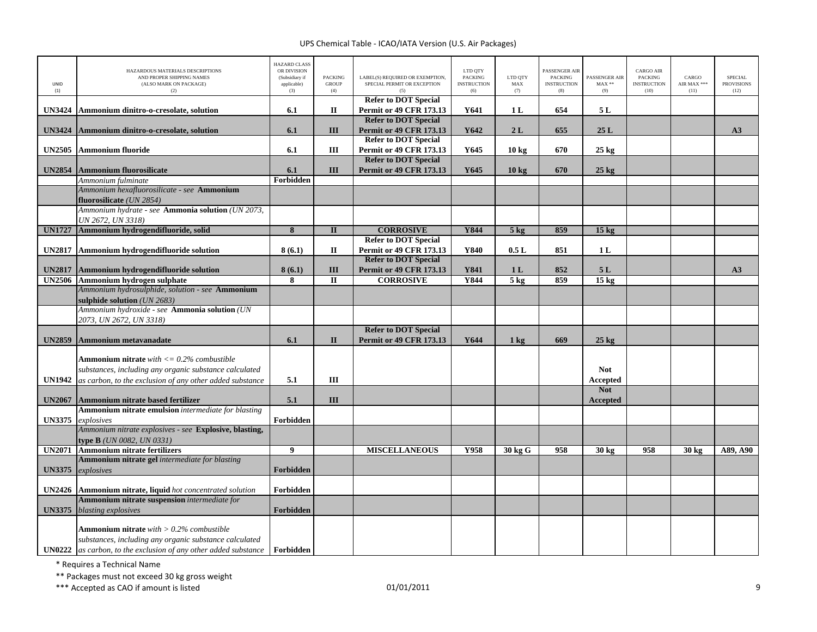| UNID<br>(1)                    | HAZARDOUS MATERIALS DESCRIPTIONS<br>AND PROPER SHIPPING NAMES<br>(ALSO MARK ON PACKAGE)<br>(2)                  | <b>HAZARD CLASS</b><br>OR DIVISION<br>(Subsidiary if<br>applicable)<br>(3) | <b>PACKING</b><br><b>GROUP</b><br>(4) | LABEL(S) REQUIRED OR EXEMPTION,<br>SPECIAL PERMIT OR EXCEPTION | LTD QTY<br><b>PACKING</b><br><b>INSTRUCTION</b><br>(6) | LTD QTY<br>${\rm MAX}$<br>(7) | PASSENGER AIR<br><b>PACKING</b><br><b>INSTRUCTION</b><br>(8) | PASSENGER AIR<br>$MAX**$<br>(9) | <b>CARGO AIR</b><br><b>PACKING</b><br><b>INSTRUCTION</b><br>(10) | CARGO<br>AIR MAX ***<br>(11) | <b>SPECIAL</b><br><b>PROVISIONS</b><br>(12) |
|--------------------------------|-----------------------------------------------------------------------------------------------------------------|----------------------------------------------------------------------------|---------------------------------------|----------------------------------------------------------------|--------------------------------------------------------|-------------------------------|--------------------------------------------------------------|---------------------------------|------------------------------------------------------------------|------------------------------|---------------------------------------------|
|                                |                                                                                                                 |                                                                            |                                       | <b>Refer to DOT Special</b>                                    |                                                        |                               |                                                              |                                 |                                                                  |                              |                                             |
| <b>UN3424</b>                  | Ammonium dinitro-o-cresolate, solution                                                                          | 6.1                                                                        | П                                     | <b>Permit or 49 CFR 173.13</b><br><b>Refer to DOT Special</b>  | Y641                                                   | 1 <sub>L</sub>                | 654                                                          | 5 L                             |                                                                  |                              |                                             |
| <b>UN3424</b>                  | Ammonium dinitro-o-cresolate, solution                                                                          | 6.1                                                                        | III                                   | <b>Permit or 49 CFR 173.13</b>                                 | Y642                                                   | 2L                            | 655                                                          | 25L                             |                                                                  |                              | A3                                          |
|                                |                                                                                                                 |                                                                            |                                       | <b>Refer to DOT Special</b>                                    |                                                        |                               |                                                              |                                 |                                                                  |                              |                                             |
| <b>UN2505</b>                  | Ammonium fluoride                                                                                               | 6.1                                                                        | Ш                                     | <b>Permit or 49 CFR 173.13</b>                                 | Y645                                                   | 10 kg                         | 670                                                          | $25 \text{ kg}$                 |                                                                  |                              |                                             |
|                                |                                                                                                                 |                                                                            |                                       | <b>Refer to DOT Special</b>                                    |                                                        |                               |                                                              |                                 |                                                                  |                              |                                             |
| <b>UN2854</b>                  | Ammonium fluorosilicate                                                                                         | 6.1                                                                        | Ш                                     | <b>Permit or 49 CFR 173.13</b>                                 | Y645                                                   | $10 \text{ kg}$               | 670                                                          | $25 \text{ kg}$                 |                                                                  |                              |                                             |
|                                | Ammonium fulminate                                                                                              | Forbidden                                                                  |                                       |                                                                |                                                        |                               |                                                              |                                 |                                                                  |                              |                                             |
|                                | Ammonium hexafluorosilicate - see Ammonium<br>fluorosilicate (UN 2854)                                          |                                                                            |                                       |                                                                |                                                        |                               |                                                              |                                 |                                                                  |                              |                                             |
|                                | Ammonium hydrate - see Ammonia solution (UN 2073,                                                               |                                                                            |                                       |                                                                |                                                        |                               |                                                              |                                 |                                                                  |                              |                                             |
|                                | UN 2672, UN 3318)                                                                                               |                                                                            |                                       |                                                                |                                                        |                               |                                                              |                                 |                                                                  |                              |                                             |
| <b>UN1727</b>                  | Ammonium hydrogendifluoride, solid                                                                              | 8                                                                          | $\mathbf{I}$                          | <b>CORROSIVE</b>                                               | Y844                                                   | $5$ kg                        | 859                                                          | 15 <sub>kg</sub>                |                                                                  |                              |                                             |
|                                |                                                                                                                 |                                                                            |                                       | <b>Refer to DOT Special</b>                                    |                                                        |                               |                                                              |                                 |                                                                  |                              |                                             |
| <b>UN2817</b>                  | Ammonium hydrogendifluoride solution                                                                            | 8(6.1)                                                                     | П                                     | <b>Permit or 49 CFR 173.13</b>                                 | Y840                                                   | 0.5L                          | 851                                                          | 1 <sub>L</sub>                  |                                                                  |                              |                                             |
|                                |                                                                                                                 |                                                                            |                                       | <b>Refer to DOT Special</b>                                    |                                                        |                               |                                                              |                                 |                                                                  |                              |                                             |
| <b>UN2817</b><br><b>UN2506</b> | Ammonium hydrogendifluoride solution<br>Ammonium hydrogen sulphate                                              | 8(6.1)<br>8                                                                | III<br>$\mathbf{I}$                   | <b>Permit or 49 CFR 173.13</b><br><b>CORROSIVE</b>             | Y841<br><b>Y844</b>                                    | 1 <sub>L</sub><br>$5$ kg      | 852<br>859                                                   | 5L<br>$15$ kg                   |                                                                  |                              | A3                                          |
|                                | Ammonium hydrosulphide, solution - see Ammonium                                                                 |                                                                            |                                       |                                                                |                                                        |                               |                                                              |                                 |                                                                  |                              |                                             |
|                                | sulphide solution (UN 2683)                                                                                     |                                                                            |                                       |                                                                |                                                        |                               |                                                              |                                 |                                                                  |                              |                                             |
|                                | Ammonium hydroxide - see Ammonia solution (UN                                                                   |                                                                            |                                       |                                                                |                                                        |                               |                                                              |                                 |                                                                  |                              |                                             |
|                                | 2073, UN 2672, UN 3318)                                                                                         |                                                                            |                                       |                                                                |                                                        |                               |                                                              |                                 |                                                                  |                              |                                             |
|                                |                                                                                                                 |                                                                            |                                       | <b>Refer to DOT Special</b>                                    |                                                        |                               |                                                              |                                 |                                                                  |                              |                                             |
| <b>UN2859</b>                  | Ammonium metavanadate                                                                                           | 6.1                                                                        | $\mathbf{I}$                          | <b>Permit or 49 CFR 173.13</b>                                 | Y644                                                   | $1 \text{ kg}$                | 669                                                          | $25$ kg                         |                                                                  |                              |                                             |
|                                |                                                                                                                 |                                                                            |                                       |                                                                |                                                        |                               |                                                              |                                 |                                                                  |                              |                                             |
|                                | <b>Ammonium nitrate</b> with $\leq 0.2\%$ combustible<br>substances, including any organic substance calculated |                                                                            |                                       |                                                                |                                                        |                               |                                                              | <b>Not</b>                      |                                                                  |                              |                                             |
| <b>UN1942</b>                  | as carbon, to the exclusion of any other added substance                                                        | 5.1                                                                        | III                                   |                                                                |                                                        |                               |                                                              | Accepted                        |                                                                  |                              |                                             |
|                                |                                                                                                                 |                                                                            |                                       |                                                                |                                                        |                               |                                                              | <b>Not</b>                      |                                                                  |                              |                                             |
| <b>UN2067</b>                  | Ammonium nitrate based fertilizer                                                                               | 5.1                                                                        | III                                   |                                                                |                                                        |                               |                                                              | <b>Accepted</b>                 |                                                                  |                              |                                             |
|                                | Ammonium nitrate emulsion intermediate for blasting                                                             |                                                                            |                                       |                                                                |                                                        |                               |                                                              |                                 |                                                                  |                              |                                             |
| <b>UN3375</b>                  | explosives                                                                                                      | Forbidden                                                                  |                                       |                                                                |                                                        |                               |                                                              |                                 |                                                                  |                              |                                             |
|                                | Ammonium nitrate explosives - see Explosive, blasting,                                                          |                                                                            |                                       |                                                                |                                                        |                               |                                                              |                                 |                                                                  |                              |                                             |
| <b>UN2071</b>                  | <b>type B</b> ( <i>UN 0082, UN 0331</i> )<br><b>Ammonium nitrate fertilizers</b>                                | $\overline{9}$                                                             |                                       | <b>MISCELLANEOUS</b>                                           | Y958                                                   | 30 kg G                       | 958                                                          | 30 kg                           | 958                                                              | $30$ kg                      | A89, A90                                    |
|                                | Ammonium nitrate gel intermediate for blasting                                                                  |                                                                            |                                       |                                                                |                                                        |                               |                                                              |                                 |                                                                  |                              |                                             |
| <b>UN3375</b>                  | explosives                                                                                                      | Forbidden                                                                  |                                       |                                                                |                                                        |                               |                                                              |                                 |                                                                  |                              |                                             |
|                                |                                                                                                                 |                                                                            |                                       |                                                                |                                                        |                               |                                                              |                                 |                                                                  |                              |                                             |
| <b>UN2426</b>                  | Ammonium nitrate, liquid hot concentrated solution                                                              | Forbidden                                                                  |                                       |                                                                |                                                        |                               |                                                              |                                 |                                                                  |                              |                                             |
|                                | Ammonium nitrate suspension intermediate for                                                                    |                                                                            |                                       |                                                                |                                                        |                               |                                                              |                                 |                                                                  |                              |                                             |
| <b>UN3375</b>                  | blasting explosives                                                                                             | Forbidden                                                                  |                                       |                                                                |                                                        |                               |                                                              |                                 |                                                                  |                              |                                             |
|                                | <b>Ammonium nitrate</b> with $> 0.2\%$ combustible                                                              |                                                                            |                                       |                                                                |                                                        |                               |                                                              |                                 |                                                                  |                              |                                             |
|                                | substances, including any organic substance calculated                                                          |                                                                            |                                       |                                                                |                                                        |                               |                                                              |                                 |                                                                  |                              |                                             |
| <b>UN0222</b>                  | as carbon, to the exclusion of any other added substance <b>Forbidden</b>                                       |                                                                            |                                       |                                                                |                                                        |                               |                                                              |                                 |                                                                  |                              |                                             |

\* Requires <sup>a</sup> Technical Name

\*\* Packages must not exceed 30 kg gross weight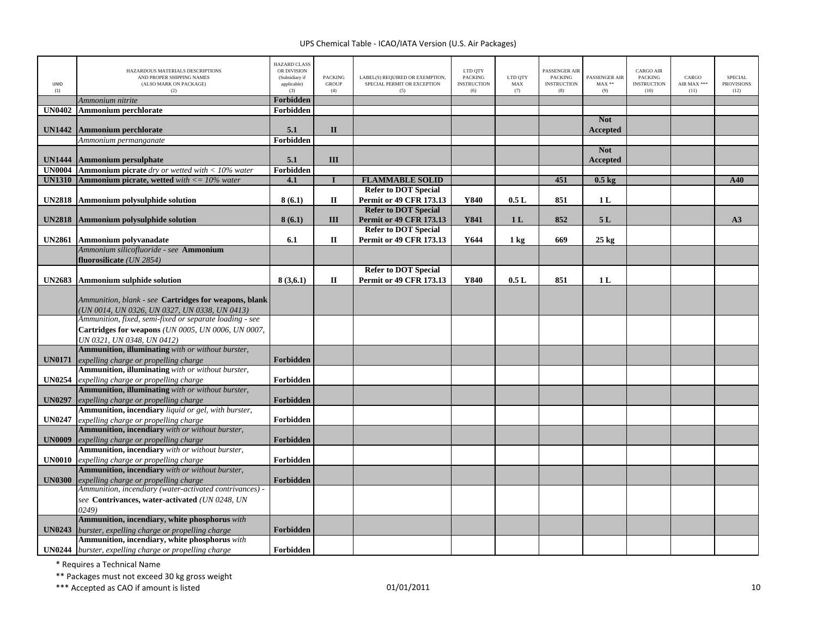| UNID<br>(1)   | HAZARDOUS MATERIALS DESCRIPTIONS<br>AND PROPER SHIPPING NAMES<br>(ALSO MARK ON PACKAGE)<br>(2)   | <b>HAZARD CLASS</b><br>OR DIVISION<br>(Subsidiary if<br>applicable)<br>(3) | <b>PACKING</b><br><b>GROUP</b><br>(4) | LABEL(S) REQUIRED OR EXEMPTION,<br>SPECIAL PERMIT OR EXCEPTION<br>(5) | LTD QTY<br><b>PACKING</b><br><b>INSTRUCTION</b><br>(6) | LTD QTY<br>MAX<br>(7) | PASSENGER AIR<br><b>PACKING</b><br><b>INSTRUCTION</b><br>(8) | PASSENGER AIR<br>$MAX**$<br>(9) | <b>CARGO AIR</b><br><b>PACKING</b><br><b>INSTRUCTION</b><br>(10) | CARGO<br>AIR MAX ***<br>(11) | <b>SPECIAL</b><br><b>PROVISIONS</b><br>(12) |
|---------------|--------------------------------------------------------------------------------------------------|----------------------------------------------------------------------------|---------------------------------------|-----------------------------------------------------------------------|--------------------------------------------------------|-----------------------|--------------------------------------------------------------|---------------------------------|------------------------------------------------------------------|------------------------------|---------------------------------------------|
|               | Ammonium nitrite                                                                                 | Forbidden                                                                  |                                       |                                                                       |                                                        |                       |                                                              |                                 |                                                                  |                              |                                             |
| <b>UN0402</b> | <b>Ammonium perchlorate</b>                                                                      | Forbidden                                                                  |                                       |                                                                       |                                                        |                       |                                                              |                                 |                                                                  |                              |                                             |
|               |                                                                                                  |                                                                            |                                       |                                                                       |                                                        |                       |                                                              | <b>Not</b>                      |                                                                  |                              |                                             |
| <b>UN1442</b> | <b>Ammonium perchlorate</b>                                                                      | 5.1                                                                        | $\mathbf{I}$                          |                                                                       |                                                        |                       |                                                              | Accepted                        |                                                                  |                              |                                             |
|               | Ammonium permanganate                                                                            | Forbidden                                                                  |                                       |                                                                       |                                                        |                       |                                                              |                                 |                                                                  |                              |                                             |
|               |                                                                                                  |                                                                            |                                       |                                                                       |                                                        |                       |                                                              | <b>Not</b>                      |                                                                  |                              |                                             |
| <b>UN1444</b> | Ammonium persulphate                                                                             | 5.1                                                                        | III                                   |                                                                       |                                                        |                       |                                                              | Accepted                        |                                                                  |                              |                                             |
| <b>UN0004</b> | <b>Ammonium picrate</b> dry or wetted with $<$ 10% water                                         | Forbidden                                                                  | $\mathbf{I}$                          |                                                                       |                                                        |                       |                                                              |                                 |                                                                  |                              |                                             |
| <b>UN1310</b> | <b>Ammonium picrate, wetted</b> with $\langle 10 \rangle$ water                                  | 4.1                                                                        |                                       | <b>FLAMMABLE SOLID</b><br><b>Refer to DOT Special</b>                 |                                                        |                       | 451                                                          | $0.5$ kg                        |                                                                  |                              | A40                                         |
|               |                                                                                                  |                                                                            |                                       |                                                                       |                                                        |                       |                                                              |                                 |                                                                  |                              |                                             |
|               | <b>UN2818</b> Ammonium polysulphide solution                                                     | 8(6.1)                                                                     | П                                     | <b>Permit or 49 CFR 173.13</b><br><b>Refer to DOT Special</b>         | Y840                                                   | 0.5L                  | 851                                                          | 1 <sub>L</sub>                  |                                                                  |                              |                                             |
|               |                                                                                                  |                                                                            | Ш                                     | <b>Permit or 49 CFR 173.13</b>                                        | <b>Y841</b>                                            | 1 <sub>L</sub>        | 852                                                          | 5L                              |                                                                  |                              | A3                                          |
| <b>UN2818</b> | Ammonium polysulphide solution                                                                   | 8(6.1)                                                                     |                                       | <b>Refer to DOT Special</b>                                           |                                                        |                       |                                                              |                                 |                                                                  |                              |                                             |
|               | UN2861 Ammonium polyvanadate                                                                     | 6.1                                                                        | $\mathbf{I}$                          | <b>Permit or 49 CFR 173.13</b>                                        | Y644                                                   | 1 <sub>kg</sub>       | 669                                                          | $25$ kg                         |                                                                  |                              |                                             |
|               | Ammonium silicofluoride - see Ammonium                                                           |                                                                            |                                       |                                                                       |                                                        |                       |                                                              |                                 |                                                                  |                              |                                             |
|               | fluorosilicate (UN 2854)                                                                         |                                                                            |                                       |                                                                       |                                                        |                       |                                                              |                                 |                                                                  |                              |                                             |
|               |                                                                                                  |                                                                            |                                       | <b>Refer to DOT Special</b>                                           |                                                        |                       |                                                              |                                 |                                                                  |                              |                                             |
|               | UN2683 Ammonium sulphide solution                                                                | 8(3,6.1)                                                                   | П                                     | <b>Permit or 49 CFR 173.13</b>                                        | Y840                                                   | 0.5L                  | 851                                                          | 1 <sub>L</sub>                  |                                                                  |                              |                                             |
|               |                                                                                                  |                                                                            |                                       |                                                                       |                                                        |                       |                                                              |                                 |                                                                  |                              |                                             |
|               | Ammunition, blank - see Cartridges for weapons, blank                                            |                                                                            |                                       |                                                                       |                                                        |                       |                                                              |                                 |                                                                  |                              |                                             |
|               | (UN 0014, UN 0326, UN 0327, UN 0338, UN 0413)                                                    |                                                                            |                                       |                                                                       |                                                        |                       |                                                              |                                 |                                                                  |                              |                                             |
|               | Ammunition, fixed, semi-fixed or separate loading - see                                          |                                                                            |                                       |                                                                       |                                                        |                       |                                                              |                                 |                                                                  |                              |                                             |
|               | Cartridges for weapons (UN 0005, UN 0006, UN 0007,                                               |                                                                            |                                       |                                                                       |                                                        |                       |                                                              |                                 |                                                                  |                              |                                             |
|               | UN 0321, UN 0348, UN 0412)                                                                       |                                                                            |                                       |                                                                       |                                                        |                       |                                                              |                                 |                                                                  |                              |                                             |
|               | Ammunition, illuminating with or without burster,                                                |                                                                            |                                       |                                                                       |                                                        |                       |                                                              |                                 |                                                                  |                              |                                             |
| <b>UN0171</b> | expelling charge or propelling charge                                                            | Forbidden                                                                  |                                       |                                                                       |                                                        |                       |                                                              |                                 |                                                                  |                              |                                             |
|               | Ammunition, illuminating with or without burster,                                                |                                                                            |                                       |                                                                       |                                                        |                       |                                                              |                                 |                                                                  |                              |                                             |
| <b>UN0254</b> | expelling charge or propelling charge                                                            | Forbidden                                                                  |                                       |                                                                       |                                                        |                       |                                                              |                                 |                                                                  |                              |                                             |
|               | <b>Ammunition, illuminating</b> with or without burster,                                         |                                                                            |                                       |                                                                       |                                                        |                       |                                                              |                                 |                                                                  |                              |                                             |
| <b>UN0297</b> | expelling charge or propelling charge                                                            | Forbidden                                                                  |                                       |                                                                       |                                                        |                       |                                                              |                                 |                                                                  |                              |                                             |
|               | Ammunition, incendiary liquid or gel, with burster,                                              |                                                                            |                                       |                                                                       |                                                        |                       |                                                              |                                 |                                                                  |                              |                                             |
| <b>UN0247</b> | expelling charge or propelling charge                                                            | Forbidden                                                                  |                                       |                                                                       |                                                        |                       |                                                              |                                 |                                                                  |                              |                                             |
|               | Ammunition, incendiary with or without burster,                                                  |                                                                            |                                       |                                                                       |                                                        |                       |                                                              |                                 |                                                                  |                              |                                             |
| <b>UN0009</b> | expelling charge or propelling charge                                                            | Forbidden                                                                  |                                       |                                                                       |                                                        |                       |                                                              |                                 |                                                                  |                              |                                             |
|               | Ammunition, incendiary with or without burster,                                                  |                                                                            |                                       |                                                                       |                                                        |                       |                                                              |                                 |                                                                  |                              |                                             |
| <b>UN0010</b> | expelling charge or propelling charge                                                            | Forbidden                                                                  |                                       |                                                                       |                                                        |                       |                                                              |                                 |                                                                  |                              |                                             |
|               | Ammunition, incendiary with or without burster,                                                  |                                                                            |                                       |                                                                       |                                                        |                       |                                                              |                                 |                                                                  |                              |                                             |
| <b>UN0300</b> | expelling charge or propelling charge<br>Ammunition, incendiary (water-activated contrivances) - | Forbidden                                                                  |                                       |                                                                       |                                                        |                       |                                                              |                                 |                                                                  |                              |                                             |
|               |                                                                                                  |                                                                            |                                       |                                                                       |                                                        |                       |                                                              |                                 |                                                                  |                              |                                             |
|               | see Contrivances, water-activated (UN 0248, UN                                                   |                                                                            |                                       |                                                                       |                                                        |                       |                                                              |                                 |                                                                  |                              |                                             |
|               | 0249)<br>Ammunition, incendiary, white phosphorus with                                           |                                                                            |                                       |                                                                       |                                                        |                       |                                                              |                                 |                                                                  |                              |                                             |
| <b>UN0243</b> | burster, expelling charge or propelling charge                                                   | Forbidden                                                                  |                                       |                                                                       |                                                        |                       |                                                              |                                 |                                                                  |                              |                                             |
|               | Ammunition, incendiary, white phosphorus with                                                    |                                                                            |                                       |                                                                       |                                                        |                       |                                                              |                                 |                                                                  |                              |                                             |
|               | UN0244 burster, expelling charge or propelling charge                                            | Forbidden                                                                  |                                       |                                                                       |                                                        |                       |                                                              |                                 |                                                                  |                              |                                             |

\* Requires <sup>a</sup> Technical Name

\*\* Packages must not exceed 30 kg gross weight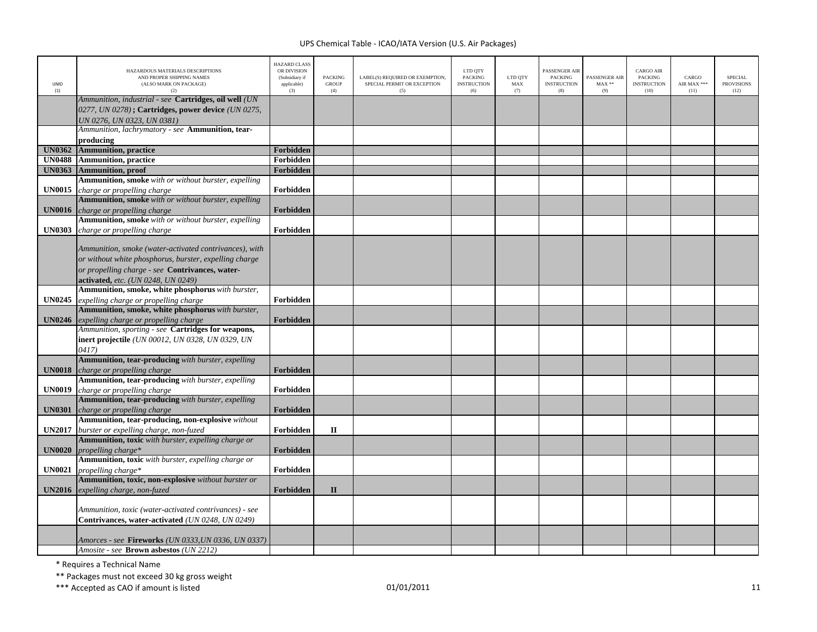| UNID<br>(1)   | HAZARDOUS MATERIALS DESCRIPTIONS<br>AND PROPER SHIPPING NAMES<br>(ALSO MARK ON PACKAGE)<br>(2)                                            | <b>HAZARD CLASS</b><br>OR DIVISION<br>(Subsidiary if<br>applicable)<br>(3) | <b>PACKING</b><br><b>GROUP</b><br>(4) | LABEL(S) REQUIRED OR EXEMPTION,<br>SPECIAL PERMIT OR EXCEPTION<br>(5) | LTD QTY<br><b>PACKING</b><br><b>INSTRUCTION</b><br>(6) | LTD QTY<br>MAX<br>(7) | PASSENGER AIF<br><b>PACKING</b><br><b>INSTRUCTION</b><br>(8) | PASSENGER AIR<br>$MAX**$<br>(9) | <b>CARGO AIR</b><br>PACKING<br><b>INSTRUCTION</b><br>(10) | CARGO<br>AIR MAX ***<br>(11) | <b>SPECIAL</b><br><b>PROVISIONS</b><br>(12) |
|---------------|-------------------------------------------------------------------------------------------------------------------------------------------|----------------------------------------------------------------------------|---------------------------------------|-----------------------------------------------------------------------|--------------------------------------------------------|-----------------------|--------------------------------------------------------------|---------------------------------|-----------------------------------------------------------|------------------------------|---------------------------------------------|
|               | Ammunition, industrial - see Cartridges, oil well (UN<br>0277, UN 0278); Cartridges, power device (UN 0275,<br>UN 0276, UN 0323, UN 0381) |                                                                            |                                       |                                                                       |                                                        |                       |                                                              |                                 |                                                           |                              |                                             |
|               | Ammunition, lachrymatory - see <b>Ammunition, tear-</b>                                                                                   |                                                                            |                                       |                                                                       |                                                        |                       |                                                              |                                 |                                                           |                              |                                             |
| <b>UN0362</b> | producing<br><b>Ammunition</b> , practice                                                                                                 | Forbidden                                                                  |                                       |                                                                       |                                                        |                       |                                                              |                                 |                                                           |                              |                                             |
| <b>UN0488</b> | <b>Ammunition</b> , practice                                                                                                              | Forbidden                                                                  |                                       |                                                                       |                                                        |                       |                                                              |                                 |                                                           |                              |                                             |
| <b>UN0363</b> | <b>Ammunition</b> , proof                                                                                                                 | Forbidden                                                                  |                                       |                                                                       |                                                        |                       |                                                              |                                 |                                                           |                              |                                             |
|               | <b>Ammunition, smoke</b> with or without burster, expelling                                                                               |                                                                            |                                       |                                                                       |                                                        |                       |                                                              |                                 |                                                           |                              |                                             |
| <b>UN0015</b> | charge or propelling charge                                                                                                               | Forbidden                                                                  |                                       |                                                                       |                                                        |                       |                                                              |                                 |                                                           |                              |                                             |
|               | Ammunition, smoke with or without burster, expelling                                                                                      |                                                                            |                                       |                                                                       |                                                        |                       |                                                              |                                 |                                                           |                              |                                             |
| <b>UN0016</b> | charge or propelling charge                                                                                                               | Forbidden                                                                  |                                       |                                                                       |                                                        |                       |                                                              |                                 |                                                           |                              |                                             |
|               | <b>Ammunition, smoke</b> with or without burster, expelling                                                                               |                                                                            |                                       |                                                                       |                                                        |                       |                                                              |                                 |                                                           |                              |                                             |
| <b>UN0303</b> | charge or propelling charge                                                                                                               | Forbidden                                                                  |                                       |                                                                       |                                                        |                       |                                                              |                                 |                                                           |                              |                                             |
|               |                                                                                                                                           |                                                                            |                                       |                                                                       |                                                        |                       |                                                              |                                 |                                                           |                              |                                             |
|               | Ammunition, smoke (water-activated contrivances), with                                                                                    |                                                                            |                                       |                                                                       |                                                        |                       |                                                              |                                 |                                                           |                              |                                             |
|               | or without white phosphorus, burster, expelling charge                                                                                    |                                                                            |                                       |                                                                       |                                                        |                       |                                                              |                                 |                                                           |                              |                                             |
|               | or propelling charge - see Contrivances, water-                                                                                           |                                                                            |                                       |                                                                       |                                                        |                       |                                                              |                                 |                                                           |                              |                                             |
|               | activated, etc. (UN 0248, UN 0249)                                                                                                        |                                                                            |                                       |                                                                       |                                                        |                       |                                                              |                                 |                                                           |                              |                                             |
|               | Ammunition, smoke, white phosphorus with burster,                                                                                         | Forbidden                                                                  |                                       |                                                                       |                                                        |                       |                                                              |                                 |                                                           |                              |                                             |
| <b>UN0245</b> | expelling charge or propelling charge<br>Ammunition, smoke, white phosphorus with burster,                                                |                                                                            |                                       |                                                                       |                                                        |                       |                                                              |                                 |                                                           |                              |                                             |
| <b>UN0246</b> | expelling charge or propelling charge                                                                                                     | Forbidden                                                                  |                                       |                                                                       |                                                        |                       |                                                              |                                 |                                                           |                              |                                             |
|               | Ammunition, sporting - see Cartridges for weapons,                                                                                        |                                                                            |                                       |                                                                       |                                                        |                       |                                                              |                                 |                                                           |                              |                                             |
|               | inert projectile (UN 00012, UN 0328, UN 0329, UN                                                                                          |                                                                            |                                       |                                                                       |                                                        |                       |                                                              |                                 |                                                           |                              |                                             |
|               | 0417)                                                                                                                                     |                                                                            |                                       |                                                                       |                                                        |                       |                                                              |                                 |                                                           |                              |                                             |
|               | Ammunition, tear-producing with burster, expelling                                                                                        |                                                                            |                                       |                                                                       |                                                        |                       |                                                              |                                 |                                                           |                              |                                             |
| <b>UN0018</b> | charge or propelling charge                                                                                                               | Forbidden                                                                  |                                       |                                                                       |                                                        |                       |                                                              |                                 |                                                           |                              |                                             |
|               | Ammunition, tear-producing with burster, expelling                                                                                        |                                                                            |                                       |                                                                       |                                                        |                       |                                                              |                                 |                                                           |                              |                                             |
| <b>UN0019</b> | charge or propelling charge                                                                                                               | Forbidden                                                                  |                                       |                                                                       |                                                        |                       |                                                              |                                 |                                                           |                              |                                             |
|               | Ammunition, tear-producing with burster, expelling                                                                                        |                                                                            |                                       |                                                                       |                                                        |                       |                                                              |                                 |                                                           |                              |                                             |
| <b>UN0301</b> | charge or propelling charge                                                                                                               | Forbidden                                                                  |                                       |                                                                       |                                                        |                       |                                                              |                                 |                                                           |                              |                                             |
|               | Ammunition, tear-producing, non-explosive without                                                                                         |                                                                            |                                       |                                                                       |                                                        |                       |                                                              |                                 |                                                           |                              |                                             |
| <b>UN2017</b> | burster or expelling charge, non-fuzed                                                                                                    | Forbidden                                                                  | $\mathbf{I}$                          |                                                                       |                                                        |                       |                                                              |                                 |                                                           |                              |                                             |
|               | Ammunition, toxic with burster, expelling charge or                                                                                       |                                                                            |                                       |                                                                       |                                                        |                       |                                                              |                                 |                                                           |                              |                                             |
| <b>UN0020</b> | propelling charge*<br>Ammunition, toxic with burster, expelling charge or                                                                 | Forbidden                                                                  |                                       |                                                                       |                                                        |                       |                                                              |                                 |                                                           |                              |                                             |
| <b>UN0021</b> | propelling charge*                                                                                                                        | Forbidden                                                                  |                                       |                                                                       |                                                        |                       |                                                              |                                 |                                                           |                              |                                             |
|               | Ammunition, toxic, non-explosive without burster or                                                                                       |                                                                            |                                       |                                                                       |                                                        |                       |                                                              |                                 |                                                           |                              |                                             |
| <b>UN2016</b> | expelling charge, non-fuzed                                                                                                               | Forbidden                                                                  | $\mathbf{I}$                          |                                                                       |                                                        |                       |                                                              |                                 |                                                           |                              |                                             |
|               |                                                                                                                                           |                                                                            |                                       |                                                                       |                                                        |                       |                                                              |                                 |                                                           |                              |                                             |
|               | Ammunition, toxic (water-activated contrivances) - see                                                                                    |                                                                            |                                       |                                                                       |                                                        |                       |                                                              |                                 |                                                           |                              |                                             |
|               | Contrivances, water-activated (UN 0248, UN 0249)                                                                                          |                                                                            |                                       |                                                                       |                                                        |                       |                                                              |                                 |                                                           |                              |                                             |
|               |                                                                                                                                           |                                                                            |                                       |                                                                       |                                                        |                       |                                                              |                                 |                                                           |                              |                                             |
|               | Amorces - see <b>Fireworks</b> (UN 0333,UN 0336, UN 0337)                                                                                 |                                                                            |                                       |                                                                       |                                                        |                       |                                                              |                                 |                                                           |                              |                                             |
|               | Amosite - see Brown asbestos (UN 2212)                                                                                                    |                                                                            |                                       |                                                                       |                                                        |                       |                                                              |                                 |                                                           |                              |                                             |

\* Requires <sup>a</sup> Technical Name

\*\* Packages must not exceed 30 kg gross weight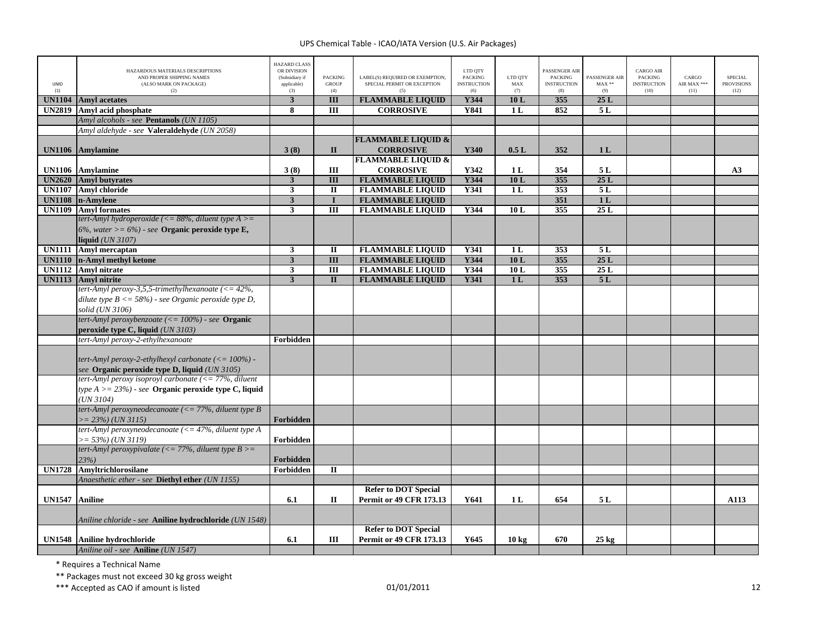| <b>UNID</b><br>(1) | HAZARDOUS MATERIALS DESCRIPTIONS<br>AND PROPER SHIPPING NAMES<br>(ALSO MARK ON PACKAGE)<br>(2) | <b>HAZARD CLASS</b><br>OR DIVISION<br>(Subsidiary if<br>applicable)<br>(3) | <b>PACKING</b><br><b>GROUP</b><br>(4) | LABEL(S) REQUIRED OR EXEMPTION.<br>SPECIAL PERMIT OR EXCEPTION | LTD QTY<br><b>PACKING</b><br><b>INSTRUCTION</b><br>(6) | LTD OTY<br>MAX<br>(7) | <b>PASSENGER AIR</b><br><b>PACKING</b><br><b>INSTRUCTION</b><br>(8) | PASSENGER AIR<br>$MAX**$<br>(9) | <b>CARGO AIR</b><br><b>PACKING</b><br><b>INSTRUCTION</b><br>(10) | CARGO<br>AIR MAX ***<br>(11) | <b>SPECIAL</b><br><b>PROVISIONS</b><br>(12) |
|--------------------|------------------------------------------------------------------------------------------------|----------------------------------------------------------------------------|---------------------------------------|----------------------------------------------------------------|--------------------------------------------------------|-----------------------|---------------------------------------------------------------------|---------------------------------|------------------------------------------------------------------|------------------------------|---------------------------------------------|
| <b>UN1104</b>      | <b>Amyl</b> acetates                                                                           | $\overline{\mathbf{3}}$                                                    | III                                   | <b>FLAMMABLE LIQUID</b>                                        | Y344                                                   | 10L                   | 355                                                                 | 25L                             |                                                                  |                              |                                             |
| <b>UN2819</b>      | Amyl acid phosphate                                                                            | 8                                                                          | $\overline{III}$                      | <b>CORROSIVE</b>                                               | <b>Y841</b>                                            | 1 <sub>L</sub>        | 852                                                                 | 5L                              |                                                                  |                              |                                             |
|                    | Amyl alcohols - see Pentanols (UN 1105)                                                        |                                                                            |                                       |                                                                |                                                        |                       |                                                                     |                                 |                                                                  |                              |                                             |
|                    | Amyl aldehyde - see Valeraldehyde (UN 2058)                                                    |                                                                            |                                       |                                                                |                                                        |                       |                                                                     |                                 |                                                                  |                              |                                             |
| <b>UN1106</b>      | Amylamine                                                                                      | 3(8)                                                                       | $\mathbf{I}$                          | <b>FLAMMABLE LIQUID &amp;</b><br><b>CORROSIVE</b>              | Y340                                                   | 0.5L                  | 352                                                                 | 1 <sub>L</sub>                  |                                                                  |                              |                                             |
|                    |                                                                                                |                                                                            |                                       | <b>FLAMMABLE LIQUID &amp;</b>                                  |                                                        |                       |                                                                     |                                 |                                                                  |                              |                                             |
| <b>UN1106</b>      | <b>Amylamine</b>                                                                               | 3(8)                                                                       | Ш                                     | <b>CORROSIVE</b>                                               | Y342                                                   | 1 <sub>L</sub>        | 354                                                                 | 5L                              |                                                                  |                              | A <sub>3</sub>                              |
| <b>UN2620</b>      | <b>Amyl butyrates</b>                                                                          | $\mathbf{3}$                                                               | $\mathbf{III}$                        | <b>FLAMMABLE LIQUID</b>                                        | Y344                                                   | 10L                   | 355                                                                 | 25L                             |                                                                  |                              |                                             |
|                    | <b>UN1107</b> Amyl chloride                                                                    | $\overline{\mathbf{3}}$                                                    | $\overline{\mathbf{u}}$               | <b>FLAMMABLE LIQUID</b>                                        | <b>Y341</b>                                            | 1 <sub>L</sub>        | 353                                                                 | 5L                              |                                                                  |                              |                                             |
| <b>UN1108</b>      | n-Amylene                                                                                      | $\overline{\mathbf{3}}$                                                    | $\mathbf{I}$                          | <b>FLAMMABLE LIQUID</b>                                        |                                                        |                       | 351                                                                 | 1L                              |                                                                  |                              |                                             |
| <b>UN1109</b>      | <b>Amvl formates</b>                                                                           | $\mathbf{3}$                                                               | $\overline{III}$                      | <b>FLAMMABLE LIQUID</b>                                        | Y344                                                   | 10L                   | 355                                                                 | 25L                             |                                                                  |                              |                                             |
|                    | tert-Amyl hydroperoxide (<= 88%, diluent type $A \geq$                                         |                                                                            |                                       |                                                                |                                                        |                       |                                                                     |                                 |                                                                  |                              |                                             |
|                    | 6%, water $> = 6\%$ ) - see Organic peroxide type E,                                           |                                                                            |                                       |                                                                |                                                        |                       |                                                                     |                                 |                                                                  |                              |                                             |
|                    | liquid $(UN 3107)$                                                                             |                                                                            |                                       |                                                                |                                                        |                       |                                                                     |                                 |                                                                  |                              |                                             |
| <b>UN1111</b>      | Amyl mercaptan                                                                                 | 3                                                                          | $\mathbf{I}$                          | <b>FLAMMABLE LIQUID</b>                                        | <b>Y341</b>                                            | 1 <sub>L</sub>        | 353                                                                 | 5L                              |                                                                  |                              |                                             |
|                    | UN1110 n-Amyl methyl ketone                                                                    | $\overline{\mathbf{3}}$                                                    | $\overline{III}$                      | <b>FLAMMABLE LIQUID</b>                                        | Y344                                                   | 10L                   | 355                                                                 | 25L                             |                                                                  |                              |                                             |
|                    | <b>UN1112</b> Amyl nitrate                                                                     | $\overline{\mathbf{3}}$                                                    | $\overline{\mathbf{H}}$               | <b>FLAMMABLE LIQUID</b>                                        | Y344                                                   | 10L                   | 355                                                                 | 25L                             |                                                                  |                              |                                             |
| <b>UN1113</b>      | <b>Amyl</b> nitrite                                                                            | $\overline{\mathbf{3}}$                                                    | $\overline{\mathbf{u}}$               | <b>FLAMMABLE LIQUID</b>                                        | Y341                                                   | 1 <sub>L</sub>        | 353                                                                 | 5L                              |                                                                  |                              |                                             |
|                    | tert-Amyl peroxy-3,5,5-trimethylhexanoate $\langle \langle = 42\%,$                            |                                                                            |                                       |                                                                |                                                        |                       |                                                                     |                                 |                                                                  |                              |                                             |
|                    | dilute type $B \le 58\%)$ - see Organic peroxide type D,                                       |                                                                            |                                       |                                                                |                                                        |                       |                                                                     |                                 |                                                                  |                              |                                             |
|                    | solid (UN 3106)                                                                                |                                                                            |                                       |                                                                |                                                        |                       |                                                                     |                                 |                                                                  |                              |                                             |
|                    | tert-Amyl peroxybenzoate $\left(\leq 100\% \right)$ - see Organic                              |                                                                            |                                       |                                                                |                                                        |                       |                                                                     |                                 |                                                                  |                              |                                             |
|                    | peroxide type C, liquid (UN 3103)                                                              |                                                                            |                                       |                                                                |                                                        |                       |                                                                     |                                 |                                                                  |                              |                                             |
|                    | tert-Amyl peroxy-2-ethylhexanoate                                                              | Forbidden                                                                  |                                       |                                                                |                                                        |                       |                                                                     |                                 |                                                                  |                              |                                             |
|                    |                                                                                                |                                                                            |                                       |                                                                |                                                        |                       |                                                                     |                                 |                                                                  |                              |                                             |
|                    | tert-Amyl peroxy-2-ethylhexyl carbonate $\left(\leq 100\%\right)$ -                            |                                                                            |                                       |                                                                |                                                        |                       |                                                                     |                                 |                                                                  |                              |                                             |
|                    | see Organic peroxide type D, liquid (UN 3105)                                                  |                                                                            |                                       |                                                                |                                                        |                       |                                                                     |                                 |                                                                  |                              |                                             |
|                    | tert-Amyl peroxy isoproyl carbonate ( $\leq$ 77%, diluent                                      |                                                                            |                                       |                                                                |                                                        |                       |                                                                     |                                 |                                                                  |                              |                                             |
|                    | type $A > = 23\%)$ - see Organic peroxide type C, liquid                                       |                                                                            |                                       |                                                                |                                                        |                       |                                                                     |                                 |                                                                  |                              |                                             |
|                    | (UN 3104)                                                                                      |                                                                            |                                       |                                                                |                                                        |                       |                                                                     |                                 |                                                                  |                              |                                             |
|                    | tert-Amyl peroxyneodecanoate (<= 77%, diluent type B                                           |                                                                            |                                       |                                                                |                                                        |                       |                                                                     |                                 |                                                                  |                              |                                             |
|                    | $= 23\%)$ (UN 3115)                                                                            | Forbidden                                                                  |                                       |                                                                |                                                        |                       |                                                                     |                                 |                                                                  |                              |                                             |
|                    | tert-Amyl peroxyneodecanoate (<= $47%$ , diluent type A                                        |                                                                            |                                       |                                                                |                                                        |                       |                                                                     |                                 |                                                                  |                              |                                             |
|                    | $>= 53\%$ ) (UN 3119)                                                                          | Forbidden                                                                  |                                       |                                                                |                                                        |                       |                                                                     |                                 |                                                                  |                              |                                             |
|                    | tert-Amyl peroxypivalate (<= 77%, diluent type $B >=$                                          |                                                                            |                                       |                                                                |                                                        |                       |                                                                     |                                 |                                                                  |                              |                                             |
|                    | 23%                                                                                            | Forbidden                                                                  |                                       |                                                                |                                                        |                       |                                                                     |                                 |                                                                  |                              |                                             |
| <b>UN1728</b>      | <b>Amyltrichlorosilane</b>                                                                     | Forbidden                                                                  | $\mathbf{I}$                          |                                                                |                                                        |                       |                                                                     |                                 |                                                                  |                              |                                             |
|                    | Anaesthetic ether - see Diethyl ether (UN 1155)                                                |                                                                            |                                       |                                                                |                                                        |                       |                                                                     |                                 |                                                                  |                              |                                             |
|                    |                                                                                                |                                                                            |                                       | <b>Refer to DOT Special</b>                                    |                                                        |                       |                                                                     |                                 |                                                                  |                              |                                             |
| <b>UN1547</b>      | <b>Aniline</b>                                                                                 | 6.1                                                                        | $\mathbf{I}$                          | <b>Permit or 49 CFR 173.13</b>                                 | Y641                                                   | 1 <sub>L</sub>        | 654                                                                 | 5 L                             |                                                                  |                              | A113                                        |
|                    | Aniline chloride - see Aniline hydrochloride (UN 1548)                                         |                                                                            |                                       |                                                                |                                                        |                       |                                                                     |                                 |                                                                  |                              |                                             |
|                    |                                                                                                |                                                                            |                                       | <b>Refer to DOT Special</b>                                    |                                                        |                       |                                                                     |                                 |                                                                  |                              |                                             |
| <b>UN1548</b>      | Aniline hydrochloride                                                                          | 6.1                                                                        | Ш                                     | <b>Permit or 49 CFR 173.13</b>                                 | Y645                                                   | 10 <sub>kg</sub>      | 670                                                                 | $25 \text{ kg}$                 |                                                                  |                              |                                             |
|                    | Aniline oil - see Aniline (UN 1547)                                                            |                                                                            |                                       |                                                                |                                                        |                       |                                                                     |                                 |                                                                  |                              |                                             |

\* Requires <sup>a</sup> Technical Name

\*\* Packages must not exceed 30 kg gross weight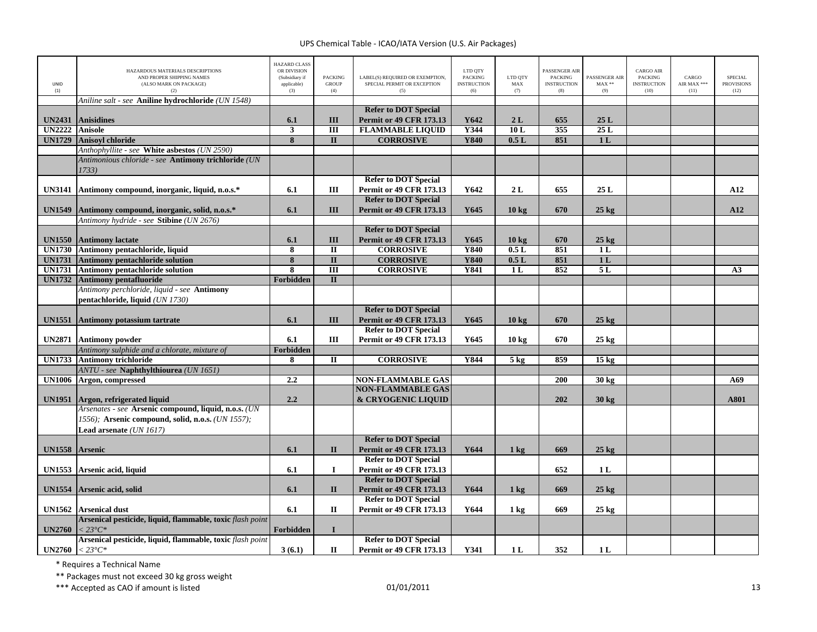| <b>UNID</b><br>(1) | HAZARDOUS MATERIALS DESCRIPTIONS<br>AND PROPER SHIPPING NAMES<br>(ALSO MARK ON PACKAGE)<br>(2) | <b>HAZARD CLASS</b><br>OR DIVISION<br>(Subsidiary if<br>applicable)<br>(3) | <b>PACKING</b><br><b>GROUP</b><br>(4) | LABEL(S) REOUIRED OR EXEMPTION.<br>SPECIAL PERMIT OR EXCEPTION<br>(5) | LTD QTY<br><b>PACKING</b><br><b>INSTRUCTION</b><br>(6) | LTD QTY<br>MAX<br>(7) | PASSENGER AIR<br><b>PACKING</b><br><b>INSTRUCTION</b><br>(8) | PASSENGER AIR<br>$MAX**$<br>(9) | <b>CARGO AIR</b><br><b>PACKING</b><br><b>INSTRUCTION</b><br>(10) | CARGO<br>AIR MAX ***<br>(11) | <b>SPECIAL</b><br><b>PROVISIONS</b><br>(12) |
|--------------------|------------------------------------------------------------------------------------------------|----------------------------------------------------------------------------|---------------------------------------|-----------------------------------------------------------------------|--------------------------------------------------------|-----------------------|--------------------------------------------------------------|---------------------------------|------------------------------------------------------------------|------------------------------|---------------------------------------------|
|                    | Aniline salt - see Aniline hydrochloride (UN 1548)                                             |                                                                            |                                       |                                                                       |                                                        |                       |                                                              |                                 |                                                                  |                              |                                             |
|                    |                                                                                                |                                                                            |                                       | <b>Refer to DOT Special</b>                                           |                                                        |                       |                                                              |                                 |                                                                  |                              |                                             |
| <b>UN2431</b>      | <b>Anisidines</b>                                                                              | 6.1                                                                        | III                                   | <b>Permit or 49 CFR 173.13</b>                                        | Y642                                                   | 2L                    | 655                                                          | 25L                             |                                                                  |                              |                                             |
| <b>UN2222</b>      | <b>Anisole</b>                                                                                 | 3                                                                          | III                                   | <b>FLAMMABLE LIQUID</b>                                               | Y344                                                   | 10L                   | 355                                                          | 25L                             |                                                                  |                              |                                             |
| <b>UN1729</b>      | <b>Anisovl chloride</b>                                                                        | 8                                                                          | $\overline{\mathbf{u}}$               | <b>CORROSIVE</b>                                                      | <b>Y840</b>                                            | 0.5L                  | 851                                                          | 1 <sub>L</sub>                  |                                                                  |                              |                                             |
|                    | Anthophyllite - see White asbestos (UN 2590)                                                   |                                                                            |                                       |                                                                       |                                                        |                       |                                                              |                                 |                                                                  |                              |                                             |
|                    | Antimonious chloride - see Antimony trichloride (UN                                            |                                                                            |                                       |                                                                       |                                                        |                       |                                                              |                                 |                                                                  |                              |                                             |
|                    | 1733)                                                                                          |                                                                            |                                       |                                                                       |                                                        |                       |                                                              |                                 |                                                                  |                              |                                             |
|                    |                                                                                                |                                                                            |                                       | <b>Refer to DOT Special</b>                                           |                                                        |                       |                                                              |                                 |                                                                  |                              |                                             |
| <b>UN3141</b>      | Antimony compound, inorganic, liquid, n.o.s.*                                                  | 6.1                                                                        | Ш                                     | <b>Permit or 49 CFR 173.13</b>                                        | Y642                                                   | 2L                    | 655                                                          | 25L                             |                                                                  |                              | A12                                         |
|                    |                                                                                                |                                                                            |                                       | <b>Refer to DOT Special</b>                                           |                                                        |                       |                                                              |                                 |                                                                  |                              |                                             |
| <b>UN1549</b>      | Antimony compound, inorganic, solid, n.o.s.*                                                   | 6.1                                                                        | III                                   | <b>Permit or 49 CFR 173.13</b>                                        | Y645                                                   | $10 \text{ kg}$       | 670                                                          | $25$ kg                         |                                                                  |                              | A12                                         |
|                    | Antimony hydride - see Stibine (UN 2676)                                                       |                                                                            |                                       |                                                                       |                                                        |                       |                                                              |                                 |                                                                  |                              |                                             |
|                    |                                                                                                |                                                                            |                                       | <b>Refer to DOT Special</b>                                           |                                                        |                       |                                                              |                                 |                                                                  |                              |                                             |
| <b>UN1550</b>      | <b>Antimony lactate</b>                                                                        | 6.1                                                                        | III                                   | <b>Permit or 49 CFR 173.13</b>                                        | Y645                                                   | $10 \text{ kg}$       | 670                                                          | $25 \text{ kg}$                 |                                                                  |                              |                                             |
| <b>UN1730</b>      | Antimony pentachloride, liquid                                                                 | 8                                                                          | $\overline{\mathbf{u}}$               | <b>CORROSIVE</b>                                                      | <b>Y840</b>                                            | 0.5L                  | 851                                                          | 1L                              |                                                                  |                              |                                             |
| <b>UN1731</b>      | <b>Antimony pentachloride solution</b>                                                         | 8                                                                          | $\mathbf{I}$                          | <b>CORROSIVE</b>                                                      | <b>Y840</b>                                            | 0.5L                  | 851                                                          | 1 <sub>L</sub>                  |                                                                  |                              |                                             |
| <b>UN1731</b>      | <b>Antimony pentachloride solution</b>                                                         | 8                                                                          | $\overline{III}$                      | <b>CORROSIVE</b>                                                      | <b>Y841</b>                                            | 1 <sub>L</sub>        | 852                                                          | 5L                              |                                                                  |                              | A <sub>3</sub>                              |
| <b>UN1732</b>      | <b>Antimony pentafluoride</b>                                                                  | Forbidden                                                                  | $\overline{\mathbf{u}}$               |                                                                       |                                                        |                       |                                                              |                                 |                                                                  |                              |                                             |
|                    | Antimony perchloride, liquid - see <b>Antimony</b>                                             |                                                                            |                                       |                                                                       |                                                        |                       |                                                              |                                 |                                                                  |                              |                                             |
|                    | pentachloride, liquid (UN 1730)                                                                |                                                                            |                                       |                                                                       |                                                        |                       |                                                              |                                 |                                                                  |                              |                                             |
|                    |                                                                                                |                                                                            |                                       | <b>Refer to DOT Special</b>                                           |                                                        |                       |                                                              |                                 |                                                                  |                              |                                             |
| <b>UN1551</b>      | <b>Antimony potassium tartrate</b>                                                             | 6.1                                                                        | Ш                                     | <b>Permit or 49 CFR 173.13</b>                                        | Y645                                                   | $10 \text{ kg}$       | 670                                                          | $25$ kg                         |                                                                  |                              |                                             |
|                    |                                                                                                |                                                                            |                                       | <b>Refer to DOT Special</b>                                           |                                                        |                       |                                                              |                                 |                                                                  |                              |                                             |
| <b>UN2871</b>      | <b>Antimony powder</b>                                                                         | 6.1                                                                        | Ш                                     | <b>Permit or 49 CFR 173.13</b>                                        | Y645                                                   | 10 <sub>kg</sub>      | 670                                                          | $25 \text{ kg}$                 |                                                                  |                              |                                             |
|                    | Antimony sulphide and a chlorate, mixture of                                                   | Forbidden                                                                  |                                       |                                                                       |                                                        |                       |                                                              |                                 |                                                                  |                              |                                             |
| <b>UN1733</b>      | <b>Antimony trichloride</b>                                                                    | 8                                                                          | $\mathbf{I}$                          | <b>CORROSIVE</b>                                                      | Y844                                                   | $5$ kg                | 859                                                          | $15 \text{ kg}$                 |                                                                  |                              |                                             |
|                    | ANTU - see Naphthylthiourea (UN 1651)                                                          |                                                                            |                                       |                                                                       |                                                        |                       |                                                              |                                 |                                                                  |                              |                                             |
| <b>UN1006</b>      | Argon, compressed                                                                              | 2.2                                                                        |                                       | <b>NON-FLAMMABLE GAS</b>                                              |                                                        |                       | 200                                                          | 30 kg                           |                                                                  |                              | A69                                         |
|                    |                                                                                                |                                                                            |                                       | <b>NON-FLAMMABLE GAS</b>                                              |                                                        |                       |                                                              |                                 |                                                                  |                              |                                             |
| UN1951             | Argon, refrigerated liquid                                                                     | 2.2                                                                        |                                       | & CRYOGENIC LIQUID                                                    |                                                        |                       | 202                                                          | $30 \text{ kg}$                 |                                                                  |                              | A801                                        |
|                    | Arsenates - see Arsenic compound, liquid, n.o.s. (UN                                           |                                                                            |                                       |                                                                       |                                                        |                       |                                                              |                                 |                                                                  |                              |                                             |
|                    | 1556); Arsenic compound, solid, n.o.s. (UN 1557);                                              |                                                                            |                                       |                                                                       |                                                        |                       |                                                              |                                 |                                                                  |                              |                                             |
|                    | Lead arsenate (UN 1617)                                                                        |                                                                            |                                       |                                                                       |                                                        |                       |                                                              |                                 |                                                                  |                              |                                             |
|                    |                                                                                                |                                                                            |                                       | <b>Refer to DOT Special</b>                                           |                                                        |                       |                                                              |                                 |                                                                  |                              |                                             |
| UN1558 Arsenic     |                                                                                                | 6.1                                                                        | $\mathbf{I}$                          | <b>Permit or 49 CFR 173.13</b>                                        | Y644                                                   | $1 \text{ kg}$        | 669                                                          | $25$ kg                         |                                                                  |                              |                                             |
|                    |                                                                                                |                                                                            |                                       | <b>Refer to DOT Special</b>                                           |                                                        |                       |                                                              |                                 |                                                                  |                              |                                             |
| <b>UN1553</b>      | Arsenic acid, liquid                                                                           | 6.1                                                                        | $\mathbf I$                           | <b>Permit or 49 CFR 173.13</b>                                        |                                                        |                       | 652                                                          | 1 <sub>L</sub>                  |                                                                  |                              |                                             |
|                    |                                                                                                |                                                                            |                                       | <b>Refer to DOT Special</b>                                           |                                                        |                       |                                                              |                                 |                                                                  |                              |                                             |
| <b>UN1554</b>      | Arsenic acid, solid                                                                            | 6.1                                                                        | $\mathbf{I}$                          | <b>Permit or 49 CFR 173.13</b>                                        | Y644                                                   | $1 \text{ kg}$        | 669                                                          | $25$ kg                         |                                                                  |                              |                                             |
|                    |                                                                                                |                                                                            |                                       | <b>Refer to DOT Special</b>                                           |                                                        |                       |                                                              |                                 |                                                                  |                              |                                             |
| <b>UN1562</b>      | <b>Arsenical dust</b>                                                                          | 6.1                                                                        | $\mathbf{I}$                          | <b>Permit or 49 CFR 173.13</b>                                        | Y644                                                   | $1 \text{ kg}$        | 669                                                          | $25 \text{ kg}$                 |                                                                  |                              |                                             |
|                    | Arsenical pesticide, liquid, flammable, toxic flash point                                      |                                                                            |                                       |                                                                       |                                                        |                       |                                                              |                                 |                                                                  |                              |                                             |
| <b>UN2760</b>      | $< 23^{\circ}C^*$                                                                              | Forbidden                                                                  | $\mathbf{I}$                          |                                                                       |                                                        |                       |                                                              |                                 |                                                                  |                              |                                             |
|                    | Arsenical pesticide, liquid, flammable, toxic flash point                                      |                                                                            |                                       | <b>Refer to DOT Special</b>                                           |                                                        |                       |                                                              |                                 |                                                                  |                              |                                             |
| <b>UN2760</b>      | $< 23^{\circ}C^*$                                                                              | 3(6.1)                                                                     | $\mathbf{I}$                          | <b>Permit or 49 CFR 173.13</b>                                        | Y341                                                   | 1 <sub>L</sub>        | 352                                                          | 1 <sub>L</sub>                  |                                                                  |                              |                                             |

\* Requires <sup>a</sup> Technical Name

\*\* Packages must not exceed 30 kg gross weight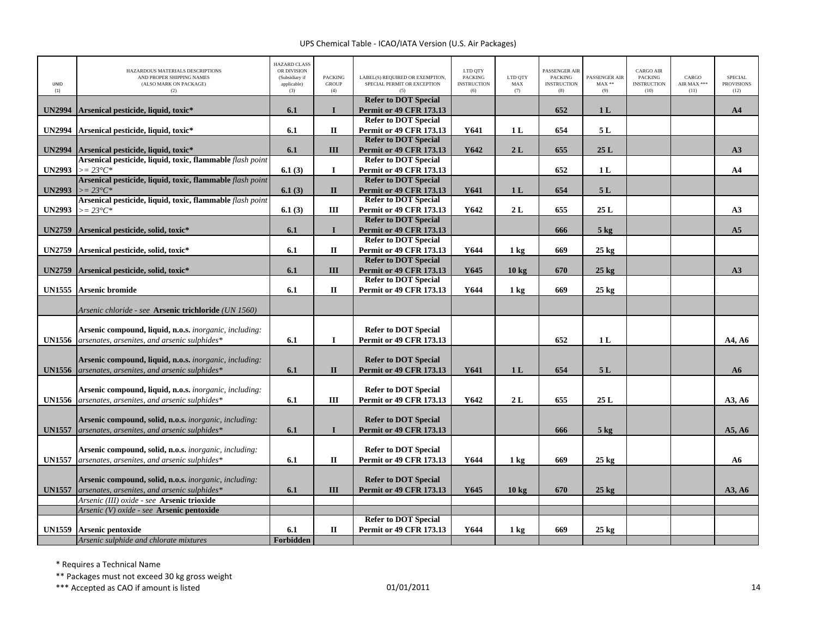| UNID<br>(1)   | HAZARDOUS MATERIALS DESCRIPTIONS<br>AND PROPER SHIPPING NAMES<br>(ALSO MARK ON PACKAGE)<br>(2)                         | <b>HAZARD CLASS</b><br>OR DIVISION<br>(Subsidiary if<br>applicable)<br>(3) | <b>PACKING</b><br><b>GROUP</b><br>(4) | LABEL(S) REQUIRED OR EXEMPTION,<br>SPECIAL PERMIT OR EXCEPTION | LTD QTY<br><b>PACKING</b><br><b>INSTRUCTION</b><br>(6) | LTD QTY<br>MAX<br>(7) | PASSENGER AIR<br><b>PACKING</b><br><b>INSTRUCTION</b><br>(8) | PASSENGER AIR<br>$MAX**$<br>(9) | <b>CARGO AIR</b><br><b>PACKING</b><br><b>INSTRUCTION</b><br>(10) | CARGO<br>AIR MAX ***<br>(11) | <b>SPECIAL</b><br><b>PROVISIONS</b><br>(12) |
|---------------|------------------------------------------------------------------------------------------------------------------------|----------------------------------------------------------------------------|---------------------------------------|----------------------------------------------------------------|--------------------------------------------------------|-----------------------|--------------------------------------------------------------|---------------------------------|------------------------------------------------------------------|------------------------------|---------------------------------------------|
| <b>UN2994</b> | Arsenical pesticide, liquid, toxic*                                                                                    | 6.1                                                                        | $\mathbf{I}$                          | <b>Refer to DOT Special</b><br><b>Permit or 49 CFR 173.13</b>  |                                                        |                       | 652                                                          | 1 <sub>L</sub>                  |                                                                  |                              | A <sub>4</sub>                              |
| <b>UN2994</b> | Arsenical pesticide, liquid, toxic*                                                                                    | 6.1                                                                        | П                                     | <b>Refer to DOT Special</b><br><b>Permit or 49 CFR 173.13</b>  | Y641                                                   | 1 <sub>L</sub>        | 654                                                          | 5L                              |                                                                  |                              |                                             |
|               |                                                                                                                        |                                                                            |                                       | <b>Refer to DOT Special</b>                                    |                                                        |                       |                                                              |                                 |                                                                  |                              |                                             |
| <b>UN2994</b> | Arsenical pesticide, liquid, toxic*                                                                                    | 6.1                                                                        | Ш                                     | <b>Permit or 49 CFR 173.13</b>                                 | Y642                                                   | 2L                    | 655                                                          | 25L                             |                                                                  |                              | A3                                          |
|               | Arsenical pesticide, liquid, toxic, flammable flash point                                                              |                                                                            |                                       | <b>Refer to DOT Special</b>                                    |                                                        |                       |                                                              |                                 |                                                                  |                              |                                             |
| <b>UN2993</b> | $>= 23^{\circ}C^*$                                                                                                     | 6.1(3)                                                                     | $\mathbf I$                           | Permit or 49 CFR 173.13                                        |                                                        |                       | 652                                                          | 1 <sub>L</sub>                  |                                                                  |                              | A <sub>4</sub>                              |
|               | Arsenical pesticide, liquid, toxic, flammable <i>flash point</i>                                                       |                                                                            |                                       | <b>Refer to DOT Special</b>                                    |                                                        |                       |                                                              |                                 |                                                                  |                              |                                             |
| <b>UN2993</b> | $>= 23^{\circ}C^*$                                                                                                     | 6.1(3)                                                                     | $\mathbf{I}$                          | <b>Permit or 49 CFR 173.13</b>                                 | Y641                                                   | 1 <sub>L</sub>        | 654                                                          | 5L                              |                                                                  |                              |                                             |
| <b>UN2993</b> | Arsenical pesticide, liquid, toxic, flammable flash point                                                              |                                                                            | Ш                                     | <b>Refer to DOT Special</b>                                    | Y642                                                   | 2L                    | 655                                                          | 25L                             |                                                                  |                              | A3                                          |
|               | $>= 23^{\circ}C^*$                                                                                                     | 6.1(3)                                                                     |                                       | <b>Permit or 49 CFR 173.13</b><br><b>Refer to DOT Special</b>  |                                                        |                       |                                                              |                                 |                                                                  |                              |                                             |
| <b>UN2759</b> | Arsenical pesticide, solid, toxic*                                                                                     | 6.1                                                                        | $\mathbf I$                           | <b>Permit or 49 CFR 173.13</b>                                 |                                                        |                       | 666                                                          | $5$ kg                          |                                                                  |                              | A <sub>5</sub>                              |
|               |                                                                                                                        |                                                                            |                                       | <b>Refer to DOT Special</b>                                    |                                                        |                       |                                                              |                                 |                                                                  |                              |                                             |
| <b>UN2759</b> | Arsenical pesticide, solid, toxic*                                                                                     | 6.1                                                                        | $\mathbf{I}$                          | <b>Permit or 49 CFR 173.13</b>                                 | Y644                                                   | $1 \text{ kg}$        | 669                                                          | $25 \text{ kg}$                 |                                                                  |                              |                                             |
|               |                                                                                                                        |                                                                            |                                       | <b>Refer to DOT Special</b>                                    |                                                        |                       |                                                              |                                 |                                                                  |                              |                                             |
| <b>UN2759</b> | Arsenical pesticide, solid, toxic*                                                                                     | 6.1                                                                        | III                                   | <b>Permit or 49 CFR 173.13</b>                                 | Y645                                                   | $10 \text{ kg}$       | 670                                                          | $25$ kg                         |                                                                  |                              | A3                                          |
|               |                                                                                                                        |                                                                            |                                       | <b>Refer to DOT Special</b>                                    |                                                        |                       |                                                              |                                 |                                                                  |                              |                                             |
| <b>UN1555</b> | <b>Arsenic bromide</b>                                                                                                 | 6.1                                                                        | $\mathbf{I}$                          | <b>Permit or 49 CFR 173.13</b>                                 | Y644                                                   | $1 \text{ kg}$        | 669                                                          | $25 \text{ kg}$                 |                                                                  |                              |                                             |
|               | Arsenic chloride - see A <b>rsenic trichloride</b> (UN 1560)                                                           |                                                                            |                                       |                                                                |                                                        |                       |                                                              |                                 |                                                                  |                              |                                             |
| <b>UN1556</b> | Arsenic compound, liquid, n.o.s. inorganic, including:<br>arsenates, arsenites, and arsenic sulphides*                 | 6.1                                                                        | I                                     | <b>Refer to DOT Special</b><br><b>Permit or 49 CFR 173.13</b>  |                                                        |                       | 652                                                          | 1 <sub>L</sub>                  |                                                                  |                              | A4. A6                                      |
| <b>UN1556</b> | Arsenic compound, liquid, n.o.s. <i>inorganic</i> , <i>including</i> :<br>arsenates, arsenites, and arsenic sulphides* | 6.1                                                                        | $\mathbf{I}$                          | <b>Refer to DOT Special</b><br><b>Permit or 49 CFR 173.13</b>  | Y641                                                   | 1 <sub>L</sub>        | 654                                                          | 5L                              |                                                                  |                              | A6                                          |
| <b>UN1556</b> | Arsenic compound, liquid, n.o.s. <i>inorganic</i> , <i>including</i> :<br>arsenates, arsenites, and arsenic sulphides* | 6.1                                                                        | Ш                                     | <b>Refer to DOT Special</b><br><b>Permit or 49 CFR 173.13</b>  | Y642                                                   | 2L                    | 655                                                          | 25L                             |                                                                  |                              | A3, A6                                      |
| <b>UN1557</b> | <b>Arsenic compound, solid, n.o.s.</b> inorganic, including:<br>arsenates, arsenites, and arsenic sulphides*           | 6.1                                                                        | $\bf{I}$                              | <b>Refer to DOT Special</b><br><b>Permit or 49 CFR 173.13</b>  |                                                        |                       | 666                                                          | $5 \text{ kg}$                  |                                                                  |                              | A5, A6                                      |
| <b>UN1557</b> | Arsenic compound, solid, n.o.s. <i>inorganic</i> , <i>including</i> :<br>arsenates, arsenites, and arsenic sulphides*  | 6.1                                                                        | $\mathbf{I}$                          | <b>Refer to DOT Special</b><br><b>Permit or 49 CFR 173.13</b>  | Y644                                                   | $1 \text{ kg}$        | 669                                                          | $25 \text{ kg}$                 |                                                                  |                              | A6                                          |
| <b>UN1557</b> | <b>Arsenic compound, solid, n.o.s.</b> inorganic, including:<br>arsenates, arsenites, and arsenic sulphides*           | 6.1                                                                        | III                                   | <b>Refer to DOT Special</b><br><b>Permit or 49 CFR 173.13</b>  | Y645                                                   | $10 \text{ kg}$       | 670                                                          | $25$ kg                         |                                                                  |                              | A3, A6                                      |
|               | Arsenic (III) oxide - see Arsenic trioxide<br>Arsenic (V) oxide - see Arsenic pentoxide                                |                                                                            |                                       |                                                                |                                                        |                       |                                                              |                                 |                                                                  |                              |                                             |
|               |                                                                                                                        |                                                                            |                                       | <b>Refer to DOT Special</b>                                    |                                                        |                       |                                                              |                                 |                                                                  |                              |                                             |
| <b>UN1559</b> | Arsenic pentoxide                                                                                                      | 6.1                                                                        | $\rm II$                              | <b>Permit or 49 CFR 173.13</b>                                 | Y644                                                   | 1 kg                  | 669                                                          | $25 \text{ kg}$                 |                                                                  |                              |                                             |
|               | Arsenic sulphide and chlorate mixtures                                                                                 | Forbidden                                                                  |                                       |                                                                |                                                        |                       |                                                              |                                 |                                                                  |                              |                                             |

\* Requires <sup>a</sup> Technical Name

\*\* Packages must not exceed 30 kg gross weight

\*\*\* Accepted as CAO if amount is listed  $01/01/2011$  and the control of the control of the control of the control of the control of the control of the control of the control of the control of the control of the control of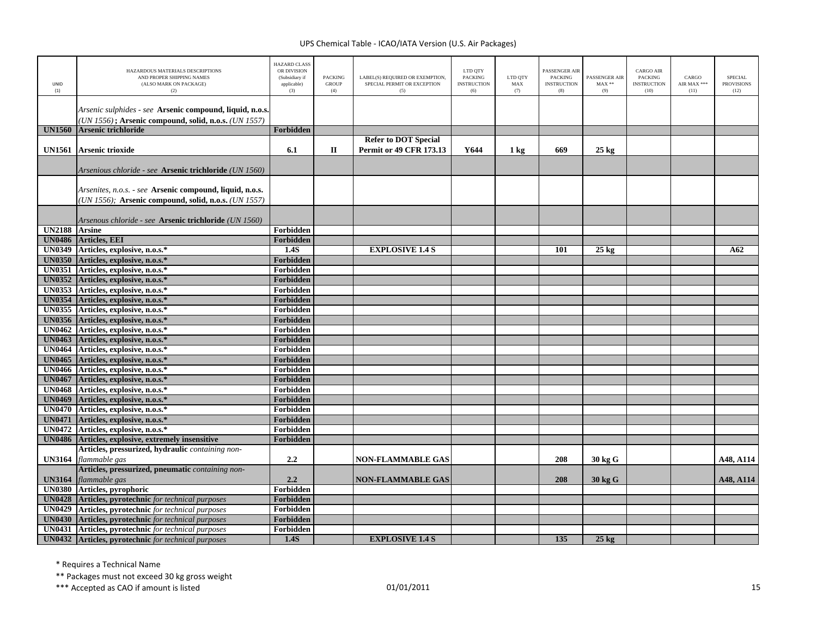| <b>UNID</b><br>(1)             | HAZARDOUS MATERIALS DESCRIPTIONS<br>AND PROPER SHIPPING NAMES<br>(ALSO MARK ON PACKAGE)<br>(2)                   | <b>HAZARD CLASS</b><br>OR DIVISION<br>(Subsidiary if<br>applicable)<br>(3) | <b>PACKING</b><br><b>GROUP</b><br>(4) | LABEL(S) REQUIRED OR EXEMPTION,<br>SPECIAL PERMIT OR EXCEPTION<br>(5) | LTD QTY<br><b>PACKING</b><br><b>INSTRUCTION</b><br>(6) | LTD QTY<br>MAX<br>(7) | PASSENGER AIR<br><b>PACKING</b><br><b>INSTRUCTION</b><br>(8) | PASSENGER AIR<br>$MAX**$<br>(9) | <b>CARGO AIR</b><br><b>PACKING</b><br><b>INSTRUCTION</b><br>(10) | CARGO<br>AIR MAX ***<br>(11) | <b>SPECIAL</b><br><b>PROVISIONS</b><br>(12) |
|--------------------------------|------------------------------------------------------------------------------------------------------------------|----------------------------------------------------------------------------|---------------------------------------|-----------------------------------------------------------------------|--------------------------------------------------------|-----------------------|--------------------------------------------------------------|---------------------------------|------------------------------------------------------------------|------------------------------|---------------------------------------------|
|                                | Arsenic sulphides - see Arsenic compound, liquid, n.o.s.<br>(UN 1556); Arsenic compound, solid, n.o.s. (UN 1557) |                                                                            |                                       |                                                                       |                                                        |                       |                                                              |                                 |                                                                  |                              |                                             |
| <b>UN1560</b>                  | Arsenic trichloride                                                                                              | Forbidden                                                                  |                                       |                                                                       |                                                        |                       |                                                              |                                 |                                                                  |                              |                                             |
|                                |                                                                                                                  |                                                                            |                                       | <b>Refer to DOT Special</b>                                           |                                                        |                       |                                                              |                                 |                                                                  |                              |                                             |
| <b>UN1561</b>                  | Arsenic trioxide                                                                                                 | 6.1                                                                        | $\mathbf{I}$                          | <b>Permit or 49 CFR 173.13</b>                                        | Y644                                                   | $1 \text{ kg}$        | 669                                                          | $25 \text{ kg}$                 |                                                                  |                              |                                             |
|                                | Arsenious chloride - see Arsenic trichloride (UN 1560)                                                           |                                                                            |                                       |                                                                       |                                                        |                       |                                                              |                                 |                                                                  |                              |                                             |
|                                | Arsenites, n.o.s. - see Arsenic compound, liquid, n.o.s.<br>(UN 1556); Arsenic compound, solid, n.o.s. (UN 1557) |                                                                            |                                       |                                                                       |                                                        |                       |                                                              |                                 |                                                                  |                              |                                             |
|                                | Arsenous chloride - see Arsenic trichloride (UN 1560)                                                            |                                                                            |                                       |                                                                       |                                                        |                       |                                                              |                                 |                                                                  |                              |                                             |
| UN2188 Arsine                  |                                                                                                                  | Forbidden                                                                  |                                       |                                                                       |                                                        |                       |                                                              |                                 |                                                                  |                              |                                             |
| <b>UN0486</b>                  | Articles, EEI                                                                                                    | Forbidden                                                                  |                                       |                                                                       |                                                        |                       |                                                              |                                 |                                                                  |                              |                                             |
|                                | UN0349 Articles, explosive, n.o.s.*                                                                              | $\overline{1.4S}$                                                          |                                       | <b>EXPLOSIVE 1.4 S</b>                                                |                                                        |                       | 101                                                          | $25 \text{ kg}$                 |                                                                  |                              | A62                                         |
| <b>UN0350</b><br><b>UN0351</b> | Articles, explosive, n.o.s.*<br>Articles, explosive, n.o.s.*                                                     | Forbidden<br>Forbidden                                                     |                                       |                                                                       |                                                        |                       |                                                              |                                 |                                                                  |                              |                                             |
| <b>UN0352</b>                  | Articles, explosive, n.o.s.*                                                                                     | Forbidden                                                                  |                                       |                                                                       |                                                        |                       |                                                              |                                 |                                                                  |                              |                                             |
| <b>UN0353</b>                  | Articles, explosive, n.o.s.*                                                                                     | Forbidden                                                                  |                                       |                                                                       |                                                        |                       |                                                              |                                 |                                                                  |                              |                                             |
| <b>UN0354</b>                  | Articles, explosive, n.o.s.*                                                                                     | Forbidden                                                                  |                                       |                                                                       |                                                        |                       |                                                              |                                 |                                                                  |                              |                                             |
|                                | UN0355 Articles, explosive, n.o.s.*                                                                              | Forbidden                                                                  |                                       |                                                                       |                                                        |                       |                                                              |                                 |                                                                  |                              |                                             |
|                                | UN0356 Articles, explosive, n.o.s.*                                                                              | Forbidden                                                                  |                                       |                                                                       |                                                        |                       |                                                              |                                 |                                                                  |                              |                                             |
|                                | UN0462 Articles, explosive, n.o.s.*                                                                              | Forbidden                                                                  |                                       |                                                                       |                                                        |                       |                                                              |                                 |                                                                  |                              |                                             |
|                                | UN0463 Articles, explosive, n.o.s.*                                                                              | Forbidden                                                                  |                                       |                                                                       |                                                        |                       |                                                              |                                 |                                                                  |                              |                                             |
|                                | UN0464 Articles, explosive, n.o.s.*                                                                              | Forbidden                                                                  |                                       |                                                                       |                                                        |                       |                                                              |                                 |                                                                  |                              |                                             |
|                                | UN0465 Articles, explosive, n.o.s.*                                                                              | Forbidden                                                                  |                                       |                                                                       |                                                        |                       |                                                              |                                 |                                                                  |                              |                                             |
|                                | UN0466 Articles, explosive, n.o.s.*                                                                              | Forbidden                                                                  |                                       |                                                                       |                                                        |                       |                                                              |                                 |                                                                  |                              |                                             |
|                                | UN0467 Articles, explosive, n.o.s.*                                                                              | Forbidden                                                                  |                                       |                                                                       |                                                        |                       |                                                              |                                 |                                                                  |                              |                                             |
|                                | UN0468 Articles, explosive, n.o.s.*                                                                              | Forbidden                                                                  |                                       |                                                                       |                                                        |                       |                                                              |                                 |                                                                  |                              |                                             |
|                                | UN0469 Articles, explosive, n.o.s.*                                                                              | Forbidden                                                                  |                                       |                                                                       |                                                        |                       |                                                              |                                 |                                                                  |                              |                                             |
| <b>UN0471</b>                  | UN0470 Articles, explosive, n.o.s.*<br>Articles, explosive, n.o.s.*                                              | Forbidden<br>Forbidden                                                     |                                       |                                                                       |                                                        |                       |                                                              |                                 |                                                                  |                              |                                             |
|                                | UN0472 Articles, explosive, n.o.s.*                                                                              | Forbidden                                                                  |                                       |                                                                       |                                                        |                       |                                                              |                                 |                                                                  |                              |                                             |
|                                | UN0486 Articles, explosive, extremely insensitive                                                                | Forbidden                                                                  |                                       |                                                                       |                                                        |                       |                                                              |                                 |                                                                  |                              |                                             |
|                                | Articles, pressurized, hydraulic containing non-                                                                 |                                                                            |                                       |                                                                       |                                                        |                       |                                                              |                                 |                                                                  |                              |                                             |
| <b>UN3164</b>                  | flammable gas                                                                                                    | 2.2                                                                        |                                       | <b>NON-FLAMMABLE GAS</b>                                              |                                                        |                       | 208                                                          | $30$ kg $\rm{G}$                |                                                                  |                              | A48, A114                                   |
| <b>UN3164</b>                  | Articles, pressurized, pneumatic containing non-<br>flammable gas                                                | 2.2                                                                        |                                       | <b>NON-FLAMMABLE GAS</b>                                              |                                                        |                       | 208                                                          | 30 kg G                         |                                                                  |                              | A48, A114                                   |
| <b>UN0380</b>                  | Articles, pyrophoric                                                                                             | <b>Forbidden</b>                                                           |                                       |                                                                       |                                                        |                       |                                                              |                                 |                                                                  |                              |                                             |
| <b>UN0428</b>                  | Articles, pyrotechnic for technical purposes                                                                     | Forbidden                                                                  |                                       |                                                                       |                                                        |                       |                                                              |                                 |                                                                  |                              |                                             |
| <b>UN0429</b>                  | Articles, pyrotechnic for technical purposes                                                                     | Forbidden                                                                  |                                       |                                                                       |                                                        |                       |                                                              |                                 |                                                                  |                              |                                             |
| <b>UN0430</b>                  | Articles, pyrotechnic for technical purposes                                                                     | Forbidden                                                                  |                                       |                                                                       |                                                        |                       |                                                              |                                 |                                                                  |                              |                                             |
| <b>UN0431</b>                  | Articles, pyrotechnic for technical purposes                                                                     | Forbidden                                                                  |                                       |                                                                       |                                                        |                       |                                                              |                                 |                                                                  |                              |                                             |
|                                | UN0432 Articles, pyrotechnic for technical purposes                                                              | 1.4S                                                                       |                                       | <b>EXPLOSIVE 1.4 S</b>                                                |                                                        |                       | 135                                                          | $25 \text{ kg}$                 |                                                                  |                              |                                             |

\* Requires <sup>a</sup> Technical Name

\*\* Packages must not exceed 30 kg gross weight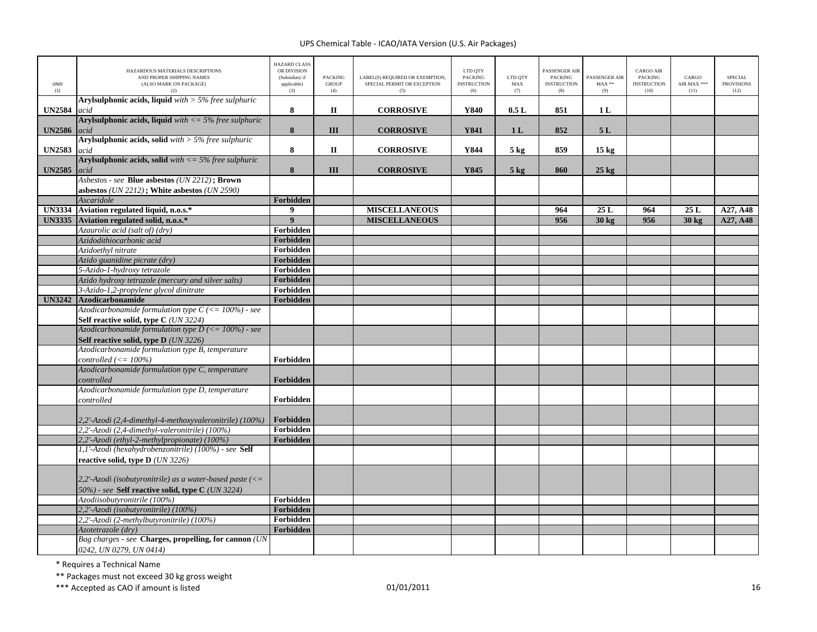| <b>UNID</b><br>(1) | HAZARDOUS MATERIALS DESCRIPTIONS<br>AND PROPER SHIPPING NAMES<br>(ALSO MARK ON PACKAGE)<br>(2) | <b>HAZARD CLASS</b><br>OR DIVISION<br>(Subsidiary if<br>applicable)<br>(3) | <b>PACKING</b><br><b>GROUP</b><br>(4) | LABEL(S) REQUIRED OR EXEMPTION,<br>SPECIAL PERMIT OR EXCEPTION<br>(5) | LTD QTY<br><b>PACKING</b><br><b>INSTRUCTION</b><br>(6) | LTD QTY<br>MAX<br>(7) | PASSENGER AIR<br><b>PACKING</b><br><b>INSTRUCTION</b><br>(8) | PASSENGER AIR<br>$\text{MAX}$ **<br>(9) | <b>CARGO AIR</b><br><b>PACKING</b><br><b>INSTRUCTION</b><br>(10) | CARGO<br>AIR MAX ***<br>(11) | <b>SPECIAL</b><br><b>PROVISIONS</b><br>(12) |
|--------------------|------------------------------------------------------------------------------------------------|----------------------------------------------------------------------------|---------------------------------------|-----------------------------------------------------------------------|--------------------------------------------------------|-----------------------|--------------------------------------------------------------|-----------------------------------------|------------------------------------------------------------------|------------------------------|---------------------------------------------|
| <b>UN2584</b>      | <b>Arylsulphonic acids, liquid</b> with $>$ 5% free sulphuric<br>acid                          | 8                                                                          | $\mathbf{I}$                          | <b>CORROSIVE</b>                                                      | Y840                                                   | 0.5L                  | 851                                                          | 1 <sub>L</sub>                          |                                                                  |                              |                                             |
|                    | <b>Arylsulphonic acids, liquid</b> with $\lt$ = 5% free sulphuric                              |                                                                            |                                       |                                                                       |                                                        |                       |                                                              |                                         |                                                                  |                              |                                             |
| <b>UN2586</b>      | acid                                                                                           | 8                                                                          | III                                   | <b>CORROSIVE</b>                                                      | <b>Y841</b>                                            | 1 <sub>L</sub>        | 852                                                          | 5L                                      |                                                                  |                              |                                             |
|                    | <b>Arylsulphonic acids, solid</b> with $>$ 5% free sulphuric                                   |                                                                            |                                       |                                                                       |                                                        |                       |                                                              |                                         |                                                                  |                              |                                             |
| <b>UN2583</b>      | acid                                                                                           | ${\bf 8}$                                                                  | $\mathbf{I}$                          | <b>CORROSIVE</b>                                                      | Y844                                                   | $5$ kg                | 859                                                          | 15 <sub>kg</sub>                        |                                                                  |                              |                                             |
|                    | <b>Arylsulphonic acids, solid</b> with $\lt$ = 5% free sulphuric                               |                                                                            |                                       |                                                                       |                                                        |                       |                                                              |                                         |                                                                  |                              |                                             |
| <b>UN2585</b>      | acid                                                                                           | 8                                                                          | III                                   | <b>CORROSIVE</b>                                                      | Y845                                                   | $5$ kg                | 860                                                          | $25$ kg                                 |                                                                  |                              |                                             |
|                    | Asbestos - see Blue asbestos (UN 2212); Brown                                                  |                                                                            |                                       |                                                                       |                                                        |                       |                                                              |                                         |                                                                  |                              |                                             |
|                    | asbestos (UN 2212); White asbestos (UN 2590)<br>Ascaridole                                     | Forbidden                                                                  |                                       |                                                                       |                                                        |                       |                                                              |                                         |                                                                  |                              |                                             |
| <b>UN3334</b>      | Aviation regulated liquid, n.o.s.*                                                             | $\boldsymbol{9}$                                                           |                                       | <b>MISCELLANEOUS</b>                                                  |                                                        |                       | 964                                                          | 25L                                     | 964                                                              | 25L                          | A27, A48                                    |
|                    | UN3335 Aviation regulated solid, n.o.s.*                                                       | $\overline{9}$                                                             |                                       | <b>MISCELLANEOUS</b>                                                  |                                                        |                       | 956                                                          | 30 kg                                   | 956                                                              | 30 kg                        | A27, A48                                    |
|                    | Azaurolic acid (salt of) (dry)                                                                 | Forbidden                                                                  |                                       |                                                                       |                                                        |                       |                                                              |                                         |                                                                  |                              |                                             |
|                    | Azidodithiocarbonic acid                                                                       | Forbidden                                                                  |                                       |                                                                       |                                                        |                       |                                                              |                                         |                                                                  |                              |                                             |
|                    | Azidoethyl nitrate                                                                             | Forbidden                                                                  |                                       |                                                                       |                                                        |                       |                                                              |                                         |                                                                  |                              |                                             |
|                    | Azido guanidine picrate (dry)                                                                  | Forbidden                                                                  |                                       |                                                                       |                                                        |                       |                                                              |                                         |                                                                  |                              |                                             |
|                    | 5-Azido-1-hydroxy tetrazole                                                                    | Forbidden                                                                  |                                       |                                                                       |                                                        |                       |                                                              |                                         |                                                                  |                              |                                             |
|                    | Azido hydroxy tetrazole (mercury and silver salts)                                             | Forbidden                                                                  |                                       |                                                                       |                                                        |                       |                                                              |                                         |                                                                  |                              |                                             |
|                    | 3-Azido-1,2-propylene glycol dinitrate                                                         | Forbidden                                                                  |                                       |                                                                       |                                                        |                       |                                                              |                                         |                                                                  |                              |                                             |
| <b>UN3242</b>      | <b>Azodicarbonamide</b>                                                                        | Forbidden                                                                  |                                       |                                                                       |                                                        |                       |                                                              |                                         |                                                                  |                              |                                             |
|                    | Azodicarbonamide formulation type $C \leq 100\%$ - see                                         |                                                                            |                                       |                                                                       |                                                        |                       |                                                              |                                         |                                                                  |                              |                                             |
|                    | Self reactive solid, type C (UN 3224)                                                          |                                                                            |                                       |                                                                       |                                                        |                       |                                                              |                                         |                                                                  |                              |                                             |
|                    | Azodicarbonamide formulation type $D \leq 100\%$ ) - see                                       |                                                                            |                                       |                                                                       |                                                        |                       |                                                              |                                         |                                                                  |                              |                                             |
|                    | Self reactive solid, type D (UN 3226)                                                          |                                                                            |                                       |                                                                       |                                                        |                       |                                                              |                                         |                                                                  |                              |                                             |
|                    | Azodicarbonamide formulation type B, temperature                                               |                                                                            |                                       |                                                                       |                                                        |                       |                                                              |                                         |                                                                  |                              |                                             |
|                    | controlled $\left(\leq 100\%\right)$<br>Azodicarbonamide formulation type C, temperature       | Forbidden                                                                  |                                       |                                                                       |                                                        |                       |                                                              |                                         |                                                                  |                              |                                             |
|                    | controlled                                                                                     | Forbidden                                                                  |                                       |                                                                       |                                                        |                       |                                                              |                                         |                                                                  |                              |                                             |
|                    | Azodicarbonamide formulation type D, temperature                                               |                                                                            |                                       |                                                                       |                                                        |                       |                                                              |                                         |                                                                  |                              |                                             |
|                    | controlled                                                                                     | Forbidden                                                                  |                                       |                                                                       |                                                        |                       |                                                              |                                         |                                                                  |                              |                                             |
|                    |                                                                                                |                                                                            |                                       |                                                                       |                                                        |                       |                                                              |                                         |                                                                  |                              |                                             |
|                    | 2,2'-Azodi (2,4-dimethyl-4-methoxyvaleronitrile) (100%)                                        | Forbidden                                                                  |                                       |                                                                       |                                                        |                       |                                                              |                                         |                                                                  |                              |                                             |
|                    | 2.2'-Azodi (2.4-dimethyl-valeronitrile) (100%)                                                 | Forbidden                                                                  |                                       |                                                                       |                                                        |                       |                                                              |                                         |                                                                  |                              |                                             |
|                    | 2,2'-Azodi (ethyl-2-methylpropionate) (100%)                                                   | Forbidden                                                                  |                                       |                                                                       |                                                        |                       |                                                              |                                         |                                                                  |                              |                                             |
|                    | 1,1'-Azodi (hexahydrobenzonitrile) (100%) - see Self                                           |                                                                            |                                       |                                                                       |                                                        |                       |                                                              |                                         |                                                                  |                              |                                             |
|                    | reactive solid, type $D$ ( <i>UN 3226</i> )                                                    |                                                                            |                                       |                                                                       |                                                        |                       |                                                              |                                         |                                                                  |                              |                                             |
|                    | 2,2'-Azodi (isobutyronitrile) as a water-based paste $\left(\leq$                              |                                                                            |                                       |                                                                       |                                                        |                       |                                                              |                                         |                                                                  |                              |                                             |
|                    | 50%) - see Self reactive solid, type C (UN 3224)                                               |                                                                            |                                       |                                                                       |                                                        |                       |                                                              |                                         |                                                                  |                              |                                             |
|                    | Azodiisobutyronitrile (100%)                                                                   | Forbidden                                                                  |                                       |                                                                       |                                                        |                       |                                                              |                                         |                                                                  |                              |                                             |
|                    | 2,2'-Azodi (isobutyronitrile) (100%)                                                           | Forbidden                                                                  |                                       |                                                                       |                                                        |                       |                                                              |                                         |                                                                  |                              |                                             |
|                    | 2,2'-Azodi (2-methylbutyronitrile) (100%)                                                      | Forbidden                                                                  |                                       |                                                                       |                                                        |                       |                                                              |                                         |                                                                  |                              |                                             |
|                    | Azotetrazole (dry)                                                                             | Forbidden                                                                  |                                       |                                                                       |                                                        |                       |                                                              |                                         |                                                                  |                              |                                             |
|                    | Bag charges - see Charges, propelling, for cannon (UN<br>0242, UN 0279, UN 0414)               |                                                                            |                                       |                                                                       |                                                        |                       |                                                              |                                         |                                                                  |                              |                                             |

\* Requires <sup>a</sup> Technical Name

\*\* Packages must not exceed 30 kg gross weight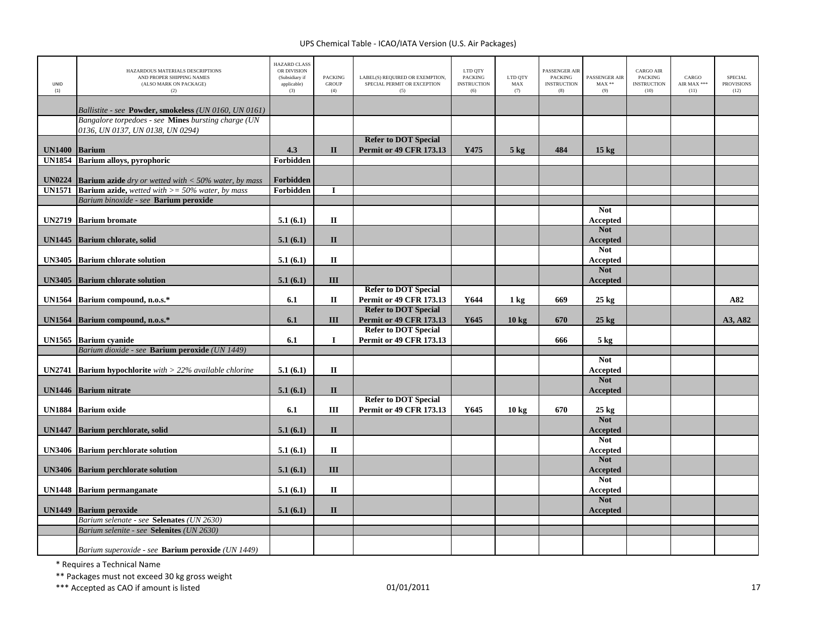| <b>UNID</b><br>(1)   | HAZARDOUS MATERIALS DESCRIPTIONS<br>AND PROPER SHIPPING NAMES<br>(ALSO MARK ON PACKAGE)<br>(2) | <b>HAZARD CLASS</b><br>OR DIVISION<br>(Subsidiary if<br>applicable)<br>(3) | <b>PACKING</b><br><b>GROUP</b><br>(4) | LABEL(S) REQUIRED OR EXEMPTION.<br>SPECIAL PERMIT OR EXCEPTION<br>(5) | LTD QTY<br><b>PACKING</b><br><b>INSTRUCTION</b><br>(6) | LTD QTY<br>MAX<br>(7) | <b>PASSENGER AIR</b><br><b>PACKING</b><br><b>INSTRUCTION</b><br>(8) | PASSENGER AIR<br>$MAX**$<br>(9) | <b>CARGO AIR</b><br><b>PACKING</b><br><b>INSTRUCTION</b><br>(10) | CARGO<br>AIR MAX ***<br>(11) | <b>SPECIAL</b><br><b>PROVISIONS</b><br>(12) |
|----------------------|------------------------------------------------------------------------------------------------|----------------------------------------------------------------------------|---------------------------------------|-----------------------------------------------------------------------|--------------------------------------------------------|-----------------------|---------------------------------------------------------------------|---------------------------------|------------------------------------------------------------------|------------------------------|---------------------------------------------|
|                      | Ballistite - see Powder, smokeless (UN 0160, UN 0161)                                          |                                                                            |                                       |                                                                       |                                                        |                       |                                                                     |                                 |                                                                  |                              |                                             |
|                      | Bangalore torpedoes - see Mines bursting charge (UN<br>0136, UN 0137, UN 0138, UN 0294)        |                                                                            |                                       |                                                                       |                                                        |                       |                                                                     |                                 |                                                                  |                              |                                             |
| <b>UN1400 Barium</b> |                                                                                                | 4.3                                                                        | $\mathbf{I}$                          | <b>Refer to DOT Special</b><br><b>Permit or 49 CFR 173.13</b>         | Y475                                                   | $5 \text{ kg}$        | 484                                                                 | $15 \text{ kg}$                 |                                                                  |                              |                                             |
|                      | UN1854 Barium alloys, pyrophoric                                                               | Forbidden                                                                  |                                       |                                                                       |                                                        |                       |                                                                     |                                 |                                                                  |                              |                                             |
| <b>UN0224</b>        | <b>Barium azide</b> dry or wetted with $<$ 50% water, by mass                                  | Forbidden                                                                  |                                       |                                                                       |                                                        |                       |                                                                     |                                 |                                                                  |                              |                                             |
|                      | <b>UN1571</b> Barium azide, wetted with $\geq$ 50% water, by mass                              | Forbidden                                                                  | I                                     |                                                                       |                                                        |                       |                                                                     |                                 |                                                                  |                              |                                             |
|                      | Barium binoxide - see Barium peroxide                                                          |                                                                            |                                       |                                                                       |                                                        |                       |                                                                     |                                 |                                                                  |                              |                                             |
|                      | <b>UN2719</b> Barium bromate                                                                   | 5.1(6.1)                                                                   | П                                     |                                                                       |                                                        |                       |                                                                     | <b>Not</b><br>Accepted          |                                                                  |                              |                                             |
|                      | UN1445 Barium chlorate, solid                                                                  | 5.1(6.1)                                                                   | $\mathbf{I}$                          |                                                                       |                                                        |                       |                                                                     | <b>Not</b><br>Accepted          |                                                                  |                              |                                             |
| <b>UN3405</b>        | <b>Barium chlorate solution</b>                                                                | 5.1(6.1)                                                                   | $\mathbf H$                           |                                                                       |                                                        |                       |                                                                     | <b>Not</b><br>Accepted          |                                                                  |                              |                                             |
| <b>UN3405</b>        | <b>Barium chlorate solution</b>                                                                | 5.1(6.1)                                                                   | III                                   |                                                                       |                                                        |                       |                                                                     | <b>Not</b><br>Accepted          |                                                                  |                              |                                             |
|                      | UN1564 Barium compound, n.o.s.*                                                                | 6.1                                                                        | П                                     | <b>Refer to DOT Special</b><br><b>Permit or 49 CFR 173.13</b>         | Y644                                                   | $1 \text{ kg}$        | 669                                                                 | $25 \text{ kg}$                 |                                                                  |                              | A82                                         |
|                      | UN1564 Barium compound, n.o.s.*                                                                | 6.1                                                                        | III                                   | <b>Refer to DOT Special</b><br><b>Permit or 49 CFR 173.13</b>         | Y645                                                   | $10 \text{ kg}$       | 670                                                                 | $25 \text{ kg}$                 |                                                                  |                              | A3, A82                                     |
|                      | UN1565 Barium cyanide                                                                          | 6.1                                                                        | $\bf{I}$                              | <b>Refer to DOT Special</b><br><b>Permit or 49 CFR 173.13</b>         |                                                        |                       | 666                                                                 | $5 \text{ kg}$                  |                                                                  |                              |                                             |
|                      | Barium dioxide - see Barium peroxide (UN 1449)                                                 |                                                                            |                                       |                                                                       |                                                        |                       |                                                                     |                                 |                                                                  |                              |                                             |
|                      | <b>UN2741</b> Barium hypochlorite with $>$ 22% available chlorine                              | 5.1(6.1)                                                                   | $\mathbf{I}$                          |                                                                       |                                                        |                       |                                                                     | <b>Not</b><br><b>Accepted</b>   |                                                                  |                              |                                             |
|                      | UN1446 Barium nitrate                                                                          | 5.1(6.1)                                                                   | $\mathbf{I}$                          |                                                                       |                                                        |                       |                                                                     | <b>Not</b><br>Accepted          |                                                                  |                              |                                             |
|                      | UN1884 Barium oxide                                                                            | 6.1                                                                        | Ш                                     | <b>Refer to DOT Special</b><br><b>Permit or 49 CFR 173.13</b>         | Y645                                                   | $10 \text{ kg}$       | 670                                                                 | $25 \text{ kg}$                 |                                                                  |                              |                                             |
| <b>UN1447</b>        | Barium perchlorate, solid                                                                      | 5.1(6.1)                                                                   | $\mathbf{I}$                          |                                                                       |                                                        |                       |                                                                     | <b>Not</b><br><b>Accepted</b>   |                                                                  |                              |                                             |
|                      | <b>UN3406</b> Barium perchlorate solution                                                      | 5.1(6.1)                                                                   | $\mathbf{I}$                          |                                                                       |                                                        |                       |                                                                     | <b>Not</b><br><b>Accepted</b>   |                                                                  |                              |                                             |
|                      | <b>UN3406</b> Barium perchlorate solution                                                      | 5.1(6.1)                                                                   | III                                   |                                                                       |                                                        |                       |                                                                     | <b>Not</b><br><b>Accepted</b>   |                                                                  |                              |                                             |
|                      | UN1448 Barium permanganate                                                                     | 5.1(6.1)                                                                   | $\mathbf H$                           |                                                                       |                                                        |                       |                                                                     | <b>Not</b><br>Accepted          |                                                                  |                              |                                             |
| <b>UN1449</b>        | <b>Barium</b> peroxide                                                                         | 5.1(6.1)                                                                   | $\mathbf{I}$                          |                                                                       |                                                        |                       |                                                                     | <b>Not</b><br>Accepted          |                                                                  |                              |                                             |
|                      | Barium selenate - see Selenates (UN 2630)<br>Barium selenite - see Selenites (UN 2630)         |                                                                            |                                       |                                                                       |                                                        |                       |                                                                     |                                 |                                                                  |                              |                                             |
|                      |                                                                                                |                                                                            |                                       |                                                                       |                                                        |                       |                                                                     |                                 |                                                                  |                              |                                             |
|                      | Barium superoxide - see <b>Barium peroxide</b> (UN 1449)                                       |                                                                            |                                       |                                                                       |                                                        |                       |                                                                     |                                 |                                                                  |                              |                                             |

\* Requires <sup>a</sup> Technical Name

\*\* Packages must not exceed 30 kg gross weight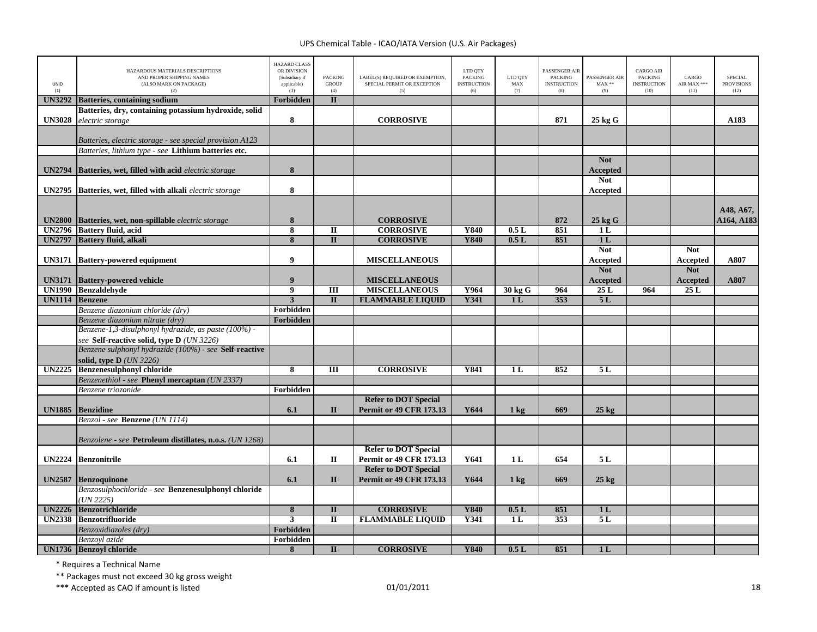| LINID<br>(1)  | HAZARDOUS MATERIALS DESCRIPTIONS<br>AND PROPER SHIPPING NAMES<br>(ALSO MARK ON PACKAGE)<br>(2)      | <b>HAZARD CLASS</b><br>OR DIVISION<br>(Subsidiary if<br>applicable)<br>(3) | <b>PACKING</b><br><b>GROUP</b><br>(4) | LABEL(S) REQUIRED OR EXEMPTION,<br>SPECIAL PERMIT OR EXCEPTION<br>(5) | LTD QTY<br><b>PACKING</b><br><b>INSTRUCTION</b><br>(6) | LTD QTY<br><b>MAX</b><br>(7) | PASSENGER AIR<br><b>PACKING</b><br><b>INSTRUCTION</b><br>(8) | PASSENGER AIR<br>$MAX**$<br>(9)      | <b>CARGO AIR</b><br><b>PACKING</b><br><b>INSTRUCTION</b><br>(10) | CARGO<br>AIR MAX ***<br>(11)         | <b>SPECIAL</b><br><b>PROVISIONS</b><br>(12) |
|---------------|-----------------------------------------------------------------------------------------------------|----------------------------------------------------------------------------|---------------------------------------|-----------------------------------------------------------------------|--------------------------------------------------------|------------------------------|--------------------------------------------------------------|--------------------------------------|------------------------------------------------------------------|--------------------------------------|---------------------------------------------|
| <b>UN3292</b> | <b>Batteries, containing sodium</b>                                                                 | Forbidden                                                                  | $\mathbf{I}$                          |                                                                       |                                                        |                              |                                                              |                                      |                                                                  |                                      |                                             |
|               | Batteries, dry, containing potassium hydroxide, solid                                               |                                                                            |                                       |                                                                       |                                                        |                              |                                                              |                                      |                                                                  |                                      |                                             |
| <b>UN3028</b> | electric storage                                                                                    | 8                                                                          |                                       | <b>CORROSIVE</b>                                                      |                                                        |                              | 871                                                          | $25$ kg G                            |                                                                  |                                      | A183                                        |
|               | Batteries, electric storage - see special provision A123                                            |                                                                            |                                       |                                                                       |                                                        |                              |                                                              |                                      |                                                                  |                                      |                                             |
|               | Batteries, lithium type - see Lithium batteries etc.                                                |                                                                            |                                       |                                                                       |                                                        |                              |                                                              |                                      |                                                                  |                                      |                                             |
| <b>UN2794</b> | Batteries, wet, filled with acid electric storage                                                   | $\bf 8$                                                                    |                                       |                                                                       |                                                        |                              |                                                              | <b>Not</b><br><b>Accepted</b>        |                                                                  |                                      |                                             |
| <b>UN2795</b> | Batteries, wet, filled with alkali electric storage                                                 | 8                                                                          |                                       |                                                                       |                                                        |                              |                                                              | <b>Not</b><br>Accepted               |                                                                  |                                      |                                             |
| <b>UN2800</b> | Batteries, wet, non-spillable electric storage                                                      | $8\phantom{1}$                                                             |                                       | <b>CORROSIVE</b>                                                      |                                                        |                              | 872                                                          | $25$ kg $G$                          |                                                                  |                                      | A48, A67,<br>A164, A183                     |
| <b>UN2796</b> | <b>Battery fluid, acid</b>                                                                          | 8                                                                          | П                                     | <b>CORROSIVE</b>                                                      | Y840                                                   | 0.5L                         | 851                                                          | 1 L                                  |                                                                  |                                      |                                             |
| <b>UN2797</b> | <b>Battery fluid, alkali</b>                                                                        | 8                                                                          | $\mathbf{I}$                          | <b>CORROSIVE</b>                                                      | <b>Y840</b>                                            | 0.5L                         | 851                                                          | 1 <sub>L</sub>                       |                                                                  |                                      |                                             |
| <b>UN3171</b> | <b>Battery-powered equipment</b>                                                                    | 9                                                                          |                                       | <b>MISCELLANEOUS</b>                                                  |                                                        |                              |                                                              | <b>Not</b><br>Accepted<br><b>Not</b> |                                                                  | <b>Not</b><br>Accepted<br><b>Not</b> | A807                                        |
| <b>UN3171</b> | <b>Battery-powered vehicle</b>                                                                      | 9                                                                          |                                       | <b>MISCELLANEOUS</b>                                                  |                                                        |                              |                                                              | Accepted                             |                                                                  | <b>Accepted</b>                      | A807                                        |
|               | UN1990 Benzaldehyde                                                                                 | 9                                                                          | Ш                                     | <b>MISCELLANEOUS</b>                                                  | Y964                                                   | 30 kg G                      | 964                                                          | 25L                                  | 964                                                              | 25L                                  |                                             |
| <b>UN1114</b> | <b>Benzene</b>                                                                                      | $\overline{3}$                                                             | $\mathbf{I}$                          | <b>FLAMMABLE LIQUID</b>                                               | <b>Y341</b>                                            | 1 <sub>L</sub>               | 353                                                          | 5L                                   |                                                                  |                                      |                                             |
|               | Benzene diazonium chloride (dry)                                                                    | Forbidden                                                                  |                                       |                                                                       |                                                        |                              |                                                              |                                      |                                                                  |                                      |                                             |
|               | Benzene diazonium nitrate (dry)                                                                     | Forbidden                                                                  |                                       |                                                                       |                                                        |                              |                                                              |                                      |                                                                  |                                      |                                             |
|               | Benzene-1,3-disulphonyl hydrazide, as paste (100%) -                                                |                                                                            |                                       |                                                                       |                                                        |                              |                                                              |                                      |                                                                  |                                      |                                             |
|               | see Self-reactive solid, type D (UN 3226)<br>Benzene sulphonyl hydrazide (100%) - see Self-reactive |                                                                            |                                       |                                                                       |                                                        |                              |                                                              |                                      |                                                                  |                                      |                                             |
|               | solid, type $D$ ( <i>UN 3226</i> )                                                                  |                                                                            |                                       |                                                                       |                                                        |                              |                                                              |                                      |                                                                  |                                      |                                             |
| <b>UN2225</b> | <b>Benzenesulphonyl chloride</b>                                                                    | 8                                                                          | Ш                                     | <b>CORROSIVE</b>                                                      | <b>Y841</b>                                            | 1 <sub>L</sub>               | 852                                                          | 5L                                   |                                                                  |                                      |                                             |
|               | Benzenethiol - see Phenyl mercaptan (UN 2337)                                                       |                                                                            |                                       |                                                                       |                                                        |                              |                                                              |                                      |                                                                  |                                      |                                             |
|               | Benzene triozonide                                                                                  | Forbidden                                                                  |                                       |                                                                       |                                                        |                              |                                                              |                                      |                                                                  |                                      |                                             |
|               |                                                                                                     |                                                                            |                                       | <b>Refer to DOT Special</b>                                           |                                                        |                              |                                                              |                                      |                                                                  |                                      |                                             |
| <b>UN1885</b> | <b>Benzidine</b>                                                                                    | 6.1                                                                        | $\mathbf{I}$                          | <b>Permit or 49 CFR 173.13</b>                                        | Y644                                                   | $1 \text{ kg}$               | 669                                                          | $25 \text{ kg}$                      |                                                                  |                                      |                                             |
|               | Benzol - see Benzene (UN 1114)                                                                      |                                                                            |                                       |                                                                       |                                                        |                              |                                                              |                                      |                                                                  |                                      |                                             |
|               |                                                                                                     |                                                                            |                                       |                                                                       |                                                        |                              |                                                              |                                      |                                                                  |                                      |                                             |
|               | Benzolene - see Petroleum distillates, n.o.s. (UN 1268)                                             |                                                                            |                                       |                                                                       |                                                        |                              |                                                              |                                      |                                                                  |                                      |                                             |
|               |                                                                                                     |                                                                            |                                       | <b>Refer to DOT Special</b>                                           |                                                        |                              |                                                              |                                      |                                                                  |                                      |                                             |
| <b>UN2224</b> | <b>Benzonitrile</b>                                                                                 | 6.1                                                                        | П                                     | Permit or 49 CFR 173.13                                               | Y641                                                   | 1 <sub>L</sub>               | 654                                                          | 5 L                                  |                                                                  |                                      |                                             |
|               |                                                                                                     |                                                                            |                                       | <b>Refer to DOT Special</b>                                           |                                                        |                              |                                                              |                                      |                                                                  |                                      |                                             |
| <b>UN2587</b> | <b>Benzoquinone</b>                                                                                 | 6.1                                                                        | $\mathbf{I}$                          | <b>Permit or 49 CFR 173.13</b>                                        | Y644                                                   | $1 \text{ kg}$               | 669                                                          | $25 \text{ kg}$                      |                                                                  |                                      |                                             |
|               | Benzosulphochloride - see Benzenesulphonyl chloride<br>(UN 2225)                                    |                                                                            |                                       |                                                                       |                                                        |                              |                                                              |                                      |                                                                  |                                      |                                             |
|               | UN2226 Benzotrichloride                                                                             | 8                                                                          | $\mathbf{I}$                          | <b>CORROSIVE</b>                                                      | <b>Y840</b>                                            | 0.5L                         | 851                                                          | 1 <sub>L</sub>                       |                                                                  |                                      |                                             |
| <b>UN2338</b> | <b>Benzotrifluoride</b>                                                                             | $\overline{3}$                                                             | $\overline{\mathbf{u}}$               | <b>FLAMMABLE LIQUID</b>                                               | <b>Y341</b>                                            | 1L                           | 353                                                          | 5L                                   |                                                                  |                                      |                                             |
|               | Benzoxidiazoles (dry)                                                                               | Forbidden                                                                  |                                       |                                                                       |                                                        |                              |                                                              |                                      |                                                                  |                                      |                                             |
|               | Benzovl azide                                                                                       | Forbidden                                                                  |                                       |                                                                       |                                                        |                              |                                                              |                                      |                                                                  |                                      |                                             |
|               | UN1736 Benzovl chloride                                                                             | 8                                                                          | $\mathbf{I}$                          | <b>CORROSIVE</b>                                                      | Y840                                                   | 0.5L                         | 851                                                          | 1 <sub>L</sub>                       |                                                                  |                                      |                                             |

\* Requires <sup>a</sup> Technical Name

\*\* Packages must not exceed 30 kg gross weight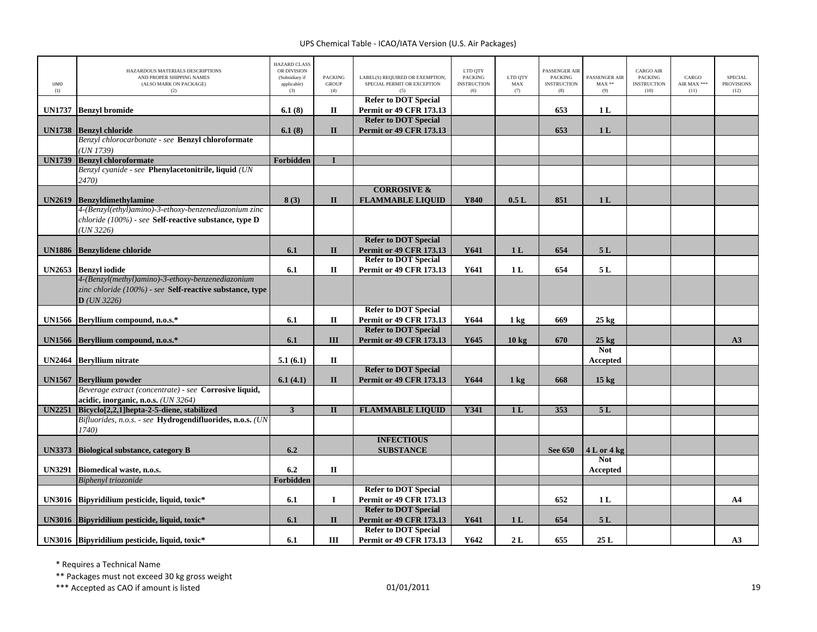| UNID<br>(1)   | HAZARDOUS MATERIALS DESCRIPTIONS<br>AND PROPER SHIPPING NAMES<br>(ALSO MARK ON PACKAGE)<br>(2) | <b>HAZARD CLASS</b><br>OR DIVISION<br>(Subsidiary if<br>applicable)<br>(3) | <b>PACKING</b><br><b>GROUP</b><br>(4) | LABEL(S) REQUIRED OR EXEMPTION.<br>SPECIAL PERMIT OR EXCEPTION | LTD QTY<br><b>PACKING</b><br><b>INSTRUCTION</b><br>(6) | LTD QTY<br>MAX<br>(7) | PASSENGER AIR<br><b>PACKING</b><br><b>INSTRUCTION</b><br>(8) | <b>PASSENGER AIR</b><br>$MAX**$<br>(9) | <b>CARGO AIR</b><br><b>PACKING</b><br><b>INSTRUCTION</b><br>(10) | CARGO<br>AIR MAX ***<br>(11) | <b>SPECIAL</b><br><b>PROVISIONS</b><br>(12) |
|---------------|------------------------------------------------------------------------------------------------|----------------------------------------------------------------------------|---------------------------------------|----------------------------------------------------------------|--------------------------------------------------------|-----------------------|--------------------------------------------------------------|----------------------------------------|------------------------------------------------------------------|------------------------------|---------------------------------------------|
| <b>UN1737</b> | <b>Benzyl bromide</b>                                                                          | 6.1(8)                                                                     | П                                     | <b>Refer to DOT Special</b><br>Permit or 49 CFR 173.13         |                                                        |                       | 653                                                          | 1 <sub>L</sub>                         |                                                                  |                              |                                             |
|               |                                                                                                |                                                                            |                                       | <b>Refer to DOT Special</b>                                    |                                                        |                       |                                                              |                                        |                                                                  |                              |                                             |
|               | UN1738 Benzyl chloride                                                                         | 6.1(8)                                                                     | $\mathbf{I}$                          | <b>Permit or 49 CFR 173.13</b>                                 |                                                        |                       | 653                                                          | 1 <sub>L</sub>                         |                                                                  |                              |                                             |
|               | Benzyl chlorocarbonate - see Benzyl chloroformate<br>(UN 1739)                                 |                                                                            |                                       |                                                                |                                                        |                       |                                                              |                                        |                                                                  |                              |                                             |
| <b>UN1739</b> | <b>Benzyl chloroformate</b>                                                                    | Forbidden                                                                  | T                                     |                                                                |                                                        |                       |                                                              |                                        |                                                                  |                              |                                             |
|               | Benzyl cyanide - see Phenylacetonitrile, liquid (UN<br>2470)                                   |                                                                            |                                       |                                                                |                                                        |                       |                                                              |                                        |                                                                  |                              |                                             |
| <b>UN2619</b> |                                                                                                | 8(3)                                                                       | $\mathbf{I}$                          | <b>CORROSIVE &amp;</b><br><b>FLAMMABLE LIQUID</b>              | Y840                                                   | 0.5L                  | 851                                                          |                                        |                                                                  |                              |                                             |
|               | Benzyldimethylamine<br>4-(Benzyl(ethyl)amino)-3-ethoxy-benzenediazonium zinc                   |                                                                            |                                       |                                                                |                                                        |                       |                                                              | 1 <sub>L</sub>                         |                                                                  |                              |                                             |
|               | chloride (100%) - see Self-reactive substance, type D<br>UN 3226                               |                                                                            |                                       |                                                                |                                                        |                       |                                                              |                                        |                                                                  |                              |                                             |
|               |                                                                                                |                                                                            |                                       | <b>Refer to DOT Special</b>                                    |                                                        |                       |                                                              |                                        |                                                                  |                              |                                             |
| <b>UN1886</b> | <b>Benzylidene chloride</b>                                                                    | 6.1                                                                        | $\mathbf{I}$                          | <b>Permit or 49 CFR 173.13</b>                                 | Y641                                                   | 1 <sub>L</sub>        | 654                                                          | 5L                                     |                                                                  |                              |                                             |
|               | UN2653 Benzyl iodide                                                                           | 6.1                                                                        | $\mathbf H$                           | <b>Refer to DOT Special</b><br><b>Permit or 49 CFR 173.13</b>  | Y641                                                   | 1 <sub>L</sub>        | 654                                                          | 5L                                     |                                                                  |                              |                                             |
|               | 4-(Benzyl(methyl)amino)-3-ethoxy-benzenediazonium                                              |                                                                            |                                       |                                                                |                                                        |                       |                                                              |                                        |                                                                  |                              |                                             |
|               | zinc chloride (100%) - see Self-reactive substance, type<br>$D$ ( <i>UN 3226</i> )             |                                                                            |                                       |                                                                |                                                        |                       |                                                              |                                        |                                                                  |                              |                                             |
|               | UN1566 Beryllium compound, n.o.s.*                                                             | 6.1                                                                        | П                                     | <b>Refer to DOT Special</b><br>Permit or 49 CFR 173.13         | Y644                                                   | $1 \text{ kg}$        | 669                                                          | $25 \text{ kg}$                        |                                                                  |                              |                                             |
|               | UN1566 Beryllium compound, n.o.s.*                                                             | 6.1                                                                        | III                                   | <b>Refer to DOT Special</b><br><b>Permit or 49 CFR 173.13</b>  | Y645                                                   | $10 \text{ kg}$       | 670                                                          | $25 \text{ kg}$                        |                                                                  |                              | A3                                          |
|               | UN2464 Beryllium nitrate                                                                       | 5.1(6.1)                                                                   | $\mathbf H$                           |                                                                |                                                        |                       |                                                              | <b>Not</b><br>Accepted                 |                                                                  |                              |                                             |
| <b>UN1567</b> | <b>Beryllium</b> powder                                                                        | 6.1(4.1)                                                                   | $\mathbf{I}$                          | <b>Refer to DOT Special</b><br><b>Permit or 49 CFR 173.13</b>  | Y644                                                   | $1 \text{ kg}$        | 668                                                          | 15 <sub>kg</sub>                       |                                                                  |                              |                                             |
|               | Beverage extract (concentrate) - see Corrosive liquid,<br>acidic, inorganic, n.o.s. (UN 3264)  |                                                                            |                                       |                                                                |                                                        |                       |                                                              |                                        |                                                                  |                              |                                             |
| <b>UN2251</b> | Bicyclo <sup>[2</sup> ,2,1]hepta-2-5-diene, stabilized                                         | $\mathbf{3}$                                                               | $\mathbf{I}$                          | <b>FLAMMABLE LIQUID</b>                                        | Y341                                                   | 1 <sub>L</sub>        | 353                                                          | 5L                                     |                                                                  |                              |                                             |
|               | Bifluorides, n.o.s. - see Hydrogendifluorides, n.o.s. (UN<br>1740)                             |                                                                            |                                       |                                                                |                                                        |                       |                                                              |                                        |                                                                  |                              |                                             |
| <b>UN3373</b> | <b>Biological substance, category B</b>                                                        | 6.2                                                                        |                                       | <b>INFECTIOUS</b><br><b>SUBSTANCE</b>                          |                                                        |                       | <b>See 650</b>                                               | 4 L or 4 kg                            |                                                                  |                              |                                             |
|               |                                                                                                |                                                                            |                                       |                                                                |                                                        |                       |                                                              | <b>Not</b>                             |                                                                  |                              |                                             |
| <b>UN3291</b> | Biomedical waste, n.o.s.                                                                       | 6.2                                                                        | $\mathbf{I}$                          |                                                                |                                                        |                       |                                                              | Accepted                               |                                                                  |                              |                                             |
|               | Biphenyl triozonide                                                                            | Forbidden                                                                  |                                       | <b>Refer to DOT Special</b>                                    |                                                        |                       |                                                              |                                        |                                                                  |                              |                                             |
|               | UN3016 Bipyridilium pesticide, liquid, toxic*                                                  | 6.1                                                                        | $\mathbf I$                           | <b>Permit or 49 CFR 173.13</b>                                 |                                                        |                       | 652                                                          | 1 <sub>L</sub>                         |                                                                  |                              | A <sub>4</sub>                              |
|               | UN3016 Bipyridilium pesticide, liquid, toxic*                                                  | 6.1                                                                        | $\mathbf{I}$                          | <b>Refer to DOT Special</b><br><b>Permit or 49 CFR 173.13</b>  | Y641                                                   | 1 <sub>L</sub>        | 654                                                          | 5L                                     |                                                                  |                              |                                             |
|               |                                                                                                |                                                                            |                                       | <b>Refer to DOT Special</b>                                    |                                                        |                       |                                                              |                                        |                                                                  |                              |                                             |
|               | UN3016 Bipyridilium pesticide, liquid, toxic*                                                  | 6.1                                                                        | III                                   | <b>Permit or 49 CFR 173.13</b>                                 | Y642                                                   | 2L                    | 655                                                          | 25L                                    |                                                                  |                              | A3                                          |

\* Requires <sup>a</sup> Technical Name

\*\* Packages must not exceed 30 kg gross weight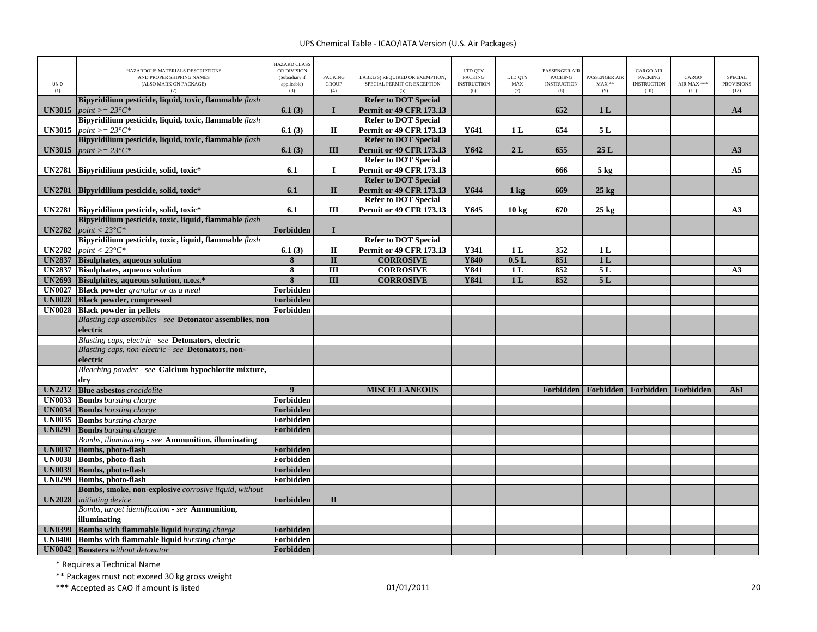| UNID<br>(1)   | HAZARDOUS MATERIALS DESCRIPTIONS<br>AND PROPER SHIPPING NAMES<br>(ALSO MARK ON PACKAGE)<br>(2) | <b>HAZARD CLASS</b><br>OR DIVISION<br>(Subsidiary if<br>applicable)<br>(3) | <b>PACKING</b><br><b>GROUP</b><br>(4) | LABEL(S) REQUIRED OR EXEMPTION,<br>SPECIAL PERMIT OR EXCEPTION<br>(5) | LTD QTY<br><b>PACKING</b><br><b>INSTRUCTION</b><br>(6) | LTD QTY<br>MAX<br>(7) | PASSENGER AIR<br><b>PACKING</b><br><b>INSTRUCTION</b><br>(8) | PASSENGER AIR<br>$MAX**$<br>(9) | <b>CARGO AIR</b><br><b>PACKING</b><br><b>INSTRUCTION</b><br>(10) | CARGO<br>AIR MAX ***<br>(11) | <b>SPECIAL</b><br><b>PROVISIONS</b><br>(12) |
|---------------|------------------------------------------------------------------------------------------------|----------------------------------------------------------------------------|---------------------------------------|-----------------------------------------------------------------------|--------------------------------------------------------|-----------------------|--------------------------------------------------------------|---------------------------------|------------------------------------------------------------------|------------------------------|---------------------------------------------|
| <b>UN3015</b> | Bipyridilium pesticide, liquid, toxic, flammable flash<br>$point >= 23^{\circ}C^*$             | 6.1(3)                                                                     | $\mathbf{I}$                          | <b>Refer to DOT Special</b><br><b>Permit or 49 CFR 173.13</b>         |                                                        |                       | 652                                                          | 1 <sub>L</sub>                  |                                                                  |                              | A <sub>4</sub>                              |
|               | Bipyridilium pesticide, liquid, toxic, flammable flash                                         |                                                                            |                                       | <b>Refer to DOT Special</b>                                           |                                                        |                       |                                                              |                                 |                                                                  |                              |                                             |
| <b>UN3015</b> | $point >= 23^{\circ}C^*$                                                                       | 6.1(3)                                                                     | П                                     | <b>Permit or 49 CFR 173.13</b>                                        | Y641                                                   | 1 <sub>L</sub>        | 654                                                          | 5L                              |                                                                  |                              |                                             |
|               | Bipyridilium pesticide, liquid, toxic, flammable flash                                         |                                                                            |                                       | <b>Refer to DOT Special</b>                                           |                                                        |                       |                                                              |                                 |                                                                  |                              |                                             |
| <b>UN3015</b> | $point >= 23^{\circ}C^*$                                                                       | 6.1(3)                                                                     | III                                   | <b>Permit or 49 CFR 173.13</b>                                        | Y642                                                   | 2L                    | 655                                                          | 25L                             |                                                                  |                              | A3                                          |
|               |                                                                                                |                                                                            |                                       | <b>Refer to DOT Special</b>                                           |                                                        |                       |                                                              |                                 |                                                                  |                              |                                             |
|               | UN2781 Bipyridilium pesticide, solid, toxic*                                                   | 6.1                                                                        | $\bf{I}$                              | <b>Permit or 49 CFR 173.13</b>                                        |                                                        |                       | 666                                                          | $5$ kg                          |                                                                  |                              | A <sub>5</sub>                              |
|               |                                                                                                |                                                                            |                                       | <b>Refer to DOT Special</b>                                           |                                                        |                       |                                                              |                                 |                                                                  |                              |                                             |
| <b>UN2781</b> | Bipyridilium pesticide, solid, toxic*                                                          | 6.1                                                                        | $\mathbf{I}$                          | <b>Permit or 49 CFR 173.13</b>                                        | Y644                                                   | $1 \text{ kg}$        | 669                                                          | $25$ kg                         |                                                                  |                              |                                             |
|               |                                                                                                |                                                                            |                                       | <b>Refer to DOT Special</b>                                           |                                                        |                       |                                                              |                                 |                                                                  |                              |                                             |
|               | UN2781 Bipyridilium pesticide, solid, toxic*                                                   | 6.1                                                                        | Ш                                     | <b>Permit or 49 CFR 173.13</b>                                        | Y645                                                   | $10 \text{ kg}$       | 670                                                          | $25 \text{ kg}$                 |                                                                  |                              | A3                                          |
|               | Bipyridilium pesticide, toxic, liquid, flammable flash                                         |                                                                            | $\mathbf I$                           |                                                                       |                                                        |                       |                                                              |                                 |                                                                  |                              |                                             |
| <b>UN2782</b> | point $<$ 23 $^{\circ}C^*$<br>Bipyridilium pesticide, toxic, liquid, flammable flash           | Forbidden                                                                  |                                       | <b>Refer to DOT Special</b>                                           |                                                        |                       |                                                              |                                 |                                                                  |                              |                                             |
| <b>UN2782</b> | point $<$ 23 $^{\circ}$ C*                                                                     | 6.1(3)                                                                     | $\mathbf{I}$                          | <b>Permit or 49 CFR 173.13</b>                                        | Y341                                                   | 1 <sub>L</sub>        | 352                                                          | 1 <sub>L</sub>                  |                                                                  |                              |                                             |
| <b>UN2837</b> | <b>Bisulphates, aqueous solution</b>                                                           | 8                                                                          | $\mathbf{I}$                          | <b>CORROSIVE</b>                                                      | <b>Y840</b>                                            | 0.5L                  | 851                                                          | 1 <sub>L</sub>                  |                                                                  |                              |                                             |
|               | <b>UN2837</b> Bisulphates, aqueous solution                                                    | 8                                                                          | $\overline{III}$                      | <b>CORROSIVE</b>                                                      | Y841                                                   | 1 <sub>L</sub>        | 852                                                          | 5L                              |                                                                  |                              | A3                                          |
| <b>UN2693</b> | Bisulphites, aqueous solution, n.o.s.*                                                         | $\overline{\mathbf{8}}$                                                    | $\overline{III}$                      | <b>CORROSIVE</b>                                                      | <b>Y841</b>                                            | 1 <sub>L</sub>        | 852                                                          | 5L                              |                                                                  |                              |                                             |
| <b>UN0027</b> | <b>Black powder</b> granular or as a meal                                                      | Forbidden                                                                  |                                       |                                                                       |                                                        |                       |                                                              |                                 |                                                                  |                              |                                             |
| <b>UN0028</b> | <b>Black powder, compressed</b>                                                                | Forbidden                                                                  |                                       |                                                                       |                                                        |                       |                                                              |                                 |                                                                  |                              |                                             |
|               | <b>UN0028</b> Black powder in pellets                                                          | Forbidden                                                                  |                                       |                                                                       |                                                        |                       |                                                              |                                 |                                                                  |                              |                                             |
|               | Blasting cap assemblies - see Detonator assemblies, non                                        |                                                                            |                                       |                                                                       |                                                        |                       |                                                              |                                 |                                                                  |                              |                                             |
|               | electric                                                                                       |                                                                            |                                       |                                                                       |                                                        |                       |                                                              |                                 |                                                                  |                              |                                             |
|               | Blasting caps, electric - see Detonators, electric                                             |                                                                            |                                       |                                                                       |                                                        |                       |                                                              |                                 |                                                                  |                              |                                             |
|               | Blasting caps, non-electric - see Detonators, non-                                             |                                                                            |                                       |                                                                       |                                                        |                       |                                                              |                                 |                                                                  |                              |                                             |
|               | electric                                                                                       |                                                                            |                                       |                                                                       |                                                        |                       |                                                              |                                 |                                                                  |                              |                                             |
|               | Bleaching powder - see Calcium hypochlorite mixture,                                           |                                                                            |                                       |                                                                       |                                                        |                       |                                                              |                                 |                                                                  |                              |                                             |
|               | drv                                                                                            |                                                                            |                                       |                                                                       |                                                        |                       |                                                              |                                 |                                                                  |                              |                                             |
| <b>UN2212</b> | <b>Blue asbestos</b> crocidolite                                                               | $\overline{9}$                                                             |                                       | <b>MISCELLANEOUS</b>                                                  |                                                        |                       | Forbidden                                                    | Forbidden                       | Forbidden                                                        | Forbidden                    | A61                                         |
| <b>UN0033</b> | <b>Bombs</b> bursting charge                                                                   | Forbidden                                                                  |                                       |                                                                       |                                                        |                       |                                                              |                                 |                                                                  |                              |                                             |
| <b>UN0034</b> | <b>Bombs</b> bursting charge                                                                   | Forbidden                                                                  |                                       |                                                                       |                                                        |                       |                                                              |                                 |                                                                  |                              |                                             |
| <b>UN0035</b> | <b>Bombs</b> bursting charge                                                                   | Forbidden                                                                  |                                       |                                                                       |                                                        |                       |                                                              |                                 |                                                                  |                              |                                             |
| <b>UN0291</b> | <b>Bombs</b> bursting charge                                                                   | Forbidden                                                                  |                                       |                                                                       |                                                        |                       |                                                              |                                 |                                                                  |                              |                                             |
|               | Bombs, illuminating - see Ammunition, illuminating                                             |                                                                            |                                       |                                                                       |                                                        |                       |                                                              |                                 |                                                                  |                              |                                             |
| <b>UN0037</b> | <b>Bombs</b> , photo-flash                                                                     | Forbidden                                                                  |                                       |                                                                       |                                                        |                       |                                                              |                                 |                                                                  |                              |                                             |
| <b>UN0038</b> | Bombs, photo-flash                                                                             | Forbidden                                                                  |                                       |                                                                       |                                                        |                       |                                                              |                                 |                                                                  |                              |                                             |
| <b>UN0039</b> | Bombs, photo-flash                                                                             | Forbidden                                                                  |                                       |                                                                       |                                                        |                       |                                                              |                                 |                                                                  |                              |                                             |
| <b>UN0299</b> | Bombs, photo-flash                                                                             | Forbidden                                                                  |                                       |                                                                       |                                                        |                       |                                                              |                                 |                                                                  |                              |                                             |
| <b>UN2028</b> | Bombs, smoke, non-explosive corrosive liquid, without<br>initiating device                     | Forbidden                                                                  | $\mathbf{I}$                          |                                                                       |                                                        |                       |                                                              |                                 |                                                                  |                              |                                             |
|               | Bombs, target identification - see Ammunition,                                                 |                                                                            |                                       |                                                                       |                                                        |                       |                                                              |                                 |                                                                  |                              |                                             |
|               | illuminating                                                                                   |                                                                            |                                       |                                                                       |                                                        |                       |                                                              |                                 |                                                                  |                              |                                             |
| <b>UN0399</b> | <b>Bombs with flammable liquid</b> bursting charge                                             | <b>Forbidden</b>                                                           |                                       |                                                                       |                                                        |                       |                                                              |                                 |                                                                  |                              |                                             |
| <b>UN0400</b> | <b>Bombs with flammable liquid</b> bursting charge                                             | Forbidden                                                                  |                                       |                                                                       |                                                        |                       |                                                              |                                 |                                                                  |                              |                                             |
|               | <b>UN0042</b> Boosters without detonator                                                       | Forbidden                                                                  |                                       |                                                                       |                                                        |                       |                                                              |                                 |                                                                  |                              |                                             |

\* Requires <sup>a</sup> Technical Name

\*\* Packages must not exceed 30 kg gross weight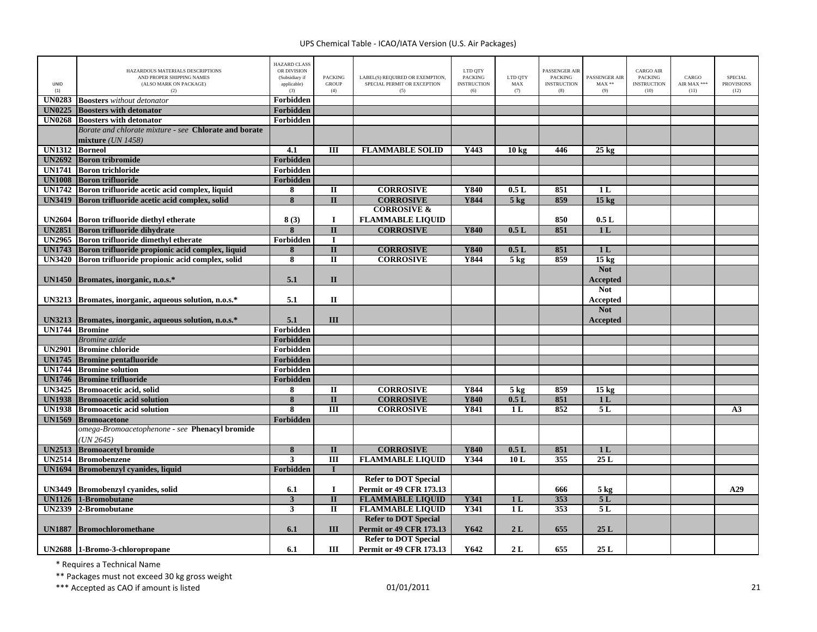| UNID<br>(1)    | HAZARDOUS MATERIALS DESCRIPTIONS<br>AND PROPER SHIPPING NAMES<br>(ALSO MARK ON PACKAGE)<br>(2) | <b>HAZARD CLASS</b><br>OR DIVISION<br>(Subsidiary if<br>applicable)<br>(3) | <b>PACKING</b><br><b>GROUP</b><br>(4) | LABEL(S) REQUIRED OR EXEMPTION,<br>SPECIAL PERMIT OR EXCEPTION<br>(5) | LTD QTY<br><b>PACKING</b><br><b>INSTRUCTION</b><br>(6) | LTD QTY<br>MAX<br>(7) | PASSENGER AIR<br><b>PACKING</b><br><b>INSTRUCTION</b><br>(8) | PASSENGER AIR<br>$MAX**$<br>(9) | <b>CARGO AIR</b><br><b>PACKING</b><br><b>INSTRUCTION</b><br>(10) | CARGO<br>AIR MAX ***<br>(11) | <b>SPECIAL</b><br><b>PROVISIONS</b><br>(12) |
|----------------|------------------------------------------------------------------------------------------------|----------------------------------------------------------------------------|---------------------------------------|-----------------------------------------------------------------------|--------------------------------------------------------|-----------------------|--------------------------------------------------------------|---------------------------------|------------------------------------------------------------------|------------------------------|---------------------------------------------|
| <b>UN0283</b>  | <b>Boosters</b> without detonator                                                              | Forbidden                                                                  |                                       |                                                                       |                                                        |                       |                                                              |                                 |                                                                  |                              |                                             |
| <b>UN0225</b>  | <b>Boosters with detonator</b>                                                                 | Forbidden                                                                  |                                       |                                                                       |                                                        |                       |                                                              |                                 |                                                                  |                              |                                             |
| <b>UN0268</b>  | <b>Boosters with detonator</b>                                                                 | Forbidden                                                                  |                                       |                                                                       |                                                        |                       |                                                              |                                 |                                                                  |                              |                                             |
|                | Borate and chlorate mixture - see Chlorate and borate                                          |                                                                            |                                       |                                                                       |                                                        |                       |                                                              |                                 |                                                                  |                              |                                             |
|                | mixture $(UN\ 1458)$                                                                           |                                                                            |                                       |                                                                       |                                                        |                       |                                                              |                                 |                                                                  |                              |                                             |
| UN1312         | <b>Borneol</b>                                                                                 | 4.1                                                                        | Ш                                     | <b>FLAMMABLE SOLID</b>                                                | Y443                                                   | 10 kg                 | 446                                                          | $25 \text{ kg}$                 |                                                                  |                              |                                             |
| <b>UN2692</b>  | <b>Boron tribromide</b>                                                                        | Forbidden                                                                  |                                       |                                                                       |                                                        |                       |                                                              |                                 |                                                                  |                              |                                             |
|                | <b>UN1741</b> Boron trichloride                                                                | Forbidden                                                                  |                                       |                                                                       |                                                        |                       |                                                              |                                 |                                                                  |                              |                                             |
| <b>UN1008</b>  | <b>Boron trifluoride</b>                                                                       | Forbidden                                                                  |                                       |                                                                       |                                                        |                       |                                                              |                                 |                                                                  |                              |                                             |
|                | UN1742 Boron trifluoride acetic acid complex, liquid                                           | 8                                                                          | $\mathbf{I}$                          | <b>CORROSIVE</b>                                                      | Y840                                                   | 0.5L                  | 851                                                          | 1 <sub>L</sub>                  |                                                                  |                              |                                             |
| <b>UN3419</b>  | Boron trifluoride acetic acid complex, solid                                                   | 8                                                                          | $\mathbf{I}$                          | <b>CORROSIVE</b>                                                      | <b>Y844</b>                                            | 5 <sub>kg</sub>       | 859                                                          | 15 <sub>kg</sub>                |                                                                  |                              |                                             |
|                |                                                                                                |                                                                            |                                       | <b>CORROSIVE &amp;</b>                                                |                                                        |                       |                                                              |                                 |                                                                  |                              |                                             |
| <b>UN2604</b>  | Boron trifluoride diethyl etherate                                                             | 8(3)                                                                       | $\bf{I}$                              | <b>FLAMMABLE LIQUID</b>                                               |                                                        |                       | 850                                                          | 0.5L                            |                                                                  |                              |                                             |
|                | <b>UN2851</b> Boron trifluoride dihydrate                                                      | 8                                                                          | $\overline{\mathbf{u}}$               | <b>CORROSIVE</b>                                                      | <b>Y840</b>                                            | 0.5L                  | 851                                                          | 1 <sub>L</sub>                  |                                                                  |                              |                                             |
|                | UN2965 Boron trifluoride dimethyl etherate                                                     | Forbidden                                                                  | $\bf{I}$                              |                                                                       |                                                        |                       |                                                              |                                 |                                                                  |                              |                                             |
|                | UN1743 Boron trifluoride propionic acid complex, liquid                                        | 8                                                                          | $\mathbf{I}$                          | <b>CORROSIVE</b>                                                      | Y840                                                   | 0.5L                  | 851                                                          | 1 <sub>L</sub>                  |                                                                  |                              |                                             |
|                | UN3420 Boron trifluoride propionic acid complex, solid                                         | 8                                                                          | $\overline{\mathbf{u}}$               | <b>CORROSIVE</b>                                                      | Y844                                                   | $5 \text{ kg}$        | 859                                                          | 15 <sub>kg</sub>                |                                                                  |                              |                                             |
|                |                                                                                                |                                                                            |                                       |                                                                       |                                                        |                       |                                                              | <b>Not</b>                      |                                                                  |                              |                                             |
|                | UN1450 Bromates, inorganic, n.o.s.*                                                            | 5.1                                                                        | $\mathbf{I}$                          |                                                                       |                                                        |                       |                                                              | <b>Accepted</b>                 |                                                                  |                              |                                             |
|                |                                                                                                |                                                                            |                                       |                                                                       |                                                        |                       |                                                              | <b>Not</b>                      |                                                                  |                              |                                             |
|                | UN3213 Bromates, inorganic, aqueous solution, n.o.s.*                                          | 5.1                                                                        | $\mathbf{I}$                          |                                                                       |                                                        |                       |                                                              | Accepted                        |                                                                  |                              |                                             |
|                |                                                                                                |                                                                            |                                       |                                                                       |                                                        |                       |                                                              | <b>Not</b>                      |                                                                  |                              |                                             |
| <b>UN3213</b>  | Bromates, inorganic, aqueous solution, n.o.s.*                                                 | 5.1                                                                        | III                                   |                                                                       |                                                        |                       |                                                              | Accepted                        |                                                                  |                              |                                             |
| UN1744 Bromine |                                                                                                | Forbidden                                                                  |                                       |                                                                       |                                                        |                       |                                                              |                                 |                                                                  |                              |                                             |
|                | Bromine azide                                                                                  | Forbidden                                                                  |                                       |                                                                       |                                                        |                       |                                                              |                                 |                                                                  |                              |                                             |
| <b>UN2901</b>  | <b>Bromine chloride</b>                                                                        | Forbidden                                                                  |                                       |                                                                       |                                                        |                       |                                                              |                                 |                                                                  |                              |                                             |
| <b>UN1745</b>  | <b>Bromine</b> pentafluoride                                                                   | Forbidden                                                                  |                                       |                                                                       |                                                        |                       |                                                              |                                 |                                                                  |                              |                                             |
|                | <b>UN1744</b> Bromine solution                                                                 | Forbidden                                                                  |                                       |                                                                       |                                                        |                       |                                                              |                                 |                                                                  |                              |                                             |
|                | UN1746 Bromine trifluoride                                                                     | Forbidden                                                                  |                                       |                                                                       |                                                        |                       |                                                              |                                 |                                                                  |                              |                                             |
|                | UN3425 Bromoacetic acid, solid                                                                 | 8                                                                          | $\mathbf{I}$                          | <b>CORROSIVE</b>                                                      | Y844                                                   | $5$ kg                | 859                                                          | 15 <sub>kg</sub>                |                                                                  |                              |                                             |
| <b>UN1938</b>  | <b>Bromoacetic acid solution</b>                                                               | 8                                                                          | $\overline{\mathbf{H}}$               | <b>CORROSIVE</b>                                                      | <b>Y840</b>                                            | 0.5L                  | 851                                                          | 1 <sub>L</sub>                  |                                                                  |                              |                                             |
|                | <b>UN1938</b> Bromoacetic acid solution                                                        | 8                                                                          | $\overline{III}$                      | <b>CORROSIVE</b>                                                      | <b>Y841</b>                                            | 1 <sub>L</sub>        | 852                                                          | 5L                              |                                                                  |                              | A3                                          |
| <b>UN1569</b>  | <b>Bromoacetone</b>                                                                            | Forbidden                                                                  |                                       |                                                                       |                                                        |                       |                                                              |                                 |                                                                  |                              |                                             |
|                | omega-Bromoacetophenone - see Phenacyl bromide                                                 |                                                                            |                                       |                                                                       |                                                        |                       |                                                              |                                 |                                                                  |                              |                                             |
|                | (UN 2645)                                                                                      |                                                                            |                                       |                                                                       |                                                        |                       |                                                              |                                 |                                                                  |                              |                                             |
| <b>UN2513</b>  | <b>Bromoacetyl bromide</b>                                                                     | 8                                                                          | $\mathbf{I}$                          | <b>CORROSIVE</b>                                                      | Y840                                                   | 0.5L                  | 851                                                          | 1 <sub>L</sub>                  |                                                                  |                              |                                             |
| <b>UN2514</b>  | <b>Bromobenzene</b>                                                                            | 3                                                                          | $\overline{III}$                      | <b>FLAMMABLE LIQUID</b>                                               | Y344                                                   | 10L                   | 355                                                          | 25L                             |                                                                  |                              |                                             |
| <b>UN1694</b>  | Bromobenzyl cyanides, liquid                                                                   | Forbidden                                                                  | $\mathbf{I}$                          |                                                                       |                                                        |                       |                                                              |                                 |                                                                  |                              |                                             |
|                |                                                                                                |                                                                            |                                       | <b>Refer to DOT Special</b>                                           |                                                        |                       |                                                              |                                 |                                                                  |                              |                                             |
| <b>UN3449</b>  | <b>Bromobenzyl cyanides, solid</b>                                                             | 6.1                                                                        | $\bf{I}$                              | <b>Permit or 49 CFR 173.13</b>                                        |                                                        |                       | 666                                                          | $5 \text{ kg}$                  |                                                                  |                              | A29                                         |
| <b>UN1126</b>  | 1-Bromobutane                                                                                  | $\overline{\mathbf{3}}$                                                    | $\overline{\mathbf{u}}$               | <b>FLAMMABLE LIQUID</b>                                               | <b>Y341</b>                                            | 1 <sub>L</sub>        | 353                                                          | 5L                              |                                                                  |                              |                                             |
| <b>UN2339</b>  | 2-Bromobutane                                                                                  | 3                                                                          | $\overline{\mathbf{u}}$               | <b>FLAMMABLE LIQUID</b>                                               | <b>Y341</b>                                            | 1L                    | 353                                                          | 5L                              |                                                                  |                              |                                             |
|                |                                                                                                |                                                                            |                                       | <b>Refer to DOT Special</b>                                           |                                                        |                       |                                                              |                                 |                                                                  |                              |                                             |
| <b>UN1887</b>  | <b>Bromochloromethane</b>                                                                      | 6.1                                                                        | III                                   | Permit or 49 CFR 173.13                                               | Y642                                                   | 2L                    | 655                                                          | 25L                             |                                                                  |                              |                                             |
|                |                                                                                                |                                                                            |                                       | <b>Refer to DOT Special</b>                                           |                                                        |                       |                                                              |                                 |                                                                  |                              |                                             |
|                |                                                                                                |                                                                            | Ш                                     | <b>Permit or 49 CFR 173.13</b>                                        | Y642                                                   | 2L                    | 655                                                          | 25L                             |                                                                  |                              |                                             |
|                | UN2688 1-Bromo-3-chloropropane                                                                 | 6.1                                                                        |                                       |                                                                       |                                                        |                       |                                                              |                                 |                                                                  |                              |                                             |

\* Requires <sup>a</sup> Technical Name

\*\* Packages must not exceed 30 kg gross weight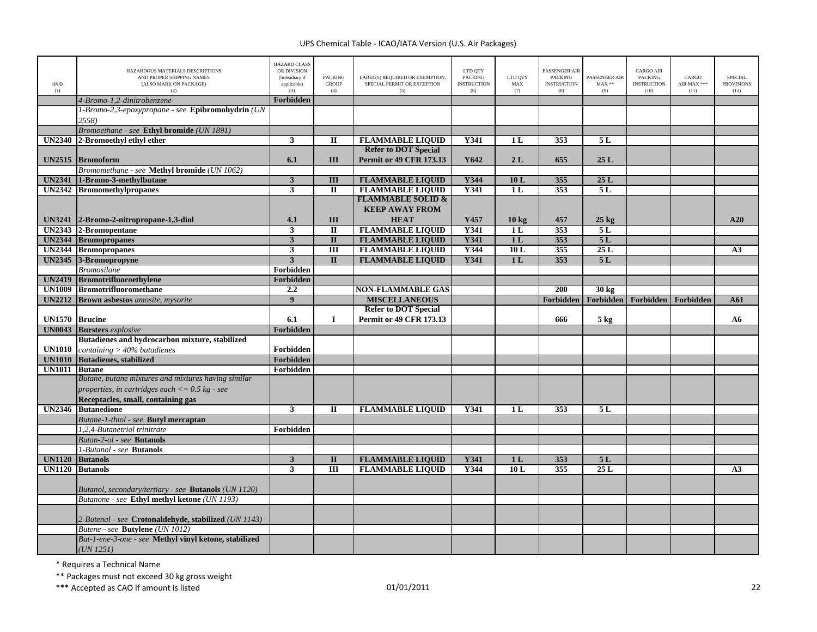| <b>UNID</b><br>(1)   | HAZARDOUS MATERIALS DESCRIPTIONS<br>AND PROPER SHIPPING NAMES<br>(ALSO MARK ON PACKAGE)<br>(2) | <b>HAZARD CLASS</b><br>OR DIVISION<br>(Subsidiary if<br>applicable)<br>(3) | <b>PACKING</b><br><b>GROUP</b><br>(4) | LABEL(S) REQUIRED OR EXEMPTION,<br>SPECIAL PERMIT OR EXCEPTION<br>(5) | LTD QTY<br><b>PACKING</b><br><b>INSTRUCTION</b><br>(6) | LTD QTY<br>MAX<br>(7) | <b>PASSENGER AIR</b><br><b>PACKING</b><br><b>INSTRUCTION</b><br>(8) | PASSENGER AIR<br>$MAX**$<br>(9) | CARGO AIR<br><b>PACKING</b><br><b>INSTRUCTION</b><br>(10) | CARGO<br>AIR MAX ***<br>(11) | <b>SPECIAL</b><br><b>PROVISIONS</b><br>(12) |
|----------------------|------------------------------------------------------------------------------------------------|----------------------------------------------------------------------------|---------------------------------------|-----------------------------------------------------------------------|--------------------------------------------------------|-----------------------|---------------------------------------------------------------------|---------------------------------|-----------------------------------------------------------|------------------------------|---------------------------------------------|
|                      | 4-Bromo-1,2-dinitrobenzene                                                                     | Forbidden                                                                  |                                       |                                                                       |                                                        |                       |                                                                     |                                 |                                                           |                              |                                             |
|                      | 1-Bromo-2,3-epoxypropane - see Epibromohydrin (UN<br>2558)                                     |                                                                            |                                       |                                                                       |                                                        |                       |                                                                     |                                 |                                                           |                              |                                             |
|                      | Bromoethane - see Ethyl bromide (UN 1891)                                                      |                                                                            |                                       |                                                                       |                                                        |                       |                                                                     |                                 |                                                           |                              |                                             |
| <b>UN2340</b>        | 2-Bromoethyl ethyl ether                                                                       | $\overline{\mathbf{3}}$                                                    | $\mathbf{I}$                          | <b>FLAMMABLE LIQUID</b>                                               | <b>Y341</b>                                            | 1 <sub>L</sub>        | 353                                                                 | 5L                              |                                                           |                              |                                             |
|                      |                                                                                                |                                                                            |                                       | <b>Refer to DOT Special</b>                                           |                                                        |                       |                                                                     |                                 |                                                           |                              |                                             |
|                      | UN2515 Bromoform                                                                               | 6.1                                                                        | III                                   | <b>Permit or 49 CFR 173.13</b>                                        | Y642                                                   | 2L                    | 655                                                                 | 25L                             |                                                           |                              |                                             |
|                      | Bromomethane - see Methyl bromide (UN 1062)                                                    |                                                                            |                                       |                                                                       |                                                        |                       |                                                                     |                                 |                                                           |                              |                                             |
| <b>UN2341</b>        | 1-Bromo-3-methylbutane                                                                         | $\mathbf{3}$                                                               | III                                   | <b>FLAMMABLE LIQUID</b>                                               | Y344                                                   | 10L                   | 355                                                                 | 25L                             |                                                           |                              |                                             |
|                      | UN2342 Bromomethylpropanes                                                                     | $\mathbf{3}$                                                               | $\mathbf I$                           | <b>FLAMMABLE LIQUID</b>                                               | Y341                                                   | 1 <sub>L</sub>        | 353                                                                 | 5L                              |                                                           |                              |                                             |
|                      |                                                                                                |                                                                            |                                       | <b>FLAMMABLE SOLID &amp;</b>                                          |                                                        |                       |                                                                     |                                 |                                                           |                              |                                             |
|                      |                                                                                                |                                                                            |                                       | <b>KEEP AWAY FROM</b>                                                 |                                                        |                       |                                                                     |                                 |                                                           |                              |                                             |
|                      | UN3241 2-Bromo-2-nitropropane-1,3-diol                                                         | 4.1                                                                        | III                                   | <b>HEAT</b>                                                           | Y457                                                   | 10 <sub>kg</sub>      | 457                                                                 | $25$ kg                         |                                                           |                              | A20                                         |
|                      | UN2343 2-Bromopentane                                                                          | $\overline{\mathbf{3}}$                                                    | П                                     | <b>FLAMMABLE LIQUID</b>                                               | <b>Y341</b>                                            | 1 <sub>L</sub>        | 353                                                                 | 5L                              |                                                           |                              |                                             |
|                      | <b>UN2344 Bromopropanes</b>                                                                    | $\overline{\mathbf{3}}$                                                    | $\overline{\mathbf{u}}$               | <b>FLAMMABLE LIQUID</b>                                               | <b>Y341</b>                                            | 1L                    | 353                                                                 | 5L                              |                                                           |                              |                                             |
|                      | <b>UN2344</b> Bromopropanes                                                                    | $\mathbf{3}$                                                               | $\overline{m}$                        | <b>FLAMMABLE LIQUID</b>                                               | Y344                                                   | 10L                   | 355                                                                 | 25L                             |                                                           |                              | A <sub>3</sub>                              |
|                      | UN2345 3-Bromopropyne                                                                          | $\overline{3}$                                                             | $\Pi$                                 | <b>FLAMMABLE LIQUID</b>                                               | <b>Y341</b>                                            | 1 <sub>L</sub>        | 353                                                                 | 5L                              |                                                           |                              |                                             |
|                      | <b>Bromosilane</b>                                                                             | Forbidden                                                                  |                                       |                                                                       |                                                        |                       |                                                                     |                                 |                                                           |                              |                                             |
|                      | UN2419 Bromotrifluoroethylene                                                                  | Forbidden                                                                  |                                       |                                                                       |                                                        |                       |                                                                     |                                 |                                                           |                              |                                             |
|                      | UN1009 Bromotrifluoromethane                                                                   | 2.2                                                                        |                                       | <b>NON-FLAMMABLE GAS</b>                                              |                                                        |                       | 200                                                                 | 30 <sub>kg</sub>                |                                                           |                              |                                             |
| <b>UN2212</b>        | <b>Brown asbestos</b> amosite, mysorite                                                        | $\overline{9}$                                                             |                                       | <b>MISCELLANEOUS</b>                                                  |                                                        |                       | Forbidden                                                           | Forbidden                       | Forbidden                                                 | Forbidden                    | A61                                         |
|                      |                                                                                                |                                                                            |                                       | <b>Refer to DOT Special</b>                                           |                                                        |                       |                                                                     |                                 |                                                           |                              |                                             |
| UN1570 Brucine       |                                                                                                | 6.1                                                                        | $\bf{I}$                              | <b>Permit or 49 CFR 173.13</b>                                        |                                                        |                       | 666                                                                 | $5 \text{ kg}$                  |                                                           |                              | A6                                          |
|                      | <b>UN0043</b> Bursters explosive                                                               | Forbidden                                                                  |                                       |                                                                       |                                                        |                       |                                                                     |                                 |                                                           |                              |                                             |
|                      | Butadienes and hydrocarbon mixture, stabilized                                                 |                                                                            |                                       |                                                                       |                                                        |                       |                                                                     |                                 |                                                           |                              |                                             |
| <b>UN1010</b>        | containing $> 40\%$ butadienes                                                                 | Forbidden                                                                  |                                       |                                                                       |                                                        |                       |                                                                     |                                 |                                                           |                              |                                             |
| <b>UN1010</b>        | <b>Butadienes</b> , stabilized                                                                 | Forbidden                                                                  |                                       |                                                                       |                                                        |                       |                                                                     |                                 |                                                           |                              |                                             |
| <b>UN1011 Butane</b> |                                                                                                | Forbidden                                                                  |                                       |                                                                       |                                                        |                       |                                                                     |                                 |                                                           |                              |                                             |
|                      | Butane, butane mixtures and mixtures having similar                                            |                                                                            |                                       |                                                                       |                                                        |                       |                                                                     |                                 |                                                           |                              |                                             |
|                      | properties, in cartridges each $<= 0.5$ kg - see                                               |                                                                            |                                       |                                                                       |                                                        |                       |                                                                     |                                 |                                                           |                              |                                             |
|                      | Receptacles, small, containing gas                                                             |                                                                            |                                       |                                                                       |                                                        |                       |                                                                     |                                 |                                                           |                              |                                             |
|                      | UN2346 Butanedione                                                                             | $\mathbf{3}$                                                               | $\mathbf{I}$                          | <b>FLAMMABLE LIQUID</b>                                               | Y341                                                   | 1 <sub>L</sub>        | 353                                                                 | 5L                              |                                                           |                              |                                             |
|                      | Butane-1-thiol - see Butyl mercaptan                                                           |                                                                            |                                       |                                                                       |                                                        |                       |                                                                     |                                 |                                                           |                              |                                             |
|                      | 1,2,4-Butanetriol trinitrate                                                                   | Forbidden                                                                  |                                       |                                                                       |                                                        |                       |                                                                     |                                 |                                                           |                              |                                             |
|                      | Butan-2-ol - see Butanols                                                                      |                                                                            |                                       |                                                                       |                                                        |                       |                                                                     |                                 |                                                           |                              |                                             |
|                      | 1-Butanol - see Butanols                                                                       |                                                                            |                                       |                                                                       |                                                        |                       |                                                                     |                                 |                                                           |                              |                                             |
|                      | <b>UN1120 Butanols</b>                                                                         | $\overline{\mathbf{3}}$                                                    | $\mathbf{I}$                          | <b>FLAMMABLE LIQUID</b>                                               | <b>Y341</b>                                            | 1 <sub>L</sub>        | 353                                                                 | 5L                              |                                                           |                              |                                             |
| <b>UN1120</b>        | <b>Butanols</b>                                                                                | 3                                                                          | $\overline{III}$                      | <b>FLAMMABLE LIQUID</b>                                               | Y344                                                   | 10L                   | 355                                                                 | 25L                             |                                                           |                              | A <sub>3</sub>                              |
|                      | Butanol, secondary/tertiary - see <b>Butanols</b> (UN 1120)                                    |                                                                            |                                       |                                                                       |                                                        |                       |                                                                     |                                 |                                                           |                              |                                             |
|                      | Butanone - see Ethyl methyl ketone (UN 1193)                                                   |                                                                            |                                       |                                                                       |                                                        |                       |                                                                     |                                 |                                                           |                              |                                             |
|                      | 2-Butenal - see Crotonaldehyde, stabilized (UN 1143)                                           |                                                                            |                                       |                                                                       |                                                        |                       |                                                                     |                                 |                                                           |                              |                                             |
|                      | Butene - see Butylene (UN 1012)                                                                |                                                                            |                                       |                                                                       |                                                        |                       |                                                                     |                                 |                                                           |                              |                                             |
|                      | But-1-ene-3-one - see Methyl vinyl ketone, stabilized                                          |                                                                            |                                       |                                                                       |                                                        |                       |                                                                     |                                 |                                                           |                              |                                             |
|                      | (UN 1251)                                                                                      |                                                                            |                                       |                                                                       |                                                        |                       |                                                                     |                                 |                                                           |                              |                                             |

\* Requires <sup>a</sup> Technical Name

\*\* Packages must not exceed 30 kg gross weight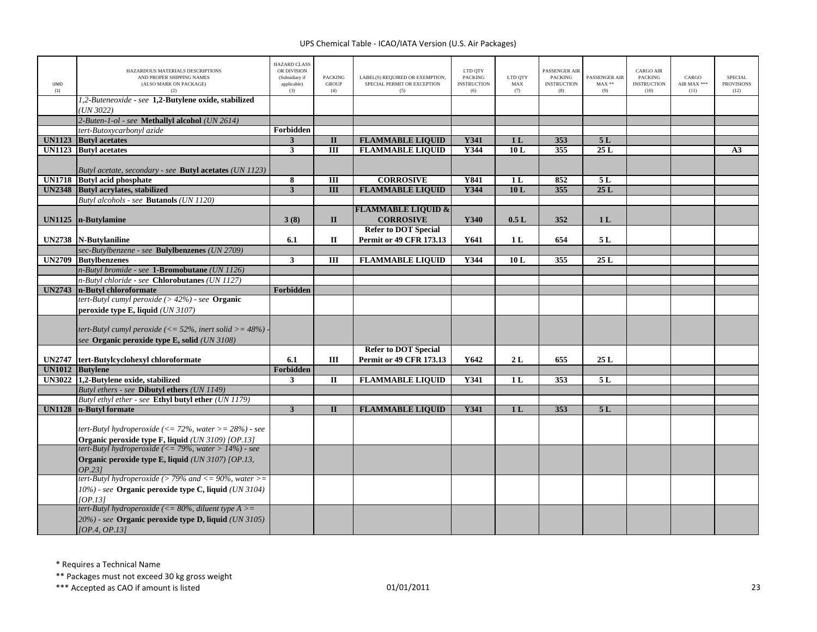| <b>UNID</b><br>(1) | HAZARDOUS MATERIALS DESCRIPTIONS<br>AND PROPER SHIPPING NAMES<br>(ALSO MARK ON PACKAGE)<br>(2)                    | <b>HAZARD CLASS</b><br>OR DIVISION<br>(Subsidiary if<br>applicable)<br>(3) | <b>PACKING</b><br><b>GROUP</b><br>(4) | LABEL(S) REQUIRED OR EXEMPTION,<br>SPECIAL PERMIT OR EXCEPTION<br>(5) | LTD QTY<br><b>PACKING</b><br><b>INSTRUCTION</b><br>(6) | LTD QTY<br>MAX<br>(7) | PASSENGER AIR<br><b>PACKING</b><br><b>INSTRUCTION</b><br>(8) | PASSENGER AIR<br>$MAX**$<br>(9) | <b>CARGO AIR</b><br><b>PACKING</b><br><b>INSTRUCTION</b><br>(10) | CARGO<br>AIR MAX ***<br>(11) | <b>SPECIAL</b><br><b>PROVISIONS</b><br>(12) |
|--------------------|-------------------------------------------------------------------------------------------------------------------|----------------------------------------------------------------------------|---------------------------------------|-----------------------------------------------------------------------|--------------------------------------------------------|-----------------------|--------------------------------------------------------------|---------------------------------|------------------------------------------------------------------|------------------------------|---------------------------------------------|
|                    | 1,2-Buteneoxide - see 1,2-Butylene oxide, stabilized<br>(UN 3022)                                                 |                                                                            |                                       |                                                                       |                                                        |                       |                                                              |                                 |                                                                  |                              |                                             |
|                    | 2-Buten-1-ol - see Methallyl alcohol (UN 2614)                                                                    |                                                                            |                                       |                                                                       |                                                        |                       |                                                              |                                 |                                                                  |                              |                                             |
|                    | tert-Butoxycarbonyl azide                                                                                         | Forbidden                                                                  |                                       |                                                                       |                                                        |                       |                                                              |                                 |                                                                  |                              |                                             |
| <b>UN1123</b>      | <b>Butyl</b> acetates                                                                                             | $\mathbf{3}$                                                               | $\overline{\mathbf{u}}$               | <b>FLAMMABLE LIQUID</b>                                               | <b>Y341</b>                                            | 1 <sub>L</sub>        | 353                                                          | 5L                              |                                                                  |                              |                                             |
|                    | <b>UN1123</b> Butyl acetates                                                                                      | $\overline{\mathbf{3}}$                                                    | $\overline{III}$                      | <b>FLAMMABLE LIQUID</b>                                               | Y344                                                   | 10L                   | 355                                                          | 25L                             |                                                                  |                              | A3                                          |
|                    | Butyl acetate, secondary - see <b>Butyl acetates</b> (UN 1123)                                                    |                                                                            |                                       |                                                                       |                                                        |                       |                                                              |                                 |                                                                  |                              |                                             |
|                    | UN1718 Butyl acid phosphate                                                                                       | 8                                                                          | $\overline{III}$                      | <b>CORROSIVE</b>                                                      | <b>Y841</b>                                            | 1L                    | 852                                                          | 5L                              |                                                                  |                              |                                             |
|                    | UN2348 Butyl acrylates, stabilized                                                                                | $\overline{\mathbf{3}}$                                                    | $\overline{III}$                      | <b>FLAMMABLE LIQUID</b>                                               | Y344                                                   | 10L                   | 355                                                          | 25L                             |                                                                  |                              |                                             |
|                    | Butyl alcohols - see Butanols (UN 1120)                                                                           |                                                                            |                                       |                                                                       |                                                        |                       |                                                              |                                 |                                                                  |                              |                                             |
|                    |                                                                                                                   |                                                                            |                                       | <b>FLAMMABLE LIQUID &amp;</b>                                         |                                                        |                       |                                                              |                                 |                                                                  |                              |                                             |
| <b>UN1125</b>      | n-Butylamine                                                                                                      | 3(8)                                                                       | $\mathbf{I}$                          | <b>CORROSIVE</b>                                                      | Y340                                                   | 0.5L                  | 352                                                          | 1 <sub>L</sub>                  |                                                                  |                              |                                             |
|                    |                                                                                                                   |                                                                            |                                       | <b>Refer to DOT Special</b>                                           |                                                        |                       |                                                              |                                 |                                                                  |                              |                                             |
|                    | UN2738   N-Butylaniline                                                                                           | 6.1                                                                        | $\mathbf{I}$                          | <b>Permit or 49 CFR 173.13</b>                                        | Y641                                                   | 1 L                   | 654                                                          | 5 L                             |                                                                  |                              |                                             |
|                    | sec-Butylbenzene - see Bulylbenzenes (UN 2709)                                                                    |                                                                            |                                       |                                                                       |                                                        |                       |                                                              |                                 |                                                                  |                              |                                             |
|                    | UN2709 Butylbenzenes<br>n-Butyl bromide - see 1-Bromobutane (UN 1126)                                             | 3                                                                          | Ш                                     | <b>FLAMMABLE LIQUID</b>                                               | Y344                                                   | 10L                   | 355                                                          | 25L                             |                                                                  |                              |                                             |
|                    | n-Butyl chloride - see Chlorobutanes (UN 1127)                                                                    |                                                                            |                                       |                                                                       |                                                        |                       |                                                              |                                 |                                                                  |                              |                                             |
|                    | UN2743 n-Butyl chloroformate                                                                                      | Forbidden                                                                  |                                       |                                                                       |                                                        |                       |                                                              |                                 |                                                                  |                              |                                             |
|                    | tert-Butyl cumyl peroxide $(>42\%)$ - see <b>Organic</b>                                                          |                                                                            |                                       |                                                                       |                                                        |                       |                                                              |                                 |                                                                  |                              |                                             |
|                    | peroxide type E, liquid $(UN 3107)$                                                                               |                                                                            |                                       |                                                                       |                                                        |                       |                                                              |                                 |                                                                  |                              |                                             |
|                    |                                                                                                                   |                                                                            |                                       |                                                                       |                                                        |                       |                                                              |                                 |                                                                  |                              |                                             |
|                    | tert-Butyl cumyl peroxide (<= $52\%$ , inert solid >= $48\%$ )                                                    |                                                                            |                                       |                                                                       |                                                        |                       |                                                              |                                 |                                                                  |                              |                                             |
|                    |                                                                                                                   |                                                                            |                                       |                                                                       |                                                        |                       |                                                              |                                 |                                                                  |                              |                                             |
|                    |                                                                                                                   |                                                                            |                                       |                                                                       |                                                        |                       |                                                              |                                 |                                                                  |                              |                                             |
|                    | see Organic peroxide type E, solid (UN 3108)                                                                      |                                                                            |                                       | <b>Refer to DOT Special</b>                                           |                                                        |                       |                                                              |                                 |                                                                  |                              |                                             |
| <b>UN2747</b>      | tert-Butylcyclohexyl chloroformate                                                                                | 6.1                                                                        | Ш                                     | <b>Permit or 49 CFR 173.13</b>                                        | Y642                                                   | 2L                    | 655                                                          | 25L                             |                                                                  |                              |                                             |
|                    | UN1012 Butylene                                                                                                   | Forbidden                                                                  |                                       |                                                                       |                                                        |                       |                                                              |                                 |                                                                  |                              |                                             |
|                    | UN3022 1,2-Butylene oxide, stabilized                                                                             | $\mathbf{3}$                                                               | $\mathbf{I}$                          | <b>FLAMMABLE LIQUID</b>                                               | <b>Y341</b>                                            | 1 <sub>L</sub>        | 353                                                          | 5L                              |                                                                  |                              |                                             |
|                    | Butyl ethers - see Dibutyl ethers (UN 1149)                                                                       |                                                                            |                                       |                                                                       |                                                        |                       |                                                              |                                 |                                                                  |                              |                                             |
|                    | Butyl ethyl ether - see Ethyl butyl ether (UN 1179)                                                               |                                                                            |                                       |                                                                       |                                                        |                       |                                                              |                                 |                                                                  |                              |                                             |
| <b>UN1128</b>      | n-Butyl formate                                                                                                   | $\overline{\mathbf{3}}$                                                    | $\Pi$                                 | <b>FLAMMABLE LIQUID</b>                                               | Y341                                                   | 1 <sub>L</sub>        | 353                                                          | 5L                              |                                                                  |                              |                                             |
|                    | tert-Butyl hydroperoxide (<= 72%, water > = 28%) - see                                                            |                                                                            |                                       |                                                                       |                                                        |                       |                                                              |                                 |                                                                  |                              |                                             |
|                    | Organic peroxide type F, liquid (UN 3109) [OP.13]                                                                 |                                                                            |                                       |                                                                       |                                                        |                       |                                                              |                                 |                                                                  |                              |                                             |
|                    | tert-Butyl hydroperoxide (<= 79%, water > 14%) - see                                                              |                                                                            |                                       |                                                                       |                                                        |                       |                                                              |                                 |                                                                  |                              |                                             |
|                    | Organic peroxide type E, liquid (UN 3107) [OP.13,<br>OP.231                                                       |                                                                            |                                       |                                                                       |                                                        |                       |                                                              |                                 |                                                                  |                              |                                             |
|                    | tert-Butyl hydroperoxide (> 79% and <= 90%, water >=                                                              |                                                                            |                                       |                                                                       |                                                        |                       |                                                              |                                 |                                                                  |                              |                                             |
|                    | 10%) - see Organic peroxide type C, liquid (UN 3104)                                                              |                                                                            |                                       |                                                                       |                                                        |                       |                                                              |                                 |                                                                  |                              |                                             |
|                    | [OP.13]                                                                                                           |                                                                            |                                       |                                                                       |                                                        |                       |                                                              |                                 |                                                                  |                              |                                             |
|                    | tert-Butyl hydroperoxide (<= 80%, diluent type $A$ >=<br>$20\%$ ) - see Organic peroxide type D, liquid (UN 3105) |                                                                            |                                       |                                                                       |                                                        |                       |                                                              |                                 |                                                                  |                              |                                             |

\* Requires <sup>a</sup> Technical Name

\*\* Packages must not exceed 30 kg gross weight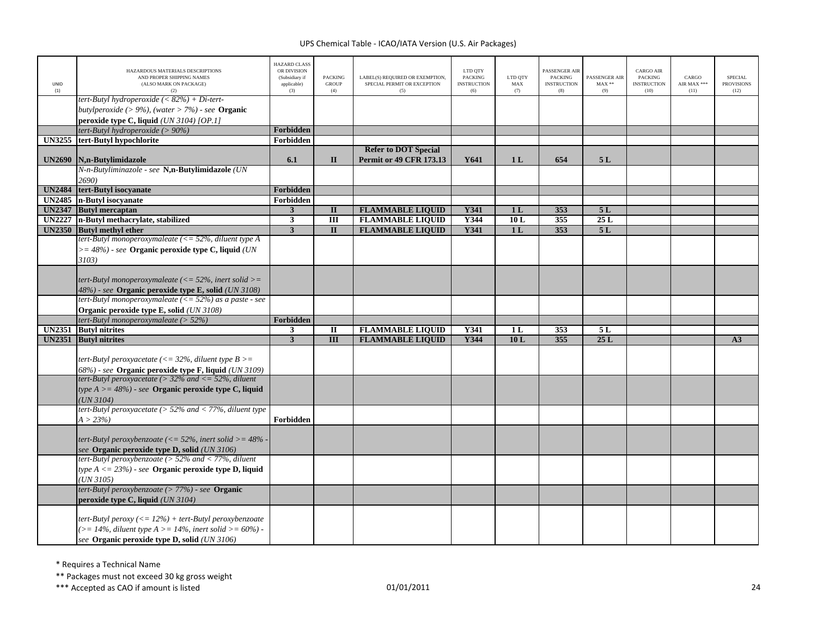| UNID<br>(1)   | HAZARDOUS MATERIALS DESCRIPTIONS<br>AND PROPER SHIPPING NAMES<br>(ALSO MARK ON PACKAGE)<br>(2)                                                    | <b>HAZARD CLASS</b><br>OR DIVISION<br>(Subsidiary if<br>applicable)<br>(3) | <b>PACKING</b><br><b>GROUP</b><br>(4) | LABEL(S) REQUIRED OR EXEMPTION,<br>SPECIAL PERMIT OR EXCEPTION<br>(5) | LTD QTY<br><b>PACKING</b><br><b>INSTRUCTION</b><br>(6) | LTD QTY<br>MAX<br>(7) | PASSENGER AIR<br><b>PACKING</b><br><b>INSTRUCTION</b><br>(8) | PASSENGER AIR<br>$MAX**$<br>(9) | <b>CARGO AIR</b><br><b>PACKING</b><br><b>INSTRUCTION</b><br>(10) | CARGO<br>AIR MAX ***<br>(11) | <b>SPECIAL</b><br><b>PROVISIONS</b><br>(12) |
|---------------|---------------------------------------------------------------------------------------------------------------------------------------------------|----------------------------------------------------------------------------|---------------------------------------|-----------------------------------------------------------------------|--------------------------------------------------------|-----------------------|--------------------------------------------------------------|---------------------------------|------------------------------------------------------------------|------------------------------|---------------------------------------------|
|               | tert-Butyl hydroperoxide (< $82\%$ ) + Di-tert-<br>butylperoxide (> 9%), (water > 7%) - see Organic<br>peroxide type C, liquid $(UN 3104)$ [OP.1] |                                                                            |                                       |                                                                       |                                                        |                       |                                                              |                                 |                                                                  |                              |                                             |
|               | tert-Butyl hydroperoxide (> $90\%$ )                                                                                                              | Forbidden                                                                  |                                       |                                                                       |                                                        |                       |                                                              |                                 |                                                                  |                              |                                             |
| <b>UN3255</b> | tert-Butyl hypochlorite                                                                                                                           | Forbidden                                                                  |                                       |                                                                       |                                                        |                       |                                                              |                                 |                                                                  |                              |                                             |
|               |                                                                                                                                                   |                                                                            |                                       | <b>Refer to DOT Special</b>                                           |                                                        |                       |                                                              |                                 |                                                                  |                              |                                             |
| <b>UN2690</b> | N,n-Butylimidazole                                                                                                                                | 6.1                                                                        | $\mathbf{I}$                          | <b>Permit or 49 CFR 173.13</b>                                        | Y641                                                   | 1 <sub>L</sub>        | 654                                                          | 5L                              |                                                                  |                              |                                             |
|               | N-n-Butyliminazole - see N,n-Butylimidazole (UN                                                                                                   |                                                                            |                                       |                                                                       |                                                        |                       |                                                              |                                 |                                                                  |                              |                                             |
|               | 2690)                                                                                                                                             |                                                                            |                                       |                                                                       |                                                        |                       |                                                              |                                 |                                                                  |                              |                                             |
| <b>UN2484</b> | tert-Butyl isocyanate                                                                                                                             | Forbidden                                                                  |                                       |                                                                       |                                                        |                       |                                                              |                                 |                                                                  |                              |                                             |
| <b>UN2485</b> | n-Butyl isocyanate                                                                                                                                | Forbidden                                                                  |                                       |                                                                       |                                                        |                       |                                                              |                                 |                                                                  |                              |                                             |
| <b>UN2347</b> | <b>Butyl mercaptan</b>                                                                                                                            | $\mathbf{3}$                                                               | $\mathbf{I}$                          | <b>FLAMMABLE LIQUID</b>                                               | Y341                                                   | 1 <sub>L</sub>        | 353                                                          | 5L                              |                                                                  |                              |                                             |
| <b>UN2227</b> | n-Butyl methacrylate, stabilized                                                                                                                  | $\mathbf{3}$                                                               | $\overline{III}$                      | <b>FLAMMABLE LIQUID</b>                                               | Y344                                                   | 10L                   | 355                                                          | 25L                             |                                                                  |                              |                                             |
|               | UN2350 Butyl methyl ether                                                                                                                         | $\overline{3}$                                                             | $\Pi$                                 | <b>FLAMMABLE LIQUID</b>                                               | <b>Y341</b>                                            | 1 <sub>L</sub>        | 353                                                          | 5L                              |                                                                  |                              |                                             |
|               | tert-Butyl monoperoxymaleate ( $\leq$ 52%, diluent type A                                                                                         |                                                                            |                                       |                                                                       |                                                        |                       |                                                              |                                 |                                                                  |                              |                                             |
|               | $\epsilon$ = 48%) - see Organic peroxide type C, liquid (UN)                                                                                      |                                                                            |                                       |                                                                       |                                                        |                       |                                                              |                                 |                                                                  |                              |                                             |
|               | 3103)                                                                                                                                             |                                                                            |                                       |                                                                       |                                                        |                       |                                                              |                                 |                                                                  |                              |                                             |
|               | tert-Butyl monoperoxymaleate ( $\leq$ 52%, inert solid $\geq$ =                                                                                   |                                                                            |                                       |                                                                       |                                                        |                       |                                                              |                                 |                                                                  |                              |                                             |
|               |                                                                                                                                                   |                                                                            |                                       |                                                                       |                                                        |                       |                                                              |                                 |                                                                  |                              |                                             |
|               | 48%) - see Organic peroxide type E, solid (UN 3108)<br>tert-Butyl monoperoxymaleate $\left(\langle = 52\% \right)$ as a paste - see               |                                                                            |                                       |                                                                       |                                                        |                       |                                                              |                                 |                                                                  |                              |                                             |
|               | Organic peroxide type E, solid (UN 3108)                                                                                                          |                                                                            |                                       |                                                                       |                                                        |                       |                                                              |                                 |                                                                  |                              |                                             |
|               | tert-Butyl monoperoxymaleate ( $> 52\%$ )                                                                                                         | Forbidden                                                                  |                                       |                                                                       |                                                        |                       |                                                              |                                 |                                                                  |                              |                                             |
| <b>UN2351</b> | <b>Butyl nitrites</b>                                                                                                                             | $\overline{\mathbf{3}}$                                                    | П                                     | <b>FLAMMABLE LIQUID</b>                                               | Y341                                                   | 1 <sub>L</sub>        | 353                                                          | 5 L                             |                                                                  |                              |                                             |
|               | UN2351 Butyl nitrites                                                                                                                             | $\overline{\mathbf{3}}$                                                    | $\overline{III}$                      | <b>FLAMMABLE LIQUID</b>                                               | <b>Y344</b>                                            | 10L                   | 355                                                          | 25L                             |                                                                  |                              | A3                                          |
|               |                                                                                                                                                   |                                                                            |                                       |                                                                       |                                                        |                       |                                                              |                                 |                                                                  |                              |                                             |
|               | tert-Butyl peroxyacetate (<= 32%, diluent type $B >=$                                                                                             |                                                                            |                                       |                                                                       |                                                        |                       |                                                              |                                 |                                                                  |                              |                                             |
|               | 68%) - see Organic peroxide type F, liquid (UN 3109)                                                                                              |                                                                            |                                       |                                                                       |                                                        |                       |                                                              |                                 |                                                                  |                              |                                             |
|               | tert-Butyl peroxyacetate ( $>$ 32% and $\lt$ = 52%, diluent                                                                                       |                                                                            |                                       |                                                                       |                                                        |                       |                                                              |                                 |                                                                  |                              |                                             |
|               | type $A \geq -48\%$ ) - see Organic peroxide type C, liquid                                                                                       |                                                                            |                                       |                                                                       |                                                        |                       |                                                              |                                 |                                                                  |                              |                                             |
|               | (UN 3104)                                                                                                                                         |                                                                            |                                       |                                                                       |                                                        |                       |                                                              |                                 |                                                                  |                              |                                             |
|               | tert-Butyl peroxyacetate ( $> 52\%$ and $< 77\%$ , diluent type                                                                                   |                                                                            |                                       |                                                                       |                                                        |                       |                                                              |                                 |                                                                  |                              |                                             |
|               | $A > 23\%)$                                                                                                                                       | Forbidden                                                                  |                                       |                                                                       |                                                        |                       |                                                              |                                 |                                                                  |                              |                                             |
|               |                                                                                                                                                   |                                                                            |                                       |                                                                       |                                                        |                       |                                                              |                                 |                                                                  |                              |                                             |
|               | tert-Butyl peroxybenzoate (<= 52%, inert solid >= $48\%$ -                                                                                        |                                                                            |                                       |                                                                       |                                                        |                       |                                                              |                                 |                                                                  |                              |                                             |
|               | see Organic peroxide type D, solid (UN 3106)                                                                                                      |                                                                            |                                       |                                                                       |                                                        |                       |                                                              |                                 |                                                                  |                              |                                             |
|               | tert-Butyl peroxybenzoate ( $>$ 52% and $<$ 77%, diluent                                                                                          |                                                                            |                                       |                                                                       |                                                        |                       |                                                              |                                 |                                                                  |                              |                                             |
|               | type $A \le 23\%$ ) - see <b>Organic peroxide type D, liquid</b>                                                                                  |                                                                            |                                       |                                                                       |                                                        |                       |                                                              |                                 |                                                                  |                              |                                             |
|               | $(UN\,3105)$                                                                                                                                      |                                                                            |                                       |                                                                       |                                                        |                       |                                                              |                                 |                                                                  |                              |                                             |
|               | $t$ ert-Butyl peroxybenzoate (> 77%) - see <b>Organic</b><br>peroxide type C, liquid (UN 3104)                                                    |                                                                            |                                       |                                                                       |                                                        |                       |                                                              |                                 |                                                                  |                              |                                             |
|               |                                                                                                                                                   |                                                                            |                                       |                                                                       |                                                        |                       |                                                              |                                 |                                                                  |                              |                                             |
|               | tert-Butyl peroxy ( $\leq$ 12%) + tert-Butyl peroxybenzoate<br>$(>= 14\%,$ diluent type $A > = 14\%,$ inert solid $>= 60\%$ ) -                   |                                                                            |                                       |                                                                       |                                                        |                       |                                                              |                                 |                                                                  |                              |                                             |
|               | see Organic peroxide type D, solid (UN 3106)                                                                                                      |                                                                            |                                       |                                                                       |                                                        |                       |                                                              |                                 |                                                                  |                              |                                             |
|               |                                                                                                                                                   |                                                                            |                                       |                                                                       |                                                        |                       |                                                              |                                 |                                                                  |                              |                                             |

\* Requires <sup>a</sup> Technical Name

\*\* Packages must not exceed 30 kg gross weight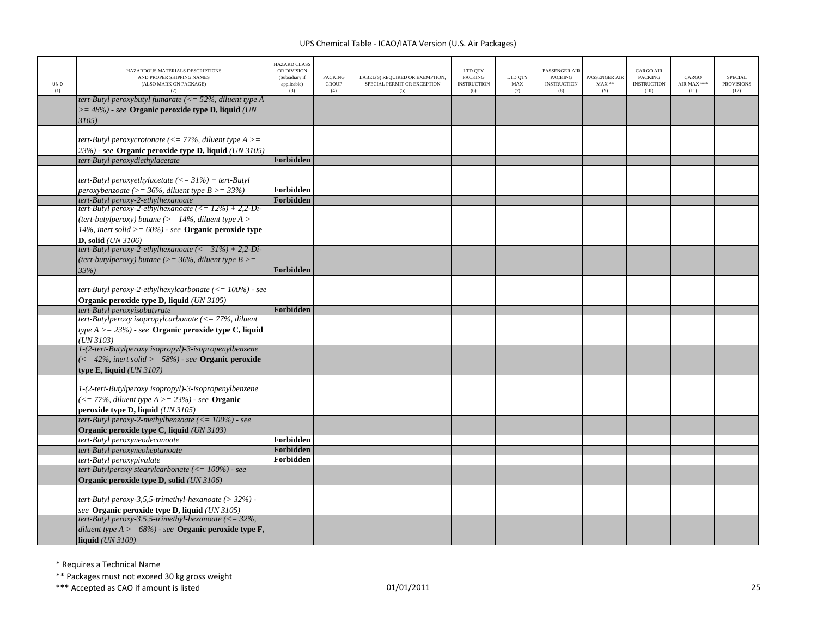| UNID<br>(1) | HAZARDOUS MATERIALS DESCRIPTIONS<br>AND PROPER SHIPPING NAMES<br>(ALSO MARK ON PACKAGE)<br>(2)                                                                                                                              | <b>HAZARD CLASS</b><br>OR DIVISION<br>(Subsidiary if<br>applicable)<br>(3) | <b>PACKING</b><br><b>GROUP</b><br>(4) | LABEL(S) REQUIRED OR EXEMPTION,<br>SPECIAL PERMIT OR EXCEPTION<br>(5) | LTD QTY<br><b>PACKING</b><br><b>INSTRUCTION</b><br>(6) | LTD QTY<br>MAX<br>(7) | PASSENGER AIF<br><b>PACKING</b><br><b>INSTRUCTION</b><br>(8) | PASSENGER AIR<br>$MAX**$<br>(9) | <b>CARGO AIR</b><br><b>PACKING</b><br><b>INSTRUCTION</b><br>(10) | CARGO<br>AIR MAX ***<br>(11) | <b>SPECIAL</b><br><b>PROVISIONS</b><br>(12) |
|-------------|-----------------------------------------------------------------------------------------------------------------------------------------------------------------------------------------------------------------------------|----------------------------------------------------------------------------|---------------------------------------|-----------------------------------------------------------------------|--------------------------------------------------------|-----------------------|--------------------------------------------------------------|---------------------------------|------------------------------------------------------------------|------------------------------|---------------------------------------------|
|             | tert-Butyl peroxybutyl fumarate ( $\leq$ 52%, diluent type A<br>$\epsilon$ = 48%) - see Organic peroxide type D, liquid (UN)<br>3105)                                                                                       |                                                                            |                                       |                                                                       |                                                        |                       |                                                              |                                 |                                                                  |                              |                                             |
|             | tert-Butyl peroxycrotonate (<= 77%, diluent type $A$ >=<br>23%) - see Organic peroxide type D, liquid (UN 3105)                                                                                                             |                                                                            |                                       |                                                                       |                                                        |                       |                                                              |                                 |                                                                  |                              |                                             |
|             | tert-Butyl peroxydiethylacetate                                                                                                                                                                                             | Forbidden                                                                  |                                       |                                                                       |                                                        |                       |                                                              |                                 |                                                                  |                              |                                             |
|             | tert-Butyl peroxyethylacetate $\left(\langle = 31\% \right)$ + tert-Butyl<br>peroxybenzoate (>= 36%, diluent type $B > = 33\%$ )                                                                                            | Forbidden                                                                  |                                       |                                                                       |                                                        |                       |                                                              |                                 |                                                                  |                              |                                             |
|             | tert-Butyl peroxy-2-ethylhexanoate                                                                                                                                                                                          | Forbidden                                                                  |                                       |                                                                       |                                                        |                       |                                                              |                                 |                                                                  |                              |                                             |
|             | tert-Butyl peroxy-2-ethylhexanoate $\left(\langle=12\% \right) + 2,2$ -Di-<br>(tert-butylperoxy) butane (>= $14\%$ , diluent type A >=<br>14%, inert solid > = $60\%$ ) - see Organic peroxide type<br>D, solid $(UN 3106)$ |                                                                            |                                       |                                                                       |                                                        |                       |                                                              |                                 |                                                                  |                              |                                             |
|             | tert-Butyl peroxy-2-ethylhexanoate $(<=31\%) + 2,2$ -Di-<br>(tert-butylperoxy) butane (>= $36\%$ , diluent type B >=<br>33%                                                                                                 | Forbidden                                                                  |                                       |                                                                       |                                                        |                       |                                                              |                                 |                                                                  |                              |                                             |
|             | tert-Butyl peroxy-2-ethylhexylcarbonate $\left(\leq 100\% \right)$ - see<br>Organic peroxide type D, liquid (UN 3105)                                                                                                       |                                                                            |                                       |                                                                       |                                                        |                       |                                                              |                                 |                                                                  |                              |                                             |
|             | tert-Butyl peroxyisobutyrate<br>tert-Butylperoxy isopropylcarbonate $\ll$ = 77%, diluent                                                                                                                                    | Forbidden                                                                  |                                       |                                                                       |                                                        |                       |                                                              |                                 |                                                                  |                              |                                             |
|             | type $A > = 23\%$ ) - see Organic peroxide type C, liquid<br>(UN 3103)                                                                                                                                                      |                                                                            |                                       |                                                                       |                                                        |                       |                                                              |                                 |                                                                  |                              |                                             |
|             | 1-(2-tert-Butylperoxy isopropyl)-3-isopropenylbenzene<br>$\left(\langle=42\%,\text{ inert solid}\right\rangle = 58\%$ - see Organic peroxide<br>type E, liquid (UN 3107)                                                    |                                                                            |                                       |                                                                       |                                                        |                       |                                                              |                                 |                                                                  |                              |                                             |
|             | 1-(2-tert-Butylperoxy isopropyl)-3-isopropenylbenzene<br>$\left( \langle 1   77\%, \text{ diluent type A} \rangle = 23\% \right)$ - see <b>Organic</b><br>peroxide type D, liquid (UN 3105)                                 |                                                                            |                                       |                                                                       |                                                        |                       |                                                              |                                 |                                                                  |                              |                                             |
|             | tert-Butyl peroxy-2-methylbenzoate $\left(\leq 100\% \right)$ - see<br>Organic peroxide type C, liquid (UN 3103)                                                                                                            |                                                                            |                                       |                                                                       |                                                        |                       |                                                              |                                 |                                                                  |                              |                                             |
|             | tert-Butyl peroxyneodecanoate                                                                                                                                                                                               | Forbidden                                                                  |                                       |                                                                       |                                                        |                       |                                                              |                                 |                                                                  |                              |                                             |
|             | tert-Butyl peroxyneoheptanoate                                                                                                                                                                                              | Forbidden                                                                  |                                       |                                                                       |                                                        |                       |                                                              |                                 |                                                                  |                              |                                             |
|             | tert-Butyl peroxypivalate<br>tert-Butylperoxy stearylcarbonate $\left(\leq 100\% \right)$ - see<br>Organic peroxide type D, solid (UN 3106)                                                                                 | Forbidden                                                                  |                                       |                                                                       |                                                        |                       |                                                              |                                 |                                                                  |                              |                                             |
|             | tert-Butyl peroxy-3,5,5-trimethyl-hexanoate ( $>$ 32%) -<br>see Organic peroxide type D, liquid (UN 3105)                                                                                                                   |                                                                            |                                       |                                                                       |                                                        |                       |                                                              |                                 |                                                                  |                              |                                             |
|             | tert-Butyl peroxy-3,5,5-trimethyl-hexanoate ( $\langle = 32\%,$<br>diluent type $A \ge 68\%)$ - see <b>Organic peroxide type F</b> ,<br>liquid $(UN 3109)$                                                                  |                                                                            |                                       |                                                                       |                                                        |                       |                                                              |                                 |                                                                  |                              |                                             |

\* Requires <sup>a</sup> Technical Name

\*\* Packages must not exceed 30 kg gross weight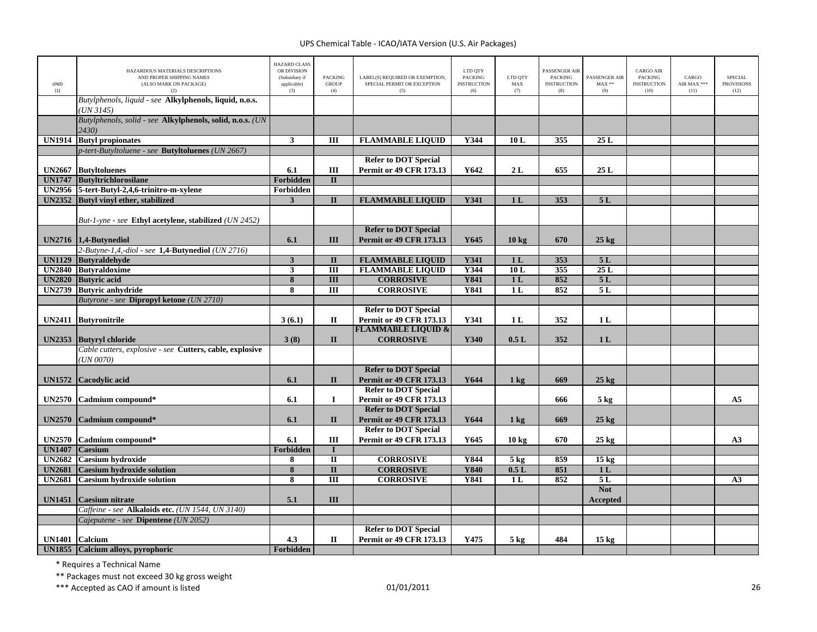| <b>UNID</b><br>(1) | HAZARDOUS MATERIALS DESCRIPTIONS<br>AND PROPER SHIPPING NAMES<br>(ALSO MARK ON PACKAGE)<br>(2) | <b>HAZARD CLASS</b><br>OR DIVISION<br>(Subsidiary if<br>applicable)<br>(3) | <b>PACKING</b><br><b>GROUP</b><br>(4) | LABEL(S) REQUIRED OR EXEMPTION,<br>SPECIAL PERMIT OR EXCEPTION<br>(5) | LTD QTY<br><b>PACKING</b><br><b>INSTRUCTION</b><br>(6) | LTD OTY<br>MAX<br>(7) | PASSENGER AIR<br><b>PACKING</b><br><b>INSTRUCTION</b><br>(8) | PASSENGER AIR<br>$MAX**$<br>(9) | <b>CARGO AIR</b><br>PACKING<br><b>INSTRUCTION</b><br>(10) | CARGO<br>AIR MAX ***<br>(11) | <b>SPECIAL</b><br><b>PROVISIONS</b><br>(12) |
|--------------------|------------------------------------------------------------------------------------------------|----------------------------------------------------------------------------|---------------------------------------|-----------------------------------------------------------------------|--------------------------------------------------------|-----------------------|--------------------------------------------------------------|---------------------------------|-----------------------------------------------------------|------------------------------|---------------------------------------------|
|                    | Butylphenols, liquid - see Alkylphenols, liquid, n.o.s.<br>(UN 3145)                           |                                                                            |                                       |                                                                       |                                                        |                       |                                                              |                                 |                                                           |                              |                                             |
|                    | Butylphenols, solid - see Alkylphenols, solid, n.o.s. (UN<br>2430)                             |                                                                            |                                       |                                                                       |                                                        |                       |                                                              |                                 |                                                           |                              |                                             |
| <b>UN1914</b>      | <b>Butyl</b> propionates                                                                       | $\overline{\mathbf{3}}$                                                    | $\overline{m}$                        | <b>FLAMMABLE LIQUID</b>                                               | Y344                                                   | 10L                   | 355                                                          | 25L                             |                                                           |                              |                                             |
|                    | p-tert-Butyltoluene - see <b>Butyltoluenes</b> (UN 2667)                                       |                                                                            |                                       |                                                                       |                                                        |                       |                                                              |                                 |                                                           |                              |                                             |
|                    |                                                                                                |                                                                            |                                       | <b>Refer to DOT Special</b>                                           |                                                        |                       |                                                              |                                 |                                                           |                              |                                             |
| <b>UN2667</b>      | <b>ButyItoluenes</b>                                                                           | 6.1                                                                        | Ш                                     | <b>Permit or 49 CFR 173.13</b>                                        | Y642                                                   | 2L                    | 655                                                          | 25L                             |                                                           |                              |                                             |
| <b>UN1747</b>      | Butyltrichlorosilane                                                                           | Forbidden                                                                  | $\overline{\mathbf{u}}$               |                                                                       |                                                        |                       |                                                              |                                 |                                                           |                              |                                             |
|                    | UN2956 5-tert-Butyl-2,4,6-trinitro-m-xylene                                                    | Forbidden                                                                  |                                       |                                                                       |                                                        |                       |                                                              |                                 |                                                           |                              |                                             |
|                    | UN2352 Butyl vinyl ether, stabilized                                                           | $\mathbf{3}$                                                               | $\mathbf{I}$                          | <b>FLAMMABLE LIQUID</b>                                               | Y341                                                   | 1 <sub>L</sub>        | 353                                                          | 5L                              |                                                           |                              |                                             |
|                    | But-1-yne - see Ethyl acetylene, stabilized (UN 2452)                                          |                                                                            |                                       |                                                                       |                                                        |                       |                                                              |                                 |                                                           |                              |                                             |
|                    | $UN2716$   1,4-Butynediol                                                                      | 6.1                                                                        | III                                   | <b>Refer to DOT Special</b><br><b>Permit or 49 CFR 173.13</b>         | Y645                                                   | $10 \text{ kg}$       | 670                                                          | $25 \text{ kg}$                 |                                                           |                              |                                             |
|                    | 2-Butyne-1,4,-diol - see 1,4-Butynediol (UN 2716)                                              |                                                                            |                                       |                                                                       |                                                        |                       |                                                              |                                 |                                                           |                              |                                             |
| <b>UN1129</b>      | Butvraldehyde                                                                                  | $\mathbf{3}$                                                               | $\mathbf{I}$                          | <b>FLAMMABLE LIQUID</b>                                               | Y341                                                   | 1 <sub>L</sub>        | 353                                                          | 5L                              |                                                           |                              |                                             |
|                    | UN2840 Butyraldoxime                                                                           | $\mathbf{3}$                                                               | Ш                                     | <b>FLAMMABLE LIQUID</b>                                               | Y344                                                   | 10L                   | 355                                                          | 25 L                            |                                                           |                              |                                             |
| <b>UN2820</b>      | <b>Butyric</b> acid                                                                            | $\overline{\mathbf{8}}$                                                    | $\overline{III}$                      | <b>CORROSIVE</b>                                                      | <b>Y841</b>                                            | 1 <sub>L</sub>        | 852                                                          | 5L                              |                                                           |                              |                                             |
| <b>UN2739</b>      | <b>Butyric anhydride</b>                                                                       | 8                                                                          | $\overline{III}$                      | <b>CORROSIVE</b>                                                      | <b>Y841</b>                                            | 1L                    | 852                                                          | 5L                              |                                                           |                              |                                             |
|                    | Butyrone - see Dipropyl ketone (UN 2710)                                                       |                                                                            |                                       |                                                                       |                                                        |                       |                                                              |                                 |                                                           |                              |                                             |
|                    |                                                                                                |                                                                            |                                       | <b>Refer to DOT Special</b>                                           |                                                        |                       |                                                              |                                 |                                                           |                              |                                             |
|                    | UN2411 Butyronitrile                                                                           | 3(6.1)                                                                     | П                                     | <b>Permit or 49 CFR 173.13</b>                                        | Y341                                                   | 1 <sub>L</sub>        | 352                                                          | 1 <sub>L</sub>                  |                                                           |                              |                                             |
|                    |                                                                                                |                                                                            |                                       | <b>FLAMMABLE LIQUID &amp;</b>                                         |                                                        |                       |                                                              |                                 |                                                           |                              |                                             |
|                    | UN2353 Butyryl chloride                                                                        | 3(8)                                                                       | $\mathbf{I}$                          | <b>CORROSIVE</b>                                                      | Y340                                                   | 0.5L                  | 352                                                          | 1 <sub>L</sub>                  |                                                           |                              |                                             |
|                    | Cable cutters, explosive - see Cutters, cable, explosive<br>UN 0070                            |                                                                            |                                       |                                                                       |                                                        |                       |                                                              |                                 |                                                           |                              |                                             |
|                    |                                                                                                |                                                                            |                                       | <b>Refer to DOT Special</b>                                           |                                                        |                       |                                                              |                                 |                                                           |                              |                                             |
| <b>UN1572</b>      | Cacodylic acid                                                                                 | 6.1                                                                        | $\mathbf{I}$                          | <b>Permit or 49 CFR 173.13</b>                                        | Y644                                                   | $1 \text{ kg}$        | 669                                                          | $25 \text{ kg}$                 |                                                           |                              |                                             |
|                    |                                                                                                |                                                                            |                                       | <b>Refer to DOT Special</b>                                           |                                                        |                       |                                                              |                                 |                                                           |                              |                                             |
| <b>UN2570</b>      | Cadmium compound*                                                                              | 6.1                                                                        | $\bf{I}$                              | <b>Permit or 49 CFR 173.13</b>                                        |                                                        |                       | 666                                                          | $5 \text{ kg}$                  |                                                           |                              | A <sub>5</sub>                              |
|                    |                                                                                                |                                                                            |                                       | <b>Refer to DOT Special</b>                                           |                                                        |                       |                                                              |                                 |                                                           |                              |                                             |
| <b>UN2570</b>      | Cadmium compound*                                                                              | 6.1                                                                        | $\mathbf{I}$                          | <b>Permit or 49 CFR 173.13</b>                                        | Y644                                                   | $1 \text{ kg}$        | 669                                                          | $25 \text{ kg}$                 |                                                           |                              |                                             |
|                    |                                                                                                |                                                                            |                                       | <b>Refer to DOT Special</b>                                           |                                                        |                       |                                                              |                                 |                                                           |                              |                                             |
| <b>UN2570</b>      | Cadmium compound*                                                                              | 6.1                                                                        | III                                   | <b>Permit or 49 CFR 173.13</b>                                        | Y645                                                   | $10 \text{ kg}$       | 670                                                          | $25$ kg                         |                                                           |                              | A3                                          |
| <b>UN1407</b>      | <b>Caesium</b>                                                                                 | Forbidden                                                                  | $\mathbf I$                           |                                                                       |                                                        |                       |                                                              |                                 |                                                           |                              |                                             |
| <b>UN2682</b>      | <b>Caesium hydroxide</b>                                                                       | 8                                                                          | $\overline{\mathbf{u}}$               | <b>CORROSIVE</b>                                                      | <b>Y844</b>                                            | 5 <sub>kg</sub>       | 859                                                          | 15 <sub>kg</sub>                |                                                           |                              |                                             |
| <b>UN2681</b>      | <b>Caesium hydroxide solution</b>                                                              | 8                                                                          | $\mathbf{I}$                          | <b>CORROSIVE</b>                                                      | <b>Y840</b>                                            | 0.5L                  | 851                                                          | 1 <sub>L</sub>                  |                                                           |                              |                                             |
| <b>UN2681</b>      | <b>Caesium hydroxide solution</b>                                                              | 8                                                                          | $\overline{III}$                      | <b>CORROSIVE</b>                                                      | <b>Y841</b>                                            | 1 <sub>L</sub>        | 852                                                          | 5L                              |                                                           |                              | A3                                          |
| <b>UN1451</b>      | <b>Caesium nitrate</b>                                                                         | 5.1                                                                        | III                                   |                                                                       |                                                        |                       |                                                              | <b>Not</b><br><b>Accepted</b>   |                                                           |                              |                                             |
|                    | Caffeine - see Alkaloids etc. (UN 1544, UN 3140)                                               |                                                                            |                                       |                                                                       |                                                        |                       |                                                              |                                 |                                                           |                              |                                             |
|                    | Cajeputene - see Dipentene (UN 2052)                                                           |                                                                            |                                       |                                                                       |                                                        |                       |                                                              |                                 |                                                           |                              |                                             |
|                    |                                                                                                |                                                                            |                                       | <b>Refer to DOT Special</b>                                           |                                                        |                       |                                                              |                                 |                                                           |                              |                                             |
| UN1401 Calcium     |                                                                                                | 4.3                                                                        | П                                     | <b>Permit or 49 CFR 173.13</b>                                        | Y475                                                   | $5 \text{ kg}$        | 484                                                          | 15 <sub>kg</sub>                |                                                           |                              |                                             |
|                    | UN1855 Calcium alloys, pyrophoric                                                              | Forbidden                                                                  |                                       |                                                                       |                                                        |                       |                                                              |                                 |                                                           |                              |                                             |

\* Requires <sup>a</sup> Technical Name

\*\* Packages must not exceed 30 kg gross weight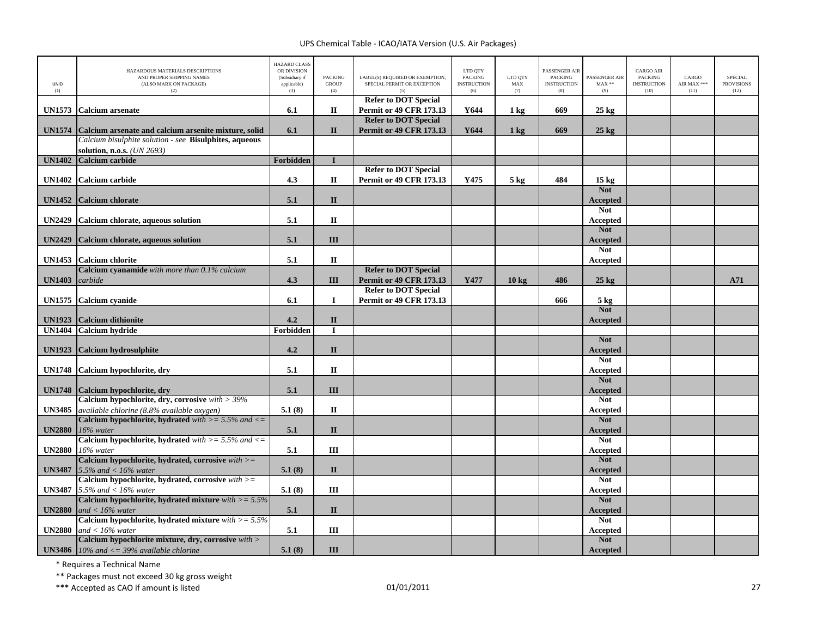| UNID<br>(1)   | HAZARDOUS MATERIALS DESCRIPTIONS<br>AND PROPER SHIPPING NAMES<br>(ALSO MARK ON PACKAGE)<br>(2) | <b>HAZARD CLASS</b><br>OR DIVISION<br>(Subsidiary if<br>applicable)<br>(3) | <b>PACKING</b><br><b>GROUP</b><br>(4) | LABEL(S) REQUIRED OR EXEMPTION,<br>SPECIAL PERMIT OR EXCEPTION<br>(5) | LTD QTY<br><b>PACKING</b><br><b>INSTRUCTION</b><br>(6) | LTD OTY<br>MAX<br>(7) | <b>PASSENGER AIR</b><br><b>PACKING</b><br><b>INSTRUCTION</b><br>(8) | PASSENGER AIR<br>$MAX**$<br>(9) | <b>CARGO AIR</b><br><b>PACKING</b><br><b>INSTRUCTION</b><br>(10) | CARGO<br>AIR MAX ***<br>(11) | <b>SPECIAL</b><br><b>PROVISIONS</b><br>(12) |
|---------------|------------------------------------------------------------------------------------------------|----------------------------------------------------------------------------|---------------------------------------|-----------------------------------------------------------------------|--------------------------------------------------------|-----------------------|---------------------------------------------------------------------|---------------------------------|------------------------------------------------------------------|------------------------------|---------------------------------------------|
| <b>UN1573</b> | <b>Calcium</b> arsenate                                                                        | 6.1                                                                        | $\mathbf{I}$                          | <b>Refer to DOT Special</b><br><b>Permit or 49 CFR 173.13</b>         | Y644                                                   | 1 kg                  | 669                                                                 | $25 \text{ kg}$                 |                                                                  |                              |                                             |
|               |                                                                                                |                                                                            |                                       | <b>Refer to DOT Special</b>                                           |                                                        |                       |                                                                     |                                 |                                                                  |                              |                                             |
| <b>UN1574</b> | Calcium arsenate and calcium arsenite mixture, solid                                           | 6.1                                                                        | $\mathbf{I}$                          | <b>Permit or 49 CFR 173.13</b>                                        | Y644                                                   | $1 \text{ kg}$        | 669                                                                 | $25 \text{ kg}$                 |                                                                  |                              |                                             |
|               | Calcium bisulphite solution - see Bisulphites, aqueous                                         |                                                                            |                                       |                                                                       |                                                        |                       |                                                                     |                                 |                                                                  |                              |                                             |
|               | solution, n.o.s. (UN 2693)                                                                     |                                                                            |                                       |                                                                       |                                                        |                       |                                                                     |                                 |                                                                  |                              |                                             |
| <b>UN1402</b> | Calcium carbide                                                                                | Forbidden                                                                  | $\mathbf{I}$                          |                                                                       |                                                        |                       |                                                                     |                                 |                                                                  |                              |                                             |
|               |                                                                                                |                                                                            |                                       | <b>Refer to DOT Special</b>                                           |                                                        |                       |                                                                     |                                 |                                                                  |                              |                                             |
| <b>UN1402</b> | <b>Calcium</b> carbide                                                                         | 4.3                                                                        | $\rm II$                              | <b>Permit or 49 CFR 173.13</b>                                        | Y475                                                   | $5 \text{ kg}$        | 484                                                                 | 15 <sub>kg</sub><br><b>Not</b>  |                                                                  |                              |                                             |
| <b>UN1452</b> | Calcium chlorate                                                                               | 5.1                                                                        | $\mathbf{I}$                          |                                                                       |                                                        |                       |                                                                     | <b>Accepted</b>                 |                                                                  |                              |                                             |
|               |                                                                                                |                                                                            |                                       |                                                                       |                                                        |                       |                                                                     | <b>Not</b>                      |                                                                  |                              |                                             |
| <b>UN2429</b> | Calcium chlorate, aqueous solution                                                             | 5.1                                                                        | $\rm II$                              |                                                                       |                                                        |                       |                                                                     | Accepted                        |                                                                  |                              |                                             |
|               |                                                                                                |                                                                            |                                       |                                                                       |                                                        |                       |                                                                     | <b>Not</b>                      |                                                                  |                              |                                             |
| <b>UN2429</b> | Calcium chlorate, aqueous solution                                                             | 5.1                                                                        | III                                   |                                                                       |                                                        |                       |                                                                     | Accepted                        |                                                                  |                              |                                             |
|               |                                                                                                |                                                                            |                                       |                                                                       |                                                        |                       |                                                                     | <b>Not</b>                      |                                                                  |                              |                                             |
| <b>UN1453</b> | <b>Calcium</b> chlorite<br>Calcium cyanamide with more than 0.1% calcium                       | 5.1                                                                        | П                                     | <b>Refer to DOT Special</b>                                           |                                                        |                       |                                                                     | Accepted                        |                                                                  |                              |                                             |
| <b>UN1403</b> | carbide                                                                                        | 4.3                                                                        | III                                   | <b>Permit or 49 CFR 173.13</b>                                        | Y477                                                   | $10 \text{ kg}$       | 486                                                                 | $25 \text{ kg}$                 |                                                                  |                              | A71                                         |
|               |                                                                                                |                                                                            |                                       | <b>Refer to DOT Special</b>                                           |                                                        |                       |                                                                     |                                 |                                                                  |                              |                                             |
|               | UN1575 Calcium cyanide                                                                         | 6.1                                                                        | 1                                     | <b>Permit or 49 CFR 173.13</b>                                        |                                                        |                       | 666                                                                 | 5 <sub>kg</sub>                 |                                                                  |                              |                                             |
|               |                                                                                                |                                                                            |                                       |                                                                       |                                                        |                       |                                                                     | <b>Not</b>                      |                                                                  |                              |                                             |
| <b>UN1923</b> | <b>Calcium dithionite</b>                                                                      | 4.2                                                                        | $\mathbf{I}\mathbf{I}$                |                                                                       |                                                        |                       |                                                                     | Accepted                        |                                                                  |                              |                                             |
| <b>UN1404</b> | <b>Calcium hydride</b>                                                                         | Forbidden                                                                  | П                                     |                                                                       |                                                        |                       |                                                                     |                                 |                                                                  |                              |                                             |
|               |                                                                                                |                                                                            |                                       |                                                                       |                                                        |                       |                                                                     | <b>Not</b>                      |                                                                  |                              |                                             |
| <b>UN1923</b> | <b>Calcium hydrosulphite</b>                                                                   | 4.2                                                                        | $\mathbf{I}$                          |                                                                       |                                                        |                       |                                                                     | <b>Accepted</b>                 |                                                                  |                              |                                             |
|               |                                                                                                | 5.1                                                                        | $\mathbf{I}$                          |                                                                       |                                                        |                       |                                                                     | <b>Not</b>                      |                                                                  |                              |                                             |
| <b>UN1748</b> | Calcium hypochlorite, dry                                                                      |                                                                            |                                       |                                                                       |                                                        |                       |                                                                     | Accepted<br><b>Not</b>          |                                                                  |                              |                                             |
|               | UN1748 Calcium hypochlorite, dry                                                               | 5.1                                                                        | III                                   |                                                                       |                                                        |                       |                                                                     | <b>Accepted</b>                 |                                                                  |                              |                                             |
|               | Calcium hypochlorite, dry, corrosive with $>$ 39%                                              |                                                                            |                                       |                                                                       |                                                        |                       |                                                                     | <b>Not</b>                      |                                                                  |                              |                                             |
| <b>UN3485</b> | available chlorine (8.8% available oxygen)                                                     | 5.1(8)                                                                     | П                                     |                                                                       |                                                        |                       |                                                                     | Accepted                        |                                                                  |                              |                                             |
|               | Calcium hypochlorite, hydrated with $>= 5.5\%$ and $<=$                                        |                                                                            |                                       |                                                                       |                                                        |                       |                                                                     | <b>Not</b>                      |                                                                  |                              |                                             |
| <b>UN2880</b> | 16% water                                                                                      | 5.1                                                                        | $\mathbf{I}$                          |                                                                       |                                                        |                       |                                                                     | Accepted                        |                                                                  |                              |                                             |
|               | Calcium hypochlorite, hydrated with $>= 5.5\%$ and $<=$                                        |                                                                            |                                       |                                                                       |                                                        |                       |                                                                     | <b>Not</b>                      |                                                                  |                              |                                             |
| <b>UN2880</b> | 16% water<br>Calcium hypochlorite, hydrated, corrosive $with$ >=                               | 5.1                                                                        | Ш                                     |                                                                       |                                                        |                       |                                                                     | Accepted<br><b>Not</b>          |                                                                  |                              |                                             |
| <b>UN3487</b> | 5.5% and $<$ 16% water                                                                         | 5.1(8)                                                                     | $\mathbf{I}$                          |                                                                       |                                                        |                       |                                                                     | <b>Accepted</b>                 |                                                                  |                              |                                             |
|               | Calcium hypochlorite, hydrated, corrosive $with >=$                                            |                                                                            |                                       |                                                                       |                                                        |                       |                                                                     | <b>Not</b>                      |                                                                  |                              |                                             |
| <b>UN3487</b> | 5.5% and $<$ 16% water                                                                         | 5.1(8)                                                                     | III                                   |                                                                       |                                                        |                       |                                                                     | <b>Accepted</b>                 |                                                                  |                              |                                             |
|               | Calcium hypochlorite, hydrated mixture with $>= 5.5\%$                                         |                                                                            |                                       |                                                                       |                                                        |                       |                                                                     | <b>Not</b>                      |                                                                  |                              |                                             |
| <b>UN2880</b> | and $< 16\%$ water                                                                             | 5.1                                                                        | $\mathbf{I}$                          |                                                                       |                                                        |                       |                                                                     | Accepted                        |                                                                  |                              |                                             |
|               | Calcium hypochlorite, hydrated mixture with $>= 5.5\%$                                         |                                                                            |                                       |                                                                       |                                                        |                       |                                                                     | <b>Not</b>                      |                                                                  |                              |                                             |
| <b>UN2880</b> | and $<$ 16% water                                                                              | 5.1                                                                        | III                                   |                                                                       |                                                        |                       |                                                                     | Accepted                        |                                                                  |                              |                                             |
|               | Calcium hypochlorite mixture, dry, corrosive with >                                            |                                                                            |                                       |                                                                       |                                                        |                       |                                                                     | <b>Not</b>                      |                                                                  |                              |                                             |
|               | <b>UN3486</b> 10% and $\lt$ = 39% available chlorine                                           | 5.1(8)                                                                     | III                                   |                                                                       |                                                        |                       |                                                                     | Accepted                        |                                                                  |                              |                                             |

\* Requires <sup>a</sup> Technical Name

\*\* Packages must not exceed 30 kg gross weight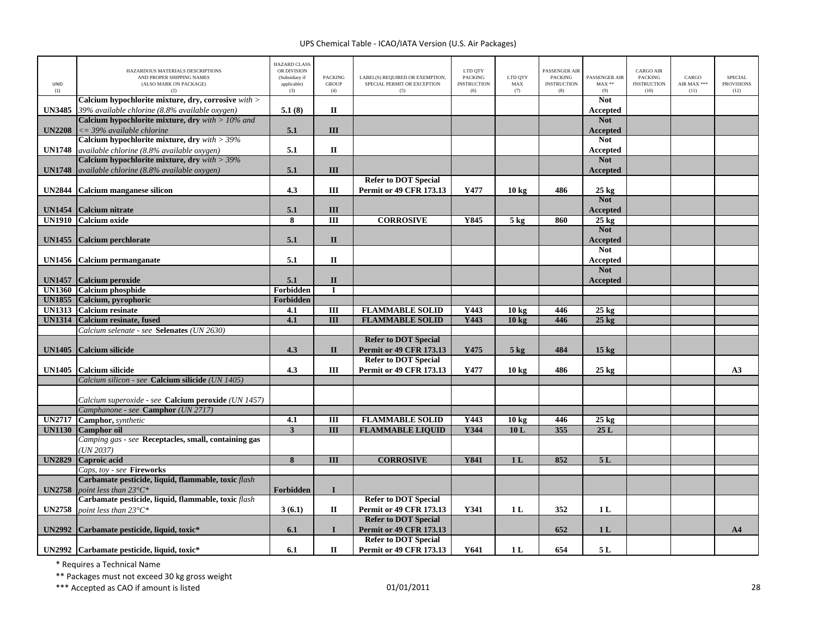| <b>UNID</b><br>(1) | HAZARDOUS MATERIALS DESCRIPTIONS<br>AND PROPER SHIPPING NAMES<br>(ALSO MARK ON PACKAGE)<br>(2)        | <b>HAZARD CLASS</b><br>OR DIVISION<br>(Subsidiary if<br>applicable)<br>(3) | <b>PACKING</b><br><b>GROUP</b><br>(4) | LABEL(S) REQUIRED OR EXEMPTION,<br>SPECIAL PERMIT OR EXCEPTION<br>(5) | LTD QTY<br><b>PACKING</b><br><b>INSTRUCTION</b><br>(6) | LTD QTY<br>MAX<br>(7) | PASSENGER AIR<br><b>PACKING</b><br><b>INSTRUCTION</b><br>(8) | PASSENGER AIR<br>$MAX**$<br>(9) | <b>CARGO AIR</b><br><b>PACKING</b><br><b>INSTRUCTION</b><br>(10) | CARGO<br>AIR MAX ***<br>(11) | <b>SPECIAL</b><br><b>PROVISIONS</b><br>(12) |
|--------------------|-------------------------------------------------------------------------------------------------------|----------------------------------------------------------------------------|---------------------------------------|-----------------------------------------------------------------------|--------------------------------------------------------|-----------------------|--------------------------------------------------------------|---------------------------------|------------------------------------------------------------------|------------------------------|---------------------------------------------|
| <b>UN3485</b>      | Calcium hypochlorite mixture, dry, corrosive with ><br>39% available chlorine (8.8% available oxygen) | 5.1(8)                                                                     | $\mathbf{I}$                          |                                                                       |                                                        |                       |                                                              | <b>Not</b><br>Accepted          |                                                                  |                              |                                             |
|                    | Calcium hypochlorite mixture, dry $with > 10\%$ and                                                   |                                                                            |                                       |                                                                       |                                                        |                       |                                                              | <b>Not</b>                      |                                                                  |                              |                                             |
| <b>UN2208</b>      | $\epsilon = 39\%$ available chlorine                                                                  | 5.1                                                                        | III                                   |                                                                       |                                                        |                       |                                                              | <b>Accepted</b>                 |                                                                  |                              |                                             |
|                    | Calcium hypochlorite mixture, dry $with > 39\%$                                                       |                                                                            |                                       |                                                                       |                                                        |                       |                                                              | <b>Not</b>                      |                                                                  |                              |                                             |
| <b>UN1748</b>      | available chlorine (8.8% available oxygen)                                                            | 5.1                                                                        | $\mathbf{I}$                          |                                                                       |                                                        |                       |                                                              | Accepted                        |                                                                  |                              |                                             |
|                    | Calcium hypochlorite mixture, dry $with > 39\%$                                                       |                                                                            |                                       |                                                                       |                                                        |                       |                                                              | <b>Not</b>                      |                                                                  |                              |                                             |
| <b>UN1748</b>      | available chlorine (8.8% available oxygen)                                                            | 5.1                                                                        | III                                   |                                                                       |                                                        |                       |                                                              | Accepted                        |                                                                  |                              |                                             |
|                    |                                                                                                       |                                                                            |                                       | <b>Refer to DOT Special</b>                                           |                                                        |                       |                                                              |                                 |                                                                  |                              |                                             |
| <b>UN2844</b>      | <b>Calcium manganese silicon</b>                                                                      | 4.3                                                                        | III                                   | <b>Permit or 49 CFR 173.13</b>                                        | Y477                                                   | $10 \text{ kg}$       | 486                                                          | $25 \text{ kg}$<br><b>Not</b>   |                                                                  |                              |                                             |
| <b>UN1454</b>      | Calcium nitrate                                                                                       | 5.1                                                                        | III                                   |                                                                       |                                                        |                       |                                                              | <b>Accepted</b>                 |                                                                  |                              |                                             |
| <b>UN1910</b>      | <b>Calcium</b> oxide                                                                                  | 8                                                                          | $\overline{III}$                      | <b>CORROSIVE</b>                                                      | Y845                                                   | 5 <sub>kg</sub>       | 860                                                          | $25$ kg                         |                                                                  |                              |                                             |
|                    |                                                                                                       |                                                                            |                                       |                                                                       |                                                        |                       |                                                              | <b>Not</b>                      |                                                                  |                              |                                             |
| <b>UN1455</b>      | Calcium perchlorate                                                                                   | 5.1                                                                        | $\mathbf{I}$                          |                                                                       |                                                        |                       |                                                              | Accepted                        |                                                                  |                              |                                             |
|                    |                                                                                                       |                                                                            |                                       |                                                                       |                                                        |                       |                                                              | <b>Not</b>                      |                                                                  |                              |                                             |
| <b>UN1456</b>      | Calcium permanganate                                                                                  | 5.1                                                                        | П                                     |                                                                       |                                                        |                       |                                                              | Accepted                        |                                                                  |                              |                                             |
|                    |                                                                                                       |                                                                            |                                       |                                                                       |                                                        |                       |                                                              | <b>Not</b>                      |                                                                  |                              |                                             |
| <b>UN1457</b>      | Calcium peroxide                                                                                      | 5.1                                                                        | $\mathbf{I}$                          |                                                                       |                                                        |                       |                                                              | <b>Accepted</b>                 |                                                                  |                              |                                             |
| <b>UN1360</b>      | <b>Calcium</b> phosphide                                                                              | Forbidden                                                                  | I                                     |                                                                       |                                                        |                       |                                                              |                                 |                                                                  |                              |                                             |
| <b>UN1855</b>      | Calcium, pyrophoric                                                                                   | Forbidden                                                                  |                                       |                                                                       |                                                        |                       |                                                              |                                 |                                                                  |                              |                                             |
| <b>UN1313</b>      | <b>Calcium</b> resinate                                                                               | 4.1                                                                        | $\overline{m}$                        | <b>FLAMMABLE SOLID</b>                                                | Y443                                                   | 10 <sub>kg</sub>      | 446                                                          | $25 \text{ kg}$                 |                                                                  |                              |                                             |
| <b>UN1314</b>      | <b>Calcium resinate, fused</b>                                                                        | 4.1                                                                        | $\overline{III}$                      | <b>FLAMMABLE SOLID</b>                                                | Y443                                                   | 10 <sub>kg</sub>      | 446                                                          | $25$ kg                         |                                                                  |                              |                                             |
|                    | Calcium selenate - see Selenates (UN 2630)                                                            |                                                                            |                                       | <b>Refer to DOT Special</b>                                           |                                                        |                       |                                                              |                                 |                                                                  |                              |                                             |
| <b>UN1405</b>      | <b>Calcium silicide</b>                                                                               | 4.3                                                                        | $\mathbf{I}$                          | <b>Permit or 49 CFR 173.13</b>                                        | Y475                                                   | $5$ kg                | 484                                                          | 15 <sub>kg</sub>                |                                                                  |                              |                                             |
|                    |                                                                                                       |                                                                            |                                       | <b>Refer to DOT Special</b>                                           |                                                        |                       |                                                              |                                 |                                                                  |                              |                                             |
| <b>UN1405</b>      | Calcium silicide                                                                                      | 4.3                                                                        | III                                   | <b>Permit or 49 CFR 173.13</b>                                        | Y477                                                   | 10 kg                 | 486                                                          | $25 \text{ kg}$                 |                                                                  |                              | A3                                          |
|                    | Calcium silicon - see Calcium silicide (UN 1405)                                                      |                                                                            |                                       |                                                                       |                                                        |                       |                                                              |                                 |                                                                  |                              |                                             |
|                    |                                                                                                       |                                                                            |                                       |                                                                       |                                                        |                       |                                                              |                                 |                                                                  |                              |                                             |
|                    | Calcium superoxide - see Calcium peroxide (UN 1457)                                                   |                                                                            |                                       |                                                                       |                                                        |                       |                                                              |                                 |                                                                  |                              |                                             |
|                    | Camphanone - see Camphor (UN 2717)                                                                    |                                                                            |                                       |                                                                       |                                                        |                       |                                                              |                                 |                                                                  |                              |                                             |
| <b>UN2717</b>      | Camphor, synthetic                                                                                    | 4.1                                                                        | $\overline{m}$                        | <b>FLAMMABLE SOLID</b>                                                | Y443                                                   | 10 <sub>kg</sub>      | 446                                                          | $25$ kg                         |                                                                  |                              |                                             |
| <b>UN1130</b>      | <b>Camphor</b> oil                                                                                    | $\overline{\mathbf{3}}$                                                    | III                                   | <b>FLAMMABLE LIQUID</b>                                               | Y344                                                   | 10L                   | 355                                                          | 25L                             |                                                                  |                              |                                             |
|                    | Camping gas - see Receptacles, small, containing gas                                                  |                                                                            |                                       |                                                                       |                                                        |                       |                                                              |                                 |                                                                  |                              |                                             |
|                    | (UN 2037)                                                                                             |                                                                            |                                       |                                                                       |                                                        |                       |                                                              |                                 |                                                                  |                              |                                             |
| <b>UN2829</b>      | Caproic acid<br>Caps, toy - see Fireworks                                                             | $\overline{\mathbf{8}}$                                                    | $\overline{III}$                      | <b>CORROSIVE</b>                                                      | <b>Y841</b>                                            | 1 <sub>L</sub>        | 852                                                          | 5L                              |                                                                  |                              |                                             |
|                    | Carbamate pesticide, liquid, flammable, toxic flash                                                   |                                                                            |                                       |                                                                       |                                                        |                       |                                                              |                                 |                                                                  |                              |                                             |
| <b>UN2758</b>      | point less than $23^{\circ}C^*$                                                                       | Forbidden                                                                  | I                                     |                                                                       |                                                        |                       |                                                              |                                 |                                                                  |                              |                                             |
|                    | Carbamate pesticide, liquid, flammable, toxic flash                                                   |                                                                            |                                       | <b>Refer to DOT Special</b>                                           |                                                        |                       |                                                              |                                 |                                                                  |                              |                                             |
| <b>UN2758</b>      | point less than 23°C*                                                                                 | 3(6.1)                                                                     | П                                     | <b>Permit or 49 CFR 173.13</b>                                        | Y341                                                   | 1 L                   | 352                                                          | 1L                              |                                                                  |                              |                                             |
|                    |                                                                                                       |                                                                            |                                       | <b>Refer to DOT Special</b>                                           |                                                        |                       |                                                              |                                 |                                                                  |                              |                                             |
| <b>UN2992</b>      | Carbamate pesticide, liquid, toxic*                                                                   | 6.1                                                                        | $\mathbf{I}$                          | Permit or 49 CFR 173.13                                               |                                                        |                       | 652                                                          | 1 <sub>L</sub>                  |                                                                  |                              | A <sub>4</sub>                              |
|                    |                                                                                                       |                                                                            |                                       | <b>Refer to DOT Special</b>                                           |                                                        |                       |                                                              |                                 |                                                                  |                              |                                             |
|                    | UN2992 Carbamate pesticide, liquid, toxic*                                                            | 6.1                                                                        | П                                     | <b>Permit or 49 CFR 173.13</b>                                        | Y641                                                   | 1 <sub>L</sub>        | 654                                                          | 5L                              |                                                                  |                              |                                             |

\* Requires <sup>a</sup> Technical Name

\*\* Packages must not exceed 30 kg gross weight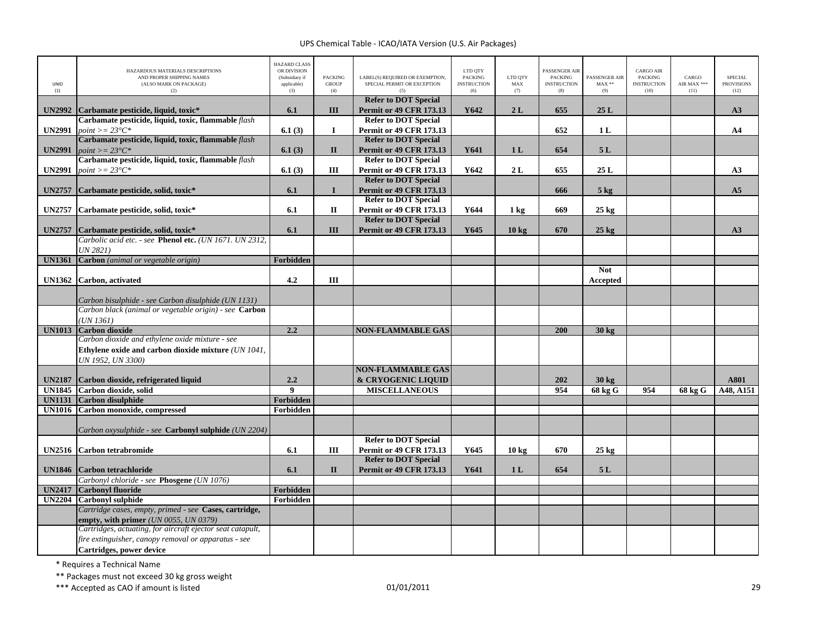|                                | HAZARDOUS MATERIALS DESCRIPTIONS                             | <b>HAZARD CLASS</b><br>OR DIVISION   |                                       |                                                                | LTD QTY                                     |                       | PASSENGER AIR                               |                                 | <b>CARGO AIR</b>                             |                              |                                             |
|--------------------------------|--------------------------------------------------------------|--------------------------------------|---------------------------------------|----------------------------------------------------------------|---------------------------------------------|-----------------------|---------------------------------------------|---------------------------------|----------------------------------------------|------------------------------|---------------------------------------------|
| <b>UNID</b><br>(1)             | AND PROPER SHIPPING NAMES<br>(ALSO MARK ON PACKAGE)<br>(2)   | (Subsidiary if<br>applicable)<br>(3) | <b>PACKING</b><br><b>GROUP</b><br>(4) | LABEL(S) REQUIRED OR EXEMPTION,<br>SPECIAL PERMIT OR EXCEPTION | <b>PACKING</b><br><b>INSTRUCTION</b><br>(6) | LTD OTY<br>MAX<br>(7) | <b>PACKING</b><br><b>INSTRUCTION</b><br>(8) | PASSENGER AIR<br>$MAX**$<br>(9) | <b>PACKING</b><br><b>INSTRUCTION</b><br>(10) | CARGO<br>AIR MAX ***<br>(11) | <b>SPECIAL</b><br><b>PROVISIONS</b><br>(12) |
|                                |                                                              |                                      |                                       | <b>Refer to DOT Special</b>                                    |                                             |                       |                                             |                                 |                                              |                              |                                             |
| <b>UN2992</b>                  | Carbamate pesticide, liquid, toxic*                          | 6.1                                  | III                                   | <b>Permit or 49 CFR 173.13</b>                                 | Y642                                        | 2L                    | 655                                         | 25L                             |                                              |                              | A3                                          |
|                                | Carbamate pesticide, liquid, toxic, flammable flash          |                                      |                                       | <b>Refer to DOT Special</b>                                    |                                             |                       |                                             |                                 |                                              |                              |                                             |
| <b>UN2991</b>                  | point $\geq$ = 23°C*                                         | 6.1(3)                               | $\bf{I}$                              | <b>Permit or 49 CFR 173.13</b>                                 |                                             |                       | 652                                         | 1 <sub>L</sub>                  |                                              |                              | AA                                          |
|                                | Carbamate pesticide, liquid, toxic, flammable <i>flash</i>   |                                      |                                       | <b>Refer to DOT Special</b>                                    |                                             |                       |                                             |                                 |                                              |                              |                                             |
| <b>UN2991</b>                  | $point >= 23^{\circ}C^*$                                     | 6.1(3)                               | $\mathbf{I}$                          | <b>Permit or 49 CFR 173.13</b>                                 | Y641                                        | 1 <sub>L</sub>        | 654                                         | 5L                              |                                              |                              |                                             |
|                                | Carbamate pesticide, liquid, toxic, flammable flash          |                                      |                                       | <b>Refer to DOT Special</b>                                    |                                             |                       |                                             |                                 |                                              |                              |                                             |
| <b>UN2991</b>                  | $point >= 23^{\circ}C^*$                                     | 6.1(3)                               | Ш                                     | <b>Permit or 49 CFR 173.13</b>                                 | Y642                                        | 2L                    | 655                                         | 25L                             |                                              |                              | A3                                          |
|                                |                                                              |                                      |                                       | <b>Refer to DOT Special</b>                                    |                                             |                       |                                             |                                 |                                              |                              |                                             |
| <b>UN2757</b>                  | Carbamate pesticide, solid, toxic*                           | 6.1                                  | $\mathbf I$                           | <b>Permit or 49 CFR 173.13</b><br><b>Refer to DOT Special</b>  |                                             |                       | 666                                         | $5$ kg                          |                                              |                              | A <sub>5</sub>                              |
| <b>UN2757</b>                  | Carbamate pesticide, solid, toxic*                           | 6.1                                  | П                                     | <b>Permit or 49 CFR 173.13</b>                                 | Y644                                        | $1 \text{ kg}$        | 669                                         | $25 \text{ kg}$                 |                                              |                              |                                             |
|                                |                                                              |                                      |                                       | <b>Refer to DOT Special</b>                                    |                                             |                       |                                             |                                 |                                              |                              |                                             |
| <b>UN2757</b>                  | Carbamate pesticide, solid, toxic*                           | 6.1                                  | III                                   | <b>Permit or 49 CFR 173.13</b>                                 | Y645                                        | 10 <sub>kg</sub>      | 670                                         | $25$ kg                         |                                              |                              | A3                                          |
|                                | Carbolic acid etc. - see Phenol etc. (UN 1671. UN 2312,      |                                      |                                       |                                                                |                                             |                       |                                             |                                 |                                              |                              |                                             |
|                                | UN 2821)                                                     |                                      |                                       |                                                                |                                             |                       |                                             |                                 |                                              |                              |                                             |
| <b>UN1361</b>                  | Carbon (animal or vegetable origin)                          | Forbidden                            |                                       |                                                                |                                             |                       |                                             |                                 |                                              |                              |                                             |
|                                |                                                              |                                      |                                       |                                                                |                                             |                       |                                             | <b>Not</b>                      |                                              |                              |                                             |
| <b>UN1362</b>                  | Carbon, activated                                            | 4.2                                  | Ш                                     |                                                                |                                             |                       |                                             | Accepted                        |                                              |                              |                                             |
|                                |                                                              |                                      |                                       |                                                                |                                             |                       |                                             |                                 |                                              |                              |                                             |
|                                | Carbon bisulphide - see Carbon disulphide (UN 1131)          |                                      |                                       |                                                                |                                             |                       |                                             |                                 |                                              |                              |                                             |
|                                | Carbon black (animal or vegetable origin) - see Carbon       |                                      |                                       |                                                                |                                             |                       |                                             |                                 |                                              |                              |                                             |
|                                | UN 1361)                                                     |                                      |                                       |                                                                |                                             |                       |                                             |                                 |                                              |                              |                                             |
| <b>UN1013</b>                  | <b>Carbon dioxide</b>                                        | 2.2                                  |                                       | <b>NON-FLAMMABLE GAS</b>                                       |                                             |                       | 200                                         | 30 kg                           |                                              |                              |                                             |
|                                | Carbon dioxide and ethylene oxide mixture - see              |                                      |                                       |                                                                |                                             |                       |                                             |                                 |                                              |                              |                                             |
|                                | Ethylene oxide and carbon dioxide mixture (UN 1041,          |                                      |                                       |                                                                |                                             |                       |                                             |                                 |                                              |                              |                                             |
|                                | UN 1952, UN 3300)                                            |                                      |                                       |                                                                |                                             |                       |                                             |                                 |                                              |                              |                                             |
|                                |                                                              |                                      |                                       | <b>NON-FLAMMABLE GAS</b>                                       |                                             |                       |                                             |                                 |                                              |                              |                                             |
| <b>UN2187</b><br><b>UN1845</b> | Carbon dioxide, refrigerated liquid<br>Carbon dioxide, solid | 2.2<br>$\overline{9}$                |                                       | & CRYOGENIC LIQUID<br><b>MISCELLANEOUS</b>                     |                                             |                       | 202<br>954                                  | 30 kg<br><b>68 kg G</b>         | 954                                          |                              | A801<br>A48, A151                           |
| <b>UN1131</b>                  | <b>Carbon disulphide</b>                                     | <b>Forbidden</b>                     |                                       |                                                                |                                             |                       |                                             |                                 |                                              | 68 kg G                      |                                             |
| <b>UN1016</b>                  | Carbon monoxide, compressed                                  | Forbidden                            |                                       |                                                                |                                             |                       |                                             |                                 |                                              |                              |                                             |
|                                |                                                              |                                      |                                       |                                                                |                                             |                       |                                             |                                 |                                              |                              |                                             |
|                                | Carbon oxysulphide - see <b>Carbonyl sulphide</b> (UN 2204)  |                                      |                                       |                                                                |                                             |                       |                                             |                                 |                                              |                              |                                             |
|                                |                                                              |                                      |                                       | <b>Refer to DOT Special</b>                                    |                                             |                       |                                             |                                 |                                              |                              |                                             |
| <b>UN2516</b>                  | <b>Carbon tetrabromide</b>                                   | 6.1                                  | Ш                                     | <b>Permit or 49 CFR 173.13</b>                                 | Y645                                        | $10 \text{ kg}$       | 670                                         | $25 \text{ kg}$                 |                                              |                              |                                             |
|                                |                                                              |                                      |                                       | <b>Refer to DOT Special</b>                                    |                                             |                       |                                             |                                 |                                              |                              |                                             |
| <b>UN1846</b>                  | <b>Carbon tetrachloride</b>                                  | 6.1                                  | $\mathbf{I}$                          | <b>Permit or 49 CFR 173.13</b>                                 | Y641                                        | 1L                    | 654                                         | 5L                              |                                              |                              |                                             |
|                                | Carbonyl chloride - see Phosgene (UN 1076)                   |                                      |                                       |                                                                |                                             |                       |                                             |                                 |                                              |                              |                                             |
| <b>UN2417</b>                  | <b>Carbonyl fluoride</b>                                     | Forbidden                            |                                       |                                                                |                                             |                       |                                             |                                 |                                              |                              |                                             |
| <b>UN2204</b>                  | <b>Carbonyl sulphide</b>                                     | Forbidden                            |                                       |                                                                |                                             |                       |                                             |                                 |                                              |                              |                                             |
|                                | Cartridge cases, empty, primed - see Cases, cartridge,       |                                      |                                       |                                                                |                                             |                       |                                             |                                 |                                              |                              |                                             |
|                                | <b>empty, with primer</b> (UN 0055, UN 0379)                 |                                      |                                       |                                                                |                                             |                       |                                             |                                 |                                              |                              |                                             |
|                                | Cartridges, actuating, for aircraft ejector seat catapult,   |                                      |                                       |                                                                |                                             |                       |                                             |                                 |                                              |                              |                                             |
|                                | fire extinguisher, canopy removal or apparatus - see         |                                      |                                       |                                                                |                                             |                       |                                             |                                 |                                              |                              |                                             |
|                                | Cartridges, power device                                     |                                      |                                       |                                                                |                                             |                       |                                             |                                 |                                              |                              |                                             |

\* Requires <sup>a</sup> Technical Name

\*\* Packages must not exceed 30 kg gross weight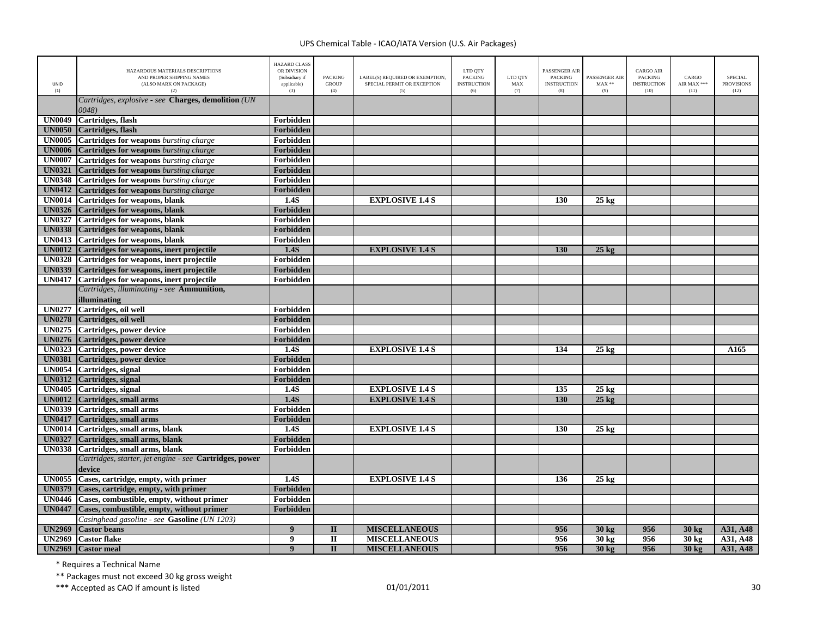| <b>UNID</b><br>(1) | HAZARDOUS MATERIALS DESCRIPTIONS<br>AND PROPER SHIPPING NAMES<br>(ALSO MARK ON PACKAGE)<br>(2) | <b>HAZARD CLASS</b><br>OR DIVISION<br>(Subsidiary if<br>applicable)<br>(3) | <b>PACKING</b><br><b>GROUP</b><br>(4) | LABEL(S) REOUIRED OR EXEMPTION.<br>SPECIAL PERMIT OR EXCEPTION<br>(5) | LTD QTY<br><b>PACKING</b><br><b>INSTRUCTION</b><br>(6) | LTD QTY<br>MAX<br>(7) | <b>PASSENGER AIR</b><br><b>PACKING</b><br><b>INSTRUCTION</b><br>(8) | <b>PASSENGER AIR</b><br>$MAX**$<br>(9) | <b>CARGO AIR</b><br>PACKING<br><b>INSTRUCTION</b><br>(10) | CARGO<br>AIR MAX ***<br>(11) | <b>SPECIAL</b><br><b>PROVISIONS</b><br>(12) |
|--------------------|------------------------------------------------------------------------------------------------|----------------------------------------------------------------------------|---------------------------------------|-----------------------------------------------------------------------|--------------------------------------------------------|-----------------------|---------------------------------------------------------------------|----------------------------------------|-----------------------------------------------------------|------------------------------|---------------------------------------------|
|                    | Cartridges, explosive - see Charges, demolition (UN                                            |                                                                            |                                       |                                                                       |                                                        |                       |                                                                     |                                        |                                                           |                              |                                             |
|                    | 0048)                                                                                          |                                                                            |                                       |                                                                       |                                                        |                       |                                                                     |                                        |                                                           |                              |                                             |
| <b>UN0049</b>      | Cartridges, flash                                                                              | Forbidden                                                                  |                                       |                                                                       |                                                        |                       |                                                                     |                                        |                                                           |                              |                                             |
| <b>UN0050</b>      | Cartridges, flash                                                                              | Forbidden                                                                  |                                       |                                                                       |                                                        |                       |                                                                     |                                        |                                                           |                              |                                             |
| <b>UN0005</b>      | <b>Cartridges for weapons</b> bursting charge                                                  | Forbidden                                                                  |                                       |                                                                       |                                                        |                       |                                                                     |                                        |                                                           |                              |                                             |
| <b>UN0006</b>      | <b>Cartridges for weapons</b> bursting charge                                                  | Forbidden                                                                  |                                       |                                                                       |                                                        |                       |                                                                     |                                        |                                                           |                              |                                             |
| <b>UN0007</b>      | <b>Cartridges for weapons</b> bursting charge                                                  | Forbidden                                                                  |                                       |                                                                       |                                                        |                       |                                                                     |                                        |                                                           |                              |                                             |
| <b>UN0321</b>      | <b>Cartridges for weapons</b> bursting charge                                                  | Forbidden                                                                  |                                       |                                                                       |                                                        |                       |                                                                     |                                        |                                                           |                              |                                             |
| <b>UN0348</b>      | <b>Cartridges for weapons</b> bursting charge                                                  | Forbidden                                                                  |                                       |                                                                       |                                                        |                       |                                                                     |                                        |                                                           |                              |                                             |
| <b>UN0412</b>      | <b>Cartridges for weapons</b> bursting charge                                                  | Forbidden                                                                  |                                       |                                                                       |                                                        |                       |                                                                     |                                        |                                                           |                              |                                             |
| <b>UN0014</b>      | Cartridges for weapons, blank                                                                  | 1.4S                                                                       |                                       | <b>EXPLOSIVE 1.4 S</b>                                                |                                                        |                       | 130                                                                 | $25 \text{ kg}$                        |                                                           |                              |                                             |
| <b>UN0326</b>      | Cartridges for weapons, blank                                                                  | Forbidden                                                                  |                                       |                                                                       |                                                        |                       |                                                                     |                                        |                                                           |                              |                                             |
| <b>UN0327</b>      | <b>Cartridges for weapons, blank</b>                                                           | Forbidden                                                                  |                                       |                                                                       |                                                        |                       |                                                                     |                                        |                                                           |                              |                                             |
| <b>UN0338</b>      | Cartridges for weapons, blank                                                                  | Forbidden                                                                  |                                       |                                                                       |                                                        |                       |                                                                     |                                        |                                                           |                              |                                             |
| <b>UN0413</b>      | Cartridges for weapons, blank                                                                  | Forbidden                                                                  |                                       |                                                                       |                                                        |                       |                                                                     |                                        |                                                           |                              |                                             |
| <b>UN0012</b>      | Cartridges for weapons, inert projectile                                                       | 1.4S                                                                       |                                       | <b>EXPLOSIVE 1.4 S</b>                                                |                                                        |                       | 130                                                                 | $25 \text{ kg}$                        |                                                           |                              |                                             |
| <b>UN0328</b>      | Cartridges for weapons, inert projectile                                                       | Forbidden                                                                  |                                       |                                                                       |                                                        |                       |                                                                     |                                        |                                                           |                              |                                             |
| <b>UN0339</b>      | Cartridges for weapons, inert projectile                                                       | Forbidden                                                                  |                                       |                                                                       |                                                        |                       |                                                                     |                                        |                                                           |                              |                                             |
| <b>UN0417</b>      | Cartridges for weapons, inert projectile                                                       | Forbidden                                                                  |                                       |                                                                       |                                                        |                       |                                                                     |                                        |                                                           |                              |                                             |
|                    | Cartridges, illuminating - see Ammunition,                                                     |                                                                            |                                       |                                                                       |                                                        |                       |                                                                     |                                        |                                                           |                              |                                             |
|                    | illuminating                                                                                   |                                                                            |                                       |                                                                       |                                                        |                       |                                                                     |                                        |                                                           |                              |                                             |
|                    | UN0277 Cartridges, oil well                                                                    | Forbidden                                                                  |                                       |                                                                       |                                                        |                       |                                                                     |                                        |                                                           |                              |                                             |
| <b>UN0278</b>      | Cartridges, oil well                                                                           | Forbidden                                                                  |                                       |                                                                       |                                                        |                       |                                                                     |                                        |                                                           |                              |                                             |
| <b>UN0275</b>      | Cartridges, power device                                                                       | Forbidden                                                                  |                                       |                                                                       |                                                        |                       |                                                                     |                                        |                                                           |                              |                                             |
|                    | UN0276 Cartridges, power device                                                                | Forbidden                                                                  |                                       |                                                                       |                                                        |                       |                                                                     |                                        |                                                           |                              |                                             |
|                    | UN0323 Cartridges, power device                                                                | 1.4S                                                                       |                                       | <b>EXPLOSIVE 1.4 S</b>                                                |                                                        |                       | 134                                                                 | $25 \text{ kg}$                        |                                                           |                              | A <sub>165</sub>                            |
| <b>UN0381</b>      | Cartridges, power device                                                                       | Forbidden                                                                  |                                       |                                                                       |                                                        |                       |                                                                     |                                        |                                                           |                              |                                             |
|                    | UN0054 Cartridges, signal                                                                      | Forbidden                                                                  |                                       |                                                                       |                                                        |                       |                                                                     |                                        |                                                           |                              |                                             |
|                    | UN0312 Cartridges, signal                                                                      | Forbidden                                                                  |                                       |                                                                       |                                                        |                       |                                                                     |                                        |                                                           |                              |                                             |
|                    | UN0405 Cartridges, signal                                                                      | 1.4S                                                                       |                                       | <b>EXPLOSIVE 1.4 S</b>                                                |                                                        |                       | 135                                                                 | $25 \text{ kg}$                        |                                                           |                              |                                             |
| <b>UN0012</b>      | Cartridges, small arms                                                                         | 1.4S                                                                       |                                       | <b>EXPLOSIVE 1.4 S</b>                                                |                                                        |                       | 130                                                                 | $25 \text{ kg}$                        |                                                           |                              |                                             |
|                    | UN0339 Cartridges, small arms                                                                  | Forbidden                                                                  |                                       |                                                                       |                                                        |                       |                                                                     |                                        |                                                           |                              |                                             |
| <b>UN0417</b>      | Cartridges, small arms                                                                         | Forbidden                                                                  |                                       |                                                                       |                                                        |                       |                                                                     |                                        |                                                           |                              |                                             |
|                    | UN0014 Cartridges, small arms, blank                                                           | 1.4S                                                                       |                                       | <b>EXPLOSIVE 1.4 S</b>                                                |                                                        |                       | 130                                                                 | $25 \text{ kg}$                        |                                                           |                              |                                             |
| <b>UN0327</b>      | Cartridges, small arms, blank                                                                  | Forbidden                                                                  |                                       |                                                                       |                                                        |                       |                                                                     |                                        |                                                           |                              |                                             |
| <b>UN0338</b>      | Cartridges, small arms, blank                                                                  | Forbidden                                                                  |                                       |                                                                       |                                                        |                       |                                                                     |                                        |                                                           |                              |                                             |
|                    | Cartridges, starter, jet engine - see Cartridges, power                                        |                                                                            |                                       |                                                                       |                                                        |                       |                                                                     |                                        |                                                           |                              |                                             |
|                    | device                                                                                         |                                                                            |                                       |                                                                       |                                                        |                       |                                                                     |                                        |                                                           |                              |                                             |
| <b>UN0055</b>      | Cases, cartridge, empty, with primer                                                           | 1.4S                                                                       |                                       | <b>EXPLOSIVE 1.4 S</b>                                                |                                                        |                       | 136                                                                 | $25 \text{ kg}$                        |                                                           |                              |                                             |
| <b>UN0379</b>      | Cases, cartridge, empty, with primer                                                           | Forbidden                                                                  |                                       |                                                                       |                                                        |                       |                                                                     |                                        |                                                           |                              |                                             |
| <b>UN0446</b>      | Cases, combustible, empty, without primer                                                      | Forbidden                                                                  |                                       |                                                                       |                                                        |                       |                                                                     |                                        |                                                           |                              |                                             |
| <b>UN0447</b>      | Cases, combustible, empty, without primer                                                      | Forbidden                                                                  |                                       |                                                                       |                                                        |                       |                                                                     |                                        |                                                           |                              |                                             |
|                    | Casinghead gasoline - see Gasoline (UN 1203)                                                   |                                                                            |                                       |                                                                       |                                                        |                       |                                                                     |                                        |                                                           |                              |                                             |
| <b>UN2969</b>      | <b>Castor beans</b>                                                                            | 9                                                                          | $\mathbf{I}$                          | <b>MISCELLANEOUS</b>                                                  |                                                        |                       | 956                                                                 | 30 kg                                  | 956                                                       | 30 kg                        | A31, A48                                    |
| <b>UN2969</b>      | <b>Castor flake</b>                                                                            | 9                                                                          | $\mathbf{I}$                          | <b>MISCELLANEOUS</b>                                                  |                                                        |                       | 956                                                                 | 30 kg                                  | 956                                                       | 30 kg                        | A31, A48                                    |
| <b>UN2969</b>      | <b>Castor</b> meal                                                                             | $\boldsymbol{9}$                                                           | $\mathbf{I}$                          | <b>MISCELLANEOUS</b>                                                  |                                                        |                       | 956                                                                 | 30 kg                                  | 956                                                       | 30 kg                        | A31, A48                                    |

\* Requires <sup>a</sup> Technical Name

\*\* Packages must not exceed 30 kg gross weight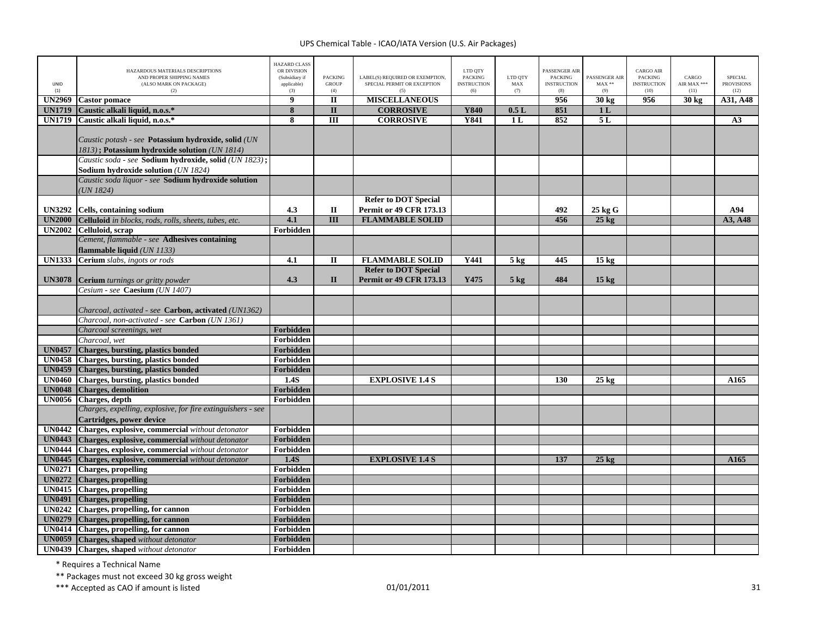| UNID<br>(1)   | HAZARDOUS MATERIALS DESCRIPTIONS<br>AND PROPER SHIPPING NAMES<br>(ALSO MARK ON PACKAGE)<br>(2)                                                                | <b>HAZARD CLASS</b><br>OR DIVISION<br>(Subsidiary if<br>applicable)<br>(3) | <b>PACKING</b><br><b>GROUP</b><br>(4) | LABEL(S) REQUIRED OR EXEMPTION,<br>SPECIAL PERMIT OR EXCEPTION<br>(5) | LTD QTY<br><b>PACKING</b><br><b>INSTRUCTION</b><br>(6) | LTD OTY<br>$\operatorname{MAX}$<br>(7) | <b>PASSENGER AIR</b><br><b>PACKING</b><br><b>INSTRUCTION</b><br>(8) | PASSENGER AIR<br>$\text{MAX}$ **<br>(9) | <b>CARGO AIR</b><br>PACKING<br><b>INSTRUCTION</b><br>(10) | CARGO<br>AIR MAX ***<br>(11) | <b>SPECIAL</b><br><b>PROVISIONS</b><br>(12) |
|---------------|---------------------------------------------------------------------------------------------------------------------------------------------------------------|----------------------------------------------------------------------------|---------------------------------------|-----------------------------------------------------------------------|--------------------------------------------------------|----------------------------------------|---------------------------------------------------------------------|-----------------------------------------|-----------------------------------------------------------|------------------------------|---------------------------------------------|
| <b>UN2969</b> | <b>Castor</b> pomace                                                                                                                                          | $\overline{9}$                                                             | $\mathbf{I}$                          | <b>MISCELLANEOUS</b>                                                  |                                                        |                                        | 956                                                                 | 30 kg                                   | 956                                                       | 30 kg                        | A31, A48                                    |
| <b>UN1719</b> | Caustic alkali liquid, n.o.s.*                                                                                                                                | $\overline{\mathbf{8}}$                                                    | $\mathbf{I}$                          | <b>CORROSIVE</b>                                                      | Y840                                                   | 0.5L                                   | 851                                                                 | 1 <sub>L</sub>                          |                                                           |                              |                                             |
| <b>UN1719</b> | Caustic alkali liquid, n.o.s.*                                                                                                                                | $\overline{\mathbf{8}}$                                                    | $\overline{III}$                      | <b>CORROSIVE</b>                                                      | <b>Y841</b>                                            | 1 <sub>L</sub>                         | 852                                                                 | 5L                                      |                                                           |                              | A3                                          |
|               | Caustic potash - see Potassium hydroxide, solid (UN<br>1813); Potassium hydroxide solution (UN 1814)<br>Caustic soda - see Sodium hydroxide, solid (UN 1823); |                                                                            |                                       |                                                                       |                                                        |                                        |                                                                     |                                         |                                                           |                              |                                             |
|               | Sodium hydroxide solution (UN 1824)                                                                                                                           |                                                                            |                                       |                                                                       |                                                        |                                        |                                                                     |                                         |                                                           |                              |                                             |
|               | Caustic soda liquor - see Sodium hydroxide solution<br>UN 1824)                                                                                               |                                                                            |                                       |                                                                       |                                                        |                                        |                                                                     |                                         |                                                           |                              |                                             |
|               |                                                                                                                                                               |                                                                            |                                       | <b>Refer to DOT Special</b>                                           |                                                        |                                        |                                                                     |                                         |                                                           |                              |                                             |
| <b>UN3292</b> | Cells, containing sodium                                                                                                                                      | 4.3                                                                        | $\rm II$                              | <b>Permit or 49 CFR 173.13</b>                                        |                                                        |                                        | 492                                                                 | 25 kg G                                 |                                                           |                              | A94                                         |
| <b>UN2000</b> | Celluloid in blocks, rods, rolls, sheets, tubes, etc.                                                                                                         | 4.1                                                                        | $\overline{III}$                      | <b>FLAMMABLE SOLID</b>                                                |                                                        |                                        | 456                                                                 | $25$ kg                                 |                                                           |                              | A3, A48                                     |
| <b>UN2002</b> | Celluloid, scrap<br>Cement, flammable - see Adhesives containing                                                                                              | Forbidden                                                                  |                                       |                                                                       |                                                        |                                        |                                                                     |                                         |                                                           |                              |                                             |
|               | flammable liquid (UN 1133)                                                                                                                                    |                                                                            |                                       |                                                                       |                                                        |                                        |                                                                     |                                         |                                                           |                              |                                             |
| <b>UN1333</b> | Cerium slabs, ingots or rods                                                                                                                                  | 4.1                                                                        | $\mathbf{I}$                          | <b>FLAMMABLE SOLID</b>                                                | Y441                                                   | 5 <sub>kg</sub>                        | 445                                                                 | 15 <sub>kg</sub>                        |                                                           |                              |                                             |
| <b>UN3078</b> | <b>Cerium</b> turnings or gritty powder                                                                                                                       | 4.3                                                                        | $\mathbf{I}$                          | <b>Refer to DOT Special</b><br><b>Permit or 49 CFR 173.13</b>         | Y475                                                   | $5$ kg                                 | 484                                                                 | $15 \text{ kg}$                         |                                                           |                              |                                             |
|               | Cesium - see <b>Caesium</b> (UN 1407)                                                                                                                         |                                                                            |                                       |                                                                       |                                                        |                                        |                                                                     |                                         |                                                           |                              |                                             |
|               |                                                                                                                                                               |                                                                            |                                       |                                                                       |                                                        |                                        |                                                                     |                                         |                                                           |                              |                                             |
|               | Charcoal, activated - see Carbon, activated (UN1362)                                                                                                          |                                                                            |                                       |                                                                       |                                                        |                                        |                                                                     |                                         |                                                           |                              |                                             |
|               | Charcoal, non-activated - see <b>Carbon</b> (UN 1361)                                                                                                         |                                                                            |                                       |                                                                       |                                                        |                                        |                                                                     |                                         |                                                           |                              |                                             |
|               | Charcoal screenings, wet                                                                                                                                      | Forbidden                                                                  |                                       |                                                                       |                                                        |                                        |                                                                     |                                         |                                                           |                              |                                             |
|               | Charcoal, wet                                                                                                                                                 | Forbidden                                                                  |                                       |                                                                       |                                                        |                                        |                                                                     |                                         |                                                           |                              |                                             |
| <b>UN0457</b> | Charges, bursting, plastics bonded                                                                                                                            | Forbidden                                                                  |                                       |                                                                       |                                                        |                                        |                                                                     |                                         |                                                           |                              |                                             |
| <b>UN0458</b> | Charges, bursting, plastics bonded                                                                                                                            | Forbidden                                                                  |                                       |                                                                       |                                                        |                                        |                                                                     |                                         |                                                           |                              |                                             |
| <b>UN0459</b> | <b>Charges, bursting, plastics bonded</b>                                                                                                                     | Forbidden                                                                  |                                       |                                                                       |                                                        |                                        |                                                                     |                                         |                                                           |                              |                                             |
| <b>UN0460</b> | <b>Charges, bursting, plastics bonded</b>                                                                                                                     | 1.4S                                                                       |                                       | <b>EXPLOSIVE 1.4 S</b>                                                |                                                        |                                        | 130                                                                 | $25 \text{ kg}$                         |                                                           |                              | A165                                        |
| <b>UN0048</b> | <b>Charges, demolition</b>                                                                                                                                    | Forbidden                                                                  |                                       |                                                                       |                                                        |                                        |                                                                     |                                         |                                                           |                              |                                             |
| <b>UN0056</b> | Charges, depth                                                                                                                                                | Forbidden                                                                  |                                       |                                                                       |                                                        |                                        |                                                                     |                                         |                                                           |                              |                                             |
|               | Charges, expelling, explosive, for fire extinguishers - see                                                                                                   |                                                                            |                                       |                                                                       |                                                        |                                        |                                                                     |                                         |                                                           |                              |                                             |
|               | Cartridges, power device                                                                                                                                      |                                                                            |                                       |                                                                       |                                                        |                                        |                                                                     |                                         |                                                           |                              |                                             |
|               | UN0442 Charges, explosive, commercial without detonator                                                                                                       | Forbidden                                                                  |                                       |                                                                       |                                                        |                                        |                                                                     |                                         |                                                           |                              |                                             |
| <b>UN0443</b> | Charges, explosive, commercial without detonator                                                                                                              | Forbidden                                                                  |                                       |                                                                       |                                                        |                                        |                                                                     |                                         |                                                           |                              |                                             |
| <b>UN0444</b> | Charges, explosive, commercial without detonator                                                                                                              | Forbidden                                                                  |                                       |                                                                       |                                                        |                                        |                                                                     |                                         |                                                           |                              |                                             |
| <b>UN0445</b> | Charges, explosive, commercial without detonator                                                                                                              | 1.4S                                                                       |                                       | <b>EXPLOSIVE 1.4 S</b>                                                |                                                        |                                        | 137                                                                 | $25 \text{ kg}$                         |                                                           |                              | A165                                        |
| <b>UN0271</b> | <b>Charges</b> , propelling                                                                                                                                   | Forbidden                                                                  |                                       |                                                                       |                                                        |                                        |                                                                     |                                         |                                                           |                              |                                             |
| <b>UN0272</b> | <b>Charges, propelling</b>                                                                                                                                    | Forbidden                                                                  |                                       |                                                                       |                                                        |                                        |                                                                     |                                         |                                                           |                              |                                             |
| <b>UN0415</b> | <b>Charges</b> , propelling                                                                                                                                   | Forbidden                                                                  |                                       |                                                                       |                                                        |                                        |                                                                     |                                         |                                                           |                              |                                             |
| <b>UN0491</b> | <b>Charges, propelling</b>                                                                                                                                    | Forbidden                                                                  |                                       |                                                                       |                                                        |                                        |                                                                     |                                         |                                                           |                              |                                             |
|               | UN0242 Charges, propelling, for cannon                                                                                                                        | Forbidden                                                                  |                                       |                                                                       |                                                        |                                        |                                                                     |                                         |                                                           |                              |                                             |
| <b>UN0279</b> | <b>Charges, propelling, for cannon</b>                                                                                                                        | Forbidden                                                                  |                                       |                                                                       |                                                        |                                        |                                                                     |                                         |                                                           |                              |                                             |
| <b>UN0414</b> | Charges, propelling, for cannon                                                                                                                               | Forbidden                                                                  |                                       |                                                                       |                                                        |                                        |                                                                     |                                         |                                                           |                              |                                             |
| <b>UN0059</b> | Charges, shaped without detonator                                                                                                                             | Forbidden                                                                  |                                       |                                                                       |                                                        |                                        |                                                                     |                                         |                                                           |                              |                                             |
|               | <b>UN0439</b> Charges, shaped without detonator                                                                                                               | Forbidden                                                                  |                                       |                                                                       |                                                        |                                        |                                                                     |                                         |                                                           |                              |                                             |

\* Requires <sup>a</sup> Technical Name

\*\* Packages must not exceed 30 kg gross weight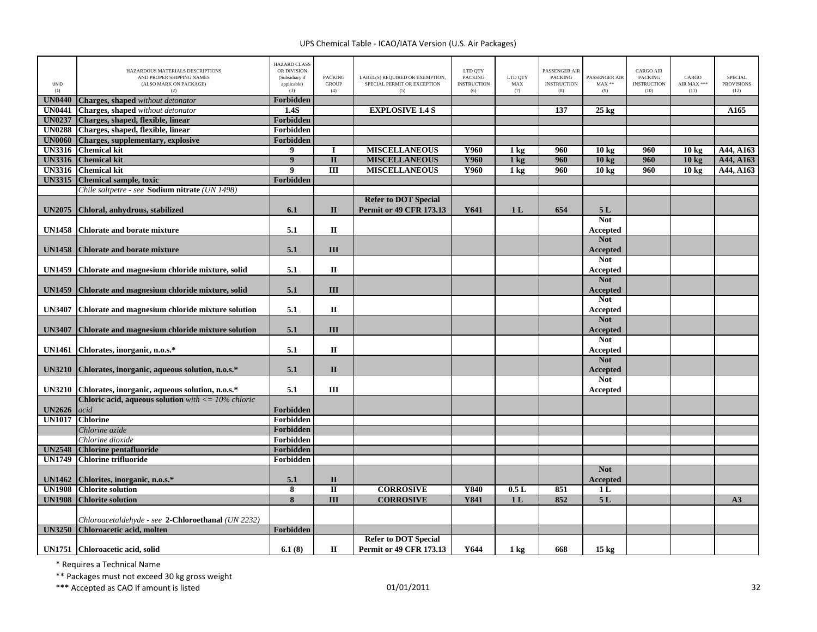| <b>UNID</b><br>(1) | HAZARDOUS MATERIALS DESCRIPTIONS<br>AND PROPER SHIPPING NAMES<br>(ALSO MARK ON PACKAGE)<br>(2) | <b>HAZARD CLASS</b><br>OR DIVISION<br>(Subsidiary if<br>applicable)<br>(3) | <b>PACKING</b><br><b>GROUP</b><br>(4) | LABEL(S) REQUIRED OR EXEMPTION,<br>SPECIAL PERMIT OR EXCEPTION<br>(5) | LTD QTY<br><b>PACKING</b><br><b>INSTRUCTION</b><br>(6) | LTD QTY<br>MAX<br>(7) | PASSENGER AIR<br><b>PACKING</b><br><b>INSTRUCTION</b><br>(8) | PASSENGER AIR<br>$MAX**$<br>(9) | <b>CARGO AIR</b><br>PACKING<br><b>INSTRUCTION</b><br>(10) | CARGO<br>AIR MAX ***<br>(11) | <b>SPECIAL</b><br><b>PROVISIONS</b><br>(12) |
|--------------------|------------------------------------------------------------------------------------------------|----------------------------------------------------------------------------|---------------------------------------|-----------------------------------------------------------------------|--------------------------------------------------------|-----------------------|--------------------------------------------------------------|---------------------------------|-----------------------------------------------------------|------------------------------|---------------------------------------------|
| <b>UN0440</b>      | Charges, shaped without detonator                                                              | Forbidden                                                                  |                                       |                                                                       |                                                        |                       |                                                              |                                 |                                                           |                              |                                             |
| <b>UN0441</b>      | Charges, shaped without detonator                                                              | 1.4S                                                                       |                                       | <b>EXPLOSIVE 1.4 S</b>                                                |                                                        |                       | 137                                                          | $25 \text{ kg}$                 |                                                           |                              | A165                                        |
| <b>UN0237</b>      | Charges, shaped, flexible, linear                                                              | Forbidden                                                                  |                                       |                                                                       |                                                        |                       |                                                              |                                 |                                                           |                              |                                             |
| <b>UN0288</b>      | Charges, shaped, flexible, linear                                                              | Forbidden                                                                  |                                       |                                                                       |                                                        |                       |                                                              |                                 |                                                           |                              |                                             |
| <b>UN0060</b>      | <b>Charges, supplementary, explosive</b>                                                       | Forbidden                                                                  |                                       |                                                                       |                                                        |                       |                                                              |                                 |                                                           |                              |                                             |
| UN3316             | <b>Chemical kit</b>                                                                            | 9                                                                          | I                                     | <b>MISCELLANEOUS</b>                                                  | Y960                                                   | 1 <sub>kg</sub>       | 960                                                          | 10 <sub>kg</sub>                | 960                                                       | 10 <sub>kg</sub>             | A44, A163                                   |
| <b>UN3316</b>      | <b>Chemical kit</b>                                                                            | $\boldsymbol{9}$                                                           | $\overline{\mathbf{u}}$               | <b>MISCELLANEOUS</b>                                                  | <b>Y960</b>                                            | 1 <sub>kg</sub>       | 960                                                          | 10 <sub>kg</sub>                | 960                                                       | 10 <sub>kg</sub>             | A44, A163                                   |
| <b>UN3316</b>      | <b>Chemical kit</b>                                                                            | 9                                                                          | $\overline{III}$                      | <b>MISCELLANEOUS</b>                                                  | Y960                                                   | 1 <sub>kg</sub>       | 960                                                          | 10 <sub>kg</sub>                | 960                                                       | 10 <sub>kg</sub>             | A44, A163                                   |
| <b>UN3315</b>      | <b>Chemical sample, toxic</b>                                                                  | Forbidden                                                                  |                                       |                                                                       |                                                        |                       |                                                              |                                 |                                                           |                              |                                             |
|                    | Chile saltpetre - see Sodium nitrate (UN 1498)                                                 |                                                                            |                                       |                                                                       |                                                        |                       |                                                              |                                 |                                                           |                              |                                             |
|                    |                                                                                                |                                                                            |                                       | <b>Refer to DOT Special</b>                                           |                                                        |                       |                                                              |                                 |                                                           |                              |                                             |
| <b>UN2075</b>      | Chloral, anhydrous, stabilized                                                                 | 6.1                                                                        | $\Pi$                                 | <b>Permit or 49 CFR 173.13</b>                                        | Y641                                                   | 1 <sub>L</sub>        | 654                                                          | 5L                              |                                                           |                              |                                             |
|                    |                                                                                                |                                                                            |                                       |                                                                       |                                                        |                       |                                                              | <b>Not</b>                      |                                                           |                              |                                             |
| <b>UN1458</b>      | <b>Chlorate and borate mixture</b>                                                             | 5.1                                                                        | П                                     |                                                                       |                                                        |                       |                                                              | Accepted                        |                                                           |                              |                                             |
|                    |                                                                                                |                                                                            |                                       |                                                                       |                                                        |                       |                                                              | <b>Not</b>                      |                                                           |                              |                                             |
| <b>UN1458</b>      | <b>Chlorate and borate mixture</b>                                                             | 5.1                                                                        | III                                   |                                                                       |                                                        |                       |                                                              | Accepted                        |                                                           |                              |                                             |
|                    |                                                                                                |                                                                            |                                       |                                                                       |                                                        |                       |                                                              | <b>Not</b>                      |                                                           |                              |                                             |
| <b>UN1459</b>      | Chlorate and magnesium chloride mixture, solid                                                 | 5.1                                                                        | $\mathbf{I}$                          |                                                                       |                                                        |                       |                                                              | Accepted                        |                                                           |                              |                                             |
|                    |                                                                                                |                                                                            |                                       |                                                                       |                                                        |                       |                                                              | <b>Not</b>                      |                                                           |                              |                                             |
| <b>UN1459</b>      | Chlorate and magnesium chloride mixture, solid                                                 | 5.1                                                                        | III                                   |                                                                       |                                                        |                       |                                                              | Accepted                        |                                                           |                              |                                             |
|                    |                                                                                                |                                                                            |                                       |                                                                       |                                                        |                       |                                                              | <b>Not</b>                      |                                                           |                              |                                             |
| <b>UN3407</b>      | Chlorate and magnesium chloride mixture solution                                               | 5.1                                                                        | $\mathbf{I}$                          |                                                                       |                                                        |                       |                                                              | Accepted                        |                                                           |                              |                                             |
|                    |                                                                                                |                                                                            |                                       |                                                                       |                                                        |                       |                                                              | <b>Not</b>                      |                                                           |                              |                                             |
| <b>UN3407</b>      | Chlorate and magnesium chloride mixture solution                                               | 5.1                                                                        | III                                   |                                                                       |                                                        |                       |                                                              | Accepted                        |                                                           |                              |                                             |
|                    |                                                                                                |                                                                            |                                       |                                                                       |                                                        |                       |                                                              | <b>Not</b>                      |                                                           |                              |                                             |
| <b>UN1461</b>      | Chlorates, inorganic, n.o.s.*                                                                  | 5.1                                                                        | $\mathbf{I}$                          |                                                                       |                                                        |                       |                                                              | Accepted                        |                                                           |                              |                                             |
|                    |                                                                                                |                                                                            |                                       |                                                                       |                                                        |                       |                                                              | <b>Not</b>                      |                                                           |                              |                                             |
| <b>UN3210</b>      | Chlorates, inorganic, aqueous solution, n.o.s.*                                                | 5.1                                                                        | $\mathbf{I}$                          |                                                                       |                                                        |                       |                                                              | Accepted                        |                                                           |                              |                                             |
|                    |                                                                                                |                                                                            |                                       |                                                                       |                                                        |                       |                                                              | <b>Not</b>                      |                                                           |                              |                                             |
| <b>UN3210</b>      | Chlorates, inorganic, aqueous solution, n.o.s.*                                                | 5.1                                                                        | III                                   |                                                                       |                                                        |                       |                                                              | Accepted                        |                                                           |                              |                                             |
|                    | <b>Chloric acid, aqueous solution</b> with $\leq 10\%$ chloric                                 |                                                                            |                                       |                                                                       |                                                        |                       |                                                              |                                 |                                                           |                              |                                             |
| <b>UN2626</b>      | acid                                                                                           | <b>Forbidden</b>                                                           |                                       |                                                                       |                                                        |                       |                                                              |                                 |                                                           |                              |                                             |
|                    | UN1017 Chlorine                                                                                | Forbidden                                                                  |                                       |                                                                       |                                                        |                       |                                                              |                                 |                                                           |                              |                                             |
|                    | Chlorine azide                                                                                 | Forbidden                                                                  |                                       |                                                                       |                                                        |                       |                                                              |                                 |                                                           |                              |                                             |
|                    | Chlorine dioxide                                                                               | Forbidden                                                                  |                                       |                                                                       |                                                        |                       |                                                              |                                 |                                                           |                              |                                             |
| <b>UN2548</b>      | <b>Chlorine pentafluoride</b>                                                                  | Forbidden                                                                  |                                       |                                                                       |                                                        |                       |                                                              |                                 |                                                           |                              |                                             |
| <b>UN1749</b>      | <b>Chlorine trifluoride</b>                                                                    | Forbidden                                                                  |                                       |                                                                       |                                                        |                       |                                                              |                                 |                                                           |                              |                                             |
|                    |                                                                                                |                                                                            |                                       |                                                                       |                                                        |                       |                                                              | <b>Not</b>                      |                                                           |                              |                                             |
| <b>UN1462</b>      | Chlorites, inorganic, n.o.s.*                                                                  | 5.1                                                                        | $\mathbf{I}$                          |                                                                       |                                                        |                       |                                                              |                                 |                                                           |                              |                                             |
| <b>UN1908</b>      | <b>Chlorite solution</b>                                                                       | 8                                                                          | $\mathbf{I}$                          | <b>CORROSIVE</b>                                                      | Y840                                                   | 0.5L                  | 851                                                          | Accepted<br>1 <sub>L</sub>      |                                                           |                              |                                             |
| <b>UN1908</b>      | <b>Chlorite solution</b>                                                                       | 8                                                                          | III                                   | <b>CORROSIVE</b>                                                      | <b>Y841</b>                                            | 1 <sub>L</sub>        | 852                                                          | 5L                              |                                                           |                              | A3                                          |
|                    |                                                                                                |                                                                            |                                       |                                                                       |                                                        |                       |                                                              |                                 |                                                           |                              |                                             |
|                    | Chloroacetaldehyde - see 2-Chloroethanal (UN 2232)                                             |                                                                            |                                       |                                                                       |                                                        |                       |                                                              |                                 |                                                           |                              |                                             |
| <b>UN3250</b>      | Chloroacetic acid, molten                                                                      | <b>Forbidden</b>                                                           |                                       |                                                                       |                                                        |                       |                                                              |                                 |                                                           |                              |                                             |
|                    |                                                                                                |                                                                            |                                       | <b>Refer to DOT Special</b>                                           |                                                        |                       |                                                              |                                 |                                                           |                              |                                             |
|                    |                                                                                                |                                                                            |                                       | <b>Permit or 49 CFR 173.13</b>                                        | Y644                                                   |                       | 668                                                          |                                 |                                                           |                              |                                             |
|                    | UN1751 Chloroacetic acid, solid                                                                | 6.1(8)                                                                     | П                                     |                                                                       |                                                        | $1 \text{ kg}$        |                                                              | $15 \text{ kg}$                 |                                                           |                              |                                             |

\* Requires <sup>a</sup> Technical Name

\*\* Packages must not exceed 30 kg gross weight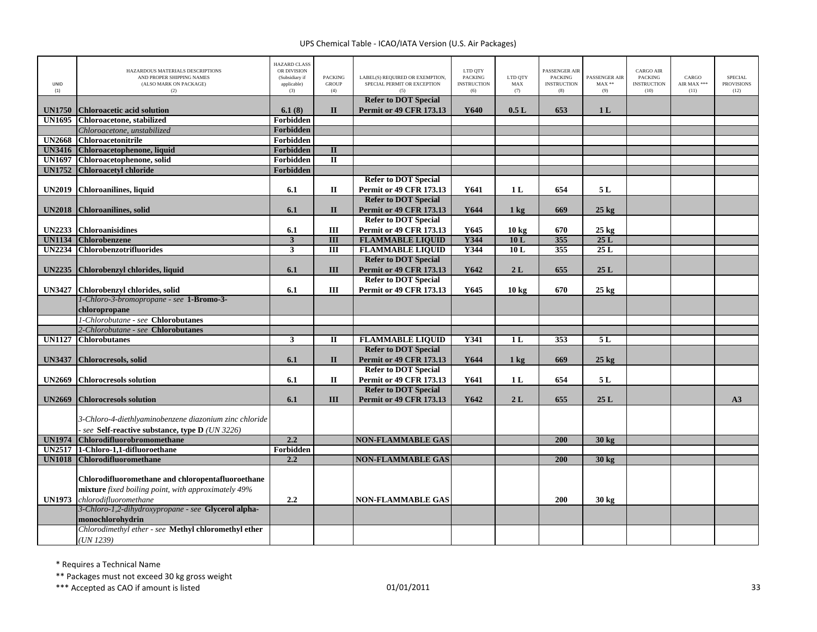| UNID<br>(1)   | HAZARDOUS MATERIALS DESCRIPTIONS<br>AND PROPER SHIPPING NAMES<br>(ALSO MARK ON PACKAGE)<br>(2) | <b>HAZARD CLASS</b><br>OR DIVISION<br>(Subsidiary if<br>applicable)<br>(3) | <b>PACKING</b><br><b>GROUP</b><br>(4) | LABEL(S) REQUIRED OR EXEMPTION,<br>SPECIAL PERMIT OR EXCEPTION<br>(5) | LTD QTY<br><b>PACKING</b><br><b>INSTRUCTION</b><br>(6) | LTD QTY<br>MAX<br>(7) | PASSENGER AIR<br><b>PACKING</b><br><b>INSTRUCTION</b><br>(8) | PASSENGER AIR<br>$MAX**$<br>(9) | <b>CARGO AIR</b><br><b>PACKING</b><br><b>INSTRUCTION</b><br>(10) | CARGO<br>AIR MAX ***<br>(11) | SPECIAL<br><b>PROVISIONS</b><br>(12) |
|---------------|------------------------------------------------------------------------------------------------|----------------------------------------------------------------------------|---------------------------------------|-----------------------------------------------------------------------|--------------------------------------------------------|-----------------------|--------------------------------------------------------------|---------------------------------|------------------------------------------------------------------|------------------------------|--------------------------------------|
| <b>UN1750</b> | <b>Chloroacetic acid solution</b>                                                              | 6.1(8)                                                                     | $\Pi$                                 | <b>Refer to DOT Special</b><br><b>Permit or 49 CFR 173.13</b>         | Y640                                                   | 0.5L                  | 653                                                          | 1 <sub>L</sub>                  |                                                                  |                              |                                      |
| <b>UN1695</b> | Chloroacetone, stabilized                                                                      | Forbidden                                                                  |                                       |                                                                       |                                                        |                       |                                                              |                                 |                                                                  |                              |                                      |
|               | Chloroacetone, unstabilized                                                                    | Forbidden                                                                  |                                       |                                                                       |                                                        |                       |                                                              |                                 |                                                                  |                              |                                      |
|               | <b>UN2668</b> Chloroacetonitrile                                                               | Forbidden                                                                  |                                       |                                                                       |                                                        |                       |                                                              |                                 |                                                                  |                              |                                      |
| <b>UN3416</b> | Chloroacetophenone, liquid                                                                     | Forbidden                                                                  | $\overline{\mathbf{u}}$               |                                                                       |                                                        |                       |                                                              |                                 |                                                                  |                              |                                      |
| <b>UN1697</b> | Chloroacetophenone, solid                                                                      | Forbidden                                                                  | $\overline{\mathbf{u}}$               |                                                                       |                                                        |                       |                                                              |                                 |                                                                  |                              |                                      |
| <b>UN1752</b> | <b>Chloroacetyl chloride</b>                                                                   | Forbidden                                                                  |                                       |                                                                       |                                                        |                       |                                                              |                                 |                                                                  |                              |                                      |
|               |                                                                                                |                                                                            |                                       | <b>Refer to DOT Special</b>                                           |                                                        |                       |                                                              |                                 |                                                                  |                              |                                      |
| <b>UN2019</b> | <b>Chloroanilines</b> , liquid                                                                 | 6.1                                                                        | $\mathbf{I}$                          | <b>Permit or 49 CFR 173.13</b>                                        | Y641                                                   | 1 L                   | 654                                                          | 5 L                             |                                                                  |                              |                                      |
|               |                                                                                                |                                                                            |                                       | <b>Refer to DOT Special</b>                                           |                                                        |                       |                                                              |                                 |                                                                  |                              |                                      |
| <b>UN2018</b> | Chloroanilines, solid                                                                          | 6.1                                                                        | $\mathbf{I}$                          | <b>Permit or 49 CFR 173.13</b>                                        | Y644                                                   | 1 <sub>kg</sub>       | 669                                                          | $25 \text{ kg}$                 |                                                                  |                              |                                      |
|               |                                                                                                |                                                                            |                                       | <b>Refer to DOT Special</b>                                           |                                                        |                       |                                                              |                                 |                                                                  |                              |                                      |
| <b>UN2233</b> | <b>Chloroanisidines</b>                                                                        | 6.1                                                                        | Ш                                     | Permit or 49 CFR 173.13                                               | Y645                                                   | 10 <sub>kg</sub>      | 670                                                          | $25 \text{ kg}$                 |                                                                  |                              |                                      |
|               | <b>UN1134 Chlorobenzene</b>                                                                    | $\mathbf{3}$                                                               | $\overline{III}$                      | <b>FLAMMABLE LIQUID</b>                                               | Y344                                                   | 10L                   | 355                                                          | 25L                             |                                                                  |                              |                                      |
|               | UN2234 Chlorobenzotrifluorides                                                                 | $\overline{\mathbf{3}}$                                                    | III                                   | <b>FLAMMABLE LIQUID</b>                                               | Y344                                                   | 10L                   | 355                                                          | 25 L                            |                                                                  |                              |                                      |
|               |                                                                                                |                                                                            |                                       | <b>Refer to DOT Special</b>                                           |                                                        |                       |                                                              |                                 |                                                                  |                              |                                      |
| <b>UN2235</b> | Chlorobenzyl chlorides, liquid                                                                 | 6.1                                                                        | III                                   | <b>Permit or 49 CFR 173.13</b>                                        | Y642                                                   | 2L                    | 655                                                          | 25L                             |                                                                  |                              |                                      |
|               |                                                                                                |                                                                            |                                       | <b>Refer to DOT Special</b>                                           |                                                        |                       |                                                              |                                 |                                                                  |                              |                                      |
|               | UN3427 Chlorobenzyl chlorides, solid                                                           | 6.1                                                                        | III                                   | <b>Permit or 49 CFR 173.13</b>                                        | Y645                                                   | 10 <sub>kg</sub>      | 670                                                          | $25 \text{ kg}$                 |                                                                  |                              |                                      |
|               | 1-Chloro-3-bromopropane - see 1-Bromo-3-                                                       |                                                                            |                                       |                                                                       |                                                        |                       |                                                              |                                 |                                                                  |                              |                                      |
|               | chloropropane                                                                                  |                                                                            |                                       |                                                                       |                                                        |                       |                                                              |                                 |                                                                  |                              |                                      |
|               | 1-Chlorobutane - see Chlorobutanes                                                             |                                                                            |                                       |                                                                       |                                                        |                       |                                                              |                                 |                                                                  |                              |                                      |
|               | 2-Chlorobutane - see Chlorobutanes                                                             |                                                                            |                                       |                                                                       |                                                        |                       |                                                              |                                 |                                                                  |                              |                                      |
|               | <b>UN1127 Chlorobutanes</b>                                                                    | 3                                                                          | П                                     | <b>FLAMMABLE LIQUID</b>                                               | <b>Y341</b>                                            | 1L                    | 353                                                          | 5L                              |                                                                  |                              |                                      |
|               |                                                                                                |                                                                            |                                       | <b>Refer to DOT Special</b>                                           |                                                        |                       |                                                              |                                 |                                                                  |                              |                                      |
| <b>UN3437</b> | <b>Chlorocresols</b> , solid                                                                   | 6.1                                                                        | $\mathbf{I}$                          | <b>Permit or 49 CFR 173.13</b>                                        | Y644                                                   | $1 \text{ kg}$        | 669                                                          | $25$ kg                         |                                                                  |                              |                                      |
|               |                                                                                                |                                                                            |                                       | <b>Refer to DOT Special</b>                                           |                                                        |                       |                                                              |                                 |                                                                  |                              |                                      |
| <b>UN2669</b> | <b>Chlorocresols solution</b>                                                                  | 6.1                                                                        | $\mathbf{I}$                          | <b>Permit or 49 CFR 173.13</b>                                        | Y641                                                   | 1 <sub>L</sub>        | 654                                                          | 5L                              |                                                                  |                              |                                      |
| <b>UN2669</b> | <b>Chlorocresols solution</b>                                                                  | 6.1                                                                        | III                                   | <b>Refer to DOT Special</b><br><b>Permit or 49 CFR 173.13</b>         | Y642                                                   | 2L                    | 655                                                          | 25L                             |                                                                  |                              | A3                                   |
|               |                                                                                                |                                                                            |                                       |                                                                       |                                                        |                       |                                                              |                                 |                                                                  |                              |                                      |
|               | 3-Chloro-4-diethlyaminobenzene diazonium zinc chloride                                         |                                                                            |                                       |                                                                       |                                                        |                       |                                                              |                                 |                                                                  |                              |                                      |
|               | see Self-reactive substance, type D (UN 3226)                                                  |                                                                            |                                       |                                                                       |                                                        |                       |                                                              |                                 |                                                                  |                              |                                      |
| <b>UN1974</b> | Chlorodifluorobromomethane                                                                     | 2.2                                                                        |                                       | <b>NON-FLAMMABLE GAS</b>                                              |                                                        |                       | 200                                                          | 30 kg                           |                                                                  |                              |                                      |
|               | UN2517 1-Chloro-1,1-difluoroethane                                                             | Forbidden                                                                  |                                       |                                                                       |                                                        |                       |                                                              |                                 |                                                                  |                              |                                      |
| <b>UN1018</b> | <b>Chlorodifluoromethane</b>                                                                   | 2.2                                                                        |                                       | <b>NON-FLAMMABLE GAS</b>                                              |                                                        |                       | 200                                                          | 30 kg                           |                                                                  |                              |                                      |
|               |                                                                                                |                                                                            |                                       |                                                                       |                                                        |                       |                                                              |                                 |                                                                  |                              |                                      |
|               | Chlorodifluoromethane and chloropentafluoroethane                                              |                                                                            |                                       |                                                                       |                                                        |                       |                                                              |                                 |                                                                  |                              |                                      |
|               | mixture fixed boiling point, with approximately 49%                                            |                                                                            |                                       |                                                                       |                                                        |                       |                                                              |                                 |                                                                  |                              |                                      |
| <b>UN1973</b> | chlorodifluoromethane                                                                          | 2.2                                                                        |                                       | <b>NON-FLAMMABLE GAS</b>                                              |                                                        |                       | 200                                                          | $30 \text{ kg}$                 |                                                                  |                              |                                      |
|               | 3-Chloro-1,2-dihydroxypropane - see Glycerol alpha-                                            |                                                                            |                                       |                                                                       |                                                        |                       |                                                              |                                 |                                                                  |                              |                                      |
|               | monochlorohydrin                                                                               |                                                                            |                                       |                                                                       |                                                        |                       |                                                              |                                 |                                                                  |                              |                                      |
|               | Chlorodimethyl ether - see Methyl chloromethyl ether                                           |                                                                            |                                       |                                                                       |                                                        |                       |                                                              |                                 |                                                                  |                              |                                      |
|               | (UN 1239)                                                                                      |                                                                            |                                       |                                                                       |                                                        |                       |                                                              |                                 |                                                                  |                              |                                      |

\* Requires <sup>a</sup> Technical Name

\*\* Packages must not exceed 30 kg gross weight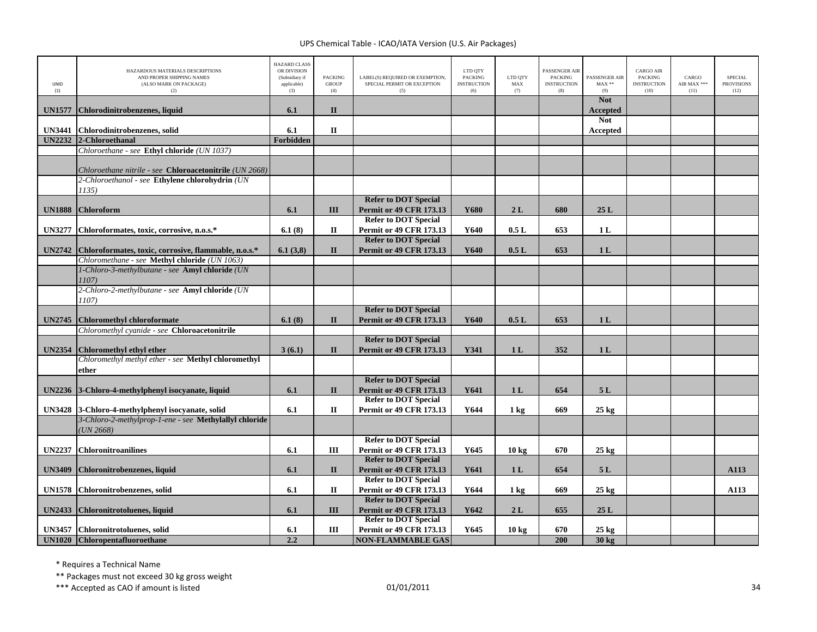| UNID<br>(1)   | HAZARDOUS MATERIALS DESCRIPTIONS<br>AND PROPER SHIPPING NAMES<br>(ALSO MARK ON PACKAGE)<br>(2) | <b>HAZARD CLASS</b><br>OR DIVISION<br>(Subsidiary if<br>applicable)<br>(3) | <b>PACKING</b><br><b>GROUP</b><br>(4) | LABEL(S) REQUIRED OR EXEMPTION.<br>SPECIAL PERMIT OR EXCEPTION<br>(5) | LTD QTY<br><b>PACKING</b><br><b>INSTRUCTION</b><br>(6) | LTD QTY<br>MAX<br>(7) | <b>PASSENGER AIR</b><br><b>PACKING</b><br><b>INSTRUCTION</b><br>(8) | PASSENGER AIR<br>$MAX**$<br>(9) | <b>CARGO AIR</b><br><b>PACKING</b><br><b>INSTRUCTION</b><br>(10) | CARGO<br>AIR MAX ***<br>(11) | <b>SPECIAL</b><br><b>PROVISIONS</b><br>(12) |
|---------------|------------------------------------------------------------------------------------------------|----------------------------------------------------------------------------|---------------------------------------|-----------------------------------------------------------------------|--------------------------------------------------------|-----------------------|---------------------------------------------------------------------|---------------------------------|------------------------------------------------------------------|------------------------------|---------------------------------------------|
| <b>UN1577</b> | Chlorodinitrobenzenes, liquid                                                                  | 6.1                                                                        | $\mathbf{I}$                          |                                                                       |                                                        |                       |                                                                     | <b>Not</b><br>Accepted          |                                                                  |                              |                                             |
| <b>UN3441</b> | Chlorodinitrobenzenes, solid                                                                   | 6.1                                                                        | $\mathbf{I}$                          |                                                                       |                                                        |                       |                                                                     | <b>Not</b><br>Accepted          |                                                                  |                              |                                             |
|               | UN2232 2-Chloroethanal                                                                         | <b>Forbidden</b>                                                           |                                       |                                                                       |                                                        |                       |                                                                     |                                 |                                                                  |                              |                                             |
|               | Chloroethane - see Ethyl chloride (UN 1037)                                                    |                                                                            |                                       |                                                                       |                                                        |                       |                                                                     |                                 |                                                                  |                              |                                             |
|               |                                                                                                |                                                                            |                                       |                                                                       |                                                        |                       |                                                                     |                                 |                                                                  |                              |                                             |
|               | Chloroethane nitrile - see Chloroacetonitrile (UN 2668)                                        |                                                                            |                                       |                                                                       |                                                        |                       |                                                                     |                                 |                                                                  |                              |                                             |
|               | 2-Chloroethanol - see Ethylene chlorohydrin (UN                                                |                                                                            |                                       |                                                                       |                                                        |                       |                                                                     |                                 |                                                                  |                              |                                             |
|               | 1135)                                                                                          |                                                                            |                                       |                                                                       |                                                        |                       |                                                                     |                                 |                                                                  |                              |                                             |
|               |                                                                                                |                                                                            |                                       | <b>Refer to DOT Special</b>                                           |                                                        |                       |                                                                     |                                 |                                                                  |                              |                                             |
| <b>UN1888</b> | <b>Chloroform</b>                                                                              | 6.1                                                                        | III                                   | <b>Permit or 49 CFR 173.13</b>                                        | Y680                                                   | 2L                    | 680                                                                 | 25L                             |                                                                  |                              |                                             |
|               |                                                                                                |                                                                            |                                       | <b>Refer to DOT Special</b>                                           |                                                        |                       |                                                                     |                                 |                                                                  |                              |                                             |
| <b>UN3277</b> | Chloroformates, toxic, corrosive, n.o.s.*                                                      | 6.1(8)                                                                     | П                                     | <b>Permit or 49 CFR 173.13</b>                                        | Y640                                                   | 0.5L                  | 653                                                                 | 1 <sub>L</sub>                  |                                                                  |                              |                                             |
|               |                                                                                                |                                                                            |                                       | <b>Refer to DOT Special</b>                                           |                                                        |                       |                                                                     |                                 |                                                                  |                              |                                             |
| <b>UN2742</b> | Chloroformates, toxic, corrosive, flammable, n.o.s.*                                           | 6.1(3,8)                                                                   | $\mathbf{I}$                          | <b>Permit or 49 CFR 173.13</b>                                        | Y640                                                   | 0.5L                  | 653                                                                 | 1 <sub>L</sub>                  |                                                                  |                              |                                             |
|               | Chloromethane - see Methyl chloride (UN 1063)                                                  |                                                                            |                                       |                                                                       |                                                        |                       |                                                                     |                                 |                                                                  |                              |                                             |
|               | 1-Chloro-3-methylbutane - see Amyl chloride (UN                                                |                                                                            |                                       |                                                                       |                                                        |                       |                                                                     |                                 |                                                                  |                              |                                             |
|               | 1107)                                                                                          |                                                                            |                                       |                                                                       |                                                        |                       |                                                                     |                                 |                                                                  |                              |                                             |
|               | 2-Chloro-2-methylbutane - see Amyl chloride (UN                                                |                                                                            |                                       |                                                                       |                                                        |                       |                                                                     |                                 |                                                                  |                              |                                             |
|               | 1107)                                                                                          |                                                                            |                                       |                                                                       |                                                        |                       |                                                                     |                                 |                                                                  |                              |                                             |
|               |                                                                                                |                                                                            |                                       | <b>Refer to DOT Special</b>                                           |                                                        |                       |                                                                     |                                 |                                                                  |                              |                                             |
| <b>UN2745</b> | <b>Chloromethyl chloroformate</b>                                                              | 6.1(8)                                                                     | $\mathbf{I}$                          | <b>Permit or 49 CFR 173.13</b>                                        | Y640                                                   | 0.5L                  | 653                                                                 | 1 <sub>L</sub>                  |                                                                  |                              |                                             |
|               | Chloromethyl cyanide - see Chloroacetonitrile                                                  |                                                                            |                                       |                                                                       |                                                        |                       |                                                                     |                                 |                                                                  |                              |                                             |
|               |                                                                                                |                                                                            |                                       | <b>Refer to DOT Special</b>                                           |                                                        |                       |                                                                     |                                 |                                                                  |                              |                                             |
| <b>UN2354</b> | <b>Chloromethyl ethyl ether</b>                                                                | 3(6.1)                                                                     | $\mathbf{I}$                          | <b>Permit or 49 CFR 173.13</b>                                        | Y341                                                   | 1 <sub>L</sub>        | 352                                                                 | 1 <sub>L</sub>                  |                                                                  |                              |                                             |
|               | Chloromethyl methyl ether - see Methyl chloromethyl                                            |                                                                            |                                       |                                                                       |                                                        |                       |                                                                     |                                 |                                                                  |                              |                                             |
|               | ether                                                                                          |                                                                            |                                       |                                                                       |                                                        |                       |                                                                     |                                 |                                                                  |                              |                                             |
|               |                                                                                                |                                                                            |                                       | <b>Refer to DOT Special</b>                                           |                                                        |                       |                                                                     |                                 |                                                                  |                              |                                             |
| <b>UN2236</b> | 3-Chloro-4-methylphenyl isocyanate, liquid                                                     | 6.1                                                                        | $\mathbf{I}$                          | <b>Permit or 49 CFR 173.13</b>                                        | Y641                                                   | 1 <sub>L</sub>        | 654                                                                 | 5L                              |                                                                  |                              |                                             |
|               |                                                                                                |                                                                            |                                       | <b>Refer to DOT Special</b>                                           |                                                        |                       |                                                                     |                                 |                                                                  |                              |                                             |
|               | UN3428 3-Chloro-4-methylphenyl isocyanate, solid                                               | 6.1                                                                        | $\mathbf{I}$                          | <b>Permit or 49 CFR 173.13</b>                                        | Y644                                                   | $1 \text{ kg}$        | 669                                                                 | $25$ kg                         |                                                                  |                              |                                             |
|               | 3-Chloro-2-methylprop-1-ene - see Methylallyl chloride                                         |                                                                            |                                       |                                                                       |                                                        |                       |                                                                     |                                 |                                                                  |                              |                                             |
|               | $UN 2668$ )                                                                                    |                                                                            |                                       |                                                                       |                                                        |                       |                                                                     |                                 |                                                                  |                              |                                             |
|               |                                                                                                |                                                                            |                                       | <b>Refer to DOT Special</b>                                           |                                                        |                       |                                                                     |                                 |                                                                  |                              |                                             |
| <b>UN2237</b> | <b>Chloronitroanilines</b>                                                                     | 6.1                                                                        | Ш                                     | Permit or 49 CFR 173.13                                               | Y645                                                   | 10 <sub>kg</sub>      | 670                                                                 | $25 \text{ kg}$                 |                                                                  |                              |                                             |
|               |                                                                                                |                                                                            |                                       | <b>Refer to DOT Special</b>                                           |                                                        |                       |                                                                     |                                 |                                                                  |                              |                                             |
| <b>UN3409</b> | Chloronitrobenzenes, liquid                                                                    | 6.1                                                                        | $\mathbf{I}$                          | <b>Permit or 49 CFR 173.13</b>                                        | Y641                                                   | 1 <sub>L</sub>        | 654                                                                 | 5L                              |                                                                  |                              | A113                                        |
|               |                                                                                                |                                                                            |                                       | <b>Refer to DOT Special</b>                                           |                                                        |                       |                                                                     |                                 |                                                                  |                              |                                             |
| <b>UN1578</b> | Chloronitrobenzenes, solid                                                                     | 6.1                                                                        | П                                     | Permit or 49 CFR 173.13                                               | Y644                                                   | $1 \text{ kg}$        | 669                                                                 | $25 \text{ kg}$                 |                                                                  |                              | A113                                        |
|               |                                                                                                |                                                                            |                                       | <b>Refer to DOT Special</b>                                           |                                                        |                       |                                                                     |                                 |                                                                  |                              |                                             |
| <b>UN2433</b> | Chloronitrotoluenes, liquid                                                                    | 6.1                                                                        | III                                   | <b>Permit or 49 CFR 173.13</b>                                        | Y642                                                   | 2L                    | 655                                                                 | 25L                             |                                                                  |                              |                                             |
|               |                                                                                                |                                                                            |                                       | <b>Refer to DOT Special</b>                                           |                                                        |                       |                                                                     |                                 |                                                                  |                              |                                             |
|               | UN3457 Chloronitrotoluenes, solid                                                              | 6.1                                                                        | Ш                                     | <b>Permit or 49 CFR 173.13</b>                                        | Y645                                                   | 10 <sub>kg</sub>      | 670                                                                 | $25 \text{ kg}$                 |                                                                  |                              |                                             |
|               | UN1020 Chloropentafluoroethane                                                                 | 2.2                                                                        |                                       | <b>NON-FLAMMABLE GAS</b>                                              |                                                        |                       | 200                                                                 | 30 kg                           |                                                                  |                              |                                             |

\* Requires <sup>a</sup> Technical Name

\*\* Packages must not exceed 30 kg gross weight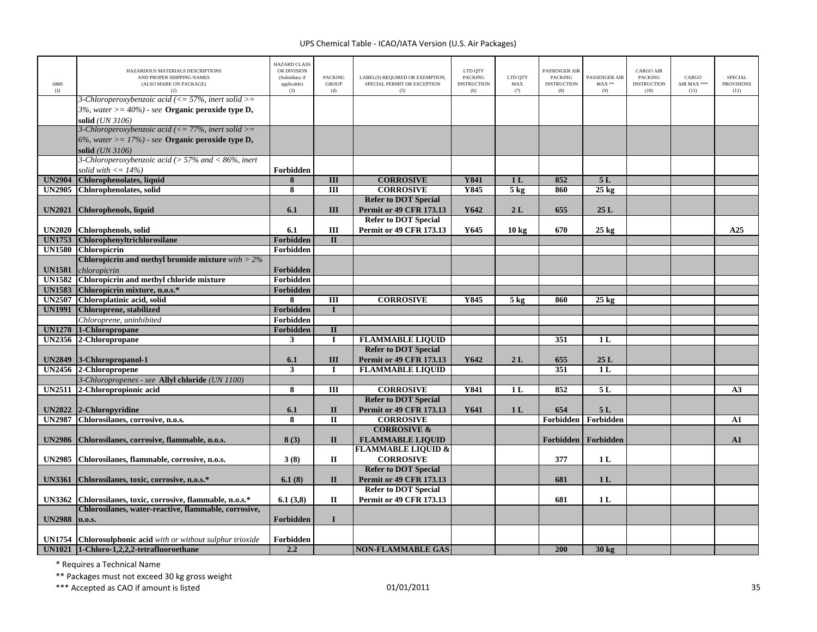| UNID<br>(1)                    | HAZARDOUS MATERIALS DESCRIPTIONS<br>AND PROPER SHIPPING NAMES<br>(ALSO MARK ON PACKAGE)<br>(2)                                                     | <b>HAZARD CLASS</b><br>OR DIVISION<br>(Subsidiary if<br>applicable)<br>(3) | <b>PACKING</b><br><b>GROUP</b><br>(4)   | LABEL(S) REQUIRED OR EXEMPTION,<br>SPECIAL PERMIT OR EXCEPTION<br>(5) | LTD QTY<br><b>PACKING</b><br><b>INSTRUCTION</b><br>(6) | LTD OTY<br>MAX<br>(7)    | <b>PASSENGER AIR</b><br><b>PACKING</b><br><b>INSTRUCTION</b><br>(8) | PASSENGER AIR<br>$\text{MAX}$ **<br>(9) | <b>CARGO AIR</b><br>PACKING<br><b>INSTRUCTION</b><br>(10) | CARGO<br>AIR MAX ***<br>(11) | <b>SPECIAL</b><br><b>PROVISIONS</b><br>(12) |
|--------------------------------|----------------------------------------------------------------------------------------------------------------------------------------------------|----------------------------------------------------------------------------|-----------------------------------------|-----------------------------------------------------------------------|--------------------------------------------------------|--------------------------|---------------------------------------------------------------------|-----------------------------------------|-----------------------------------------------------------|------------------------------|---------------------------------------------|
|                                | 3-Chloroperoxybenzoic acid ( $\leq$ = 57%, inert solid $\geq$ =<br>3%, water $\ge$ = 40%) - see Organic peroxide type D,<br>solid (UN 3106)        |                                                                            |                                         |                                                                       |                                                        |                          |                                                                     |                                         |                                                           |                              |                                             |
|                                | 3-Chloroperoxybenzoic acid ( $\leq$ 77%, inert solid $\geq$ =<br>6%, water $\geq$ = 17%) - see <b>Organic peroxide type D</b> ,<br>solid (UN 3106) |                                                                            |                                         |                                                                       |                                                        |                          |                                                                     |                                         |                                                           |                              |                                             |
|                                | 3-Chloroperoxybenzoic acid ( $> 57\%$ and < 86%, inert                                                                                             |                                                                            |                                         |                                                                       |                                                        |                          |                                                                     |                                         |                                                           |                              |                                             |
|                                | solid with $\langle 14\% \rangle$                                                                                                                  | Forbidden                                                                  |                                         |                                                                       |                                                        |                          | 852                                                                 |                                         |                                                           |                              |                                             |
| <b>UN2904</b><br><b>UN2905</b> | Chlorophenolates, liquid<br><b>Chlorophenolates</b> , solid                                                                                        | 8<br>$\overline{\mathbf{8}}$                                               | III<br>Ш                                | <b>CORROSIVE</b><br><b>CORROSIVE</b>                                  | <b>Y841</b><br>Y845                                    | 1 <sub>L</sub><br>$5$ kg | 860                                                                 | 5L<br>$25 \text{ kg}$                   |                                                           |                              |                                             |
|                                |                                                                                                                                                    |                                                                            |                                         | <b>Refer to DOT Special</b>                                           |                                                        |                          |                                                                     |                                         |                                                           |                              |                                             |
| <b>UN2021</b>                  | Chlorophenols, liquid                                                                                                                              | 6.1                                                                        | Ш                                       | <b>Permit or 49 CFR 173.13</b>                                        | Y642                                                   | 2L                       | 655                                                                 | 25L                                     |                                                           |                              |                                             |
|                                |                                                                                                                                                    |                                                                            |                                         | <b>Refer to DOT Special</b>                                           |                                                        |                          |                                                                     |                                         |                                                           |                              |                                             |
| <b>UN2020</b>                  | <b>Chlorophenols</b> , solid                                                                                                                       | 6.1                                                                        | Ш                                       | <b>Permit or 49 CFR 173.13</b>                                        | Y645                                                   | 10 <sub>kg</sub>         | 670                                                                 | $25$ kg                                 |                                                           |                              | A25                                         |
| <b>UN1753</b>                  | <b>Chlorophenyltrichlorosilane</b>                                                                                                                 | Forbidden                                                                  | $\mathbf{I}$                            |                                                                       |                                                        |                          |                                                                     |                                         |                                                           |                              |                                             |
| <b>UN1580</b>                  | <b>Chloropicrin</b>                                                                                                                                | Forbidden                                                                  |                                         |                                                                       |                                                        |                          |                                                                     |                                         |                                                           |                              |                                             |
|                                | Chloropicrin and methyl bromide mixture $with > 2\%$                                                                                               |                                                                            |                                         |                                                                       |                                                        |                          |                                                                     |                                         |                                                           |                              |                                             |
| <b>UN1581</b>                  | chloropicrin                                                                                                                                       | Forbidden                                                                  |                                         |                                                                       |                                                        |                          |                                                                     |                                         |                                                           |                              |                                             |
| <b>UN1582</b>                  | Chloropicrin and methyl chloride mixture                                                                                                           | Forbidden                                                                  |                                         |                                                                       |                                                        |                          |                                                                     |                                         |                                                           |                              |                                             |
| <b>UN1583</b>                  | Chloropicrin mixture, n.o.s.*                                                                                                                      | Forbidden                                                                  |                                         |                                                                       |                                                        |                          |                                                                     |                                         |                                                           |                              |                                             |
| <b>UN2507</b>                  | Chloroplatinic acid, solid                                                                                                                         | 8                                                                          | $\overline{III}$                        | <b>CORROSIVE</b>                                                      | Y845                                                   | 5 <sub>kg</sub>          | 860                                                                 | $25 \text{ kg}$                         |                                                           |                              |                                             |
| <b>UN1991</b>                  | Chloroprene, stabilized                                                                                                                            | Forbidden                                                                  | $\mathbf{I}$                            |                                                                       |                                                        |                          |                                                                     |                                         |                                                           |                              |                                             |
|                                | Chloroprene, uninhibited                                                                                                                           | Forbidden                                                                  |                                         |                                                                       |                                                        |                          |                                                                     |                                         |                                                           |                              |                                             |
| <b>UN1278</b>                  | 1-Chloropropane                                                                                                                                    | Forbidden                                                                  | $\mathbf{I}$                            |                                                                       |                                                        |                          |                                                                     |                                         |                                                           |                              |                                             |
| <b>UN2356</b>                  | 2-Chloropropane                                                                                                                                    | $\mathbf{3}$                                                               | $\mathbf I$                             | <b>FLAMMABLE LIQUID</b>                                               |                                                        |                          | 351                                                                 | 1 <sub>L</sub>                          |                                                           |                              |                                             |
|                                |                                                                                                                                                    |                                                                            |                                         | <b>Refer to DOT Special</b>                                           |                                                        |                          |                                                                     |                                         |                                                           |                              |                                             |
| <b>UN2849</b>                  | 3-Chloropropanol-1                                                                                                                                 | 6.1                                                                        | Ш                                       | <b>Permit or 49 CFR 173.13</b>                                        | Y642                                                   | 2L                       | 655                                                                 | 25L                                     |                                                           |                              |                                             |
|                                | UN2456 2-Chloropropene                                                                                                                             | $\mathbf{3}$                                                               | $\mathbf I$                             | <b>FLAMMABLE LIQUID</b>                                               |                                                        |                          | 351                                                                 | 1 <sub>L</sub>                          |                                                           |                              |                                             |
|                                | 3-Chloropropenes - see Allyl chloride (UN 1100)                                                                                                    |                                                                            |                                         |                                                                       |                                                        |                          |                                                                     |                                         |                                                           |                              |                                             |
| <b>UN2511</b>                  | 2-Chloropropionic acid                                                                                                                             | 8                                                                          | Ш                                       | <b>CORROSIVE</b>                                                      | <b>Y841</b>                                            | 1 L                      | 852                                                                 | 5 L                                     |                                                           |                              | A3                                          |
|                                |                                                                                                                                                    |                                                                            |                                         | <b>Refer to DOT Special</b>                                           |                                                        |                          |                                                                     |                                         |                                                           |                              |                                             |
| <b>UN2822</b>                  | 2-Chloropyridine                                                                                                                                   | 6.1                                                                        | $\mathbf{I}$<br>$\overline{\mathbf{u}}$ | <b>Permit or 49 CFR 173.13</b><br><b>CORROSIVE</b>                    | Y641                                                   | 1 <sub>L</sub>           | 654                                                                 | 5L                                      |                                                           |                              |                                             |
| <b>UN2987</b>                  | Chlorosilanes, corrosive, n.o.s.                                                                                                                   | 8                                                                          |                                         | <b>CORROSIVE &amp;</b>                                                |                                                        |                          | Forbidden                                                           | Forbidden                               |                                                           |                              | A1                                          |
| <b>UN2986</b>                  | Chlorosilanes, corrosive, flammable, n.o.s.                                                                                                        | 8(3)                                                                       | $\mathbf{I}$                            | <b>FLAMMABLE LIQUID</b>                                               |                                                        |                          | Forbidden                                                           | Forbidden                               |                                                           |                              | ${\bf A1}$                                  |
|                                |                                                                                                                                                    |                                                                            |                                         | <b>FLAMMABLE LIQUID &amp;</b>                                         |                                                        |                          |                                                                     |                                         |                                                           |                              |                                             |
| <b>UN2985</b>                  | Chlorosilanes, flammable, corrosive, n.o.s.                                                                                                        | 3(8)                                                                       | $\mathbf{I}$                            | <b>CORROSIVE</b>                                                      |                                                        |                          | 377                                                                 | 1L                                      |                                                           |                              |                                             |
|                                |                                                                                                                                                    |                                                                            |                                         | <b>Refer to DOT Special</b>                                           |                                                        |                          |                                                                     |                                         |                                                           |                              |                                             |
| <b>UN3361</b>                  | Chlorosilanes, toxic, corrosive, n.o.s.*                                                                                                           | 6.1(8)                                                                     | $\mathbf{I}$                            | <b>Permit or 49 CFR 173.13</b>                                        |                                                        |                          | 681                                                                 | 1 <sub>L</sub>                          |                                                           |                              |                                             |
|                                |                                                                                                                                                    |                                                                            |                                         | <b>Refer to DOT Special</b>                                           |                                                        |                          |                                                                     |                                         |                                                           |                              |                                             |
| <b>UN3362</b>                  | Chlorosilanes, toxic, corrosive, flammable, n.o.s.*                                                                                                | 6.1(3,8)                                                                   | П                                       | <b>Permit or 49 CFR 173.13</b>                                        |                                                        |                          | 681                                                                 | 1 <sub>L</sub>                          |                                                           |                              |                                             |
|                                | Chlorosilanes, water-reactive, flammable, corrosive,                                                                                               |                                                                            |                                         |                                                                       |                                                        |                          |                                                                     |                                         |                                                           |                              |                                             |
| <b>UN2988</b>                  | n.o.s.                                                                                                                                             | Forbidden                                                                  | 1                                       |                                                                       |                                                        |                          |                                                                     |                                         |                                                           |                              |                                             |
|                                |                                                                                                                                                    |                                                                            |                                         |                                                                       |                                                        |                          |                                                                     |                                         |                                                           |                              |                                             |
| <b>UN1754</b>                  | Chlorosulphonic acid with or without sulphur trioxide                                                                                              | Forbidden                                                                  |                                         |                                                                       |                                                        |                          |                                                                     |                                         |                                                           |                              |                                             |
|                                | UN1021 1-Chloro-1,2,2,2-tetrafluoroethane                                                                                                          | 2.2                                                                        |                                         | <b>NON-FLAMMABLE GAS</b>                                              |                                                        |                          | 200                                                                 | 30 kg                                   |                                                           |                              |                                             |

\* Requires <sup>a</sup> Technical Name

\*\* Packages must not exceed 30 kg gross weight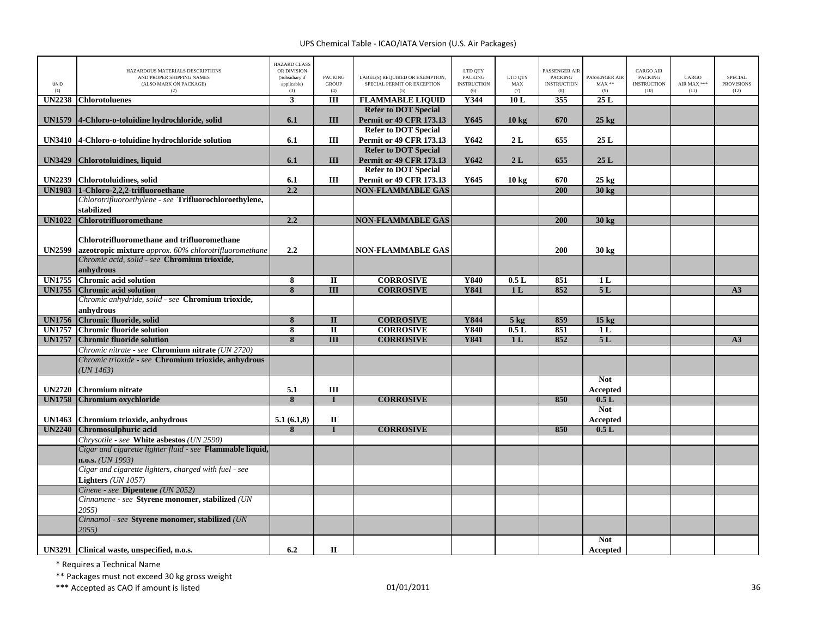| UNID<br>(1)   | HAZARDOUS MATERIALS DESCRIPTIONS<br>AND PROPER SHIPPING NAMES<br>(ALSO MARK ON PACKAGE)<br>(2)                 | <b>HAZARD CLASS</b><br>OR DIVISION<br>(Subsidiary if<br>applicable)<br>(3) | <b>PACKING</b><br><b>GROUP</b><br>(4) | LABEL(S) REQUIRED OR EXEMPTION,<br>SPECIAL PERMIT OR EXCEPTION<br>(5) | LTD QTY<br><b>PACKING</b><br><b>INSTRUCTION</b><br>(6) | LTD QTY<br>MAX<br>(7) | PASSENGER AIR<br><b>PACKING</b><br><b>INSTRUCTION</b><br>(8) | PASSENGER AIR<br>$MAX**$<br>(9) | <b>CARGO AIR</b><br>PACKING<br><b>INSTRUCTION</b><br>(10) | CARGO<br>AIR MAX ***<br>(11) | <b>SPECIAL</b><br><b>PROVISIONS</b><br>(12) |
|---------------|----------------------------------------------------------------------------------------------------------------|----------------------------------------------------------------------------|---------------------------------------|-----------------------------------------------------------------------|--------------------------------------------------------|-----------------------|--------------------------------------------------------------|---------------------------------|-----------------------------------------------------------|------------------------------|---------------------------------------------|
| <b>UN2238</b> | <b>Chlorotoluenes</b>                                                                                          | 3                                                                          | Ш                                     | <b>FLAMMABLE LIQUID</b>                                               | Y344                                                   | 10L                   | 355                                                          | 25L                             |                                                           |                              |                                             |
|               |                                                                                                                |                                                                            |                                       | <b>Refer to DOT Special</b>                                           |                                                        |                       |                                                              |                                 |                                                           |                              |                                             |
| <b>UN1579</b> | 4-Chloro-o-toluidine hydrochloride, solid                                                                      | 6.1                                                                        | Ш                                     | <b>Permit or 49 CFR 173.13</b>                                        | Y645                                                   | $10 \text{ kg}$       | 670                                                          | $25 \text{ kg}$                 |                                                           |                              |                                             |
|               |                                                                                                                |                                                                            |                                       | <b>Refer to DOT Special</b>                                           |                                                        |                       |                                                              |                                 |                                                           |                              |                                             |
|               | UN3410 4-Chloro-o-toluidine hydrochloride solution                                                             | 6.1                                                                        | Ш                                     | <b>Permit or 49 CFR 173.13</b>                                        | Y642                                                   | 2L                    | 655                                                          | 25L                             |                                                           |                              |                                             |
|               |                                                                                                                |                                                                            |                                       | <b>Refer to DOT Special</b>                                           |                                                        |                       |                                                              |                                 |                                                           |                              |                                             |
| <b>UN3429</b> | Chlorotoluidines, liquid                                                                                       | 6.1                                                                        | III                                   | <b>Permit or 49 CFR 173.13</b>                                        | Y642                                                   | 2L                    | 655                                                          | 25L                             |                                                           |                              |                                             |
|               |                                                                                                                |                                                                            |                                       | <b>Refer to DOT Special</b>                                           |                                                        |                       |                                                              |                                 |                                                           |                              |                                             |
| <b>UN2239</b> | <b>Chlorotoluidines</b> , solid                                                                                | 6.1                                                                        | Ш                                     | <b>Permit or 49 CFR 173.13</b>                                        | Y645                                                   | $10 \text{ kg}$       | 670                                                          | $25 \text{ kg}$                 |                                                           |                              |                                             |
| <b>UN1983</b> | 1-Chloro-2,2,2-trifluoroethane                                                                                 | 2.2                                                                        |                                       | <b>NON-FLAMMABLE GAS</b>                                              |                                                        |                       | 200                                                          | 30 kg                           |                                                           |                              |                                             |
|               | Chlorotrifluoroethylene - see Trifluorochloroethylene,                                                         |                                                                            |                                       |                                                                       |                                                        |                       |                                                              |                                 |                                                           |                              |                                             |
|               | stabilized                                                                                                     |                                                                            |                                       |                                                                       |                                                        |                       |                                                              |                                 |                                                           |                              |                                             |
| <b>UN1022</b> | Chlorotrifluoromethane                                                                                         | 2.2                                                                        |                                       | <b>NON-FLAMMABLE GAS</b>                                              |                                                        |                       | 200                                                          | $30$ kg                         |                                                           |                              |                                             |
|               |                                                                                                                |                                                                            |                                       |                                                                       |                                                        |                       |                                                              |                                 |                                                           |                              |                                             |
|               | <b>Chlorotrifluoromethane and trifluoromethane</b>                                                             |                                                                            |                                       |                                                                       |                                                        |                       |                                                              |                                 |                                                           |                              |                                             |
| <b>UN2599</b> | azeotropic mixture approx. 60% chlorotrifluoromethane                                                          | 2.2                                                                        |                                       | <b>NON-FLAMMABLE GAS</b>                                              |                                                        |                       | 200                                                          | 30 kg                           |                                                           |                              |                                             |
|               | Chromic acid, solid - see Chromium trioxide,                                                                   |                                                                            |                                       |                                                                       |                                                        |                       |                                                              |                                 |                                                           |                              |                                             |
|               | anhydrous                                                                                                      |                                                                            |                                       |                                                                       |                                                        |                       |                                                              |                                 |                                                           |                              |                                             |
| <b>UN1755</b> | <b>Chromic acid solution</b>                                                                                   | 8                                                                          | $\mathbf{I}$                          | <b>CORROSIVE</b>                                                      | Y840                                                   | 0.5L                  | 851                                                          | 1 <sub>L</sub>                  |                                                           |                              |                                             |
| <b>UN1755</b> | <b>Chromic acid solution</b><br>Chromic anhydride, solid - see Chromium trioxide,                              | 8                                                                          | $\overline{III}$                      | <b>CORROSIVE</b>                                                      | <b>Y841</b>                                            | 1 <sub>L</sub>        | 852                                                          | 5L                              |                                                           |                              | A3                                          |
|               |                                                                                                                |                                                                            |                                       |                                                                       |                                                        |                       |                                                              |                                 |                                                           |                              |                                             |
| <b>UN1756</b> | anhydrous                                                                                                      | 8                                                                          | $\mathbf{I}$                          |                                                                       | Y844                                                   |                       | 859                                                          |                                 |                                                           |                              |                                             |
| <b>UN1757</b> | Chromic fluoride, solid<br><b>Chromic fluoride solution</b>                                                    |                                                                            | $\mathbf{I}$                          | <b>CORROSIVE</b><br><b>CORROSIVE</b>                                  | <b>Y840</b>                                            | $5$ kg<br>0.5L        | 851                                                          | 15 <sub>kg</sub><br>1 L         |                                                           |                              |                                             |
| <b>UN1757</b> | <b>Chromic fluoride solution</b>                                                                               | 8<br>8                                                                     | $\mathbf{III}$                        | <b>CORROSIVE</b>                                                      | <b>Y841</b>                                            | 1 <sub>L</sub>        | 852                                                          | 5L                              |                                                           |                              | A3                                          |
|               |                                                                                                                |                                                                            |                                       |                                                                       |                                                        |                       |                                                              |                                 |                                                           |                              |                                             |
|               | Chromic nitrate - see <b>Chromium nitrate</b> (UN 2720)<br>Chromic trioxide - see Chromium trioxide, anhydrous |                                                                            |                                       |                                                                       |                                                        |                       |                                                              |                                 |                                                           |                              |                                             |
|               | UN1463)                                                                                                        |                                                                            |                                       |                                                                       |                                                        |                       |                                                              |                                 |                                                           |                              |                                             |
|               |                                                                                                                |                                                                            |                                       |                                                                       |                                                        |                       |                                                              | <b>Not</b>                      |                                                           |                              |                                             |
| <b>UN2720</b> | <b>Chromium nitrate</b>                                                                                        | 5.1                                                                        | III                                   |                                                                       |                                                        |                       |                                                              | <b>Accepted</b>                 |                                                           |                              |                                             |
| <b>UN1758</b> | Chromium oxychloride                                                                                           | 8                                                                          | $\mathbf I$                           | <b>CORROSIVE</b>                                                      |                                                        |                       | 850                                                          | 0.5L                            |                                                           |                              |                                             |
|               |                                                                                                                |                                                                            |                                       |                                                                       |                                                        |                       |                                                              | <b>Not</b>                      |                                                           |                              |                                             |
| <b>UN1463</b> | Chromium trioxide, anhydrous                                                                                   | 5.1(6.1,8)                                                                 | П                                     |                                                                       |                                                        |                       |                                                              | Accepted                        |                                                           |                              |                                             |
| <b>UN2240</b> | Chromosulphuric acid                                                                                           | 8                                                                          | $\mathbf{I}$                          | <b>CORROSIVE</b>                                                      |                                                        |                       | 850                                                          | 0.5L                            |                                                           |                              |                                             |
|               | Chrysotile - see White asbestos (UN 2590)                                                                      |                                                                            |                                       |                                                                       |                                                        |                       |                                                              |                                 |                                                           |                              |                                             |
|               | Cigar and cigarette lighter fluid - see Flammable liquid,                                                      |                                                                            |                                       |                                                                       |                                                        |                       |                                                              |                                 |                                                           |                              |                                             |
|               | $n.o.s.$ ( <i>UN 1993</i> )                                                                                    |                                                                            |                                       |                                                                       |                                                        |                       |                                                              |                                 |                                                           |                              |                                             |
|               | Cigar and cigarette lighters, charged with fuel - see                                                          |                                                                            |                                       |                                                                       |                                                        |                       |                                                              |                                 |                                                           |                              |                                             |
|               | Lighters (UN 1057)                                                                                             |                                                                            |                                       |                                                                       |                                                        |                       |                                                              |                                 |                                                           |                              |                                             |
|               | Cinene - see Dipentene (UN 2052)                                                                               |                                                                            |                                       |                                                                       |                                                        |                       |                                                              |                                 |                                                           |                              |                                             |
|               | Cinnamene - see Styrene monomer, stabilized (UN                                                                |                                                                            |                                       |                                                                       |                                                        |                       |                                                              |                                 |                                                           |                              |                                             |
|               | 2055)                                                                                                          |                                                                            |                                       |                                                                       |                                                        |                       |                                                              |                                 |                                                           |                              |                                             |
|               | Cinnamol - see Styrene monomer, stabilized (UN                                                                 |                                                                            |                                       |                                                                       |                                                        |                       |                                                              |                                 |                                                           |                              |                                             |
|               | 2055                                                                                                           |                                                                            |                                       |                                                                       |                                                        |                       |                                                              |                                 |                                                           |                              |                                             |
|               |                                                                                                                |                                                                            |                                       |                                                                       |                                                        |                       |                                                              | <b>Not</b>                      |                                                           |                              |                                             |
|               | UN3291 Clinical waste, unspecified, n.o.s.                                                                     | 6.2                                                                        | $\mathbf{I}$                          |                                                                       |                                                        |                       |                                                              | Accepted                        |                                                           |                              |                                             |

\* Requires <sup>a</sup> Technical Name

\*\* Packages must not exceed 30 kg gross weight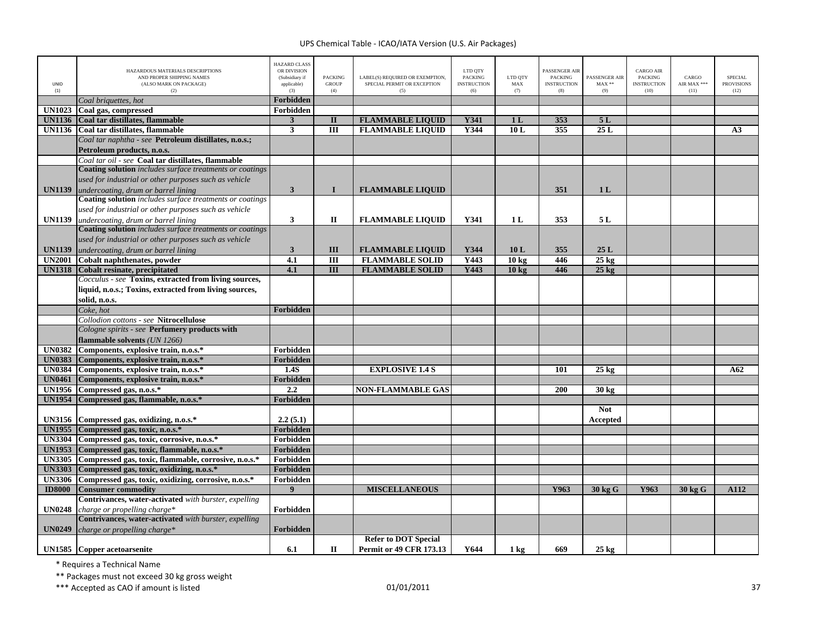| UNID<br>(1)   | HAZARDOUS MATERIALS DESCRIPTIONS<br>AND PROPER SHIPPING NAMES<br>(ALSO MARK ON PACKAGE)<br>(2) | <b>HAZARD CLASS</b><br>OR DIVISION<br>(Subsidiary if<br>applicable)<br>(3) | <b>PACKING</b><br><b>GROUP</b><br>(4) | LABEL(S) REQUIRED OR EXEMPTION,<br>SPECIAL PERMIT OR EXCEPTION<br>(5) | LTD QTY<br><b>PACKING</b><br><b>INSTRUCTION</b><br>(6) | LTD QTY<br>MAX<br>(7) | PASSENGER AIR<br>PACKING<br><b>INSTRUCTION</b><br>(8) | PASSENGER AIR<br>$MAX**$<br>(9) | CARGO AIR<br><b>PACKING</b><br><b>INSTRUCTION</b><br>(10) | CARGO<br>AIR MAX ***<br>(11) | <b>SPECIAL</b><br><b>PROVISIONS</b><br>(12) |
|---------------|------------------------------------------------------------------------------------------------|----------------------------------------------------------------------------|---------------------------------------|-----------------------------------------------------------------------|--------------------------------------------------------|-----------------------|-------------------------------------------------------|---------------------------------|-----------------------------------------------------------|------------------------------|---------------------------------------------|
|               | Coal briquettes, hot                                                                           | Forbidden                                                                  |                                       |                                                                       |                                                        |                       |                                                       |                                 |                                                           |                              |                                             |
| <b>UN1023</b> | Coal gas, compressed                                                                           | Forbidden                                                                  |                                       |                                                                       |                                                        |                       |                                                       |                                 |                                                           |                              |                                             |
| <b>UN1136</b> | Coal tar distillates, flammable                                                                | $\mathbf{3}$                                                               | $\mathbf{I}$                          | <b>FLAMMABLE LIQUID</b>                                               | Y341                                                   | 1 <sub>L</sub>        | 353                                                   | 5L                              |                                                           |                              |                                             |
| <b>UN1136</b> | Coal tar distillates, flammable                                                                | $\mathbf{3}$                                                               | $\overline{III}$                      | <b>FLAMMABLE LIQUID</b>                                               | Y344                                                   | 10L                   | 355                                                   | 25L                             |                                                           |                              | A <sub>3</sub>                              |
|               | Coal tar naphtha - see Petroleum distillates, n.o.s.;                                          |                                                                            |                                       |                                                                       |                                                        |                       |                                                       |                                 |                                                           |                              |                                             |
|               | Petroleum products, n.o.s.                                                                     |                                                                            |                                       |                                                                       |                                                        |                       |                                                       |                                 |                                                           |                              |                                             |
|               | Coal tar oil - see Coal tar distillates, flammable                                             |                                                                            |                                       |                                                                       |                                                        |                       |                                                       |                                 |                                                           |                              |                                             |
|               | <b>Coating solution</b> includes surface treatments or coatings                                |                                                                            |                                       |                                                                       |                                                        |                       |                                                       |                                 |                                                           |                              |                                             |
|               | used for industrial or other purposes such as vehicle                                          |                                                                            |                                       |                                                                       |                                                        |                       |                                                       |                                 |                                                           |                              |                                             |
| <b>UN1139</b> | undercoating, drum or barrel lining                                                            | $\mathbf{3}$                                                               | $\bf{I}$                              | <b>FLAMMABLE LIQUID</b>                                               |                                                        |                       | 351                                                   | 1 <sub>L</sub>                  |                                                           |                              |                                             |
|               | Coating solution includes surface treatments or coatings                                       |                                                                            |                                       |                                                                       |                                                        |                       |                                                       |                                 |                                                           |                              |                                             |
|               | used for industrial or other purposes such as vehicle                                          |                                                                            |                                       |                                                                       |                                                        |                       |                                                       |                                 |                                                           |                              |                                             |
| <b>UN1139</b> | undercoating, drum or barrel lining                                                            | $\mathbf{3}$                                                               | П                                     | <b>FLAMMABLE LIQUID</b>                                               | Y341                                                   | 1 <sub>L</sub>        | 353                                                   | 5L                              |                                                           |                              |                                             |
|               | <b>Coating solution</b> includes surface treatments or coatings                                |                                                                            |                                       |                                                                       |                                                        |                       |                                                       |                                 |                                                           |                              |                                             |
|               | used for industrial or other purposes such as vehicle                                          |                                                                            |                                       |                                                                       |                                                        |                       |                                                       |                                 |                                                           |                              |                                             |
| <b>UN1139</b> | undercoating, drum or barrel lining                                                            | $\mathbf{3}$                                                               | III                                   | <b>FLAMMABLE LIQUID</b>                                               | Y344                                                   | 10L                   | 355                                                   | 25L                             |                                                           |                              |                                             |
| <b>UN2001</b> | Cobalt naphthenates, powder                                                                    | 4.1                                                                        | Ш                                     | <b>FLAMMABLE SOLID</b>                                                | Y443                                                   | 10 <sub>kg</sub>      | 446                                                   | $25 \text{ kg}$                 |                                                           |                              |                                             |
| <b>UN1318</b> | <b>Cobalt resinate, precipitated</b>                                                           | 4.1                                                                        | III                                   | <b>FLAMMABLE SOLID</b>                                                | Y443                                                   | 10 <sub>kg</sub>      | 446                                                   | $25$ kg                         |                                                           |                              |                                             |
|               | Cocculus - see Toxins, extracted from living sources,                                          |                                                                            |                                       |                                                                       |                                                        |                       |                                                       |                                 |                                                           |                              |                                             |
|               | liquid, n.o.s.; Toxins, extracted from living sources,                                         |                                                                            |                                       |                                                                       |                                                        |                       |                                                       |                                 |                                                           |                              |                                             |
|               | solid, n.o.s.                                                                                  |                                                                            |                                       |                                                                       |                                                        |                       |                                                       |                                 |                                                           |                              |                                             |
|               | Coke, hot                                                                                      | Forbidden                                                                  |                                       |                                                                       |                                                        |                       |                                                       |                                 |                                                           |                              |                                             |
|               | Collodion cottons - see Nitrocellulose                                                         |                                                                            |                                       |                                                                       |                                                        |                       |                                                       |                                 |                                                           |                              |                                             |
|               | Cologne spirits - see Perfumery products with                                                  |                                                                            |                                       |                                                                       |                                                        |                       |                                                       |                                 |                                                           |                              |                                             |
|               | flammable solvents (UN 1266)                                                                   |                                                                            |                                       |                                                                       |                                                        |                       |                                                       |                                 |                                                           |                              |                                             |
| <b>UN0382</b> | Components, explosive train, n.o.s.*                                                           | Forbidden                                                                  |                                       |                                                                       |                                                        |                       |                                                       |                                 |                                                           |                              |                                             |
| <b>UN0383</b> | Components, explosive train, n.o.s.*                                                           | Forbidden                                                                  |                                       |                                                                       |                                                        |                       |                                                       |                                 |                                                           |                              |                                             |
| <b>UN0384</b> | Components, explosive train, n.o.s.*                                                           | 1.4S                                                                       |                                       | <b>EXPLOSIVE 1.4 S</b>                                                |                                                        |                       | 101                                                   | $25 \text{ kg}$                 |                                                           |                              | A62                                         |
| <b>UN0461</b> | Components, explosive train, n.o.s.*                                                           | Forbidden                                                                  |                                       |                                                                       |                                                        |                       |                                                       |                                 |                                                           |                              |                                             |
| <b>UN1956</b> | Compressed gas, n.o.s.*                                                                        | 2.2                                                                        |                                       | <b>NON-FLAMMABLE GAS</b>                                              |                                                        |                       | <b>200</b>                                            | 30 <sub>kg</sub>                |                                                           |                              |                                             |
| <b>UN1954</b> |                                                                                                | Forbidden                                                                  |                                       |                                                                       |                                                        |                       |                                                       |                                 |                                                           |                              |                                             |
|               | Compressed gas, flammable, n.o.s.*                                                             |                                                                            |                                       |                                                                       |                                                        |                       |                                                       | <b>Not</b>                      |                                                           |                              |                                             |
|               |                                                                                                |                                                                            |                                       |                                                                       |                                                        |                       |                                                       |                                 |                                                           |                              |                                             |
| <b>UN3156</b> | Compressed gas, oxidizing, n.o.s.*<br>UN1955 Compressed gas, toxic, n.o.s.*                    | 2.2(5.1)<br>Forbidden                                                      |                                       |                                                                       |                                                        |                       |                                                       | Accepted                        |                                                           |                              |                                             |
|               |                                                                                                |                                                                            |                                       |                                                                       |                                                        |                       |                                                       |                                 |                                                           |                              |                                             |
| <b>UN3304</b> | Compressed gas, toxic, corrosive, n.o.s.*                                                      | Forbidden                                                                  |                                       |                                                                       |                                                        |                       |                                                       |                                 |                                                           |                              |                                             |
| <b>UN1953</b> | Compressed gas, toxic, flammable, n.o.s.*                                                      | Forbidden                                                                  |                                       |                                                                       |                                                        |                       |                                                       |                                 |                                                           |                              |                                             |
| <b>UN3305</b> | Compressed gas, toxic, flammable, corrosive, n.o.s.*                                           | Forbidden                                                                  |                                       |                                                                       |                                                        |                       |                                                       |                                 |                                                           |                              |                                             |
| <b>UN3303</b> | Compressed gas, toxic, oxidizing, n.o.s.*                                                      | <b>Forbidden</b>                                                           |                                       |                                                                       |                                                        |                       |                                                       |                                 |                                                           |                              |                                             |
| <b>UN3306</b> | Compressed gas, toxic, oxidizing, corrosive, n.o.s.*                                           | Forbidden                                                                  |                                       |                                                                       |                                                        |                       |                                                       |                                 |                                                           |                              |                                             |
| <b>ID8000</b> | <b>Consumer commodity</b>                                                                      | 9                                                                          |                                       | <b>MISCELLANEOUS</b>                                                  |                                                        |                       | Y963                                                  | 30 kg G                         | Y963                                                      | 30 kg G                      | A112                                        |
|               | Contrivances, water-activated with burster, expelling                                          |                                                                            |                                       |                                                                       |                                                        |                       |                                                       |                                 |                                                           |                              |                                             |
| <b>UN0248</b> | charge or propelling charge*                                                                   | Forbidden                                                                  |                                       |                                                                       |                                                        |                       |                                                       |                                 |                                                           |                              |                                             |
| <b>UN0249</b> | Contrivances, water-activated with burster, expelling<br>charge or propelling charge*          | Forbidden                                                                  |                                       |                                                                       |                                                        |                       |                                                       |                                 |                                                           |                              |                                             |
|               |                                                                                                |                                                                            |                                       | <b>Refer to DOT Special</b>                                           |                                                        |                       |                                                       |                                 |                                                           |                              |                                             |
|               | UN1585 Copper acetoarsenite                                                                    | 6.1                                                                        | П                                     | <b>Permit or 49 CFR 173.13</b>                                        | Y644                                                   | $1 \text{ kg}$        | 669                                                   | $25 \text{ kg}$                 |                                                           |                              |                                             |

\* Requires <sup>a</sup> Technical Name

\*\* Packages must not exceed 30 kg gross weight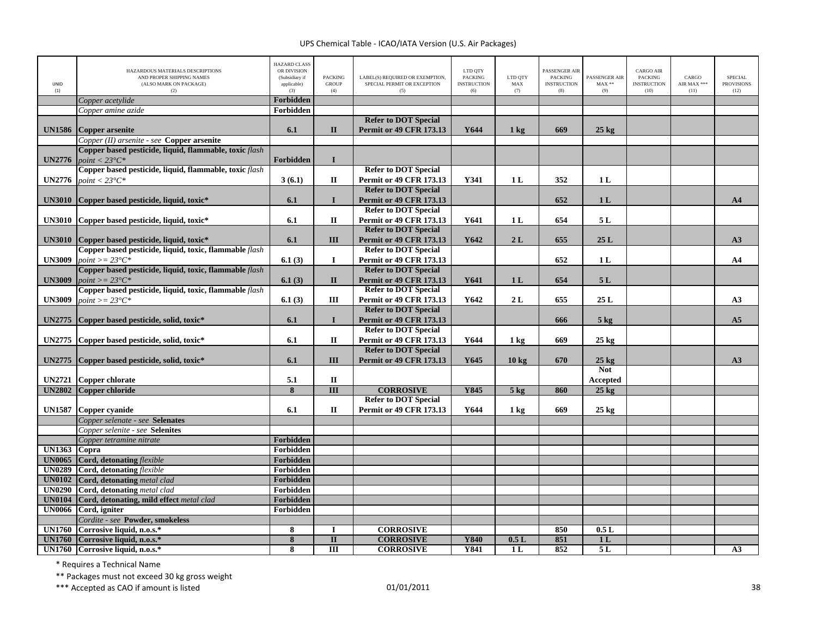| UNID<br>(1)   | HAZARDOUS MATERIALS DESCRIPTIONS<br>AND PROPER SHIPPING NAMES<br>(ALSO MARK ON PACKAGE)<br>(2) | <b>HAZARD CLASS</b><br>OR DIVISION<br>(Subsidiary if<br>applicable)<br>(3) | <b>PACKING</b><br><b>GROUP</b><br>(4) | LABEL(S) REQUIRED OR EXEMPTION,<br>SPECIAL PERMIT OR EXCEPTION<br>(5) | LTD QTY<br><b>PACKING</b><br><b>INSTRUCTION</b><br>(6) | LTD OTY<br>MAX<br>(7) | PASSENGER AIR<br><b>PACKING</b><br><b>INSTRUCTION</b><br>(8) | PASSENGER AIR<br>$MAX**$<br>(9) | <b>CARGO AIR</b><br><b>PACKING</b><br><b>INSTRUCTION</b><br>(10) | CARGO<br>AIR MAX ***<br>(11) | <b>SPECIAL</b><br><b>PROVISIONS</b><br>(12) |
|---------------|------------------------------------------------------------------------------------------------|----------------------------------------------------------------------------|---------------------------------------|-----------------------------------------------------------------------|--------------------------------------------------------|-----------------------|--------------------------------------------------------------|---------------------------------|------------------------------------------------------------------|------------------------------|---------------------------------------------|
|               | Copper acetylide                                                                               | Forbidden                                                                  |                                       |                                                                       |                                                        |                       |                                                              |                                 |                                                                  |                              |                                             |
|               | Copper amine azide                                                                             | Forbidden                                                                  |                                       |                                                                       |                                                        |                       |                                                              |                                 |                                                                  |                              |                                             |
| <b>UN1586</b> | <b>Copper arsenite</b>                                                                         | 6.1                                                                        | $\mathbf{I}$                          | <b>Refer to DOT Special</b><br><b>Permit or 49 CFR 173.13</b>         | Y644                                                   | $1 \text{ kg}$        | 669                                                          | $25 \text{ kg}$                 |                                                                  |                              |                                             |
|               | Copper (II) arsenite - see Copper arsenite                                                     |                                                                            |                                       |                                                                       |                                                        |                       |                                                              |                                 |                                                                  |                              |                                             |
|               | Copper based pesticide, liquid, flammable, toxic flash                                         |                                                                            |                                       |                                                                       |                                                        |                       |                                                              |                                 |                                                                  |                              |                                             |
| <b>UN2776</b> | point $< 23^{\circ}C^*$                                                                        | <b>Forbidden</b>                                                           | $\mathbf{I}$                          |                                                                       |                                                        |                       |                                                              |                                 |                                                                  |                              |                                             |
|               | Copper based pesticide, liquid, flammable, toxic flash                                         |                                                                            |                                       | <b>Refer to DOT Special</b>                                           |                                                        |                       |                                                              |                                 |                                                                  |                              |                                             |
| <b>UN2776</b> | point $< 23^{\circ}C^*$                                                                        | 3(6.1)                                                                     | П                                     | <b>Permit or 49 CFR 173.13</b>                                        | Y341                                                   | 1 <sub>L</sub>        | 352                                                          | 1 <sub>L</sub>                  |                                                                  |                              |                                             |
|               |                                                                                                |                                                                            |                                       | <b>Refer to DOT Special</b>                                           |                                                        |                       |                                                              |                                 |                                                                  |                              |                                             |
| <b>UN3010</b> | Copper based pesticide, liquid, toxic*                                                         | 6.1                                                                        | $\bf{I}$                              | <b>Permit or 49 CFR 173.13</b>                                        |                                                        |                       | 652                                                          | 1 <sub>L</sub>                  |                                                                  |                              | A <sub>4</sub>                              |
|               |                                                                                                |                                                                            |                                       | <b>Refer to DOT Special</b>                                           |                                                        |                       |                                                              |                                 |                                                                  |                              |                                             |
| <b>UN3010</b> | Copper based pesticide, liquid, toxic*                                                         | 6.1                                                                        | $\mathbf{I}$                          | Permit or 49 CFR 173.13                                               | Y641                                                   | 1L                    | 654                                                          | 5L                              |                                                                  |                              |                                             |
|               |                                                                                                |                                                                            |                                       | <b>Refer to DOT Special</b>                                           |                                                        |                       |                                                              |                                 |                                                                  |                              |                                             |
| <b>UN3010</b> | Copper based pesticide, liquid, toxic*                                                         | 6.1                                                                        | Ш                                     | <b>Permit or 49 CFR 173.13</b>                                        | Y642                                                   | 2L                    | 655                                                          | 25L                             |                                                                  |                              | A3                                          |
|               | Copper based pesticide, liquid, toxic, flammable flash                                         |                                                                            |                                       | <b>Refer to DOT Special</b>                                           |                                                        |                       |                                                              |                                 |                                                                  |                              |                                             |
| <b>UN3009</b> | $point >= 23^{\circ}C^*$                                                                       | 6.1(3)                                                                     | $\bf{I}$                              | <b>Permit or 49 CFR 173.13</b>                                        |                                                        |                       | 652                                                          | 1L                              |                                                                  |                              | A <sub>4</sub>                              |
|               | Copper based pesticide, liquid, toxic, flammable flash                                         |                                                                            |                                       | <b>Refer to DOT Special</b>                                           |                                                        |                       |                                                              |                                 |                                                                  |                              |                                             |
| <b>UN3009</b> | $point >= 23^{\circ}C^*$                                                                       | 6.1(3)                                                                     | $\mathbf{I}$                          | <b>Permit or 49 CFR 173.13</b>                                        | Y641                                                   | 1 <sub>L</sub>        | 654                                                          | 5L                              |                                                                  |                              |                                             |
|               | Copper based pesticide, liquid, toxic, flammable flash                                         |                                                                            |                                       | <b>Refer to DOT Special</b>                                           |                                                        |                       |                                                              |                                 |                                                                  |                              |                                             |
| <b>UN3009</b> | $point >= 23^{\circ}C^*$                                                                       | 6.1(3)                                                                     | Ш                                     | <b>Permit or 49 CFR 173.13</b>                                        | Y642                                                   | 2L                    | 655                                                          | 25L                             |                                                                  |                              | A3                                          |
|               |                                                                                                |                                                                            |                                       | <b>Refer to DOT Special</b>                                           |                                                        |                       |                                                              |                                 |                                                                  |                              |                                             |
| <b>UN2775</b> | Copper based pesticide, solid, toxic*                                                          | 6.1                                                                        | $\bf{I}$                              | <b>Permit or 49 CFR 173.13</b>                                        |                                                        |                       | 666                                                          | $5 \text{ kg}$                  |                                                                  |                              | A <sub>5</sub>                              |
|               |                                                                                                |                                                                            |                                       | <b>Refer to DOT Special</b>                                           |                                                        |                       |                                                              |                                 |                                                                  |                              |                                             |
| <b>UN2775</b> | Copper based pesticide, solid, toxic*                                                          | 6.1                                                                        | $\mathbf{I}$                          | Permit or 49 CFR 173.13                                               | Y644                                                   | 1 kg                  | 669                                                          | $25 \text{ kg}$                 |                                                                  |                              |                                             |
|               |                                                                                                |                                                                            |                                       | <b>Refer to DOT Special</b>                                           |                                                        |                       |                                                              |                                 |                                                                  |                              |                                             |
| <b>UN2775</b> | Copper based pesticide, solid, toxic*                                                          | 6.1                                                                        | III                                   | <b>Permit or 49 CFR 173.13</b>                                        | Y645                                                   | 10 <sub>kg</sub>      | 670                                                          | $25 \text{ kg}$                 |                                                                  |                              | A3                                          |
|               |                                                                                                |                                                                            |                                       |                                                                       |                                                        |                       |                                                              | <b>Not</b>                      |                                                                  |                              |                                             |
| <b>UN2721</b> | <b>Copper chlorate</b>                                                                         | 5.1                                                                        | $\mathbf{I}$                          |                                                                       |                                                        |                       |                                                              | <b>Accepted</b>                 |                                                                  |                              |                                             |
| <b>UN2802</b> | <b>Copper chloride</b>                                                                         | 8                                                                          | $\overline{III}$                      | <b>CORROSIVE</b>                                                      | Y845                                                   | 5 <sub>kg</sub>       | 860                                                          | $25 \text{ kg}$                 |                                                                  |                              |                                             |
|               |                                                                                                |                                                                            |                                       | <b>Refer to DOT Special</b>                                           |                                                        |                       |                                                              |                                 |                                                                  |                              |                                             |
| <b>UN1587</b> | <b>Copper cvanide</b>                                                                          | 6.1                                                                        | $\mathbf H$                           | <b>Permit or 49 CFR 173.13</b>                                        | Y644                                                   | $1 \text{ kg}$        | 669                                                          | $25 \text{ kg}$                 |                                                                  |                              |                                             |
|               | Copper selenate - see Selenates                                                                |                                                                            |                                       |                                                                       |                                                        |                       |                                                              |                                 |                                                                  |                              |                                             |
|               | Copper selenite - see Selenites                                                                |                                                                            |                                       |                                                                       |                                                        |                       |                                                              |                                 |                                                                  |                              |                                             |
|               | Copper tetramine nitrate                                                                       | Forbidden                                                                  |                                       |                                                                       |                                                        |                       |                                                              |                                 |                                                                  |                              |                                             |
| <b>UN1363</b> | Copra                                                                                          | Forbidden                                                                  |                                       |                                                                       |                                                        |                       |                                                              |                                 |                                                                  |                              |                                             |
| <b>UN0065</b> | Cord, detonating flexible                                                                      | Forbidden                                                                  |                                       |                                                                       |                                                        |                       |                                                              |                                 |                                                                  |                              |                                             |
| <b>UN0289</b> | Cord, detonating flexible                                                                      | Forbidden                                                                  |                                       |                                                                       |                                                        |                       |                                                              |                                 |                                                                  |                              |                                             |
| <b>UN0102</b> | Cord, detonating metal clad                                                                    | Forbidden                                                                  |                                       |                                                                       |                                                        |                       |                                                              |                                 |                                                                  |                              |                                             |
| <b>UN0290</b> | Cord, detonating metal clad                                                                    | Forbidden                                                                  |                                       |                                                                       |                                                        |                       |                                                              |                                 |                                                                  |                              |                                             |
| <b>UN0104</b> | Cord, detonating, mild effect metal clad                                                       | Forbidden                                                                  |                                       |                                                                       |                                                        |                       |                                                              |                                 |                                                                  |                              |                                             |
| <b>UN0066</b> | Cord, igniter                                                                                  | Forbidden                                                                  |                                       |                                                                       |                                                        |                       |                                                              |                                 |                                                                  |                              |                                             |
|               | Cordite - see Powder, smokeless                                                                |                                                                            |                                       |                                                                       |                                                        |                       |                                                              |                                 |                                                                  |                              |                                             |
| <b>UN1760</b> | Corrosive liquid, n.o.s.*                                                                      | 8                                                                          | $\mathbf I$                           | <b>CORROSIVE</b>                                                      |                                                        |                       | 850                                                          | 0.5L                            |                                                                  |                              |                                             |
| <b>UN1760</b> | Corrosive liquid, n.o.s.*                                                                      | 8                                                                          | $\mathbf{I}$                          | <b>CORROSIVE</b>                                                      | <b>Y840</b>                                            | 0.5L                  | 851                                                          | 1 <sub>L</sub>                  |                                                                  |                              |                                             |
|               | UN1760 Corrosive liquid, n.o.s.*                                                               | 8                                                                          | Ш                                     | <b>CORROSIVE</b>                                                      | Y841                                                   | 1 <sub>L</sub>        | 852                                                          | 5L                              |                                                                  |                              | A3                                          |

\* Requires <sup>a</sup> Technical Name

\*\* Packages must not exceed 30 kg gross weight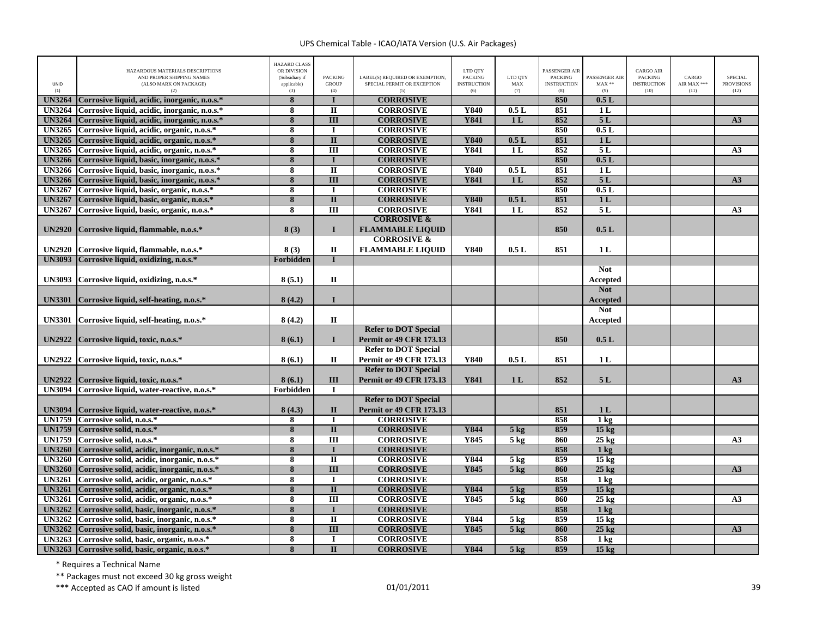| UNID<br>(1)                    | HAZARDOUS MATERIALS DESCRIPTIONS<br>AND PROPER SHIPPING NAMES<br>(ALSO MARK ON PACKAGE)<br>(2) | <b>HAZARD CLASS</b><br>OR DIVISION<br>(Subsidiary if<br>applicable)<br>(3) | <b>PACKING</b><br><b>GROUP</b><br>(4) | LABEL(S) REQUIRED OR EXEMPTION,<br>SPECIAL PERMIT OR EXCEPTION<br>(5) | LTD QTY<br><b>PACKING</b><br><b>INSTRUCTION</b><br>(6) | LTD QTY<br>MAX<br>(7)    | PASSENGER AIR<br><b>PACKING</b><br><b>INSTRUCTION</b><br>(8) | PASSENGER AIR<br>$MAX**$<br>(9)     | CARGO AIR<br><b>PACKING</b><br><b>INSTRUCTION</b><br>(10) | CARGO<br>AIR MAX ***<br>(11) | <b>SPECIAL</b><br><b>PROVISIONS</b><br>(12) |
|--------------------------------|------------------------------------------------------------------------------------------------|----------------------------------------------------------------------------|---------------------------------------|-----------------------------------------------------------------------|--------------------------------------------------------|--------------------------|--------------------------------------------------------------|-------------------------------------|-----------------------------------------------------------|------------------------------|---------------------------------------------|
| <b>UN3264</b>                  | Corrosive liquid, acidic, inorganic, n.o.s.*                                                   | 8                                                                          |                                       | <b>CORROSIVE</b>                                                      |                                                        |                          | 850                                                          | 0.5L                                |                                                           |                              |                                             |
| <b>UN3264</b>                  | Corrosive liquid, acidic, inorganic, n.o.s.*                                                   | 8                                                                          | $\mathbf{I}$                          | <b>CORROSIVE</b>                                                      | Y840                                                   | 0.5L                     | 851                                                          | 1 <sub>L</sub>                      |                                                           |                              |                                             |
| <b>UN3264</b>                  | Corrosive liquid, acidic, inorganic, n.o.s.*                                                   | $\overline{\mathbf{8}}$                                                    | $\overline{III}$                      | <b>CORROSIVE</b>                                                      | <b>Y841</b>                                            | 1 <sub>L</sub>           | 852                                                          | 5L                                  |                                                           |                              | A3                                          |
| <b>UN3265</b>                  | Corrosive liquid, acidic, organic, n.o.s.*                                                     | 8                                                                          | $\mathbf I$                           | <b>CORROSIVE</b>                                                      |                                                        |                          | 850                                                          | 0.5L                                |                                                           |                              |                                             |
| <b>UN3265</b>                  | Corrosive liquid, acidic, organic, n.o.s.*                                                     | 8                                                                          | $\mathbf{I}$                          | <b>CORROSIVE</b>                                                      | Y840                                                   | 0.5L                     | 851                                                          | 1 <sub>L</sub>                      |                                                           |                              |                                             |
| <b>UN3265</b>                  | Corrosive liquid, acidic, organic, n.o.s.*                                                     | 8                                                                          | Ш                                     | <b>CORROSIVE</b>                                                      | Y841                                                   | 1 <sub>L</sub>           | 852                                                          | 5L                                  |                                                           |                              | A <sub>3</sub>                              |
| <b>UN3266</b>                  | Corrosive liquid, basic, inorganic, n.o.s.*                                                    | 8                                                                          |                                       | <b>CORROSIVE</b>                                                      |                                                        |                          | 850                                                          | 0.5L                                |                                                           |                              |                                             |
| <b>UN3266</b>                  | Corrosive liquid, basic, inorganic, n.o.s.*                                                    | 8                                                                          | $\overline{\mathbf{u}}$               | <b>CORROSIVE</b>                                                      | <b>Y840</b>                                            | 0.5L                     | 851                                                          | 1L                                  |                                                           |                              |                                             |
| <b>UN3266</b>                  | Corrosive liquid, basic, inorganic, n.o.s.*                                                    | 8                                                                          | $\overline{\mathbf{H}}$               | <b>CORROSIVE</b>                                                      | <b>Y841</b>                                            | 1 <sub>L</sub>           | 852                                                          | 5L                                  |                                                           |                              | $\overline{A3}$                             |
| <b>UN3267</b>                  | Corrosive liquid, basic, organic, n.o.s.*                                                      | 8                                                                          | $\mathbf I$                           | <b>CORROSIVE</b>                                                      |                                                        |                          | 850                                                          | 0.5L                                |                                                           |                              |                                             |
| <b>UN3267</b>                  | Corrosive liquid, basic, organic, n.o.s.*                                                      | 8                                                                          | $\overline{\mathbf{u}}$               | <b>CORROSIVE</b>                                                      | <b>Y840</b>                                            | 0.5L                     | 851                                                          | 1 <sub>L</sub>                      |                                                           |                              |                                             |
| <b>UN3267</b>                  | Corrosive liquid, basic, organic, n.o.s. <sup>8</sup>                                          | 8                                                                          | $\overline{III}$                      | <b>CORROSIVE</b>                                                      | <b>Y841</b>                                            | 1L                       | 852                                                          | 5L                                  |                                                           |                              | A <sub>3</sub>                              |
|                                |                                                                                                |                                                                            |                                       | <b>CORROSIVE &amp;</b>                                                |                                                        |                          |                                                              |                                     |                                                           |                              |                                             |
| <b>UN2920</b>                  | Corrosive liquid, flammable, n.o.s.*                                                           | 8(3)                                                                       | $\mathbf{I}$                          | <b>FLAMMABLE LIQUID</b>                                               |                                                        |                          | 850                                                          | 0.5L                                |                                                           |                              |                                             |
|                                |                                                                                                |                                                                            |                                       | <b>CORROSIVE &amp;</b>                                                |                                                        |                          |                                                              |                                     |                                                           |                              |                                             |
| <b>UN2920</b>                  | Corrosive liquid, flammable, n.o.s.*                                                           | 8(3)                                                                       | $\mathbf I$                           | <b>FLAMMABLE LIQUID</b>                                               | Y840                                                   | 0.5L                     | 851                                                          | 1L                                  |                                                           |                              |                                             |
| <b>UN3093</b>                  | Corrosive liquid, oxidizing, n.o.s.*                                                           | Forbidden                                                                  | T                                     |                                                                       |                                                        |                          |                                                              |                                     |                                                           |                              |                                             |
|                                |                                                                                                |                                                                            |                                       |                                                                       |                                                        |                          |                                                              | <b>Not</b>                          |                                                           |                              |                                             |
| <b>UN3093</b>                  | Corrosive liquid, oxidizing, n.o.s.*                                                           | 8(5.1)                                                                     | $\mathbf{I}$                          |                                                                       |                                                        |                          |                                                              | <b>Accepted</b>                     |                                                           |                              |                                             |
|                                |                                                                                                |                                                                            |                                       |                                                                       |                                                        |                          |                                                              | <b>Not</b>                          |                                                           |                              |                                             |
| <b>UN3301</b>                  | Corrosive liquid, self-heating, n.o.s.*                                                        | 8(4.2)                                                                     | $\mathbf I$                           |                                                                       |                                                        |                          |                                                              | <b>Accepted</b>                     |                                                           |                              |                                             |
|                                |                                                                                                |                                                                            |                                       |                                                                       |                                                        |                          |                                                              | <b>Not</b>                          |                                                           |                              |                                             |
|                                | UN3301 Corrosive liquid, self-heating, n.o.s.*                                                 | 8(4.2)                                                                     | П                                     |                                                                       |                                                        |                          |                                                              | Accepted                            |                                                           |                              |                                             |
|                                |                                                                                                |                                                                            |                                       | <b>Refer to DOT Special</b>                                           |                                                        |                          |                                                              |                                     |                                                           |                              |                                             |
| <b>UN2922</b>                  | Corrosive liquid, toxic, n.o.s.*                                                               | 8(6.1)                                                                     | $\mathbf{I}$                          | <b>Permit or 49 CFR 173.13</b>                                        |                                                        |                          | 850                                                          | 0.5L                                |                                                           |                              |                                             |
|                                |                                                                                                |                                                                            |                                       | <b>Refer to DOT Special</b>                                           |                                                        |                          |                                                              |                                     |                                                           |                              |                                             |
| <b>UN2922</b>                  | Corrosive liquid, toxic, n.o.s.*                                                               | 8(6.1)                                                                     | П                                     | <b>Permit or 49 CFR 173.13</b>                                        | Y840                                                   | 0.5L                     | 851                                                          | 1 <sub>L</sub>                      |                                                           |                              |                                             |
|                                |                                                                                                |                                                                            |                                       | <b>Refer to DOT Special</b>                                           |                                                        |                          |                                                              |                                     |                                                           |                              |                                             |
| <b>UN2922</b>                  | Corrosive liquid, toxic, n.o.s.*                                                               | 8(6.1)                                                                     | III                                   | <b>Permit or 49 CFR 173.13</b>                                        | Y841                                                   | 1 <sub>L</sub>           | 852                                                          | 5L                                  |                                                           |                              | A3                                          |
|                                | UN3094 Corrosive liquid, water-reactive, n.o.s.*                                               | Forbidden                                                                  | П                                     |                                                                       |                                                        |                          |                                                              |                                     |                                                           |                              |                                             |
|                                |                                                                                                |                                                                            |                                       | <b>Refer to DOT Special</b>                                           |                                                        |                          |                                                              |                                     |                                                           |                              |                                             |
|                                |                                                                                                |                                                                            | $\mathbf{I}$                          |                                                                       |                                                        |                          | 851                                                          | 1 <sub>L</sub>                      |                                                           |                              |                                             |
| <b>UN3094</b><br><b>UN1759</b> | Corrosive liquid, water-reactive, n.o.s.*<br>Corrosive solid, n.o.s.*                          | 8(4.3)                                                                     |                                       | <b>Permit or 49 CFR 173.13</b><br><b>CORROSIVE</b>                    |                                                        |                          | 858                                                          |                                     |                                                           |                              |                                             |
|                                | Corrosive solid. n.o.s.*                                                                       | 8                                                                          | $\bf{I}$                              |                                                                       | Y844                                                   |                          | 859                                                          | 1 <sub>kg</sub>                     |                                                           |                              |                                             |
| <b>UN1759</b><br><b>UN1759</b> | Corrosive solid, n.o.s.*                                                                       | 8<br>8                                                                     | $\mathbf{I}$<br>$\overline{III}$      | <b>CORROSIVE</b><br><b>CORROSIVE</b>                                  | <b>Y845</b>                                            | $5$ kg<br>$5 \text{ kg}$ | 860                                                          | 15 <sub>kg</sub><br>$25 \text{ kg}$ |                                                           |                              |                                             |
|                                |                                                                                                |                                                                            |                                       |                                                                       |                                                        |                          |                                                              |                                     |                                                           |                              | A3                                          |
| <b>UN3260</b>                  | Corrosive solid, acidic, inorganic, n.o.s.*                                                    | 8                                                                          |                                       | <b>CORROSIVE</b>                                                      |                                                        |                          | 858                                                          | 1 <sub>k</sub> g                    |                                                           |                              |                                             |
| <b>UN3260</b>                  | Corrosive solid, acidic, inorganic, n.o.s.*                                                    | 8                                                                          | $\overline{\mathbf{u}}$               | <b>CORROSIVE</b>                                                      | <b>Y844</b>                                            | $5 \text{ kg}$           | 859                                                          | 15 <sub>kg</sub>                    |                                                           |                              |                                             |
| <b>UN3260</b>                  | Corrosive solid, acidic, inorganic, n.o.s.*                                                    | 8                                                                          | $\overline{III}$                      | <b>CORROSIVE</b>                                                      | Y845                                                   | 5 <sub>kg</sub>          | 860                                                          | $25$ kg                             |                                                           |                              | A3                                          |
| <b>UN3261</b>                  | Corrosive solid, acidic, organic, n.o.s.*                                                      | 8                                                                          | $\mathbf I$                           | <b>CORROSIVE</b>                                                      |                                                        |                          | 858                                                          | $1 \text{ kg}$                      |                                                           |                              |                                             |
| <b>UN3261</b>                  | Corrosive solid, acidic, organic, n.o.s.*                                                      | 8                                                                          | $\overline{\mathbf{u}}$               | <b>CORROSIVE</b>                                                      | Y844                                                   | $5 \text{ kg}$           | 859                                                          | 15 <sub>kg</sub>                    |                                                           |                              |                                             |
| <b>UN3261</b>                  | Corrosive solid, acidic, organic, n.o.s.*                                                      | $\overline{\bf 8}$                                                         | $\overline{III}$                      | <b>CORROSIVE</b>                                                      | <b>Y845</b>                                            | 5 <sub>kg</sub>          | 860                                                          | $25 \text{ kg}$                     |                                                           |                              | A3                                          |
| <b>UN3262</b>                  | Corrosive solid, basic, inorganic, n.o.s.*                                                     | 8                                                                          |                                       | <b>CORROSIVE</b>                                                      |                                                        |                          | 858                                                          | 1 <sub>kg</sub>                     |                                                           |                              |                                             |
| <b>UN3262</b>                  | Corrosive solid, basic, inorganic, n.o.s.*                                                     | 8                                                                          | $\overline{\mathbf{u}}$               | <b>CORROSIVE</b>                                                      | Y844                                                   | $5 \text{ kg}$           | 859                                                          | $15 \text{ kg}$                     |                                                           |                              |                                             |
| <b>UN3262</b>                  | Corrosive solid, basic, inorganic, n.o.s.*                                                     | 8                                                                          | $\overline{III}$                      | <b>CORROSIVE</b>                                                      | Y845                                                   | 5 <sub>kg</sub>          | 860                                                          | $25$ kg                             |                                                           |                              | A3                                          |
| <b>UN3263</b>                  | Corrosive solid, basic, organic, n.o.s.*                                                       | $\overline{\bf 8}$                                                         | $\mathbf I$                           | <b>CORROSIVE</b>                                                      |                                                        |                          | 858                                                          | 1 <sub>kg</sub>                     |                                                           |                              |                                             |
|                                | UN3263 Corrosive solid, basic, organic, n.o.s.*                                                | 8                                                                          | $\mathbf{I}$                          | <b>CORROSIVE</b>                                                      | Y844                                                   | $5 \text{ kg}$           | 859                                                          | 15 <sub>kg</sub>                    |                                                           |                              |                                             |

\* Requires <sup>a</sup> Technical Name

\*\* Packages must not exceed 30 kg gross weight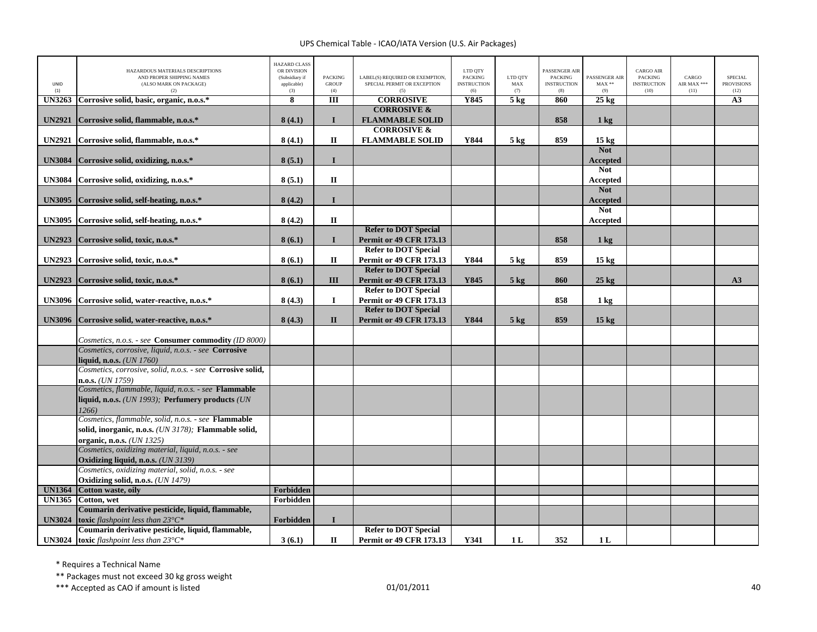|               | HAZARDOUS MATERIALS DESCRIPTIONS<br>AND PROPER SHIPPING NAMES                                                | <b>HAZARD CLASS</b><br>OR DIVISION<br>(Subsidiary if | <b>PACKING</b>      | LABEL(S) REQUIRED OR EXEMPTION, | LTD QTY<br><b>PACKING</b> | LTD QTY         | <b>PASSENGER AIR</b><br><b>PACKING</b> | PASSENGER AIR                 | <b>CARGO AIR</b><br><b>PACKING</b> | CARGO               | <b>SPECIAL</b>            |
|---------------|--------------------------------------------------------------------------------------------------------------|------------------------------------------------------|---------------------|---------------------------------|---------------------------|-----------------|----------------------------------------|-------------------------------|------------------------------------|---------------------|---------------------------|
| UNID<br>(1)   | (ALSO MARK ON PACKAGE)<br>(2)                                                                                | applicable)<br>(3)                                   | <b>GROUP</b><br>(4) | SPECIAL PERMIT OR EXCEPTION     | <b>INSTRUCTION</b><br>(6) | MAX<br>(7)      | <b>INSTRUCTION</b><br>(8)              | $MAX**$<br>(9)                | <b>INSTRUCTION</b><br>(10)         | AIR MAX ***<br>(11) | <b>PROVISIONS</b><br>(12) |
| <b>UN3263</b> | Corrosive solid, basic, organic, n.o.s.*                                                                     | 8                                                    | III                 | <b>CORROSIVE</b>                | Y845                      | 5 <sub>kg</sub> | 860                                    | $25 \text{ kg}$               |                                    |                     | A3                        |
|               |                                                                                                              |                                                      |                     | <b>CORROSIVE &amp;</b>          |                           |                 |                                        |                               |                                    |                     |                           |
| <b>UN2921</b> | Corrosive solid, flammable, n.o.s.*                                                                          | 8(4.1)                                               | $\mathbf{I}$        | <b>FLAMMABLE SOLID</b>          |                           |                 | 858                                    | $1 \text{ kg}$                |                                    |                     |                           |
|               |                                                                                                              |                                                      |                     | <b>CORROSIVE &amp;</b>          |                           |                 |                                        |                               |                                    |                     |                           |
| <b>UN2921</b> | Corrosive solid, flammable, n.o.s.*                                                                          | 8(4.1)                                               | $\mathbf{I}$        | <b>FLAMMABLE SOLID</b>          | Y844                      | $5 \text{ kg}$  | 859                                    | $15 \text{ kg}$               |                                    |                     |                           |
|               |                                                                                                              |                                                      |                     |                                 |                           |                 |                                        | <b>Not</b>                    |                                    |                     |                           |
| <b>UN3084</b> | Corrosive solid, oxidizing, n.o.s.*                                                                          | 8(5.1)                                               | $\mathbf{I}$        |                                 |                           |                 |                                        | <b>Accepted</b>               |                                    |                     |                           |
|               |                                                                                                              |                                                      |                     |                                 |                           |                 |                                        | <b>Not</b>                    |                                    |                     |                           |
| <b>UN3084</b> | Corrosive solid, oxidizing, n.o.s.*                                                                          | 8(5.1)                                               | $\mathbf{I}$        |                                 |                           |                 |                                        | Accepted                      |                                    |                     |                           |
|               |                                                                                                              | 8(4.2)                                               | $\mathbf I$         |                                 |                           |                 |                                        | <b>Not</b>                    |                                    |                     |                           |
| <b>UN3095</b> | Corrosive solid, self-heating, n.o.s.*                                                                       |                                                      |                     |                                 |                           |                 |                                        | <b>Accepted</b><br><b>Not</b> |                                    |                     |                           |
| <b>UN3095</b> | Corrosive solid, self-heating, n.o.s.*                                                                       | 8(4.2)                                               | $\mathbf{I}$        |                                 |                           |                 |                                        | Accepted                      |                                    |                     |                           |
|               |                                                                                                              |                                                      |                     | <b>Refer to DOT Special</b>     |                           |                 |                                        |                               |                                    |                     |                           |
| <b>UN2923</b> | Corrosive solid, toxic, n.o.s.*                                                                              | 8(6.1)                                               | $\mathbf{I}$        | <b>Permit or 49 CFR 173.13</b>  |                           |                 | 858                                    | 1 <sub>kg</sub>               |                                    |                     |                           |
|               |                                                                                                              |                                                      |                     | <b>Refer to DOT Special</b>     |                           |                 |                                        |                               |                                    |                     |                           |
| <b>UN2923</b> | Corrosive solid, toxic, n.o.s.*                                                                              | 8(6.1)                                               | $\mathbf H$         | <b>Permit or 49 CFR 173.13</b>  | Y844                      | $5 \text{ kg}$  | 859                                    | 15 <sub>kg</sub>              |                                    |                     |                           |
|               |                                                                                                              |                                                      |                     | <b>Refer to DOT Special</b>     |                           |                 |                                        |                               |                                    |                     |                           |
| <b>UN2923</b> | Corrosive solid, toxic, n.o.s.*                                                                              | 8(6.1)                                               | Ш                   | <b>Permit or 49 CFR 173.13</b>  | Y845                      | $5$ kg          | 860                                    | $25 \text{ kg}$               |                                    |                     | A3                        |
|               |                                                                                                              |                                                      |                     | <b>Refer to DOT Special</b>     |                           |                 |                                        |                               |                                    |                     |                           |
| <b>UN3096</b> | Corrosive solid, water-reactive, n.o.s.*                                                                     | 8(4.3)                                               | 1                   | <b>Permit or 49 CFR 173.13</b>  |                           |                 | 858                                    | $1 \text{ kg}$                |                                    |                     |                           |
|               |                                                                                                              |                                                      |                     | <b>Refer to DOT Special</b>     |                           |                 |                                        |                               |                                    |                     |                           |
| <b>UN3096</b> | Corrosive solid, water-reactive, n.o.s.*                                                                     | 8(4.3)                                               | $\mathbf{I}$        | <b>Permit or 49 CFR 173.13</b>  | Y844                      | $5 \text{ kg}$  | 859                                    | 15 <sub>kg</sub>              |                                    |                     |                           |
|               |                                                                                                              |                                                      |                     |                                 |                           |                 |                                        |                               |                                    |                     |                           |
|               | Cosmetics, n.o.s. - see Consumer commodity (ID 8000)<br>Cosmetics, corrosive, liquid, n.o.s. - see Corrosive |                                                      |                     |                                 |                           |                 |                                        |                               |                                    |                     |                           |
|               | liquid, n.o.s. (UN 1760)                                                                                     |                                                      |                     |                                 |                           |                 |                                        |                               |                                    |                     |                           |
|               | Cosmetics, corrosive, solid, n.o.s. - see Corrosive solid,                                                   |                                                      |                     |                                 |                           |                 |                                        |                               |                                    |                     |                           |
|               | $n.o.s.$ ( <i>UN 1759</i> )                                                                                  |                                                      |                     |                                 |                           |                 |                                        |                               |                                    |                     |                           |
|               | Cosmetics, flammable, liquid, n.o.s. - see Flammable                                                         |                                                      |                     |                                 |                           |                 |                                        |                               |                                    |                     |                           |
|               | liquid, n.o.s. (UN 1993); Perfumery products (UN                                                             |                                                      |                     |                                 |                           |                 |                                        |                               |                                    |                     |                           |
|               | 1266)                                                                                                        |                                                      |                     |                                 |                           |                 |                                        |                               |                                    |                     |                           |
|               | Cosmetics, flammable, solid, n.o.s. - see Flammable                                                          |                                                      |                     |                                 |                           |                 |                                        |                               |                                    |                     |                           |
|               | solid, inorganic, n.o.s. (UN 3178); Flammable solid,                                                         |                                                      |                     |                                 |                           |                 |                                        |                               |                                    |                     |                           |
|               | organic, n.o.s. (UN 1325)<br>Cosmetics, oxidizing material, liquid, n.o.s. - see                             |                                                      |                     |                                 |                           |                 |                                        |                               |                                    |                     |                           |
|               | Oxidizing liquid, n.o.s. $(UN 3139)$                                                                         |                                                      |                     |                                 |                           |                 |                                        |                               |                                    |                     |                           |
|               | Cosmetics, oxidizing material, solid, n.o.s. - see                                                           |                                                      |                     |                                 |                           |                 |                                        |                               |                                    |                     |                           |
|               | Oxidizing solid, n.o.s. (UN 1479)                                                                            |                                                      |                     |                                 |                           |                 |                                        |                               |                                    |                     |                           |
| <b>UN1364</b> | Cotton waste, oily                                                                                           | Forbidden                                            |                     |                                 |                           |                 |                                        |                               |                                    |                     |                           |
| <b>UN1365</b> | Cotton, wet                                                                                                  | Forbidden                                            |                     |                                 |                           |                 |                                        |                               |                                    |                     |                           |
|               | Coumarin derivative pesticide, liquid, flammable,                                                            |                                                      |                     |                                 |                           |                 |                                        |                               |                                    |                     |                           |
| <b>UN3024</b> | toxic flashpoint less than $23^{\circ}C^*$                                                                   | Forbidden                                            | $\mathbf{I}$        |                                 |                           |                 |                                        |                               |                                    |                     |                           |
|               | Coumarin derivative pesticide, liquid, flammable,                                                            |                                                      |                     | <b>Refer to DOT Special</b>     |                           |                 |                                        |                               |                                    |                     |                           |
|               | <b>UN3024</b> toxic flashpoint less than $23^{\circ}C^*$                                                     | 3(6.1)                                               | $\mathbf{I}$        | <b>Permit or 49 CFR 173.13</b>  | Y341                      | 1 <sub>L</sub>  | 352                                    | 1 <sub>L</sub>                |                                    |                     |                           |

\* Requires <sup>a</sup> Technical Name

\*\* Packages must not exceed 30 kg gross weight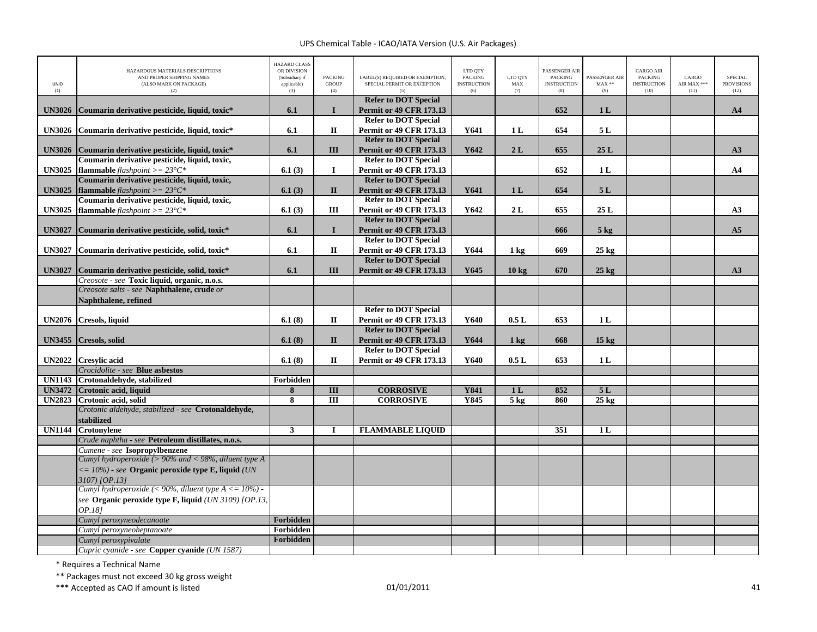| UNID<br>(1)   | HAZARDOUS MATERIALS DESCRIPTIONS<br>AND PROPER SHIPPING NAMES<br>(ALSO MARK ON PACKAGE)<br>(2) | <b>HAZARD CLASS</b><br>OR DIVISION<br>(Subsidiary if<br>applicable)<br>(3) | <b>PACKING</b><br><b>GROUP</b><br>(4) | LABEL(S) REQUIRED OR EXEMPTION,<br>SPECIAL PERMIT OR EXCEPTION<br>(5) | LTD QTY<br><b>PACKING</b><br><b>INSTRUCTION</b><br>(6) | LTD QTY<br>${\rm MAX}$<br>(7) | PASSENGER AIR<br><b>PACKING</b><br><b>INSTRUCTION</b><br>(8) | PASSENGER AIR<br>$MAX**$<br>(9) | <b>CARGO AIR</b><br>PACKING<br><b>INSTRUCTION</b><br>(10) | CARGO<br>AIR MAX ***<br>(11) | <b>SPECIAL</b><br><b>PROVISIONS</b><br>(12) |
|---------------|------------------------------------------------------------------------------------------------|----------------------------------------------------------------------------|---------------------------------------|-----------------------------------------------------------------------|--------------------------------------------------------|-------------------------------|--------------------------------------------------------------|---------------------------------|-----------------------------------------------------------|------------------------------|---------------------------------------------|
| <b>UN3026</b> | Coumarin derivative pesticide, liquid, toxic*                                                  | 6.1                                                                        | $\mathbf{I}$                          | <b>Refer to DOT Special</b><br><b>Permit or 49 CFR 173.13</b>         |                                                        |                               | 652                                                          | 1 <sub>L</sub>                  |                                                           |                              | A <sub>4</sub>                              |
|               |                                                                                                |                                                                            |                                       | <b>Refer to DOT Special</b>                                           |                                                        |                               |                                                              |                                 |                                                           |                              |                                             |
| <b>UN3026</b> | Coumarin derivative pesticide, liquid, toxic*                                                  | 6.1                                                                        | $\mathbf{I}$                          | <b>Permit or 49 CFR 173.13</b>                                        | Y641                                                   | 1 <sub>L</sub>                | 654                                                          | 5 L                             |                                                           |                              |                                             |
|               |                                                                                                |                                                                            |                                       | <b>Refer to DOT Special</b>                                           |                                                        |                               |                                                              |                                 |                                                           |                              |                                             |
| <b>UN3026</b> | Coumarin derivative pesticide, liquid, toxic*                                                  | 6.1                                                                        | III                                   | <b>Permit or 49 CFR 173.13</b>                                        | Y642                                                   | 2L                            | 655                                                          | 25L                             |                                                           |                              | A3                                          |
|               | Coumarin derivative pesticide, liquid, toxic,                                                  |                                                                            | $\bf{I}$                              | <b>Refer to DOT Special</b>                                           |                                                        |                               | 652                                                          | 1 <sub>L</sub>                  |                                                           |                              | AA                                          |
| <b>UN3025</b> | flammable flashpoint >= $23^{\circ}C^*$<br>Coumarin derivative pesticide, liquid, toxic,       | 6.1(3)                                                                     |                                       | <b>Permit or 49 CFR 173.13</b><br><b>Refer to DOT Special</b>         |                                                        |                               |                                                              |                                 |                                                           |                              |                                             |
| <b>UN3025</b> | flammable flashpoint >= $23^{\circ}C^*$                                                        | 6.1(3)                                                                     | $\mathbf{I}$                          | <b>Permit or 49 CFR 173.13</b>                                        | Y641                                                   | 1 <sub>L</sub>                | 654                                                          | 5L                              |                                                           |                              |                                             |
|               | Coumarin derivative pesticide, liquid, toxic,                                                  |                                                                            |                                       | <b>Refer to DOT Special</b>                                           |                                                        |                               |                                                              |                                 |                                                           |                              |                                             |
| <b>UN3025</b> | flammable flashpoint >= $23^{\circ}C^*$                                                        | 6.1(3)                                                                     | $\rm III$                             | Permit or 49 CFR 173.13                                               | Y642                                                   | 2L                            | 655                                                          | 25 L                            |                                                           |                              | A3                                          |
|               |                                                                                                |                                                                            |                                       | <b>Refer to DOT Special</b>                                           |                                                        |                               |                                                              |                                 |                                                           |                              |                                             |
| <b>UN3027</b> | Coumarin derivative pesticide, solid, toxic*                                                   | 6.1                                                                        | $\mathbf{I}$                          | <b>Permit or 49 CFR 173.13</b>                                        |                                                        |                               | 666                                                          | $5$ kg                          |                                                           |                              | A5                                          |
|               |                                                                                                |                                                                            |                                       | <b>Refer to DOT Special</b>                                           |                                                        |                               |                                                              |                                 |                                                           |                              |                                             |
| <b>UN3027</b> | Coumarin derivative pesticide, solid, toxic*                                                   | 6.1                                                                        | $\mathbf I$                           | <b>Permit or 49 CFR 173.13</b><br><b>Refer to DOT Special</b>         | Y644                                                   | $1 \text{ kg}$                | 669                                                          | $25 \text{ kg}$                 |                                                           |                              |                                             |
| <b>UN3027</b> | Coumarin derivative pesticide, solid, toxic*                                                   | 6.1                                                                        | III                                   | <b>Permit or 49 CFR 173.13</b>                                        | Y645                                                   | 10 <sub>kg</sub>              | 670                                                          | $25$ kg                         |                                                           |                              | A3                                          |
|               | Creosote - see Toxic liquid, organic, n.o.s.                                                   |                                                                            |                                       |                                                                       |                                                        |                               |                                                              |                                 |                                                           |                              |                                             |
|               | Creosote salts - see Naphthalene, crude or                                                     |                                                                            |                                       |                                                                       |                                                        |                               |                                                              |                                 |                                                           |                              |                                             |
|               | Naphthalene, refined                                                                           |                                                                            |                                       |                                                                       |                                                        |                               |                                                              |                                 |                                                           |                              |                                             |
|               |                                                                                                |                                                                            |                                       | <b>Refer to DOT Special</b>                                           |                                                        |                               |                                                              |                                 |                                                           |                              |                                             |
| <b>UN2076</b> | Cresols, liquid                                                                                | 6.1(8)                                                                     | $\mathbf{I}$                          | <b>Permit or 49 CFR 173.13</b>                                        | Y640                                                   | 0.5L                          | 653                                                          | 1 <sub>L</sub>                  |                                                           |                              |                                             |
|               | UN3455 Cresols, solid                                                                          | 6.1(8)                                                                     | $\mathbf{I}$                          | <b>Refer to DOT Special</b><br><b>Permit or 49 CFR 173.13</b>         | Y644                                                   |                               | 668                                                          | 15 <sub>kg</sub>                |                                                           |                              |                                             |
|               |                                                                                                |                                                                            |                                       | <b>Refer to DOT Special</b>                                           |                                                        | $1 \text{ kg}$                |                                                              |                                 |                                                           |                              |                                             |
| <b>UN2022</b> | <b>Cresvlic acid</b>                                                                           | 6.1(8)                                                                     | П                                     | <b>Permit or 49 CFR 173.13</b>                                        | Y640                                                   | 0.5L                          | 653                                                          | 1 <sub>L</sub>                  |                                                           |                              |                                             |
|               | Crocidolite - see Blue asbestos                                                                |                                                                            |                                       |                                                                       |                                                        |                               |                                                              |                                 |                                                           |                              |                                             |
| <b>UN1143</b> | Crotonaldehyde, stabilized                                                                     | Forbidden                                                                  |                                       |                                                                       |                                                        |                               |                                                              |                                 |                                                           |                              |                                             |
| <b>UN3472</b> | Crotonic acid, liquid                                                                          | 8                                                                          | $\overline{\mathbf{H}}$               | <b>CORROSIVE</b>                                                      | <b>Y841</b>                                            | 1 <sub>L</sub>                | 852                                                          | 5L                              |                                                           |                              |                                             |
| <b>UN2823</b> | Crotonic acid, solid                                                                           | 8                                                                          | $\overline{III}$                      | <b>CORROSIVE</b>                                                      | Y845                                                   | 5 <sub>kg</sub>               | 860                                                          | $25 \text{ kg}$                 |                                                           |                              |                                             |
|               | Crotonic aldehyde, stabilized - see Crotonaldehyde,                                            |                                                                            |                                       |                                                                       |                                                        |                               |                                                              |                                 |                                                           |                              |                                             |
| <b>UN1144</b> | stabilized<br><b>Crotonvlene</b>                                                               | 3                                                                          |                                       | <b>FLAMMABLE LIQUID</b>                                               |                                                        |                               | 351                                                          | 1 <sub>L</sub>                  |                                                           |                              |                                             |
|               | Crude naphtha - see Petroleum distillates, n.o.s.                                              |                                                                            |                                       |                                                                       |                                                        |                               |                                                              |                                 |                                                           |                              |                                             |
|               | Cumene - see Isopropylbenzene                                                                  |                                                                            |                                       |                                                                       |                                                        |                               |                                                              |                                 |                                                           |                              |                                             |
|               | Cumyl hydroperoxide ( $> 90\%$ and $< 98\%$ , diluent type A                                   |                                                                            |                                       |                                                                       |                                                        |                               |                                                              |                                 |                                                           |                              |                                             |
|               | $\epsilon = 10\%$ ) - see Organic peroxide type E, liquid (UN                                  |                                                                            |                                       |                                                                       |                                                        |                               |                                                              |                                 |                                                           |                              |                                             |
|               | 3107) [OP.13]                                                                                  |                                                                            |                                       |                                                                       |                                                        |                               |                                                              |                                 |                                                           |                              |                                             |
|               | Cumyl hydroperoxide (< 90%, diluent type $A \le 10\%$ ) -                                      |                                                                            |                                       |                                                                       |                                                        |                               |                                                              |                                 |                                                           |                              |                                             |
|               | see Organic peroxide type F, liquid (UN 3109) [OP.13,<br>OP.181                                |                                                                            |                                       |                                                                       |                                                        |                               |                                                              |                                 |                                                           |                              |                                             |
|               | Cumyl peroxyneodecanoate                                                                       | Forbidden                                                                  |                                       |                                                                       |                                                        |                               |                                                              |                                 |                                                           |                              |                                             |
|               | Cumyl peroxyneoheptanoate                                                                      | Forbidden                                                                  |                                       |                                                                       |                                                        |                               |                                                              |                                 |                                                           |                              |                                             |
|               | Cumyl peroxypivalate                                                                           | Forbidden                                                                  |                                       |                                                                       |                                                        |                               |                                                              |                                 |                                                           |                              |                                             |
|               | Cupric cyanide - see Copper cyanide (UN 1587)                                                  |                                                                            |                                       |                                                                       |                                                        |                               |                                                              |                                 |                                                           |                              |                                             |

\* Requires <sup>a</sup> Technical Name

\*\* Packages must not exceed 30 kg gross weight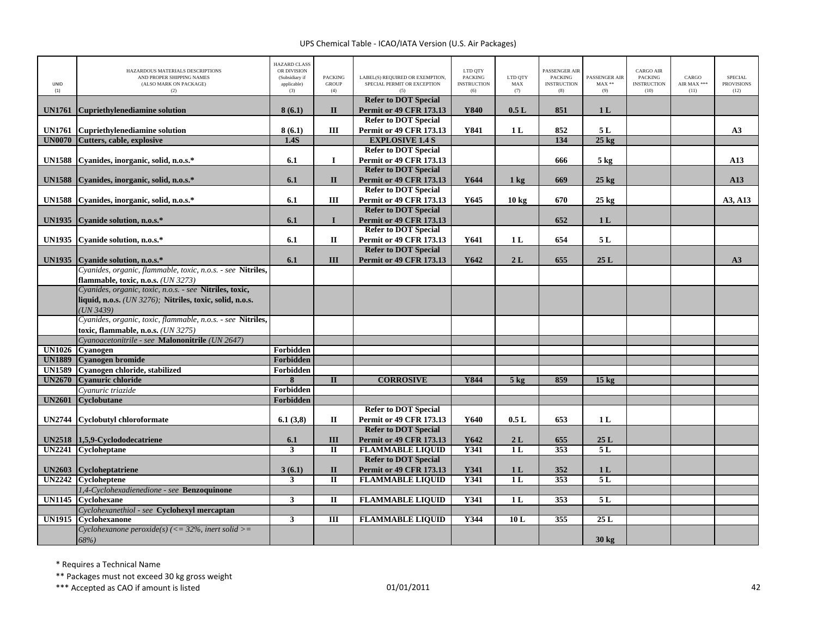| UNID<br>(1)                    | HAZARDOUS MATERIALS DESCRIPTIONS<br>AND PROPER SHIPPING NAMES<br>(ALSO MARK ON PACKAGE)<br>(2) | <b>HAZARD CLASS</b><br>OR DIVISION<br>(Subsidiary if<br>applicable)<br>(3) | <b>PACKING</b><br><b>GROUP</b><br>(4)   | LABEL(S) REQUIRED OR EXEMPTION,<br>SPECIAL PERMIT OR EXCEPTION | LTD QTY<br><b>PACKING</b><br><b>INSTRUCTION</b><br>(6) | LTD QTY<br>MAX<br>(7) | PASSENGER AIR<br><b>PACKING</b><br><b>INSTRUCTION</b><br>(8) | PASSENGER AIR<br>$MAX**$<br>(9) | <b>CARGO AIR</b><br>PACKING<br><b>INSTRUCTION</b><br>(10) | CARGO<br>AIR MAX ***<br>(11) | <b>SPECIAL</b><br><b>PROVISIONS</b><br>(12) |
|--------------------------------|------------------------------------------------------------------------------------------------|----------------------------------------------------------------------------|-----------------------------------------|----------------------------------------------------------------|--------------------------------------------------------|-----------------------|--------------------------------------------------------------|---------------------------------|-----------------------------------------------------------|------------------------------|---------------------------------------------|
| <b>UN1761</b>                  | <b>Cupriethylenediamine solution</b>                                                           | 8(6.1)                                                                     | $\mathbf{I}$                            | <b>Refer to DOT Special</b><br><b>Permit or 49 CFR 173.13</b>  | Y840                                                   | 0.5L                  | 851                                                          | 1 <sub>L</sub>                  |                                                           |                              |                                             |
|                                |                                                                                                |                                                                            |                                         | <b>Refer to DOT Special</b>                                    |                                                        |                       |                                                              |                                 |                                                           |                              |                                             |
| <b>UN1761</b>                  | <b>Cupriethylenediamine solution</b>                                                           | 8(6.1)                                                                     | Ш                                       | <b>Permit or 49 CFR 173.13</b>                                 | Y841                                                   | 1 <sub>L</sub>        | 852                                                          | 5L                              |                                                           |                              | A3                                          |
| <b>UN0070</b>                  | Cutters, cable, explosive                                                                      | 1.4S                                                                       |                                         | <b>EXPLOSIVE 1.4 S</b>                                         |                                                        |                       | 134                                                          | $25$ kg                         |                                                           |                              |                                             |
|                                |                                                                                                |                                                                            |                                         | <b>Refer to DOT Special</b>                                    |                                                        |                       |                                                              |                                 |                                                           |                              |                                             |
| <b>UN1588</b>                  | Cyanides, inorganic, solid, n.o.s.*                                                            | 6.1                                                                        | $\mathbf{I}$                            | <b>Permit or 49 CFR 173.13</b>                                 |                                                        |                       | 666                                                          | $5 \text{ kg}$                  |                                                           |                              | A13                                         |
|                                |                                                                                                |                                                                            |                                         | <b>Refer to DOT Special</b>                                    |                                                        |                       |                                                              |                                 |                                                           |                              |                                             |
| <b>UN1588</b>                  | Cyanides, inorganic, solid, n.o.s.*                                                            | 6.1                                                                        | $\mathbf{I}$                            | <b>Permit or 49 CFR 173.13</b>                                 | Y644                                                   | 1 <sub>kg</sub>       | 669                                                          | $25 \text{ kg}$                 |                                                           |                              | A13                                         |
| <b>UN1588</b>                  | Cyanides, inorganic, solid, n.o.s.*                                                            | 6.1                                                                        | III                                     | <b>Refer to DOT Special</b><br><b>Permit or 49 CFR 173.13</b>  | Y645                                                   | 10 <sub>kg</sub>      | 670                                                          | $25 \text{ kg}$                 |                                                           |                              | A3, A13                                     |
|                                |                                                                                                |                                                                            |                                         | <b>Refer to DOT Special</b>                                    |                                                        |                       |                                                              |                                 |                                                           |                              |                                             |
| <b>UN1935</b>                  | Cyanide solution, n.o.s.*                                                                      | 6.1                                                                        | $\mathbf{I}$                            | <b>Permit or 49 CFR 173.13</b>                                 |                                                        |                       | 652                                                          | 1 <sub>L</sub>                  |                                                           |                              |                                             |
|                                |                                                                                                |                                                                            |                                         | <b>Refer to DOT Special</b>                                    |                                                        |                       |                                                              |                                 |                                                           |                              |                                             |
| <b>UN1935</b>                  | Cyanide solution, n.o.s.*                                                                      | 6.1                                                                        | $\mathbf{I}$                            | <b>Permit or 49 CFR 173.13</b>                                 | Y641                                                   | 1 <sub>L</sub>        | 654                                                          | 5 L                             |                                                           |                              |                                             |
|                                |                                                                                                |                                                                            |                                         | <b>Refer to DOT Special</b>                                    |                                                        |                       |                                                              |                                 |                                                           |                              |                                             |
| UN1935                         | Cyanide solution, n.o.s.*                                                                      | 6.1                                                                        | III                                     | <b>Permit or 49 CFR 173.13</b>                                 | Y642                                                   | 2L                    | 655                                                          | 25L                             |                                                           |                              | A3                                          |
|                                | Cyanides, organic, flammable, toxic, n.o.s. - see Nitriles,                                    |                                                                            |                                         |                                                                |                                                        |                       |                                                              |                                 |                                                           |                              |                                             |
|                                | flammable, toxic, n.o.s. (UN 3273)                                                             |                                                                            |                                         |                                                                |                                                        |                       |                                                              |                                 |                                                           |                              |                                             |
|                                | Cyanides, organic, toxic, n.o.s. - see Nitriles, toxic,                                        |                                                                            |                                         |                                                                |                                                        |                       |                                                              |                                 |                                                           |                              |                                             |
|                                | liquid, n.o.s. ( <i>UN 3276</i> ); Nitriles, toxic, solid, n.o.s.                              |                                                                            |                                         |                                                                |                                                        |                       |                                                              |                                 |                                                           |                              |                                             |
|                                | UN 3439                                                                                        |                                                                            |                                         |                                                                |                                                        |                       |                                                              |                                 |                                                           |                              |                                             |
|                                | Cyanides, organic, toxic, flammable, n.o.s. - see Nitriles,                                    |                                                                            |                                         |                                                                |                                                        |                       |                                                              |                                 |                                                           |                              |                                             |
|                                | toxic, flammable, n.o.s. (UN 3275)                                                             |                                                                            |                                         |                                                                |                                                        |                       |                                                              |                                 |                                                           |                              |                                             |
|                                | Cyanoacetonitrile - see Malononitrile (UN 2647)<br>UN1026 Cyanogen                             | Forbidden                                                                  |                                         |                                                                |                                                        |                       |                                                              |                                 |                                                           |                              |                                             |
| <b>UN1889</b>                  | <b>Cyanogen bromide</b>                                                                        | Forbidden                                                                  |                                         |                                                                |                                                        |                       |                                                              |                                 |                                                           |                              |                                             |
| <b>UN1589</b>                  | Cyanogen chloride, stabilized                                                                  | Forbidden                                                                  |                                         |                                                                |                                                        |                       |                                                              |                                 |                                                           |                              |                                             |
| <b>UN2670</b>                  | <b>Cyanuric chloride</b>                                                                       | 8                                                                          | $\mathbf{I}$                            | <b>CORROSIVE</b>                                               | Y844                                                   | 5 <sub>kg</sub>       | 859                                                          | $15 \text{ kg}$                 |                                                           |                              |                                             |
|                                | Cyanuric triazide                                                                              | Forbidden                                                                  |                                         |                                                                |                                                        |                       |                                                              |                                 |                                                           |                              |                                             |
| <b>UN2601</b>                  | <b>Cyclobutane</b>                                                                             | Forbidden                                                                  |                                         |                                                                |                                                        |                       |                                                              |                                 |                                                           |                              |                                             |
|                                |                                                                                                |                                                                            |                                         | <b>Refer to DOT Special</b>                                    |                                                        |                       |                                                              |                                 |                                                           |                              |                                             |
| UN2744                         | <b>Cyclobutyl chloroformate</b>                                                                | 6.1(3,8)                                                                   | П                                       | <b>Permit or 49 CFR 173.13</b>                                 | Y640                                                   | 0.5L                  | 653                                                          | 1 <sub>L</sub>                  |                                                           |                              |                                             |
|                                |                                                                                                |                                                                            |                                         | <b>Refer to DOT Special</b>                                    |                                                        |                       |                                                              |                                 |                                                           |                              |                                             |
| <b>UN2518</b>                  | 1,5,9-Cyclododecatriene                                                                        | 6.1                                                                        | III                                     | <b>Permit or 49 CFR 173.13</b>                                 | Y642                                                   | 2L                    | 655                                                          | 25L                             |                                                           |                              |                                             |
|                                | UN2241 Cycloheptane                                                                            | 3                                                                          | $\mathbf{I}$                            | <b>FLAMMABLE LIQUID</b>                                        | Y341                                                   | 1L                    | 353                                                          | 5L                              |                                                           |                              |                                             |
|                                |                                                                                                |                                                                            |                                         | <b>Refer to DOT Special</b>                                    |                                                        |                       |                                                              |                                 |                                                           |                              |                                             |
| <b>UN2603</b><br><b>UN2242</b> | Cycloheptatriene<br><b>Cycloheptene</b>                                                        | 3(6.1)<br>3                                                                | $\mathbf{I}$<br>$\overline{\mathbf{u}}$ | <b>Permit or 49 CFR 173.13</b><br><b>FLAMMABLE LIQUID</b>      | Y341<br>Y341                                           | 1 <sub>L</sub><br>1L  | 352<br>353                                                   | 1 <sub>L</sub><br>5L            |                                                           |                              |                                             |
|                                | 1,4-Cyclohexadienedione - see Benzoquinone                                                     |                                                                            |                                         |                                                                |                                                        |                       |                                                              |                                 |                                                           |                              |                                             |
| <b>UN1145</b>                  | Cyclohexane                                                                                    | $\mathbf{3}$                                                               | $\mathbf{I}$                            | <b>FLAMMABLE LIQUID</b>                                        | Y341                                                   | 1 <sub>L</sub>        | 353                                                          | 5L                              |                                                           |                              |                                             |
|                                | Cyclohexanethiol - see Cyclohexyl mercaptan                                                    |                                                                            |                                         |                                                                |                                                        |                       |                                                              |                                 |                                                           |                              |                                             |
| UN1915                         | Cvclohexanone                                                                                  | $\mathbf{3}$                                                               | III                                     | <b>FLAMMABLE LIQUID</b>                                        | Y344                                                   | 10L                   | 355                                                          | 25L                             |                                                           |                              |                                             |
|                                | Cyclohexanone peroxide(s) ( $\leq$ = 32%, inert solid $\geq$ =                                 |                                                                            |                                         |                                                                |                                                        |                       |                                                              |                                 |                                                           |                              |                                             |
|                                | 68%)                                                                                           |                                                                            |                                         |                                                                |                                                        |                       |                                                              | 30 kg                           |                                                           |                              |                                             |

\* Requires <sup>a</sup> Technical Name

\*\* Packages must not exceed 30 kg gross weight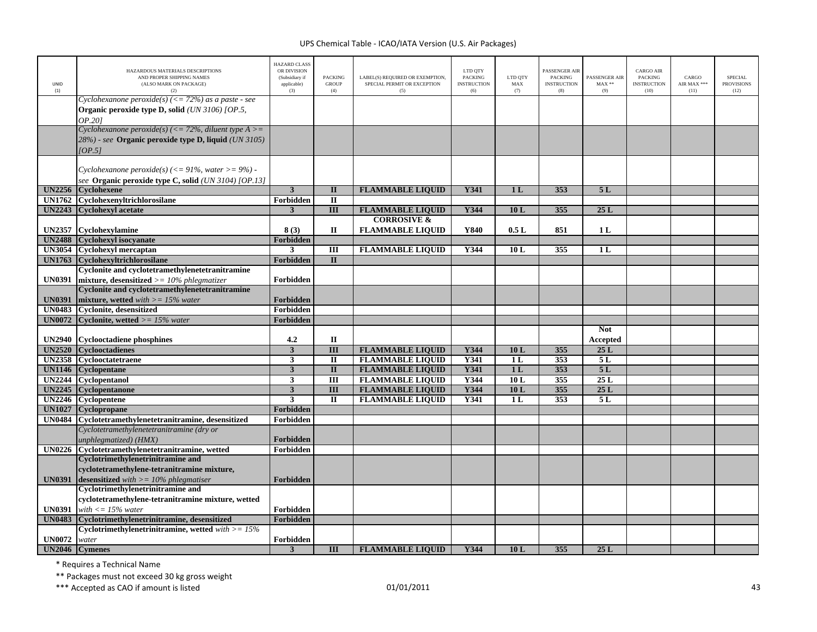| UNID<br>(1)   | HAZARDOUS MATERIALS DESCRIPTIONS<br>AND PROPER SHIPPING NAMES<br>(ALSO MARK ON PACKAGE)<br>(2)                            | <b>HAZARD CLASS</b><br>OR DIVISION<br>(Subsidiary if<br>applicable)<br>(3) | <b>PACKING</b><br><b>GROUP</b><br>(4) | LABEL(S) REQUIRED OR EXEMPTION,<br>SPECIAL PERMIT OR EXCEPTION<br>(5) | LTD QTY<br><b>PACKING</b><br><b>INSTRUCTION</b><br>(6) | LTD OTY<br>MAX<br>(7) | PASSENGER AIR<br><b>PACKING</b><br><b>INSTRUCTION</b><br>(8) | PASSENGER AIR<br>$MAX**$<br>(9) | <b>CARGO AIR</b><br><b>PACKING</b><br><b>INSTRUCTION</b><br>(10) | CARGO<br>AIR MAX ***<br>(11) | <b>SPECIAL</b><br><b>PROVISIONS</b><br>(12) |
|---------------|---------------------------------------------------------------------------------------------------------------------------|----------------------------------------------------------------------------|---------------------------------------|-----------------------------------------------------------------------|--------------------------------------------------------|-----------------------|--------------------------------------------------------------|---------------------------------|------------------------------------------------------------------|------------------------------|---------------------------------------------|
|               | Cyclohexanone peroxide(s) (<= 72%) as a paste - see<br>Organic peroxide type D, solid (UN 3106) [OP.5,<br>OP.201          |                                                                            |                                       |                                                                       |                                                        |                       |                                                              |                                 |                                                                  |                              |                                             |
|               | Cyclohexanone peroxide(s) (<= 72%, diluent type $A \geq$<br>28%) - see Organic peroxide type D, liquid (UN 3105)<br>OP.51 |                                                                            |                                       |                                                                       |                                                        |                       |                                                              |                                 |                                                                  |                              |                                             |
| <b>UN2256</b> | Cyclohexanone peroxide(s) (<= 91%, water >= 9%) -<br>see Organic peroxide type C, solid (UN 3104) [OP.13]<br>Cyclohexene  | $\overline{\mathbf{3}}$                                                    | $\mathbf{I}$                          | <b>FLAMMABLE LIQUID</b>                                               | Y341                                                   | 1 <sub>L</sub>        | 353                                                          | 5L                              |                                                                  |                              |                                             |
| <b>UN1762</b> | Cyclohexenyltrichlorosilane                                                                                               | Forbidden                                                                  | $\mathbf{I}$                          |                                                                       |                                                        |                       |                                                              |                                 |                                                                  |                              |                                             |
| <b>UN2243</b> | <b>Cyclohexyl acetate</b>                                                                                                 | $\mathbf{3}$                                                               | III                                   | <b>FLAMMABLE LIQUID</b>                                               | Y344                                                   | 10L                   | 355                                                          | 25L                             |                                                                  |                              |                                             |
|               |                                                                                                                           |                                                                            |                                       | <b>CORROSIVE &amp;</b>                                                |                                                        |                       |                                                              |                                 |                                                                  |                              |                                             |
|               | UN2357 Cyclohexylamine                                                                                                    | 8(3)                                                                       | $\mathbf{I}$                          | <b>FLAMMABLE LIQUID</b>                                               | Y840                                                   | 0.5L                  | 851                                                          | 1 <sub>L</sub>                  |                                                                  |                              |                                             |
| <b>UN2488</b> | <b>Cyclohexyl isocyanate</b>                                                                                              | Forbidden                                                                  |                                       |                                                                       |                                                        |                       |                                                              |                                 |                                                                  |                              |                                             |
|               | UN3054 Cyclohexyl mercaptan                                                                                               | 3                                                                          | Ш                                     | <b>FLAMMABLE LIQUID</b>                                               | Y344                                                   | 10L                   | 355                                                          | 1 <sub>L</sub>                  |                                                                  |                              |                                             |
| <b>UN1763</b> | Cyclohexyltrichlorosilane                                                                                                 | Forbidden                                                                  | $\mathbf{I}$                          |                                                                       |                                                        |                       |                                                              |                                 |                                                                  |                              |                                             |
|               | Cyclonite and cyclotetramethylenetetranitramine                                                                           |                                                                            |                                       |                                                                       |                                                        |                       |                                                              |                                 |                                                                  |                              |                                             |
| <b>UN0391</b> | mixture, desensitized $\geq$ = 10% phlegmatizer                                                                           | Forbidden                                                                  |                                       |                                                                       |                                                        |                       |                                                              |                                 |                                                                  |                              |                                             |
|               | <b>Cyclonite and cyclotetramethylenetetranitramine</b>                                                                    |                                                                            |                                       |                                                                       |                                                        |                       |                                                              |                                 |                                                                  |                              |                                             |
| <b>UN0391</b> | mixture, wetted with $\geq$ = 15% water                                                                                   | Forbidden                                                                  |                                       |                                                                       |                                                        |                       |                                                              |                                 |                                                                  |                              |                                             |
| <b>UN0483</b> | <b>Cyclonite, desensitized</b>                                                                                            | Forbidden                                                                  |                                       |                                                                       |                                                        |                       |                                                              |                                 |                                                                  |                              |                                             |
| <b>UN0072</b> | <b>Cyclonite, wetted</b> $>= 15\%$ water                                                                                  | Forbidden                                                                  |                                       |                                                                       |                                                        |                       |                                                              |                                 |                                                                  |                              |                                             |
| <b>UN2940</b> | Cyclooctadiene phosphines                                                                                                 | 4.2                                                                        | $\mathbf{I}$                          |                                                                       |                                                        |                       |                                                              | <b>Not</b><br>Accepted          |                                                                  |                              |                                             |
| <b>UN2520</b> | <b>Cyclooctadienes</b>                                                                                                    | $\overline{\mathbf{3}}$                                                    | $\overline{III}$                      | <b>FLAMMABLE LIQUID</b>                                               | Y344                                                   | 10L                   | 355                                                          | 25L                             |                                                                  |                              |                                             |
| <b>UN2358</b> | Cyclooctatetraene                                                                                                         | $\overline{\mathbf{3}}$                                                    | $\mathbf{I}$                          | <b>FLAMMABLE LIQUID</b>                                               | Y341                                                   | 1 <sub>L</sub>        | 353                                                          | 5L                              |                                                                  |                              |                                             |
| <b>UN1146</b> | Cyclopentane                                                                                                              | $\mathbf{3}$                                                               | $\mathbf{I}$                          | <b>FLAMMABLE LIQUID</b>                                               | Y341                                                   | 1 <sub>L</sub>        | 353                                                          | 5L                              |                                                                  |                              |                                             |
| <b>UN2244</b> | Cyclopentanol                                                                                                             | 3                                                                          | $\overline{m}$                        | <b>FLAMMABLE LIQUID</b>                                               | Y344                                                   | 10L                   | 355                                                          | 25L                             |                                                                  |                              |                                             |
|               | UN2245 Cyclopentanone                                                                                                     | $\overline{\mathbf{3}}$                                                    | $\overline{III}$                      | <b>FLAMMABLE LIQUID</b>                                               | Y344                                                   | 10L                   | 355                                                          | 25L                             |                                                                  |                              |                                             |
| <b>UN2246</b> | Cyclopentene                                                                                                              | $\overline{\mathbf{3}}$                                                    | $\Pi$                                 | <b>FLAMMABLE LIQUID</b>                                               | Y341                                                   | 1 <sub>L</sub>        | 353                                                          | 5L                              |                                                                  |                              |                                             |
| <b>UN1027</b> | Cyclopropane                                                                                                              | Forbidden                                                                  |                                       |                                                                       |                                                        |                       |                                                              |                                 |                                                                  |                              |                                             |
| <b>UN0484</b> | Cyclotetramethylenetetranitramine, desensitized                                                                           | Forbidden                                                                  |                                       |                                                                       |                                                        |                       |                                                              |                                 |                                                                  |                              |                                             |
|               | Cyclotetramethylenetetranitramine (dry or                                                                                 |                                                                            |                                       |                                                                       |                                                        |                       |                                                              |                                 |                                                                  |                              |                                             |
|               | unphlegmatized) (HMX)                                                                                                     | Forbidden                                                                  |                                       |                                                                       |                                                        |                       |                                                              |                                 |                                                                  |                              |                                             |
|               | UN0226 Cyclotetramethylenetetranitramine, wetted                                                                          | Forbidden                                                                  |                                       |                                                                       |                                                        |                       |                                                              |                                 |                                                                  |                              |                                             |
|               | <b>Cyclotrimethylenetrinitramine and</b>                                                                                  |                                                                            |                                       |                                                                       |                                                        |                       |                                                              |                                 |                                                                  |                              |                                             |
|               | cyclotetramethylene-tetranitramine mixture,                                                                               |                                                                            |                                       |                                                                       |                                                        |                       |                                                              |                                 |                                                                  |                              |                                             |
| <b>UN0391</b> | <b>desensitized</b> with $\geq$ = 10% phlegmatiser                                                                        | Forbidden                                                                  |                                       |                                                                       |                                                        |                       |                                                              |                                 |                                                                  |                              |                                             |
|               | Cyclotrimethylenetrinitramine and                                                                                         |                                                                            |                                       |                                                                       |                                                        |                       |                                                              |                                 |                                                                  |                              |                                             |
|               | cyclotetramethylene-tetranitramine mixture, wetted                                                                        |                                                                            |                                       |                                                                       |                                                        |                       |                                                              |                                 |                                                                  |                              |                                             |
| <b>UN0391</b> | with $\langle 15\%$ water                                                                                                 | Forbidden                                                                  |                                       |                                                                       |                                                        |                       |                                                              |                                 |                                                                  |                              |                                             |
| <b>UN0483</b> | Cyclotrimethylenetrinitramine, desensitized                                                                               | Forbidden                                                                  |                                       |                                                                       |                                                        |                       |                                                              |                                 |                                                                  |                              |                                             |
| <b>UN0072</b> | Cyclotrimethylenetrinitramine, wetted $with >= 15\%$                                                                      | Forbidden                                                                  |                                       |                                                                       |                                                        |                       |                                                              |                                 |                                                                  |                              |                                             |
|               | water<br>UN2046 Cymenes                                                                                                   | 3                                                                          | Ш                                     | <b>FLAMMABLE LIOUID</b>                                               | Y344                                                   | 10L                   | 355                                                          | 25L                             |                                                                  |                              |                                             |
|               |                                                                                                                           |                                                                            |                                       |                                                                       |                                                        |                       |                                                              |                                 |                                                                  |                              |                                             |

\* Requires <sup>a</sup> Technical Name

\*\* Packages must not exceed 30 kg gross weight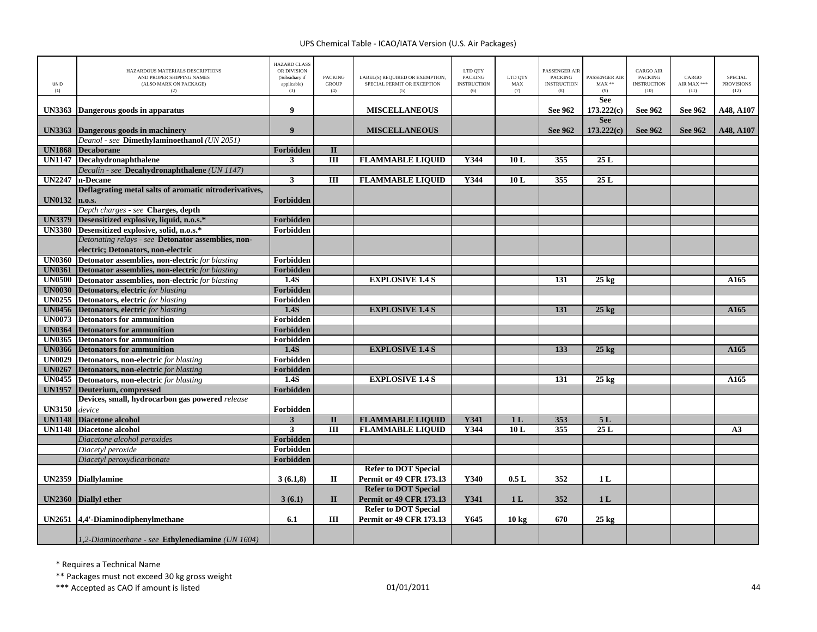| UNID<br>(1)   | HAZARDOUS MATERIALS DESCRIPTIONS<br>AND PROPER SHIPPING NAMES<br>(ALSO MARK ON PACKAGE)<br>(2) | <b>HAZARD CLASS</b><br>OR DIVISION<br>(Subsidiary if<br>applicable)<br>(3) | <b>PACKING</b><br><b>GROUP</b><br>(4) | LABEL(S) REQUIRED OR EXEMPTION.<br>SPECIAL PERMIT OR EXCEPTION<br>(5) | LTD QTY<br><b>PACKING</b><br><b>INSTRUCTION</b><br>(6) | LTD OTY<br>MAX<br>(7) | PASSENGER AIR<br><b>PACKING</b><br><b>INSTRUCTION</b><br>(8) | PASSENGER AIR<br>$MAX**$<br>(9) | <b>CARGO AIR</b><br>PACKING<br><b>INSTRUCTION</b><br>(10) | CARGO<br>AIR MAX ***<br>(11) | SPECIAL<br><b>PROVISIONS</b><br>(12) |
|---------------|------------------------------------------------------------------------------------------------|----------------------------------------------------------------------------|---------------------------------------|-----------------------------------------------------------------------|--------------------------------------------------------|-----------------------|--------------------------------------------------------------|---------------------------------|-----------------------------------------------------------|------------------------------|--------------------------------------|
| <b>UN3363</b> | Dangerous goods in apparatus                                                                   | 9                                                                          |                                       | <b>MISCELLANEOUS</b>                                                  |                                                        |                       | See 962                                                      | <b>See</b><br>173.222(c)        | See 962                                                   | See 962                      | A48, A107                            |
|               |                                                                                                |                                                                            |                                       |                                                                       |                                                        |                       |                                                              | <b>See</b>                      |                                                           |                              |                                      |
| <b>UN3363</b> | Dangerous goods in machinery                                                                   | $\boldsymbol{9}$                                                           |                                       | <b>MISCELLANEOUS</b>                                                  |                                                        |                       | <b>See 962</b>                                               | 173.222(c)                      | <b>See 962</b>                                            | See 962                      | A48, A107                            |
|               | Deanol - see Dimethylaminoethanol (UN 2051)                                                    |                                                                            |                                       |                                                                       |                                                        |                       |                                                              |                                 |                                                           |                              |                                      |
| <b>UN1868</b> | <b>Decaborane</b>                                                                              | Forbidden                                                                  | $\mathbf{I}$                          |                                                                       |                                                        |                       |                                                              |                                 |                                                           |                              |                                      |
| <b>UN1147</b> | Decahydronaphthalene                                                                           | 3                                                                          | $\overline{III}$                      | <b>FLAMMABLE LIQUID</b>                                               | Y344                                                   | 10 L                  | 355                                                          | 25L                             |                                                           |                              |                                      |
|               | Decalin - see Decahydronaphthalene (UN 1147)                                                   |                                                                            |                                       |                                                                       |                                                        |                       |                                                              |                                 |                                                           |                              |                                      |
| <b>UN2247</b> | n-Decane                                                                                       | 3                                                                          | $\overline{III}$                      | <b>FLAMMABLE LIQUID</b>                                               | Y344                                                   | 10L                   | 355                                                          | 25L                             |                                                           |                              |                                      |
|               | Deflagrating metal salts of aromatic nitroderivatives,                                         |                                                                            |                                       |                                                                       |                                                        |                       |                                                              |                                 |                                                           |                              |                                      |
| <b>UN0132</b> | n.o.s.                                                                                         | <b>Forbidden</b>                                                           |                                       |                                                                       |                                                        |                       |                                                              |                                 |                                                           |                              |                                      |
|               | Depth charges - see Charges, depth                                                             |                                                                            |                                       |                                                                       |                                                        |                       |                                                              |                                 |                                                           |                              |                                      |
| <b>UN3379</b> | Desensitized explosive, liquid, n.o.s.*                                                        | Forbidden                                                                  |                                       |                                                                       |                                                        |                       |                                                              |                                 |                                                           |                              |                                      |
| <b>UN3380</b> | Desensitized explosive, solid, n.o.s.*                                                         | Forbidden                                                                  |                                       |                                                                       |                                                        |                       |                                                              |                                 |                                                           |                              |                                      |
|               | Detonating relays - see Detonator assemblies, non-                                             |                                                                            |                                       |                                                                       |                                                        |                       |                                                              |                                 |                                                           |                              |                                      |
|               | electric; Detonators, non-electric                                                             |                                                                            |                                       |                                                                       |                                                        |                       |                                                              |                                 |                                                           |                              |                                      |
| <b>UN0360</b> | Detonator assemblies, non-electric for blasting                                                | Forbidden                                                                  |                                       |                                                                       |                                                        |                       |                                                              |                                 |                                                           |                              |                                      |
| <b>UN0361</b> | Detonator assemblies, non-electric for blasting                                                | Forbidden                                                                  |                                       |                                                                       |                                                        |                       |                                                              |                                 |                                                           |                              |                                      |
| <b>UN0500</b> | <b>Detonator assemblies, non-electric</b> for blasting                                         | 1.4S                                                                       |                                       | <b>EXPLOSIVE 1.4 S</b>                                                |                                                        |                       | 131                                                          | $25$ kg                         |                                                           |                              | A165                                 |
| <b>UN0030</b> | <b>Detonators, electric</b> for blasting                                                       | Forbidden                                                                  |                                       |                                                                       |                                                        |                       |                                                              |                                 |                                                           |                              |                                      |
|               | <b>UN0255</b> Detonators, electric for blasting                                                | Forbidden                                                                  |                                       |                                                                       |                                                        |                       |                                                              |                                 |                                                           |                              |                                      |
| <b>UN0456</b> | <b>Detonators, electric</b> for blasting                                                       | 1.4S                                                                       |                                       | <b>EXPLOSIVE 1.4 S</b>                                                |                                                        |                       | 131                                                          | $25 \text{ kg}$                 |                                                           |                              | A165                                 |
| <b>UN0073</b> | <b>Detonators for ammunition</b>                                                               | Forbidden                                                                  |                                       |                                                                       |                                                        |                       |                                                              |                                 |                                                           |                              |                                      |
| <b>UN0364</b> | <b>Detonators for ammunition</b>                                                               | <b>Forbidden</b>                                                           |                                       |                                                                       |                                                        |                       |                                                              |                                 |                                                           |                              |                                      |
| <b>UN0365</b> | <b>Detonators for ammunition</b>                                                               | Forbidden                                                                  |                                       |                                                                       |                                                        |                       |                                                              |                                 |                                                           |                              |                                      |
|               | <b>UN0366</b> Detonators for ammunition                                                        | 1.4S                                                                       |                                       | <b>EXPLOSIVE 1.4 S</b>                                                |                                                        |                       | 133                                                          | $25 \text{ kg}$                 |                                                           |                              | A165                                 |
| <b>UN0029</b> | <b>Detonators, non-electric</b> for blasting                                                   | Forbidden                                                                  |                                       |                                                                       |                                                        |                       |                                                              |                                 |                                                           |                              |                                      |
| <b>UN0267</b> | Detonators, non-electric for blasting                                                          | Forbidden                                                                  |                                       |                                                                       |                                                        |                       |                                                              |                                 |                                                           |                              |                                      |
| <b>UN0455</b> | <b>Detonators, non-electric</b> for blasting                                                   | 1.4S                                                                       |                                       | <b>EXPLOSIVE 1.4 S</b>                                                |                                                        |                       | 131                                                          | $25 \text{ kg}$                 |                                                           |                              | A165                                 |
| <b>UN1957</b> | Deuterium, compressed                                                                          | <b>Forbidden</b>                                                           |                                       |                                                                       |                                                        |                       |                                                              |                                 |                                                           |                              |                                      |
|               | Devices, small, hydrocarbon gas powered release                                                |                                                                            |                                       |                                                                       |                                                        |                       |                                                              |                                 |                                                           |                              |                                      |
| <b>UN3150</b> | device                                                                                         | Forbidden                                                                  |                                       |                                                                       |                                                        |                       |                                                              |                                 |                                                           |                              |                                      |
| <b>UN1148</b> | <b>Diacetone alcohol</b>                                                                       | $\mathbf{3}$                                                               | $\overline{\mathbf{H}}$               | <b>FLAMMABLE LIQUID</b>                                               | <b>Y341</b>                                            | 1 <sub>L</sub>        | 353                                                          | 5L                              |                                                           |                              |                                      |
| <b>UN1148</b> | <b>Diacetone alcohol</b>                                                                       | $\mathbf{3}$                                                               | $\overline{III}$                      | <b>FLAMMABLE LIQUID</b>                                               | Y344                                                   | 10L                   | 355                                                          | 25L                             |                                                           |                              | A3                                   |
|               | Diacetone alcohol peroxides                                                                    | <b>Forbidden</b>                                                           |                                       |                                                                       |                                                        |                       |                                                              |                                 |                                                           |                              |                                      |
|               | Diacetyl peroxide                                                                              | Forbidden                                                                  |                                       |                                                                       |                                                        |                       |                                                              |                                 |                                                           |                              |                                      |
|               | Diacetyl peroxydicarbonate                                                                     | Forbidden                                                                  |                                       |                                                                       |                                                        |                       |                                                              |                                 |                                                           |                              |                                      |
|               |                                                                                                |                                                                            |                                       | <b>Refer to DOT Special</b>                                           |                                                        |                       |                                                              |                                 |                                                           |                              |                                      |
| <b>UN2359</b> | <b>Diallylamine</b>                                                                            | 3(6.1,8)                                                                   | П                                     | <b>Permit or 49 CFR 173.13</b>                                        | Y340                                                   | 0.5L                  | 352                                                          | 1 <sub>L</sub>                  |                                                           |                              |                                      |
|               |                                                                                                |                                                                            |                                       | <b>Refer to DOT Special</b>                                           |                                                        |                       |                                                              |                                 |                                                           |                              |                                      |
|               | UN2360 Diallyl ether                                                                           | 3(6.1)                                                                     | $\mathbf{I}$                          | Permit or 49 CFR 173.13                                               | Y341                                                   | 1 <sub>L</sub>        | 352                                                          | 1 <sub>L</sub>                  |                                                           |                              |                                      |
|               |                                                                                                |                                                                            |                                       | <b>Refer to DOT Special</b>                                           |                                                        |                       |                                                              |                                 |                                                           |                              |                                      |
|               | UN2651 4,4'-Diaminodiphenylmethane                                                             | 6.1                                                                        | III                                   | <b>Permit or 49 CFR 173.13</b>                                        | Y645                                                   | $10 \text{ kg}$       | 670                                                          | $25 \text{ kg}$                 |                                                           |                              |                                      |
|               |                                                                                                |                                                                            |                                       |                                                                       |                                                        |                       |                                                              |                                 |                                                           |                              |                                      |
|               | 1,2-Diaminoethane - see Ethylenediamine (UN 1604)                                              |                                                                            |                                       |                                                                       |                                                        |                       |                                                              |                                 |                                                           |                              |                                      |

\* Requires <sup>a</sup> Technical Name

\*\* Packages must not exceed 30 kg gross weight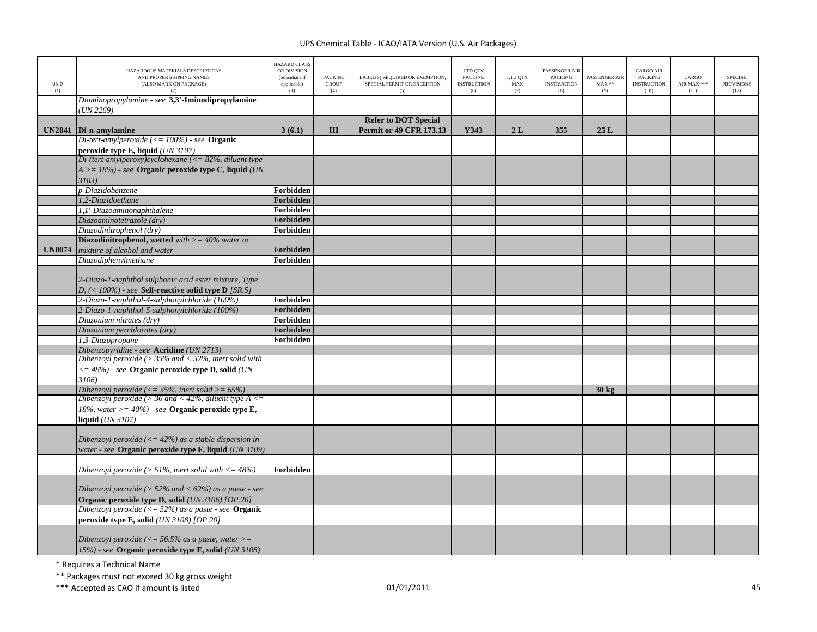| <b>UNID</b>   | HAZARDOUS MATERIALS DESCRIPTIONS<br>AND PROPER SHIPPING NAMES<br>(ALSO MARK ON PACKAGE) | HAZARD CLASS<br>OR DIVISION<br>(Subsidiary if<br>applicable) | <b>PACKING</b><br><b>GROUP</b> | LABEL(S) REQUIRED OR EXEMPTION,<br>SPECIAL PERMIT OR EXCEPTION | LTD QTY<br>PACKING<br><b>INSTRUCTION</b> | LTD QTY<br>MAX | PASSENGER AIR<br><b>PACKING</b><br><b>INSTRUCTION</b> | PASSENGER AIR<br>$MAX**$ | <b>CARGO AIR</b><br>PACKING<br><b>INSTRUCTION</b> | CARGO<br>AIR MAX *** | <b>SPECIAL</b><br><b>PROVISIONS</b> |
|---------------|-----------------------------------------------------------------------------------------|--------------------------------------------------------------|--------------------------------|----------------------------------------------------------------|------------------------------------------|----------------|-------------------------------------------------------|--------------------------|---------------------------------------------------|----------------------|-------------------------------------|
| (1)           | (2)                                                                                     | (3)                                                          | (4)                            | (5)                                                            | (6)                                      | (7)            | (8)                                                   | (9)                      | (10)                                              | (11)                 | (12)                                |
|               | Diaminopropylamine - see 3,3'-Iminodipropylamine                                        |                                                              |                                |                                                                |                                          |                |                                                       |                          |                                                   |                      |                                     |
|               | UN 2269                                                                                 |                                                              |                                |                                                                |                                          |                |                                                       |                          |                                                   |                      |                                     |
|               |                                                                                         |                                                              |                                | <b>Refer to DOT Special</b>                                    |                                          |                |                                                       |                          |                                                   |                      |                                     |
| <b>UN2841</b> | Di-n-amylamine                                                                          | 3(6.1)                                                       | Ш                              | <b>Permit or 49 CFR 173.13</b>                                 | Y343                                     | 2L             | 355                                                   | 25L                      |                                                   |                      |                                     |
|               | Di-tert-amylperoxide (<= 100%) - see Organic                                            |                                                              |                                |                                                                |                                          |                |                                                       |                          |                                                   |                      |                                     |
|               | peroxide type E, liquid (UN 3107)                                                       |                                                              |                                |                                                                |                                          |                |                                                       |                          |                                                   |                      |                                     |
|               | Di-(tert-amylperoxy)cyclohexane ( $\leq$ 82%, diluent type                              |                                                              |                                |                                                                |                                          |                |                                                       |                          |                                                   |                      |                                     |
|               | $A \geq -18\%$ ) - see Organic peroxide type C, liquid (UN                              |                                                              |                                |                                                                |                                          |                |                                                       |                          |                                                   |                      |                                     |
|               | 3103)                                                                                   |                                                              |                                |                                                                |                                          |                |                                                       |                          |                                                   |                      |                                     |
|               | p-Diazidobenzene                                                                        | Forbidden                                                    |                                |                                                                |                                          |                |                                                       |                          |                                                   |                      |                                     |
|               | 1,2-Diazidoethane                                                                       | Forbidden                                                    |                                |                                                                |                                          |                |                                                       |                          |                                                   |                      |                                     |
|               | 1.1'-Diazoaminonaphthalene                                                              | Forbidden                                                    |                                |                                                                |                                          |                |                                                       |                          |                                                   |                      |                                     |
|               | Diazoaminotetrazole (dry)                                                               | Forbidden                                                    |                                |                                                                |                                          |                |                                                       |                          |                                                   |                      |                                     |
|               | Diazodinitrophenol (dry)                                                                | Forbidden                                                    |                                |                                                                |                                          |                |                                                       |                          |                                                   |                      |                                     |
|               | <b>Diazodinitrophenol, wetted</b> with $>=$ 40% water or                                |                                                              |                                |                                                                |                                          |                |                                                       |                          |                                                   |                      |                                     |
| <b>UN0074</b> | mixture of alcohol and water                                                            | Forbidden                                                    |                                |                                                                |                                          |                |                                                       |                          |                                                   |                      |                                     |
|               | Diazodiphenylmethane                                                                    | Forbidden                                                    |                                |                                                                |                                          |                |                                                       |                          |                                                   |                      |                                     |
|               |                                                                                         |                                                              |                                |                                                                |                                          |                |                                                       |                          |                                                   |                      |                                     |
|               | 2-Diazo-1-naphthol sulphonic acid ester mixture, Type                                   |                                                              |                                |                                                                |                                          |                |                                                       |                          |                                                   |                      |                                     |
|               | D, $(<$ 100%) - see Self-reactive solid type D [SR.5]                                   |                                                              |                                |                                                                |                                          |                |                                                       |                          |                                                   |                      |                                     |
|               | 2-Diazo-1-naphthol-4-sulphonylchloride (100%)                                           | Forbidden                                                    |                                |                                                                |                                          |                |                                                       |                          |                                                   |                      |                                     |
|               | 2-Diazo-1-naphthol-5-sulphonylchloride (100%)                                           | Forbidden                                                    |                                |                                                                |                                          |                |                                                       |                          |                                                   |                      |                                     |
|               | Diazonium nitrates (drv)                                                                | Forbidden                                                    |                                |                                                                |                                          |                |                                                       |                          |                                                   |                      |                                     |
|               | Diazonium perchlorates (dry)                                                            | Forbidden                                                    |                                |                                                                |                                          |                |                                                       |                          |                                                   |                      |                                     |
|               | 1,3-Diazopropane                                                                        | Forbidden                                                    |                                |                                                                |                                          |                |                                                       |                          |                                                   |                      |                                     |
|               | Dibenzopyridine - see Acridine (UN 2713)                                                |                                                              |                                |                                                                |                                          |                |                                                       |                          |                                                   |                      |                                     |
|               | Dibenzoyl peroxide ( $> 35\%$ and $< 52\%$ , inert solid with                           |                                                              |                                |                                                                |                                          |                |                                                       |                          |                                                   |                      |                                     |
|               | $\epsilon = 48\%)$ - see Organic peroxide type D, solid (UN                             |                                                              |                                |                                                                |                                          |                |                                                       |                          |                                                   |                      |                                     |
|               | 3106)                                                                                   |                                                              |                                |                                                                |                                          |                |                                                       |                          |                                                   |                      |                                     |
|               | Dibenzoyl peroxide (<= $35\%$ , inert solid >= $65\%$ )                                 |                                                              |                                |                                                                |                                          |                |                                                       | $30 \text{ kg}$          |                                                   |                      |                                     |
|               | Dibenzoyl peroxide (> 36 and < 42%, diluent type $A \leq$                               |                                                              |                                |                                                                |                                          |                |                                                       |                          |                                                   |                      |                                     |
|               | 18%, water $>= 40\%$ ) - see <b>Organic peroxide type E</b> ,                           |                                                              |                                |                                                                |                                          |                |                                                       |                          |                                                   |                      |                                     |
|               | liquid (UN 3107)                                                                        |                                                              |                                |                                                                |                                          |                |                                                       |                          |                                                   |                      |                                     |
|               |                                                                                         |                                                              |                                |                                                                |                                          |                |                                                       |                          |                                                   |                      |                                     |
|               | Dibenzoyl peroxide ( $\leq$ 42%) as a stable dispersion in                              |                                                              |                                |                                                                |                                          |                |                                                       |                          |                                                   |                      |                                     |
|               | water - see <b>Organic peroxide type F, liquid</b> (UN 3109)                            |                                                              |                                |                                                                |                                          |                |                                                       |                          |                                                   |                      |                                     |
|               |                                                                                         |                                                              |                                |                                                                |                                          |                |                                                       |                          |                                                   |                      |                                     |
|               | Dibenzoyl peroxide ( $> 51\%$ , inert solid with $\lt$ = 48%)                           | Forbidden                                                    |                                |                                                                |                                          |                |                                                       |                          |                                                   |                      |                                     |
|               |                                                                                         |                                                              |                                |                                                                |                                          |                |                                                       |                          |                                                   |                      |                                     |
|               | Dibenzoyl peroxide ( $> 52\%$ and $< 62\%$ ) as a paste - see                           |                                                              |                                |                                                                |                                          |                |                                                       |                          |                                                   |                      |                                     |
|               | Organic peroxide type D, solid (UN 3106) [OP.20]                                        |                                                              |                                |                                                                |                                          |                |                                                       |                          |                                                   |                      |                                     |
|               | Dibenzoyl peroxide $\left(\langle = 52\% \right)$ as a paste - see <b>Organic</b>       |                                                              |                                |                                                                |                                          |                |                                                       |                          |                                                   |                      |                                     |
|               | peroxide type E, solid $(UN 3108)$ [OP.20]                                              |                                                              |                                |                                                                |                                          |                |                                                       |                          |                                                   |                      |                                     |
|               |                                                                                         |                                                              |                                |                                                                |                                          |                |                                                       |                          |                                                   |                      |                                     |
|               | Dibenzoyl peroxide ( $\leq$ 56.5% as a paste, water $\geq$ =                            |                                                              |                                |                                                                |                                          |                |                                                       |                          |                                                   |                      |                                     |
|               | 15%) - see Organic peroxide type E, solid (UN 3108)                                     |                                                              |                                |                                                                |                                          |                |                                                       |                          |                                                   |                      |                                     |

\* Requires <sup>a</sup> Technical Name

\*\* Packages must not exceed 30 kg gross weight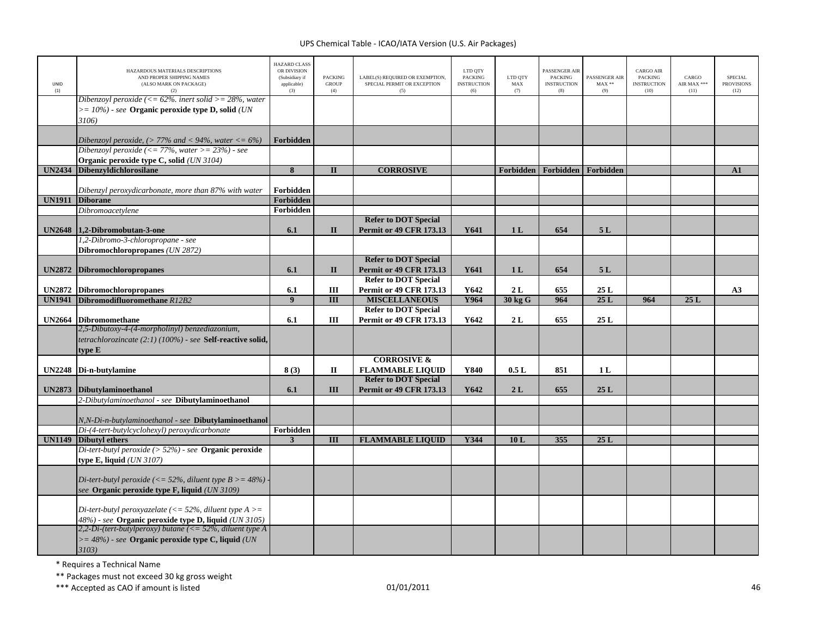| UNID<br>(1)   | HAZARDOUS MATERIALS DESCRIPTIONS<br>AND PROPER SHIPPING NAMES<br>(ALSO MARK ON PACKAGE)<br>(2)                                       | <b>HAZARD CLASS</b><br>OR DIVISION<br>(Subsidiary if<br>applicable)<br>(3) | <b>PACKING</b><br><b>GROUP</b><br>(4) | LABEL(S) REQUIRED OR EXEMPTION,<br>SPECIAL PERMIT OR EXCEPTION<br>(5) | LTD QTY<br><b>PACKING</b><br><b>INSTRUCTION</b><br>(6) | LTD QTY<br>MAX<br>(7) | PASSENGER AIR<br><b>PACKING</b><br><b>INSTRUCTION</b><br>(8) | PASSENGER AIR<br>$MAX**$<br>(9) | <b>CARGO AIR</b><br>PACKING<br><b>INSTRUCTION</b><br>(10) | CARGO<br>AIR MAX ***<br>(11) | <b>SPECIAL</b><br><b>PROVISIONS</b><br>(12) |
|---------------|--------------------------------------------------------------------------------------------------------------------------------------|----------------------------------------------------------------------------|---------------------------------------|-----------------------------------------------------------------------|--------------------------------------------------------|-----------------------|--------------------------------------------------------------|---------------------------------|-----------------------------------------------------------|------------------------------|---------------------------------------------|
|               | Dibenzoyl peroxide (<= $62\%$ , inert solid >= $28\%$ , water<br>$\epsilon$ = 10%) - see Organic peroxide type D, solid (UN<br>3106) |                                                                            |                                       |                                                                       |                                                        |                       |                                                              |                                 |                                                           |                              |                                             |
|               |                                                                                                                                      | Forbidden                                                                  |                                       |                                                                       |                                                        |                       |                                                              |                                 |                                                           |                              |                                             |
|               | Dibenzoyl peroxide, $(> 77%$ and $< 94%$ , water $<= 6\%)$<br>Dibenzoyl peroxide ( $<= 77\%$ , water $>= 23\%)$ - see                |                                                                            |                                       |                                                                       |                                                        |                       |                                                              |                                 |                                                           |                              |                                             |
|               | Organic peroxide type C, solid (UN 3104)                                                                                             |                                                                            |                                       |                                                                       |                                                        |                       |                                                              |                                 |                                                           |                              |                                             |
| <b>UN2434</b> | <b>Dibenzyldichlorosilane</b>                                                                                                        | $\overline{\mathbf{8}}$                                                    | $\mathbf{I}$                          | <b>CORROSIVE</b>                                                      |                                                        |                       | Forbidden   Forbidden   Forbidden                            |                                 |                                                           |                              | A1                                          |
|               | Dibenzyl peroxydicarbonate, more than 87% with water                                                                                 | Forbidden                                                                  |                                       |                                                                       |                                                        |                       |                                                              |                                 |                                                           |                              |                                             |
| <b>UN1911</b> | <b>Diborane</b><br>Dibromoacetylene                                                                                                  | <b>Forbidden</b><br>Forbidden                                              |                                       |                                                                       |                                                        |                       |                                                              |                                 |                                                           |                              |                                             |
|               |                                                                                                                                      |                                                                            |                                       | <b>Refer to DOT Special</b>                                           |                                                        |                       |                                                              |                                 |                                                           |                              |                                             |
|               | UN2648 1.2-Dibromobutan-3-one                                                                                                        | 6.1                                                                        | $\mathbf{I}$                          | <b>Permit or 49 CFR 173.13</b>                                        | Y641                                                   | 1 <sub>L</sub>        | 654                                                          | 5L                              |                                                           |                              |                                             |
|               | 1,2-Dibromo-3-chloropropane - see                                                                                                    |                                                                            |                                       |                                                                       |                                                        |                       |                                                              |                                 |                                                           |                              |                                             |
|               | Dibromochloropropanes (UN 2872)                                                                                                      |                                                                            |                                       |                                                                       |                                                        |                       |                                                              |                                 |                                                           |                              |                                             |
|               |                                                                                                                                      |                                                                            |                                       | <b>Refer to DOT Special</b>                                           |                                                        |                       |                                                              |                                 |                                                           |                              |                                             |
| <b>UN2872</b> | <b>Dibromochloropropanes</b>                                                                                                         | 6.1                                                                        | $\mathbf{I}$                          | <b>Permit or 49 CFR 173.13</b>                                        | Y641                                                   | 1 <sub>L</sub>        | 654                                                          | 5L                              |                                                           |                              |                                             |
| <b>UN2872</b> | <b>Dibromochloropropanes</b>                                                                                                         | 6.1                                                                        | III                                   | <b>Refer to DOT Special</b><br><b>Permit or 49 CFR 173.13</b>         | Y642                                                   | 2L                    | 655                                                          | 25L                             |                                                           |                              | A3                                          |
| <b>UN1941</b> | Dibromodifluoromethane R12B2                                                                                                         | $\boldsymbol{9}$                                                           | III                                   | <b>MISCELLANEOUS</b>                                                  | Y964                                                   | 30 kg G               | 964                                                          | 25L                             | 964                                                       | 25L                          |                                             |
|               |                                                                                                                                      |                                                                            |                                       | <b>Refer to DOT Special</b>                                           |                                                        |                       |                                                              |                                 |                                                           |                              |                                             |
|               | UN2664 Dibromomethane                                                                                                                | 6.1                                                                        | Ш                                     | <b>Permit or 49 CFR 173.13</b>                                        | Y642                                                   | 2L                    | 655                                                          | 25L                             |                                                           |                              |                                             |
|               | 2,5-Dibutoxy-4-(4-morpholinyl) benzediazonium,                                                                                       |                                                                            |                                       |                                                                       |                                                        |                       |                                                              |                                 |                                                           |                              |                                             |
|               | tetrachlorozincate (2:1) (100%) - see Self-reactive solid,                                                                           |                                                                            |                                       |                                                                       |                                                        |                       |                                                              |                                 |                                                           |                              |                                             |
|               | type E                                                                                                                               |                                                                            |                                       |                                                                       |                                                        |                       |                                                              |                                 |                                                           |                              |                                             |
|               |                                                                                                                                      |                                                                            |                                       | <b>CORROSIVE &amp;</b>                                                |                                                        |                       | 851                                                          |                                 |                                                           |                              |                                             |
| <b>UN2248</b> | Di-n-butylamine                                                                                                                      | 8(3)                                                                       | П                                     | <b>FLAMMABLE LIQUID</b><br><b>Refer to DOT Special</b>                | Y840                                                   | 0.5L                  |                                                              | 1 <sub>L</sub>                  |                                                           |                              |                                             |
| <b>UN2873</b> | <b>Dibutylaminoethanol</b>                                                                                                           | 6.1                                                                        | Ш                                     | <b>Permit or 49 CFR 173.13</b>                                        | Y642                                                   | 2L                    | 655                                                          | 25L                             |                                                           |                              |                                             |
|               | 2-Dibutylaminoethanol - see Dibutylaminoethanol                                                                                      |                                                                            |                                       |                                                                       |                                                        |                       |                                                              |                                 |                                                           |                              |                                             |
|               |                                                                                                                                      |                                                                            |                                       |                                                                       |                                                        |                       |                                                              |                                 |                                                           |                              |                                             |
|               | N,N-Di-n-butylaminoethanol - see Dibutylaminoethanol                                                                                 |                                                                            |                                       |                                                                       |                                                        |                       |                                                              |                                 |                                                           |                              |                                             |
|               | Di-(4-tert-butylcyclohexyl) peroxydicarbonate                                                                                        | Forbidden                                                                  |                                       |                                                                       |                                                        |                       |                                                              |                                 |                                                           |                              |                                             |
| <b>UN1149</b> | <b>Dibutyl ethers</b>                                                                                                                | $\overline{\mathbf{3}}$                                                    | Ш                                     | <b>FLAMMABLE LIQUID</b>                                               | Y344                                                   | 10L                   | 355                                                          | 25L                             |                                                           |                              |                                             |
|               | Di-tert-butyl peroxide ( $> 52\%$ ) - see Organic peroxide                                                                           |                                                                            |                                       |                                                                       |                                                        |                       |                                                              |                                 |                                                           |                              |                                             |
|               | <b>type E, liquid</b> ( <i>UN 3107</i> )                                                                                             |                                                                            |                                       |                                                                       |                                                        |                       |                                                              |                                 |                                                           |                              |                                             |
|               | Di-tert-butyl peroxide (<= 52%, diluent type $B > = 48%$ )                                                                           |                                                                            |                                       |                                                                       |                                                        |                       |                                                              |                                 |                                                           |                              |                                             |
|               | see Organic peroxide type F, liquid (UN 3109)                                                                                        |                                                                            |                                       |                                                                       |                                                        |                       |                                                              |                                 |                                                           |                              |                                             |
|               |                                                                                                                                      |                                                                            |                                       |                                                                       |                                                        |                       |                                                              |                                 |                                                           |                              |                                             |
|               | Di-tert-butyl peroxyazelate ( $\lt$ = 52%, diluent type A $\gt$ =                                                                    |                                                                            |                                       |                                                                       |                                                        |                       |                                                              |                                 |                                                           |                              |                                             |
|               | 48%) - see Organic peroxide type D, liquid (UN 3105)<br>2,2-Di-(tert-butylperoxy) butane ( $\leq$ 52%, diluent type A                |                                                                            |                                       |                                                                       |                                                        |                       |                                                              |                                 |                                                           |                              |                                             |
|               | $>= 48\%$ ) - see Organic peroxide type C, liquid (UN                                                                                |                                                                            |                                       |                                                                       |                                                        |                       |                                                              |                                 |                                                           |                              |                                             |
|               | 3103)                                                                                                                                |                                                                            |                                       |                                                                       |                                                        |                       |                                                              |                                 |                                                           |                              |                                             |

\* Requires <sup>a</sup> Technical Name

\*\* Packages must not exceed 30 kg gross weight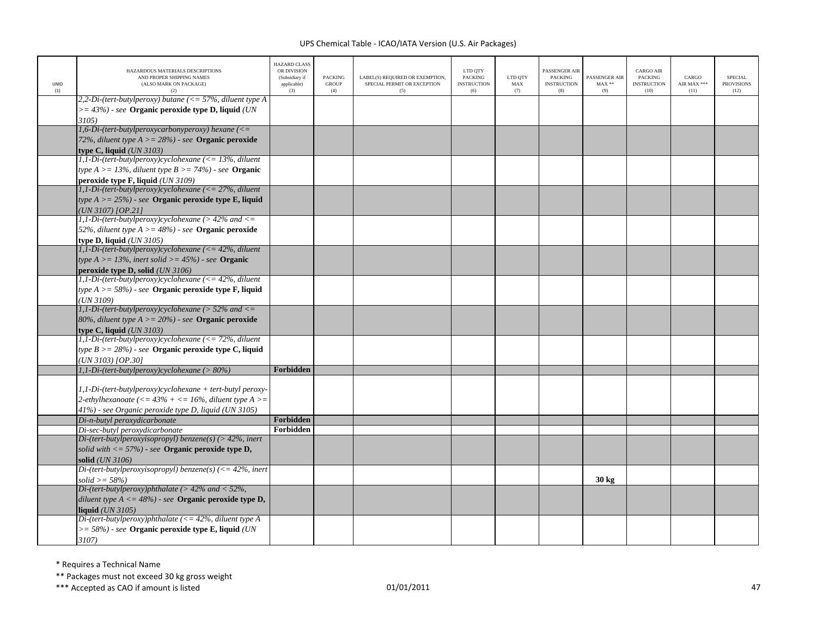| UNID<br>(1) | HAZARDOUS MATERIALS DESCRIPTIONS<br>AND PROPER SHIPPING NAMES<br>(ALSO MARK ON PACKAGE)<br>(2) | <b>HAZARD CLASS</b><br>OR DIVISION<br>(Subsidiary if<br>applicable)<br>(3) | <b>PACKING</b><br>GROUP<br>(4) | LABEL(S) REQUIRED OR EXEMPTION,<br>SPECIAL PERMIT OR EXCEPTION<br>(5) | LTD QTY<br><b>PACKING</b><br><b>INSTRUCTION</b><br>(6) | LTD QTY<br>MAX<br>(7) | PASSENGER AIF<br><b>PACKING</b><br><b>INSTRUCTION</b><br>(8) | PASSENGER AIR<br>$MAX**$<br>(9) | <b>CARGO AIR</b><br>PACKING<br><b>INSTRUCTION</b><br>(10) | CARGO<br>AIR MAX ***<br>(11) | <b>SPECIAL</b><br><b>PROVISIONS</b><br>(12) |
|-------------|------------------------------------------------------------------------------------------------|----------------------------------------------------------------------------|--------------------------------|-----------------------------------------------------------------------|--------------------------------------------------------|-----------------------|--------------------------------------------------------------|---------------------------------|-----------------------------------------------------------|------------------------------|---------------------------------------------|
|             | 2,2-Di-(tert-butylperoxy) butane ( $\langle = 57\%$ , diluent type A                           |                                                                            |                                |                                                                       |                                                        |                       |                                                              |                                 |                                                           |                              |                                             |
|             | $\geq$ = 43%) - see Organic peroxide type D, liquid (UN)                                       |                                                                            |                                |                                                                       |                                                        |                       |                                                              |                                 |                                                           |                              |                                             |
|             | 3105)                                                                                          |                                                                            |                                |                                                                       |                                                        |                       |                                                              |                                 |                                                           |                              |                                             |
|             | $1, 6$ -Di-(tert-butylperoxycarbonyperoxy) hexane (<=                                          |                                                                            |                                |                                                                       |                                                        |                       |                                                              |                                 |                                                           |                              |                                             |
|             | 72%, diluent type $A > = 28\%)$ - see Organic peroxide                                         |                                                                            |                                |                                                                       |                                                        |                       |                                                              |                                 |                                                           |                              |                                             |
|             | type C, liquid $(UN 3103)$<br>1,1-Di-(tert-butylperoxy)cyclohexane ( $\leq$ 13%, diluent       |                                                                            |                                |                                                                       |                                                        |                       |                                                              |                                 |                                                           |                              |                                             |
|             | type $A > = 13\%$ , diluent type $B > = 74\%$ ) - see <b>Organic</b>                           |                                                                            |                                |                                                                       |                                                        |                       |                                                              |                                 |                                                           |                              |                                             |
|             | peroxide type F, liquid (UN 3109)                                                              |                                                                            |                                |                                                                       |                                                        |                       |                                                              |                                 |                                                           |                              |                                             |
|             | $1,1-Di$ -(tert-butylperoxy)cyclohexane (<= 27%, diluent                                       |                                                                            |                                |                                                                       |                                                        |                       |                                                              |                                 |                                                           |                              |                                             |
|             | type $A \ge 25\%$ ) - see Organic peroxide type E, liquid                                      |                                                                            |                                |                                                                       |                                                        |                       |                                                              |                                 |                                                           |                              |                                             |
|             | $UN 3107)$ [OP.21]                                                                             |                                                                            |                                |                                                                       |                                                        |                       |                                                              |                                 |                                                           |                              |                                             |
|             | 1,1-Di-(tert-butylperoxy)cyclohexane (> $42\%$ and <=                                          |                                                                            |                                |                                                                       |                                                        |                       |                                                              |                                 |                                                           |                              |                                             |
|             | 52%, diluent type $A > = 48\%)$ - see Organic peroxide                                         |                                                                            |                                |                                                                       |                                                        |                       |                                                              |                                 |                                                           |                              |                                             |
|             | type D, liquid $(UN 3105)$                                                                     |                                                                            |                                |                                                                       |                                                        |                       |                                                              |                                 |                                                           |                              |                                             |
|             | 1,1-Di-(tert-butylperoxy)cyclohexane ( $\leq$ = 42%, diluent                                   |                                                                            |                                |                                                                       |                                                        |                       |                                                              |                                 |                                                           |                              |                                             |
|             | type $A > = 13\%$ , inert solid $> = 45\%$ ) - see <b>Organic</b>                              |                                                                            |                                |                                                                       |                                                        |                       |                                                              |                                 |                                                           |                              |                                             |
|             | peroxide type D, solid (UN 3106)                                                               |                                                                            |                                |                                                                       |                                                        |                       |                                                              |                                 |                                                           |                              |                                             |
|             | $I, I-Di-(tert-buty peroxy) cyclohexane (\leq 42\%, diluent$                                   |                                                                            |                                |                                                                       |                                                        |                       |                                                              |                                 |                                                           |                              |                                             |
|             | type $A \ge 58\%)$ - see Organic peroxide type F, liquid                                       |                                                                            |                                |                                                                       |                                                        |                       |                                                              |                                 |                                                           |                              |                                             |
|             | (UN 3109)                                                                                      |                                                                            |                                |                                                                       |                                                        |                       |                                                              |                                 |                                                           |                              |                                             |
|             | 1,1-Di-(tert-butylperoxy)cyclohexane (> $52\%$ and <=                                          |                                                                            |                                |                                                                       |                                                        |                       |                                                              |                                 |                                                           |                              |                                             |
|             | 80%, diluent type $A > = 20\%$ ) - see Organic peroxide                                        |                                                                            |                                |                                                                       |                                                        |                       |                                                              |                                 |                                                           |                              |                                             |
|             | type C, liquid $(UN 3103)$                                                                     |                                                                            |                                |                                                                       |                                                        |                       |                                                              |                                 |                                                           |                              |                                             |
|             | $\overline{1,1}\cdot\overline{Di}$ -(tert-butylperoxy)cyclohexane (<= 72%, diluent             |                                                                            |                                |                                                                       |                                                        |                       |                                                              |                                 |                                                           |                              |                                             |
|             | type $B \ge 28\%)$ - see Organic peroxide type C, liquid                                       |                                                                            |                                |                                                                       |                                                        |                       |                                                              |                                 |                                                           |                              |                                             |
|             | (UN 3103) [OP.30]                                                                              |                                                                            |                                |                                                                       |                                                        |                       |                                                              |                                 |                                                           |                              |                                             |
|             | $1, 1-Di-(tert-buty peroxy)cyclohexane (> 80%)$                                                | Forbidden                                                                  |                                |                                                                       |                                                        |                       |                                                              |                                 |                                                           |                              |                                             |
|             | 1,1-Di-(tert-butylperoxy)cyclohexane + tert-butyl peroxy-                                      |                                                                            |                                |                                                                       |                                                        |                       |                                                              |                                 |                                                           |                              |                                             |
|             | 2-ethylhexanoate $\left(\langle = 43\% + \langle = 16\%, \text{ diluent type A}\rangle\right)$ |                                                                            |                                |                                                                       |                                                        |                       |                                                              |                                 |                                                           |                              |                                             |
|             | 41%) - see Organic peroxide type D, liquid (UN 3105)                                           |                                                                            |                                |                                                                       |                                                        |                       |                                                              |                                 |                                                           |                              |                                             |
|             | Di-n-butyl peroxydicarbonate                                                                   | Forbidden                                                                  |                                |                                                                       |                                                        |                       |                                                              |                                 |                                                           |                              |                                             |
|             | Di-sec-butyl peroxydicarbonate                                                                 | Forbidden                                                                  |                                |                                                                       |                                                        |                       |                                                              |                                 |                                                           |                              |                                             |
|             | Di-(tert-butylperoxyisopropyl) benzene(s) (> 42%, inert                                        |                                                                            |                                |                                                                       |                                                        |                       |                                                              |                                 |                                                           |                              |                                             |
|             | solid with $\langle 57\% \rangle$ - see Organic peroxide type D,                               |                                                                            |                                |                                                                       |                                                        |                       |                                                              |                                 |                                                           |                              |                                             |
|             | solid (UN 3106)                                                                                |                                                                            |                                |                                                                       |                                                        |                       |                                                              |                                 |                                                           |                              |                                             |
|             | Di-(tert-butylperoxyisopropyl) benzene(s) (<= $42\%$ , inert                                   |                                                                            |                                |                                                                       |                                                        |                       |                                                              |                                 |                                                           |                              |                                             |
|             | $solid >= 58\%)$                                                                               |                                                                            |                                |                                                                       |                                                        |                       |                                                              | $30 \text{ kg}$                 |                                                           |                              |                                             |
|             | Di-(tert-butylperoxy)phthalate ( $> 42\%$ and $< 52\%$ ,                                       |                                                                            |                                |                                                                       |                                                        |                       |                                                              |                                 |                                                           |                              |                                             |
|             | diluent type $A \le 48\%$ ) - see <b>Organic peroxide type D</b> ,                             |                                                                            |                                |                                                                       |                                                        |                       |                                                              |                                 |                                                           |                              |                                             |
|             | <b>liquid</b> (UN 3105)                                                                        |                                                                            |                                |                                                                       |                                                        |                       |                                                              |                                 |                                                           |                              |                                             |
|             | Di-(tert-butylperoxy)phthalate ( $\langle = 42\%$ , diluent type A                             |                                                                            |                                |                                                                       |                                                        |                       |                                                              |                                 |                                                           |                              |                                             |
|             | $\gamma = 58\%)$ - see Organic peroxide type E, liquid (UN)                                    |                                                                            |                                |                                                                       |                                                        |                       |                                                              |                                 |                                                           |                              |                                             |
|             | 3107)                                                                                          |                                                                            |                                |                                                                       |                                                        |                       |                                                              |                                 |                                                           |                              |                                             |

\* Requires <sup>a</sup> Technical Name

\*\* Packages must not exceed 30 kg gross weight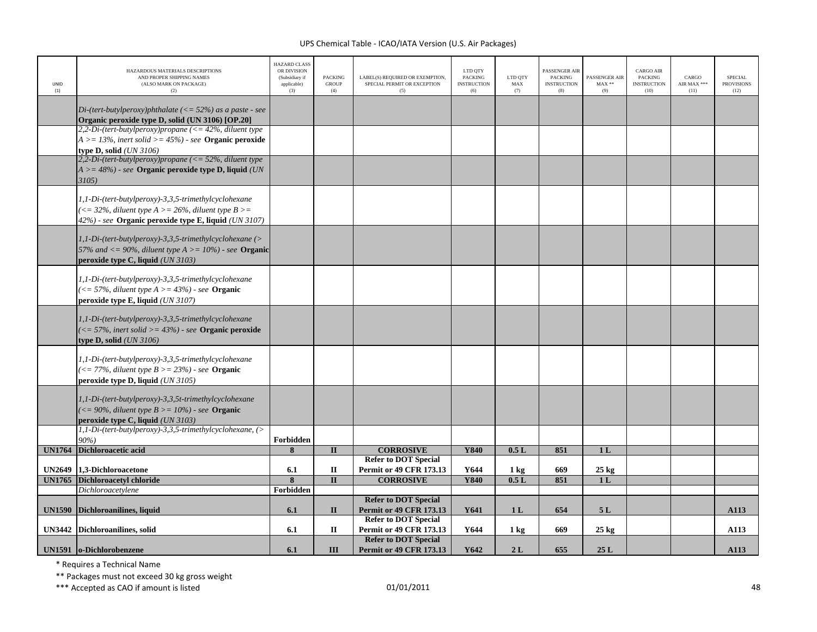| UNID<br>(1)   | HAZARDOUS MATERIALS DESCRIPTIONS<br>AND PROPER SHIPPING NAMES<br>(ALSO MARK ON PACKAGE)<br>(2)                       | <b>HAZARD CLASS</b><br>OR DIVISION<br>(Subsidiary if<br>applicable)<br>(3) | <b>PACKING</b><br><b>GROUP</b><br>(4) | LABEL(S) REQUIRED OR EXEMPTION,<br>SPECIAL PERMIT OR EXCEPTION<br>(5) | LTD QTY<br>PACKING<br><b>INSTRUCTION</b><br>(6) | LTD QTY<br>MAX<br>(7) | PASSENGER AIR<br><b>PACKING</b><br><b>INSTRUCTION</b><br>(8) | PASSENGER AIR<br>$MAX**$<br>(9) | <b>CARGO AIR</b><br><b>PACKING</b><br><b>INSTRUCTION</b><br>(10) | CARGO<br>AIR MAX ***<br>(11) | <b>SPECIAL</b><br><b>PROVISIONS</b><br>(12) |
|---------------|----------------------------------------------------------------------------------------------------------------------|----------------------------------------------------------------------------|---------------------------------------|-----------------------------------------------------------------------|-------------------------------------------------|-----------------------|--------------------------------------------------------------|---------------------------------|------------------------------------------------------------------|------------------------------|---------------------------------------------|
|               | Di-(tert-butylperoxy)phthalate ( $\langle = 52\% \rangle$ as a paste - see                                           |                                                                            |                                       |                                                                       |                                                 |                       |                                                              |                                 |                                                                  |                              |                                             |
|               | Organic peroxide type D, solid (UN 3106) [OP.20]                                                                     |                                                                            |                                       |                                                                       |                                                 |                       |                                                              |                                 |                                                                  |                              |                                             |
|               | 2,2-Di-(tert-butylperoxy)propane ( $\leq$ 42%, diluent type                                                          |                                                                            |                                       |                                                                       |                                                 |                       |                                                              |                                 |                                                                  |                              |                                             |
|               | $A > = 13\%$ , inert solid $> = 45\%$ ) - see <b>Organic peroxide</b><br>type D, solid $(UN\,3106)$                  |                                                                            |                                       |                                                                       |                                                 |                       |                                                              |                                 |                                                                  |                              |                                             |
|               | 2,2-Di-(tert-butylperoxy)propane ( $\langle = 52\%$ , diluent type                                                   |                                                                            |                                       |                                                                       |                                                 |                       |                                                              |                                 |                                                                  |                              |                                             |
|               | $A \geq -48\%)$ - see Organic peroxide type D, liquid (UN                                                            |                                                                            |                                       |                                                                       |                                                 |                       |                                                              |                                 |                                                                  |                              |                                             |
|               | 3105                                                                                                                 |                                                                            |                                       |                                                                       |                                                 |                       |                                                              |                                 |                                                                  |                              |                                             |
|               |                                                                                                                      |                                                                            |                                       |                                                                       |                                                 |                       |                                                              |                                 |                                                                  |                              |                                             |
|               | 1,1-Di-(tert-butylperoxy)-3,3,5-trimethylcyclohexane                                                                 |                                                                            |                                       |                                                                       |                                                 |                       |                                                              |                                 |                                                                  |                              |                                             |
|               | $\epsilon$ = 32%, diluent type A > = 26%, diluent type B > =<br>42%) - see Organic peroxide type E, liquid (UN 3107) |                                                                            |                                       |                                                                       |                                                 |                       |                                                              |                                 |                                                                  |                              |                                             |
|               |                                                                                                                      |                                                                            |                                       |                                                                       |                                                 |                       |                                                              |                                 |                                                                  |                              |                                             |
|               | $1,1-Di-(tert-buty peroxy)-3,3,5-trimethylcyclohexane$ (>                                                            |                                                                            |                                       |                                                                       |                                                 |                       |                                                              |                                 |                                                                  |                              |                                             |
|               | 57% and $\langle 5.99\%$ , diluent type A $\langle 2.99\% \rangle$ - see <b>Organic</b>                              |                                                                            |                                       |                                                                       |                                                 |                       |                                                              |                                 |                                                                  |                              |                                             |
|               | peroxide type C, liquid $(UN 3103)$                                                                                  |                                                                            |                                       |                                                                       |                                                 |                       |                                                              |                                 |                                                                  |                              |                                             |
|               | 1,1-Di-(tert-butylperoxy)-3,3,5-trimethylcyclohexane                                                                 |                                                                            |                                       |                                                                       |                                                 |                       |                                                              |                                 |                                                                  |                              |                                             |
|               | $\left(\langle = 57\%, \text{ diluent type A}\rangle = 43\% \right)$ - see Organic                                   |                                                                            |                                       |                                                                       |                                                 |                       |                                                              |                                 |                                                                  |                              |                                             |
|               | peroxide type E, liquid (UN 3107)                                                                                    |                                                                            |                                       |                                                                       |                                                 |                       |                                                              |                                 |                                                                  |                              |                                             |
|               |                                                                                                                      |                                                                            |                                       |                                                                       |                                                 |                       |                                                              |                                 |                                                                  |                              |                                             |
|               | 1,1-Di-(tert-butylperoxy)-3,3,5-trimethylcyclohexane                                                                 |                                                                            |                                       |                                                                       |                                                 |                       |                                                              |                                 |                                                                  |                              |                                             |
|               | $\vert \langle \langle 1257\%, \text{ inert solid} \rangle \rangle = 43\%$ - see <b>Organic peroxide</b>             |                                                                            |                                       |                                                                       |                                                 |                       |                                                              |                                 |                                                                  |                              |                                             |
|               | type D, solid $(UN\,3106)$                                                                                           |                                                                            |                                       |                                                                       |                                                 |                       |                                                              |                                 |                                                                  |                              |                                             |
|               | 1,1-Di-(tert-butylperoxy)-3,3,5-trimethylcyclohexane                                                                 |                                                                            |                                       |                                                                       |                                                 |                       |                                                              |                                 |                                                                  |                              |                                             |
|               | $\left(\leftarrow$ 77%, diluent type B > = 23%) - see Organic                                                        |                                                                            |                                       |                                                                       |                                                 |                       |                                                              |                                 |                                                                  |                              |                                             |
|               | peroxide type D, liquid (UN 3105)                                                                                    |                                                                            |                                       |                                                                       |                                                 |                       |                                                              |                                 |                                                                  |                              |                                             |
|               |                                                                                                                      |                                                                            |                                       |                                                                       |                                                 |                       |                                                              |                                 |                                                                  |                              |                                             |
|               | 1,1-Di-(tert-butylperoxy)-3,3,5t-trimethylcyclohexane                                                                |                                                                            |                                       |                                                                       |                                                 |                       |                                                              |                                 |                                                                  |                              |                                             |
|               | $\left(\langle=90\%, \text{ diluent type } B\right\rangle = 10\%$ ) - see <b>Organic</b>                             |                                                                            |                                       |                                                                       |                                                 |                       |                                                              |                                 |                                                                  |                              |                                             |
|               | peroxide type C, liquid $(UN 3103)$<br>1,1-Di-(tert-butylperoxy)-3,3,5-trimethylcyclohexane, (>                      |                                                                            |                                       |                                                                       |                                                 |                       |                                                              |                                 |                                                                  |                              |                                             |
|               | 90%)                                                                                                                 | Forbidden                                                                  |                                       |                                                                       |                                                 |                       |                                                              |                                 |                                                                  |                              |                                             |
| <b>UN1764</b> | <b>Dichloroacetic acid</b>                                                                                           | 8                                                                          | $\Pi$                                 | <b>CORROSIVE</b>                                                      | <b>Y840</b>                                     | 0.5L                  | 851                                                          | 1 <sub>L</sub>                  |                                                                  |                              |                                             |
|               |                                                                                                                      |                                                                            |                                       | <b>Refer to DOT Special</b>                                           |                                                 |                       |                                                              |                                 |                                                                  |                              |                                             |
|               | UN2649 1,3-Dichloroacetone                                                                                           | 6.1                                                                        | $\rm II$                              | Permit or 49 CFR 173.13                                               | Y644                                            | $1 \text{ kg}$        | 669                                                          | $25$ kg                         |                                                                  |                              |                                             |
|               | <b>UN1765</b> Dichloroacetyl chloride<br>Dichloroacetylene                                                           | 8<br>Forbidden                                                             | $\mathbf{I}$                          | <b>CORROSIVE</b>                                                      | <b>Y840</b>                                     | 0.5L                  | 851                                                          | 1 <sub>L</sub>                  |                                                                  |                              |                                             |
|               |                                                                                                                      |                                                                            |                                       | <b>Refer to DOT Special</b>                                           |                                                 |                       |                                                              |                                 |                                                                  |                              |                                             |
| <b>UN1590</b> | Dichloroanilines, liquid                                                                                             | 6.1                                                                        | $\mathbf{I}$                          | <b>Permit or 49 CFR 173.13</b>                                        | Y641                                            | 1L                    | 654                                                          | 5L                              |                                                                  |                              | A113                                        |
|               |                                                                                                                      |                                                                            |                                       | <b>Refer to DOT Special</b>                                           |                                                 |                       |                                                              |                                 |                                                                  |                              |                                             |
|               | UN3442 Dichloroanilines, solid                                                                                       | 6.1                                                                        | П                                     | Permit or 49 CFR 173.13                                               | Y644                                            | 1 kg                  | 669                                                          | $25 \text{ kg}$                 |                                                                  |                              | A113                                        |
|               |                                                                                                                      |                                                                            |                                       | <b>Refer to DOT Special</b>                                           |                                                 |                       |                                                              |                                 |                                                                  |                              |                                             |
|               | UN1591 o-Dichlorobenzene                                                                                             | 6.1                                                                        | <b>III</b>                            | <b>Permit or 49 CFR 173.13</b>                                        | Y642                                            | 2L                    | 655                                                          | 25L                             |                                                                  |                              | A113                                        |

\* Requires <sup>a</sup> Technical Name

\*\* Packages must not exceed 30 kg gross weight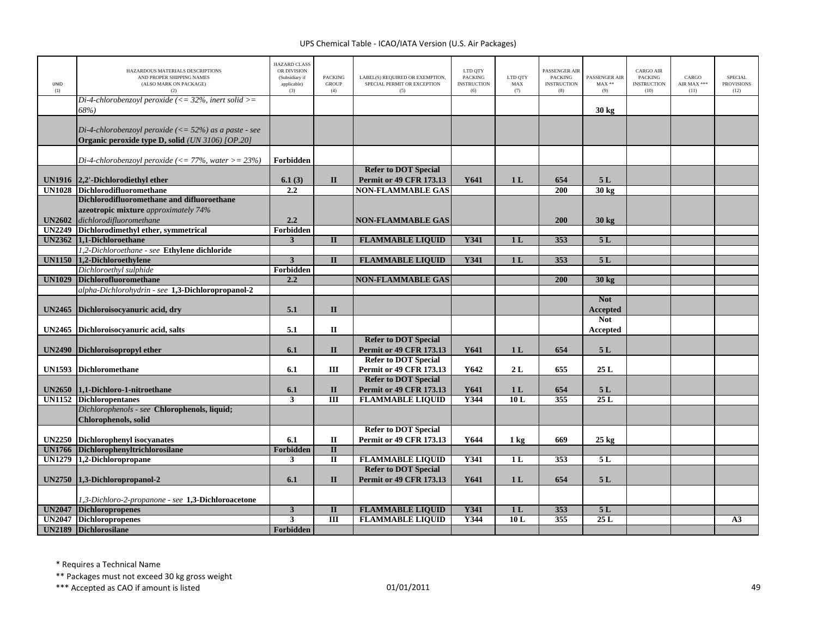| <b>UNID</b><br>(1) | HAZARDOUS MATERIALS DESCRIPTIONS<br>AND PROPER SHIPPING NAMES<br>(ALSO MARK ON PACKAGE)<br>(2) | <b>HAZARD CLASS</b><br>OR DIVISION<br>(Subsidiary if<br>applicable)<br>(3) | <b>PACKING</b><br><b>GROUP</b><br>(4) | LABEL(S) REQUIRED OR EXEMPTION,<br>SPECIAL PERMIT OR EXCEPTION<br>(5) | LTD QTY<br><b>PACKING</b><br><b>INSTRUCTION</b><br>(6) | LTD OTY<br>MAX<br>(7) | PASSENGER AIR<br><b>PACKING</b><br><b>INSTRUCTION</b><br>(8) | PASSENGER AIR<br>$MAX**$<br>(9) | <b>CARGO AIR</b><br>PACKING<br><b>INSTRUCTION</b><br>(10) | CARGO<br>AIR MAX ***<br>(11) | SPECIAL<br><b>PROVISIONS</b><br>(12) |
|--------------------|------------------------------------------------------------------------------------------------|----------------------------------------------------------------------------|---------------------------------------|-----------------------------------------------------------------------|--------------------------------------------------------|-----------------------|--------------------------------------------------------------|---------------------------------|-----------------------------------------------------------|------------------------------|--------------------------------------|
|                    | Di-4-chlorobenzoyl peroxide ( $\leq$ = 32%, inert solid $\geq$ =<br>68%)                       |                                                                            |                                       |                                                                       |                                                        |                       |                                                              | $30 \text{ kg}$                 |                                                           |                              |                                      |
|                    | Di-4-chlorobenzoyl peroxide $\left(\leq 52\% \right)$ as a paste - see                         |                                                                            |                                       |                                                                       |                                                        |                       |                                                              |                                 |                                                           |                              |                                      |
|                    | Organic peroxide type D, solid (UN 3106) [OP.20]                                               |                                                                            |                                       |                                                                       |                                                        |                       |                                                              |                                 |                                                           |                              |                                      |
|                    | Di-4-chlorobenzoyl peroxide ( $\langle = 77\%$ , water $\rangle = 23\%$ )                      | Forbidden                                                                  |                                       |                                                                       |                                                        |                       |                                                              |                                 |                                                           |                              |                                      |
|                    |                                                                                                |                                                                            |                                       | <b>Refer to DOT Special</b>                                           |                                                        |                       |                                                              |                                 |                                                           |                              |                                      |
|                    | UN1916 2.2'-Dichlorodiethyl ether                                                              | 6.1(3)                                                                     | $\mathbf{I}$                          | <b>Permit or 49 CFR 173.13</b>                                        | Y641                                                   | 1 <sub>L</sub>        | 654                                                          | 5 L                             |                                                           |                              |                                      |
|                    | UN1028 Dichlorodifluoromethane                                                                 | 2.2                                                                        |                                       | <b>NON-FLAMMABLE GAS</b>                                              |                                                        |                       | 200                                                          | $30 \text{ kg}$                 |                                                           |                              |                                      |
|                    | Dichlorodifluoromethane and difluoroethane                                                     |                                                                            |                                       |                                                                       |                                                        |                       |                                                              |                                 |                                                           |                              |                                      |
|                    | azeotropic mixture approximately 74%                                                           |                                                                            |                                       |                                                                       |                                                        |                       |                                                              |                                 |                                                           |                              |                                      |
| <b>UN2602</b>      | dichlorodifluoromethane                                                                        | 2.2                                                                        |                                       | <b>NON-FLAMMABLE GAS</b>                                              |                                                        |                       | 200                                                          | $30 \text{ kg}$                 |                                                           |                              |                                      |
| <b>UN2249</b>      | Dichlorodimethyl ether, symmetrical<br>UN2362 1,1-Dichloroethane                               | Forbidden<br>3                                                             | $\mathbf{I}$                          |                                                                       | Y341                                                   |                       | 353                                                          | 5L                              |                                                           |                              |                                      |
|                    | 1,2-Dichloroethane - see Ethylene dichloride                                                   |                                                                            |                                       | <b>FLAMMABLE LIQUID</b>                                               |                                                        | 1 <sub>L</sub>        |                                                              |                                 |                                                           |                              |                                      |
| <b>UN1150</b>      | 1,2-Dichloroethylene                                                                           | $\overline{\mathbf{3}}$                                                    | $\mathbf{I}$                          | <b>FLAMMABLE LIQUID</b>                                               | Y341                                                   | 1 <sub>L</sub>        | 353                                                          | 5L                              |                                                           |                              |                                      |
|                    | Dichloroethyl sulphide                                                                         | Forbidden                                                                  |                                       |                                                                       |                                                        |                       |                                                              |                                 |                                                           |                              |                                      |
| <b>UN1029</b>      | Dichlorofluoromethane                                                                          | 2.2                                                                        |                                       | <b>NON-FLAMMABLE GAS</b>                                              |                                                        |                       | 200                                                          | 30 <sub>kg</sub>                |                                                           |                              |                                      |
|                    | alpha-Dichlorohydrin - see 1,3-Dichloropropanol-2                                              |                                                                            |                                       |                                                                       |                                                        |                       |                                                              |                                 |                                                           |                              |                                      |
|                    |                                                                                                |                                                                            |                                       |                                                                       |                                                        |                       |                                                              | <b>Not</b>                      |                                                           |                              |                                      |
| <b>UN2465</b>      | Dichloroisocyanuric acid, dry                                                                  | 5.1                                                                        | $\mathbf{I}$                          |                                                                       |                                                        |                       |                                                              | Accepted                        |                                                           |                              |                                      |
|                    |                                                                                                |                                                                            |                                       |                                                                       |                                                        |                       |                                                              | <b>Not</b>                      |                                                           |                              |                                      |
|                    | UN2465 Dichloroisocyanuric acid, salts                                                         | 5.1                                                                        | $\rm II$                              |                                                                       |                                                        |                       |                                                              | Accepted                        |                                                           |                              |                                      |
|                    |                                                                                                |                                                                            |                                       | <b>Refer to DOT Special</b>                                           |                                                        |                       |                                                              |                                 |                                                           |                              |                                      |
| <b>UN2490</b>      | Dichloroisopropyl ether                                                                        | 6.1                                                                        | $\Pi$                                 | <b>Permit or 49 CFR 173.13</b>                                        | Y641                                                   | 1 <sub>L</sub>        | 654                                                          | 5L                              |                                                           |                              |                                      |
|                    |                                                                                                |                                                                            |                                       | <b>Refer to DOT Special</b>                                           |                                                        |                       |                                                              |                                 |                                                           |                              |                                      |
|                    | UN1593 Dichloromethane                                                                         | 6.1                                                                        | $\rm III$                             | Permit or 49 CFR 173.13                                               | Y642                                                   | 2L                    | 655                                                          | 25L                             |                                                           |                              |                                      |
|                    |                                                                                                |                                                                            |                                       | <b>Refer to DOT Special</b>                                           |                                                        |                       |                                                              |                                 |                                                           |                              |                                      |
|                    | UN2650 1,1-Dichloro-1-nitroethane                                                              | 6.1                                                                        | $\mathbf{I}$                          | Permit or 49 CFR 173.13                                               | Y641                                                   | 1 <sub>L</sub>        | 654                                                          | 5L                              |                                                           |                              |                                      |
|                    | <b>UN1152</b> Dichloropentanes<br>Dichlorophenols - see Chlorophenols, liquid;                 | $\overline{3}$                                                             | $\overline{III}$                      | <b>FLAMMABLE LIQUID</b>                                               | Y344                                                   | 10L                   | 355                                                          | 25L                             |                                                           |                              |                                      |
|                    | <b>Chlorophenols</b> , solid                                                                   |                                                                            |                                       |                                                                       |                                                        |                       |                                                              |                                 |                                                           |                              |                                      |
|                    |                                                                                                |                                                                            |                                       | <b>Refer to DOT Special</b>                                           |                                                        |                       |                                                              |                                 |                                                           |                              |                                      |
|                    | UN2250 Dichlorophenyl isocyanates                                                              | 6.1                                                                        | $\mathbf{I}\mathbf{I}$                | <b>Permit or 49 CFR 173.13</b>                                        | Y644                                                   | $1 \text{ kg}$        | 669                                                          | $25 \text{ kg}$                 |                                                           |                              |                                      |
| <b>UN1766</b>      | Dichlorophenyltrichlorosilane                                                                  | Forbidden                                                                  | $\rm II$                              |                                                                       |                                                        |                       |                                                              |                                 |                                                           |                              |                                      |
| <b>UN1279</b>      | 1,2-Dichloropropane                                                                            | 3                                                                          | $\overline{\mathbf{u}}$               | <b>FLAMMABLE LIQUID</b>                                               | Y341                                                   | 1 <sub>L</sub>        | 353                                                          | 5L                              |                                                           |                              |                                      |
|                    |                                                                                                |                                                                            |                                       | <b>Refer to DOT Special</b>                                           |                                                        |                       |                                                              |                                 |                                                           |                              |                                      |
| UN2750             | 1,3-Dichloropropanol-2                                                                         | 6.1                                                                        | $\mathbf{I}$                          | <b>Permit or 49 CFR 173.13</b>                                        | Y641                                                   | 1 <sub>L</sub>        | 654                                                          | 5L                              |                                                           |                              |                                      |
|                    |                                                                                                |                                                                            |                                       |                                                                       |                                                        |                       |                                                              |                                 |                                                           |                              |                                      |
|                    | 1,3-Dichloro-2-propanone - see 1,3-Dichloroacetone                                             |                                                                            |                                       |                                                                       |                                                        |                       |                                                              |                                 |                                                           |                              |                                      |
| <b>UN2047</b>      | Dichloropropenes                                                                               | $\overline{\mathbf{3}}$                                                    | $\mathbf{I}$                          | <b>FLAMMABLE LIQUID</b>                                               | <b>Y341</b>                                            | 1 <sub>L</sub>        | 353                                                          | 5L                              |                                                           |                              |                                      |
| <b>UN2047</b>      | <b>Dichloropropenes</b>                                                                        | 3                                                                          | $\overline{III}$                      | <b>FLAMMABLE LIQUID</b>                                               | Y344                                                   | 10L                   | 355                                                          | 25L                             |                                                           |                              | A3                                   |
|                    | <b>UN2189</b> Dichlorosilane                                                                   | Forbidden                                                                  |                                       |                                                                       |                                                        |                       |                                                              |                                 |                                                           |                              |                                      |

\* Requires <sup>a</sup> Technical Name

\*\* Packages must not exceed 30 kg gross weight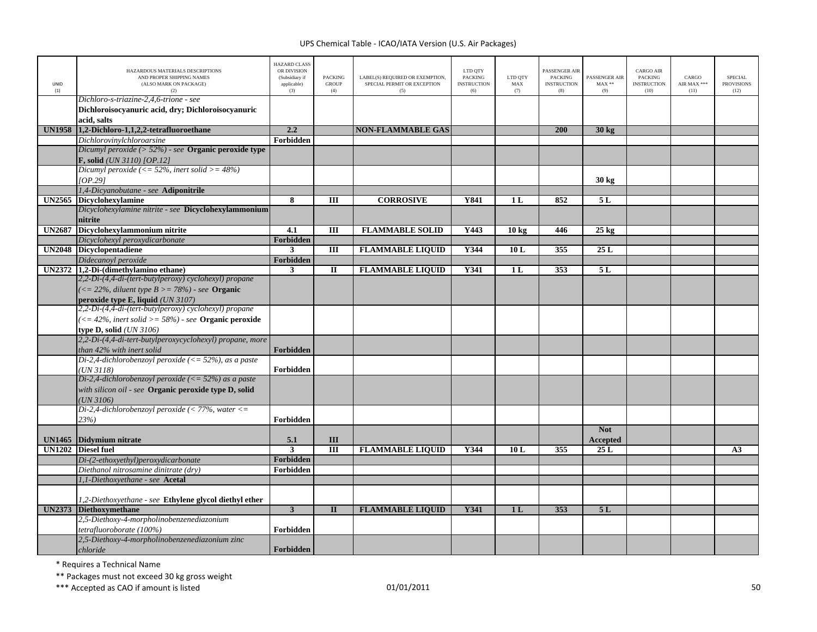| UNID<br>(1)   | HAZARDOUS MATERIALS DESCRIPTIONS<br>AND PROPER SHIPPING NAMES<br>(ALSO MARK ON PACKAGE)<br>(2)       | <b>HAZARD CLASS</b><br>OR DIVISION<br>(Subsidiary if<br>applicable)<br>(3) | <b>PACKING</b><br><b>GROUP</b><br>(4) | LABEL(S) REQUIRED OR EXEMPTION,<br>SPECIAL PERMIT OR EXCEPTION<br>(5) | LTD QTY<br>PACKING<br><b>INSTRUCTION</b><br>(6) | LTD QTY<br>MAX<br>(7) | PASSENGER AIR<br><b>PACKING</b><br><b>INSTRUCTION</b><br>(8) | PASSENGER AIR<br>$MAX**$<br>(9) | <b>CARGO AIR</b><br>PACKING<br><b>INSTRUCTION</b><br>(10) | CARGO<br>AIR MAX ***<br>(11) | <b>SPECIAL</b><br><b>PROVISIONS</b><br>(12) |
|---------------|------------------------------------------------------------------------------------------------------|----------------------------------------------------------------------------|---------------------------------------|-----------------------------------------------------------------------|-------------------------------------------------|-----------------------|--------------------------------------------------------------|---------------------------------|-----------------------------------------------------------|------------------------------|---------------------------------------------|
|               | Dichloro-s-triazine-2,4,6-trione - see<br>Dichloroisocyanuric acid, dry; Dichloroisocyanuric         |                                                                            |                                       |                                                                       |                                                 |                       |                                                              |                                 |                                                           |                              |                                             |
|               | acid, salts                                                                                          |                                                                            |                                       |                                                                       |                                                 |                       |                                                              |                                 |                                                           |                              |                                             |
| <b>UN1958</b> | 1,2-Dichloro-1,1,2,2-tetrafluoroethane                                                               | 2.2                                                                        |                                       | <b>NON-FLAMMABLE GAS</b>                                              |                                                 |                       | 200                                                          | 30 kg                           |                                                           |                              |                                             |
|               | Dichlorovinylchloroarsine                                                                            | <b>Forbidden</b>                                                           |                                       |                                                                       |                                                 |                       |                                                              |                                 |                                                           |                              |                                             |
|               | Dicumyl peroxide $($ > 52%) - see Organic peroxide type<br><b>F</b> , solid <i>(UN 3110) [OP.12]</i> |                                                                            |                                       |                                                                       |                                                 |                       |                                                              |                                 |                                                           |                              |                                             |
|               | Dicumyl peroxide (<= $52\%$ , inert solid >= $48\%$ )<br>OP.291                                      |                                                                            |                                       |                                                                       |                                                 |                       |                                                              | $30 \text{ kg}$                 |                                                           |                              |                                             |
|               | 1,4-Dicyanobutane - see Adiponitrile                                                                 |                                                                            |                                       |                                                                       |                                                 |                       |                                                              |                                 |                                                           |                              |                                             |
| <b>UN2565</b> | <b>Dicyclohexylamine</b>                                                                             | 8                                                                          | III                                   | <b>CORROSIVE</b>                                                      | Y841                                            | 1L                    | 852                                                          | 5L                              |                                                           |                              |                                             |
|               | Dicyclohexylamine nitrite - see Dicyclohexylammonium<br>nitrite                                      |                                                                            |                                       |                                                                       |                                                 |                       |                                                              |                                 |                                                           |                              |                                             |
| <b>UN2687</b> | Dicyclohexylammonium nitrite                                                                         | 4.1                                                                        | Ш                                     | <b>FLAMMABLE SOLID</b>                                                | Y443                                            | 10 <sub>kg</sub>      | 446                                                          | $25$ kg                         |                                                           |                              |                                             |
|               | Dicyclohexyl peroxydicarbonate                                                                       | Forbidden                                                                  |                                       |                                                                       |                                                 |                       |                                                              |                                 |                                                           |                              |                                             |
| <b>UN2048</b> | <b>Dicyclopentadiene</b>                                                                             | 3                                                                          | III                                   | <b>FLAMMABLE LIQUID</b>                                               | Y344                                            | 10L                   | 355                                                          | 25L                             |                                                           |                              |                                             |
|               | Didecanoyl peroxide                                                                                  | Forbidden                                                                  |                                       |                                                                       |                                                 |                       |                                                              |                                 |                                                           |                              |                                             |
|               | UN2372 1,2-Di-(dimethylamino ethane)                                                                 | 3                                                                          | $\mathbf{I}$                          | <b>FLAMMABLE LIQUID</b>                                               | Y341                                            | 1 <sub>L</sub>        | 353                                                          | 5L                              |                                                           |                              |                                             |
|               | 2,2-Di-(4,4-di-(tert-butylperoxy) cyclohexyl) propane                                                |                                                                            |                                       |                                                                       |                                                 |                       |                                                              |                                 |                                                           |                              |                                             |
|               | $\left( \langle = 22\%, \text{ diluent type } B \rangle = 78\% \right)$ - see <b>Organic</b>         |                                                                            |                                       |                                                                       |                                                 |                       |                                                              |                                 |                                                           |                              |                                             |
|               | peroxide type E, liquid (UN 3107)<br>2,2-Di-(4,4-di-(tert-butylperoxy) cyclohexyl) propane           |                                                                            |                                       |                                                                       |                                                 |                       |                                                              |                                 |                                                           |                              |                                             |
|               |                                                                                                      |                                                                            |                                       |                                                                       |                                                 |                       |                                                              |                                 |                                                           |                              |                                             |
|               | $\left(\langle=42\%,\text{ inert solid}\right\rangle=58\%$ - see Organic peroxide                    |                                                                            |                                       |                                                                       |                                                 |                       |                                                              |                                 |                                                           |                              |                                             |
|               | type $D$ , solid $(UN 3106)$                                                                         |                                                                            |                                       |                                                                       |                                                 |                       |                                                              |                                 |                                                           |                              |                                             |
|               | 2,2-Di-(4,4-di-tert-butylperoxycyclohexyl) propane, more                                             |                                                                            |                                       |                                                                       |                                                 |                       |                                                              |                                 |                                                           |                              |                                             |
|               | than 42% with inert solid                                                                            | Forbidden                                                                  |                                       |                                                                       |                                                 |                       |                                                              |                                 |                                                           |                              |                                             |
|               | Di-2,4-dichlorobenzoyl peroxide ( $\langle = 52\%$ ), as a paste                                     |                                                                            |                                       |                                                                       |                                                 |                       |                                                              |                                 |                                                           |                              |                                             |
|               | (UN3118)                                                                                             | Forbidden                                                                  |                                       |                                                                       |                                                 |                       |                                                              |                                 |                                                           |                              |                                             |
|               | Di-2,4-dichlorobenzoyl peroxide ( $\langle = 52\% \rangle$ as a paste                                |                                                                            |                                       |                                                                       |                                                 |                       |                                                              |                                 |                                                           |                              |                                             |
|               | with silicon oil - see Organic peroxide type D, solid                                                |                                                                            |                                       |                                                                       |                                                 |                       |                                                              |                                 |                                                           |                              |                                             |
|               | UN 3106<br>Di-2,4-dichlorobenzoyl peroxide (< 77%, water $\lt$ =                                     |                                                                            |                                       |                                                                       |                                                 |                       |                                                              |                                 |                                                           |                              |                                             |
|               | 23%)                                                                                                 | Forbidden                                                                  |                                       |                                                                       |                                                 |                       |                                                              |                                 |                                                           |                              |                                             |
|               |                                                                                                      |                                                                            |                                       |                                                                       |                                                 |                       |                                                              | <b>Not</b>                      |                                                           |                              |                                             |
| <b>UN1465</b> | Didymium nitrate                                                                                     | 5.1                                                                        | III                                   |                                                                       |                                                 |                       |                                                              | <b>Accepted</b>                 |                                                           |                              |                                             |
| <b>UN1202</b> | <b>Diesel fuel</b>                                                                                   | $\overline{\mathbf{3}}$                                                    | $\overline{III}$                      | <b>FLAMMABLE LIQUID</b>                                               | Y344                                            | 10L                   | 355                                                          | 25L                             |                                                           |                              | A3                                          |
|               | Di-(2-ethoxyethyl)peroxydicarbonate                                                                  | Forbidden                                                                  |                                       |                                                                       |                                                 |                       |                                                              |                                 |                                                           |                              |                                             |
|               | Diethanol nitrosamine dinitrate (dry)                                                                | Forbidden                                                                  |                                       |                                                                       |                                                 |                       |                                                              |                                 |                                                           |                              |                                             |
|               | 1,1-Diethoxyethane - see Acetal                                                                      |                                                                            |                                       |                                                                       |                                                 |                       |                                                              |                                 |                                                           |                              |                                             |
|               |                                                                                                      |                                                                            |                                       |                                                                       |                                                 |                       |                                                              |                                 |                                                           |                              |                                             |
|               | 1,2-Diethoxyethane - see Ethylene glycol diethyl ether                                               |                                                                            |                                       |                                                                       |                                                 |                       |                                                              |                                 |                                                           |                              |                                             |
| <b>UN2373</b> | <b>Diethoxymethane</b>                                                                               | $\overline{\mathbf{3}}$                                                    | $\mathbf{I}$                          | <b>FLAMMABLE LIQUID</b>                                               | Y341                                            | 1 <sub>L</sub>        | 353                                                          | 5L                              |                                                           |                              |                                             |
|               | 2,5-Diethoxy-4-morpholinobenzenediazonium                                                            |                                                                            |                                       |                                                                       |                                                 |                       |                                                              |                                 |                                                           |                              |                                             |
|               | tetrafluoroborate (100%)                                                                             | Forbidden                                                                  |                                       |                                                                       |                                                 |                       |                                                              |                                 |                                                           |                              |                                             |
|               | 2,5-Diethoxy-4-morpholinobenzenediazonium zinc<br>chloride                                           | Forbidden                                                                  |                                       |                                                                       |                                                 |                       |                                                              |                                 |                                                           |                              |                                             |

\* Requires <sup>a</sup> Technical Name

\*\* Packages must not exceed 30 kg gross weight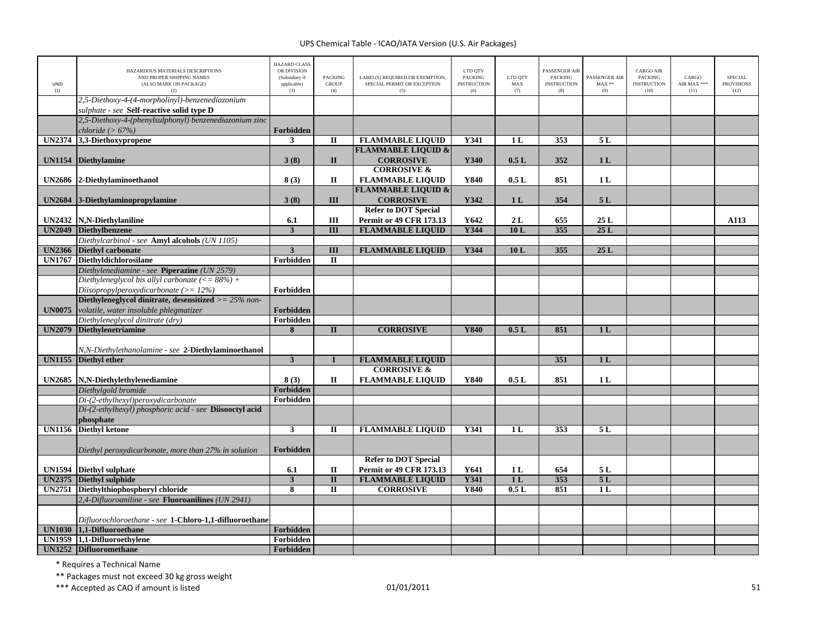| <b>UNID</b><br>(1) | HAZARDOUS MATERIALS DESCRIPTIONS<br>AND PROPER SHIPPING NAMES<br>(ALSO MARK ON PACKAGE)<br>(2)        | <b>HAZARD CLASS</b><br>OR DIVISION<br>(Subsidiary if<br>applicable)<br>(3) | <b>PACKING</b><br><b>GROUP</b><br>(4) | LABEL(S) REQUIRED OR EXEMPTION,<br>SPECIAL PERMIT OR EXCEPTION<br>(5) | LTD QTY<br><b>PACKING</b><br><b>INSTRUCTION</b><br>(6) | LTD QTY<br>MAX<br>(7) | <b>ASSENGER AIR</b><br><b>PACKING</b><br><b>INSTRUCTION</b><br>(8) | PASSENGER AIR<br>$\text{MAX}$ **<br>(9) | CARGO AIR<br>PACKING<br><b>INSTRUCTION</b><br>(10) | CARGO<br>AIR MAX ***<br>(11) | <b>SPECIAL</b><br><b>PROVISIONS</b><br>(12) |
|--------------------|-------------------------------------------------------------------------------------------------------|----------------------------------------------------------------------------|---------------------------------------|-----------------------------------------------------------------------|--------------------------------------------------------|-----------------------|--------------------------------------------------------------------|-----------------------------------------|----------------------------------------------------|------------------------------|---------------------------------------------|
|                    | 2,5-Diethoxy-4-(4-morpholinyl)-benzenediazonium                                                       |                                                                            |                                       |                                                                       |                                                        |                       |                                                                    |                                         |                                                    |                              |                                             |
|                    | sulphate - see Self-reactive solid type D<br>2,5-Diethoxy-4-(phenylsulphonyl) benzenediazonium zinc   |                                                                            |                                       |                                                                       |                                                        |                       |                                                                    |                                         |                                                    |                              |                                             |
|                    | chloride $(>67%)$                                                                                     | Forbidden                                                                  |                                       |                                                                       |                                                        |                       |                                                                    |                                         |                                                    |                              |                                             |
| <b>UN2374</b>      | 3,3-Diethoxypropene                                                                                   | $\mathbf{3}$                                                               | $\mathbf{I}$                          | <b>FLAMMABLE LIQUID</b>                                               | <b>Y341</b>                                            | 1 <sub>L</sub>        | 353                                                                | 5L                                      |                                                    |                              |                                             |
|                    |                                                                                                       |                                                                            |                                       | <b>FLAMMABLE LIQUID &amp;</b>                                         |                                                        |                       |                                                                    |                                         |                                                    |                              |                                             |
|                    | UN1154 Diethylamine                                                                                   | 3(8)                                                                       | $\mathbf{I}$                          | <b>CORROSIVE</b>                                                      | Y340                                                   | 0.5L                  | 352                                                                | 1 <sub>L</sub>                          |                                                    |                              |                                             |
| <b>UN2686</b>      | 2-Diethylaminoethanol                                                                                 | 8(3)                                                                       | П                                     | <b>CORROSIVE &amp;</b><br><b>FLAMMABLE LIQUID</b>                     | Y840                                                   | 0.5L                  | 851                                                                | 1 <sub>L</sub>                          |                                                    |                              |                                             |
|                    |                                                                                                       |                                                                            |                                       | <b>FLAMMABLE LIQUID &amp;</b>                                         |                                                        |                       |                                                                    |                                         |                                                    |                              |                                             |
| <b>UN2684</b>      | 3-Diethylaminopropylamine                                                                             | 3(8)                                                                       | III                                   | <b>CORROSIVE</b>                                                      | Y342                                                   | 1 <sub>L</sub>        | 354                                                                | 5L                                      |                                                    |                              |                                             |
|                    |                                                                                                       |                                                                            |                                       | <b>Refer to DOT Special</b>                                           |                                                        |                       |                                                                    |                                         |                                                    |                              |                                             |
| <b>UN2432</b>      | N,N-Diethylaniline                                                                                    | 6.1                                                                        | Ш                                     | <b>Permit or 49 CFR 173.13</b>                                        | Y642                                                   | 2L                    | 655                                                                | 25L                                     |                                                    |                              | A113                                        |
| <b>UN2049</b>      | <b>Diethylbenzene</b>                                                                                 | $\mathbf{3}$                                                               | III                                   | <b>FLAMMABLE LIQUID</b>                                               | Y344                                                   | 10L                   | 355                                                                | 25L                                     |                                                    |                              |                                             |
|                    | Diethylcarbinol - see Amyl alcohols (UN 1105)                                                         |                                                                            |                                       |                                                                       |                                                        |                       |                                                                    |                                         |                                                    |                              |                                             |
|                    | <b>UN2366</b> Diethyl carbonate                                                                       | $\overline{3}$                                                             | $\mathbf{III}$                        | <b>FLAMMABLE LIQUID</b>                                               | <b>Y344</b>                                            | 10L                   | 355                                                                | 25L                                     |                                                    |                              |                                             |
|                    | UN1767 Diethyldichlorosilane                                                                          | Forbidden                                                                  | $\mathbf{I}$                          |                                                                       |                                                        |                       |                                                                    |                                         |                                                    |                              |                                             |
|                    | Diethylenediamine - see Piperazine (UN 2579)                                                          |                                                                            |                                       |                                                                       |                                                        |                       |                                                                    |                                         |                                                    |                              |                                             |
|                    | Diethyleneglycol bis allyl carbonate $(<= 88\%) +$                                                    |                                                                            |                                       |                                                                       |                                                        |                       |                                                                    |                                         |                                                    |                              |                                             |
|                    | Diisopropylperoxydicarbonate ( $>= 12\%$ )<br>Diethyleneglycol dinitrate, desensitized $>= 25\%$ non- | Forbidden                                                                  |                                       |                                                                       |                                                        |                       |                                                                    |                                         |                                                    |                              |                                             |
| <b>UN0075</b>      |                                                                                                       | Forbidden                                                                  |                                       |                                                                       |                                                        |                       |                                                                    |                                         |                                                    |                              |                                             |
|                    | volatile, water insoluble phlegmatizer<br>Diethyleneglycol dinitrate (dry)                            | Forbidden                                                                  |                                       |                                                                       |                                                        |                       |                                                                    |                                         |                                                    |                              |                                             |
| <b>UN2079</b>      | <b>Diethylenetriamine</b>                                                                             | 8                                                                          | $\mathbf{I}$                          | <b>CORROSIVE</b>                                                      | <b>Y840</b>                                            | 0.5L                  | 851                                                                | 1L                                      |                                                    |                              |                                             |
|                    |                                                                                                       |                                                                            |                                       |                                                                       |                                                        |                       |                                                                    |                                         |                                                    |                              |                                             |
|                    | N,N-Diethylethanolamine - see 2-Diethylaminoethanol                                                   |                                                                            |                                       |                                                                       |                                                        |                       |                                                                    |                                         |                                                    |                              |                                             |
|                    | UN1155 Diethyl ether                                                                                  | $\mathbf{3}$                                                               | $\mathbf{I}$                          | <b>FLAMMABLE LIQUID</b>                                               |                                                        |                       | 351                                                                | 1L                                      |                                                    |                              |                                             |
|                    |                                                                                                       |                                                                            |                                       | <b>CORROSIVE &amp;</b>                                                |                                                        |                       |                                                                    |                                         |                                                    |                              |                                             |
| <b>UN2685</b>      | N,N-Diethylethylenediamine                                                                            | 8(3)                                                                       | П                                     | <b>FLAMMABLE LIQUID</b>                                               | Y840                                                   | 0.5L                  | 851                                                                | 1 <sub>L</sub>                          |                                                    |                              |                                             |
|                    | Diethylgold bromide                                                                                   | Forbidden                                                                  |                                       |                                                                       |                                                        |                       |                                                                    |                                         |                                                    |                              |                                             |
|                    | Di-(2-ethylhexyl)peroxydicarbonate                                                                    | Forbidden                                                                  |                                       |                                                                       |                                                        |                       |                                                                    |                                         |                                                    |                              |                                             |
|                    | Di-(2-ethylhexyl) phosphoric acid - see Diisooctyl acid                                               |                                                                            |                                       |                                                                       |                                                        |                       |                                                                    |                                         |                                                    |                              |                                             |
|                    | phosphate                                                                                             |                                                                            |                                       |                                                                       |                                                        |                       |                                                                    |                                         |                                                    |                              |                                             |
| <b>UN1156</b>      | <b>Diethyl ketone</b>                                                                                 | 3                                                                          | $\mathbf{I}$                          | <b>FLAMMABLE LIQUID</b>                                               | Y341                                                   | 1L                    | 353                                                                | 5L                                      |                                                    |                              |                                             |
|                    | Diethyl peroxydicarbonate, more than 27% in solution                                                  | Forbidden                                                                  |                                       |                                                                       |                                                        |                       |                                                                    |                                         |                                                    |                              |                                             |
|                    |                                                                                                       |                                                                            |                                       | <b>Refer to DOT Special</b>                                           |                                                        |                       |                                                                    |                                         |                                                    |                              |                                             |
|                    | UN1594 Diethyl sulphate                                                                               | 6.1                                                                        | П                                     | <b>Permit or 49 CFR 173.13</b>                                        | Y641                                                   | 1 <sub>L</sub>        | 654                                                                | 5 L                                     |                                                    |                              |                                             |
|                    | UN2375 Diethyl sulphide                                                                               | $\mathbf{3}$                                                               | $\mathbf{I}$                          | <b>FLAMMABLE LIQUID</b>                                               | Y341                                                   | 1 <sub>L</sub>        | 353                                                                | 5L                                      |                                                    |                              |                                             |
| <b>UN2751</b>      | Diethylthiophosphoryl chloride                                                                        | 8                                                                          | $\mathbf{I}$                          | <b>CORROSIVE</b>                                                      | Y840                                                   | 0.5L                  | 851                                                                | 1 <sub>L</sub>                          |                                                    |                              |                                             |
|                    | 2,4-Difluoroaniline - see Fluoroanilines (UN 2941)                                                    |                                                                            |                                       |                                                                       |                                                        |                       |                                                                    |                                         |                                                    |                              |                                             |
|                    |                                                                                                       |                                                                            |                                       |                                                                       |                                                        |                       |                                                                    |                                         |                                                    |                              |                                             |
|                    | Difluorochloroethane - see 1-Chloro-1,1-difluoroethane                                                |                                                                            |                                       |                                                                       |                                                        |                       |                                                                    |                                         |                                                    |                              |                                             |
|                    | UN1030 1,1-Difluoroethane                                                                             | Forbidden                                                                  |                                       |                                                                       |                                                        |                       |                                                                    |                                         |                                                    |                              |                                             |
| <b>UN1959</b>      | 1.1-Difluoroethylene                                                                                  | Forbidden                                                                  |                                       |                                                                       |                                                        |                       |                                                                    |                                         |                                                    |                              |                                             |
|                    | UN3252 Difluoromethane                                                                                | Forbidden                                                                  |                                       |                                                                       |                                                        |                       |                                                                    |                                         |                                                    |                              |                                             |

\* Requires <sup>a</sup> Technical Name

\*\* Packages must not exceed 30 kg gross weight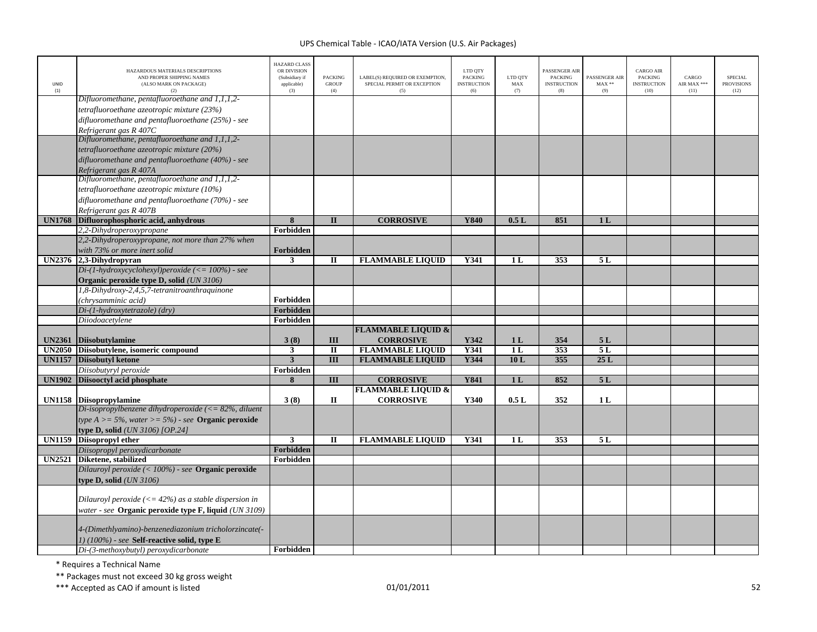|                                | HAZARDOUS MATERIALS DESCRIPTIONS<br>AND PROPER SHIPPING NAMES      | <b>HAZARD CLASS</b><br>OR DIVISION<br>(Subsidiary if | <b>PACKING</b>          | LABEL(S) REQUIRED OR EXEMPTION,             | LTD QTY<br><b>PACKING</b> | LTD OTY                          | PASSENGER AIR<br><b>PACKING</b> | PASSENGER AIR  | <b>CARGO AIR</b><br>PACKING | CARGO               | <b>SPECIAL</b>            |
|--------------------------------|--------------------------------------------------------------------|------------------------------------------------------|-------------------------|---------------------------------------------|---------------------------|----------------------------------|---------------------------------|----------------|-----------------------------|---------------------|---------------------------|
| UNID<br>(1)                    | (ALSO MARK ON PACKAGE)<br>(2)                                      | applicable)<br>(3)                                   | <b>GROUP</b><br>(4)     | SPECIAL PERMIT OR EXCEPTION<br>(5)          | <b>INSTRUCTION</b><br>(6) | MAX<br>(7)                       | <b>INSTRUCTION</b><br>(8)       | $MAX**$<br>(9) | <b>INSTRUCTION</b><br>(10)  | AIR MAX ***<br>(11) | <b>PROVISIONS</b><br>(12) |
|                                | Difluoromethane, pentafluoroethane and 1,1,1,2-                    |                                                      |                         |                                             |                           |                                  |                                 |                |                             |                     |                           |
|                                | tetrafluoroethane azeotropic mixture (23%)                         |                                                      |                         |                                             |                           |                                  |                                 |                |                             |                     |                           |
|                                | difluoromethane and pentafluoroethane (25%) - see                  |                                                      |                         |                                             |                           |                                  |                                 |                |                             |                     |                           |
|                                | Refrigerant gas R 407C                                             |                                                      |                         |                                             |                           |                                  |                                 |                |                             |                     |                           |
|                                | Difluoromethane, pentafluoroethane and 1,1,1,2-                    |                                                      |                         |                                             |                           |                                  |                                 |                |                             |                     |                           |
|                                | tetrafluoroethane azeotropic mixture (20%)                         |                                                      |                         |                                             |                           |                                  |                                 |                |                             |                     |                           |
|                                | difluoromethane and pentafluoroethane (40%) - see                  |                                                      |                         |                                             |                           |                                  |                                 |                |                             |                     |                           |
|                                | Refrigerant gas R 407A                                             |                                                      |                         |                                             |                           |                                  |                                 |                |                             |                     |                           |
|                                | $Difluorome thane$ , pentafluoroethane and $1,1,1,2$ -             |                                                      |                         |                                             |                           |                                  |                                 |                |                             |                     |                           |
|                                | tetrafluoroethane azeotropic mixture (10%)                         |                                                      |                         |                                             |                           |                                  |                                 |                |                             |                     |                           |
|                                | difluoromethane and pentafluoroethane (70%) - see                  |                                                      |                         |                                             |                           |                                  |                                 |                |                             |                     |                           |
|                                | Refrigerant gas R 407B                                             |                                                      |                         |                                             |                           |                                  |                                 |                |                             |                     |                           |
| <b>UN1768</b>                  | Difluorophosphoric acid, anhydrous                                 | 8                                                    | $\mathbf{I}$            | <b>CORROSIVE</b>                            | Y840                      | 0.5L                             | 851                             | 1 <sub>L</sub> |                             |                     |                           |
|                                | 2,2-Dihydroperoxypropane                                           | Forbidden                                            |                         |                                             |                           |                                  |                                 |                |                             |                     |                           |
|                                | 2,2-Dihydroperoxypropane, not more than 27% when                   |                                                      |                         |                                             |                           |                                  |                                 |                |                             |                     |                           |
|                                | with 73% or more inert solid                                       | Forbidden                                            |                         |                                             |                           |                                  |                                 |                |                             |                     |                           |
|                                | UN2376 2,3-Dihydropyran                                            | $\overline{\mathbf{3}}$                              | $\overline{\mathbf{u}}$ | <b>FLAMMABLE LIQUID</b>                     | <b>Y341</b>               | 1L                               | 353                             | 5L             |                             |                     |                           |
|                                | Di-(1-hydroxycyclohexyl)peroxide $\left(\leq 100\% \right)$ - see  |                                                      |                         |                                             |                           |                                  |                                 |                |                             |                     |                           |
|                                | Organic peroxide type D, solid (UN 3106)                           |                                                      |                         |                                             |                           |                                  |                                 |                |                             |                     |                           |
|                                | 1,8-Dihydroxy-2,4,5,7-tetranitroanthraquinone                      |                                                      |                         |                                             |                           |                                  |                                 |                |                             |                     |                           |
|                                | (chrysamminic acid)                                                | Forbidden                                            |                         |                                             |                           |                                  |                                 |                |                             |                     |                           |
|                                | Di-(1-hydroxytetrazole) (dry)                                      | Forbidden                                            |                         |                                             |                           |                                  |                                 |                |                             |                     |                           |
|                                | Diiodoacetylene                                                    | Forbidden                                            |                         |                                             |                           |                                  |                                 |                |                             |                     |                           |
|                                |                                                                    |                                                      |                         | <b>FLAMMABLE LIQUID &amp;</b>               |                           |                                  |                                 |                |                             |                     |                           |
| <b>UN2361</b><br><b>UN2050</b> | Diisobutylamine<br>Diisobutylene, isomeric compound                | 3(8)<br>$\mathbf{3}$                                 | III<br>$\mathbf{I}$     | <b>CORROSIVE</b><br><b>FLAMMABLE LIQUID</b> | Y342<br>Y341              | 1 <sub>L</sub><br>1 <sub>L</sub> | 354<br>353                      | 5L<br>5L       |                             |                     |                           |
| <b>UN1157</b>                  | <b>Diisobutyl ketone</b>                                           | $\overline{3}$                                       | $\overline{\mathbf{H}}$ | <b>FLAMMABLE LIQUID</b>                     | Y344                      | 10L                              | 355                             | 25L            |                             |                     |                           |
|                                | Diisobutyryl peroxide                                              | Forbidden                                            |                         |                                             |                           |                                  |                                 |                |                             |                     |                           |
| <b>UN1902</b>                  | Diisooctyl acid phosphate                                          | 8                                                    | III                     | <b>CORROSIVE</b>                            | <b>Y841</b>               | 1 <sub>L</sub>                   | 852                             | 5L             |                             |                     |                           |
|                                |                                                                    |                                                      |                         | <b>FLAMMABLE LIQUID &amp;</b>               |                           |                                  |                                 |                |                             |                     |                           |
|                                | UN1158 Diisopropylamine                                            | 3(8)                                                 | П                       | <b>CORROSIVE</b>                            | Y340                      | 0.5L                             | 352                             | 1 <sub>L</sub> |                             |                     |                           |
|                                | Di-isopropylbenzene dihydroperoxide ( $\leq$ 82%, diluent          |                                                      |                         |                                             |                           |                                  |                                 |                |                             |                     |                           |
|                                | type $A \ge 5\%$ , water $\ge 5\%$ ) - see <b>Organic peroxide</b> |                                                      |                         |                                             |                           |                                  |                                 |                |                             |                     |                           |
|                                | type D, solid $(UN 3106)$ [OP.24]                                  |                                                      |                         |                                             |                           |                                  |                                 |                |                             |                     |                           |
| <b>UN1159</b>                  | Diisopropyl ether                                                  | $\overline{\mathbf{3}}$                              | $\mathbf{I}$            | <b>FLAMMABLE LIQUID</b>                     | Y341                      | 1 <sub>L</sub>                   | 353                             | 5L             |                             |                     |                           |
|                                | Diisopropyl peroxydicarbonate                                      | Forbidden                                            |                         |                                             |                           |                                  |                                 |                |                             |                     |                           |
|                                | UN2521 Diketene, stabilized                                        | Forbidden                                            |                         |                                             |                           |                                  |                                 |                |                             |                     |                           |
|                                | Dilauroyl peroxide (< 100%) - see <b>Organic peroxide</b>          |                                                      |                         |                                             |                           |                                  |                                 |                |                             |                     |                           |
|                                | type D, solid $(UN 3106)$                                          |                                                      |                         |                                             |                           |                                  |                                 |                |                             |                     |                           |
|                                |                                                                    |                                                      |                         |                                             |                           |                                  |                                 |                |                             |                     |                           |
|                                | Dilauroyl peroxide ( $\leq$ 42%) as a stable dispersion in         |                                                      |                         |                                             |                           |                                  |                                 |                |                             |                     |                           |
|                                | water - see <b>Organic peroxide type F, liquid</b> (UN 3109)       |                                                      |                         |                                             |                           |                                  |                                 |                |                             |                     |                           |
|                                |                                                                    |                                                      |                         |                                             |                           |                                  |                                 |                |                             |                     |                           |
|                                | 4-(Dimethlyamino)-benzenediazonium tricholorzincate(-              |                                                      |                         |                                             |                           |                                  |                                 |                |                             |                     |                           |
|                                | $1)$ (100%) - see Self-reactive solid, type E                      |                                                      |                         |                                             |                           |                                  |                                 |                |                             |                     |                           |
|                                | Di-(3-methoxybutyl) peroxydicarbonate                              | Forbidden                                            |                         |                                             |                           |                                  |                                 |                |                             |                     |                           |

\* Requires <sup>a</sup> Technical Name

\*\* Packages must not exceed 30 kg gross weight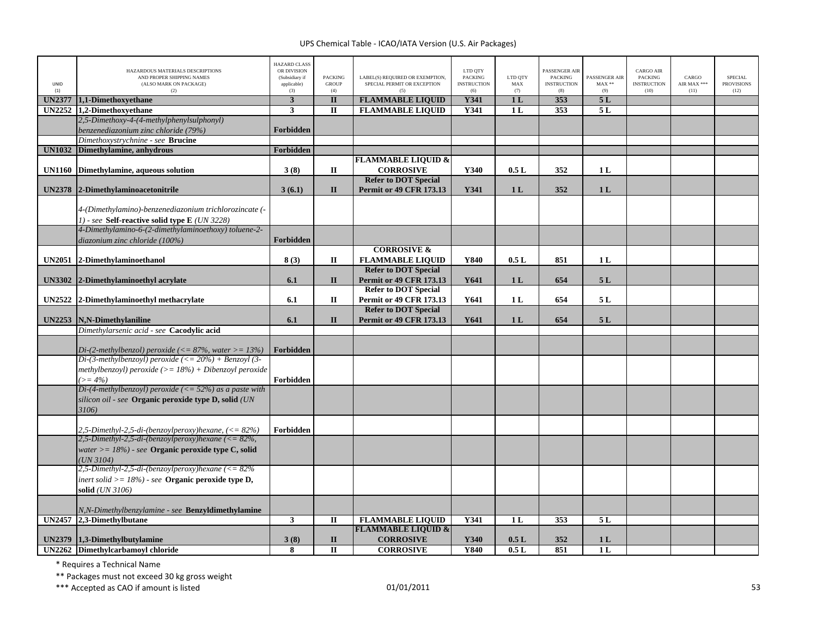| UNID<br>(1)   | HAZARDOUS MATERIALS DESCRIPTIONS<br>AND PROPER SHIPPING NAMES<br>(ALSO MARK ON PACKAGE)<br>(2) | <b>HAZARD CLASS</b><br>OR DIVISION<br>(Subsidiary if<br>applicable)<br>(3) | <b>PACKING</b><br><b>GROUP</b><br>(4) | LABEL(S) REQUIRED OR EXEMPTION,<br>SPECIAL PERMIT OR EXCEPTION<br>(5) | LTD QTY<br><b>PACKING</b><br><b>INSTRUCTION</b><br>(6) | LTD OTY<br>$\mathbf{MAX}$<br>(7) | PASSENGER AIR<br><b>PACKING</b><br><b>INSTRUCTION</b><br>(8) | PASSENGER AIR<br>$MAX**$<br>(9) | <b>CARGO AIR</b><br><b>PACKING</b><br><b>INSTRUCTION</b><br>(10) | CARGO<br>AIR MAX ***<br>(11) | <b>SPECIAL</b><br><b>PROVISIONS</b><br>(12) |
|---------------|------------------------------------------------------------------------------------------------|----------------------------------------------------------------------------|---------------------------------------|-----------------------------------------------------------------------|--------------------------------------------------------|----------------------------------|--------------------------------------------------------------|---------------------------------|------------------------------------------------------------------|------------------------------|---------------------------------------------|
| <b>UN2377</b> | 1,1-Dimethoxyethane                                                                            | $\mathbf{3}$                                                               | $\mathbf{I}$                          | <b>FLAMMABLE LIQUID</b>                                               | <b>Y341</b>                                            | 1 <sub>L</sub>                   | 353                                                          | 5L                              |                                                                  |                              |                                             |
| <b>UN2252</b> | 1,2-Dimethoxyethane                                                                            | 3                                                                          | $\mathbf{I}$                          | <b>FLAMMABLE LIQUID</b>                                               | Y341                                                   | 1 <sub>L</sub>                   | 353                                                          | 5L                              |                                                                  |                              |                                             |
|               | 2,5-Dimethoxy-4-(4-methylphenylsulphonyl)                                                      |                                                                            |                                       |                                                                       |                                                        |                                  |                                                              |                                 |                                                                  |                              |                                             |
|               | benzenediazonium zinc chloride (79%)                                                           | Forbidden                                                                  |                                       |                                                                       |                                                        |                                  |                                                              |                                 |                                                                  |                              |                                             |
|               | Dimethoxystrychnine - see Brucine                                                              |                                                                            |                                       |                                                                       |                                                        |                                  |                                                              |                                 |                                                                  |                              |                                             |
| <b>UN1032</b> | Dimethylamine, anhydrous                                                                       | Forbidden                                                                  |                                       |                                                                       |                                                        |                                  |                                                              |                                 |                                                                  |                              |                                             |
|               |                                                                                                |                                                                            |                                       | <b>FLAMMABLE LIQUID &amp;</b>                                         |                                                        |                                  |                                                              |                                 |                                                                  |                              |                                             |
| <b>UN1160</b> | Dimethylamine, aqueous solution                                                                | 3(8)                                                                       | П                                     | <b>CORROSIVE</b>                                                      | Y340                                                   | 0.5L                             | 352                                                          | 1 <sub>L</sub>                  |                                                                  |                              |                                             |
|               |                                                                                                |                                                                            |                                       | <b>Refer to DOT Special</b>                                           |                                                        |                                  |                                                              |                                 |                                                                  |                              |                                             |
| <b>UN2378</b> | 2-Dimethylaminoacetonitrile                                                                    | 3(6.1)                                                                     | $\mathbf{I}$                          | <b>Permit or 49 CFR 173.13</b>                                        | Y341                                                   | 1L                               | 352                                                          | 1L                              |                                                                  |                              |                                             |
|               |                                                                                                |                                                                            |                                       |                                                                       |                                                        |                                  |                                                              |                                 |                                                                  |                              |                                             |
|               | 4-(Dimethylamino)-benzenediazonium trichlorozincate (-                                         |                                                                            |                                       |                                                                       |                                                        |                                  |                                                              |                                 |                                                                  |                              |                                             |
|               | 1) - see Self-reactive solid type E (UN 3228)                                                  |                                                                            |                                       |                                                                       |                                                        |                                  |                                                              |                                 |                                                                  |                              |                                             |
|               | 4-Dimethylamino-6-(2-dimethylaminoethoxy) toluene-2-                                           |                                                                            |                                       |                                                                       |                                                        |                                  |                                                              |                                 |                                                                  |                              |                                             |
|               |                                                                                                |                                                                            |                                       |                                                                       |                                                        |                                  |                                                              |                                 |                                                                  |                              |                                             |
|               | diazonium zinc chloride (100%)                                                                 | Forbidden                                                                  |                                       | <b>CORROSIVE &amp;</b>                                                |                                                        |                                  |                                                              |                                 |                                                                  |                              |                                             |
|               |                                                                                                |                                                                            |                                       |                                                                       | Y840                                                   |                                  |                                                              |                                 |                                                                  |                              |                                             |
| <b>UN2051</b> | 2-Dimethylaminoethanol                                                                         | 8(3)                                                                       | П                                     | <b>FLAMMABLE LIQUID</b>                                               |                                                        | 0.5L                             | 851                                                          | 1 <sub>L</sub>                  |                                                                  |                              |                                             |
|               |                                                                                                |                                                                            |                                       | <b>Refer to DOT Special</b>                                           |                                                        |                                  |                                                              |                                 |                                                                  |                              |                                             |
|               | UN3302 2-Dimethylaminoethyl acrylate                                                           | 6.1                                                                        | $\mathbf{I}$                          | Permit or 49 CFR 173.13                                               | Y641                                                   | 1 <sub>L</sub>                   | 654                                                          | 5L                              |                                                                  |                              |                                             |
|               |                                                                                                |                                                                            |                                       | <b>Refer to DOT Special</b>                                           |                                                        |                                  |                                                              |                                 |                                                                  |                              |                                             |
|               | UN2522 2-Dimethylaminoethyl methacrylate                                                       | 6.1                                                                        | П                                     | <b>Permit or 49 CFR 173.13</b>                                        | Y641                                                   | 1 <sub>L</sub>                   | 654                                                          | 5 L                             |                                                                  |                              |                                             |
|               |                                                                                                |                                                                            |                                       | <b>Refer to DOT Special</b>                                           |                                                        |                                  |                                                              |                                 |                                                                  |                              |                                             |
| <b>UN2253</b> | N,N-Dimethylaniline                                                                            | 6.1                                                                        | $\mathbf{I}$                          | <b>Permit or 49 CFR 173.13</b>                                        | Y641                                                   | 1 <sub>L</sub>                   | 654                                                          | 5L                              |                                                                  |                              |                                             |
|               | Dimethylarsenic acid - see Cacodylic acid                                                      |                                                                            |                                       |                                                                       |                                                        |                                  |                                                              |                                 |                                                                  |                              |                                             |
|               |                                                                                                |                                                                            |                                       |                                                                       |                                                        |                                  |                                                              |                                 |                                                                  |                              |                                             |
|               | Di-(2-methylbenzol) peroxide ( $\langle = 87\%$ , water $\rangle = 13\%$ )                     | Forbidden                                                                  |                                       |                                                                       |                                                        |                                  |                                                              |                                 |                                                                  |                              |                                             |
|               | Di-(3-methylbenzoyl) peroxide (<= $20\%$ ) + Benzoyl (3-                                       |                                                                            |                                       |                                                                       |                                                        |                                  |                                                              |                                 |                                                                  |                              |                                             |
|               | methylbenzoyl) peroxide (>= $18%$ ) + Dibenzoyl peroxide                                       |                                                                            |                                       |                                                                       |                                                        |                                  |                                                              |                                 |                                                                  |                              |                                             |
|               | $\geq$ = 4%)                                                                                   | Forbidden                                                                  |                                       |                                                                       |                                                        |                                  |                                                              |                                 |                                                                  |                              |                                             |
|               | Di-(4-methylbenzoyl) peroxide ( $\leq$ = 52%) as a paste with                                  |                                                                            |                                       |                                                                       |                                                        |                                  |                                                              |                                 |                                                                  |                              |                                             |
|               | silicon oil - see <b>Organic peroxide type D, solid</b> (UN                                    |                                                                            |                                       |                                                                       |                                                        |                                  |                                                              |                                 |                                                                  |                              |                                             |
|               | 3106)                                                                                          |                                                                            |                                       |                                                                       |                                                        |                                  |                                                              |                                 |                                                                  |                              |                                             |
|               |                                                                                                |                                                                            |                                       |                                                                       |                                                        |                                  |                                                              |                                 |                                                                  |                              |                                             |
|               | 2,5-Dimethyl-2,5-di-(benzoylperoxy)hexane, $\left(\leq 82\%\right)$                            | Forbidden                                                                  |                                       |                                                                       |                                                        |                                  |                                                              |                                 |                                                                  |                              |                                             |
|               | 2,5-Dimethyl-2,5-di-(benzoylperoxy)hexane (<= $82\%$ ,                                         |                                                                            |                                       |                                                                       |                                                        |                                  |                                                              |                                 |                                                                  |                              |                                             |
|               | water $\geq$ = 18%) - see Organic peroxide type C, solid                                       |                                                                            |                                       |                                                                       |                                                        |                                  |                                                              |                                 |                                                                  |                              |                                             |
|               | (UN 3104)                                                                                      |                                                                            |                                       |                                                                       |                                                        |                                  |                                                              |                                 |                                                                  |                              |                                             |
|               | 2,5-Dimethyl-2,5-di-(benzoylperoxy)hexane $\langle \langle = 82\% \rangle$                     |                                                                            |                                       |                                                                       |                                                        |                                  |                                                              |                                 |                                                                  |                              |                                             |
|               | inert solid > = $18\%$ ) - see Organic peroxide type D,                                        |                                                                            |                                       |                                                                       |                                                        |                                  |                                                              |                                 |                                                                  |                              |                                             |
|               | solid (UN 3106)                                                                                |                                                                            |                                       |                                                                       |                                                        |                                  |                                                              |                                 |                                                                  |                              |                                             |
|               |                                                                                                |                                                                            |                                       |                                                                       |                                                        |                                  |                                                              |                                 |                                                                  |                              |                                             |
|               | N,N-Dimethylbenzylamine - see <b>Benzyldimethylamine</b>                                       |                                                                            |                                       |                                                                       |                                                        |                                  |                                                              |                                 |                                                                  |                              |                                             |
|               | UN2457 2,3-Dimethylbutane                                                                      | $\mathbf{3}$                                                               | $\mathbf{I}$                          | <b>FLAMMABLE LIQUID</b>                                               | Y341                                                   | 1 <sub>L</sub>                   | 353                                                          | 5L                              |                                                                  |                              |                                             |
|               |                                                                                                |                                                                            |                                       | <b>FLAMMABLE LIQUID &amp;</b>                                         |                                                        |                                  |                                                              |                                 |                                                                  |                              |                                             |
| <b>UN2379</b> | 1,3-Dimethylbutylamine                                                                         | 3(8)                                                                       | $\mathbf{I}$                          | <b>CORROSIVE</b>                                                      | Y340                                                   | 0.5L                             | 352                                                          | 1 <sub>L</sub>                  |                                                                  |                              |                                             |
|               | UN2262 Dimethylcarbamoyl chloride                                                              | 8                                                                          | $\mathbf{I}$                          | <b>CORROSIVE</b>                                                      | <b>Y840</b>                                            | 0.5L                             | 851                                                          | 1 <sub>L</sub>                  |                                                                  |                              |                                             |

\* Requires <sup>a</sup> Technical Name

\*\* Packages must not exceed 30 kg gross weight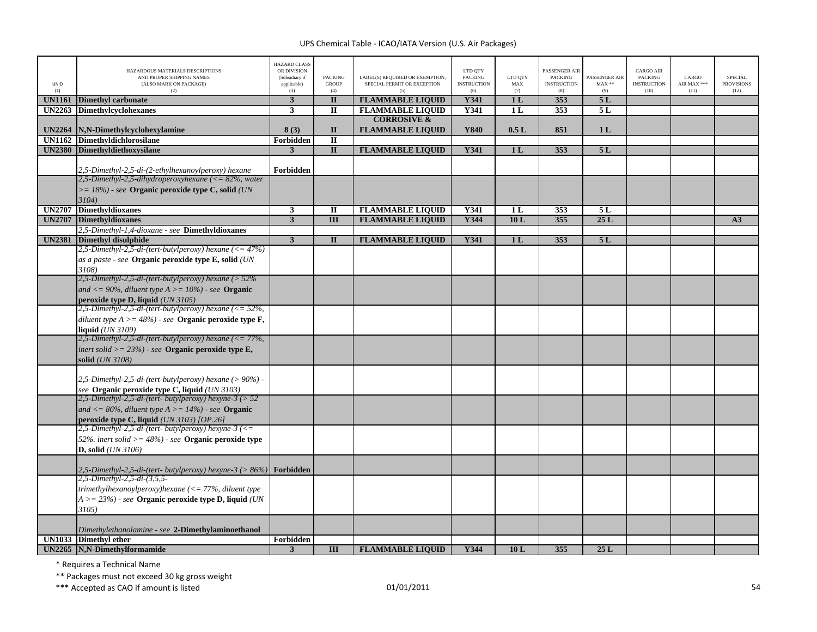| UNID<br>(1)   | HAZARDOUS MATERIALS DESCRIPTIONS<br>AND PROPER SHIPPING NAMES<br>(ALSO MARK ON PACKAGE)<br>(2) | <b>HAZARD CLASS</b><br>OR DIVISION<br>(Subsidiary if<br>applicable)<br>(3) | <b>PACKING</b><br><b>GROUP</b><br>(4) | LABEL(S) REQUIRED OR EXEMPTION,<br>SPECIAL PERMIT OR EXCEPTION<br>(5) | LTD QTY<br>PACKING<br><b>INSTRUCTION</b><br>(6) | LTD QTY<br>MAX<br>(7) | ASSENGER AIR<br><b>PACKING</b><br><b>INSTRUCTION</b><br>(8) | PASSENGER AIR<br>$MAX**$<br>(9) | CARGO AIR<br>PACKING<br><b>INSTRUCTION</b><br>(10) | CARGO<br>AIR MAX ***<br>(11) | <b>SPECIAL</b><br><b>PROVISIONS</b><br>(12) |
|---------------|------------------------------------------------------------------------------------------------|----------------------------------------------------------------------------|---------------------------------------|-----------------------------------------------------------------------|-------------------------------------------------|-----------------------|-------------------------------------------------------------|---------------------------------|----------------------------------------------------|------------------------------|---------------------------------------------|
| <b>UN1161</b> | <b>Dimethyl carbonate</b>                                                                      | $\mathbf{3}$                                                               | $\overline{\mathbf{u}}$               | <b>FLAMMABLE LIQUID</b>                                               | Y341                                            | 1 <sub>L</sub>        | 353                                                         | 5L                              |                                                    |                              |                                             |
| <b>UN2263</b> | <b>Dimethylcyclohexanes</b>                                                                    | $\mathbf{3}$                                                               | $\mathbf{I}$                          | <b>FLAMMABLE LIQUID</b>                                               | Y341                                            | 1 <sub>L</sub>        | 353                                                         | 5L                              |                                                    |                              |                                             |
|               |                                                                                                |                                                                            |                                       | <b>CORROSIVE &amp;</b>                                                |                                                 |                       |                                                             |                                 |                                                    |                              |                                             |
|               | UN2264   N, N-Dimethylcyclohexylamine                                                          | 8(3)                                                                       | $\mathbf{I}$                          | <b>FLAMMABLE LIQUID</b>                                               | Y840                                            | 0.5L                  | 851                                                         | 1 <sub>L</sub>                  |                                                    |                              |                                             |
|               | UN1162 Dimethyldichlorosilane                                                                  | Forbidden                                                                  | $\overline{\mathbf{u}}$               |                                                                       |                                                 |                       |                                                             |                                 |                                                    |                              |                                             |
| <b>UN2380</b> | <b>Dimethyldiethoxysilane</b>                                                                  | $\mathbf{3}$                                                               | $\overline{\mathbf{u}}$               | <b>FLAMMABLE LIQUID</b>                                               | Y341                                            | 1 <sub>L</sub>        | 353                                                         | 5L                              |                                                    |                              |                                             |
|               | 2,5-Dimethyl-2,5-di-(2-ethylhexanoylperoxy) hexane                                             | Forbidden                                                                  |                                       |                                                                       |                                                 |                       |                                                             |                                 |                                                    |                              |                                             |
|               | $2,5$ -Dimethyl-2,5-dihydroperoxyhexane (<= 82%, water                                         |                                                                            |                                       |                                                                       |                                                 |                       |                                                             |                                 |                                                    |                              |                                             |
|               | $\gamma$ = 18%) - see Organic peroxide type C, solid (UN                                       |                                                                            |                                       |                                                                       |                                                 |                       |                                                             |                                 |                                                    |                              |                                             |
|               | 3104)                                                                                          |                                                                            |                                       |                                                                       |                                                 |                       |                                                             |                                 |                                                    |                              |                                             |
| <b>UN2707</b> | <b>Dimethyldioxanes</b>                                                                        | $\mathbf{3}$                                                               | $\mathbf{I}$                          | <b>FLAMMABLE LIQUID</b>                                               | Y341                                            | 1 <sub>L</sub>        | 353                                                         | 5L                              |                                                    |                              |                                             |
| <b>UN2707</b> | Dimethyldioxanes                                                                               | $\overline{\mathbf{3}}$                                                    | $\overline{III}$                      | <b>FLAMMABLE LIQUID</b>                                               | Y344                                            | 10L                   | 355                                                         | 25L                             |                                                    |                              | A3                                          |
|               | 2,5-Dimethyl-1,4-dioxane - see Dimethyldioxanes                                                |                                                                            |                                       |                                                                       |                                                 |                       |                                                             |                                 |                                                    |                              |                                             |
| <b>UN2381</b> | <b>Dimethyl disulphide</b>                                                                     | $\overline{\mathbf{3}}$                                                    | $\mathbf{I}$                          | <b>FLAMMABLE LIQUID</b>                                               | Y341                                            | 1 <sub>L</sub>        | 353                                                         | 5L                              |                                                    |                              |                                             |
|               | 2,5-Dimethyl-2,5-di-(tert-butylperoxy) hexane $(\leq 47\%)$                                    |                                                                            |                                       |                                                                       |                                                 |                       |                                                             |                                 |                                                    |                              |                                             |
|               | as a paste - see Organic peroxide type E, solid (UN                                            |                                                                            |                                       |                                                                       |                                                 |                       |                                                             |                                 |                                                    |                              |                                             |
|               | 3108)                                                                                          |                                                                            |                                       |                                                                       |                                                 |                       |                                                             |                                 |                                                    |                              |                                             |
|               | 2,5-Dimethyl-2,5-di-(tert-butylperoxy) hexane ( $>$ 52%                                        |                                                                            |                                       |                                                                       |                                                 |                       |                                                             |                                 |                                                    |                              |                                             |
|               | and $\langle 90\%,$ diluent type A $\rangle$ = 10%) - see <b>Organic</b>                       |                                                                            |                                       |                                                                       |                                                 |                       |                                                             |                                 |                                                    |                              |                                             |
|               | peroxide type D, liquid (UN 3105)                                                              |                                                                            |                                       |                                                                       |                                                 |                       |                                                             |                                 |                                                    |                              |                                             |
|               | $\frac{2}{5}$ -Dimethyl-2,5-di-(tert-butylperoxy) hexane (<= 52%,                              |                                                                            |                                       |                                                                       |                                                 |                       |                                                             |                                 |                                                    |                              |                                             |
|               | diluent type $A > = 48\%)$ - see Organic peroxide type F,                                      |                                                                            |                                       |                                                                       |                                                 |                       |                                                             |                                 |                                                    |                              |                                             |
|               | <b>liquid</b> (UN 3109)                                                                        |                                                                            |                                       |                                                                       |                                                 |                       |                                                             |                                 |                                                    |                              |                                             |
|               | 2,5-Dimethyl-2,5-di-(tert-butylperoxy) hexane (<= $77\%$ ,                                     |                                                                            |                                       |                                                                       |                                                 |                       |                                                             |                                 |                                                    |                              |                                             |
|               | inert solid $>= 23\%$ ) - see Organic peroxide type E,                                         |                                                                            |                                       |                                                                       |                                                 |                       |                                                             |                                 |                                                    |                              |                                             |
|               | solid (UN 3108)                                                                                |                                                                            |                                       |                                                                       |                                                 |                       |                                                             |                                 |                                                    |                              |                                             |
|               | 2,5-Dimethyl-2,5-di-(tert-butylperoxy) hexane (> 90%) -                                        |                                                                            |                                       |                                                                       |                                                 |                       |                                                             |                                 |                                                    |                              |                                             |
|               | see Organic peroxide type C, liquid (UN 3103)                                                  |                                                                            |                                       |                                                                       |                                                 |                       |                                                             |                                 |                                                    |                              |                                             |
|               | 2,5-Dimethyl-2,5-di-(tert- butylperoxy) hexyne-3 (> 52                                         |                                                                            |                                       |                                                                       |                                                 |                       |                                                             |                                 |                                                    |                              |                                             |
|               | and $\langle 86\%, \text{ diluent type A} \rangle = 14\%$ - see <b>Organic</b>                 |                                                                            |                                       |                                                                       |                                                 |                       |                                                             |                                 |                                                    |                              |                                             |
|               | peroxide type C, liquid $(UN 3103)$ [OP.26]                                                    |                                                                            |                                       |                                                                       |                                                 |                       |                                                             |                                 |                                                    |                              |                                             |
|               | $2,5$ -Dimethyl-2,5-di-(tert-butylperoxy) hexyne-3 (<=                                         |                                                                            |                                       |                                                                       |                                                 |                       |                                                             |                                 |                                                    |                              |                                             |
|               | 52%, inert solid $\geq$ = 48%) - see <b>Organic peroxide type</b>                              |                                                                            |                                       |                                                                       |                                                 |                       |                                                             |                                 |                                                    |                              |                                             |
|               | $D$ , solid $(UN 3106)$                                                                        |                                                                            |                                       |                                                                       |                                                 |                       |                                                             |                                 |                                                    |                              |                                             |
|               |                                                                                                |                                                                            |                                       |                                                                       |                                                 |                       |                                                             |                                 |                                                    |                              |                                             |
|               | 2,5-Dimethyl-2,5-di-(tert- butylperoxy) hexyne-3 (> $86\%$ )                                   | Forbidden                                                                  |                                       |                                                                       |                                                 |                       |                                                             |                                 |                                                    |                              |                                             |
|               | 2,5-Dimethyl-2,5-di-(3,5,5-<br>trimethylhexanoylperoxy)hexane $\ll 77\%$ , diluent type        |                                                                            |                                       |                                                                       |                                                 |                       |                                                             |                                 |                                                    |                              |                                             |
|               |                                                                                                |                                                                            |                                       |                                                                       |                                                 |                       |                                                             |                                 |                                                    |                              |                                             |
|               | $A >= 23\%)$ - see Organic peroxide type D, liquid (UN<br>$3105$ )                             |                                                                            |                                       |                                                                       |                                                 |                       |                                                             |                                 |                                                    |                              |                                             |
|               |                                                                                                |                                                                            |                                       |                                                                       |                                                 |                       |                                                             |                                 |                                                    |                              |                                             |
|               | Dimethylethanolamine - see 2-Dimethylaminoethanol                                              |                                                                            |                                       |                                                                       |                                                 |                       |                                                             |                                 |                                                    |                              |                                             |
|               | UN1033 Dimethyl ether                                                                          | Forbidden                                                                  |                                       |                                                                       |                                                 |                       |                                                             |                                 |                                                    |                              |                                             |
|               | UN2265 N.N-Dimethylformamide                                                                   | 3                                                                          | III                                   | <b>FLAMMABLE LIQUID</b>                                               | Y344                                            | 10L                   | 355                                                         | 25L                             |                                                    |                              |                                             |

\* Requires <sup>a</sup> Technical Name

\*\* Packages must not exceed 30 kg gross weight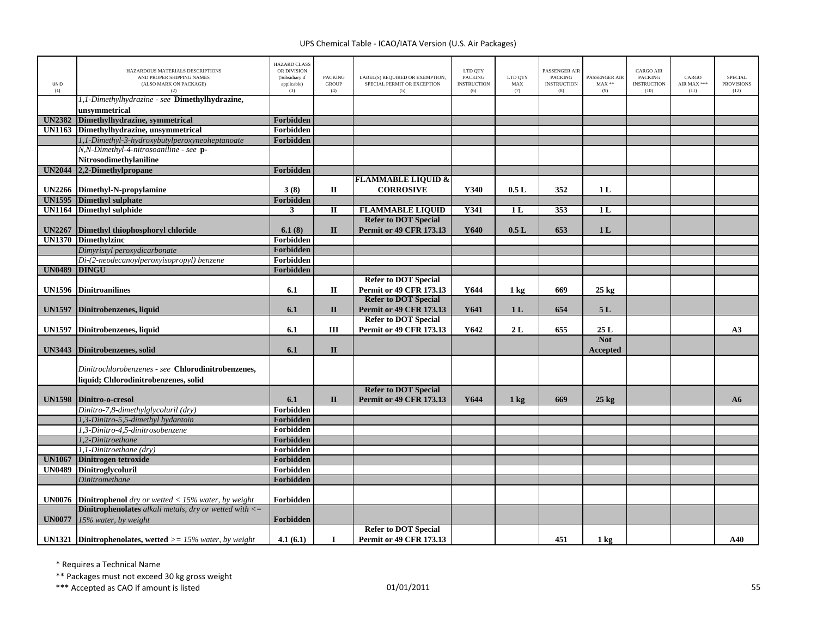| UNID<br>(1)                    | HAZARDOUS MATERIALS DESCRIPTIONS<br>AND PROPER SHIPPING NAMES<br>(ALSO MARK ON PACKAGE)<br>(2) | <b>HAZARD CLASS</b><br>OR DIVISION<br>(Subsidiary if<br>applicable)<br>(3) | <b>PACKING</b><br><b>GROUP</b><br>(4) | LABEL(S) REQUIRED OR EXEMPTION,<br>SPECIAL PERMIT OR EXCEPTION<br>(5) | LTD QTY<br><b>PACKING</b><br><b>INSTRUCTION</b><br>(6) | LTD QTY<br>MAX<br>(7) | PASSENGER AIR<br><b>PACKING</b><br><b>INSTRUCTION</b><br>(8) | <b>PASSENGER AIR</b><br>$MAX**$<br>(9) | <b>CARGO AIR</b><br><b>PACKING</b><br><b>INSTRUCTION</b><br>(10) | CARGO<br>AIR MAX ***<br>(11) | <b>SPECIAL</b><br><b>PROVISIONS</b><br>(12) |
|--------------------------------|------------------------------------------------------------------------------------------------|----------------------------------------------------------------------------|---------------------------------------|-----------------------------------------------------------------------|--------------------------------------------------------|-----------------------|--------------------------------------------------------------|----------------------------------------|------------------------------------------------------------------|------------------------------|---------------------------------------------|
|                                | 1,1-Dimethylhydrazine - see Dimethylhydrazine,<br>unsvmmetrical                                |                                                                            |                                       |                                                                       |                                                        |                       |                                                              |                                        |                                                                  |                              |                                             |
| <b>UN2382</b>                  | Dimethylhydrazine, symmetrical                                                                 | Forbidden                                                                  |                                       |                                                                       |                                                        |                       |                                                              |                                        |                                                                  |                              |                                             |
| <b>UN1163</b>                  | Dimethylhydrazine, unsymmetrical                                                               | Forbidden                                                                  |                                       |                                                                       |                                                        |                       |                                                              |                                        |                                                                  |                              |                                             |
|                                | 1,1-Dimethyl-3-hydroxybutylperoxyneoheptanoate                                                 | Forbidden                                                                  |                                       |                                                                       |                                                        |                       |                                                              |                                        |                                                                  |                              |                                             |
|                                | N,N-Dimethyl-4-nitrosoaniline - see p-                                                         |                                                                            |                                       |                                                                       |                                                        |                       |                                                              |                                        |                                                                  |                              |                                             |
|                                | <b>Nitrosodimethvlaniline</b>                                                                  |                                                                            |                                       |                                                                       |                                                        |                       |                                                              |                                        |                                                                  |                              |                                             |
|                                | UN2044 2,2-Dimethylpropane                                                                     | Forbidden                                                                  |                                       |                                                                       |                                                        |                       |                                                              |                                        |                                                                  |                              |                                             |
|                                |                                                                                                |                                                                            |                                       | <b>FLAMMABLE LIQUID &amp;</b>                                         |                                                        |                       |                                                              |                                        |                                                                  |                              |                                             |
| <b>UN2266</b>                  | Dimethyl-N-propylamine                                                                         | 3(8)                                                                       | $\mathbf{I}$                          | <b>CORROSIVE</b>                                                      | Y340                                                   | 0.5L                  | 352                                                          | 1L                                     |                                                                  |                              |                                             |
|                                | <b>UN1595</b> Dimethyl sulphate                                                                | Forbidden                                                                  |                                       |                                                                       |                                                        |                       |                                                              |                                        |                                                                  |                              |                                             |
| <b>UN1164</b>                  | <b>Dimethyl sulphide</b>                                                                       | $\mathbf{3}$                                                               | $\mathbf I$                           | <b>FLAMMABLE LIQUID</b>                                               | Y341                                                   | 1 <sub>L</sub>        | 353                                                          | 1L                                     |                                                                  |                              |                                             |
|                                |                                                                                                |                                                                            |                                       | <b>Refer to DOT Special</b>                                           |                                                        |                       |                                                              |                                        |                                                                  |                              |                                             |
| <b>UN2267</b><br><b>UN1370</b> | Dimethyl thiophosphoryl chloride<br><b>Dimethylzinc</b>                                        | 6.1(8)<br>Forbidden                                                        | $\mathbf{I}$                          | <b>Permit or 49 CFR 173.13</b>                                        | Y640                                                   | 0.5L                  | 653                                                          | 1 <sub>L</sub>                         |                                                                  |                              |                                             |
|                                |                                                                                                | Forbidden                                                                  |                                       |                                                                       |                                                        |                       |                                                              |                                        |                                                                  |                              |                                             |
|                                | Dimyristyl peroxydicarbonate<br>Di-(2-neodecanoylperoxyisopropyl) benzene                      | Forbidden                                                                  |                                       |                                                                       |                                                        |                       |                                                              |                                        |                                                                  |                              |                                             |
| <b>UN0489</b>                  | <b>DINGU</b>                                                                                   | Forbidden                                                                  |                                       |                                                                       |                                                        |                       |                                                              |                                        |                                                                  |                              |                                             |
|                                |                                                                                                |                                                                            |                                       | <b>Refer to DOT Special</b>                                           |                                                        |                       |                                                              |                                        |                                                                  |                              |                                             |
|                                | <b>UN1596</b> Dinitroanilines                                                                  | 6.1                                                                        | $\mathbf{I}$                          | <b>Permit or 49 CFR 173.13</b>                                        | Y644                                                   | $1 \text{ kg}$        | 669                                                          | $25 \text{ kg}$                        |                                                                  |                              |                                             |
|                                |                                                                                                |                                                                            |                                       | <b>Refer to DOT Special</b>                                           |                                                        |                       |                                                              |                                        |                                                                  |                              |                                             |
| <b>UN1597</b>                  | Dinitrobenzenes, liquid                                                                        | 6.1                                                                        | $\mathbf{I}$                          | <b>Permit or 49 CFR 173.13</b>                                        | Y641                                                   | 1 <sub>L</sub>        | 654                                                          | 5L                                     |                                                                  |                              |                                             |
|                                |                                                                                                |                                                                            |                                       | <b>Refer to DOT Special</b>                                           |                                                        |                       |                                                              |                                        |                                                                  |                              |                                             |
| <b>UN1597</b>                  | Dinitrobenzenes, liquid                                                                        | 6.1                                                                        | Ш                                     | Permit or 49 CFR 173.13                                               | Y642                                                   | 2L                    | 655                                                          | 25L                                    |                                                                  |                              | A3                                          |
|                                |                                                                                                |                                                                            |                                       |                                                                       |                                                        |                       |                                                              | <b>Not</b>                             |                                                                  |                              |                                             |
| <b>UN3443</b>                  | Dinitrobenzenes, solid                                                                         | 6.1                                                                        | $\mathbf{I}$                          |                                                                       |                                                        |                       |                                                              | Accepted                               |                                                                  |                              |                                             |
|                                | Dinitrochlorobenzenes - see Chlorodinitrobenzenes,<br>liquid: Chlorodinitrobenzenes, solid     |                                                                            |                                       |                                                                       |                                                        |                       |                                                              |                                        |                                                                  |                              |                                             |
| <b>UN1598</b>                  | Dinitro-o-cresol                                                                               | 6.1                                                                        | $\mathbf{I}$                          | <b>Refer to DOT Special</b><br><b>Permit or 49 CFR 173.13</b>         | Y644                                                   | $1 \text{ kg}$        | 669                                                          | $25 \text{ kg}$                        |                                                                  |                              | A6                                          |
|                                | Dinitro-7,8-dimethylglycoluril (dry)                                                           | Forbidden                                                                  |                                       |                                                                       |                                                        |                       |                                                              |                                        |                                                                  |                              |                                             |
|                                | 1,3-Dinitro-5,5-dimethyl hydantoin                                                             | Forbidden                                                                  |                                       |                                                                       |                                                        |                       |                                                              |                                        |                                                                  |                              |                                             |
|                                | 1,3-Dinitro-4,5-dinitrosobenzene                                                               | Forbidden                                                                  |                                       |                                                                       |                                                        |                       |                                                              |                                        |                                                                  |                              |                                             |
|                                | 1,2-Dinitroethane                                                                              | Forbidden                                                                  |                                       |                                                                       |                                                        |                       |                                                              |                                        |                                                                  |                              |                                             |
|                                | 1,1-Dinitroethane (dry)                                                                        | Forbidden                                                                  |                                       |                                                                       |                                                        |                       |                                                              |                                        |                                                                  |                              |                                             |
| <b>UN1067</b>                  | Dinitrogen tetroxide                                                                           | Forbidden                                                                  |                                       |                                                                       |                                                        |                       |                                                              |                                        |                                                                  |                              |                                             |
| <b>UN0489</b>                  | Dinitroglycoluril                                                                              | Forbidden                                                                  |                                       |                                                                       |                                                        |                       |                                                              |                                        |                                                                  |                              |                                             |
|                                | Dinitromethane                                                                                 | Forbidden                                                                  |                                       |                                                                       |                                                        |                       |                                                              |                                        |                                                                  |                              |                                             |
| <b>UN0076</b>                  | <b>Dinitrophenol</b> dry or wetted $<$ 15% water, by weight                                    | Forbidden                                                                  |                                       |                                                                       |                                                        |                       |                                                              |                                        |                                                                  |                              |                                             |
|                                | <b>Dinitrophenolates</b> alkali metals, dry or wetted with $\leq$                              |                                                                            |                                       |                                                                       |                                                        |                       |                                                              |                                        |                                                                  |                              |                                             |
| <b>UN0077</b>                  | 15% water, by weight                                                                           | Forbidden                                                                  |                                       |                                                                       |                                                        |                       |                                                              |                                        |                                                                  |                              |                                             |
|                                |                                                                                                |                                                                            |                                       | <b>Refer to DOT Special</b>                                           |                                                        |                       |                                                              |                                        |                                                                  |                              |                                             |
|                                | <b>UN1321</b> Dinitrophenolates, wetted $> = 15\%$ water, by weight                            | 4.1(6.1)                                                                   | $\bf{I}$                              | <b>Permit or 49 CFR 173.13</b>                                        |                                                        |                       | 451                                                          | $1 \text{ kg}$                         |                                                                  |                              | A40                                         |

\* Requires <sup>a</sup> Technical Name

\*\* Packages must not exceed 30 kg gross weight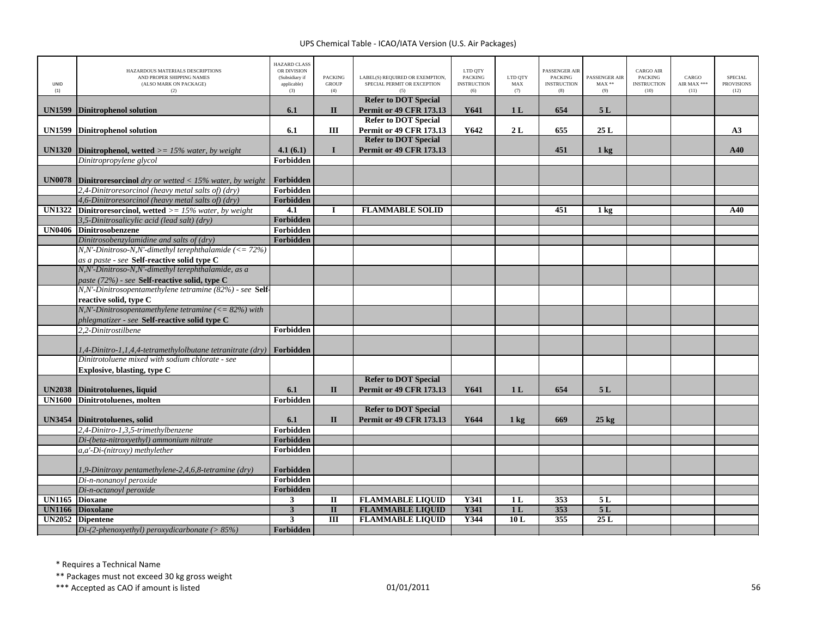| <b>UNID</b><br>(1) | HAZARDOUS MATERIALS DESCRIPTIONS<br>AND PROPER SHIPPING NAMES<br>(ALSO MARK ON PACKAGE)<br>(2)           | <b>HAZARD CLASS</b><br>OR DIVISION<br>(Subsidiary if<br>applicable)<br>(3) | <b>PACKING</b><br><b>GROUP</b><br>(4) | LABEL(S) REQUIRED OR EXEMPTION,<br>SPECIAL PERMIT OR EXCEPTION | LTD QTY<br><b>PACKING</b><br><b>INSTRUCTION</b><br>(6) | LTD OTY<br>MAX<br>(7) | <b>PASSENGER AIR</b><br><b>PACKING</b><br><b>INSTRUCTION</b><br>(8) | PASSENGER AIR<br>$MAX**$<br>(9) | <b>CARGO AIR</b><br><b>PACKING</b><br><b>INSTRUCTION</b><br>(10) | CARGO<br>AIR MAX ***<br>(11) | <b>SPECIAL</b><br><b>PROVISIONS</b><br>(12) |
|--------------------|----------------------------------------------------------------------------------------------------------|----------------------------------------------------------------------------|---------------------------------------|----------------------------------------------------------------|--------------------------------------------------------|-----------------------|---------------------------------------------------------------------|---------------------------------|------------------------------------------------------------------|------------------------------|---------------------------------------------|
| <b>UN1599</b>      | <b>Dinitrophenol solution</b>                                                                            | 6.1                                                                        | $\mathbf{I}$                          | <b>Refer to DOT Special</b><br><b>Permit or 49 CFR 173.13</b>  | Y641                                                   | 1 <sub>L</sub>        | 654                                                                 | 5L                              |                                                                  |                              |                                             |
| <b>UN1599</b>      | <b>Dinitrophenol solution</b>                                                                            | 6.1                                                                        | III                                   | <b>Refer to DOT Special</b><br><b>Permit or 49 CFR 173.13</b>  | Y642                                                   | 2L                    | 655                                                                 | 25L                             |                                                                  |                              | A3                                          |
| <b>UN1320</b>      | <b>Dinitrophenol, wetted</b> $>= 15\%$ water, by weight                                                  | 4.1(6.1)                                                                   | $\mathbf{I}$                          | <b>Refer to DOT Special</b><br><b>Permit or 49 CFR 173.13</b>  |                                                        |                       | 451                                                                 | $1 \text{ kg}$                  |                                                                  |                              | A40                                         |
|                    | Dinitropropylene glycol                                                                                  | <b>Forbidden</b>                                                           |                                       |                                                                |                                                        |                       |                                                                     |                                 |                                                                  |                              |                                             |
| <b>UN0078</b>      | <b>Dinitroresorcinol</b> dry or wetted $\langle 15\% \text{ water}, \text{ by weight} \rangle$           | Forbidden                                                                  |                                       |                                                                |                                                        |                       |                                                                     |                                 |                                                                  |                              |                                             |
|                    | 2,4-Dinitroresorcinol (heavy metal salts of) (dry)                                                       | Forbidden                                                                  |                                       |                                                                |                                                        |                       |                                                                     |                                 |                                                                  |                              |                                             |
|                    | 4,6-Dinitroresorcinol (heavy metal salts of) (dry)                                                       | <b>Forbidden</b>                                                           |                                       |                                                                |                                                        |                       |                                                                     |                                 |                                                                  |                              |                                             |
| <b>UN1322</b>      | <b>Dinitroresorcinol, wetted</b> $> = 15\%$ water, by weight                                             | 4.1                                                                        |                                       | <b>FLAMMABLE SOLID</b>                                         |                                                        |                       | 451                                                                 | 1 <sub>kg</sub>                 |                                                                  |                              | A40                                         |
|                    | 3,5-Dinitrosalicylic acid (lead salt) (dry)                                                              | Forbidden                                                                  |                                       |                                                                |                                                        |                       |                                                                     |                                 |                                                                  |                              |                                             |
| <b>UN0406</b>      | <b>Dinitrosobenzene</b>                                                                                  | Forbidden                                                                  |                                       |                                                                |                                                        |                       |                                                                     |                                 |                                                                  |                              |                                             |
|                    | Dinitrosobenzylamidine and salts of (dry)                                                                | Forbidden                                                                  |                                       |                                                                |                                                        |                       |                                                                     |                                 |                                                                  |                              |                                             |
|                    | $N, N'.$ Dinitroso-N,N'-dimethyl terephthalamide (<= 72%)                                                |                                                                            |                                       |                                                                |                                                        |                       |                                                                     |                                 |                                                                  |                              |                                             |
|                    | as a paste - see Self-reactive solid type C                                                              |                                                                            |                                       |                                                                |                                                        |                       |                                                                     |                                 |                                                                  |                              |                                             |
|                    | N,N'-Dinitroso-N,N'-dimethyl terephthalamide, as a                                                       |                                                                            |                                       |                                                                |                                                        |                       |                                                                     |                                 |                                                                  |                              |                                             |
|                    | paste (72%) - see Self-reactive solid, type C<br>N,N'-Dinitrosopentamethylene tetramine (82%) - see Self |                                                                            |                                       |                                                                |                                                        |                       |                                                                     |                                 |                                                                  |                              |                                             |
|                    | reactive solid, type C                                                                                   |                                                                            |                                       |                                                                |                                                        |                       |                                                                     |                                 |                                                                  |                              |                                             |
|                    | $N, N'.$ Dinitrosopentamethylene tetramine (<= 82%) with                                                 |                                                                            |                                       |                                                                |                                                        |                       |                                                                     |                                 |                                                                  |                              |                                             |
|                    | phlegmatizer - see Self-reactive solid type C                                                            |                                                                            |                                       |                                                                |                                                        |                       |                                                                     |                                 |                                                                  |                              |                                             |
|                    | 2.2-Dinitrostilbene                                                                                      | Forbidden                                                                  |                                       |                                                                |                                                        |                       |                                                                     |                                 |                                                                  |                              |                                             |
|                    |                                                                                                          |                                                                            |                                       |                                                                |                                                        |                       |                                                                     |                                 |                                                                  |                              |                                             |
|                    | 1,4-Dinitro-1,1,4,4-tetramethylolbutane tetranitrate (dry) Forbidden                                     |                                                                            |                                       |                                                                |                                                        |                       |                                                                     |                                 |                                                                  |                              |                                             |
|                    | Dinitrotoluene mixed with sodium chlorate - see                                                          |                                                                            |                                       |                                                                |                                                        |                       |                                                                     |                                 |                                                                  |                              |                                             |
|                    | Explosive, blasting, type C                                                                              |                                                                            |                                       |                                                                |                                                        |                       |                                                                     |                                 |                                                                  |                              |                                             |
|                    |                                                                                                          |                                                                            |                                       | <b>Refer to DOT Special</b>                                    |                                                        |                       |                                                                     |                                 |                                                                  |                              |                                             |
| <b>UN2038</b>      | Dinitrotoluenes, liquid                                                                                  | 6.1                                                                        | $\mathbf{I}$                          | <b>Permit or 49 CFR 173.13</b>                                 | Y641                                                   | 1 <sub>L</sub>        | 654                                                                 | 5L                              |                                                                  |                              |                                             |
| <b>UN1600</b>      | Dinitrotoluenes, molten                                                                                  | Forbidden                                                                  |                                       |                                                                |                                                        |                       |                                                                     |                                 |                                                                  |                              |                                             |
| <b>UN3454</b>      | Dinitrotoluenes, solid                                                                                   | 6.1                                                                        | $\mathbf{I}$                          | <b>Refer to DOT Special</b><br><b>Permit or 49 CFR 173.13</b>  | Y644                                                   |                       | 669                                                                 | $25 \text{ kg}$                 |                                                                  |                              |                                             |
|                    | 2,4-Dinitro-1,3,5-trimethylbenzene                                                                       | Forbidden                                                                  |                                       |                                                                |                                                        | $1 \text{ kg}$        |                                                                     |                                 |                                                                  |                              |                                             |
|                    | Di-(beta-nitroxyethyl) ammonium nitrate                                                                  | Forbidden                                                                  |                                       |                                                                |                                                        |                       |                                                                     |                                 |                                                                  |                              |                                             |
|                    | a,a'-Di-(nitroxy) methylether                                                                            | Forbidden                                                                  |                                       |                                                                |                                                        |                       |                                                                     |                                 |                                                                  |                              |                                             |
|                    |                                                                                                          |                                                                            |                                       |                                                                |                                                        |                       |                                                                     |                                 |                                                                  |                              |                                             |
|                    | 1,9-Dinitroxy pentamethylene-2,4,6,8-tetramine (dry)                                                     | Forbidden                                                                  |                                       |                                                                |                                                        |                       |                                                                     |                                 |                                                                  |                              |                                             |
|                    | Di-n-nonanoyl peroxide                                                                                   | Forbidden                                                                  |                                       |                                                                |                                                        |                       |                                                                     |                                 |                                                                  |                              |                                             |
|                    | Di-n-octanoyl peroxide                                                                                   | Forbidden                                                                  |                                       |                                                                |                                                        |                       |                                                                     |                                 |                                                                  |                              |                                             |
| <b>UN1165</b>      | <b>Dioxane</b>                                                                                           | 3                                                                          | $\mathbf{I}$                          | <b>FLAMMABLE LIQUID</b>                                        | Y341                                                   | 1 <sub>L</sub>        | 353                                                                 | 5L                              |                                                                  |                              |                                             |
| <b>UN1166</b>      | <b>Dioxolane</b>                                                                                         | $\overline{\mathbf{3}}$                                                    | $\overline{\mathbf{u}}$               | <b>FLAMMABLE LIQUID</b>                                        | Y341                                                   | 1L                    | 353                                                                 | 5L                              |                                                                  |                              |                                             |
| <b>UN2052</b>      | <b>Dipentene</b>                                                                                         | 3                                                                          | III                                   | <b>FLAMMABLE LIQUID</b>                                        | Y344                                                   | 10L                   | 355                                                                 | 25L                             |                                                                  |                              |                                             |
|                    | Di-(2-phenoxyethyl) peroxydicarbonate ( $> 85\%$ )                                                       | Forbidden                                                                  |                                       |                                                                |                                                        |                       |                                                                     |                                 |                                                                  |                              |                                             |

\* Requires <sup>a</sup> Technical Name

\*\* Packages must not exceed 30 kg gross weight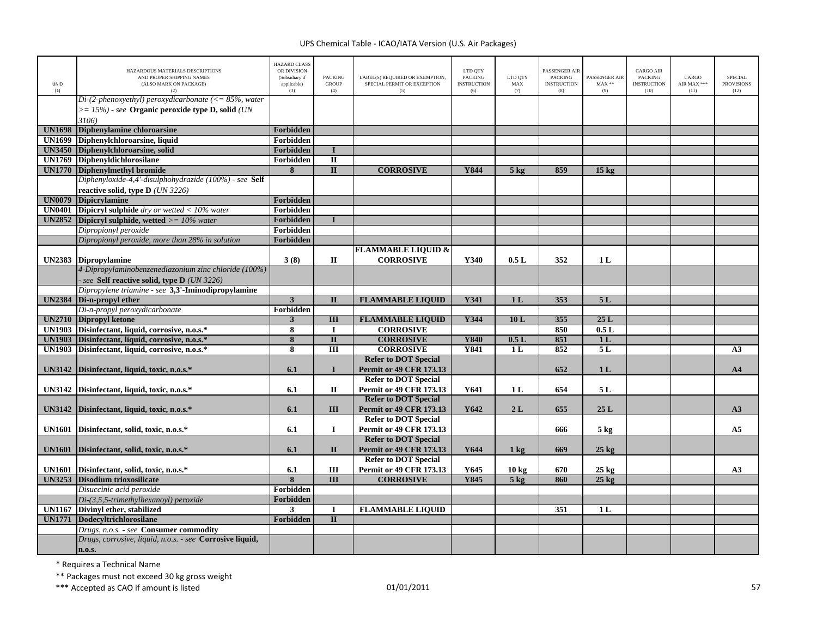| <b>UNID</b><br>(1) | HAZARDOUS MATERIALS DESCRIPTIONS<br>AND PROPER SHIPPING NAMES<br>(ALSO MARK ON PACKAGE)<br>(2)    | <b>HAZARD CLASS</b><br>OR DIVISION<br>(Subsidiary if<br>applicable)<br>(3) | <b>PACKING</b><br><b>GROUP</b><br>(4) | LABEL(S) REQUIRED OR EXEMPTION,<br>SPECIAL PERMIT OR EXCEPTION<br>(5) | LTD QTY<br><b>PACKING</b><br><b>INSTRUCTION</b><br>(6) | LTD OTY<br>$\mathbf{MAX}$<br>(7) | <b>PASSENGER AIR</b><br><b>PACKING</b><br><b>INSTRUCTION</b><br>(8) | PASSENGER AIR<br>$MAX**$<br>(9) | <b>CARGO AIR</b><br><b>PACKING</b><br><b>INSTRUCTION</b><br>(10) | CARGO<br>AIR MAX ***<br>(11) | <b>SPECIAL</b><br><b>PROVISIONS</b><br>(12) |
|--------------------|---------------------------------------------------------------------------------------------------|----------------------------------------------------------------------------|---------------------------------------|-----------------------------------------------------------------------|--------------------------------------------------------|----------------------------------|---------------------------------------------------------------------|---------------------------------|------------------------------------------------------------------|------------------------------|---------------------------------------------|
|                    | $Di-(2\text{-}phenoxyethyl) per oxydicarbonate (\leq 85\%, water)$                                |                                                                            |                                       |                                                                       |                                                        |                                  |                                                                     |                                 |                                                                  |                              |                                             |
|                    | $\epsilon$ = 15%) - see Organic peroxide type D, solid (UN<br>3106)                               |                                                                            |                                       |                                                                       |                                                        |                                  |                                                                     |                                 |                                                                  |                              |                                             |
| <b>UN1698</b>      | Diphenylamine chloroarsine                                                                        | Forbidden                                                                  |                                       |                                                                       |                                                        |                                  |                                                                     |                                 |                                                                  |                              |                                             |
| <b>UN1699</b>      | Diphenylchloroarsine, liquid                                                                      | Forbidden                                                                  |                                       |                                                                       |                                                        |                                  |                                                                     |                                 |                                                                  |                              |                                             |
| <b>UN3450</b>      | Diphenylchloroarsine, solid                                                                       | Forbidden                                                                  | $\blacksquare$                        |                                                                       |                                                        |                                  |                                                                     |                                 |                                                                  |                              |                                             |
| <b>UN1769</b>      | <b>Diphenvidichlorosilane</b>                                                                     | Forbidden                                                                  | $\overline{\mathbf{u}}$               |                                                                       |                                                        |                                  |                                                                     |                                 |                                                                  |                              |                                             |
| <b>UN1770</b>      | Diphenylmethyl bromide                                                                            | 8                                                                          | $\mathbf{I}$                          | <b>CORROSIVE</b>                                                      | Y844                                                   | 5 <sub>kg</sub>                  | 859                                                                 | 15 <sub>kg</sub>                |                                                                  |                              |                                             |
|                    | Diphenyloxide-4,4'-disulphohydrazide (100%) - see Self                                            |                                                                            |                                       |                                                                       |                                                        |                                  |                                                                     |                                 |                                                                  |                              |                                             |
|                    | reactive solid, type $D$ ( <i>UN 3226</i> )                                                       |                                                                            |                                       |                                                                       |                                                        |                                  |                                                                     |                                 |                                                                  |                              |                                             |
| <b>UN0079</b>      | <b>Dipicrylamine</b>                                                                              | <b>Forbidden</b>                                                           |                                       |                                                                       |                                                        |                                  |                                                                     |                                 |                                                                  |                              |                                             |
| <b>UN0401</b>      | <b>Dipicryl sulphide</b> dry or wetted $<$ 10% water                                              | Forbidden                                                                  |                                       |                                                                       |                                                        |                                  |                                                                     |                                 |                                                                  |                              |                                             |
| <b>UN2852</b>      | Dipicryl sulphide, wetted $\geq$ = 10% water                                                      | Forbidden                                                                  | $\mathbf{I}$                          |                                                                       |                                                        |                                  |                                                                     |                                 |                                                                  |                              |                                             |
|                    | Dipropionyl peroxide                                                                              | Forbidden                                                                  |                                       |                                                                       |                                                        |                                  |                                                                     |                                 |                                                                  |                              |                                             |
|                    | Dipropionyl peroxide, more than 28% in solution                                                   | Forbidden                                                                  |                                       |                                                                       |                                                        |                                  |                                                                     |                                 |                                                                  |                              |                                             |
|                    |                                                                                                   |                                                                            |                                       | <b>FLAMMABLE LIQUID &amp;</b>                                         |                                                        |                                  |                                                                     |                                 |                                                                  |                              |                                             |
| <b>UN2383</b>      | <b>Dipropylamine</b>                                                                              | 3(8)                                                                       | П                                     | <b>CORROSIVE</b>                                                      | Y340                                                   | 0.5L                             | 352                                                                 | 1 <sub>L</sub>                  |                                                                  |                              |                                             |
|                    | 4-Dipropylaminobenzenediazonium zinc chloride (100%)<br>see Self reactive solid, type D (UN 3226) |                                                                            |                                       |                                                                       |                                                        |                                  |                                                                     |                                 |                                                                  |                              |                                             |
|                    | Dipropylene triamine - see 3,3'-Iminodipropylamine                                                |                                                                            |                                       |                                                                       |                                                        |                                  |                                                                     |                                 |                                                                  |                              |                                             |
| <b>UN2384</b>      | Di-n-propyl ether                                                                                 | $\mathbf{3}$                                                               | $\mathbf{I}$                          | <b>FLAMMABLE LIQUID</b>                                               | Y341                                                   | 1 <sub>L</sub>                   | 353                                                                 | 5L                              |                                                                  |                              |                                             |
|                    | Di-n-propyl peroxydicarbonate                                                                     | Forbidden                                                                  |                                       |                                                                       |                                                        |                                  |                                                                     |                                 |                                                                  |                              |                                             |
|                    | UN2710 Dipropyl ketone                                                                            | $\mathbf{3}$                                                               | $\overline{\mathbf{H}}$               | <b>FLAMMABLE LIQUID</b>                                               | Y344                                                   | 10L                              | 355                                                                 | 25L                             |                                                                  |                              |                                             |
|                    | UN1903 Disinfectant, liquid, corrosive, n.o.s.*                                                   | 8                                                                          | $\bf{I}$                              | <b>CORROSIVE</b>                                                      |                                                        |                                  | 850                                                                 | 0.5L                            |                                                                  |                              |                                             |
| <b>UN1903</b>      | Disinfectant, liquid, corrosive, n.o.s.*                                                          | 8                                                                          | $\overline{\mathbf{H}}$               | <b>CORROSIVE</b>                                                      | <b>Y840</b>                                            | 0.5L                             | 851                                                                 | 1 <sub>L</sub>                  |                                                                  |                              |                                             |
| <b>UN1903</b>      | Disinfectant, liquid, corrosive, n.o.s.*                                                          | 8                                                                          | $\overline{III}$                      | <b>CORROSIVE</b>                                                      | Y841                                                   | 1 <sub>L</sub>                   | 852                                                                 | 5L                              |                                                                  |                              | A <sub>3</sub>                              |
|                    | UN3142 Disinfectant, liquid, toxic, n.o.s.*                                                       | 6.1                                                                        | $\mathbf{I}$                          | <b>Refer to DOT Special</b><br><b>Permit or 49 CFR 173.13</b>         |                                                        |                                  | 652                                                                 | 1 <sub>L</sub>                  |                                                                  |                              | A <sub>4</sub>                              |
|                    |                                                                                                   |                                                                            |                                       | <b>Refer to DOT Special</b>                                           |                                                        |                                  |                                                                     |                                 |                                                                  |                              |                                             |
|                    | UN3142 Disinfectant, liquid, toxic, n.o.s.*                                                       | 6.1                                                                        | $\mathbf{I}$                          | <b>Permit or 49 CFR 173.13</b>                                        | Y641                                                   | 1 <sub>L</sub>                   | 654                                                                 | 5L                              |                                                                  |                              |                                             |
|                    |                                                                                                   |                                                                            |                                       | <b>Refer to DOT Special</b>                                           |                                                        |                                  |                                                                     |                                 |                                                                  |                              |                                             |
| <b>UN3142</b>      | Disinfectant, liquid, toxic, n.o.s.*                                                              | 6.1                                                                        | III                                   | <b>Permit or 49 CFR 173.13</b>                                        | Y642                                                   | 2L                               | 655                                                                 | 25L                             |                                                                  |                              | A3                                          |
|                    |                                                                                                   |                                                                            |                                       | <b>Refer to DOT Special</b>                                           |                                                        |                                  |                                                                     |                                 |                                                                  |                              |                                             |
| <b>UN1601</b>      | Disinfectant, solid, toxic, n.o.s.*                                                               | 6.1                                                                        | $\bf{I}$                              | <b>Permit or 49 CFR 173.13</b>                                        |                                                        |                                  | 666                                                                 | $5 \text{ kg}$                  |                                                                  |                              | A <sub>5</sub>                              |
|                    |                                                                                                   |                                                                            |                                       | <b>Refer to DOT Special</b>                                           |                                                        |                                  |                                                                     |                                 |                                                                  |                              |                                             |
| <b>UN1601</b>      | Disinfectant, solid, toxic, n.o.s.*                                                               | 6.1                                                                        | $\mathbf{I}$                          | <b>Permit or 49 CFR 173.13</b>                                        | Y644                                                   | $1 \text{ kg}$                   | 669                                                                 | $25 \text{ kg}$                 |                                                                  |                              |                                             |
|                    | UN1601 Disinfectant, solid, toxic, n.o.s.*                                                        | 6.1                                                                        | III                                   | <b>Refer to DOT Special</b><br><b>Permit or 49 CFR 173.13</b>         | Y645                                                   | $10 \text{ kg}$                  | 670                                                                 | $25 \text{ kg}$                 |                                                                  |                              | A <sub>3</sub>                              |
|                    | <b>UN3253</b> Disodium trioxosilicate                                                             | 8                                                                          | $\overline{III}$                      | <b>CORROSIVE</b>                                                      | Y845                                                   | $5$ kg                           | 860                                                                 | $25 \text{ kg}$                 |                                                                  |                              |                                             |
|                    | Disuccinic acid peroxide                                                                          | Forbidden                                                                  |                                       |                                                                       |                                                        |                                  |                                                                     |                                 |                                                                  |                              |                                             |
|                    | $Di-(3,5,5-trimethylhexanovl)$ peroxide                                                           | Forbidden                                                                  |                                       |                                                                       |                                                        |                                  |                                                                     |                                 |                                                                  |                              |                                             |
| <b>UN1167</b>      | Divinyl ether, stabilized                                                                         | $\mathbf{3}$                                                               | $\bf{I}$                              | <b>FLAMMABLE LIQUID</b>                                               |                                                        |                                  | 351                                                                 | 1 <sub>L</sub>                  |                                                                  |                              |                                             |
| <b>UN1771</b>      | Dodecyltrichlorosilane                                                                            | Forbidden                                                                  | $\overline{\mathbf{u}}$               |                                                                       |                                                        |                                  |                                                                     |                                 |                                                                  |                              |                                             |
|                    | Drugs, n.o.s. - see Consumer commodity                                                            |                                                                            |                                       |                                                                       |                                                        |                                  |                                                                     |                                 |                                                                  |                              |                                             |
|                    | Drugs, corrosive, liquid, n.o.s. - see Corrosive liquid,                                          |                                                                            |                                       |                                                                       |                                                        |                                  |                                                                     |                                 |                                                                  |                              |                                             |
|                    | n.o.s.                                                                                            |                                                                            |                                       |                                                                       |                                                        |                                  |                                                                     |                                 |                                                                  |                              |                                             |

\* Requires <sup>a</sup> Technical Name

\*\* Packages must not exceed 30 kg gross weight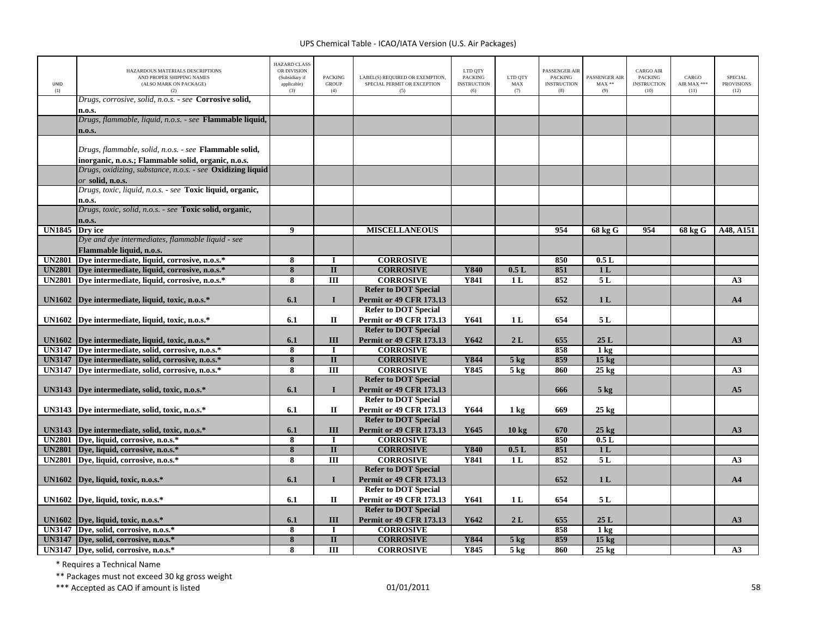| UNID<br>(1)   | HAZARDOUS MATERIALS DESCRIPTIONS<br>AND PROPER SHIPPING NAMES<br>(ALSO MARK ON PACKAGE)<br>(2)                       | <b>HAZARD CLASS</b><br>OR DIVISION<br>(Subsidiary if<br>applicable)<br>(3) | <b>PACKING</b><br><b>GROUP</b><br>(4) | LABEL(S) REQUIRED OR EXEMPTION,<br>SPECIAL PERMIT OR EXCEPTION<br>(5) | LTD QTY<br><b>PACKING</b><br><b>INSTRUCTION</b><br>(6) | LTD QTY<br>MAX<br>(7) | PASSENGER AIR<br><b>PACKING</b><br><b>INSTRUCTION</b><br>(8) | PASSENGER AIR<br>$\text{MAX}$ **<br>(9) | <b>CARGO AIR</b><br><b>PACKING</b><br><b>INSTRUCTION</b><br>(10) | CARGO<br>AIR MAX ***<br>(11) | <b>SPECIAL</b><br><b>PROVISIONS</b><br>(12) |
|---------------|----------------------------------------------------------------------------------------------------------------------|----------------------------------------------------------------------------|---------------------------------------|-----------------------------------------------------------------------|--------------------------------------------------------|-----------------------|--------------------------------------------------------------|-----------------------------------------|------------------------------------------------------------------|------------------------------|---------------------------------------------|
|               | Drugs, corrosive, solid, n.o.s. - see Corrosive solid,<br>n.o.s.                                                     |                                                                            |                                       |                                                                       |                                                        |                       |                                                              |                                         |                                                                  |                              |                                             |
|               | Drugs, flammable, liquid, n.o.s. - see <b>Flammable liquid,</b><br>n.o.s.                                            |                                                                            |                                       |                                                                       |                                                        |                       |                                                              |                                         |                                                                  |                              |                                             |
|               | Drugs, flammable, solid, n.o.s. - see <b>Flammable solid,</b><br>inorganic, n.o.s.; Flammable solid, organic, n.o.s. |                                                                            |                                       |                                                                       |                                                        |                       |                                                              |                                         |                                                                  |                              |                                             |
|               | Drugs, oxidizing, substance, n.o.s. - see <b>Oxidizing liquid</b><br>$\emph{or}$ solid, n.o.s.                       |                                                                            |                                       |                                                                       |                                                        |                       |                                                              |                                         |                                                                  |                              |                                             |
|               | Drugs, toxic, liquid, n.o.s. - see <b>Toxic liquid, organic,</b><br>n.o.s.                                           |                                                                            |                                       |                                                                       |                                                        |                       |                                                              |                                         |                                                                  |                              |                                             |
|               | Drugs, toxic, solid, n.o.s. - see Toxic solid, organic,<br>n.o.s.                                                    |                                                                            |                                       |                                                                       |                                                        |                       |                                                              |                                         |                                                                  |                              |                                             |
| <b>UN1845</b> | Dry ice                                                                                                              | 9                                                                          |                                       | <b>MISCELLANEOUS</b>                                                  |                                                        |                       | 954                                                          | 68 kg G                                 | 954                                                              | 68 kg G                      | A48, A151                                   |
|               | Dye and dye intermediates, flammable liquid - see<br>Flammable liquid, n.o.s.                                        |                                                                            |                                       |                                                                       |                                                        |                       |                                                              |                                         |                                                                  |                              |                                             |
|               | UN2801 Dye intermediate, liquid, corrosive, n.o.s.*                                                                  | $\overline{\mathbf{8}}$                                                    | П                                     | <b>CORROSIVE</b>                                                      |                                                        |                       | 850                                                          | 0.5L                                    |                                                                  |                              |                                             |
| <b>UN2801</b> | Dye intermediate, liquid, corrosive, n.o.s.*                                                                         | 8                                                                          | $\mathbf{I}$                          | <b>CORROSIVE</b>                                                      | <b>Y840</b>                                            | 0.5L                  | 851                                                          | 1 <sub>L</sub>                          |                                                                  |                              |                                             |
| <b>UN2801</b> | Dye intermediate, liquid, corrosive, n.o.s.*                                                                         | 8                                                                          | III                                   | <b>CORROSIVE</b>                                                      | Y841                                                   | 1 <sub>L</sub>        | 852                                                          | 5L                                      |                                                                  |                              | A <sub>3</sub>                              |
|               | UN1602 Dye intermediate, liquid, toxic, n.o.s.*                                                                      | 6.1                                                                        | $\mathbf I$                           | <b>Refer to DOT Special</b><br><b>Permit or 49 CFR 173.13</b>         |                                                        |                       | 652                                                          | 1 <sub>L</sub>                          |                                                                  |                              | A <sub>4</sub>                              |
|               | UN1602 Dye intermediate, liquid, toxic, n.o.s.*                                                                      | 6.1                                                                        | П                                     | <b>Refer to DOT Special</b><br><b>Permit or 49 CFR 173.13</b>         | Y641                                                   | 1 <sub>L</sub>        | 654                                                          | 5L                                      |                                                                  |                              |                                             |
|               | UN1602 Dye intermediate, liquid, toxic, n.o.s.*                                                                      | 6.1                                                                        | III                                   | <b>Refer to DOT Special</b><br><b>Permit or 49 CFR 173.13</b>         | Y642                                                   | 2L                    | 655                                                          | 25L                                     |                                                                  |                              | A3                                          |
|               | UN3147 Dve intermediate, solid, corrosive, n.o.s.*                                                                   | 8                                                                          | $\mathbf I$                           | <b>CORROSIVE</b>                                                      |                                                        |                       | 858                                                          | $1 \text{ kg}$                          |                                                                  |                              |                                             |
|               | UN3147 Dye intermediate, solid, corrosive, n.o.s.*                                                                   | $\overline{\mathbf{8}}$                                                    | $\overline{\mathbf{u}}$               | <b>CORROSIVE</b>                                                      | <b>Y844</b>                                            | $5$ kg                | 859                                                          | 15 <sub>kg</sub>                        |                                                                  |                              |                                             |
|               | UN3147 Dye intermediate, solid, corrosive, n.o.s.*                                                                   | 8                                                                          | III                                   | <b>CORROSIVE</b>                                                      | Y845                                                   | 5 <sub>kg</sub>       | 860                                                          | $25 \text{ kg}$                         |                                                                  |                              | A <sub>3</sub>                              |
|               | UN3143   Dye intermediate, solid, toxic, n.o.s.*                                                                     | 6.1                                                                        | $\mathbf{I}$                          | <b>Refer to DOT Special</b><br><b>Permit or 49 CFR 173.13</b>         |                                                        |                       | 666                                                          | $5 \text{ kg}$                          |                                                                  |                              | A <sub>5</sub>                              |
|               | UN3143 Dye intermediate, solid, toxic, n.o.s.*                                                                       | 6.1                                                                        | $\mathbf{I}$                          | <b>Refer to DOT Special</b><br><b>Permit or 49 CFR 173.13</b>         | Y644                                                   | 1 <sub>kg</sub>       | 669                                                          | $25 \text{ kg}$                         |                                                                  |                              |                                             |
|               | UN3143 Dye intermediate, solid, toxic, n.o.s.*                                                                       | 6.1                                                                        | III                                   | <b>Refer to DOT Special</b><br><b>Permit or 49 CFR 173.13</b>         | Y645                                                   | 10 <sub>kg</sub>      | 670                                                          | $25 \text{ kg}$                         |                                                                  |                              | A3                                          |
|               | UN2801 Dye, liquid, corrosive, n.o.s.*                                                                               | 8                                                                          | $\bf{I}$                              | <b>CORROSIVE</b>                                                      |                                                        |                       | 850                                                          | 0.5L                                    |                                                                  |                              |                                             |
| <b>UN2801</b> | Dye, liquid, corrosive, n.o.s.*                                                                                      | 8                                                                          | $\mathbf{I}$                          | <b>CORROSIVE</b>                                                      | <b>Y840</b>                                            | 0.5L                  | 851                                                          | 1 <sub>L</sub>                          |                                                                  |                              |                                             |
|               | UN2801 Dye, liquid, corrosive, n.o.s.*                                                                               | 8                                                                          | III                                   | <b>CORROSIVE</b>                                                      | Y841                                                   | 1 <sub>L</sub>        | 852                                                          | 5L                                      |                                                                  |                              | A3                                          |
|               | UN1602 Dye, liquid, toxic, n.o.s.*                                                                                   | 6.1                                                                        | $\bf{I}$                              | <b>Refer to DOT Special</b><br><b>Permit or 49 CFR 173.13</b>         |                                                        |                       | 652                                                          | 1 <sub>L</sub>                          |                                                                  |                              | A <sub>4</sub>                              |
|               | UN1602 Dye, liquid, toxic, n.o.s.*                                                                                   | 6.1                                                                        | П                                     | <b>Refer to DOT Special</b><br><b>Permit or 49 CFR 173.13</b>         | Y641                                                   | 1 <sub>L</sub>        | 654                                                          | 5L                                      |                                                                  |                              |                                             |
|               | UN1602 Dye, liquid, toxic, n.o.s. $*$                                                                                | 6.1                                                                        | III                                   | <b>Refer to DOT Special</b><br><b>Permit or 49 CFR 173.13</b>         | Y642                                                   | 2L                    | 655                                                          | 25L                                     |                                                                  |                              | A3                                          |
|               | UN3147 Dye, solid, corrosive, n.o.s.*                                                                                | 8                                                                          | $\blacksquare$                        | <b>CORROSIVE</b>                                                      |                                                        |                       | 858                                                          | $1 \text{ kg}$                          |                                                                  |                              |                                             |
|               | UN3147 Dye, solid, corrosive, n.o.s.*                                                                                | 8                                                                          | $\mathbf{I}$                          | <b>CORROSIVE</b>                                                      | Y844                                                   | 5 <sub>kg</sub>       | 859                                                          | 15 <sub>kg</sub>                        |                                                                  |                              |                                             |
|               | UN3147 Dye, solid, corrosive, n.o.s.*                                                                                | 8                                                                          | III                                   | <b>CORROSIVE</b>                                                      | Y845                                                   | 5 <sub>kg</sub>       | 860                                                          | $25 \text{ kg}$                         |                                                                  |                              | A3                                          |

\* Requires <sup>a</sup> Technical Name

\*\* Packages must not exceed 30 kg gross weight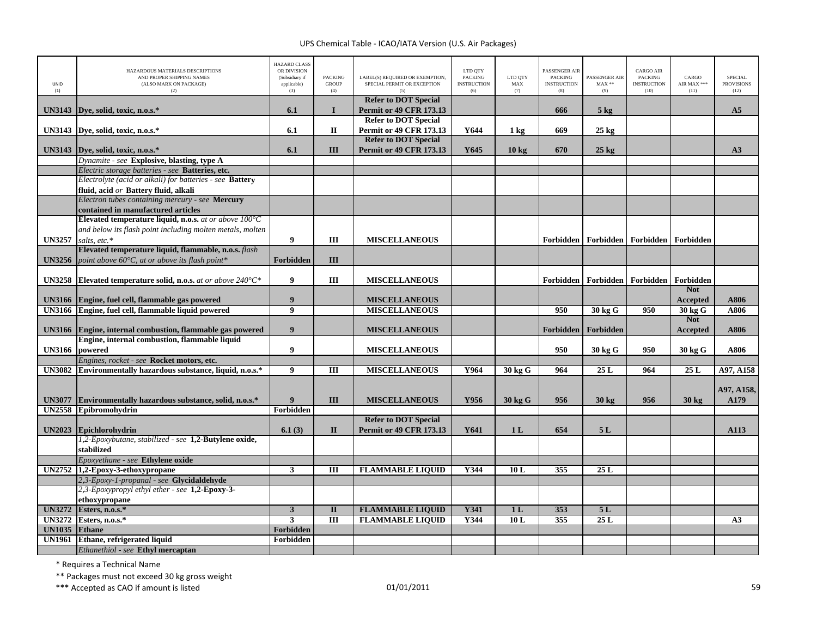| UNID<br>(1)   | HAZARDOUS MATERIALS DESCRIPTIONS<br>AND PROPER SHIPPING NAMES<br>(ALSO MARK ON PACKAGE)<br>(2) | <b>HAZARD CLASS</b><br>OR DIVISION<br>(Subsidiary if<br>applicable)<br>(3) | <b>PACKING</b><br><b>GROUP</b><br>(4) | LABEL(S) REQUIRED OR EXEMPTION,<br>SPECIAL PERMIT OR EXCEPTION | LTD QTY<br><b>PACKING</b><br><b>INSTRUCTION</b><br>(6) | LTD QTY<br>MAX<br>(7) | PASSENGER AIR<br><b>PACKING</b><br><b>INSTRUCTION</b><br>(8) | PASSENGER AIR<br>$MAX**$<br>(9) | <b>CARGO AIR</b><br><b>PACKING</b><br><b>INSTRUCTION</b><br>(10) | CARGO<br>AIR MAX ***<br>(11) | SPECIAL<br><b>PROVISIONS</b><br>(12) |
|---------------|------------------------------------------------------------------------------------------------|----------------------------------------------------------------------------|---------------------------------------|----------------------------------------------------------------|--------------------------------------------------------|-----------------------|--------------------------------------------------------------|---------------------------------|------------------------------------------------------------------|------------------------------|--------------------------------------|
| <b>UN3143</b> |                                                                                                | 6.1                                                                        | $\mathbf{I}$                          | <b>Refer to DOT Special</b><br><b>Permit or 49 CFR 173.13</b>  |                                                        |                       | 666                                                          | $5 \text{ kg}$                  |                                                                  |                              | A <sub>5</sub>                       |
|               | Dye, solid, toxic, n.o.s.*                                                                     |                                                                            |                                       | <b>Refer to DOT Special</b>                                    |                                                        |                       |                                                              |                                 |                                                                  |                              |                                      |
| <b>UN3143</b> | Dye, solid, toxic, n.o.s.*                                                                     | 6.1                                                                        | $\mathbf{I}$                          | <b>Permit or 49 CFR 173.13</b>                                 | Y644                                                   | $1 \text{ kg}$        | 669                                                          | $25 \text{ kg}$                 |                                                                  |                              |                                      |
|               |                                                                                                |                                                                            |                                       | <b>Refer to DOT Special</b>                                    |                                                        |                       |                                                              |                                 |                                                                  |                              |                                      |
| <b>UN3143</b> | Dye, solid, toxic, n.o.s.*                                                                     | 6.1                                                                        | Ш                                     | <b>Permit or 49 CFR 173.13</b>                                 | Y645                                                   | $10 \text{ kg}$       | 670                                                          | $25 \text{ kg}$                 |                                                                  |                              | A3                                   |
|               | Dynamite - see Explosive, blasting, type A                                                     |                                                                            |                                       |                                                                |                                                        |                       |                                                              |                                 |                                                                  |                              |                                      |
|               | Electric storage batteries - see Batteries, etc.                                               |                                                                            |                                       |                                                                |                                                        |                       |                                                              |                                 |                                                                  |                              |                                      |
|               | Electrolyte (acid or alkali) for batteries - see Battery                                       |                                                                            |                                       |                                                                |                                                        |                       |                                                              |                                 |                                                                  |                              |                                      |
|               | fluid, acid or Battery fluid, alkali<br>Electron tubes containing mercury - see Mercury        |                                                                            |                                       |                                                                |                                                        |                       |                                                              |                                 |                                                                  |                              |                                      |
|               | contained in manufactured articles                                                             |                                                                            |                                       |                                                                |                                                        |                       |                                                              |                                 |                                                                  |                              |                                      |
|               | Elevated temperature liquid, n.o.s. at or above $100^{\circ}$ C                                |                                                                            |                                       |                                                                |                                                        |                       |                                                              |                                 |                                                                  |                              |                                      |
|               | and below its flash point including molten metals, molten                                      |                                                                            |                                       |                                                                |                                                        |                       |                                                              |                                 |                                                                  |                              |                                      |
| <b>UN3257</b> | salts, etc.*                                                                                   | 9                                                                          | Ш                                     | <b>MISCELLANEOUS</b>                                           |                                                        |                       |                                                              |                                 | Forbidden   Forbidden   Forbidden   Forbidden                    |                              |                                      |
|               | Elevated temperature liquid, flammable, n.o.s. flash                                           |                                                                            |                                       |                                                                |                                                        |                       |                                                              |                                 |                                                                  |                              |                                      |
| <b>UN3256</b> | point above 60°C, at or above its flash point*                                                 | Forbidden                                                                  | III                                   |                                                                |                                                        |                       |                                                              |                                 |                                                                  |                              |                                      |
|               |                                                                                                |                                                                            |                                       |                                                                |                                                        |                       |                                                              |                                 |                                                                  |                              |                                      |
| <b>UN3258</b> | Elevated temperature solid, n.o.s. at or above $240^{\circ}C^*$                                | 9                                                                          | Ш                                     | <b>MISCELLANEOUS</b>                                           |                                                        |                       |                                                              |                                 | Forbidden   Forbidden   Forbidden                                | Forbidden                    |                                      |
|               |                                                                                                |                                                                            |                                       |                                                                |                                                        |                       |                                                              |                                 |                                                                  | <b>Not</b>                   |                                      |
| <b>UN3166</b> | Engine, fuel cell, flammable gas powered<br>Engine, fuel cell, flammable liquid powered        | $\boldsymbol{9}$<br>$\overline{9}$                                         |                                       | <b>MISCELLANEOUS</b><br><b>MISCELLANEOUS</b>                   |                                                        |                       | 950                                                          |                                 | 950                                                              | <b>Accepted</b>              | A806                                 |
| <b>UN3166</b> |                                                                                                |                                                                            |                                       |                                                                |                                                        |                       |                                                              | 30 kg G                         |                                                                  | 30 kg G<br><b>Not</b>        | A806                                 |
| <b>UN3166</b> | Engine, internal combustion, flammable gas powered                                             | 9                                                                          |                                       | <b>MISCELLANEOUS</b>                                           |                                                        |                       | Forbidden                                                    | Forbidden                       |                                                                  | Accepted                     | A806                                 |
|               | Engine, internal combustion, flammable liquid                                                  |                                                                            |                                       |                                                                |                                                        |                       |                                                              |                                 |                                                                  |                              |                                      |
| <b>UN3166</b> | powered                                                                                        | 9                                                                          |                                       | <b>MISCELLANEOUS</b>                                           |                                                        |                       | 950                                                          | 30 kg G                         | 950                                                              | 30 kg G                      | A806                                 |
|               | Engines, rocket - see Rocket motors, etc.                                                      |                                                                            |                                       |                                                                |                                                        |                       |                                                              |                                 |                                                                  |                              |                                      |
| <b>UN3082</b> | Environmentally hazardous substance, liquid, n.o.s.*                                           | $\overline{9}$                                                             | $\overline{III}$                      | <b>MISCELLANEOUS</b>                                           | Y964                                                   | 30 kg G               | 964                                                          | 25L                             | 964                                                              | 25L                          | A97, A158                            |
|               |                                                                                                |                                                                            |                                       |                                                                |                                                        |                       |                                                              |                                 |                                                                  |                              |                                      |
|               |                                                                                                |                                                                            |                                       |                                                                |                                                        |                       |                                                              |                                 |                                                                  |                              | A97, A158,                           |
| <b>UN3077</b> | Environmentally hazardous substance, solid, n.o.s.*                                            | 9                                                                          | Ш                                     | <b>MISCELLANEOUS</b>                                           | Y956                                                   | 30 kg G               | 956                                                          | $30 \text{ kg}$                 | 956                                                              | $30 \text{ kg}$              | A179                                 |
| <b>UN2558</b> | Epibromohydrin                                                                                 | Forbidden                                                                  |                                       |                                                                |                                                        |                       |                                                              |                                 |                                                                  |                              |                                      |
| <b>UN2023</b> |                                                                                                | 6.1(3)                                                                     | $\mathbf{I}$                          | <b>Refer to DOT Special</b><br><b>Permit or 49 CFR 173.13</b>  | Y641                                                   | 1 <sub>L</sub>        | 654                                                          | 5L                              |                                                                  |                              | A113                                 |
|               | <b>Epichlorohydrin</b><br>1,2-Epoxybutane, stabilized - see 1,2-Butylene oxide,                |                                                                            |                                       |                                                                |                                                        |                       |                                                              |                                 |                                                                  |                              |                                      |
|               | stabilized                                                                                     |                                                                            |                                       |                                                                |                                                        |                       |                                                              |                                 |                                                                  |                              |                                      |
|               | Epoxyethane - see Ethylene oxide                                                               |                                                                            |                                       |                                                                |                                                        |                       |                                                              |                                 |                                                                  |                              |                                      |
| <b>UN2752</b> | 1,2-Epoxy-3-ethoxypropane                                                                      | $\overline{\mathbf{3}}$                                                    | $\overline{III}$                      | <b>FLAMMABLE LIQUID</b>                                        | Y344                                                   | 10L                   | 355                                                          | 25L                             |                                                                  |                              |                                      |
|               | 2,3-Epoxy-1-propanal - see Glycidaldehyde                                                      |                                                                            |                                       |                                                                |                                                        |                       |                                                              |                                 |                                                                  |                              |                                      |
|               | 2,3-Epoxypropyl ethyl ether - see 1,2-Epoxy-3-                                                 |                                                                            |                                       |                                                                |                                                        |                       |                                                              |                                 |                                                                  |                              |                                      |
|               | ethoxypropane                                                                                  |                                                                            |                                       |                                                                |                                                        |                       |                                                              |                                 |                                                                  |                              |                                      |
| <b>UN3272</b> | Esters, n.o.s.*                                                                                | $\mathbf{3}$                                                               | $\mathbf{I}$                          | <b>FLAMMABLE LIQUID</b>                                        | Y341                                                   | 1 <sub>L</sub>        | 353                                                          | 5L                              |                                                                  |                              |                                      |
| <b>UN3272</b> | Esters, n.o.s.*                                                                                | $\overline{\mathbf{3}}$                                                    | Ш                                     | <b>FLAMMABLE LIQUID</b>                                        | Y344                                                   | 10L                   | 355                                                          | 25L                             |                                                                  |                              | A3                                   |
| <b>UN1035</b> | <b>Ethane</b>                                                                                  | Forbidden                                                                  |                                       |                                                                |                                                        |                       |                                                              |                                 |                                                                  |                              |                                      |
| <b>UN1961</b> | Ethane, refrigerated liquid                                                                    | Forbidden                                                                  |                                       |                                                                |                                                        |                       |                                                              |                                 |                                                                  |                              |                                      |
|               | Ethanethiol - see Ethyl mercaptan                                                              |                                                                            |                                       |                                                                |                                                        |                       |                                                              |                                 |                                                                  |                              |                                      |

\* Requires <sup>a</sup> Technical Name

\*\* Packages must not exceed 30 kg gross weight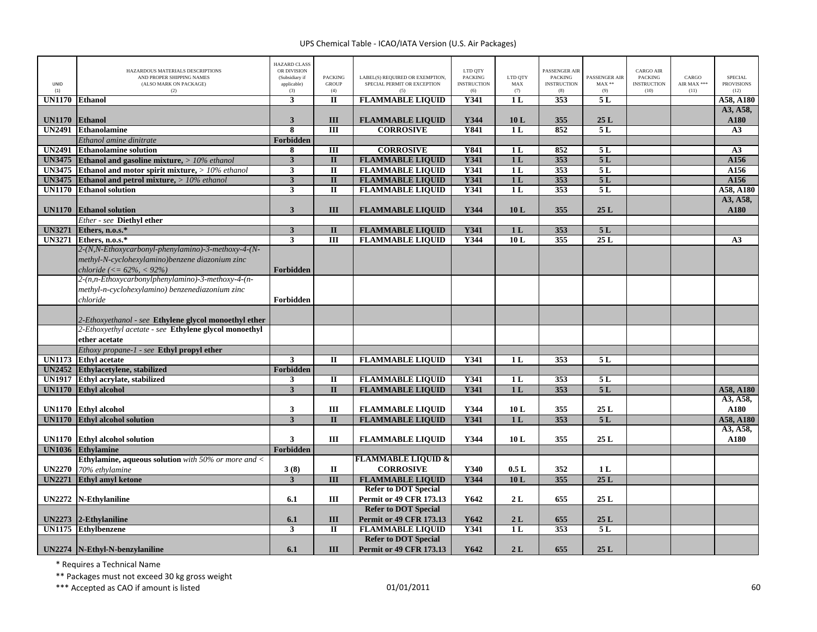|                      | HAZARDOUS MATERIALS DESCRIPTIONS<br>AND PROPER SHIPPING NAMES    | <b>HAZARD CLASS</b><br>OR DIVISION<br>(Subsidiary if | <b>PACKING</b>          | LABEL(S) REQUIRED OR EXEMPTION, | LTD QTY<br><b>PACKING</b> | LTD OTY               | PASSENGER AIR<br><b>PACKING</b> | <b>PASSENGER AIR</b> | <b>CARGO AIR</b><br>PACKING | CARGO       | <b>SPECIAL</b>    |
|----------------------|------------------------------------------------------------------|------------------------------------------------------|-------------------------|---------------------------------|---------------------------|-----------------------|---------------------------------|----------------------|-----------------------------|-------------|-------------------|
| <b>UNID</b>          | (ALSO MARK ON PACKAGE)                                           | applicable)                                          | <b>GROUP</b>            | SPECIAL PERMIT OR EXCEPTION     | <b>INSTRUCTION</b>        | MAX                   | <b>INSTRUCTION</b>              | $MAX**$              | <b>INSTRUCTION</b>          | AIR MAX *** | <b>PROVISIONS</b> |
| (1)<br><b>UN1170</b> | (2)<br><b>Ethanol</b>                                            | (3)<br>3                                             | (4)<br>$\mathbf I$      | (5)<br><b>FLAMMABLE LIQUID</b>  | (6)<br><b>Y341</b>        | (7)<br>1 <sub>L</sub> | (8)<br>353                      | (9)<br>5L            | (10)                        | (11)        | (12)<br>A58, A180 |
|                      |                                                                  |                                                      |                         |                                 |                           |                       |                                 |                      |                             |             | A3, A58,          |
| <b>UN1170</b>        | Ethanol                                                          | $\mathbf{3}$                                         | III                     | <b>FLAMMABLE LIQUID</b>         | Y344                      | 10L                   | 355                             | 25L                  |                             |             | A180              |
|                      | UN2491 Ethanolamine                                              | 8                                                    | $\overline{III}$        | <b>CORROSIVE</b>                | Y841                      | 1L                    | 852                             | 5L                   |                             |             | A3                |
|                      | Ethanol amine dinitrate                                          | Forbidden                                            |                         |                                 |                           |                       |                                 |                      |                             |             |                   |
|                      | <b>UN2491</b> Ethanolamine solution                              | 8                                                    | Ш                       | <b>CORROSIVE</b>                | Y841                      | 1L                    | 852                             | 5L                   |                             |             | A3                |
| <b>UN3475</b>        | Ethanol and gasoline mixture, $> 10\%$ ethanol                   | $\mathbf{3}$                                         | $\mathbf{I}$            | <b>FLAMMABLE LIQUID</b>         | <b>Y341</b>               | 1 <sub>L</sub>        | 353                             | 5L                   |                             |             | A156              |
|                      | <b>UN3475</b> Ethanol and motor spirit mixture, $> 10\%$ ethanol | 3                                                    | $\rm II$                | <b>FLAMMABLE LIQUID</b>         | Y341                      | 1 <sub>L</sub>        | 353                             | 5L                   |                             |             | A156              |
| <b>UN3475</b>        | Ethanol and petrol mixture, $> 10\%$ ethanol                     | $\overline{\mathbf{3}}$                              | $\overline{\mathbf{u}}$ | <b>FLAMMABLE LIQUID</b>         | Y341                      | 1L                    | 353                             | 5L                   |                             |             | A156              |
| <b>UN1170</b>        | <b>Ethanol solution</b>                                          | 3                                                    | $\mathbf{I}$            | <b>FLAMMABLE LIQUID</b>         | <b>Y341</b>               | 1L                    | 353                             | 5L                   |                             |             | A58, A180         |
|                      |                                                                  |                                                      |                         |                                 |                           |                       |                                 |                      |                             |             | A3, A58,          |
|                      | <b>UN1170</b> Ethanol solution                                   | 3                                                    | III                     | <b>FLAMMABLE LIQUID</b>         | Y344                      | 10L                   | 355                             | 25L                  |                             |             | A180              |
|                      | Ether - see Diethyl ether                                        |                                                      |                         |                                 |                           |                       |                                 |                      |                             |             |                   |
| <b>UN3271</b>        | Ethers, n.o.s.*                                                  | $\mathbf{3}$                                         | $\mathbf{I}$            | <b>FLAMMABLE LIQUID</b>         | Y341                      | 1 <sub>L</sub>        | 353                             | 5L                   |                             |             |                   |
|                      | UN3271 Ethers, n.o.s.*                                           | 3                                                    | $\overline{III}$        | <b>FLAMMABLE LIQUID</b>         | Y344                      | 10L                   | 355                             | 25L                  |                             |             | A3                |
|                      | 2-(N,N-Ethoxycarbonyl-phenylamino)-3-methoxy-4-(N-               |                                                      |                         |                                 |                           |                       |                                 |                      |                             |             |                   |
|                      | methyl-N-cyclohexylamino)benzene diazonium zinc                  |                                                      |                         |                                 |                           |                       |                                 |                      |                             |             |                   |
|                      | chloride (<= $62\%$ , < 92%)                                     | Forbidden                                            |                         |                                 |                           |                       |                                 |                      |                             |             |                   |
|                      | 2-(n,n-Ethoxycarbonylphenylamino)-3-methoxy-4-(n-                |                                                      |                         |                                 |                           |                       |                                 |                      |                             |             |                   |
|                      | methyl-n-cyclohexylamino) benzenediazonium zinc                  |                                                      |                         |                                 |                           |                       |                                 |                      |                             |             |                   |
|                      | chloride                                                         | Forbidden                                            |                         |                                 |                           |                       |                                 |                      |                             |             |                   |
|                      |                                                                  |                                                      |                         |                                 |                           |                       |                                 |                      |                             |             |                   |
|                      | 2-Ethoxyethanol - see Ethylene glycol monoethyl ether            |                                                      |                         |                                 |                           |                       |                                 |                      |                             |             |                   |
|                      | 2-Ethoxyethyl acetate - see Ethylene glycol monoethyl            |                                                      |                         |                                 |                           |                       |                                 |                      |                             |             |                   |
|                      | ether acetate                                                    |                                                      |                         |                                 |                           |                       |                                 |                      |                             |             |                   |
|                      | Ethoxy propane-1 - see Ethyl propyl ether                        |                                                      |                         |                                 |                           |                       |                                 |                      |                             |             |                   |
| <b>UN1173</b>        | <b>Ethyl</b> acetate                                             | 3                                                    | $\mathbf{I}$            | <b>FLAMMABLE LIQUID</b>         | Y341                      | 1 <sub>L</sub>        | 353                             | 5L                   |                             |             |                   |
|                      | UN2452 Ethylacetylene, stabilized                                | Forbidden                                            |                         |                                 |                           |                       |                                 |                      |                             |             |                   |
| <b>UN1917</b>        | Ethyl acrylate, stabilized                                       | 3                                                    | $\overline{\mathbf{u}}$ | <b>FLAMMABLE LIQUID</b>         | Y341                      | 1L                    | 353                             | 5L                   |                             |             |                   |
| <b>UN1170</b>        | <b>Ethyl alcohol</b>                                             | $\overline{\mathbf{3}}$                              | $\overline{\mathbf{u}}$ | <b>FLAMMABLE LIQUID</b>         | Y341                      | 1L                    | 353                             | 5L                   |                             |             | A58, A180         |
|                      |                                                                  |                                                      |                         |                                 |                           |                       |                                 |                      |                             |             | A3, A58,          |
|                      | UN1170 Ethyl alcohol                                             | 3                                                    | $\rm III$               | <b>FLAMMABLE LIQUID</b>         | Y344                      | 10L                   | 355                             | 25L                  |                             |             | A180              |
| <b>UN1170</b>        | <b>Ethyl alcohol solution</b>                                    | $\overline{\mathbf{3}}$                              | $\mathbf{I}$            | <b>FLAMMABLE LIQUID</b>         | <b>Y341</b>               | 1 <sub>L</sub>        | 353                             | 5L                   |                             |             | A58, A180         |
|                      |                                                                  |                                                      |                         |                                 |                           |                       |                                 |                      |                             |             | A3, A58,          |
|                      | UN1170 Ethyl alcohol solution                                    | $\mathbf{3}$                                         | Ш                       | <b>FLAMMABLE LIQUID</b>         | Y344                      | 10L                   | 355                             | 25L                  |                             |             | A180              |
| <b>UN1036</b>        | <b>Ethylamine</b>                                                | Forbidden                                            |                         |                                 |                           |                       |                                 |                      |                             |             |                   |
|                      | <b>Ethylamine, aqueous solution</b> with 50% or more and $\lt$   |                                                      |                         | <b>FLAMMABLE LIQUID &amp;</b>   |                           |                       |                                 |                      |                             |             |                   |
| <b>UN2270</b>        | 70% ethylamine                                                   | 3(8)                                                 | $\mathbf{I}$            | <b>CORROSIVE</b>                | Y340                      | 0.5L                  | 352                             | 1L                   |                             |             |                   |
| <b>UN2271</b>        | <b>Ethyl amyl ketone</b>                                         | $\overline{\mathbf{3}}$                              | $\overline{\mathbf{H}}$ | <b>FLAMMABLE LIQUID</b>         | Y344                      | 10L                   | 355                             | 25L                  |                             |             |                   |
|                      |                                                                  |                                                      |                         | <b>Refer to DOT Special</b>     |                           |                       |                                 |                      |                             |             |                   |
| <b>UN2272</b>        | <b>N-Ethylaniline</b>                                            | 6.1                                                  | III                     | <b>Permit or 49 CFR 173.13</b>  | Y642                      | 2L                    | 655                             | 25L                  |                             |             |                   |
|                      |                                                                  |                                                      |                         | <b>Refer to DOT Special</b>     |                           |                       |                                 |                      |                             |             |                   |
| <b>UN2273</b>        | 2-Ethylaniline                                                   | 6.1                                                  | III                     | <b>Permit or 49 CFR 173.13</b>  | Y642                      | 2L                    | 655                             | 25L                  |                             |             |                   |
|                      | UN1175 Ethylbenzene                                              | 3                                                    | $\mathbf{I}$            | <b>FLAMMABLE LIQUID</b>         | Y341                      | 1 <sub>L</sub>        | 353                             | 5L                   |                             |             |                   |
|                      |                                                                  |                                                      |                         | <b>Refer to DOT Special</b>     |                           |                       |                                 |                      |                             |             |                   |
|                      | UN2274   N-Ethyl-N-benzylaniline                                 | 6.1                                                  | Ш                       | <b>Permit or 49 CFR 173.13</b>  | Y642                      | 2L                    | 655                             | 25L                  |                             |             |                   |

\* Requires <sup>a</sup> Technical Name

\*\* Packages must not exceed 30 kg gross weight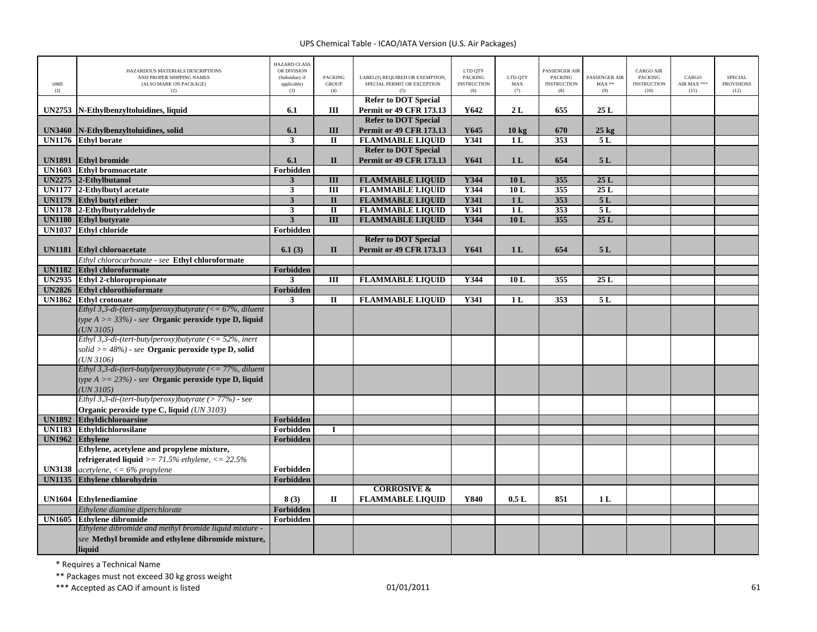| UNID<br>(1)   | HAZARDOUS MATERIALS DESCRIPTIONS<br>AND PROPER SHIPPING NAMES<br>(ALSO MARK ON PACKAGE)<br>(2) | <b>HAZARD CLASS</b><br>OR DIVISION<br>(Subsidiary if<br>applicable)<br>(3) | <b>PACKING</b><br><b>GROUP</b><br>(4) | LABEL(S) REQUIRED OR EXEMPTION,<br>SPECIAL PERMIT OR EXCEPTION<br>(5) | LTD QTY<br><b>PACKING</b><br><b>INSTRUCTION</b><br>(6) | LTD QTY<br>MAX<br>(7) | PASSENGER AIR<br><b>PACKING</b><br><b>INSTRUCTION</b><br>(8) | PASSENGER AIR<br>$MAX**$<br>(9) | <b>CARGO AIR</b><br><b>PACKING</b><br><b>INSTRUCTION</b><br>(10) | CARGO<br>AIR MAX ***<br>(11) | <b>SPECIAL</b><br><b>PROVISIONS</b><br>(12) |
|---------------|------------------------------------------------------------------------------------------------|----------------------------------------------------------------------------|---------------------------------------|-----------------------------------------------------------------------|--------------------------------------------------------|-----------------------|--------------------------------------------------------------|---------------------------------|------------------------------------------------------------------|------------------------------|---------------------------------------------|
|               |                                                                                                | 6.1                                                                        | Ш                                     | <b>Refer to DOT Special</b>                                           | Y642                                                   | 2L                    | 655                                                          | 25L                             |                                                                  |                              |                                             |
| <b>UN2753</b> | N-Ethylbenzyltoluidines, liquid                                                                |                                                                            |                                       | <b>Permit or 49 CFR 173.13</b><br><b>Refer to DOT Special</b>         |                                                        |                       |                                                              |                                 |                                                                  |                              |                                             |
| <b>UN3460</b> | N-Ethylbenzyltoluidines, solid                                                                 | 6.1                                                                        | III                                   | <b>Permit or 49 CFR 173.13</b>                                        | Y645                                                   | $10 \text{ kg}$       | 670                                                          | $25$ kg                         |                                                                  |                              |                                             |
|               | UN1176 Ethyl borate                                                                            | $\mathbf{3}$                                                               | $\mathbf{I}$                          | <b>FLAMMABLE LIQUID</b>                                               | <b>Y341</b>                                            | 1L                    | 353                                                          | 5L                              |                                                                  |                              |                                             |
|               |                                                                                                |                                                                            |                                       | <b>Refer to DOT Special</b>                                           |                                                        |                       |                                                              |                                 |                                                                  |                              |                                             |
| <b>UN1891</b> | <b>Ethyl bromide</b>                                                                           | 6.1                                                                        | $\mathbf{I}$                          | <b>Permit or 49 CFR 173.13</b>                                        | Y641                                                   | 1 <sub>L</sub>        | 654                                                          | 5L                              |                                                                  |                              |                                             |
|               | <b>UN1603</b> Ethyl bromoacetate                                                               | Forbidden                                                                  |                                       |                                                                       |                                                        |                       |                                                              |                                 |                                                                  |                              |                                             |
|               | $UN2275$ 2-Ethylbutanol                                                                        | $\overline{\mathbf{3}}$                                                    | III                                   | <b>FLAMMABLE LIQUID</b>                                               | Y344                                                   | 10L                   | 355                                                          | 25L                             |                                                                  |                              |                                             |
|               | UN1177 2-Ethylbutyl acetate                                                                    | $\mathbf{3}$                                                               | $\overline{III}$                      | <b>FLAMMABLE LIQUID</b>                                               | <b>Y344</b>                                            | 10L                   | 355                                                          | 25L                             |                                                                  |                              |                                             |
|               | UN1179 Ethyl butyl ether                                                                       | $\mathbf{3}$                                                               | $\mathbf{I}$                          | <b>FLAMMABLE LIQUID</b>                                               | Y341                                                   | 1 <sub>L</sub>        | 353                                                          | 5L                              |                                                                  |                              |                                             |
|               | UN1178 2-Ethylbutyraldehyde                                                                    | $\overline{\mathbf{3}}$                                                    | $\overline{\mathbf{u}}$               | <b>FLAMMABLE LIQUID</b>                                               | <b>Y341</b>                                            | 1L                    | 353                                                          | 5L                              |                                                                  |                              |                                             |
|               | UN1180 Ethyl butyrate                                                                          | $\overline{3}$                                                             | $\overline{III}$                      | <b>FLAMMABLE LIQUID</b>                                               | Y344                                                   | 10L                   | 355                                                          | 25L                             |                                                                  |                              |                                             |
| <b>UN1037</b> | <b>Ethyl chloride</b>                                                                          | Forbidden                                                                  |                                       |                                                                       |                                                        |                       |                                                              |                                 |                                                                  |                              |                                             |
|               |                                                                                                |                                                                            |                                       | <b>Refer to DOT Special</b>                                           |                                                        |                       |                                                              |                                 |                                                                  |                              |                                             |
| <b>UN1181</b> | <b>Ethyl chloroacetate</b><br>Ethyl chlorocarbonate - see Ethyl chloroformate                  | 6.1(3)                                                                     | $\mathbf{I}$                          | <b>Permit or 49 CFR 173.13</b>                                        | Y641                                                   | 1 <sub>L</sub>        | 654                                                          | 5L                              |                                                                  |                              |                                             |
|               | UN1182 Ethyl chloroformate                                                                     | Forbidden                                                                  |                                       |                                                                       |                                                        |                       |                                                              |                                 |                                                                  |                              |                                             |
| <b>UN2935</b> | <b>Ethyl 2-chloropropionate</b>                                                                | 3                                                                          | $\overline{III}$                      | <b>FLAMMABLE LIQUID</b>                                               | Y344                                                   | 10L                   | 355                                                          | 25L                             |                                                                  |                              |                                             |
| <b>UN2826</b> | <b>Ethyl chlorothioformate</b>                                                                 | Forbidden                                                                  |                                       |                                                                       |                                                        |                       |                                                              |                                 |                                                                  |                              |                                             |
| <b>UN1862</b> | <b>Ethyl crotonate</b>                                                                         | 3                                                                          | $\mathbf{I}$                          | <b>FLAMMABLE LIQUID</b>                                               | Y341                                                   | 1 <sub>L</sub>        | 353                                                          | 5L                              |                                                                  |                              |                                             |
|               | Ethyl 3,3-di-(tert-amylperoxy)butyrate ( $\langle = 67\%$ , diluent                            |                                                                            |                                       |                                                                       |                                                        |                       |                                                              |                                 |                                                                  |                              |                                             |
|               | type $A >= 33\%)$ - see <b>Organic peroxide type D, liquid</b>                                 |                                                                            |                                       |                                                                       |                                                        |                       |                                                              |                                 |                                                                  |                              |                                             |
|               | UN 3105)                                                                                       |                                                                            |                                       |                                                                       |                                                        |                       |                                                              |                                 |                                                                  |                              |                                             |
|               | Ethyl 3,3-di-(tert-butylperoxy)butyrate (<= $52\%$ , inert                                     |                                                                            |                                       |                                                                       |                                                        |                       |                                                              |                                 |                                                                  |                              |                                             |
|               | solid $\ge$ = 48%) - see Organic peroxide type D, solid                                        |                                                                            |                                       |                                                                       |                                                        |                       |                                                              |                                 |                                                                  |                              |                                             |
|               | $(UN\,3106)$                                                                                   |                                                                            |                                       |                                                                       |                                                        |                       |                                                              |                                 |                                                                  |                              |                                             |
|               | Ethyl 3,3-di-(tert-butylperoxy)butyrate (<= $77\%$ , diluent                                   |                                                                            |                                       |                                                                       |                                                        |                       |                                                              |                                 |                                                                  |                              |                                             |
|               | type $A >= 23\%)$ - see <b>Organic peroxide type D, liquid</b>                                 |                                                                            |                                       |                                                                       |                                                        |                       |                                                              |                                 |                                                                  |                              |                                             |
|               | $(UN\,3105)$                                                                                   |                                                                            |                                       |                                                                       |                                                        |                       |                                                              |                                 |                                                                  |                              |                                             |
|               | Ethyl 3,3-di-(tert-butylperoxy)butyrate (> $77\%$ ) - see                                      |                                                                            |                                       |                                                                       |                                                        |                       |                                                              |                                 |                                                                  |                              |                                             |
|               | Organic peroxide type C, liquid (UN 3103)                                                      |                                                                            |                                       |                                                                       |                                                        |                       |                                                              |                                 |                                                                  |                              |                                             |
| <b>UN1892</b> | <b>Ethyldichloroarsine</b><br><b>UN1183</b> Ethyldichlorosilane                                | Forbidden<br>Forbidden                                                     |                                       |                                                                       |                                                        |                       |                                                              |                                 |                                                                  |                              |                                             |
| <b>UN1962</b> | <b>Ethylene</b>                                                                                | Forbidden                                                                  |                                       |                                                                       |                                                        |                       |                                                              |                                 |                                                                  |                              |                                             |
|               | Ethylene, acetylene and propylene mixture,                                                     |                                                                            |                                       |                                                                       |                                                        |                       |                                                              |                                 |                                                                  |                              |                                             |
|               | refrigerated liquid > = $71.5\%$ ethylene, < = $22.5\%$                                        |                                                                            |                                       |                                                                       |                                                        |                       |                                                              |                                 |                                                                  |                              |                                             |
| <b>UN3138</b> | $acetylene$ , $\lt= 6\%$ propylene                                                             | Forbidden                                                                  |                                       |                                                                       |                                                        |                       |                                                              |                                 |                                                                  |                              |                                             |
| <b>UN1135</b> | <b>Ethylene chlorohydrin</b>                                                                   | Forbidden                                                                  |                                       |                                                                       |                                                        |                       |                                                              |                                 |                                                                  |                              |                                             |
|               |                                                                                                |                                                                            |                                       | <b>CORROSIVE &amp;</b>                                                |                                                        |                       |                                                              |                                 |                                                                  |                              |                                             |
| <b>UN1604</b> | <b>Ethylenediamine</b>                                                                         | 8(3)                                                                       | П                                     | <b>FLAMMABLE LIQUID</b>                                               | Y840                                                   | 0.5L                  | 851                                                          | 1 <sub>L</sub>                  |                                                                  |                              |                                             |
|               | Ethylene diamine diperchlorate                                                                 | Forbidden                                                                  |                                       |                                                                       |                                                        |                       |                                                              |                                 |                                                                  |                              |                                             |
| <b>UN1605</b> | <b>Ethylene dibromide</b>                                                                      | Forbidden                                                                  |                                       |                                                                       |                                                        |                       |                                                              |                                 |                                                                  |                              |                                             |
|               | Ethylene dibromide and methyl bromide liquid mixture -                                         |                                                                            |                                       |                                                                       |                                                        |                       |                                                              |                                 |                                                                  |                              |                                             |
|               | see Methyl bromide and ethylene dibromide mixture,                                             |                                                                            |                                       |                                                                       |                                                        |                       |                                                              |                                 |                                                                  |                              |                                             |
|               | liquid                                                                                         |                                                                            |                                       |                                                                       |                                                        |                       |                                                              |                                 |                                                                  |                              |                                             |

\* Requires <sup>a</sup> Technical Name

\*\* Packages must not exceed 30 kg gross weight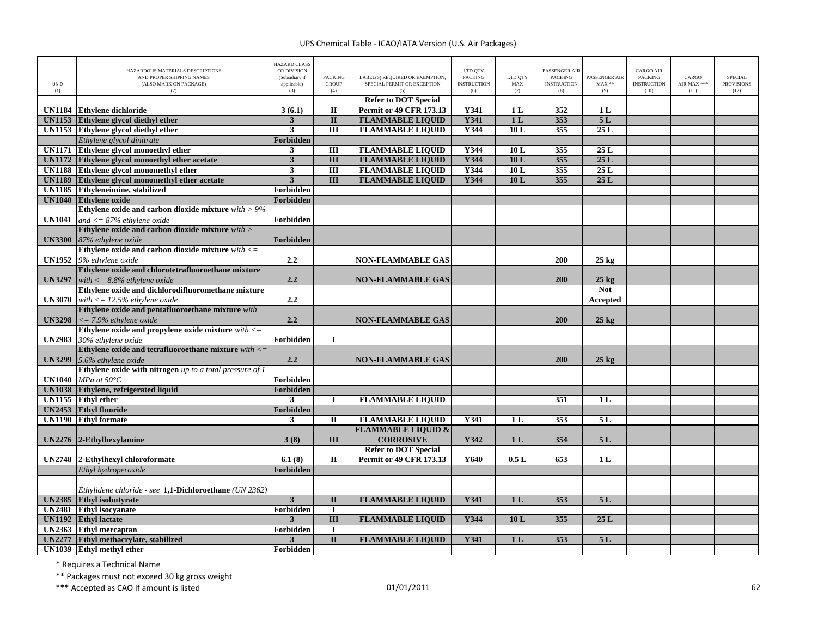| UNID<br>(1)   | HAZARDOUS MATERIALS DESCRIPTIONS<br>AND PROPER SHIPPING NAMES<br>(ALSO MARK ON PACKAGE)<br>(2) | <b>HAZARD CLASS</b><br>OR DIVISION<br>(Subsidiary if<br>applicable)<br>(3) | <b>PACKING</b><br><b>GROUP</b><br>(4) | LABEL(S) REQUIRED OR EXEMPTION,<br>SPECIAL PERMIT OR EXCEPTION<br>(5) | LTD QTY<br><b>PACKING</b><br><b>INSTRUCTION</b><br>(6) | LTD QTY<br>MAX<br>(7) | PASSENGER AIR<br><b>PACKING</b><br><b>INSTRUCTION</b><br>(8) | PASSENGER AIR<br>$MAX**$<br>(9) | <b>CARGO AIR</b><br><b>PACKING</b><br><b>INSTRUCTION</b><br>(10) | CARGO<br>AIR MAX ***<br>(11) | <b>SPECIAL</b><br><b>PROVISIONS</b><br>(12) |
|---------------|------------------------------------------------------------------------------------------------|----------------------------------------------------------------------------|---------------------------------------|-----------------------------------------------------------------------|--------------------------------------------------------|-----------------------|--------------------------------------------------------------|---------------------------------|------------------------------------------------------------------|------------------------------|---------------------------------------------|
|               |                                                                                                |                                                                            |                                       | <b>Refer to DOT Special</b>                                           | Y341                                                   |                       | 352                                                          |                                 |                                                                  |                              |                                             |
|               | UN1184 Ethylene dichloride                                                                     | 3(6.1)<br>$\mathbf{3}$                                                     | П<br>$\overline{\mathbf{u}}$          | <b>Permit or 49 CFR 173.13</b><br><b>FLAMMABLE LIQUID</b>             | <b>Y341</b>                                            | 1 L<br>1 <sub>L</sub> | 353                                                          | 1 <sub>L</sub><br>5L            |                                                                  |                              |                                             |
| <b>UN1153</b> | Ethylene glycol diethyl ether<br>UN1153 Ethylene glycol diethyl ether                          | $\mathbf{3}$                                                               | $\overline{III}$                      | <b>FLAMMABLE LIQUID</b>                                               | Y344                                                   | 10L                   | 355                                                          | 25L                             |                                                                  |                              |                                             |
|               | Ethylene glycol dinitrate                                                                      | <b>Forbidden</b>                                                           |                                       |                                                                       |                                                        |                       |                                                              |                                 |                                                                  |                              |                                             |
| <b>UN1171</b> | Ethylene glycol monoethyl ether                                                                | $\mathbf{3}$                                                               | Ш                                     | <b>FLAMMABLE LIQUID</b>                                               | Y344                                                   | 10L                   | 355                                                          | 25L                             |                                                                  |                              |                                             |
|               | UN1172 Ethylene glycol monoethyl ether acetate                                                 | $\mathbf{3}$                                                               | III                                   | <b>FLAMMABLE LIQUID</b>                                               | Y344                                                   | 10L                   | 355                                                          | 25L                             |                                                                  |                              |                                             |
|               | UN1188 Ethylene glycol monomethyl ether                                                        | 3                                                                          | $\overline{III}$                      | <b>FLAMMABLE LIQUID</b>                                               | Y344                                                   | 10L                   | 355                                                          | 25L                             |                                                                  |                              |                                             |
| <b>UN1189</b> | Ethylene glycol monomethyl ether acetate                                                       | $\overline{3}$                                                             | $\Pi$                                 | <b>FLAMMABLE LIQUID</b>                                               | Y344                                                   | 10L                   | 355                                                          | 25L                             |                                                                  |                              |                                             |
|               | UN1185 Ethyleneimine, stabilized                                                               | Forbidden                                                                  |                                       |                                                                       |                                                        |                       |                                                              |                                 |                                                                  |                              |                                             |
|               | UN1040 Ethylene oxide                                                                          | Forbidden                                                                  |                                       |                                                                       |                                                        |                       |                                                              |                                 |                                                                  |                              |                                             |
|               | Ethylene oxide and carbon dioxide mixture $with > 9\%$                                         |                                                                            |                                       |                                                                       |                                                        |                       |                                                              |                                 |                                                                  |                              |                                             |
|               | <b>UN1041</b> and $\lt$ = 87% ethylene oxide                                                   | Forbidden                                                                  |                                       |                                                                       |                                                        |                       |                                                              |                                 |                                                                  |                              |                                             |
|               | Ethylene oxide and carbon dioxide mixture with >                                               |                                                                            |                                       |                                                                       |                                                        |                       |                                                              |                                 |                                                                  |                              |                                             |
|               | UN3300 87% ethylene oxide                                                                      | Forbidden                                                                  |                                       |                                                                       |                                                        |                       |                                                              |                                 |                                                                  |                              |                                             |
|               | Ethylene oxide and carbon dioxide mixture $with \leq$                                          |                                                                            |                                       |                                                                       |                                                        |                       |                                                              |                                 |                                                                  |                              |                                             |
|               | UN1952 9% ethylene oxide                                                                       | 2.2                                                                        |                                       | <b>NON-FLAMMABLE GAS</b>                                              |                                                        |                       | 200                                                          | $25 \text{ kg}$                 |                                                                  |                              |                                             |
|               | Ethylene oxide and chlorotetrafluoroethane mixture                                             |                                                                            |                                       |                                                                       |                                                        |                       |                                                              |                                 |                                                                  |                              |                                             |
| <b>UN3297</b> | with $\epsilon = 8.8\%$ ethylene oxide                                                         | 2.2                                                                        |                                       | <b>NON-FLAMMABLE GAS</b>                                              |                                                        |                       | 200                                                          | $25 \text{ kg}$                 |                                                                  |                              |                                             |
|               | Ethylene oxide and dichlorodifluoromethane mixture                                             |                                                                            |                                       |                                                                       |                                                        |                       |                                                              | <b>Not</b>                      |                                                                  |                              |                                             |
|               | <b>UN3070</b> with $\langle 12.5\% \rangle$ ethylene oxide                                     | 2.2                                                                        |                                       |                                                                       |                                                        |                       |                                                              | Accepted                        |                                                                  |                              |                                             |
| <b>UN3298</b> | Ethylene oxide and pentafluoroethane mixture with                                              | 2.2                                                                        |                                       |                                                                       |                                                        |                       | 200                                                          |                                 |                                                                  |                              |                                             |
|               | $\epsilon$ = 7.9% ethylene oxide<br>Ethylene oxide and propylene oxide mixture $with \leq$     |                                                                            |                                       | <b>NON-FLAMMABLE GAS</b>                                              |                                                        |                       |                                                              | $25 \text{ kg}$                 |                                                                  |                              |                                             |
|               | UN2983 30% ethylene oxide                                                                      | Forbidden                                                                  | $\bf{I}$                              |                                                                       |                                                        |                       |                                                              |                                 |                                                                  |                              |                                             |
|               | Ethylene oxide and tetrafluoroethane mixture $with < =$                                        |                                                                            |                                       |                                                                       |                                                        |                       |                                                              |                                 |                                                                  |                              |                                             |
| <b>UN3299</b> | 5.6% ethylene oxide                                                                            | 2.2                                                                        |                                       | <b>NON-FLAMMABLE GAS</b>                                              |                                                        |                       | 200                                                          | $25 \text{ kg}$                 |                                                                  |                              |                                             |
|               | Ethylene oxide with nitrogen $up$ to a total pressure of $I$                                   |                                                                            |                                       |                                                                       |                                                        |                       |                                                              |                                 |                                                                  |                              |                                             |
|               | <b>UN1040</b> MPa at $50^{\circ}$ C                                                            | Forbidden                                                                  |                                       |                                                                       |                                                        |                       |                                                              |                                 |                                                                  |                              |                                             |
|               | UN1038 Ethylene, refrigerated liquid                                                           | Forbidden                                                                  |                                       |                                                                       |                                                        |                       |                                                              |                                 |                                                                  |                              |                                             |
|               | UN1155 Ethyl ether                                                                             | 3                                                                          | $\bf{I}$                              | <b>FLAMMABLE LIQUID</b>                                               |                                                        |                       | 351                                                          | 1 <sub>L</sub>                  |                                                                  |                              |                                             |
|               | <b>UN2453</b> Ethyl fluoride                                                                   | Forbidden                                                                  |                                       |                                                                       |                                                        |                       |                                                              |                                 |                                                                  |                              |                                             |
|               | <b>UN1190</b> Ethyl formate                                                                    | $\mathbf{3}$                                                               | $\mathbf H$                           | <b>FLAMMABLE LIQUID</b>                                               | Y341                                                   | 1 <sub>L</sub>        | 353                                                          | 5L                              |                                                                  |                              |                                             |
|               |                                                                                                |                                                                            |                                       | <b>FLAMMABLE LIQUID &amp;</b>                                         |                                                        |                       |                                                              |                                 |                                                                  |                              |                                             |
|               | UN2276 2-Ethylhexylamine                                                                       | 3(8)                                                                       | III                                   | <b>CORROSIVE</b>                                                      | Y342                                                   | 1 <sub>L</sub>        | 354                                                          | 5L                              |                                                                  |                              |                                             |
|               |                                                                                                |                                                                            |                                       | <b>Refer to DOT Special</b>                                           |                                                        |                       |                                                              |                                 |                                                                  |                              |                                             |
|               | UN2748 2-Ethylhexyl chloroformate                                                              | 6.1(8)                                                                     | П                                     | <b>Permit or 49 CFR 173.13</b>                                        | Y640                                                   | 0.5L                  | 653                                                          | 1 <sub>L</sub>                  |                                                                  |                              |                                             |
|               | Ethyl hydroperoxide                                                                            | Forbidden                                                                  |                                       |                                                                       |                                                        |                       |                                                              |                                 |                                                                  |                              |                                             |
|               | Ethylidene chloride - see 1,1-Dichloroethane (UN 2362)                                         |                                                                            |                                       |                                                                       |                                                        |                       |                                                              |                                 |                                                                  |                              |                                             |
| <b>UN2385</b> | <b>Ethyl isobutyrate</b>                                                                       | $\mathbf{3}$                                                               | $\mathbf{I}$                          | <b>FLAMMABLE LIQUID</b>                                               | <b>Y341</b>                                            | 1 <sub>L</sub>        | 353                                                          | 5L                              |                                                                  |                              |                                             |
|               | <b>UN2481</b> Ethyl isocyanate                                                                 | Forbidden                                                                  | $\mathbf I$                           |                                                                       |                                                        |                       |                                                              |                                 |                                                                  |                              |                                             |
| <b>UN1192</b> | <b>Ethyl</b> lactate                                                                           | 3                                                                          | III                                   | <b>FLAMMABLE LIQUID</b>                                               | Y344                                                   | 10L                   | 355                                                          | 25L                             |                                                                  |                              |                                             |
|               | UN2363 Ethyl mercaptan                                                                         | Forbidden                                                                  | $\bf{I}$                              |                                                                       |                                                        |                       |                                                              |                                 |                                                                  |                              |                                             |
| <b>UN2277</b> | Ethyl methacrylate, stabilized                                                                 | 3                                                                          | $\mathbf{I}$                          | <b>FLAMMABLE LIQUID</b>                                               | Y341                                                   | 1 <sub>L</sub>        | 353                                                          | 5L                              |                                                                  |                              |                                             |
|               | UN1039 Ethyl methyl ether                                                                      | Forbidden                                                                  |                                       |                                                                       |                                                        |                       |                                                              |                                 |                                                                  |                              |                                             |

\* Requires <sup>a</sup> Technical Name

\*\* Packages must not exceed 30 kg gross weight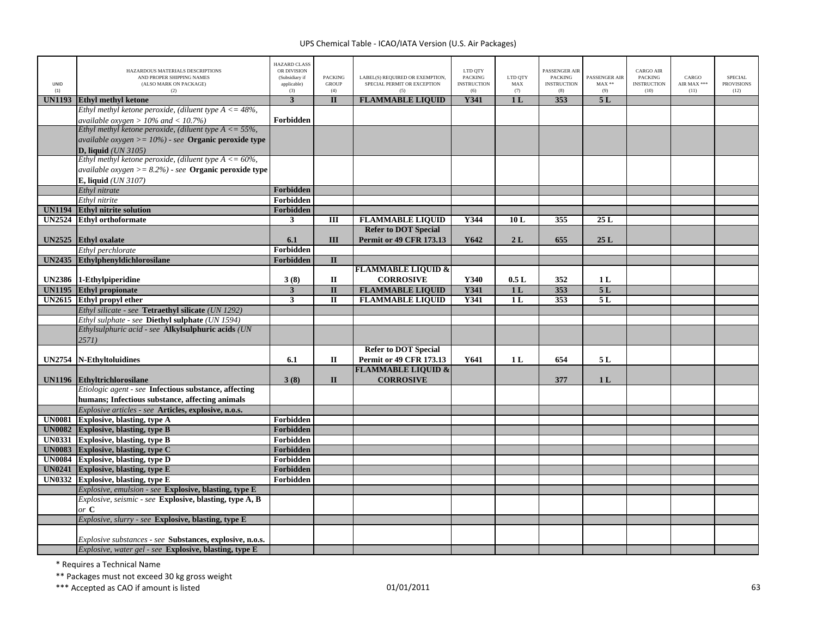| <b>UNID</b><br>(1) | HAZARDOUS MATERIALS DESCRIPTIONS<br>AND PROPER SHIPPING NAMES<br>(ALSO MARK ON PACKAGE)<br>(2) | <b>HAZARD CLASS</b><br>OR DIVISION<br>(Subsidiary if<br>applicable)<br>(3) | <b>PACKING</b><br><b>GROUP</b><br>(4) | LABEL(S) REQUIRED OR EXEMPTION,<br>SPECIAL PERMIT OR EXCEPTION<br>(5) | LTD QTY<br><b>PACKING</b><br><b>INSTRUCTION</b><br>(6) | LTD OTY<br>MAX<br>(7) | <b>PASSENGER AIR</b><br><b>PACKING</b><br><b>INSTRUCTION</b><br>(8) | PASSENGER AIR<br>$\text{MAX}$ **<br>(9) | <b>CARGO AIR</b><br>PACKING<br><b>INSTRUCTION</b><br>(10) | CARGO<br>AIR MAX ***<br>(11) | <b>SPECIAL</b><br><b>PROVISIONS</b><br>(12) |
|--------------------|------------------------------------------------------------------------------------------------|----------------------------------------------------------------------------|---------------------------------------|-----------------------------------------------------------------------|--------------------------------------------------------|-----------------------|---------------------------------------------------------------------|-----------------------------------------|-----------------------------------------------------------|------------------------------|---------------------------------------------|
| <b>UN1193</b>      | <b>Ethyl methyl ketone</b>                                                                     | $\overline{3}$                                                             | $\Pi$                                 | <b>FLAMMABLE LIQUID</b>                                               | Y341                                                   | 1 <sub>L</sub>        | 353                                                                 | 5L                                      |                                                           |                              |                                             |
|                    | Ethyl methyl ketone peroxide, (diluent type $A \leq 48\%$ ,                                    |                                                                            |                                       |                                                                       |                                                        |                       |                                                                     |                                         |                                                           |                              |                                             |
|                    | available oxygen $> 10\%$ and $< 10.7\%$ )                                                     | Forbidden                                                                  |                                       |                                                                       |                                                        |                       |                                                                     |                                         |                                                           |                              |                                             |
|                    | Ethyl methyl ketone peroxide, (diluent type $A \le 55\%$ ,                                     |                                                                            |                                       |                                                                       |                                                        |                       |                                                                     |                                         |                                                           |                              |                                             |
|                    | <i>available oxygen</i> $>= 10\%$ - see <b>Organic peroxide type</b>                           |                                                                            |                                       |                                                                       |                                                        |                       |                                                                     |                                         |                                                           |                              |                                             |
|                    | D, liquid $(UN 3105)$                                                                          |                                                                            |                                       |                                                                       |                                                        |                       |                                                                     |                                         |                                                           |                              |                                             |
|                    | Ethyl methyl ketone peroxide, (diluent type $A \le 60\%$ ,                                     |                                                                            |                                       |                                                                       |                                                        |                       |                                                                     |                                         |                                                           |                              |                                             |
|                    | <i>available oxygen</i> $>= 8.2\%$ - see <b>Organic peroxide type</b>                          |                                                                            |                                       |                                                                       |                                                        |                       |                                                                     |                                         |                                                           |                              |                                             |
|                    | <b>E, liquid</b> ( <i>UN 3107</i> )                                                            |                                                                            |                                       |                                                                       |                                                        |                       |                                                                     |                                         |                                                           |                              |                                             |
|                    | Ethyl nitrate                                                                                  | Forbidden                                                                  |                                       |                                                                       |                                                        |                       |                                                                     |                                         |                                                           |                              |                                             |
|                    | Ethyl nitrite                                                                                  | Forbidden                                                                  |                                       |                                                                       |                                                        |                       |                                                                     |                                         |                                                           |                              |                                             |
| <b>UN1194</b>      | <b>Ethyl nitrite solution</b>                                                                  | Forbidden                                                                  |                                       |                                                                       |                                                        |                       |                                                                     |                                         |                                                           |                              |                                             |
| <b>UN2524</b>      | <b>Ethyl orthoformate</b>                                                                      | $\mathbf{3}$                                                               | Ш                                     | <b>FLAMMABLE LIQUID</b>                                               | Y344                                                   | 10L                   | 355                                                                 | 25L                                     |                                                           |                              |                                             |
|                    |                                                                                                |                                                                            |                                       | <b>Refer to DOT Special</b>                                           |                                                        |                       |                                                                     |                                         |                                                           |                              |                                             |
| <b>UN2525</b>      | <b>Ethyl</b> oxalate                                                                           | 6.1                                                                        | III                                   | <b>Permit or 49 CFR 173.13</b>                                        | Y642                                                   | 2L                    | 655                                                                 | 25L                                     |                                                           |                              |                                             |
|                    | Ethyl perchlorate                                                                              | Forbidden                                                                  |                                       |                                                                       |                                                        |                       |                                                                     |                                         |                                                           |                              |                                             |
| <b>UN2435</b>      | Ethylphenyldichlorosilane                                                                      | Forbidden                                                                  | $\mathbf{I}$                          |                                                                       |                                                        |                       |                                                                     |                                         |                                                           |                              |                                             |
|                    |                                                                                                |                                                                            |                                       | <b>FLAMMABLE LIQUID &amp;</b>                                         |                                                        |                       |                                                                     |                                         |                                                           |                              |                                             |
|                    | UN2386 1-Ethylpiperidine                                                                       | 3(8)                                                                       | $\mathbf{I}$                          | <b>CORROSIVE</b>                                                      | Y340                                                   | 0.5L                  | 352                                                                 | 1 <sub>L</sub>                          |                                                           |                              |                                             |
|                    | UN1195 Ethyl propionate                                                                        | $\mathbf{3}$                                                               | $\mathbf{I}$                          | <b>FLAMMABLE LIQUID</b>                                               | Y341                                                   | 1 <sub>L</sub>        | 353                                                                 | 5L                                      |                                                           |                              |                                             |
| <b>UN2615</b>      | <b>Ethyl propyl ether</b>                                                                      | $\mathbf{3}$                                                               | $\mathbf{I}$                          | <b>FLAMMABLE LIQUID</b>                                               | Y341                                                   | 1 <sub>L</sub>        | 353                                                                 | 5L                                      |                                                           |                              |                                             |
|                    | Ethyl silicate - see Tetraethyl silicate (UN 1292)                                             |                                                                            |                                       |                                                                       |                                                        |                       |                                                                     |                                         |                                                           |                              |                                             |
|                    | Ethyl sulphate - see Diethyl sulphate (UN 1594)                                                |                                                                            |                                       |                                                                       |                                                        |                       |                                                                     |                                         |                                                           |                              |                                             |
|                    | Ethylsulphuric acid - see Alkylsulphuric acids (UN                                             |                                                                            |                                       |                                                                       |                                                        |                       |                                                                     |                                         |                                                           |                              |                                             |
|                    | 2571)                                                                                          |                                                                            |                                       |                                                                       |                                                        |                       |                                                                     |                                         |                                                           |                              |                                             |
|                    |                                                                                                |                                                                            |                                       | <b>Refer to DOT Special</b>                                           |                                                        |                       |                                                                     |                                         |                                                           |                              |                                             |
| <b>UN2754</b>      | <b>N-Ethyltoluidines</b>                                                                       | 6.1                                                                        | П                                     | Permit or 49 CFR 173.13                                               | Y641                                                   | 1 L                   | 654                                                                 | 5 L                                     |                                                           |                              |                                             |
|                    |                                                                                                |                                                                            |                                       | <b>FLAMMABLE LIQUID &amp;</b>                                         |                                                        |                       |                                                                     |                                         |                                                           |                              |                                             |
|                    | UN1196 Ethyltrichlorosilane                                                                    | 3(8)                                                                       | $\mathbf{I}$                          | <b>CORROSIVE</b>                                                      |                                                        |                       | 377                                                                 | 1 <sub>L</sub>                          |                                                           |                              |                                             |
|                    | Etiologic agent - see Infectious substance, affecting                                          |                                                                            |                                       |                                                                       |                                                        |                       |                                                                     |                                         |                                                           |                              |                                             |
|                    | humans; Infectious substance, affecting animals                                                |                                                                            |                                       |                                                                       |                                                        |                       |                                                                     |                                         |                                                           |                              |                                             |
|                    | Explosive articles - see Articles, explosive, n.o.s.                                           |                                                                            |                                       |                                                                       |                                                        |                       |                                                                     |                                         |                                                           |                              |                                             |
| <b>UN0081</b>      | <b>Explosive, blasting, type A</b>                                                             | Forbidden                                                                  |                                       |                                                                       |                                                        |                       |                                                                     |                                         |                                                           |                              |                                             |
|                    | UN0082 Explosive, blasting, type B<br>UN0331 Explosive, blasting, type B                       | Forbidden<br>Forbidden                                                     |                                       |                                                                       |                                                        |                       |                                                                     |                                         |                                                           |                              |                                             |
| <b>UN0083</b>      | Explosive, blasting, type C                                                                    | Forbidden                                                                  |                                       |                                                                       |                                                        |                       |                                                                     |                                         |                                                           |                              |                                             |
| <b>UN0084</b>      | <b>Explosive, blasting, type D</b>                                                             | Forbidden                                                                  |                                       |                                                                       |                                                        |                       |                                                                     |                                         |                                                           |                              |                                             |
|                    | UN0241 Explosive, blasting, type E                                                             | Forbidden                                                                  |                                       |                                                                       |                                                        |                       |                                                                     |                                         |                                                           |                              |                                             |
|                    | UN0332 Explosive, blasting, type E                                                             | Forbidden                                                                  |                                       |                                                                       |                                                        |                       |                                                                     |                                         |                                                           |                              |                                             |
|                    | Explosive, emulsion - see Explosive, blasting, type E                                          |                                                                            |                                       |                                                                       |                                                        |                       |                                                                     |                                         |                                                           |                              |                                             |
|                    | <i>Explosive, seismic - see</i> <b>Explosive, blasting, type A, B</b>                          |                                                                            |                                       |                                                                       |                                                        |                       |                                                                     |                                         |                                                           |                              |                                             |
|                    | or C                                                                                           |                                                                            |                                       |                                                                       |                                                        |                       |                                                                     |                                         |                                                           |                              |                                             |
|                    | Explosive, slurry - see Explosive, blasting, type E                                            |                                                                            |                                       |                                                                       |                                                        |                       |                                                                     |                                         |                                                           |                              |                                             |
|                    |                                                                                                |                                                                            |                                       |                                                                       |                                                        |                       |                                                                     |                                         |                                                           |                              |                                             |
|                    | Explosive substances - see Substances, explosive, n.o.s.                                       |                                                                            |                                       |                                                                       |                                                        |                       |                                                                     |                                         |                                                           |                              |                                             |
|                    | Explosive, water gel - see Explosive, blasting, type E                                         |                                                                            |                                       |                                                                       |                                                        |                       |                                                                     |                                         |                                                           |                              |                                             |

\* Requires <sup>a</sup> Technical Name

\*\* Packages must not exceed 30 kg gross weight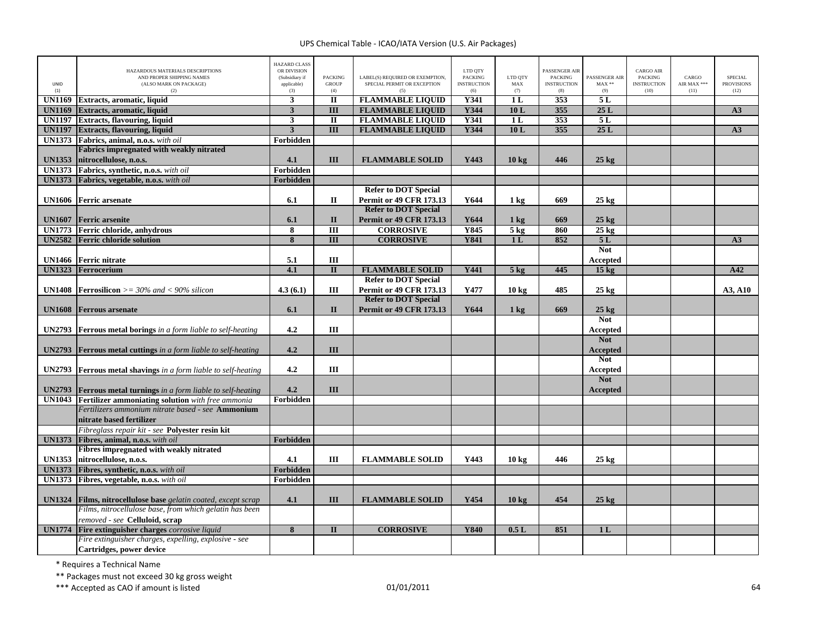|               | HAZARDOUS MATERIALS DESCRIPTIONS                                                                                                  | <b>HAZARD CLASS</b><br>OR DIVISION   |                                       |                                                                       | LTD QTY                                     |                                  | <b>PASSENGER AIR</b>                        |                                 | CARGO AIR                                    |                              |                                             |
|---------------|-----------------------------------------------------------------------------------------------------------------------------------|--------------------------------------|---------------------------------------|-----------------------------------------------------------------------|---------------------------------------------|----------------------------------|---------------------------------------------|---------------------------------|----------------------------------------------|------------------------------|---------------------------------------------|
| UNID<br>(1)   | AND PROPER SHIPPING NAMES<br>(ALSO MARK ON PACKAGE)<br>(2)                                                                        | (Subsidiary if<br>applicable)<br>(3) | <b>PACKING</b><br><b>GROUP</b><br>(4) | LABEL(S) REQUIRED OR EXEMPTION,<br>SPECIAL PERMIT OR EXCEPTION<br>(5) | <b>PACKING</b><br><b>INSTRUCTION</b><br>(6) | LTD QTY<br>$\mathbf{MAX}$<br>(7) | <b>PACKING</b><br><b>INSTRUCTION</b><br>(8) | PASSENGER AIR<br>$MAX**$<br>(9) | <b>PACKING</b><br><b>INSTRUCTION</b><br>(10) | CARGO<br>AIR MAX ***<br>(11) | <b>SPECIAL</b><br><b>PROVISIONS</b><br>(12) |
| <b>UN1169</b> | Extracts, aromatic, liquid                                                                                                        | $\mathbf{3}$                         | $\overline{\mathbf{u}}$               | <b>FLAMMABLE LIQUID</b>                                               | <b>Y341</b>                                 | 1 <sub>L</sub>                   | 353                                         | 5L                              |                                              |                              |                                             |
| <b>UN1169</b> | Extracts, aromatic, liquid                                                                                                        | $\overline{\mathbf{3}}$              | $\overline{III}$                      | <b>FLAMMABLE LIQUID</b>                                               | Y344                                        | 10L                              | 355                                         | 25L                             |                                              |                              | A3                                          |
| <b>UN1197</b> | <b>Extracts, flavouring, liquid</b>                                                                                               | $\overline{\mathbf{3}}$              | $\overline{\mathbf{u}}$               | <b>FLAMMABLE LIQUID</b>                                               | Y341                                        | 1 <sub>L</sub>                   | 353                                         | 5L                              |                                              |                              |                                             |
| <b>UN1197</b> | <b>Extracts, flavouring, liquid</b>                                                                                               | $\mathbf{3}$                         | $\overline{III}$                      | <b>FLAMMABLE LIQUID</b>                                               | Y344                                        | 10L                              | 355                                         | 25L                             |                                              |                              | A3                                          |
|               | UN1373 Fabrics, animal, n.o.s. with oil                                                                                           | Forbidden                            |                                       |                                                                       |                                             |                                  |                                             |                                 |                                              |                              |                                             |
|               | Fabrics impregnated with weakly nitrated                                                                                          |                                      |                                       |                                                                       |                                             |                                  |                                             |                                 |                                              |                              |                                             |
| <b>UN1353</b> | nitrocellulose, n.o.s.                                                                                                            | 4.1                                  | III                                   | <b>FLAMMABLE SOLID</b>                                                | Y443                                        | $10 \text{ kg}$                  | 446                                         | $25 \text{ kg}$                 |                                              |                              |                                             |
|               | UN1373 Fabrics, synthetic, n.o.s. with oil                                                                                        | Forbidden                            |                                       |                                                                       |                                             |                                  |                                             |                                 |                                              |                              |                                             |
|               | UN1373 Fabrics, vegetable, n.o.s. with oil                                                                                        | Forbidden                            |                                       |                                                                       |                                             |                                  |                                             |                                 |                                              |                              |                                             |
|               |                                                                                                                                   |                                      |                                       | <b>Refer to DOT Special</b>                                           |                                             |                                  |                                             |                                 |                                              |                              |                                             |
|               | <b>UN1606</b> Ferric arsenate                                                                                                     | 6.1                                  | $\mathbf{I}$                          | <b>Permit or 49 CFR 173.13</b>                                        | Y644                                        | $1 \text{ kg}$                   | 669                                         | $25 \text{ kg}$                 |                                              |                              |                                             |
|               |                                                                                                                                   |                                      |                                       | <b>Refer to DOT Special</b>                                           |                                             |                                  |                                             |                                 |                                              |                              |                                             |
| <b>UN1607</b> | <b>Ferric</b> arsenite                                                                                                            | 6.1                                  | $\mathbf{I}$                          | <b>Permit or 49 CFR 173.13</b>                                        | Y644                                        | $1 \text{ kg}$                   | 669                                         | $25 \text{ kg}$                 |                                              |                              |                                             |
|               | UN1773 Ferric chloride, anhydrous                                                                                                 | 8                                    | $\overline{III}$                      | <b>CORROSIVE</b>                                                      | Y845                                        | $5$ kg                           | 860                                         | $25 \text{ kg}$                 |                                              |                              |                                             |
|               | <b>UN2582</b> Ferric chloride solution                                                                                            | $\overline{\mathbf{8}}$              | $\overline{III}$                      | <b>CORROSIVE</b>                                                      | <b>Y841</b>                                 | 1L                               | 852                                         | 5L                              |                                              |                              | A3                                          |
|               |                                                                                                                                   |                                      |                                       |                                                                       |                                             |                                  |                                             | <b>Not</b>                      |                                              |                              |                                             |
| <b>UN1466</b> | <b>Ferric nitrate</b>                                                                                                             | 5.1                                  | III                                   |                                                                       |                                             |                                  |                                             | Accepted                        |                                              |                              |                                             |
| <b>UN1323</b> | Ferrocerium                                                                                                                       | 4.1                                  | $\mathbf{I}$                          | <b>FLAMMABLE SOLID</b>                                                | Y441                                        | 5 <sub>kg</sub>                  | 445                                         | 15 <sub>kg</sub>                |                                              |                              | A42                                         |
|               |                                                                                                                                   |                                      |                                       | <b>Refer to DOT Special</b>                                           |                                             |                                  |                                             |                                 |                                              |                              |                                             |
|               | <b>UN1408</b> Ferrosilicon $>=$ 30% and $<$ 90% silicon                                                                           | 4.3(6.1)                             | Ш                                     | <b>Permit or 49 CFR 173.13</b>                                        | Y477                                        | $10 \text{ kg}$                  | 485                                         | $25 \text{ kg}$                 |                                              |                              | A3, A10                                     |
|               |                                                                                                                                   |                                      |                                       | <b>Refer to DOT Special</b>                                           |                                             |                                  |                                             |                                 |                                              |                              |                                             |
| <b>UN1608</b> | <b>Ferrous</b> arsenate                                                                                                           | 6.1                                  | $\mathbf{I}$                          | <b>Permit or 49 CFR 173.13</b>                                        | Y644                                        | $1 \text{ kg}$                   | 669                                         | $25$ kg                         |                                              |                              |                                             |
|               |                                                                                                                                   |                                      |                                       |                                                                       |                                             |                                  |                                             | <b>Not</b>                      |                                              |                              |                                             |
| <b>UN2793</b> | <b>Ferrous metal borings</b> in a form liable to self-heating                                                                     | 4.2                                  | III                                   |                                                                       |                                             |                                  |                                             | Accepted                        |                                              |                              |                                             |
|               |                                                                                                                                   |                                      |                                       |                                                                       |                                             |                                  |                                             | <b>Not</b>                      |                                              |                              |                                             |
| <b>UN2793</b> |                                                                                                                                   | 4.2                                  | III                                   |                                                                       |                                             |                                  |                                             | <b>Accepted</b>                 |                                              |                              |                                             |
|               | <b>Ferrous metal cuttings</b> in a form liable to self-heating                                                                    |                                      |                                       |                                                                       |                                             |                                  |                                             | <b>Not</b>                      |                                              |                              |                                             |
| <b>UN2793</b> |                                                                                                                                   | 4.2                                  | III                                   |                                                                       |                                             |                                  |                                             |                                 |                                              |                              |                                             |
|               | Ferrous metal shavings in a form liable to self-heating                                                                           |                                      |                                       |                                                                       |                                             |                                  |                                             | Accepted<br><b>Not</b>          |                                              |                              |                                             |
|               |                                                                                                                                   | 4.2                                  | III                                   |                                                                       |                                             |                                  |                                             |                                 |                                              |                              |                                             |
| <b>UN2793</b> | <b>Ferrous metal turnings</b> in a form liable to self-heating<br><b>UN1043</b> Fertilizer ammoniating solution with free ammonia | Forbidden                            |                                       |                                                                       |                                             |                                  |                                             | <b>Accepted</b>                 |                                              |                              |                                             |
|               | Fertilizers ammonium nitrate based - see <b>Ammonium</b>                                                                          |                                      |                                       |                                                                       |                                             |                                  |                                             |                                 |                                              |                              |                                             |
|               | nitrate based fertilizer                                                                                                          |                                      |                                       |                                                                       |                                             |                                  |                                             |                                 |                                              |                              |                                             |
|               | Fibreglass repair kit - see Polyester resin kit                                                                                   |                                      |                                       |                                                                       |                                             |                                  |                                             |                                 |                                              |                              |                                             |
| <b>UN1373</b> |                                                                                                                                   |                                      |                                       |                                                                       |                                             |                                  |                                             |                                 |                                              |                              |                                             |
|               | Fibres, animal, n.o.s. with oil<br>Fibres impregnated with weakly nitrated                                                        | Forbidden                            |                                       |                                                                       |                                             |                                  |                                             |                                 |                                              |                              |                                             |
| <b>UN1353</b> | nitrocellulose, n.o.s.                                                                                                            | 4.1                                  | Ш                                     | <b>FLAMMABLE SOLID</b>                                                | Y443                                        | $10 \text{ kg}$                  | 446                                         |                                 |                                              |                              |                                             |
|               |                                                                                                                                   |                                      |                                       |                                                                       |                                             |                                  |                                             | $25 \text{ kg}$                 |                                              |                              |                                             |
| <b>UN1373</b> | Fibres, synthetic, n.o.s. with oil                                                                                                | Forbidden                            |                                       |                                                                       |                                             |                                  |                                             |                                 |                                              |                              |                                             |
| <b>UN1373</b> | Fibres, vegetable, n.o.s. with oil                                                                                                | Forbidden                            |                                       |                                                                       |                                             |                                  |                                             |                                 |                                              |                              |                                             |
|               |                                                                                                                                   |                                      |                                       |                                                                       |                                             |                                  |                                             |                                 |                                              |                              |                                             |
| <b>UN1324</b> | Films, nitrocellulose base gelatin coated, except scrap                                                                           | 4.1                                  | III                                   | <b>FLAMMABLE SOLID</b>                                                | Y454                                        | $10 \text{ kg}$                  | 454                                         | $25 \text{ kg}$                 |                                              |                              |                                             |
|               | Films, nitrocellulose base, from which gelatin has been                                                                           |                                      |                                       |                                                                       |                                             |                                  |                                             |                                 |                                              |                              |                                             |
|               | removed - see <b>Celluloid</b> , scrap                                                                                            |                                      |                                       |                                                                       |                                             |                                  |                                             |                                 |                                              |                              |                                             |
| <b>UN1774</b> | Fire extinguisher charges corrosive liquid                                                                                        | 8                                    | $\mathbf{I}$                          | <b>CORROSIVE</b>                                                      | Y840                                        | 0.5L                             | 851                                         | 1 <sub>L</sub>                  |                                              |                              |                                             |
|               | Fire extinguisher charges, expelling, explosive - see                                                                             |                                      |                                       |                                                                       |                                             |                                  |                                             |                                 |                                              |                              |                                             |
|               | Cartridges, power device                                                                                                          |                                      |                                       |                                                                       |                                             |                                  |                                             |                                 |                                              |                              |                                             |

\* Requires <sup>a</sup> Technical Name

\*\* Packages must not exceed 30 kg gross weight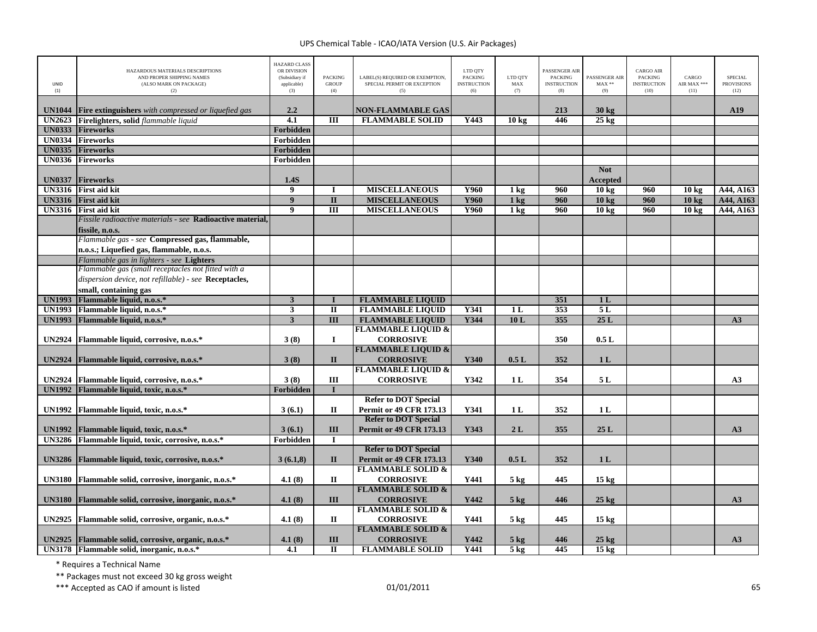| <b>UNID</b><br>(1) | HAZARDOUS MATERIALS DESCRIPTIONS<br>AND PROPER SHIPPING NAMES<br>(ALSO MARK ON PACKAGE)<br>(2) | <b>HAZARD CLASS</b><br>OR DIVISION<br>(Subsidiary if<br>applicable)<br>(3) | <b>PACKING</b><br><b>GROUP</b><br>(4) | LABEL(S) REQUIRED OR EXEMPTION,<br>SPECIAL PERMIT OR EXCEPTION<br>(5) | LTD QTY<br><b>PACKING</b><br><b>INSTRUCTION</b><br>(6) | LTD QTY<br>MAX<br>(7) | PASSENGER AIR<br><b>PACKING</b><br><b>INSTRUCTION</b><br>(8) | PASSENGER AIR<br>$MAX**$<br>(9) | <b>CARGO AIR</b><br><b>PACKING</b><br><b>INSTRUCTION</b><br>(10) | CARGO<br>AIR MAX ***<br>(11) | <b>SPECIAL</b><br><b>PROVISIONS</b><br>(12) |
|--------------------|------------------------------------------------------------------------------------------------|----------------------------------------------------------------------------|---------------------------------------|-----------------------------------------------------------------------|--------------------------------------------------------|-----------------------|--------------------------------------------------------------|---------------------------------|------------------------------------------------------------------|------------------------------|---------------------------------------------|
|                    |                                                                                                |                                                                            |                                       |                                                                       |                                                        |                       |                                                              |                                 |                                                                  |                              |                                             |
| <b>UN1044</b>      | Fire extinguishers with compressed or liquefied gas                                            | 2.2                                                                        |                                       | <b>NON-FLAMMABLE GAS</b>                                              |                                                        |                       | 213                                                          | $30 \text{ kg}$                 |                                                                  |                              | A19                                         |
| <b>UN2623</b>      | Firelighters, solid flammable liquid                                                           | $\overline{4.1}$                                                           | III                                   | <b>FLAMMABLE SOLID</b>                                                | Y443                                                   | $10 \text{ kg}$       | 446                                                          | $25$ kg                         |                                                                  |                              |                                             |
| <b>UN0333</b>      | <b>Fireworks</b>                                                                               | Forbidden                                                                  |                                       |                                                                       |                                                        |                       |                                                              |                                 |                                                                  |                              |                                             |
| <b>UN0334</b>      | <b>Fireworks</b>                                                                               | Forbidden                                                                  |                                       |                                                                       |                                                        |                       |                                                              |                                 |                                                                  |                              |                                             |
| <b>UN0335</b>      | <b>Fireworks</b>                                                                               | Forbidden                                                                  |                                       |                                                                       |                                                        |                       |                                                              |                                 |                                                                  |                              |                                             |
| <b>UN0336</b>      | <b>Fireworks</b>                                                                               | Forbidden                                                                  |                                       |                                                                       |                                                        |                       |                                                              |                                 |                                                                  |                              |                                             |
| <b>UN0337</b>      | <b>Fireworks</b>                                                                               | 1.4S                                                                       |                                       |                                                                       |                                                        |                       |                                                              | <b>Not</b><br><b>Accepted</b>   |                                                                  |                              |                                             |
| <b>UN3316</b>      | <b>First aid kit</b>                                                                           | 9                                                                          |                                       | <b>MISCELLANEOUS</b>                                                  | Y960                                                   | 1 <sub>kg</sub>       | 960                                                          | 10 <sub>kg</sub>                | 960                                                              | 10 <sub>kg</sub>             | A44, A163                                   |
| <b>UN3316</b>      | <b>First aid kit</b>                                                                           | $\overline{9}$                                                             | $\mathbf{I}$                          | <b>MISCELLANEOUS</b>                                                  | <b>Y960</b>                                            | $1$ kg                | 960                                                          | 10 <sub>kg</sub>                | 960                                                              | 10 <sub>kg</sub>             | A44, A163                                   |
| <b>UN3316</b>      | <b>First aid kit</b>                                                                           | $\boldsymbol{9}$                                                           | $\overline{III}$                      | <b>MISCELLANEOUS</b>                                                  | <b>Y960</b>                                            | 1 <sub>kg</sub>       | 960                                                          | 10 <sub>kg</sub>                | 960                                                              | 10 <sub>kg</sub>             | A44, A163                                   |
|                    | Fissile radioactive materials - see <b>Radioactive material.</b>                               |                                                                            |                                       |                                                                       |                                                        |                       |                                                              |                                 |                                                                  |                              |                                             |
|                    | fissile, n.o.s.                                                                                |                                                                            |                                       |                                                                       |                                                        |                       |                                                              |                                 |                                                                  |                              |                                             |
|                    | Flammable gas - see Compressed gas, flammable,                                                 |                                                                            |                                       |                                                                       |                                                        |                       |                                                              |                                 |                                                                  |                              |                                             |
|                    | n.o.s.; Liquefied gas, flammable, n.o.s.                                                       |                                                                            |                                       |                                                                       |                                                        |                       |                                                              |                                 |                                                                  |                              |                                             |
|                    | Flammable gas in lighters - see Lighters                                                       |                                                                            |                                       |                                                                       |                                                        |                       |                                                              |                                 |                                                                  |                              |                                             |
|                    | Flammable gas (small receptacles not fitted with a                                             |                                                                            |                                       |                                                                       |                                                        |                       |                                                              |                                 |                                                                  |                              |                                             |
|                    | dispersion device, not refillable) - see Receptacles,                                          |                                                                            |                                       |                                                                       |                                                        |                       |                                                              |                                 |                                                                  |                              |                                             |
|                    | small, containing gas                                                                          |                                                                            |                                       |                                                                       |                                                        |                       |                                                              |                                 |                                                                  |                              |                                             |
| <b>UN1993</b>      | Flammable liquid, n.o.s.*                                                                      | $\overline{\mathbf{3}}$                                                    | $\mathbf I$                           | <b>FLAMMABLE LIQUID</b>                                               |                                                        |                       | 351                                                          | 1L                              |                                                                  |                              |                                             |
| <b>UN1993</b>      | Flammable liquid, n.o.s.*                                                                      | $\mathbf{3}$                                                               | $\rm II$                              | <b>FLAMMABLE LIQUID</b>                                               | Y341                                                   | 1 <sub>L</sub>        | 353                                                          | 5L                              |                                                                  |                              |                                             |
| <b>UN1993</b>      | Flammable liquid, n.o.s.*                                                                      | $\overline{\mathbf{3}}$                                                    | $\overline{III}$                      | <b>FLAMMABLE LIQUID</b>                                               | Y344                                                   | 10L                   | 355                                                          | 25L                             |                                                                  |                              | A3                                          |
|                    |                                                                                                |                                                                            |                                       | <b>FLAMMABLE LIQUID &amp;</b>                                         |                                                        |                       |                                                              |                                 |                                                                  |                              |                                             |
| <b>UN2924</b>      | Flammable liquid, corrosive, n.o.s.*                                                           | 3(8)                                                                       | $\bf{I}$                              | <b>CORROSIVE</b>                                                      |                                                        |                       | 350                                                          | 0.5L                            |                                                                  |                              |                                             |
|                    |                                                                                                |                                                                            |                                       | <b>FLAMMABLE LIQUID &amp;</b>                                         |                                                        |                       |                                                              |                                 |                                                                  |                              |                                             |
| <b>UN2924</b>      | Flammable liquid, corrosive, n.o.s.*                                                           | 3(8)                                                                       | $\mathbf{I}$                          | <b>CORROSIVE</b>                                                      | Y340                                                   | 0.5L                  | 352                                                          | 1 <sub>L</sub>                  |                                                                  |                              |                                             |
|                    |                                                                                                |                                                                            |                                       | <b>FLAMMABLE LIQUID &amp;</b>                                         |                                                        |                       |                                                              |                                 |                                                                  |                              |                                             |
| <b>UN2924</b>      | Flammable liquid, corrosive, n.o.s.*                                                           | 3(8)                                                                       | Ш                                     | <b>CORROSIVE</b>                                                      | Y342                                                   | 1 L                   | 354                                                          | 5 L                             |                                                                  |                              | A3                                          |
| <b>UN1992</b>      | Flammable liquid, toxic, n.o.s.*                                                               | Forbidden                                                                  | $\mathbf I$                           |                                                                       |                                                        |                       |                                                              |                                 |                                                                  |                              |                                             |
|                    |                                                                                                |                                                                            |                                       | <b>Refer to DOT Special</b>                                           |                                                        |                       |                                                              |                                 |                                                                  |                              |                                             |
| <b>UN1992</b>      | Flammable liquid, toxic, n.o.s.*                                                               | 3(6.1)                                                                     | $\mathbf{I}$                          | Permit or 49 CFR 173.13                                               | Y341                                                   | 1 <sub>L</sub>        | 352                                                          | 1 <sub>L</sub>                  |                                                                  |                              |                                             |
|                    |                                                                                                |                                                                            |                                       | <b>Refer to DOT Special</b>                                           |                                                        |                       |                                                              |                                 |                                                                  |                              |                                             |
| <b>UN1992</b>      | Flammable liquid, toxic, n.o.s.*                                                               | 3(6.1)                                                                     | III                                   | Permit or 49 CFR 173.13                                               | Y343                                                   | 2L                    | 355                                                          | 25L                             |                                                                  |                              | A3                                          |
| <b>UN3286</b>      | Flammable liquid, toxic, corrosive, n.o.s.*                                                    | Forbidden                                                                  | $\bf I$                               |                                                                       |                                                        |                       |                                                              |                                 |                                                                  |                              |                                             |
|                    |                                                                                                |                                                                            |                                       | <b>Refer to DOT Special</b>                                           |                                                        |                       |                                                              |                                 |                                                                  |                              |                                             |
| <b>UN3286</b>      | Flammable liquid, toxic, corrosive, n.o.s.*                                                    | 3(6.1,8)                                                                   | $\mathbf{I}$                          | <b>Permit or 49 CFR 173.13</b>                                        | Y340                                                   | 0.5L                  | 352                                                          | 1 <sub>L</sub>                  |                                                                  |                              |                                             |
|                    |                                                                                                |                                                                            |                                       | <b>FLAMMABLE SOLID &amp;</b>                                          |                                                        |                       |                                                              |                                 |                                                                  |                              |                                             |
| <b>UN3180</b>      | Flammable solid, corrosive, inorganic, n.o.s.*                                                 | 4.1(8)                                                                     | П                                     | <b>CORROSIVE</b>                                                      | Y441                                                   | $5 \text{ kg}$        | 445                                                          | 15 <sub>kg</sub>                |                                                                  |                              |                                             |
|                    |                                                                                                |                                                                            |                                       | <b>FLAMMABLE SOLID &amp;</b>                                          |                                                        |                       |                                                              |                                 |                                                                  |                              |                                             |
| <b>UN3180</b>      | Flammable solid, corrosive, inorganic, n.o.s.*                                                 | 4.1(8)                                                                     | III                                   | <b>CORROSIVE</b>                                                      | Y442                                                   | $5$ kg                | 446                                                          | $25$ kg                         |                                                                  |                              | A3                                          |
|                    |                                                                                                |                                                                            |                                       | <b>FLAMMABLE SOLID &amp;</b>                                          |                                                        |                       |                                                              |                                 |                                                                  |                              |                                             |
| <b>UN2925</b>      | Flammable solid, corrosive, organic, n.o.s.*                                                   | 4.1(8)                                                                     | П                                     | <b>CORROSIVE</b>                                                      | Y441                                                   | $5 \text{ kg}$        | 445                                                          | $15 \text{ kg}$                 |                                                                  |                              |                                             |
|                    |                                                                                                |                                                                            |                                       | <b>FLAMMABLE SOLID &amp;</b>                                          |                                                        |                       |                                                              |                                 |                                                                  |                              |                                             |
|                    | UN2925   Flammable solid, corrosive, organic, n.o.s.*                                          | 4.1(8)                                                                     | III                                   | <b>CORROSIVE</b>                                                      | Y442                                                   | $5$ kg                | 446                                                          | $25$ kg                         |                                                                  |                              | A3                                          |
|                    | UN3178 Flammable solid, inorganic, n.o.s.*                                                     | 4.1                                                                        | $\overline{\mathbf{u}}$               | <b>FLAMMABLE SOLID</b>                                                | <b>Y441</b>                                            | 5 <sub>kg</sub>       | 445                                                          | $15 \text{ kg}$                 |                                                                  |                              |                                             |

\* Requires <sup>a</sup> Technical Name

\*\* Packages must not exceed 30 kg gross weight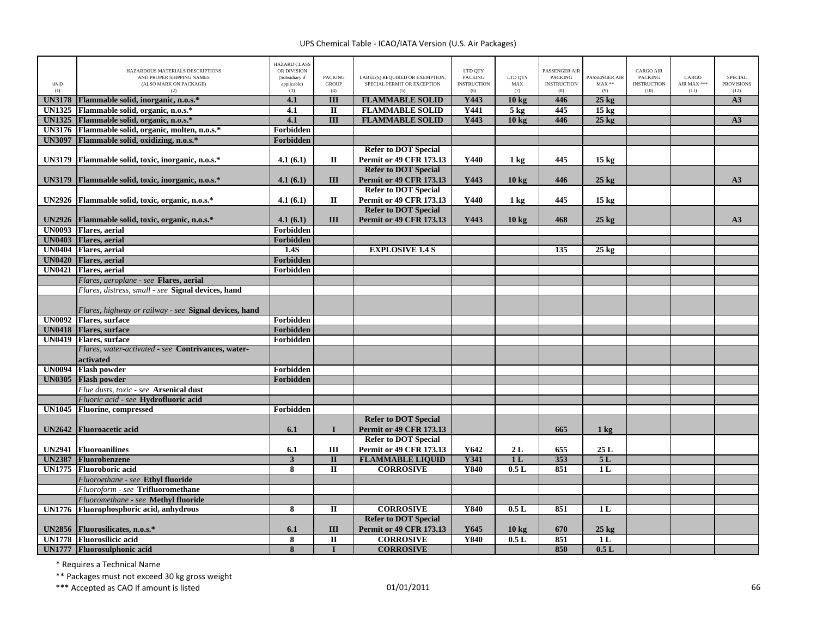|               | HAZARDOUS MATERIALS DESCRIPTIONS<br>AND PROPER SHIPPING NAMES | HAZARD CLASS<br>OR DIVISION<br>(Subsidiary if | <b>PACKING</b>          | LABEL(S) REQUIRED OR EXEMPTION,    | LTD QTY<br>PACKING        | LTD QTY          | PASSENGER AIR<br><b>PACKING</b> | PASSENGER AIR   | <b>CARGO AIR</b><br><b>PACKING</b> | CARGO               | <b>SPECIAL</b>            |
|---------------|---------------------------------------------------------------|-----------------------------------------------|-------------------------|------------------------------------|---------------------------|------------------|---------------------------------|-----------------|------------------------------------|---------------------|---------------------------|
| UNID<br>(1)   | (ALSO MARK ON PACKAGE)<br>(2)                                 | applicable)<br>(3)                            | <b>GROUP</b><br>(4)     | SPECIAL PERMIT OR EXCEPTION<br>(5) | <b>INSTRUCTION</b><br>(6) | MAX<br>(7)       | <b>INSTRUCTION</b><br>(8)       | $MAX**$<br>(9)  | <b>INSTRUCTION</b><br>(10)         | AIR MAX ***<br>(11) | <b>PROVISIONS</b><br>(12) |
| <b>UN3178</b> | Flammable solid, inorganic, n.o.s.*                           | 4.1                                           | Ш                       | <b>FLAMMABLE SOLID</b>             | Y443                      | 10 <sub>kg</sub> | 446                             | $25 \text{ kg}$ |                                    |                     | A3                        |
| <b>UN1325</b> | Flammable solid, organic, n.o.s.*                             | 4.1                                           | $\rm II$                | <b>FLAMMABLE SOLID</b>             | Y441                      | 5 <sub>kg</sub>  | 445                             | $15 \text{ kg}$ |                                    |                     |                           |
| <b>UN1325</b> | Flammable solid, organic, n.o.s.*                             | 4.1                                           | $\overline{III}$        | <b>FLAMMABLE SOLID</b>             | Y443                      | 10 <sub>kg</sub> | 446                             | $25 \text{ kg}$ |                                    |                     | A3                        |
| <b>UN3176</b> | Flammable solid, organic, molten, n.o.s.*                     | Forbidden                                     |                         |                                    |                           |                  |                                 |                 |                                    |                     |                           |
| <b>UN3097</b> | Flammable solid, oxidizing, n.o.s.*                           | Forbidden                                     |                         |                                    |                           |                  |                                 |                 |                                    |                     |                           |
|               |                                                               |                                               |                         | <b>Refer to DOT Special</b>        |                           |                  |                                 |                 |                                    |                     |                           |
| <b>UN3179</b> | Flammable solid, toxic, inorganic, n.o.s.*                    | 4.1(6.1)                                      | $\mathbf{I}$            | <b>Permit or 49 CFR 173.13</b>     | Y440                      | $1 \text{ kg}$   | 445                             | $15 \text{ kg}$ |                                    |                     |                           |
|               |                                                               |                                               |                         | <b>Refer to DOT Special</b>        |                           |                  |                                 |                 |                                    |                     |                           |
| <b>UN3179</b> | Flammable solid, toxic, inorganic, n.o.s.*                    | 4.1(6.1)                                      | III                     | <b>Permit or 49 CFR 173.13</b>     | Y443                      | $10 \text{ kg}$  | 446                             | $25 \text{ kg}$ |                                    |                     | A3                        |
|               |                                                               |                                               |                         | <b>Refer to DOT Special</b>        |                           |                  |                                 |                 |                                    |                     |                           |
| <b>UN2926</b> | Flammable solid, toxic, organic, n.o.s.*                      | 4.1(6.1)                                      | $\mathbf{I}$            | Permit or 49 CFR 173.13            | Y440                      | $1 \text{ kg}$   | 445                             | $15 \text{ kg}$ |                                    |                     |                           |
|               |                                                               |                                               |                         | <b>Refer to DOT Special</b>        |                           |                  |                                 |                 |                                    |                     |                           |
| <b>UN2926</b> | Flammable solid, toxic, organic, n.o.s.*                      | 4.1(6.1)                                      | III                     | <b>Permit or 49 CFR 173.13</b>     | Y443                      | $10 \text{ kg}$  | 468                             | $25 \text{ kg}$ |                                    |                     | A3                        |
| <b>UN0093</b> | <b>Flares</b> , aerial                                        | Forbidden                                     |                         |                                    |                           |                  |                                 |                 |                                    |                     |                           |
| <b>UN0403</b> | <b>Flares</b> , aerial                                        | Forbidden                                     |                         |                                    |                           |                  |                                 |                 |                                    |                     |                           |
| <b>UN0404</b> | <b>Flares</b> , aerial                                        | 1.4S                                          |                         | <b>EXPLOSIVE 1.4 S</b>             |                           |                  | 135                             | $25 \text{ kg}$ |                                    |                     |                           |
| <b>UN0420</b> | <b>Flares</b> , aerial                                        | Forbidden                                     |                         |                                    |                           |                  |                                 |                 |                                    |                     |                           |
| <b>UN0421</b> | Flares, aerial                                                | Forbidden                                     |                         |                                    |                           |                  |                                 |                 |                                    |                     |                           |
|               | Flares, aeroplane - see Flares, aerial                        |                                               |                         |                                    |                           |                  |                                 |                 |                                    |                     |                           |
|               | Flares, distress, small - see Signal devices, hand            |                                               |                         |                                    |                           |                  |                                 |                 |                                    |                     |                           |
|               |                                                               |                                               |                         |                                    |                           |                  |                                 |                 |                                    |                     |                           |
|               | Flares, highway or railway - see Signal devices, hand         |                                               |                         |                                    |                           |                  |                                 |                 |                                    |                     |                           |
| UN0092        | <b>Flares</b> , surface                                       | Forbidden                                     |                         |                                    |                           |                  |                                 |                 |                                    |                     |                           |
| <b>UN0418</b> | <b>Flares</b> , surface                                       | Forbidden                                     |                         |                                    |                           |                  |                                 |                 |                                    |                     |                           |
| UN0419        | <b>Flares</b> , surface                                       | Forbidden                                     |                         |                                    |                           |                  |                                 |                 |                                    |                     |                           |
|               | Flares, water-activated - see Contrivances, water-            |                                               |                         |                                    |                           |                  |                                 |                 |                                    |                     |                           |
|               | activated                                                     |                                               |                         |                                    |                           |                  |                                 |                 |                                    |                     |                           |
| <b>UN0094</b> | <b>Flash powder</b>                                           | Forbidden                                     |                         |                                    |                           |                  |                                 |                 |                                    |                     |                           |
| <b>UN0305</b> | <b>Flash powder</b>                                           | Forbidden                                     |                         |                                    |                           |                  |                                 |                 |                                    |                     |                           |
|               | Flue dusts, toxic - see Arsenical dust                        |                                               |                         |                                    |                           |                  |                                 |                 |                                    |                     |                           |
|               | Fluoric acid - see Hydrofluoric acid                          |                                               |                         |                                    |                           |                  |                                 |                 |                                    |                     |                           |
| <b>UN1045</b> | <b>Fluorine, compressed</b>                                   | Forbidden                                     |                         |                                    |                           |                  |                                 |                 |                                    |                     |                           |
|               |                                                               |                                               |                         | <b>Refer to DOT Special</b>        |                           |                  |                                 |                 |                                    |                     |                           |
| <b>UN2642</b> | <b>Fluoroacetic acid</b>                                      | 6.1                                           | $\mathbf{I}$            | <b>Permit or 49 CFR 173.13</b>     |                           |                  | 665                             | $1 \text{ kg}$  |                                    |                     |                           |
|               |                                                               |                                               |                         | <b>Refer to DOT Special</b>        |                           |                  |                                 |                 |                                    |                     |                           |
| <b>UN2941</b> | <b>Fluoroanilines</b>                                         | 6.1                                           | Ш                       | Permit or 49 CFR 173.13            | Y642                      | 2L               | 655                             | 25L             |                                    |                     |                           |
| <b>UN2387</b> | Fluorobenzene                                                 | $\mathbf{3}$                                  | $\mathbf{I}$            | <b>FLAMMABLE LIQUID</b>            | Y341                      | 1 <sub>L</sub>   | 353                             | 5L              |                                    |                     |                           |
| <b>UN1775</b> | <b>Fluoroboric</b> acid                                       | 8                                             | $\overline{\mathbf{u}}$ | <b>CORROSIVE</b>                   | <b>Y840</b>               | 0.5L             | 851                             | 1 <sub>L</sub>  |                                    |                     |                           |
|               | Fluoroethane - see Ethyl fluoride                             |                                               |                         |                                    |                           |                  |                                 |                 |                                    |                     |                           |
|               | Fluoroform - see <b>Trifluoromethane</b>                      |                                               |                         |                                    |                           |                  |                                 |                 |                                    |                     |                           |
|               | Fluoromethane - see Methyl fluoride                           |                                               |                         |                                    |                           |                  |                                 |                 |                                    |                     |                           |
| <b>UN1776</b> | Fluorophosphoric acid, anhydrous                              | 8                                             | п                       | <b>CORROSIVE</b>                   | Y840                      | 0.5L             | 851                             | 1 <sub>L</sub>  |                                    |                     |                           |
|               |                                                               |                                               |                         | <b>Refer to DOT Special</b>        |                           |                  |                                 |                 |                                    |                     |                           |
| <b>UN2856</b> | Fluorosilicates, n.o.s.*                                      | 6.1                                           | III                     | <b>Permit or 49 CFR 173.13</b>     | Y645                      | $10 \text{ kg}$  | 670                             | $25$ kg         |                                    |                     |                           |
| <b>UN1778</b> | <b>Fluorosilicic acid</b>                                     | 8                                             | $\mathbf{I}$            | <b>CORROSIVE</b>                   | <b>Y840</b>               | 0.5L             | 851                             | 1L              |                                    |                     |                           |
|               | UN1777 Fluorosulphonic acid                                   | 8                                             | $\mathbf I$             | <b>CORROSIVE</b>                   |                           |                  | 850                             | 0.5L            |                                    |                     |                           |

\* Requires <sup>a</sup> Technical Name

\*\* Packages must not exceed 30 kg gross weight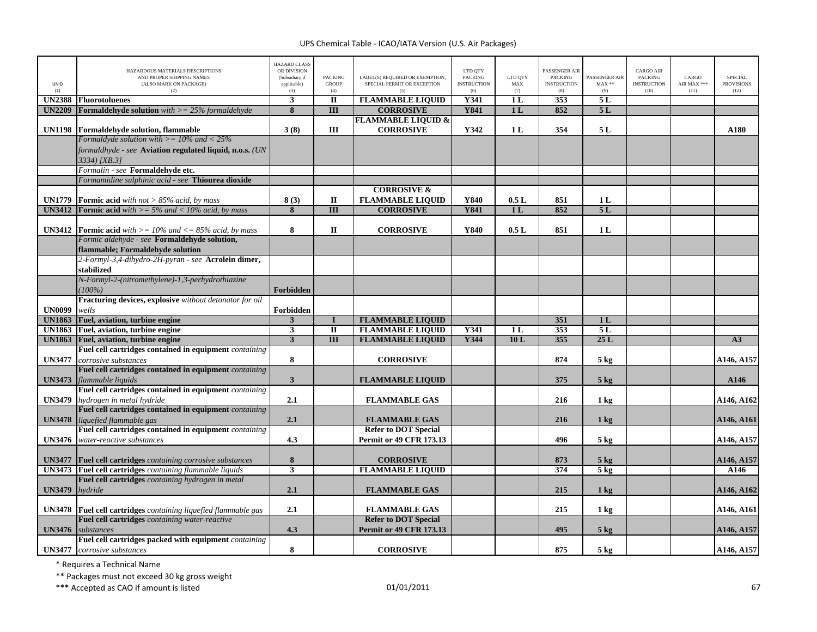| UNID<br>(1)   | HAZARDOUS MATERIALS DESCRIPTIONS<br>AND PROPER SHIPPING NAMES<br>(ALSO MARK ON PACKAGE)<br>(2) | <b>HAZARD CLASS</b><br>OR DIVISION<br>(Subsidiary if<br>applicable)<br>(3) | <b>PACKING</b><br><b>GROUP</b><br>(4) | LABEL(S) REQUIRED OR EXEMPTION,<br>SPECIAL PERMIT OR EXCEPTION<br>(5) | LTD OTY<br><b>PACKING</b><br><b>INSTRUCTION</b><br>(6) | LTD QTY<br>$\operatorname{MAX}$<br>(7) | PASSENGER AIR<br><b>PACKING</b><br><b>INSTRUCTION</b><br>(8) | <b>PASSENGER AIR</b><br>$MAX**$<br>(9) | <b>CARGO AIR</b><br><b>PACKING</b><br><b>INSTRUCTION</b><br>(10) | CARGO<br>AIR MAX ***<br>(11) | <b>SPECIAL</b><br><b>PROVISIONS</b><br>(12) |
|---------------|------------------------------------------------------------------------------------------------|----------------------------------------------------------------------------|---------------------------------------|-----------------------------------------------------------------------|--------------------------------------------------------|----------------------------------------|--------------------------------------------------------------|----------------------------------------|------------------------------------------------------------------|------------------------------|---------------------------------------------|
| <b>UN2388</b> | <b>Fluorotoluenes</b>                                                                          | $\mathbf{3}$                                                               | $\mathbf{I}$                          | <b>FLAMMABLE LIQUID</b>                                               | <b>Y341</b>                                            | 1 <sub>L</sub>                         | 353                                                          | 5L                                     |                                                                  |                              |                                             |
| <b>UN2209</b> | <b>Formaldehyde solution</b> with $>= 25\%$ formaldehyde                                       | 8                                                                          | $\overline{III}$                      | <b>CORROSIVE</b>                                                      | <b>Y841</b>                                            | 1 <sub>L</sub>                         | 852                                                          | 5L                                     |                                                                  |                              |                                             |
|               |                                                                                                |                                                                            |                                       | <b>FLAMMABLE LIQUID &amp;</b>                                         |                                                        |                                        |                                                              |                                        |                                                                  |                              |                                             |
| <b>UN1198</b> | Formaldehyde solution, flammable                                                               | 3(8)                                                                       | Ш                                     | <b>CORROSIVE</b>                                                      | Y342                                                   | 1 <sub>L</sub>                         | 354                                                          | 5L                                     |                                                                  |                              | A180                                        |
|               | Formaldyde solution with $\geq$ 10% and < 25%                                                  |                                                                            |                                       |                                                                       |                                                        |                                        |                                                              |                                        |                                                                  |                              |                                             |
|               | formaldhyde - see Aviation regulated liquid, n.o.s. (UN<br>$3334$ [XB.3]                       |                                                                            |                                       |                                                                       |                                                        |                                        |                                                              |                                        |                                                                  |                              |                                             |
|               | Formalin - see Formaldehyde etc.                                                               |                                                                            |                                       |                                                                       |                                                        |                                        |                                                              |                                        |                                                                  |                              |                                             |
|               | Formamidine sulphinic acid - see Thiourea dioxide                                              |                                                                            |                                       |                                                                       |                                                        |                                        |                                                              |                                        |                                                                  |                              |                                             |
|               |                                                                                                |                                                                            |                                       | <b>CORROSIVE &amp;</b>                                                |                                                        |                                        |                                                              |                                        |                                                                  |                              |                                             |
| <b>UN1779</b> | <b>Formic acid</b> with not $> 85\%$ acid, by mass                                             | 8(3)                                                                       | $\mathbf{I}$                          | <b>FLAMMABLE LIQUID</b>                                               | Y840                                                   | 0.5L                                   | 851                                                          | 1 <sub>L</sub>                         |                                                                  |                              |                                             |
| <b>UN3412</b> | <b>Formic acid</b> with $\geq$ = 5% and < 10% acid, by mass                                    | 8                                                                          | $\overline{III}$                      | <b>CORROSIVE</b>                                                      | <b>Y841</b>                                            | 1 <sub>L</sub>                         | 852                                                          | 5L                                     |                                                                  |                              |                                             |
|               |                                                                                                |                                                                            |                                       |                                                                       |                                                        |                                        |                                                              |                                        |                                                                  |                              |                                             |
|               | <b>UN3412</b> Formic acid with $>= 10\%$ and $<= 85\%$ acid, by mass                           | 8                                                                          | $\Pi$                                 | <b>CORROSIVE</b>                                                      | Y840                                                   | 0.5L                                   | 851                                                          | 1 <sub>L</sub>                         |                                                                  |                              |                                             |
|               | Formic aldehyde - see Formaldehyde solution,                                                   |                                                                            |                                       |                                                                       |                                                        |                                        |                                                              |                                        |                                                                  |                              |                                             |
|               | flammable; Formaldehyde solution                                                               |                                                                            |                                       |                                                                       |                                                        |                                        |                                                              |                                        |                                                                  |                              |                                             |
|               | 2-Formyl-3,4-dihydro-2H-pyran - see Acrolein dimer,                                            |                                                                            |                                       |                                                                       |                                                        |                                        |                                                              |                                        |                                                                  |                              |                                             |
|               | stabilized                                                                                     |                                                                            |                                       |                                                                       |                                                        |                                        |                                                              |                                        |                                                                  |                              |                                             |
|               | N-Formyl-2-(nitromethylene)-1,3-perhydrothiazine                                               |                                                                            |                                       |                                                                       |                                                        |                                        |                                                              |                                        |                                                                  |                              |                                             |
|               | $(100\%)$                                                                                      | <b>Forbidden</b>                                                           |                                       |                                                                       |                                                        |                                        |                                                              |                                        |                                                                  |                              |                                             |
|               | Fracturing devices, explosive without detonator for oil                                        |                                                                            |                                       |                                                                       |                                                        |                                        |                                                              |                                        |                                                                  |                              |                                             |
| <b>UN0099</b> | wells                                                                                          | Forbidden                                                                  |                                       |                                                                       |                                                        |                                        |                                                              |                                        |                                                                  |                              |                                             |
| <b>UN1863</b> | Fuel, aviation, turbine engine                                                                 | 3                                                                          | $\bf{I}$                              | <b>FLAMMABLE LIQUID</b>                                               |                                                        |                                        | 351                                                          | 1 <sub>L</sub>                         |                                                                  |                              |                                             |
| <b>UN1863</b> | Fuel, aviation, turbine engine                                                                 | 3                                                                          | $\mathbf{I}$                          | <b>FLAMMABLE LIQUID</b>                                               | Y341                                                   | 1 <sub>L</sub>                         | 353                                                          | 5L                                     |                                                                  |                              |                                             |
| <b>UN1863</b> | Fuel, aviation, turbine engine                                                                 | $\overline{\mathbf{3}}$                                                    | $\overline{\mathbf{H}}$               | <b>FLAMMABLE LIQUID</b>                                               | Y344                                                   | 10L                                    | 355                                                          | 25L                                    |                                                                  |                              | $\overline{A3}$                             |
|               | Fuel cell cartridges contained in equipment <i>containing</i>                                  |                                                                            |                                       |                                                                       |                                                        |                                        |                                                              |                                        |                                                                  |                              |                                             |
| <b>UN3477</b> | corrosive substances                                                                           | 8                                                                          |                                       | <b>CORROSIVE</b>                                                      |                                                        |                                        | 874                                                          | $5 \text{ kg}$                         |                                                                  |                              | A146, A157                                  |
|               | Fuel cell cartridges contained in equipment containing                                         |                                                                            |                                       |                                                                       |                                                        |                                        |                                                              |                                        |                                                                  |                              |                                             |
| <b>UN3473</b> | flammable liquids<br>Fuel cell cartridges contained in equipment containing                    | $\mathbf{3}$                                                               |                                       | <b>FLAMMABLE LIQUID</b>                                               |                                                        |                                        | 375                                                          | $5$ kg                                 |                                                                  |                              | A146                                        |
|               |                                                                                                |                                                                            |                                       |                                                                       |                                                        |                                        |                                                              |                                        |                                                                  |                              |                                             |
| <b>UN3479</b> | hydrogen in metal hydride<br>Fuel cell cartridges contained in equipment containing            | 2.1                                                                        |                                       | <b>FLAMMABLE GAS</b>                                                  |                                                        |                                        | 216                                                          | 1 <sub>kg</sub>                        |                                                                  |                              | A146, A162                                  |
|               |                                                                                                | 2.1                                                                        |                                       |                                                                       |                                                        |                                        | 216                                                          | 1 <sub>k</sub> g                       |                                                                  |                              |                                             |
| <b>UN3478</b> | liquefied flammable gas<br>Fuel cell cartridges contained in equipment containing              |                                                                            |                                       | <b>FLAMMABLE GAS</b><br><b>Refer to DOT Special</b>                   |                                                        |                                        |                                                              |                                        |                                                                  |                              | A146, A161                                  |
| <b>UN3476</b> | water-reactive substances                                                                      | 4.3                                                                        |                                       | <b>Permit or 49 CFR 173.13</b>                                        |                                                        |                                        | 496                                                          | $5 \text{ kg}$                         |                                                                  |                              | A146, A157                                  |
|               |                                                                                                |                                                                            |                                       |                                                                       |                                                        |                                        |                                                              |                                        |                                                                  |                              |                                             |
|               | <b>UN3477</b> Fuel cell cartridges containing corrosive substances                             | 8                                                                          |                                       | <b>CORROSIVE</b>                                                      |                                                        |                                        | 873                                                          | $5$ kg                                 |                                                                  |                              | A146, A157                                  |
|               | UN3473 Fuel cell cartridges containing flammable liquids                                       | $\overline{\mathbf{3}}$                                                    |                                       | <b>FLAMMABLE LIQUID</b>                                               |                                                        |                                        | 374                                                          | $5$ kg                                 |                                                                  |                              | A146                                        |
|               | Fuel cell cartridges containing hydrogen in metal                                              |                                                                            |                                       |                                                                       |                                                        |                                        |                                                              |                                        |                                                                  |                              |                                             |
| <b>UN3479</b> | hydride                                                                                        | 2.1                                                                        |                                       | <b>FLAMMABLE GAS</b>                                                  |                                                        |                                        | 215                                                          | $1 \text{ kg}$                         |                                                                  |                              | A146, A162                                  |
|               |                                                                                                |                                                                            |                                       |                                                                       |                                                        |                                        |                                                              |                                        |                                                                  |                              |                                             |
|               | <b>UN3478</b> Fuel cell cartridges containing liquefied flammable gas                          | 2.1                                                                        |                                       | <b>FLAMMABLE GAS</b>                                                  |                                                        |                                        | 215                                                          | 1 kg                                   |                                                                  |                              | A146, A161                                  |
|               | Fuel cell cartridges containing water-reactive                                                 |                                                                            |                                       | <b>Refer to DOT Special</b>                                           |                                                        |                                        |                                                              |                                        |                                                                  |                              |                                             |
| <b>UN3476</b> | substances                                                                                     | 4.3                                                                        |                                       | Permit or 49 CFR 173.13                                               |                                                        |                                        | 495                                                          | $5 \text{ kg}$                         |                                                                  |                              | A146, A157                                  |
|               | Fuel cell cartridges packed with equipment containing                                          |                                                                            |                                       |                                                                       |                                                        |                                        |                                                              |                                        |                                                                  |                              |                                             |
|               | <b>UN3477</b> corrosive substances                                                             | 8                                                                          |                                       | <b>CORROSIVE</b>                                                      |                                                        |                                        | 875                                                          | 5 <sub>kg</sub>                        |                                                                  |                              | A146, A157                                  |
|               |                                                                                                |                                                                            |                                       |                                                                       |                                                        |                                        |                                                              |                                        |                                                                  |                              |                                             |

\* Requires <sup>a</sup> Technical Name

\*\* Packages must not exceed 30 kg gross weight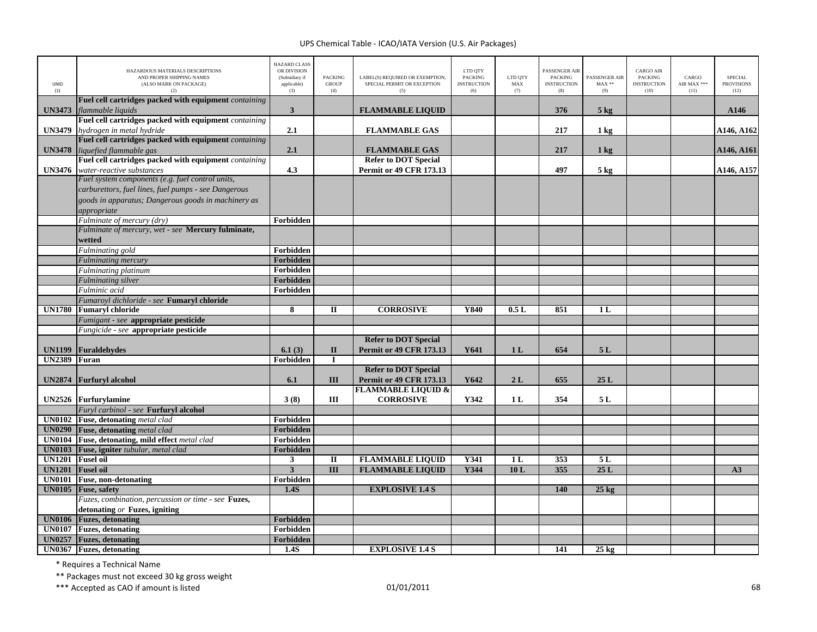| <b>UNID</b><br>(1) | HAZARDOUS MATERIALS DESCRIPTIONS<br>AND PROPER SHIPPING NAMES<br>(ALSO MARK ON PACKAGE)<br>(2) | <b>HAZARD CLASS</b><br>OR DIVISION<br>(Subsidiary if<br>applicable)<br>(3) | <b>PACKING</b><br><b>GROUP</b><br>(4) | LABEL(S) REQUIRED OR EXEMPTION,<br>SPECIAL PERMIT OR EXCEPTION<br>(5) | LTD QTY<br><b>PACKING</b><br><b>INSTRUCTION</b><br>(6) | LTD QTY<br>MAX<br>(7) | PASSENGER AIR<br><b>PACKING</b><br><b>INSTRUCTION</b><br>(8) | PASSENGER AIR<br>$MAX**$<br>(9) | <b>CARGO AIR</b><br>PACKING<br><b>INSTRUCTION</b><br>(10) | CARGO<br>AIR MAX ***<br>(11) | <b>SPECIAL</b><br><b>PROVISIONS</b><br>(12) |
|--------------------|------------------------------------------------------------------------------------------------|----------------------------------------------------------------------------|---------------------------------------|-----------------------------------------------------------------------|--------------------------------------------------------|-----------------------|--------------------------------------------------------------|---------------------------------|-----------------------------------------------------------|------------------------------|---------------------------------------------|
|                    | Fuel cell cartridges packed with equipment containing                                          |                                                                            |                                       |                                                                       |                                                        |                       |                                                              |                                 |                                                           |                              |                                             |
| <b>UN3473</b>      | flammable liquids                                                                              | 3                                                                          |                                       | <b>FLAMMABLE LIQUID</b>                                               |                                                        |                       | 376                                                          | $5$ kg                          |                                                           |                              | A146                                        |
|                    | Fuel cell cartridges packed with equipment containing                                          |                                                                            |                                       |                                                                       |                                                        |                       |                                                              |                                 |                                                           |                              |                                             |
| <b>UN3479</b>      | hydrogen in metal hydride                                                                      | 2.1                                                                        |                                       | <b>FLAMMABLE GAS</b>                                                  |                                                        |                       | 217                                                          | 1 kg                            |                                                           |                              | A146, A162                                  |
|                    | Fuel cell cartridges packed with equipment containing                                          |                                                                            |                                       |                                                                       |                                                        |                       |                                                              |                                 |                                                           |                              |                                             |
| <b>UN3478</b>      | liquefied flammable gas                                                                        | 2.1                                                                        |                                       | <b>FLAMMABLE GAS</b>                                                  |                                                        |                       | 217                                                          | $1 \text{ kg}$                  |                                                           |                              | A146, A161                                  |
|                    | Fuel cell cartridges packed with equipment containing                                          |                                                                            |                                       | <b>Refer to DOT Special</b>                                           |                                                        |                       |                                                              |                                 |                                                           |                              |                                             |
| <b>UN3476</b>      | water-reactive substances                                                                      | 4.3                                                                        |                                       | <b>Permit or 49 CFR 173.13</b>                                        |                                                        |                       | 497                                                          | $5$ kg                          |                                                           |                              | A146, A157                                  |
|                    | Fuel system components (e.g. fuel control units,                                               |                                                                            |                                       |                                                                       |                                                        |                       |                                                              |                                 |                                                           |                              |                                             |
|                    | carburettors, fuel lines, fuel pumps - see Dangerous                                           |                                                                            |                                       |                                                                       |                                                        |                       |                                                              |                                 |                                                           |                              |                                             |
|                    | goods in apparatus; Dangerous goods in machinery as                                            |                                                                            |                                       |                                                                       |                                                        |                       |                                                              |                                 |                                                           |                              |                                             |
|                    | appropriate                                                                                    |                                                                            |                                       |                                                                       |                                                        |                       |                                                              |                                 |                                                           |                              |                                             |
|                    | Fulminate of mercury (dry)<br>Fulminate of mercury, wet - see Mercury fulminate,               | Forbidden                                                                  |                                       |                                                                       |                                                        |                       |                                                              |                                 |                                                           |                              |                                             |
|                    |                                                                                                |                                                                            |                                       |                                                                       |                                                        |                       |                                                              |                                 |                                                           |                              |                                             |
|                    | wetted                                                                                         | Forbidden                                                                  |                                       |                                                                       |                                                        |                       |                                                              |                                 |                                                           |                              |                                             |
|                    | Fulminating gold<br><b>Fulminating mercury</b>                                                 | Forbidden                                                                  |                                       |                                                                       |                                                        |                       |                                                              |                                 |                                                           |                              |                                             |
|                    | <b>Fulminating platinum</b>                                                                    | Forbidden                                                                  |                                       |                                                                       |                                                        |                       |                                                              |                                 |                                                           |                              |                                             |
|                    | <b>Fulminating</b> silver                                                                      | Forbidden                                                                  |                                       |                                                                       |                                                        |                       |                                                              |                                 |                                                           |                              |                                             |
|                    | Fulminic acid                                                                                  | Forbidden                                                                  |                                       |                                                                       |                                                        |                       |                                                              |                                 |                                                           |                              |                                             |
|                    | Fumaroyl dichloride - see Fumaryl chloride                                                     |                                                                            |                                       |                                                                       |                                                        |                       |                                                              |                                 |                                                           |                              |                                             |
| <b>UN1780</b>      | <b>Fumaryl chloride</b>                                                                        | 8                                                                          | $\mathbf{I}$                          | <b>CORROSIVE</b>                                                      | Y840                                                   | 0.5L                  | 851                                                          | 1 <sub>L</sub>                  |                                                           |                              |                                             |
|                    | Fumigant - see appropriate pesticide                                                           |                                                                            |                                       |                                                                       |                                                        |                       |                                                              |                                 |                                                           |                              |                                             |
|                    | Fungicide - see appropriate pesticide                                                          |                                                                            |                                       |                                                                       |                                                        |                       |                                                              |                                 |                                                           |                              |                                             |
|                    |                                                                                                |                                                                            |                                       | <b>Refer to DOT Special</b>                                           |                                                        |                       |                                                              |                                 |                                                           |                              |                                             |
| <b>UN1199</b>      | <b>Furaldehydes</b>                                                                            | 6.1(3)                                                                     | $\mathbf{I}$                          | <b>Permit or 49 CFR 173.13</b>                                        | Y641                                                   | 1 <sub>L</sub>        | 654                                                          | 5L                              |                                                           |                              |                                             |
| <b>UN2389</b>      | Furan                                                                                          | Forbidden                                                                  | $\bf{I}$                              |                                                                       |                                                        |                       |                                                              |                                 |                                                           |                              |                                             |
|                    |                                                                                                |                                                                            |                                       | <b>Refer to DOT Special</b>                                           |                                                        |                       |                                                              |                                 |                                                           |                              |                                             |
| <b>UN2874</b>      | <b>Furfuryl alcohol</b>                                                                        | 6.1                                                                        | III                                   | Permit or 49 CFR 173.13                                               | Y642                                                   | 2L                    | 655                                                          | 25L                             |                                                           |                              |                                             |
|                    |                                                                                                |                                                                            |                                       | <b>FLAMMABLE LIQUID &amp;</b>                                         |                                                        |                       |                                                              |                                 |                                                           |                              |                                             |
|                    | UN2526 Furfurylamine                                                                           | 3(8)                                                                       | Ш                                     | <b>CORROSIVE</b>                                                      | Y342                                                   | 1 <sub>L</sub>        | 354                                                          | 5L                              |                                                           |                              |                                             |
|                    | Furyl carbinol - see Furfuryl alcohol                                                          |                                                                            |                                       |                                                                       |                                                        |                       |                                                              |                                 |                                                           |                              |                                             |
|                    | UN0102 Fuse, detonating metal clad                                                             | Forbidden                                                                  |                                       |                                                                       |                                                        |                       |                                                              |                                 |                                                           |                              |                                             |
|                    | <b>UN0290</b> Fuse, detonating metal clad                                                      | Forbidden                                                                  |                                       |                                                                       |                                                        |                       |                                                              |                                 |                                                           |                              |                                             |
| <b>UN0104</b>      | Fuse, detonating, mild effect metal clad                                                       | Forbidden                                                                  |                                       |                                                                       |                                                        |                       |                                                              |                                 |                                                           |                              |                                             |
| <b>UN0103</b>      | Fuse, igniter tubular, metal clad                                                              | Forbidden                                                                  |                                       |                                                                       |                                                        |                       |                                                              |                                 |                                                           |                              |                                             |
| <b>UN1201</b>      | <b>Fusel oil</b>                                                                               | $\mathbf{3}$                                                               | $\mathbf{I}$                          | <b>FLAMMABLE LIQUID</b>                                               | Y341                                                   | 1 <sub>L</sub>        | 353                                                          | 5L                              |                                                           |                              |                                             |
| <b>UN1201</b>      | <b>Fusel</b> oil                                                                               | 3                                                                          | $\overline{III}$                      | <b>FLAMMABLE LIQUID</b>                                               | Y344                                                   | 10L                   | 355                                                          | 25L                             |                                                           |                              | A3                                          |
| <b>UN0101</b>      | Fuse, non-detonating                                                                           | Forbidden                                                                  |                                       |                                                                       |                                                        |                       |                                                              |                                 |                                                           |                              |                                             |
| <b>UN0105</b>      | <b>Fuse</b> , safety                                                                           | 1.4S                                                                       |                                       | <b>EXPLOSIVE 1.4 S</b>                                                |                                                        |                       | 140                                                          | $25 \text{ kg}$                 |                                                           |                              |                                             |
|                    | Fuzes, combination, percussion or time - see Fuzes,                                            |                                                                            |                                       |                                                                       |                                                        |                       |                                                              |                                 |                                                           |                              |                                             |
|                    | detonating $or$ Fuzes, igniting                                                                |                                                                            |                                       |                                                                       |                                                        |                       |                                                              |                                 |                                                           |                              |                                             |
| <b>UN0106</b>      | <b>Fuzes</b> , detonating                                                                      | Forbidden                                                                  |                                       |                                                                       |                                                        |                       |                                                              |                                 |                                                           |                              |                                             |
| UN0107             | <b>Fuzes</b> , detonating                                                                      | Forbidden                                                                  |                                       |                                                                       |                                                        |                       |                                                              |                                 |                                                           |                              |                                             |
| <b>UN0257</b>      | <b>Fuzes</b> , detonating                                                                      | Forbidden                                                                  |                                       |                                                                       |                                                        |                       |                                                              |                                 |                                                           |                              |                                             |
|                    | UN0367 Fuzes, detonating                                                                       | 1.4S                                                                       |                                       | <b>EXPLOSIVE 1.4 S</b>                                                |                                                        |                       | 141                                                          | $25 \text{ kg}$                 |                                                           |                              |                                             |

\* Requires <sup>a</sup> Technical Name

\*\* Packages must not exceed 30 kg gross weight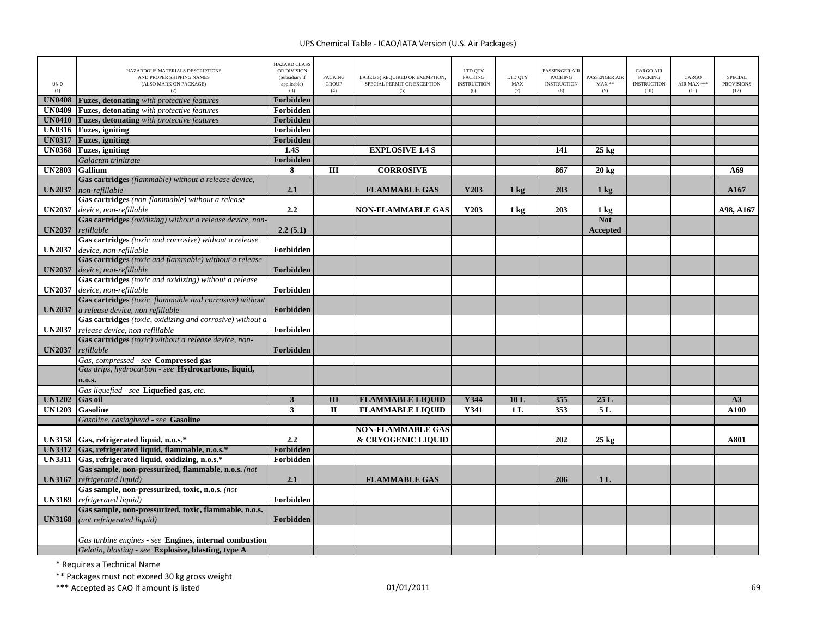| UNID<br>(1)   | HAZARDOUS MATERIALS DESCRIPTIONS<br>AND PROPER SHIPPING NAMES<br>(ALSO MARK ON PACKAGE)<br>(2) | <b>HAZARD CLASS</b><br>OR DIVISION<br>(Subsidiary if<br>applicable)<br>(3) | <b>PACKING</b><br><b>GROUP</b><br>(4) | LABEL(S) REQUIRED OR EXEMPTION,<br>SPECIAL PERMIT OR EXCEPTION<br>(5) | LTD QTY<br><b>PACKING</b><br><b>INSTRUCTION</b><br>(6) | LTD QTY<br>MAX<br>(7) | PASSENGER AIR<br><b>PACKING</b><br><b>INSTRUCTION</b><br>(8) | PASSENGER AIR<br>$MAX**$<br>(9) | <b>CARGO AIR</b><br>PACKING<br><b>INSTRUCTION</b><br>(10) | CARGO<br>AIR MAX ***<br>(11) | SPECIAL<br><b>PROVISIONS</b><br>(12) |
|---------------|------------------------------------------------------------------------------------------------|----------------------------------------------------------------------------|---------------------------------------|-----------------------------------------------------------------------|--------------------------------------------------------|-----------------------|--------------------------------------------------------------|---------------------------------|-----------------------------------------------------------|------------------------------|--------------------------------------|
| <b>UN0408</b> | Fuzes, detonating with protective features                                                     | Forbidden                                                                  |                                       |                                                                       |                                                        |                       |                                                              |                                 |                                                           |                              |                                      |
| <b>UN0409</b> | <b>Fuzes, detonating</b> with protective features                                              | Forbidden                                                                  |                                       |                                                                       |                                                        |                       |                                                              |                                 |                                                           |                              |                                      |
| <b>UN0410</b> | <b>Fuzes, detonating</b> with protective features                                              | Forbidden                                                                  |                                       |                                                                       |                                                        |                       |                                                              |                                 |                                                           |                              |                                      |
| <b>UN0316</b> | <b>Fuzes</b> , igniting                                                                        | Forbidden                                                                  |                                       |                                                                       |                                                        |                       |                                                              |                                 |                                                           |                              |                                      |
| <b>UN0317</b> | <b>Fuzes</b> , igniting                                                                        | Forbidden                                                                  |                                       |                                                                       |                                                        |                       |                                                              |                                 |                                                           |                              |                                      |
| <b>UN0368</b> | <b>Fuzes</b> , igniting                                                                        | 1.4S                                                                       |                                       | <b>EXPLOSIVE 1.4 S</b>                                                |                                                        |                       | 141                                                          | $25$ kg                         |                                                           |                              |                                      |
|               | Galactan trinitrate                                                                            | Forbidden                                                                  |                                       |                                                                       |                                                        |                       |                                                              |                                 |                                                           |                              |                                      |
| <b>UN2803</b> | <b>Gallium</b>                                                                                 | 8                                                                          | $\overline{III}$                      | <b>CORROSIVE</b>                                                      |                                                        |                       | 867                                                          | $20 \text{ kg}$                 |                                                           |                              | A69                                  |
|               | Gas cartridges (flammable) without a release device,                                           |                                                                            |                                       |                                                                       |                                                        |                       |                                                              |                                 |                                                           |                              |                                      |
| <b>UN2037</b> | non-refillable                                                                                 | 2.1                                                                        |                                       | <b>FLAMMABLE GAS</b>                                                  | Y203                                                   | $1 \text{ kg}$        | 203                                                          | $1 \text{ kg}$                  |                                                           |                              | A167                                 |
|               | Gas cartridges (non-flammable) without a release                                               |                                                                            |                                       |                                                                       |                                                        |                       |                                                              |                                 |                                                           |                              |                                      |
| <b>UN2037</b> | device, non-refillable                                                                         | 2.2                                                                        |                                       | <b>NON-FLAMMABLE GAS</b>                                              | Y203                                                   | $1 \text{ kg}$        | 203                                                          | 1 <sub>kg</sub>                 |                                                           |                              | A98, A167                            |
|               | Gas cartridges (oxidizing) without a release device, non-                                      |                                                                            |                                       |                                                                       |                                                        |                       |                                                              | <b>Not</b>                      |                                                           |                              |                                      |
| <b>UN2037</b> | refillable                                                                                     | 2.2(5.1)                                                                   |                                       |                                                                       |                                                        |                       |                                                              | <b>Accepted</b>                 |                                                           |                              |                                      |
|               | Gas cartridges (toxic and corrosive) without a release                                         |                                                                            |                                       |                                                                       |                                                        |                       |                                                              |                                 |                                                           |                              |                                      |
| <b>UN2037</b> | device, non-refillable                                                                         | Forbidden                                                                  |                                       |                                                                       |                                                        |                       |                                                              |                                 |                                                           |                              |                                      |
|               | Gas cartridges (toxic and flammable) without a release                                         |                                                                            |                                       |                                                                       |                                                        |                       |                                                              |                                 |                                                           |                              |                                      |
| <b>UN2037</b> | device, non-refillable                                                                         | Forbidden                                                                  |                                       |                                                                       |                                                        |                       |                                                              |                                 |                                                           |                              |                                      |
|               | Gas cartridges (toxic and oxidizing) without a release                                         |                                                                            |                                       |                                                                       |                                                        |                       |                                                              |                                 |                                                           |                              |                                      |
| <b>UN2037</b> | device, non-refillable                                                                         | Forbidden                                                                  |                                       |                                                                       |                                                        |                       |                                                              |                                 |                                                           |                              |                                      |
|               | Gas cartridges (toxic, flammable and corrosive) without                                        |                                                                            |                                       |                                                                       |                                                        |                       |                                                              |                                 |                                                           |                              |                                      |
|               |                                                                                                |                                                                            |                                       |                                                                       |                                                        |                       |                                                              |                                 |                                                           |                              |                                      |
| <b>UN2037</b> | a release device, non refillable                                                               | Forbidden                                                                  |                                       |                                                                       |                                                        |                       |                                                              |                                 |                                                           |                              |                                      |
|               | Gas cartridges (toxic, oxidizing and corrosive) without a                                      |                                                                            |                                       |                                                                       |                                                        |                       |                                                              |                                 |                                                           |                              |                                      |
| <b>UN2037</b> | release device, non-refillable                                                                 | Forbidden                                                                  |                                       |                                                                       |                                                        |                       |                                                              |                                 |                                                           |                              |                                      |
|               | Gas cartridges (toxic) without a release device, non-                                          |                                                                            |                                       |                                                                       |                                                        |                       |                                                              |                                 |                                                           |                              |                                      |
| <b>UN2037</b> | refillable                                                                                     | Forbidden                                                                  |                                       |                                                                       |                                                        |                       |                                                              |                                 |                                                           |                              |                                      |
|               | Gas, compressed - see Compressed gas                                                           |                                                                            |                                       |                                                                       |                                                        |                       |                                                              |                                 |                                                           |                              |                                      |
|               | Gas drips, hydrocarbon - see Hydrocarbons, liquid,                                             |                                                                            |                                       |                                                                       |                                                        |                       |                                                              |                                 |                                                           |                              |                                      |
|               | n.o.s.                                                                                         |                                                                            |                                       |                                                                       |                                                        |                       |                                                              |                                 |                                                           |                              |                                      |
|               | Gas liquefied - see Liquefied gas, etc.                                                        |                                                                            |                                       |                                                                       |                                                        |                       |                                                              |                                 |                                                           |                              |                                      |
| <b>UN1202</b> | <b>Gas oil</b>                                                                                 | $\overline{\mathbf{3}}$                                                    | $\overline{\mathbf{H}}$               | <b>FLAMMABLE LIQUID</b>                                               | Y344                                                   | 10L                   | 355                                                          | 25L                             |                                                           |                              | A3                                   |
| <b>UN1203</b> | <b>Gasoline</b>                                                                                | 3                                                                          | $\mathbf{I}$                          | <b>FLAMMABLE LIQUID</b>                                               | Y341                                                   | 1 <sub>L</sub>        | 353                                                          | 5L                              |                                                           |                              | A100                                 |
|               | Gasoline, casinghead - see Gasoline                                                            |                                                                            |                                       |                                                                       |                                                        |                       |                                                              |                                 |                                                           |                              |                                      |
|               |                                                                                                |                                                                            |                                       | <b>NON-FLAMMABLE GAS</b>                                              |                                                        |                       |                                                              |                                 |                                                           |                              |                                      |
|               | UN3158 Gas, refrigerated liquid, n.o.s.*                                                       | 2.2                                                                        |                                       | & CRYOGENIC LIQUID                                                    |                                                        |                       | 202                                                          | $25 \text{ kg}$                 |                                                           |                              | A801                                 |
|               | UN3312 Gas, refrigerated liquid, flammable, n.o.s.*                                            | Forbidden                                                                  |                                       |                                                                       |                                                        |                       |                                                              |                                 |                                                           |                              |                                      |
|               | UN3311 Gas, refrigerated liquid, oxidizing, n.o.s.*                                            | Forbidden                                                                  |                                       |                                                                       |                                                        |                       |                                                              |                                 |                                                           |                              |                                      |
|               | Gas sample, non-pressurized, flammable, n.o.s. (not                                            |                                                                            |                                       |                                                                       |                                                        |                       |                                                              |                                 |                                                           |                              |                                      |
| <b>UN3167</b> | refrigerated liquid)                                                                           | 2.1                                                                        |                                       | <b>FLAMMABLE GAS</b>                                                  |                                                        |                       | 206                                                          | 1 <sub>L</sub>                  |                                                           |                              |                                      |
|               | Gas sample, non-pressurized, toxic, n.o.s. (not                                                |                                                                            |                                       |                                                                       |                                                        |                       |                                                              |                                 |                                                           |                              |                                      |
| <b>UN3169</b> | refrigerated liquid)                                                                           | Forbidden                                                                  |                                       |                                                                       |                                                        |                       |                                                              |                                 |                                                           |                              |                                      |
|               | Gas sample, non-pressurized, toxic, flammable, n.o.s.                                          |                                                                            |                                       |                                                                       |                                                        |                       |                                                              |                                 |                                                           |                              |                                      |
| <b>UN3168</b> | (not refrigerated liquid)                                                                      | Forbidden                                                                  |                                       |                                                                       |                                                        |                       |                                                              |                                 |                                                           |                              |                                      |
|               |                                                                                                |                                                                            |                                       |                                                                       |                                                        |                       |                                                              |                                 |                                                           |                              |                                      |
|               | Gas turbine engines - see <b>Engines, internal combustion</b>                                  |                                                                            |                                       |                                                                       |                                                        |                       |                                                              |                                 |                                                           |                              |                                      |
|               | Gelatin, blasting - see Explosive, blasting, type A                                            |                                                                            |                                       |                                                                       |                                                        |                       |                                                              |                                 |                                                           |                              |                                      |

\* Requires <sup>a</sup> Technical Name

\*\* Packages must not exceed 30 kg gross weight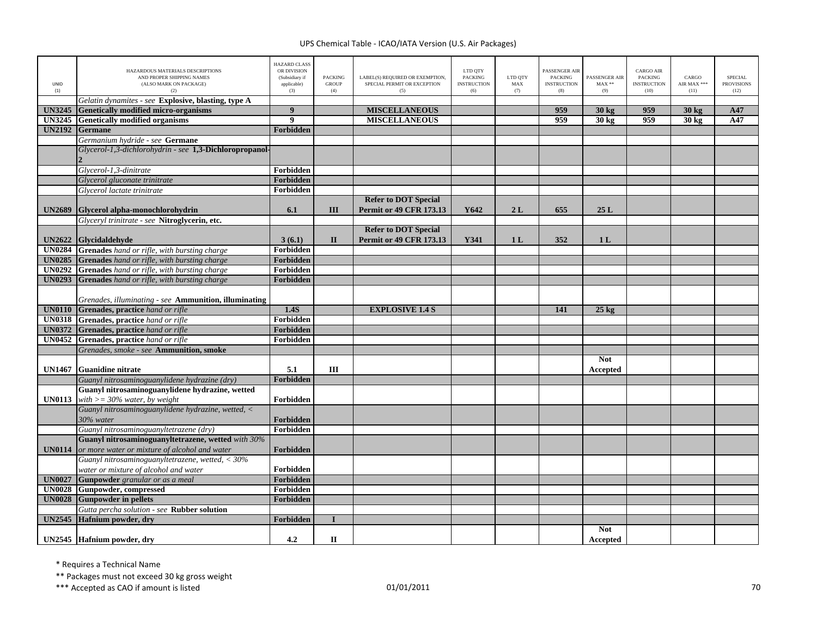| UNID<br>(1)   | HAZARDOUS MATERIALS DESCRIPTIONS<br>AND PROPER SHIPPING NAMES<br>(ALSO MARK ON PACKAGE)<br>(2) | <b>HAZARD CLASS</b><br>OR DIVISION<br>(Subsidiary if<br>applicable)<br>(3) | <b>PACKING</b><br><b>GROUP</b><br>(4) | LABEL(S) REQUIRED OR EXEMPTION,<br>SPECIAL PERMIT OR EXCEPTION<br>(5) | LTD QTY<br><b>PACKING</b><br><b>INSTRUCTION</b><br>(6) | LTD QTY<br>MAX<br>(7) | PASSENGER AIR<br><b>PACKING</b><br><b>INSTRUCTION</b><br>(8) | PASSENGER AIR<br>$MAX**$<br>(9) | <b>CARGO AIR</b><br><b>PACKING</b><br><b>INSTRUCTION</b><br>(10) | CARGO<br>AIR MAX ***<br>(11) | <b>SPECIAL</b><br><b>PROVISIONS</b><br>(12) |
|---------------|------------------------------------------------------------------------------------------------|----------------------------------------------------------------------------|---------------------------------------|-----------------------------------------------------------------------|--------------------------------------------------------|-----------------------|--------------------------------------------------------------|---------------------------------|------------------------------------------------------------------|------------------------------|---------------------------------------------|
|               | Gelatin dynamites - see Explosive, blasting, type A                                            |                                                                            |                                       |                                                                       |                                                        |                       |                                                              |                                 |                                                                  |                              |                                             |
| <b>UN3245</b> | <b>Genetically modified micro-organisms</b>                                                    | 9                                                                          |                                       | <b>MISCELLANEOUS</b>                                                  |                                                        |                       | 959                                                          | 30 kg                           | 959                                                              | $30 \text{ kg}$              | A47                                         |
| <b>UN3245</b> | <b>Genetically modified organisms</b>                                                          | $\boldsymbol{9}$                                                           |                                       | <b>MISCELLANEOUS</b>                                                  |                                                        |                       | 959                                                          | 30 kg                           | 959                                                              | 30 kg                        | A47                                         |
| <b>UN2192</b> | <b>Germane</b>                                                                                 | Forbidden                                                                  |                                       |                                                                       |                                                        |                       |                                                              |                                 |                                                                  |                              |                                             |
|               | Germanium hydride - see Germane                                                                |                                                                            |                                       |                                                                       |                                                        |                       |                                                              |                                 |                                                                  |                              |                                             |
|               | Glycerol-1,3-dichlorohydrin - see 1,3-Dichloropropanol-                                        |                                                                            |                                       |                                                                       |                                                        |                       |                                                              |                                 |                                                                  |                              |                                             |
|               |                                                                                                |                                                                            |                                       |                                                                       |                                                        |                       |                                                              |                                 |                                                                  |                              |                                             |
|               | Glycerol-1,3-dinitrate                                                                         | Forbidden                                                                  |                                       |                                                                       |                                                        |                       |                                                              |                                 |                                                                  |                              |                                             |
|               | Glycerol gluconate trinitrate                                                                  | Forbidden                                                                  |                                       |                                                                       |                                                        |                       |                                                              |                                 |                                                                  |                              |                                             |
|               | Glycerol lactate trinitrate                                                                    | Forbidden                                                                  |                                       |                                                                       |                                                        |                       |                                                              |                                 |                                                                  |                              |                                             |
|               |                                                                                                |                                                                            |                                       | <b>Refer to DOT Special</b>                                           |                                                        |                       |                                                              |                                 |                                                                  |                              |                                             |
| <b>UN2689</b> | Glycerol alpha-monochlorohydrin                                                                | 6.1                                                                        | III                                   | <b>Permit or 49 CFR 173.13</b>                                        | Y642                                                   | 2L                    | 655                                                          | 25L                             |                                                                  |                              |                                             |
|               | Glyceryl trinitrate - see Nitroglycerin, etc.                                                  |                                                                            |                                       |                                                                       |                                                        |                       |                                                              |                                 |                                                                  |                              |                                             |
|               |                                                                                                |                                                                            |                                       | <b>Refer to DOT Special</b>                                           |                                                        |                       |                                                              |                                 |                                                                  |                              |                                             |
| <b>UN2622</b> | <b>Glycidaldehyde</b>                                                                          | 3(6.1)                                                                     | $\mathbf{I}$                          | <b>Permit or 49 CFR 173.13</b>                                        | Y341                                                   | 1 <sub>L</sub>        | 352                                                          | 1 <sub>L</sub>                  |                                                                  |                              |                                             |
|               | <b>UN0284</b> Grenades hand or rifle, with bursting charge                                     | Forbidden                                                                  |                                       |                                                                       |                                                        |                       |                                                              |                                 |                                                                  |                              |                                             |
| <b>UN0285</b> | <b>Grenades</b> hand or rifle, with bursting charge                                            | Forbidden                                                                  |                                       |                                                                       |                                                        |                       |                                                              |                                 |                                                                  |                              |                                             |
| UN0292        | Grenades hand or rifle, with bursting charge                                                   | Forbidden                                                                  |                                       |                                                                       |                                                        |                       |                                                              |                                 |                                                                  |                              |                                             |
| <b>UN0293</b> | Grenades hand or rifle, with bursting charge                                                   | Forbidden                                                                  |                                       |                                                                       |                                                        |                       |                                                              |                                 |                                                                  |                              |                                             |
|               | Grenades, illuminating - see Ammunition, illuminating                                          |                                                                            |                                       |                                                                       |                                                        |                       |                                                              |                                 |                                                                  |                              |                                             |
| <b>UN0110</b> | Grenades, practice hand or rifle                                                               | 1.4S                                                                       |                                       | <b>EXPLOSIVE 1.4 S</b>                                                |                                                        |                       | 141                                                          | $25 \text{ kg}$                 |                                                                  |                              |                                             |
|               | <b>UN0318</b> Grenades, practice hand or rifle                                                 | Forbidden                                                                  |                                       |                                                                       |                                                        |                       |                                                              |                                 |                                                                  |                              |                                             |
|               | <b>UN0372</b> Grenades, practice hand or rifle                                                 | Forbidden                                                                  |                                       |                                                                       |                                                        |                       |                                                              |                                 |                                                                  |                              |                                             |
|               | <b>UN0452</b> Grenades, practice hand or rifle                                                 | Forbidden                                                                  |                                       |                                                                       |                                                        |                       |                                                              |                                 |                                                                  |                              |                                             |
|               | Grenades, smoke - see Ammunition, smoke                                                        |                                                                            |                                       |                                                                       |                                                        |                       |                                                              |                                 |                                                                  |                              |                                             |
| <b>UN1467</b> | <b>Guanidine nitrate</b>                                                                       | 5.1                                                                        | Ш                                     |                                                                       |                                                        |                       |                                                              | <b>Not</b><br>Accepted          |                                                                  |                              |                                             |
|               | Guanyl nitrosaminoguanylidene hydrazine (dry)                                                  | Forbidden                                                                  |                                       |                                                                       |                                                        |                       |                                                              |                                 |                                                                  |                              |                                             |
|               | Guanyl nitrosaminoguanylidene hydrazine, wetted                                                |                                                                            |                                       |                                                                       |                                                        |                       |                                                              |                                 |                                                                  |                              |                                             |
| <b>UN0113</b> | with $>=$ 30% water, by weight                                                                 | Forbidden                                                                  |                                       |                                                                       |                                                        |                       |                                                              |                                 |                                                                  |                              |                                             |
|               | Guanyl nitrosaminoguanylidene hydrazine, wetted, <<br>30% water                                | Forbidden                                                                  |                                       |                                                                       |                                                        |                       |                                                              |                                 |                                                                  |                              |                                             |
|               | Guanyl nitrosaminoguanyltetrazene (dry)                                                        | Forbidden                                                                  |                                       |                                                                       |                                                        |                       |                                                              |                                 |                                                                  |                              |                                             |
|               | Guanyl nitrosaminoguanyltetrazene, wetted with 30%                                             |                                                                            |                                       |                                                                       |                                                        |                       |                                                              |                                 |                                                                  |                              |                                             |
| <b>UN0114</b> | or more water or mixture of alcohol and water                                                  | Forbidden                                                                  |                                       |                                                                       |                                                        |                       |                                                              |                                 |                                                                  |                              |                                             |
|               | Guanyl nitrosaminoguanyltetrazene, wetted, $<$ 30%                                             |                                                                            |                                       |                                                                       |                                                        |                       |                                                              |                                 |                                                                  |                              |                                             |
|               | water or mixture of alcohol and water                                                          | Forbidden                                                                  |                                       |                                                                       |                                                        |                       |                                                              |                                 |                                                                  |                              |                                             |
| <b>UN0027</b> | Gunpowder granular or as a meal                                                                | Forbidden                                                                  |                                       |                                                                       |                                                        |                       |                                                              |                                 |                                                                  |                              |                                             |
| <b>UN0028</b> | Gunpowder, compressed                                                                          | Forbidden                                                                  |                                       |                                                                       |                                                        |                       |                                                              |                                 |                                                                  |                              |                                             |
| <b>UN0028</b> | <b>Gunpowder in pellets</b>                                                                    | Forbidden                                                                  |                                       |                                                                       |                                                        |                       |                                                              |                                 |                                                                  |                              |                                             |
|               | Gutta percha solution - see Rubber solution                                                    |                                                                            |                                       |                                                                       |                                                        |                       |                                                              |                                 |                                                                  |                              |                                             |
| <b>UN2545</b> | Hafnium powder, dry                                                                            | Forbidden                                                                  |                                       |                                                                       |                                                        |                       |                                                              |                                 |                                                                  |                              |                                             |
|               |                                                                                                |                                                                            |                                       |                                                                       |                                                        |                       |                                                              | <b>Not</b>                      |                                                                  |                              |                                             |
|               | UN2545 Hafnium powder, dry                                                                     | 4.2                                                                        | $\mathbf{I}$                          |                                                                       |                                                        |                       |                                                              | Accepted                        |                                                                  |                              |                                             |

\* Requires <sup>a</sup> Technical Name

\*\* Packages must not exceed 30 kg gross weight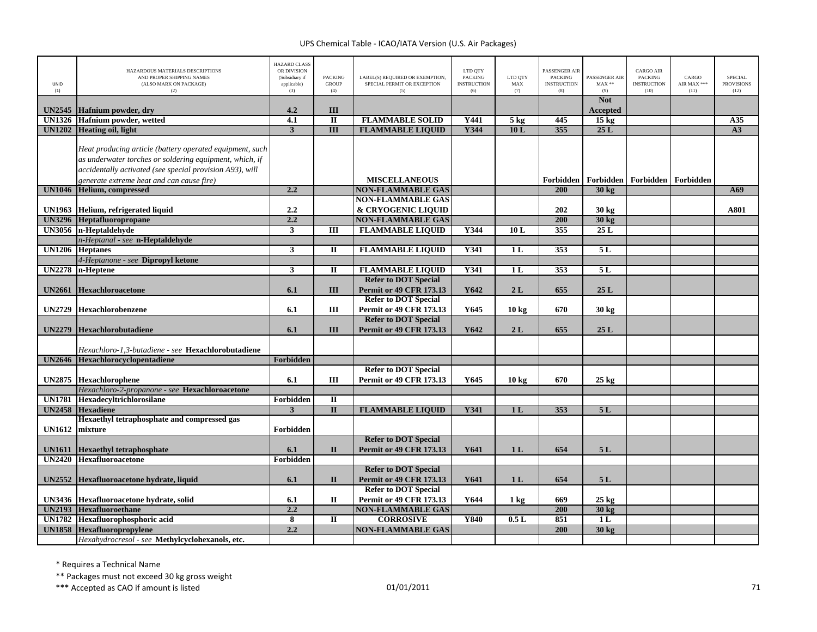| UNID<br>(1)   | HAZARDOUS MATERIALS DESCRIPTIONS<br>AND PROPER SHIPPING NAMES<br>(ALSO MARK ON PACKAGE)<br>(2)                                                                                                                               | <b>HAZARD CLASS</b><br>OR DIVISION<br>(Subsidiary if<br>applicable)<br>(3) | <b>PACKING</b><br><b>GROUP</b><br>(4) | LABEL(S) REQUIRED OR EXEMPTION,<br>SPECIAL PERMIT OR EXCEPTION<br>(5) | LTD QTY<br><b>PACKING</b><br><b>INSTRUCTION</b><br>(6) | LTD QTY<br>${\rm MAX}$<br>(7) | <b>PASSENGER AIR</b><br><b>PACKING</b><br><b>INSTRUCTION</b><br>(8) | PASSENGER AIR<br>$MAX**$<br>(9) | <b>CARGO AIR</b><br>PACKING<br><b>INSTRUCTION</b><br>(10) | CARGO<br>AIR MAX ***<br>(11) | SPECIAL<br><b>PROVISIONS</b><br>(12) |
|---------------|------------------------------------------------------------------------------------------------------------------------------------------------------------------------------------------------------------------------------|----------------------------------------------------------------------------|---------------------------------------|-----------------------------------------------------------------------|--------------------------------------------------------|-------------------------------|---------------------------------------------------------------------|---------------------------------|-----------------------------------------------------------|------------------------------|--------------------------------------|
|               |                                                                                                                                                                                                                              |                                                                            |                                       |                                                                       |                                                        |                               |                                                                     | <b>Not</b>                      |                                                           |                              |                                      |
| <b>UN2545</b> | Hafnium powder, dry                                                                                                                                                                                                          | 4.2                                                                        | III                                   |                                                                       |                                                        |                               |                                                                     | Accepted                        |                                                           |                              |                                      |
| <b>UN1326</b> | Hafnium powder, wetted                                                                                                                                                                                                       | 4.1                                                                        | $\mathbf{I}$                          | <b>FLAMMABLE SOLID</b>                                                | Y441                                                   | $5 \text{ kg}$                | 445                                                                 | $15 \text{ kg}$                 |                                                           |                              | A35                                  |
| <b>UN1202</b> | <b>Heating oil, light</b>                                                                                                                                                                                                    | $\mathbf{3}$                                                               | III                                   | <b>FLAMMABLE LIQUID</b>                                               | Y344                                                   | 10L                           | 355                                                                 | 25L                             |                                                           |                              | A3                                   |
|               | Heat producing article (battery operated equipment, such<br>as underwater torches or soldering equipment, which, if<br>accidentally activated (see special provision A93), will<br>generate extreme heat and can cause fire) |                                                                            |                                       | <b>MISCELLANEOUS</b>                                                  |                                                        |                               |                                                                     |                                 | Forbidden   Forbidden   Forbidden   Forbidden             |                              |                                      |
| <b>UN1046</b> | <b>Helium, compressed</b>                                                                                                                                                                                                    | 2.2                                                                        |                                       | <b>NON-FLAMMABLE GAS</b>                                              |                                                        |                               | 200                                                                 | $30 \text{ kg}$                 |                                                           |                              | A69                                  |
|               |                                                                                                                                                                                                                              |                                                                            |                                       | <b>NON-FLAMMABLE GAS</b>                                              |                                                        |                               |                                                                     |                                 |                                                           |                              |                                      |
| <b>UN1963</b> | Helium, refrigerated liquid                                                                                                                                                                                                  | 2.2                                                                        |                                       | & CRYOGENIC LIQUID                                                    |                                                        |                               | 202                                                                 | 30 kg                           |                                                           |                              | A801                                 |
| <b>UN3296</b> | Heptafluoropropane                                                                                                                                                                                                           | 2.2                                                                        |                                       | <b>NON-FLAMMABLE GAS</b>                                              |                                                        |                               | 200                                                                 | 30 kg                           |                                                           |                              |                                      |
|               | UN3056 n-Heptaldehyde                                                                                                                                                                                                        | $\mathbf{3}$                                                               | Ш                                     | <b>FLAMMABLE LIQUID</b>                                               | Y344                                                   | 10L                           | 355                                                                 | 25L                             |                                                           |                              |                                      |
|               | n-Heptanal - see n-Heptaldehyde<br><b>UN1206</b> Heptanes                                                                                                                                                                    | $\mathbf{3}$                                                               | $\mathbf{I}$                          | <b>FLAMMABLE LIQUID</b>                                               | <b>Y341</b>                                            | 1L                            | 353                                                                 | 5L                              |                                                           |                              |                                      |
|               | 4-Heptanone - see Dipropyl ketone                                                                                                                                                                                            |                                                                            |                                       |                                                                       |                                                        |                               |                                                                     |                                 |                                                           |                              |                                      |
| <b>UN2278</b> | n-Heptene                                                                                                                                                                                                                    | $\mathbf{3}$                                                               | П                                     | <b>FLAMMABLE LIQUID</b>                                               | <b>Y341</b>                                            | 1L                            | 353                                                                 | 5L                              |                                                           |                              |                                      |
|               |                                                                                                                                                                                                                              |                                                                            |                                       | <b>Refer to DOT Special</b>                                           |                                                        |                               |                                                                     |                                 |                                                           |                              |                                      |
| <b>UN2661</b> | <b>Hexachloroacetone</b>                                                                                                                                                                                                     | 6.1                                                                        | III                                   | <b>Permit or 49 CFR 173.13</b>                                        | Y642                                                   | 2L                            | 655                                                                 | 25L                             |                                                           |                              |                                      |
|               |                                                                                                                                                                                                                              |                                                                            |                                       | <b>Refer to DOT Special</b>                                           |                                                        |                               |                                                                     |                                 |                                                           |                              |                                      |
| <b>UN2729</b> | <b>Hexachlorobenzene</b>                                                                                                                                                                                                     | 6.1                                                                        | Ш                                     | <b>Permit or 49 CFR 173.13</b>                                        | Y645                                                   | 10 <sub>kg</sub>              | 670                                                                 | 30 kg                           |                                                           |                              |                                      |
| <b>UN2279</b> | Hexachlorobutadiene                                                                                                                                                                                                          | 6.1                                                                        | III                                   | <b>Refer to DOT Special</b><br><b>Permit or 49 CFR 173.13</b>         | Y642                                                   | 2L                            | 655                                                                 | 25L                             |                                                           |                              |                                      |
|               | Hexachloro-1,3-butadiene - see Hexachlorobutadiene                                                                                                                                                                           |                                                                            |                                       |                                                                       |                                                        |                               |                                                                     |                                 |                                                           |                              |                                      |
| <b>UN2646</b> | Hexachlorocyclopentadiene                                                                                                                                                                                                    | Forbidden                                                                  |                                       |                                                                       |                                                        |                               |                                                                     |                                 |                                                           |                              |                                      |
| <b>UN2875</b> | Hexachlorophene                                                                                                                                                                                                              | 6.1                                                                        | Ш                                     | <b>Refer to DOT Special</b><br><b>Permit or 49 CFR 173.13</b>         | Y645                                                   | 10 <sub>kg</sub>              | 670                                                                 | $25 \text{ kg}$                 |                                                           |                              |                                      |
|               | Hexachloro-2-propanone - see Hexachloroacetone                                                                                                                                                                               |                                                                            |                                       |                                                                       |                                                        |                               |                                                                     |                                 |                                                           |                              |                                      |
| <b>UN1781</b> | Hexadecyltrichlorosilane                                                                                                                                                                                                     | Forbidden                                                                  | $\overline{\mathbf{u}}$               |                                                                       |                                                        |                               |                                                                     |                                 |                                                           |                              |                                      |
| <b>UN2458</b> | <b>Hexadiene</b><br>Hexaethyl tetraphosphate and compressed gas                                                                                                                                                              | $\overline{\mathbf{3}}$                                                    | $\mathbf{I}$                          | <b>FLAMMABLE LIQUID</b>                                               | Y341                                                   | 1 <sub>L</sub>                | 353                                                                 | 5L                              |                                                           |                              |                                      |
| <b>UN1612</b> | mixture                                                                                                                                                                                                                      | Forbidden                                                                  |                                       |                                                                       |                                                        |                               |                                                                     |                                 |                                                           |                              |                                      |
|               |                                                                                                                                                                                                                              |                                                                            |                                       | <b>Refer to DOT Special</b>                                           |                                                        |                               |                                                                     |                                 |                                                           |                              |                                      |
| <b>UN1611</b> | <b>Hexaethyl tetraphosphate</b>                                                                                                                                                                                              | 6.1                                                                        | $\Pi$                                 | <b>Permit or 49 CFR 173.13</b>                                        | Y641                                                   | 1L                            | 654                                                                 | 5L                              |                                                           |                              |                                      |
| <b>UN2420</b> | <b>Hexafluoroacetone</b>                                                                                                                                                                                                     | Forbidden                                                                  |                                       |                                                                       |                                                        |                               |                                                                     |                                 |                                                           |                              |                                      |
|               |                                                                                                                                                                                                                              |                                                                            |                                       | <b>Refer to DOT Special</b>                                           |                                                        |                               |                                                                     |                                 |                                                           |                              |                                      |
| <b>UN2552</b> | Hexafluoroacetone hydrate, liquid                                                                                                                                                                                            | 6.1                                                                        | $\mathbf{I}$                          | <b>Permit or 49 CFR 173.13</b>                                        | Y641                                                   | 1 <sub>L</sub>                | 654                                                                 | 5L                              |                                                           |                              |                                      |
|               |                                                                                                                                                                                                                              |                                                                            |                                       | <b>Refer to DOT Special</b>                                           |                                                        |                               |                                                                     |                                 |                                                           |                              |                                      |
|               | UN3436 Hexafluoroacetone hydrate, solid                                                                                                                                                                                      | 6.1                                                                        | $\mathbf{I}$                          | <b>Permit or 49 CFR 173.13</b>                                        | Y644                                                   | $1 \text{ kg}$                | 669                                                                 | 25 kg                           |                                                           |                              |                                      |
| <b>UN2193</b> | <b>Hexafluoroethane</b>                                                                                                                                                                                                      | 2.2                                                                        |                                       | <b>NON-FLAMMABLE GAS</b>                                              |                                                        |                               | 200                                                                 | 30 kg                           |                                                           |                              |                                      |
| <b>UN1782</b> | Hexafluorophosphoric acid                                                                                                                                                                                                    | 8                                                                          | $\mathbf{I}$                          | <b>CORROSIVE</b>                                                      | Y840                                                   | 0.5L                          | 851                                                                 | 1L                              |                                                           |                              |                                      |
| <b>UN1858</b> | Hexafluoropropylene                                                                                                                                                                                                          | 2.2                                                                        |                                       | <b>NON-FLAMMABLE GAS</b>                                              |                                                        |                               | 200                                                                 | 30 kg                           |                                                           |                              |                                      |
|               | Hexahydrocresol - see Methylcyclohexanols, etc.                                                                                                                                                                              |                                                                            |                                       |                                                                       |                                                        |                               |                                                                     |                                 |                                                           |                              |                                      |

\* Requires <sup>a</sup> Technical Name

\*\* Packages must not exceed 30 kg gross weight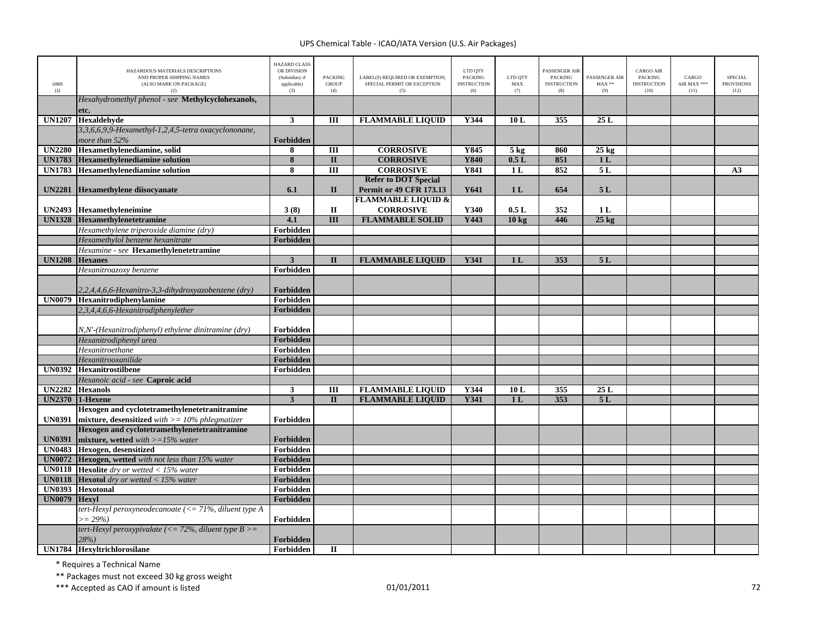| <b>UNID</b><br>(1) | HAZARDOUS MATERIALS DESCRIPTIONS<br>AND PROPER SHIPPING NAMES<br>(ALSO MARK ON PACKAGE)<br>(2)        | <b>HAZARD CLASS</b><br>OR DIVISION<br>(Subsidiary if<br>applicable)<br>(3) | <b>PACKING</b><br><b>GROUP</b><br>(4) | LABEL(S) REQUIRED OR EXEMPTION,<br>SPECIAL PERMIT OR EXCEPTION<br>(5) | LTD QTY<br><b>PACKING</b><br><b>INSTRUCTION</b><br>(6) | LTD QTY<br>MAX<br>(7) | PASSENGER AIR<br><b>PACKING</b><br><b>INSTRUCTION</b><br>(8) | PASSENGER AIR<br>$MAX**$<br>(9) | <b>CARGO AIR</b><br><b>PACKING</b><br><b>INSTRUCTION</b><br>(10) | CARGO<br>AIR MAX ***<br>(11) | <b>SPECIAL</b><br><b>PROVISIONS</b><br>(12) |
|--------------------|-------------------------------------------------------------------------------------------------------|----------------------------------------------------------------------------|---------------------------------------|-----------------------------------------------------------------------|--------------------------------------------------------|-----------------------|--------------------------------------------------------------|---------------------------------|------------------------------------------------------------------|------------------------------|---------------------------------------------|
|                    | Hexahydromethyl phenol - see Methylcyclohexanols,                                                     |                                                                            |                                       |                                                                       |                                                        |                       |                                                              |                                 |                                                                  |                              |                                             |
|                    | etc.                                                                                                  |                                                                            |                                       |                                                                       |                                                        |                       |                                                              |                                 |                                                                  |                              |                                             |
| <b>UN1207</b>      | Hexaldehyde<br>3,3,6,6,9,9-Hexamethyl-1,2,4,5-tetra oxacyclononane,                                   | $\mathbf{3}$                                                               | Ш                                     | <b>FLAMMABLE LIQUID</b>                                               | Y344                                                   | 10L                   | 355                                                          | 25L                             |                                                                  |                              |                                             |
|                    | more than 52%                                                                                         | Forbidden                                                                  |                                       |                                                                       |                                                        |                       |                                                              |                                 |                                                                  |                              |                                             |
| <b>UN2280</b>      | Hexamethylenediamine, solid                                                                           | 8                                                                          | Ш                                     | <b>CORROSIVE</b>                                                      | Y845                                                   | $5 \text{ kg}$        | 860                                                          | $25 \text{ kg}$                 |                                                                  |                              |                                             |
| <b>UN1783</b>      | <b>Hexamethylenediamine solution</b>                                                                  | $\overline{\mathbf{8}}$                                                    | $\overline{\mathbf{u}}$               | <b>CORROSIVE</b>                                                      | <b>Y840</b>                                            | 0.5L                  | 851                                                          | 1 <sub>L</sub>                  |                                                                  |                              |                                             |
| <b>UN1783</b>      | <b>Hexamethylenediamine solution</b>                                                                  | 8                                                                          | $\overline{III}$                      | <b>CORROSIVE</b>                                                      | <b>Y841</b>                                            | 1 <sub>L</sub>        | 852                                                          | 5L                              |                                                                  |                              | A3                                          |
|                    |                                                                                                       |                                                                            |                                       | <b>Refer to DOT Special</b>                                           |                                                        |                       |                                                              |                                 |                                                                  |                              |                                             |
| <b>UN2281</b>      | <b>Hexamethylene diisocyanate</b>                                                                     | 6.1                                                                        | $\mathbf{I}$                          | <b>Permit or 49 CFR 173.13</b>                                        | Y641                                                   | 1 <sub>L</sub>        | 654                                                          | 5L                              |                                                                  |                              |                                             |
|                    |                                                                                                       |                                                                            |                                       | <b>FLAMMABLE LIQUID &amp;</b>                                         |                                                        |                       |                                                              |                                 |                                                                  |                              |                                             |
| <b>UN2493</b>      | Hexamethyleneimine                                                                                    | 3(8)                                                                       | $\mathbf I$                           | <b>CORROSIVE</b>                                                      | Y340                                                   | 0.5L                  | 352                                                          | 1 <sub>L</sub>                  |                                                                  |                              |                                             |
| <b>UN1328</b>      | Hexamethylenetetramine                                                                                | 4.1                                                                        | $\overline{III}$                      | <b>FLAMMABLE SOLID</b>                                                | Y443                                                   | 10 <sub>kg</sub>      | 446                                                          | $25$ kg                         |                                                                  |                              |                                             |
|                    | Hexamethylene triperoxide diamine (dry)                                                               | Forbidden                                                                  |                                       |                                                                       |                                                        |                       |                                                              |                                 |                                                                  |                              |                                             |
|                    | Hexamethylol benzene hexanitrate                                                                      | Forbidden                                                                  |                                       |                                                                       |                                                        |                       |                                                              |                                 |                                                                  |                              |                                             |
|                    | Hexamine - see Hexamethylenetetramine                                                                 |                                                                            |                                       |                                                                       |                                                        |                       |                                                              |                                 |                                                                  |                              |                                             |
| <b>UN1208</b>      | <b>Hexanes</b>                                                                                        | $\mathbf{3}$                                                               | $\mathbf{I}$                          | <b>FLAMMABLE LIQUID</b>                                               | Y341                                                   | 1 <sub>L</sub>        | 353                                                          | 5L                              |                                                                  |                              |                                             |
|                    | Hexanitroazoxy benzene                                                                                | Forbidden                                                                  |                                       |                                                                       |                                                        |                       |                                                              |                                 |                                                                  |                              |                                             |
|                    | 2,2,4,4,6,6-Hexanitro-3,3-dihydroxyazobenzene (dry)                                                   | Forbidden                                                                  |                                       |                                                                       |                                                        |                       |                                                              |                                 |                                                                  |                              |                                             |
| <b>UN0079</b>      | Hexanitrodiphenylamine                                                                                | Forbidden                                                                  |                                       |                                                                       |                                                        |                       |                                                              |                                 |                                                                  |                              |                                             |
|                    | 2,3,4,4,6,6-Hexanitrodiphenylether                                                                    | Forbidden                                                                  |                                       |                                                                       |                                                        |                       |                                                              |                                 |                                                                  |                              |                                             |
|                    |                                                                                                       |                                                                            |                                       |                                                                       |                                                        |                       |                                                              |                                 |                                                                  |                              |                                             |
|                    | N,N'-(Hexanitrodiphenyl) ethylene dinitramine (dry)                                                   | Forbidden                                                                  |                                       |                                                                       |                                                        |                       |                                                              |                                 |                                                                  |                              |                                             |
|                    | Hexanitrodiphenyl urea                                                                                | Forbidden                                                                  |                                       |                                                                       |                                                        |                       |                                                              |                                 |                                                                  |                              |                                             |
|                    | Hexanitroethane                                                                                       | Forbidden                                                                  |                                       |                                                                       |                                                        |                       |                                                              |                                 |                                                                  |                              |                                             |
|                    | Hexanitrooxanilide                                                                                    | Forbidden                                                                  |                                       |                                                                       |                                                        |                       |                                                              |                                 |                                                                  |                              |                                             |
| <b>UN0392</b>      | <b>Hexanitrostilbene</b>                                                                              | Forbidden                                                                  |                                       |                                                                       |                                                        |                       |                                                              |                                 |                                                                  |                              |                                             |
|                    | Hexanoic acid - see Caproic acid                                                                      |                                                                            |                                       |                                                                       |                                                        |                       |                                                              |                                 |                                                                  |                              |                                             |
| <b>UN2282</b>      | <b>Hexanols</b>                                                                                       | $\mathbf{3}$                                                               | III                                   | <b>FLAMMABLE LIQUID</b>                                               | Y344                                                   | 10L                   | 355                                                          | 25L                             |                                                                  |                              |                                             |
| <b>UN2370</b>      | 1-Hexene                                                                                              | $\overline{3}$                                                             | $\mathbf{I}$                          | <b>FLAMMABLE LIQUID</b>                                               | Y341                                                   | 1 <sub>L</sub>        | 353                                                          | 5L                              |                                                                  |                              |                                             |
| <b>UN0391</b>      | Hexogen and cyclotetramethylenetetranitramine<br>mixture, desensitized with $\geq$ = 10% phlegmatizer | Forbidden                                                                  |                                       |                                                                       |                                                        |                       |                                                              |                                 |                                                                  |                              |                                             |
|                    | Hexogen and cyclotetramethylenetetranitramine                                                         |                                                                            |                                       |                                                                       |                                                        |                       |                                                              |                                 |                                                                  |                              |                                             |
| <b>UN0391</b>      | mixture, wetted with $>=15\%$ water                                                                   | Forbidden                                                                  |                                       |                                                                       |                                                        |                       |                                                              |                                 |                                                                  |                              |                                             |
| <b>UN0483</b>      | Hexogen, desensitized                                                                                 | Forbidden                                                                  |                                       |                                                                       |                                                        |                       |                                                              |                                 |                                                                  |                              |                                             |
| <b>UN0072</b>      | Hexogen, wetted with not less than 15% water                                                          | Forbidden                                                                  |                                       |                                                                       |                                                        |                       |                                                              |                                 |                                                                  |                              |                                             |
| <b>UN0118</b>      | <b>Hexolite</b> dry or wetted $<$ 15% water                                                           | Forbidden                                                                  |                                       |                                                                       |                                                        |                       |                                                              |                                 |                                                                  |                              |                                             |
| <b>UN0118</b>      | <b>Hexotol</b> dry or wetted $<$ 15% water                                                            | Forbidden                                                                  |                                       |                                                                       |                                                        |                       |                                                              |                                 |                                                                  |                              |                                             |
| <b>UN0393</b>      | <b>Hexotonal</b>                                                                                      | Forbidden                                                                  |                                       |                                                                       |                                                        |                       |                                                              |                                 |                                                                  |                              |                                             |
| <b>UN0079</b>      | <b>Hexvl</b>                                                                                          | Forbidden                                                                  |                                       |                                                                       |                                                        |                       |                                                              |                                 |                                                                  |                              |                                             |
|                    | tert-Hexyl peroxyneodecanoate (<= 71%, diluent type A                                                 |                                                                            |                                       |                                                                       |                                                        |                       |                                                              |                                 |                                                                  |                              |                                             |
|                    | $\geq$ = 29%)                                                                                         | Forbidden                                                                  |                                       |                                                                       |                                                        |                       |                                                              |                                 |                                                                  |                              |                                             |
|                    | tert-Hexyl peroxypivalate (<= 72%, diluent type $B>$ =<br>28%                                         | Forbidden                                                                  |                                       |                                                                       |                                                        |                       |                                                              |                                 |                                                                  |                              |                                             |
|                    | <b>UN1784</b> Hexyltrichlorosilane                                                                    | Forbidden                                                                  | $\Pi$                                 |                                                                       |                                                        |                       |                                                              |                                 |                                                                  |                              |                                             |

\* Requires <sup>a</sup> Technical Name

\*\* Packages must not exceed 30 kg gross weight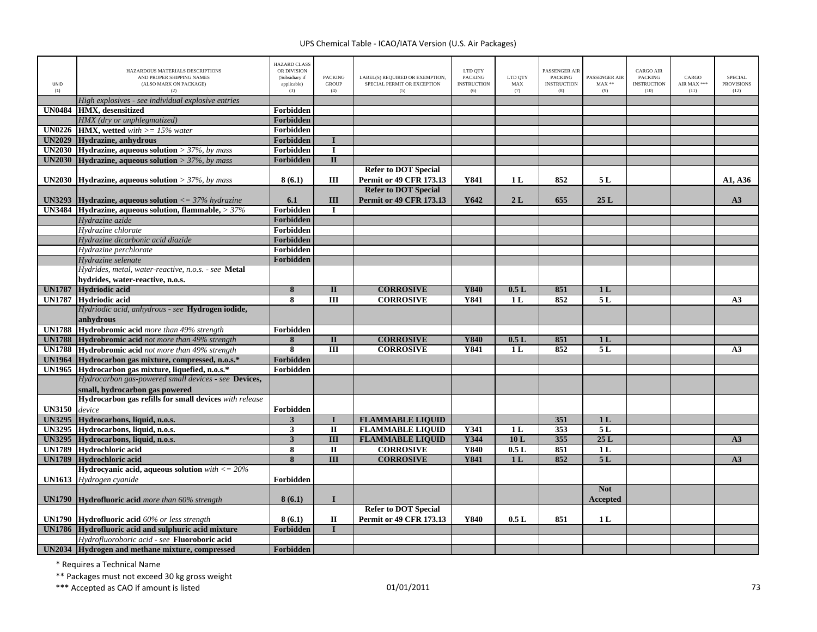| <b>UNID</b><br>(1) | HAZARDOUS MATERIALS DESCRIPTIONS<br>AND PROPER SHIPPING NAMES<br>(ALSO MARK ON PACKAGE)<br>(2)  | <b>HAZARD CLASS</b><br>OR DIVISION<br>(Subsidiary if<br>applicable)<br>(3) | <b>PACKING</b><br><b>GROUP</b><br>(4) | LABEL(S) REQUIRED OR EXEMPTION,<br>SPECIAL PERMIT OR EXCEPTION<br>(5) | LTD OTY<br><b>PACKING</b><br><b>INSTRUCTION</b><br>(6) | LTD QTY<br>MAX<br>(7) | PASSENGER AIR<br><b>PACKING</b><br><b>INSTRUCTION</b><br>(8) | PASSENGER AIR<br>$MAX**$<br>(9) | <b>CARGO AIR</b><br><b>PACKING</b><br><b>INSTRUCTION</b><br>(10) | CARGO<br>AIR MAX ***<br>(11) | <b>SPECIAL</b><br><b>PROVISIONS</b><br>(12) |
|--------------------|-------------------------------------------------------------------------------------------------|----------------------------------------------------------------------------|---------------------------------------|-----------------------------------------------------------------------|--------------------------------------------------------|-----------------------|--------------------------------------------------------------|---------------------------------|------------------------------------------------------------------|------------------------------|---------------------------------------------|
|                    | High explosives - see individual explosive entries                                              |                                                                            |                                       |                                                                       |                                                        |                       |                                                              |                                 |                                                                  |                              |                                             |
| <b>UN0484</b>      | HMX. desensitized                                                                               | Forbidden                                                                  |                                       |                                                                       |                                                        |                       |                                                              |                                 |                                                                  |                              |                                             |
|                    | HMX (dry or unphlegmatized)                                                                     | Forbidden                                                                  |                                       |                                                                       |                                                        |                       |                                                              |                                 |                                                                  |                              |                                             |
| <b>UN0226</b>      | <b>HMX, wetted</b> with $>= 15\%$ water                                                         | Forbidden                                                                  |                                       |                                                                       |                                                        |                       |                                                              |                                 |                                                                  |                              |                                             |
|                    | UN2029 Hydrazine, anhydrous                                                                     | Forbidden                                                                  |                                       |                                                                       |                                                        |                       |                                                              |                                 |                                                                  |                              |                                             |
|                    | UN2030 Hydrazine, aqueous solution > $37\%$ , by mass                                           | Forbidden                                                                  | $\mathbf I$                           |                                                                       |                                                        |                       |                                                              |                                 |                                                                  |                              |                                             |
| <b>UN2030</b>      | <b>Hydrazine, aqueous solution</b> > $37\%$ , by mass                                           | <b>Forbidden</b>                                                           | $\overline{\mathbf{u}}$               |                                                                       |                                                        |                       |                                                              |                                 |                                                                  |                              |                                             |
|                    | <b>UN2030</b> Hydrazine, aqueous solution > $37\%$ , by mass                                    | 8(6.1)                                                                     | Ш                                     | <b>Refer to DOT Special</b><br>Permit or 49 CFR 173.13                | Y841                                                   | 1 L                   | 852                                                          | 5 L                             |                                                                  |                              | A1, A36                                     |
|                    | <b>UN3293</b> Hydrazine, aqueous solution $\lt = 37\%$ hydrazine                                | 6.1                                                                        | III                                   | <b>Refer to DOT Special</b><br><b>Permit or 49 CFR 173.13</b>         | Y642                                                   | 2L                    | 655                                                          | 25L                             |                                                                  |                              | A3                                          |
|                    | UN3484 Hydrazine, aqueous solution, flammable, $>37\%$                                          | Forbidden                                                                  | $\mathbf I$                           |                                                                       |                                                        |                       |                                                              |                                 |                                                                  |                              |                                             |
|                    | Hydrazine azide                                                                                 | <b>Forbidden</b>                                                           |                                       |                                                                       |                                                        |                       |                                                              |                                 |                                                                  |                              |                                             |
|                    | Hydrazine chlorate                                                                              | <b>Forbidden</b>                                                           |                                       |                                                                       |                                                        |                       |                                                              |                                 |                                                                  |                              |                                             |
|                    | Hydrazine dicarbonic acid diazide                                                               | Forbidden                                                                  |                                       |                                                                       |                                                        |                       |                                                              |                                 |                                                                  |                              |                                             |
|                    | Hydrazine perchlorate                                                                           | Forbidden                                                                  |                                       |                                                                       |                                                        |                       |                                                              |                                 |                                                                  |                              |                                             |
|                    | Hydrazine selenate                                                                              | Forbidden                                                                  |                                       |                                                                       |                                                        |                       |                                                              |                                 |                                                                  |                              |                                             |
|                    | Hydrides, metal, water-reactive, n.o.s. - see Metal                                             |                                                                            |                                       |                                                                       |                                                        |                       |                                                              |                                 |                                                                  |                              |                                             |
|                    | hydrides, water-reactive, n.o.s.                                                                |                                                                            |                                       |                                                                       |                                                        |                       |                                                              |                                 |                                                                  |                              |                                             |
| <b>UN1787</b>      | Hydriodic acid                                                                                  | 8                                                                          | $\mathbf{I}$                          | <b>CORROSIVE</b>                                                      | Y840                                                   | 0.5L                  | 851                                                          | 1 <sub>L</sub>                  |                                                                  |                              |                                             |
|                    | UN1787 Hydriodic acid                                                                           | 8                                                                          | III                                   | <b>CORROSIVE</b>                                                      | Y841                                                   | 1L                    | 852                                                          | 5L                              |                                                                  |                              | A3                                          |
|                    | Hydriodic acid, anhydrous - see Hydrogen iodide,                                                |                                                                            |                                       |                                                                       |                                                        |                       |                                                              |                                 |                                                                  |                              |                                             |
|                    | anhydrous                                                                                       |                                                                            |                                       |                                                                       |                                                        |                       |                                                              |                                 |                                                                  |                              |                                             |
| <b>UN1788</b>      | Hydrobromic acid more than 49% strength                                                         | Forbidden                                                                  |                                       |                                                                       |                                                        |                       |                                                              |                                 |                                                                  |                              |                                             |
| <b>UN1788</b>      | <b>Hydrobromic acid</b> not more than 49% strength                                              | 8                                                                          | $\mathbf{I}$                          | <b>CORROSIVE</b>                                                      | Y840                                                   | 0.5L                  | 851                                                          | 1 <sub>L</sub>                  |                                                                  |                              |                                             |
|                    | <b>UN1788</b> Hydrobromic acid not more than 49% strength                                       | 8                                                                          | Ш                                     | <b>CORROSIVE</b>                                                      | Y841                                                   | 1 <sub>L</sub>        | 852                                                          | 5L                              |                                                                  |                              | A3                                          |
| <b>UN1964</b>      | Hydrocarbon gas mixture, compressed, n.o.s.*                                                    | <b>Forbidden</b>                                                           |                                       |                                                                       |                                                        |                       |                                                              |                                 |                                                                  |                              |                                             |
| <b>UN1965</b>      | Hydrocarbon gas mixture, liquefied, n.o.s.*                                                     | Forbidden                                                                  |                                       |                                                                       |                                                        |                       |                                                              |                                 |                                                                  |                              |                                             |
|                    | Hydrocarbon gas-powered small devices - see Devices,                                            |                                                                            |                                       |                                                                       |                                                        |                       |                                                              |                                 |                                                                  |                              |                                             |
|                    | small, hydrocarbon gas powered                                                                  |                                                                            |                                       |                                                                       |                                                        |                       |                                                              |                                 |                                                                  |                              |                                             |
|                    | Hydrocarbon gas refills for small devices with release                                          |                                                                            |                                       |                                                                       |                                                        |                       |                                                              |                                 |                                                                  |                              |                                             |
| <b>UN3150</b>      | device                                                                                          | Forbidden                                                                  |                                       |                                                                       |                                                        |                       |                                                              |                                 |                                                                  |                              |                                             |
| <b>UN3295</b>      | Hydrocarbons, liquid, n.o.s.                                                                    | 3                                                                          |                                       | <b>FLAMMABLE LIQUID</b>                                               |                                                        |                       | 351                                                          | 1 <sub>L</sub>                  |                                                                  |                              |                                             |
|                    | UN3295 Hydrocarbons, liquid, n.o.s.                                                             | 3                                                                          | $\mathbf{I}$                          | <b>FLAMMABLE LIQUID</b>                                               | Y341                                                   | 1 <sub>L</sub>        | 353                                                          | 5L                              |                                                                  |                              |                                             |
| <b>UN3295</b>      | Hydrocarbons, liquid, n.o.s.                                                                    | $\overline{\mathbf{3}}$                                                    | $\overline{\mathbf{H}}$               | <b>FLAMMABLE LIQUID</b>                                               | Y344                                                   | 10L                   | 355                                                          | 25L                             |                                                                  |                              | A3                                          |
| <b>UN1789</b>      | Hydrochloric acid                                                                               | 8                                                                          | $\overline{\mathbf{u}}$               | <b>CORROSIVE</b>                                                      | <b>Y840</b>                                            | 0.5L                  | 851                                                          | 1 <sub>L</sub>                  |                                                                  |                              |                                             |
| <b>UN1789</b>      | <b>Hydrochloric acid</b>                                                                        | 8                                                                          | $\overline{III}$                      | <b>CORROSIVE</b>                                                      | <b>Y841</b>                                            | 1 <sub>L</sub>        | 852                                                          | 5L                              |                                                                  |                              | A3                                          |
|                    | Hydrocyanic acid, aqueous solution $with < = 20\%$                                              |                                                                            |                                       |                                                                       |                                                        |                       |                                                              |                                 |                                                                  |                              |                                             |
| <b>UN1613</b>      | Hydrogen cyanide                                                                                | Forbidden                                                                  |                                       |                                                                       |                                                        |                       |                                                              |                                 |                                                                  |                              |                                             |
|                    | <b>UN1790 Hydrofluoric acid</b> more than $60\%$ strength                                       | 8(6.1)                                                                     | $\bf{I}$                              |                                                                       |                                                        |                       |                                                              | <b>Not</b><br>Accepted          |                                                                  |                              |                                             |
|                    |                                                                                                 |                                                                            |                                       | <b>Refer to DOT Special</b>                                           |                                                        |                       |                                                              |                                 |                                                                  |                              |                                             |
|                    | <b>UN1790</b> Hydrofluoric acid 60% or less strength                                            | 8(6.1)                                                                     | $\mathbf{I}$                          | <b>Permit or 49 CFR 173.13</b>                                        | Y840                                                   | 0.5L                  | 851                                                          | 1 <sub>L</sub>                  |                                                                  |                              |                                             |
|                    | UN1786 Hydrofluoric acid and sulphuric acid mixture                                             | Forbidden                                                                  |                                       |                                                                       |                                                        |                       |                                                              |                                 |                                                                  |                              |                                             |
|                    | Hydrofluoroboric acid - see Fluoroboric acid<br>UN2034 Hydrogen and methane mixture, compressed |                                                                            |                                       |                                                                       |                                                        |                       |                                                              |                                 |                                                                  |                              |                                             |
|                    |                                                                                                 | Forbidden                                                                  |                                       |                                                                       |                                                        |                       |                                                              |                                 |                                                                  |                              |                                             |

\* Requires <sup>a</sup> Technical Name

\*\* Packages must not exceed 30 kg gross weight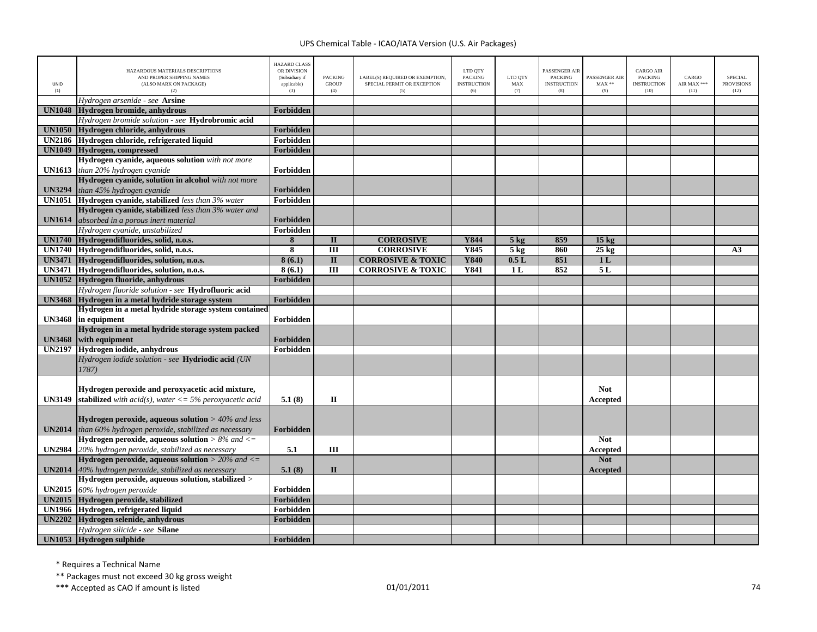| UNID<br>(1)   | HAZARDOUS MATERIALS DESCRIPTIONS<br>AND PROPER SHIPPING NAMES<br>(ALSO MARK ON PACKAGE)<br>(2) | <b>HAZARD CLASS</b><br>OR DIVISION<br>(Subsidiary if<br>applicable)<br>(3) | <b>PACKING</b><br><b>GROUP</b><br>(4) | LABEL(S) REQUIRED OR EXEMPTION,<br>SPECIAL PERMIT OR EXCEPTION<br>(5) | LTD OTY<br><b>PACKING</b><br><b>INSTRUCTION</b><br>(6) | LTD QTY<br>MAX<br>(7) | PASSENGER AIR<br><b>PACKING</b><br><b>INSTRUCTION</b><br>(8) | PASSENGER AIR<br>$MAX**$<br>(9) | <b>CARGO AIR</b><br><b>PACKING</b><br><b>INSTRUCTION</b><br>(10) | CARGO<br>AIR MAX ***<br>(11) | <b>SPECIAL</b><br><b>PROVISIONS</b><br>(12) |
|---------------|------------------------------------------------------------------------------------------------|----------------------------------------------------------------------------|---------------------------------------|-----------------------------------------------------------------------|--------------------------------------------------------|-----------------------|--------------------------------------------------------------|---------------------------------|------------------------------------------------------------------|------------------------------|---------------------------------------------|
|               | Hydrogen arsenide - see Arsine                                                                 |                                                                            |                                       |                                                                       |                                                        |                       |                                                              |                                 |                                                                  |                              |                                             |
| <b>UN1048</b> | Hydrogen bromide, anhydrous                                                                    | Forbidden                                                                  |                                       |                                                                       |                                                        |                       |                                                              |                                 |                                                                  |                              |                                             |
|               | Hydrogen bromide solution - see Hydrobromic acid                                               |                                                                            |                                       |                                                                       |                                                        |                       |                                                              |                                 |                                                                  |                              |                                             |
|               | UN1050 Hydrogen chloride, anhydrous                                                            | <b>Forbidden</b>                                                           |                                       |                                                                       |                                                        |                       |                                                              |                                 |                                                                  |                              |                                             |
|               | UN2186 Hydrogen chloride, refrigerated liquid                                                  | Forbidden                                                                  |                                       |                                                                       |                                                        |                       |                                                              |                                 |                                                                  |                              |                                             |
|               | UN1049 Hydrogen, compressed                                                                    | Forbidden                                                                  |                                       |                                                                       |                                                        |                       |                                                              |                                 |                                                                  |                              |                                             |
|               | Hydrogen cyanide, aqueous solution with not more                                               |                                                                            |                                       |                                                                       |                                                        |                       |                                                              |                                 |                                                                  |                              |                                             |
|               | <b>UN1613</b> than 20% hydrogen cyanide                                                        | Forbidden                                                                  |                                       |                                                                       |                                                        |                       |                                                              |                                 |                                                                  |                              |                                             |
|               | Hydrogen cyanide, solution in alcohol with not more                                            |                                                                            |                                       |                                                                       |                                                        |                       |                                                              |                                 |                                                                  |                              |                                             |
| <b>UN3294</b> | than 45% hydrogen cyanide                                                                      | Forbidden                                                                  |                                       |                                                                       |                                                        |                       |                                                              |                                 |                                                                  |                              |                                             |
|               | <b>UN1051</b> Hydrogen cyanide, stabilized less than 3% water                                  | Forbidden                                                                  |                                       |                                                                       |                                                        |                       |                                                              |                                 |                                                                  |                              |                                             |
|               | Hydrogen cyanide, stabilized less than 3% water and                                            |                                                                            |                                       |                                                                       |                                                        |                       |                                                              |                                 |                                                                  |                              |                                             |
| <b>UN1614</b> | absorbed in a porous inert material                                                            | Forbidden                                                                  |                                       |                                                                       |                                                        |                       |                                                              |                                 |                                                                  |                              |                                             |
|               | Hydrogen cyanide, unstabilized                                                                 | Forbidden                                                                  |                                       |                                                                       |                                                        |                       |                                                              |                                 |                                                                  |                              |                                             |
|               | UN1740 Hydrogendifluorides, solid, n.o.s.                                                      | 8                                                                          | $\mathbf{I}$                          | <b>CORROSIVE</b>                                                      | Y844                                                   | $5$ kg                | 859                                                          | 15 <sub>kg</sub>                |                                                                  |                              |                                             |
|               | UN1740 Hydrogendifluorides, solid, n.o.s.                                                      | 8                                                                          | $\overline{III}$                      | <b>CORROSIVE</b>                                                      | <b>Y845</b>                                            | 5 <sub>kg</sub>       | 860                                                          | $25$ kg                         |                                                                  |                              | A3                                          |
|               | UN3471 Hydrogendifluorides, solution, n.o.s.                                                   | 8(6.1)                                                                     | $\mathbf{I}$                          | <b>CORROSIVE &amp; TOXIC</b>                                          | Y840                                                   | 0.5L                  | 851                                                          | 1 <sub>L</sub>                  |                                                                  |                              |                                             |
|               | UN3471 Hydrogendifluorides, solution, n.o.s.                                                   | 8(6.1)                                                                     | $\overline{III}$                      | <b>CORROSIVE &amp; TOXIC</b>                                          | <b>Y841</b>                                            | 1 <sub>L</sub>        | 852                                                          | 5L                              |                                                                  |                              |                                             |
|               | UN1052 Hydrogen fluoride, anhydrous                                                            | <b>Forbidden</b>                                                           |                                       |                                                                       |                                                        |                       |                                                              |                                 |                                                                  |                              |                                             |
|               | Hydrogen fluoride solution - see <b>Hydrofluoric acid</b>                                      |                                                                            |                                       |                                                                       |                                                        |                       |                                                              |                                 |                                                                  |                              |                                             |
|               | UN3468 Hydrogen in a metal hydride storage system                                              | Forbidden                                                                  |                                       |                                                                       |                                                        |                       |                                                              |                                 |                                                                  |                              |                                             |
|               | Hydrogen in a metal hydride storage system contained                                           |                                                                            |                                       |                                                                       |                                                        |                       |                                                              |                                 |                                                                  |                              |                                             |
|               | UN3468 in equipment                                                                            | Forbidden                                                                  |                                       |                                                                       |                                                        |                       |                                                              |                                 |                                                                  |                              |                                             |
|               | Hydrogen in a metal hydride storage system packed                                              |                                                                            |                                       |                                                                       |                                                        |                       |                                                              |                                 |                                                                  |                              |                                             |
| <b>UN3468</b> | with equipment                                                                                 | Forbidden                                                                  |                                       |                                                                       |                                                        |                       |                                                              |                                 |                                                                  |                              |                                             |
|               | UN2197 Hydrogen iodide, anhydrous                                                              | Forbidden                                                                  |                                       |                                                                       |                                                        |                       |                                                              |                                 |                                                                  |                              |                                             |
|               | Hydrogen iodide solution - see Hydriodic acid (UN                                              |                                                                            |                                       |                                                                       |                                                        |                       |                                                              |                                 |                                                                  |                              |                                             |
|               | 1787)                                                                                          |                                                                            |                                       |                                                                       |                                                        |                       |                                                              |                                 |                                                                  |                              |                                             |
|               |                                                                                                |                                                                            |                                       |                                                                       |                                                        |                       |                                                              |                                 |                                                                  |                              |                                             |
|               | Hydrogen peroxide and peroxyacetic acid mixture,                                               |                                                                            |                                       |                                                                       |                                                        |                       |                                                              | <b>Not</b>                      |                                                                  |                              |                                             |
| <b>UN3149</b> | <b>stabilized</b> with acid(s), water $\leq$ 5% peroxyacetic acid                              | 5.1(8)                                                                     | $\mathbf{I}$                          |                                                                       |                                                        |                       |                                                              | Accepted                        |                                                                  |                              |                                             |
|               |                                                                                                |                                                                            |                                       |                                                                       |                                                        |                       |                                                              |                                 |                                                                  |                              |                                             |
|               | <b>Hydrogen peroxide, aqueous solution</b> $>$ 40% and less                                    |                                                                            |                                       |                                                                       |                                                        |                       |                                                              |                                 |                                                                  |                              |                                             |
| <b>UN2014</b> | than 60% hydrogen peroxide, stabilized as necessary                                            | Forbidden                                                                  |                                       |                                                                       |                                                        |                       |                                                              |                                 |                                                                  |                              |                                             |
|               | Hydrogen peroxide, aqueous solution $> 8\%$ and $<=$                                           |                                                                            |                                       |                                                                       |                                                        |                       |                                                              | <b>Not</b>                      |                                                                  |                              |                                             |
|               | UN2984 20% hydrogen peroxide, stabilized as necessary                                          | 5.1                                                                        | III                                   |                                                                       |                                                        |                       |                                                              | Accepted                        |                                                                  |                              |                                             |
|               | Hydrogen peroxide, aqueous solution $>$ 20% and $<=$                                           |                                                                            |                                       |                                                                       |                                                        |                       |                                                              | <b>Not</b>                      |                                                                  |                              |                                             |
| <b>UN2014</b> | 40% hydrogen peroxide, stabilized as necessary                                                 | 5.1(8)                                                                     | $\mathbf{I}$                          |                                                                       |                                                        |                       |                                                              | Accepted                        |                                                                  |                              |                                             |
|               | Hydrogen peroxide, aqueous solution, stabilized >                                              |                                                                            |                                       |                                                                       |                                                        |                       |                                                              |                                 |                                                                  |                              |                                             |
| <b>UN2015</b> | 60% hydrogen peroxide                                                                          | Forbidden                                                                  |                                       |                                                                       |                                                        |                       |                                                              |                                 |                                                                  |                              |                                             |
| <b>UN2015</b> | Hydrogen peroxide, stabilized                                                                  | Forbidden                                                                  |                                       |                                                                       |                                                        |                       |                                                              |                                 |                                                                  |                              |                                             |
|               | UN1966 Hydrogen, refrigerated liquid                                                           | Forbidden                                                                  |                                       |                                                                       |                                                        |                       |                                                              |                                 |                                                                  |                              |                                             |
|               | UN2202 Hydrogen selenide, anhydrous                                                            | Forbidden                                                                  |                                       |                                                                       |                                                        |                       |                                                              |                                 |                                                                  |                              |                                             |
|               | Hydrogen silicide - see Silane                                                                 |                                                                            |                                       |                                                                       |                                                        |                       |                                                              |                                 |                                                                  |                              |                                             |
|               | UN1053 Hydrogen sulphide                                                                       | Forbidden                                                                  |                                       |                                                                       |                                                        |                       |                                                              |                                 |                                                                  |                              |                                             |

\* Requires <sup>a</sup> Technical Name

\*\* Packages must not exceed 30 kg gross weight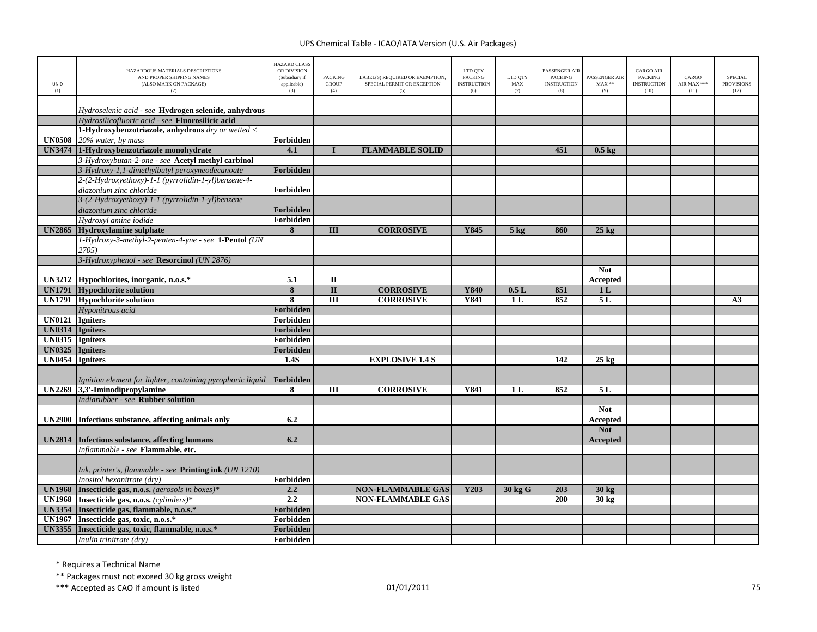| UNID<br>(1)     | HAZARDOUS MATERIALS DESCRIPTIONS<br>AND PROPER SHIPPING NAMES<br>(ALSO MARK ON PACKAGE)<br>(2)           | <b>HAZARD CLASS</b><br>OR DIVISION<br>(Subsidiary if<br>applicable)<br>(3) | <b>PACKING</b><br><b>GROUP</b><br>(4) | LABEL(S) REQUIRED OR EXEMPTION,<br>SPECIAL PERMIT OR EXCEPTION<br>(5) | LTD QTY<br><b>PACKING</b><br><b>INSTRUCTION</b><br>(6) | LTD QTY<br>MAX<br>(7) | <b>PASSENGER AIR</b><br><b>PACKING</b><br><b>INSTRUCTION</b><br>(8) | PASSENGER AIR<br>$MAX**$<br>(9) | <b>CARGO AIR</b><br><b>PACKING</b><br><b>INSTRUCTION</b><br>(10) | CARGO<br>AIR MAX ***<br>(11) | <b>SPECIAL</b><br><b>PROVISIONS</b><br>(12) |
|-----------------|----------------------------------------------------------------------------------------------------------|----------------------------------------------------------------------------|---------------------------------------|-----------------------------------------------------------------------|--------------------------------------------------------|-----------------------|---------------------------------------------------------------------|---------------------------------|------------------------------------------------------------------|------------------------------|---------------------------------------------|
|                 |                                                                                                          |                                                                            |                                       |                                                                       |                                                        |                       |                                                                     |                                 |                                                                  |                              |                                             |
|                 | Hydroselenic acid - see Hydrogen selenide, anhydrous<br>Hydrosilicofluoric acid - see Fluorosilicic acid |                                                                            |                                       |                                                                       |                                                        |                       |                                                                     |                                 |                                                                  |                              |                                             |
|                 | 1-Hydroxybenzotriazole, anhydrous dry or wetted <                                                        |                                                                            |                                       |                                                                       |                                                        |                       |                                                                     |                                 |                                                                  |                              |                                             |
|                 | <b>UN0508</b> 20% water, by mass                                                                         | Forbidden                                                                  |                                       |                                                                       |                                                        |                       |                                                                     |                                 |                                                                  |                              |                                             |
|                 | UN3474 1-Hydroxybenzotriazole monohydrate                                                                | 4.1                                                                        |                                       | <b>FLAMMABLE SOLID</b>                                                |                                                        |                       | 451                                                                 | $0.5 \text{ kg}$                |                                                                  |                              |                                             |
|                 | 3-Hydroxybutan-2-one - see Acetyl methyl carbinol                                                        |                                                                            |                                       |                                                                       |                                                        |                       |                                                                     |                                 |                                                                  |                              |                                             |
|                 | 3-Hydroxy-1,1-dimethylbutyl peroxyneodecanoate                                                           | Forbidden                                                                  |                                       |                                                                       |                                                        |                       |                                                                     |                                 |                                                                  |                              |                                             |
|                 | 2-(2-Hydroxyethoxy)-1-1 (pyrrolidin-1-yl)benzene-4-                                                      |                                                                            |                                       |                                                                       |                                                        |                       |                                                                     |                                 |                                                                  |                              |                                             |
|                 | diazonium zinc chloride                                                                                  | Forbidden                                                                  |                                       |                                                                       |                                                        |                       |                                                                     |                                 |                                                                  |                              |                                             |
|                 | 3-(2-Hydroxyethoxy)-1-1 (pyrrolidin-1-yl)benzene                                                         |                                                                            |                                       |                                                                       |                                                        |                       |                                                                     |                                 |                                                                  |                              |                                             |
|                 | diazonium zinc chloride                                                                                  | Forbidden                                                                  |                                       |                                                                       |                                                        |                       |                                                                     |                                 |                                                                  |                              |                                             |
|                 | Hydroxyl amine iodide                                                                                    | Forbidden                                                                  |                                       |                                                                       |                                                        |                       |                                                                     |                                 |                                                                  |                              |                                             |
| <b>UN2865</b>   | Hydroxylamine sulphate                                                                                   | 8                                                                          | III                                   | <b>CORROSIVE</b>                                                      | Y845                                                   | $5$ kg                | 860                                                                 | $25 \text{ kg}$                 |                                                                  |                              |                                             |
|                 | 1-Hydroxy-3-methyl-2-penten-4-yne - see 1-Pentol (UN                                                     |                                                                            |                                       |                                                                       |                                                        |                       |                                                                     |                                 |                                                                  |                              |                                             |
|                 | 2705)                                                                                                    |                                                                            |                                       |                                                                       |                                                        |                       |                                                                     |                                 |                                                                  |                              |                                             |
|                 | 3-Hydroxyphenol - see Resorcinol (UN 2876)                                                               |                                                                            |                                       |                                                                       |                                                        |                       |                                                                     |                                 |                                                                  |                              |                                             |
|                 |                                                                                                          |                                                                            |                                       |                                                                       |                                                        |                       |                                                                     | <b>Not</b>                      |                                                                  |                              |                                             |
|                 | UN3212 Hypochlorites, inorganic, n.o.s.*                                                                 | 5.1                                                                        | $\mathbf{I}$                          |                                                                       |                                                        |                       |                                                                     | Accepted                        |                                                                  |                              |                                             |
|                 | <b>UN1791</b> Hypochlorite solution                                                                      | $\overline{\mathbf{8}}$                                                    | $\overline{\mathbf{u}}$               | <b>CORROSIVE</b>                                                      | <b>Y840</b>                                            | 0.5L                  | 851                                                                 | 1 <sub>L</sub>                  |                                                                  |                              |                                             |
|                 | <b>UN1791</b> Hypochlorite solution                                                                      | $\overline{\mathbf{8}}$                                                    | $\overline{III}$                      | <b>CORROSIVE</b>                                                      | Y841                                                   | 1 <sub>L</sub>        | 852                                                                 | 5L                              |                                                                  |                              | A <sub>3</sub>                              |
|                 | Hyponitrous acid                                                                                         | Forbidden                                                                  |                                       |                                                                       |                                                        |                       |                                                                     |                                 |                                                                  |                              |                                             |
| UN0121 Igniters |                                                                                                          | Forbidden                                                                  |                                       |                                                                       |                                                        |                       |                                                                     |                                 |                                                                  |                              |                                             |
| UN0314 Igniters |                                                                                                          | Forbidden                                                                  |                                       |                                                                       |                                                        |                       |                                                                     |                                 |                                                                  |                              |                                             |
| UN0315 Igniters |                                                                                                          | Forbidden                                                                  |                                       |                                                                       |                                                        |                       |                                                                     |                                 |                                                                  |                              |                                             |
| <b>UN0325</b>   | <b>Igniters</b>                                                                                          | Forbidden                                                                  |                                       |                                                                       |                                                        |                       |                                                                     |                                 |                                                                  |                              |                                             |
| <b>UN0454</b>   | <b>Igniters</b>                                                                                          | 1.4S                                                                       |                                       | <b>EXPLOSIVE 1.4 S</b>                                                |                                                        |                       | 142                                                                 | $25 \text{ kg}$                 |                                                                  |                              |                                             |
|                 | Ignition element for lighter, containing pyrophoric liquid                                               | Forbidden                                                                  |                                       |                                                                       |                                                        |                       |                                                                     |                                 |                                                                  |                              |                                             |
| <b>UN2269</b>   | 3,3'-Iminodipropylamine                                                                                  | 8                                                                          | Ш                                     | <b>CORROSIVE</b>                                                      | Y841                                                   | 1 <sub>L</sub>        | 852                                                                 | 5L                              |                                                                  |                              |                                             |
|                 | Indiarubber - see Rubber solution                                                                        |                                                                            |                                       |                                                                       |                                                        |                       |                                                                     |                                 |                                                                  |                              |                                             |
| <b>UN2900</b>   | Infectious substance, affecting animals only                                                             | 6.2                                                                        |                                       |                                                                       |                                                        |                       |                                                                     | <b>Not</b><br>Accepted          |                                                                  |                              |                                             |
| <b>UN2814</b>   | Infectious substance, affecting humans                                                                   | 6.2                                                                        |                                       |                                                                       |                                                        |                       |                                                                     | <b>Not</b><br>Accepted          |                                                                  |                              |                                             |
|                 | Inflammable - see Flammable, etc.                                                                        |                                                                            |                                       |                                                                       |                                                        |                       |                                                                     |                                 |                                                                  |                              |                                             |
|                 | Ink, printer's, flammable - see Printing ink (UN 1210)                                                   |                                                                            |                                       |                                                                       |                                                        |                       |                                                                     |                                 |                                                                  |                              |                                             |
|                 | Inositol hexanitrate (dry)                                                                               | Forbidden                                                                  |                                       |                                                                       |                                                        |                       |                                                                     |                                 |                                                                  |                              |                                             |
| <b>UN1968</b>   | Insecticide gas, n.o.s. (aerosols in boxes)*                                                             | 2.2                                                                        |                                       | <b>NON-FLAMMABLE GAS</b>                                              | Y203                                                   | 30 kg G               | 203                                                                 | $30 \text{ kg}$                 |                                                                  |                              |                                             |
| <b>UN1968</b>   | Insecticide gas, n.o.s. (cylinders)*                                                                     | 2.2                                                                        |                                       | <b>NON-FLAMMABLE GAS</b>                                              |                                                        |                       | 200                                                                 | 30 kg                           |                                                                  |                              |                                             |
| <b>UN3354</b>   | Insecticide gas, flammable, n.o.s.*                                                                      | Forbidden                                                                  |                                       |                                                                       |                                                        |                       |                                                                     |                                 |                                                                  |                              |                                             |
| <b>UN1967</b>   | Insecticide gas, toxic, n.o.s.*                                                                          | Forbidden                                                                  |                                       |                                                                       |                                                        |                       |                                                                     |                                 |                                                                  |                              |                                             |
| <b>UN3355</b>   | Insecticide gas, toxic, flammable, n.o.s.*                                                               | Forbidden                                                                  |                                       |                                                                       |                                                        |                       |                                                                     |                                 |                                                                  |                              |                                             |
|                 | Inulin trinitrate (dry)                                                                                  | Forbidden                                                                  |                                       |                                                                       |                                                        |                       |                                                                     |                                 |                                                                  |                              |                                             |

\* Requires <sup>a</sup> Technical Name

\*\* Packages must not exceed 30 kg gross weight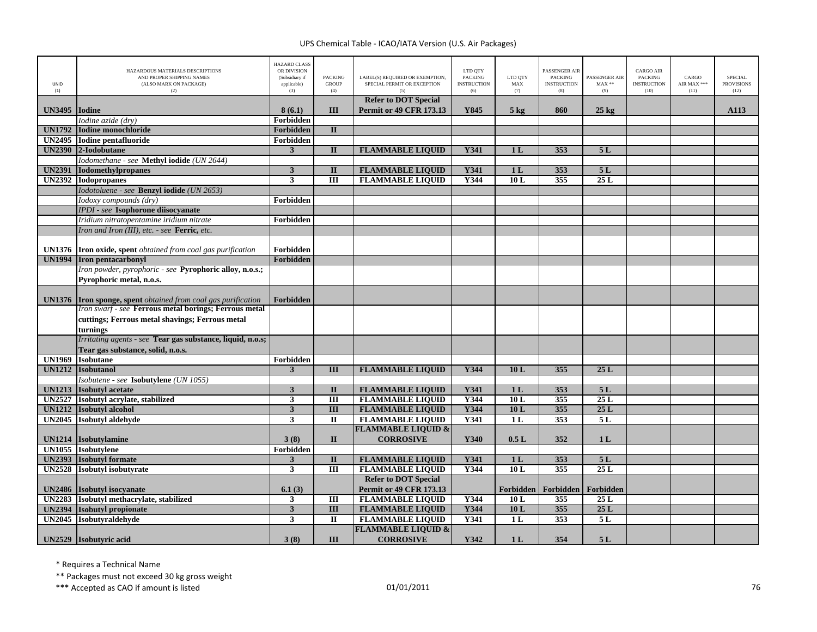| UNID<br>(1)   | HAZARDOUS MATERIALS DESCRIPTIONS<br>AND PROPER SHIPPING NAMES<br>(ALSO MARK ON PACKAGE)<br>(2) | <b>HAZARD CLASS</b><br>OR DIVISION<br>(Subsidiary if<br>applicable)<br>(3) | <b>PACKING</b><br><b>GROUP</b><br>(4) | LABEL(S) REQUIRED OR EXEMPTION,<br>SPECIAL PERMIT OR EXCEPTION | LTD QTY<br><b>PACKING</b><br><b>INSTRUCTION</b><br>(6) | LTD QTY<br>MAX<br>(7) | PASSENGER AIR<br><b>PACKING</b><br><b>INSTRUCTION</b><br>(8) | PASSENGER AIR<br>$MAX**$<br>(9) | <b>CARGO AIR</b><br><b>PACKING</b><br><b>INSTRUCTION</b><br>(10) | CARGO<br>AIR MAX ***<br>(11) | SPECIAL<br><b>PROVISIONS</b><br>(12) |
|---------------|------------------------------------------------------------------------------------------------|----------------------------------------------------------------------------|---------------------------------------|----------------------------------------------------------------|--------------------------------------------------------|-----------------------|--------------------------------------------------------------|---------------------------------|------------------------------------------------------------------|------------------------------|--------------------------------------|
|               |                                                                                                |                                                                            |                                       | <b>Refer to DOT Special</b>                                    |                                                        |                       |                                                              |                                 |                                                                  |                              |                                      |
| <b>UN3495</b> | <b>Iodine</b><br>Iodine azide (drv)                                                            | 8(6.1)<br>Forbidden                                                        | Ш                                     | <b>Permit or 49 CFR 173.13</b>                                 | Y845                                                   | $5$ kg                | 860                                                          | $25 \text{ kg}$                 |                                                                  |                              | A113                                 |
| <b>UN1792</b> | <b>Iodine monochloride</b>                                                                     | <b>Forbidden</b>                                                           | $\mathbf{I}$                          |                                                                |                                                        |                       |                                                              |                                 |                                                                  |                              |                                      |
|               | UN2495 Iodine pentafluoride                                                                    | Forbidden                                                                  |                                       |                                                                |                                                        |                       |                                                              |                                 |                                                                  |                              |                                      |
| <b>UN2390</b> | 2-Iodobutane                                                                                   | $\mathbf{3}$                                                               | $\mathbf{I}$                          | <b>FLAMMABLE LIQUID</b>                                        | Y341                                                   | 1 <sub>L</sub>        | 353                                                          | 5L                              |                                                                  |                              |                                      |
|               | Iodomethane - see Methyl iodide (UN 2644)                                                      |                                                                            |                                       |                                                                |                                                        |                       |                                                              |                                 |                                                                  |                              |                                      |
| <b>UN2391</b> | <b>Iodomethylpropanes</b>                                                                      | $\mathbf{3}$                                                               | $\mathbf{I}$                          | <b>FLAMMABLE LIQUID</b>                                        | Y341                                                   | 1 <sub>L</sub>        | 353                                                          | 5L                              |                                                                  |                              |                                      |
| <b>UN2392</b> | <b>Iodopropanes</b>                                                                            | 3                                                                          | $\overline{III}$                      | <b>FLAMMABLE LIQUID</b>                                        | Y344                                                   | 10L                   | 355                                                          | 25L                             |                                                                  |                              |                                      |
|               | Iodotoluene - see Benzyl iodide (UN 2653)                                                      |                                                                            |                                       |                                                                |                                                        |                       |                                                              |                                 |                                                                  |                              |                                      |
|               | Iodoxy compounds (dry)                                                                         | Forbidden                                                                  |                                       |                                                                |                                                        |                       |                                                              |                                 |                                                                  |                              |                                      |
|               | <b>IPDI</b> - see Isophorone diisocyanate                                                      |                                                                            |                                       |                                                                |                                                        |                       |                                                              |                                 |                                                                  |                              |                                      |
|               | Iridium nitratopentamine iridium nitrate                                                       | Forbidden                                                                  |                                       |                                                                |                                                        |                       |                                                              |                                 |                                                                  |                              |                                      |
|               | Iron and Iron (III), etc. - see Ferric, etc.                                                   |                                                                            |                                       |                                                                |                                                        |                       |                                                              |                                 |                                                                  |                              |                                      |
|               |                                                                                                |                                                                            |                                       |                                                                |                                                        |                       |                                                              |                                 |                                                                  |                              |                                      |
|               | UN1376 Iron oxide, spent obtained from coal gas purification                                   | Forbidden                                                                  |                                       |                                                                |                                                        |                       |                                                              |                                 |                                                                  |                              |                                      |
| <b>UN1994</b> | <b>Iron pentacarbonyl</b>                                                                      | Forbidden                                                                  |                                       |                                                                |                                                        |                       |                                                              |                                 |                                                                  |                              |                                      |
|               | Iron powder, pyrophoric - see Pyrophoric alloy, n.o.s.;                                        |                                                                            |                                       |                                                                |                                                        |                       |                                                              |                                 |                                                                  |                              |                                      |
|               | Pyrophoric metal, n.o.s.                                                                       |                                                                            |                                       |                                                                |                                                        |                       |                                                              |                                 |                                                                  |                              |                                      |
|               | UN1376 Iron sponge, spent obtained from coal gas purification                                  | Forbidden                                                                  |                                       |                                                                |                                                        |                       |                                                              |                                 |                                                                  |                              |                                      |
|               | Iron swarf - see Ferrous metal borings; Ferrous metal                                          |                                                                            |                                       |                                                                |                                                        |                       |                                                              |                                 |                                                                  |                              |                                      |
|               | cuttings; Ferrous metal shavings; Ferrous metal                                                |                                                                            |                                       |                                                                |                                                        |                       |                                                              |                                 |                                                                  |                              |                                      |
|               | turnings                                                                                       |                                                                            |                                       |                                                                |                                                        |                       |                                                              |                                 |                                                                  |                              |                                      |
|               | Irritating agents - see Tear gas substance, liquid, n.o.s;                                     |                                                                            |                                       |                                                                |                                                        |                       |                                                              |                                 |                                                                  |                              |                                      |
|               | Tear gas substance, solid, n.o.s.                                                              |                                                                            |                                       |                                                                |                                                        |                       |                                                              |                                 |                                                                  |                              |                                      |
| <b>UN1969</b> | <b>Isobutane</b>                                                                               | Forbidden                                                                  |                                       |                                                                |                                                        |                       |                                                              |                                 |                                                                  |                              |                                      |
| <b>UN1212</b> | <b>Isobutanol</b>                                                                              | 3                                                                          | III                                   | <b>FLAMMABLE LIQUID</b>                                        | Y344                                                   | 10L                   | 355                                                          | 25L                             |                                                                  |                              |                                      |
|               | Isobutene - see Isobutylene (UN 1055)                                                          | $\overline{\mathbf{3}}$                                                    | $\mathbf{I}$                          |                                                                |                                                        | 1 <sub>L</sub>        | 353                                                          |                                 |                                                                  |                              |                                      |
| <b>UN1213</b> | <b>Isobutyl</b> acetate<br>UN2527 Isobutyl acrylate, stabilized                                | $\mathbf{3}$                                                               | $\overline{III}$                      | <b>FLAMMABLE LIQUID</b><br><b>FLAMMABLE LIQUID</b>             | Y341<br>Y344                                           | 10L                   | 355                                                          | 5L<br>25L                       |                                                                  |                              |                                      |
| <b>UN1212</b> | <b>Isobutyl alcohol</b>                                                                        | $\overline{\mathbf{3}}$                                                    | $\overline{III}$                      | <b>FLAMMABLE LIQUID</b>                                        | Y344                                                   | 10L                   | 355                                                          | 25L                             |                                                                  |                              |                                      |
| <b>UN2045</b> | Isobutvl aldehyde                                                                              | $\mathbf{3}$                                                               | П                                     | <b>FLAMMABLE LIQUID</b>                                        | <b>Y341</b>                                            | 1 <sub>L</sub>        | 353                                                          | 5 L                             |                                                                  |                              |                                      |
|               |                                                                                                |                                                                            |                                       | <b>FLAMMABLE LIQUID &amp;</b>                                  |                                                        |                       |                                                              |                                 |                                                                  |                              |                                      |
| <b>UN1214</b> | <b>Isobutylamine</b>                                                                           | 3(8)                                                                       | $\mathbf{I}$                          | <b>CORROSIVE</b>                                               | Y340                                                   | 0.5L                  | 352                                                          | 1 <sub>L</sub>                  |                                                                  |                              |                                      |
|               | UN1055 Isobutylene                                                                             | Forbidden                                                                  |                                       |                                                                |                                                        |                       |                                                              |                                 |                                                                  |                              |                                      |
| <b>UN2393</b> | <b>Isobutyl formate</b>                                                                        | $\mathbf{3}$                                                               | $\mathbf{I}$                          | <b>FLAMMABLE LIQUID</b>                                        | Y341                                                   | 1 <sub>L</sub>        | 353                                                          | 5L                              |                                                                  |                              |                                      |
| <b>UN2528</b> | <b>Isobutyl</b> isobutyrate                                                                    | $\overline{\mathbf{3}}$                                                    | $\overline{\mathbf{H}}$               | <b>FLAMMABLE LIQUID</b>                                        | Y344                                                   | 10L                   | 355                                                          | 25L                             |                                                                  |                              |                                      |
|               |                                                                                                |                                                                            |                                       | <b>Refer to DOT Special</b>                                    |                                                        |                       |                                                              |                                 |                                                                  |                              |                                      |
|               | UN2486 Isobutyl isocyanate                                                                     | 6.1(3)                                                                     |                                       | <b>Permit or 49 CFR 173.13</b>                                 |                                                        |                       | Forbidden   Forbidden   Forbidden                            |                                 |                                                                  |                              |                                      |
|               | UN2283 Isobutyl methacrylate, stabilized                                                       | 3                                                                          | Ш                                     | <b>FLAMMABLE LIQUID</b>                                        | Y344                                                   | 10L                   | 355                                                          | 25L                             |                                                                  |                              |                                      |
| <b>UN2394</b> | <b>Isobutyl propionate</b>                                                                     | $\mathbf{3}$                                                               | $\overline{III}$                      | <b>FLAMMABLE LIQUID</b>                                        | Y344                                                   | 10L                   | 355                                                          | 25L                             |                                                                  |                              |                                      |
|               | UN2045 Isobutyraldehyde                                                                        | 3                                                                          | $\mathbf{I}$                          | <b>FLAMMABLE LIQUID</b>                                        | <b>Y341</b>                                            | 1 <sub>L</sub>        | 353                                                          | 5L                              |                                                                  |                              |                                      |
|               |                                                                                                |                                                                            |                                       | <b>FLAMMABLE LIQUID &amp;</b>                                  |                                                        |                       |                                                              |                                 |                                                                  |                              |                                      |
|               | UN2529 Isobutyric acid                                                                         | 3(8)                                                                       | III                                   | <b>CORROSIVE</b>                                               | Y342                                                   | 1 <sub>L</sub>        | 354                                                          | 5L                              |                                                                  |                              |                                      |

\* Requires <sup>a</sup> Technical Name

\*\* Packages must not exceed 30 kg gross weight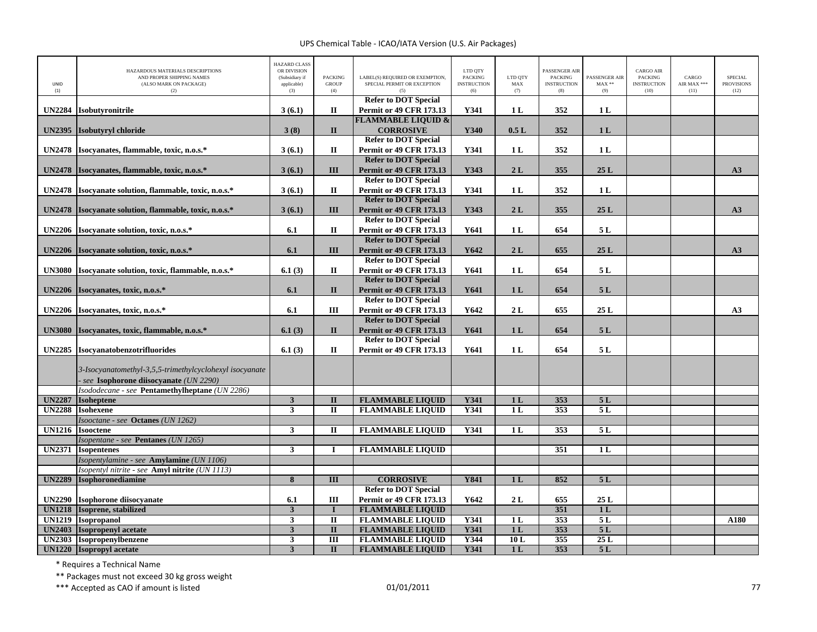| UNID<br>(1)                    | HAZARDOUS MATERIALS DESCRIPTIONS<br>AND PROPER SHIPPING NAMES<br>(ALSO MARK ON PACKAGE)<br>(2)   | <b>HAZARD CLASS</b><br>OR DIVISION<br>(Subsidiary if<br>applicable)<br>(3) | <b>PACKING</b><br><b>GROUP</b><br>(4) | LABEL(S) REQUIRED OR EXEMPTION,<br>SPECIAL PERMIT OR EXCEPTION<br>(5) | LTD QTY<br><b>PACKING</b><br><b>INSTRUCTION</b><br>(6) | LTD QTY<br>MAX<br>(7)            | PASSENGER AIR<br><b>PACKING</b><br><b>INSTRUCTION</b><br>(8) | PASSENGER AIR<br>$MAX**$<br>(9) | <b>CARGO AIR</b><br><b>PACKING</b><br><b>INSTRUCTION</b><br>(10) | CARGO<br>AIR MAX ***<br>(11) | <b>SPECIAL</b><br><b>PROVISIONS</b><br>(12) |
|--------------------------------|--------------------------------------------------------------------------------------------------|----------------------------------------------------------------------------|---------------------------------------|-----------------------------------------------------------------------|--------------------------------------------------------|----------------------------------|--------------------------------------------------------------|---------------------------------|------------------------------------------------------------------|------------------------------|---------------------------------------------|
| <b>UN2284</b>                  | Isobutyronitrile                                                                                 | 3(6.1)                                                                     | $\rm II$                              | <b>Refer to DOT Special</b><br><b>Permit or 49 CFR 173.13</b>         | Y341                                                   | 1 L                              | 352                                                          | 1 <sub>L</sub>                  |                                                                  |                              |                                             |
|                                |                                                                                                  |                                                                            |                                       | <b>FLAMMABLE LIQUID &amp;</b>                                         |                                                        |                                  |                                                              |                                 |                                                                  |                              |                                             |
| <b>UN2395</b>                  | Isobutyryl chloride                                                                              | 3(8)                                                                       | $\mathbf{I}$                          | <b>CORROSIVE</b>                                                      | Y340                                                   | 0.5L                             | 352                                                          | 1 <sub>L</sub>                  |                                                                  |                              |                                             |
|                                |                                                                                                  |                                                                            |                                       | <b>Refer to DOT Special</b>                                           |                                                        |                                  |                                                              |                                 |                                                                  |                              |                                             |
| <b>UN2478</b>                  | Isocyanates, flammable, toxic, n.o.s.*                                                           | 3(6.1)                                                                     | $\mathbf{I}$                          | <b>Permit or 49 CFR 173.13</b>                                        | Y341                                                   | 1 <sub>L</sub>                   | 352                                                          | 1L                              |                                                                  |                              |                                             |
|                                |                                                                                                  |                                                                            |                                       | <b>Refer to DOT Special</b>                                           |                                                        |                                  |                                                              |                                 |                                                                  |                              |                                             |
| <b>UN2478</b>                  | Isocvanates, flammable, toxic, n.o.s.*                                                           | 3(6.1)                                                                     | III                                   | <b>Permit or 49 CFR 173.13</b>                                        | Y343                                                   | 2L                               | 355                                                          | 25L                             |                                                                  |                              | A3                                          |
|                                |                                                                                                  |                                                                            |                                       | <b>Refer to DOT Special</b>                                           |                                                        |                                  |                                                              |                                 |                                                                  |                              |                                             |
| <b>UN2478</b>                  | Isocyanate solution, flammable, toxic, n.o.s.*                                                   | 3(6.1)                                                                     | $\mathbf{I}$                          | <b>Permit or 49 CFR 173.13</b>                                        | Y341                                                   | 1 <sub>L</sub>                   | 352                                                          | 1 <sub>L</sub>                  |                                                                  |                              |                                             |
|                                |                                                                                                  |                                                                            |                                       | <b>Refer to DOT Special</b>                                           |                                                        |                                  |                                                              |                                 |                                                                  |                              |                                             |
| <b>UN2478</b>                  | Isocyanate solution, flammable, toxic, n.o.s.*                                                   | 3(6.1)                                                                     | III                                   | <b>Permit or 49 CFR 173.13</b>                                        | Y343                                                   | 2L                               | 355                                                          | 25L                             |                                                                  |                              | A3                                          |
|                                |                                                                                                  | 6.1                                                                        | $\mathbf{I}$                          | <b>Refer to DOT Special</b><br><b>Permit or 49 CFR 173.13</b>         | Y641                                                   | 1L                               | 654                                                          | 5L                              |                                                                  |                              |                                             |
| <b>UN2206</b>                  | Isocyanate solution, toxic, n.o.s.*                                                              |                                                                            |                                       | <b>Refer to DOT Special</b>                                           |                                                        |                                  |                                                              |                                 |                                                                  |                              |                                             |
| <b>UN2206</b>                  | Isocyanate solution, toxic, n.o.s.*                                                              | 6.1                                                                        | III                                   | <b>Permit or 49 CFR 173.13</b>                                        | Y642                                                   | 2L                               | 655                                                          | 25L                             |                                                                  |                              | A3                                          |
|                                |                                                                                                  |                                                                            |                                       | <b>Refer to DOT Special</b>                                           |                                                        |                                  |                                                              |                                 |                                                                  |                              |                                             |
| <b>UN3080</b>                  | Isocvanate solution, toxic, flammable, n.o.s.*                                                   | 6.1(3)                                                                     | $\mathbf{I}$                          | <b>Permit or 49 CFR 173.13</b>                                        | Y641                                                   | 1L                               | 654                                                          | 5L                              |                                                                  |                              |                                             |
|                                |                                                                                                  |                                                                            |                                       | <b>Refer to DOT Special</b>                                           |                                                        |                                  |                                                              |                                 |                                                                  |                              |                                             |
| <b>UN2206</b>                  | Isocyanates, toxic, n.o.s.*                                                                      | 6.1                                                                        | $\mathbf{I}$                          | <b>Permit or 49 CFR 173.13</b>                                        | Y641                                                   | 1 <sub>L</sub>                   | 654                                                          | 5L                              |                                                                  |                              |                                             |
|                                |                                                                                                  |                                                                            |                                       | <b>Refer to DOT Special</b>                                           |                                                        |                                  |                                                              |                                 |                                                                  |                              |                                             |
| <b>UN2206</b>                  | Isocyanates, toxic, n.o.s.*                                                                      | 6.1                                                                        | III                                   | <b>Permit or 49 CFR 173.13</b>                                        | Y642                                                   | 2L                               | 655                                                          | 25L                             |                                                                  |                              | A3                                          |
|                                |                                                                                                  |                                                                            |                                       | <b>Refer to DOT Special</b>                                           |                                                        |                                  |                                                              |                                 |                                                                  |                              |                                             |
| <b>UN3080</b>                  | Isocyanates, toxic, flammable, n.o.s.*                                                           | 6.1(3)                                                                     | $\mathbf{I}$                          | <b>Permit or 49 CFR 173.13</b>                                        | Y641                                                   | 1 <sub>L</sub>                   | 654                                                          | 5L                              |                                                                  |                              |                                             |
|                                |                                                                                                  |                                                                            |                                       | <b>Refer to DOT Special</b>                                           |                                                        |                                  |                                                              |                                 |                                                                  |                              |                                             |
| <b>UN2285</b>                  | Isocyanatobenzotrifluorides                                                                      | 6.1(3)                                                                     | $\mathbf{I}$                          | <b>Permit or 49 CFR 173.13</b>                                        | Y641                                                   | 1L                               | 654                                                          | 5L                              |                                                                  |                              |                                             |
|                                | 3-Isocyanatomethyl-3,5,5-trimethylcyclohexyl isocyanate<br>see Isophorone diisocvanate (UN 2290) |                                                                            |                                       |                                                                       |                                                        |                                  |                                                              |                                 |                                                                  |                              |                                             |
|                                | Isododecane - see Pentamethylheptane (UN 2286)                                                   |                                                                            |                                       |                                                                       |                                                        |                                  |                                                              |                                 |                                                                  |                              |                                             |
| <b>UN2287</b><br><b>UN2288</b> | <b>Isoheptene</b><br><b>Isohexene</b>                                                            | $\mathbf{3}$<br>$\mathbf{3}$                                               | $\mathbf{I}$<br>$\mathbf{I}$          | <b>FLAMMABLE LIQUID</b><br><b>FLAMMABLE LIQUID</b>                    | Y341<br>Y341                                           | 1 <sub>L</sub><br>1 <sub>L</sub> | 353<br>353                                                   | 5L<br>5L                        |                                                                  |                              |                                             |
|                                | Isooctane - see <b>Octanes</b> (UN 1262)                                                         |                                                                            |                                       |                                                                       |                                                        |                                  |                                                              |                                 |                                                                  |                              |                                             |
| <b>UN1216</b>                  | <b>Isooctene</b>                                                                                 | 3                                                                          | $\mathbf{I}$                          | <b>FLAMMABLE LIQUID</b>                                               | Y341                                                   | 1 <sub>L</sub>                   | 353                                                          | 5L                              |                                                                  |                              |                                             |
|                                | Isopentane - see Pentanes (UN 1265)                                                              |                                                                            |                                       |                                                                       |                                                        |                                  |                                                              |                                 |                                                                  |                              |                                             |
| <b>UN2371</b>                  | <b>Isopentenes</b>                                                                               | $\mathbf{3}$                                                               |                                       | <b>FLAMMABLE LIQUID</b>                                               |                                                        |                                  | 351                                                          | 1L                              |                                                                  |                              |                                             |
|                                | Isopentylamine - see Amylamine (UN 1106)                                                         |                                                                            |                                       |                                                                       |                                                        |                                  |                                                              |                                 |                                                                  |                              |                                             |
|                                | Isopentyl nitrite - see Amyl nitrite (UN 1113)                                                   |                                                                            |                                       |                                                                       |                                                        |                                  |                                                              |                                 |                                                                  |                              |                                             |
| <b>UN2289</b>                  | Isophoronediamine                                                                                | $\pmb{8}$                                                                  | III                                   | <b>CORROSIVE</b>                                                      | <b>Y841</b>                                            | 1 <sub>L</sub>                   | 852                                                          | 5L                              |                                                                  |                              |                                             |
|                                |                                                                                                  |                                                                            |                                       | <b>Refer to DOT Special</b>                                           |                                                        |                                  |                                                              |                                 |                                                                  |                              |                                             |
| <b>UN2290</b>                  | Isophorone diisocvanate                                                                          | 6.1                                                                        | III                                   | <b>Permit or 49 CFR 173.13</b>                                        | Y642                                                   | 2L                               | 655                                                          | 25L                             |                                                                  |                              |                                             |
| <b>UN1218</b>                  | Isoprene, stabilized                                                                             | $\overline{\mathbf{3}}$                                                    |                                       | <b>FLAMMABLE LIQUID</b>                                               |                                                        |                                  | 351                                                          | 1L                              |                                                                  |                              |                                             |
| <b>UN1219</b>                  | <b>Isopropanol</b>                                                                               | $\overline{\mathbf{3}}$                                                    | $\overline{\mathbf{u}}$               | <b>FLAMMABLE LIQUID</b>                                               | <b>Y341</b>                                            | 1L                               | 353                                                          | 5L                              |                                                                  |                              | A180                                        |
| <b>UN2403</b>                  | <b>Isopropenyl acetate</b>                                                                       | $\mathbf{3}$                                                               | $\mathbf{I}$                          | <b>FLAMMABLE LIQUID</b>                                               | Y341                                                   | 1 <sub>L</sub>                   | 353                                                          | 5L                              |                                                                  |                              |                                             |
| <b>UN2303</b>                  | Isopropenylbenzene                                                                               | 3                                                                          | Ш                                     | <b>FLAMMABLE LIQUID</b>                                               | Y344                                                   | 10L                              | 355                                                          | 25L                             |                                                                  |                              |                                             |
|                                | UN1220  Isopropyl acetate                                                                        | 3                                                                          | $\mathbf{I}$                          | <b>FLAMMABLE LIQUID</b>                                               | Y341                                                   | 1 <sub>L</sub>                   | 353                                                          | 5L                              |                                                                  |                              |                                             |

\* Requires <sup>a</sup> Technical Name

\*\* Packages must not exceed 30 kg gross weight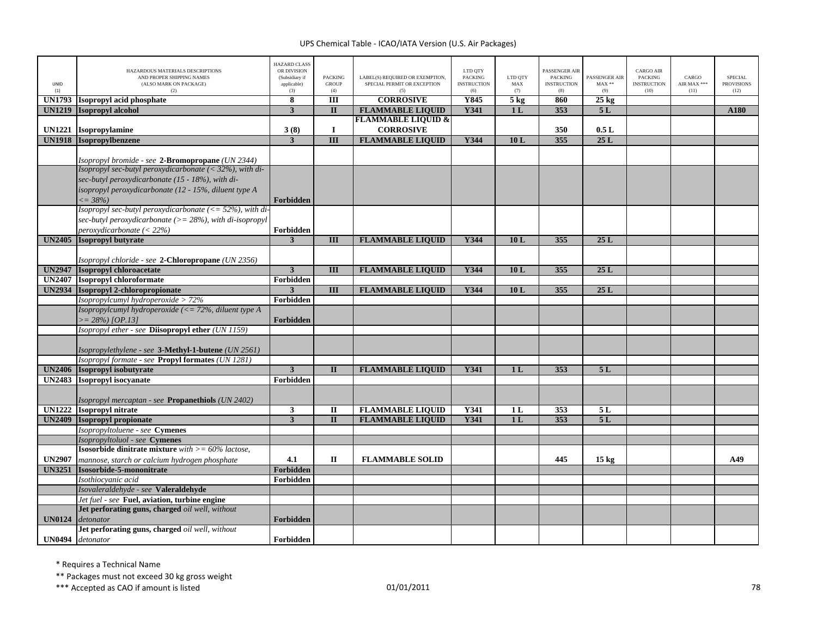| UNID<br>(1)   | HAZARDOUS MATERIALS DESCRIPTIONS<br>AND PROPER SHIPPING NAMES<br>(ALSO MARK ON PACKAGE)<br>(2) | <b>HAZARD CLASS</b><br>OR DIVISION<br>(Subsidiary if<br>applicable)<br>(3) | <b>PACKING</b><br><b>GROUP</b><br>(4) | LABEL(S) REQUIRED OR EXEMPTION,<br>SPECIAL PERMIT OR EXCEPTION<br>(5) | LTD QTY<br><b>PACKING</b><br><b>INSTRUCTION</b><br>(6) | LTD QTY<br>MAX<br>(7) | <b>PASSENGER AIR</b><br><b>PACKING</b><br><b>INSTRUCTION</b><br>(8) | PASSENGER AIR<br>$MAX**$<br>(9) | <b>CARGO AIR</b><br><b>PACKING</b><br><b>INSTRUCTION</b><br>(10) | CARGO<br>AIR MAX ***<br>(11) | <b>SPECIAL</b><br><b>PROVISIONS</b><br>(12) |
|---------------|------------------------------------------------------------------------------------------------|----------------------------------------------------------------------------|---------------------------------------|-----------------------------------------------------------------------|--------------------------------------------------------|-----------------------|---------------------------------------------------------------------|---------------------------------|------------------------------------------------------------------|------------------------------|---------------------------------------------|
| <b>UN1793</b> | Isopropyl acid phosphate                                                                       | 8                                                                          | III                                   | <b>CORROSIVE</b>                                                      | Y845                                                   | 5 <sub>kg</sub>       | 860                                                                 | $25 \text{ kg}$                 |                                                                  |                              |                                             |
| <b>UN1219</b> | <b>Isopropyl alcohol</b>                                                                       | $\overline{\mathbf{3}}$                                                    | $\mathbf{I}$                          | <b>FLAMMABLE LIQUID</b>                                               | <b>Y341</b>                                            | 1L                    | 353                                                                 | 5L                              |                                                                  |                              | A180                                        |
|               |                                                                                                |                                                                            |                                       | <b>FLAMMABLE LIQUID &amp;</b>                                         |                                                        |                       |                                                                     |                                 |                                                                  |                              |                                             |
| <b>UN1221</b> | Isopropylamine                                                                                 | 3(8)                                                                       | $\bf{I}$                              | <b>CORROSIVE</b>                                                      |                                                        |                       | 350                                                                 | 0.5L                            |                                                                  |                              |                                             |
|               | <b>UN1918</b> Isopropylbenzene                                                                 | 3                                                                          | $\overline{\mathbf{H}}$               | <b>FLAMMABLE LIQUID</b>                                               | <b>Y344</b>                                            | 10L                   | 355                                                                 | 25L                             |                                                                  |                              |                                             |
|               |                                                                                                |                                                                            |                                       |                                                                       |                                                        |                       |                                                                     |                                 |                                                                  |                              |                                             |
|               | Isopropyl bromide - see 2-Bromopropane (UN 2344)                                               |                                                                            |                                       |                                                                       |                                                        |                       |                                                                     |                                 |                                                                  |                              |                                             |
|               | Isopropyl sec-butyl peroxydicarbonate $(32\%), with di-$                                       |                                                                            |                                       |                                                                       |                                                        |                       |                                                                     |                                 |                                                                  |                              |                                             |
|               | sec-butyl peroxydicarbonate (15 - 18%), with di-                                               |                                                                            |                                       |                                                                       |                                                        |                       |                                                                     |                                 |                                                                  |                              |                                             |
|               | isopropyl peroxydicarbonate (12 - 15%, diluent type A                                          |                                                                            |                                       |                                                                       |                                                        |                       |                                                                     |                                 |                                                                  |                              |                                             |
|               | $\leq$ = 38%)                                                                                  | Forbidden                                                                  |                                       |                                                                       |                                                        |                       |                                                                     |                                 |                                                                  |                              |                                             |
|               | Isopropyl sec-butyl peroxydicarbonate ( $\langle = 52\%$ ), with di                            |                                                                            |                                       |                                                                       |                                                        |                       |                                                                     |                                 |                                                                  |                              |                                             |
|               | sec-butyl peroxydicarbonate ( $>= 28\%$ ), with di-isopropyl                                   |                                                                            |                                       |                                                                       |                                                        |                       |                                                                     |                                 |                                                                  |                              |                                             |
|               | $perox$ vdicarbonate (< 22%)                                                                   | Forbidden                                                                  |                                       |                                                                       |                                                        |                       |                                                                     |                                 |                                                                  |                              |                                             |
| <b>UN2405</b> | <b>Isopropyl butyrate</b>                                                                      | $\mathbf{3}$                                                               | III                                   | <b>FLAMMABLE LIQUID</b>                                               | Y344                                                   | 10L                   | 355                                                                 | 25L                             |                                                                  |                              |                                             |
|               |                                                                                                |                                                                            |                                       |                                                                       |                                                        |                       |                                                                     |                                 |                                                                  |                              |                                             |
|               | Isopropyl chloride - see 2-Chloropropane (UN 2356)                                             |                                                                            |                                       |                                                                       |                                                        |                       |                                                                     |                                 |                                                                  |                              |                                             |
| <b>UN2947</b> | Isopropyl chloroacetate                                                                        | $\mathbf{3}$                                                               | III                                   | <b>FLAMMABLE LIQUID</b>                                               | Y344                                                   | 10L                   | 355                                                                 | 25L                             |                                                                  |                              |                                             |
| <b>UN2407</b> | <b>Isopropyl chloroformate</b>                                                                 | Forbidden                                                                  |                                       |                                                                       |                                                        |                       |                                                                     |                                 |                                                                  |                              |                                             |
|               | UN2934 Isopropyl 2-chloropropionate                                                            | $\overline{\mathbf{3}}$                                                    | $\overline{III}$                      | <b>FLAMMABLE LIQUID</b>                                               | Y344                                                   | 10L                   | 355                                                                 | 25L                             |                                                                  |                              |                                             |
|               | Isopropylcumyl hydroperoxide > 72%                                                             | Forbidden                                                                  |                                       |                                                                       |                                                        |                       |                                                                     |                                 |                                                                  |                              |                                             |
|               | Isopropylcumyl hydroperoxide (<= $72\%$ , diluent type A                                       |                                                                            |                                       |                                                                       |                                                        |                       |                                                                     |                                 |                                                                  |                              |                                             |
|               | $>= 28\%$ ) [OP.13]                                                                            | <b>Forbidden</b>                                                           |                                       |                                                                       |                                                        |                       |                                                                     |                                 |                                                                  |                              |                                             |
|               | Isopropyl ether - see Diisopropyl ether (UN 1159)                                              |                                                                            |                                       |                                                                       |                                                        |                       |                                                                     |                                 |                                                                  |                              |                                             |
|               |                                                                                                |                                                                            |                                       |                                                                       |                                                        |                       |                                                                     |                                 |                                                                  |                              |                                             |
|               | Isopropylethylene - see 3-Methyl-1-butene (UN 2561)                                            |                                                                            |                                       |                                                                       |                                                        |                       |                                                                     |                                 |                                                                  |                              |                                             |
|               | Isopropyl formate - see Propyl formates (UN 1281)                                              |                                                                            |                                       |                                                                       |                                                        |                       |                                                                     |                                 |                                                                  |                              |                                             |
|               | UN2406 Isopropyl isobutyrate                                                                   | $\overline{\mathbf{3}}$                                                    | $\mathbf{I}$                          | <b>FLAMMABLE LIQUID</b>                                               | Y341                                                   | 1 <sub>L</sub>        | 353                                                                 | 5L                              |                                                                  |                              |                                             |
|               | UN2483 Isopropyl isocyanate                                                                    | Forbidden                                                                  |                                       |                                                                       |                                                        |                       |                                                                     |                                 |                                                                  |                              |                                             |
|               |                                                                                                |                                                                            |                                       |                                                                       |                                                        |                       |                                                                     |                                 |                                                                  |                              |                                             |
| <b>UN1222</b> | Isopropyl mercaptan - see Propanethiols (UN 2402)<br><b>Isopropyl nitrate</b>                  | 3                                                                          | $\mathbf{I}$                          | <b>FLAMMABLE LIQUID</b>                                               | Y341                                                   | 1 <sub>L</sub>        | 353                                                                 | 5L                              |                                                                  |                              |                                             |
| <b>UN2409</b> | <b>Isopropyl propionate</b>                                                                    | $\overline{3}$                                                             | $\Pi$                                 | <b>FLAMMABLE LIQUID</b>                                               | <b>Y341</b>                                            | 1L                    | 353                                                                 | 5L                              |                                                                  |                              |                                             |
|               | Isopropyltoluene - see Cymenes                                                                 |                                                                            |                                       |                                                                       |                                                        |                       |                                                                     |                                 |                                                                  |                              |                                             |
|               | Isopropyltoluol - see Cymenes                                                                  |                                                                            |                                       |                                                                       |                                                        |                       |                                                                     |                                 |                                                                  |                              |                                             |
|               | <b>Isosorbide dinitrate mixture</b> with $\geq 60\%$ lactose.                                  |                                                                            |                                       |                                                                       |                                                        |                       |                                                                     |                                 |                                                                  |                              |                                             |
| <b>UN2907</b> | mannose, starch or calcium hydrogen phosphate                                                  | 4.1                                                                        | $\mathbf{I}$                          | <b>FLAMMABLE SOLID</b>                                                |                                                        |                       | 445                                                                 | $15 \text{ kg}$                 |                                                                  |                              | A49                                         |
| <b>UN3251</b> | Isosorbide-5-mononitrate                                                                       | Forbidden                                                                  |                                       |                                                                       |                                                        |                       |                                                                     |                                 |                                                                  |                              |                                             |
|               | Isothiocyanic acid                                                                             | Forbidden                                                                  |                                       |                                                                       |                                                        |                       |                                                                     |                                 |                                                                  |                              |                                             |
|               | Isovaleraldehyde - see Valeraldehyde                                                           |                                                                            |                                       |                                                                       |                                                        |                       |                                                                     |                                 |                                                                  |                              |                                             |
|               | Jet fuel - see Fuel, aviation, turbine engine                                                  |                                                                            |                                       |                                                                       |                                                        |                       |                                                                     |                                 |                                                                  |                              |                                             |
|               | Jet perforating guns, charged oil well, without                                                |                                                                            |                                       |                                                                       |                                                        |                       |                                                                     |                                 |                                                                  |                              |                                             |
| <b>UN0124</b> | detonator                                                                                      | Forbidden                                                                  |                                       |                                                                       |                                                        |                       |                                                                     |                                 |                                                                  |                              |                                             |
|               | Jet perforating guns, charged oil well, without                                                |                                                                            |                                       |                                                                       |                                                        |                       |                                                                     |                                 |                                                                  |                              |                                             |
|               | UN0494 detonator                                                                               | Forbidden                                                                  |                                       |                                                                       |                                                        |                       |                                                                     |                                 |                                                                  |                              |                                             |

\* Requires <sup>a</sup> Technical Name

\*\* Packages must not exceed 30 kg gross weight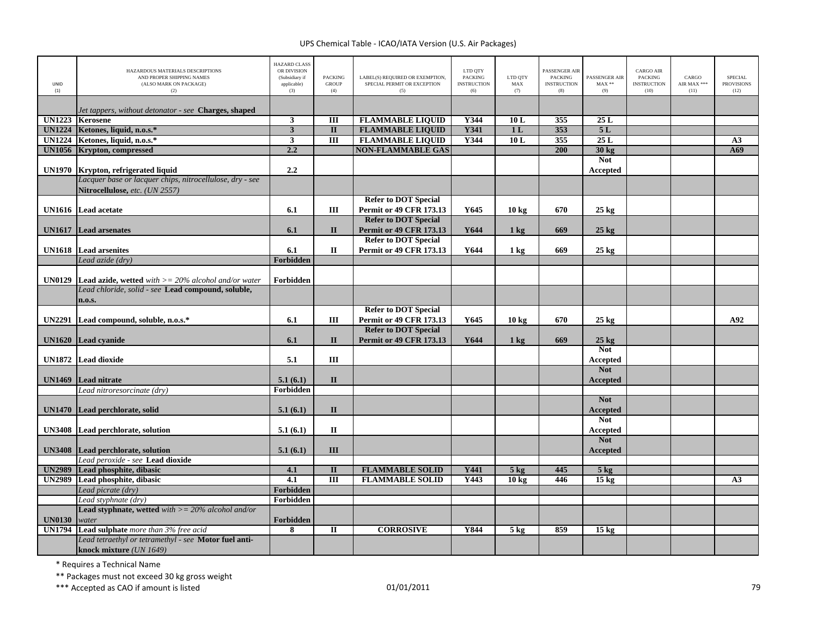| <b>HAZARD CLASS</b><br>OR DIVISION<br>LTD QTY<br>PASSENGER AIR<br>HAZARDOUS MATERIALS DESCRIPTIONS<br>LABEL(S) REQUIRED OR EXEMPTION,<br>LTD QTY<br>AND PROPER SHIPPING NAMES<br><b>PACKING</b><br><b>PACKING</b><br><b>PACKING</b><br>(Subsidiary if<br>SPECIAL PERMIT OR EXCEPTION<br><b>UNID</b><br>(ALSO MARK ON PACKAGE)<br>applicable)<br><b>GROUP</b><br><b>INSTRUCTION</b><br>MAX<br><b>INSTRUCTION</b> | <b>CARGO AIR</b><br>PASSENGER AIR<br><b>PACKING</b><br>$MAX**$<br><b>INSTRUCTION</b> | CARGO<br>AIR MAX *** | <b>SPECIAL</b><br><b>PROVISIONS</b> |
|-----------------------------------------------------------------------------------------------------------------------------------------------------------------------------------------------------------------------------------------------------------------------------------------------------------------------------------------------------------------------------------------------------------------|--------------------------------------------------------------------------------------|----------------------|-------------------------------------|
| (1)<br>(2)<br>(3)<br>(4)<br>(5)<br>(6)<br>(7)<br>(8)                                                                                                                                                                                                                                                                                                                                                            | (9)<br>(10)                                                                          | (11)                 | (12)                                |
| Jet tappers, without detonator - see <b>Charges, shaped</b>                                                                                                                                                                                                                                                                                                                                                     |                                                                                      |                      |                                     |
| <b>UN1223</b><br>$\mathbf{3}$<br>Ш<br><b>FLAMMABLE LIQUID</b><br>Y344<br>10L<br>355<br><b>Kerosene</b>                                                                                                                                                                                                                                                                                                          | 25L                                                                                  |                      |                                     |
| $\overline{\mathbf{3}}$<br><b>FLAMMABLE LIQUID</b><br><b>Y341</b><br>353<br><b>UN1224</b><br>Ketones, liquid, n.o.s.*<br>$\mathbf{I}$<br>1 <sub>L</sub>                                                                                                                                                                                                                                                         | 5L                                                                                   |                      |                                     |
| <b>FLAMMABLE LIQUID</b><br><b>UN1224</b><br>Ketones, liquid, n.o.s.*<br>$\overline{\mathbf{3}}$<br>$\overline{m}$<br>Y344<br>10L<br>355                                                                                                                                                                                                                                                                         | 25L                                                                                  |                      | A3                                  |
| 2.2<br>200<br><b>UN1056</b><br><b>Krypton, compressed</b><br><b>NON-FLAMMABLE GAS</b>                                                                                                                                                                                                                                                                                                                           | 30 kg                                                                                |                      | A69                                 |
|                                                                                                                                                                                                                                                                                                                                                                                                                 | <b>Not</b>                                                                           |                      |                                     |
| 2.2<br><b>UN1970</b><br>Krypton, refrigerated liquid                                                                                                                                                                                                                                                                                                                                                            | Accepted                                                                             |                      |                                     |
| Lacquer base or lacquer chips, nitrocellulose, dry - see                                                                                                                                                                                                                                                                                                                                                        |                                                                                      |                      |                                     |
| Nitrocellulose, etc. (UN 2557)                                                                                                                                                                                                                                                                                                                                                                                  |                                                                                      |                      |                                     |
| <b>Refer to DOT Special</b>                                                                                                                                                                                                                                                                                                                                                                                     |                                                                                      |                      |                                     |
| 6.1<br>Ш<br>Permit or 49 CFR 173.13<br>Y645<br>670<br>UN1616 Lead acetate<br>10 <sub>kg</sub>                                                                                                                                                                                                                                                                                                                   | $25 \text{ kg}$                                                                      |                      |                                     |
| <b>Refer to DOT Special</b>                                                                                                                                                                                                                                                                                                                                                                                     |                                                                                      |                      |                                     |
| $\mathbf{I}$<br>Permit or 49 CFR 173.13<br>6.1<br>Y644<br>669<br><b>UN1617</b><br><b>Lead arsenates</b><br>$1 \text{ kg}$<br><b>Refer to DOT Special</b>                                                                                                                                                                                                                                                        | $25 \text{ kg}$                                                                      |                      |                                     |
| 6.1<br>$\mathbf H$<br><b>Permit or 49 CFR 173.13</b><br>Y644<br>669<br><b>UN1618</b> Lead arsenites<br>$1 \text{ kg}$                                                                                                                                                                                                                                                                                           | $25 \text{ kg}$                                                                      |                      |                                     |
| Forbidden<br>Lead azide (dry)                                                                                                                                                                                                                                                                                                                                                                                   |                                                                                      |                      |                                     |
|                                                                                                                                                                                                                                                                                                                                                                                                                 |                                                                                      |                      |                                     |
| Forbidden<br><b>UN0129</b><br><b>Lead azide, wetted</b> with $>= 20\%$ alcohol and/or water                                                                                                                                                                                                                                                                                                                     |                                                                                      |                      |                                     |
| Lead chloride, solid - see Lead compound, soluble,                                                                                                                                                                                                                                                                                                                                                              |                                                                                      |                      |                                     |
| n.o.s.                                                                                                                                                                                                                                                                                                                                                                                                          |                                                                                      |                      |                                     |
| <b>Refer to DOT Special</b>                                                                                                                                                                                                                                                                                                                                                                                     |                                                                                      |                      |                                     |
| Ш<br><b>Permit or 49 CFR 173.13</b><br>Y645<br>670<br>UN2291 Lead compound, soluble, n.o.s.*<br>6.1<br>10 <sub>kg</sub>                                                                                                                                                                                                                                                                                         | $25 \text{ kg}$                                                                      |                      | A92                                 |
| <b>Refer to DOT Special</b>                                                                                                                                                                                                                                                                                                                                                                                     |                                                                                      |                      |                                     |
| <b>Permit or 49 CFR 173.13</b><br>UN1620 Lead cyanide<br>6.1<br>$\mathbf{I}$<br>Y644<br>669<br>$1 \text{ kg}$                                                                                                                                                                                                                                                                                                   | $25$ kg                                                                              |                      |                                     |
|                                                                                                                                                                                                                                                                                                                                                                                                                 | <b>Not</b>                                                                           |                      |                                     |
| UN1872 Lead dioxide<br>Ш<br>5.1                                                                                                                                                                                                                                                                                                                                                                                 | Accepted<br><b>Not</b>                                                               |                      |                                     |
| <b>UN1469</b><br>Lead nitrate<br>5.1(6.1)<br>$\mathbf{I}$                                                                                                                                                                                                                                                                                                                                                       | Accepted                                                                             |                      |                                     |
| Forbidden<br>Lead nitroresorcinate (dry)                                                                                                                                                                                                                                                                                                                                                                        |                                                                                      |                      |                                     |
|                                                                                                                                                                                                                                                                                                                                                                                                                 | <b>Not</b>                                                                           |                      |                                     |
| $\mathbf{I}$<br>UN1470 Lead perchlorate, solid<br>5.1(6.1)                                                                                                                                                                                                                                                                                                                                                      | <b>Accepted</b>                                                                      |                      |                                     |
|                                                                                                                                                                                                                                                                                                                                                                                                                 | <b>Not</b>                                                                           |                      |                                     |
| $\mathbf{I}$<br>UN3408 Lead perchlorate, solution<br>5.1(6.1)                                                                                                                                                                                                                                                                                                                                                   | Accepted                                                                             |                      |                                     |
|                                                                                                                                                                                                                                                                                                                                                                                                                 | <b>Not</b>                                                                           |                      |                                     |
| III<br><b>UN3408</b> Lead perchlorate, solution<br>5.1(6.1)                                                                                                                                                                                                                                                                                                                                                     | Accepted                                                                             |                      |                                     |
| Lead peroxide - see Lead dioxide                                                                                                                                                                                                                                                                                                                                                                                |                                                                                      |                      |                                     |
| 445<br><b>UN2989</b><br>Lead phosphite, dibasic<br>4.1<br>$\mathbf{I}$<br><b>FLAMMABLE SOLID</b><br>Y441<br>$5$ kg                                                                                                                                                                                                                                                                                              | $5$ kg                                                                               |                      |                                     |
| 4.1<br>$\overline{III}$<br><b>UN2989</b><br>Lead phosphite, dibasic<br><b>FLAMMABLE SOLID</b><br>Y443<br>10 <sub>kg</sub><br>446                                                                                                                                                                                                                                                                                | $15 \text{ kg}$                                                                      |                      | A3                                  |
| Forbidden<br>Lead picrate (dry)                                                                                                                                                                                                                                                                                                                                                                                 |                                                                                      |                      |                                     |
| Forbidden<br>Lead styphnate (dry)                                                                                                                                                                                                                                                                                                                                                                               |                                                                                      |                      |                                     |
| <b>Lead styphnate, wetted</b> with $>= 20\%$ alcohol and/or                                                                                                                                                                                                                                                                                                                                                     |                                                                                      |                      |                                     |
| <b>UN0130</b><br>Forbidden<br>water<br><b>UN1794</b><br><b>CORROSIVE</b><br>859<br>8<br>$\Pi$<br>Y844                                                                                                                                                                                                                                                                                                           |                                                                                      |                      |                                     |
| Lead sulphate more than 3% free acid<br>5 <sub>kg</sub><br>Lead tetraethyl or tetramethyl - see Motor fuel anti-                                                                                                                                                                                                                                                                                                | 15 <sub>kg</sub>                                                                     |                      |                                     |
|                                                                                                                                                                                                                                                                                                                                                                                                                 |                                                                                      |                      |                                     |

\* Requires <sup>a</sup> Technical Name

\*\* Packages must not exceed 30 kg gross weight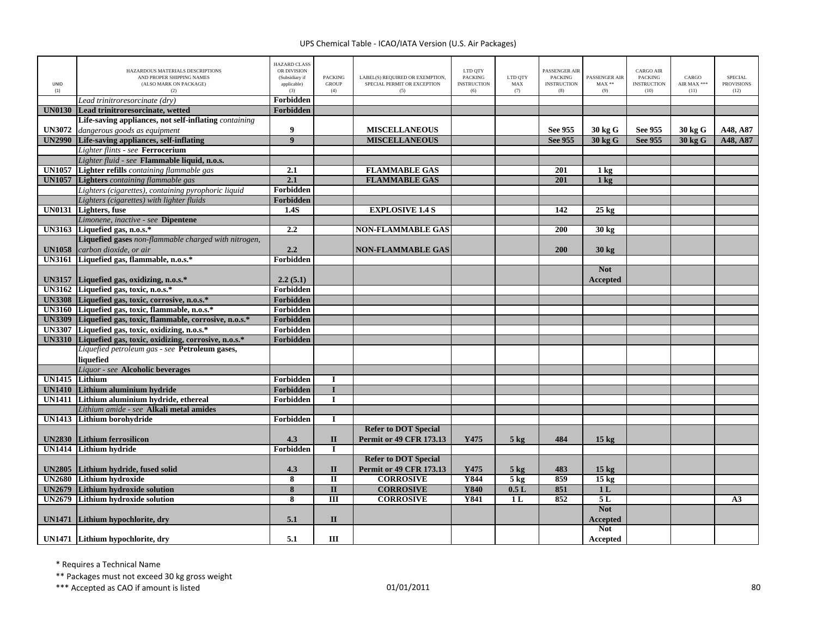| UNID<br>(1)   | HAZARDOUS MATERIALS DESCRIPTIONS<br>AND PROPER SHIPPING NAMES<br>(ALSO MARK ON PACKAGE)<br>(2) | <b>HAZARD CLASS</b><br>OR DIVISION<br>(Subsidiary if<br>applicable)<br>(3) | <b>PACKING</b><br><b>GROUP</b><br>(4) | LABEL(S) REQUIRED OR EXEMPTION,<br>SPECIAL PERMIT OR EXCEPTION<br>(5) | LTD QTY<br><b>PACKING</b><br><b>INSTRUCTION</b><br>(6) | LTD QTY<br>MAX<br>(7) | PASSENGER AIR<br><b>PACKING</b><br><b>INSTRUCTION</b><br>(8) | PASSENGER AIR<br>$MAX**$<br>(9) | <b>CARGO AIR</b><br><b>PACKING</b><br><b>INSTRUCTION</b><br>(10) | CARGO<br>AIR MAX ***<br>(11) | <b>SPECIAL</b><br><b>PROVISIONS</b><br>(12) |
|---------------|------------------------------------------------------------------------------------------------|----------------------------------------------------------------------------|---------------------------------------|-----------------------------------------------------------------------|--------------------------------------------------------|-----------------------|--------------------------------------------------------------|---------------------------------|------------------------------------------------------------------|------------------------------|---------------------------------------------|
|               | Lead trinitroresorcinate (dry)                                                                 | Forbidden                                                                  |                                       |                                                                       |                                                        |                       |                                                              |                                 |                                                                  |                              |                                             |
| <b>UN0130</b> | Lead trinitroresorcinate, wetted                                                               | Forbidden                                                                  |                                       |                                                                       |                                                        |                       |                                                              |                                 |                                                                  |                              |                                             |
|               | Life-saving appliances, not self-inflating <i>containing</i>                                   |                                                                            |                                       |                                                                       |                                                        |                       |                                                              |                                 |                                                                  |                              |                                             |
| <b>UN3072</b> | dangerous goods as equipment                                                                   | 9                                                                          |                                       | <b>MISCELLANEOUS</b>                                                  |                                                        |                       | See 955                                                      | 30 kg G                         | See 955                                                          | 30 kg G                      | A48, A87                                    |
|               | <b>UN2990</b> Life-saving appliances, self-inflating                                           | $\overline{9}$                                                             |                                       | <b>MISCELLANEOUS</b>                                                  |                                                        |                       | See 955                                                      | 30 kg G                         | See 955                                                          | 30 kg G                      | A48, A87                                    |
|               | Lighter flints - see Ferrocerium                                                               |                                                                            |                                       |                                                                       |                                                        |                       |                                                              |                                 |                                                                  |                              |                                             |
|               | Lighter fluid - see Flammable liquid, n.o.s.                                                   |                                                                            |                                       |                                                                       |                                                        |                       |                                                              |                                 |                                                                  |                              |                                             |
| <b>UN1057</b> | Lighter refills containing flammable gas                                                       | 2.1                                                                        |                                       | <b>FLAMMABLE GAS</b>                                                  |                                                        |                       | 201                                                          | $1 \text{ kg}$                  |                                                                  |                              |                                             |
|               | <b>UN1057</b> Lighters containing flammable gas                                                | 2.1                                                                        |                                       | <b>FLAMMABLE GAS</b>                                                  |                                                        |                       | 201                                                          | 1 <sub>kg</sub>                 |                                                                  |                              |                                             |
|               | Lighters (cigarettes), containing pyrophoric liquid                                            | Forbidden                                                                  |                                       |                                                                       |                                                        |                       |                                                              |                                 |                                                                  |                              |                                             |
|               | Lighters (cigarettes) with lighter fluids                                                      | Forbidden                                                                  |                                       |                                                                       |                                                        |                       |                                                              |                                 |                                                                  |                              |                                             |
| <b>UN0131</b> | <b>Lighters</b> , fuse                                                                         | 1.4S                                                                       |                                       | <b>EXPLOSIVE 1.4 S</b>                                                |                                                        |                       | 142                                                          | $25 \text{ kg}$                 |                                                                  |                              |                                             |
|               | Limonene, inactive - see Dipentene                                                             |                                                                            |                                       |                                                                       |                                                        |                       |                                                              |                                 |                                                                  |                              |                                             |
|               | UN3163 Liquefied gas, n.o.s. $*$                                                               | 2.2                                                                        |                                       | <b>NON-FLAMMABLE GAS</b>                                              |                                                        |                       | 200                                                          | 30 kg                           |                                                                  |                              |                                             |
|               | Liquefied gases non-flammable charged with nitrogen,                                           |                                                                            |                                       |                                                                       |                                                        |                       |                                                              |                                 |                                                                  |                              |                                             |
| <b>UN1058</b> | carbon dioxide, or air                                                                         | 2.2                                                                        |                                       | <b>NON-FLAMMABLE GAS</b>                                              |                                                        |                       | 200                                                          | $30 \text{ kg}$                 |                                                                  |                              |                                             |
| <b>UN3161</b> | Liquefied gas, flammable, n.o.s.*                                                              | Forbidden                                                                  |                                       |                                                                       |                                                        |                       |                                                              |                                 |                                                                  |                              |                                             |
|               |                                                                                                |                                                                            |                                       |                                                                       |                                                        |                       |                                                              | <b>Not</b>                      |                                                                  |                              |                                             |
|               | UN3157 Liquefied gas, oxidizing, n.o.s.*                                                       | 2.2(5.1)                                                                   |                                       |                                                                       |                                                        |                       |                                                              | Accepted                        |                                                                  |                              |                                             |
|               | UN3162 Liquefied gas, toxic, n.o.s.*                                                           | Forbidden                                                                  |                                       |                                                                       |                                                        |                       |                                                              |                                 |                                                                  |                              |                                             |
|               | UN3308 Liquefied gas, toxic, corrosive, n.o.s.*                                                | Forbidden                                                                  |                                       |                                                                       |                                                        |                       |                                                              |                                 |                                                                  |                              |                                             |
|               | UN3160 Liquefied gas, toxic, flammable, n.o.s.*                                                | Forbidden                                                                  |                                       |                                                                       |                                                        |                       |                                                              |                                 |                                                                  |                              |                                             |
|               | UN3309 Liquefied gas, toxic, flammable, corrosive, n.o.s.*                                     | Forbidden                                                                  |                                       |                                                                       |                                                        |                       |                                                              |                                 |                                                                  |                              |                                             |
|               | UN3307 Liquefied gas, toxic, oxidizing, n.o.s.*                                                | Forbidden                                                                  |                                       |                                                                       |                                                        |                       |                                                              |                                 |                                                                  |                              |                                             |
|               | UN3310 Liquefied gas, toxic, oxidizing, corrosive, n.o.s.*                                     | Forbidden                                                                  |                                       |                                                                       |                                                        |                       |                                                              |                                 |                                                                  |                              |                                             |
|               | Liquefied petroleum gas - see Petroleum gases,                                                 |                                                                            |                                       |                                                                       |                                                        |                       |                                                              |                                 |                                                                  |                              |                                             |
|               | liquefied                                                                                      |                                                                            |                                       |                                                                       |                                                        |                       |                                                              |                                 |                                                                  |                              |                                             |
|               | Liquor - see Alcoholic beverages                                                               |                                                                            |                                       |                                                                       |                                                        |                       |                                                              |                                 |                                                                  |                              |                                             |
| <b>UN1415</b> | Lithium                                                                                        | Forbidden                                                                  | I                                     |                                                                       |                                                        |                       |                                                              |                                 |                                                                  |                              |                                             |
| <b>UN1410</b> | Lithium aluminium hydride                                                                      | Forbidden                                                                  | T                                     |                                                                       |                                                        |                       |                                                              |                                 |                                                                  |                              |                                             |
|               | UN1411 Lithium aluminium hydride, ethereal                                                     | Forbidden                                                                  | $\mathbf I$                           |                                                                       |                                                        |                       |                                                              |                                 |                                                                  |                              |                                             |
|               | Lithium amide - see Alkali metal amides                                                        |                                                                            |                                       |                                                                       |                                                        |                       |                                                              |                                 |                                                                  |                              |                                             |
|               | <b>UN1413</b> Lithium borohydride                                                              | Forbidden                                                                  | $\mathbf I$                           |                                                                       |                                                        |                       |                                                              |                                 |                                                                  |                              |                                             |
|               |                                                                                                |                                                                            |                                       | <b>Refer to DOT Special</b>                                           |                                                        |                       |                                                              |                                 |                                                                  |                              |                                             |
| <b>UN2830</b> | Lithium ferrosilicon                                                                           | 4.3                                                                        | $\mathbf{I}$                          | <b>Permit or 49 CFR 173.13</b>                                        | Y475                                                   | $5 \text{ kg}$        | 484                                                          | 15 <sub>kg</sub>                |                                                                  |                              |                                             |
| <b>UN1414</b> | <b>Lithium hydride</b>                                                                         | Forbidden                                                                  | $\mathbf I$                           |                                                                       |                                                        |                       |                                                              |                                 |                                                                  |                              |                                             |
|               |                                                                                                |                                                                            |                                       | <b>Refer to DOT Special</b>                                           |                                                        |                       |                                                              |                                 |                                                                  |                              |                                             |
|               | UN2805 Lithium hydride, fused solid                                                            | 4.3                                                                        | $\mathbf{I}$                          | <b>Permit or 49 CFR 173.13</b>                                        | Y475                                                   | $5 \text{ kg}$        | 483                                                          | 15 <sub>kg</sub>                |                                                                  |                              |                                             |
| <b>UN2680</b> | Lithium hydroxide                                                                              | 8                                                                          | $\overline{\mathbf{u}}$               | <b>CORROSIVE</b>                                                      | <b>Y844</b>                                            | $5$ kg                | 859                                                          | $15 \text{ kg}$                 |                                                                  |                              |                                             |
| <b>UN2679</b> | <b>Lithium hydroxide solution</b>                                                              | $\overline{\mathbf{8}}$                                                    | $\overline{\mathbf{u}}$               | <b>CORROSIVE</b>                                                      | <b>Y840</b>                                            | 0.5L                  | 851                                                          | 1 <sub>L</sub>                  |                                                                  |                              |                                             |
| <b>UN2679</b> | <b>Lithium hydroxide solution</b>                                                              | $\overline{\mathbf{8}}$                                                    | $\overline{III}$                      | <b>CORROSIVE</b>                                                      | <b>Y841</b>                                            | 1L                    | 852                                                          | 5L                              |                                                                  |                              | A3                                          |
|               |                                                                                                |                                                                            |                                       |                                                                       |                                                        |                       |                                                              | <b>Not</b>                      |                                                                  |                              |                                             |
| <b>UN1471</b> | Lithium hypochlorite, dry                                                                      | 5.1                                                                        | $\mathbf{I}$                          |                                                                       |                                                        |                       |                                                              | Accepted                        |                                                                  |                              |                                             |
|               |                                                                                                |                                                                            |                                       |                                                                       |                                                        |                       |                                                              | <b>Not</b>                      |                                                                  |                              |                                             |
|               | UN1471 Lithium hypochlorite, dry                                                               | 5.1                                                                        | III                                   |                                                                       |                                                        |                       |                                                              | Accepted                        |                                                                  |                              |                                             |

\* Requires <sup>a</sup> Technical Name

\*\* Packages must not exceed 30 kg gross weight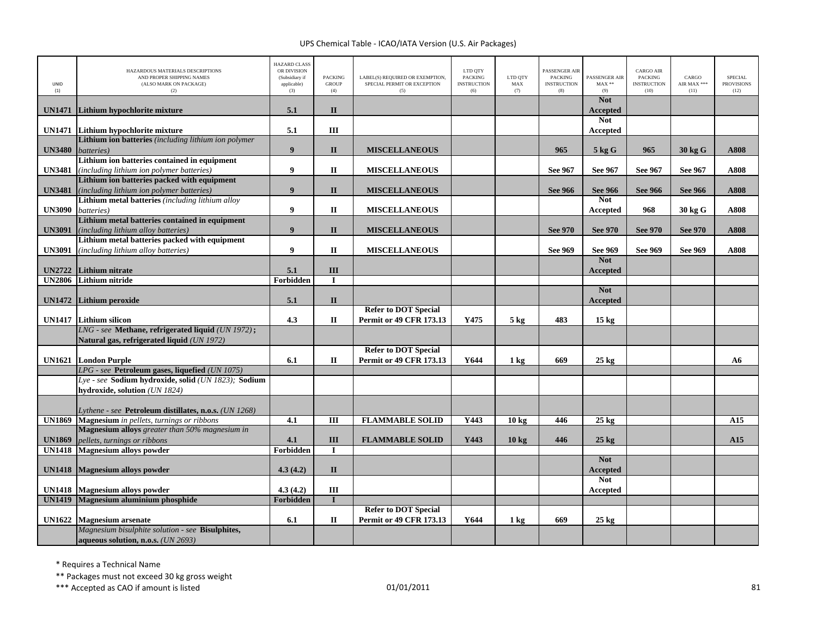| UNID<br>(1)                    | HAZARDOUS MATERIALS DESCRIPTIONS<br>AND PROPER SHIPPING NAMES<br>(ALSO MARK ON PACKAGE)<br>(2)        | <b>HAZARD CLASS</b><br>OR DIVISION<br>(Subsidiary if<br>applicable)<br>(3) | <b>PACKING</b><br><b>GROUP</b><br>(4) | LABEL(S) REQUIRED OR EXEMPTION,<br>SPECIAL PERMIT OR EXCEPTION<br>(5) | LTD QTY<br><b>PACKING</b><br><b>INSTRUCTION</b><br>(6) | LTD OTY<br>MAX<br>(7) | PASSENGER AIR<br><b>PACKING</b><br><b>INSTRUCTION</b><br>(8) | PASSENGER AIR<br>$MAX**$<br>(9) | <b>CARGO AIR</b><br>PACKING<br><b>INSTRUCTION</b><br>(10) | CARGO<br>AIR MAX ***<br>(11) | <b>SPECIAL</b><br><b>PROVISIONS</b><br>(12) |
|--------------------------------|-------------------------------------------------------------------------------------------------------|----------------------------------------------------------------------------|---------------------------------------|-----------------------------------------------------------------------|--------------------------------------------------------|-----------------------|--------------------------------------------------------------|---------------------------------|-----------------------------------------------------------|------------------------------|---------------------------------------------|
| <b>UN1471</b>                  | Lithium hypochlorite mixture                                                                          | 5.1                                                                        | $\mathbf{I}$                          |                                                                       |                                                        |                       |                                                              | <b>Not</b><br><b>Accepted</b>   |                                                           |                              |                                             |
|                                | UN1471 Lithium hypochlorite mixture                                                                   | 5.1                                                                        | Ш                                     |                                                                       |                                                        |                       |                                                              | <b>Not</b><br><b>Accepted</b>   |                                                           |                              |                                             |
| <b>UN3480</b>                  | Lithium ion batteries (including lithium ion polymer<br>batteries)                                    | 9                                                                          | $\mathbf{I}$                          | <b>MISCELLANEOUS</b>                                                  |                                                        |                       | 965                                                          | 5 kg G                          | 965                                                       | 30 kg G                      | A808                                        |
|                                | Lithium ion batteries contained in equipment                                                          |                                                                            |                                       |                                                                       |                                                        |                       |                                                              |                                 |                                                           |                              |                                             |
| <b>UN3481</b>                  | (including lithium ion polymer batteries)                                                             | 9                                                                          | П                                     | <b>MISCELLANEOUS</b>                                                  |                                                        |                       | See 967                                                      | See 967                         | See 967                                                   | See 967                      | A808                                        |
|                                | Lithium ion batteries packed with equipment                                                           |                                                                            |                                       |                                                                       |                                                        |                       |                                                              |                                 |                                                           |                              |                                             |
| <b>UN3481</b>                  | (including lithium ion polymer batteries)                                                             | 9                                                                          | $\mathbf{I}$                          | <b>MISCELLANEOUS</b>                                                  |                                                        |                       | <b>See 966</b>                                               | <b>See 966</b>                  | <b>See 966</b>                                            | <b>See 966</b>               | A808                                        |
| <b>UN3090</b>                  | Lithium metal batteries (including lithium alloy<br>batteries)                                        | 9                                                                          | П                                     | <b>MISCELLANEOUS</b>                                                  |                                                        |                       |                                                              | <b>Not</b><br>Accepted          | 968                                                       | 30 kg G                      | A808                                        |
|                                | Lithium metal batteries contained in equipment                                                        |                                                                            |                                       |                                                                       |                                                        |                       |                                                              |                                 |                                                           |                              |                                             |
| <b>UN3091</b>                  | (including lithium alloy batteries)                                                                   | 9                                                                          | $\mathbf{I}$                          | <b>MISCELLANEOUS</b>                                                  |                                                        |                       | <b>See 970</b>                                               | <b>See 970</b>                  | <b>See 970</b>                                            | <b>See 970</b>               | A808                                        |
|                                | Lithium metal batteries packed with equipment                                                         |                                                                            |                                       |                                                                       |                                                        |                       |                                                              |                                 |                                                           |                              |                                             |
| <b>UN3091</b>                  | <i>(including lithium alloy batteries)</i>                                                            | 9                                                                          | $\mathbf{I}$                          | <b>MISCELLANEOUS</b>                                                  |                                                        |                       | See 969                                                      | See 969                         | See 969                                                   | See 969                      | A808                                        |
| <b>UN2722</b>                  | Lithium nitrate                                                                                       | 5.1                                                                        | III                                   |                                                                       |                                                        |                       |                                                              | <b>Not</b><br>Accepted          |                                                           |                              |                                             |
| <b>UN2806</b>                  | <b>Lithium nitride</b>                                                                                | Forbidden                                                                  | $\mathbf{I}$                          |                                                                       |                                                        |                       |                                                              |                                 |                                                           |                              |                                             |
|                                |                                                                                                       |                                                                            |                                       |                                                                       |                                                        |                       |                                                              | <b>Not</b>                      |                                                           |                              |                                             |
|                                | UN1472 Lithium peroxide                                                                               | 5.1                                                                        | $\mathbf{I}$                          |                                                                       |                                                        |                       |                                                              | Accepted                        |                                                           |                              |                                             |
|                                |                                                                                                       |                                                                            |                                       | <b>Refer to DOT Special</b>                                           |                                                        |                       |                                                              |                                 |                                                           |                              |                                             |
| <b>UN1417</b>                  | <b>Lithium silicon</b><br>LNG - see Methane, refrigerated liquid (UN 1972);                           | 4.3                                                                        | П                                     | <b>Permit or 49 CFR 173.13</b>                                        | Y475                                                   | $5 \text{ kg}$        | 483                                                          | 15 <sub>kg</sub>                |                                                           |                              |                                             |
|                                | Natural gas, refrigerated liquid (UN 1972)                                                            |                                                                            |                                       |                                                                       |                                                        |                       |                                                              |                                 |                                                           |                              |                                             |
|                                |                                                                                                       |                                                                            |                                       | <b>Refer to DOT Special</b>                                           |                                                        |                       |                                                              |                                 |                                                           |                              |                                             |
|                                | <b>UN1621</b> London Purple                                                                           | 6.1                                                                        | $\mathbf{I}$                          | <b>Permit or 49 CFR 173.13</b>                                        | Y644                                                   | 1 <sub>kg</sub>       | 669                                                          | $25$ kg                         |                                                           |                              | A6                                          |
|                                | LPG - see Petroleum gases, liquefied (UN 1075)<br>Lye - see Sodium hydroxide, solid (UN 1823); Sodium |                                                                            |                                       |                                                                       |                                                        |                       |                                                              |                                 |                                                           |                              |                                             |
|                                | hydroxide, solution (UN 1824)                                                                         |                                                                            |                                       |                                                                       |                                                        |                       |                                                              |                                 |                                                           |                              |                                             |
|                                |                                                                                                       |                                                                            |                                       |                                                                       |                                                        |                       |                                                              |                                 |                                                           |                              |                                             |
|                                | Lythene - see Petroleum distillates, n.o.s. (UN 1268)                                                 |                                                                            |                                       |                                                                       |                                                        |                       |                                                              |                                 |                                                           |                              |                                             |
| <b>UN1869</b>                  | <b>Magnesium</b> in pellets, turnings or ribbons                                                      | 4.1                                                                        | Ш                                     | <b>FLAMMABLE SOLID</b>                                                | Y443                                                   | 10 <sub>kg</sub>      | 446                                                          | $25 \text{ kg}$                 |                                                           |                              | A15                                         |
| <b>UN1869</b>                  | Magnesium alloys greater than 50% magnesium in<br>pellets, turnings or ribbons                        | 4.1                                                                        | III                                   | <b>FLAMMABLE SOLID</b>                                                | Y443                                                   | $10 \text{ kg}$       | 446                                                          | $25 \text{ kg}$                 |                                                           |                              | A15                                         |
| <b>UN1418</b>                  | <b>Magnesium alloys powder</b>                                                                        | Forbidden                                                                  | $\mathbf I$                           |                                                                       |                                                        |                       |                                                              |                                 |                                                           |                              |                                             |
|                                |                                                                                                       |                                                                            |                                       |                                                                       |                                                        |                       |                                                              | <b>Not</b>                      |                                                           |                              |                                             |
|                                | UN1418 Magnesium alloys powder                                                                        | 4.3(4.2)                                                                   | $\mathbf{I}$                          |                                                                       |                                                        |                       |                                                              | <b>Accepted</b>                 |                                                           |                              |                                             |
|                                |                                                                                                       |                                                                            |                                       |                                                                       |                                                        |                       |                                                              | <b>Not</b>                      |                                                           |                              |                                             |
| <b>UN1418</b><br><b>UN1419</b> | <b>Magnesium alloys powder</b><br>Magnesium aluminium phosphide                                       | 4.3(4.2)<br>Forbidden                                                      | III<br>$\mathbf{I}$                   |                                                                       |                                                        |                       |                                                              | Accepted                        |                                                           |                              |                                             |
|                                |                                                                                                       |                                                                            |                                       | <b>Refer to DOT Special</b>                                           |                                                        |                       |                                                              |                                 |                                                           |                              |                                             |
| <b>UN1622</b>                  | <b>Magnesium</b> arsenate                                                                             | 6.1                                                                        | $\Pi$                                 | <b>Permit or 49 CFR 173.13</b>                                        | Y644                                                   | $1 \text{ kg}$        | 669                                                          | $25 \text{ kg}$                 |                                                           |                              |                                             |
|                                | Magnesium bisulphite solution - see Bisulphites,                                                      |                                                                            |                                       |                                                                       |                                                        |                       |                                                              |                                 |                                                           |                              |                                             |
|                                | aqueous solution, n.o.s. (UN 2693)                                                                    |                                                                            |                                       |                                                                       |                                                        |                       |                                                              |                                 |                                                           |                              |                                             |

\* Requires <sup>a</sup> Technical Name

\*\* Packages must not exceed 30 kg gross weight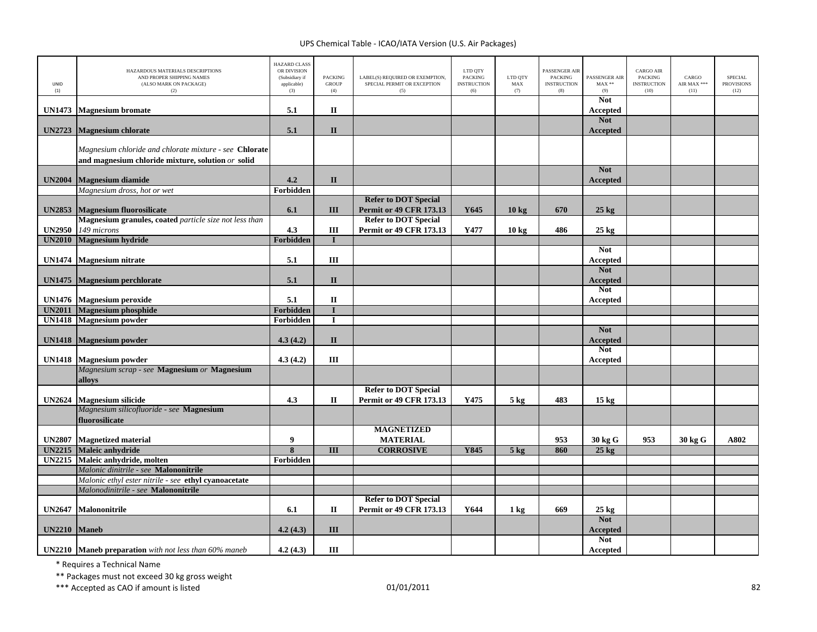| UNID<br>(1)                    | HAZARDOUS MATERIALS DESCRIPTIONS<br>AND PROPER SHIPPING NAMES<br>(ALSO MARK ON PACKAGE)<br>(2)              | <b>HAZARD CLASS</b><br>OR DIVISION<br>(Subsidiary if<br>applicable)<br>(3) | <b>PACKING</b><br><b>GROUP</b><br>(4) | LABEL(S) REQUIRED OR EXEMPTION,<br>SPECIAL PERMIT OR EXCEPTION<br>(5) | LTD QTY<br><b>PACKING</b><br><b>INSTRUCTION</b><br>(6) | LTD QTY<br>MAX<br>(7) | PASSENGER AIR<br><b>PACKING</b><br><b>INSTRUCTION</b><br>(8) | PASSENGER AIR<br>$\text{MAX}$ **<br>(9) | <b>CARGO AIR</b><br><b>PACKING</b><br><b>INSTRUCTION</b><br>(10) | CARGO<br>AIR MAX ***<br>(11) | <b>SPECIAL</b><br><b>PROVISIONS</b><br>(12) |
|--------------------------------|-------------------------------------------------------------------------------------------------------------|----------------------------------------------------------------------------|---------------------------------------|-----------------------------------------------------------------------|--------------------------------------------------------|-----------------------|--------------------------------------------------------------|-----------------------------------------|------------------------------------------------------------------|------------------------------|---------------------------------------------|
| <b>UN1473</b>                  | <b>Magnesium</b> bromate                                                                                    | 5.1                                                                        | $\mathbf{I}$                          |                                                                       |                                                        |                       |                                                              | <b>Not</b><br>Accepted                  |                                                                  |                              |                                             |
|                                |                                                                                                             | 5.1                                                                        | $\mathbf{I}$                          |                                                                       |                                                        |                       |                                                              | <b>Not</b>                              |                                                                  |                              |                                             |
| <b>UN2723</b>                  | <b>Magnesium chlorate</b>                                                                                   |                                                                            |                                       |                                                                       |                                                        |                       |                                                              | Accepted                                |                                                                  |                              |                                             |
|                                | Magnesium chloride and chlorate mixture - see Chlorate<br>and magnesium chloride mixture, solution or solid |                                                                            |                                       |                                                                       |                                                        |                       |                                                              |                                         |                                                                  |                              |                                             |
| <b>UN2004</b>                  | <b>Magnesium diamide</b>                                                                                    | 4.2                                                                        | $\mathbf{I}$                          |                                                                       |                                                        |                       |                                                              | <b>Not</b><br>Accepted                  |                                                                  |                              |                                             |
|                                | Magnesium dross, hot or wet                                                                                 | Forbidden                                                                  |                                       |                                                                       |                                                        |                       |                                                              |                                         |                                                                  |                              |                                             |
| <b>UN2853</b>                  | <b>Magnesium fluorosilicate</b>                                                                             | 6.1                                                                        | III                                   | <b>Refer to DOT Special</b><br><b>Permit or 49 CFR 173.13</b>         | Y645                                                   | $10 \text{ kg}$       | 670                                                          | $25$ kg                                 |                                                                  |                              |                                             |
|                                | Magnesium granules, coated particle size not less than                                                      |                                                                            |                                       | <b>Refer to DOT Special</b>                                           |                                                        |                       |                                                              |                                         |                                                                  |                              |                                             |
| <b>UN2950</b>                  | 149 microns                                                                                                 | 4.3                                                                        | Ш                                     | <b>Permit or 49 CFR 173.13</b>                                        | Y477                                                   | 10 <sub>kg</sub>      | 486                                                          | $25 \text{ kg}$                         |                                                                  |                              |                                             |
| <b>UN2010</b>                  | <b>Magnesium hydride</b>                                                                                    | Forbidden                                                                  | $\mathbf{I}$                          |                                                                       |                                                        |                       |                                                              |                                         |                                                                  |                              |                                             |
|                                |                                                                                                             |                                                                            |                                       |                                                                       |                                                        |                       |                                                              | <b>Not</b>                              |                                                                  |                              |                                             |
| <b>UN1474</b>                  | <b>Magnesium nitrate</b>                                                                                    | 5.1                                                                        | Ш                                     |                                                                       |                                                        |                       |                                                              | Accepted                                |                                                                  |                              |                                             |
| <b>UN1475</b>                  | Magnesium perchlorate                                                                                       | 5.1                                                                        | $\mathbf{I}$                          |                                                                       |                                                        |                       |                                                              | <b>Not</b><br>Accepted                  |                                                                  |                              |                                             |
|                                |                                                                                                             |                                                                            |                                       |                                                                       |                                                        |                       |                                                              | <b>Not</b>                              |                                                                  |                              |                                             |
| <b>UN1476</b>                  | <b>Magnesium peroxide</b>                                                                                   | 5.1                                                                        | $\mathbf{I}\mathbf{I}$                |                                                                       |                                                        |                       |                                                              | Accepted                                |                                                                  |                              |                                             |
| <b>UN2011</b><br><b>UN1418</b> | <b>Magnesium</b> phosphide<br><b>Magnesium</b> powder                                                       | Forbidden<br>Forbidden                                                     | $\mathbf I$                           |                                                                       |                                                        |                       |                                                              |                                         |                                                                  |                              |                                             |
|                                |                                                                                                             |                                                                            |                                       |                                                                       |                                                        |                       |                                                              | <b>Not</b>                              |                                                                  |                              |                                             |
| <b>UN1418</b>                  | <b>Magnesium</b> powder                                                                                     | 4.3(4.2)                                                                   | $\mathbf{I}$                          |                                                                       |                                                        |                       |                                                              | Accepted                                |                                                                  |                              |                                             |
|                                |                                                                                                             |                                                                            |                                       |                                                                       |                                                        |                       |                                                              | <b>Not</b>                              |                                                                  |                              |                                             |
| <b>UN1418</b>                  | <b>Magnesium</b> powder                                                                                     | 4.3(4.2)                                                                   | Ш                                     |                                                                       |                                                        |                       |                                                              | Accepted                                |                                                                  |                              |                                             |
|                                | Magnesium scrap - see Magnesium or Magnesium                                                                |                                                                            |                                       |                                                                       |                                                        |                       |                                                              |                                         |                                                                  |                              |                                             |
|                                | alloys                                                                                                      |                                                                            |                                       |                                                                       |                                                        |                       |                                                              |                                         |                                                                  |                              |                                             |
|                                |                                                                                                             |                                                                            |                                       | <b>Refer to DOT Special</b>                                           |                                                        |                       |                                                              |                                         |                                                                  |                              |                                             |
| <b>UN2624</b>                  | <b>Magnesium silicide</b><br>Magnesium silicofluoride - see <b>Magnesium</b>                                | 4.3                                                                        | П                                     | <b>Permit or 49 CFR 173.13</b>                                        | Y475                                                   | $5 \text{ kg}$        | 483                                                          | $15 \text{ kg}$                         |                                                                  |                              |                                             |
|                                | fluorosilicate                                                                                              |                                                                            |                                       |                                                                       |                                                        |                       |                                                              |                                         |                                                                  |                              |                                             |
|                                |                                                                                                             |                                                                            |                                       | <b>MAGNETIZED</b>                                                     |                                                        |                       |                                                              |                                         |                                                                  |                              |                                             |
| <b>UN2807</b>                  | <b>Magnetized material</b>                                                                                  | 9                                                                          |                                       | <b>MATERIAL</b>                                                       |                                                        |                       | 953                                                          | 30 kg G                                 | 953                                                              | 30 kg G                      | A802                                        |
| <b>UN2215</b>                  | Maleic anhydride                                                                                            | $\overline{\mathbf{8}}$                                                    | $\overline{III}$                      | <b>CORROSIVE</b>                                                      | Y845                                                   | $5$ kg                | 860                                                          | $25$ kg                                 |                                                                  |                              |                                             |
| <b>UN2215</b>                  | Maleic anhydride, molten                                                                                    | Forbidden                                                                  |                                       |                                                                       |                                                        |                       |                                                              |                                         |                                                                  |                              |                                             |
|                                | Malonic dinitrile - see Malononitrile                                                                       |                                                                            |                                       |                                                                       |                                                        |                       |                                                              |                                         |                                                                  |                              |                                             |
|                                | Malonic ethyl ester nitrile - see ethyl cyanoacetate                                                        |                                                                            |                                       |                                                                       |                                                        |                       |                                                              |                                         |                                                                  |                              |                                             |
|                                | Malonodinitrile - see Malononitrile                                                                         |                                                                            |                                       |                                                                       |                                                        |                       |                                                              |                                         |                                                                  |                              |                                             |
| <b>UN2647</b>                  | Malononitrile                                                                                               | 6.1                                                                        | $\mathbf{I}$                          | <b>Refer to DOT Special</b><br><b>Permit or 49 CFR 173.13</b>         | Y644                                                   | $1 \text{ kg}$        | 669                                                          | $25 \text{ kg}$                         |                                                                  |                              |                                             |
| <b>UN2210</b>                  | <b>Maneb</b>                                                                                                | 4.2(4.3)                                                                   | Ш                                     |                                                                       |                                                        |                       |                                                              | <b>Not</b><br><b>Accepted</b>           |                                                                  |                              |                                             |
|                                |                                                                                                             |                                                                            |                                       |                                                                       |                                                        |                       |                                                              | <b>Not</b>                              |                                                                  |                              |                                             |
|                                | <b>UN2210</b> Maneb preparation with not less than 60% maneb                                                | 4.2(4.3)                                                                   | III                                   |                                                                       |                                                        |                       |                                                              | Accepted                                |                                                                  |                              |                                             |

\* Requires <sup>a</sup> Technical Name

\*\* Packages must not exceed 30 kg gross weight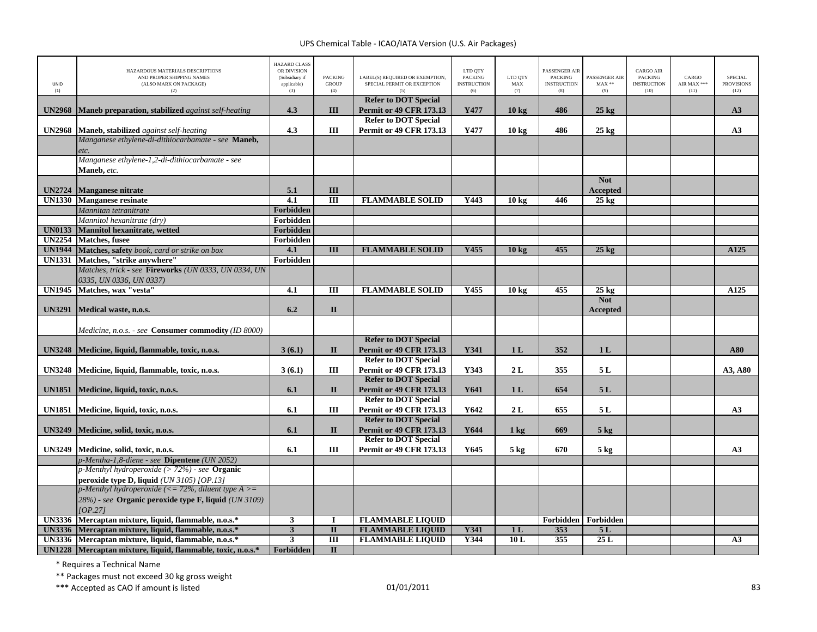| UNID<br>(1)   | HAZARDOUS MATERIALS DESCRIPTIONS<br>AND PROPER SHIPPING NAMES<br>(ALSO MARK ON PACKAGE)<br>(2) | <b>HAZARD CLASS</b><br>OR DIVISION<br>(Subsidiary if<br>applicable)<br>(3) | <b>PACKING</b><br><b>GROUP</b><br>(4) | LABEL(S) REQUIRED OR EXEMPTION,<br>SPECIAL PERMIT OR EXCEPTION<br>(5) | LTD QTY<br><b>PACKING</b><br><b>INSTRUCTION</b><br>(6) | LTD QTY<br>${\rm MAX}$<br>(7) | PASSENGER AIR<br><b>PACKING</b><br><b>INSTRUCTION</b><br>(8) | PASSENGER AIR<br>$MAX**$<br>(9) | <b>CARGO AIR</b><br>PACKING<br><b>INSTRUCTION</b><br>(10) | CARGO<br>AIR MAX ***<br>(11) | <b>SPECIAL</b><br><b>PROVISIONS</b><br>(12) |
|---------------|------------------------------------------------------------------------------------------------|----------------------------------------------------------------------------|---------------------------------------|-----------------------------------------------------------------------|--------------------------------------------------------|-------------------------------|--------------------------------------------------------------|---------------------------------|-----------------------------------------------------------|------------------------------|---------------------------------------------|
| <b>UN2968</b> | Maneb preparation, stabilized against self-heating                                             | 4.3                                                                        | III                                   | <b>Refer to DOT Special</b><br><b>Permit or 49 CFR 173.13</b>         | Y477                                                   | 10 <sub>kg</sub>              | 486                                                          | $25$ kg                         |                                                           |                              | A3                                          |
|               |                                                                                                |                                                                            |                                       | <b>Refer to DOT Special</b>                                           |                                                        |                               |                                                              |                                 |                                                           |                              |                                             |
| <b>UN2968</b> | <b>Maneb, stabilized</b> against self-heating                                                  | 4.3                                                                        | III                                   | <b>Permit or 49 CFR 173.13</b>                                        | Y477                                                   | 10 <sub>kg</sub>              | 486                                                          | $25 \text{ kg}$                 |                                                           |                              | A3                                          |
|               | Manganese ethylene-di-dithiocarbamate - see Maneb,                                             |                                                                            |                                       |                                                                       |                                                        |                               |                                                              |                                 |                                                           |                              |                                             |
|               | etc.                                                                                           |                                                                            |                                       |                                                                       |                                                        |                               |                                                              |                                 |                                                           |                              |                                             |
|               | Manganese ethylene-1,2-di-dithiocarbamate - see                                                |                                                                            |                                       |                                                                       |                                                        |                               |                                                              |                                 |                                                           |                              |                                             |
|               | Maneb, etc.                                                                                    |                                                                            |                                       |                                                                       |                                                        |                               |                                                              | <b>Not</b>                      |                                                           |                              |                                             |
| <b>UN2724</b> | <b>Manganese nitrate</b>                                                                       | 5.1                                                                        | Ш                                     |                                                                       |                                                        |                               |                                                              | <b>Accepted</b>                 |                                                           |                              |                                             |
| <b>UN1330</b> | <b>Manganese resinate</b>                                                                      | 4.1                                                                        | $\overline{III}$                      | <b>FLAMMABLE SOLID</b>                                                | Y443                                                   | 10 <sub>kg</sub>              | 446                                                          | $25 \text{ kg}$                 |                                                           |                              |                                             |
|               | Mannitan tetranitrate                                                                          | Forbidden                                                                  |                                       |                                                                       |                                                        |                               |                                                              |                                 |                                                           |                              |                                             |
|               | Mannitol hexanitrate (dry)                                                                     | Forbidden                                                                  |                                       |                                                                       |                                                        |                               |                                                              |                                 |                                                           |                              |                                             |
| <b>UN0133</b> | Mannitol hexanitrate, wetted                                                                   | Forbidden                                                                  |                                       |                                                                       |                                                        |                               |                                                              |                                 |                                                           |                              |                                             |
| <b>UN2254</b> | <b>Matches</b> , fusee                                                                         | Forbidden                                                                  |                                       |                                                                       |                                                        |                               |                                                              |                                 |                                                           |                              |                                             |
| <b>UN1944</b> | Matches, safety book, card or strike on box                                                    | 4.1                                                                        | $\overline{\mathbf{H}}$               | <b>FLAMMABLE SOLID</b>                                                | Y455                                                   | 10 <sub>kg</sub>              | 455                                                          | $25 \text{ kg}$                 |                                                           |                              | $\overline{A125}$                           |
| <b>UN1331</b> | Matches, "strike anywhere"                                                                     | Forbidden                                                                  |                                       |                                                                       |                                                        |                               |                                                              |                                 |                                                           |                              |                                             |
|               | Matches, trick - see Fireworks (UN 0333, UN 0334, UN                                           |                                                                            |                                       |                                                                       |                                                        |                               |                                                              |                                 |                                                           |                              |                                             |
|               | 0335, UN 0336, UN 0337)                                                                        |                                                                            |                                       |                                                                       |                                                        |                               |                                                              |                                 |                                                           |                              |                                             |
| <b>UN1945</b> | Matches, wax "vesta"                                                                           | $\overline{4.1}$                                                           | $\overline{III}$                      | <b>FLAMMABLE SOLID</b>                                                | Y455                                                   | 10 <sub>kg</sub>              | 455                                                          | $25 \text{ kg}$                 |                                                           |                              | $\overline{A125}$                           |
| <b>UN3291</b> | Medical waste, n.o.s.                                                                          | 6.2                                                                        | $\Pi$                                 |                                                                       |                                                        |                               |                                                              | <b>Not</b>                      |                                                           |                              |                                             |
|               |                                                                                                |                                                                            |                                       |                                                                       |                                                        |                               |                                                              | Accepted                        |                                                           |                              |                                             |
|               | Medicine, n.o.s. - see <b>Consumer commodity</b> (ID 8000)                                     |                                                                            |                                       |                                                                       |                                                        |                               |                                                              |                                 |                                                           |                              |                                             |
|               |                                                                                                |                                                                            |                                       | <b>Refer to DOT Special</b>                                           |                                                        |                               |                                                              |                                 |                                                           |                              |                                             |
| <b>UN3248</b> | Medicine, liquid, flammable, toxic, n.o.s.                                                     | 3(6.1)                                                                     | $\Pi$                                 | <b>Permit or 49 CFR 173.13</b>                                        | Y341                                                   | 1 <sub>L</sub>                | 352                                                          | 1L                              |                                                           |                              | A80                                         |
|               |                                                                                                |                                                                            |                                       | <b>Refer to DOT Special</b>                                           |                                                        |                               |                                                              |                                 |                                                           |                              |                                             |
| <b>UN3248</b> | Medicine, liquid, flammable, toxic, n.o.s.                                                     | 3(6.1)                                                                     | Ш                                     | <b>Permit or 49 CFR 173.13</b>                                        | Y343                                                   | 2L                            | 355                                                          | 5 L                             |                                                           |                              | A3, A80                                     |
|               |                                                                                                |                                                                            |                                       | <b>Refer to DOT Special</b>                                           |                                                        |                               |                                                              |                                 |                                                           |                              |                                             |
| <b>UN1851</b> | Medicine, liquid, toxic, n.o.s.                                                                | 6.1                                                                        | $\mathbf{I}$                          | <b>Permit or 49 CFR 173.13</b>                                        | Y641                                                   | 1L                            | 654                                                          | 5L                              |                                                           |                              |                                             |
|               |                                                                                                |                                                                            |                                       | <b>Refer to DOT Special</b>                                           |                                                        |                               |                                                              |                                 |                                                           |                              |                                             |
|               | UN1851 Medicine, liquid, toxic, n.o.s.                                                         | 6.1                                                                        | Ш                                     | <b>Permit or 49 CFR 173.13</b>                                        | Y642                                                   | 2L                            | 655                                                          | 5L                              |                                                           |                              | A <sub>3</sub>                              |
| <b>UN3249</b> | Medicine, solid, toxic, n.o.s.                                                                 | 6.1                                                                        | $\mathbf{I}$                          | <b>Refer to DOT Special</b><br><b>Permit or 49 CFR 173.13</b>         | Y644                                                   |                               | 669                                                          | $5 \text{ kg}$                  |                                                           |                              |                                             |
|               |                                                                                                |                                                                            |                                       | <b>Refer to DOT Special</b>                                           |                                                        | $1 \text{ kg}$                |                                                              |                                 |                                                           |                              |                                             |
| <b>UN3249</b> | Medicine, solid, toxic, n.o.s.                                                                 | 6.1                                                                        | Ш                                     | <b>Permit or 49 CFR 173.13</b>                                        | Y645                                                   | $5 \text{ kg}$                | 670                                                          | $5 \text{ kg}$                  |                                                           |                              | A3                                          |
|               | p-Mentha-1,8-diene - see Dipentene (UN 2052)                                                   |                                                                            |                                       |                                                                       |                                                        |                               |                                                              |                                 |                                                           |                              |                                             |
|               | $p$ -Menthyl hydroperoxide (> 72%) - see <b>Organic</b>                                        |                                                                            |                                       |                                                                       |                                                        |                               |                                                              |                                 |                                                           |                              |                                             |
|               | peroxide type D, liquid (UN 3105) [OP.13]                                                      |                                                                            |                                       |                                                                       |                                                        |                               |                                                              |                                 |                                                           |                              |                                             |
|               | p-Menthyl hydroperoxide (<= 72%, diluent type $A \geq$                                         |                                                                            |                                       |                                                                       |                                                        |                               |                                                              |                                 |                                                           |                              |                                             |
|               | 28%) - see Organic peroxide type F, liquid (UN 3109)                                           |                                                                            |                                       |                                                                       |                                                        |                               |                                                              |                                 |                                                           |                              |                                             |
|               | [OP.27]                                                                                        |                                                                            |                                       |                                                                       |                                                        |                               |                                                              |                                 |                                                           |                              |                                             |
|               | UN3336 Mercaptan mixture, liquid, flammable, n.o.s.*                                           | $\mathbf{3}$                                                               | $\bf{I}$                              | <b>FLAMMABLE LIQUID</b>                                               |                                                        |                               | Forbidden                                                    | Forbidden                       |                                                           |                              |                                             |
|               | UN3336 Mercaptan mixture, liquid, flammable, n.o.s.*                                           | $\mathbf{3}$                                                               | $\mathbf{I}$                          | <b>FLAMMABLE LIQUID</b>                                               | Y341                                                   | 1 <sub>L</sub>                | 353                                                          | 5L                              |                                                           |                              |                                             |
|               | UN3336 Mercaptan mixture, liquid, flammable, n.o.s.*                                           | 3                                                                          | $\overline{III}$                      | <b>FLAMMABLE LIQUID</b>                                               | Y344                                                   | 10L                           | 355                                                          | 25L                             |                                                           |                              | A3                                          |
|               | UN1228 Mercaptan mixture, liquid, flammable, toxic, n.o.s.*                                    | Forbidden                                                                  | $\mathbf{I}$                          |                                                                       |                                                        |                               |                                                              |                                 |                                                           |                              |                                             |

\* Requires <sup>a</sup> Technical Name

\*\* Packages must not exceed 30 kg gross weight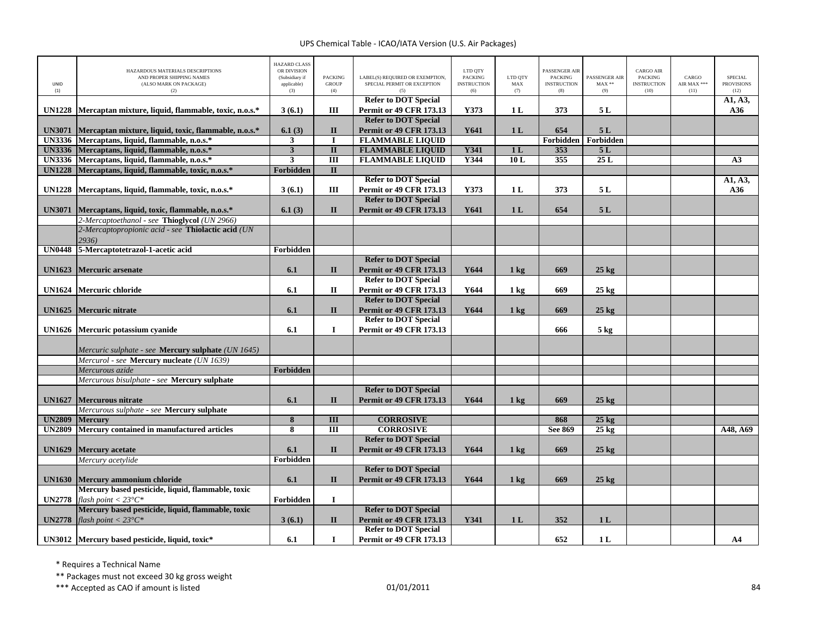| UNID          | HAZARDOUS MATERIALS DESCRIPTIONS<br>AND PROPER SHIPPING NAMES<br>(ALSO MARK ON PACKAGE)               | <b>HAZARD CLASS</b><br>OR DIVISION<br>(Subsidiary if<br>applicable) | <b>PACKING</b><br><b>GROUP</b> | LABEL(S) REQUIRED OR EXEMPTION.<br>SPECIAL PERMIT OR EXCEPTION | LTD QTY<br><b>PACKING</b><br><b>INSTRUCTION</b> | LTD QTY<br>MAX | PASSENGER AIR<br><b>PACKING</b><br><b>INSTRUCTION</b> | <b>PASSENGER AIR</b><br>$MAX**$ | CARGO AIR<br><b>PACKING</b><br><b>INSTRUCTION</b> | CARGO<br>AIR MAX *** | <b>SPECIAL</b><br><b>PROVISIONS</b> |
|---------------|-------------------------------------------------------------------------------------------------------|---------------------------------------------------------------------|--------------------------------|----------------------------------------------------------------|-------------------------------------------------|----------------|-------------------------------------------------------|---------------------------------|---------------------------------------------------|----------------------|-------------------------------------|
| (1)           | (2)                                                                                                   | (3)                                                                 | (4)                            |                                                                | (6)                                             | (7)            | (8)                                                   | (9)                             | (10)                                              | (11)                 | (12)                                |
|               |                                                                                                       |                                                                     |                                | <b>Refer to DOT Special</b>                                    |                                                 |                |                                                       |                                 |                                                   |                      | A1, A3,                             |
| <b>UN1228</b> | Mercaptan mixture, liquid, flammable, toxic, n.o.s.*                                                  | 3(6.1)                                                              | Ш                              | <b>Permit or 49 CFR 173.13</b>                                 | Y373                                            | 1 <sub>L</sub> | 373                                                   | 5 L                             |                                                   |                      | A36                                 |
|               |                                                                                                       |                                                                     |                                | <b>Refer to DOT Special</b>                                    |                                                 |                |                                                       |                                 |                                                   |                      |                                     |
| <b>UN3071</b> | Mercaptan mixture, liquid, toxic, flammable, n.o.s.*<br>UN3336 Mercaptans, liquid, flammable, n.o.s.* | 6.1(3)<br>3                                                         | $\mathbf{I}$                   | <b>Permit or 49 CFR 173.13</b><br><b>FLAMMABLE LIQUID</b>      | Y641                                            | 1 <sub>L</sub> | 654<br>Forbidden                                      | 5L<br>Forbidden                 |                                                   |                      |                                     |
| <b>UN3336</b> | Mercaptans, liquid, flammable, n.o.s.*                                                                | $\overline{3}$                                                      | $\overline{\mathbf{u}}$        | <b>FLAMMABLE LIQUID</b>                                        | <b>Y341</b>                                     | 1L             | 353                                                   | 5L                              |                                                   |                      |                                     |
|               | UN3336 Mercaptans, liquid, flammable, n.o.s.*                                                         | $\mathbf{3}$                                                        | Ш                              | <b>FLAMMABLE LIQUID</b>                                        | Y344                                            | 10L            | 355                                                   | 25L                             |                                                   |                      | A3                                  |
| <b>UN1228</b> | Mercaptans, liquid, flammable, toxic, n.o.s.*                                                         | <b>Forbidden</b>                                                    | $\mathbf{I}$                   |                                                                |                                                 |                |                                                       |                                 |                                                   |                      |                                     |
|               |                                                                                                       |                                                                     |                                | <b>Refer to DOT Special</b>                                    |                                                 |                |                                                       |                                 |                                                   |                      | A1, A3,                             |
| <b>UN1228</b> | Mercaptans, liquid, flammable, toxic, n.o.s.*                                                         | 3(6.1)                                                              | Ш                              | <b>Permit or 49 CFR 173.13</b>                                 | Y373                                            | 1 <sub>L</sub> | 373                                                   | 5L                              |                                                   |                      | A36                                 |
|               |                                                                                                       |                                                                     |                                | <b>Refer to DOT Special</b>                                    |                                                 |                |                                                       |                                 |                                                   |                      |                                     |
| <b>UN3071</b> | Mercaptans, liquid, toxic, flammable, n.o.s.*                                                         | 6.1(3)                                                              | $\mathbf{I}$                   | <b>Permit or 49 CFR 173.13</b>                                 | Y641                                            | 1 <sub>L</sub> | 654                                                   | 5L                              |                                                   |                      |                                     |
|               | 2-Mercaptoethanol - see Thioglycol (UN 2966)                                                          |                                                                     |                                |                                                                |                                                 |                |                                                       |                                 |                                                   |                      |                                     |
|               | 2-Mercaptopropionic acid - see Thiolactic acid (UN                                                    |                                                                     |                                |                                                                |                                                 |                |                                                       |                                 |                                                   |                      |                                     |
|               | 2936)                                                                                                 |                                                                     |                                |                                                                |                                                 |                |                                                       |                                 |                                                   |                      |                                     |
| <b>UN0448</b> | 5-Mercaptotetrazol-1-acetic acid                                                                      | Forbidden                                                           |                                |                                                                |                                                 |                |                                                       |                                 |                                                   |                      |                                     |
|               |                                                                                                       |                                                                     |                                | <b>Refer to DOT Special</b>                                    |                                                 |                |                                                       |                                 |                                                   |                      |                                     |
| <b>UN1623</b> | <b>Mercuric</b> arsenate                                                                              | 6.1                                                                 | $\mathbf{I}$                   | <b>Permit or 49 CFR 173.13</b>                                 | Y644                                            | $1 \text{ kg}$ | 669                                                   | $25 \text{ kg}$                 |                                                   |                      |                                     |
|               |                                                                                                       |                                                                     |                                | <b>Refer to DOT Special</b>                                    |                                                 |                |                                                       |                                 |                                                   |                      |                                     |
|               | UN1624 Mercuric chloride                                                                              | 6.1                                                                 | $\mathbf{I}$                   | <b>Permit or 49 CFR 173.13</b>                                 | Y644                                            | $1 \text{ kg}$ | 669                                                   | $25 \text{ kg}$                 |                                                   |                      |                                     |
|               |                                                                                                       |                                                                     |                                | <b>Refer to DOT Special</b>                                    |                                                 |                |                                                       |                                 |                                                   |                      |                                     |
| <b>UN1625</b> | Mercuric nitrate                                                                                      | 6.1                                                                 | $\mathbf{I}$                   | <b>Permit or 49 CFR 173.13</b>                                 | Y644                                            | $1 \text{ kg}$ | 669                                                   | $25 \text{ kg}$                 |                                                   |                      |                                     |
|               |                                                                                                       |                                                                     |                                | <b>Refer to DOT Special</b>                                    |                                                 |                |                                                       |                                 |                                                   |                      |                                     |
| <b>UN1626</b> | Mercuric potassium cyanide                                                                            | 6.1                                                                 | $\mathbf I$                    | <b>Permit or 49 CFR 173.13</b>                                 |                                                 |                | 666                                                   | $5 \text{ kg}$                  |                                                   |                      |                                     |
|               |                                                                                                       |                                                                     |                                |                                                                |                                                 |                |                                                       |                                 |                                                   |                      |                                     |
|               | Mercuric sulphate - see <b>Mercury sulphate</b> (UN 1645)                                             |                                                                     |                                |                                                                |                                                 |                |                                                       |                                 |                                                   |                      |                                     |
|               | Mercurol - see Mercury nucleate (UN 1639)                                                             |                                                                     |                                |                                                                |                                                 |                |                                                       |                                 |                                                   |                      |                                     |
|               | Mercurous azide                                                                                       | <b>Forbidden</b>                                                    |                                |                                                                |                                                 |                |                                                       |                                 |                                                   |                      |                                     |
|               | Mercurous bisulphate - see Mercury sulphate                                                           |                                                                     |                                |                                                                |                                                 |                |                                                       |                                 |                                                   |                      |                                     |
|               |                                                                                                       |                                                                     |                                | <b>Refer to DOT Special</b>                                    |                                                 |                |                                                       |                                 |                                                   |                      |                                     |
| <b>UN1627</b> | <b>Mercurous nitrate</b>                                                                              | 6.1                                                                 | $\mathbf{I}$                   | <b>Permit or 49 CFR 173.13</b>                                 | Y644                                            | $1 \text{ kg}$ | 669                                                   | $25 \text{ kg}$                 |                                                   |                      |                                     |
|               | Mercurous sulphate - see Mercury sulphate                                                             |                                                                     |                                |                                                                |                                                 |                |                                                       |                                 |                                                   |                      |                                     |
| <b>UN2809</b> | <b>Mercury</b>                                                                                        | $\overline{\mathbf{8}}$                                             | III                            | <b>CORROSIVE</b>                                               |                                                 |                | 868                                                   | $25$ kg                         |                                                   |                      |                                     |
| <b>UN2809</b> | Mercury contained in manufactured articles                                                            | 8                                                                   | $\overline{III}$               | <b>CORROSIVE</b>                                               |                                                 |                | See 869                                               | $25 \text{ kg}$                 |                                                   |                      | A48, A69                            |
|               |                                                                                                       |                                                                     |                                | <b>Refer to DOT Special</b>                                    |                                                 |                |                                                       |                                 |                                                   |                      |                                     |
| <b>UN1629</b> | <b>Mercury</b> acetate                                                                                | 6.1                                                                 | $\mathbf{I}$                   | <b>Permit or 49 CFR 173.13</b>                                 | Y644                                            | $1 \text{ kg}$ | 669                                                   | $25$ kg                         |                                                   |                      |                                     |
|               | Mercury acetylide                                                                                     | Forbidden                                                           |                                |                                                                |                                                 |                |                                                       |                                 |                                                   |                      |                                     |
|               |                                                                                                       |                                                                     |                                | <b>Refer to DOT Special</b>                                    |                                                 |                |                                                       |                                 |                                                   |                      |                                     |
| <b>UN1630</b> | Mercury ammonium chloride                                                                             | 6.1                                                                 | $\mathbf{I}$                   | <b>Permit or 49 CFR 173.13</b>                                 | Y644                                            | $1 \text{ kg}$ | 669                                                   | $25 \text{ kg}$                 |                                                   |                      |                                     |
|               | Mercury based pesticide, liquid, flammable, toxic                                                     |                                                                     |                                |                                                                |                                                 |                |                                                       |                                 |                                                   |                      |                                     |
| <b>UN2778</b> | flash point $<$ 23°C*                                                                                 | Forbidden                                                           | $\mathbf I$                    |                                                                |                                                 |                |                                                       |                                 |                                                   |                      |                                     |
|               | Mercury based pesticide, liquid, flammable, toxic                                                     |                                                                     |                                | <b>Refer to DOT Special</b><br><b>Permit or 49 CFR 173.13</b>  | Y341                                            |                |                                                       |                                 |                                                   |                      |                                     |
| <b>UN2778</b> | flash point $<$ 23°C*                                                                                 | 3(6.1)                                                              | $\mathbf{I}$                   | <b>Refer to DOT Special</b>                                    |                                                 | 1 <sub>L</sub> | 352                                                   | 1 <sub>L</sub>                  |                                                   |                      |                                     |
|               |                                                                                                       | 6.1                                                                 | $\bf{I}$                       | <b>Permit or 49 CFR 173.13</b>                                 |                                                 |                | 652                                                   | 1 <sub>L</sub>                  |                                                   |                      | A <sub>4</sub>                      |
|               | UN3012 Mercury based pesticide, liquid, toxic*                                                        |                                                                     |                                |                                                                |                                                 |                |                                                       |                                 |                                                   |                      |                                     |

\* Requires <sup>a</sup> Technical Name

\*\* Packages must not exceed 30 kg gross weight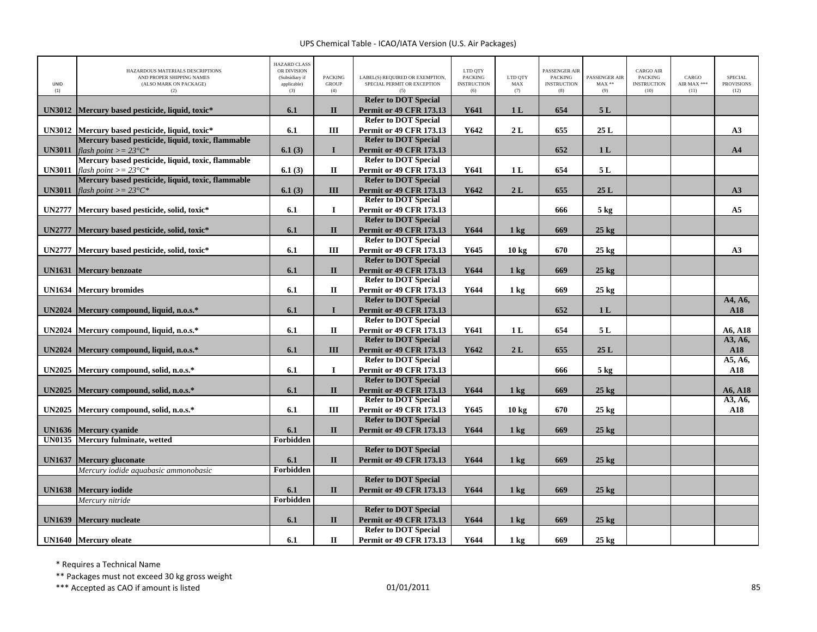| UNID<br>(1)   | HAZARDOUS MATERIALS DESCRIPTIONS<br>AND PROPER SHIPPING NAMES<br>(ALSO MARK ON PACKAGE)<br>(2) | <b>HAZARD CLASS</b><br>OR DIVISION<br>(Subsidiary if<br>applicable)<br>(3) | <b>PACKING</b><br><b>GROUP</b><br>(4) | LABEL(S) REQUIRED OR EXEMPTION,<br>SPECIAL PERMIT OR EXCEPTION | LTD QTY<br><b>PACKING</b><br><b>INSTRUCTION</b><br>(6) | LTD QTY<br>MAX<br>(7) | PASSENGER AIR<br><b>PACKING</b><br><b>INSTRUCTION</b><br>(8) | PASSENGER AIR<br>$MAX**$<br>(9) | <b>CARGO AIR</b><br><b>PACKING</b><br><b>INSTRUCTION</b><br>(10) | CARGO<br>AIR MAX ***<br>(11) | <b>SPECIAL</b><br><b>PROVISIONS</b><br>(12) |
|---------------|------------------------------------------------------------------------------------------------|----------------------------------------------------------------------------|---------------------------------------|----------------------------------------------------------------|--------------------------------------------------------|-----------------------|--------------------------------------------------------------|---------------------------------|------------------------------------------------------------------|------------------------------|---------------------------------------------|
| <b>UN3012</b> | Mercury based pesticide, liquid, toxic*                                                        | 6.1                                                                        | $\mathbf{I}$                          | <b>Refer to DOT Special</b><br><b>Permit or 49 CFR 173.13</b>  | Y641                                                   | 1 <sub>L</sub>        | 654                                                          | 5L                              |                                                                  |                              |                                             |
|               |                                                                                                |                                                                            |                                       | <b>Refer to DOT Special</b>                                    |                                                        |                       |                                                              |                                 |                                                                  |                              |                                             |
| <b>UN3012</b> | Mercury based pesticide, liquid, toxic*                                                        | 6.1                                                                        | Ш                                     | <b>Permit or 49 CFR 173.13</b>                                 | Y642                                                   | 2L                    | 655                                                          | 25L                             |                                                                  |                              | A3                                          |
|               | Mercury based pesticide, liquid, toxic, flammable                                              |                                                                            |                                       | <b>Refer to DOT Special</b>                                    |                                                        |                       |                                                              |                                 |                                                                  |                              |                                             |
| <b>UN3011</b> | flash point $\geq$ = 23°C*                                                                     | 6.1(3)                                                                     | $\mathbf{I}$                          | <b>Permit or 49 CFR 173.13</b><br><b>Refer to DOT Special</b>  |                                                        |                       | 652                                                          | 1 <sub>L</sub>                  |                                                                  |                              | A <sub>4</sub>                              |
| <b>UN3011</b> | Mercury based pesticide, liquid, toxic, flammable<br>flash point $\geq$ = 23°C*                | 6.1(3)                                                                     | П                                     | <b>Permit or 49 CFR 173.13</b>                                 | Y641                                                   | 1 <sub>L</sub>        | 654                                                          | 5L                              |                                                                  |                              |                                             |
|               | Mercury based pesticide, liquid, toxic, flammable                                              |                                                                            |                                       | <b>Refer to DOT Special</b>                                    |                                                        |                       |                                                              |                                 |                                                                  |                              |                                             |
| <b>UN3011</b> | flash point $\geq$ = 23°C*                                                                     | 6.1(3)                                                                     | III                                   | <b>Permit or 49 CFR 173.13</b>                                 | Y642                                                   | 2L                    | 655                                                          | 25 L                            |                                                                  |                              | A3                                          |
|               |                                                                                                |                                                                            |                                       | <b>Refer to DOT Special</b>                                    |                                                        |                       |                                                              |                                 |                                                                  |                              |                                             |
| <b>UN2777</b> | Mercury based pesticide, solid, toxic*                                                         | 6.1                                                                        | $\mathbf I$                           | <b>Permit or 49 CFR 173.13</b>                                 |                                                        |                       | 666                                                          | $5 \text{ kg}$                  |                                                                  |                              | A <sub>5</sub>                              |
|               |                                                                                                |                                                                            |                                       | <b>Refer to DOT Special</b>                                    |                                                        |                       |                                                              |                                 |                                                                  |                              |                                             |
| <b>UN2777</b> | Mercury based pesticide, solid, toxic*                                                         | 6.1                                                                        | $\mathbf{I}$                          | <b>Permit or 49 CFR 173.13</b>                                 | Y644                                                   | $1$ kg                | 669                                                          | $25$ kg                         |                                                                  |                              |                                             |
|               |                                                                                                |                                                                            |                                       | <b>Refer to DOT Special</b>                                    |                                                        |                       |                                                              |                                 |                                                                  |                              |                                             |
| <b>UN2777</b> | Mercury based pesticide, solid, toxic*                                                         | 6.1                                                                        | III                                   | <b>Permit or 49 CFR 173.13</b>                                 | Y645                                                   | 10 <sub>kg</sub>      | 670                                                          | $25 \text{ kg}$                 |                                                                  |                              | A3                                          |
|               |                                                                                                |                                                                            |                                       | <b>Refer to DOT Special</b>                                    |                                                        |                       |                                                              |                                 |                                                                  |                              |                                             |
| <b>UN1631</b> | <b>Mercury benzoate</b>                                                                        | 6.1                                                                        | $\mathbf{I}$                          | <b>Permit or 49 CFR 173.13</b>                                 | Y644                                                   | $1 \text{ kg}$        | 669                                                          | $25$ kg                         |                                                                  |                              |                                             |
|               |                                                                                                |                                                                            |                                       | <b>Refer to DOT Special</b>                                    |                                                        |                       |                                                              |                                 |                                                                  |                              |                                             |
| <b>UN1634</b> | <b>Mercury bromides</b>                                                                        | 6.1                                                                        | $\mathbf{I}$                          | <b>Permit or 49 CFR 173.13</b>                                 | Y644                                                   | $1 \text{ kg}$        | 669                                                          | $25$ kg                         |                                                                  |                              |                                             |
|               |                                                                                                |                                                                            | $\mathbf{I}$                          | <b>Refer to DOT Special</b>                                    |                                                        |                       | 652                                                          | 1L                              |                                                                  |                              | A4, A6,                                     |
| <b>UN2024</b> | Mercury compound, liquid, n.o.s.*                                                              | 6.1                                                                        |                                       | <b>Permit or 49 CFR 173.13</b><br><b>Refer to DOT Special</b>  |                                                        |                       |                                                              |                                 |                                                                  |                              | A18                                         |
| <b>UN2024</b> | Mercury compound, liquid, n.o.s.*                                                              | 6.1                                                                        | $\mathbf{I}$                          | <b>Permit or 49 CFR 173.13</b>                                 | Y641                                                   | 1 <sub>L</sub>        | 654                                                          | 5L                              |                                                                  |                              | A6, A18                                     |
|               |                                                                                                |                                                                            |                                       | <b>Refer to DOT Special</b>                                    |                                                        |                       |                                                              |                                 |                                                                  |                              | A3, A6,                                     |
| <b>UN2024</b> | Mercury compound, liquid, n.o.s.*                                                              | 6.1                                                                        | III                                   | <b>Permit or 49 CFR 173.13</b>                                 | Y642                                                   | 2L                    | 655                                                          | 25L                             |                                                                  |                              | <b>A18</b>                                  |
|               |                                                                                                |                                                                            |                                       | <b>Refer to DOT Special</b>                                    |                                                        |                       |                                                              |                                 |                                                                  |                              | A5, A6,                                     |
| <b>UN2025</b> | Mercury compound, solid, n.o.s.*                                                               | 6.1                                                                        | $\mathbf I$                           | <b>Permit or 49 CFR 173.13</b>                                 |                                                        |                       | 666                                                          | 5 <sub>kg</sub>                 |                                                                  |                              | A18                                         |
|               |                                                                                                |                                                                            |                                       | <b>Refer to DOT Special</b>                                    |                                                        |                       |                                                              |                                 |                                                                  |                              |                                             |
| <b>UN2025</b> | Mercury compound, solid, n.o.s.*                                                               | 6.1                                                                        | $\mathbf{I}$                          | <b>Permit or 49 CFR 173.13</b>                                 | Y644                                                   | $1 \text{ kg}$        | 669                                                          | $25$ kg                         |                                                                  |                              | A6, A18                                     |
|               |                                                                                                |                                                                            |                                       | <b>Refer to DOT Special</b>                                    |                                                        |                       |                                                              |                                 |                                                                  |                              | A3, A6,                                     |
| <b>UN2025</b> | Mercury compound, solid, n.o.s.*                                                               | 6.1                                                                        | III                                   | <b>Permit or 49 CFR 173.13</b>                                 | Y645                                                   | 10 <sub>kg</sub>      | 670                                                          | $25$ kg                         |                                                                  |                              | A18                                         |
|               |                                                                                                |                                                                            |                                       | <b>Refer to DOT Special</b>                                    |                                                        |                       |                                                              |                                 |                                                                  |                              |                                             |
| <b>UN1636</b> | <b>Mercury cvanide</b>                                                                         | 6.1                                                                        | $\mathbf{I}$                          | <b>Permit or 49 CFR 173.13</b>                                 | Y644                                                   | $1 \text{ kg}$        | 669                                                          | $25$ kg                         |                                                                  |                              |                                             |
| <b>UN0135</b> | Mercury fulminate, wetted                                                                      | Forbidden                                                                  |                                       |                                                                |                                                        |                       |                                                              |                                 |                                                                  |                              |                                             |
| <b>UN1637</b> | <b>Mercury gluconate</b>                                                                       | 6.1                                                                        | $\mathbf{I}$                          | <b>Refer to DOT Special</b><br><b>Permit or 49 CFR 173.13</b>  | Y644                                                   | $1 \text{ kg}$        | 669                                                          | $25$ kg                         |                                                                  |                              |                                             |
|               | Mercury iodide aquabasic ammonobasic                                                           | Forbidden                                                                  |                                       |                                                                |                                                        |                       |                                                              |                                 |                                                                  |                              |                                             |
|               |                                                                                                |                                                                            |                                       | <b>Refer to DOT Special</b>                                    |                                                        |                       |                                                              |                                 |                                                                  |                              |                                             |
| <b>UN1638</b> | <b>Mercury</b> iodide                                                                          | 6.1                                                                        | $\mathbf{I}$                          | <b>Permit or 49 CFR 173.13</b>                                 | Y644                                                   | $1 \text{ kg}$        | 669                                                          | $25 \text{ kg}$                 |                                                                  |                              |                                             |
|               | Mercury nitride                                                                                | Forbidden                                                                  |                                       |                                                                |                                                        |                       |                                                              |                                 |                                                                  |                              |                                             |
|               |                                                                                                |                                                                            |                                       | <b>Refer to DOT Special</b>                                    |                                                        |                       |                                                              |                                 |                                                                  |                              |                                             |
| <b>UN1639</b> | <b>Mercury nucleate</b>                                                                        | 6.1                                                                        | $\mathbf{I}$                          | <b>Permit or 49 CFR 173.13</b>                                 | Y644                                                   | $1 \text{ kg}$        | 669                                                          | $25 \text{ kg}$                 |                                                                  |                              |                                             |
|               |                                                                                                |                                                                            |                                       | <b>Refer to DOT Special</b>                                    |                                                        |                       |                                                              |                                 |                                                                  |                              |                                             |
|               | <b>UN1640</b> Mercury oleate                                                                   | 6.1                                                                        | $\mathbf{I}$                          | <b>Permit or 49 CFR 173.13</b>                                 | Y644                                                   | 1 <sub>k</sub> g      | 669                                                          | $25 \text{ kg}$                 |                                                                  |                              |                                             |

\* Requires <sup>a</sup> Technical Name

\*\* Packages must not exceed 30 kg gross weight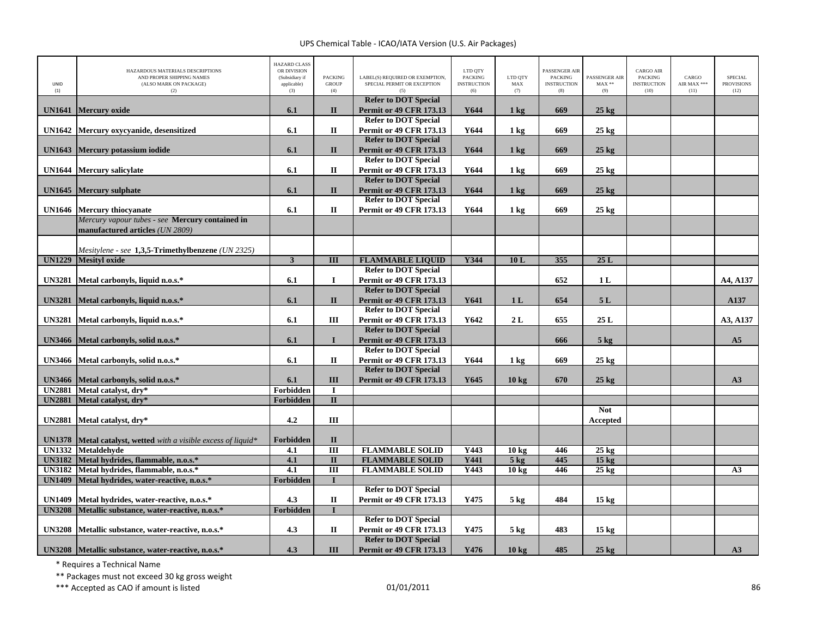| UNID<br>(1)   | HAZARDOUS MATERIALS DESCRIPTIONS<br>AND PROPER SHIPPING NAMES<br>(ALSO MARK ON PACKAGE)<br>(2) | <b>HAZARD CLASS</b><br>OR DIVISION<br>(Subsidiary if<br>applicable)<br>(3) | <b>PACKING</b><br><b>GROUP</b><br>(4) | LABEL(S) REQUIRED OR EXEMPTION.<br>SPECIAL PERMIT OR EXCEPTION<br>(5) | LTD QTY<br><b>PACKING</b><br><b>INSTRUCTION</b><br>(6) | LTD OTY<br>MAX<br>(7) | PASSENGER AIR<br><b>PACKING</b><br><b>INSTRUCTION</b><br>(8) | PASSENGER AIR<br>$MAX**$<br>(9) | <b>CARGO AIR</b><br><b>PACKING</b><br><b>INSTRUCTION</b><br>(10) | CARGO<br>AIR MAX ***<br>(11) | <b>SPECIAL</b><br><b>PROVISIONS</b><br>(12) |
|---------------|------------------------------------------------------------------------------------------------|----------------------------------------------------------------------------|---------------------------------------|-----------------------------------------------------------------------|--------------------------------------------------------|-----------------------|--------------------------------------------------------------|---------------------------------|------------------------------------------------------------------|------------------------------|---------------------------------------------|
|               |                                                                                                |                                                                            |                                       | <b>Refer to DOT Special</b>                                           |                                                        |                       |                                                              |                                 |                                                                  |                              |                                             |
| <b>UN1641</b> | <b>Mercury oxide</b>                                                                           | 6.1                                                                        | $\mathbf{I}$                          | <b>Permit or 49 CFR 173.13</b><br><b>Refer to DOT Special</b>         | Y644                                                   | $1 \text{ kg}$        | 669                                                          | $25 \text{ kg}$                 |                                                                  |                              |                                             |
| <b>UN1642</b> | Mercury oxycyanide, desensitized                                                               | 6.1                                                                        | $\mathbf{I}\mathbf{I}$                | <b>Permit or 49 CFR 173.13</b>                                        | Y644                                                   | $1 \text{ kg}$        | 669                                                          | $25 \text{ kg}$                 |                                                                  |                              |                                             |
|               |                                                                                                |                                                                            |                                       | <b>Refer to DOT Special</b>                                           |                                                        |                       |                                                              |                                 |                                                                  |                              |                                             |
| <b>UN1643</b> | <b>Mercury potassium iodide</b>                                                                | 6.1                                                                        | $\Pi$                                 | <b>Permit or 49 CFR 173.13</b>                                        | Y644                                                   | $1 \text{ kg}$        | 669                                                          | $25 \text{ kg}$                 |                                                                  |                              |                                             |
|               |                                                                                                |                                                                            |                                       | <b>Refer to DOT Special</b>                                           |                                                        |                       |                                                              |                                 |                                                                  |                              |                                             |
| <b>UN1644</b> | <b>Mercury salicylate</b>                                                                      | 6.1                                                                        | $\mathbf{I}$                          | <b>Permit or 49 CFR 173.13</b>                                        | Y644                                                   | $1 \text{ kg}$        | 669                                                          | $25 \text{ kg}$                 |                                                                  |                              |                                             |
|               |                                                                                                |                                                                            |                                       | <b>Refer to DOT Special</b>                                           |                                                        |                       |                                                              |                                 |                                                                  |                              |                                             |
| <b>UN1645</b> | <b>Mercury sulphate</b>                                                                        | 6.1                                                                        | $\mathbf{I}$                          | <b>Permit or 49 CFR 173.13</b>                                        | Y644                                                   | $1 \text{ kg}$        | 669                                                          | $25$ kg                         |                                                                  |                              |                                             |
|               |                                                                                                |                                                                            |                                       | <b>Refer to DOT Special</b>                                           | Y644                                                   |                       |                                                              |                                 |                                                                  |                              |                                             |
|               | UN1646 Mercury thiocyanate<br>Mercury vapour tubes - see Mercury contained in                  | 6.1                                                                        | П                                     | <b>Permit or 49 CFR 173.13</b>                                        |                                                        | $1 \text{ kg}$        | 669                                                          | $25 \text{ kg}$                 |                                                                  |                              |                                             |
|               | manufactured articles (UN 2809)                                                                |                                                                            |                                       |                                                                       |                                                        |                       |                                                              |                                 |                                                                  |                              |                                             |
|               |                                                                                                |                                                                            |                                       |                                                                       |                                                        |                       |                                                              |                                 |                                                                  |                              |                                             |
|               | Mesitylene - see 1,3,5-Trimethylbenzene (UN 2325)                                              |                                                                            |                                       |                                                                       |                                                        |                       |                                                              |                                 |                                                                  |                              |                                             |
|               | <b>UN1229</b> Mesityl oxide                                                                    | $\overline{\mathbf{3}}$                                                    | $\overline{III}$                      | <b>FLAMMABLE LIOUID</b>                                               | <b>Y344</b>                                            | 10L                   | 355                                                          | 25L                             |                                                                  |                              |                                             |
|               |                                                                                                |                                                                            |                                       | <b>Refer to DOT Special</b>                                           |                                                        |                       |                                                              |                                 |                                                                  |                              |                                             |
| <b>UN3281</b> | Metal carbonyls, liquid n.o.s.*                                                                | 6.1                                                                        | $\bf{I}$                              | <b>Permit or 49 CFR 173.13</b>                                        |                                                        |                       | 652                                                          | 1 <sub>L</sub>                  |                                                                  |                              | A4, A137                                    |
|               |                                                                                                |                                                                            |                                       | <b>Refer to DOT Special</b>                                           |                                                        |                       |                                                              |                                 |                                                                  |                              |                                             |
| <b>UN3281</b> | Metal carbonyls, liquid n.o.s.*                                                                | 6.1                                                                        | $\mathbf{I}$                          | <b>Permit or 49 CFR 173.13</b>                                        | Y641                                                   | 1 <sub>L</sub>        | 654                                                          | 5L                              |                                                                  |                              | A137                                        |
|               |                                                                                                |                                                                            |                                       | <b>Refer to DOT Special</b>                                           |                                                        |                       |                                                              |                                 |                                                                  |                              |                                             |
| <b>UN3281</b> | Metal carbonyls, liquid n.o.s.*                                                                | 6.1                                                                        | Ш                                     | <b>Permit or 49 CFR 173.13</b><br><b>Refer to DOT Special</b>         | Y642                                                   | 2L                    | 655                                                          | 25L                             |                                                                  |                              | A3, A137                                    |
| <b>UN3466</b> | Metal carbonyls, solid n.o.s.*                                                                 | 6.1                                                                        | $\mathbf{I}$                          | <b>Permit or 49 CFR 173.13</b>                                        |                                                        |                       | 666                                                          | 5 <sub>kg</sub>                 |                                                                  |                              | A <sub>5</sub>                              |
|               |                                                                                                |                                                                            |                                       | <b>Refer to DOT Special</b>                                           |                                                        |                       |                                                              |                                 |                                                                  |                              |                                             |
| <b>UN3466</b> | Metal carbonyls, solid n.o.s.*                                                                 | 6.1                                                                        | $\mathbf H$                           | <b>Permit or 49 CFR 173.13</b>                                        | Y644                                                   | $1 \text{ kg}$        | 669                                                          | $25 \text{ kg}$                 |                                                                  |                              |                                             |
|               |                                                                                                |                                                                            |                                       | <b>Refer to DOT Special</b>                                           |                                                        |                       |                                                              |                                 |                                                                  |                              |                                             |
| <b>UN3466</b> | Metal carbonyls, solid n.o.s.*                                                                 | 6.1                                                                        | III                                   | <b>Permit or 49 CFR 173.13</b>                                        | Y645                                                   | 10 <sub>kg</sub>      | 670                                                          | $25 \text{ kg}$                 |                                                                  |                              | A3                                          |
|               | UN2881 Metal catalyst, dry*                                                                    | Forbidden                                                                  | $\bf{I}$                              |                                                                       |                                                        |                       |                                                              |                                 |                                                                  |                              |                                             |
| <b>UN2881</b> | Metal catalyst, dry*                                                                           | Forbidden                                                                  | $\Pi$                                 |                                                                       |                                                        |                       |                                                              |                                 |                                                                  |                              |                                             |
|               |                                                                                                |                                                                            |                                       |                                                                       |                                                        |                       |                                                              | <b>Not</b>                      |                                                                  |                              |                                             |
| <b>UN2881</b> | Metal catalyst, dry*                                                                           | 4.2                                                                        | III                                   |                                                                       |                                                        |                       |                                                              | Accepted                        |                                                                  |                              |                                             |
| <b>UN1378</b> | Metal catalyst, wetted with a visible excess of liquid*                                        | Forbidden                                                                  | $\mathbf{I}$                          |                                                                       |                                                        |                       |                                                              |                                 |                                                                  |                              |                                             |
|               | UN1332 Metaldehyde                                                                             | 4.1                                                                        | $\overline{III}$                      | <b>FLAMMABLE SOLID</b>                                                | Y443                                                   | 10 kg                 | 446                                                          | $25$ kg                         |                                                                  |                              |                                             |
|               | UN3182 Metal hydrides, flammable, n.o.s.*                                                      | 4.1                                                                        | $\overline{\mathbf{u}}$               | <b>FLAMMABLE SOLID</b>                                                | Y441                                                   | $5$ kg                | 445                                                          | $15$ kg                         |                                                                  |                              |                                             |
|               | UN3182 Metal hydrides, flammable, n.o.s.*                                                      | 4.1                                                                        | $\overline{III}$                      | <b>FLAMMABLE SOLID</b>                                                | Y443                                                   | 10 <sub>kg</sub>      | 446                                                          | $25 \text{ kg}$                 |                                                                  |                              | A3                                          |
| <b>UN1409</b> | Metal hydrides, water-reactive, n.o.s.*                                                        | Forbidden                                                                  | $\mathbf{I}$                          |                                                                       |                                                        |                       |                                                              |                                 |                                                                  |                              |                                             |
|               |                                                                                                |                                                                            |                                       | <b>Refer to DOT Special</b>                                           |                                                        |                       |                                                              |                                 |                                                                  |                              |                                             |
| <b>UN1409</b> | Metal hydrides, water-reactive, n.o.s.*                                                        | 4.3                                                                        | $\mathbf{I}$                          | Permit or 49 CFR 173.13                                               | Y475                                                   | $5$ kg                | 484                                                          | 15 <sub>kg</sub>                |                                                                  |                              |                                             |
| <b>UN3208</b> | Metallic substance, water-reactive, n.o.s.*                                                    | Forbidden                                                                  | T                                     |                                                                       |                                                        |                       |                                                              |                                 |                                                                  |                              |                                             |
|               |                                                                                                |                                                                            |                                       | <b>Refer to DOT Special</b>                                           |                                                        |                       |                                                              |                                 |                                                                  |                              |                                             |
| <b>UN3208</b> | Metallic substance, water-reactive, n.o.s.*                                                    | 4.3                                                                        | $\mathbf{I}$                          | Permit or 49 CFR 173.13<br><b>Refer to DOT Special</b>                | Y475                                                   | $5 \text{ kg}$        | 483                                                          | 15 <sub>kg</sub>                |                                                                  |                              |                                             |
|               | UN3208 Metallic substance, water-reactive, n.o.s.*                                             | 4.3                                                                        | III                                   | <b>Permit or 49 CFR 173.13</b>                                        | Y476                                                   | 10 <sub>kg</sub>      | 485                                                          | $25 \text{ kg}$                 |                                                                  |                              | A3                                          |
|               |                                                                                                |                                                                            |                                       |                                                                       |                                                        |                       |                                                              |                                 |                                                                  |                              |                                             |

\* Requires <sup>a</sup> Technical Name

\*\* Packages must not exceed 30 kg gross weight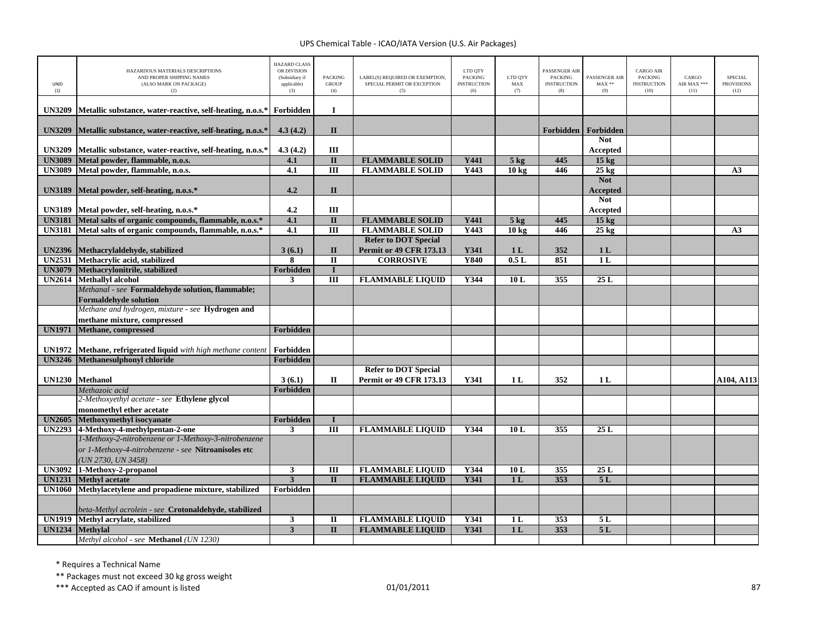| UNID<br>(1)   | HAZARDOUS MATERIALS DESCRIPTIONS<br>AND PROPER SHIPPING NAMES<br>(ALSO MARK ON PACKAGE)<br>(2) | <b>HAZARD CLASS</b><br>OR DIVISION<br>(Subsidiary if<br>applicable)<br>(3) | <b>PACKING</b><br><b>GROUP</b><br>(4) | LABEL(S) REQUIRED OR EXEMPTION,<br>SPECIAL PERMIT OR EXCEPTION<br>(5) | LTD QTY<br><b>PACKING</b><br><b>INSTRUCTION</b><br>(6) | LTD QTY<br>MAX<br>(7) | PASSENGER AIR<br><b>PACKING</b><br><b>INSTRUCTION</b><br>(8) | PASSENGER AIR<br>$MAX**$<br>(9) | <b>CARGO AIR</b><br>PACKING<br><b>INSTRUCTION</b><br>(10) | CARGO<br>AIR MAX ***<br>(11) | <b>SPECIAL</b><br><b>PROVISIONS</b><br>(12) |
|---------------|------------------------------------------------------------------------------------------------|----------------------------------------------------------------------------|---------------------------------------|-----------------------------------------------------------------------|--------------------------------------------------------|-----------------------|--------------------------------------------------------------|---------------------------------|-----------------------------------------------------------|------------------------------|---------------------------------------------|
| <b>UN3209</b> | Metallic substance, water-reactive, self-heating, n.o.s.*                                      | Forbidden                                                                  | $\mathbf I$                           |                                                                       |                                                        |                       |                                                              |                                 |                                                           |                              |                                             |
| <b>UN3209</b> | Metallic substance, water-reactive, self-heating, n.o.s.*                                      | 4.3(4.2)                                                                   | $\mathbf{I}$                          |                                                                       |                                                        |                       |                                                              | Forbidden   Forbidden           |                                                           |                              |                                             |
| <b>UN3209</b> | Metallic substance, water-reactive, self-heating, n.o.s.*                                      | 4.3(4.2)                                                                   | III                                   |                                                                       |                                                        |                       |                                                              | <b>Not</b><br>Accepted          |                                                           |                              |                                             |
| <b>UN3089</b> | Metal powder, flammable, n.o.s.                                                                | 4.1                                                                        | $\overline{\mathbf{u}}$               | <b>FLAMMABLE SOLID</b>                                                | Y441                                                   | $5 \text{ kg}$        | 445                                                          | $15 \text{ kg}$                 |                                                           |                              |                                             |
| <b>UN3089</b> | Metal powder, flammable, n.o.s.                                                                | 4.1                                                                        | $\overline{III}$                      | <b>FLAMMABLE SOLID</b>                                                | Y443                                                   | 10 kg                 | 446                                                          | $25 \text{ kg}$                 |                                                           |                              | A3                                          |
|               |                                                                                                |                                                                            |                                       |                                                                       |                                                        |                       |                                                              | <b>Not</b>                      |                                                           |                              |                                             |
| <b>UN3189</b> | Metal powder, self-heating, n.o.s.*                                                            | 4.2                                                                        | $\mathbf{I}$                          |                                                                       |                                                        |                       |                                                              | <b>Accepted</b>                 |                                                           |                              |                                             |
|               |                                                                                                |                                                                            |                                       |                                                                       |                                                        |                       |                                                              | <b>Not</b>                      |                                                           |                              |                                             |
| <b>UN3189</b> | Metal powder, self-heating, n.o.s.*                                                            | 4.2                                                                        | Ш                                     |                                                                       |                                                        |                       |                                                              | Accepted                        |                                                           |                              |                                             |
| <b>UN3181</b> | Metal salts of organic compounds, flammable, n.o.s.*                                           | 4.1                                                                        | $\mathbf{I}$                          | <b>FLAMMABLE SOLID</b>                                                | Y441                                                   | 5 <sub>kg</sub>       | 445                                                          | 15 <sub>kg</sub>                |                                                           |                              |                                             |
| <b>UN3181</b> | Metal salts of organic compounds, flammable, n.o.s.*                                           | 4.1                                                                        | Ш                                     | <b>FLAMMABLE SOLID</b>                                                | Y443                                                   | 10 <sub>kg</sub>      | 446                                                          | $25 \text{ kg}$                 |                                                           |                              | A <sub>3</sub>                              |
|               |                                                                                                |                                                                            |                                       | <b>Refer to DOT Special</b>                                           |                                                        |                       |                                                              |                                 |                                                           |                              |                                             |
| <b>UN2396</b> | Methacrylaldehyde, stabilized                                                                  | 3(6.1)                                                                     | $\mathbf{I}$                          | <b>Permit or 49 CFR 173.13</b>                                        | Y341                                                   | 1 <sub>L</sub>        | 352                                                          | 1 <sub>L</sub>                  |                                                           |                              |                                             |
| <b>UN2531</b> | Methacrylic acid, stabilized                                                                   | 8                                                                          | $\mathbf{I}$                          | <b>CORROSIVE</b>                                                      | Y840                                                   | 0.5L                  | 851                                                          | 1 <sub>L</sub>                  |                                                           |                              |                                             |
| <b>UN3079</b> | Methacrylonitrile, stabilized                                                                  | Forbidden                                                                  | $\mathbf{I}$                          |                                                                       |                                                        |                       |                                                              |                                 |                                                           |                              |                                             |
| <b>UN2614</b> | <b>Methallyl</b> alcohol                                                                       | 3                                                                          | $\overline{III}$                      | <b>FLAMMABLE LIQUID</b>                                               | Y344                                                   | 10 <sub>L</sub>       | 355                                                          | 25L                             |                                                           |                              |                                             |
|               | Methanal - see Formaldehyde solution, flammable;                                               |                                                                            |                                       |                                                                       |                                                        |                       |                                                              |                                 |                                                           |                              |                                             |
|               | <b>Formaldehyde solution</b><br>Methane and hydrogen, mixture - see Hydrogen and               |                                                                            |                                       |                                                                       |                                                        |                       |                                                              |                                 |                                                           |                              |                                             |
|               |                                                                                                |                                                                            |                                       |                                                                       |                                                        |                       |                                                              |                                 |                                                           |                              |                                             |
| <b>UN1971</b> | methane mixture, compressed<br>Methane, compressed                                             | <b>Forbidden</b>                                                           |                                       |                                                                       |                                                        |                       |                                                              |                                 |                                                           |                              |                                             |
|               |                                                                                                |                                                                            |                                       |                                                                       |                                                        |                       |                                                              |                                 |                                                           |                              |                                             |
| <b>UN1972</b> | Methane, refrigerated liquid with high methane content                                         | Forbidden                                                                  |                                       |                                                                       |                                                        |                       |                                                              |                                 |                                                           |                              |                                             |
| <b>UN3246</b> | Methanesulphonyl chloride                                                                      | Forbidden                                                                  |                                       |                                                                       |                                                        |                       |                                                              |                                 |                                                           |                              |                                             |
|               |                                                                                                |                                                                            |                                       | <b>Refer to DOT Special</b>                                           |                                                        |                       |                                                              |                                 |                                                           |                              |                                             |
|               | UN1230 Methanol                                                                                | 3(6.1)                                                                     | П                                     | <b>Permit or 49 CFR 173.13</b>                                        | Y341                                                   | 1 <sub>L</sub>        | 352                                                          | 1 L                             |                                                           |                              | A104, A113                                  |
|               | Methazoic acid                                                                                 | Forbidden                                                                  |                                       |                                                                       |                                                        |                       |                                                              |                                 |                                                           |                              |                                             |
|               | 2-Methoxyethyl acetate - see Ethylene glycol                                                   |                                                                            |                                       |                                                                       |                                                        |                       |                                                              |                                 |                                                           |                              |                                             |
|               | monomethyl ether acetate                                                                       |                                                                            |                                       |                                                                       |                                                        |                       |                                                              |                                 |                                                           |                              |                                             |
| <b>UN2605</b> | Methoxymethyl isocyanate                                                                       | Forbidden                                                                  | $\bf{I}$                              |                                                                       |                                                        |                       |                                                              |                                 |                                                           |                              |                                             |
|               | UN2293 4-Methoxy-4-methylpentan-2-one                                                          | 3                                                                          | III                                   | <b>FLAMMABLE LIQUID</b>                                               | Y344                                                   | 10L                   | 355                                                          | 25L                             |                                                           |                              |                                             |
|               | 1-Methoxy-2-nitrobenzene or 1-Methoxy-3-nitrobenzene                                           |                                                                            |                                       |                                                                       |                                                        |                       |                                                              |                                 |                                                           |                              |                                             |
|               | or 1-Methoxy-4-nitrobenzene - see Nitroanisoles etc                                            |                                                                            |                                       |                                                                       |                                                        |                       |                                                              |                                 |                                                           |                              |                                             |
|               | (UN 2730, UN 3458)                                                                             |                                                                            |                                       |                                                                       |                                                        |                       |                                                              |                                 |                                                           |                              |                                             |
| <b>UN3092</b> | 1-Methoxy-2-propanol                                                                           | $\mathbf{3}$                                                               | Ш                                     | <b>FLAMMABLE LIQUID</b>                                               | Y344                                                   | 10L                   | 355                                                          | 25L                             |                                                           |                              |                                             |
| <b>UN1231</b> | <b>Methyl</b> acetate                                                                          | $\overline{\mathbf{3}}$                                                    | $\overline{\mathbf{u}}$               | <b>FLAMMABLE LIQUID</b>                                               | Y341                                                   | 1L                    | 353                                                          | 5L                              |                                                           |                              |                                             |
| <b>UN1060</b> | Methylacetylene and propadiene mixture, stabilized                                             | Forbidden                                                                  |                                       |                                                                       |                                                        |                       |                                                              |                                 |                                                           |                              |                                             |
|               | beta-Methyl acrolein - see Crotonaldehyde, stabilized                                          |                                                                            |                                       |                                                                       |                                                        |                       |                                                              |                                 |                                                           |                              |                                             |
| <b>UN1919</b> | Methyl acrylate, stabilized                                                                    | $\mathbf{3}$                                                               | $\mathbf{I}$                          | <b>FLAMMABLE LIQUID</b>                                               | Y341                                                   | 1 <sub>L</sub>        | 353                                                          | 5L                              |                                                           |                              |                                             |
| <b>UN1234</b> | <b>Methvlal</b>                                                                                | 3                                                                          | $\Pi$                                 | <b>FLAMMABLE LIQUID</b>                                               | <b>Y341</b>                                            | 1 <sub>L</sub>        | 353                                                          | 5L                              |                                                           |                              |                                             |
|               | Methyl alcohol - see Methanol (UN 1230)                                                        |                                                                            |                                       |                                                                       |                                                        |                       |                                                              |                                 |                                                           |                              |                                             |

\* Requires <sup>a</sup> Technical Name

\*\* Packages must not exceed 30 kg gross weight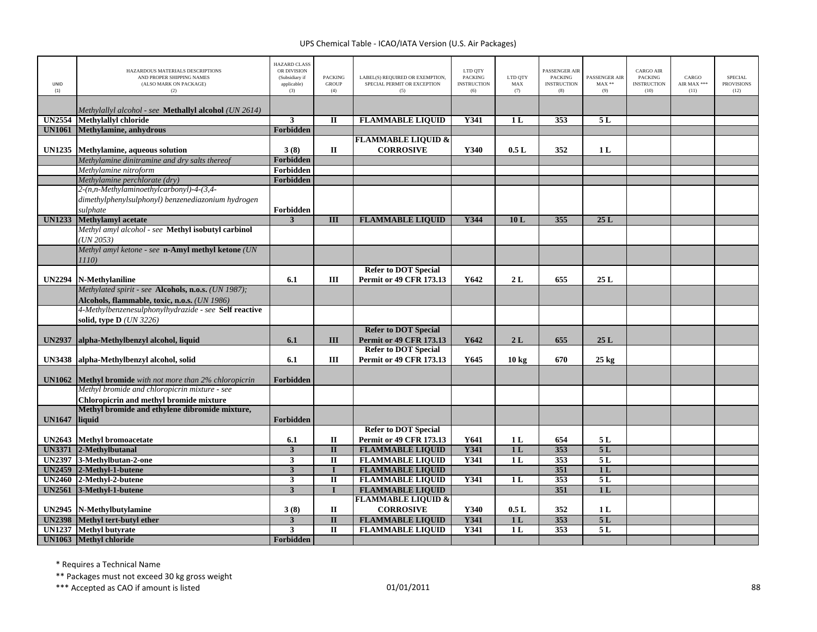| UNID<br>(1)   | HAZARDOUS MATERIALS DESCRIPTIONS<br>AND PROPER SHIPPING NAMES<br>(ALSO MARK ON PACKAGE)<br>(2) | <b>HAZARD CLASS</b><br>OR DIVISION<br>(Subsidiary if<br>applicable)<br>(3) | <b>PACKING</b><br><b>GROUP</b><br>(4)   | LABEL(S) REQUIRED OR EXEMPTION,<br>SPECIAL PERMIT OR EXCEPTION<br>(5) | LTD QTY<br><b>PACKING</b><br><b>INSTRUCTION</b><br>(6) | LTD QTY<br>$\operatorname{MAX}$<br>(7) | PASSENGER AIR<br><b>PACKING</b><br><b>INSTRUCTION</b><br>(8) | PASSENGER AIR<br>$\text{MAX}$ **<br>(9) | CARGO AIR<br><b>PACKING</b><br><b>INSTRUCTION</b><br>(10) | CARGO<br>AIR MAX ***<br>(11) | <b>SPECIAL</b><br><b>PROVISIONS</b><br>(12) |
|---------------|------------------------------------------------------------------------------------------------|----------------------------------------------------------------------------|-----------------------------------------|-----------------------------------------------------------------------|--------------------------------------------------------|----------------------------------------|--------------------------------------------------------------|-----------------------------------------|-----------------------------------------------------------|------------------------------|---------------------------------------------|
|               |                                                                                                |                                                                            |                                         |                                                                       |                                                        |                                        |                                                              |                                         |                                                           |                              |                                             |
| <b>UN2554</b> | Methylallyl alcohol - see <b>Methallyl alcohol</b> (UN 2614)<br>Methylallyl chloride           | $\mathbf{3}$                                                               | П                                       | <b>FLAMMABLE LIQUID</b>                                               | Y341                                                   | 1 <sub>L</sub>                         | 353                                                          | 5L                                      |                                                           |                              |                                             |
| <b>UN1061</b> | Methylamine, anhydrous                                                                         | <b>Forbidden</b>                                                           |                                         |                                                                       |                                                        |                                        |                                                              |                                         |                                                           |                              |                                             |
|               |                                                                                                |                                                                            |                                         | <b>FLAMMABLE LIQUID &amp;</b>                                         |                                                        |                                        |                                                              |                                         |                                                           |                              |                                             |
| UN1235        | Methylamine, aqueous solution                                                                  | 3(8)                                                                       | $\mathbf H$                             | <b>CORROSIVE</b>                                                      | Y340                                                   | 0.5L                                   | 352                                                          | 1 <sub>L</sub>                          |                                                           |                              |                                             |
|               | Methylamine dinitramine and dry salts thereof                                                  | Forbidden                                                                  |                                         |                                                                       |                                                        |                                        |                                                              |                                         |                                                           |                              |                                             |
|               | Methylamine nitroform                                                                          | Forbidden                                                                  |                                         |                                                                       |                                                        |                                        |                                                              |                                         |                                                           |                              |                                             |
|               | Methylamine perchlorate (dry)                                                                  | Forbidden                                                                  |                                         |                                                                       |                                                        |                                        |                                                              |                                         |                                                           |                              |                                             |
|               | 2-(n,n-Methylaminoethylcarbonyl)-4-(3,4-                                                       |                                                                            |                                         |                                                                       |                                                        |                                        |                                                              |                                         |                                                           |                              |                                             |
|               | dimethylphenylsulphonyl) benzenediazonium hydrogen                                             |                                                                            |                                         |                                                                       |                                                        |                                        |                                                              |                                         |                                                           |                              |                                             |
|               | sulphate                                                                                       | Forbidden                                                                  |                                         |                                                                       |                                                        |                                        |                                                              |                                         |                                                           |                              |                                             |
| <b>UN1233</b> | <b>Methylamyl</b> acetate                                                                      | 3                                                                          | $\overline{III}$                        | <b>FLAMMABLE LIQUID</b>                                               | <b>Y344</b>                                            | 10L                                    | 355                                                          | 25L                                     |                                                           |                              |                                             |
|               | Methyl amyl alcohol - see Methyl isobutyl carbinol                                             |                                                                            |                                         |                                                                       |                                                        |                                        |                                                              |                                         |                                                           |                              |                                             |
|               | UN 2053<br>Methyl amyl ketone - see n-Amyl methyl ketone (UN                                   |                                                                            |                                         |                                                                       |                                                        |                                        |                                                              |                                         |                                                           |                              |                                             |
|               | <i>1110</i> )                                                                                  |                                                                            |                                         |                                                                       |                                                        |                                        |                                                              |                                         |                                                           |                              |                                             |
|               |                                                                                                |                                                                            |                                         | <b>Refer to DOT Special</b>                                           |                                                        |                                        |                                                              |                                         |                                                           |                              |                                             |
| <b>UN2294</b> | N-Methylaniline                                                                                | 6.1                                                                        | Ш                                       | <b>Permit or 49 CFR 173.13</b>                                        | Y642                                                   | 2L                                     | 655                                                          | 25L                                     |                                                           |                              |                                             |
|               | Methylated spirit - see Alcohols, n.o.s. (UN 1987);                                            |                                                                            |                                         |                                                                       |                                                        |                                        |                                                              |                                         |                                                           |                              |                                             |
|               | Alcohols, flammable, toxic, n.o.s. (UN 1986)                                                   |                                                                            |                                         |                                                                       |                                                        |                                        |                                                              |                                         |                                                           |                              |                                             |
|               | 4-Methylbenzenesulphonylhydrazide - see Self reactive                                          |                                                                            |                                         |                                                                       |                                                        |                                        |                                                              |                                         |                                                           |                              |                                             |
|               | solid, type D (UN 3226)                                                                        |                                                                            |                                         |                                                                       |                                                        |                                        |                                                              |                                         |                                                           |                              |                                             |
|               |                                                                                                |                                                                            |                                         | <b>Refer to DOT Special</b>                                           |                                                        |                                        |                                                              |                                         |                                                           |                              |                                             |
| <b>UN2937</b> | alpha-Methylbenzyl alcohol, liquid                                                             | 6.1                                                                        | Ш                                       | <b>Permit or 49 CFR 173.13</b>                                        | Y642                                                   | 2L                                     | 655                                                          | 25 L                                    |                                                           |                              |                                             |
|               |                                                                                                |                                                                            |                                         | <b>Refer to DOT Special</b>                                           |                                                        |                                        |                                                              |                                         |                                                           |                              |                                             |
| <b>UN3438</b> | alpha-Methylbenzyl alcohol, solid                                                              | 6.1                                                                        | Ш                                       | <b>Permit or 49 CFR 173.13</b>                                        | Y645                                                   | $10 \text{ kg}$                        | 670                                                          | $25 \text{ kg}$                         |                                                           |                              |                                             |
| <b>UN1062</b> | Methyl bromide with not more than 2% chloropicrin                                              | Forbidden                                                                  |                                         |                                                                       |                                                        |                                        |                                                              |                                         |                                                           |                              |                                             |
|               | Methyl bromide and chloropicrin mixture - see                                                  |                                                                            |                                         |                                                                       |                                                        |                                        |                                                              |                                         |                                                           |                              |                                             |
|               | Chloropicrin and methyl bromide mixture                                                        |                                                                            |                                         |                                                                       |                                                        |                                        |                                                              |                                         |                                                           |                              |                                             |
| <b>UN1647</b> | Methyl bromide and ethylene dibromide mixture,<br>liquid                                       | Forbidden                                                                  |                                         |                                                                       |                                                        |                                        |                                                              |                                         |                                                           |                              |                                             |
|               |                                                                                                |                                                                            |                                         | <b>Refer to DOT Special</b>                                           |                                                        |                                        |                                                              |                                         |                                                           |                              |                                             |
| <b>UN2643</b> | <b>Methyl bromoacetate</b>                                                                     | 6.1                                                                        | П                                       | Permit or 49 CFR 173.13                                               | Y641                                                   | 1 <sub>L</sub>                         | 654                                                          | 5L                                      |                                                           |                              |                                             |
|               | UN3371 2-Methylbutanal                                                                         | $\mathbf{3}$                                                               | $\mathbf{I}$                            | <b>FLAMMABLE LIQUID</b>                                               | <b>Y341</b>                                            | 1 <sub>L</sub>                         | 353                                                          | 5L                                      |                                                           |                              |                                             |
| <b>UN2397</b> | 3-Methylbutan-2-one                                                                            | $\overline{\mathbf{3}}$                                                    | $\overline{\mathbf{u}}$                 | <b>FLAMMABLE LIQUID</b>                                               | <b>Y341</b>                                            | 1L                                     | 353                                                          | 5L                                      |                                                           |                              |                                             |
|               | UN2459 2-Methyl-1-butene                                                                       | $\overline{\mathbf{3}}$                                                    | $\mathbf I$                             | <b>FLAMMABLE LIQUID</b>                                               |                                                        |                                        | 351                                                          | 1 <sub>L</sub>                          |                                                           |                              |                                             |
| <b>UN2460</b> | 2-Methyl-2-butene                                                                              | $\mathbf{3}$                                                               | $\overline{\mathbf{u}}$                 | <b>FLAMMABLE LIQUID</b>                                               | Y341                                                   | 1 <sub>L</sub>                         | 353                                                          | 5L                                      |                                                           |                              |                                             |
| <b>UN2561</b> | 3-Methyl-1-butene                                                                              | $\overline{\mathbf{3}}$                                                    | $\mathbf{I}$                            | <b>FLAMMABLE LIQUID</b>                                               |                                                        |                                        | $\overline{351}$                                             | 1L                                      |                                                           |                              |                                             |
|               |                                                                                                |                                                                            | $\mathbf H$                             | <b>FLAMMABLE LIQUID &amp;</b><br><b>CORROSIVE</b>                     | Y340                                                   | 0.5L                                   | 352                                                          |                                         |                                                           |                              |                                             |
| UN2945        | N-Methylbutylamine                                                                             | 3(8)                                                                       |                                         |                                                                       | <b>Y341</b>                                            | 1 <sub>L</sub>                         | 353                                                          | 1 <sub>L</sub><br>5L                    |                                                           |                              |                                             |
|               |                                                                                                |                                                                            |                                         |                                                                       |                                                        |                                        |                                                              |                                         |                                                           |                              |                                             |
| <b>UN1237</b> | UN2398 Methyl tert-butyl ether<br><b>Methyl butyrate</b>                                       | $\mathbf{3}$<br>$\overline{\mathbf{3}}$                                    | $\overline{\mathbf{u}}$<br>$\mathbf{I}$ | <b>FLAMMABLE LIQUID</b><br><b>FLAMMABLE LIQUID</b>                    | Y341                                                   | 1L                                     | 353                                                          | 5L                                      |                                                           |                              |                                             |

\* Requires <sup>a</sup> Technical Name

\*\* Packages must not exceed 30 kg gross weight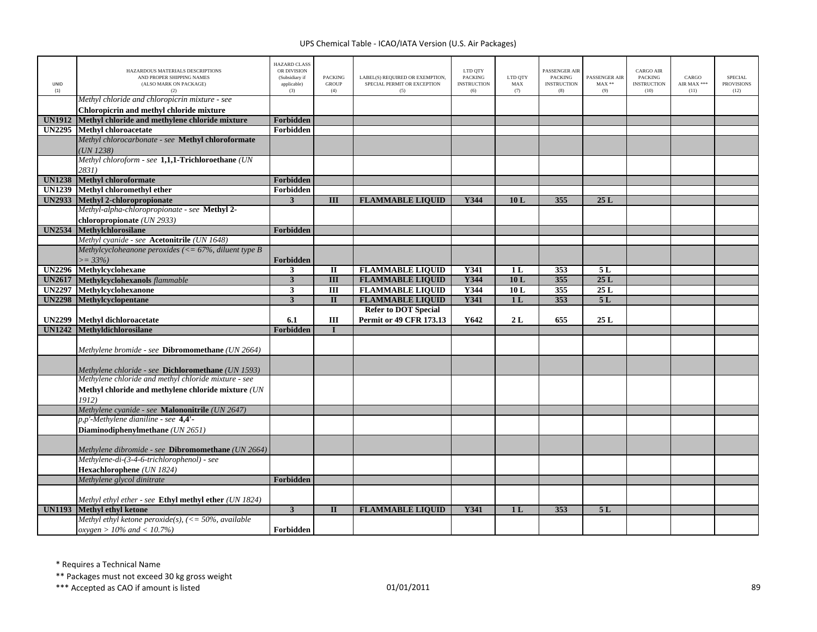| <b>UNID</b><br>(1) | HAZARDOUS MATERIALS DESCRIPTIONS<br>AND PROPER SHIPPING NAMES<br>(ALSO MARK ON PACKAGE)<br>(2) | <b>HAZARD CLASS</b><br>OR DIVISION<br>(Subsidiary if<br>applicable)<br>(3) | <b>PACKING</b><br><b>GROUP</b><br>(4) | LABEL(S) REQUIRED OR EXEMPTION,<br>SPECIAL PERMIT OR EXCEPTION<br>(5) | LTD QTY<br><b>PACKING</b><br><b>INSTRUCTION</b><br>(6) | LTD OTY<br>MAX<br>(7) | <b>PASSENGER AIR</b><br><b>PACKING</b><br><b>INSTRUCTION</b><br>(8) | PASSENGER AIR<br>$MAX**$<br>(9) | <b>CARGO AIR</b><br><b>PACKING</b><br><b>INSTRUCTION</b><br>(10) | CARGO<br>AIR MAX ***<br>(11) | <b>SPECIAL</b><br><b>PROVISIONS</b><br>(12) |
|--------------------|------------------------------------------------------------------------------------------------|----------------------------------------------------------------------------|---------------------------------------|-----------------------------------------------------------------------|--------------------------------------------------------|-----------------------|---------------------------------------------------------------------|---------------------------------|------------------------------------------------------------------|------------------------------|---------------------------------------------|
|                    | Methyl chloride and chloropicrin mixture - see                                                 |                                                                            |                                       |                                                                       |                                                        |                       |                                                                     |                                 |                                                                  |                              |                                             |
|                    | Chloropicrin and methyl chloride mixture                                                       |                                                                            |                                       |                                                                       |                                                        |                       |                                                                     |                                 |                                                                  |                              |                                             |
| <b>UN1912</b>      | Methyl chloride and methylene chloride mixture                                                 | Forbidden                                                                  |                                       |                                                                       |                                                        |                       |                                                                     |                                 |                                                                  |                              |                                             |
| <b>UN2295</b>      | Methyl chloroacetate                                                                           | Forbidden                                                                  |                                       |                                                                       |                                                        |                       |                                                                     |                                 |                                                                  |                              |                                             |
|                    | Methyl chlorocarbonate - see Methyl chloroformate                                              |                                                                            |                                       |                                                                       |                                                        |                       |                                                                     |                                 |                                                                  |                              |                                             |
|                    | UN 1238                                                                                        |                                                                            |                                       |                                                                       |                                                        |                       |                                                                     |                                 |                                                                  |                              |                                             |
|                    | Methyl chloroform - see 1,1,1-Trichloroethane (UN                                              |                                                                            |                                       |                                                                       |                                                        |                       |                                                                     |                                 |                                                                  |                              |                                             |
|                    | 2831)                                                                                          |                                                                            |                                       |                                                                       |                                                        |                       |                                                                     |                                 |                                                                  |                              |                                             |
| <b>UN1238</b>      | <b>Methyl chloroformate</b>                                                                    | Forbidden                                                                  |                                       |                                                                       |                                                        |                       |                                                                     |                                 |                                                                  |                              |                                             |
| <b>UN1239</b>      | Methyl chloromethyl ether                                                                      | Forbidden                                                                  |                                       |                                                                       |                                                        |                       |                                                                     |                                 |                                                                  |                              |                                             |
|                    | UN2933 Methyl 2-chloropropionate                                                               | 3                                                                          | III                                   | <b>FLAMMABLE LIQUID</b>                                               | Y344                                                   | 10L                   | 355                                                                 | 25L                             |                                                                  |                              |                                             |
|                    | Methyl-alpha-chloropropionate - see Methyl 2-                                                  |                                                                            |                                       |                                                                       |                                                        |                       |                                                                     |                                 |                                                                  |                              |                                             |
|                    | chloropropionate (UN 2933)                                                                     |                                                                            |                                       |                                                                       |                                                        |                       |                                                                     |                                 |                                                                  |                              |                                             |
| <b>UN2534</b>      | Methylchlorosilane                                                                             | Forbidden                                                                  |                                       |                                                                       |                                                        |                       |                                                                     |                                 |                                                                  |                              |                                             |
|                    | Methyl cyanide - see Acetonitrile (UN 1648)                                                    |                                                                            |                                       |                                                                       |                                                        |                       |                                                                     |                                 |                                                                  |                              |                                             |
|                    | Methylcycloheanone peroxides ( $\lt$ = 67%, diluent type B                                     |                                                                            |                                       |                                                                       |                                                        |                       |                                                                     |                                 |                                                                  |                              |                                             |
|                    | $>= 33\%$                                                                                      | Forbidden                                                                  |                                       |                                                                       |                                                        |                       |                                                                     |                                 |                                                                  |                              |                                             |
| <b>UN2296</b>      | Methylcyclohexane                                                                              | 3                                                                          | $\mathbf H$                           | <b>FLAMMABLE LIQUID</b>                                               | <b>Y341</b>                                            | 1 <sub>L</sub>        | 353                                                                 | 5L                              |                                                                  |                              |                                             |
| <b>UN2617</b>      | Methylcyclohexanols flammable                                                                  | 3                                                                          | $\overline{\rm III}$                  | <b>FLAMMABLE LIQUID</b>                                               | Y344                                                   | 10L                   | 355                                                                 | 25L                             |                                                                  |                              |                                             |
| <b>UN2297</b>      | Methylcyclohexanone                                                                            | $\mathbf{3}$                                                               | $\overline{\mathbf{H}}$               | <b>FLAMMABLE LIQUID</b>                                               | Y344                                                   | 10L                   | 355                                                                 | 25L                             |                                                                  |                              |                                             |
| <b>UN2298</b>      | <b>Methylcyclopentane</b>                                                                      | 3                                                                          | $\mathbf{I}$                          | <b>FLAMMABLE LIQUID</b>                                               | Y341                                                   | 1 <sub>L</sub>        | 353                                                                 | 5L                              |                                                                  |                              |                                             |
|                    |                                                                                                |                                                                            |                                       | <b>Refer to DOT Special</b>                                           |                                                        |                       |                                                                     |                                 |                                                                  |                              |                                             |
| <b>UN2299</b>      | <b>Methyl dichloroacetate</b>                                                                  | 6.1                                                                        | III                                   | <b>Permit or 49 CFR 173.13</b>                                        | Y642                                                   | 2L                    | 655                                                                 | 25L                             |                                                                  |                              |                                             |
|                    |                                                                                                |                                                                            |                                       |                                                                       |                                                        |                       |                                                                     |                                 |                                                                  |                              |                                             |
| <b>UN1242</b>      | Methyldichlorosilane                                                                           | Forbidden                                                                  |                                       |                                                                       |                                                        |                       |                                                                     |                                 |                                                                  |                              |                                             |
|                    |                                                                                                |                                                                            |                                       |                                                                       |                                                        |                       |                                                                     |                                 |                                                                  |                              |                                             |
|                    | Methylene bromide - see Dibromomethane (UN 2664)                                               |                                                                            |                                       |                                                                       |                                                        |                       |                                                                     |                                 |                                                                  |                              |                                             |
|                    | Methylene chloride - see <b>Dichloromethane</b> (UN 1593)                                      |                                                                            |                                       |                                                                       |                                                        |                       |                                                                     |                                 |                                                                  |                              |                                             |
|                    | Methylene chloride and methyl chloride mixture - see                                           |                                                                            |                                       |                                                                       |                                                        |                       |                                                                     |                                 |                                                                  |                              |                                             |
|                    | Methyl chloride and methylene chloride mixture (UN                                             |                                                                            |                                       |                                                                       |                                                        |                       |                                                                     |                                 |                                                                  |                              |                                             |
|                    | 1912)                                                                                          |                                                                            |                                       |                                                                       |                                                        |                       |                                                                     |                                 |                                                                  |                              |                                             |
|                    | Methylene cyanide - see Malononitrile (UN 2647)                                                |                                                                            |                                       |                                                                       |                                                        |                       |                                                                     |                                 |                                                                  |                              |                                             |
|                    | p,p'-Methylene dianiline - see 4,4'-                                                           |                                                                            |                                       |                                                                       |                                                        |                       |                                                                     |                                 |                                                                  |                              |                                             |
|                    | Diaminodiphenylmethane (UN 2651)                                                               |                                                                            |                                       |                                                                       |                                                        |                       |                                                                     |                                 |                                                                  |                              |                                             |
|                    |                                                                                                |                                                                            |                                       |                                                                       |                                                        |                       |                                                                     |                                 |                                                                  |                              |                                             |
|                    | Methylene dibromide - see Dibromomethane (UN 2664)                                             |                                                                            |                                       |                                                                       |                                                        |                       |                                                                     |                                 |                                                                  |                              |                                             |
|                    | Methylene-di-(3-4-6-trichlorophenol) - see                                                     |                                                                            |                                       |                                                                       |                                                        |                       |                                                                     |                                 |                                                                  |                              |                                             |
|                    | Hexachlorophene (UN 1824)                                                                      |                                                                            |                                       |                                                                       |                                                        |                       |                                                                     |                                 |                                                                  |                              |                                             |
|                    | Methylene glycol dinitrate                                                                     | Forbidden                                                                  |                                       |                                                                       |                                                        |                       |                                                                     |                                 |                                                                  |                              |                                             |
|                    |                                                                                                |                                                                            |                                       |                                                                       |                                                        |                       |                                                                     |                                 |                                                                  |                              |                                             |
| <b>UN1193</b>      | Methyl ethyl ether - see Ethyl methyl ether (UN 1824)<br><b>Methyl ethyl ketone</b>            | $\overline{3}$                                                             | $\mathbf{I}$                          | <b>FLAMMABLE LIQUID</b>                                               | Y341                                                   | 1 <sub>L</sub>        | 353                                                                 | 5L                              |                                                                  |                              |                                             |
|                    | Methyl ethyl ketone peroxide(s), $\left(\leq 50\% \right)$ , available                         |                                                                            |                                       |                                                                       |                                                        |                       |                                                                     |                                 |                                                                  |                              |                                             |

\* Requires <sup>a</sup> Technical Name

\*\* Packages must not exceed 30 kg gross weight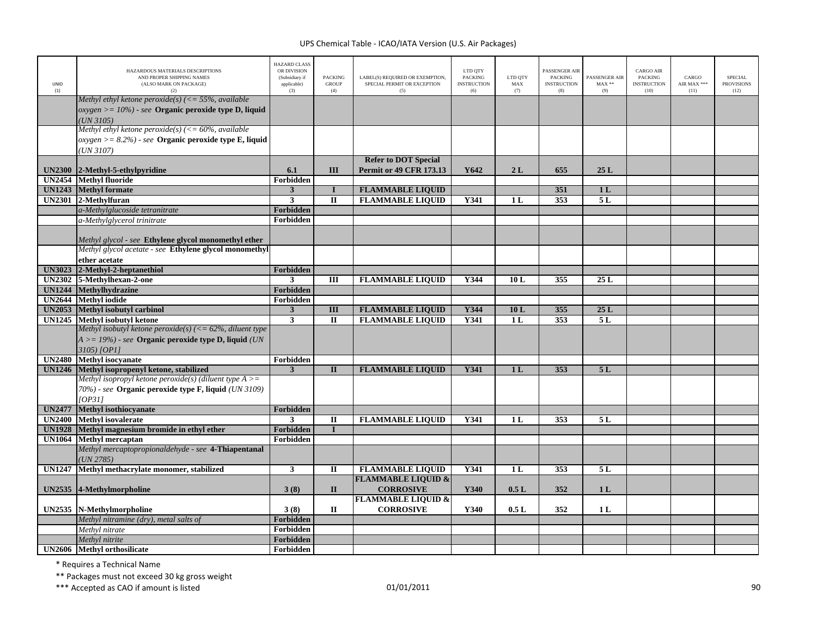| UNID<br>(1)   | HAZARDOUS MATERIALS DESCRIPTIONS<br>AND PROPER SHIPPING NAMES<br>(ALSO MARK ON PACKAGE)<br>(2)                                    | <b>HAZARD CLASS</b><br>OR DIVISION<br>(Subsidiary if<br>applicable)<br>(3) | <b>PACKING</b><br>GROUP<br>(4) | LABEL(S) REQUIRED OR EXEMPTION,<br>SPECIAL PERMIT OR EXCEPTION<br>(5) | LTD QTY<br><b>PACKING</b><br><b>INSTRUCTION</b><br>(6) | LTD QTY<br>MAX<br>(7) | PASSENGER AIR<br><b>PACKING</b><br><b>INSTRUCTION</b><br>(8) | PASSENGER AIR<br>$MAX**$<br>(9) | <b>CARGO AIR</b><br>PACKING<br><b>INSTRUCTION</b><br>(10) | CARGO<br>AIR MAX ***<br>(11) | <b>SPECIAL</b><br><b>PROVISIONS</b><br>(12) |
|---------------|-----------------------------------------------------------------------------------------------------------------------------------|----------------------------------------------------------------------------|--------------------------------|-----------------------------------------------------------------------|--------------------------------------------------------|-----------------------|--------------------------------------------------------------|---------------------------------|-----------------------------------------------------------|------------------------------|---------------------------------------------|
|               | Methyl ethyl ketone peroxide(s) (<= 55%, available<br>$oxygen >= 10\%)$ - see Organic peroxide type D, liquid<br>UN 3105          |                                                                            |                                |                                                                       |                                                        |                       |                                                              |                                 |                                                           |                              |                                             |
|               | Methyl ethyl ketone peroxide(s) ( $\leq 60\%$ , available<br>$oxygen >= 8.2\%)$ - see Organic peroxide type E, liquid<br>UN 3107) |                                                                            |                                |                                                                       |                                                        |                       |                                                              |                                 |                                                           |                              |                                             |
| <b>UN2300</b> | 2-Methyl-5-ethylpyridine                                                                                                          | 6.1                                                                        | III                            | <b>Refer to DOT Special</b><br>Permit or 49 CFR 173.13                | Y642                                                   | 2L                    | 655                                                          | 25L                             |                                                           |                              |                                             |
| <b>UN2454</b> | <b>Methyl fluoride</b>                                                                                                            | Forbidden                                                                  |                                |                                                                       |                                                        |                       |                                                              |                                 |                                                           |                              |                                             |
|               | <b>UN1243</b> Methyl formate                                                                                                      | $\mathbf{3}$                                                               | $\mathbf I$                    | <b>FLAMMABLE LIQUID</b>                                               |                                                        |                       | 351                                                          | 1 <sub>L</sub>                  |                                                           |                              |                                             |
|               | UN2301 2-Methylfuran                                                                                                              | 3                                                                          | $\mathbf{I}$                   | <b>FLAMMABLE LIQUID</b>                                               | <b>Y341</b>                                            | 1 <sub>L</sub>        | 353                                                          | 5L                              |                                                           |                              |                                             |
|               | a-Methylglucoside tetranitrate                                                                                                    | Forbidden                                                                  |                                |                                                                       |                                                        |                       |                                                              |                                 |                                                           |                              |                                             |
|               | a-Methylglycerol trinitrate                                                                                                       | Forbidden                                                                  |                                |                                                                       |                                                        |                       |                                                              |                                 |                                                           |                              |                                             |
|               | Methyl glycol - see Ethylene glycol monomethyl ether                                                                              |                                                                            |                                |                                                                       |                                                        |                       |                                                              |                                 |                                                           |                              |                                             |
|               | Methyl glycol acetate - see Ethylene glycol monomethyl                                                                            |                                                                            |                                |                                                                       |                                                        |                       |                                                              |                                 |                                                           |                              |                                             |
|               | ether acetate                                                                                                                     |                                                                            |                                |                                                                       |                                                        |                       |                                                              |                                 |                                                           |                              |                                             |
| <b>UN3023</b> | 2-Methyl-2-heptanethiol                                                                                                           | Forbidden                                                                  |                                |                                                                       |                                                        |                       |                                                              |                                 |                                                           |                              |                                             |
| <b>UN2302</b> | 5-Methylhexan-2-one                                                                                                               | 3                                                                          | Ш                              | <b>FLAMMABLE LIQUID</b>                                               | Y344                                                   | 10L                   | 355                                                          | 25 L                            |                                                           |                              |                                             |
| <b>UN1244</b> | Methylhydrazine                                                                                                                   | Forbidden                                                                  |                                |                                                                       |                                                        |                       |                                                              |                                 |                                                           |                              |                                             |
| <b>UN2644</b> | <b>Methyl</b> iodide                                                                                                              | Forbidden                                                                  |                                |                                                                       |                                                        |                       |                                                              |                                 |                                                           |                              |                                             |
| <b>UN2053</b> | Methyl isobutyl carbinol                                                                                                          | $\overline{3}$                                                             | III                            | <b>FLAMMABLE LIQUID</b>                                               | Y344                                                   | 10L                   | 355                                                          | 25L                             |                                                           |                              |                                             |
| <b>UN1245</b> | Methyl isobutyl ketone                                                                                                            | $\overline{\mathbf{3}}$                                                    | $\mathbf{I}$                   | <b>FLAMMABLE LIQUID</b>                                               | <b>Y341</b>                                            | 1L                    | 353                                                          | 5L                              |                                                           |                              |                                             |
|               | Methyl isobutyl ketone peroxide(s) ( $\leq$ 62%, diluent type                                                                     |                                                                            |                                |                                                                       |                                                        |                       |                                                              |                                 |                                                           |                              |                                             |
|               | $A >= 19\%)$ - see Organic peroxide type D, liquid (UN<br>3105) [OP11                                                             |                                                                            |                                |                                                                       |                                                        |                       |                                                              |                                 |                                                           |                              |                                             |
| <b>UN2480</b> | <b>Methyl</b> isocyanate                                                                                                          | Forbidden                                                                  |                                |                                                                       |                                                        |                       |                                                              |                                 |                                                           |                              |                                             |
| <b>UN1246</b> | Methyl isopropenyl ketone, stabilized                                                                                             | 3                                                                          | $\mathbf{I}$                   | <b>FLAMMABLE LIQUID</b>                                               | Y341                                                   | 1 <sub>L</sub>        | 353                                                          | 5L                              |                                                           |                              |                                             |
|               | Methyl isopropyl ketone peroxide(s) (diluent type $A \geq 0$                                                                      |                                                                            |                                |                                                                       |                                                        |                       |                                                              |                                 |                                                           |                              |                                             |
|               | 70%) - see Organic peroxide type F, liquid (UN 3109)                                                                              |                                                                            |                                |                                                                       |                                                        |                       |                                                              |                                 |                                                           |                              |                                             |
|               | [OP31]                                                                                                                            |                                                                            |                                |                                                                       |                                                        |                       |                                                              |                                 |                                                           |                              |                                             |
| <b>UN2477</b> | Methyl isothiocyanate                                                                                                             | Forbidden                                                                  |                                |                                                                       |                                                        |                       |                                                              |                                 |                                                           |                              |                                             |
| UN2400        | <b>Methyl</b> isovalerate                                                                                                         | 3                                                                          | $\mathbf{I}$                   | <b>FLAMMABLE LIQUID</b>                                               | <b>Y341</b>                                            | 1L                    | 353                                                          | 5L                              |                                                           |                              |                                             |
| <b>UN1928</b> | Methyl magnesium bromide in ethyl ether                                                                                           | Forbidden                                                                  |                                |                                                                       |                                                        |                       |                                                              |                                 |                                                           |                              |                                             |
| <b>UN1064</b> | <b>Methyl mercaptan</b>                                                                                                           | Forbidden                                                                  |                                |                                                                       |                                                        |                       |                                                              |                                 |                                                           |                              |                                             |
|               | Methyl mercaptopropionaldehyde - see 4-Thiapentanal<br>UN 2785)                                                                   |                                                                            |                                |                                                                       |                                                        |                       |                                                              |                                 |                                                           |                              |                                             |
| <b>UN1247</b> | Methyl methacrylate monomer, stabilized                                                                                           | 3                                                                          | $\mathbf{I}$                   | <b>FLAMMABLE LIQUID</b>                                               | <b>Y341</b>                                            | 1L                    | 353                                                          | 5L                              |                                                           |                              |                                             |
|               |                                                                                                                                   |                                                                            |                                | <b>FLAMMABLE LIQUID &amp;</b>                                         |                                                        |                       |                                                              |                                 |                                                           |                              |                                             |
|               | UN2535 4-Methylmorpholine                                                                                                         | 3(8)                                                                       | $\mathbf{I}$                   | <b>CORROSIVE</b>                                                      | Y340                                                   | 0.5L                  | 352                                                          | 1 <sub>L</sub>                  |                                                           |                              |                                             |
|               |                                                                                                                                   |                                                                            |                                | <b>FLAMMABLE LIQUID &amp;</b>                                         |                                                        |                       |                                                              |                                 |                                                           |                              |                                             |
|               | UN2535 N-Methylmorpholine                                                                                                         | 3(8)                                                                       | $\mathbf{I}$                   | <b>CORROSIVE</b>                                                      | Y340                                                   | 0.5L                  | 352                                                          | 1 <sub>L</sub>                  |                                                           |                              |                                             |
|               | Methyl nitramine (dry), metal salts of                                                                                            | Forbidden                                                                  |                                |                                                                       |                                                        |                       |                                                              |                                 |                                                           |                              |                                             |
|               | Methyl nitrate                                                                                                                    | Forbidden                                                                  |                                |                                                                       |                                                        |                       |                                                              |                                 |                                                           |                              |                                             |
|               | Methyl nitrite                                                                                                                    | Forbidden                                                                  |                                |                                                                       |                                                        |                       |                                                              |                                 |                                                           |                              |                                             |
|               | UN2606 Methyl orthosilicate                                                                                                       | Forbidden                                                                  |                                |                                                                       |                                                        |                       |                                                              |                                 |                                                           |                              |                                             |
|               |                                                                                                                                   |                                                                            |                                |                                                                       |                                                        |                       |                                                              |                                 |                                                           |                              |                                             |

\* Requires <sup>a</sup> Technical Name

\*\* Packages must not exceed 30 kg gross weight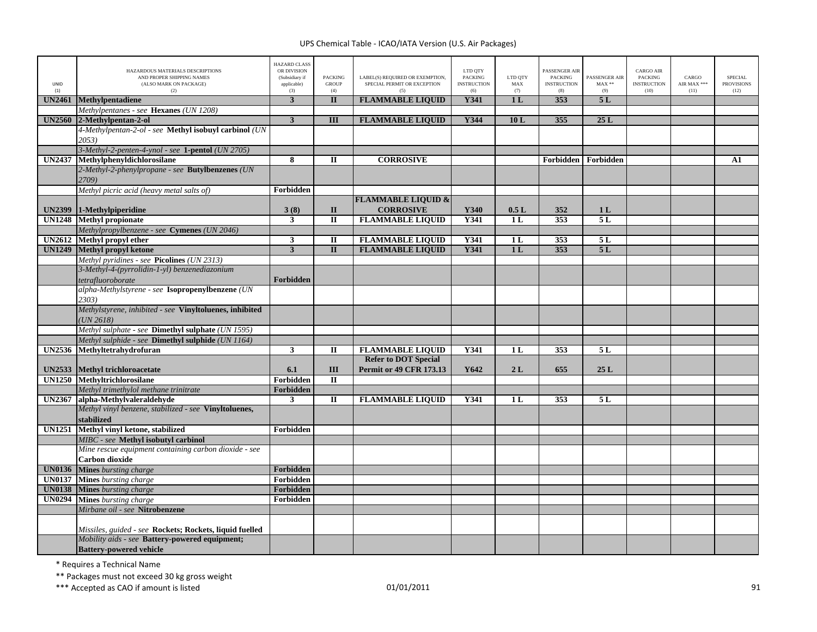| UNID<br>(1)   | HAZARDOUS MATERIALS DESCRIPTIONS<br>AND PROPER SHIPPING NAMES<br>(ALSO MARK ON PACKAGE)<br>(2) | <b>HAZARD CLASS</b><br>OR DIVISION<br>(Subsidiary if<br>applicable)<br>(3) | <b>PACKING</b><br><b>GROUP</b><br>(4) | LABEL(S) REQUIRED OR EXEMPTION,<br>SPECIAL PERMIT OR EXCEPTION<br>(5) | LTD QTY<br>PACKING<br><b>INSTRUCTION</b><br>(6) | LTD QTY<br>MAX<br>(7) | PASSENGER AIR<br><b>PACKING</b><br><b>INSTRUCTION</b><br>(8) | PASSENGER AIR<br>$MAX**$<br>(9) | CARGO AIR<br><b>PACKING</b><br><b>INSTRUCTION</b><br>(10) | CARGO<br>AIR MAX ***<br>(11) | <b>SPECIAL</b><br><b>PROVISIONS</b><br>(12) |
|---------------|------------------------------------------------------------------------------------------------|----------------------------------------------------------------------------|---------------------------------------|-----------------------------------------------------------------------|-------------------------------------------------|-----------------------|--------------------------------------------------------------|---------------------------------|-----------------------------------------------------------|------------------------------|---------------------------------------------|
| <b>UN2461</b> | Methylpentadiene                                                                               | 3                                                                          | $\mathbf{I}$                          | <b>FLAMMABLE LIQUID</b>                                               | <b>Y341</b>                                     | 1 <sub>L</sub>        | 353                                                          | 5L                              |                                                           |                              |                                             |
|               | Methylpentanes - see Hexanes (UN 1208)                                                         |                                                                            |                                       |                                                                       |                                                 |                       |                                                              |                                 |                                                           |                              |                                             |
| <b>UN2560</b> | 2-Methylpentan-2-ol                                                                            | $\mathbf{3}$                                                               | III                                   | <b>FLAMMABLE LIQUID</b>                                               | Y344                                            | 10L                   | 355                                                          | 25L                             |                                                           |                              |                                             |
|               | 4-Methylpentan-2-ol - see Methyl isobuyl carbinol (UN                                          |                                                                            |                                       |                                                                       |                                                 |                       |                                                              |                                 |                                                           |                              |                                             |
|               | 2053)                                                                                          |                                                                            |                                       |                                                                       |                                                 |                       |                                                              |                                 |                                                           |                              |                                             |
|               | 3-Methyl-2-penten-4-ynol - see 1-pentol (UN 2705)                                              |                                                                            |                                       |                                                                       |                                                 |                       |                                                              |                                 |                                                           |                              |                                             |
| <b>UN2437</b> | Methylphenyldichlorosilane                                                                     | 8                                                                          | $\mathbf{I}$                          | <b>CORROSIVE</b>                                                      |                                                 |                       | Forbidden                                                    | Forbidden                       |                                                           |                              | ${\bf A1}$                                  |
|               | 2-Methyl-2-phenylpropane - see Butylbenzenes (UN                                               |                                                                            |                                       |                                                                       |                                                 |                       |                                                              |                                 |                                                           |                              |                                             |
|               | 2709)                                                                                          |                                                                            |                                       |                                                                       |                                                 |                       |                                                              |                                 |                                                           |                              |                                             |
|               | Methyl picric acid (heavy metal salts of)                                                      | Forbidden                                                                  |                                       |                                                                       |                                                 |                       |                                                              |                                 |                                                           |                              |                                             |
|               |                                                                                                |                                                                            |                                       | <b>FLAMMABLE LIQUID &amp;</b>                                         |                                                 |                       |                                                              |                                 |                                                           |                              |                                             |
| <b>UN2399</b> | 1-Methylpiperidine                                                                             | 3(8)                                                                       | $\mathbf{I}$                          | <b>CORROSIVE</b>                                                      | Y340                                            | 0.5L                  | 352                                                          | 1 <sub>L</sub>                  |                                                           |                              |                                             |
| <b>UN1248</b> | <b>Methyl propionate</b>                                                                       | 3                                                                          | $\mathbf{I}$                          | <b>FLAMMABLE LIQUID</b>                                               | Y341                                            | 1 <sub>L</sub>        | 353                                                          | 5L                              |                                                           |                              |                                             |
|               | Methylpropylbenzene - see Cymenes (UN 2046)                                                    |                                                                            |                                       |                                                                       |                                                 |                       |                                                              |                                 |                                                           |                              |                                             |
| <b>UN2612</b> | Methyl propyl ether                                                                            | 3                                                                          | П                                     | <b>FLAMMABLE LIQUID</b>                                               | Y341                                            | 1 L                   | 353                                                          | 5 L                             |                                                           |                              |                                             |
| <b>UN1249</b> | <b>Methyl propyl ketone</b>                                                                    | $\mathbf{3}$                                                               | $\mathbf{I}$                          | <b>FLAMMABLE LIQUID</b>                                               | Y341                                            | 1 <sub>L</sub>        | 353                                                          | 5L                              |                                                           |                              |                                             |
|               | Methyl pyridines - see Picolines (UN 2313)                                                     |                                                                            |                                       |                                                                       |                                                 |                       |                                                              |                                 |                                                           |                              |                                             |
|               | 3-Methyl-4-(pyrrolidin-1-yl) benzenediazonium                                                  |                                                                            |                                       |                                                                       |                                                 |                       |                                                              |                                 |                                                           |                              |                                             |
|               | tetrafluoroborate                                                                              | Forbidden                                                                  |                                       |                                                                       |                                                 |                       |                                                              |                                 |                                                           |                              |                                             |
|               | alpha-Methylstyrene - see Isopropenylbenzene (UN                                               |                                                                            |                                       |                                                                       |                                                 |                       |                                                              |                                 |                                                           |                              |                                             |
|               | 2303)                                                                                          |                                                                            |                                       |                                                                       |                                                 |                       |                                                              |                                 |                                                           |                              |                                             |
|               | Methylstyrene, inhibited - see Vinyltoluenes, inhibited<br>UN 2618                             |                                                                            |                                       |                                                                       |                                                 |                       |                                                              |                                 |                                                           |                              |                                             |
|               | Methyl sulphate - see Dimethyl sulphate (UN 1595)                                              |                                                                            |                                       |                                                                       |                                                 |                       |                                                              |                                 |                                                           |                              |                                             |
|               | Methyl sulphide - see <b>Dimethyl sulphide</b> (UN 1164)                                       |                                                                            |                                       |                                                                       |                                                 |                       |                                                              |                                 |                                                           |                              |                                             |
| <b>UN2536</b> | Methyltetrahydrofuran                                                                          | 3                                                                          | П                                     | <b>FLAMMABLE LIQUID</b>                                               | Y341                                            | 1 L                   | 353                                                          | 5 L                             |                                                           |                              |                                             |
|               |                                                                                                |                                                                            |                                       | <b>Refer to DOT Special</b>                                           |                                                 |                       |                                                              |                                 |                                                           |                              |                                             |
|               | UN2533 Methyl trichloroacetate                                                                 | 6.1                                                                        | $\rm III$                             | <b>Permit or 49 CFR 173.13</b>                                        | Y642                                            | 2L                    | 655                                                          | 25L                             |                                                           |                              |                                             |
| <b>UN1250</b> | <b>Methvltrichlorosilane</b>                                                                   | Forbidden                                                                  | $\overline{\mathbf{u}}$               |                                                                       |                                                 |                       |                                                              |                                 |                                                           |                              |                                             |
|               | Methyl trimethylol methane trinitrate                                                          | Forbidden                                                                  |                                       |                                                                       |                                                 |                       |                                                              |                                 |                                                           |                              |                                             |
| <b>UN2367</b> | alpha-Methylvaleraldehyde                                                                      | $\mathbf{3}$                                                               | П                                     | <b>FLAMMABLE LIQUID</b>                                               | Y341                                            | 1 L                   | 353                                                          | 5 L                             |                                                           |                              |                                             |
|               | Methyl vinyl benzene, stabilized - see Vinyltoluenes,                                          |                                                                            |                                       |                                                                       |                                                 |                       |                                                              |                                 |                                                           |                              |                                             |
|               | stabilized                                                                                     |                                                                            |                                       |                                                                       |                                                 |                       |                                                              |                                 |                                                           |                              |                                             |
| <b>UN1251</b> | Methyl vinyl ketone, stabilized                                                                | Forbidden                                                                  |                                       |                                                                       |                                                 |                       |                                                              |                                 |                                                           |                              |                                             |
|               | MIBC - see Methyl isobutyl carbinol                                                            |                                                                            |                                       |                                                                       |                                                 |                       |                                                              |                                 |                                                           |                              |                                             |
|               | Mine rescue equipment containing carbon dioxide - see                                          |                                                                            |                                       |                                                                       |                                                 |                       |                                                              |                                 |                                                           |                              |                                             |
|               | Carbon dioxide                                                                                 |                                                                            |                                       |                                                                       |                                                 |                       |                                                              |                                 |                                                           |                              |                                             |
| <b>UN0136</b> | <b>Mines</b> bursting charge                                                                   | Forbidden                                                                  |                                       |                                                                       |                                                 |                       |                                                              |                                 |                                                           |                              |                                             |
| <b>UN0137</b> | Mines bursting charge                                                                          | Forbidden                                                                  |                                       |                                                                       |                                                 |                       |                                                              |                                 |                                                           |                              |                                             |
| <b>UN0138</b> | Mines bursting charge                                                                          | Forbidden                                                                  |                                       |                                                                       |                                                 |                       |                                                              |                                 |                                                           |                              |                                             |
| <b>UN0294</b> | Mines bursting charge                                                                          | Forbidden                                                                  |                                       |                                                                       |                                                 |                       |                                                              |                                 |                                                           |                              |                                             |
|               | Mirbane oil - see Nitrobenzene                                                                 |                                                                            |                                       |                                                                       |                                                 |                       |                                                              |                                 |                                                           |                              |                                             |
|               | Missiles, guided - see Rockets; Rockets, liquid fuelled                                        |                                                                            |                                       |                                                                       |                                                 |                       |                                                              |                                 |                                                           |                              |                                             |
|               | Mobility aids - see Battery-powered equipment;                                                 |                                                                            |                                       |                                                                       |                                                 |                       |                                                              |                                 |                                                           |                              |                                             |
|               | <b>Battery-powered vehicle</b>                                                                 |                                                                            |                                       |                                                                       |                                                 |                       |                                                              |                                 |                                                           |                              |                                             |

\* Requires <sup>a</sup> Technical Name

\*\* Packages must not exceed 30 kg gross weight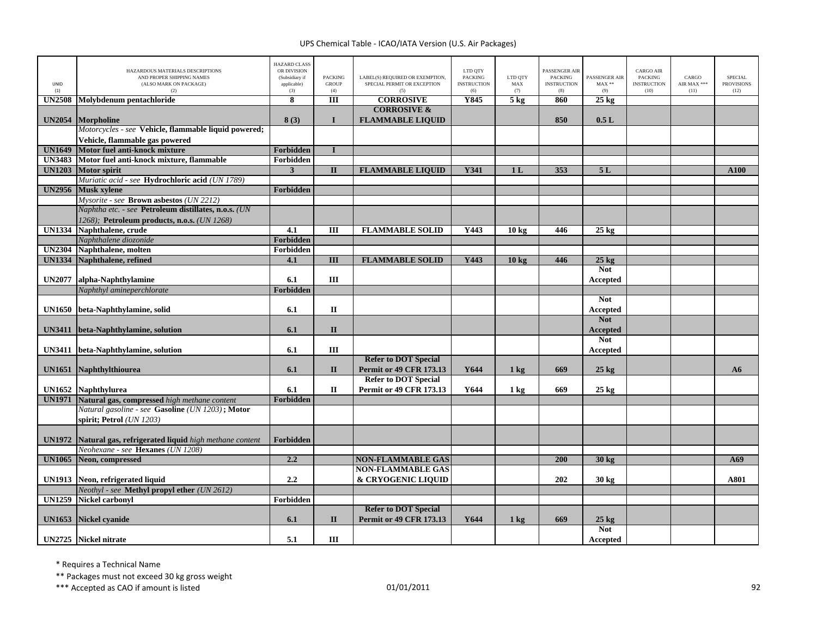| UNID<br>(1)   | HAZARDOUS MATERIALS DESCRIPTIONS<br>AND PROPER SHIPPING NAMES<br>(ALSO MARK ON PACKAGE)<br>(2) | <b>HAZARD CLASS</b><br>OR DIVISION<br>(Subsidiary if<br>applicable)<br>(3) | <b>PACKING</b><br><b>GROUP</b><br>(4) | LABEL(S) REQUIRED OR EXEMPTION,<br>SPECIAL PERMIT OR EXCEPTION<br>(5) | LTD QTY<br><b>PACKING</b><br><b>INSTRUCTION</b><br>(6) | LTD QTY<br>MAX<br>(7) | PASSENGER AIR<br><b>PACKING</b><br><b>INSTRUCTION</b><br>(8) | PASSENGER AIR<br>$MAX**$<br>(9) | <b>CARGO AIR</b><br><b>PACKING</b><br><b>INSTRUCTION</b><br>(10) | CARGO<br>AIR MAX ***<br>(11) | <b>SPECIAL</b><br><b>PROVISIONS</b><br>(12) |
|---------------|------------------------------------------------------------------------------------------------|----------------------------------------------------------------------------|---------------------------------------|-----------------------------------------------------------------------|--------------------------------------------------------|-----------------------|--------------------------------------------------------------|---------------------------------|------------------------------------------------------------------|------------------------------|---------------------------------------------|
| <b>UN2508</b> | Molybdenum pentachloride                                                                       | 8                                                                          | III                                   | <b>CORROSIVE</b>                                                      | Y845                                                   | $5$ kg                | 860                                                          | $25 \text{ kg}$                 |                                                                  |                              |                                             |
|               |                                                                                                |                                                                            |                                       | <b>CORROSIVE &amp;</b>                                                |                                                        |                       |                                                              |                                 |                                                                  |                              |                                             |
| <b>UN2054</b> | Morpholine                                                                                     | 8(3)                                                                       | $\mathbf{I}$                          | <b>FLAMMABLE LIQUID</b>                                               |                                                        |                       | 850                                                          | 0.5L                            |                                                                  |                              |                                             |
|               | Motorcycles - see Vehicle, flammable liquid powered;                                           |                                                                            |                                       |                                                                       |                                                        |                       |                                                              |                                 |                                                                  |                              |                                             |
|               | Vehicle, flammable gas powered                                                                 |                                                                            |                                       |                                                                       |                                                        |                       |                                                              |                                 |                                                                  |                              |                                             |
| <b>UN1649</b> | Motor fuel anti-knock mixture                                                                  | Forbidden                                                                  | $\mathbf I$                           |                                                                       |                                                        |                       |                                                              |                                 |                                                                  |                              |                                             |
| <b>UN3483</b> | Motor fuel anti-knock mixture, flammable                                                       | Forbidden                                                                  |                                       |                                                                       |                                                        |                       |                                                              |                                 |                                                                  |                              |                                             |
| <b>UN1203</b> | <b>Motor spirit</b>                                                                            | $\overline{\mathbf{3}}$                                                    | $\mathbf{I}$                          | <b>FLAMMABLE LIQUID</b>                                               | Y341                                                   | 1 <sub>L</sub>        | 353                                                          | 5L                              |                                                                  |                              | A100                                        |
|               | Muriatic acid - see Hydrochloric acid (UN 1789)                                                |                                                                            |                                       |                                                                       |                                                        |                       |                                                              |                                 |                                                                  |                              |                                             |
| <b>UN2956</b> | <b>Musk xylene</b>                                                                             | Forbidden                                                                  |                                       |                                                                       |                                                        |                       |                                                              |                                 |                                                                  |                              |                                             |
|               | Mysorite - see Brown asbestos (UN 2212)                                                        |                                                                            |                                       |                                                                       |                                                        |                       |                                                              |                                 |                                                                  |                              |                                             |
|               | Naphtha etc. - see Petroleum distillates, n.o.s. (UN                                           |                                                                            |                                       |                                                                       |                                                        |                       |                                                              |                                 |                                                                  |                              |                                             |
|               | 1268); Petroleum products, n.o.s. (UN 1268)                                                    |                                                                            |                                       |                                                                       |                                                        |                       |                                                              |                                 |                                                                  |                              |                                             |
| <b>UN1334</b> | Naphthalene, crude                                                                             | 4.1                                                                        | $\overline{III}$                      | <b>FLAMMABLE SOLID</b>                                                | Y443                                                   | 10 <sub>kg</sub>      | 446                                                          | $25 \text{ kg}$                 |                                                                  |                              |                                             |
|               | Naphthalene diozonide                                                                          | Forbidden                                                                  |                                       |                                                                       |                                                        |                       |                                                              |                                 |                                                                  |                              |                                             |
| <b>UN2304</b> | Naphthalene, molten                                                                            | Forbidden                                                                  | $\overline{III}$                      |                                                                       | Y443                                                   |                       | 446                                                          |                                 |                                                                  |                              |                                             |
| <b>UN1334</b> | Naphthalene, refined                                                                           | 4.1                                                                        |                                       | <b>FLAMMABLE SOLID</b>                                                |                                                        | 10 <sub>kg</sub>      |                                                              | $25$ kg<br><b>Not</b>           |                                                                  |                              |                                             |
| <b>UN2077</b> | alpha-Naphthylamine                                                                            | 6.1                                                                        | III                                   |                                                                       |                                                        |                       |                                                              |                                 |                                                                  |                              |                                             |
|               | Naphthyl amineperchlorate                                                                      | Forbidden                                                                  |                                       |                                                                       |                                                        |                       |                                                              | Accepted                        |                                                                  |                              |                                             |
|               |                                                                                                |                                                                            |                                       |                                                                       |                                                        |                       |                                                              | <b>Not</b>                      |                                                                  |                              |                                             |
| <b>UN1650</b> | beta-Naphthylamine, solid                                                                      | 6.1                                                                        | $\mathbf{I}$                          |                                                                       |                                                        |                       |                                                              | Accepted                        |                                                                  |                              |                                             |
|               |                                                                                                |                                                                            |                                       |                                                                       |                                                        |                       |                                                              | <b>Not</b>                      |                                                                  |                              |                                             |
| <b>UN3411</b> | beta-Naphthylamine, solution                                                                   | 6.1                                                                        | $\Pi$                                 |                                                                       |                                                        |                       |                                                              | <b>Accepted</b>                 |                                                                  |                              |                                             |
|               |                                                                                                |                                                                            |                                       |                                                                       |                                                        |                       |                                                              | <b>Not</b>                      |                                                                  |                              |                                             |
| <b>UN3411</b> | beta-Naphthylamine, solution                                                                   | 6.1                                                                        | III                                   |                                                                       |                                                        |                       |                                                              | Accepted                        |                                                                  |                              |                                             |
|               |                                                                                                |                                                                            |                                       | <b>Refer to DOT Special</b>                                           |                                                        |                       |                                                              |                                 |                                                                  |                              |                                             |
| <b>UN1651</b> | Naphthylthiourea                                                                               | 6.1                                                                        | $\mathbf{I}$                          | <b>Permit or 49 CFR 173.13</b>                                        | Y644                                                   | $1 \text{ kg}$        | 669                                                          | $25$ kg                         |                                                                  |                              | A6                                          |
|               |                                                                                                |                                                                            |                                       | <b>Refer to DOT Special</b>                                           |                                                        |                       |                                                              |                                 |                                                                  |                              |                                             |
| <b>UN1652</b> | <b>Naphthylurea</b>                                                                            | 6.1                                                                        | $\Pi$                                 | <b>Permit or 49 CFR 173.13</b>                                        | Y644                                                   | 1 kg                  | 669                                                          | $25 \text{ kg}$                 |                                                                  |                              |                                             |
| <b>UN1971</b> | Natural gas, compressed high methane content                                                   | Forbidden                                                                  |                                       |                                                                       |                                                        |                       |                                                              |                                 |                                                                  |                              |                                             |
|               | Natural gasoline - see Gasoline (UN 1203); Motor                                               |                                                                            |                                       |                                                                       |                                                        |                       |                                                              |                                 |                                                                  |                              |                                             |
|               | spirit: Petrol (UN 1203)                                                                       |                                                                            |                                       |                                                                       |                                                        |                       |                                                              |                                 |                                                                  |                              |                                             |
|               |                                                                                                |                                                                            |                                       |                                                                       |                                                        |                       |                                                              |                                 |                                                                  |                              |                                             |
| <b>UN1972</b> | Natural gas, refrigerated liquid high methane content                                          | <b>Forbidden</b>                                                           |                                       |                                                                       |                                                        |                       |                                                              |                                 |                                                                  |                              |                                             |
|               | Neohexane - see Hexanes (UN 1208)                                                              |                                                                            |                                       |                                                                       |                                                        |                       |                                                              |                                 |                                                                  |                              |                                             |
| <b>UN1065</b> | Neon, compressed                                                                               | 2.2                                                                        |                                       | <b>NON-FLAMMABLE GAS</b>                                              |                                                        |                       | 200                                                          | $30 \text{ kg}$                 |                                                                  |                              | A69                                         |
|               |                                                                                                |                                                                            |                                       | <b>NON-FLAMMABLE GAS</b>                                              |                                                        |                       |                                                              |                                 |                                                                  |                              |                                             |
| <b>UN1913</b> | Neon, refrigerated liquid                                                                      | 2.2                                                                        |                                       | & CRYOGENIC LIQUID                                                    |                                                        |                       | 202                                                          | $30 \text{ kg}$                 |                                                                  |                              | A801                                        |
|               | Neothyl - see Methyl propyl ether (UN 2612)                                                    |                                                                            |                                       |                                                                       |                                                        |                       |                                                              |                                 |                                                                  |                              |                                             |
| <b>UN1259</b> | <b>Nickel carbonyl</b>                                                                         | Forbidden                                                                  |                                       |                                                                       |                                                        |                       |                                                              |                                 |                                                                  |                              |                                             |
|               |                                                                                                |                                                                            |                                       | <b>Refer to DOT Special</b>                                           |                                                        |                       |                                                              |                                 |                                                                  |                              |                                             |
| <b>UN1653</b> | Nickel cyanide                                                                                 | 6.1                                                                        | $\mathbf{I}$                          | <b>Permit or 49 CFR 173.13</b>                                        | Y644                                                   | $1 \text{ kg}$        | 669                                                          | $25 \text{ kg}$                 |                                                                  |                              |                                             |
|               |                                                                                                |                                                                            |                                       |                                                                       |                                                        |                       |                                                              | <b>Not</b>                      |                                                                  |                              |                                             |
|               | <b>UN2725</b> Nickel nitrate                                                                   | 5.1                                                                        | Ш                                     |                                                                       |                                                        |                       |                                                              | Accepted                        |                                                                  |                              |                                             |

\* Requires <sup>a</sup> Technical Name

\*\* Packages must not exceed 30 kg gross weight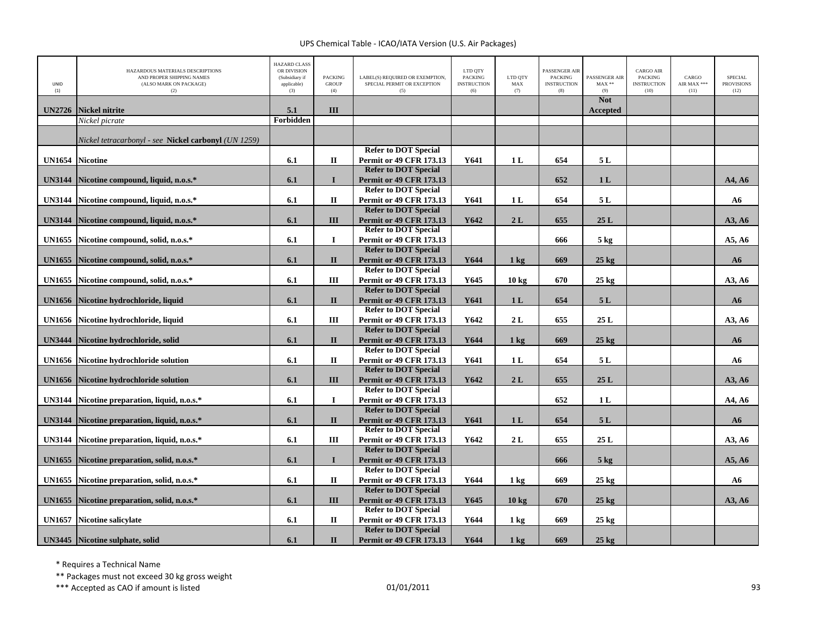| UNID<br>(1)   | HAZARDOUS MATERIALS DESCRIPTIONS<br>AND PROPER SHIPPING NAMES<br>(ALSO MARK ON PACKAGE)<br>(2) | <b>HAZARD CLASS</b><br>OR DIVISION<br>(Subsidiary if<br>applicable)<br>(3) | <b>PACKING</b><br><b>GROUP</b><br>(4) | LABEL(S) REQUIRED OR EXEMPTION,<br>SPECIAL PERMIT OR EXCEPTION<br>(5) | LTD OTY<br><b>PACKING</b><br><b>INSTRUCTION</b><br>(6) | LTD OTY<br>MAX<br>(7) | <b>PASSENGER AIR</b><br><b>PACKING</b><br><b>INSTRUCTION</b><br>(8) | PASSENGER AIR<br>$MAX**$<br>(9) | <b>CARGO AIR</b><br>PACKING<br><b>INSTRUCTION</b><br>(10) | CARGO<br>AIR MAX ***<br>(11) | SPECIAL<br><b>PROVISIONS</b><br>(12) |
|---------------|------------------------------------------------------------------------------------------------|----------------------------------------------------------------------------|---------------------------------------|-----------------------------------------------------------------------|--------------------------------------------------------|-----------------------|---------------------------------------------------------------------|---------------------------------|-----------------------------------------------------------|------------------------------|--------------------------------------|
| <b>UN2726</b> | Nickel nitrite                                                                                 | 5.1                                                                        | III                                   |                                                                       |                                                        |                       |                                                                     | <b>Not</b><br><b>Accepted</b>   |                                                           |                              |                                      |
|               | Nickel picrate                                                                                 | Forbidden                                                                  |                                       |                                                                       |                                                        |                       |                                                                     |                                 |                                                           |                              |                                      |
|               |                                                                                                |                                                                            |                                       |                                                                       |                                                        |                       |                                                                     |                                 |                                                           |                              |                                      |
|               | Nickel tetracarbonyl - see Nickel carbonyl (UN 1259)                                           |                                                                            |                                       |                                                                       |                                                        |                       |                                                                     |                                 |                                                           |                              |                                      |
|               |                                                                                                |                                                                            |                                       | <b>Refer to DOT Special</b>                                           |                                                        |                       |                                                                     |                                 |                                                           |                              |                                      |
| <b>UN1654</b> | <b>Nicotine</b>                                                                                | 6.1                                                                        | $\mathbf H$                           | <b>Permit or 49 CFR 173.13</b>                                        | Y641                                                   | 1 <sub>L</sub>        | 654                                                                 | 5L                              |                                                           |                              |                                      |
|               |                                                                                                |                                                                            |                                       | <b>Refer to DOT Special</b>                                           |                                                        |                       |                                                                     |                                 |                                                           |                              |                                      |
| <b>UN3144</b> | Nicotine compound, liquid, n.o.s.*                                                             | 6.1                                                                        | $\mathbf{I}$                          | <b>Permit or 49 CFR 173.13</b>                                        |                                                        |                       | 652                                                                 | 1 <sub>L</sub>                  |                                                           |                              | A4, A6                               |
|               |                                                                                                |                                                                            |                                       | <b>Refer to DOT Special</b>                                           |                                                        |                       |                                                                     |                                 |                                                           |                              |                                      |
| <b>UN3144</b> | Nicotine compound, liquid, n.o.s.*                                                             | 6.1                                                                        | $\mathbf{I}$                          | <b>Permit or 49 CFR 173.13</b>                                        | Y641                                                   | 1L                    | 654                                                                 | 5L                              |                                                           |                              | A6                                   |
|               |                                                                                                |                                                                            |                                       | <b>Refer to DOT Special</b>                                           |                                                        |                       |                                                                     |                                 |                                                           |                              |                                      |
| <b>UN3144</b> | Nicotine compound, liquid, n.o.s.*                                                             | 6.1                                                                        | III                                   | <b>Permit or 49 CFR 173.13</b><br><b>Refer to DOT Special</b>         | Y642                                                   | 2L                    | 655                                                                 | 25L                             |                                                           |                              | A3, A6                               |
|               |                                                                                                |                                                                            | $\bf{I}$                              |                                                                       |                                                        |                       |                                                                     |                                 |                                                           |                              |                                      |
| <b>UN1655</b> | Nicotine compound, solid, n.o.s.*                                                              | 6.1                                                                        |                                       | <b>Permit or 49 CFR 173.13</b><br><b>Refer to DOT Special</b>         |                                                        |                       | 666                                                                 | $5 \text{ kg}$                  |                                                           |                              | A5, A6                               |
|               | Nicotine compound, solid, n.o.s.*                                                              | 6.1                                                                        | $\mathbf{I}$                          | Permit or 49 CFR 173.13                                               | Y644                                                   |                       | 669                                                                 | $25 \text{ kg}$                 |                                                           |                              | A6                                   |
| <b>UN1655</b> |                                                                                                |                                                                            |                                       | <b>Refer to DOT Special</b>                                           |                                                        | $1 \text{ kg}$        |                                                                     |                                 |                                                           |                              |                                      |
| <b>UN1655</b> | Nicotine compound, solid, n.o.s.*                                                              | 6.1                                                                        | Ш                                     | <b>Permit or 49 CFR 173.13</b>                                        | Y645                                                   | 10 <sub>kg</sub>      | 670                                                                 | $25$ kg                         |                                                           |                              | A3, A6                               |
|               |                                                                                                |                                                                            |                                       | <b>Refer to DOT Special</b>                                           |                                                        |                       |                                                                     |                                 |                                                           |                              |                                      |
| <b>UN1656</b> | Nicotine hydrochloride, liquid                                                                 | 6.1                                                                        | $\mathbf{I}$                          | <b>Permit or 49 CFR 173.13</b>                                        | Y641                                                   | 1 <sub>L</sub>        | 654                                                                 | 5L                              |                                                           |                              | ${\bf A6}$                           |
|               |                                                                                                |                                                                            |                                       | <b>Refer to DOT Special</b>                                           |                                                        |                       |                                                                     |                                 |                                                           |                              |                                      |
| <b>UN1656</b> | Nicotine hydrochloride, liquid                                                                 | 6.1                                                                        | Ш                                     | <b>Permit or 49 CFR 173.13</b>                                        | Y642                                                   | 2L                    | 655                                                                 | 25 L                            |                                                           |                              | A3, A6                               |
|               |                                                                                                |                                                                            |                                       | <b>Refer to DOT Special</b>                                           |                                                        |                       |                                                                     |                                 |                                                           |                              |                                      |
| <b>UN3444</b> | Nicotine hydrochloride, solid                                                                  | 6.1                                                                        | $\mathbf{I}$                          | <b>Permit or 49 CFR 173.13</b>                                        | Y644                                                   | $1$ kg                | 669                                                                 | $25 \text{ kg}$                 |                                                           |                              | ${\bf A6}$                           |
|               |                                                                                                |                                                                            |                                       | <b>Refer to DOT Special</b>                                           |                                                        |                       |                                                                     |                                 |                                                           |                              |                                      |
| <b>UN1656</b> | <b>Nicotine hydrochloride solution</b>                                                         | 6.1                                                                        | $\mathbf H$                           | <b>Permit or 49 CFR 173.13</b>                                        | Y641                                                   | 1L                    | 654                                                                 | 5L                              |                                                           |                              | A6                                   |
|               |                                                                                                |                                                                            |                                       | <b>Refer to DOT Special</b>                                           |                                                        |                       |                                                                     |                                 |                                                           |                              |                                      |
| <b>UN1656</b> | <b>Nicotine hydrochloride solution</b>                                                         | 6.1                                                                        | III                                   | <b>Permit or 49 CFR 173.13</b>                                        | Y642                                                   | 2L                    | 655                                                                 | 25L                             |                                                           |                              | A3, A6                               |
|               |                                                                                                |                                                                            |                                       | <b>Refer to DOT Special</b>                                           |                                                        |                       |                                                                     |                                 |                                                           |                              |                                      |
| <b>UN3144</b> | Nicotine preparation, liquid, n.o.s.*                                                          | 6.1                                                                        | $\mathbf I$                           | <b>Permit or 49 CFR 173.13</b>                                        |                                                        |                       | 652                                                                 | 1L                              |                                                           |                              | A4, A6                               |
|               |                                                                                                |                                                                            |                                       | <b>Refer to DOT Special</b>                                           |                                                        |                       |                                                                     |                                 |                                                           |                              |                                      |
| <b>UN3144</b> | Nicotine preparation, liquid, n.o.s.*                                                          | 6.1                                                                        | $\mathbf{I}$                          | <b>Permit or 49 CFR 173.13</b>                                        | Y641                                                   | 1 <sub>L</sub>        | 654                                                                 | 5L                              |                                                           |                              | ${\bf A6}$                           |
|               |                                                                                                |                                                                            |                                       | <b>Refer to DOT Special</b>                                           |                                                        |                       |                                                                     |                                 |                                                           |                              |                                      |
| <b>UN3144</b> | Nicotine preparation, liquid, n.o.s.*                                                          | 6.1                                                                        | Ш                                     | Permit or 49 CFR 173.13                                               | Y642                                                   | 2L                    | 655                                                                 | 25L                             |                                                           |                              | A3, A6                               |
|               |                                                                                                |                                                                            |                                       | <b>Refer to DOT Special</b>                                           |                                                        |                       |                                                                     |                                 |                                                           |                              |                                      |
| <b>UN1655</b> | Nicotine preparation, solid, n.o.s.*                                                           | 6.1                                                                        | $\mathbf{I}$                          | <b>Permit or 49 CFR 173.13</b>                                        |                                                        |                       | 666                                                                 | $5$ kg                          |                                                           |                              | A5, A6                               |
|               |                                                                                                |                                                                            | $\mathbf{I}$                          | <b>Refer to DOT Special</b>                                           | Y644                                                   |                       | 669                                                                 |                                 |                                                           |                              |                                      |
| <b>UN1655</b> | Nicotine preparation, solid, n.o.s.*                                                           | 6.1                                                                        |                                       | Permit or 49 CFR 173.13<br><b>Refer to DOT Special</b>                |                                                        | $1 \text{ kg}$        |                                                                     | $25 \text{ kg}$                 |                                                           |                              | A6                                   |
| <b>UN1655</b> | Nicotine preparation, solid, n.o.s.*                                                           | 6.1                                                                        | III                                   | <b>Permit or 49 CFR 173.13</b>                                        | Y645                                                   | 10 <sub>kg</sub>      | 670                                                                 | $25 \text{ kg}$                 |                                                           |                              | A3, A6                               |
|               |                                                                                                |                                                                            |                                       | <b>Refer to DOT Special</b>                                           |                                                        |                       |                                                                     |                                 |                                                           |                              |                                      |
| <b>UN1657</b> | <b>Nicotine salicylate</b>                                                                     | 6.1                                                                        | П                                     | Permit or 49 CFR 173.13                                               | Y644                                                   | $1 \text{ kg}$        | 669                                                                 | $25 \text{ kg}$                 |                                                           |                              |                                      |
|               |                                                                                                |                                                                            |                                       | <b>Refer to DOT Special</b>                                           |                                                        |                       |                                                                     |                                 |                                                           |                              |                                      |
|               | UN3445 Nicotine sulphate, solid                                                                | 6.1                                                                        | $\mathbf{I}$                          | <b>Permit or 49 CFR 173.13</b>                                        | Y644                                                   | 1 <sub>kg</sub>       | 669                                                                 | $25$ kg                         |                                                           |                              |                                      |

\* Requires <sup>a</sup> Technical Name

\*\* Packages must not exceed 30 kg gross weight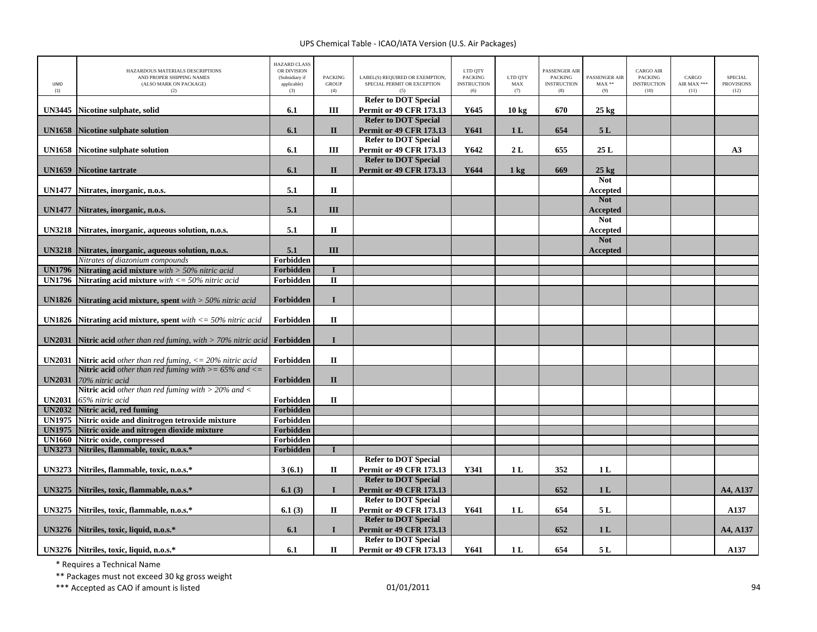| UNID<br>(1)                    | HAZARDOUS MATERIALS DESCRIPTIONS<br>AND PROPER SHIPPING NAMES<br>(ALSO MARK ON PACKAGE)<br>(2)    | <b>HAZARD CLASS</b><br>OR DIVISION<br>(Subsidiary if<br>applicable)<br>(3) | <b>PACKING</b><br><b>GROUP</b><br>(4) | LABEL(S) REQUIRED OR EXEMPTION,<br>SPECIAL PERMIT OR EXCEPTION | LTD QTY<br><b>PACKING</b><br><b>INSTRUCTION</b><br>(6) | LTD QTY<br>MAX<br>(7) | PASSENGER AIR<br><b>PACKING</b><br><b>INSTRUCTION</b><br>(8) | PASSENGER AIR<br>$MAX**$<br>(9) | <b>CARGO AIR</b><br><b>PACKING</b><br><b>INSTRUCTION</b><br>(10) | CARGO<br>AIR MAX ***<br>(11) | <b>SPECIAL</b><br><b>PROVISIONS</b><br>(12) |
|--------------------------------|---------------------------------------------------------------------------------------------------|----------------------------------------------------------------------------|---------------------------------------|----------------------------------------------------------------|--------------------------------------------------------|-----------------------|--------------------------------------------------------------|---------------------------------|------------------------------------------------------------------|------------------------------|---------------------------------------------|
|                                |                                                                                                   |                                                                            |                                       | <b>Refer to DOT Special</b>                                    |                                                        |                       |                                                              |                                 |                                                                  |                              |                                             |
| <b>UN3445</b>                  | Nicotine sulphate, solid                                                                          | 6.1                                                                        | Ш                                     | <b>Permit or 49 CFR 173.13</b>                                 | Y645                                                   | 10 <sub>kg</sub>      | 670                                                          | $25 \text{ kg}$                 |                                                                  |                              |                                             |
|                                |                                                                                                   |                                                                            |                                       | <b>Refer to DOT Special</b>                                    |                                                        |                       |                                                              |                                 |                                                                  |                              |                                             |
| <b>UN1658</b>                  | <b>Nicotine sulphate solution</b>                                                                 | 6.1                                                                        | $\mathbf{I}$                          | <b>Permit or 49 CFR 173.13</b><br><b>Refer to DOT Special</b>  | Y641                                                   | 1 <sub>L</sub>        | 654                                                          | 5L                              |                                                                  |                              |                                             |
| <b>UN1658</b>                  | <b>Nicotine sulphate solution</b>                                                                 | 6.1                                                                        | Ш                                     | <b>Permit or 49 CFR 173.13</b>                                 | Y642                                                   | 2L                    | 655                                                          | 25L                             |                                                                  |                              | A3                                          |
|                                |                                                                                                   |                                                                            |                                       | <b>Refer to DOT Special</b>                                    |                                                        |                       |                                                              |                                 |                                                                  |                              |                                             |
| <b>UN1659</b>                  | <b>Nicotine tartrate</b>                                                                          | 6.1                                                                        | $\mathbf{I}$                          | <b>Permit or 49 CFR 173.13</b>                                 | Y644                                                   | $1 \text{ kg}$        | 669                                                          | $25 \text{ kg}$                 |                                                                  |                              |                                             |
|                                |                                                                                                   |                                                                            |                                       |                                                                |                                                        |                       |                                                              | <b>Not</b>                      |                                                                  |                              |                                             |
| <b>UN1477</b>                  | Nitrates, inorganic, n.o.s.                                                                       | 5.1                                                                        | $\mathbf{I}$                          |                                                                |                                                        |                       |                                                              | <b>Accepted</b>                 |                                                                  |                              |                                             |
|                                |                                                                                                   |                                                                            |                                       |                                                                |                                                        |                       |                                                              | <b>Not</b>                      |                                                                  |                              |                                             |
| <b>UN1477</b>                  | Nitrates, inorganic, n.o.s.                                                                       | 5.1                                                                        | III                                   |                                                                |                                                        |                       |                                                              | Accepted                        |                                                                  |                              |                                             |
|                                |                                                                                                   |                                                                            |                                       |                                                                |                                                        |                       |                                                              | <b>Not</b>                      |                                                                  |                              |                                             |
| <b>UN3218</b>                  | Nitrates, inorganic, aqueous solution, n.o.s.                                                     | 5.1                                                                        | $\mathbf{I}$                          |                                                                |                                                        |                       |                                                              | Accepted                        |                                                                  |                              |                                             |
|                                |                                                                                                   |                                                                            |                                       |                                                                |                                                        |                       |                                                              | <b>Not</b>                      |                                                                  |                              |                                             |
| <b>UN3218</b>                  | Nitrates, inorganic, aqueous solution, n.o.s.                                                     | 5.1                                                                        | III                                   |                                                                |                                                        |                       |                                                              | Accepted                        |                                                                  |                              |                                             |
|                                | Nitrates of diazonium compounds                                                                   | Forbidden                                                                  |                                       |                                                                |                                                        |                       |                                                              |                                 |                                                                  |                              |                                             |
| <b>UN1796</b><br><b>UN1796</b> | <b>Nitrating acid mixture</b> with $>$ 50% nitric acid                                            | Forbidden<br>Forbidden                                                     | $\mathbf I$<br>$\mathbf{I}$           |                                                                |                                                        |                       |                                                              |                                 |                                                                  |                              |                                             |
|                                | Nitrating acid mixture with $\langle 50\% \text{ nitric acid} \rangle$                            |                                                                            |                                       |                                                                |                                                        |                       |                                                              |                                 |                                                                  |                              |                                             |
| <b>UN1826</b>                  | Nitrating acid mixture, spent with $>$ 50% nitric acid                                            | Forbidden                                                                  | $\mathbf I$                           |                                                                |                                                        |                       |                                                              |                                 |                                                                  |                              |                                             |
| <b>UN1826</b>                  | <b>Nitrating acid mixture, spent</b> with $\langle \mathbf{r} = 50\% \text{ nitric acid} \rangle$ | Forbidden                                                                  | $\mathbf{I}$                          |                                                                |                                                        |                       |                                                              |                                 |                                                                  |                              |                                             |
| <b>UN2031</b>                  | <b>Nitric acid</b> other than red fuming, with $>$ 70% nitric acid <b>Forbidden</b>               |                                                                            | $\bf{I}$                              |                                                                |                                                        |                       |                                                              |                                 |                                                                  |                              |                                             |
|                                | <b>UN2031</b> Nitric acid other than red fuming, $\langle 20\% \rangle$ nitric acid               | Forbidden                                                                  | $\mathbf{I}\mathbf{I}$                |                                                                |                                                        |                       |                                                              |                                 |                                                                  |                              |                                             |
|                                | <b>Nitric acid</b> other than red fuming with $>= 65\%$ and $<=$                                  |                                                                            |                                       |                                                                |                                                        |                       |                                                              |                                 |                                                                  |                              |                                             |
| <b>UN2031</b>                  | 70% nitric acid                                                                                   | Forbidden                                                                  | $\mathbf{I}$                          |                                                                |                                                        |                       |                                                              |                                 |                                                                  |                              |                                             |
|                                | <b>Nitric acid</b> other than red fuming with $>$ 20% and $<$                                     |                                                                            |                                       |                                                                |                                                        |                       |                                                              |                                 |                                                                  |                              |                                             |
| <b>UN2031</b>                  | 65% nitric acid                                                                                   | Forbidden                                                                  | $\mathbf H$                           |                                                                |                                                        |                       |                                                              |                                 |                                                                  |                              |                                             |
| <b>UN2032</b>                  | Nitric acid, red fuming                                                                           | Forbidden                                                                  |                                       |                                                                |                                                        |                       |                                                              |                                 |                                                                  |                              |                                             |
| <b>UN1975</b><br><b>UN1975</b> | Nitric oxide and dinitrogen tetroxide mixture<br>Nitric oxide and nitrogen dioxide mixture        | Forbidden<br><b>Forbidden</b>                                              |                                       |                                                                |                                                        |                       |                                                              |                                 |                                                                  |                              |                                             |
| <b>UN1660</b>                  | Nitric oxide, compressed                                                                          | Forbidden                                                                  |                                       |                                                                |                                                        |                       |                                                              |                                 |                                                                  |                              |                                             |
| <b>UN3273</b>                  | Nitriles, flammable, toxic, n.o.s.*                                                               | Forbidden                                                                  | $\mathbf I$                           |                                                                |                                                        |                       |                                                              |                                 |                                                                  |                              |                                             |
|                                |                                                                                                   |                                                                            |                                       | <b>Refer to DOT Special</b>                                    |                                                        |                       |                                                              |                                 |                                                                  |                              |                                             |
| <b>UN3273</b>                  | Nitriles, flammable, toxic, n.o.s.*                                                               | 3(6.1)                                                                     | $\mathbf{I}$                          | <b>Permit or 49 CFR 173.13</b><br><b>Refer to DOT Special</b>  | Y341                                                   | 1L                    | 352                                                          | 1 <sub>L</sub>                  |                                                                  |                              |                                             |
| <b>UN3275</b>                  | Nitriles, toxic, flammable, n.o.s.*                                                               | 6.1(3)                                                                     | $\mathbf I$                           | <b>Permit or 49 CFR 173.13</b>                                 |                                                        |                       | 652                                                          | 1 <sub>L</sub>                  |                                                                  |                              | A4, A137                                    |
| <b>UN3275</b>                  | Nitriles, toxic, flammable, n.o.s.*                                                               | 6.1(3)                                                                     | $\mathbf{I}$                          | <b>Refer to DOT Special</b><br><b>Permit or 49 CFR 173.13</b>  | Y641                                                   | 1 <sub>L</sub>        | 654                                                          | 5 L                             |                                                                  |                              | A137                                        |
| <b>UN3276</b>                  | Nitriles, toxic, liquid, n.o.s.*                                                                  | 6.1                                                                        | $\mathbf{I}$                          | <b>Refer to DOT Special</b><br><b>Permit or 49 CFR 173.13</b>  |                                                        |                       | 652                                                          | 1 <sub>L</sub>                  |                                                                  |                              | A4, A137                                    |
|                                | UN3276 Nitriles, toxic, liquid, n.o.s.*                                                           | 6.1                                                                        | П                                     | <b>Refer to DOT Special</b><br><b>Permit or 49 CFR 173.13</b>  | Y641                                                   | 1 <sub>L</sub>        | 654                                                          | 5 L                             |                                                                  |                              | A137                                        |

\* Requires <sup>a</sup> Technical Name

\*\* Packages must not exceed 30 kg gross weight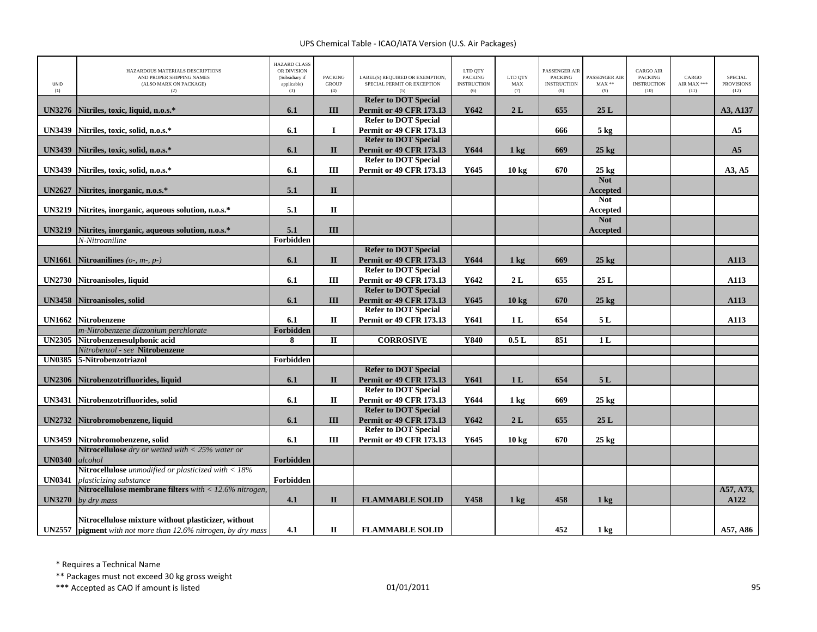| <b>UNID</b><br>(1) | HAZARDOUS MATERIALS DESCRIPTIONS<br>AND PROPER SHIPPING NAMES<br>(ALSO MARK ON PACKAGE)<br>(2) | <b>HAZARD CLASS</b><br>OR DIVISION<br>(Subsidiary if<br>applicable)<br>(3) | <b>PACKING</b><br><b>GROUP</b><br>(4) | LABEL(S) REQUIRED OR EXEMPTION,<br>SPECIAL PERMIT OR EXCEPTION                               | LTD QTY<br><b>PACKING</b><br><b>INSTRUCTION</b><br>(6) | LTD QTY<br>MAX<br>(7) | PASSENGER AIR<br><b>PACKING</b><br><b>INSTRUCTION</b><br>(8) | PASSENGER AIR<br>$MAX**$<br>(9) | <b>CARGO AIR</b><br>PACKING<br><b>INSTRUCTION</b><br>(10) | CARGO<br>AIR MAX ***<br>(11) | <b>SPECIAL</b><br><b>PROVISIONS</b><br>(12) |
|--------------------|------------------------------------------------------------------------------------------------|----------------------------------------------------------------------------|---------------------------------------|----------------------------------------------------------------------------------------------|--------------------------------------------------------|-----------------------|--------------------------------------------------------------|---------------------------------|-----------------------------------------------------------|------------------------------|---------------------------------------------|
| <b>UN3276</b>      | Nitriles, toxic, liquid, n.o.s.*                                                               | 6.1                                                                        | III                                   | <b>Refer to DOT Special</b><br><b>Permit or 49 CFR 173.13</b>                                | Y642                                                   | 2L                    | 655                                                          | 25L                             |                                                           |                              | A3, A137                                    |
| <b>UN3439</b>      | Nitriles, toxic, solid, n.o.s.*                                                                | 6.1                                                                        | $\bf{I}$                              | <b>Refer to DOT Special</b><br><b>Permit or 49 CFR 173.13</b>                                |                                                        |                       | 666                                                          | 5 kg                            |                                                           |                              | A <sub>5</sub>                              |
| <b>UN3439</b>      | Nitriles, toxic, solid, n.o.s.*                                                                | 6.1                                                                        | $\mathbf{I}$                          | <b>Refer to DOT Special</b><br><b>Permit or 49 CFR 173.13</b>                                | Y644                                                   | $1 \text{ kg}$        | 669                                                          | $25 \text{ kg}$                 |                                                           |                              | A <sub>5</sub>                              |
| <b>UN3439</b>      | Nitriles, toxic, solid, n.o.s.*                                                                | 6.1                                                                        | III                                   | <b>Refer to DOT Special</b><br><b>Permit or 49 CFR 173.13</b>                                | Y645                                                   | $10 \text{ kg}$       | 670                                                          | $25 \text{ kg}$<br><b>Not</b>   |                                                           |                              | A3, A5                                      |
| <b>UN2627</b>      | Nitrites, inorganic, n.o.s.*                                                                   | 5.1                                                                        | $\mathbf{I}$                          |                                                                                              |                                                        |                       |                                                              | <b>Accepted</b><br><b>Not</b>   |                                                           |                              |                                             |
| <b>UN3219</b>      | Nitrites, inorganic, aqueous solution, n.o.s.*                                                 | 5.1                                                                        | $\mathbf{I}$                          |                                                                                              |                                                        |                       |                                                              | <b>Accepted</b><br><b>Not</b>   |                                                           |                              |                                             |
| <b>UN3219</b>      | Nitrites, inorganic, aqueous solution, n.o.s.*<br>$\overline{N}$ -Nitroaniline                 | 5.1<br>Forbidden                                                           | III                                   |                                                                                              |                                                        |                       |                                                              | Accepted                        |                                                           |                              |                                             |
| <b>UN1661</b>      | Nitroanilines ( $o$ -, $m$ -, $p$ -)                                                           | 6.1                                                                        | $\mathbf{I}$                          | <b>Refer to DOT Special</b><br><b>Permit or 49 CFR 173.13</b>                                | Y644                                                   | $1 \text{ kg}$        | 669                                                          | $25 \text{ kg}$                 |                                                           |                              | A113                                        |
| <b>UN2730</b>      | Nitroanisoles, liquid                                                                          | 6.1                                                                        | Ш                                     | <b>Refer to DOT Special</b><br>Permit or 49 CFR 173.13                                       | Y642                                                   | 2L                    | 655                                                          | 25L                             |                                                           |                              | A113                                        |
| <b>UN3458</b>      | Nitroanisoles, solid                                                                           | 6.1                                                                        | III                                   | <b>Refer to DOT Special</b><br><b>Permit or 49 CFR 173.13</b><br><b>Refer to DOT Special</b> | Y645                                                   | 10 <sub>kg</sub>      | 670                                                          | $25$ kg                         |                                                           |                              | A113                                        |
| <b>UN1662</b>      | <b>Nitrobenzene</b><br>m-Nitrobenzene diazonium perchlorate                                    | 6.1<br><b>Forbidden</b>                                                    | П                                     | <b>Permit or 49 CFR 173.13</b>                                                               | Y641                                                   | 1 <sub>L</sub>        | 654                                                          | 5L                              |                                                           |                              | A113                                        |
| <b>UN2305</b>      | Nitrobenzenesulphonic acid                                                                     | 8                                                                          | $\mathbf{I}$                          | <b>CORROSIVE</b>                                                                             | Y840                                                   | 0.5L                  | 851                                                          | 1L                              |                                                           |                              |                                             |
|                    | Nitrobenzol - see Nitrobenzene                                                                 |                                                                            |                                       |                                                                                              |                                                        |                       |                                                              |                                 |                                                           |                              |                                             |
|                    | UN0385 5-Nitrobenzotriazol                                                                     | Forbidden                                                                  |                                       |                                                                                              |                                                        |                       |                                                              |                                 |                                                           |                              |                                             |
|                    |                                                                                                |                                                                            |                                       | <b>Refer to DOT Special</b>                                                                  |                                                        |                       |                                                              |                                 |                                                           |                              |                                             |
| <b>UN2306</b>      | Nitrobenzotrifluorides, liquid                                                                 | 6.1                                                                        | $\mathbf{I}$                          | <b>Permit or 49 CFR 173.13</b>                                                               | Y641                                                   | 1 <sub>L</sub>        | 654                                                          | 5L                              |                                                           |                              |                                             |
|                    |                                                                                                |                                                                            |                                       | <b>Refer to DOT Special</b>                                                                  |                                                        |                       |                                                              |                                 |                                                           |                              |                                             |
| <b>UN3431</b>      | Nitrobenzotrifluorides, solid                                                                  | 6.1                                                                        | П                                     | <b>Permit or 49 CFR 173.13</b><br><b>Refer to DOT Special</b>                                | Y644                                                   | $1 \text{ kg}$        | 669                                                          | $25 \text{ kg}$                 |                                                           |                              |                                             |
|                    | UN2732 Nitrobromobenzene, liquid                                                               | 6.1                                                                        | III                                   | <b>Permit or 49 CFR 173.13</b>                                                               | Y642                                                   | 2L                    | 655                                                          | 25L                             |                                                           |                              |                                             |
|                    |                                                                                                |                                                                            |                                       | <b>Refer to DOT Special</b>                                                                  |                                                        |                       |                                                              |                                 |                                                           |                              |                                             |
| <b>UN3459</b>      | Nitrobromobenzene, solid                                                                       | 6.1                                                                        | III                                   | <b>Permit or 49 CFR 173.13</b>                                                               | Y645                                                   | 10 kg                 | 670                                                          | $25 \text{ kg}$                 |                                                           |                              |                                             |
|                    | Nitrocellulose dry or wetted with $<$ 25% water or                                             |                                                                            |                                       |                                                                                              |                                                        |                       |                                                              |                                 |                                                           |                              |                                             |
| <b>UN0340</b>      | alcohol                                                                                        | Forbidden                                                                  |                                       |                                                                                              |                                                        |                       |                                                              |                                 |                                                           |                              |                                             |
|                    | Nitrocellulose unmodified or plasticized with $<$ 18%                                          |                                                                            |                                       |                                                                                              |                                                        |                       |                                                              |                                 |                                                           |                              |                                             |
| <b>UN0341</b>      | plasticizing substance<br>Nitrocellulose membrane filters with $<$ 12.6% nitrogen,             | Forbidden                                                                  |                                       |                                                                                              |                                                        |                       |                                                              |                                 |                                                           |                              | A57, A73,                                   |
| <b>UN3270</b>      | by dry mass                                                                                    | 4.1                                                                        | $\mathbf{I}$                          | <b>FLAMMABLE SOLID</b>                                                                       | Y458                                                   | $1$ kg                | 458                                                          | $1 \text{ kg}$                  |                                                           |                              | A122                                        |
|                    | Nitrocellulose mixture without plasticizer, without                                            |                                                                            |                                       |                                                                                              |                                                        |                       |                                                              |                                 |                                                           |                              |                                             |
|                    | <b>UN2557</b> pigment with not more than $12.6\%$ nitrogen, by dry mass                        | 4.1                                                                        | П                                     | <b>FLAMMABLE SOLID</b>                                                                       |                                                        |                       | 452                                                          | $1 \text{ kg}$                  |                                                           |                              | A57, A86                                    |

\* Requires <sup>a</sup> Technical Name

\*\* Packages must not exceed 30 kg gross weight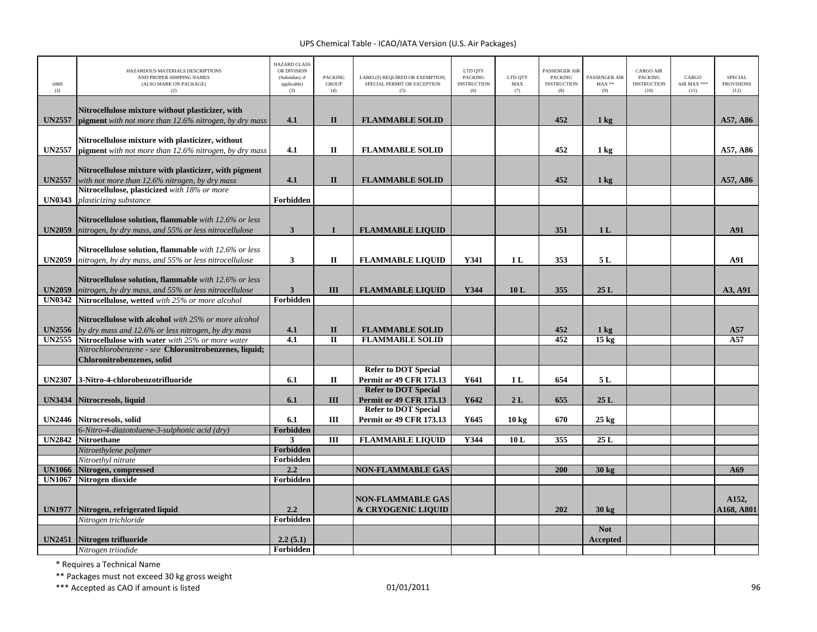| UNID<br>(1)                    | HAZARDOUS MATERIALS DESCRIPTIONS<br>AND PROPER SHIPPING NAMES<br>(ALSO MARK ON PACKAGE)<br>(2)                                                                    | <b>HAZARD CLASS</b><br>OR DIVISION<br>(Subsidiary if<br>applicable)<br>(3) | <b>PACKING</b><br>GROUP<br>(4) | LABEL(S) REQUIRED OR EXEMPTION,<br>SPECIAL PERMIT OR EXCEPTION<br>(5) | LTD QTY<br><b>PACKING</b><br><b>INSTRUCTION</b><br>(6) | LTD OTY<br>MAX<br>(7) | PASSENGER AIR<br><b>PACKING</b><br><b>INSTRUCTION</b><br>(8) | PASSENGER AIR<br>$\text{MAX}$ **<br>(9) | CARGO AIR<br><b>PACKING</b><br><b>INSTRUCTION</b><br>(10) | CARGO<br>AIR MAX ***<br>(11) | <b>SPECIAL</b><br><b>PROVISIONS</b><br>(12) |
|--------------------------------|-------------------------------------------------------------------------------------------------------------------------------------------------------------------|----------------------------------------------------------------------------|--------------------------------|-----------------------------------------------------------------------|--------------------------------------------------------|-----------------------|--------------------------------------------------------------|-----------------------------------------|-----------------------------------------------------------|------------------------------|---------------------------------------------|
| <b>UN2557</b>                  | Nitrocellulose mixture without plasticizer, with<br>pigment with not more than 12.6% nitrogen, by dry mass                                                        | 4.1                                                                        | $\mathbf{I}$                   | <b>FLAMMABLE SOLID</b>                                                |                                                        |                       | 452                                                          | $1 \text{ kg}$                          |                                                           |                              | A57, A86                                    |
| <b>UN2557</b>                  | Nitrocellulose mixture with plasticizer, without<br>pigment with not more than 12.6% nitrogen, by dry mass                                                        | 4.1                                                                        | П                              | <b>FLAMMABLE SOLID</b>                                                |                                                        |                       | 452                                                          | 1 kg                                    |                                                           |                              | A57, A86                                    |
| <b>UN2557</b>                  | Nitrocellulose mixture with plasticizer, with pigment<br>with not more than 12.6% nitrogen, by dry mass                                                           | 4.1                                                                        | $\mathbf{I}$                   | <b>FLAMMABLE SOLID</b>                                                |                                                        |                       | 452                                                          | $1 \text{ kg}$                          |                                                           |                              | A57, A86                                    |
| <b>UN0343</b>                  | Nitrocellulose, plasticized with 18% or more<br>plasticizing substance                                                                                            | Forbidden                                                                  |                                |                                                                       |                                                        |                       |                                                              |                                         |                                                           |                              |                                             |
| <b>UN2059</b>                  | Nitrocellulose solution, flammable with 12.6% or less<br>nitrogen, by dry mass, and 55% or less nitrocellulose                                                    | $\mathbf{3}$                                                               | $\mathbf I$                    | <b>FLAMMABLE LIQUID</b>                                               |                                                        |                       | 351                                                          | 1 <sub>L</sub>                          |                                                           |                              | A91                                         |
| <b>UN2059</b>                  | Nitrocellulose solution, flammable with 12.6% or less<br>nitrogen, by dry mass, and 55% or less nitrocellulose                                                    | $\mathbf{3}$                                                               | $\mathbf{I}$                   | <b>FLAMMABLE LIQUID</b>                                               | Y341                                                   | 1 <sub>L</sub>        | 353                                                          | 5L                                      |                                                           |                              | A91                                         |
| <b>UN2059</b><br><b>UN0342</b> | Nitrocellulose solution, flammable with 12.6% or less<br>nitrogen, by dry mass, and 55% or less nitrocellulose<br>Nitrocellulose, wetted with 25% or more alcohol | $\mathbf{3}$<br>Forbidden                                                  | III                            | <b>FLAMMABLE LIQUID</b>                                               | Y344                                                   | 10L                   | 355                                                          | 25L                                     |                                                           |                              | A3, A91                                     |
|                                | Nitrocellulose with alcohol with 25% or more alcohol<br><b>UN2556</b> by dry mass and 12.6% or less nitrogen, by dry mass                                         | 4.1                                                                        | $\mathbf{I}$                   | <b>FLAMMABLE SOLID</b>                                                |                                                        |                       | 452                                                          | $1 \text{ kg}$                          |                                                           |                              | A57                                         |
|                                | <b>UN2555</b> Nitrocellulose with water with 25% or more water<br>Nitrochlorobenzene - see Chloronitrobenzenes, liquid;                                           | $\overline{4.1}$                                                           | $\overline{\mathbf{u}}$        | <b>FLAMMABLE SOLID</b>                                                |                                                        |                       | 452                                                          | 15 <sub>kg</sub>                        |                                                           |                              | A57                                         |
|                                | Chloronitrobenzenes, solid                                                                                                                                        |                                                                            |                                |                                                                       |                                                        |                       |                                                              |                                         |                                                           |                              |                                             |
| <b>UN2307</b>                  | 3-Nitro-4-chlorobenzotrifluoride                                                                                                                                  | 6.1                                                                        | $\mathbf H$                    | <b>Refer to DOT Special</b><br><b>Permit or 49 CFR 173.13</b>         | Y641                                                   | 1L                    | 654                                                          | 5L                                      |                                                           |                              |                                             |
| <b>UN3434</b>                  | Nitrocresols, liquid                                                                                                                                              | 6.1                                                                        | III                            | <b>Refer to DOT Special</b><br><b>Permit or 49 CFR 173.13</b>         | Y642                                                   | 2L                    | 655                                                          | 25L                                     |                                                           |                              |                                             |
|                                | UN2446 Nitrocresols, solid                                                                                                                                        | 6.1                                                                        | Ш                              | <b>Refer to DOT Special</b><br><b>Permit or 49 CFR 173.13</b>         | Y645                                                   | $10 \text{ kg}$       | 670                                                          | $25 \text{ kg}$                         |                                                           |                              |                                             |
|                                | 6-Nitro-4-diazotoluene-3-sulphonic acid (dry)                                                                                                                     | Forbidden                                                                  |                                |                                                                       |                                                        |                       |                                                              |                                         |                                                           |                              |                                             |
| <b>UN2842</b>                  | <b>Nitroethane</b><br>Nitroethylene polymer                                                                                                                       | 3<br>Forbidden                                                             | Ш                              | <b>FLAMMABLE LIQUID</b>                                               | Y344                                                   | 10L                   | 355                                                          | 25L                                     |                                                           |                              |                                             |
|                                | Nitroethyl nitrate                                                                                                                                                | Forbidden                                                                  |                                |                                                                       |                                                        |                       |                                                              |                                         |                                                           |                              |                                             |
|                                | UN1066 Nitrogen, compressed                                                                                                                                       | 2.2                                                                        |                                | <b>NON-FLAMMABLE GAS</b>                                              |                                                        |                       | 200                                                          | 30 kg                                   |                                                           |                              | A69                                         |
| <b>UN1067</b>                  | Nitrogen dioxide                                                                                                                                                  | Forbidden                                                                  |                                |                                                                       |                                                        |                       |                                                              |                                         |                                                           |                              |                                             |
|                                |                                                                                                                                                                   |                                                                            |                                | <b>NON-FLAMMABLE GAS</b>                                              |                                                        |                       |                                                              |                                         |                                                           |                              | A152,                                       |
| <b>UN1977</b>                  | Nitrogen, refrigerated liquid                                                                                                                                     | 2.2                                                                        |                                | & CRYOGENIC LIQUID                                                    |                                                        |                       | 202                                                          | 30 <sub>kg</sub>                        |                                                           |                              | A168, A801                                  |
|                                | Nitrogen trichloride                                                                                                                                              | Forbidden                                                                  |                                |                                                                       |                                                        |                       |                                                              | <b>Not</b>                              |                                                           |                              |                                             |
| <b>UN2451</b>                  | Nitrogen trifluoride                                                                                                                                              | 2.2(5.1)                                                                   |                                |                                                                       |                                                        |                       |                                                              | Accepted                                |                                                           |                              |                                             |
|                                | Nitrogen triiodide                                                                                                                                                | Forbidden                                                                  |                                |                                                                       |                                                        |                       |                                                              |                                         |                                                           |                              |                                             |
|                                |                                                                                                                                                                   |                                                                            |                                |                                                                       |                                                        |                       |                                                              |                                         |                                                           |                              |                                             |

\* Requires <sup>a</sup> Technical Name

\*\* Packages must not exceed 30 kg gross weight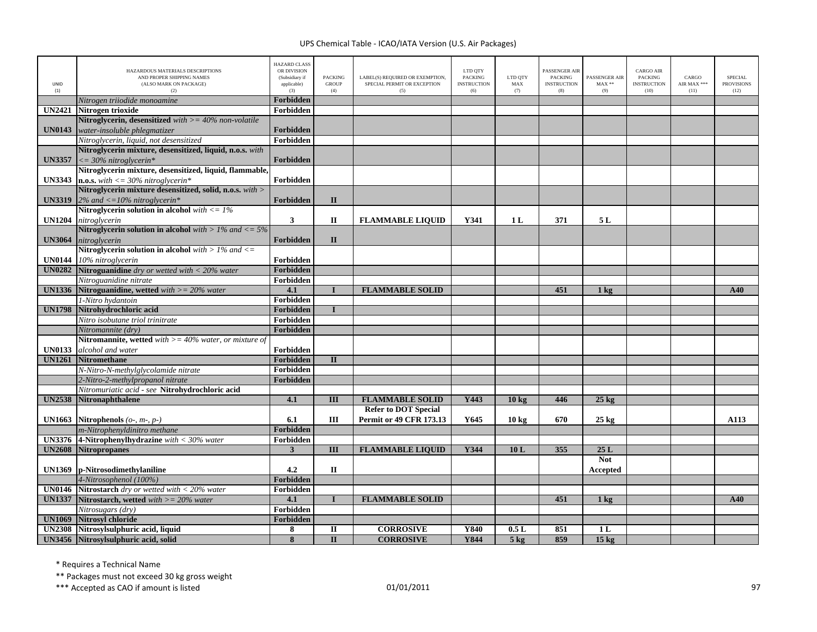| UNID<br>(1)   | HAZARDOUS MATERIALS DESCRIPTIONS<br>AND PROPER SHIPPING NAMES<br>(ALSO MARK ON PACKAGE)<br>(2) | <b>HAZARD CLASS</b><br>OR DIVISION<br>(Subsidiary if<br>applicable)<br>(3) | <b>PACKING</b><br><b>GROUP</b><br>(4) | LABEL(S) REQUIRED OR EXEMPTION,<br>SPECIAL PERMIT OR EXCEPTION<br>(5) | LTD QTY<br><b>PACKING</b><br><b>INSTRUCTION</b><br>(6) | LTD QTY<br>MAX<br>(7) | PASSENGER AIR<br><b>PACKING</b><br><b>INSTRUCTION</b><br>(8) | PASSENGER AIR<br>$MAX**$<br>(9) | <b>CARGO AIR</b><br><b>PACKING</b><br><b>INSTRUCTION</b><br>(10) | CARGO<br>AIR MAX ***<br>(11) | <b>SPECIAL</b><br><b>PROVISIONS</b><br>(12) |
|---------------|------------------------------------------------------------------------------------------------|----------------------------------------------------------------------------|---------------------------------------|-----------------------------------------------------------------------|--------------------------------------------------------|-----------------------|--------------------------------------------------------------|---------------------------------|------------------------------------------------------------------|------------------------------|---------------------------------------------|
|               | Nitrogen triiodide monoamine                                                                   | <b>Forbidden</b>                                                           |                                       |                                                                       |                                                        |                       |                                                              |                                 |                                                                  |                              |                                             |
| <b>UN2421</b> | Nitrogen trioxide                                                                              | Forbidden                                                                  |                                       |                                                                       |                                                        |                       |                                                              |                                 |                                                                  |                              |                                             |
|               | Nitroglycerin, desensitized with $>=$ 40% non-volatile                                         |                                                                            |                                       |                                                                       |                                                        |                       |                                                              |                                 |                                                                  |                              |                                             |
| <b>UN0143</b> | water-insoluble phlegmatizer                                                                   | Forbidden                                                                  |                                       |                                                                       |                                                        |                       |                                                              |                                 |                                                                  |                              |                                             |
|               | Nitroglycerin, liquid, not desensitized                                                        | Forbidden                                                                  |                                       |                                                                       |                                                        |                       |                                                              |                                 |                                                                  |                              |                                             |
|               | Nitroglycerin mixture, desensitized, liquid, n.o.s. with                                       |                                                                            |                                       |                                                                       |                                                        |                       |                                                              |                                 |                                                                  |                              |                                             |
| <b>UN3357</b> | $\epsilon = 30\%$ nitroglycerin*                                                               | Forbidden                                                                  |                                       |                                                                       |                                                        |                       |                                                              |                                 |                                                                  |                              |                                             |
|               | Nitroglycerin mixture, desensitized, liquid, flammable,                                        |                                                                            |                                       |                                                                       |                                                        |                       |                                                              |                                 |                                                                  |                              |                                             |
|               |                                                                                                | Forbidden                                                                  |                                       |                                                                       |                                                        |                       |                                                              |                                 |                                                                  |                              |                                             |
|               | Nitroglycerin mixture desensitized, solid, n.o.s. with >                                       |                                                                            |                                       |                                                                       |                                                        |                       |                                                              |                                 |                                                                  |                              |                                             |
| <b>UN3319</b> | 2% and $\langle 10\%$ nitroglycerin*                                                           | <b>Forbidden</b>                                                           | $\Pi$                                 |                                                                       |                                                        |                       |                                                              |                                 |                                                                  |                              |                                             |
|               | Nitroglycerin solution in alcohol with $\langle 1 \rangle = 1$ %                               |                                                                            |                                       |                                                                       |                                                        |                       |                                                              |                                 |                                                                  |                              |                                             |
| <b>UN1204</b> | nitroglycerin                                                                                  | $\mathbf{3}$                                                               | $\mathbf{I}$                          | <b>FLAMMABLE LIQUID</b>                                               | Y341                                                   | 1 <sub>L</sub>        | 371                                                          | 5 L                             |                                                                  |                              |                                             |
|               | Nitroglycerin solution in alcohol with $> 1\%$ and $<= 5\%$                                    |                                                                            |                                       |                                                                       |                                                        |                       |                                                              |                                 |                                                                  |                              |                                             |
| <b>UN3064</b> | nitroglycerin                                                                                  | Forbidden                                                                  | $\mathbf{I}$                          |                                                                       |                                                        |                       |                                                              |                                 |                                                                  |                              |                                             |
|               | Nitroglycerin solution in alcohol with $> 1\%$ and $<=$                                        |                                                                            |                                       |                                                                       |                                                        |                       |                                                              |                                 |                                                                  |                              |                                             |
| <b>UN0144</b> | 10% nitroglycerin                                                                              | Forbidden                                                                  |                                       |                                                                       |                                                        |                       |                                                              |                                 |                                                                  |                              |                                             |
| <b>UN0282</b> | Nitroguanidine dry or wetted with $<$ 20% water                                                | Forbidden                                                                  |                                       |                                                                       |                                                        |                       |                                                              |                                 |                                                                  |                              |                                             |
|               | Nitroguanidine nitrate                                                                         | Forbidden                                                                  |                                       |                                                                       |                                                        |                       |                                                              |                                 |                                                                  |                              |                                             |
|               | UN1336 Nitroguanidine, wetted with $>= 20\%$ water                                             | 4.1                                                                        | $\mathbf{I}$                          | <b>FLAMMABLE SOLID</b>                                                |                                                        |                       | 451                                                          | $1 \text{ kg}$                  |                                                                  |                              | A40                                         |
|               | 1-Nitro hydantoin                                                                              | Forbidden                                                                  |                                       |                                                                       |                                                        |                       |                                                              |                                 |                                                                  |                              |                                             |
| <b>UN1798</b> | Nitrohydrochloric acid                                                                         | Forbidden                                                                  | $\mathbf{I}$                          |                                                                       |                                                        |                       |                                                              |                                 |                                                                  |                              |                                             |
|               | Nitro isobutane triol trinitrate                                                               | Forbidden                                                                  |                                       |                                                                       |                                                        |                       |                                                              |                                 |                                                                  |                              |                                             |
|               | Nitromannite (dry)                                                                             | Forbidden                                                                  |                                       |                                                                       |                                                        |                       |                                                              |                                 |                                                                  |                              |                                             |
|               | <b>Nitromannite, wetted</b> with $>=$ 40% water, or mixture of                                 |                                                                            |                                       |                                                                       |                                                        |                       |                                                              |                                 |                                                                  |                              |                                             |
| <b>UN0133</b> | alcohol and water                                                                              | Forbidden                                                                  |                                       |                                                                       |                                                        |                       |                                                              |                                 |                                                                  |                              |                                             |
| <b>UN1261</b> | Nitromethane                                                                                   | Forbidden                                                                  | $\mathbf{I}$                          |                                                                       |                                                        |                       |                                                              |                                 |                                                                  |                              |                                             |
|               | N-Nitro-N-methylglycolamide nitrate                                                            | Forbidden                                                                  |                                       |                                                                       |                                                        |                       |                                                              |                                 |                                                                  |                              |                                             |
|               | 2-Nitro-2-methylpropanol nitrate                                                               | Forbidden                                                                  |                                       |                                                                       |                                                        |                       |                                                              |                                 |                                                                  |                              |                                             |
|               | Nitromuriatic acid - see Nitrohydrochloric acid                                                |                                                                            |                                       |                                                                       |                                                        |                       |                                                              |                                 |                                                                  |                              |                                             |
| <b>UN2538</b> | <b>Nitronaphthalene</b>                                                                        | 4.1                                                                        | III                                   | <b>FLAMMABLE SOLID</b>                                                | Y443                                                   | 10 <sub>kg</sub>      | 446                                                          | $25 \text{ kg}$                 |                                                                  |                              |                                             |
|               |                                                                                                |                                                                            |                                       | <b>Refer to DOT Special</b>                                           |                                                        |                       |                                                              |                                 |                                                                  |                              |                                             |
| <b>UN1663</b> | <b>Nitrophenols</b> ( $o$ -, $m$ -, $p$ -)                                                     | 6.1                                                                        | III                                   | <b>Permit or 49 CFR 173.13</b>                                        | Y645                                                   | $10 \text{ kg}$       | 670                                                          | $25$ kg                         |                                                                  |                              | A113                                        |
|               | m-Nitrophenyldinitro methane                                                                   | Forbidden                                                                  |                                       |                                                                       |                                                        |                       |                                                              |                                 |                                                                  |                              |                                             |
| <b>UN3376</b> | 4-Nitrophenylhydrazine with $<$ 30% water                                                      | Forbidden                                                                  |                                       |                                                                       |                                                        |                       |                                                              |                                 |                                                                  |                              |                                             |
| <b>UN2608</b> | <b>Nitropropanes</b>                                                                           | $\mathbf{3}$                                                               | III                                   | <b>FLAMMABLE LIQUID</b>                                               | Y344                                                   | 10L                   | 355                                                          | 25L                             |                                                                  |                              |                                             |
|               |                                                                                                |                                                                            |                                       |                                                                       |                                                        |                       |                                                              | <b>Not</b>                      |                                                                  |                              |                                             |
| <b>UN1369</b> | p-Nitrosodimethylaniline                                                                       | 4.2                                                                        | $\Pi$                                 |                                                                       |                                                        |                       |                                                              | Accepted                        |                                                                  |                              |                                             |
|               | 4-Nitrosophenol (100%)                                                                         | Forbidden                                                                  |                                       |                                                                       |                                                        |                       |                                                              |                                 |                                                                  |                              |                                             |
| <b>UN0146</b> | Nitrostarch dry or wetted with $<$ 20% water                                                   | Forbidden                                                                  |                                       |                                                                       |                                                        |                       |                                                              |                                 |                                                                  |                              |                                             |
| <b>UN1337</b> | <b>Nitrostarch, wetted</b> with $>= 20\%$ water                                                | 4.1                                                                        | $\mathbf{I}$                          | <b>FLAMMABLE SOLID</b>                                                |                                                        |                       | 451                                                          | $1 \text{ kg}$                  |                                                                  |                              | A40                                         |
|               | Nitrosugars (dry)                                                                              | Forbidden                                                                  |                                       |                                                                       |                                                        |                       |                                                              |                                 |                                                                  |                              |                                             |
| <b>UN1069</b> | Nitrosyl chloride                                                                              | Forbidden                                                                  |                                       |                                                                       |                                                        |                       |                                                              |                                 |                                                                  |                              |                                             |
| <b>UN2308</b> | Nitrosylsulphuric acid, liquid                                                                 | 8                                                                          | П                                     | <b>CORROSIVE</b>                                                      | Y840                                                   | 0.5L                  | 851                                                          | 1 <sub>L</sub>                  |                                                                  |                              |                                             |
|               | UN3456 Nitrosylsulphuric acid, solid                                                           | 8                                                                          | $\mathbf{I}$                          | <b>CORROSIVE</b>                                                      | Y844                                                   | $5$ kg                | 859                                                          | 15 <sub>kg</sub>                |                                                                  |                              |                                             |

\* Requires <sup>a</sup> Technical Name

\*\* Packages must not exceed 30 kg gross weight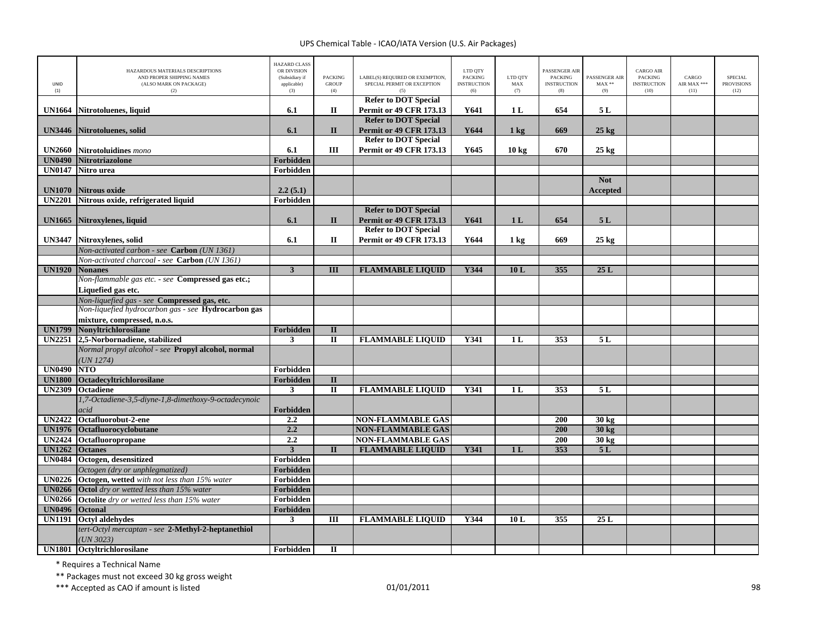| UNID<br>(1)    | HAZARDOUS MATERIALS DESCRIPTIONS<br>AND PROPER SHIPPING NAMES<br>(ALSO MARK ON PACKAGE)<br>(2)      | <b>HAZARD CLASS</b><br>OR DIVISION<br>(Subsidiary if<br>applicable)<br>(3) | <b>PACKING</b><br><b>GROUP</b><br>(4) | LABEL(S) REQUIRED OR EXEMPTION,<br>SPECIAL PERMIT OR EXCEPTION<br>(5) | LTD QTY<br>PACKING<br><b>INSTRUCTION</b><br>(6) | LTD QTY<br>MAX<br>(7) | ASSENGER AIR<br><b>PACKING</b><br><b>INSTRUCTION</b><br>(8) | PASSENGER AIR<br>$\text{MAX}$ **<br>(9) | CARGO AIR<br>PACKING<br><b>INSTRUCTION</b><br>(10) | CARGO<br>AIR MAX ***<br>(11) | <b>SPECIAL</b><br><b>PROVISIONS</b><br>(12) |
|----------------|-----------------------------------------------------------------------------------------------------|----------------------------------------------------------------------------|---------------------------------------|-----------------------------------------------------------------------|-------------------------------------------------|-----------------------|-------------------------------------------------------------|-----------------------------------------|----------------------------------------------------|------------------------------|---------------------------------------------|
|                |                                                                                                     |                                                                            |                                       | <b>Refer to DOT Special</b>                                           |                                                 |                       |                                                             |                                         |                                                    |                              |                                             |
| <b>UN1664</b>  | Nitrotoluenes, liquid                                                                               | 6.1                                                                        | П                                     | <b>Permit or 49 CFR 173.13</b>                                        | Y641                                            | 1 <sub>L</sub>        | 654                                                         | 5L                                      |                                                    |                              |                                             |
|                |                                                                                                     |                                                                            |                                       | <b>Refer to DOT Special</b>                                           |                                                 |                       |                                                             |                                         |                                                    |                              |                                             |
| <b>UN3446</b>  | Nitrotoluenes, solid                                                                                | 6.1                                                                        | $\mathbf{I}$                          | <b>Permit or 49 CFR 173.13</b><br><b>Refer to DOT Special</b>         | Y644                                            | $1 \text{ kg}$        | 669                                                         | $25 \text{ kg}$                         |                                                    |                              |                                             |
| <b>UN2660</b>  | Nitrotoluidines mono                                                                                | 6.1                                                                        | $\rm III$                             | <b>Permit or 49 CFR 173.13</b>                                        | Y645                                            | 10 <sub>kg</sub>      | 670                                                         | $25$ kg                                 |                                                    |                              |                                             |
| <b>UN0490</b>  | Nitrotriazolone                                                                                     | Forbidden                                                                  |                                       |                                                                       |                                                 |                       |                                                             |                                         |                                                    |                              |                                             |
| <b>UN0147</b>  | Nitro urea                                                                                          | Forbidden                                                                  |                                       |                                                                       |                                                 |                       |                                                             |                                         |                                                    |                              |                                             |
|                |                                                                                                     |                                                                            |                                       |                                                                       |                                                 |                       |                                                             | <b>Not</b>                              |                                                    |                              |                                             |
| <b>UN1070</b>  | <b>Nitrous oxide</b>                                                                                | 2.2(5.1)                                                                   |                                       |                                                                       |                                                 |                       |                                                             | <b>Accepted</b>                         |                                                    |                              |                                             |
| <b>UN2201</b>  | Nitrous oxide, refrigerated liquid                                                                  | Forbidden                                                                  |                                       |                                                                       |                                                 |                       |                                                             |                                         |                                                    |                              |                                             |
|                |                                                                                                     |                                                                            |                                       | <b>Refer to DOT Special</b>                                           |                                                 |                       |                                                             |                                         |                                                    |                              |                                             |
| <b>UN1665</b>  | Nitroxylenes, liquid                                                                                | 6.1                                                                        | $\mathbf{I}$                          | <b>Permit or 49 CFR 173.13</b>                                        | Y641                                            | 1 <sub>L</sub>        | 654                                                         | 5L                                      |                                                    |                              |                                             |
|                |                                                                                                     |                                                                            |                                       | <b>Refer to DOT Special</b>                                           |                                                 |                       |                                                             |                                         |                                                    |                              |                                             |
| <b>UN3447</b>  | Nitroxylenes, solid                                                                                 | 6.1                                                                        | П                                     | <b>Permit or 49 CFR 173.13</b>                                        | Y644                                            | $1 \text{ kg}$        | 669                                                         | $25 \text{ kg}$                         |                                                    |                              |                                             |
|                | Non-activated carbon - see Carbon (UN 1361)                                                         |                                                                            |                                       |                                                                       |                                                 |                       |                                                             |                                         |                                                    |                              |                                             |
|                | Non-activated charcoal - see Carbon (UN 1361)                                                       |                                                                            |                                       |                                                                       |                                                 |                       |                                                             |                                         |                                                    |                              |                                             |
| <b>UN1920</b>  | <b>Nonanes</b>                                                                                      | $\overline{\mathbf{3}}$                                                    | Ш                                     | <b>FLAMMABLE LIQUID</b>                                               | Y344                                            | 10L                   | 355                                                         | 25L                                     |                                                    |                              |                                             |
|                | Non-flammable gas etc. - see Compressed gas etc.;                                                   |                                                                            |                                       |                                                                       |                                                 |                       |                                                             |                                         |                                                    |                              |                                             |
|                | Liquefied gas etc.                                                                                  |                                                                            |                                       |                                                                       |                                                 |                       |                                                             |                                         |                                                    |                              |                                             |
|                | Non-liquefied gas - see Compressed gas, etc.<br>Non-liquefied hydrocarbon gas - see Hydrocarbon gas |                                                                            |                                       |                                                                       |                                                 |                       |                                                             |                                         |                                                    |                              |                                             |
|                | mixture, compressed, n.o.s.                                                                         |                                                                            |                                       |                                                                       |                                                 |                       |                                                             |                                         |                                                    |                              |                                             |
| <b>UN1799</b>  | Nonyltrichlorosilane                                                                                | Forbidden                                                                  | $\mathbf{I}$                          |                                                                       |                                                 |                       |                                                             |                                         |                                                    |                              |                                             |
|                | UN2251 2,5-Norbornadiene, stabilized                                                                | 3                                                                          | $\mathbf{I}$                          | <b>FLAMMABLE LIQUID</b>                                               | Y341                                            | 1 <sub>L</sub>        | 353                                                         | 5L                                      |                                                    |                              |                                             |
|                | Normal propyl alcohol - see Propyl alcohol, normal                                                  |                                                                            |                                       |                                                                       |                                                 |                       |                                                             |                                         |                                                    |                              |                                             |
|                | UN 1274)                                                                                            |                                                                            |                                       |                                                                       |                                                 |                       |                                                             |                                         |                                                    |                              |                                             |
| <b>UN0490</b>  | <b>NTO</b>                                                                                          | Forbidden                                                                  |                                       |                                                                       |                                                 |                       |                                                             |                                         |                                                    |                              |                                             |
| <b>UN1800</b>  | Octadecyltrichlorosilane                                                                            | Forbidden                                                                  | $\mathbf{I}$                          |                                                                       |                                                 |                       |                                                             |                                         |                                                    |                              |                                             |
| <b>UN2309</b>  | Octadiene                                                                                           | 3                                                                          | $\mathbf{I}$                          | <b>FLAMMABLE LIQUID</b>                                               | Y341                                            | 1 <sub>L</sub>        | 353                                                         | 5 L                                     |                                                    |                              |                                             |
|                | 1,7-Octadiene-3,5-diyne-1,8-dimethoxy-9-octadecynoic                                                |                                                                            |                                       |                                                                       |                                                 |                       |                                                             |                                         |                                                    |                              |                                             |
|                | acid                                                                                                | <b>Forbidden</b>                                                           |                                       |                                                                       |                                                 |                       |                                                             |                                         |                                                    |                              |                                             |
| <b>UN2422</b>  | Octafluorobut-2-ene                                                                                 | 2.2                                                                        |                                       | <b>NON-FLAMMABLE GAS</b>                                              |                                                 |                       | 200                                                         | 30 kg                                   |                                                    |                              |                                             |
| <b>UN1976</b>  | Octafluorocyclobutane                                                                               | 2.2                                                                        |                                       | <b>NON-FLAMMABLE GAS</b>                                              |                                                 |                       | 200                                                         | 30 kg                                   |                                                    |                              |                                             |
| <b>UN2424</b>  | Octafluoropropane                                                                                   | 2.2                                                                        |                                       | <b>NON-FLAMMABLE GAS</b>                                              |                                                 |                       | 200                                                         | 30 kg                                   |                                                    |                              |                                             |
| <b>UN1262</b>  | <b>Octanes</b>                                                                                      | $\overline{\mathbf{3}}$                                                    | $\overline{\mathbf{u}}$               | <b>FLAMMABLE LIQUID</b>                                               | Y341                                            | 1 <sub>L</sub>        | 353                                                         | 5L                                      |                                                    |                              |                                             |
| <b>UN0484</b>  | Octogen, desensitized                                                                               | Forbidden                                                                  |                                       |                                                                       |                                                 |                       |                                                             |                                         |                                                    |                              |                                             |
| <b>UN0226</b>  | Octogen (dry or unphlegmatized)<br>Octogen, wetted with not less than 15% water                     | Forbidden<br>Forbidden                                                     |                                       |                                                                       |                                                 |                       |                                                             |                                         |                                                    |                              |                                             |
|                | <b>UN0266</b> Octol dry or wetted less than 15% water                                               | Forbidden                                                                  |                                       |                                                                       |                                                 |                       |                                                             |                                         |                                                    |                              |                                             |
| <b>UN0266</b>  | Octolite dry or wetted less than 15% water                                                          | Forbidden                                                                  |                                       |                                                                       |                                                 |                       |                                                             |                                         |                                                    |                              |                                             |
| UN0496 Octonal |                                                                                                     | Forbidden                                                                  |                                       |                                                                       |                                                 |                       |                                                             |                                         |                                                    |                              |                                             |
| <b>UN1191</b>  | <b>Octvl aldehydes</b>                                                                              | $\mathbf{3}$                                                               | Ш                                     | <b>FLAMMABLE LIQUID</b>                                               | Y344                                            | 10L                   | 355                                                         | 25L                                     |                                                    |                              |                                             |
|                | tert-Octyl mercaptan - see 2-Methyl-2-heptanethiol                                                  |                                                                            |                                       |                                                                       |                                                 |                       |                                                             |                                         |                                                    |                              |                                             |
|                | UN 3023                                                                                             |                                                                            |                                       |                                                                       |                                                 |                       |                                                             |                                         |                                                    |                              |                                             |
|                | UN1801 Octyltrichlorosilane                                                                         | Forbidden                                                                  | п                                     |                                                                       |                                                 |                       |                                                             |                                         |                                                    |                              |                                             |

\* Requires <sup>a</sup> Technical Name

\*\* Packages must not exceed 30 kg gross weight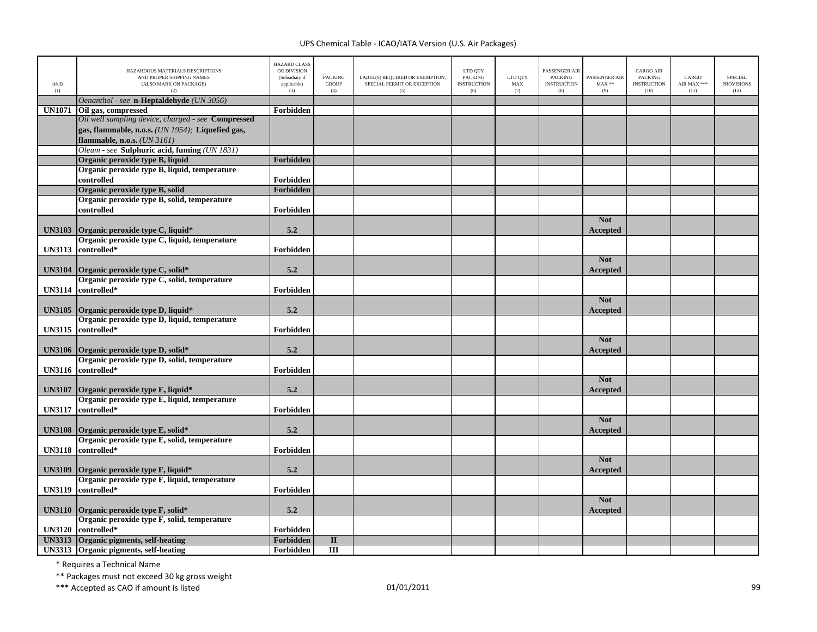| UNID<br>(1)   | HAZARDOUS MATERIALS DESCRIPTIONS<br>AND PROPER SHIPPING NAMES<br>(ALSO MARK ON PACKAGE)<br>(2) | <b>HAZARD CLASS</b><br>OR DIVISION<br>(Subsidiary if<br>applicable)<br>(3) | <b>PACKING</b><br><b>GROUP</b><br>(4) | LABEL(S) REQUIRED OR EXEMPTION,<br>SPECIAL PERMIT OR EXCEPTION<br>(5) | LTD QTY<br><b>PACKING</b><br><b>INSTRUCTION</b><br>(6) | LTD QTY<br>MAX<br>(7) | PASSENGER AIR<br><b>PACKING</b><br><b>INSTRUCTION</b><br>(8) | PASSENGER AIR<br>$MAX**$<br>(9) | <b>CARGO AIR</b><br><b>PACKING</b><br><b>INSTRUCTION</b><br>(10) | CARGO<br>AIR MAX ***<br>(11) | <b>SPECIAL</b><br><b>PROVISIONS</b><br>(12) |
|---------------|------------------------------------------------------------------------------------------------|----------------------------------------------------------------------------|---------------------------------------|-----------------------------------------------------------------------|--------------------------------------------------------|-----------------------|--------------------------------------------------------------|---------------------------------|------------------------------------------------------------------|------------------------------|---------------------------------------------|
|               | Oenanthol - see n-Heptaldehyde (UN 3056)                                                       |                                                                            |                                       |                                                                       |                                                        |                       |                                                              |                                 |                                                                  |                              |                                             |
| <b>UN1071</b> | Oil gas, compressed                                                                            | Forbidden                                                                  |                                       |                                                                       |                                                        |                       |                                                              |                                 |                                                                  |                              |                                             |
|               | Oil well sampling device, charged - see Compressed                                             |                                                                            |                                       |                                                                       |                                                        |                       |                                                              |                                 |                                                                  |                              |                                             |
|               | gas, flammable, n.o.s. (UN 1954); Liquefied gas,                                               |                                                                            |                                       |                                                                       |                                                        |                       |                                                              |                                 |                                                                  |                              |                                             |
|               | flammable, n.o.s. (UN 3161)                                                                    |                                                                            |                                       |                                                                       |                                                        |                       |                                                              |                                 |                                                                  |                              |                                             |
|               | Oleum - see Sulphuric acid, fuming (UN 1831)                                                   |                                                                            |                                       |                                                                       |                                                        |                       |                                                              |                                 |                                                                  |                              |                                             |
|               | Organic peroxide type B, liquid                                                                | Forbidden                                                                  |                                       |                                                                       |                                                        |                       |                                                              |                                 |                                                                  |                              |                                             |
|               | Organic peroxide type B, liquid, temperature                                                   |                                                                            |                                       |                                                                       |                                                        |                       |                                                              |                                 |                                                                  |                              |                                             |
|               | controlled                                                                                     | Forbidden                                                                  |                                       |                                                                       |                                                        |                       |                                                              |                                 |                                                                  |                              |                                             |
|               | Organic peroxide type B, solid                                                                 | Forbidden                                                                  |                                       |                                                                       |                                                        |                       |                                                              |                                 |                                                                  |                              |                                             |
|               | Organic peroxide type B, solid, temperature                                                    |                                                                            |                                       |                                                                       |                                                        |                       |                                                              |                                 |                                                                  |                              |                                             |
|               | controlled                                                                                     | Forbidden                                                                  |                                       |                                                                       |                                                        |                       |                                                              |                                 |                                                                  |                              |                                             |
|               |                                                                                                |                                                                            |                                       |                                                                       |                                                        |                       |                                                              | <b>Not</b>                      |                                                                  |                              |                                             |
| <b>UN3103</b> | Organic peroxide type C, liquid*                                                               | 5.2                                                                        |                                       |                                                                       |                                                        |                       |                                                              | Accepted                        |                                                                  |                              |                                             |
|               | Organic peroxide type C, liquid, temperature                                                   |                                                                            |                                       |                                                                       |                                                        |                       |                                                              |                                 |                                                                  |                              |                                             |
| <b>UN3113</b> | controlled*                                                                                    | Forbidden                                                                  |                                       |                                                                       |                                                        |                       |                                                              |                                 |                                                                  |                              |                                             |
|               |                                                                                                |                                                                            |                                       |                                                                       |                                                        |                       |                                                              | <b>Not</b>                      |                                                                  |                              |                                             |
| <b>UN3104</b> | Organic peroxide type C, solid*                                                                | 5.2                                                                        |                                       |                                                                       |                                                        |                       |                                                              | Accepted                        |                                                                  |                              |                                             |
|               | Organic peroxide type C, solid, temperature                                                    |                                                                            |                                       |                                                                       |                                                        |                       |                                                              |                                 |                                                                  |                              |                                             |
| <b>UN3114</b> | controlled*                                                                                    | Forbidden                                                                  |                                       |                                                                       |                                                        |                       |                                                              |                                 |                                                                  |                              |                                             |
|               |                                                                                                |                                                                            |                                       |                                                                       |                                                        |                       |                                                              | <b>Not</b>                      |                                                                  |                              |                                             |
| <b>UN3105</b> | Organic peroxide type D, liquid*                                                               | 5.2                                                                        |                                       |                                                                       |                                                        |                       |                                                              | Accepted                        |                                                                  |                              |                                             |
|               | Organic peroxide type D, liquid, temperature                                                   |                                                                            |                                       |                                                                       |                                                        |                       |                                                              |                                 |                                                                  |                              |                                             |
| <b>UN3115</b> | controlled*                                                                                    | Forbidden                                                                  |                                       |                                                                       |                                                        |                       |                                                              |                                 |                                                                  |                              |                                             |
|               |                                                                                                |                                                                            |                                       |                                                                       |                                                        |                       |                                                              | <b>Not</b>                      |                                                                  |                              |                                             |
| <b>UN3106</b> | Organic peroxide type D, solid*                                                                | 5.2                                                                        |                                       |                                                                       |                                                        |                       |                                                              | Accepted                        |                                                                  |                              |                                             |
|               | Organic peroxide type D, solid, temperature<br>controlled*                                     |                                                                            |                                       |                                                                       |                                                        |                       |                                                              |                                 |                                                                  |                              |                                             |
| <b>UN3116</b> |                                                                                                | Forbidden                                                                  |                                       |                                                                       |                                                        |                       |                                                              | <b>Not</b>                      |                                                                  |                              |                                             |
| <b>UN3107</b> | Organic peroxide type E, liquid*                                                               | 5.2                                                                        |                                       |                                                                       |                                                        |                       |                                                              |                                 |                                                                  |                              |                                             |
|               | Organic peroxide type E, liquid, temperature                                                   |                                                                            |                                       |                                                                       |                                                        |                       |                                                              | Accepted                        |                                                                  |                              |                                             |
| <b>UN3117</b> | controlled*                                                                                    | Forbidden                                                                  |                                       |                                                                       |                                                        |                       |                                                              |                                 |                                                                  |                              |                                             |
|               |                                                                                                |                                                                            |                                       |                                                                       |                                                        |                       |                                                              | <b>Not</b>                      |                                                                  |                              |                                             |
| <b>UN3108</b> | Organic peroxide type E, solid*                                                                | 5.2                                                                        |                                       |                                                                       |                                                        |                       |                                                              | Accepted                        |                                                                  |                              |                                             |
|               | Organic peroxide type E, solid, temperature                                                    |                                                                            |                                       |                                                                       |                                                        |                       |                                                              |                                 |                                                                  |                              |                                             |
| <b>UN3118</b> | controlled*                                                                                    | Forbidden                                                                  |                                       |                                                                       |                                                        |                       |                                                              |                                 |                                                                  |                              |                                             |
|               |                                                                                                |                                                                            |                                       |                                                                       |                                                        |                       |                                                              | <b>Not</b>                      |                                                                  |                              |                                             |
| <b>UN3109</b> | Organic peroxide type F, liquid*                                                               | 5.2                                                                        |                                       |                                                                       |                                                        |                       |                                                              | Accepted                        |                                                                  |                              |                                             |
|               | Organic peroxide type F, liquid, temperature                                                   |                                                                            |                                       |                                                                       |                                                        |                       |                                                              |                                 |                                                                  |                              |                                             |
| <b>UN3119</b> | controlled*                                                                                    | Forbidden                                                                  |                                       |                                                                       |                                                        |                       |                                                              |                                 |                                                                  |                              |                                             |
|               |                                                                                                |                                                                            |                                       |                                                                       |                                                        |                       |                                                              | <b>Not</b>                      |                                                                  |                              |                                             |
| <b>UN3110</b> | Organic peroxide type F, solid*                                                                | 5.2                                                                        |                                       |                                                                       |                                                        |                       |                                                              | Accepted                        |                                                                  |                              |                                             |
|               | Organic peroxide type F, solid, temperature                                                    |                                                                            |                                       |                                                                       |                                                        |                       |                                                              |                                 |                                                                  |                              |                                             |
| <b>UN3120</b> | controlled*                                                                                    | Forbidden                                                                  |                                       |                                                                       |                                                        |                       |                                                              |                                 |                                                                  |                              |                                             |
|               | UN3313 Organic pigments, self-heating                                                          | Forbidden                                                                  | $\mathbf{I}$                          |                                                                       |                                                        |                       |                                                              |                                 |                                                                  |                              |                                             |
|               | UN3313 Organic pigments, self-heating                                                          | Forbidden                                                                  | $\overline{\mathbf{H}}$               |                                                                       |                                                        |                       |                                                              |                                 |                                                                  |                              |                                             |

\* Requires <sup>a</sup> Technical Name

\*\* Packages must not exceed 30 kg gross weight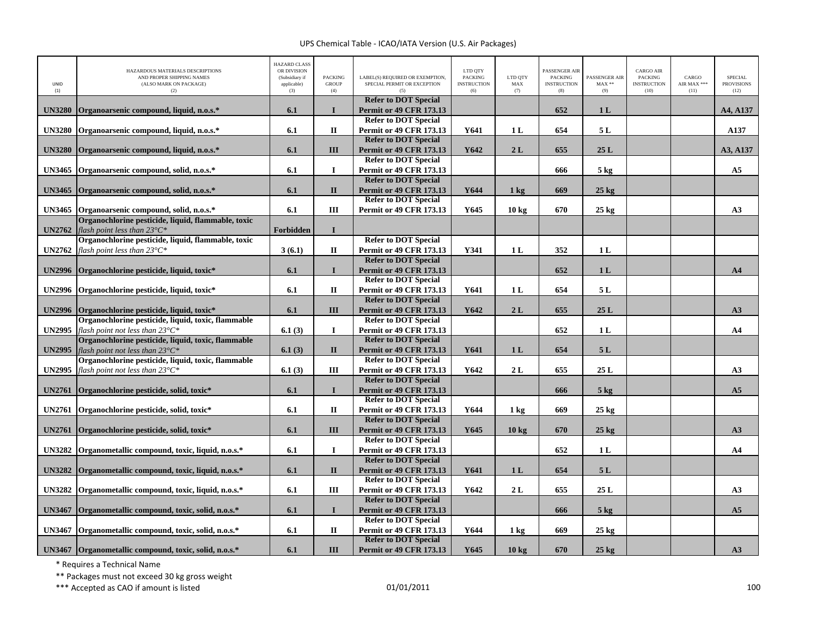| UNID<br>(1)   | HAZARDOUS MATERIALS DESCRIPTIONS<br>AND PROPER SHIPPING NAMES<br>(ALSO MARK ON PACKAGE)<br>(2) | <b>HAZARD CLASS</b><br>OR DIVISION<br>(Subsidiary if<br>applicable)<br>(3) | <b>PACKING</b><br><b>GROUP</b><br>(4) | LABEL(S) REQUIRED OR EXEMPTION,<br>SPECIAL PERMIT OR EXCEPTION | LTD QTY<br><b>PACKING</b><br><b>INSTRUCTION</b><br>(6) | LTD QTY<br>MAX<br>(7) | PASSENGER AIR<br><b>PACKING</b><br><b>INSTRUCTION</b><br>(8) | PASSENGER AIR<br>$\text{MAX}$ **<br>(9) | <b>CARGO AIR</b><br><b>PACKING</b><br><b>INSTRUCTION</b><br>(10) | CARGO<br>AIR MAX ***<br>(11) | <b>SPECIAL</b><br><b>PROVISIONS</b><br>(12) |
|---------------|------------------------------------------------------------------------------------------------|----------------------------------------------------------------------------|---------------------------------------|----------------------------------------------------------------|--------------------------------------------------------|-----------------------|--------------------------------------------------------------|-----------------------------------------|------------------------------------------------------------------|------------------------------|---------------------------------------------|
|               |                                                                                                |                                                                            |                                       | <b>Refer to DOT Special</b>                                    |                                                        |                       |                                                              |                                         |                                                                  |                              |                                             |
| <b>UN3280</b> | Organoarsenic compound, liquid, n.o.s.*                                                        | 6.1                                                                        | $\mathbf I$                           | <b>Permit or 49 CFR 173.13</b><br><b>Refer to DOT Special</b>  |                                                        |                       | 652                                                          | 1 <sub>L</sub>                          |                                                                  |                              | A4, A137                                    |
| <b>UN3280</b> | Organoarsenic compound, liquid, n.o.s.*                                                        | 6.1                                                                        | $\mathbf H$                           | <b>Permit or 49 CFR 173.13</b>                                 | Y641                                                   | 1 <sub>L</sub>        | 654                                                          | 5L                                      |                                                                  |                              | A137                                        |
|               |                                                                                                |                                                                            |                                       | <b>Refer to DOT Special</b>                                    |                                                        |                       |                                                              |                                         |                                                                  |                              |                                             |
| <b>UN3280</b> | Organoarsenic compound, liquid, n.o.s.*                                                        | 6.1                                                                        | III                                   | <b>Permit or 49 CFR 173.13</b>                                 | Y642                                                   | 2L                    | 655                                                          | 25L                                     |                                                                  |                              | A3, A137                                    |
|               |                                                                                                |                                                                            |                                       | <b>Refer to DOT Special</b>                                    |                                                        |                       |                                                              |                                         |                                                                  |                              |                                             |
| <b>UN3465</b> | Organoarsenic compound, solid, n.o.s.*                                                         | 6.1                                                                        | $\bf{I}$                              | <b>Permit or 49 CFR 173.13</b>                                 |                                                        |                       | 666                                                          | $5 \text{ kg}$                          |                                                                  |                              | A <sub>5</sub>                              |
|               |                                                                                                |                                                                            |                                       | <b>Refer to DOT Special</b>                                    |                                                        |                       |                                                              |                                         |                                                                  |                              |                                             |
| <b>UN3465</b> | Organoarsenic compound, solid, n.o.s.*                                                         | 6.1                                                                        | $\mathbf{I}$                          | <b>Permit or 49 CFR 173.13</b>                                 | Y644                                                   | $1 \text{ kg}$        | 669                                                          | $25$ kg                                 |                                                                  |                              |                                             |
|               |                                                                                                |                                                                            |                                       | <b>Refer to DOT Special</b>                                    |                                                        |                       |                                                              |                                         |                                                                  |                              |                                             |
| <b>UN3465</b> | Organoarsenic compound, solid, n.o.s.*                                                         | 6.1                                                                        | Ш                                     | Permit or 49 CFR 173.13                                        | Y645                                                   | 10 <sub>kg</sub>      | 670                                                          | $25$ kg                                 |                                                                  |                              | A3                                          |
|               | Organochlorine pesticide, liquid, flammable, toxic                                             |                                                                            |                                       |                                                                |                                                        |                       |                                                              |                                         |                                                                  |                              |                                             |
| <b>UN2762</b> | flash point less than $23^{\circ}C^*$                                                          | Forbidden                                                                  | $\mathbf{I}$                          |                                                                |                                                        |                       |                                                              |                                         |                                                                  |                              |                                             |
|               | Organochlorine pesticide, liquid, flammable, toxic                                             |                                                                            |                                       | <b>Refer to DOT Special</b>                                    |                                                        |                       |                                                              |                                         |                                                                  |                              |                                             |
| <b>UN2762</b> | flash point less than $23^{\circ}C^*$                                                          | 3(6.1)                                                                     | П                                     | <b>Permit or 49 CFR 173.13</b>                                 | Y341                                                   | 1 <sub>L</sub>        | 352                                                          | 1 <sub>L</sub>                          |                                                                  |                              |                                             |
|               |                                                                                                |                                                                            |                                       | <b>Refer to DOT Special</b>                                    |                                                        |                       |                                                              |                                         |                                                                  |                              |                                             |
| <b>UN2996</b> | Organochlorine pesticide, liquid, toxic*                                                       | 6.1                                                                        | $\mathbf I$                           | <b>Permit or 49 CFR 173.13</b>                                 |                                                        |                       | 652                                                          | 1 <sub>L</sub>                          |                                                                  |                              | A <sub>4</sub>                              |
|               |                                                                                                |                                                                            |                                       | <b>Refer to DOT Special</b>                                    |                                                        |                       |                                                              |                                         |                                                                  |                              |                                             |
| <b>UN2996</b> | Organochlorine pesticide, liquid, toxic*                                                       | 6.1                                                                        | $\mathbf{I}$                          | <b>Permit or 49 CFR 173.13</b><br><b>Refer to DOT Special</b>  | Y641                                                   | 1 <sub>L</sub>        | 654                                                          | 5L                                      |                                                                  |                              |                                             |
|               |                                                                                                | 6.1                                                                        | III                                   | <b>Permit or 49 CFR 173.13</b>                                 | Y642                                                   | 2L                    | 655                                                          | 25L                                     |                                                                  |                              | A3                                          |
| <b>UN2996</b> | Organochlorine pesticide, liquid, toxic*<br>Organochlorine pesticide, liquid, toxic, flammable |                                                                            |                                       | <b>Refer to DOT Special</b>                                    |                                                        |                       |                                                              |                                         |                                                                  |                              |                                             |
| <b>UN2995</b> | flash point not less than $23^{\circ}C^*$                                                      | 6.1(3)                                                                     | $\mathbf I$                           | <b>Permit or 49 CFR 173.13</b>                                 |                                                        |                       | 652                                                          | 1L                                      |                                                                  |                              | A <sub>4</sub>                              |
|               | Organochlorine pesticide, liquid, toxic, flammable                                             |                                                                            |                                       | <b>Refer to DOT Special</b>                                    |                                                        |                       |                                                              |                                         |                                                                  |                              |                                             |
| <b>UN2995</b> | flash point not less than $23^{\circ}C^*$                                                      | 6.1(3)                                                                     | $\mathbf{I}$                          | <b>Permit or 49 CFR 173.13</b>                                 | Y641                                                   | 1 <sub>L</sub>        | 654                                                          | 5L                                      |                                                                  |                              |                                             |
|               | Organochlorine pesticide, liquid, toxic, flammable                                             |                                                                            |                                       | <b>Refer to DOT Special</b>                                    |                                                        |                       |                                                              |                                         |                                                                  |                              |                                             |
| <b>UN2995</b> | flash point not less than $23^{\circ}C^*$                                                      | 6.1(3)                                                                     | Ш                                     | <b>Permit or 49 CFR 173.13</b>                                 | Y642                                                   | 2L                    | 655                                                          | 25L                                     |                                                                  |                              | A3                                          |
|               |                                                                                                |                                                                            |                                       | <b>Refer to DOT Special</b>                                    |                                                        |                       |                                                              |                                         |                                                                  |                              |                                             |
| <b>UN2761</b> | Organochlorine pesticide, solid, toxic*                                                        | 6.1                                                                        | $\mathbf I$                           | <b>Permit or 49 CFR 173.13</b>                                 |                                                        |                       | 666                                                          | $5$ kg                                  |                                                                  |                              | A <sub>5</sub>                              |
|               |                                                                                                |                                                                            |                                       | <b>Refer to DOT Special</b>                                    |                                                        |                       |                                                              |                                         |                                                                  |                              |                                             |
| <b>UN2761</b> | Organochlorine pesticide, solid, toxic*                                                        | 6.1                                                                        | $\mathbf H$                           | <b>Permit or 49 CFR 173.13</b>                                 | Y644                                                   | $1 \text{ kg}$        | 669                                                          | $25$ kg                                 |                                                                  |                              |                                             |
|               |                                                                                                |                                                                            |                                       | <b>Refer to DOT Special</b>                                    |                                                        |                       |                                                              |                                         |                                                                  |                              |                                             |
| <b>UN2761</b> | Organochlorine pesticide, solid, toxic*                                                        | 6.1                                                                        | III                                   | <b>Permit or 49 CFR 173.13</b>                                 | Y645                                                   | 10 <sub>kg</sub>      | 670                                                          | $25$ kg                                 |                                                                  |                              | A3                                          |
|               |                                                                                                |                                                                            |                                       | <b>Refer to DOT Special</b>                                    |                                                        |                       |                                                              |                                         |                                                                  |                              |                                             |
| <b>UN3282</b> | Organometallic compound, toxic, liquid, n.o.s.*                                                | 6.1                                                                        | $\mathbf I$                           | <b>Permit or 49 CFR 173.13</b>                                 |                                                        |                       | 652                                                          | 1 <sub>L</sub>                          |                                                                  |                              | A <sub>4</sub>                              |
|               |                                                                                                |                                                                            |                                       | <b>Refer to DOT Special</b>                                    |                                                        |                       |                                                              |                                         |                                                                  |                              |                                             |
| <b>UN3282</b> | Organometallic compound, toxic, liquid, n.o.s.*                                                | 6.1                                                                        | $\mathbf{I}$                          | <b>Permit or 49 CFR 173.13</b>                                 | Y641                                                   | 1 <sub>L</sub>        | 654                                                          | 5L                                      |                                                                  |                              |                                             |
|               |                                                                                                |                                                                            |                                       | <b>Refer to DOT Special</b>                                    |                                                        |                       |                                                              |                                         |                                                                  |                              |                                             |
| <b>UN3282</b> | Organometallic compound, toxic, liquid, n.o.s.*                                                | 6.1                                                                        | $\rm III$                             | <b>Permit or 49 CFR 173.13</b>                                 | Y642                                                   | 2L                    | 655                                                          | 25L                                     |                                                                  |                              | A3                                          |
|               |                                                                                                |                                                                            | $\mathbf I$                           | <b>Refer to DOT Special</b>                                    |                                                        |                       |                                                              |                                         |                                                                  |                              | A5                                          |
| <b>UN3467</b> | Organometallic compound, toxic, solid, n.o.s.*                                                 | 6.1                                                                        |                                       | <b>Permit or 49 CFR 173.13</b><br><b>Refer to DOT Special</b>  |                                                        |                       | 666                                                          | $5$ kg                                  |                                                                  |                              |                                             |
| <b>UN3467</b> | Organometallic compound, toxic, solid, n.o.s.*                                                 | 6.1                                                                        | $\mathbf{I}$                          | <b>Permit or 49 CFR 173.13</b>                                 | Y644                                                   | 1 <sub>k</sub> g      | 669                                                          | $25 \text{ kg}$                         |                                                                  |                              |                                             |
|               |                                                                                                |                                                                            |                                       | <b>Refer to DOT Special</b>                                    |                                                        |                       |                                                              |                                         |                                                                  |                              |                                             |
|               | UN3467 Organometallic compound, toxic, solid, n.o.s.*                                          | 6.1                                                                        | <b>III</b>                            | <b>Permit or 49 CFR 173.13</b>                                 | Y645                                                   | 10 <sub>kg</sub>      | 670                                                          | $25$ kg                                 |                                                                  |                              | A3                                          |

\* Requires <sup>a</sup> Technical Name

\*\* Packages must not exceed 30 kg gross weight

\*\*\* Accepted as CAO if amount is listed 100  $\sim$  01/01/2011 100  $\sim$  01/01/2011 1000  $\sim$  100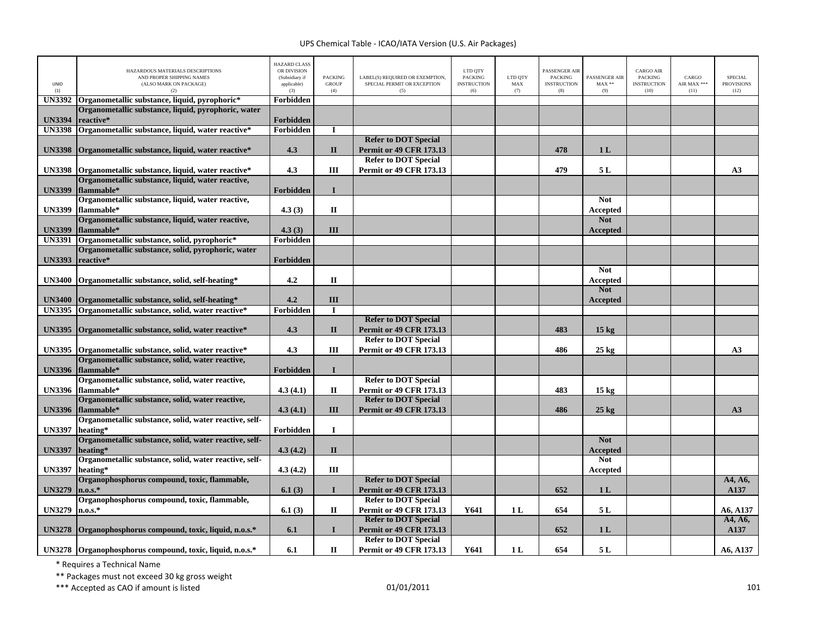| <b>UNID</b><br>(1) | HAZARDOUS MATERIALS DESCRIPTIONS<br>AND PROPER SHIPPING NAMES<br>(ALSO MARK ON PACKAGE)<br>(2) | <b>HAZARD CLASS</b><br>OR DIVISION<br>(Subsidiary if<br>applicable)<br>(3) | <b>PACKING</b><br><b>GROUP</b><br>(4) | LABEL(S) REQUIRED OR EXEMPTION,<br>SPECIAL PERMIT OR EXCEPTION<br>(5) | LTD QTY<br><b>PACKING</b><br><b>INSTRUCTION</b><br>(6) | LTD QTY<br>MAX<br>(7) | <b>PASSENGER AIR</b><br><b>PACKING</b><br><b>INSTRUCTION</b><br>(8) | PASSENGER AIR<br>$MAX**$<br>(9) | <b>CARGO AIR</b><br><b>PACKING</b><br><b>INSTRUCTION</b><br>(10) | CARGO<br>AIR MAX ***<br>(11) | <b>SPECIAL</b><br><b>PROVISIONS</b><br>(12) |
|--------------------|------------------------------------------------------------------------------------------------|----------------------------------------------------------------------------|---------------------------------------|-----------------------------------------------------------------------|--------------------------------------------------------|-----------------------|---------------------------------------------------------------------|---------------------------------|------------------------------------------------------------------|------------------------------|---------------------------------------------|
| <b>UN3392</b>      | Organometallic substance, liquid, pyrophoric*                                                  | Forbidden                                                                  |                                       |                                                                       |                                                        |                       |                                                                     |                                 |                                                                  |                              |                                             |
| <b>UN3394</b>      | Organometallic substance, liquid, pyrophoric, water<br>reactive*                               | Forbidden                                                                  |                                       |                                                                       |                                                        |                       |                                                                     |                                 |                                                                  |                              |                                             |
| <b>UN3398</b>      | Organometallic substance, liquid, water reactive*                                              | Forbidden                                                                  | I                                     |                                                                       |                                                        |                       |                                                                     |                                 |                                                                  |                              |                                             |
|                    |                                                                                                |                                                                            |                                       | <b>Refer to DOT Special</b>                                           |                                                        |                       |                                                                     |                                 |                                                                  |                              |                                             |
| <b>UN3398</b>      | Organometallic substance, liquid, water reactive*                                              | 4.3                                                                        | $\mathbf{I}$                          | <b>Permit or 49 CFR 173.13</b>                                        |                                                        |                       | 478                                                                 | 1L                              |                                                                  |                              |                                             |
|                    |                                                                                                |                                                                            |                                       | <b>Refer to DOT Special</b>                                           |                                                        |                       |                                                                     |                                 |                                                                  |                              |                                             |
| <b>UN3398</b>      | Organometallic substance, liquid, water reactive*                                              | 4.3                                                                        | III                                   | <b>Permit or 49 CFR 173.13</b>                                        |                                                        |                       | 479                                                                 | 5 L                             |                                                                  |                              | A3                                          |
|                    | Organometallic substance, liquid, water reactive,                                              |                                                                            |                                       |                                                                       |                                                        |                       |                                                                     |                                 |                                                                  |                              |                                             |
| <b>UN3399</b>      | flammable*                                                                                     | Forbidden                                                                  | $\mathbf{I}$                          |                                                                       |                                                        |                       |                                                                     |                                 |                                                                  |                              |                                             |
|                    | Organometallic substance, liquid, water reactive,                                              |                                                                            |                                       |                                                                       |                                                        |                       |                                                                     | <b>Not</b>                      |                                                                  |                              |                                             |
| <b>UN3399</b>      | flammable*                                                                                     | 4.3(3)                                                                     | $\Pi$                                 |                                                                       |                                                        |                       |                                                                     | Accepted                        |                                                                  |                              |                                             |
|                    | Organometallic substance, liquid, water reactive,                                              |                                                                            |                                       |                                                                       |                                                        |                       |                                                                     | <b>Not</b>                      |                                                                  |                              |                                             |
| <b>UN3399</b>      | flammable*                                                                                     | 4.3(3)                                                                     | III                                   |                                                                       |                                                        |                       |                                                                     | Accepted                        |                                                                  |                              |                                             |
| <b>UN3391</b>      | Organometallic substance, solid, pyrophoric*                                                   | Forbidden                                                                  |                                       |                                                                       |                                                        |                       |                                                                     |                                 |                                                                  |                              |                                             |
|                    | Organometallic substance, solid, pyrophoric, water                                             |                                                                            |                                       |                                                                       |                                                        |                       |                                                                     |                                 |                                                                  |                              |                                             |
| <b>UN3393</b>      | reactive*                                                                                      | Forbidden                                                                  |                                       |                                                                       |                                                        |                       |                                                                     |                                 |                                                                  |                              |                                             |
|                    |                                                                                                |                                                                            |                                       |                                                                       |                                                        |                       |                                                                     | <b>Not</b>                      |                                                                  |                              |                                             |
|                    | UN3400 Organometallic substance, solid, self-heating*                                          | 4.2                                                                        | $\mathbf{I}$                          |                                                                       |                                                        |                       |                                                                     | <b>Accepted</b>                 |                                                                  |                              |                                             |
|                    |                                                                                                |                                                                            |                                       |                                                                       |                                                        |                       |                                                                     | <b>Not</b>                      |                                                                  |                              |                                             |
| <b>UN3400</b>      | Organometallic substance, solid, self-heating*                                                 | 4.2                                                                        | III                                   |                                                                       |                                                        |                       |                                                                     | Accepted                        |                                                                  |                              |                                             |
| <b>UN3395</b>      | Organometallic substance, solid, water reactive*                                               | Forbidden                                                                  | П                                     |                                                                       |                                                        |                       |                                                                     |                                 |                                                                  |                              |                                             |
|                    |                                                                                                |                                                                            |                                       | <b>Refer to DOT Special</b>                                           |                                                        |                       |                                                                     |                                 |                                                                  |                              |                                             |
| <b>UN3395</b>      | Organometallic substance, solid, water reactive*                                               | 4.3                                                                        | $\mathbf{I}$                          | <b>Permit or 49 CFR 173.13</b>                                        |                                                        |                       | 483                                                                 | 15 <sub>kg</sub>                |                                                                  |                              |                                             |
|                    |                                                                                                |                                                                            |                                       | <b>Refer to DOT Special</b>                                           |                                                        |                       |                                                                     |                                 |                                                                  |                              |                                             |
|                    | UN3395 Organometallic substance, solid, water reactive*                                        | 4.3                                                                        | III                                   | <b>Permit or 49 CFR 173.13</b>                                        |                                                        |                       | 486                                                                 | $25 \text{ kg}$                 |                                                                  |                              | A3                                          |
|                    | Organometallic substance, solid, water reactive,                                               |                                                                            |                                       |                                                                       |                                                        |                       |                                                                     |                                 |                                                                  |                              |                                             |
| <b>UN3396</b>      | flammable*                                                                                     | Forbidden                                                                  | $\mathbf{I}$                          |                                                                       |                                                        |                       |                                                                     |                                 |                                                                  |                              |                                             |
|                    | Organometallic substance, solid, water reactive,                                               |                                                                            |                                       | <b>Refer to DOT Special</b>                                           |                                                        |                       |                                                                     |                                 |                                                                  |                              |                                             |
|                    | UN3396 flammable*                                                                              | 4.3(4.1)                                                                   | $\mathbf H$                           | <b>Permit or 49 CFR 173.13</b>                                        |                                                        |                       | 483                                                                 | 15 <sub>kg</sub>                |                                                                  |                              |                                             |
|                    | Organometallic substance, solid, water reactive,                                               |                                                                            |                                       | <b>Refer to DOT Special</b>                                           |                                                        |                       |                                                                     |                                 |                                                                  |                              |                                             |
| <b>UN3396</b>      | flammable*                                                                                     | 4.3(4.1)                                                                   | III                                   | <b>Permit or 49 CFR 173.13</b>                                        |                                                        |                       | 486                                                                 | $25$ kg                         |                                                                  |                              | A3                                          |
|                    | Organometallic substance, solid, water reactive, self-                                         |                                                                            |                                       |                                                                       |                                                        |                       |                                                                     |                                 |                                                                  |                              |                                             |
| <b>UN3397</b>      | heating*                                                                                       | Forbidden                                                                  | $\mathbf I$                           |                                                                       |                                                        |                       |                                                                     |                                 |                                                                  |                              |                                             |
|                    | Organometallic substance, solid, water reactive, self-                                         |                                                                            |                                       |                                                                       |                                                        |                       |                                                                     | <b>Not</b>                      |                                                                  |                              |                                             |
| <b>UN3397</b>      | heating*                                                                                       | 4.3(4.2)                                                                   | $\mathbf{I}$                          |                                                                       |                                                        |                       |                                                                     | <b>Accepted</b>                 |                                                                  |                              |                                             |
|                    | Organometallic substance, solid, water reactive, self-                                         |                                                                            |                                       |                                                                       |                                                        |                       |                                                                     | <b>Not</b>                      |                                                                  |                              |                                             |
| <b>UN3397</b>      | heating*<br>Organophosphorus compound, toxic, flammable,                                       | 4.3(4.2)                                                                   | Ш                                     | <b>Refer to DOT Special</b>                                           |                                                        |                       |                                                                     | Accepted                        |                                                                  |                              | A4, A6,                                     |
|                    |                                                                                                |                                                                            | $\mathbf I$                           |                                                                       |                                                        |                       | 652                                                                 |                                 |                                                                  |                              | A137                                        |
| <b>UN3279</b>      | $n.o.s.*$<br>Organophosphorus compound, toxic, flammable,                                      | 6.1(3)                                                                     |                                       | <b>Permit or 49 CFR 173.13</b><br><b>Refer to DOT Special</b>         |                                                        |                       |                                                                     | 1 <sub>L</sub>                  |                                                                  |                              |                                             |
| <b>UN3279</b>      | $n.o.s.*$                                                                                      | 6.1(3)                                                                     | $\mathbf{I}$                          | <b>Permit or 49 CFR 173.13</b>                                        | Y641                                                   | 1 <sub>L</sub>        | 654                                                                 | 5 L                             |                                                                  |                              | A6, A137                                    |
|                    |                                                                                                |                                                                            |                                       | <b>Refer to DOT Special</b>                                           |                                                        |                       |                                                                     |                                 |                                                                  |                              | A4, A6,                                     |
| <b>UN3278</b>      | Organophosphorus compound, toxic, liquid, n.o.s.*                                              | 6.1                                                                        | $\mathbf{I}$                          | <b>Permit or 49 CFR 173.13</b>                                        |                                                        |                       | 652                                                                 | 1 <sub>L</sub>                  |                                                                  |                              | A137                                        |
|                    |                                                                                                |                                                                            |                                       | <b>Refer to DOT Special</b>                                           |                                                        |                       |                                                                     |                                 |                                                                  |                              |                                             |
|                    | UN3278 Organophosphorus compound, toxic, liquid, n.o.s.*                                       | 6.1                                                                        | П                                     | <b>Permit or 49 CFR 173.13</b>                                        | Y641                                                   | 1 <sub>L</sub>        | 654                                                                 | 5 L                             |                                                                  |                              | A6, A137                                    |
|                    |                                                                                                |                                                                            |                                       |                                                                       |                                                        |                       |                                                                     |                                 |                                                                  |                              |                                             |

\* Requires <sup>a</sup> Technical Name

\*\* Packages must not exceed 30 kg gross weight

 $***$  Accepted as CAO if amount is listed  $01/01/2011$  and  $01/01/2011$  and  $01/01/2011$  and  $01/01/2011$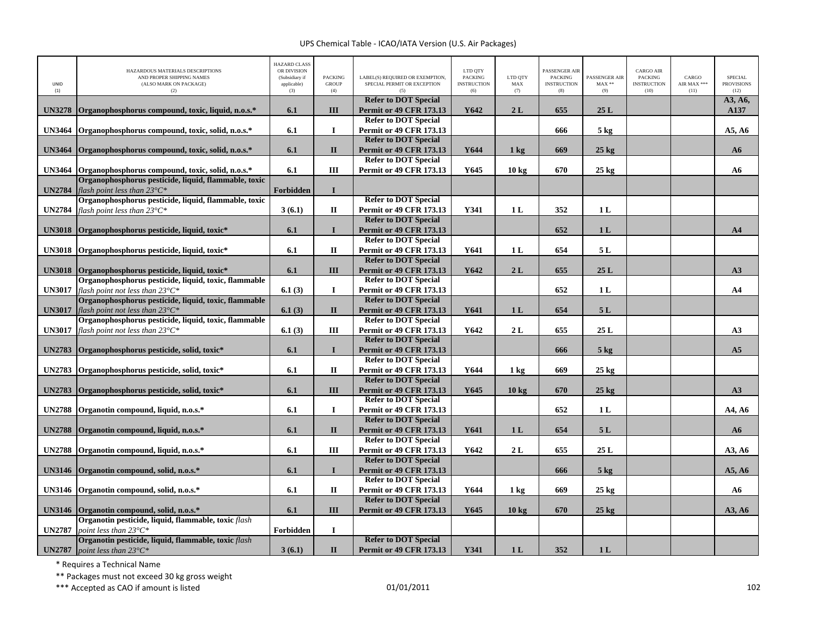| UNID<br>(1)   | HAZARDOUS MATERIALS DESCRIPTIONS<br>AND PROPER SHIPPING NAMES<br>(ALSO MARK ON PACKAGE)<br>(2)    | <b>HAZARD CLASS</b><br>OR DIVISION<br>(Subsidiary if<br>applicable)<br>(3) | <b>PACKING</b><br><b>GROUP</b><br>(4) | LABEL(S) REQUIRED OR EXEMPTION,<br>SPECIAL PERMIT OR EXCEPTION<br>(5) | LTD QTY<br><b>PACKING</b><br><b>INSTRUCTION</b><br>(6) | LTD QTY<br>MAX<br>(7) | PASSENGER AIR<br><b>PACKING</b><br><b>INSTRUCTION</b><br>(8) | PASSENGER AIR<br>$\text{MAX}$ **<br>(9) | <b>CARGO AIR</b><br>PACKING<br><b>INSTRUCTION</b><br>(10) | CARGO<br>AIR MAX ***<br>(11) | <b>SPECIAL</b><br><b>PROVISIONS</b><br>(12) |
|---------------|---------------------------------------------------------------------------------------------------|----------------------------------------------------------------------------|---------------------------------------|-----------------------------------------------------------------------|--------------------------------------------------------|-----------------------|--------------------------------------------------------------|-----------------------------------------|-----------------------------------------------------------|------------------------------|---------------------------------------------|
| <b>UN3278</b> | Organophosphorus compound, toxic, liquid, n.o.s.*                                                 |                                                                            | III                                   | <b>Refer to DOT Special</b><br><b>Permit or 49 CFR 173.13</b>         | Y642                                                   | 2L                    | 655                                                          | 25L                                     |                                                           |                              | A3, A6,<br>A137                             |
|               |                                                                                                   | 6.1                                                                        |                                       | <b>Refer to DOT Special</b>                                           |                                                        |                       |                                                              |                                         |                                                           |                              |                                             |
| <b>UN3464</b> | Organophosphorus compound, toxic, solid, n.o.s.*                                                  | 6.1                                                                        | $\bf{I}$                              | <b>Permit or 49 CFR 173.13</b>                                        |                                                        |                       | 666                                                          | $5 \text{ kg}$                          |                                                           |                              | A5, A6                                      |
|               |                                                                                                   |                                                                            |                                       | <b>Refer to DOT Special</b>                                           |                                                        |                       |                                                              |                                         |                                                           |                              |                                             |
| <b>UN3464</b> | Organophosphorus compound, toxic, solid, n.o.s.*                                                  | 6.1                                                                        | $\mathbf{I}$                          | <b>Permit or 49 CFR 173.13</b>                                        | Y644                                                   | $1 \text{ kg}$        | 669                                                          | $25$ kg                                 |                                                           |                              | A6                                          |
|               |                                                                                                   |                                                                            |                                       | <b>Refer to DOT Special</b>                                           |                                                        |                       |                                                              |                                         |                                                           |                              |                                             |
| <b>UN3464</b> | Organophosphorus compound, toxic, solid, n.o.s.*                                                  | 6.1                                                                        | III                                   | <b>Permit or 49 CFR 173.13</b>                                        | Y645                                                   | $10 \text{ kg}$       | 670                                                          | $25 \text{ kg}$                         |                                                           |                              | A6                                          |
| <b>UN2784</b> | Organophosphorus pesticide, liquid, flammable, toxic<br>flash point less than $23^{\circ}C^*$     | Forbidden                                                                  | $\mathbf I$                           |                                                                       |                                                        |                       |                                                              |                                         |                                                           |                              |                                             |
|               | Organophosphorus pesticide, liquid, flammable, toxic                                              |                                                                            |                                       | <b>Refer to DOT Special</b>                                           |                                                        |                       |                                                              |                                         |                                                           |                              |                                             |
| <b>UN2784</b> | flash point less than $23^{\circ}C^*$                                                             | 3(6.1)                                                                     | $\mathbf H$                           | <b>Permit or 49 CFR 173.13</b>                                        | Y341                                                   | 1 <sub>L</sub>        | 352                                                          | 1 <sub>L</sub>                          |                                                           |                              |                                             |
|               |                                                                                                   |                                                                            |                                       | <b>Refer to DOT Special</b>                                           |                                                        |                       |                                                              |                                         |                                                           |                              |                                             |
| <b>UN3018</b> | Organophosphorus pesticide, liquid, toxic*                                                        | 6.1                                                                        | $\mathbf{I}$                          | <b>Permit or 49 CFR 173.13</b>                                        |                                                        |                       | 652                                                          | 1 <sub>L</sub>                          |                                                           |                              | A <sub>4</sub>                              |
|               |                                                                                                   |                                                                            |                                       | <b>Refer to DOT Special</b>                                           |                                                        |                       |                                                              |                                         |                                                           |                              |                                             |
| <b>UN3018</b> | Organophosphorus pesticide, liquid, toxic*                                                        | 6.1                                                                        | $\mathbf I$                           | <b>Permit or 49 CFR 173.13</b>                                        | Y641                                                   | 1 <sub>L</sub>        | 654                                                          | 5 L                                     |                                                           |                              |                                             |
|               |                                                                                                   |                                                                            |                                       | <b>Refer to DOT Special</b>                                           |                                                        |                       |                                                              |                                         |                                                           |                              |                                             |
| <b>UN3018</b> | Organophosphorus pesticide, liquid, toxic*                                                        | 6.1                                                                        | III                                   | <b>Permit or 49 CFR 173.13</b>                                        | Y642                                                   | 2L                    | 655                                                          | 25L                                     |                                                           |                              | A3                                          |
|               | Organophosphorus pesticide, liquid, toxic, flammable                                              |                                                                            |                                       | <b>Refer to DOT Special</b>                                           |                                                        |                       |                                                              |                                         |                                                           |                              |                                             |
| <b>UN3017</b> | flash point not less than $23^{\circ}C^*$                                                         | 6.1(3)                                                                     | $\bf{I}$                              | <b>Permit or 49 CFR 173.13</b>                                        |                                                        |                       | 652                                                          | 1 <sub>L</sub>                          |                                                           |                              | AA                                          |
|               | Organophosphorus pesticide, liquid, toxic, flammable                                              |                                                                            |                                       | <b>Refer to DOT Special</b>                                           |                                                        |                       |                                                              |                                         |                                                           |                              |                                             |
| <b>UN3017</b> | flash point not less than $23^{\circ}C^*$                                                         | 6.1(3)                                                                     | $\mathbf{I}$                          | <b>Permit or 49 CFR 173.13</b><br><b>Refer to DOT Special</b>         | Y641                                                   | 1 <sub>L</sub>        | 654                                                          | 5L                                      |                                                           |                              |                                             |
| <b>UN3017</b> | Organophosphorus pesticide, liquid, toxic, flammable<br>flash point not less than $23^{\circ}C^*$ | 6.1(3)                                                                     | III                                   | <b>Permit or 49 CFR 173.13</b>                                        | Y642                                                   | 2L                    | 655                                                          | 25L                                     |                                                           |                              | A3                                          |
|               |                                                                                                   |                                                                            |                                       | <b>Refer to DOT Special</b>                                           |                                                        |                       |                                                              |                                         |                                                           |                              |                                             |
| <b>UN2783</b> | Organophosphorus pesticide, solid, toxic*                                                         | 6.1                                                                        | $\mathbf{I}$                          | <b>Permit or 49 CFR 173.13</b>                                        |                                                        |                       | 666                                                          | 5 <sub>kg</sub>                         |                                                           |                              | A5                                          |
|               |                                                                                                   |                                                                            |                                       | <b>Refer to DOT Special</b>                                           |                                                        |                       |                                                              |                                         |                                                           |                              |                                             |
| <b>UN2783</b> | Organophosphorus pesticide, solid, toxic*                                                         | 6.1                                                                        | $\mathbf I$                           | <b>Permit or 49 CFR 173.13</b>                                        | Y644                                                   | $1 \text{ kg}$        | 669                                                          | $25 \text{ kg}$                         |                                                           |                              |                                             |
|               |                                                                                                   |                                                                            |                                       | <b>Refer to DOT Special</b>                                           |                                                        |                       |                                                              |                                         |                                                           |                              |                                             |
| <b>UN2783</b> | Organophosphorus pesticide, solid, toxic*                                                         | 6.1                                                                        | III                                   | <b>Permit or 49 CFR 173.13</b>                                        | Y645                                                   | $10 \text{ kg}$       | 670                                                          | $25$ kg                                 |                                                           |                              | A3                                          |
|               |                                                                                                   |                                                                            |                                       | <b>Refer to DOT Special</b>                                           |                                                        |                       |                                                              |                                         |                                                           |                              |                                             |
| <b>UN2788</b> | Organotin compound, liquid, n.o.s.*                                                               | 6.1                                                                        | $\bf{I}$                              | <b>Permit or 49 CFR 173.13</b>                                        |                                                        |                       | 652                                                          | 1 <sub>L</sub>                          |                                                           |                              | A4, A6                                      |
|               |                                                                                                   |                                                                            |                                       | <b>Refer to DOT Special</b>                                           |                                                        |                       |                                                              |                                         |                                                           |                              |                                             |
| <b>UN2788</b> | Organotin compound, liquid, n.o.s.*                                                               | 6.1                                                                        | $\mathbf{I}$                          | <b>Permit or 49 CFR 173.13</b><br><b>Refer to DOT Special</b>         | Y641                                                   | 1 <sub>L</sub>        | 654                                                          | 5L                                      |                                                           |                              | A6                                          |
| <b>UN2788</b> | Organotin compound, liquid, n.o.s.*                                                               | 6.1                                                                        | III                                   | <b>Permit or 49 CFR 173.13</b>                                        | Y642                                                   | 2L                    | 655                                                          | 25L                                     |                                                           |                              | A3, A6                                      |
|               |                                                                                                   |                                                                            |                                       | <b>Refer to DOT Special</b>                                           |                                                        |                       |                                                              |                                         |                                                           |                              |                                             |
| <b>UN3146</b> | Organotin compound, solid, n.o.s.*                                                                | 6.1                                                                        | $\mathbf{I}$                          | <b>Permit or 49 CFR 173.13</b>                                        |                                                        |                       | 666                                                          | 5 <sub>kg</sub>                         |                                                           |                              | A5, A6                                      |
|               |                                                                                                   |                                                                            |                                       | <b>Refer to DOT Special</b>                                           |                                                        |                       |                                                              |                                         |                                                           |                              |                                             |
| <b>UN3146</b> | Organotin compound, solid, n.o.s.*                                                                | 6.1                                                                        | $\mathbf{I}$                          | <b>Permit or 49 CFR 173.13</b>                                        | Y644                                                   | $1 \text{ kg}$        | 669                                                          | $25 \text{ kg}$                         |                                                           |                              | A6                                          |
|               |                                                                                                   |                                                                            |                                       | <b>Refer to DOT Special</b>                                           |                                                        |                       |                                                              |                                         |                                                           |                              |                                             |
| <b>UN3146</b> | Organotin compound, solid, n.o.s.*                                                                | 6.1                                                                        | III                                   | <b>Permit or 49 CFR 173.13</b>                                        | Y645                                                   | 10 <sub>kg</sub>      | 670                                                          | $25$ kg                                 |                                                           |                              | A3, A6                                      |
|               | Organotin pesticide, liquid, flammable, toxic flash                                               |                                                                            |                                       |                                                                       |                                                        |                       |                                                              |                                         |                                                           |                              |                                             |
| <b>UN2787</b> | point less than $23^{\circ}C^*$                                                                   | Forbidden                                                                  | $\mathbf I$                           |                                                                       |                                                        |                       |                                                              |                                         |                                                           |                              |                                             |
|               | Organotin pesticide, liquid, flammable, toxic flash                                               |                                                                            |                                       | <b>Refer to DOT Special</b>                                           |                                                        |                       |                                                              |                                         |                                                           |                              |                                             |
| <b>UN2787</b> | point less than $23^{\circ}C^*$                                                                   | 3(6.1)                                                                     | $\mathbf{I}$                          | <b>Permit or 49 CFR 173.13</b>                                        | Y341                                                   | 1 <sub>L</sub>        | 352                                                          | 1 <sub>L</sub>                          |                                                           |                              |                                             |

\* Requires <sup>a</sup> Technical Name

\*\* Packages must not exceed 30 kg gross weight

\*\*\* Accepted as CAO if amount is listed 102 and the control of the control of the control of the control of the control of the control of the control of the control of the control of the control of the control of the contr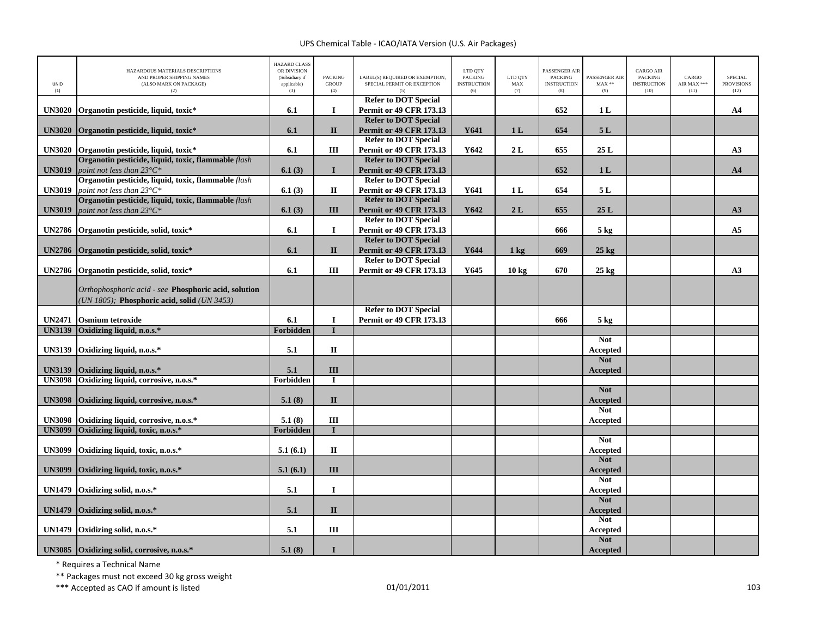| UNID<br>(1)   | HAZARDOUS MATERIALS DESCRIPTIONS<br>AND PROPER SHIPPING NAMES<br>(ALSO MARK ON PACKAGE)<br>(2)      | <b>HAZARD CLASS</b><br>OR DIVISION<br>(Subsidiary if<br>applicable)<br>(3) | <b>PACKING</b><br><b>GROUP</b><br>(4) | LABEL(S) REQUIRED OR EXEMPTION.<br>SPECIAL PERMIT OR EXCEPTION<br>(5) | LTD QTY<br><b>PACKING</b><br><b>INSTRUCTION</b><br>(6) | LTD QTY<br>$\operatorname{MAX}$<br>(7) | PASSENGER AIR<br><b>PACKING</b><br><b>INSTRUCTION</b><br>(8) | PASSENGER AIR<br>$MAX**$<br>(9) | <b>CARGO AIR</b><br>PACKING<br><b>INSTRUCTION</b><br>(10) | CARGO<br>AIR MAX ***<br>(11) | <b>SPECIAL</b><br><b>PROVISIONS</b><br>(12) |
|---------------|-----------------------------------------------------------------------------------------------------|----------------------------------------------------------------------------|---------------------------------------|-----------------------------------------------------------------------|--------------------------------------------------------|----------------------------------------|--------------------------------------------------------------|---------------------------------|-----------------------------------------------------------|------------------------------|---------------------------------------------|
|               |                                                                                                     |                                                                            | $\mathbf{I}$                          | <b>Refer to DOT Special</b>                                           |                                                        |                                        |                                                              |                                 |                                                           |                              |                                             |
| <b>UN3020</b> | Organotin pesticide, liquid, toxic*                                                                 | 6.1                                                                        |                                       | <b>Permit or 49 CFR 173.13</b><br><b>Refer to DOT Special</b>         |                                                        |                                        | 652                                                          | 1 <sub>L</sub>                  |                                                           |                              | A4                                          |
| <b>UN3020</b> | Organotin pesticide, liquid, toxic*                                                                 | 6.1                                                                        | $\mathbf{I}$                          | <b>Permit or 49 CFR 173.13</b>                                        | Y641                                                   | 1 <sub>L</sub>                         | 654                                                          | 5L                              |                                                           |                              |                                             |
|               |                                                                                                     |                                                                            |                                       | <b>Refer to DOT Special</b>                                           |                                                        |                                        |                                                              |                                 |                                                           |                              |                                             |
| <b>UN3020</b> | Organotin pesticide, liquid, toxic*                                                                 | 6.1                                                                        | $\rm III$                             | <b>Permit or 49 CFR 173.13</b>                                        | Y642                                                   | 2L                                     | 655                                                          | 25L                             |                                                           |                              | A3                                          |
|               | Organotin pesticide, liquid, toxic, flammable flash                                                 |                                                                            |                                       | <b>Refer to DOT Special</b>                                           |                                                        |                                        |                                                              |                                 |                                                           |                              |                                             |
| <b>UN3019</b> | point not less than $23^{\circ}C^*$                                                                 | 6.1(3)                                                                     | I                                     | <b>Permit or 49 CFR 173.13</b>                                        |                                                        |                                        | 652                                                          | 1 <sub>L</sub>                  |                                                           |                              | A <sub>4</sub>                              |
| <b>UN3019</b> | Organotin pesticide, liquid, toxic, flammable flash<br>point not less than $23^{\circ}C^*$          | 6.1(3)                                                                     | $\mathbf{I}\mathbf{I}$                | <b>Refer to DOT Special</b><br><b>Permit or 49 CFR 173.13</b>         | Y641                                                   | 1 <sub>L</sub>                         | 654                                                          | 5L                              |                                                           |                              |                                             |
|               | Organotin pesticide, liquid, toxic, flammable flash                                                 |                                                                            |                                       | <b>Refer to DOT Special</b>                                           |                                                        |                                        |                                                              |                                 |                                                           |                              |                                             |
| <b>UN3019</b> | point not less than $23^{\circ}C^*$                                                                 | 6.1(3)                                                                     | III                                   | <b>Permit or 49 CFR 173.13</b>                                        | Y642                                                   | 2L                                     | 655                                                          | 25L                             |                                                           |                              | A3                                          |
|               |                                                                                                     |                                                                            |                                       | <b>Refer to DOT Special</b>                                           |                                                        |                                        |                                                              |                                 |                                                           |                              |                                             |
| <b>UN2786</b> | Organotin pesticide, solid, toxic*                                                                  | 6.1                                                                        | $\mathbf I$                           | <b>Permit or 49 CFR 173.13</b>                                        |                                                        |                                        | 666                                                          | $5 \text{ kg}$                  |                                                           |                              | A <sub>5</sub>                              |
|               |                                                                                                     |                                                                            |                                       | <b>Refer to DOT Special</b>                                           |                                                        |                                        |                                                              |                                 |                                                           |                              |                                             |
| <b>UN2786</b> | Organotin pesticide, solid, toxic*                                                                  | 6.1                                                                        | $\mathbf{I}$                          | <b>Permit or 49 CFR 173.13</b>                                        | Y644                                                   | $1 \text{ kg}$                         | 669                                                          | $25 \text{ kg}$                 |                                                           |                              |                                             |
| <b>UN2786</b> |                                                                                                     | 6.1                                                                        | III                                   | <b>Refer to DOT Special</b><br><b>Permit or 49 CFR 173.13</b>         | Y645                                                   | 10 kg                                  | 670                                                          | $25 \text{ kg}$                 |                                                           |                              | A3                                          |
|               | Organotin pesticide, solid, toxic*                                                                  |                                                                            |                                       |                                                                       |                                                        |                                        |                                                              |                                 |                                                           |                              |                                             |
|               | Orthophosphoric acid - see Phosphoric acid, solution<br>(UN 1805); Phosphoric acid, solid (UN 3453) |                                                                            |                                       |                                                                       |                                                        |                                        |                                                              |                                 |                                                           |                              |                                             |
|               |                                                                                                     |                                                                            |                                       | <b>Refer to DOT Special</b>                                           |                                                        |                                        |                                                              |                                 |                                                           |                              |                                             |
| <b>UN2471</b> | <b>Osmium</b> tetroxide<br>Oxidizing liquid, n.o.s.*                                                | 6.1<br><b>Forbidden</b>                                                    | $\bf{I}$                              | <b>Permit or 49 CFR 173.13</b>                                        |                                                        |                                        | 666                                                          | $5 \text{ kg}$                  |                                                           |                              |                                             |
| <b>UN3139</b> |                                                                                                     |                                                                            |                                       |                                                                       |                                                        |                                        |                                                              | <b>Not</b>                      |                                                           |                              |                                             |
| <b>UN3139</b> | Oxidizing liquid, n.o.s.*                                                                           | 5.1                                                                        | $\mathbf{I}\mathbf{I}$                |                                                                       |                                                        |                                        |                                                              | Accepted                        |                                                           |                              |                                             |
|               |                                                                                                     |                                                                            |                                       |                                                                       |                                                        |                                        |                                                              | <b>Not</b>                      |                                                           |                              |                                             |
| <b>UN3139</b> | Oxidizing liquid, n.o.s.*                                                                           | 5.1                                                                        | $\rm III$                             |                                                                       |                                                        |                                        |                                                              | <b>Accepted</b>                 |                                                           |                              |                                             |
| <b>UN3098</b> | Oxidizing liquid, corrosive, n.o.s.*                                                                | Forbidden                                                                  | T                                     |                                                                       |                                                        |                                        |                                                              |                                 |                                                           |                              |                                             |
|               |                                                                                                     |                                                                            |                                       |                                                                       |                                                        |                                        |                                                              | <b>Not</b>                      |                                                           |                              |                                             |
| <b>UN3098</b> | Oxidizing liquid, corrosive, n.o.s.*                                                                | 5.1(8)                                                                     | $\mathbf{I}$                          |                                                                       |                                                        |                                        |                                                              | <b>Accepted</b><br><b>Not</b>   |                                                           |                              |                                             |
| <b>UN3098</b> | Oxidizing liquid, corrosive, n.o.s.*                                                                | 5.1(8)                                                                     | III                                   |                                                                       |                                                        |                                        |                                                              | Accepted                        |                                                           |                              |                                             |
| <b>UN3099</b> | Oxidizing liquid, toxic, n.o.s.*                                                                    | Forbidden                                                                  |                                       |                                                                       |                                                        |                                        |                                                              |                                 |                                                           |                              |                                             |
|               |                                                                                                     |                                                                            |                                       |                                                                       |                                                        |                                        |                                                              | <b>Not</b>                      |                                                           |                              |                                             |
| <b>UN3099</b> | Oxidizing liquid, toxic, n.o.s.*                                                                    | 5.1(6.1)                                                                   | $\mathbf{I}$                          |                                                                       |                                                        |                                        |                                                              | Accepted                        |                                                           |                              |                                             |
| <b>UN3099</b> | Oxidizing liquid, toxic, n.o.s.*                                                                    | 5.1(6.1)                                                                   | III                                   |                                                                       |                                                        |                                        |                                                              | <b>Not</b><br><b>Accepted</b>   |                                                           |                              |                                             |
| <b>UN1479</b> | Oxidizing solid, n.o.s.*                                                                            | 5.1                                                                        | $\bf{I}$                              |                                                                       |                                                        |                                        |                                                              | <b>Not</b><br>Accepted          |                                                           |                              |                                             |
|               |                                                                                                     |                                                                            |                                       |                                                                       |                                                        |                                        |                                                              | <b>Not</b>                      |                                                           |                              |                                             |
| <b>UN1479</b> | Oxidizing solid, n.o.s.*                                                                            | 5.1                                                                        | $\mathbf{I}$                          |                                                                       |                                                        |                                        |                                                              | <b>Accepted</b>                 |                                                           |                              |                                             |
|               |                                                                                                     |                                                                            |                                       |                                                                       |                                                        |                                        |                                                              | <b>Not</b>                      |                                                           |                              |                                             |
| <b>UN1479</b> | Oxidizing solid, n.o.s.*                                                                            | 5.1                                                                        | Ш                                     |                                                                       |                                                        |                                        |                                                              | Accepted<br><b>Not</b>          |                                                           |                              |                                             |
|               | UN3085 Oxidizing solid, corrosive, n.o.s.*                                                          | 5.1(8)                                                                     |                                       |                                                                       |                                                        |                                        |                                                              | Accepted                        |                                                           |                              |                                             |

\* Requires <sup>a</sup> Technical Name

\*\* Packages must not exceed 30 kg gross weight

\*\*\* Accepted as CAO if amount is listed 103 and the control of the control of the control of the control of the control of the control of the control of the control of the control of the control of the control of the contr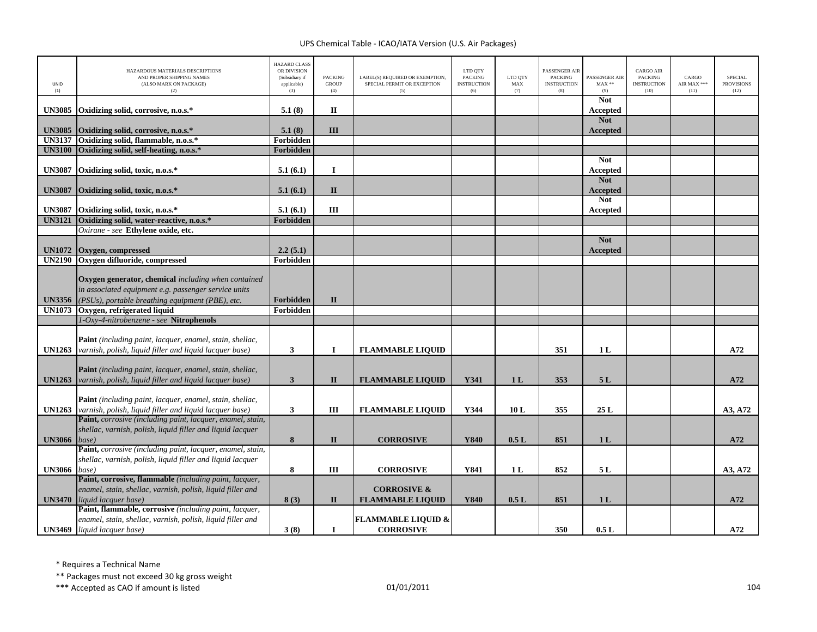| UNID<br>(1)   | HAZARDOUS MATERIALS DESCRIPTIONS<br>AND PROPER SHIPPING NAMES<br>(ALSO MARK ON PACKAGE)<br>(2)                                                                  | <b>HAZARD CLASS</b><br>OR DIVISION<br>(Subsidiary if<br>applicable)<br>(3) | <b>PACKING</b><br><b>GROUP</b><br>(4) | LABEL(S) REQUIRED OR EXEMPTION,<br>SPECIAL PERMIT OR EXCEPTION<br>(5) | LTD QTY<br><b>PACKING</b><br><b>INSTRUCTION</b><br>(6) | LTD QTY<br>MAX<br>(7) | <b>PASSENGER AIR</b><br><b>PACKING</b><br><b>INSTRUCTION</b><br>(8) | PASSENGER AIR<br>$MAX**$<br>(9) | <b>CARGO AIR</b><br><b>PACKING</b><br><b>INSTRUCTION</b><br>(10) | CARGO<br>AIR MAX ***<br>(11) | <b>SPECIAL</b><br><b>PROVISIONS</b><br>(12) |
|---------------|-----------------------------------------------------------------------------------------------------------------------------------------------------------------|----------------------------------------------------------------------------|---------------------------------------|-----------------------------------------------------------------------|--------------------------------------------------------|-----------------------|---------------------------------------------------------------------|---------------------------------|------------------------------------------------------------------|------------------------------|---------------------------------------------|
| <b>UN3085</b> | Oxidizing solid, corrosive, n.o.s.*                                                                                                                             | 5.1(8)                                                                     | $\mathbf H$                           |                                                                       |                                                        |                       |                                                                     | <b>Not</b><br>Accepted          |                                                                  |                              |                                             |
| <b>UN3085</b> | Oxidizing solid, corrosive, n.o.s.*                                                                                                                             | 5.1(8)                                                                     | III                                   |                                                                       |                                                        |                       |                                                                     | <b>Not</b><br>Accepted          |                                                                  |                              |                                             |
| <b>UN3137</b> | Oxidizing solid, flammable, n.o.s.*                                                                                                                             | Forbidden                                                                  |                                       |                                                                       |                                                        |                       |                                                                     |                                 |                                                                  |                              |                                             |
| <b>UN3100</b> | Oxidizing solid, self-heating, n.o.s.*                                                                                                                          | Forbidden                                                                  |                                       |                                                                       |                                                        |                       |                                                                     |                                 |                                                                  |                              |                                             |
| <b>UN3087</b> | Oxidizing solid, toxic, n.o.s.*                                                                                                                                 | 5.1(6.1)                                                                   | $\mathbf I$                           |                                                                       |                                                        |                       |                                                                     | <b>Not</b><br>Accepted          |                                                                  |                              |                                             |
| <b>UN3087</b> | Oxidizing solid, toxic, n.o.s.*                                                                                                                                 | 5.1(6.1)                                                                   | $\mathbf{I}$                          |                                                                       |                                                        |                       |                                                                     | <b>Not</b><br><b>Accepted</b>   |                                                                  |                              |                                             |
| <b>UN3087</b> | Oxidizing solid, toxic, n.o.s.*                                                                                                                                 | 5.1(6.1)                                                                   | III                                   |                                                                       |                                                        |                       |                                                                     | <b>Not</b><br>Accepted          |                                                                  |                              |                                             |
| <b>UN3121</b> | Oxidizing solid, water-reactive, n.o.s.*                                                                                                                        | Forbidden                                                                  |                                       |                                                                       |                                                        |                       |                                                                     |                                 |                                                                  |                              |                                             |
|               | Oxirane - see Ethylene oxide, etc.                                                                                                                              |                                                                            |                                       |                                                                       |                                                        |                       |                                                                     |                                 |                                                                  |                              |                                             |
| <b>UN1072</b> | Oxygen, compressed                                                                                                                                              | 2.2(5.1)                                                                   |                                       |                                                                       |                                                        |                       |                                                                     | <b>Not</b><br>Accepted          |                                                                  |                              |                                             |
| <b>UN2190</b> | Oxygen difluoride, compressed                                                                                                                                   | Forbidden                                                                  |                                       |                                                                       |                                                        |                       |                                                                     |                                 |                                                                  |                              |                                             |
| <b>UN3356</b> | Oxygen generator, chemical including when contained<br>in associated equipment e.g. passenger service units<br>(PSUs), portable breathing equipment (PBE), etc. | Forbidden                                                                  | $\mathbf{I}$                          |                                                                       |                                                        |                       |                                                                     |                                 |                                                                  |                              |                                             |
| <b>UN1073</b> | Oxygen, refrigerated liquid                                                                                                                                     | Forbidden                                                                  |                                       |                                                                       |                                                        |                       |                                                                     |                                 |                                                                  |                              |                                             |
|               | 1-Oxy-4-nitrobenzene - see Nitrophenols                                                                                                                         |                                                                            |                                       |                                                                       |                                                        |                       |                                                                     |                                 |                                                                  |                              |                                             |
| <b>UN1263</b> | Paint (including paint, lacquer, enamel, stain, shellac,<br>varnish, polish, liquid filler and liquid lacquer base)                                             | $\mathbf{3}$                                                               | $\mathbf I$                           | <b>FLAMMABLE LIQUID</b>                                               |                                                        |                       | 351                                                                 | 1 <sub>L</sub>                  |                                                                  |                              | A72                                         |
| <b>UN1263</b> | <b>Paint</b> (including paint, lacquer, enamel, stain, shellac,<br>varnish, polish, liquid filler and liquid lacquer base)                                      | $\mathbf{3}$                                                               | $\mathbf{I}$                          | <b>FLAMMABLE LIQUID</b>                                               | Y341                                                   | 1 <sub>L</sub>        | 353                                                                 | 5L                              |                                                                  |                              | A72                                         |
| <b>UN1263</b> | Paint (including paint, lacquer, enamel, stain, shellac,<br>varnish, polish, liquid filler and liquid lacquer base)                                             | $\mathbf{3}$                                                               | III                                   | <b>FLAMMABLE LIQUID</b>                                               | Y344                                                   | 10L                   | 355                                                                 | 25L                             |                                                                  |                              | A3, A72                                     |
| <b>UN3066</b> | Paint, corrosive (including paint, lacquer, enamel, stain,<br>shellac, varnish, polish, liquid filler and liquid lacquer<br>base)                               | 8                                                                          | $\mathbf{I}$                          | <b>CORROSIVE</b>                                                      | Y840                                                   | 0.5L                  | 851                                                                 | 1 <sub>L</sub>                  |                                                                  |                              | A72                                         |
|               | Paint, corrosive (including paint, lacquer, enamel, stain,                                                                                                      |                                                                            |                                       |                                                                       |                                                        |                       |                                                                     |                                 |                                                                  |                              |                                             |
| <b>UN3066</b> | shellac, varnish, polish, liquid filler and liquid lacquer<br>base)                                                                                             | ${\bf 8}$                                                                  | $\rm III$                             | <b>CORROSIVE</b>                                                      | Y841                                                   | 1 <sub>L</sub>        | 852                                                                 | 5L                              |                                                                  |                              | A3, A72                                     |
|               | Paint, corrosive, flammable (including paint, lacquer,<br>enamel, stain, shellac, varnish, polish, liquid filler and<br><b>UN3470</b> liquid lacquer base)      | 8(3)                                                                       | $\mathbf{I}$                          | <b>CORROSIVE &amp;</b><br><b>FLAMMABLE LIQUID</b>                     | <b>Y840</b>                                            | 0.5L                  | 851                                                                 | 1 <sub>L</sub>                  |                                                                  |                              | A72                                         |
|               | Paint, flammable, corrosive (including paint, lacquer,                                                                                                          |                                                                            |                                       |                                                                       |                                                        |                       |                                                                     |                                 |                                                                  |                              |                                             |
|               | enamel, stain, shellac, varnish, polish, liquid filler and<br><b>UN3469</b> liquid lacquer base)                                                                | 3(8)                                                                       | $\mathbf I$                           | <b>FLAMMABLE LIQUID &amp;</b><br><b>CORROSIVE</b>                     |                                                        |                       | 350                                                                 | 0.5L                            |                                                                  |                              | A72                                         |

\* Requires <sup>a</sup> Technical Name

\*\* Packages must not exceed 30 kg gross weight

 $***$  Accepted as CAO if amount is listed  $01/01/2011$  and  $04/01/2011$  and  $04/01/2011$  and  $04/01/2011$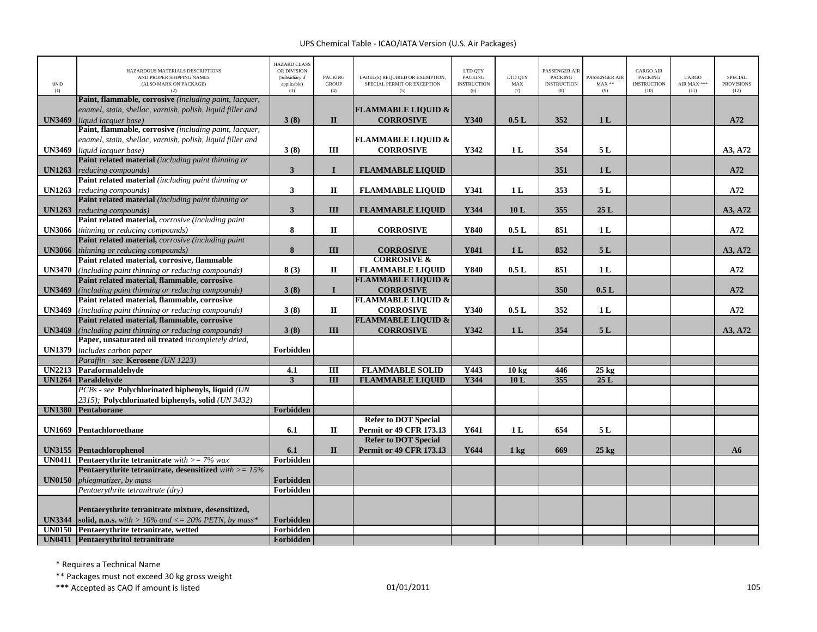| UNID<br>(1)   | HAZARDOUS MATERIALS DESCRIPTIONS<br>AND PROPER SHIPPING NAMES<br>(ALSO MARK ON PACKAGE)<br>(2) | <b>HAZARD CLASS</b><br>OR DIVISION<br>(Subsidiary if<br>applicable)<br>(3) | <b>PACKING</b><br><b>GROUP</b><br>(4) | LABEL(S) REQUIRED OR EXEMPTION,<br>SPECIAL PERMIT OR EXCEPTION<br>(5) | LTD QTY<br><b>PACKING</b><br><b>INSTRUCTION</b><br>(6) | LTD QTY<br>MAX<br>(7) | PASSENGER AIR<br><b>PACKING</b><br><b>INSTRUCTION</b><br>(8) | PASSENGER AIR<br>$MAX**$<br>(9) | <b>CARGO AIR</b><br><b>PACKING</b><br><b>INSTRUCTION</b><br>(10) | CARGO<br>AIR MAX ***<br>(11) | <b>SPECIAL</b><br><b>PROVISIONS</b><br>(12) |
|---------------|------------------------------------------------------------------------------------------------|----------------------------------------------------------------------------|---------------------------------------|-----------------------------------------------------------------------|--------------------------------------------------------|-----------------------|--------------------------------------------------------------|---------------------------------|------------------------------------------------------------------|------------------------------|---------------------------------------------|
|               | Paint, flammable, corrosive (including paint, lacquer,                                         |                                                                            |                                       |                                                                       |                                                        |                       |                                                              |                                 |                                                                  |                              |                                             |
|               | enamel, stain, shellac, varnish, polish, liquid filler and                                     |                                                                            |                                       | <b>FLAMMABLE LIQUID &amp;</b>                                         |                                                        |                       |                                                              |                                 |                                                                  |                              |                                             |
| <b>UN3469</b> | liquid lacquer base)                                                                           | 3(8)                                                                       | $\mathbf{I}$                          | <b>CORROSIVE</b>                                                      | Y340                                                   | 0.5L                  | 352                                                          | 1 <sub>L</sub>                  |                                                                  |                              | A72                                         |
|               | Paint, flammable, corrosive (including paint, lacquer,                                         |                                                                            |                                       |                                                                       |                                                        |                       |                                                              |                                 |                                                                  |                              |                                             |
|               | enamel, stain, shellac, varnish, polish, liquid filler and                                     |                                                                            |                                       | <b>FLAMMABLE LIQUID &amp;</b>                                         |                                                        |                       |                                                              |                                 |                                                                  |                              |                                             |
| <b>UN3469</b> | liquid lacquer base)                                                                           | 3(8)                                                                       | Ш                                     | <b>CORROSIVE</b>                                                      | Y342                                                   | 1 <sub>L</sub>        | 354                                                          | 5 L                             |                                                                  |                              | A3, A72                                     |
|               | Paint related material (including paint thinning or                                            |                                                                            |                                       |                                                                       |                                                        |                       |                                                              |                                 |                                                                  |                              |                                             |
| <b>UN1263</b> | reducing compounds)                                                                            | $\mathbf{3}$                                                               | $\mathbf{I}$                          | <b>FLAMMABLE LIQUID</b>                                               |                                                        |                       | 351                                                          | 1 <sub>L</sub>                  |                                                                  |                              | A72                                         |
|               | Paint related material (including paint thinning or                                            |                                                                            |                                       |                                                                       |                                                        |                       |                                                              |                                 |                                                                  |                              |                                             |
| <b>UN1263</b> | reducing compounds)                                                                            | $\mathbf{3}$                                                               | $\rm II$                              | <b>FLAMMABLE LIQUID</b>                                               | Y341                                                   | 1 <sub>L</sub>        | 353                                                          | 5L                              |                                                                  |                              | A72                                         |
|               | Paint related material (including paint thinning or                                            |                                                                            |                                       |                                                                       |                                                        |                       |                                                              |                                 |                                                                  |                              |                                             |
| <b>UN1263</b> | reducing compounds)<br>Paint related material, corrosive (including paint                      | $\mathbf{3}$                                                               | III                                   | <b>FLAMMABLE LIQUID</b>                                               | Y344                                                   | 10L                   | 355                                                          | 25L                             |                                                                  |                              | A3, A72                                     |
| <b>UN3066</b> | thinning or reducing compounds)                                                                | 8                                                                          | $\mathbf{I}$                          | <b>CORROSIVE</b>                                                      | Y840                                                   | 0.5L                  | 851                                                          | 1L                              |                                                                  |                              | A72                                         |
|               | Paint related material, corrosive (including paint                                             |                                                                            |                                       |                                                                       |                                                        |                       |                                                              |                                 |                                                                  |                              |                                             |
| <b>UN3066</b> | thinning or reducing compounds)                                                                | 8                                                                          | III                                   | <b>CORROSIVE</b>                                                      | Y841                                                   | 1 <sub>L</sub>        | 852                                                          | 5L                              |                                                                  |                              | A3, A72                                     |
|               | Paint related material, corrosive, flammable                                                   |                                                                            |                                       | <b>CORROSIVE &amp;</b>                                                |                                                        |                       |                                                              |                                 |                                                                  |                              |                                             |
| <b>UN3470</b> | (including paint thinning or reducing compounds)                                               | 8(3)                                                                       | П                                     | <b>FLAMMABLE LIOUID</b>                                               | Y840                                                   | 0.5L                  | 851                                                          | 1 <sub>L</sub>                  |                                                                  |                              | A72                                         |
|               | Paint related material, flammable, corrosive                                                   |                                                                            |                                       | <b>FLAMMABLE LIQUID &amp;</b>                                         |                                                        |                       |                                                              |                                 |                                                                  |                              |                                             |
| <b>UN3469</b> | (including paint thinning or reducing compounds)                                               | 3(8)                                                                       | $\mathbf{I}$                          | <b>CORROSIVE</b>                                                      |                                                        |                       | 350                                                          | 0.5L                            |                                                                  |                              | A72                                         |
|               | Paint related material, flammable, corrosive                                                   |                                                                            |                                       | <b>FLAMMABLE LIQUID &amp;</b>                                         |                                                        |                       |                                                              |                                 |                                                                  |                              |                                             |
| <b>UN3469</b> | (including paint thinning or reducing compounds)                                               | 3(8)                                                                       | $\mathbf{I}$                          | <b>CORROSIVE</b>                                                      | Y340                                                   | 0.5L                  | 352                                                          | 1 <sub>L</sub>                  |                                                                  |                              | A72                                         |
|               | Paint related material, flammable, corrosive                                                   |                                                                            |                                       | <b>FLAMMABLE LIQUID &amp;</b>                                         |                                                        |                       |                                                              |                                 |                                                                  |                              |                                             |
| <b>UN3469</b> | (including paint thinning or reducing compounds)                                               | 3(8)                                                                       | III                                   | <b>CORROSIVE</b>                                                      | Y342                                                   | 1 <sub>L</sub>        | 354                                                          | 5L                              |                                                                  |                              | A3, A72                                     |
|               | Paper, unsaturated oil treated incompletely dried,                                             |                                                                            |                                       |                                                                       |                                                        |                       |                                                              |                                 |                                                                  |                              |                                             |
| <b>UN1379</b> | includes carbon paper                                                                          | Forbidden                                                                  |                                       |                                                                       |                                                        |                       |                                                              |                                 |                                                                  |                              |                                             |
|               | Paraffin - see Kerosene (UN 1223)                                                              |                                                                            |                                       |                                                                       |                                                        |                       |                                                              |                                 |                                                                  |                              |                                             |
| <b>UN2213</b> | Paraformaldehyde                                                                               | 4.1                                                                        | $\rm III$                             | <b>FLAMMABLE SOLID</b>                                                | Y443                                                   | 10 <sub>kg</sub>      | 446                                                          | $25 \text{ kg}$                 |                                                                  |                              |                                             |
| <b>UN1264</b> | Paraldehyde                                                                                    | $\overline{3}$                                                             | $\overline{III}$                      | <b>FLAMMABLE LIQUID</b>                                               | Y344                                                   | 10L                   | 355                                                          | 25L                             |                                                                  |                              |                                             |
|               | PCBs - see Polychlorinated biphenyls, liquid (UN                                               |                                                                            |                                       |                                                                       |                                                        |                       |                                                              |                                 |                                                                  |                              |                                             |
| <b>UN1380</b> | 2315); Polychlorinated biphenyls, solid (UN 3432)<br>Pentaborane                               | Forbidden                                                                  |                                       |                                                                       |                                                        |                       |                                                              |                                 |                                                                  |                              |                                             |
|               |                                                                                                |                                                                            |                                       | <b>Refer to DOT Special</b>                                           |                                                        |                       |                                                              |                                 |                                                                  |                              |                                             |
| <b>UN1669</b> | Pentachloroethane                                                                              | 6.1                                                                        | П                                     | <b>Permit or 49 CFR 173.13</b>                                        | Y641                                                   | 1 <sub>L</sub>        | 654                                                          | 5L                              |                                                                  |                              |                                             |
|               |                                                                                                |                                                                            |                                       | <b>Refer to DOT Special</b>                                           |                                                        |                       |                                                              |                                 |                                                                  |                              |                                             |
|               | UN3155 Pentachlorophenol                                                                       | 6.1                                                                        | $\mathbf{I}$                          | <b>Permit or 49 CFR 173.13</b>                                        | Y644                                                   | $1 \text{ kg}$        | 669                                                          | $25 \text{ kg}$                 |                                                                  |                              | A6                                          |
|               | <b>UN0411</b> Pentaerythrite tetranitrate with $>= 7\%$ wax                                    | Forbidden                                                                  |                                       |                                                                       |                                                        |                       |                                                              |                                 |                                                                  |                              |                                             |
|               | Pentaerythrite tetranitrate, desensitized $with >= 15\%$                                       |                                                                            |                                       |                                                                       |                                                        |                       |                                                              |                                 |                                                                  |                              |                                             |
| <b>UN0150</b> | phlegmatizer, by mass                                                                          | Forbidden                                                                  |                                       |                                                                       |                                                        |                       |                                                              |                                 |                                                                  |                              |                                             |
|               | Pentaerythrite tetranitrate (dry)                                                              | Forbidden                                                                  |                                       |                                                                       |                                                        |                       |                                                              |                                 |                                                                  |                              |                                             |
|               |                                                                                                |                                                                            |                                       |                                                                       |                                                        |                       |                                                              |                                 |                                                                  |                              |                                             |
|               | Pentaerythrite tetranitrate mixture, desensitized,                                             |                                                                            |                                       |                                                                       |                                                        |                       |                                                              |                                 |                                                                  |                              |                                             |
| <b>UN3344</b> | solid, n.o.s. with $> 10\%$ and $\lt = 20\%$ PETN, by mass*                                    | Forbidden                                                                  |                                       |                                                                       |                                                        |                       |                                                              |                                 |                                                                  |                              |                                             |
|               | UN0150 Pentaerythrite tetranitrate, wetted                                                     | Forbidden                                                                  |                                       |                                                                       |                                                        |                       |                                                              |                                 |                                                                  |                              |                                             |
|               | UN0411 Pentaerythritol tetranitrate                                                            | Forbidden                                                                  |                                       |                                                                       |                                                        |                       |                                                              |                                 |                                                                  |                              |                                             |

\* Requires <sup>a</sup> Technical Name

\*\* Packages must not exceed 30 kg gross weight

\*\*\* Accepted as CAO if amount is listed 105 and the control of the control of the control of the control of the control of the control of the control of the control of the control of the control of the control of the contr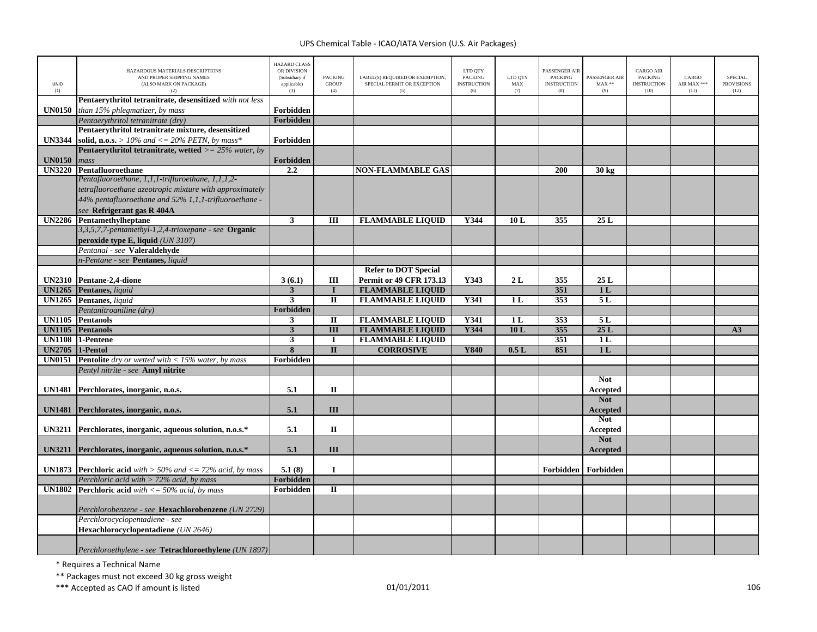| UNID<br>(1)            | HAZARDOUS MATERIALS DESCRIPTIONS<br>AND PROPER SHIPPING NAMES<br>(ALSO MARK ON PACKAGE)<br>(2) | <b>HAZARD CLASS</b><br>OR DIVISION<br>(Subsidiary if<br>applicable)<br>(3) | <b>PACKING</b><br><b>GROUP</b><br>(4) | LABEL(S) REQUIRED OR EXEMPTION,<br>SPECIAL PERMIT OR EXCEPTION<br>(5) | LTD QTY<br><b>PACKING</b><br><b>INSTRUCTION</b><br>(6) | LTD QTY<br>$\operatorname{MAX}$<br>(7) | <b>PASSENGER AIR</b><br><b>PACKING</b><br><b>INSTRUCTION</b><br>(8) | PASSENGER AIR<br>$MAX**$<br>(9) | CARGO AIR<br><b>PACKING</b><br><b>INSTRUCTION</b><br>(10) | CARGO<br>AIR MAX ***<br>(11) | <b>SPECIAL</b><br><b>PROVISIONS</b><br>(12) |
|------------------------|------------------------------------------------------------------------------------------------|----------------------------------------------------------------------------|---------------------------------------|-----------------------------------------------------------------------|--------------------------------------------------------|----------------------------------------|---------------------------------------------------------------------|---------------------------------|-----------------------------------------------------------|------------------------------|---------------------------------------------|
|                        | Pentaerythritol tetranitrate, desensitized with not less                                       |                                                                            |                                       |                                                                       |                                                        |                                        |                                                                     |                                 |                                                           |                              |                                             |
| <b>UN0150</b>          | than 15% phlegmatizer, by mass                                                                 | Forbidden                                                                  |                                       |                                                                       |                                                        |                                        |                                                                     |                                 |                                                           |                              |                                             |
|                        | Pentaerythritol tetranitrate (dry)                                                             | Forbidden                                                                  |                                       |                                                                       |                                                        |                                        |                                                                     |                                 |                                                           |                              |                                             |
|                        | Pentaerythritol tetranitrate mixture, desensitized                                             |                                                                            |                                       |                                                                       |                                                        |                                        |                                                                     |                                 |                                                           |                              |                                             |
| <b>UN3344</b>          | solid, n.o.s. > 10% and <= 20% PETN, by mass*                                                  | Forbidden                                                                  |                                       |                                                                       |                                                        |                                        |                                                                     |                                 |                                                           |                              |                                             |
|                        | <b>Pentaerythritol tetranitrate, wetted</b> $>= 25\%$ water, by                                |                                                                            |                                       |                                                                       |                                                        |                                        |                                                                     |                                 |                                                           |                              |                                             |
| <b>UN0150</b>          | mass                                                                                           | Forbidden                                                                  |                                       |                                                                       |                                                        |                                        |                                                                     |                                 |                                                           |                              |                                             |
|                        | UN3220 Pentafluoroethane                                                                       | 2.2                                                                        |                                       | <b>NON-FLAMMABLE GAS</b>                                              |                                                        |                                        | 200                                                                 | $30 \text{ kg}$                 |                                                           |                              |                                             |
|                        | Pentafluoroethane, 1,1,1-trifluroethane, 1,1,1,2-                                              |                                                                            |                                       |                                                                       |                                                        |                                        |                                                                     |                                 |                                                           |                              |                                             |
|                        | tetrafluoroethane azeotropic mixture with approximately                                        |                                                                            |                                       |                                                                       |                                                        |                                        |                                                                     |                                 |                                                           |                              |                                             |
|                        | 44% pentafluoroethane and 52% 1,1,1-trifluoroethane -                                          |                                                                            |                                       |                                                                       |                                                        |                                        |                                                                     |                                 |                                                           |                              |                                             |
|                        | see Refrigerant gas R 404A                                                                     |                                                                            |                                       |                                                                       |                                                        |                                        |                                                                     |                                 |                                                           |                              |                                             |
|                        | UN2286 Pentamethylheptane                                                                      | $\mathbf{3}$                                                               | III                                   | <b>FLAMMABLE LIQUID</b>                                               | Y344                                                   | 10L                                    | 355                                                                 | 25L                             |                                                           |                              |                                             |
|                        | 3,3,5,7,7-pentamethyl-1,2,4-trioxepane - see Organic<br>peroxide type E, liquid (UN 3107)      |                                                                            |                                       |                                                                       |                                                        |                                        |                                                                     |                                 |                                                           |                              |                                             |
|                        | Pentanal - see Valeraldehyde                                                                   |                                                                            |                                       |                                                                       |                                                        |                                        |                                                                     |                                 |                                                           |                              |                                             |
|                        | n-Pentane - see Pentanes, liquid                                                               |                                                                            |                                       |                                                                       |                                                        |                                        |                                                                     |                                 |                                                           |                              |                                             |
|                        |                                                                                                |                                                                            |                                       | <b>Refer to DOT Special</b>                                           |                                                        |                                        |                                                                     |                                 |                                                           |                              |                                             |
|                        | UN2310 Pentane-2,4-dione                                                                       | 3(6.1)                                                                     | Ш                                     | <b>Permit or 49 CFR 173.13</b>                                        | Y343                                                   | 2L                                     | 355                                                                 | 25L                             |                                                           |                              |                                             |
|                        | <b>UN1265</b> Pentanes, liquid                                                                 | 3                                                                          | $\bf{I}$                              | <b>FLAMMABLE LIQUID</b>                                               |                                                        |                                        | 351                                                                 | 1 <sub>L</sub>                  |                                                           |                              |                                             |
|                        | <b>UN1265</b> Pentanes, liquid                                                                 | $\overline{\mathbf{3}}$                                                    | $\overline{\mathbf{u}}$               | <b>FLAMMABLE LIQUID</b>                                               | <b>Y341</b>                                            | 1L                                     | 353                                                                 | 5L                              |                                                           |                              |                                             |
|                        | Pentanitroaniline (dry)                                                                        | Forbidden                                                                  |                                       |                                                                       |                                                        |                                        |                                                                     |                                 |                                                           |                              |                                             |
|                        | <b>UN1105</b> Pentanols                                                                        | $\mathbf{3}$                                                               | $\rm II$                              | <b>FLAMMABLE LIQUID</b>                                               | Y341                                                   | 1 <sub>L</sub>                         | 353                                                                 | 5L                              |                                                           |                              |                                             |
| <b>UN1105</b>          | <b>Pentanols</b>                                                                               | 3                                                                          | $\overline{III}$                      | <b>FLAMMABLE LIQUID</b>                                               | Y344                                                   | 10L                                    | 355                                                                 | 25L                             |                                                           |                              | A3                                          |
|                        | UN1108 1-Pentene                                                                               | $\overline{\mathbf{3}}$                                                    | $\bf{I}$                              | <b>FLAMMABLE LIQUID</b>                                               |                                                        |                                        | 351                                                                 | 1L                              |                                                           |                              |                                             |
| <b>UN2705</b> 1-Pentol |                                                                                                | 8                                                                          | $\mathbf{I}$                          | <b>CORROSIVE</b>                                                      | Y840                                                   | 0.5L                                   | 851                                                                 | 1 <sub>L</sub>                  |                                                           |                              |                                             |
| <b>UN0151</b>          | <b>Pentolite</b> dry or wetted with $<$ 15% water, by mass                                     | Forbidden                                                                  |                                       |                                                                       |                                                        |                                        |                                                                     |                                 |                                                           |                              |                                             |
|                        | Pentyl nitrite - see Amyl nitrite                                                              |                                                                            |                                       |                                                                       |                                                        |                                        |                                                                     |                                 |                                                           |                              |                                             |
|                        |                                                                                                |                                                                            |                                       |                                                                       |                                                        |                                        |                                                                     | <b>Not</b>                      |                                                           |                              |                                             |
|                        | UN1481 Perchlorates, inorganic, n.o.s.                                                         | 5.1                                                                        | $\rm II$                              |                                                                       |                                                        |                                        |                                                                     | Accepted<br><b>Not</b>          |                                                           |                              |                                             |
|                        | UN1481 Perchlorates, inorganic, n.o.s.                                                         | 5.1                                                                        | III                                   |                                                                       |                                                        |                                        |                                                                     | <b>Accepted</b>                 |                                                           |                              |                                             |
|                        |                                                                                                |                                                                            |                                       |                                                                       |                                                        |                                        |                                                                     | <b>Not</b>                      |                                                           |                              |                                             |
|                        | UN3211 Perchlorates, inorganic, aqueous solution, n.o.s.*                                      | 5.1                                                                        | $\mathbf{I}$                          |                                                                       |                                                        |                                        |                                                                     | Accepted                        |                                                           |                              |                                             |
|                        | UN3211 Perchlorates, inorganic, aqueous solution, n.o.s.*                                      | 5.1                                                                        | III                                   |                                                                       |                                                        |                                        |                                                                     | <b>Not</b><br><b>Accepted</b>   |                                                           |                              |                                             |
|                        |                                                                                                |                                                                            |                                       |                                                                       |                                                        |                                        |                                                                     |                                 |                                                           |                              |                                             |
|                        | <b>UN1873</b> Perchloric acid with $>$ 50% and $\lt$ = 72% acid, by mass                       | 5.1(8)                                                                     | $\mathbf I$                           |                                                                       |                                                        |                                        |                                                                     | Forbidden Forbidden             |                                                           |                              |                                             |
|                        | Perchloric acid with $>$ 72% acid, by mass                                                     | Forbidden                                                                  |                                       |                                                                       |                                                        |                                        |                                                                     |                                 |                                                           |                              |                                             |
|                        | <b>UN1802</b> Perchloric acid with $\lt$ = 50% acid, by mass                                   | Forbidden                                                                  | $\Pi$                                 |                                                                       |                                                        |                                        |                                                                     |                                 |                                                           |                              |                                             |
|                        | Perchlorobenzene - see Hexachlorobenzene (UN 2729)                                             |                                                                            |                                       |                                                                       |                                                        |                                        |                                                                     |                                 |                                                           |                              |                                             |
|                        | Perchlorocyclopentadiene - see                                                                 |                                                                            |                                       |                                                                       |                                                        |                                        |                                                                     |                                 |                                                           |                              |                                             |
|                        | Hexachlorocyclopentadiene (UN 2646)                                                            |                                                                            |                                       |                                                                       |                                                        |                                        |                                                                     |                                 |                                                           |                              |                                             |
|                        |                                                                                                |                                                                            |                                       |                                                                       |                                                        |                                        |                                                                     |                                 |                                                           |                              |                                             |
|                        | Perchloroethylene - see Tetrachloroethylene (UN 1897)                                          |                                                                            |                                       |                                                                       |                                                        |                                        |                                                                     |                                 |                                                           |                              |                                             |

\* Requires <sup>a</sup> Technical Name

\*\* Packages must not exceed 30 kg gross weight

\*\*\* Accepted as CAO if amount is listed 106 and the control of the control of the control of the control of the control of the control of the control of the control of the control of the control of the control of the contr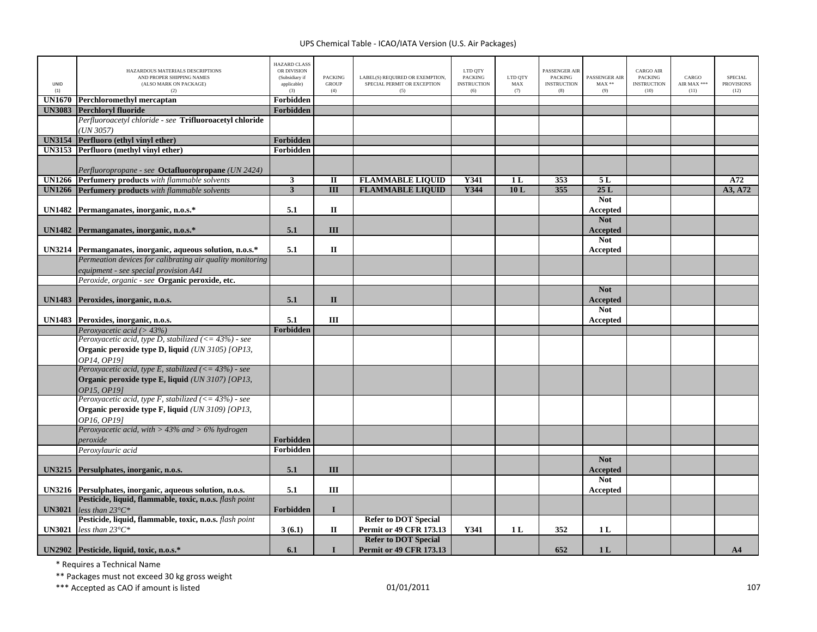| UNID<br>(1)   | HAZARDOUS MATERIALS DESCRIPTIONS<br>AND PROPER SHIPPING NAMES<br>(ALSO MARK ON PACKAGE)<br>(2)                              | <b>HAZARD CLASS</b><br>OR DIVISION<br>(Subsidiary if<br>applicable)<br>(3) | <b>PACKING</b><br><b>GROUP</b><br>(4) | LABEL(S) REQUIRED OR EXEMPTION,<br>SPECIAL PERMIT OR EXCEPTION<br>(5) | LTD QTY<br><b>PACKING</b><br><b>INSTRUCTION</b><br>(6) | LTD QTY<br>MAX<br>(7) | PASSENGER AIR<br><b>PACKING</b><br><b>INSTRUCTION</b><br>(8) | PASSENGER AIR<br>$MAX**$<br>(9) | <b>CARGO AIR</b><br>PACKING<br><b>INSTRUCTION</b><br>(10) | CARGO<br>AIR MAX ***<br>(11) | <b>SPECIAL</b><br><b>PROVISIONS</b><br>(12) |
|---------------|-----------------------------------------------------------------------------------------------------------------------------|----------------------------------------------------------------------------|---------------------------------------|-----------------------------------------------------------------------|--------------------------------------------------------|-----------------------|--------------------------------------------------------------|---------------------------------|-----------------------------------------------------------|------------------------------|---------------------------------------------|
| <b>UN1670</b> | <b>Perchloromethyl mercaptan</b>                                                                                            | Forbidden                                                                  |                                       |                                                                       |                                                        |                       |                                                              |                                 |                                                           |                              |                                             |
| <b>UN3083</b> | <b>Perchloryl fluoride</b>                                                                                                  | Forbidden                                                                  |                                       |                                                                       |                                                        |                       |                                                              |                                 |                                                           |                              |                                             |
|               | Perfluoroacetyl chloride - see Trifluoroacetyl chloride<br>(UN 3057)                                                        |                                                                            |                                       |                                                                       |                                                        |                       |                                                              |                                 |                                                           |                              |                                             |
|               | <b>UN3154</b> Perfluoro (ethyl vinyl ether)                                                                                 | Forbidden                                                                  |                                       |                                                                       |                                                        |                       |                                                              |                                 |                                                           |                              |                                             |
|               | UN3153 Perfluoro (methyl vinyl ether)                                                                                       | Forbidden                                                                  |                                       |                                                                       |                                                        |                       |                                                              |                                 |                                                           |                              |                                             |
|               | Perfluoropropane - see <b>Octafluoropropane</b> (UN 2424)                                                                   |                                                                            |                                       |                                                                       |                                                        |                       |                                                              |                                 |                                                           |                              |                                             |
|               | UN1266 Perfumery products with flammable solvents                                                                           | $\overline{\mathbf{3}}$                                                    | $\overline{\mathbf{u}}$               | <b>FLAMMABLE LIQUID</b>                                               | <b>Y341</b>                                            | 1 <sub>L</sub>        | 353                                                          | 5L                              |                                                           |                              | A72                                         |
| <b>UN1266</b> | <b>Perfumery products</b> with flammable solvents                                                                           | $\mathbf{3}$                                                               | $\overline{III}$                      | <b>FLAMMABLE LIQUID</b>                                               | Y344                                                   | 10L                   | 355                                                          | 25L                             |                                                           |                              | A3, A72                                     |
|               | UN1482 Permanganates, inorganic, n.o.s.*                                                                                    | 5.1                                                                        | $\Pi$                                 |                                                                       |                                                        |                       |                                                              | <b>Not</b><br>Accepted          |                                                           |                              |                                             |
|               | UN1482 Permanganates, inorganic, n.o.s.*                                                                                    | 5.1                                                                        | III                                   |                                                                       |                                                        |                       |                                                              | <b>Not</b><br>Accepted          |                                                           |                              |                                             |
|               | UN3214 Permanganates, inorganic, aqueous solution, n.o.s.*                                                                  | 5.1                                                                        | $\mathbf{I}$                          |                                                                       |                                                        |                       |                                                              | <b>Not</b><br>Accepted          |                                                           |                              |                                             |
|               | Permeation devices for calibrating air quality monitoring<br>equipment - see special provision A41                          |                                                                            |                                       |                                                                       |                                                        |                       |                                                              |                                 |                                                           |                              |                                             |
|               | Peroxide, organic - see Organic peroxide, etc.                                                                              |                                                                            |                                       |                                                                       |                                                        |                       |                                                              |                                 |                                                           |                              |                                             |
|               | UN1483 Peroxides, inorganic, n.o.s.                                                                                         | 5.1                                                                        | $\mathbf{I}$                          |                                                                       |                                                        |                       |                                                              | <b>Not</b><br>Accepted          |                                                           |                              |                                             |
|               | UN1483 Peroxides, inorganic, n.o.s.                                                                                         | 5.1                                                                        | Ш                                     |                                                                       |                                                        |                       |                                                              | <b>Not</b><br>Accepted          |                                                           |                              |                                             |
|               | Peroxyacetic acid (> $43\%$ )                                                                                               | Forbidden                                                                  |                                       |                                                                       |                                                        |                       |                                                              |                                 |                                                           |                              |                                             |
|               | Peroxyacetic acid, type D, stabilized $(< = 43\%)$ - see<br>Organic peroxide type D, liquid (UN 3105) [OP13,<br>OP14. OP191 |                                                                            |                                       |                                                                       |                                                        |                       |                                                              |                                 |                                                           |                              |                                             |
|               | Peroxyacetic acid, type E, stabilized ( $\leq$ 43%) - see                                                                   |                                                                            |                                       |                                                                       |                                                        |                       |                                                              |                                 |                                                           |                              |                                             |
|               | Organic peroxide type E, liquid (UN 3107) [OP13,<br>OP15, OP191                                                             |                                                                            |                                       |                                                                       |                                                        |                       |                                                              |                                 |                                                           |                              |                                             |
|               | Peroxyacetic acid, type F, stabilized (<= $43\%$ ) - see<br>Organic peroxide type F, liquid (UN 3109) [OP13,<br>OP16, OP19] |                                                                            |                                       |                                                                       |                                                        |                       |                                                              |                                 |                                                           |                              |                                             |
|               | Peroxyacetic acid, with $> 43\%$ and $> 6\%$ hydrogen<br>peroxide                                                           | <b>Forbidden</b>                                                           |                                       |                                                                       |                                                        |                       |                                                              |                                 |                                                           |                              |                                             |
|               | Peroxylauric acid                                                                                                           | Forbidden                                                                  |                                       |                                                                       |                                                        |                       |                                                              |                                 |                                                           |                              |                                             |
| <b>UN3215</b> | Persulphates, inorganic, n.o.s.                                                                                             | 5.1                                                                        | III                                   |                                                                       |                                                        |                       |                                                              | <b>Not</b><br><b>Accepted</b>   |                                                           |                              |                                             |
|               | UN3216 Persulphates, inorganic, aqueous solution, n.o.s.                                                                    | 5.1                                                                        | Ш                                     |                                                                       |                                                        |                       |                                                              | <b>Not</b><br>Accepted          |                                                           |                              |                                             |
| <b>UN3021</b> | Pesticide, liquid, flammable, toxic, n.o.s. flash point<br>less than $23^{\circ}C^*$                                        | Forbidden                                                                  | $\mathbf{I}$                          |                                                                       |                                                        |                       |                                                              |                                 |                                                           |                              |                                             |
| <b>UN3021</b> | Pesticide, liquid, flammable, toxic, n.o.s. flash point<br>less than $23^{\circ}C^*$                                        | 3(6.1)                                                                     | П                                     | <b>Refer to DOT Special</b><br>Permit or 49 CFR 173.13                | Y341                                                   | 1 <sub>L</sub>        | 352                                                          | 1 <sub>L</sub>                  |                                                           |                              |                                             |
|               | UN2902 Pesticide, liquid, toxic, n.o.s.*                                                                                    | 6.1                                                                        | $\mathbf I$                           | <b>Refer to DOT Special</b><br><b>Permit or 49 CFR 173.13</b>         |                                                        |                       | 652                                                          | 1 <sub>L</sub>                  |                                                           |                              | A <sub>4</sub>                              |

\* Requires <sup>a</sup> Technical Name

\*\* Packages must not exceed 30 kg gross weight

\*\*\* Accepted as CAO if amount is listed 107 and the control of the control of the control of the control of the control of the control of the control of the control of the control of the control of the control of the contr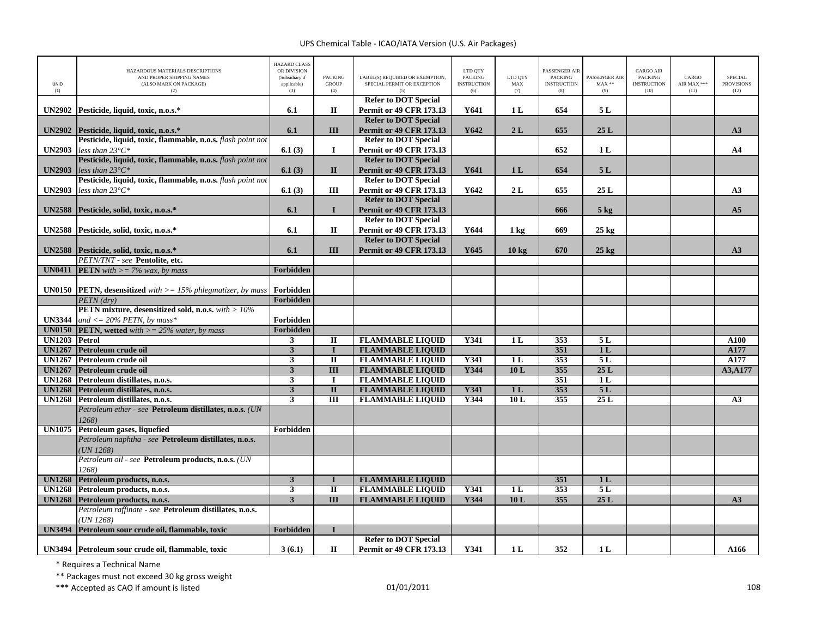| UNID<br>(1)   | HAZARDOUS MATERIALS DESCRIPTIONS<br>AND PROPER SHIPPING NAMES<br>(ALSO MARK ON PACKAGE)<br>(2)  | <b>HAZARD CLASS</b><br>OR DIVISION<br>(Subsidiary if<br>applicable)<br>(3) | <b>PACKING</b><br><b>GROUP</b><br>(4) | LABEL(S) REQUIRED OR EXEMPTION,<br>SPECIAL PERMIT OR EXCEPTION<br>(5) | LTD QTY<br><b>PACKING</b><br><b>INSTRUCTION</b><br>(6) | LTD QTY<br>MAX<br>(7) | PASSENGER AIR<br><b>PACKING</b><br><b>INSTRUCTION</b><br>(8) | PASSENGER AIR<br>$MAX**$<br>(9) | <b>CARGO AIR</b><br><b>PACKING</b><br><b>INSTRUCTION</b><br>(10) | CARGO<br>AIR MAX ***<br>(11) | SPECIAL<br><b>PROVISIONS</b><br>(12) |
|---------------|-------------------------------------------------------------------------------------------------|----------------------------------------------------------------------------|---------------------------------------|-----------------------------------------------------------------------|--------------------------------------------------------|-----------------------|--------------------------------------------------------------|---------------------------------|------------------------------------------------------------------|------------------------------|--------------------------------------|
|               |                                                                                                 |                                                                            | $\mathbf{I}$                          | <b>Refer to DOT Special</b>                                           | Y641                                                   |                       | 654                                                          | 5L                              |                                                                  |                              |                                      |
|               | UN2902 Pesticide, liquid, toxic, n.o.s.*                                                        | 6.1                                                                        |                                       | <b>Permit or 49 CFR 173.13</b><br><b>Refer to DOT Special</b>         |                                                        | 1 <sub>L</sub>        |                                                              |                                 |                                                                  |                              |                                      |
|               | UN2902 Pesticide, liquid, toxic, n.o.s.*                                                        | 6.1                                                                        | III                                   | <b>Permit or 49 CFR 173.13</b>                                        | Y642                                                   | 2L                    | 655                                                          | 25L                             |                                                                  |                              | A3                                   |
|               | Pesticide, liquid, toxic, flammable, n.o.s. flash point not                                     |                                                                            |                                       | <b>Refer to DOT Special</b>                                           |                                                        |                       |                                                              |                                 |                                                                  |                              |                                      |
| <b>UN2903</b> | less than $23^{\circ}C^*$                                                                       | 6.1(3)                                                                     | $\mathbf I$                           | Permit or 49 CFR 173.13                                               |                                                        |                       | 652                                                          | 1 <sub>L</sub>                  |                                                                  |                              | A <sub>4</sub>                       |
|               | Pesticide, liquid, toxic, flammable, n.o.s. flash point not                                     |                                                                            |                                       | <b>Refer to DOT Special</b>                                           |                                                        |                       |                                                              |                                 |                                                                  |                              |                                      |
| <b>UN2903</b> | less than $23^{\circ}C^*$                                                                       | 6.1(3)                                                                     | $\mathbf{I}\mathbf{I}$                | Permit or 49 CFR 173.13                                               | Y641                                                   | 1 <sub>L</sub>        | 654                                                          | 5L                              |                                                                  |                              |                                      |
|               | Pesticide, liquid, toxic, flammable, n.o.s. flash point not<br>less than $23^{\circ}C^*$        |                                                                            | III                                   | <b>Refer to DOT Special</b>                                           | Y642                                                   | 2L                    | 655                                                          | 25L                             |                                                                  |                              |                                      |
| <b>UN2903</b> |                                                                                                 | 6.1(3)                                                                     |                                       | <b>Permit or 49 CFR 173.13</b><br><b>Refer to DOT Special</b>         |                                                        |                       |                                                              |                                 |                                                                  |                              | A3                                   |
|               | UN2588 Pesticide, solid, toxic, n.o.s.*                                                         | 6.1                                                                        | $\mathbf{I}$                          | <b>Permit or 49 CFR 173.13</b>                                        |                                                        |                       | 666                                                          | $5$ kg                          |                                                                  |                              | A <sub>5</sub>                       |
|               |                                                                                                 |                                                                            |                                       | <b>Refer to DOT Special</b>                                           |                                                        |                       |                                                              |                                 |                                                                  |                              |                                      |
|               | UN2588 Pesticide, solid, toxic, n.o.s.*                                                         | 6.1                                                                        | $\mathbf{I}$                          | <b>Permit or 49 CFR 173.13</b>                                        | Y644                                                   | 1 kg                  | 669                                                          | $25~\mathrm{kg}$                |                                                                  |                              |                                      |
|               |                                                                                                 |                                                                            |                                       | <b>Refer to DOT Special</b>                                           |                                                        |                       |                                                              |                                 |                                                                  |                              |                                      |
|               | UN2588 Pesticide, solid, toxic, n.o.s.*                                                         | 6.1                                                                        | III                                   | <b>Permit or 49 CFR 173.13</b>                                        | Y645                                                   | $10 \text{ kg}$       | 670                                                          | $25$ kg                         |                                                                  |                              | A3                                   |
|               | <b>PETN/TNT</b> - see Pentolite, etc.                                                           |                                                                            |                                       |                                                                       |                                                        |                       |                                                              |                                 |                                                                  |                              |                                      |
| <b>UN0411</b> | <b>PETN</b> with $\geq$ = 7% wax, by mass                                                       | Forbidden                                                                  |                                       |                                                                       |                                                        |                       |                                                              |                                 |                                                                  |                              |                                      |
|               |                                                                                                 |                                                                            |                                       |                                                                       |                                                        |                       |                                                              |                                 |                                                                  |                              |                                      |
|               | <b>UN0150 PETN</b> , desensitized with $>= 15\%$ phlegmatizer, by mass<br>PETN (drv)            | Forbidden<br>Forbidden                                                     |                                       |                                                                       |                                                        |                       |                                                              |                                 |                                                                  |                              |                                      |
|               | PETN mixture, desensitized sold, n.o.s. with > 10%                                              |                                                                            |                                       |                                                                       |                                                        |                       |                                                              |                                 |                                                                  |                              |                                      |
| <b>UN3344</b> | and $\epsilon$ = 20% PETN, by mass*                                                             | Forbidden                                                                  |                                       |                                                                       |                                                        |                       |                                                              |                                 |                                                                  |                              |                                      |
|               | <b>UN0150 PETN</b> , wetted with $>= 25\%$ water, by mass                                       | Forbidden                                                                  |                                       |                                                                       |                                                        |                       |                                                              |                                 |                                                                  |                              |                                      |
| UN1203 Petrol |                                                                                                 | $\mathbf{3}$                                                               | $\mathbf{I}$                          | <b>FLAMMABLE LIQUID</b>                                               | Y341                                                   | 1 <sub>L</sub>        | 353                                                          | 5L                              |                                                                  |                              | A100                                 |
| <b>UN1267</b> | Petroleum crude oil                                                                             | 3                                                                          | $\bf{I}$                              | <b>FLAMMABLE LIQUID</b>                                               |                                                        |                       | 351                                                          | 1 <sub>L</sub>                  |                                                                  |                              | A177                                 |
| <b>UN1267</b> | Petroleum crude oil                                                                             | 3                                                                          | $\mathbf{I}$                          | <b>FLAMMABLE LIQUID</b>                                               | Y341                                                   | 1 <sub>L</sub>        | 353                                                          | 5L                              |                                                                  |                              | A177                                 |
| <b>UN1267</b> | Petroleum crude oil                                                                             | $\mathbf{3}$                                                               | $\overline{\mathbf{H}}$               | <b>FLAMMABLE LIQUID</b>                                               | Y344                                                   | 10L                   | 355                                                          | 25L                             |                                                                  |                              | A3, A177                             |
|               | UN1268 Petroleum distillates, n.o.s.                                                            | $\overline{\mathbf{3}}$                                                    | $\mathbf I$                           | <b>FLAMMABLE LIQUID</b>                                               |                                                        |                       | 351                                                          | $\overline{1L}$                 |                                                                  |                              |                                      |
|               | UN1268 Petroleum distillates, n.o.s.                                                            | $\overline{\mathbf{3}}$                                                    | $\overline{\mathbf{u}}$               | <b>FLAMMABLE LIQUID</b>                                               | <b>Y341</b>                                            | 1 <sub>L</sub>        | 353                                                          | 5L                              |                                                                  |                              |                                      |
|               | UN1268 Petroleum distillates, n.o.s.<br>Petroleum ether - see Petroleum distillates, n.o.s. (UN | $\overline{\mathbf{3}}$                                                    | $\overline{III}$                      | <b>FLAMMABLE LIQUID</b>                                               | Y344                                                   | 10L                   | 355                                                          | 25L                             |                                                                  |                              | A3                                   |
|               | 1268)                                                                                           |                                                                            |                                       |                                                                       |                                                        |                       |                                                              |                                 |                                                                  |                              |                                      |
|               | UN1075 Petroleum gases, liquefied                                                               | Forbidden                                                                  |                                       |                                                                       |                                                        |                       |                                                              |                                 |                                                                  |                              |                                      |
|               | Petroleum naphtha - see Petroleum distillates, n.o.s.                                           |                                                                            |                                       |                                                                       |                                                        |                       |                                                              |                                 |                                                                  |                              |                                      |
|               | UN 1268)                                                                                        |                                                                            |                                       |                                                                       |                                                        |                       |                                                              |                                 |                                                                  |                              |                                      |
|               | Petroleum oil - see Petroleum products, n.o.s. (UN                                              |                                                                            |                                       |                                                                       |                                                        |                       |                                                              |                                 |                                                                  |                              |                                      |
|               | 1268)                                                                                           |                                                                            |                                       |                                                                       |                                                        |                       |                                                              |                                 |                                                                  |                              |                                      |
| <b>UN1268</b> | Petroleum products, n.o.s.                                                                      | $\mathbf{3}$                                                               | $\bf{I}$                              | <b>FLAMMABLE LIQUID</b>                                               |                                                        |                       | 351                                                          | 1 <sub>L</sub>                  |                                                                  |                              |                                      |
|               | UN1268 Petroleum products, n.o.s.                                                               | 3                                                                          | $\rm II$                              | <b>FLAMMABLE LIQUID</b>                                               | Y341                                                   | 1 <sub>L</sub>        | 353                                                          | 5L                              |                                                                  |                              |                                      |
|               | UN1268 Petroleum products, n.o.s.                                                               | $\overline{\mathbf{3}}$                                                    | $\overline{III}$                      | <b>FLAMMABLE LIQUID</b>                                               | Y344                                                   | 10L                   | 355                                                          | 25L                             |                                                                  |                              | A3                                   |
|               | Petroleum raffinate - see Petroleum distillates, n.o.s.<br>(UN 1268)                            |                                                                            |                                       |                                                                       |                                                        |                       |                                                              |                                 |                                                                  |                              |                                      |
| <b>UN3494</b> | Petroleum sour crude oil, flammable, toxic                                                      | Forbidden                                                                  | $\mathbf I$                           |                                                                       |                                                        |                       |                                                              |                                 |                                                                  |                              |                                      |
|               |                                                                                                 |                                                                            |                                       | <b>Refer to DOT Special</b>                                           |                                                        |                       |                                                              |                                 |                                                                  |                              |                                      |
|               | UN3494 Petroleum sour crude oil, flammable, toxic                                               | 3(6.1)                                                                     | П                                     | <b>Permit or 49 CFR 173.13</b>                                        | Y341                                                   | 1 <sub>L</sub>        | 352                                                          | 1 <sub>L</sub>                  |                                                                  |                              | A166                                 |

\* Requires <sup>a</sup> Technical Name

\*\* Packages must not exceed 30 kg gross weight

\*\*\* Accepted as CAO if amount is listed 108 and the control of the control of the control of the control of the control of the control of the control of the control of the control of the control of the control of the contr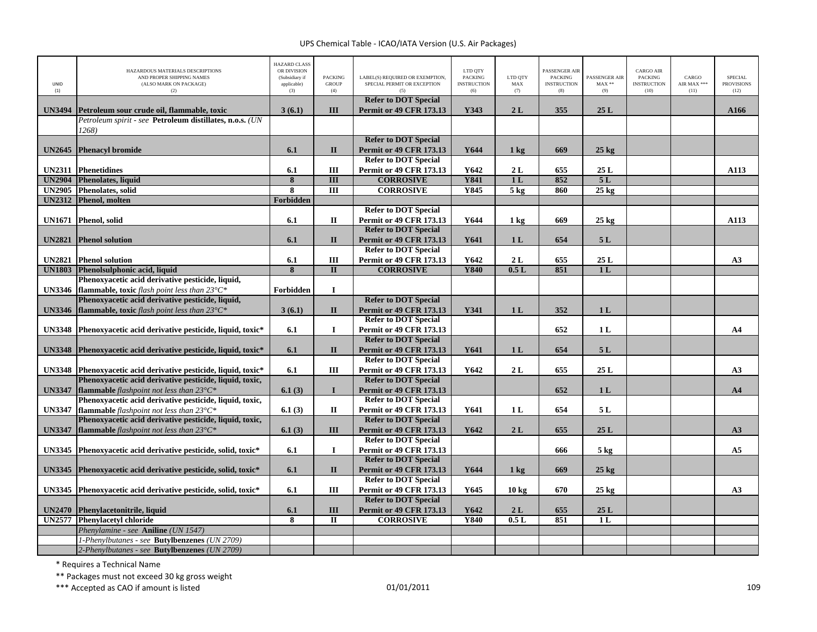| UNID<br>(1)   | HAZARDOUS MATERIALS DESCRIPTIONS<br>AND PROPER SHIPPING NAMES<br>(ALSO MARK ON PACKAGE)<br>(2) | <b>HAZARD CLASS</b><br>OR DIVISION<br>(Subsidiary if<br>applicable)<br>(3) | PACKING<br><b>GROUP</b><br>(4) | LABEL(S) REQUIRED OR EXEMPTION,<br>SPECIAL PERMIT OR EXCEPTION<br>(5) | LTD QTY<br><b>PACKING</b><br><b>INSTRUCTION</b><br>(6) | LTD QTY<br>$\operatorname{MAX}$<br>(7) | PASSENGER AIR<br><b>PACKING</b><br><b>INSTRUCTION</b><br>(8) | PASSENGER AIR<br>$MAX**$<br>(9) | <b>CARGO AIR</b><br>PACKING<br><b>INSTRUCTION</b><br>(10) | CARGO<br>AIR MAX ***<br>(11) | <b>SPECIAL</b><br><b>PROVISIONS</b><br>(12) |
|---------------|------------------------------------------------------------------------------------------------|----------------------------------------------------------------------------|--------------------------------|-----------------------------------------------------------------------|--------------------------------------------------------|----------------------------------------|--------------------------------------------------------------|---------------------------------|-----------------------------------------------------------|------------------------------|---------------------------------------------|
|               |                                                                                                |                                                                            |                                | <b>Refer to DOT Special</b>                                           |                                                        |                                        |                                                              |                                 |                                                           |                              |                                             |
| <b>UN3494</b> | Petroleum sour crude oil, flammable, toxic                                                     | 3(6.1)                                                                     | III                            | <b>Permit or 49 CFR 173.13</b>                                        | Y343                                                   | 2L                                     | 355                                                          | 25L                             |                                                           |                              | A166                                        |
|               | Petroleum spirit - see Petroleum distillates, n.o.s. (UN<br>1268)                              |                                                                            |                                |                                                                       |                                                        |                                        |                                                              |                                 |                                                           |                              |                                             |
|               |                                                                                                |                                                                            |                                | <b>Refer to DOT Special</b>                                           |                                                        |                                        |                                                              |                                 |                                                           |                              |                                             |
| <b>UN2645</b> | <b>Phenacyl bromide</b>                                                                        | 6.1                                                                        | $\mathbf{I}$                   | <b>Permit or 49 CFR 173.13</b>                                        | Y644                                                   | $1 \text{ kg}$                         | 669                                                          | $25 \text{ kg}$                 |                                                           |                              |                                             |
|               |                                                                                                |                                                                            |                                | <b>Refer to DOT Special</b>                                           |                                                        |                                        |                                                              |                                 |                                                           |                              |                                             |
| <b>UN2311</b> | <b>Phenetidines</b>                                                                            | 6.1                                                                        | III                            | <b>Permit or 49 CFR 173.13</b>                                        | Y642                                                   | 2L                                     | 655                                                          | 25L                             |                                                           |                              | A113                                        |
| <b>UN2904</b> | Phenolates, liquid                                                                             | $\overline{\mathbf{8}}$                                                    | $\overline{III}$               | <b>CORROSIVE</b>                                                      | <b>Y841</b>                                            | 1L                                     | 852                                                          | 5L                              |                                                           |                              |                                             |
| <b>UN2905</b> | <b>Phenolates, solid</b>                                                                       | 8                                                                          | $\overline{III}$               | <b>CORROSIVE</b>                                                      | <b>Y845</b>                                            | 5 <sub>kg</sub>                        | 860                                                          | $25 \text{ kg}$                 |                                                           |                              |                                             |
|               | UN2312 Phenol, molten                                                                          | Forbidden                                                                  |                                |                                                                       |                                                        |                                        |                                                              |                                 |                                                           |                              |                                             |
|               |                                                                                                |                                                                            |                                | <b>Refer to DOT Special</b>                                           |                                                        |                                        |                                                              |                                 |                                                           |                              |                                             |
| <b>UN1671</b> | Phenol, solid                                                                                  | 6.1                                                                        | П                              | <b>Permit or 49 CFR 173.13</b>                                        | Y644                                                   | $1 \text{ kg}$                         | 669                                                          | $25 \text{ kg}$                 |                                                           |                              | A113                                        |
|               |                                                                                                |                                                                            |                                | <b>Refer to DOT Special</b>                                           |                                                        |                                        |                                                              |                                 |                                                           |                              |                                             |
| <b>UN2821</b> | <b>Phenol</b> solution                                                                         | 6.1                                                                        | $\mathbf{I}$                   | <b>Permit or 49 CFR 173.13</b>                                        | Y641                                                   | 1 <sub>L</sub>                         | 654                                                          | 5L                              |                                                           |                              |                                             |
|               |                                                                                                |                                                                            |                                | <b>Refer to DOT Special</b>                                           |                                                        |                                        |                                                              |                                 |                                                           |                              |                                             |
| <b>UN2821</b> | <b>Phenol solution</b>                                                                         | 6.1                                                                        | III                            | <b>Permit or 49 CFR 173.13</b>                                        | Y642                                                   | 2L                                     | 655                                                          | 25L                             |                                                           |                              | A3                                          |
|               | UN1803 Phenolsulphonic acid, liquid                                                            | 8                                                                          | $\Pi$                          | <b>CORROSIVE</b>                                                      | <b>Y840</b>                                            | 0.5L                                   | 851                                                          | 1 <sub>L</sub>                  |                                                           |                              |                                             |
|               | Phenoxyacetic acid derivative pesticide, liquid,                                               |                                                                            |                                |                                                                       |                                                        |                                        |                                                              |                                 |                                                           |                              |                                             |
|               | <b>UN3346</b> flammable, toxic flash point less than $23^{\circ}C^*$                           | Forbidden                                                                  | $\mathbf{I}$                   |                                                                       |                                                        |                                        |                                                              |                                 |                                                           |                              |                                             |
|               | Phenoxyacetic acid derivative pesticide, liquid,                                               |                                                                            |                                | <b>Refer to DOT Special</b>                                           |                                                        |                                        |                                                              |                                 |                                                           |                              |                                             |
| <b>UN3346</b> | flammable, toxic flash point less than 23°C*                                                   | 3(6.1)                                                                     | $\mathbf{I}$                   | <b>Permit or 49 CFR 173.13</b>                                        | Y341                                                   | 1 <sub>L</sub>                         | 352                                                          | 1 <sub>L</sub>                  |                                                           |                              |                                             |
|               |                                                                                                |                                                                            |                                | <b>Refer to DOT Special</b>                                           |                                                        |                                        |                                                              |                                 |                                                           |                              |                                             |
|               | UN3348 Phenoxyacetic acid derivative pesticide, liquid, toxic*                                 | 6.1                                                                        | $\bf{I}$                       | <b>Permit or 49 CFR 173.13</b>                                        |                                                        |                                        | 652                                                          | 1 <sub>L</sub>                  |                                                           |                              | A <sub>4</sub>                              |
|               |                                                                                                | 6.1                                                                        | $\mathbf{I}$                   | <b>Refer to DOT Special</b><br><b>Permit or 49 CFR 173.13</b>         | Y641                                                   | 1 <sub>L</sub>                         | 654                                                          | 5L                              |                                                           |                              |                                             |
|               | UN3348 Phenoxyacetic acid derivative pesticide, liquid, toxic*                                 |                                                                            |                                | <b>Refer to DOT Special</b>                                           |                                                        |                                        |                                                              |                                 |                                                           |                              |                                             |
|               | UN3348 Phenoxyacetic acid derivative pesticide, liquid, toxic*                                 | 6.1                                                                        | Ш                              | <b>Permit or 49 CFR 173.13</b>                                        | Y642                                                   | 2L                                     | 655                                                          | 25 L                            |                                                           |                              | A3                                          |
|               | Phenoxyacetic acid derivative pesticide, liquid, toxic,                                        |                                                                            |                                | <b>Refer to DOT Special</b>                                           |                                                        |                                        |                                                              |                                 |                                                           |                              |                                             |
| <b>UN3347</b> | <b>flammable</b> flashpoint not less than $23^{\circ}C^*$                                      | 6.1(3)                                                                     | $\mathbf{I}$                   | <b>Permit or 49 CFR 173.13</b>                                        |                                                        |                                        | 652                                                          | 1 <sub>L</sub>                  |                                                           |                              | A <sub>4</sub>                              |
|               | Phenoxyacetic acid derivative pesticide, liquid, toxic,                                        |                                                                            |                                | <b>Refer to DOT Special</b>                                           |                                                        |                                        |                                                              |                                 |                                                           |                              |                                             |
| <b>UN3347</b> | <b>flammable</b> flashpoint not less than $23^{\circ}C^*$                                      | 6.1(3)                                                                     | $\mathbf{I}$                   | <b>Permit or 49 CFR 173.13</b>                                        | Y641                                                   | 1 <sub>L</sub>                         | 654                                                          | 5L                              |                                                           |                              |                                             |
|               | Phenoxyacetic acid derivative pesticide, liquid, toxic,                                        |                                                                            |                                | <b>Refer to DOT Special</b>                                           |                                                        |                                        |                                                              |                                 |                                                           |                              |                                             |
| <b>UN3347</b> | <b>flammable</b> flashpoint not less than $23^{\circ}C^*$                                      | 6.1(3)                                                                     | III                            | <b>Permit or 49 CFR 173.13</b>                                        | Y642                                                   | 2L                                     | 655                                                          | 25L                             |                                                           |                              | A3                                          |
|               |                                                                                                |                                                                            |                                | <b>Refer to DOT Special</b>                                           |                                                        |                                        |                                                              |                                 |                                                           |                              |                                             |
| <b>UN3345</b> | Phenoxyacetic acid derivative pesticide, solid, toxic*                                         | 6.1                                                                        | $\bf{I}$                       | <b>Permit or 49 CFR 173.13</b>                                        |                                                        |                                        | 666                                                          | $5 \text{ kg}$                  |                                                           |                              | A <sub>5</sub>                              |
|               |                                                                                                |                                                                            |                                | <b>Refer to DOT Special</b>                                           |                                                        |                                        |                                                              |                                 |                                                           |                              |                                             |
| <b>UN3345</b> | Phenoxyacetic acid derivative pesticide, solid, toxic*                                         | 6.1                                                                        | $\mathbf{I}$                   | <b>Permit or 49 CFR 173.13</b>                                        | Y644                                                   | 1 <sub>kg</sub>                        | 669                                                          | $25 \text{ kg}$                 |                                                           |                              |                                             |
|               |                                                                                                |                                                                            |                                | <b>Refer to DOT Special</b>                                           |                                                        |                                        |                                                              |                                 |                                                           |                              |                                             |
| <b>UN3345</b> | Phenoxyacetic acid derivative pesticide, solid, toxic*                                         | 6.1                                                                        | Ш                              | <b>Permit or 49 CFR 173.13</b>                                        | Y645                                                   | 10 kg                                  | 670                                                          | $25 \text{ kg}$                 |                                                           |                              | A3                                          |
|               |                                                                                                |                                                                            |                                | <b>Refer to DOT Special</b>                                           |                                                        |                                        |                                                              |                                 |                                                           |                              |                                             |
|               | UN2470 Phenylacetonitrile, liquid                                                              | 6.1                                                                        | III                            | Permit or 49 CFR 173.13                                               | Y642                                                   | 2L                                     | 655                                                          | 25L                             |                                                           |                              |                                             |
| <b>UN2577</b> | <b>Phenylacetyl chloride</b>                                                                   | 8                                                                          | $\mathbf{I}$                   | <b>CORROSIVE</b>                                                      | <b>Y840</b>                                            | 0.5L                                   | 851                                                          | 1L                              |                                                           |                              |                                             |
|               | Phenylamine - see Aniline (UN 1547)                                                            |                                                                            |                                |                                                                       |                                                        |                                        |                                                              |                                 |                                                           |                              |                                             |
|               | 1-Phenylbutanes - see Butylbenzenes (UN 2709)                                                  |                                                                            |                                |                                                                       |                                                        |                                        |                                                              |                                 |                                                           |                              |                                             |
|               | 2-Phenylbutanes - see Butylbenzenes (UN 2709)                                                  |                                                                            |                                |                                                                       |                                                        |                                        |                                                              |                                 |                                                           |                              |                                             |

\* Requires <sup>a</sup> Technical Name

\*\* Packages must not exceed 30 kg gross weight

\*\*\* Accepted as CAO if amount is listed 109 and the control of the control of the control of the control of the control of the control of the control of the control of the control of the control of the control of the contr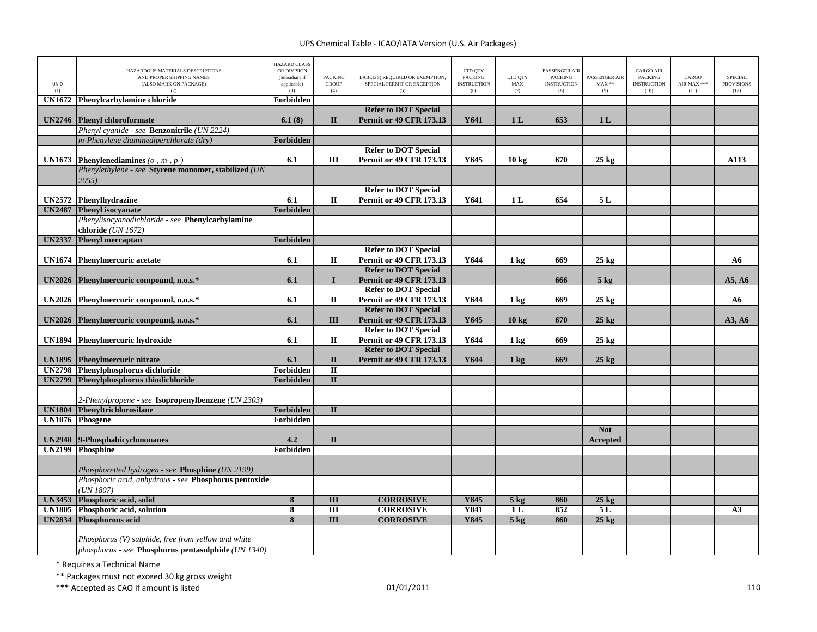| UNID<br>(1)   | HAZARDOUS MATERIALS DESCRIPTIONS<br>AND PROPER SHIPPING NAMES<br>(ALSO MARK ON PACKAGE)<br>(2) | <b>HAZARD CLASS</b><br>OR DIVISION<br>(Subsidiary if<br>applicable)<br>(3) | <b>PACKING</b><br><b>GROUP</b><br>(4) | LABEL(S) REQUIRED OR EXEMPTION,<br>SPECIAL PERMIT OR EXCEPTION<br>(5) | LTD QTY<br><b>PACKING</b><br><b>INSTRUCTION</b><br>(6) | LTD OTY<br>MAX<br>(7) | <b>PASSENGER AIR</b><br><b>PACKING</b><br><b>INSTRUCTION</b><br>(8) | PASSENGER AIR<br>$MAX**$<br>(9) | <b>CARGO AIR</b><br><b>PACKING</b><br><b>INSTRUCTION</b><br>(10) | CARGO<br>AIR MAX ***<br>(11) | <b>SPECIAL</b><br><b>PROVISIONS</b><br>(12) |
|---------------|------------------------------------------------------------------------------------------------|----------------------------------------------------------------------------|---------------------------------------|-----------------------------------------------------------------------|--------------------------------------------------------|-----------------------|---------------------------------------------------------------------|---------------------------------|------------------------------------------------------------------|------------------------------|---------------------------------------------|
| <b>UN1672</b> | Phenylcarbylamine chloride                                                                     | Forbidden                                                                  |                                       |                                                                       |                                                        |                       |                                                                     |                                 |                                                                  |                              |                                             |
|               |                                                                                                |                                                                            |                                       | <b>Refer to DOT Special</b>                                           |                                                        |                       |                                                                     |                                 |                                                                  |                              |                                             |
| <b>UN2746</b> | <b>Phenyl chloroformate</b>                                                                    | 6.1(8)                                                                     | $\mathbf{I}$                          | <b>Permit or 49 CFR 173.13</b>                                        | Y641                                                   | 1 <sub>L</sub>        | 653                                                                 | 1 <sub>L</sub>                  |                                                                  |                              |                                             |
|               | Phenyl cyanide - see Benzonitrile (UN 2224)                                                    |                                                                            |                                       |                                                                       |                                                        |                       |                                                                     |                                 |                                                                  |                              |                                             |
|               | m-Phenylene diaminediperchlorate (dry)                                                         | Forbidden                                                                  |                                       |                                                                       |                                                        |                       |                                                                     |                                 |                                                                  |                              |                                             |
|               |                                                                                                |                                                                            |                                       | <b>Refer to DOT Special</b>                                           |                                                        |                       |                                                                     |                                 |                                                                  |                              |                                             |
| <b>UN1673</b> | <b>Phenylenediamines</b> ( $o$ -, $m$ -, $p$ -)                                                | 6.1                                                                        | Ш                                     | <b>Permit or 49 CFR 173.13</b>                                        | Y645                                                   | 10 <sub>kg</sub>      | 670                                                                 | $25$ kg                         |                                                                  |                              | A113                                        |
|               | Phenylethylene - see Styrene monomer, stabilized (UN                                           |                                                                            |                                       |                                                                       |                                                        |                       |                                                                     |                                 |                                                                  |                              |                                             |
|               | 2055)                                                                                          |                                                                            |                                       |                                                                       |                                                        |                       |                                                                     |                                 |                                                                  |                              |                                             |
|               |                                                                                                |                                                                            |                                       | <b>Refer to DOT Special</b>                                           |                                                        |                       |                                                                     |                                 |                                                                  |                              |                                             |
| <b>UN2572</b> | Phenylhydrazine                                                                                | 6.1                                                                        | $\mathbf{I}$                          | <b>Permit or 49 CFR 173.13</b>                                        | Y641                                                   | 1 <sub>L</sub>        | 654                                                                 | 5 L                             |                                                                  |                              |                                             |
| <b>UN2487</b> | <b>Phenyl isocvanate</b>                                                                       | <b>Forbidden</b>                                                           |                                       |                                                                       |                                                        |                       |                                                                     |                                 |                                                                  |                              |                                             |
|               | Phenylisocyanodichloride - see Phenylcarbylamine                                               |                                                                            |                                       |                                                                       |                                                        |                       |                                                                     |                                 |                                                                  |                              |                                             |
|               | chloride (UN 1672)                                                                             |                                                                            |                                       |                                                                       |                                                        |                       |                                                                     |                                 |                                                                  |                              |                                             |
| <b>UN2337</b> | <b>Phenyl mercaptan</b>                                                                        | Forbidden                                                                  |                                       |                                                                       |                                                        |                       |                                                                     |                                 |                                                                  |                              |                                             |
|               |                                                                                                |                                                                            |                                       | <b>Refer to DOT Special</b>                                           |                                                        |                       |                                                                     |                                 |                                                                  |                              |                                             |
| <b>UN1674</b> | <b>Phenylmercuric acetate</b>                                                                  | 6.1                                                                        | $\mathbf{I}$                          | <b>Permit or 49 CFR 173.13</b>                                        | Y644                                                   | $1 \text{ kg}$        | 669                                                                 | $25 \text{ kg}$                 |                                                                  |                              | A6                                          |
|               |                                                                                                |                                                                            |                                       | <b>Refer to DOT Special</b>                                           |                                                        |                       |                                                                     |                                 |                                                                  |                              |                                             |
|               | UN2026 Phenylmercuric compound, n.o.s.*                                                        | 6.1                                                                        | $\mathbf{I}$                          | <b>Permit or 49 CFR 173.13</b>                                        |                                                        |                       | 666                                                                 | $5$ kg                          |                                                                  |                              | A5, A6                                      |
|               |                                                                                                |                                                                            |                                       | <b>Refer to DOT Special</b>                                           |                                                        |                       |                                                                     |                                 |                                                                  |                              |                                             |
|               | UN2026 Phenylmercuric compound, n.o.s.*                                                        | 6.1                                                                        | $\mathbf H$                           | <b>Permit or 49 CFR 173.13</b>                                        | Y644                                                   | 1 kg                  | 669                                                                 | $25 \text{ kg}$                 |                                                                  |                              | A6                                          |
|               |                                                                                                |                                                                            |                                       | <b>Refer to DOT Special</b>                                           |                                                        |                       |                                                                     |                                 |                                                                  |                              |                                             |
|               | UN2026 Phenylmercuric compound, n.o.s.*                                                        | 6.1                                                                        | III                                   | <b>Permit or 49 CFR 173.13</b>                                        | Y645                                                   | 10 <sub>kg</sub>      | 670                                                                 | $25 \text{ kg}$                 |                                                                  |                              | A3, A6                                      |
|               |                                                                                                |                                                                            |                                       | <b>Refer to DOT Special</b>                                           |                                                        |                       |                                                                     |                                 |                                                                  |                              |                                             |
| <b>UN1894</b> | <b>Phenylmercuric hydroxide</b>                                                                | 6.1                                                                        | П                                     | Permit or 49 CFR 173.13                                               | Y644                                                   | 1 kg                  | 669                                                                 | $25 \text{ kg}$                 |                                                                  |                              |                                             |
|               |                                                                                                |                                                                            |                                       | <b>Refer to DOT Special</b>                                           |                                                        |                       |                                                                     |                                 |                                                                  |                              |                                             |
| <b>UN1895</b> | <b>Phenylmercuric nitrate</b>                                                                  | 6.1                                                                        | $\mathbf{I}$                          | <b>Permit or 49 CFR 173.13</b>                                        | Y644                                                   | $1 \text{ kg}$        | 669                                                                 | $25 \text{ kg}$                 |                                                                  |                              |                                             |
| <b>UN2798</b> | Phenylphosphorus dichloride                                                                    | <b>Forbidden</b>                                                           | $\overline{\mathbf{u}}$               |                                                                       |                                                        |                       |                                                                     |                                 |                                                                  |                              |                                             |
| <b>UN2799</b> | Phenylphosphorus thiodichloride                                                                | Forbidden                                                                  | $\overline{\mathbf{u}}$               |                                                                       |                                                        |                       |                                                                     |                                 |                                                                  |                              |                                             |
|               |                                                                                                |                                                                            |                                       |                                                                       |                                                        |                       |                                                                     |                                 |                                                                  |                              |                                             |
|               | 2-Phenylpropene - see Isopropenylbenzene (UN 2303)                                             |                                                                            |                                       |                                                                       |                                                        |                       |                                                                     |                                 |                                                                  |                              |                                             |
| <b>UN1804</b> | Phenyltrichlorosilane                                                                          | Forbidden                                                                  | $\mathbf{I}$                          |                                                                       |                                                        |                       |                                                                     |                                 |                                                                  |                              |                                             |
| <b>UN1076</b> | <b>Phosgene</b>                                                                                | Forbidden                                                                  |                                       |                                                                       |                                                        |                       |                                                                     |                                 |                                                                  |                              |                                             |
|               |                                                                                                |                                                                            |                                       |                                                                       |                                                        |                       |                                                                     | <b>Not</b>                      |                                                                  |                              |                                             |
| <b>UN2940</b> | 9-Phosphabicyclononanes                                                                        | 4.2                                                                        | $\mathbf{I}$                          |                                                                       |                                                        |                       |                                                                     | Accepted                        |                                                                  |                              |                                             |
| <b>UN2199</b> | Phosphine                                                                                      | Forbidden                                                                  |                                       |                                                                       |                                                        |                       |                                                                     |                                 |                                                                  |                              |                                             |
|               | Phosphoretted hydrogen - see Phosphine (UN 2199)                                               |                                                                            |                                       |                                                                       |                                                        |                       |                                                                     |                                 |                                                                  |                              |                                             |
|               | Phosphoric acid, anhydrous - see Phosphorus pentoxide                                          |                                                                            |                                       |                                                                       |                                                        |                       |                                                                     |                                 |                                                                  |                              |                                             |
|               | UN 1807)                                                                                       |                                                                            |                                       |                                                                       |                                                        |                       |                                                                     |                                 |                                                                  |                              |                                             |
| <b>UN3453</b> | Phosphoric acid, solid                                                                         | $\overline{\mathbf{8}}$                                                    | $\overline{\mathbf{H}}$               | <b>CORROSIVE</b>                                                      | Y845                                                   | $5$ kg                | 860                                                                 | $25$ kg                         |                                                                  |                              |                                             |
| <b>UN1805</b> | Phosphoric acid, solution                                                                      | 8                                                                          | $\overline{III}$                      | <b>CORROSIVE</b>                                                      | <b>Y841</b>                                            | 1L                    | 852                                                                 | 5L                              |                                                                  |                              | A3                                          |
| <b>UN2834</b> | Phosphorous acid                                                                               | $\overline{\mathbf{8}}$                                                    | $\overline{\mathbf{H}}$               | <b>CORROSIVE</b>                                                      | <b>Y845</b>                                            | 5 <sub>kg</sub>       | 860                                                                 | $25 \text{ kg}$                 |                                                                  |                              |                                             |
|               |                                                                                                |                                                                            |                                       |                                                                       |                                                        |                       |                                                                     |                                 |                                                                  |                              |                                             |
|               | Phosphorus (V) sulphide, free from yellow and white                                            |                                                                            |                                       |                                                                       |                                                        |                       |                                                                     |                                 |                                                                  |                              |                                             |
|               | phosphorus - see Phosphorus pentasulphide (UN 1340)                                            |                                                                            |                                       |                                                                       |                                                        |                       |                                                                     |                                 |                                                                  |                              |                                             |

\* Requires <sup>a</sup> Technical Name

\*\* Packages must not exceed 30 kg gross weight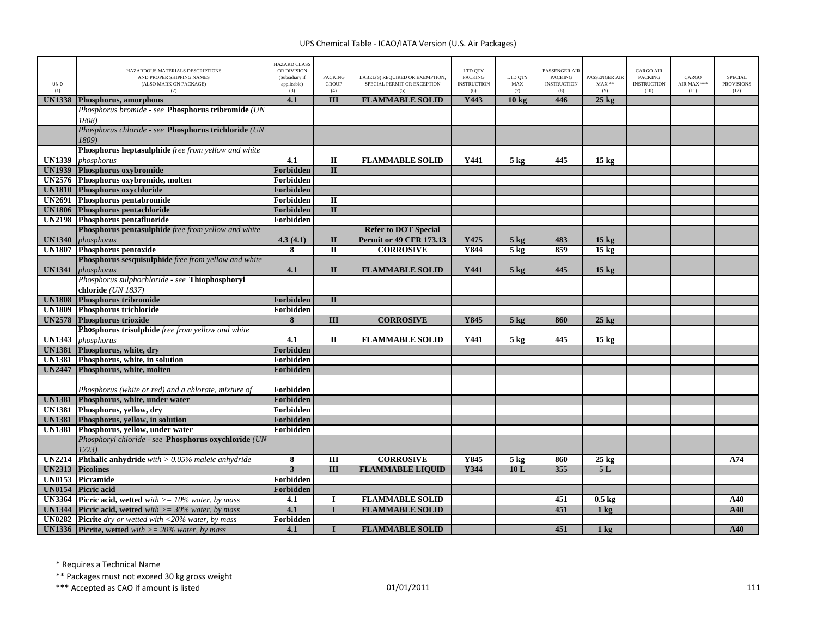| <b>UNID</b><br>(1) | HAZARDOUS MATERIALS DESCRIPTIONS<br>AND PROPER SHIPPING NAMES<br>(ALSO MARK ON PACKAGE)<br>(2) | <b>HAZARD CLASS</b><br>OR DIVISION<br>(Subsidiary if<br>applicable)<br>(3) | <b>PACKING</b><br><b>GROUP</b><br>(4) | LABEL(S) REQUIRED OR EXEMPTION,<br>SPECIAL PERMIT OR EXCEPTION<br>(5) | LTD QTY<br><b>PACKING</b><br><b>INSTRUCTION</b><br>(6) | LTD OTY<br>MAX<br>(7) | <b>PASSENGER AIR</b><br><b>PACKING</b><br><b>INSTRUCTION</b><br>(8) | PASSENGER AIR<br>$MAX**$<br>(9) | <b>CARGO AIR</b><br><b>PACKING</b><br><b>INSTRUCTION</b><br>(10) | CARGO<br>AIR MAX ***<br>(11) | <b>SPECIAL</b><br><b>PROVISIONS</b><br>(12) |
|--------------------|------------------------------------------------------------------------------------------------|----------------------------------------------------------------------------|---------------------------------------|-----------------------------------------------------------------------|--------------------------------------------------------|-----------------------|---------------------------------------------------------------------|---------------------------------|------------------------------------------------------------------|------------------------------|---------------------------------------------|
| <b>UN1338</b>      | Phosphorus, amorphous                                                                          | 4.1                                                                        | III                                   | <b>FLAMMABLE SOLID</b>                                                | Y443                                                   | 10 <sub>kg</sub>      | 446                                                                 | $25 \text{ kg}$                 |                                                                  |                              |                                             |
|                    | Phosphorus bromide - see Phosphorus tribromide (UN                                             |                                                                            |                                       |                                                                       |                                                        |                       |                                                                     |                                 |                                                                  |                              |                                             |
|                    | 1808)                                                                                          |                                                                            |                                       |                                                                       |                                                        |                       |                                                                     |                                 |                                                                  |                              |                                             |
|                    | Phosphorus chloride - see Phosphorus trichloride (UN                                           |                                                                            |                                       |                                                                       |                                                        |                       |                                                                     |                                 |                                                                  |                              |                                             |
|                    | 1809)                                                                                          |                                                                            |                                       |                                                                       |                                                        |                       |                                                                     |                                 |                                                                  |                              |                                             |
|                    | Phosphorus heptasulphide free from yellow and white                                            |                                                                            |                                       |                                                                       |                                                        |                       |                                                                     |                                 |                                                                  |                              |                                             |
| <b>UN1339</b>      | phosphorus                                                                                     | 4.1                                                                        | $\mathbf{I}$                          | <b>FLAMMABLE SOLID</b>                                                | Y441                                                   | $5 \text{ kg}$        | 445                                                                 | $15 \text{ kg}$                 |                                                                  |                              |                                             |
| <b>UN1939</b>      | Phosphorus oxybromide                                                                          | Forbidden                                                                  | $\mathbf{I}$                          |                                                                       |                                                        |                       |                                                                     |                                 |                                                                  |                              |                                             |
| <b>UN2576</b>      | Phosphorus oxybromide, molten                                                                  | Forbidden                                                                  |                                       |                                                                       |                                                        |                       |                                                                     |                                 |                                                                  |                              |                                             |
| <b>UN1810</b>      | Phosphorus oxychloride                                                                         | Forbidden                                                                  |                                       |                                                                       |                                                        |                       |                                                                     |                                 |                                                                  |                              |                                             |
| <b>UN2691</b>      | Phosphorus pentabromide                                                                        | Forbidden                                                                  | $\rm II$                              |                                                                       |                                                        |                       |                                                                     |                                 |                                                                  |                              |                                             |
| <b>UN1806</b>      | Phosphorus pentachloride                                                                       | Forbidden                                                                  | $\mathbf{I}$                          |                                                                       |                                                        |                       |                                                                     |                                 |                                                                  |                              |                                             |
| <b>UN2198</b>      | Phosphorus pentafluoride                                                                       | Forbidden                                                                  |                                       |                                                                       |                                                        |                       |                                                                     |                                 |                                                                  |                              |                                             |
|                    | Phosphorus pentasulphide free from yellow and white                                            |                                                                            |                                       | <b>Refer to DOT Special</b>                                           |                                                        |                       |                                                                     |                                 |                                                                  |                              |                                             |
| <b>UN1340</b>      | phosphorus                                                                                     | 4.3(4.1)                                                                   | $\mathbf{I}$                          | <b>Permit or 49 CFR 173.13</b>                                        | Y475                                                   | $5 \text{ kg}$        | 483                                                                 | 15 <sub>kg</sub>                |                                                                  |                              |                                             |
| <b>UN1807</b>      | <b>Phosphorus pentoxide</b>                                                                    | 8                                                                          | $\Pi$                                 | <b>CORROSIVE</b>                                                      | Y844                                                   | 5 <sub>kg</sub>       | 859                                                                 | $15 \text{ kg}$                 |                                                                  |                              |                                             |
|                    | Phosphorus sesquisulphide free from yellow and white                                           |                                                                            |                                       |                                                                       |                                                        |                       |                                                                     |                                 |                                                                  |                              |                                             |
| <b>UN1341</b>      | phosphorus                                                                                     | 4.1                                                                        | $\mathbf{I}$                          | <b>FLAMMABLE SOLID</b>                                                | Y441                                                   | $5 \text{ kg}$        | 445                                                                 | $15 \text{ kg}$                 |                                                                  |                              |                                             |
|                    | Phosphorus sulphochloride - see Thiophosphoryl                                                 |                                                                            |                                       |                                                                       |                                                        |                       |                                                                     |                                 |                                                                  |                              |                                             |
|                    | chloride (UN 1837)                                                                             |                                                                            |                                       |                                                                       |                                                        |                       |                                                                     |                                 |                                                                  |                              |                                             |
| <b>UN1808</b>      | Phosphorus tribromide                                                                          | Forbidden                                                                  | $\mathbf{I}$                          |                                                                       |                                                        |                       |                                                                     |                                 |                                                                  |                              |                                             |
| <b>UN1809</b>      | Phosphorus trichloride                                                                         | Forbidden                                                                  |                                       |                                                                       |                                                        |                       |                                                                     |                                 |                                                                  |                              |                                             |
| <b>UN2578</b>      | <b>Phosphorus trioxide</b>                                                                     | 8                                                                          | III                                   | <b>CORROSIVE</b>                                                      | Y845                                                   | $5$ kg                | 860                                                                 | $25 \text{ kg}$                 |                                                                  |                              |                                             |
|                    | Phosphorus trisulphide free from yellow and white                                              |                                                                            |                                       |                                                                       |                                                        |                       |                                                                     |                                 |                                                                  |                              |                                             |
| <b>UN1343</b>      | phosphorus                                                                                     | 4.1                                                                        | $\mathbf{I}$                          | <b>FLAMMABLE SOLID</b>                                                | Y441                                                   | $5 \text{ kg}$        | 445                                                                 | $15 \text{ kg}$                 |                                                                  |                              |                                             |
| <b>UN1381</b>      | Phosphorus, white, dry                                                                         | Forbidden                                                                  |                                       |                                                                       |                                                        |                       |                                                                     |                                 |                                                                  |                              |                                             |
| <b>UN1381</b>      | Phosphorus, white, in solution                                                                 | Forbidden                                                                  |                                       |                                                                       |                                                        |                       |                                                                     |                                 |                                                                  |                              |                                             |
| <b>UN2447</b>      | Phosphorus, white, molten                                                                      | Forbidden                                                                  |                                       |                                                                       |                                                        |                       |                                                                     |                                 |                                                                  |                              |                                             |
|                    |                                                                                                |                                                                            |                                       |                                                                       |                                                        |                       |                                                                     |                                 |                                                                  |                              |                                             |
|                    | Phosphorus (white or red) and a chlorate, mixture of                                           | Forbidden                                                                  |                                       |                                                                       |                                                        |                       |                                                                     |                                 |                                                                  |                              |                                             |
| <b>UN1381</b>      | Phosphorus, white, under water                                                                 | Forbidden                                                                  |                                       |                                                                       |                                                        |                       |                                                                     |                                 |                                                                  |                              |                                             |
| <b>UN1381</b>      | Phosphorus, yellow, dry                                                                        | Forbidden                                                                  |                                       |                                                                       |                                                        |                       |                                                                     |                                 |                                                                  |                              |                                             |
|                    | UN1381 Phosphorus, yellow, in solution                                                         | Forbidden                                                                  |                                       |                                                                       |                                                        |                       |                                                                     |                                 |                                                                  |                              |                                             |
|                    | UN1381 Phosphorus, yellow, under water                                                         | Forbidden                                                                  |                                       |                                                                       |                                                        |                       |                                                                     |                                 |                                                                  |                              |                                             |
|                    | Phosphoryl chloride - see Phosphorus oxychloride (UN<br>12231                                  |                                                                            |                                       |                                                                       |                                                        |                       |                                                                     |                                 |                                                                  |                              |                                             |
| <b>UN2214</b>      | Phthalic anhydride with $> 0.05\%$ maleic anhydride                                            | 8                                                                          | III                                   | <b>CORROSIVE</b>                                                      | Y845                                                   | $5 \text{ kg}$        | 860                                                                 | $25 \text{ kg}$                 |                                                                  |                              | A74                                         |
| <b>UN2313</b>      | <b>Picolines</b>                                                                               | 3                                                                          | $\overline{III}$                      | <b>FLAMMABLE LIQUID</b>                                               | <b>Y344</b>                                            | 10L                   | 355                                                                 | 5L                              |                                                                  |                              |                                             |
| <b>UN0153</b>      | Picramide                                                                                      | Forbidden                                                                  |                                       |                                                                       |                                                        |                       |                                                                     |                                 |                                                                  |                              |                                             |
| <b>UN0154</b>      | <b>Picric</b> acid                                                                             | Forbidden                                                                  |                                       |                                                                       |                                                        |                       |                                                                     |                                 |                                                                  |                              |                                             |
| <b>UN3364</b>      | <b>Picric acid, wetted</b> with $>= 10\%$ water, by mass                                       | 4.1                                                                        | <b>I</b>                              | <b>FLAMMABLE SOLID</b>                                                |                                                        |                       | 451                                                                 | $0.5 \text{ kg}$                |                                                                  |                              | A40                                         |
| <b>UN1344</b>      | <b>Picric acid.</b> wetted with $\geq$ = 30% water, by mass                                    | 4.1                                                                        | $\mathbf{I}$                          | <b>FLAMMABLE SOLID</b>                                                |                                                        |                       | 451                                                                 | 1 <sub>k</sub> g                |                                                                  |                              | A40                                         |
| <b>UN0282</b>      | <b>Picrite</b> dry or wetted with $\langle 20\%$ water, by mass                                | Forbidden                                                                  |                                       |                                                                       |                                                        |                       |                                                                     |                                 |                                                                  |                              |                                             |
|                    | <b>UN1336</b> Picrite, wetted with $>= 20\%$ water, by mass                                    | 4.1                                                                        |                                       | <b>FLAMMABLE SOLID</b>                                                |                                                        |                       | 451                                                                 | $1 \text{ kg}$                  |                                                                  |                              | A40                                         |

\* Requires <sup>a</sup> Technical Name

\*\* Packages must not exceed 30 kg gross weight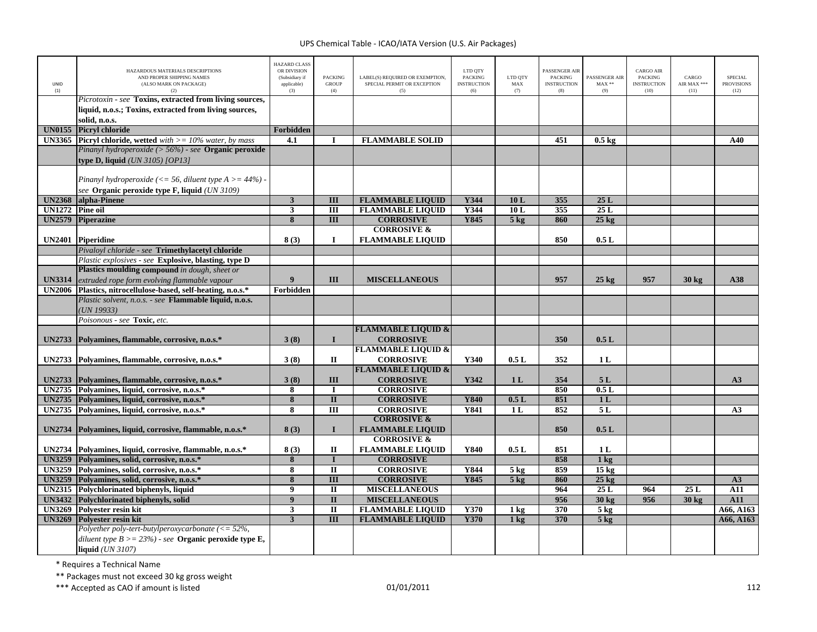| UNID<br>(1)   | HAZARDOUS MATERIALS DESCRIPTIONS<br>AND PROPER SHIPPING NAMES<br>(ALSO MARK ON PACKAGE)<br>(2)                       | <b>HAZARD CLASS</b><br>OR DIVISION<br>(Subsidiary if<br>applicable)<br>(3) | <b>PACKING</b><br><b>GROUP</b><br>(4) | LABEL(S) REQUIRED OR EXEMPTION,<br>SPECIAL PERMIT OR EXCEPTION<br>(5) | LTD QTY<br><b>PACKING</b><br><b>INSTRUCTION</b><br>(6) | LTD QTY<br>MAX<br>(7)             | ASSENGER AIR<br><b>PACKING</b><br><b>INSTRUCTION</b><br>(8) | PASSENGER AIR<br>$MAX**$<br>(9) | <b>CARGO AIR</b><br>PACKING<br><b>INSTRUCTION</b><br>(10) | CARGO<br>AIR MAX ***<br>(11) | <b>SPECIAL</b><br><b>PROVISIONS</b><br>(12) |
|---------------|----------------------------------------------------------------------------------------------------------------------|----------------------------------------------------------------------------|---------------------------------------|-----------------------------------------------------------------------|--------------------------------------------------------|-----------------------------------|-------------------------------------------------------------|---------------------------------|-----------------------------------------------------------|------------------------------|---------------------------------------------|
|               | Picrotoxin - see Toxins, extracted from living sources,                                                              |                                                                            |                                       |                                                                       |                                                        |                                   |                                                             |                                 |                                                           |                              |                                             |
|               | liquid, n.o.s.; Toxins, extracted from living sources,                                                               |                                                                            |                                       |                                                                       |                                                        |                                   |                                                             |                                 |                                                           |                              |                                             |
|               | solid. n.o.s.                                                                                                        |                                                                            |                                       |                                                                       |                                                        |                                   |                                                             |                                 |                                                           |                              |                                             |
| <b>UN0155</b> | <b>Picryl chloride</b>                                                                                               | Forbidden<br>4.1                                                           |                                       | <b>FLAMMABLE SOLID</b>                                                |                                                        |                                   |                                                             |                                 |                                                           |                              |                                             |
| <b>UN3365</b> | <b>Picryl chloride, wetted</b> with $>= 10\%$ water, by mass<br>Pinanyl hydroperoxide (> 56%) - see Organic peroxide |                                                                            | I                                     |                                                                       |                                                        |                                   | 451                                                         | $0.5 \text{ kg}$                |                                                           |                              | A40                                         |
|               |                                                                                                                      |                                                                            |                                       |                                                                       |                                                        |                                   |                                                             |                                 |                                                           |                              |                                             |
|               | type D, liquid (UN 3105) [OP13]                                                                                      |                                                                            |                                       |                                                                       |                                                        |                                   |                                                             |                                 |                                                           |                              |                                             |
|               | Pinanyl hydroperoxide (<= 56, diluent type $A > = 44\%$ ) -                                                          |                                                                            |                                       |                                                                       |                                                        |                                   |                                                             |                                 |                                                           |                              |                                             |
|               | see Organic peroxide type F, liquid (UN 3109)                                                                        |                                                                            |                                       |                                                                       |                                                        |                                   |                                                             |                                 |                                                           |                              |                                             |
| <b>UN2368</b> | alpha-Pinene                                                                                                         | $\overline{\mathbf{3}}$                                                    | $\overline{\mathbf{H}}$               | <b>FLAMMABLE LIQUID</b>                                               | Y344                                                   | 10L                               | 355                                                         | 25L                             |                                                           |                              |                                             |
| <b>UN1272</b> | <b>Pine oil</b>                                                                                                      | $\mathbf{3}$                                                               | $\overline{III}$                      | <b>FLAMMABLE LIQUID</b>                                               | Y344                                                   | 10L                               | 355                                                         | 25L                             |                                                           |                              |                                             |
| <b>UN2579</b> | <b>Piperazine</b>                                                                                                    | $\overline{\mathbf{8}}$                                                    | $\overline{III}$                      | <b>CORROSIVE</b>                                                      | Y845                                                   | $5$ kg                            | 860                                                         | $25 \text{ kg}$                 |                                                           |                              |                                             |
|               |                                                                                                                      |                                                                            |                                       | <b>CORROSIVE &amp;</b>                                                |                                                        |                                   |                                                             |                                 |                                                           |                              |                                             |
|               | UN2401 Piperidine                                                                                                    | 8(3)                                                                       | $\bf{I}$                              | <b>FLAMMABLE LIQUID</b>                                               |                                                        |                                   | 850                                                         | 0.5L                            |                                                           |                              |                                             |
|               | Pivaloyl chloride - see Trimethylacetyl chloride                                                                     |                                                                            |                                       |                                                                       |                                                        |                                   |                                                             |                                 |                                                           |                              |                                             |
|               | Plastic explosives - see Explosive, blasting, type D                                                                 |                                                                            |                                       |                                                                       |                                                        |                                   |                                                             |                                 |                                                           |                              |                                             |
|               | Plastics moulding compound in dough, sheet or                                                                        |                                                                            |                                       |                                                                       |                                                        |                                   |                                                             |                                 |                                                           |                              |                                             |
| <b>UN3314</b> | extruded rope form evolving flammable vapour                                                                         | $\boldsymbol{9}$                                                           | III                                   | <b>MISCELLANEOUS</b>                                                  |                                                        |                                   | 957                                                         | $25 \text{ kg}$                 | 957                                                       | $30$ kg                      | A38                                         |
| <b>UN2006</b> | Plastics, nitrocellulose-based, self-heating, n.o.s.*                                                                | Forbidden                                                                  |                                       |                                                                       |                                                        |                                   |                                                             |                                 |                                                           |                              |                                             |
|               | Plastic solvent, n.o.s. - see Flammable liquid, n.o.s.                                                               |                                                                            |                                       |                                                                       |                                                        |                                   |                                                             |                                 |                                                           |                              |                                             |
|               | UN 19933)                                                                                                            |                                                                            |                                       |                                                                       |                                                        |                                   |                                                             |                                 |                                                           |                              |                                             |
|               | Poisonous - see Toxic, etc.                                                                                          |                                                                            |                                       |                                                                       |                                                        |                                   |                                                             |                                 |                                                           |                              |                                             |
| <b>UN2733</b> |                                                                                                                      | 3(8)                                                                       | $\mathbf{I}$                          | <b>FLAMMABLE LIQUID &amp;</b><br><b>CORROSIVE</b>                     |                                                        |                                   | 350                                                         | 0.5L                            |                                                           |                              |                                             |
|               | Polyamines, flammable, corrosive, n.o.s.*                                                                            |                                                                            |                                       | <b>FLAMMABLE LIQUID &amp;</b>                                         |                                                        |                                   |                                                             |                                 |                                                           |                              |                                             |
|               | UN2733 Polyamines, flammable, corrosive, n.o.s.*                                                                     | 3(8)                                                                       | П                                     | <b>CORROSIVE</b>                                                      | Y340                                                   | 0.5L                              | 352                                                         | 1 <sub>L</sub>                  |                                                           |                              |                                             |
|               |                                                                                                                      |                                                                            |                                       | <b>FLAMMABLE LIQUID &amp;</b>                                         |                                                        |                                   |                                                             |                                 |                                                           |                              |                                             |
| <b>UN2733</b> | Polyamines, flammable, corrosive, n.o.s.*                                                                            | 3(8)                                                                       | III                                   | <b>CORROSIVE</b>                                                      | Y342                                                   | 1 <sub>L</sub>                    | 354                                                         | 5L                              |                                                           |                              | A3                                          |
|               | UN2735 Polyamines, liquid, corrosive, n.o.s.*                                                                        | 8                                                                          | $\bf I$                               | <b>CORROSIVE</b>                                                      |                                                        |                                   | 850                                                         | 0.5L                            |                                                           |                              |                                             |
| <b>UN2735</b> | Polyamines, liquid, corrosive, n.o.s.*                                                                               | $\overline{\mathbf{8}}$                                                    | $\overline{\mathbf{u}}$               | <b>CORROSIVE</b>                                                      | <b>Y840</b>                                            | 0.5L                              | 851                                                         | 1L                              |                                                           |                              |                                             |
| <b>UN2735</b> | Polyamines, liquid, corrosive, n.o.s.*                                                                               | 8                                                                          | $\overline{III}$                      | <b>CORROSIVE</b>                                                      | Y841                                                   | 1 <sub>L</sub>                    | 852                                                         | 5L                              |                                                           |                              | A <sub>3</sub>                              |
|               |                                                                                                                      |                                                                            |                                       | <b>CORROSIVE &amp;</b>                                                |                                                        |                                   |                                                             |                                 |                                                           |                              |                                             |
| <b>UN2734</b> | Polyamines, liquid, corrosive, flammable, n.o.s.*                                                                    | 8(3)                                                                       | $\mathbf{I}$                          | <b>FLAMMABLE LIQUID</b>                                               |                                                        |                                   | 850                                                         | 0.5L                            |                                                           |                              |                                             |
|               |                                                                                                                      |                                                                            |                                       | <b>CORROSIVE &amp;</b>                                                |                                                        |                                   |                                                             |                                 |                                                           |                              |                                             |
|               | UN2734 Polyamines, liquid, corrosive, flammable, n.o.s.*                                                             | 8(3)                                                                       | $\rm II$                              | <b>FLAMMABLE LIQUID</b>                                               | Y840                                                   | 0.5L                              | 851                                                         | 1L                              |                                                           |                              |                                             |
| <b>UN3259</b> | Polyamines, solid, corrosive, n.o.s.*                                                                                | 8                                                                          | $\mathbf{I}$                          | <b>CORROSIVE</b>                                                      |                                                        |                                   | 858                                                         | $1$ kg                          |                                                           |                              |                                             |
|               | UN3259 Polvamines, solid, corrosive, n.o.s.*                                                                         | 8                                                                          | $\mathbf{I}$                          | <b>CORROSIVE</b>                                                      | Y844                                                   | $5 \text{ kg}$                    | 859                                                         | 15 <sub>kg</sub>                |                                                           |                              |                                             |
| <b>UN3259</b> | Polyamines, solid, corrosive, n.o.s.*                                                                                | 8                                                                          | $\overline{III}$                      | <b>CORROSIVE</b>                                                      | <b>Y845</b>                                            | 5 <sub>kg</sub>                   | 860                                                         | $25 \text{ kg}$                 |                                                           |                              | A3                                          |
|               | UN2315 Polychlorinated biphenyls, liquid<br>UN3432 Polychlorinated biphenyls, solid                                  | 9<br>9                                                                     | $\mathbf{I}$<br>$\mathbf{I}$          | <b>MISCELLANEOUS</b><br><b>MISCELLANEOUS</b>                          |                                                        |                                   | 964<br>956                                                  | 25L<br>30 kg                    | 964<br>956                                                | 25L                          | A11<br>A11                                  |
|               | UN3269 Polyester resin kit                                                                                           | $\mathbf{3}$                                                               | $\mathbf{I}$                          | <b>FLAMMABLE LIQUID</b>                                               | Y370                                                   |                                   | $\overline{370}$                                            | $5 \text{ kg}$                  |                                                           | $30 \text{ kg}$              | A66, A163                                   |
| <b>UN3269</b> | <b>Polvester resin kit</b>                                                                                           | $\overline{\mathbf{3}}$                                                    | $\overline{\mathbf{H}}$               | <b>FLAMMABLE LIQUID</b>                                               | <b>Y370</b>                                            | $1 \text{ kg}$<br>1 <sub>kg</sub> | 370                                                         | $5$ kg                          |                                                           |                              | A66, A163                                   |
|               | Polyether poly-tert-butylperoxycarbonate $\langle \langle = 52\%,$                                                   |                                                                            |                                       |                                                                       |                                                        |                                   |                                                             |                                 |                                                           |                              |                                             |
|               | diluent type $B \ge 23\%$ ) - see <b>Organic peroxide type E</b> ,                                                   |                                                                            |                                       |                                                                       |                                                        |                                   |                                                             |                                 |                                                           |                              |                                             |
|               | liquid $(UN 3107)$                                                                                                   |                                                                            |                                       |                                                                       |                                                        |                                   |                                                             |                                 |                                                           |                              |                                             |

\* Requires <sup>a</sup> Technical Name

\*\* Packages must not exceed 30 kg gross weight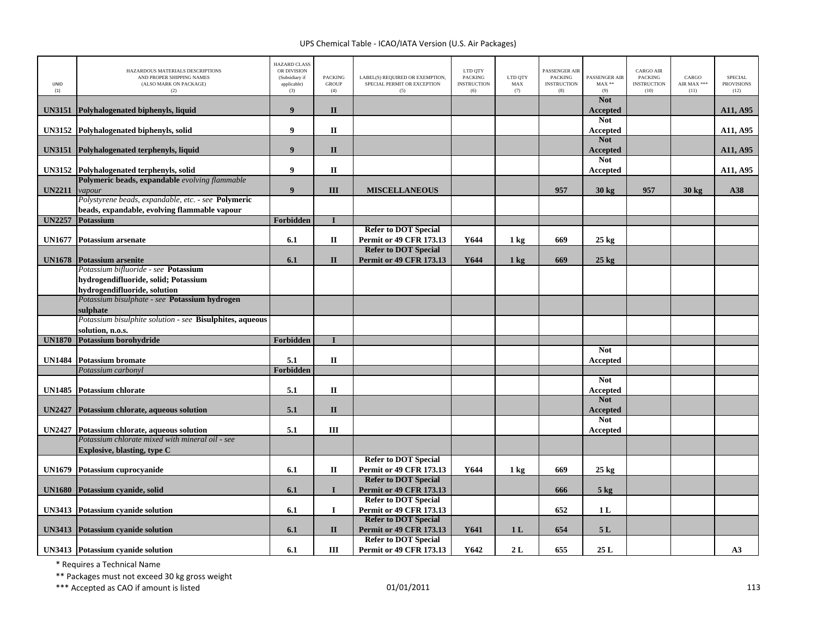| UNID<br>(1)   | HAZARDOUS MATERIALS DESCRIPTIONS<br>AND PROPER SHIPPING NAMES<br>(ALSO MARK ON PACKAGE)<br>(2)      | <b>HAZARD CLASS</b><br>OR DIVISION<br>(Subsidiary if<br>applicable)<br>(3) | PACKING<br><b>GROUP</b><br>(4) | LABEL(S) REQUIRED OR EXEMPTION,<br>SPECIAL PERMIT OR EXCEPTION<br>(5) | LTD QTY<br><b>PACKING</b><br><b>INSTRUCTION</b><br>(6) | LTD QTY<br>$\operatorname{MAX}$<br>(7) | PASSENGER AIR<br><b>PACKING</b><br><b>INSTRUCTION</b><br>(8) | PASSENGER AIR<br>$MAX**$<br>(9) | <b>CARGO AIR</b><br>PACKING<br><b>INSTRUCTION</b><br>(10) | CARGO<br>AIR MAX ***<br>(11) | <b>SPECIAL</b><br><b>PROVISIONS</b><br>(12) |
|---------------|-----------------------------------------------------------------------------------------------------|----------------------------------------------------------------------------|--------------------------------|-----------------------------------------------------------------------|--------------------------------------------------------|----------------------------------------|--------------------------------------------------------------|---------------------------------|-----------------------------------------------------------|------------------------------|---------------------------------------------|
| <b>UN3151</b> | Polyhalogenated biphenyls, liquid                                                                   | 9                                                                          | $\mathbf{I}$                   |                                                                       |                                                        |                                        |                                                              | <b>Not</b><br><b>Accepted</b>   |                                                           |                              | A11, A95                                    |
| <b>UN3152</b> | Polyhalogenated biphenyls, solid                                                                    | $\boldsymbol{9}$                                                           | $\mathbf{I}$                   |                                                                       |                                                        |                                        |                                                              | <b>Not</b><br>Accepted          |                                                           |                              | A11, A95                                    |
| <b>UN3151</b> | Polyhalogenated terphenyls, liquid                                                                  | $\boldsymbol{9}$                                                           | $\mathbf{I}$                   |                                                                       |                                                        |                                        |                                                              | <b>Not</b><br><b>Accepted</b>   |                                                           |                              | A11, A95                                    |
|               | UN3152 Polyhalogenated terphenyls, solid                                                            | $\boldsymbol{9}$                                                           | $\mathbf{I}$                   |                                                                       |                                                        |                                        |                                                              | <b>Not</b><br>Accepted          |                                                           |                              | A11, A95                                    |
| <b>UN2211</b> | Polymeric beads, expandable evolving flammable<br>vapour                                            | $\boldsymbol{9}$                                                           | III                            | <b>MISCELLANEOUS</b>                                                  |                                                        |                                        | 957                                                          | $30 \text{ kg}$                 | 957                                                       | 30 kg                        | A38                                         |
|               | Polystyrene beads, expandable, etc. - see Polymeric<br>beads, expandable, evolving flammable vapour |                                                                            |                                |                                                                       |                                                        |                                        |                                                              |                                 |                                                           |                              |                                             |
|               | UN2257 Potassium                                                                                    | <b>Forbidden</b>                                                           | $\mathbf{I}$                   |                                                                       |                                                        |                                        |                                                              |                                 |                                                           |                              |                                             |
| <b>UN1677</b> | <b>Potassium arsenate</b>                                                                           | 6.1                                                                        | $\mathbf{I}$                   | <b>Refer to DOT Special</b><br>Permit or 49 CFR 173.13                | Y644                                                   | $1 \text{ kg}$                         | 669                                                          | $25 \text{ kg}$                 |                                                           |                              |                                             |
| <b>UN1678</b> | <b>Potassium arsenite</b>                                                                           | 6.1                                                                        | $\mathbf{I}$                   | <b>Refer to DOT Special</b><br><b>Permit or 49 CFR 173.13</b>         | Y644                                                   | $1 \text{ kg}$                         | 669                                                          | $25 \text{ kg}$                 |                                                           |                              |                                             |
|               | Potassium bifluoride - see Potassium<br>hydrogendifluoride, solid; Potassium                        |                                                                            |                                |                                                                       |                                                        |                                        |                                                              |                                 |                                                           |                              |                                             |
|               | hydrogendifluoride, solution                                                                        |                                                                            |                                |                                                                       |                                                        |                                        |                                                              |                                 |                                                           |                              |                                             |
|               | Potassium bisulphate - see Potassium hydrogen<br>sulphate                                           |                                                                            |                                |                                                                       |                                                        |                                        |                                                              |                                 |                                                           |                              |                                             |
|               | Potassium bisulphite solution - see Bisulphites, aqueous                                            |                                                                            |                                |                                                                       |                                                        |                                        |                                                              |                                 |                                                           |                              |                                             |
|               | solution, n.o.s.                                                                                    |                                                                            |                                |                                                                       |                                                        |                                        |                                                              |                                 |                                                           |                              |                                             |
| <b>UN1870</b> | Potassium borohydride                                                                               | Forbidden                                                                  | $\mathbf I$                    |                                                                       |                                                        |                                        |                                                              |                                 |                                                           |                              |                                             |
| <b>UN1484</b> | <b>Potassium bromate</b>                                                                            | 5.1                                                                        | $\mathbf{I}$                   |                                                                       |                                                        |                                        |                                                              | <b>Not</b><br>Accepted          |                                                           |                              |                                             |
|               | Potassium carbonyl                                                                                  | Forbidden                                                                  |                                |                                                                       |                                                        |                                        |                                                              |                                 |                                                           |                              |                                             |
| <b>UN1485</b> | <b>Potassium chlorate</b>                                                                           | 5.1                                                                        | $\mathbf{I}$                   |                                                                       |                                                        |                                        |                                                              | <b>Not</b><br>Accepted          |                                                           |                              |                                             |
| <b>UN2427</b> | Potassium chlorate, aqueous solution                                                                | 5.1                                                                        | $\mathbf{I}$                   |                                                                       |                                                        |                                        |                                                              | <b>Not</b><br><b>Accepted</b>   |                                                           |                              |                                             |
| <b>UN2427</b> | Potassium chlorate, aqueous solution                                                                | 5.1                                                                        | Ш                              |                                                                       |                                                        |                                        |                                                              | <b>Not</b><br>Accepted          |                                                           |                              |                                             |
|               | Potassium chlorate mixed with mineral oil - see<br>Explosive, blasting, type C                      |                                                                            |                                |                                                                       |                                                        |                                        |                                                              |                                 |                                                           |                              |                                             |
| <b>UN1679</b> | Potassium cuprocyanide                                                                              | 6.1                                                                        | $\mathbf{I}$                   | <b>Refer to DOT Special</b><br>Permit or 49 CFR 173.13                | Y644                                                   | $1 \text{ kg}$                         | 669                                                          | $25 \text{ kg}$                 |                                                           |                              |                                             |
| <b>UN1680</b> | Potassium cyanide, solid                                                                            | 6.1                                                                        | $\mathbf{I}$                   | <b>Refer to DOT Special</b><br><b>Permit or 49 CFR 173.13</b>         |                                                        |                                        | 666                                                          | 5 <sub>kg</sub>                 |                                                           |                              |                                             |
|               | <b>UN3413</b> Potassium cyanide solution                                                            | 6.1                                                                        | $\mathbf{I}$                   | <b>Refer to DOT Special</b><br><b>Permit or 49 CFR 173.13</b>         |                                                        |                                        | 652                                                          | 1 <sub>L</sub>                  |                                                           |                              |                                             |
|               | <b>UN3413</b> Potassium cyanide solution                                                            | 6.1                                                                        | $\mathbf{I}$                   | <b>Refer to DOT Special</b><br><b>Permit or 49 CFR 173.13</b>         | Y641                                                   | 1 <sub>L</sub>                         | 654                                                          | 5L                              |                                                           |                              |                                             |
|               | <b>UN3413</b> Potassium cyanide solution                                                            | 6.1                                                                        | Ш                              | <b>Refer to DOT Special</b><br>Permit or 49 CFR 173.13                | Y642                                                   | 2L                                     | 655                                                          | 25L                             |                                                           |                              | A3                                          |

\* Requires <sup>a</sup> Technical Name

\*\* Packages must not exceed 30 kg gross weight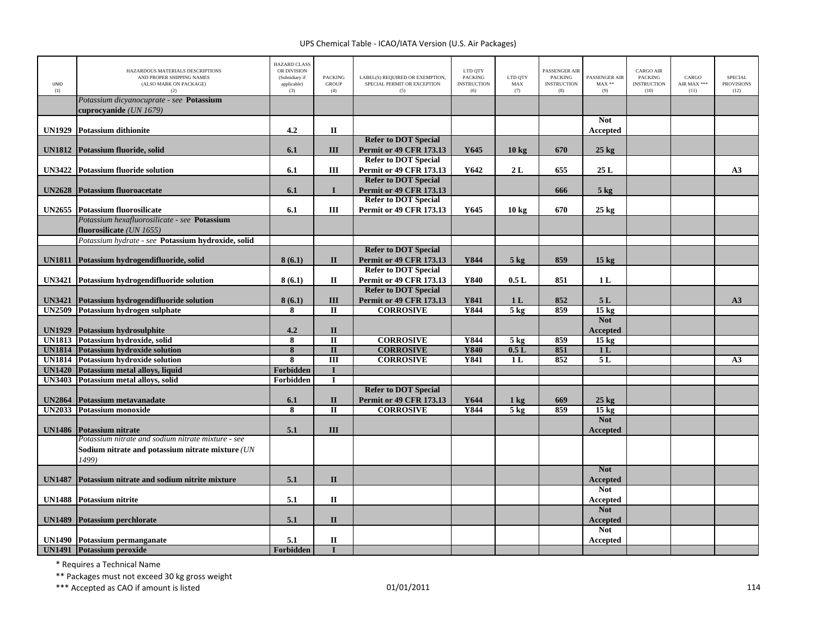| UNID<br>(1)   | HAZARDOUS MATERIALS DESCRIPTIONS<br>AND PROPER SHIPPING NAMES<br>(ALSO MARK ON PACKAGE)<br>(2)                  | <b>HAZARD CLASS</b><br>OR DIVISION<br>(Subsidiary if<br>applicable)<br>(3) | <b>PACKING</b><br><b>GROUP</b><br>(4) | LABEL(S) REQUIRED OR EXEMPTION,<br>SPECIAL PERMIT OR EXCEPTION<br>(5)                        | LTD QTY<br><b>PACKING</b><br><b>INSTRUCTION</b><br>(6) | LTD QTY<br>MAX<br>(7) | ASSENGER AIR<br><b>PACKING</b><br><b>INSTRUCTION</b><br>(8) | PASSENGER AIR<br>$MAX**$<br>(9) | <b>CARGO AIR</b><br>PACKING<br><b>INSTRUCTION</b><br>(10) | CARGO<br>AIR MAX ***<br>(11) | <b>SPECIAL</b><br><b>PROVISIONS</b><br>(12) |
|---------------|-----------------------------------------------------------------------------------------------------------------|----------------------------------------------------------------------------|---------------------------------------|----------------------------------------------------------------------------------------------|--------------------------------------------------------|-----------------------|-------------------------------------------------------------|---------------------------------|-----------------------------------------------------------|------------------------------|---------------------------------------------|
|               | Potassium dicyanocuprate - see Potassium<br>cuprocyanide (UN 1679)                                              |                                                                            |                                       |                                                                                              |                                                        |                       |                                                             |                                 |                                                           |                              |                                             |
| <b>UN1929</b> | <b>Potassium dithionite</b>                                                                                     | 4.2                                                                        | $\mathbf I$                           |                                                                                              |                                                        |                       |                                                             | <b>Not</b><br>Accepted          |                                                           |                              |                                             |
| <b>UN1812</b> | Potassium fluoride, solid                                                                                       | 6.1                                                                        | III                                   | <b>Refer to DOT Special</b><br><b>Permit or 49 CFR 173.13</b><br><b>Refer to DOT Special</b> | Y645                                                   | 10 <sub>kg</sub>      | 670                                                         | $25 \text{ kg}$                 |                                                           |                              |                                             |
| <b>UN3422</b> | <b>Potassium fluoride solution</b>                                                                              | 6.1                                                                        | Ш                                     | <b>Permit or 49 CFR 173.13</b><br><b>Refer to DOT Special</b>                                | Y642                                                   | 2L                    | 655                                                         | 25L                             |                                                           |                              | A3                                          |
| <b>UN2628</b> | <b>Potassium fluoroacetate</b>                                                                                  | 6.1                                                                        | $\mathbf{I}$                          | <b>Permit or 49 CFR 173.13</b><br><b>Refer to DOT Special</b>                                |                                                        |                       | 666                                                         | 5 <sub>kg</sub>                 |                                                           |                              |                                             |
|               | <b>UN2655</b> Potassium fluorosilicate<br>Potassium hexafluorosilicate - see Potassium                          | 6.1                                                                        | Ш                                     | <b>Permit or 49 CFR 173.13</b>                                                               | Y645                                                   | 10 <sub>kg</sub>      | 670                                                         | $25 \text{ kg}$                 |                                                           |                              |                                             |
|               | fluorosilicate (UN 1655)<br>Potassium hydrate - see Potassium hydroxide, solid                                  |                                                                            |                                       |                                                                                              |                                                        |                       |                                                             |                                 |                                                           |                              |                                             |
|               | UN1811 Potassium hydrogendifluoride, solid                                                                      | 8(6.1)                                                                     | $\mathbf{I}$                          | <b>Refer to DOT Special</b><br><b>Permit or 49 CFR 173.13</b>                                | Y844                                                   | $5 \text{ kg}$        | 859                                                         | 15 <sub>kg</sub>                |                                                           |                              |                                             |
|               | UN3421 Potassium hydrogendifluoride solution                                                                    | 8(6.1)                                                                     | П                                     | <b>Refer to DOT Special</b><br><b>Permit or 49 CFR 173.13</b>                                | Y840                                                   | 0.5L                  | 851                                                         | 1L                              |                                                           |                              |                                             |
| <b>UN3421</b> | Potassium hydrogendifluoride solution                                                                           | 8(6.1)                                                                     | III                                   | <b>Refer to DOT Special</b><br><b>Permit or 49 CFR 173.13</b>                                | Y841                                                   | 1 <sub>L</sub>        | 852                                                         | 5L                              |                                                           |                              | A3                                          |
| <b>UN2509</b> | Potassium hydrogen sulphate                                                                                     | 8                                                                          | $\mathbf{I}$                          | <b>CORROSIVE</b>                                                                             | Y844                                                   | 5 <sub>kg</sub>       | 859                                                         | 15 <sub>kg</sub><br><b>Not</b>  |                                                           |                              |                                             |
| <b>UN1929</b> | <b>Potassium hydrosulphite</b>                                                                                  | 4.2                                                                        | $\mathbf{I}$                          |                                                                                              |                                                        |                       |                                                             | <b>Accepted</b>                 |                                                           |                              |                                             |
| <b>UN1813</b> | Potassium hydroxide, solid                                                                                      | 8                                                                          | $\overline{\mathbf{u}}$               | <b>CORROSIVE</b>                                                                             | <b>Y844</b>                                            | 5 <sub>kg</sub>       | 859                                                         | $15 \text{ kg}$                 |                                                           |                              |                                             |
| <b>UN1814</b> | Potassium hydroxide solution                                                                                    | 8                                                                          | $\mathbf{I}$                          | <b>CORROSIVE</b>                                                                             | <b>Y840</b>                                            | 0.5L                  | 851                                                         | 1 <sub>L</sub>                  |                                                           |                              |                                             |
| <b>UN1814</b> | <b>Potassium hydroxide solution</b>                                                                             | $\overline{\mathbf{8}}$                                                    | $\overline{III}$                      | <b>CORROSIVE</b>                                                                             | <b>Y841</b>                                            | 1 <sub>L</sub>        | 852                                                         | 5L                              |                                                           |                              | A3                                          |
| <b>UN1420</b> | Potassium metal alloys, liquid                                                                                  | Forbidden                                                                  | $\mathbf I$<br>$\mathbf I$            |                                                                                              |                                                        |                       |                                                             |                                 |                                                           |                              |                                             |
| <b>UN3403</b> | Potassium metal alloys, solid                                                                                   | Forbidden                                                                  |                                       | <b>Refer to DOT Special</b>                                                                  |                                                        |                       |                                                             |                                 |                                                           |                              |                                             |
| <b>UN2864</b> | Potassium metavanadate                                                                                          | 6.1                                                                        | $\mathbf{I}$                          | <b>Permit or 49 CFR 173.13</b>                                                               | Y644                                                   | $1 \text{ kg}$        | 669                                                         | $25 \text{ kg}$                 |                                                           |                              |                                             |
| <b>UN2033</b> | <b>Potassium monoxide</b>                                                                                       | $\overline{\mathbf{8}}$                                                    | $\overline{\mathbf{u}}$               | <b>CORROSIVE</b>                                                                             | <b>Y844</b>                                            | $5$ kg                | 859                                                         | $15 \text{ kg}$                 |                                                           |                              |                                             |
| <b>UN1486</b> | <b>Potassium nitrate</b>                                                                                        | 5.1                                                                        | III                                   |                                                                                              |                                                        |                       |                                                             | <b>Not</b><br><b>Accepted</b>   |                                                           |                              |                                             |
|               | Potassium nitrate and sodium nitrate mixture - see<br>Sodium nitrate and potassium nitrate mixture (UN<br>1499) |                                                                            |                                       |                                                                                              |                                                        |                       |                                                             |                                 |                                                           |                              |                                             |
| <b>UN1487</b> | Potassium nitrate and sodium nitrite mixture                                                                    | 5.1                                                                        | $\mathbf{I}$                          |                                                                                              |                                                        |                       |                                                             | <b>Not</b><br><b>Accepted</b>   |                                                           |                              |                                             |
| <b>UN1488</b> | <b>Potassium nitrite</b>                                                                                        | 5.1                                                                        | $\mathbf{I}$                          |                                                                                              |                                                        |                       |                                                             | <b>Not</b><br>Accepted          |                                                           |                              |                                             |
| <b>UN1489</b> | <b>Potassium perchlorate</b>                                                                                    | 5.1                                                                        | $\mathbf{I}$                          |                                                                                              |                                                        |                       |                                                             | <b>Not</b><br><b>Accepted</b>   |                                                           |                              |                                             |
|               | <b>UN1490</b> Potassium permanganate                                                                            | 5.1                                                                        | $\mathbf{I}$                          |                                                                                              |                                                        |                       |                                                             | <b>Not</b><br>Accepted          |                                                           |                              |                                             |
|               | UN1491 Potassium peroxide                                                                                       | Forbidden                                                                  | $\mathbf I$                           |                                                                                              |                                                        |                       |                                                             |                                 |                                                           |                              |                                             |

\* Requires <sup>a</sup> Technical Name

\*\* Packages must not exceed 30 kg gross weight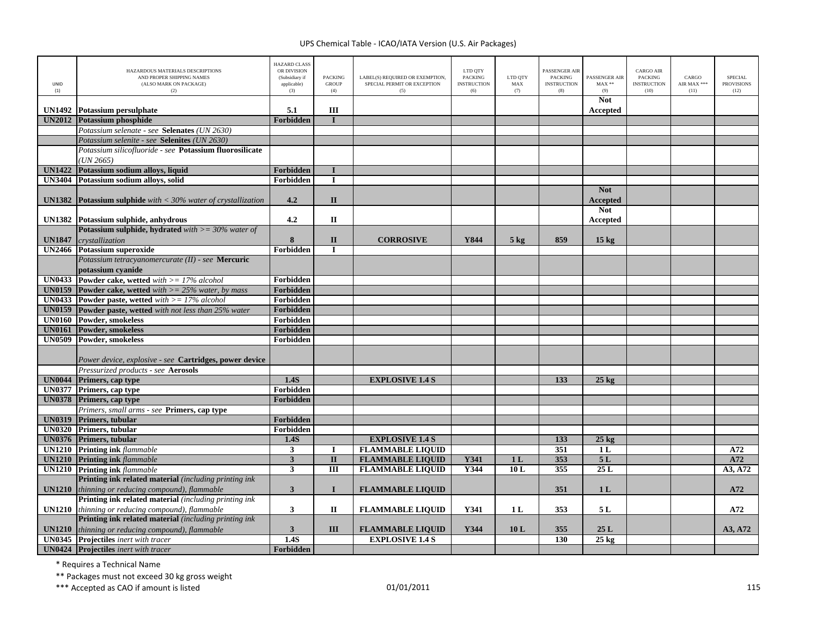| <b>Not</b><br>UN1492 Potassium persulphate<br>5.1<br>Ш<br>Accepted<br>Forbidden<br><b>UN2012</b><br><b>Potassium phosphide</b><br>$\mathbf{I}$<br>Potassium selenate - see Selenates (UN 2630)<br>Potassium selenite - see Selenites (UN 2630)<br>Potassium silicofluoride - see Potassium fluorosilicate<br>(UN 2665)<br><b>UN1422</b><br>Potassium sodium alloys, liquid<br>Forbidden<br>$\bf{I}$<br><b>UN3404</b><br>Potassium sodium alloys, solid<br>Forbidden<br>$\bf{I}$<br><b>Not</b><br>4.2<br>$\mathbf{I}$<br><b>UN1382</b> Potassium sulphide with $<$ 30% water of crystallization<br><b>Accepted</b><br><b>Not</b><br>4.2<br>UN1382 Potassium sulphide, anhydrous<br>$\mathbf{I}$<br>Accepted<br><b>Potassium sulphide, hydrated</b> with $\geq$ = 30% water of<br><b>UN1847</b><br>8<br>$\mathbf{I}$<br><b>CORROSIVE</b><br>859<br>crystallization<br>Y844<br>$5 \text{ kg}$<br>$15 \text{ kg}$<br><b>UN2466</b> Potassium superoxide<br>Forbidden<br>П<br>Potassium tetracyanomercurate (II) - see Mercuric<br>potassium cyanide<br><b>UN0433</b><br><b>Powder cake, wetted</b> with $>= 17\%$ alcohol<br>Forbidden<br><b>UN0159</b><br>Forbidden<br><b>Powder cake, wetted</b> with $>= 25\%$ water, by mass<br><b>UN0433</b><br>Forbidden<br><b>Powder paste, wetted</b> with $>= 17\%$ alcohol<br><b>UN0159</b><br>Powder paste, wetted with not less than 25% water<br>Forbidden<br><b>UN0160</b><br>Powder, smokeless<br>Forbidden<br>Powder, smokeless<br><b>UN0161</b><br>Forbidden<br><b>UN0509</b><br>Powder, smokeless<br>Forbidden<br>Power device, explosive - see Cartridges, power device<br>Pressurized products - see Aerosols<br><b>UN0044</b> Primers, cap type<br>1.4S<br><b>EXPLOSIVE 1.4 S</b><br>133<br>$25 \text{ kg}$<br>UN0377 Primers, cap type<br>Forbidden<br>UN0378 Primers, cap type<br>Forbidden<br>Primers, small arms - see Primers, cap type<br><b>UN0319</b> Primers, tubular<br>Forbidden<br><b>UN0320</b> Primers, tubular<br>Forbidden<br><b>UN0376</b> Primers, tubular<br><b>EXPLOSIVE 1.4 S</b><br>133<br>1.4S<br>$25 \text{ kg}$<br><b>FLAMMABLE LIQUID</b><br>351<br><b>UN1210</b> Printing ink flammable<br>$\mathbf{3}$<br>1 <sub>L</sub><br>A72<br><b>I</b><br>5L<br><b>UN1210</b> Printing ink flammable<br>$\overline{\mathbf{3}}$<br>$\overline{\mathbf{u}}$<br><b>FLAMMABLE LIQUID</b><br><b>Y341</b><br>353<br>A72<br>1 <sub>L</sub><br>25L<br><b>UN1210</b> Printing ink flammable<br>$\overline{III}$<br><b>FLAMMABLE LIQUID</b><br>Y344<br>10L<br>355<br>3<br>A3, A72<br><b>Printing ink related material</b> (including printing ink<br>thinning or reducing compound), flammable<br>$\mathbf{3}$<br>$\mathbf{I}$<br>351<br>1 <sub>L</sub><br>A72<br><b>UN1210</b><br><b>FLAMMABLE LIQUID</b><br><b>Printing ink related material</b> (including printing ink<br><b>UN1210</b> thinning or reducing compound), flammable<br>$\mathbf{3}$<br>$\mathbf{I}$<br>Y341<br>1 <sub>L</sub><br>353<br>5 L<br>A72<br><b>FLAMMABLE LIQUID</b><br><b>Printing ink related material</b> (including printing ink<br>thinning or reducing compound), flammable<br>$\overline{\mathbf{3}}$<br>III<br><b>FLAMMABLE LIQUID</b><br>Y344<br>10L<br>355<br>25L<br>A3, A72<br><b>UN1210</b><br>$\overline{1.4S}$<br><b>EXPLOSIVE 1.4 S</b><br>130<br>$25 \text{ kg}$<br><b>UN0345</b> Projectiles inert with tracer<br><b>UN0424</b> Projectiles inert with tracer | <b>UNID</b><br>(1) | HAZARDOUS MATERIALS DESCRIPTIONS<br>AND PROPER SHIPPING NAMES<br>(ALSO MARK ON PACKAGE)<br>(2) | <b>HAZARD CLASS</b><br>OR DIVISION<br>(Subsidiary if<br>applicable)<br>(3) | <b>PACKING</b><br><b>GROUP</b><br>(4) | LABEL(S) REQUIRED OR EXEMPTION,<br>SPECIAL PERMIT OR EXCEPTION<br>(5) | LTD QTY<br><b>PACKING</b><br><b>INSTRUCTION</b><br>(6) | LTD QTY<br>MAX<br>(7) | <b>PASSENGER AIR</b><br><b>PACKING</b><br><b>INSTRUCTION</b><br>(8) | <b>PASSENGER AIR</b><br>$MAX**$<br>(9) | <b>CARGO AIR</b><br><b>PACKING</b><br><b>INSTRUCTION</b><br>(10) | CARGO<br>AIR MAX ***<br>(11) | <b>SPECIAL</b><br><b>PROVISIONS</b><br>(12) |
|--------------------------------------------------------------------------------------------------------------------------------------------------------------------------------------------------------------------------------------------------------------------------------------------------------------------------------------------------------------------------------------------------------------------------------------------------------------------------------------------------------------------------------------------------------------------------------------------------------------------------------------------------------------------------------------------------------------------------------------------------------------------------------------------------------------------------------------------------------------------------------------------------------------------------------------------------------------------------------------------------------------------------------------------------------------------------------------------------------------------------------------------------------------------------------------------------------------------------------------------------------------------------------------------------------------------------------------------------------------------------------------------------------------------------------------------------------------------------------------------------------------------------------------------------------------------------------------------------------------------------------------------------------------------------------------------------------------------------------------------------------------------------------------------------------------------------------------------------------------------------------------------------------------------------------------------------------------------------------------------------------------------------------------------------------------------------------------------------------------------------------------------------------------------------------------------------------------------------------------------------------------------------------------------------------------------------------------------------------------------------------------------------------------------------------------------------------------------------------------------------------------------------------------------------------------------------------------------------------------------------------------------------------------------------------------------------------------------------------------------------------------------------------------------------------------------------------------------------------------------------------------------------------------------------------------------------------------------------------------------------------------------------------------------------------------------------------------------------------------------------------------------------------------------------------------------------------------------------------------------------------------------------------------------------------------------------------------------------------------------------------------------------------------------|--------------------|------------------------------------------------------------------------------------------------|----------------------------------------------------------------------------|---------------------------------------|-----------------------------------------------------------------------|--------------------------------------------------------|-----------------------|---------------------------------------------------------------------|----------------------------------------|------------------------------------------------------------------|------------------------------|---------------------------------------------|
|                                                                                                                                                                                                                                                                                                                                                                                                                                                                                                                                                                                                                                                                                                                                                                                                                                                                                                                                                                                                                                                                                                                                                                                                                                                                                                                                                                                                                                                                                                                                                                                                                                                                                                                                                                                                                                                                                                                                                                                                                                                                                                                                                                                                                                                                                                                                                                                                                                                                                                                                                                                                                                                                                                                                                                                                                                                                                                                                                                                                                                                                                                                                                                                                                                                                                                                                                                                                                    |                    |                                                                                                |                                                                            |                                       |                                                                       |                                                        |                       |                                                                     |                                        |                                                                  |                              |                                             |
|                                                                                                                                                                                                                                                                                                                                                                                                                                                                                                                                                                                                                                                                                                                                                                                                                                                                                                                                                                                                                                                                                                                                                                                                                                                                                                                                                                                                                                                                                                                                                                                                                                                                                                                                                                                                                                                                                                                                                                                                                                                                                                                                                                                                                                                                                                                                                                                                                                                                                                                                                                                                                                                                                                                                                                                                                                                                                                                                                                                                                                                                                                                                                                                                                                                                                                                                                                                                                    |                    |                                                                                                |                                                                            |                                       |                                                                       |                                                        |                       |                                                                     |                                        |                                                                  |                              |                                             |
|                                                                                                                                                                                                                                                                                                                                                                                                                                                                                                                                                                                                                                                                                                                                                                                                                                                                                                                                                                                                                                                                                                                                                                                                                                                                                                                                                                                                                                                                                                                                                                                                                                                                                                                                                                                                                                                                                                                                                                                                                                                                                                                                                                                                                                                                                                                                                                                                                                                                                                                                                                                                                                                                                                                                                                                                                                                                                                                                                                                                                                                                                                                                                                                                                                                                                                                                                                                                                    |                    |                                                                                                |                                                                            |                                       |                                                                       |                                                        |                       |                                                                     |                                        |                                                                  |                              |                                             |
|                                                                                                                                                                                                                                                                                                                                                                                                                                                                                                                                                                                                                                                                                                                                                                                                                                                                                                                                                                                                                                                                                                                                                                                                                                                                                                                                                                                                                                                                                                                                                                                                                                                                                                                                                                                                                                                                                                                                                                                                                                                                                                                                                                                                                                                                                                                                                                                                                                                                                                                                                                                                                                                                                                                                                                                                                                                                                                                                                                                                                                                                                                                                                                                                                                                                                                                                                                                                                    |                    |                                                                                                |                                                                            |                                       |                                                                       |                                                        |                       |                                                                     |                                        |                                                                  |                              |                                             |
|                                                                                                                                                                                                                                                                                                                                                                                                                                                                                                                                                                                                                                                                                                                                                                                                                                                                                                                                                                                                                                                                                                                                                                                                                                                                                                                                                                                                                                                                                                                                                                                                                                                                                                                                                                                                                                                                                                                                                                                                                                                                                                                                                                                                                                                                                                                                                                                                                                                                                                                                                                                                                                                                                                                                                                                                                                                                                                                                                                                                                                                                                                                                                                                                                                                                                                                                                                                                                    |                    |                                                                                                |                                                                            |                                       |                                                                       |                                                        |                       |                                                                     |                                        |                                                                  |                              |                                             |
|                                                                                                                                                                                                                                                                                                                                                                                                                                                                                                                                                                                                                                                                                                                                                                                                                                                                                                                                                                                                                                                                                                                                                                                                                                                                                                                                                                                                                                                                                                                                                                                                                                                                                                                                                                                                                                                                                                                                                                                                                                                                                                                                                                                                                                                                                                                                                                                                                                                                                                                                                                                                                                                                                                                                                                                                                                                                                                                                                                                                                                                                                                                                                                                                                                                                                                                                                                                                                    |                    |                                                                                                |                                                                            |                                       |                                                                       |                                                        |                       |                                                                     |                                        |                                                                  |                              |                                             |
|                                                                                                                                                                                                                                                                                                                                                                                                                                                                                                                                                                                                                                                                                                                                                                                                                                                                                                                                                                                                                                                                                                                                                                                                                                                                                                                                                                                                                                                                                                                                                                                                                                                                                                                                                                                                                                                                                                                                                                                                                                                                                                                                                                                                                                                                                                                                                                                                                                                                                                                                                                                                                                                                                                                                                                                                                                                                                                                                                                                                                                                                                                                                                                                                                                                                                                                                                                                                                    |                    |                                                                                                |                                                                            |                                       |                                                                       |                                                        |                       |                                                                     |                                        |                                                                  |                              |                                             |
|                                                                                                                                                                                                                                                                                                                                                                                                                                                                                                                                                                                                                                                                                                                                                                                                                                                                                                                                                                                                                                                                                                                                                                                                                                                                                                                                                                                                                                                                                                                                                                                                                                                                                                                                                                                                                                                                                                                                                                                                                                                                                                                                                                                                                                                                                                                                                                                                                                                                                                                                                                                                                                                                                                                                                                                                                                                                                                                                                                                                                                                                                                                                                                                                                                                                                                                                                                                                                    |                    |                                                                                                |                                                                            |                                       |                                                                       |                                                        |                       |                                                                     |                                        |                                                                  |                              |                                             |
|                                                                                                                                                                                                                                                                                                                                                                                                                                                                                                                                                                                                                                                                                                                                                                                                                                                                                                                                                                                                                                                                                                                                                                                                                                                                                                                                                                                                                                                                                                                                                                                                                                                                                                                                                                                                                                                                                                                                                                                                                                                                                                                                                                                                                                                                                                                                                                                                                                                                                                                                                                                                                                                                                                                                                                                                                                                                                                                                                                                                                                                                                                                                                                                                                                                                                                                                                                                                                    |                    |                                                                                                |                                                                            |                                       |                                                                       |                                                        |                       |                                                                     |                                        |                                                                  |                              |                                             |
|                                                                                                                                                                                                                                                                                                                                                                                                                                                                                                                                                                                                                                                                                                                                                                                                                                                                                                                                                                                                                                                                                                                                                                                                                                                                                                                                                                                                                                                                                                                                                                                                                                                                                                                                                                                                                                                                                                                                                                                                                                                                                                                                                                                                                                                                                                                                                                                                                                                                                                                                                                                                                                                                                                                                                                                                                                                                                                                                                                                                                                                                                                                                                                                                                                                                                                                                                                                                                    |                    |                                                                                                |                                                                            |                                       |                                                                       |                                                        |                       |                                                                     |                                        |                                                                  |                              |                                             |
|                                                                                                                                                                                                                                                                                                                                                                                                                                                                                                                                                                                                                                                                                                                                                                                                                                                                                                                                                                                                                                                                                                                                                                                                                                                                                                                                                                                                                                                                                                                                                                                                                                                                                                                                                                                                                                                                                                                                                                                                                                                                                                                                                                                                                                                                                                                                                                                                                                                                                                                                                                                                                                                                                                                                                                                                                                                                                                                                                                                                                                                                                                                                                                                                                                                                                                                                                                                                                    |                    |                                                                                                |                                                                            |                                       |                                                                       |                                                        |                       |                                                                     |                                        |                                                                  |                              |                                             |
|                                                                                                                                                                                                                                                                                                                                                                                                                                                                                                                                                                                                                                                                                                                                                                                                                                                                                                                                                                                                                                                                                                                                                                                                                                                                                                                                                                                                                                                                                                                                                                                                                                                                                                                                                                                                                                                                                                                                                                                                                                                                                                                                                                                                                                                                                                                                                                                                                                                                                                                                                                                                                                                                                                                                                                                                                                                                                                                                                                                                                                                                                                                                                                                                                                                                                                                                                                                                                    |                    |                                                                                                |                                                                            |                                       |                                                                       |                                                        |                       |                                                                     |                                        |                                                                  |                              |                                             |
|                                                                                                                                                                                                                                                                                                                                                                                                                                                                                                                                                                                                                                                                                                                                                                                                                                                                                                                                                                                                                                                                                                                                                                                                                                                                                                                                                                                                                                                                                                                                                                                                                                                                                                                                                                                                                                                                                                                                                                                                                                                                                                                                                                                                                                                                                                                                                                                                                                                                                                                                                                                                                                                                                                                                                                                                                                                                                                                                                                                                                                                                                                                                                                                                                                                                                                                                                                                                                    |                    |                                                                                                |                                                                            |                                       |                                                                       |                                                        |                       |                                                                     |                                        |                                                                  |                              |                                             |
|                                                                                                                                                                                                                                                                                                                                                                                                                                                                                                                                                                                                                                                                                                                                                                                                                                                                                                                                                                                                                                                                                                                                                                                                                                                                                                                                                                                                                                                                                                                                                                                                                                                                                                                                                                                                                                                                                                                                                                                                                                                                                                                                                                                                                                                                                                                                                                                                                                                                                                                                                                                                                                                                                                                                                                                                                                                                                                                                                                                                                                                                                                                                                                                                                                                                                                                                                                                                                    |                    |                                                                                                |                                                                            |                                       |                                                                       |                                                        |                       |                                                                     |                                        |                                                                  |                              |                                             |
|                                                                                                                                                                                                                                                                                                                                                                                                                                                                                                                                                                                                                                                                                                                                                                                                                                                                                                                                                                                                                                                                                                                                                                                                                                                                                                                                                                                                                                                                                                                                                                                                                                                                                                                                                                                                                                                                                                                                                                                                                                                                                                                                                                                                                                                                                                                                                                                                                                                                                                                                                                                                                                                                                                                                                                                                                                                                                                                                                                                                                                                                                                                                                                                                                                                                                                                                                                                                                    |                    |                                                                                                |                                                                            |                                       |                                                                       |                                                        |                       |                                                                     |                                        |                                                                  |                              |                                             |
|                                                                                                                                                                                                                                                                                                                                                                                                                                                                                                                                                                                                                                                                                                                                                                                                                                                                                                                                                                                                                                                                                                                                                                                                                                                                                                                                                                                                                                                                                                                                                                                                                                                                                                                                                                                                                                                                                                                                                                                                                                                                                                                                                                                                                                                                                                                                                                                                                                                                                                                                                                                                                                                                                                                                                                                                                                                                                                                                                                                                                                                                                                                                                                                                                                                                                                                                                                                                                    |                    |                                                                                                |                                                                            |                                       |                                                                       |                                                        |                       |                                                                     |                                        |                                                                  |                              |                                             |
|                                                                                                                                                                                                                                                                                                                                                                                                                                                                                                                                                                                                                                                                                                                                                                                                                                                                                                                                                                                                                                                                                                                                                                                                                                                                                                                                                                                                                                                                                                                                                                                                                                                                                                                                                                                                                                                                                                                                                                                                                                                                                                                                                                                                                                                                                                                                                                                                                                                                                                                                                                                                                                                                                                                                                                                                                                                                                                                                                                                                                                                                                                                                                                                                                                                                                                                                                                                                                    |                    |                                                                                                |                                                                            |                                       |                                                                       |                                                        |                       |                                                                     |                                        |                                                                  |                              |                                             |
|                                                                                                                                                                                                                                                                                                                                                                                                                                                                                                                                                                                                                                                                                                                                                                                                                                                                                                                                                                                                                                                                                                                                                                                                                                                                                                                                                                                                                                                                                                                                                                                                                                                                                                                                                                                                                                                                                                                                                                                                                                                                                                                                                                                                                                                                                                                                                                                                                                                                                                                                                                                                                                                                                                                                                                                                                                                                                                                                                                                                                                                                                                                                                                                                                                                                                                                                                                                                                    |                    |                                                                                                |                                                                            |                                       |                                                                       |                                                        |                       |                                                                     |                                        |                                                                  |                              |                                             |
|                                                                                                                                                                                                                                                                                                                                                                                                                                                                                                                                                                                                                                                                                                                                                                                                                                                                                                                                                                                                                                                                                                                                                                                                                                                                                                                                                                                                                                                                                                                                                                                                                                                                                                                                                                                                                                                                                                                                                                                                                                                                                                                                                                                                                                                                                                                                                                                                                                                                                                                                                                                                                                                                                                                                                                                                                                                                                                                                                                                                                                                                                                                                                                                                                                                                                                                                                                                                                    |                    |                                                                                                |                                                                            |                                       |                                                                       |                                                        |                       |                                                                     |                                        |                                                                  |                              |                                             |
|                                                                                                                                                                                                                                                                                                                                                                                                                                                                                                                                                                                                                                                                                                                                                                                                                                                                                                                                                                                                                                                                                                                                                                                                                                                                                                                                                                                                                                                                                                                                                                                                                                                                                                                                                                                                                                                                                                                                                                                                                                                                                                                                                                                                                                                                                                                                                                                                                                                                                                                                                                                                                                                                                                                                                                                                                                                                                                                                                                                                                                                                                                                                                                                                                                                                                                                                                                                                                    |                    |                                                                                                |                                                                            |                                       |                                                                       |                                                        |                       |                                                                     |                                        |                                                                  |                              |                                             |
|                                                                                                                                                                                                                                                                                                                                                                                                                                                                                                                                                                                                                                                                                                                                                                                                                                                                                                                                                                                                                                                                                                                                                                                                                                                                                                                                                                                                                                                                                                                                                                                                                                                                                                                                                                                                                                                                                                                                                                                                                                                                                                                                                                                                                                                                                                                                                                                                                                                                                                                                                                                                                                                                                                                                                                                                                                                                                                                                                                                                                                                                                                                                                                                                                                                                                                                                                                                                                    |                    |                                                                                                |                                                                            |                                       |                                                                       |                                                        |                       |                                                                     |                                        |                                                                  |                              |                                             |
|                                                                                                                                                                                                                                                                                                                                                                                                                                                                                                                                                                                                                                                                                                                                                                                                                                                                                                                                                                                                                                                                                                                                                                                                                                                                                                                                                                                                                                                                                                                                                                                                                                                                                                                                                                                                                                                                                                                                                                                                                                                                                                                                                                                                                                                                                                                                                                                                                                                                                                                                                                                                                                                                                                                                                                                                                                                                                                                                                                                                                                                                                                                                                                                                                                                                                                                                                                                                                    |                    |                                                                                                |                                                                            |                                       |                                                                       |                                                        |                       |                                                                     |                                        |                                                                  |                              |                                             |
|                                                                                                                                                                                                                                                                                                                                                                                                                                                                                                                                                                                                                                                                                                                                                                                                                                                                                                                                                                                                                                                                                                                                                                                                                                                                                                                                                                                                                                                                                                                                                                                                                                                                                                                                                                                                                                                                                                                                                                                                                                                                                                                                                                                                                                                                                                                                                                                                                                                                                                                                                                                                                                                                                                                                                                                                                                                                                                                                                                                                                                                                                                                                                                                                                                                                                                                                                                                                                    |                    |                                                                                                |                                                                            |                                       |                                                                       |                                                        |                       |                                                                     |                                        |                                                                  |                              |                                             |
|                                                                                                                                                                                                                                                                                                                                                                                                                                                                                                                                                                                                                                                                                                                                                                                                                                                                                                                                                                                                                                                                                                                                                                                                                                                                                                                                                                                                                                                                                                                                                                                                                                                                                                                                                                                                                                                                                                                                                                                                                                                                                                                                                                                                                                                                                                                                                                                                                                                                                                                                                                                                                                                                                                                                                                                                                                                                                                                                                                                                                                                                                                                                                                                                                                                                                                                                                                                                                    |                    |                                                                                                |                                                                            |                                       |                                                                       |                                                        |                       |                                                                     |                                        |                                                                  |                              |                                             |
|                                                                                                                                                                                                                                                                                                                                                                                                                                                                                                                                                                                                                                                                                                                                                                                                                                                                                                                                                                                                                                                                                                                                                                                                                                                                                                                                                                                                                                                                                                                                                                                                                                                                                                                                                                                                                                                                                                                                                                                                                                                                                                                                                                                                                                                                                                                                                                                                                                                                                                                                                                                                                                                                                                                                                                                                                                                                                                                                                                                                                                                                                                                                                                                                                                                                                                                                                                                                                    |                    |                                                                                                |                                                                            |                                       |                                                                       |                                                        |                       |                                                                     |                                        |                                                                  |                              |                                             |
|                                                                                                                                                                                                                                                                                                                                                                                                                                                                                                                                                                                                                                                                                                                                                                                                                                                                                                                                                                                                                                                                                                                                                                                                                                                                                                                                                                                                                                                                                                                                                                                                                                                                                                                                                                                                                                                                                                                                                                                                                                                                                                                                                                                                                                                                                                                                                                                                                                                                                                                                                                                                                                                                                                                                                                                                                                                                                                                                                                                                                                                                                                                                                                                                                                                                                                                                                                                                                    |                    |                                                                                                |                                                                            |                                       |                                                                       |                                                        |                       |                                                                     |                                        |                                                                  |                              |                                             |
|                                                                                                                                                                                                                                                                                                                                                                                                                                                                                                                                                                                                                                                                                                                                                                                                                                                                                                                                                                                                                                                                                                                                                                                                                                                                                                                                                                                                                                                                                                                                                                                                                                                                                                                                                                                                                                                                                                                                                                                                                                                                                                                                                                                                                                                                                                                                                                                                                                                                                                                                                                                                                                                                                                                                                                                                                                                                                                                                                                                                                                                                                                                                                                                                                                                                                                                                                                                                                    |                    |                                                                                                |                                                                            |                                       |                                                                       |                                                        |                       |                                                                     |                                        |                                                                  |                              |                                             |
|                                                                                                                                                                                                                                                                                                                                                                                                                                                                                                                                                                                                                                                                                                                                                                                                                                                                                                                                                                                                                                                                                                                                                                                                                                                                                                                                                                                                                                                                                                                                                                                                                                                                                                                                                                                                                                                                                                                                                                                                                                                                                                                                                                                                                                                                                                                                                                                                                                                                                                                                                                                                                                                                                                                                                                                                                                                                                                                                                                                                                                                                                                                                                                                                                                                                                                                                                                                                                    |                    |                                                                                                |                                                                            |                                       |                                                                       |                                                        |                       |                                                                     |                                        |                                                                  |                              |                                             |
|                                                                                                                                                                                                                                                                                                                                                                                                                                                                                                                                                                                                                                                                                                                                                                                                                                                                                                                                                                                                                                                                                                                                                                                                                                                                                                                                                                                                                                                                                                                                                                                                                                                                                                                                                                                                                                                                                                                                                                                                                                                                                                                                                                                                                                                                                                                                                                                                                                                                                                                                                                                                                                                                                                                                                                                                                                                                                                                                                                                                                                                                                                                                                                                                                                                                                                                                                                                                                    |                    |                                                                                                |                                                                            |                                       |                                                                       |                                                        |                       |                                                                     |                                        |                                                                  |                              |                                             |
|                                                                                                                                                                                                                                                                                                                                                                                                                                                                                                                                                                                                                                                                                                                                                                                                                                                                                                                                                                                                                                                                                                                                                                                                                                                                                                                                                                                                                                                                                                                                                                                                                                                                                                                                                                                                                                                                                                                                                                                                                                                                                                                                                                                                                                                                                                                                                                                                                                                                                                                                                                                                                                                                                                                                                                                                                                                                                                                                                                                                                                                                                                                                                                                                                                                                                                                                                                                                                    |                    |                                                                                                |                                                                            |                                       |                                                                       |                                                        |                       |                                                                     |                                        |                                                                  |                              |                                             |
|                                                                                                                                                                                                                                                                                                                                                                                                                                                                                                                                                                                                                                                                                                                                                                                                                                                                                                                                                                                                                                                                                                                                                                                                                                                                                                                                                                                                                                                                                                                                                                                                                                                                                                                                                                                                                                                                                                                                                                                                                                                                                                                                                                                                                                                                                                                                                                                                                                                                                                                                                                                                                                                                                                                                                                                                                                                                                                                                                                                                                                                                                                                                                                                                                                                                                                                                                                                                                    |                    |                                                                                                |                                                                            |                                       |                                                                       |                                                        |                       |                                                                     |                                        |                                                                  |                              |                                             |
|                                                                                                                                                                                                                                                                                                                                                                                                                                                                                                                                                                                                                                                                                                                                                                                                                                                                                                                                                                                                                                                                                                                                                                                                                                                                                                                                                                                                                                                                                                                                                                                                                                                                                                                                                                                                                                                                                                                                                                                                                                                                                                                                                                                                                                                                                                                                                                                                                                                                                                                                                                                                                                                                                                                                                                                                                                                                                                                                                                                                                                                                                                                                                                                                                                                                                                                                                                                                                    |                    |                                                                                                |                                                                            |                                       |                                                                       |                                                        |                       |                                                                     |                                        |                                                                  |                              |                                             |
|                                                                                                                                                                                                                                                                                                                                                                                                                                                                                                                                                                                                                                                                                                                                                                                                                                                                                                                                                                                                                                                                                                                                                                                                                                                                                                                                                                                                                                                                                                                                                                                                                                                                                                                                                                                                                                                                                                                                                                                                                                                                                                                                                                                                                                                                                                                                                                                                                                                                                                                                                                                                                                                                                                                                                                                                                                                                                                                                                                                                                                                                                                                                                                                                                                                                                                                                                                                                                    |                    |                                                                                                |                                                                            |                                       |                                                                       |                                                        |                       |                                                                     |                                        |                                                                  |                              |                                             |
|                                                                                                                                                                                                                                                                                                                                                                                                                                                                                                                                                                                                                                                                                                                                                                                                                                                                                                                                                                                                                                                                                                                                                                                                                                                                                                                                                                                                                                                                                                                                                                                                                                                                                                                                                                                                                                                                                                                                                                                                                                                                                                                                                                                                                                                                                                                                                                                                                                                                                                                                                                                                                                                                                                                                                                                                                                                                                                                                                                                                                                                                                                                                                                                                                                                                                                                                                                                                                    |                    |                                                                                                |                                                                            |                                       |                                                                       |                                                        |                       |                                                                     |                                        |                                                                  |                              |                                             |
|                                                                                                                                                                                                                                                                                                                                                                                                                                                                                                                                                                                                                                                                                                                                                                                                                                                                                                                                                                                                                                                                                                                                                                                                                                                                                                                                                                                                                                                                                                                                                                                                                                                                                                                                                                                                                                                                                                                                                                                                                                                                                                                                                                                                                                                                                                                                                                                                                                                                                                                                                                                                                                                                                                                                                                                                                                                                                                                                                                                                                                                                                                                                                                                                                                                                                                                                                                                                                    |                    |                                                                                                |                                                                            |                                       |                                                                       |                                                        |                       |                                                                     |                                        |                                                                  |                              |                                             |
|                                                                                                                                                                                                                                                                                                                                                                                                                                                                                                                                                                                                                                                                                                                                                                                                                                                                                                                                                                                                                                                                                                                                                                                                                                                                                                                                                                                                                                                                                                                                                                                                                                                                                                                                                                                                                                                                                                                                                                                                                                                                                                                                                                                                                                                                                                                                                                                                                                                                                                                                                                                                                                                                                                                                                                                                                                                                                                                                                                                                                                                                                                                                                                                                                                                                                                                                                                                                                    |                    |                                                                                                |                                                                            |                                       |                                                                       |                                                        |                       |                                                                     |                                        |                                                                  |                              |                                             |
|                                                                                                                                                                                                                                                                                                                                                                                                                                                                                                                                                                                                                                                                                                                                                                                                                                                                                                                                                                                                                                                                                                                                                                                                                                                                                                                                                                                                                                                                                                                                                                                                                                                                                                                                                                                                                                                                                                                                                                                                                                                                                                                                                                                                                                                                                                                                                                                                                                                                                                                                                                                                                                                                                                                                                                                                                                                                                                                                                                                                                                                                                                                                                                                                                                                                                                                                                                                                                    |                    |                                                                                                |                                                                            |                                       |                                                                       |                                                        |                       |                                                                     |                                        |                                                                  |                              |                                             |
|                                                                                                                                                                                                                                                                                                                                                                                                                                                                                                                                                                                                                                                                                                                                                                                                                                                                                                                                                                                                                                                                                                                                                                                                                                                                                                                                                                                                                                                                                                                                                                                                                                                                                                                                                                                                                                                                                                                                                                                                                                                                                                                                                                                                                                                                                                                                                                                                                                                                                                                                                                                                                                                                                                                                                                                                                                                                                                                                                                                                                                                                                                                                                                                                                                                                                                                                                                                                                    |                    |                                                                                                |                                                                            |                                       |                                                                       |                                                        |                       |                                                                     |                                        |                                                                  |                              |                                             |
|                                                                                                                                                                                                                                                                                                                                                                                                                                                                                                                                                                                                                                                                                                                                                                                                                                                                                                                                                                                                                                                                                                                                                                                                                                                                                                                                                                                                                                                                                                                                                                                                                                                                                                                                                                                                                                                                                                                                                                                                                                                                                                                                                                                                                                                                                                                                                                                                                                                                                                                                                                                                                                                                                                                                                                                                                                                                                                                                                                                                                                                                                                                                                                                                                                                                                                                                                                                                                    |                    |                                                                                                |                                                                            |                                       |                                                                       |                                                        |                       |                                                                     |                                        |                                                                  |                              |                                             |
|                                                                                                                                                                                                                                                                                                                                                                                                                                                                                                                                                                                                                                                                                                                                                                                                                                                                                                                                                                                                                                                                                                                                                                                                                                                                                                                                                                                                                                                                                                                                                                                                                                                                                                                                                                                                                                                                                                                                                                                                                                                                                                                                                                                                                                                                                                                                                                                                                                                                                                                                                                                                                                                                                                                                                                                                                                                                                                                                                                                                                                                                                                                                                                                                                                                                                                                                                                                                                    |                    |                                                                                                | Forbidden                                                                  |                                       |                                                                       |                                                        |                       |                                                                     |                                        |                                                                  |                              |                                             |

\* Requires <sup>a</sup> Technical Name

\*\* Packages must not exceed 30 kg gross weight

\*\*\* Accepted as CAO if amount is listed 115 and 115 and 115 and 115 and 115 and 115 and 115 and 115 and 115 and 115 and 115 and 115 and 115 and 115 and 115 and 115 and 115 and 115 and 115 and 115 and 115 and 115 and 115 an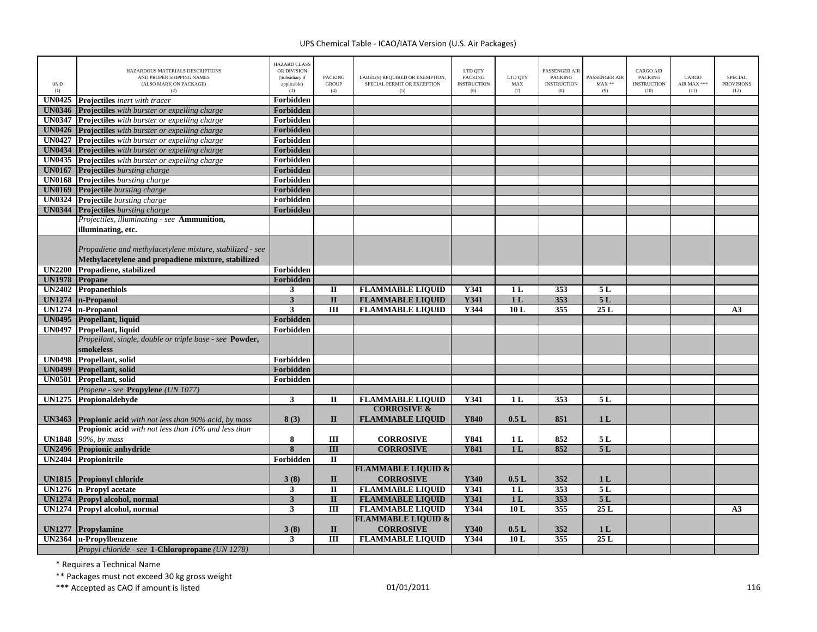| <b>UNID</b><br>(1) | HAZARDOUS MATERIALS DESCRIPTIONS<br>AND PROPER SHIPPING NAMES<br>(ALSO MARK ON PACKAGE)<br>(2) | <b>HAZARD CLASS</b><br>OR DIVISION<br>(Subsidiary if<br>applicable)<br>(3) | <b>PACKING</b><br><b>GROUP</b><br>(4) | LABEL(S) REQUIRED OR EXEMPTION,<br>SPECIAL PERMIT OR EXCEPTION<br>(5) | LTD QTY<br><b>PACKING</b><br><b>INSTRUCTION</b><br>(6) | LTD QTY<br>MAX<br>(7) | PASSENGER AIR<br><b>PACKING</b><br><b>INSTRUCTION</b><br>(8) | PASSENGER AIR<br>$MAX**$<br>(9) | <b>CARGO AIR</b><br><b>PACKING</b><br><b>INSTRUCTION</b><br>(10) | CARGO<br>AIR MAX ***<br>(11) | <b>SPECIAL</b><br><b>PROVISIONS</b><br>(12) |
|--------------------|------------------------------------------------------------------------------------------------|----------------------------------------------------------------------------|---------------------------------------|-----------------------------------------------------------------------|--------------------------------------------------------|-----------------------|--------------------------------------------------------------|---------------------------------|------------------------------------------------------------------|------------------------------|---------------------------------------------|
| <b>UN0425</b>      | <b>Projectiles</b> inert with tracer                                                           | Forbidden                                                                  |                                       |                                                                       |                                                        |                       |                                                              |                                 |                                                                  |                              |                                             |
|                    | <b>UN0346</b> Projectiles with burster or expelling charge                                     | <b>Forbidden</b>                                                           |                                       |                                                                       |                                                        |                       |                                                              |                                 |                                                                  |                              |                                             |
|                    | <b>UN0347</b> Projectiles with burster or expelling charge                                     | Forbidden                                                                  |                                       |                                                                       |                                                        |                       |                                                              |                                 |                                                                  |                              |                                             |
|                    | <b>UN0426</b> Projectiles with burster or expelling charge                                     | Forbidden                                                                  |                                       |                                                                       |                                                        |                       |                                                              |                                 |                                                                  |                              |                                             |
|                    | <b>UN0427</b> Projectiles with burster or expelling charge                                     | Forbidden                                                                  |                                       |                                                                       |                                                        |                       |                                                              |                                 |                                                                  |                              |                                             |
|                    | <b>UN0434</b> Projectiles with burster or expelling charge                                     | Forbidden                                                                  |                                       |                                                                       |                                                        |                       |                                                              |                                 |                                                                  |                              |                                             |
|                    | <b>UN0435</b> Projectiles with burster or expelling charge                                     | Forbidden                                                                  |                                       |                                                                       |                                                        |                       |                                                              |                                 |                                                                  |                              |                                             |
|                    | <b>UN0167</b> Projectiles bursting charge                                                      | Forbidden                                                                  |                                       |                                                                       |                                                        |                       |                                                              |                                 |                                                                  |                              |                                             |
|                    | <b>UN0168</b> Projectiles bursting charge                                                      | Forbidden                                                                  |                                       |                                                                       |                                                        |                       |                                                              |                                 |                                                                  |                              |                                             |
|                    | <b>UN0169</b> Projectile bursting charge                                                       | Forbidden                                                                  |                                       |                                                                       |                                                        |                       |                                                              |                                 |                                                                  |                              |                                             |
|                    | <b>UN0324</b> Projectile bursting charge                                                       | Forbidden                                                                  |                                       |                                                                       |                                                        |                       |                                                              |                                 |                                                                  |                              |                                             |
|                    | <b>UN0344</b> Projectiles bursting charge                                                      | Forbidden                                                                  |                                       |                                                                       |                                                        |                       |                                                              |                                 |                                                                  |                              |                                             |
|                    | Projectiles, illuminating - see Ammunition,                                                    |                                                                            |                                       |                                                                       |                                                        |                       |                                                              |                                 |                                                                  |                              |                                             |
|                    | illuminating, etc.                                                                             |                                                                            |                                       |                                                                       |                                                        |                       |                                                              |                                 |                                                                  |                              |                                             |
|                    |                                                                                                |                                                                            |                                       |                                                                       |                                                        |                       |                                                              |                                 |                                                                  |                              |                                             |
|                    | Propadiene and methylacetylene mixture, stabilized - see                                       |                                                                            |                                       |                                                                       |                                                        |                       |                                                              |                                 |                                                                  |                              |                                             |
|                    | Methylacetylene and propadiene mixture, stabilized                                             |                                                                            |                                       |                                                                       |                                                        |                       |                                                              |                                 |                                                                  |                              |                                             |
|                    | UN2200 Propadiene, stabilized                                                                  | Forbidden                                                                  |                                       |                                                                       |                                                        |                       |                                                              |                                 |                                                                  |                              |                                             |
| UN1978 Propane     |                                                                                                | Forbidden                                                                  |                                       |                                                                       |                                                        |                       |                                                              |                                 |                                                                  |                              |                                             |
|                    | UN2402 Propanethiols                                                                           | 3                                                                          | $\mathbf{I}$                          | <b>FLAMMABLE LIQUID</b>                                               | Y341                                                   | 1L                    | 353                                                          | 5 L                             |                                                                  |                              |                                             |
|                    | UN1274   n-Propanol                                                                            | $\mathbf{3}$                                                               | $\overline{\mathbf{u}}$               | <b>FLAMMABLE LIQUID</b>                                               | <b>Y341</b>                                            | 1 <sub>L</sub>        | 353                                                          | 5L                              |                                                                  |                              |                                             |
|                    | UN1274 n-Propanol                                                                              | 3                                                                          | $\overline{III}$                      | <b>FLAMMABLE LIQUID</b>                                               | Y344                                                   | 10L                   | 355                                                          | 25L                             |                                                                  |                              | A <sub>3</sub>                              |
|                    | <b>UN0495</b> Propellant, liquid                                                               | Forbidden                                                                  |                                       |                                                                       |                                                        |                       |                                                              |                                 |                                                                  |                              |                                             |
|                    |                                                                                                | Forbidden                                                                  |                                       |                                                                       |                                                        |                       |                                                              |                                 |                                                                  |                              |                                             |
|                    | UN0497 Propellant, liquid<br>Propellant, single, double or triple base - see Powder,           |                                                                            |                                       |                                                                       |                                                        |                       |                                                              |                                 |                                                                  |                              |                                             |
|                    |                                                                                                |                                                                            |                                       |                                                                       |                                                        |                       |                                                              |                                 |                                                                  |                              |                                             |
|                    | smokeless                                                                                      |                                                                            |                                       |                                                                       |                                                        |                       |                                                              |                                 |                                                                  |                              |                                             |
|                    | <b>UN0498</b> Propellant, solid                                                                | Forbidden                                                                  |                                       |                                                                       |                                                        |                       |                                                              |                                 |                                                                  |                              |                                             |
| <b>UN0499</b>      | Propellant, solid                                                                              | Forbidden                                                                  |                                       |                                                                       |                                                        |                       |                                                              |                                 |                                                                  |                              |                                             |
|                    | UN0501 Propellant, solid                                                                       | Forbidden                                                                  |                                       |                                                                       |                                                        |                       |                                                              |                                 |                                                                  |                              |                                             |
|                    | Propene - see Propylene (UN 1077)                                                              |                                                                            |                                       |                                                                       |                                                        |                       |                                                              |                                 |                                                                  |                              |                                             |
|                    | UN1275 Propionaldehyde                                                                         | 3                                                                          | п                                     | <b>FLAMMABLE LIQUID</b>                                               | Y341                                                   | 1L                    | 353                                                          | 5 L                             |                                                                  |                              |                                             |
|                    |                                                                                                |                                                                            |                                       | <b>CORROSIVE &amp;</b>                                                |                                                        |                       |                                                              |                                 |                                                                  |                              |                                             |
| <b>UN3463</b>      | <b>Propionic acid</b> with not less than 90% acid, by mass                                     | 8(3)                                                                       | $\mathbf{I}$                          | <b>FLAMMABLE LIQUID</b>                                               | Y840                                                   | 0.5L                  | 851                                                          | 1 <sub>L</sub>                  |                                                                  |                              |                                             |
|                    | <b>Propionic acid</b> with not less than 10% and less than                                     |                                                                            |                                       |                                                                       |                                                        |                       |                                                              |                                 |                                                                  |                              |                                             |
| <b>UN1848</b>      | 90%, by mass                                                                                   | 8                                                                          | Ш                                     | <b>CORROSIVE</b>                                                      | Y841                                                   | 1 <sub>L</sub>        | 852                                                          | 5 L                             |                                                                  |                              |                                             |
|                    | UN2496 Propionic anhydride                                                                     | 8                                                                          | $\mathbf{III}$                        | <b>CORROSIVE</b>                                                      | <b>Y841</b>                                            | 1 <sub>L</sub>        | 852                                                          | 5L                              |                                                                  |                              |                                             |
|                    | UN2404 Propionitrile                                                                           | Forbidden                                                                  | $\mathbf{I}$                          |                                                                       |                                                        |                       |                                                              |                                 |                                                                  |                              |                                             |
|                    |                                                                                                |                                                                            |                                       | <b>FLAMMABLE LIQUID &amp;</b>                                         |                                                        |                       |                                                              |                                 |                                                                  |                              |                                             |
|                    | <b>UN1815</b> Propionyl chloride                                                               | 3(8)                                                                       | $\mathbf{I}$                          | <b>CORROSIVE</b>                                                      | Y340                                                   | 0.5L                  | 352                                                          | 1 <sub>L</sub>                  |                                                                  |                              |                                             |
|                    | UN1276 n-Propyl acetate                                                                        | 3                                                                          | $\mathbf{I}$                          | <b>FLAMMABLE LIQUID</b>                                               | Y341                                                   | 1 <sub>L</sub>        | 353                                                          | 5L                              |                                                                  |                              |                                             |
|                    | <b>UN1274</b> Propyl alcohol, normal                                                           | $\mathbf{3}$                                                               | $\mathbf{I}$                          | <b>FLAMMABLE LIQUID</b>                                               | <b>Y341</b>                                            | 1L                    | 353                                                          | 5L                              |                                                                  |                              |                                             |
|                    | UN1274 Propyl alcohol, normal                                                                  | 3                                                                          | Ш                                     | <b>FLAMMABLE LIQUID</b>                                               | Y344                                                   | 10L                   | 355                                                          | 25L                             |                                                                  |                              | A <sub>3</sub>                              |
|                    |                                                                                                |                                                                            |                                       | <b>FLAMMABLE LIQUID &amp;</b>                                         |                                                        |                       |                                                              |                                 |                                                                  |                              |                                             |
| <b>UN1277</b>      | Propylamine                                                                                    | 3(8)                                                                       | $\mathbf{I}$                          | <b>CORROSIVE</b>                                                      | Y340                                                   | 0.5L                  | 352                                                          | 1 <sub>L</sub>                  |                                                                  |                              |                                             |
|                    | UN2364   n-Propylbenzene                                                                       | $\mathbf{3}$                                                               | III                                   | <b>FLAMMABLE LIQUID</b>                                               | Y344                                                   | 10L                   | 355                                                          | 25L                             |                                                                  |                              |                                             |
|                    | Propyl chloride - see 1-Chloropropane (UN 1278)                                                |                                                                            |                                       |                                                                       |                                                        |                       |                                                              |                                 |                                                                  |                              |                                             |

\* Requires <sup>a</sup> Technical Name

\*\* Packages must not exceed 30 kg gross weight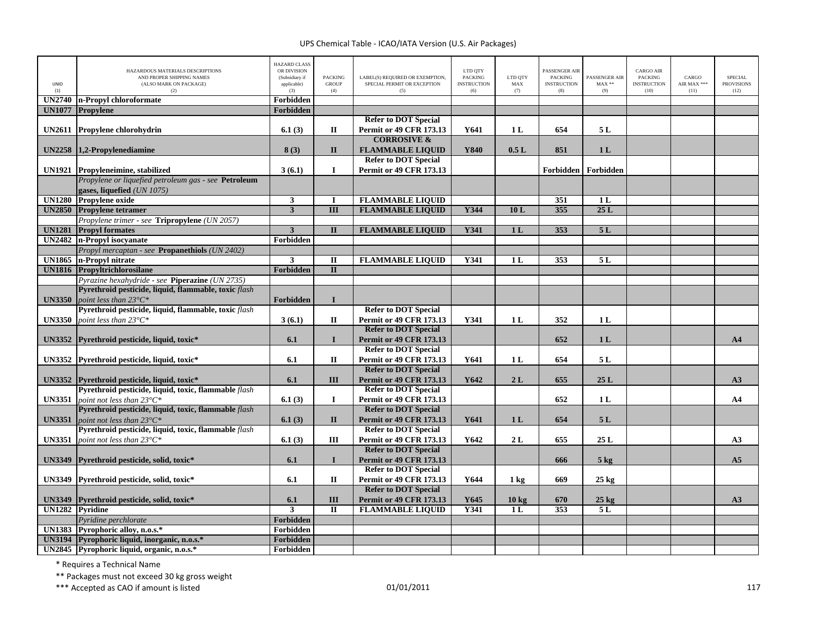| <b>UNID</b><br>(1) | HAZARDOUS MATERIALS DESCRIPTIONS<br>AND PROPER SHIPPING NAMES<br>(ALSO MARK ON PACKAGE)<br>(2) | <b>HAZARD CLASS</b><br>OR DIVISION<br>(Subsidiary if<br>applicable)<br>(3) | PACKING<br><b>GROUP</b><br>(4) | LABEL(S) REQUIRED OR EXEMPTION,<br>SPECIAL PERMIT OR EXCEPTION<br>(5) | LTD QTY<br><b>PACKING</b><br><b>INSTRUCTION</b><br>(6) | LTD QTY<br>MAX<br>(7) | PASSENGER AIR<br><b>PACKING</b><br><b>INSTRUCTION</b><br>(8) | PASSENGER AIR<br>$MAX**$<br>(9) | <b>CARGO AIR</b><br>PACKING<br><b>INSTRUCTION</b><br>(10) | CARGO<br>AIR MAX ***<br>(11) | SPECIAL<br><b>PROVISIONS</b><br>(12) |
|--------------------|------------------------------------------------------------------------------------------------|----------------------------------------------------------------------------|--------------------------------|-----------------------------------------------------------------------|--------------------------------------------------------|-----------------------|--------------------------------------------------------------|---------------------------------|-----------------------------------------------------------|------------------------------|--------------------------------------|
|                    | UN2740 n-Propyl chloroformate                                                                  | Forbidden                                                                  |                                |                                                                       |                                                        |                       |                                                              |                                 |                                                           |                              |                                      |
| <b>UN1077</b>      | Propylene                                                                                      | Forbidden                                                                  |                                |                                                                       |                                                        |                       |                                                              |                                 |                                                           |                              |                                      |
|                    |                                                                                                |                                                                            |                                | <b>Refer to DOT Special</b>                                           |                                                        |                       |                                                              |                                 |                                                           |                              |                                      |
|                    | UN2611 Propylene chlorohydrin                                                                  | 6.1(3)                                                                     | П                              | <b>Permit or 49 CFR 173.13</b>                                        | Y641                                                   | 1 <sub>L</sub>        | 654                                                          | 5L                              |                                                           |                              |                                      |
|                    |                                                                                                |                                                                            |                                | <b>CORROSIVE &amp;</b>                                                |                                                        |                       |                                                              |                                 |                                                           |                              |                                      |
|                    | UN2258 1.2-Propylenediamine                                                                    | 8(3)                                                                       | $\mathbf{I}$                   | <b>FLAMMABLE LIQUID</b>                                               | Y840                                                   | 0.5L                  | 851                                                          | 1 <sub>L</sub>                  |                                                           |                              |                                      |
|                    |                                                                                                |                                                                            |                                | <b>Refer to DOT Special</b>                                           |                                                        |                       |                                                              |                                 |                                                           |                              |                                      |
|                    | UN1921 Propyleneimine, stabilized                                                              | 3(6.1)                                                                     | $\mathbf I$                    | <b>Permit or 49 CFR 173.13</b>                                        |                                                        |                       |                                                              | Forbidden   Forbidden           |                                                           |                              |                                      |
|                    | Propylene or liquefied petroleum gas - see Petroleum                                           |                                                                            |                                |                                                                       |                                                        |                       |                                                              |                                 |                                                           |                              |                                      |
|                    | gases, liquefied (UN 1075)                                                                     |                                                                            |                                |                                                                       |                                                        |                       |                                                              |                                 |                                                           |                              |                                      |
|                    | <b>UN1280</b> Propylene oxide                                                                  | $\overline{\mathbf{3}}$                                                    | <b>I</b>                       | <b>FLAMMABLE LIQUID</b>                                               |                                                        |                       | 351                                                          | 1 <sub>L</sub>                  |                                                           |                              |                                      |
|                    | UN2850 Propylene tetramer                                                                      | $\overline{\mathbf{3}}$                                                    | $\overline{III}$               | <b>FLAMMABLE LIQUID</b>                                               | Y344                                                   | 10L                   | 355                                                          | 25L                             |                                                           |                              |                                      |
|                    | Propylene trimer - see Tripropylene (UN 2057)                                                  |                                                                            |                                |                                                                       |                                                        |                       |                                                              |                                 |                                                           |                              |                                      |
|                    | <b>UN1281</b> Propyl formates                                                                  | $\overline{\mathbf{3}}$                                                    | $\overline{\mathbf{u}}$        | <b>FLAMMABLE LIQUID</b>                                               | Y341                                                   | 1 <sub>L</sub>        | 353                                                          | 5L                              |                                                           |                              |                                      |
|                    | UN2482 n-Propyl isocyanate                                                                     | Forbidden                                                                  |                                |                                                                       |                                                        |                       |                                                              |                                 |                                                           |                              |                                      |
|                    | Propyl mercaptan - see Propanethiols (UN 2402)                                                 |                                                                            |                                |                                                                       |                                                        |                       |                                                              |                                 |                                                           |                              |                                      |
| <b>UN1865</b>      | n-Propyl nitrate                                                                               | $\mathbf{3}$                                                               | $\mathbf{I}$                   | <b>FLAMMABLE LIQUID</b>                                               | Y341                                                   | 1 <sub>L</sub>        | 353                                                          | 5L                              |                                                           |                              |                                      |
|                    | <b>UN1816</b> Propyltrichlorosilane                                                            | Forbidden                                                                  | $\overline{\mathbf{u}}$        |                                                                       |                                                        |                       |                                                              |                                 |                                                           |                              |                                      |
|                    | Pyrazine hexahydride - see Piperazine (UN 2735)                                                |                                                                            |                                |                                                                       |                                                        |                       |                                                              |                                 |                                                           |                              |                                      |
|                    | Pyrethroid pesticide, liquid, flammable, toxic flash                                           |                                                                            |                                |                                                                       |                                                        |                       |                                                              |                                 |                                                           |                              |                                      |
| <b>UN3350</b>      | point less than $23^{\circ}C^*$                                                                | Forbidden                                                                  | $\mathbf I$                    |                                                                       |                                                        |                       |                                                              |                                 |                                                           |                              |                                      |
|                    | Pyrethroid pesticide, liquid, flammable, toxic flash                                           |                                                                            |                                | <b>Refer to DOT Special</b>                                           |                                                        |                       |                                                              |                                 |                                                           |                              |                                      |
| <b>UN3350</b>      | point less than $23^{\circ}C^*$                                                                | 3(6.1)                                                                     | П                              | <b>Permit or 49 CFR 173.13</b>                                        | Y341                                                   | 1 <sub>L</sub>        | 352                                                          | 1 <sub>L</sub>                  |                                                           |                              |                                      |
|                    |                                                                                                |                                                                            |                                | <b>Refer to DOT Special</b>                                           |                                                        |                       |                                                              |                                 |                                                           |                              |                                      |
|                    | UN3352 Pyrethroid pesticide, liquid, toxic*                                                    | 6.1                                                                        | $\mathbf{I}$                   | <b>Permit or 49 CFR 173.13</b>                                        |                                                        |                       | 652                                                          | 1 <sub>L</sub>                  |                                                           |                              | A <sub>4</sub>                       |
|                    |                                                                                                |                                                                            |                                | <b>Refer to DOT Special</b>                                           |                                                        |                       |                                                              |                                 |                                                           |                              |                                      |
|                    | UN3352 Pyrethroid pesticide, liquid, toxic*                                                    | 6.1                                                                        | П                              | <b>Permit or 49 CFR 173.13</b>                                        | Y641                                                   | 1 <sub>L</sub>        | 654                                                          | 5 L                             |                                                           |                              |                                      |
|                    |                                                                                                |                                                                            |                                | <b>Refer to DOT Special</b>                                           |                                                        |                       |                                                              |                                 |                                                           |                              |                                      |
|                    | UN3352 Pyrethroid pesticide, liquid, toxic*                                                    | 6.1                                                                        | III                            | <b>Permit or 49 CFR 173.13</b>                                        | Y642                                                   | 2L                    | 655                                                          | 25L                             |                                                           |                              | A3                                   |
|                    | Pyrethroid pesticide, liquid, toxic, flammable flash                                           |                                                                            |                                | <b>Refer to DOT Special</b>                                           |                                                        |                       |                                                              |                                 |                                                           |                              |                                      |
| <b>UN3351</b>      | point not less than $23^{\circ}C^*$                                                            | 6.1(3)                                                                     | $\bf{I}$                       | <b>Permit or 49 CFR 173.13</b>                                        |                                                        |                       | 652                                                          | 1 <sub>L</sub>                  |                                                           |                              | A <sub>4</sub>                       |
|                    | Pyrethroid pesticide, liquid, toxic, flammable flash                                           |                                                                            |                                | <b>Refer to DOT Special</b>                                           |                                                        |                       |                                                              |                                 |                                                           |                              |                                      |
| <b>UN3351</b>      | point not less than $23^{\circ}C^*$<br>Pyrethroid pesticide, liquid, toxic, flammable flash    | 6.1(3)                                                                     | $\mathbf{I}$                   | <b>Permit or 49 CFR 173.13</b><br><b>Refer to DOT Special</b>         | Y641                                                   | 1 <sub>L</sub>        | 654                                                          | 5L                              |                                                           |                              |                                      |
|                    |                                                                                                |                                                                            |                                |                                                                       |                                                        |                       |                                                              |                                 |                                                           |                              |                                      |
| <b>UN3351</b>      | point not less than $23^{\circ}C^*$                                                            | 6.1(3)                                                                     | Ш                              | <b>Permit or 49 CFR 173.13</b><br><b>Refer to DOT Special</b>         | Y642                                                   | 2L                    | 655                                                          | 25L                             |                                                           |                              | A3                                   |
|                    |                                                                                                |                                                                            | $\mathbf{I}$                   | <b>Permit or 49 CFR 173.13</b>                                        |                                                        |                       |                                                              |                                 |                                                           |                              | A5                                   |
|                    | UN3349 Pyrethroid pesticide, solid, toxic*                                                     | 6.1                                                                        |                                | <b>Refer to DOT Special</b>                                           |                                                        |                       | 666                                                          | $5$ kg                          |                                                           |                              |                                      |
|                    | UN3349 Pyrethroid pesticide, solid, toxic*                                                     | 6.1                                                                        | П                              | <b>Permit or 49 CFR 173.13</b>                                        | Y644                                                   |                       | 669                                                          | $25 \text{ kg}$                 |                                                           |                              |                                      |
|                    |                                                                                                |                                                                            |                                | <b>Refer to DOT Special</b>                                           |                                                        | $1 \text{ kg}$        |                                                              |                                 |                                                           |                              |                                      |
| <b>UN3349</b>      | Pyrethroid pesticide, solid, toxic*                                                            | 6.1                                                                        | III                            | <b>Permit or 49 CFR 173.13</b>                                        | Y645                                                   | 10 kg                 | 670                                                          | $25 \text{ kg}$                 |                                                           |                              | A3                                   |
|                    | UN1282 Pyridine                                                                                | $\mathbf{3}$                                                               | П                              | <b>FLAMMABLE LIQUID</b>                                               | <b>Y341</b>                                            | 1 <sub>L</sub>        | 353                                                          | 5 L                             |                                                           |                              |                                      |
|                    | Pyridine perchlorate                                                                           | Forbidden                                                                  |                                |                                                                       |                                                        |                       |                                                              |                                 |                                                           |                              |                                      |
|                    | UN1383 Pyrophoric alloy, n.o.s.*                                                               | Forbidden                                                                  |                                |                                                                       |                                                        |                       |                                                              |                                 |                                                           |                              |                                      |
|                    | UN3194 Pyrophoric liquid, inorganic, n.o.s.*                                                   | Forbidden                                                                  |                                |                                                                       |                                                        |                       |                                                              |                                 |                                                           |                              |                                      |
|                    | UN2845 Pyrophoric liquid, organic, n.o.s.*                                                     | Forbidden                                                                  |                                |                                                                       |                                                        |                       |                                                              |                                 |                                                           |                              |                                      |

\* Requires <sup>a</sup> Technical Name

\*\* Packages must not exceed 30 kg gross weight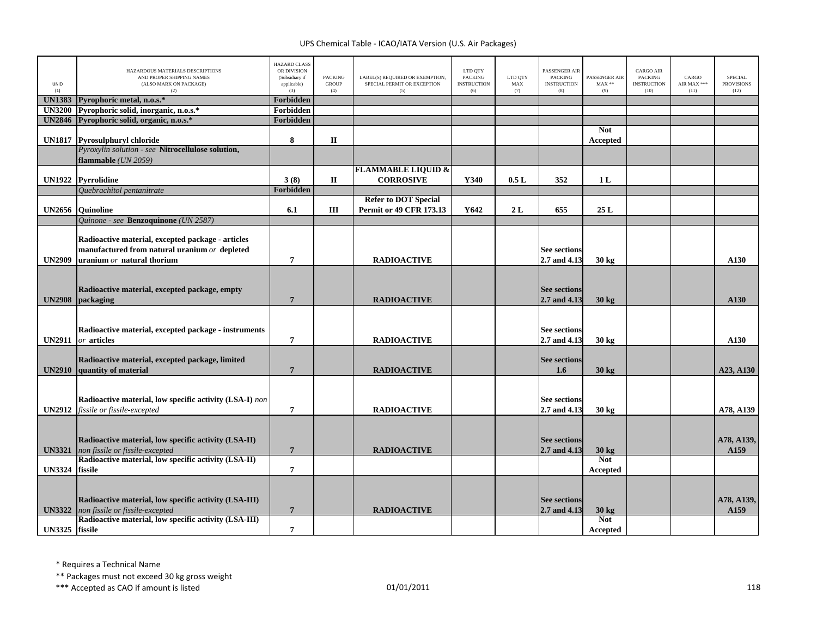| UNID<br>(1)    | HAZARDOUS MATERIALS DESCRIPTIONS<br>AND PROPER SHIPPING NAMES<br>(ALSO MARK ON PACKAGE)<br>(2)                                                    | <b>HAZARD CLASS</b><br>OR DIVISION<br>(Subsidiary if<br>applicable)<br>(3) | <b>PACKING</b><br><b>GROUP</b><br>(4) | LABEL(S) REQUIRED OR EXEMPTION,<br>SPECIAL PERMIT OR EXCEPTION<br>(5) | LTD OTY<br><b>PACKING</b><br><b>INSTRUCTION</b><br>(6) | LTD QTY<br>MAX<br>(7) | PASSENGER AIR<br><b>PACKING</b><br><b>INSTRUCTION</b><br>(8) | PASSENGER AIR<br>$MAX**$<br>(9) | <b>CARGO AIR</b><br>PACKING<br><b>INSTRUCTION</b><br>(10) | CARGO<br>AIR MAX ***<br>(11) | <b>SPECIAL</b><br><b>PROVISIONS</b><br>(12) |
|----------------|---------------------------------------------------------------------------------------------------------------------------------------------------|----------------------------------------------------------------------------|---------------------------------------|-----------------------------------------------------------------------|--------------------------------------------------------|-----------------------|--------------------------------------------------------------|---------------------------------|-----------------------------------------------------------|------------------------------|---------------------------------------------|
| <b>UN1383</b>  | Pyrophoric metal, n.o.s.*                                                                                                                         | Forbidden                                                                  |                                       |                                                                       |                                                        |                       |                                                              |                                 |                                                           |                              |                                             |
| <b>UN3200</b>  | Pyrophoric solid, inorganic, n.o.s.*                                                                                                              | Forbidden                                                                  |                                       |                                                                       |                                                        |                       |                                                              |                                 |                                                           |                              |                                             |
| <b>UN2846</b>  | Pyrophoric solid, organic, n.o.s.*                                                                                                                | Forbidden                                                                  |                                       |                                                                       |                                                        |                       |                                                              |                                 |                                                           |                              |                                             |
|                |                                                                                                                                                   |                                                                            |                                       |                                                                       |                                                        |                       |                                                              | <b>Not</b>                      |                                                           |                              |                                             |
|                | UN1817 Pyrosulphuryl chloride                                                                                                                     | 8                                                                          | $\mathbf{I}$                          |                                                                       |                                                        |                       |                                                              | Accepted                        |                                                           |                              |                                             |
|                | Pyroxylin solution - see Nitrocellulose solution,                                                                                                 |                                                                            |                                       |                                                                       |                                                        |                       |                                                              |                                 |                                                           |                              |                                             |
|                | flammable (UN 2059)                                                                                                                               |                                                                            |                                       |                                                                       |                                                        |                       |                                                              |                                 |                                                           |                              |                                             |
|                |                                                                                                                                                   |                                                                            |                                       | <b>FLAMMABLE LIQUID &amp;</b>                                         |                                                        |                       |                                                              |                                 |                                                           |                              |                                             |
|                | UN1922 Pyrrolidine                                                                                                                                | 3(8)                                                                       | П                                     | <b>CORROSIVE</b>                                                      | Y340                                                   | 0.5L                  | 352                                                          | 1 <sub>L</sub>                  |                                                           |                              |                                             |
|                | Quebrachitol pentanitrate                                                                                                                         | <b>Forbidden</b>                                                           |                                       |                                                                       |                                                        |                       |                                                              |                                 |                                                           |                              |                                             |
|                |                                                                                                                                                   |                                                                            |                                       | <b>Refer to DOT Special</b>                                           |                                                        |                       |                                                              |                                 |                                                           |                              |                                             |
| <b>UN2656</b>  | <b>Ouinoline</b>                                                                                                                                  | 6.1                                                                        | Ш                                     | <b>Permit or 49 CFR 173.13</b>                                        | Y642                                                   | 2L                    | 655                                                          | 25 L                            |                                                           |                              |                                             |
|                | Quinone - see Benzoquinone (UN 2587)                                                                                                              |                                                                            |                                       |                                                                       |                                                        |                       |                                                              |                                 |                                                           |                              |                                             |
|                | Radioactive material, excepted package - articles<br>manufactured from natural uranium $or$ depleted                                              |                                                                            |                                       |                                                                       |                                                        |                       | <b>See sections</b>                                          |                                 |                                                           |                              |                                             |
| <b>UN2909</b>  | uranium $or$ natural thorium                                                                                                                      | $7\phantom{.0}$                                                            |                                       | <b>RADIOACTIVE</b>                                                    |                                                        |                       | 2.7 and 4.13                                                 | 30 kg                           |                                                           |                              | A130                                        |
| <b>UN2908</b>  | Radioactive material, excepted package, empty<br>packaging                                                                                        | $\overline{7}$                                                             |                                       | <b>RADIOACTIVE</b>                                                    |                                                        |                       | <b>See sections</b><br>2.7 and 4.13                          | $30 \text{ kg}$                 |                                                           |                              | A130                                        |
| <b>UN2911</b>  | Radioactive material, excepted package - instruments<br>or articles                                                                               | $\overline{7}$                                                             |                                       | <b>RADIOACTIVE</b>                                                    |                                                        |                       | <b>See sections</b><br>2.7 and 4.13                          | $30 \text{ kg}$                 |                                                           |                              | A130                                        |
|                | Radioactive material, excepted package, limited                                                                                                   |                                                                            |                                       |                                                                       |                                                        |                       | <b>See sections</b>                                          |                                 |                                                           |                              |                                             |
| <b>UN2910</b>  | quantity of material                                                                                                                              | $7\phantom{.0}$                                                            |                                       | <b>RADIOACTIVE</b>                                                    |                                                        |                       | 1.6                                                          | $30 \text{ kg}$                 |                                                           |                              | A23, A130                                   |
|                | Radioactive material, low specific activity (LSA-I) non                                                                                           |                                                                            |                                       |                                                                       |                                                        |                       | <b>See sections</b>                                          |                                 |                                                           |                              |                                             |
| <b>UN2912</b>  | fissile or fissile-excepted                                                                                                                       | $7\phantom{.0}$                                                            |                                       | <b>RADIOACTIVE</b>                                                    |                                                        |                       | 2.7 and 4.13                                                 | 30 kg                           |                                                           |                              | A78, A139                                   |
| <b>UN3321</b>  | Radioactive material, low specific activity (LSA-II)<br>non fissile or fissile-excepted                                                           | $7\phantom{.0}$                                                            |                                       | <b>RADIOACTIVE</b>                                                    |                                                        |                       | <b>See sections</b><br>2.7 and 4.13                          | $30 \text{ kg}$                 |                                                           |                              | A78, A139,<br>A159                          |
|                | Radioactive material, low specific activity (LSA-II)                                                                                              |                                                                            |                                       |                                                                       |                                                        |                       |                                                              | <b>Not</b>                      |                                                           |                              |                                             |
| <b>UN3324</b>  | fissile                                                                                                                                           | $\overline{7}$                                                             |                                       |                                                                       |                                                        |                       |                                                              | Accepted                        |                                                           |                              |                                             |
| <b>UN3322</b>  | Radioactive material, low specific activity (LSA-III)<br>non fissile or fissile-excepted<br>Radioactive material, low specific activity (LSA-III) | $\overline{7}$                                                             |                                       | <b>RADIOACTIVE</b>                                                    |                                                        |                       | <b>See sections</b><br>2.7 and 4.13                          | $30 \text{ kg}$<br><b>Not</b>   |                                                           |                              | A78, A139,<br>A159                          |
|                |                                                                                                                                                   |                                                                            |                                       |                                                                       |                                                        |                       |                                                              |                                 |                                                           |                              |                                             |
| UN3325 fissile |                                                                                                                                                   | $\overline{7}$                                                             |                                       |                                                                       |                                                        |                       |                                                              | Accepted                        |                                                           |                              |                                             |

\* Requires <sup>a</sup> Technical Name

\*\* Packages must not exceed 30 kg gross weight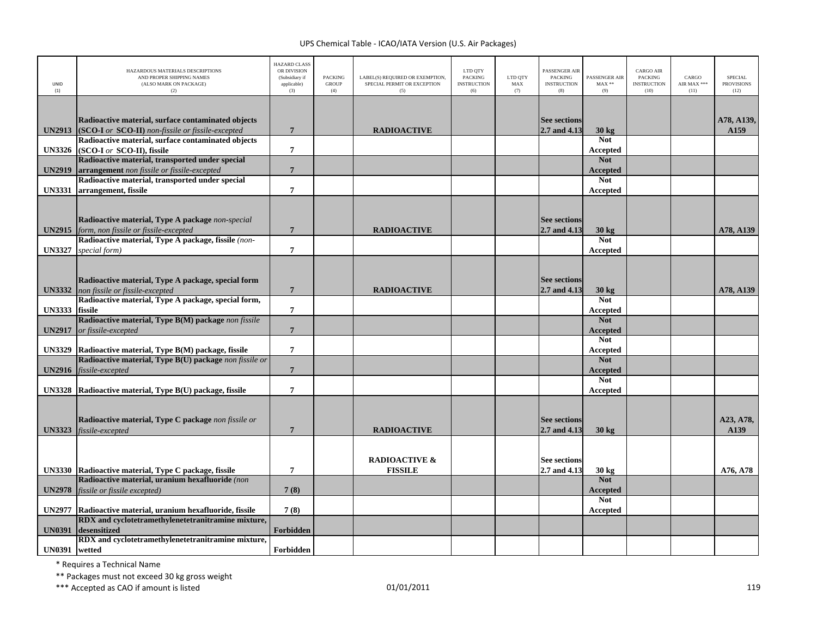| UNID<br>(1)   | HAZARDOUS MATERIALS DESCRIPTIONS<br>AND PROPER SHIPPING NAMES<br>(ALSO MARK ON PACKAGE)<br>(2)          | <b>HAZARD CLASS</b><br>OR DIVISION<br>(Subsidiary if<br>applicable)<br>(3) | <b>PACKING</b><br><b>GROUP</b><br>(4) | LABEL(S) REQUIRED OR EXEMPTION,<br>SPECIAL PERMIT OR EXCEPTION<br>(5) | LTD QTY<br><b>PACKING</b><br><b>INSTRUCTION</b><br>(6) | LTD QTY<br>MAX<br>(7) | PASSENGER AIR<br><b>PACKING</b><br><b>INSTRUCTION</b><br>(8) | PASSENGER AIR<br>$MAX**$<br>(9) | <b>CARGO AIR</b><br><b>PACKING</b><br><b>INSTRUCTION</b><br>(10) | CARGO<br>AIR MAX ***<br>(11) | <b>SPECIAL</b><br><b>PROVISIONS</b><br>(12) |
|---------------|---------------------------------------------------------------------------------------------------------|----------------------------------------------------------------------------|---------------------------------------|-----------------------------------------------------------------------|--------------------------------------------------------|-----------------------|--------------------------------------------------------------|---------------------------------|------------------------------------------------------------------|------------------------------|---------------------------------------------|
|               |                                                                                                         |                                                                            |                                       |                                                                       |                                                        |                       |                                                              |                                 |                                                                  |                              |                                             |
|               | Radioactive material, surface contaminated objects                                                      |                                                                            |                                       |                                                                       |                                                        |                       | <b>See sections</b>                                          |                                 |                                                                  |                              | A78, A139,                                  |
| <b>UN2913</b> | (SCO-I or SCO-II) non-fissile or fissile-excepted<br>Radioactive material, surface contaminated objects | $7\phantom{.0}$                                                            |                                       | <b>RADIOACTIVE</b>                                                    |                                                        |                       | 2.7 and 4.13                                                 | 30 kg<br><b>Not</b>             |                                                                  |                              | A159                                        |
|               | UN3326 (SCO-I or SCO-II), fissile                                                                       | $\overline{7}$                                                             |                                       |                                                                       |                                                        |                       |                                                              | Accepted                        |                                                                  |                              |                                             |
|               | Radioactive material, transported under special                                                         |                                                                            |                                       |                                                                       |                                                        |                       |                                                              | <b>Not</b>                      |                                                                  |                              |                                             |
| <b>UN2919</b> | arrangement non fissile or fissile-excepted                                                             | $7\overline{ }$                                                            |                                       |                                                                       |                                                        |                       |                                                              | <b>Accepted</b>                 |                                                                  |                              |                                             |
| <b>UN3331</b> | Radioactive material, transported under special<br>arrangement, fissile                                 | $\overline{7}$                                                             |                                       |                                                                       |                                                        |                       |                                                              | <b>Not</b>                      |                                                                  |                              |                                             |
|               |                                                                                                         |                                                                            |                                       |                                                                       |                                                        |                       |                                                              | Accepted                        |                                                                  |                              |                                             |
|               |                                                                                                         |                                                                            |                                       |                                                                       |                                                        |                       |                                                              |                                 |                                                                  |                              |                                             |
|               | Radioactive material, Type A package non-special                                                        |                                                                            |                                       |                                                                       |                                                        |                       | <b>See sections</b>                                          |                                 |                                                                  |                              |                                             |
| <b>UN2915</b> | form, non fissile or fissile-excepted<br>Radioactive material, Type A package, fissile (non-            | $7\phantom{.0}$                                                            |                                       | <b>RADIOACTIVE</b>                                                    |                                                        |                       | 2.7 and 4.13                                                 | 30 kg<br><b>Not</b>             |                                                                  |                              | A78, A139                                   |
| <b>UN3327</b> | special form)                                                                                           | $\overline{7}$                                                             |                                       |                                                                       |                                                        |                       |                                                              | Accepted                        |                                                                  |                              |                                             |
|               |                                                                                                         |                                                                            |                                       |                                                                       |                                                        |                       |                                                              |                                 |                                                                  |                              |                                             |
|               |                                                                                                         |                                                                            |                                       |                                                                       |                                                        |                       |                                                              |                                 |                                                                  |                              |                                             |
| <b>UN3332</b> | Radioactive material, Type A package, special form<br>non fissile or fissile-excepted                   | $\overline{7}$                                                             |                                       | <b>RADIOACTIVE</b>                                                    |                                                        |                       | <b>See sections</b><br>2.7 and 4.13                          | $30 \text{ kg}$                 |                                                                  |                              | A78, A139                                   |
|               | Radioactive material, Type A package, special form,                                                     |                                                                            |                                       |                                                                       |                                                        |                       |                                                              | <b>Not</b>                      |                                                                  |                              |                                             |
| <b>UN3333</b> | fissile                                                                                                 | $\overline{7}$                                                             |                                       |                                                                       |                                                        |                       |                                                              | Accepted                        |                                                                  |                              |                                             |
|               | Radioactive material, Type B(M) package non fissile                                                     |                                                                            |                                       |                                                                       |                                                        |                       |                                                              | <b>Not</b>                      |                                                                  |                              |                                             |
| <b>UN2917</b> | or fissile-excepted                                                                                     | $7\phantom{.0}$                                                            |                                       |                                                                       |                                                        |                       |                                                              | <b>Accepted</b><br><b>Not</b>   |                                                                  |                              |                                             |
| <b>UN3329</b> | Radioactive material, Type B(M) package, fissile                                                        | $\overline{7}$                                                             |                                       |                                                                       |                                                        |                       |                                                              | Accepted                        |                                                                  |                              |                                             |
|               | Radioactive material, Type B(U) package non fissile or                                                  |                                                                            |                                       |                                                                       |                                                        |                       |                                                              | <b>Not</b>                      |                                                                  |                              |                                             |
| <b>UN2916</b> | fissile-excepted                                                                                        | $7\phantom{.0}$                                                            |                                       |                                                                       |                                                        |                       |                                                              | <b>Accepted</b>                 |                                                                  |                              |                                             |
|               | UN3328 Radioactive material, Type B(U) package, fissile                                                 | $\overline{7}$                                                             |                                       |                                                                       |                                                        |                       |                                                              | <b>Not</b><br>Accepted          |                                                                  |                              |                                             |
|               |                                                                                                         |                                                                            |                                       |                                                                       |                                                        |                       |                                                              |                                 |                                                                  |                              |                                             |
|               |                                                                                                         |                                                                            |                                       |                                                                       |                                                        |                       |                                                              |                                 |                                                                  |                              |                                             |
|               | Radioactive material, Type C package non fissile or                                                     |                                                                            |                                       |                                                                       |                                                        |                       | <b>See sections</b>                                          |                                 |                                                                  |                              | A23, A78,                                   |
| <b>UN3323</b> | fissile-excepted                                                                                        | $\overline{7}$                                                             |                                       | <b>RADIOACTIVE</b>                                                    |                                                        |                       | 2.7 and 4.13                                                 | $30 \text{ kg}$                 |                                                                  |                              | A139                                        |
|               |                                                                                                         |                                                                            |                                       |                                                                       |                                                        |                       |                                                              |                                 |                                                                  |                              |                                             |
|               |                                                                                                         |                                                                            |                                       | <b>RADIOACTIVE &amp;</b>                                              |                                                        |                       | <b>See sections</b>                                          |                                 |                                                                  |                              |                                             |
|               | UN3330 Radioactive material, Type C package, fissile                                                    | $\overline{7}$                                                             |                                       | <b>FISSILE</b>                                                        |                                                        |                       | 2.7 and 4.13                                                 | 30 kg                           |                                                                  |                              | A76, A78                                    |
| <b>UN2978</b> | Radioactive material, uranium hexafluoride (non<br>fissile or fissile excepted)                         | 7(8)                                                                       |                                       |                                                                       |                                                        |                       |                                                              | <b>Not</b><br>Accepted          |                                                                  |                              |                                             |
|               |                                                                                                         |                                                                            |                                       |                                                                       |                                                        |                       |                                                              | <b>Not</b>                      |                                                                  |                              |                                             |
| <b>UN2977</b> | Radioactive material, uranium hexafluoride, fissile                                                     | 7(8)                                                                       |                                       |                                                                       |                                                        |                       |                                                              | Accepted                        |                                                                  |                              |                                             |
|               | RDX and cyclotetramethylenetetranitramine mixture,                                                      |                                                                            |                                       |                                                                       |                                                        |                       |                                                              |                                 |                                                                  |                              |                                             |
| <b>UN0391</b> | desensitized<br>RDX and cyclotetramethylenetetranitramine mixture,                                      | Forbidden                                                                  |                                       |                                                                       |                                                        |                       |                                                              |                                 |                                                                  |                              |                                             |
| UN0391 wetted |                                                                                                         | Forbidden                                                                  |                                       |                                                                       |                                                        |                       |                                                              |                                 |                                                                  |                              |                                             |

\* Requires <sup>a</sup> Technical Name

\*\* Packages must not exceed 30 kg gross weight

\*\*\* Accepted as CAO if amount is listed 119 and the control of the control of the control of the control of the control of the control of the control of the control of the control of the control of the control of the contr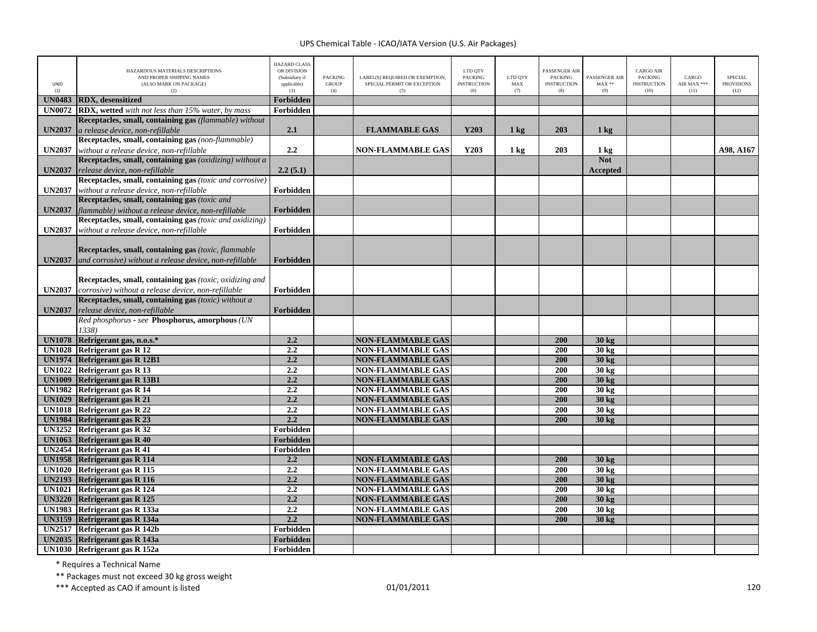| UNID<br>(1)                    | HAZARDOUS MATERIALS DESCRIPTIONS<br>AND PROPER SHIPPING NAMES<br>(ALSO MARK ON PACKAGE)<br>(2) | <b>HAZARD CLASS</b><br>OR DIVISION<br>(Subsidiary if<br>applicable)<br>(3) | <b>PACKING</b><br><b>GROUP</b><br>(4) | LABEL(S) REQUIRED OR EXEMPTION,<br>SPECIAL PERMIT OR EXCEPTION<br>(5) | LTD QTY<br><b>PACKING</b><br><b>INSTRUCTION</b><br>(6) | LTD OTY<br>MAX<br>(7) | PASSENGER AIR<br><b>PACKING</b><br><b>INSTRUCTION</b><br>(8) | PASSENGER AIR<br>$MAX**$<br>(9)    | <b>CARGO AIR</b><br><b>PACKING</b><br><b>INSTRUCTION</b><br>(10) | CARGO<br>AIR MAX ***<br>(11) | <b>SPECIAL</b><br><b>PROVISIONS</b><br>(12) |
|--------------------------------|------------------------------------------------------------------------------------------------|----------------------------------------------------------------------------|---------------------------------------|-----------------------------------------------------------------------|--------------------------------------------------------|-----------------------|--------------------------------------------------------------|------------------------------------|------------------------------------------------------------------|------------------------------|---------------------------------------------|
| <b>UN0483</b>                  | <b>RDX</b> , desensitized                                                                      | Forbidden                                                                  |                                       |                                                                       |                                                        |                       |                                                              |                                    |                                                                  |                              |                                             |
| <b>UN0072</b>                  | RDX, wetted with not less than 15% water, by mass                                              | Forbidden                                                                  |                                       |                                                                       |                                                        |                       |                                                              |                                    |                                                                  |                              |                                             |
|                                | Receptacles, small, containing gas (flammable) without                                         |                                                                            |                                       |                                                                       |                                                        |                       |                                                              |                                    |                                                                  |                              |                                             |
| <b>UN2037</b>                  | a release device, non-refillable                                                               | 2.1                                                                        |                                       | <b>FLAMMABLE GAS</b>                                                  | Y203                                                   | $1 \text{ kg}$        | 203                                                          | $1 \text{ kg}$                     |                                                                  |                              |                                             |
|                                | Receptacles, small, containing gas (non-flammable)                                             |                                                                            |                                       |                                                                       |                                                        |                       |                                                              |                                    |                                                                  |                              |                                             |
| <b>UN2037</b>                  | without a release device, non-refillable                                                       | 2.2                                                                        |                                       | <b>NON-FLAMMABLE GAS</b>                                              | Y203                                                   | 1 <sub>kg</sub>       | 203                                                          | $1 \text{ kg}$                     |                                                                  |                              | A98, A167                                   |
|                                | Receptacles, small, containing gas (oxidizing) without a                                       |                                                                            |                                       |                                                                       |                                                        |                       |                                                              | <b>Not</b>                         |                                                                  |                              |                                             |
| <b>UN2037</b>                  | release device, non-refillable<br>Receptacles, small, containing gas (toxic and corrosive)     | 2.2(5.1)                                                                   |                                       |                                                                       |                                                        |                       |                                                              | <b>Accepted</b>                    |                                                                  |                              |                                             |
|                                |                                                                                                |                                                                            |                                       |                                                                       |                                                        |                       |                                                              |                                    |                                                                  |                              |                                             |
| <b>UN2037</b>                  | without a release device, non-refillable<br>Receptacles, small, containing gas (toxic and      | Forbidden                                                                  |                                       |                                                                       |                                                        |                       |                                                              |                                    |                                                                  |                              |                                             |
| <b>UN2037</b>                  | flammable) without a release device, non-refillable                                            | Forbidden                                                                  |                                       |                                                                       |                                                        |                       |                                                              |                                    |                                                                  |                              |                                             |
|                                | Receptacles, small, containing gas (toxic and oxidizing)                                       |                                                                            |                                       |                                                                       |                                                        |                       |                                                              |                                    |                                                                  |                              |                                             |
| <b>UN2037</b>                  | without a release device, non-refillable                                                       | Forbidden                                                                  |                                       |                                                                       |                                                        |                       |                                                              |                                    |                                                                  |                              |                                             |
|                                |                                                                                                |                                                                            |                                       |                                                                       |                                                        |                       |                                                              |                                    |                                                                  |                              |                                             |
|                                | Receptacles, small, containing gas (toxic, flammable                                           |                                                                            |                                       |                                                                       |                                                        |                       |                                                              |                                    |                                                                  |                              |                                             |
| <b>UN2037</b>                  | and corrosive) without a release device, non-refillable                                        | Forbidden                                                                  |                                       |                                                                       |                                                        |                       |                                                              |                                    |                                                                  |                              |                                             |
|                                |                                                                                                |                                                                            |                                       |                                                                       |                                                        |                       |                                                              |                                    |                                                                  |                              |                                             |
|                                | Receptacles, small, containing gas (toxic, oxidizing and                                       |                                                                            |                                       |                                                                       |                                                        |                       |                                                              |                                    |                                                                  |                              |                                             |
| <b>UN2037</b>                  | corrosive) without a release device, non-refillable                                            | Forbidden                                                                  |                                       |                                                                       |                                                        |                       |                                                              |                                    |                                                                  |                              |                                             |
|                                | Receptacles, small, containing gas (toxic) without a                                           |                                                                            |                                       |                                                                       |                                                        |                       |                                                              |                                    |                                                                  |                              |                                             |
| <b>UN2037</b>                  | release device, non-refillable                                                                 | Forbidden                                                                  |                                       |                                                                       |                                                        |                       |                                                              |                                    |                                                                  |                              |                                             |
|                                | Red phosphorus - see Phosphorus, amorphous (UN                                                 |                                                                            |                                       |                                                                       |                                                        |                       |                                                              |                                    |                                                                  |                              |                                             |
|                                | 1338)                                                                                          |                                                                            |                                       |                                                                       |                                                        |                       |                                                              |                                    |                                                                  |                              |                                             |
| <b>UN1078</b>                  | Refrigerant gas, n.o.s.*                                                                       | 2.2                                                                        |                                       | <b>NON-FLAMMABLE GAS</b>                                              |                                                        |                       | 200                                                          | 30 kg                              |                                                                  |                              |                                             |
| <b>UN1028</b>                  | Refrigerant gas R 12                                                                           | 2.2                                                                        |                                       | <b>NON-FLAMMABLE GAS</b>                                              |                                                        |                       | 200                                                          | 30 kg                              |                                                                  |                              |                                             |
| <b>UN1974</b>                  | <b>Refrigerant gas R 12B1</b>                                                                  | 2.2                                                                        |                                       | <b>NON-FLAMMABLE GAS</b>                                              |                                                        |                       | 200                                                          | 30 kg                              |                                                                  |                              |                                             |
|                                | UN1022 Refrigerant gas R 13                                                                    | $\overline{2.2}$<br>2.2                                                    |                                       | <b>NON-FLAMMABLE GAS</b>                                              |                                                        |                       | 200<br>200                                                   | $30 \text{ kg}$                    |                                                                  |                              |                                             |
| <b>UN1009</b>                  | Refrigerant gas R 13B1<br>Refrigerant gas R 14                                                 | 2.2                                                                        |                                       | <b>NON-FLAMMABLE GAS</b>                                              |                                                        |                       | 200                                                          | 30 kg                              |                                                                  |                              |                                             |
| <b>UN1982</b><br><b>UN1029</b> | Refrigerant gas R 21                                                                           | 2.2                                                                        |                                       | <b>NON-FLAMMABLE GAS</b><br><b>NON-FLAMMABLE GAS</b>                  |                                                        |                       | 200                                                          | $30 \text{ kg}$<br>$30 \text{ kg}$ |                                                                  |                              |                                             |
| <b>UN1018</b>                  | <b>Refrigerant gas R 22</b>                                                                    | 2.2                                                                        |                                       | <b>NON-FLAMMABLE GAS</b>                                              |                                                        |                       | 200                                                          | 30 kg                              |                                                                  |                              |                                             |
| <b>UN1984</b>                  | Refrigerant gas R 23                                                                           | 2.2                                                                        |                                       | <b>NON-FLAMMABLE GAS</b>                                              |                                                        |                       | 200                                                          | 30 kg                              |                                                                  |                              |                                             |
| <b>UN3252</b>                  | Refrigerant gas R 32                                                                           | Forbidden                                                                  |                                       |                                                                       |                                                        |                       |                                                              |                                    |                                                                  |                              |                                             |
| <b>UN1063</b>                  | Refrigerant gas R 40                                                                           | <b>Forbidden</b>                                                           |                                       |                                                                       |                                                        |                       |                                                              |                                    |                                                                  |                              |                                             |
| UN2454                         | <b>Refrigerant gas R 41</b>                                                                    | Forbidden                                                                  |                                       |                                                                       |                                                        |                       |                                                              |                                    |                                                                  |                              |                                             |
| <b>UN1958</b>                  | <b>Refrigerant gas R 114</b>                                                                   | 2.2                                                                        |                                       | <b>NON-FLAMMABLE GAS</b>                                              |                                                        |                       | 200                                                          | 30 kg                              |                                                                  |                              |                                             |
| <b>UN1020</b>                  | Refrigerant gas R 115                                                                          | 2.2                                                                        |                                       | <b>NON-FLAMMABLE GAS</b>                                              |                                                        |                       | 200                                                          | 30 kg                              |                                                                  |                              |                                             |
| <b>UN2193</b>                  | Refrigerant gas R 116                                                                          | 2.2                                                                        |                                       | <b>NON-FLAMMABLE GAS</b>                                              |                                                        |                       | 200                                                          | 30 kg                              |                                                                  |                              |                                             |
| <b>UN1021</b>                  | <b>Refrigerant gas R 124</b>                                                                   | 2.2                                                                        |                                       | <b>NON-FLAMMABLE GAS</b>                                              |                                                        |                       | 200                                                          | $30 \text{ kg}$                    |                                                                  |                              |                                             |
| <b>UN3220</b>                  | <b>Refrigerant gas R 125</b>                                                                   | 2.2                                                                        |                                       | <b>NON-FLAMMABLE GAS</b>                                              |                                                        |                       | 200                                                          | 30 kg                              |                                                                  |                              |                                             |
| <b>UN1983</b>                  | Refrigerant gas R 133a                                                                         | 2.2                                                                        |                                       | <b>NON-FLAMMABLE GAS</b>                                              |                                                        |                       | 200                                                          | $30 \text{ kg}$                    |                                                                  |                              |                                             |
| <b>UN3159</b>                  | Refrigerant gas R 134a                                                                         | 2.2                                                                        |                                       | <b>NON-FLAMMABLE GAS</b>                                              |                                                        |                       | 200                                                          | 30 kg                              |                                                                  |                              |                                             |
| <b>UN2517</b>                  | Refrigerant gas R 142b                                                                         | Forbidden                                                                  |                                       |                                                                       |                                                        |                       |                                                              |                                    |                                                                  |                              |                                             |
| <b>UN2035</b>                  | Refrigerant gas R 143a                                                                         | <b>Forbidden</b>                                                           |                                       |                                                                       |                                                        |                       |                                                              |                                    |                                                                  |                              |                                             |
|                                | UN1030 Refrigerant gas R 152a                                                                  | Forbidden                                                                  |                                       |                                                                       |                                                        |                       |                                                              |                                    |                                                                  |                              |                                             |

\* Requires <sup>a</sup> Technical Name

\*\* Packages must not exceed 30 kg gross weight

\*\*\* Accepted as CAO if amount is listed 120 per control to the control of the control of the control of the control of the control of the control of the control of the control of the control of the control of the control o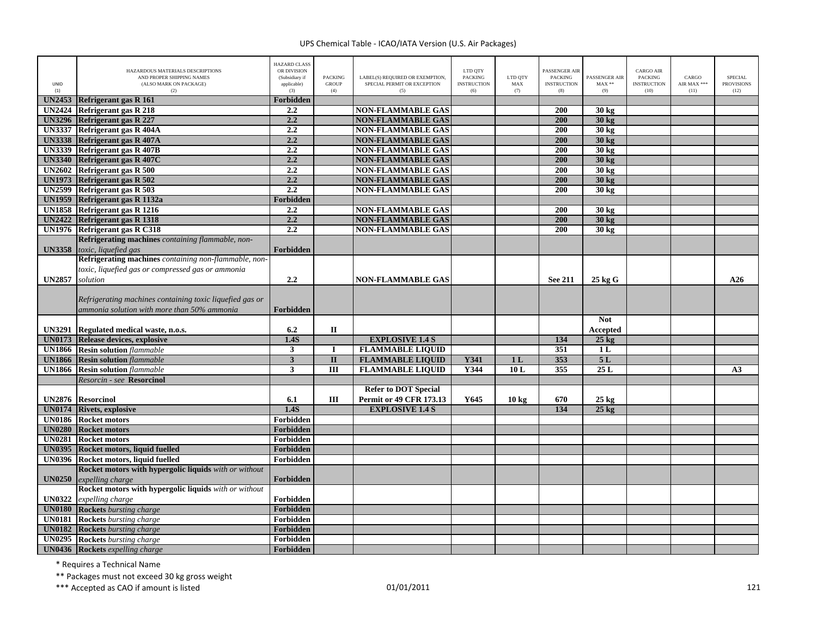| <b>UNID</b><br>(1) | HAZARDOUS MATERIALS DESCRIPTIONS<br>AND PROPER SHIPPING NAMES<br>(ALSO MARK ON PACKAGE)<br>(2) | <b>HAZARD CLASS</b><br>OR DIVISION<br>(Subsidiary if<br>applicable)<br>(3) | <b>PACKING</b><br><b>GROUP</b><br>(4) | LABEL(S) REOUIRED OR EXEMPTION.<br>SPECIAL PERMIT OR EXCEPTION<br>(5) | LTD QTY<br><b>PACKING</b><br><b>INSTRUCTION</b><br>(6) | LTD OTY<br>MAX<br>(7) | PASSENGER AIR<br><b>PACKING</b><br><b>INSTRUCTION</b><br>(8) | <b>PASSENGER AIR</b><br>$MAX**$<br>(9) | CARGO AIR<br><b>PACKING</b><br><b>INSTRUCTION</b><br>(10) | CARGO<br>AIR MAX ***<br>(11) | <b>SPECIAL</b><br><b>PROVISIONS</b><br>(12) |
|--------------------|------------------------------------------------------------------------------------------------|----------------------------------------------------------------------------|---------------------------------------|-----------------------------------------------------------------------|--------------------------------------------------------|-----------------------|--------------------------------------------------------------|----------------------------------------|-----------------------------------------------------------|------------------------------|---------------------------------------------|
|                    | UN2453 Refrigerant gas R 161                                                                   | <b>Forbidden</b>                                                           |                                       |                                                                       |                                                        |                       |                                                              |                                        |                                                           |                              |                                             |
|                    | UN2424 Refrigerant gas R 218                                                                   | 2.2                                                                        |                                       | <b>NON-FLAMMABLE GAS</b>                                              |                                                        |                       | 200                                                          | 30 kg                                  |                                                           |                              |                                             |
| <b>UN3296</b>      | <b>Refrigerant gas R 227</b>                                                                   | 2.2                                                                        |                                       | <b>NON-FLAMMABLE GAS</b>                                              |                                                        |                       | 200                                                          | 30 kg                                  |                                                           |                              |                                             |
|                    | UN3337 Refrigerant gas R 404A                                                                  | 2.2                                                                        |                                       | <b>NON-FLAMMABLE GAS</b>                                              |                                                        |                       | 200                                                          | $30 \text{ kg}$                        |                                                           |                              |                                             |
|                    | UN3338 Refrigerant gas R 407A                                                                  | 2.2                                                                        |                                       | <b>NON-FLAMMABLE GAS</b>                                              |                                                        |                       | 200                                                          | 30 kg                                  |                                                           |                              |                                             |
|                    | UN3339 Refrigerant gas R 407B                                                                  | 2.2                                                                        |                                       | <b>NON-FLAMMABLE GAS</b>                                              |                                                        |                       | $\overline{200}$                                             | 30 kg                                  |                                                           |                              |                                             |
| <b>UN3340</b>      | <b>Refrigerant gas R 407C</b>                                                                  | 2.2                                                                        |                                       | <b>NON-FLAMMABLE GAS</b>                                              |                                                        |                       | 200                                                          | $30 \text{ kg}$                        |                                                           |                              |                                             |
|                    | UN2602 Refrigerant gas R 500                                                                   | 2,2                                                                        |                                       | <b>NON-FLAMMABLE GAS</b>                                              |                                                        |                       | 200                                                          | $30 \text{ kg}$                        |                                                           |                              |                                             |
| <b>UN1973</b>      | Refrigerant gas R 502                                                                          | 2.2                                                                        |                                       | <b>NON-FLAMMABLE GAS</b>                                              |                                                        |                       | 200                                                          | 30 kg                                  |                                                           |                              |                                             |
|                    | UN2599 Refrigerant gas R 503                                                                   | 2.2                                                                        |                                       | <b>NON-FLAMMABLE GAS</b>                                              |                                                        |                       | 200                                                          | 30 kg                                  |                                                           |                              |                                             |
| <b>UN1959</b>      | Refrigerant gas R 1132a                                                                        | Forbidden                                                                  |                                       |                                                                       |                                                        |                       |                                                              |                                        |                                                           |                              |                                             |
|                    | <b>UN1858</b> Refrigerant gas R 1216                                                           | 2.2                                                                        |                                       | <b>NON-FLAMMABLE GAS</b>                                              |                                                        |                       | 200                                                          | $30 \text{ kg}$                        |                                                           |                              |                                             |
| <b>UN2422</b>      | Refrigerant gas R 1318                                                                         | 2.2                                                                        |                                       | <b>NON-FLAMMABLE GAS</b>                                              |                                                        |                       | 200                                                          | 30 kg                                  |                                                           |                              |                                             |
|                    | UN1976 Refrigerant gas R C318                                                                  | 2.2                                                                        |                                       | <b>NON-FLAMMABLE GAS</b>                                              |                                                        |                       | 200                                                          | 30 kg                                  |                                                           |                              |                                             |
|                    | Refrigerating machines containing flammable, non-                                              |                                                                            |                                       |                                                                       |                                                        |                       |                                                              |                                        |                                                           |                              |                                             |
| <b>UN3358</b>      | toxic, liquefied gas                                                                           | <b>Forbidden</b>                                                           |                                       |                                                                       |                                                        |                       |                                                              |                                        |                                                           |                              |                                             |
|                    | Refrigerating machines containing non-flammable, non-                                          |                                                                            |                                       |                                                                       |                                                        |                       |                                                              |                                        |                                                           |                              |                                             |
|                    | toxic, liquefied gas or compressed gas or ammonia                                              |                                                                            |                                       |                                                                       |                                                        |                       |                                                              |                                        |                                                           |                              |                                             |
| <b>UN2857</b>      | solution                                                                                       | $2.2\phantom{0}$                                                           |                                       | <b>NON-FLAMMABLE GAS</b>                                              |                                                        |                       | <b>See 211</b>                                               | $25 \text{ kg}$                        |                                                           |                              | A26                                         |
|                    |                                                                                                |                                                                            |                                       |                                                                       |                                                        |                       |                                                              |                                        |                                                           |                              |                                             |
|                    | Refrigerating machines containing toxic liquefied gas or                                       |                                                                            |                                       |                                                                       |                                                        |                       |                                                              |                                        |                                                           |                              |                                             |
|                    | ammonia solution with more than 50% ammonia                                                    | <b>Forbidden</b>                                                           |                                       |                                                                       |                                                        |                       |                                                              |                                        |                                                           |                              |                                             |
|                    |                                                                                                |                                                                            |                                       |                                                                       |                                                        |                       |                                                              | <b>Not</b>                             |                                                           |                              |                                             |
| <b>UN3291</b>      | Regulated medical waste, n.o.s.                                                                | 6.2                                                                        | $\mathbf{I}$                          |                                                                       |                                                        |                       |                                                              | Accepted                               |                                                           |                              |                                             |
| <b>UN0173</b>      | Release devices, explosive                                                                     | 1.4S                                                                       |                                       | <b>EXPLOSIVE 1.4 S</b>                                                |                                                        |                       | 134                                                          | $25 \text{ kg}$                        |                                                           |                              |                                             |
|                    | <b>UN1866</b> Resin solution flammable                                                         | 3                                                                          | П                                     | <b>FLAMMABLE LIQUID</b>                                               |                                                        |                       | 351                                                          | 1 <sub>L</sub>                         |                                                           |                              |                                             |
|                    | <b>UN1866</b> Resin solution flammable                                                         | $\overline{\mathbf{3}}$                                                    | $\overline{\mathbf{u}}$               | <b>FLAMMABLE LIQUID</b>                                               | <b>Y341</b>                                            | 1 <sub>L</sub>        | 353                                                          | 5L                                     |                                                           |                              |                                             |
| <b>UN1866</b>      | <b>Resin solution</b> flammable                                                                | $\overline{\mathbf{3}}$                                                    | $\overline{III}$                      | <b>FLAMMABLE LIQUID</b>                                               | Y344                                                   | 10L                   | 355                                                          | 25L                                    |                                                           |                              | A <sub>3</sub>                              |
|                    | Resorcin - see Resorcinol                                                                      |                                                                            |                                       |                                                                       |                                                        |                       |                                                              |                                        |                                                           |                              |                                             |
|                    |                                                                                                |                                                                            |                                       | <b>Refer to DOT Special</b>                                           |                                                        |                       |                                                              |                                        |                                                           |                              |                                             |
|                    | UN2876 Resorcinol                                                                              | 6.1                                                                        | Ш                                     | <b>Permit or 49 CFR 173.13</b>                                        | Y645                                                   |                       | 670                                                          |                                        |                                                           |                              |                                             |
|                    | <b>UN0174</b> Rivets, explosive                                                                | 1.4S                                                                       |                                       | <b>EXPLOSIVE 1.4 S</b>                                                |                                                        | $10 \text{ kg}$       | 134                                                          | $25 \text{ kg}$<br>$25 \text{ kg}$     |                                                           |                              |                                             |
|                    | <b>UN0186</b> Rocket motors                                                                    | Forbidden                                                                  |                                       |                                                                       |                                                        |                       |                                                              |                                        |                                                           |                              |                                             |
|                    | <b>UN0280</b> Rocket motors                                                                    | Forbidden                                                                  |                                       |                                                                       |                                                        |                       |                                                              |                                        |                                                           |                              |                                             |
| <b>UN0281</b>      | <b>Rocket motors</b>                                                                           | Forbidden                                                                  |                                       |                                                                       |                                                        |                       |                                                              |                                        |                                                           |                              |                                             |
|                    |                                                                                                | Forbidden                                                                  |                                       |                                                                       |                                                        |                       |                                                              |                                        |                                                           |                              |                                             |
|                    | UN0395 Rocket motors, liquid fuelled                                                           |                                                                            |                                       |                                                                       |                                                        |                       |                                                              |                                        |                                                           |                              |                                             |
|                    | UN0396 Rocket motors, liquid fuelled                                                           | Forbidden                                                                  |                                       |                                                                       |                                                        |                       |                                                              |                                        |                                                           |                              |                                             |
|                    | Rocket motors with hypergolic liquids with or without                                          |                                                                            |                                       |                                                                       |                                                        |                       |                                                              |                                        |                                                           |                              |                                             |
| <b>UN0250</b>      | expelling charge                                                                               | Forbidden                                                                  |                                       |                                                                       |                                                        |                       |                                                              |                                        |                                                           |                              |                                             |
|                    | Rocket motors with hypergolic liquids with or without                                          |                                                                            |                                       |                                                                       |                                                        |                       |                                                              |                                        |                                                           |                              |                                             |
| <b>UN0322</b>      | expelling charge                                                                               | Forbidden                                                                  |                                       |                                                                       |                                                        |                       |                                                              |                                        |                                                           |                              |                                             |
|                    | <b>UN0180</b> Rockets bursting charge                                                          | Forbidden                                                                  |                                       |                                                                       |                                                        |                       |                                                              |                                        |                                                           |                              |                                             |
| <b>UN0181</b>      | <b>Rockets</b> bursting charge                                                                 | Forbidden                                                                  |                                       |                                                                       |                                                        |                       |                                                              |                                        |                                                           |                              |                                             |
| <b>UN0182</b>      | <b>Rockets</b> bursting charge                                                                 | Forbidden                                                                  |                                       |                                                                       |                                                        |                       |                                                              |                                        |                                                           |                              |                                             |
| <b>UN0295</b>      | <b>Rockets</b> bursting charge                                                                 | Forbidden                                                                  |                                       |                                                                       |                                                        |                       |                                                              |                                        |                                                           |                              |                                             |
|                    | <b>UN0436</b> Rockets expelling charge                                                         | Forbidden                                                                  |                                       |                                                                       |                                                        |                       |                                                              |                                        |                                                           |                              |                                             |

\* Requires <sup>a</sup> Technical Name

\*\* Packages must not exceed 30 kg gross weight

\*\*\* Accepted as CAO if amount is listed 121 and the control of the control of the control of the control of the control of the control of the control of the control of the control of the control of the control of the contr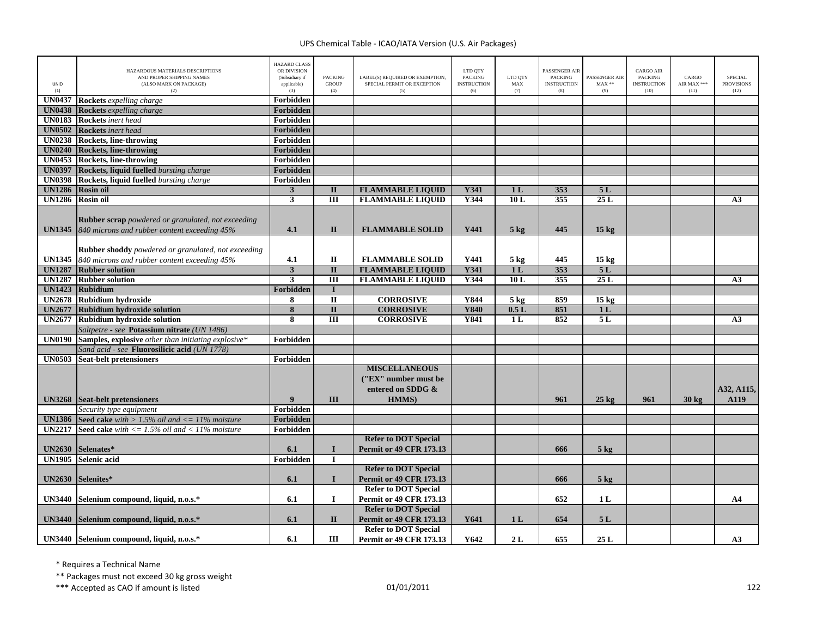| UNID<br>(1)   | HAZARDOUS MATERIALS DESCRIPTIONS<br>AND PROPER SHIPPING NAMES<br>(ALSO MARK ON PACKAGE)<br>(2)                                              | <b>HAZARD CLASS</b><br>OR DIVISION<br>(Subsidiary if<br>applicable)<br>(3) | <b>PACKING</b><br><b>GROUP</b><br>(4)  | LABEL(S) REQUIRED OR EXEMPTION<br>SPECIAL PERMIT OR EXCEPTION<br>(5) | LTD QTY<br><b>PACKING</b><br><b>INSTRUCTION</b><br>(6) | LTD QTY<br>${\rm MAX}$<br>(7)    | PASSENGER AIR<br><b>PACKING</b><br><b>INSTRUCTION</b><br>(8) | PASSENGER AIR<br>$\text{MAX}$ **<br>(9) | <b>CARGO AIR</b><br>PACKING<br><b>INSTRUCTION</b><br>(10) | CARGO<br>AIR MAX ***<br>(11) | <b>SPECIAL</b><br><b>PROVISIONS</b><br>(12) |
|---------------|---------------------------------------------------------------------------------------------------------------------------------------------|----------------------------------------------------------------------------|----------------------------------------|----------------------------------------------------------------------|--------------------------------------------------------|----------------------------------|--------------------------------------------------------------|-----------------------------------------|-----------------------------------------------------------|------------------------------|---------------------------------------------|
| <b>UN0437</b> | Rockets expelling charge                                                                                                                    | Forbidden                                                                  |                                        |                                                                      |                                                        |                                  |                                                              |                                         |                                                           |                              |                                             |
| <b>UN0438</b> | <b>Rockets</b> expelling charge                                                                                                             | Forbidden                                                                  |                                        |                                                                      |                                                        |                                  |                                                              |                                         |                                                           |                              |                                             |
|               | <b>UN0183</b> Rockets inert head                                                                                                            | Forbidden                                                                  |                                        |                                                                      |                                                        |                                  |                                                              |                                         |                                                           |                              |                                             |
| <b>UN0502</b> | <b>Rockets</b> inert head                                                                                                                   | Forbidden                                                                  |                                        |                                                                      |                                                        |                                  |                                                              |                                         |                                                           |                              |                                             |
|               | UN0238 Rockets, line-throwing                                                                                                               | Forbidden                                                                  |                                        |                                                                      |                                                        |                                  |                                                              |                                         |                                                           |                              |                                             |
| <b>UN0240</b> | <b>Rockets, line-throwing</b>                                                                                                               | Forbidden                                                                  |                                        |                                                                      |                                                        |                                  |                                                              |                                         |                                                           |                              |                                             |
|               | UN0453 Rockets, line-throwing                                                                                                               | Forbidden                                                                  |                                        |                                                                      |                                                        |                                  |                                                              |                                         |                                                           |                              |                                             |
| <b>UN0397</b> | Rockets, liquid fuelled bursting charge                                                                                                     | Forbidden                                                                  |                                        |                                                                      |                                                        |                                  |                                                              |                                         |                                                           |                              |                                             |
| <b>UN0398</b> | Rockets, liquid fuelled bursting charge                                                                                                     | Forbidden                                                                  |                                        |                                                                      |                                                        |                                  |                                                              |                                         |                                                           |                              |                                             |
| <b>UN1286</b> | <b>Rosin oil</b>                                                                                                                            | $\mathbf{3}$                                                               | $\mathbf{I}$                           | <b>FLAMMABLE LIQUID</b>                                              | Y341                                                   | 1 <sub>L</sub>                   | 353                                                          | 5L                                      |                                                           |                              |                                             |
|               | UN1286 Rosin oil                                                                                                                            | 3                                                                          | $\overline{III}$                       | <b>FLAMMABLE LIQUID</b>                                              | Y344                                                   | 10L                              | 355                                                          | 25L                                     |                                                           |                              | A3                                          |
|               | <b>Rubber scrap</b> powdered or granulated, not exceeding<br>UN1345 840 microns and rubber content exceeding 45%                            | 4.1                                                                        | $\mathbf{I}$                           | <b>FLAMMABLE SOLID</b>                                               | Y441                                                   | $5 \text{ kg}$                   | 445                                                          | 15 <sub>kg</sub>                        |                                                           |                              |                                             |
| <b>UN1287</b> | <b>Rubber shoddy</b> powdered or granulated, not exceeding<br>UN1345 840 microns and rubber content exceeding 45%<br><b>Rubber solution</b> | 4.1<br>$\overline{\mathbf{3}}$                                             | $\mathbf I$<br>$\overline{\mathbf{u}}$ | <b>FLAMMABLE SOLID</b><br><b>FLAMMABLE LIQUID</b>                    | Y441<br><b>Y341</b>                                    | $5 \text{ kg}$<br>1 <sub>L</sub> | 445<br>353                                                   | 15 <sub>kg</sub><br>5L                  |                                                           |                              |                                             |
|               | <b>UN1287</b> Rubber solution                                                                                                               | $\mathbf{3}$                                                               | $\overline{\mathbf{H}}$                | <b>FLAMMABLE LIQUID</b>                                              | Y344                                                   | 10L                              | 355                                                          | 25L                                     |                                                           |                              | A3                                          |
| <b>UN1423</b> | Rubidium                                                                                                                                    | Forbidden                                                                  | $\mathbf I$                            |                                                                      |                                                        |                                  |                                                              |                                         |                                                           |                              |                                             |
|               | UN2678 Rubidium hydroxide                                                                                                                   |                                                                            | $\overline{\mathbf{u}}$                |                                                                      | Y844                                                   |                                  | 859                                                          |                                         |                                                           |                              |                                             |
| <b>UN2677</b> | Rubidium hydroxide solution                                                                                                                 | 8<br>8                                                                     | $\overline{\mathbf{u}}$                | <b>CORROSIVE</b><br><b>CORROSIVE</b>                                 | <b>Y840</b>                                            | $5$ kg<br>0.5L                   | 851                                                          | 15 <sub>kg</sub><br>1 <sub>L</sub>      |                                                           |                              |                                             |
|               | UN2677 Rubidium hydroxide solution                                                                                                          | 8                                                                          | $\overline{III}$                       | <b>CORROSIVE</b>                                                     | Y841                                                   | 1 <sub>L</sub>                   | 852                                                          | 5L                                      |                                                           |                              | A3                                          |
|               |                                                                                                                                             |                                                                            |                                        |                                                                      |                                                        |                                  |                                                              |                                         |                                                           |                              |                                             |
| <b>UN0190</b> | Saltpetre - see Potassium nitrate (UN 1486)                                                                                                 | Forbidden                                                                  |                                        |                                                                      |                                                        |                                  |                                                              |                                         |                                                           |                              |                                             |
|               | Samples, explosive other than initiating explosive*                                                                                         |                                                                            |                                        |                                                                      |                                                        |                                  |                                                              |                                         |                                                           |                              |                                             |
| <b>UN0503</b> | Sand acid - see <b>Fluorosilicic acid</b> (UN 1778)<br><b>Seat-belt pretensioners</b>                                                       | Forbidden                                                                  |                                        |                                                                      |                                                        |                                  |                                                              |                                         |                                                           |                              |                                             |
|               |                                                                                                                                             |                                                                            |                                        | <b>MISCELLANEOUS</b><br>("EX" number must be<br>entered on SDDG &    |                                                        |                                  |                                                              |                                         |                                                           |                              | A32, A115,                                  |
|               | <b>UN3268</b> Seat-belt pretensioners                                                                                                       | $\mathbf Q$                                                                | Ш                                      | <b>HMMS</b> )                                                        |                                                        |                                  | 961                                                          | $25 \text{ kg}$                         | 961                                                       | $30 \text{ kg}$              | A119                                        |
|               | Security type equipment                                                                                                                     | Forbidden                                                                  |                                        |                                                                      |                                                        |                                  |                                                              |                                         |                                                           |                              |                                             |
| <b>UN1386</b> | <b>Seed cake</b> with $> 1.5\%$ oil and $\lt = 11\%$ moisture                                                                               | <b>Forbidden</b>                                                           |                                        |                                                                      |                                                        |                                  |                                                              |                                         |                                                           |                              |                                             |
| <b>UN2217</b> | <b>Seed cake</b> with $\leq$ 1.5% oil and $\leq$ 11% moisture                                                                               | Forbidden                                                                  |                                        |                                                                      |                                                        |                                  |                                                              |                                         |                                                           |                              |                                             |
|               |                                                                                                                                             |                                                                            |                                        | <b>Refer to DOT Special</b>                                          |                                                        |                                  |                                                              |                                         |                                                           |                              |                                             |
|               | UN2630 Selenates*                                                                                                                           | 6.1                                                                        | $\mathbf I$                            | <b>Permit or 49 CFR 173.13</b>                                       |                                                        |                                  | 666                                                          | $5$ kg                                  |                                                           |                              |                                             |
|               | UN1905 Selenic acid                                                                                                                         | <b>Forbidden</b>                                                           | $\mathbf I$                            |                                                                      |                                                        |                                  |                                                              |                                         |                                                           |                              |                                             |
|               |                                                                                                                                             |                                                                            |                                        | <b>Refer to DOT Special</b>                                          |                                                        |                                  |                                                              |                                         |                                                           |                              |                                             |
| <b>UN2630</b> | Selenites*                                                                                                                                  | 6.1                                                                        | $\mathbf I$                            | <b>Permit or 49 CFR 173.13</b>                                       |                                                        |                                  | 666                                                          | $5$ kg                                  |                                                           |                              |                                             |
|               |                                                                                                                                             |                                                                            |                                        | <b>Refer to DOT Special</b>                                          |                                                        |                                  |                                                              |                                         |                                                           |                              |                                             |
|               | UN3440 Selenium compound, liquid, n.o.s.*                                                                                                   | 6.1                                                                        | $\mathbf{I}$                           | <b>Permit or 49 CFR 173.13</b>                                       |                                                        |                                  | 652                                                          | 1 <sub>L</sub>                          |                                                           |                              | A <sub>4</sub>                              |
|               |                                                                                                                                             |                                                                            |                                        | <b>Refer to DOT Special</b>                                          |                                                        |                                  |                                                              |                                         |                                                           |                              |                                             |
| <b>UN3440</b> | Selenium compound, liquid, n.o.s.*                                                                                                          | 6.1                                                                        | $\mathbf{I}$                           | <b>Permit or 49 CFR 173.13</b>                                       | Y641                                                   | 1 <sub>L</sub>                   | 654                                                          | 5L                                      |                                                           |                              |                                             |
|               |                                                                                                                                             |                                                                            |                                        | <b>Refer to DOT Special</b>                                          |                                                        |                                  |                                                              |                                         |                                                           |                              |                                             |
|               | UN3440 Selenium compound, liquid, n.o.s.*                                                                                                   | 6.1                                                                        | III                                    | <b>Permit or 49 CFR 173.13</b>                                       | Y642                                                   | 2L                               | 655                                                          | 25L                                     |                                                           |                              | A3                                          |

\* Requires <sup>a</sup> Technical Name

\*\* Packages must not exceed 30 kg gross weight

\*\*\* Accepted as CAO if amount is listed 122 no set of the control of the control of the control of the control of the control of the control of the control of the control of the control of the control of the control of the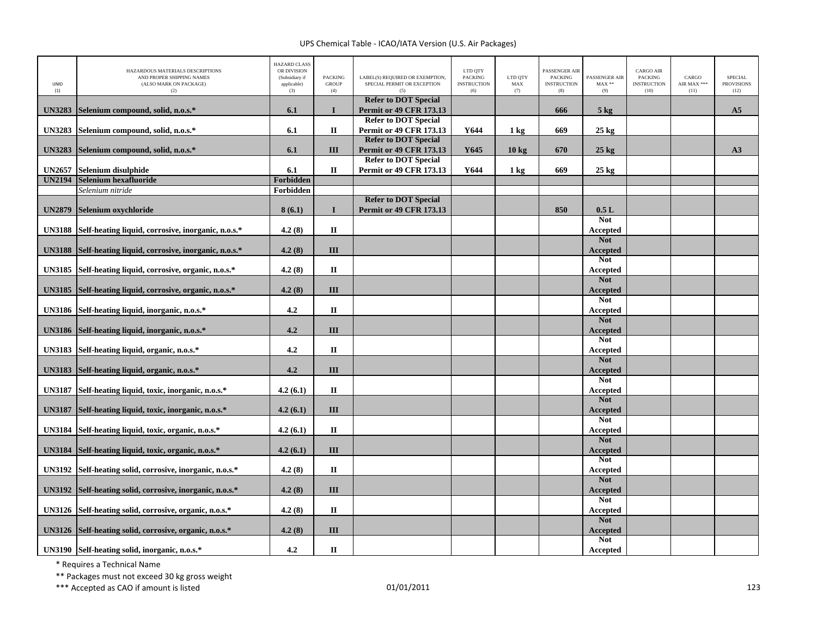| UNID<br>(1)   | HAZARDOUS MATERIALS DESCRIPTIONS<br>AND PROPER SHIPPING NAMES<br>(ALSO MARK ON PACKAGE)<br>(2) | <b>HAZARD CLASS</b><br>OR DIVISION<br>(Subsidiary if<br>applicable)<br>(3) | <b>PACKING</b><br><b>GROUP</b><br>(4) | LABEL(S) REQUIRED OR EXEMPTION,<br>SPECIAL PERMIT OR EXCEPTION<br>(5) | LTD QTY<br><b>PACKING</b><br><b>INSTRUCTION</b><br>(6) | LTD QTY<br>MAX<br>(7) | PASSENGER AIR<br><b>PACKING</b><br><b>INSTRUCTION</b><br>(8) | PASSENGER AIR<br>$MAX**$<br>(9) | <b>CARGO AIR</b><br><b>PACKING</b><br><b>INSTRUCTION</b><br>(10) | CARGO<br>AIR MAX ***<br>(11) | <b>SPECIAL</b><br><b>PROVISIONS</b><br>(12) |
|---------------|------------------------------------------------------------------------------------------------|----------------------------------------------------------------------------|---------------------------------------|-----------------------------------------------------------------------|--------------------------------------------------------|-----------------------|--------------------------------------------------------------|---------------------------------|------------------------------------------------------------------|------------------------------|---------------------------------------------|
| <b>UN3283</b> | Selenium compound, solid, n.o.s.*                                                              | 6.1                                                                        | $\mathbf I$                           | <b>Refer to DOT Special</b><br><b>Permit or 49 CFR 173.13</b>         |                                                        |                       | 666                                                          | 5 <sub>kg</sub>                 |                                                                  |                              | A <sub>5</sub>                              |
| <b>UN3283</b> |                                                                                                | 6.1                                                                        | П                                     | <b>Refer to DOT Special</b><br><b>Permit or 49 CFR 173.13</b>         | Y644                                                   |                       | 669                                                          |                                 |                                                                  |                              |                                             |
|               | Selenium compound, solid, n.o.s.*                                                              |                                                                            |                                       | <b>Refer to DOT Special</b>                                           |                                                        | 1 <sub>kg</sub>       |                                                              | $25$ kg                         |                                                                  |                              |                                             |
| <b>UN3283</b> | Selenium compound, solid, n.o.s.*                                                              | 6.1                                                                        | III                                   | <b>Permit or 49 CFR 173.13</b>                                        | Y645                                                   | $10 \text{ kg}$       | 670                                                          | $25 \text{ kg}$                 |                                                                  |                              | A3                                          |
| <b>UN2657</b> | Selenium disulphide                                                                            | 6.1                                                                        | $\mathbf I$                           | <b>Refer to DOT Special</b><br><b>Permit or 49 CFR 173.13</b>         | Y644                                                   | $1 \text{ kg}$        | 669                                                          | $25~\mathrm{kg}$                |                                                                  |                              |                                             |
| <b>UN2194</b> | Selenium hexafluoride                                                                          | Forbidden                                                                  |                                       |                                                                       |                                                        |                       |                                                              |                                 |                                                                  |                              |                                             |
|               | Selenium nitride                                                                               | Forbidden                                                                  |                                       |                                                                       |                                                        |                       |                                                              |                                 |                                                                  |                              |                                             |
| <b>UN2879</b> | Selenium oxychloride                                                                           | 8(6.1)                                                                     | $\mathbf{I}$                          | <b>Refer to DOT Special</b><br><b>Permit or 49 CFR 173.13</b>         |                                                        |                       | 850                                                          | 0.5L                            |                                                                  |                              |                                             |
|               |                                                                                                |                                                                            |                                       |                                                                       |                                                        |                       |                                                              | <b>Not</b>                      |                                                                  |                              |                                             |
| <b>UN3188</b> | Self-heating liquid, corrosive, inorganic, n.o.s.*                                             | 4.2(8)                                                                     | $\mathbf{I}$                          |                                                                       |                                                        |                       |                                                              | Accepted                        |                                                                  |                              |                                             |
| <b>UN3188</b> | Self-heating liquid, corrosive, inorganic, n.o.s.*                                             | 4.2(8)                                                                     | III                                   |                                                                       |                                                        |                       |                                                              | <b>Not</b><br><b>Accepted</b>   |                                                                  |                              |                                             |
|               |                                                                                                |                                                                            |                                       |                                                                       |                                                        |                       |                                                              | <b>Not</b>                      |                                                                  |                              |                                             |
| <b>UN3185</b> | Self-heating liquid, corrosive, organic, n.o.s.*                                               | 4.2(8)                                                                     | $\mathbf{I}$                          |                                                                       |                                                        |                       |                                                              | Accepted                        |                                                                  |                              |                                             |
| <b>UN3185</b> | Self-heating liquid, corrosive, organic, n.o.s.*                                               | 4.2(8)                                                                     | III                                   |                                                                       |                                                        |                       |                                                              | <b>Not</b><br><b>Accepted</b>   |                                                                  |                              |                                             |
| <b>UN3186</b> | Self-heating liquid, inorganic, n.o.s.*                                                        | 4.2                                                                        | $\mathbf{I}$                          |                                                                       |                                                        |                       |                                                              | <b>Not</b><br>Accepted          |                                                                  |                              |                                             |
|               |                                                                                                |                                                                            |                                       |                                                                       |                                                        |                       |                                                              | <b>Not</b>                      |                                                                  |                              |                                             |
| <b>UN3186</b> | Self-heating liquid, inorganic, n.o.s.*                                                        | 4.2                                                                        | III                                   |                                                                       |                                                        |                       |                                                              | Accepted<br><b>Not</b>          |                                                                  |                              |                                             |
| <b>UN3183</b> | Self-heating liquid, organic, n.o.s.*                                                          | 4.2                                                                        | П                                     |                                                                       |                                                        |                       |                                                              | Accepted                        |                                                                  |                              |                                             |
| <b>UN3183</b> | Self-heating liquid, organic, n.o.s.*                                                          | 4.2                                                                        | III                                   |                                                                       |                                                        |                       |                                                              | <b>Not</b><br>Accepted          |                                                                  |                              |                                             |
| <b>UN3187</b> | Self-heating liquid, toxic, inorganic, n.o.s.*                                                 | 4.2(6.1)                                                                   | $\mathbf{I}$                          |                                                                       |                                                        |                       |                                                              | <b>Not</b><br>Accepted          |                                                                  |                              |                                             |
|               |                                                                                                |                                                                            |                                       |                                                                       |                                                        |                       |                                                              | <b>Not</b>                      |                                                                  |                              |                                             |
| <b>UN3187</b> | Self-heating liquid, toxic, inorganic, n.o.s.*                                                 | 4.2(6.1)                                                                   | III                                   |                                                                       |                                                        |                       |                                                              | Accepted                        |                                                                  |                              |                                             |
| <b>UN3184</b> | Self-heating liquid, toxic, organic, n.o.s.*                                                   | 4.2(6.1)                                                                   | $\mathbf{I}$                          |                                                                       |                                                        |                       |                                                              | <b>Not</b><br>Accepted          |                                                                  |                              |                                             |
| <b>UN3184</b> | Self-heating liquid, toxic, organic, n.o.s.*                                                   | 4.2(6.1)                                                                   | III                                   |                                                                       |                                                        |                       |                                                              | <b>Not</b><br>Accepted          |                                                                  |                              |                                             |
| <b>UN3192</b> | Self-heating solid, corrosive, inorganic, n.o.s.*                                              | 4.2(8)                                                                     | $\mathbf{I}$                          |                                                                       |                                                        |                       |                                                              | <b>Not</b><br>Accepted          |                                                                  |                              |                                             |
|               |                                                                                                |                                                                            |                                       |                                                                       |                                                        |                       |                                                              | <b>Not</b>                      |                                                                  |                              |                                             |
| <b>UN3192</b> | Self-heating solid, corrosive, inorganic, n.o.s.*                                              | 4.2(8)                                                                     | III                                   |                                                                       |                                                        |                       |                                                              | Accepted<br><b>Not</b>          |                                                                  |                              |                                             |
| <b>UN3126</b> | Self-heating solid, corrosive, organic, n.o.s.*                                                | 4.2(8)                                                                     | $\mathbf I$                           |                                                                       |                                                        |                       |                                                              | Accepted                        |                                                                  |                              |                                             |
|               |                                                                                                |                                                                            |                                       |                                                                       |                                                        |                       |                                                              | <b>Not</b>                      |                                                                  |                              |                                             |
| <b>UN3126</b> | Self-heating solid, corrosive, organic, n.o.s.*                                                | 4.2(8)                                                                     | III                                   |                                                                       |                                                        |                       |                                                              | Accepted<br><b>Not</b>          |                                                                  |                              |                                             |
|               | UN3190 Self-heating solid, inorganic, n.o.s.*                                                  | 4.2                                                                        | $\mathbf{I}$                          |                                                                       |                                                        |                       |                                                              | Accepted                        |                                                                  |                              |                                             |

\* Requires <sup>a</sup> Technical Name

\*\* Packages must not exceed 30 kg gross weight

\*\*\* Accepted as CAO if amount is listed 123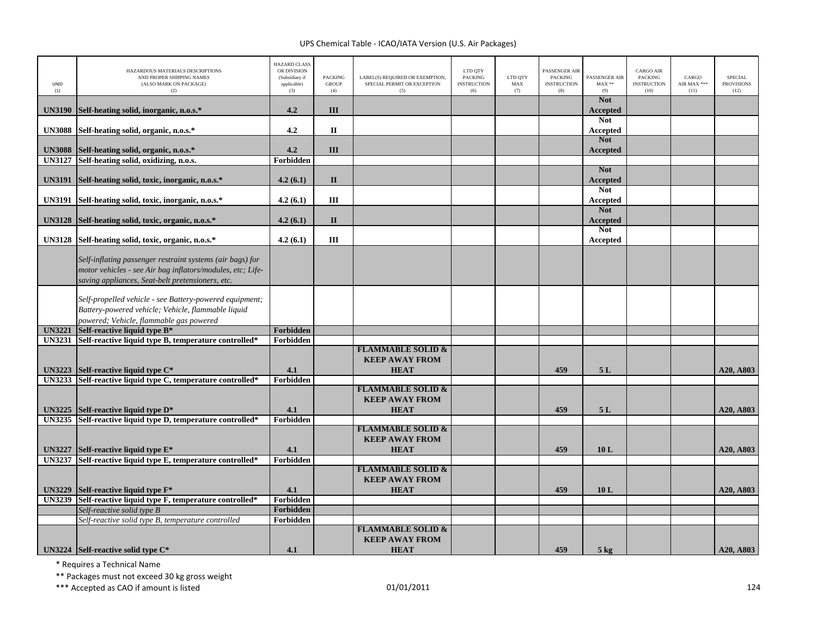| LINID<br>(1)                   | HAZARDOUS MATERIALS DESCRIPTIONS<br>AND PROPER SHIPPING NAMES<br>(ALSO MARK ON PACKAGE)<br>(2)                                                                              | <b>HAZARD CLASS</b><br>OR DIVISION<br>(Subsidiary if<br>applicable)<br>(3) | <b>PACKING</b><br><b>GROUP</b><br>(4) | LABEL(S) REQUIRED OR EXEMPTION,<br>SPECIAL PERMIT OR EXCEPTION<br>(5) | LTD QTY<br><b>PACKING</b><br><b>INSTRUCTION</b><br>(6) | LTD QTY<br>MAX<br>(7) | PASSENGER AIR<br>PACKING<br><b>INSTRUCTION</b><br>(8) | PASSENGER AIR<br>$MAX**$<br>(9) | <b>CARGO AIR</b><br><b>PACKING</b><br><b>INSTRUCTION</b><br>(10) | CARGO<br>AIR MAX ***<br>(11) | <b>SPECIAL</b><br><b>PROVISIONS</b><br>(12) |
|--------------------------------|-----------------------------------------------------------------------------------------------------------------------------------------------------------------------------|----------------------------------------------------------------------------|---------------------------------------|-----------------------------------------------------------------------|--------------------------------------------------------|-----------------------|-------------------------------------------------------|---------------------------------|------------------------------------------------------------------|------------------------------|---------------------------------------------|
| <b>UN3190</b>                  | Self-heating solid, inorganic, n.o.s.*                                                                                                                                      | 4.2                                                                        | III                                   |                                                                       |                                                        |                       |                                                       | <b>Not</b><br><b>Accepted</b>   |                                                                  |                              |                                             |
| <b>UN3088</b>                  | Self-heating solid, organic, n.o.s.*                                                                                                                                        | 4.2                                                                        | $\mathbf{I}$                          |                                                                       |                                                        |                       |                                                       | <b>Not</b><br>Accepted          |                                                                  |                              |                                             |
| <b>UN3088</b>                  | Self-heating solid, organic, n.o.s.*                                                                                                                                        | 4.2                                                                        | III                                   |                                                                       |                                                        |                       |                                                       | <b>Not</b><br><b>Accepted</b>   |                                                                  |                              |                                             |
| <b>UN3127</b>                  | Self-heating solid, oxidizing, n.o.s.                                                                                                                                       | Forbidden                                                                  |                                       |                                                                       |                                                        |                       |                                                       |                                 |                                                                  |                              |                                             |
| <b>UN3191</b>                  | Self-heating solid, toxic, inorganic, n.o.s.*                                                                                                                               | 4.2(6.1)                                                                   | $\mathbf{I}$                          |                                                                       |                                                        |                       |                                                       | <b>Not</b><br><b>Accepted</b>   |                                                                  |                              |                                             |
| <b>UN3191</b>                  | Self-heating solid, toxic, inorganic, n.o.s.*                                                                                                                               | 4.2(6.1)                                                                   | III                                   |                                                                       |                                                        |                       |                                                       | <b>Not</b><br><b>Accepted</b>   |                                                                  |                              |                                             |
| <b>UN3128</b>                  | Self-heating solid, toxic, organic, n.o.s.*                                                                                                                                 | 4.2(6.1)                                                                   | $\mathbf{I}$                          |                                                                       |                                                        |                       |                                                       | <b>Not</b><br><b>Accepted</b>   |                                                                  |                              |                                             |
| <b>UN3128</b>                  | Self-heating solid, toxic, organic, n.o.s.*                                                                                                                                 | 4.2(6.1)                                                                   | Ш                                     |                                                                       |                                                        |                       |                                                       | <b>Not</b><br>Accepted          |                                                                  |                              |                                             |
|                                | Self-inflating passenger restraint systems (air bags) for<br>motor vehicles - see Air bag inflators/modules, etc; Life-<br>saving appliances, Seat-belt pretensioners, etc. |                                                                            |                                       |                                                                       |                                                        |                       |                                                       |                                 |                                                                  |                              |                                             |
|                                | Self-propelled vehicle - see Battery-powered equipment;<br>Battery-powered vehicle; Vehicle, flammable liquid<br>powered; Vehicle, flammable gas powered                    |                                                                            |                                       |                                                                       |                                                        |                       |                                                       |                                 |                                                                  |                              |                                             |
| <b>UN3221</b>                  | Self-reactive liquid type B*                                                                                                                                                | Forbidden                                                                  |                                       |                                                                       |                                                        |                       |                                                       |                                 |                                                                  |                              |                                             |
| <b>UN3231</b>                  | Self-reactive liquid type B, temperature controlled*                                                                                                                        | Forbidden                                                                  |                                       |                                                                       |                                                        |                       |                                                       |                                 |                                                                  |                              |                                             |
|                                |                                                                                                                                                                             |                                                                            |                                       | <b>FLAMMABLE SOLID &amp;</b>                                          |                                                        |                       |                                                       |                                 |                                                                  |                              |                                             |
|                                |                                                                                                                                                                             |                                                                            |                                       | <b>KEEP AWAY FROM</b>                                                 |                                                        |                       |                                                       |                                 |                                                                  |                              |                                             |
| <b>UN3223</b>                  | Self-reactive liquid type $C^*$                                                                                                                                             | 4.1                                                                        |                                       | <b>HEAT</b>                                                           |                                                        |                       | 459                                                   | 5L                              |                                                                  |                              | A20, A803                                   |
| <b>UN3233</b>                  | Self-reactive liquid type C, temperature controlled*                                                                                                                        | Forbidden                                                                  |                                       |                                                                       |                                                        |                       |                                                       |                                 |                                                                  |                              |                                             |
|                                |                                                                                                                                                                             |                                                                            |                                       | <b>FLAMMABLE SOLID &amp;</b>                                          |                                                        |                       |                                                       |                                 |                                                                  |                              |                                             |
|                                |                                                                                                                                                                             | 4.1                                                                        |                                       | <b>KEEP AWAY FROM</b>                                                 |                                                        |                       | 459                                                   |                                 |                                                                  |                              |                                             |
| <b>UN3225</b><br><b>UN3235</b> | Self-reactive liquid type $D^*$<br>Self-reactive liquid type D, temperature controlled*                                                                                     | Forbidden                                                                  |                                       | <b>HEAT</b>                                                           |                                                        |                       |                                                       | 5L                              |                                                                  |                              | A20, A803                                   |
|                                |                                                                                                                                                                             |                                                                            |                                       | <b>FLAMMABLE SOLID &amp;</b>                                          |                                                        |                       |                                                       |                                 |                                                                  |                              |                                             |
|                                |                                                                                                                                                                             |                                                                            |                                       | <b>KEEP AWAY FROM</b>                                                 |                                                        |                       |                                                       |                                 |                                                                  |                              |                                             |
| <b>UN3227</b>                  | Self-reactive liquid type E*                                                                                                                                                | 4.1                                                                        |                                       | <b>HEAT</b>                                                           |                                                        |                       | 459                                                   | 10L                             |                                                                  |                              | A20, A803                                   |
| <b>UN3237</b>                  | Self-reactive liquid type E, temperature controlled*                                                                                                                        | Forbidden                                                                  |                                       |                                                                       |                                                        |                       |                                                       |                                 |                                                                  |                              |                                             |
|                                |                                                                                                                                                                             |                                                                            |                                       | <b>FLAMMABLE SOLID &amp;</b>                                          |                                                        |                       |                                                       |                                 |                                                                  |                              |                                             |
|                                |                                                                                                                                                                             |                                                                            |                                       | <b>KEEP AWAY FROM</b>                                                 |                                                        |                       |                                                       |                                 |                                                                  |                              |                                             |
| <b>UN3229</b>                  | Self-reactive liquid type $F^*$                                                                                                                                             | 4.1                                                                        |                                       | <b>HEAT</b>                                                           |                                                        |                       | 459                                                   | 10L                             |                                                                  |                              | A20, A803                                   |
| <b>UN3239</b>                  | Self-reactive liquid type F, temperature controlled*                                                                                                                        | Forbidden                                                                  |                                       |                                                                       |                                                        |                       |                                                       |                                 |                                                                  |                              |                                             |
|                                | Self-reactive solid type B                                                                                                                                                  | Forbidden                                                                  |                                       |                                                                       |                                                        |                       |                                                       |                                 |                                                                  |                              |                                             |
|                                | Self-reactive solid type B, temperature controlled                                                                                                                          | Forbidden                                                                  |                                       |                                                                       |                                                        |                       |                                                       |                                 |                                                                  |                              |                                             |
|                                |                                                                                                                                                                             |                                                                            |                                       | <b>FLAMMABLE SOLID &amp;</b><br><b>KEEP AWAY FROM</b>                 |                                                        |                       |                                                       |                                 |                                                                  |                              |                                             |
|                                | UN3224 Self-reactive solid type $C^*$                                                                                                                                       | 4.1                                                                        |                                       | <b>HEAT</b>                                                           |                                                        |                       | 459                                                   | $5 \text{ kg}$                  |                                                                  |                              | A20, A803                                   |

\* Requires <sup>a</sup> Technical Name

\*\* Packages must not exceed 30 kg gross weight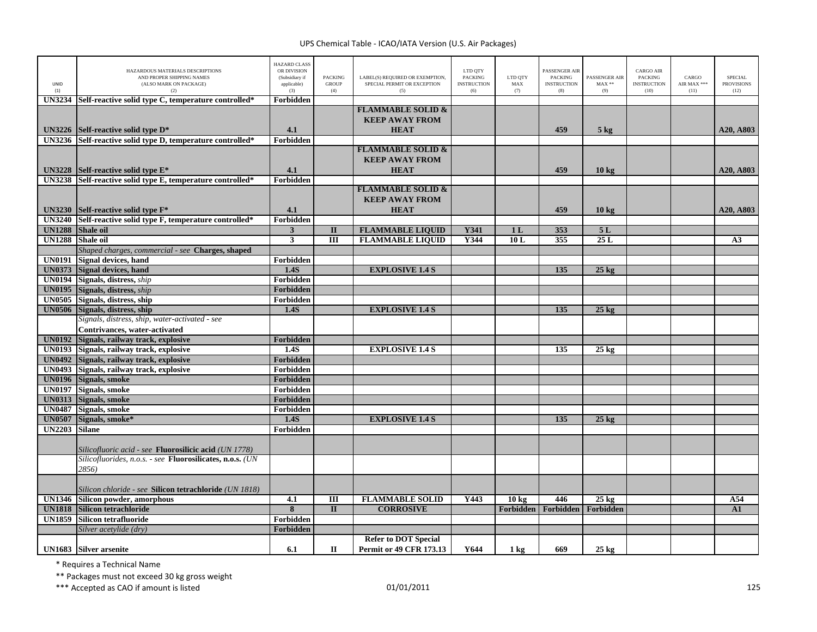| UNID<br>(1)   | HAZARDOUS MATERIALS DESCRIPTIONS<br>AND PROPER SHIPPING NAMES<br>(ALSO MARK ON PACKAGE)<br>(2) | <b>HAZARD CLASS</b><br>OR DIVISION<br>(Subsidiary if<br>applicable)<br>(3) | <b>PACKING</b><br><b>GROUP</b><br>(4) | LABEL(S) REQUIRED OR EXEMPTION,<br>SPECIAL PERMIT OR EXCEPTION<br>(5) | LTD QTY<br><b>PACKING</b><br><b>INSTRUCTION</b><br>(6) | LTD OTY<br>MAX<br>(7) | PASSENGER AIR<br><b>PACKING</b><br><b>INSTRUCTION</b><br>(8) | PASSENGER AIR<br>$MAX**$<br>(9) | <b>CARGO AIR</b><br>PACKING<br><b>INSTRUCTION</b><br>(10) | CARGO<br>AIR MAX ***<br>(11) | <b>SPECIAL</b><br><b>PROVISIONS</b><br>(12) |
|---------------|------------------------------------------------------------------------------------------------|----------------------------------------------------------------------------|---------------------------------------|-----------------------------------------------------------------------|--------------------------------------------------------|-----------------------|--------------------------------------------------------------|---------------------------------|-----------------------------------------------------------|------------------------------|---------------------------------------------|
| <b>UN3234</b> | Self-reactive solid type C, temperature controlled*                                            | Forbidden                                                                  |                                       |                                                                       |                                                        |                       |                                                              |                                 |                                                           |                              |                                             |
|               |                                                                                                |                                                                            |                                       | <b>FLAMMABLE SOLID &amp;</b>                                          |                                                        |                       |                                                              |                                 |                                                           |                              |                                             |
|               |                                                                                                |                                                                            |                                       | <b>KEEP AWAY FROM</b>                                                 |                                                        |                       |                                                              |                                 |                                                           |                              |                                             |
|               | UN3226 Self-reactive solid type $D^*$                                                          | 4.1                                                                        |                                       | <b>HEAT</b>                                                           |                                                        |                       | 459                                                          | $5$ kg                          |                                                           |                              | A20, A803                                   |
| <b>UN3236</b> | Self-reactive solid type D, temperature controlled*                                            | Forbidden                                                                  |                                       |                                                                       |                                                        |                       |                                                              |                                 |                                                           |                              |                                             |
|               |                                                                                                |                                                                            |                                       | <b>FLAMMABLE SOLID &amp;</b>                                          |                                                        |                       |                                                              |                                 |                                                           |                              |                                             |
|               |                                                                                                |                                                                            |                                       | <b>KEEP AWAY FROM</b>                                                 |                                                        |                       |                                                              |                                 |                                                           |                              |                                             |
| <b>UN3228</b> | Self-reactive solid type $E^*$                                                                 | 4.1                                                                        |                                       | <b>HEAT</b>                                                           |                                                        |                       | 459                                                          | $10 \text{ kg}$                 |                                                           |                              | A20, A803                                   |
| <b>UN3238</b> | Self-reactive solid type E, temperature controlled*                                            | Forbidden                                                                  |                                       |                                                                       |                                                        |                       |                                                              |                                 |                                                           |                              |                                             |
|               |                                                                                                |                                                                            |                                       | <b>FLAMMABLE SOLID &amp;</b>                                          |                                                        |                       |                                                              |                                 |                                                           |                              |                                             |
|               |                                                                                                |                                                                            |                                       | <b>KEEP AWAY FROM</b>                                                 |                                                        |                       |                                                              |                                 |                                                           |                              |                                             |
|               | UN3230 Self-reactive solid type $F^*$                                                          | 4.1                                                                        |                                       | <b>HEAT</b>                                                           |                                                        |                       | 459                                                          | $10 \text{ kg}$                 |                                                           |                              | A20, A803                                   |
| <b>UN3240</b> | Self-reactive solid type F, temperature controlled*                                            | Forbidden                                                                  |                                       |                                                                       |                                                        |                       |                                                              |                                 |                                                           |                              |                                             |
| <b>UN1288</b> | <b>Shale oil</b>                                                                               | $\mathbf{3}$                                                               | $\mathbf{I}$                          | <b>FLAMMABLE LIQUID</b>                                               | <b>Y341</b>                                            | 1 <sub>L</sub>        | 353                                                          | 5L                              |                                                           |                              |                                             |
| <b>UN1288</b> | Shale oil                                                                                      | $\mathbf{3}$                                                               | III                                   | <b>FLAMMABLE LIQUID</b>                                               | Y344                                                   | 10L                   | 355                                                          | 25L                             |                                                           |                              | A <sub>3</sub>                              |
|               | Shaped charges, commercial - see Charges, shaped                                               |                                                                            |                                       |                                                                       |                                                        |                       |                                                              |                                 |                                                           |                              |                                             |
| <b>UN0191</b> | Signal devices, hand                                                                           | Forbidden                                                                  |                                       |                                                                       |                                                        |                       |                                                              |                                 |                                                           |                              |                                             |
| <b>UN0373</b> | <b>Signal devices, hand</b>                                                                    | 1.4S                                                                       |                                       | <b>EXPLOSIVE 1.4 S</b>                                                |                                                        |                       | 135                                                          | $25 \text{ kg}$                 |                                                           |                              |                                             |
| <b>UN0194</b> | Signals, distress, ship                                                                        | Forbidden                                                                  |                                       |                                                                       |                                                        |                       |                                                              |                                 |                                                           |                              |                                             |
| <b>UN0195</b> | Signals, distress, ship                                                                        | Forbidden                                                                  |                                       |                                                                       |                                                        |                       |                                                              |                                 |                                                           |                              |                                             |
| <b>UN0505</b> | Signals, distress, ship                                                                        | Forbidden                                                                  |                                       |                                                                       |                                                        |                       |                                                              |                                 |                                                           |                              |                                             |
| <b>UN0506</b> | Signals, distress, ship                                                                        | 1.4S                                                                       |                                       | <b>EXPLOSIVE 1.4 S</b>                                                |                                                        |                       | 135                                                          | $25 \text{ kg}$                 |                                                           |                              |                                             |
|               | Signals, distress, ship, water-activated - see                                                 |                                                                            |                                       |                                                                       |                                                        |                       |                                                              |                                 |                                                           |                              |                                             |
|               | Contrivances, water-activated                                                                  |                                                                            |                                       |                                                                       |                                                        |                       |                                                              |                                 |                                                           |                              |                                             |
| <b>UN0192</b> | Signals, railway track, explosive                                                              | Forbidden                                                                  |                                       |                                                                       |                                                        |                       |                                                              |                                 |                                                           |                              |                                             |
| <b>UN0193</b> | Signals, railway track, explosive                                                              | 1.4S                                                                       |                                       | <b>EXPLOSIVE 1.4 S</b>                                                |                                                        |                       | 135                                                          | $25 \text{ kg}$                 |                                                           |                              |                                             |
| <b>UN0492</b> | Signals, railway track, explosive                                                              | Forbidden                                                                  |                                       |                                                                       |                                                        |                       |                                                              |                                 |                                                           |                              |                                             |
| <b>UN0493</b> | Signals, railway track, explosive                                                              | Forbidden                                                                  |                                       |                                                                       |                                                        |                       |                                                              |                                 |                                                           |                              |                                             |
| <b>UN0196</b> |                                                                                                | Forbidden                                                                  |                                       |                                                                       |                                                        |                       |                                                              |                                 |                                                           |                              |                                             |
|               | <b>Signals</b> , smoke                                                                         | Forbidden                                                                  |                                       |                                                                       |                                                        |                       |                                                              |                                 |                                                           |                              |                                             |
| <b>UN0197</b> | <b>Signals</b> , smoke                                                                         |                                                                            |                                       |                                                                       |                                                        |                       |                                                              |                                 |                                                           |                              |                                             |
| <b>UN0313</b> | Signals, smoke                                                                                 | Forbidden                                                                  |                                       |                                                                       |                                                        |                       |                                                              |                                 |                                                           |                              |                                             |
| <b>UN0487</b> | Signals, smoke                                                                                 | Forbidden                                                                  |                                       |                                                                       |                                                        |                       |                                                              |                                 |                                                           |                              |                                             |
| <b>UN0507</b> | Signals, smoke*                                                                                | 1.4S                                                                       |                                       | <b>EXPLOSIVE 1.4 S</b>                                                |                                                        |                       | 135                                                          | $25 \text{ kg}$                 |                                                           |                              |                                             |
| <b>UN2203</b> | <b>Silane</b>                                                                                  | Forbidden                                                                  |                                       |                                                                       |                                                        |                       |                                                              |                                 |                                                           |                              |                                             |
|               | Silicofluoric acid - see <b>Fluorosilicic acid</b> (UN 1778)                                   |                                                                            |                                       |                                                                       |                                                        |                       |                                                              |                                 |                                                           |                              |                                             |
|               | Silicofluorides, n.o.s. - see Fluorosilicates, n.o.s. (UN                                      |                                                                            |                                       |                                                                       |                                                        |                       |                                                              |                                 |                                                           |                              |                                             |
|               | 2856)                                                                                          |                                                                            |                                       |                                                                       |                                                        |                       |                                                              |                                 |                                                           |                              |                                             |
|               | Silicon chloride - see Silicon tetrachloride (UN 1818)                                         |                                                                            |                                       |                                                                       |                                                        |                       |                                                              |                                 |                                                           |                              |                                             |
|               | <b>UN1346</b> Silicon powder, amorphous                                                        | 4.1                                                                        | Ш                                     | <b>FLAMMABLE SOLID</b>                                                | Y443                                                   | 10 kg                 | 446                                                          | $25 \text{ kg}$                 |                                                           |                              | A54                                         |
| <b>UN1818</b> | <b>Silicon tetrachloride</b>                                                                   | 8                                                                          | $\overline{\mathbf{u}}$               | <b>CORROSIVE</b>                                                      |                                                        |                       | Forbidden Forbidden                                          | Forbidden                       |                                                           |                              | ${\bf A1}$                                  |
| <b>UN1859</b> | <b>Silicon tetrafluoride</b>                                                                   | Forbidden                                                                  |                                       |                                                                       |                                                        |                       |                                                              |                                 |                                                           |                              |                                             |
|               | Silver acetylide (dry)                                                                         | Forbidden                                                                  |                                       |                                                                       |                                                        |                       |                                                              |                                 |                                                           |                              |                                             |
|               |                                                                                                |                                                                            |                                       | <b>Refer to DOT Special</b>                                           |                                                        |                       |                                                              |                                 |                                                           |                              |                                             |
|               | UN1683 Silver arsenite                                                                         | 6.1                                                                        | П                                     | <b>Permit or 49 CFR 173.13</b>                                        | Y644                                                   | $1 \text{ kg}$        | 669                                                          | $25 \text{ kg}$                 |                                                           |                              |                                             |

\* Requires <sup>a</sup> Technical Name

\*\* Packages must not exceed 30 kg gross weight

\*\*\* Accepted as CAO if amount is listed 125 and 125 and 125 and 125 and 125 and 125 and 126 and 125 and 125 and 125 and 125 and 125 and 125 and 125 and 127 and 128 and 128 and 128 and 129 and 129 and 129 and 129 and 129 an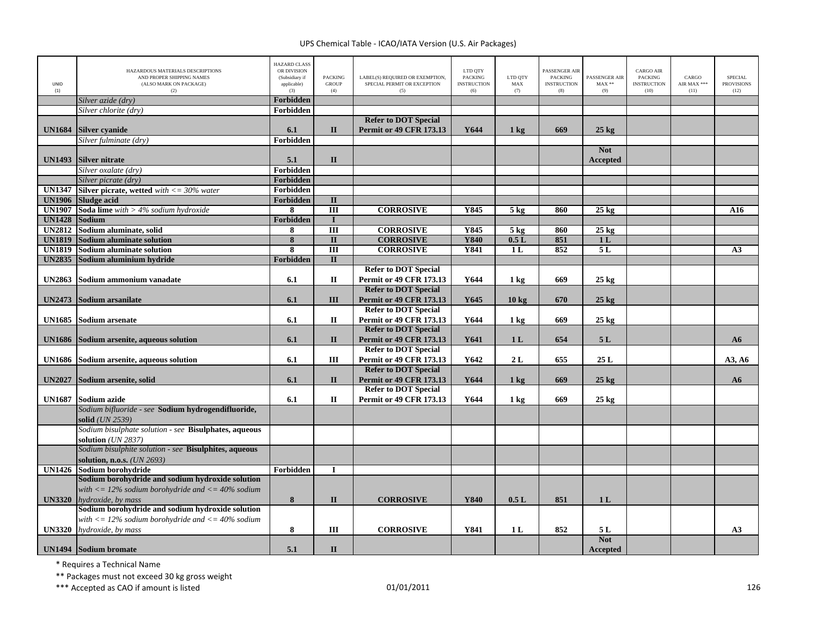| <b>UNID</b><br>(1) | HAZARDOUS MATERIALS DESCRIPTIONS<br>AND PROPER SHIPPING NAMES<br>(ALSO MARK ON PACKAGE)<br>(2)   | <b>HAZARD CLASS</b><br>OR DIVISION<br>(Subsidiary if<br>applicable)<br>(3) | <b>PACKING</b><br><b>GROUP</b><br>(4) | LABEL(S) REQUIRED OR EXEMPTION.<br>SPECIAL PERMIT OR EXCEPTION<br>(5) | LTD QTY<br><b>PACKING</b><br><b>INSTRUCTION</b><br>(6) | LTD OTY<br>MAX<br>(7) | <b>PASSENGER AIR</b><br><b>PACKING</b><br><b>INSTRUCTION</b><br>(8) | PASSENGER AIR<br>$MAX**$<br>(9) | <b>CARGO AIR</b><br><b>PACKING</b><br><b>INSTRUCTION</b><br>(10) | CARGO<br>AIR MAX ***<br>(11) | <b>SPECIAL</b><br><b>PROVISIONS</b><br>(12) |
|--------------------|--------------------------------------------------------------------------------------------------|----------------------------------------------------------------------------|---------------------------------------|-----------------------------------------------------------------------|--------------------------------------------------------|-----------------------|---------------------------------------------------------------------|---------------------------------|------------------------------------------------------------------|------------------------------|---------------------------------------------|
|                    | Silver azide (dry)                                                                               | Forbidden                                                                  |                                       |                                                                       |                                                        |                       |                                                                     |                                 |                                                                  |                              |                                             |
|                    | Silver chlorite (dry)                                                                            | Forbidden                                                                  |                                       |                                                                       |                                                        |                       |                                                                     |                                 |                                                                  |                              |                                             |
|                    |                                                                                                  |                                                                            |                                       | <b>Refer to DOT Special</b>                                           |                                                        |                       |                                                                     |                                 |                                                                  |                              |                                             |
| <b>UN1684</b>      | <b>Silver cyanide</b>                                                                            | 6.1                                                                        | $\mathbf{I}$                          | <b>Permit or 49 CFR 173.13</b>                                        | Y644                                                   | $1 \text{ kg}$        | 669                                                                 | $25 \text{ kg}$                 |                                                                  |                              |                                             |
|                    | Silver fulminate (dry)                                                                           | Forbidden                                                                  |                                       |                                                                       |                                                        |                       |                                                                     |                                 |                                                                  |                              |                                             |
|                    |                                                                                                  |                                                                            |                                       |                                                                       |                                                        |                       |                                                                     | <b>Not</b>                      |                                                                  |                              |                                             |
| <b>UN1493</b>      | <b>Silver nitrate</b>                                                                            | 5.1                                                                        | $\mathbf{I}$                          |                                                                       |                                                        |                       |                                                                     | Accepted                        |                                                                  |                              |                                             |
|                    | Silver oxalate (dry)                                                                             | Forbidden                                                                  |                                       |                                                                       |                                                        |                       |                                                                     |                                 |                                                                  |                              |                                             |
|                    | Silver picrate (dry)                                                                             | Forbidden                                                                  |                                       |                                                                       |                                                        |                       |                                                                     |                                 |                                                                  |                              |                                             |
| <b>UN1347</b>      | <b>Silver picrate, wetted</b> with $\langle 50 \rangle = 30\%$ water                             | Forbidden                                                                  |                                       |                                                                       |                                                        |                       |                                                                     |                                 |                                                                  |                              |                                             |
| <b>UN1906</b>      | <b>Sludge acid</b>                                                                               | Forbidden                                                                  | $\mathbf{I}$                          |                                                                       |                                                        |                       |                                                                     |                                 |                                                                  |                              |                                             |
| <b>UN1907</b>      | <b>Soda lime</b> with $>$ 4% sodium hydroxide                                                    | 8                                                                          | $\overline{III}$                      | <b>CORROSIVE</b>                                                      | Y845                                                   | 5 <sub>kg</sub>       | 860                                                                 | $25 \text{ kg}$                 |                                                                  |                              | A16                                         |
| <b>UN1428</b>      | Sodium                                                                                           | Forbidden                                                                  | $\mathbf{I}$                          |                                                                       |                                                        |                       |                                                                     |                                 |                                                                  |                              |                                             |
| <b>UN2812</b>      | Sodium aluminate, solid                                                                          | 8                                                                          | $\overline{\mathbf{H}}$               | <b>CORROSIVE</b>                                                      | Y845                                                   | 5 <sub>kg</sub>       | 860                                                                 | $25 \text{ kg}$                 |                                                                  |                              |                                             |
| <b>UN1819</b>      | <b>Sodium aluminate solution</b>                                                                 | $\overline{\mathbf{8}}$                                                    | $\overline{\mathbf{H}}$               | <b>CORROSIVE</b>                                                      | <b>Y840</b>                                            | 0.5L                  | 851                                                                 | 1 <sub>L</sub>                  |                                                                  |                              |                                             |
| <b>UN1819</b>      | <b>Sodium aluminate solution</b>                                                                 | 8                                                                          | $\overline{III}$                      | <b>CORROSIVE</b>                                                      | Y841                                                   | 1 <sub>L</sub>        | 852                                                                 | 5L                              |                                                                  |                              | A3                                          |
| <b>UN2835</b>      | Sodium aluminium hydride                                                                         | Forbidden                                                                  | $\Pi$                                 |                                                                       |                                                        |                       |                                                                     |                                 |                                                                  |                              |                                             |
|                    |                                                                                                  |                                                                            |                                       | <b>Refer to DOT Special</b>                                           |                                                        |                       |                                                                     |                                 |                                                                  |                              |                                             |
| <b>UN2863</b>      | Sodium ammonium vanadate                                                                         | 6.1                                                                        | П                                     | <b>Permit or 49 CFR 173.13</b>                                        | Y644                                                   | $1 \text{ kg}$        | 669                                                                 | $25 \text{ kg}$                 |                                                                  |                              |                                             |
|                    |                                                                                                  |                                                                            |                                       | <b>Refer to DOT Special</b>                                           |                                                        |                       |                                                                     |                                 |                                                                  |                              |                                             |
| <b>UN2473</b>      | Sodium arsanilate                                                                                | 6.1                                                                        | Ш                                     | Permit or 49 CFR 173.13                                               | Y645                                                   | 10 <sub>kg</sub>      | 670                                                                 | $25 \text{ kg}$                 |                                                                  |                              |                                             |
|                    |                                                                                                  |                                                                            |                                       | <b>Refer to DOT Special</b>                                           |                                                        |                       |                                                                     |                                 |                                                                  |                              |                                             |
| <b>UN1685</b>      | <b>Sodium</b> arsenate                                                                           | 6.1                                                                        | П                                     | <b>Permit or 49 CFR 173.13</b>                                        | Y644                                                   | $1 \text{ kg}$        | 669                                                                 | $25 \text{ kg}$                 |                                                                  |                              |                                             |
|                    |                                                                                                  |                                                                            |                                       | <b>Refer to DOT Special</b>                                           |                                                        |                       |                                                                     |                                 |                                                                  |                              |                                             |
| <b>UN1686</b>      | Sodium arsenite, aqueous solution                                                                | 6.1                                                                        | $\mathbf{I}$                          | <b>Permit or 49 CFR 173.13</b>                                        | Y641                                                   | 1 <sub>L</sub>        | 654                                                                 | 5L                              |                                                                  |                              | A6                                          |
|                    |                                                                                                  |                                                                            |                                       | <b>Refer to DOT Special</b>                                           |                                                        |                       |                                                                     |                                 |                                                                  |                              |                                             |
| <b>UN1686</b>      | Sodium arsenite, aqueous solution                                                                | 6.1                                                                        | III                                   | <b>Permit or 49 CFR 173.13</b>                                        | Y642                                                   | 2L                    | 655                                                                 | 25L                             |                                                                  |                              | A3, A6                                      |
|                    |                                                                                                  |                                                                            |                                       | <b>Refer to DOT Special</b>                                           |                                                        |                       |                                                                     |                                 |                                                                  |                              |                                             |
| <b>UN2027</b>      | Sodium arsenite, solid                                                                           | 6.1                                                                        | $\mathbf{I}$                          | <b>Permit or 49 CFR 173.13</b>                                        | Y644                                                   | $1 \text{ kg}$        | 669                                                                 | $25$ kg                         |                                                                  |                              | A6                                          |
|                    |                                                                                                  |                                                                            |                                       | <b>Refer to DOT Special</b>                                           |                                                        |                       |                                                                     |                                 |                                                                  |                              |                                             |
| <b>UN1687</b>      | Sodium azide                                                                                     | 6.1                                                                        | $\mathbf H$                           | <b>Permit or 49 CFR 173.13</b>                                        | Y644                                                   | 1 kg                  | 669                                                                 | $25$ kg                         |                                                                  |                              |                                             |
|                    | Sodium bifluoride - see Sodium hydrogendifluoride,                                               |                                                                            |                                       |                                                                       |                                                        |                       |                                                                     |                                 |                                                                  |                              |                                             |
|                    | solid (UN 2539)                                                                                  |                                                                            |                                       |                                                                       |                                                        |                       |                                                                     |                                 |                                                                  |                              |                                             |
|                    | Sodium bisulphate solution - see Bisulphates, aqueous                                            |                                                                            |                                       |                                                                       |                                                        |                       |                                                                     |                                 |                                                                  |                              |                                             |
|                    | solution $(UN 2837)$                                                                             |                                                                            |                                       |                                                                       |                                                        |                       |                                                                     |                                 |                                                                  |                              |                                             |
|                    | Sodium bisulphite solution - see Bisulphites, aqueous                                            |                                                                            |                                       |                                                                       |                                                        |                       |                                                                     |                                 |                                                                  |                              |                                             |
|                    | solution, n.o.s. (UN 2693)                                                                       |                                                                            |                                       |                                                                       |                                                        |                       |                                                                     |                                 |                                                                  |                              |                                             |
| <b>UN1426</b>      | Sodium borohydride                                                                               | Forbidden                                                                  | I                                     |                                                                       |                                                        |                       |                                                                     |                                 |                                                                  |                              |                                             |
|                    | Sodium borohydride and sodium hydroxide solution                                                 |                                                                            |                                       |                                                                       |                                                        |                       |                                                                     |                                 |                                                                  |                              |                                             |
|                    | with $\langle 12\% \text{ sodium borohydride} \text{ and } \langle 120\% \text{ sodium} \rangle$ |                                                                            |                                       |                                                                       |                                                        |                       |                                                                     |                                 |                                                                  |                              |                                             |
| <b>UN3320</b>      | hydroxide, by mass                                                                               | 8                                                                          | $\mathbf{I}$                          | <b>CORROSIVE</b>                                                      | Y840                                                   | 0.5L                  | 851                                                                 | 1 <sub>L</sub>                  |                                                                  |                              |                                             |
|                    | Sodium borohydride and sodium hydroxide solution                                                 |                                                                            |                                       |                                                                       |                                                        |                       |                                                                     |                                 |                                                                  |                              |                                             |
|                    | with $\langle 12\% \text{ sodium borohydride} \text{ and } \langle 120\% \text{ sodium} \rangle$ |                                                                            |                                       |                                                                       |                                                        |                       |                                                                     |                                 |                                                                  |                              |                                             |
| <b>UN3320</b>      | hydroxide, by mass                                                                               | 8                                                                          | III                                   | <b>CORROSIVE</b>                                                      | Y841                                                   | 1 <sub>L</sub>        | 852                                                                 | 5 L                             |                                                                  |                              | A3                                          |
|                    |                                                                                                  |                                                                            |                                       |                                                                       |                                                        |                       |                                                                     | <b>Not</b>                      |                                                                  |                              |                                             |
|                    | <b>UN1494</b> Sodium bromate                                                                     | 5.1                                                                        | $\mathbf{I}$                          |                                                                       |                                                        |                       |                                                                     | Accepted                        |                                                                  |                              |                                             |

\* Requires <sup>a</sup> Technical Name

\*\* Packages must not exceed 30 kg gross weight

\*\*\* Accepted as CAO if amount is listed 126 per control to the control of the 126 per control of the control of the control of the control of the control of the control of the control of the control of the control of the c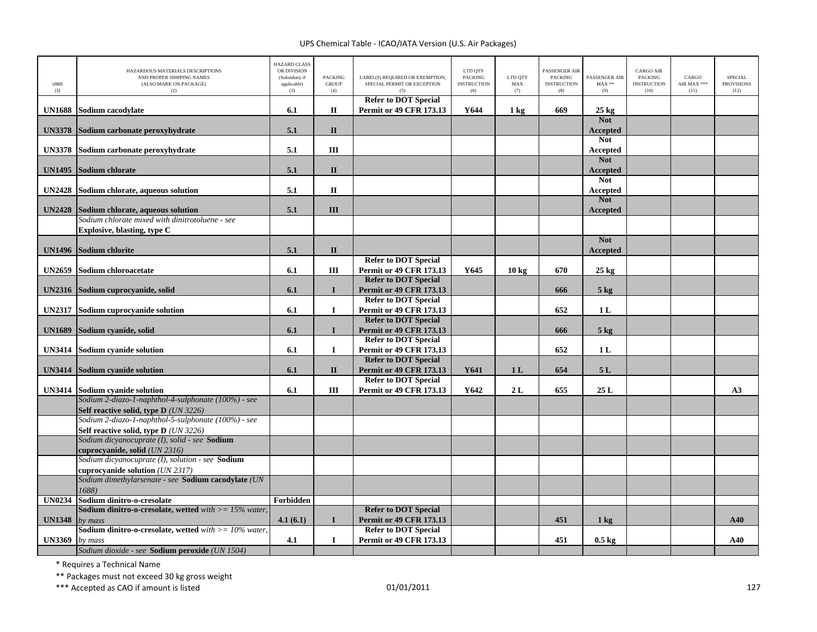| UNID<br>(1)   | HAZARDOUS MATERIALS DESCRIPTIONS<br>AND PROPER SHIPPING NAMES<br>(ALSO MARK ON PACKAGE)<br>(2) | <b>HAZARD CLASS</b><br>OR DIVISION<br>(Subsidiary if<br>applicable)<br>(3) | <b>PACKING</b><br><b>GROUP</b><br>(4) | LABEL(S) REQUIRED OR EXEMPTION.<br>SPECIAL PERMIT OR EXCEPTION | LTD QTY<br><b>PACKING</b><br><b>INSTRUCTION</b><br>(6) | LTD OTY<br>MAX<br>(7) | <b>PASSENGER AIR</b><br><b>PACKING</b><br><b>INSTRUCTION</b><br>(8) | PASSENGER AIR<br>$\text{MAX}$ **<br>(9) | <b>CARGO AIR</b><br><b>PACKING</b><br><b>INSTRUCTION</b><br>(10) | CARGO<br>AIR MAX ***<br>(11) | <b>SPECIAL</b><br><b>PROVISIONS</b><br>(12) |
|---------------|------------------------------------------------------------------------------------------------|----------------------------------------------------------------------------|---------------------------------------|----------------------------------------------------------------|--------------------------------------------------------|-----------------------|---------------------------------------------------------------------|-----------------------------------------|------------------------------------------------------------------|------------------------------|---------------------------------------------|
|               |                                                                                                |                                                                            |                                       | <b>Refer to DOT Special</b>                                    |                                                        |                       |                                                                     |                                         |                                                                  |                              |                                             |
| <b>UN1688</b> | Sodium cacodylate                                                                              | 6.1                                                                        | П                                     | <b>Permit or 49 CFR 173.13</b>                                 | Y644                                                   | 1 kg                  | 669                                                                 | $25 \text{ kg}$<br><b>Not</b>           |                                                                  |                              |                                             |
| <b>UN3378</b> | Sodium carbonate peroxyhydrate                                                                 | 5.1                                                                        | $\mathbf{I}$                          |                                                                |                                                        |                       |                                                                     | <b>Accepted</b>                         |                                                                  |                              |                                             |
|               |                                                                                                |                                                                            |                                       |                                                                |                                                        |                       |                                                                     | <b>Not</b>                              |                                                                  |                              |                                             |
| <b>UN3378</b> | Sodium carbonate peroxyhydrate                                                                 | 5.1                                                                        | Ш                                     |                                                                |                                                        |                       |                                                                     | Accepted                                |                                                                  |                              |                                             |
|               |                                                                                                |                                                                            |                                       |                                                                |                                                        |                       |                                                                     | <b>Not</b>                              |                                                                  |                              |                                             |
| <b>UN1495</b> | Sodium chlorate                                                                                | 5.1                                                                        | $\mathbf{I}$                          |                                                                |                                                        |                       |                                                                     | Accepted                                |                                                                  |                              |                                             |
|               |                                                                                                |                                                                            |                                       |                                                                |                                                        |                       |                                                                     | <b>Not</b>                              |                                                                  |                              |                                             |
| <b>UN2428</b> | Sodium chlorate, aqueous solution                                                              | 5.1                                                                        | $\mathbf{I}$                          |                                                                |                                                        |                       |                                                                     | <b>Accepted</b>                         |                                                                  |                              |                                             |
|               |                                                                                                |                                                                            |                                       |                                                                |                                                        |                       |                                                                     | <b>Not</b>                              |                                                                  |                              |                                             |
| <b>UN2428</b> | Sodium chlorate, aqueous solution                                                              | 5.1                                                                        | III                                   |                                                                |                                                        |                       |                                                                     | <b>Accepted</b>                         |                                                                  |                              |                                             |
|               | Sodium chlorate mixed with dinitrotoluene - see                                                |                                                                            |                                       |                                                                |                                                        |                       |                                                                     |                                         |                                                                  |                              |                                             |
|               | Explosive, blasting, type C                                                                    |                                                                            |                                       |                                                                |                                                        |                       |                                                                     | <b>Not</b>                              |                                                                  |                              |                                             |
| <b>UN1496</b> | <b>Sodium chlorite</b>                                                                         | 5.1                                                                        | $\mathbf{I}$                          |                                                                |                                                        |                       |                                                                     |                                         |                                                                  |                              |                                             |
|               |                                                                                                |                                                                            |                                       | <b>Refer to DOT Special</b>                                    |                                                        |                       |                                                                     | <b>Accepted</b>                         |                                                                  |                              |                                             |
| <b>UN2659</b> | Sodium chloroacetate                                                                           | 6.1                                                                        | Ш                                     | <b>Permit or 49 CFR 173.13</b>                                 | Y645                                                   | 10 <sub>kg</sub>      | 670                                                                 | $25 \text{ kg}$                         |                                                                  |                              |                                             |
|               |                                                                                                |                                                                            |                                       | <b>Refer to DOT Special</b>                                    |                                                        |                       |                                                                     |                                         |                                                                  |                              |                                             |
| <b>UN2316</b> | Sodium cuprocyanide, solid                                                                     | 6.1                                                                        | $\mathbf I$                           | Permit or 49 CFR 173.13                                        |                                                        |                       | 666                                                                 | $5$ kg                                  |                                                                  |                              |                                             |
|               |                                                                                                |                                                                            |                                       | <b>Refer to DOT Special</b>                                    |                                                        |                       |                                                                     |                                         |                                                                  |                              |                                             |
| <b>UN2317</b> | Sodium cuprocyanide solution                                                                   | 6.1                                                                        | $\bf{I}$                              | <b>Permit or 49 CFR 173.13</b>                                 |                                                        |                       | 652                                                                 | 1 <sub>L</sub>                          |                                                                  |                              |                                             |
|               |                                                                                                |                                                                            |                                       | <b>Refer to DOT Special</b>                                    |                                                        |                       |                                                                     |                                         |                                                                  |                              |                                             |
| <b>UN1689</b> | Sodium cyanide, solid                                                                          | 6.1                                                                        | $\mathbf I$                           | <b>Permit or 49 CFR 173.13</b>                                 |                                                        |                       | 666                                                                 | 5 <sub>kg</sub>                         |                                                                  |                              |                                             |
|               |                                                                                                |                                                                            |                                       | <b>Refer to DOT Special</b>                                    |                                                        |                       |                                                                     |                                         |                                                                  |                              |                                             |
| <b>UN3414</b> | Sodium cyanide solution                                                                        | 6.1                                                                        | 1                                     | Permit or 49 CFR 173.13                                        |                                                        |                       | 652                                                                 | 1 <sub>L</sub>                          |                                                                  |                              |                                             |
|               |                                                                                                |                                                                            |                                       | <b>Refer to DOT Special</b>                                    |                                                        |                       |                                                                     |                                         |                                                                  |                              |                                             |
| <b>UN3414</b> | <b>Sodium cyanide solution</b>                                                                 | 6.1                                                                        | $\mathbf{I}$                          | <b>Permit or 49 CFR 173.13</b><br><b>Refer to DOT Special</b>  | Y641                                                   | 1 <sub>L</sub>        | 654                                                                 | 5L                                      |                                                                  |                              |                                             |
|               |                                                                                                |                                                                            | Ш                                     | <b>Permit or 49 CFR 173.13</b>                                 | Y642                                                   | 2L                    | 655                                                                 | 25 L                                    |                                                                  |                              | A3                                          |
| <b>UN3414</b> | Sodium cyanide solution<br>Sodium 2-diazo-1-naphthol-4-sulphonate (100%) - see                 | 6.1                                                                        |                                       |                                                                |                                                        |                       |                                                                     |                                         |                                                                  |                              |                                             |
|               | Self reactive solid, type D (UN 3226)                                                          |                                                                            |                                       |                                                                |                                                        |                       |                                                                     |                                         |                                                                  |                              |                                             |
|               | Sodium 2-diazo-1-naphthol-5-sulphonate (100%) - see                                            |                                                                            |                                       |                                                                |                                                        |                       |                                                                     |                                         |                                                                  |                              |                                             |
|               | Self reactive solid, type D (UN 3226)                                                          |                                                                            |                                       |                                                                |                                                        |                       |                                                                     |                                         |                                                                  |                              |                                             |
|               | Sodium dicyanocuprate (I), solid - see Sodium                                                  |                                                                            |                                       |                                                                |                                                        |                       |                                                                     |                                         |                                                                  |                              |                                             |
|               | cuprocyanide, solid <i>(UN 2316)</i>                                                           |                                                                            |                                       |                                                                |                                                        |                       |                                                                     |                                         |                                                                  |                              |                                             |
|               | Sodium dicyanocuprate (I), solution - see Sodium                                               |                                                                            |                                       |                                                                |                                                        |                       |                                                                     |                                         |                                                                  |                              |                                             |
|               | cuprocyanide solution (UN 2317)                                                                |                                                                            |                                       |                                                                |                                                        |                       |                                                                     |                                         |                                                                  |                              |                                             |
|               | Sodium dimethylarsenate - see Sodium cacodylate (UN                                            |                                                                            |                                       |                                                                |                                                        |                       |                                                                     |                                         |                                                                  |                              |                                             |
|               | 1688)                                                                                          |                                                                            |                                       |                                                                |                                                        |                       |                                                                     |                                         |                                                                  |                              |                                             |
| <b>UN0234</b> | Sodium dinitro-o-cresolate<br><b>Sodium dinitro-o-cresolate, wetted</b> with $>= 15\%$ water,  | Forbidden                                                                  |                                       |                                                                |                                                        |                       |                                                                     |                                         |                                                                  |                              |                                             |
| <b>UN1348</b> |                                                                                                | 4.1(6.1)                                                                   | $\bf{I}$                              | <b>Refer to DOT Special</b><br><b>Permit or 49 CFR 173.13</b>  |                                                        |                       | 451                                                                 | $1 \text{ kg}$                          |                                                                  |                              | A40                                         |
|               | by mass<br><b>Sodium dinitro-o-cresolate, wetted</b> with $> = 10\%$ water,                    |                                                                            |                                       | <b>Refer to DOT Special</b>                                    |                                                        |                       |                                                                     |                                         |                                                                  |                              |                                             |
| <b>UN3369</b> | by mass                                                                                        | 4.1                                                                        | 1                                     | <b>Permit or 49 CFR 173.13</b>                                 |                                                        |                       | 451                                                                 | $0.5 \text{ kg}$                        |                                                                  |                              | A40                                         |
|               | Sodium dioxide - see Sodium peroxide (UN 1504)                                                 |                                                                            |                                       |                                                                |                                                        |                       |                                                                     |                                         |                                                                  |                              |                                             |

\* Requires <sup>a</sup> Technical Name

\*\* Packages must not exceed 30 kg gross weight

\*\*\* Accepted as CAO if amount is listed 127 and the control of the control of the control of the control of the control of the control of the control of the control of the control of the control of the control of the contr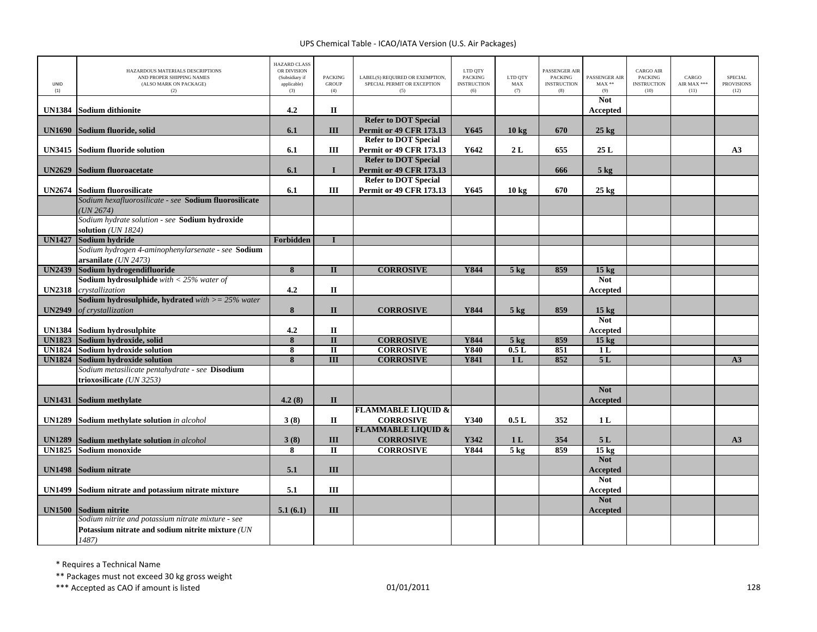| UNID<br>(1)   | HAZARDOUS MATERIALS DESCRIPTIONS<br>AND PROPER SHIPPING NAMES<br>(ALSO MARK ON PACKAGE)<br>(2)                  | <b>HAZARD CLASS</b><br>OR DIVISION<br>(Subsidiary if<br>applicable)<br>(3) | <b>PACKING</b><br><b>GROUP</b><br>(4) | LABEL(S) REQUIRED OR EXEMPTION,<br>SPECIAL PERMIT OR EXCEPTION<br>(5) | LTD QTY<br><b>PACKING</b><br><b>INSTRUCTION</b><br>(6) | LTD QTY<br>MAX<br>(7) | <b>PASSENGER AIR</b><br><b>PACKING</b><br><b>INSTRUCTION</b><br>(8) | PASSENGER AIR<br>$MAX**$<br>(9) | <b>CARGO AIR</b><br>PACKING<br><b>INSTRUCTION</b><br>(10) | CARGO<br>AIR MAX ***<br>(11) | SPECIAL<br><b>PROVISIONS</b><br>(12) |
|---------------|-----------------------------------------------------------------------------------------------------------------|----------------------------------------------------------------------------|---------------------------------------|-----------------------------------------------------------------------|--------------------------------------------------------|-----------------------|---------------------------------------------------------------------|---------------------------------|-----------------------------------------------------------|------------------------------|--------------------------------------|
| <b>UN1384</b> | Sodium dithionite                                                                                               | 4.2                                                                        | П                                     |                                                                       |                                                        |                       |                                                                     | <b>Not</b><br>Accepted          |                                                           |                              |                                      |
|               |                                                                                                                 |                                                                            |                                       | <b>Refer to DOT Special</b>                                           |                                                        |                       |                                                                     |                                 |                                                           |                              |                                      |
| <b>UN1690</b> | Sodium fluoride, solid                                                                                          | 6.1                                                                        | III                                   | <b>Permit or 49 CFR 173.13</b>                                        | Y645                                                   | $10 \text{ kg}$       | 670                                                                 | $25 \text{ kg}$                 |                                                           |                              |                                      |
|               |                                                                                                                 |                                                                            |                                       | <b>Refer to DOT Special</b>                                           |                                                        |                       |                                                                     |                                 |                                                           |                              |                                      |
| <b>UN3415</b> | Sodium fluoride solution                                                                                        | 6.1                                                                        | III                                   | <b>Permit or 49 CFR 173.13</b>                                        | Y642                                                   | 2L                    | 655                                                                 | 25 L                            |                                                           |                              | A3                                   |
|               |                                                                                                                 |                                                                            |                                       | <b>Refer to DOT Special</b>                                           |                                                        |                       |                                                                     |                                 |                                                           |                              |                                      |
| <b>UN2629</b> | <b>Sodium fluoroacetate</b>                                                                                     | 6.1                                                                        | $\bf{I}$                              | <b>Permit or 49 CFR 173.13</b>                                        |                                                        |                       | 666                                                                 | 5 <sub>kg</sub>                 |                                                           |                              |                                      |
|               |                                                                                                                 |                                                                            |                                       | <b>Refer to DOT Special</b>                                           |                                                        |                       |                                                                     |                                 |                                                           |                              |                                      |
| <b>UN2674</b> | Sodium fluorosilicate<br>Sodium hexafluorosilicate - see Sodium fluorosilicate                                  | 6.1                                                                        | Ш                                     | <b>Permit or 49 CFR 173.13</b>                                        | Y645                                                   | 10 kg                 | 670                                                                 | $25 \text{ kg}$                 |                                                           |                              |                                      |
|               | UN 2674)                                                                                                        |                                                                            |                                       |                                                                       |                                                        |                       |                                                                     |                                 |                                                           |                              |                                      |
|               | Sodium hydrate solution - see Sodium hydroxide                                                                  |                                                                            |                                       |                                                                       |                                                        |                       |                                                                     |                                 |                                                           |                              |                                      |
|               | solution (UN 1824)                                                                                              |                                                                            |                                       |                                                                       |                                                        |                       |                                                                     |                                 |                                                           |                              |                                      |
| <b>UN1427</b> | Sodium hydride                                                                                                  | Forbidden                                                                  | $\mathbf I$                           |                                                                       |                                                        |                       |                                                                     |                                 |                                                           |                              |                                      |
|               | Sodium hydrogen 4-aminophenylarsenate - see Sodium                                                              |                                                                            |                                       |                                                                       |                                                        |                       |                                                                     |                                 |                                                           |                              |                                      |
|               | arsanilate (UN 2473)                                                                                            |                                                                            |                                       |                                                                       |                                                        |                       |                                                                     |                                 |                                                           |                              |                                      |
| <b>UN2439</b> | Sodium hydrogendifluoride                                                                                       | $\overline{\mathbf{8}}$                                                    | $\mathbf{I}$                          | <b>CORROSIVE</b>                                                      | Y844                                                   | $5$ kg                | 859                                                                 | 15 <sub>kg</sub>                |                                                           |                              |                                      |
|               | <b>Sodium hydrosulphide</b> with $<$ 25% water of                                                               |                                                                            |                                       |                                                                       |                                                        |                       |                                                                     | <b>Not</b>                      |                                                           |                              |                                      |
| <b>UN2318</b> | crystallization<br><b>Sodium hydrosulphide, hydrated</b> with $>= 25\%$ water                                   | 4.2                                                                        | $\mathbf{I}$                          |                                                                       |                                                        |                       |                                                                     | Accepted                        |                                                           |                              |                                      |
| <b>UN2949</b> | of crystallization                                                                                              | 8                                                                          | $\mathbf{I}$                          | <b>CORROSIVE</b>                                                      | Y844                                                   | $5 \text{ kg}$        | 859                                                                 | 15 <sub>kg</sub>                |                                                           |                              |                                      |
|               |                                                                                                                 |                                                                            |                                       |                                                                       |                                                        |                       |                                                                     | <b>Not</b>                      |                                                           |                              |                                      |
|               | UN1384 Sodium hydrosulphite                                                                                     | 4.2                                                                        | $\mathbf{I}$                          |                                                                       |                                                        |                       |                                                                     | Accepted                        |                                                           |                              |                                      |
| <b>UN1823</b> | Sodium hydroxide, solid                                                                                         | $\overline{\bf 8}$                                                         | $\overline{\mathbf{u}}$               | <b>CORROSIVE</b>                                                      | <b>Y844</b>                                            | $5$ kg                | 859                                                                 | 15 <sub>kg</sub>                |                                                           |                              |                                      |
| <b>UN1824</b> | Sodium hydroxide solution                                                                                       | 8                                                                          | $\overline{\mathbf{u}}$               | <b>CORROSIVE</b>                                                      | <b>Y840</b>                                            | 0.5L                  | 851                                                                 | 1L                              |                                                           |                              |                                      |
| <b>UN1824</b> | Sodium hydroxide solution                                                                                       | 8                                                                          | $\overline{III}$                      | <b>CORROSIVE</b>                                                      | <b>Y841</b>                                            | 1 <sub>L</sub>        | 852                                                                 | 5L                              |                                                           |                              | A3                                   |
|               | Sodium metasilicate pentahydrate - see Disodium                                                                 |                                                                            |                                       |                                                                       |                                                        |                       |                                                                     |                                 |                                                           |                              |                                      |
|               | trioxosilicate (UN 3253)                                                                                        |                                                                            |                                       |                                                                       |                                                        |                       |                                                                     |                                 |                                                           |                              |                                      |
| <b>UN1431</b> | Sodium methylate                                                                                                | 4.2(8)                                                                     | $\mathbf{I}$                          |                                                                       |                                                        |                       |                                                                     | <b>Not</b><br><b>Accepted</b>   |                                                           |                              |                                      |
|               |                                                                                                                 |                                                                            |                                       | <b>FLAMMABLE LIQUID &amp;</b>                                         |                                                        |                       |                                                                     |                                 |                                                           |                              |                                      |
| <b>UN1289</b> | Sodium methylate solution in alcohol                                                                            | 3(8)                                                                       | $\mathbf{I}$                          | <b>CORROSIVE</b>                                                      | Y340                                                   | 0.5L                  | 352                                                                 | 1 <sub>L</sub>                  |                                                           |                              |                                      |
|               |                                                                                                                 |                                                                            |                                       | <b>FLAMMABLE LIQUID &amp;</b>                                         |                                                        |                       |                                                                     |                                 |                                                           |                              |                                      |
| <b>UN1289</b> | Sodium methylate solution in alcohol                                                                            | 3(8)                                                                       | III                                   | <b>CORROSIVE</b>                                                      | Y342                                                   | 1 <sub>L</sub>        | 354                                                                 | 5L                              |                                                           |                              | A3                                   |
| <b>UN1825</b> | Sodium monoxide                                                                                                 | 8                                                                          | $\overline{\mathbf{u}}$               | <b>CORROSIVE</b>                                                      | Y844                                                   | $5$ kg                | 859                                                                 | $15 \text{ kg}$                 |                                                           |                              |                                      |
| <b>UN1498</b> | <b>Sodium nitrate</b>                                                                                           | 5.1                                                                        | III                                   |                                                                       |                                                        |                       |                                                                     | <b>Not</b><br><b>Accepted</b>   |                                                           |                              |                                      |
|               |                                                                                                                 |                                                                            |                                       |                                                                       |                                                        |                       |                                                                     | <b>Not</b>                      |                                                           |                              |                                      |
| <b>UN1499</b> | Sodium nitrate and potassium nitrate mixture                                                                    | 5.1                                                                        | III                                   |                                                                       |                                                        |                       |                                                                     | Accepted                        |                                                           |                              |                                      |
|               |                                                                                                                 |                                                                            |                                       |                                                                       |                                                        |                       |                                                                     | <b>Not</b>                      |                                                           |                              |                                      |
|               | UN1500 Sodium nitrite                                                                                           | 5.1(6.1)                                                                   | III                                   |                                                                       |                                                        |                       |                                                                     | Accepted                        |                                                           |                              |                                      |
|               | Sodium nitrite and potassium nitrate mixture - see<br>Potassium nitrate and sodium nitrite mixture (UN<br>1487) |                                                                            |                                       |                                                                       |                                                        |                       |                                                                     |                                 |                                                           |                              |                                      |

\* Requires <sup>a</sup> Technical Name

\*\* Packages must not exceed 30 kg gross weight

\*\*\* Accepted as CAO if amount is listed 128 and the control of the control of the control of the control of the control of the control of the control of the control of the control of the control of the control of the contr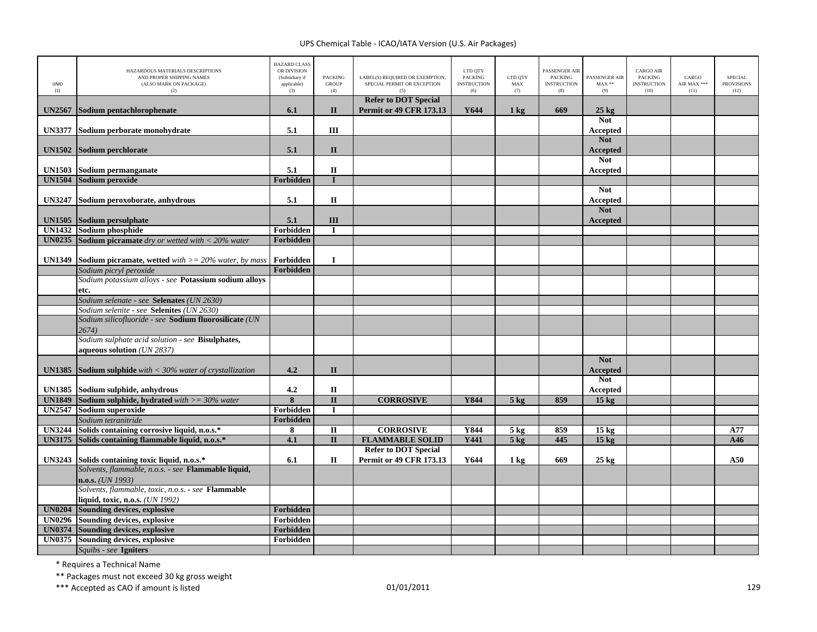| UNID<br>(1)   | HAZARDOUS MATERIALS DESCRIPTIONS<br>AND PROPER SHIPPING NAMES<br>(ALSO MARK ON PACKAGE)<br>(2) | <b>HAZARD CLASS</b><br>OR DIVISION<br>(Subsidiary if<br>applicable)<br>(3) | <b>PACKING</b><br><b>GROUP</b><br>(4) | LABEL(S) REQUIRED OR EXEMPTION,<br>SPECIAL PERMIT OR EXCEPTION<br>(5) | LTD QTY<br><b>PACKING</b><br><b>INSTRUCTION</b><br>(6) | LTD QTY<br>MAX<br>(7) | PASSENGER AIR<br><b>PACKING</b><br><b>INSTRUCTION</b><br>(8) | PASSENGER AIR<br>$MAX**$<br>(9) | <b>CARGO AIR</b><br>PACKING<br><b>INSTRUCTION</b><br>(10) | CARGO<br>AIR MAX ***<br>(11) | <b>SPECIAL</b><br><b>PROVISIONS</b><br>(12) |
|---------------|------------------------------------------------------------------------------------------------|----------------------------------------------------------------------------|---------------------------------------|-----------------------------------------------------------------------|--------------------------------------------------------|-----------------------|--------------------------------------------------------------|---------------------------------|-----------------------------------------------------------|------------------------------|---------------------------------------------|
| <b>UN2567</b> | Sodium pentachlorophenate                                                                      | 6.1                                                                        | $\mathbf{I}$                          | <b>Refer to DOT Special</b><br><b>Permit or 49 CFR 173.13</b>         | Y644                                                   | $1 \text{ kg}$        | 669                                                          | $25$ kg                         |                                                           |                              |                                             |
|               |                                                                                                |                                                                            |                                       |                                                                       |                                                        |                       |                                                              | <b>Not</b>                      |                                                           |                              |                                             |
| <b>UN3377</b> | Sodium perborate monohydrate                                                                   | 5.1                                                                        | Ш                                     |                                                                       |                                                        |                       |                                                              | Accepted                        |                                                           |                              |                                             |
|               |                                                                                                |                                                                            |                                       |                                                                       |                                                        |                       |                                                              | <b>Not</b>                      |                                                           |                              |                                             |
| <b>UN1502</b> | Sodium perchlorate                                                                             | 5.1                                                                        | $\mathbf{I}$                          |                                                                       |                                                        |                       |                                                              | Accepted                        |                                                           |                              |                                             |
|               |                                                                                                |                                                                            |                                       |                                                                       |                                                        |                       |                                                              | <b>Not</b>                      |                                                           |                              |                                             |
| <b>UN1503</b> | Sodium permanganate                                                                            | 5.1                                                                        | $\mathbf{I}$                          |                                                                       |                                                        |                       |                                                              | Accepted                        |                                                           |                              |                                             |
| <b>UN1504</b> | Sodium peroxide                                                                                | Forbidden                                                                  | $\mathbf{I}$                          |                                                                       |                                                        |                       |                                                              |                                 |                                                           |                              |                                             |
|               |                                                                                                |                                                                            |                                       |                                                                       |                                                        |                       |                                                              | <b>Not</b>                      |                                                           |                              |                                             |
| <b>UN3247</b> | Sodium peroxoborate, anhydrous                                                                 | 5.1                                                                        | $\mathbf{I}$                          |                                                                       |                                                        |                       |                                                              | Accepted                        |                                                           |                              |                                             |
|               |                                                                                                |                                                                            |                                       |                                                                       |                                                        |                       |                                                              | <b>Not</b>                      |                                                           |                              |                                             |
| <b>UN1505</b> | Sodium persulphate                                                                             | 5.1                                                                        | III                                   |                                                                       |                                                        |                       |                                                              | Accepted                        |                                                           |                              |                                             |
| <b>UN1432</b> | Sodium phosphide                                                                               | Forbidden                                                                  | $\mathbf I$                           |                                                                       |                                                        |                       |                                                              |                                 |                                                           |                              |                                             |
|               | <b>UN0235</b> Sodium picramate dry or wetted with $<$ 20% water                                | Forbidden                                                                  |                                       |                                                                       |                                                        |                       |                                                              |                                 |                                                           |                              |                                             |
| <b>UN1349</b> | <b>Sodium picramate, wetted</b> with $\geq$ 20% water, by mass                                 | Forbidden                                                                  | $\bf{I}$                              |                                                                       |                                                        |                       |                                                              |                                 |                                                           |                              |                                             |
|               | Sodium picryl peroxide                                                                         | Forbidden                                                                  |                                       |                                                                       |                                                        |                       |                                                              |                                 |                                                           |                              |                                             |
|               | Sodium potassium alloys - see Potassium sodium alloys                                          |                                                                            |                                       |                                                                       |                                                        |                       |                                                              |                                 |                                                           |                              |                                             |
|               | etc.                                                                                           |                                                                            |                                       |                                                                       |                                                        |                       |                                                              |                                 |                                                           |                              |                                             |
|               | Sodium selenate - see Selenates (UN 2630)                                                      |                                                                            |                                       |                                                                       |                                                        |                       |                                                              |                                 |                                                           |                              |                                             |
|               | Sodium selenite - see Selenites (UN 2630)                                                      |                                                                            |                                       |                                                                       |                                                        |                       |                                                              |                                 |                                                           |                              |                                             |
|               | Sodium silicofluoride - see Sodium fluorosilicate (UN                                          |                                                                            |                                       |                                                                       |                                                        |                       |                                                              |                                 |                                                           |                              |                                             |
|               | 2674)                                                                                          |                                                                            |                                       |                                                                       |                                                        |                       |                                                              |                                 |                                                           |                              |                                             |
|               | Sodium sulphate acid solution - see Bisulphates,                                               |                                                                            |                                       |                                                                       |                                                        |                       |                                                              |                                 |                                                           |                              |                                             |
|               | aqueous solution (UN 2837)                                                                     |                                                                            |                                       |                                                                       |                                                        |                       |                                                              |                                 |                                                           |                              |                                             |
|               |                                                                                                |                                                                            |                                       |                                                                       |                                                        |                       |                                                              | <b>Not</b>                      |                                                           |                              |                                             |
| <b>UN1385</b> | <b>Sodium sulphide</b> with $<$ 30% water of crystallization                                   | 4.2                                                                        | $\mathbf{I}$                          |                                                                       |                                                        |                       |                                                              | <b>Accepted</b><br><b>Not</b>   |                                                           |                              |                                             |
|               | UN1385 Sodium sulphide, anhydrous                                                              | 4.2                                                                        | $\mathbf{I}$                          |                                                                       |                                                        |                       |                                                              | Accepted                        |                                                           |                              |                                             |
| <b>UN1849</b> | <b>Sodium sulphide, hydrated</b> with $>=$ 30% water                                           | $\overline{\mathbf{8}}$                                                    | $\overline{\mathbf{u}}$               | <b>CORROSIVE</b>                                                      | Y844                                                   | $5$ kg                | 859                                                          | 15 <sub>kg</sub>                |                                                           |                              |                                             |
| <b>UN2547</b> | Sodium superoxide                                                                              | Forbidden                                                                  | $\mathbf{I}$                          |                                                                       |                                                        |                       |                                                              |                                 |                                                           |                              |                                             |
|               | Sodium tetranitride                                                                            | Forbidden                                                                  |                                       |                                                                       |                                                        |                       |                                                              |                                 |                                                           |                              |                                             |
| <b>UN3244</b> | Solids containing corrosive liquid, n.o.s.*                                                    | 8                                                                          | $\mathbf{I}$                          | <b>CORROSIVE</b>                                                      | Y844                                                   | $5 \text{ kg}$        | 859                                                          | $15 \text{ kg}$                 |                                                           |                              | A77                                         |
| <b>UN3175</b> | Solids containing flammable liquid, n.o.s.*                                                    | 4.1                                                                        | $\overline{\mathbf{u}}$               | <b>FLAMMABLE SOLID</b>                                                | <b>Y441</b>                                            | $5$ kg                | 445                                                          | 15 <sub>kg</sub>                |                                                           |                              | A46                                         |
|               |                                                                                                |                                                                            |                                       | <b>Refer to DOT Special</b>                                           |                                                        |                       |                                                              |                                 |                                                           |                              |                                             |
| <b>UN3243</b> | Solids containing toxic liquid, n.o.s.*                                                        | 6.1                                                                        | П                                     | <b>Permit or 49 CFR 173.13</b>                                        | Y644                                                   | 1 kg                  | 669                                                          | $25 \text{ kg}$                 |                                                           |                              | A50                                         |
|               | Solvents, flammable, n.o.s. - see Flammable liquid,                                            |                                                                            |                                       |                                                                       |                                                        |                       |                                                              |                                 |                                                           |                              |                                             |
|               | $n.o.s.$ ( <i>UN 1993</i> )                                                                    |                                                                            |                                       |                                                                       |                                                        |                       |                                                              |                                 |                                                           |                              |                                             |
|               | Solvents, flammable, toxic, n.o.s. - see Flammable                                             |                                                                            |                                       |                                                                       |                                                        |                       |                                                              |                                 |                                                           |                              |                                             |
|               | liquid, toxic, n.o.s. (UN 1992)                                                                |                                                                            |                                       |                                                                       |                                                        |                       |                                                              |                                 |                                                           |                              |                                             |
| <b>UN0204</b> | <b>Sounding devices, explosive</b>                                                             | Forbidden                                                                  |                                       |                                                                       |                                                        |                       |                                                              |                                 |                                                           |                              |                                             |
| <b>UN0296</b> | Sounding devices, explosive                                                                    | Forbidden                                                                  |                                       |                                                                       |                                                        |                       |                                                              |                                 |                                                           |                              |                                             |
| <b>UN0374</b> | <b>Sounding devices, explosive</b>                                                             | Forbidden                                                                  |                                       |                                                                       |                                                        |                       |                                                              |                                 |                                                           |                              |                                             |
| <b>UN0375</b> | Sounding devices, explosive                                                                    | Forbidden                                                                  |                                       |                                                                       |                                                        |                       |                                                              |                                 |                                                           |                              |                                             |
|               | Squibs - see Igniters                                                                          |                                                                            |                                       |                                                                       |                                                        |                       |                                                              |                                 |                                                           |                              |                                             |

\* Requires <sup>a</sup> Technical Name

\*\* Packages must not exceed 30 kg gross weight

\*\*\* Accepted as CAO if amount is listed 01/01/2011 <sup>129</sup>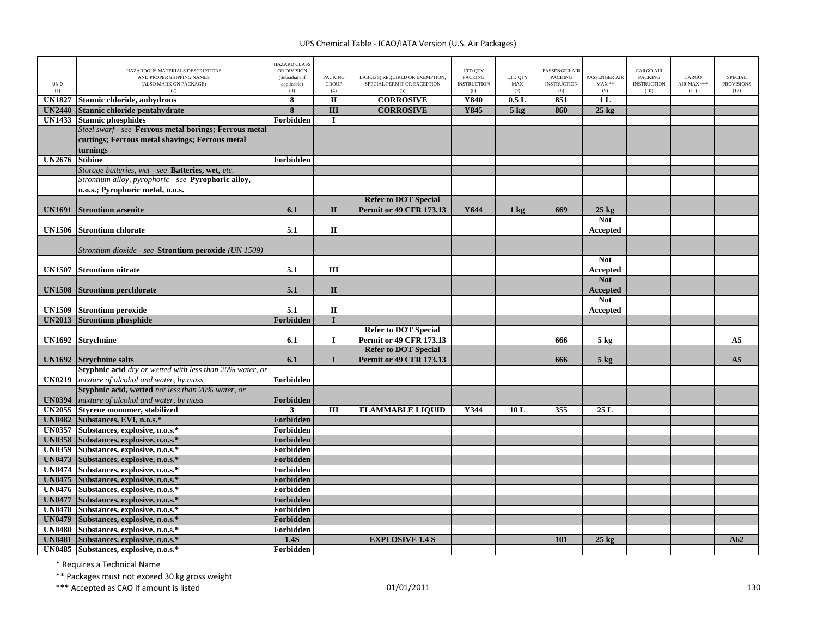| <b>UNID</b><br>(1) | HAZARDOUS MATERIALS DESCRIPTIONS<br>AND PROPER SHIPPING NAMES<br>(ALSO MARK ON PACKAGE)<br>(2) | <b>HAZARD CLASS</b><br>OR DIVISION<br>(Subsidiary if<br>applicable)<br>(3) | <b>PACKING</b><br><b>GROUP</b><br>(4) | LABEL(S) REQUIRED OR EXEMPTION,<br>SPECIAL PERMIT OR EXCEPTION<br>(5) | LTD QTY<br><b>PACKING</b><br><b>INSTRUCTION</b><br>(6) | LTD OTY<br>MAX<br>(7) | <b>PASSENGER AIR</b><br><b>PACKING</b><br><b>INSTRUCTION</b><br>(8) | PASSENGER AIR<br>$\text{MAX}$ **<br>(9) | <b>CARGO AIR</b><br><b>PACKING</b><br><b>INSTRUCTION</b><br>(10) | CARGO<br>AIR MAX ***<br>(11) | SPECIAL<br><b>PROVISIONS</b><br>(12) |
|--------------------|------------------------------------------------------------------------------------------------|----------------------------------------------------------------------------|---------------------------------------|-----------------------------------------------------------------------|--------------------------------------------------------|-----------------------|---------------------------------------------------------------------|-----------------------------------------|------------------------------------------------------------------|------------------------------|--------------------------------------|
| <b>UN1827</b>      | Stannic chloride, anhydrous                                                                    | 8                                                                          | $\mathbf{I}$                          | <b>CORROSIVE</b>                                                      | <b>Y840</b>                                            | 0.5L                  | 851                                                                 | 1L                                      |                                                                  |                              |                                      |
| <b>UN2440</b>      | Stannic chloride pentahydrate                                                                  | 8                                                                          | $\overline{\mathbf{III}}$             | <b>CORROSIVE</b>                                                      | Y845                                                   | $5$ kg                | 860                                                                 | $25$ kg                                 |                                                                  |                              |                                      |
| <b>UN1433</b>      | <b>Stannic phosphides</b>                                                                      | Forbidden                                                                  | $\mathbf I$                           |                                                                       |                                                        |                       |                                                                     |                                         |                                                                  |                              |                                      |
|                    | Steel swarf - see Ferrous metal borings; Ferrous metal                                         |                                                                            |                                       |                                                                       |                                                        |                       |                                                                     |                                         |                                                                  |                              |                                      |
|                    | cuttings; Ferrous metal shavings; Ferrous metal                                                |                                                                            |                                       |                                                                       |                                                        |                       |                                                                     |                                         |                                                                  |                              |                                      |
|                    | turnings                                                                                       |                                                                            |                                       |                                                                       |                                                        |                       |                                                                     |                                         |                                                                  |                              |                                      |
| <b>UN2676</b>      | <b>Stibine</b>                                                                                 | Forbidden                                                                  |                                       |                                                                       |                                                        |                       |                                                                     |                                         |                                                                  |                              |                                      |
|                    | Storage batteries, wet - see Batteries, wet, etc.                                              |                                                                            |                                       |                                                                       |                                                        |                       |                                                                     |                                         |                                                                  |                              |                                      |
|                    | Strontium alloy, pyrophoric - see Pyrophoric alloy,                                            |                                                                            |                                       |                                                                       |                                                        |                       |                                                                     |                                         |                                                                  |                              |                                      |
|                    | n.o.s.; Pyrophoric metal, n.o.s.                                                               |                                                                            |                                       |                                                                       |                                                        |                       |                                                                     |                                         |                                                                  |                              |                                      |
|                    |                                                                                                |                                                                            |                                       | <b>Refer to DOT Special</b>                                           |                                                        |                       |                                                                     |                                         |                                                                  |                              |                                      |
| <b>UN1691</b>      | <b>Strontium arsenite</b>                                                                      | 6.1                                                                        | $\mathbf{I}$                          | <b>Permit or 49 CFR 173.13</b>                                        | Y644                                                   | $1 \text{ kg}$        | 669                                                                 | $25 \text{ kg}$                         |                                                                  |                              |                                      |
|                    |                                                                                                |                                                                            |                                       |                                                                       |                                                        |                       |                                                                     | <b>Not</b>                              |                                                                  |                              |                                      |
| <b>UN1506</b>      | <b>Strontium chlorate</b>                                                                      | 5.1                                                                        | $\mathbf{I}$                          |                                                                       |                                                        |                       |                                                                     | Accepted                                |                                                                  |                              |                                      |
|                    |                                                                                                |                                                                            |                                       |                                                                       |                                                        |                       |                                                                     |                                         |                                                                  |                              |                                      |
|                    | Strontium dioxide - see <b>Strontium peroxide</b> (UN 1509)                                    |                                                                            |                                       |                                                                       |                                                        |                       |                                                                     |                                         |                                                                  |                              |                                      |
|                    |                                                                                                |                                                                            |                                       |                                                                       |                                                        |                       |                                                                     | <b>Not</b>                              |                                                                  |                              |                                      |
| <b>UN1507</b>      | <b>Strontium nitrate</b>                                                                       | 5.1                                                                        | III                                   |                                                                       |                                                        |                       |                                                                     | Accepted                                |                                                                  |                              |                                      |
|                    |                                                                                                |                                                                            |                                       |                                                                       |                                                        |                       |                                                                     | <b>Not</b>                              |                                                                  |                              |                                      |
| <b>UN1508</b>      | <b>Strontium perchlorate</b>                                                                   | 5.1                                                                        | $\Pi$                                 |                                                                       |                                                        |                       |                                                                     | <b>Accepted</b>                         |                                                                  |                              |                                      |
|                    |                                                                                                |                                                                            |                                       |                                                                       |                                                        |                       |                                                                     | <b>Not</b>                              |                                                                  |                              |                                      |
|                    | <b>UN1509</b> Strontium peroxide                                                               | 5.1                                                                        | $\rm II$                              |                                                                       |                                                        |                       |                                                                     | Accepted                                |                                                                  |                              |                                      |
| <b>UN2013</b>      | <b>Strontium phosphide</b>                                                                     | Forbidden                                                                  | T                                     |                                                                       |                                                        |                       |                                                                     |                                         |                                                                  |                              |                                      |
|                    |                                                                                                |                                                                            |                                       | <b>Refer to DOT Special</b>                                           |                                                        |                       |                                                                     |                                         |                                                                  |                              |                                      |
|                    | UN1692 Strychnine                                                                              | 6.1                                                                        | $\mathbf I$                           | Permit or 49 CFR 173.13                                               |                                                        |                       | 666                                                                 | $5$ kg                                  |                                                                  |                              | A5                                   |
|                    |                                                                                                |                                                                            |                                       | <b>Refer to DOT Special</b>                                           |                                                        |                       |                                                                     |                                         |                                                                  |                              |                                      |
|                    | UN1692 Strychnine salts                                                                        | 6.1                                                                        | $\mathbf{I}$                          | <b>Permit or 49 CFR 173.13</b>                                        |                                                        |                       | 666                                                                 | $5 \text{ kg}$                          |                                                                  |                              | A <sub>5</sub>                       |
|                    | Styphnic acid dry or wetted with less than 20% water, or                                       |                                                                            |                                       |                                                                       |                                                        |                       |                                                                     |                                         |                                                                  |                              |                                      |
| <b>UN0219</b>      | mixture of alcohol and water, by mass                                                          | Forbidden                                                                  |                                       |                                                                       |                                                        |                       |                                                                     |                                         |                                                                  |                              |                                      |
|                    | Styphnic acid, wetted not less than 20% water, or                                              |                                                                            |                                       |                                                                       |                                                        |                       |                                                                     |                                         |                                                                  |                              |                                      |
| <b>UN0394</b>      | mixture of alcohol and water, by mass                                                          | Forbidden                                                                  |                                       |                                                                       |                                                        |                       |                                                                     |                                         |                                                                  |                              |                                      |
|                    | UN2055 Styrene monomer, stabilized                                                             | $\mathbf{3}$                                                               | Ш                                     | <b>FLAMMABLE LIQUID</b>                                               | Y344                                                   | 10L                   | 355                                                                 | 25L                                     |                                                                  |                              |                                      |
|                    | UN0482 Substances, EVI, n.o.s.*                                                                | Forbidden                                                                  |                                       |                                                                       |                                                        |                       |                                                                     |                                         |                                                                  |                              |                                      |
|                    | UN0357 Substances, explosive, n.o.s.*                                                          | Forbidden                                                                  |                                       |                                                                       |                                                        |                       |                                                                     |                                         |                                                                  |                              |                                      |
| <b>UN0358</b>      | Substances, explosive, n.o.s.*                                                                 | Forbidden                                                                  |                                       |                                                                       |                                                        |                       |                                                                     |                                         |                                                                  |                              |                                      |
| <b>UN0359</b>      | Substances, explosive, n.o.s.*                                                                 | Forbidden                                                                  |                                       |                                                                       |                                                        |                       |                                                                     |                                         |                                                                  |                              |                                      |
| <b>UN0473</b>      | Substances, explosive, n.o.s.*                                                                 | Forbidden                                                                  |                                       |                                                                       |                                                        |                       |                                                                     |                                         |                                                                  |                              |                                      |
| <b>UN0475</b>      | UN0474 Substances, explosive, n.o.s.*<br>Substances, explosive, n.o.s.*                        | Forbidden                                                                  |                                       |                                                                       |                                                        |                       |                                                                     |                                         |                                                                  |                              |                                      |
|                    | UN0476 Substances, explosive, n.o.s.*                                                          | Forbidden<br>Forbidden                                                     |                                       |                                                                       |                                                        |                       |                                                                     |                                         |                                                                  |                              |                                      |
| <b>UN0477</b>      | Substances, explosive, n.o.s.*                                                                 | Forbidden                                                                  |                                       |                                                                       |                                                        |                       |                                                                     |                                         |                                                                  |                              |                                      |
|                    | UN0478 Substances, explosive, n.o.s.*                                                          | Forbidden                                                                  |                                       |                                                                       |                                                        |                       |                                                                     |                                         |                                                                  |                              |                                      |
| <b>UN0479</b>      | Substances, explosive, n.o.s.*                                                                 | Forbidden                                                                  |                                       |                                                                       |                                                        |                       |                                                                     |                                         |                                                                  |                              |                                      |
| <b>UN0480</b>      | Substances, explosive, n.o.s.*                                                                 | Forbidden                                                                  |                                       |                                                                       |                                                        |                       |                                                                     |                                         |                                                                  |                              |                                      |
| <b>UN0481</b>      | Substances, explosive, n.o.s.*                                                                 | 1.4S                                                                       |                                       | <b>EXPLOSIVE 1.4 S</b>                                                |                                                        |                       | 101                                                                 | $25 \text{ kg}$                         |                                                                  |                              | A62                                  |
|                    | UN0485 Substances, explosive, n.o.s.*                                                          | Forbidden                                                                  |                                       |                                                                       |                                                        |                       |                                                                     |                                         |                                                                  |                              |                                      |
|                    |                                                                                                |                                                                            |                                       |                                                                       |                                                        |                       |                                                                     |                                         |                                                                  |                              |                                      |

\* Requires <sup>a</sup> Technical Name

\*\* Packages must not exceed 30 kg gross weight

\*\*\* Accepted as CAO if amount is listed 130 per control to the control of the 130 per control of the control of the control of the control of the control of the control of the control of the control of the control of the c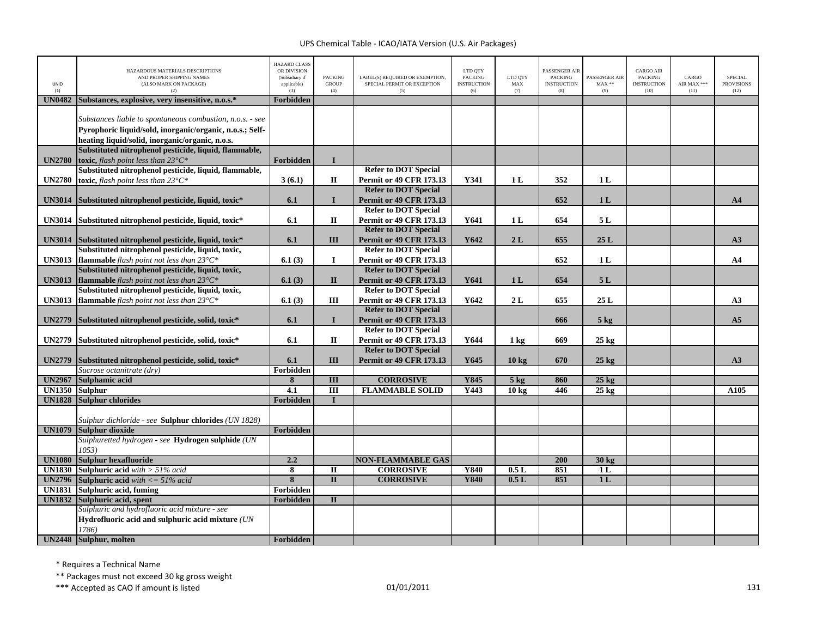| <b>UNID</b><br>(1) | HAZARDOUS MATERIALS DESCRIPTIONS<br>AND PROPER SHIPPING NAMES<br>(ALSO MARK ON PACKAGE)<br>(2)                                                                           | <b>HAZARD CLASS</b><br>OR DIVISION<br>(Subsidiary if<br>applicable)<br>(3) | <b>PACKING</b><br><b>GROUP</b><br>(4) | LABEL(S) REQUIRED OR EXEMPTION,<br>SPECIAL PERMIT OR EXCEPTION<br>(5) | LTD QTY<br><b>PACKING</b><br><b>INSTRUCTION</b><br>(6) | LTD QTY<br>MAX<br>(7) | PASSENGER AIR<br><b>PACKING</b><br><b>INSTRUCTION</b><br>(8) | PASSENGER AIR<br>$MAX**$<br>(9) | CARGO AIR<br><b>PACKING</b><br><b>INSTRUCTION</b><br>(10) | CARGO<br>AIR MAX ***<br>(11) | <b>SPECIAL</b><br><b>PROVISIONS</b><br>(12) |
|--------------------|--------------------------------------------------------------------------------------------------------------------------------------------------------------------------|----------------------------------------------------------------------------|---------------------------------------|-----------------------------------------------------------------------|--------------------------------------------------------|-----------------------|--------------------------------------------------------------|---------------------------------|-----------------------------------------------------------|------------------------------|---------------------------------------------|
| <b>UN0482</b>      | Substances, explosive, very insensitive, n.o.s.*                                                                                                                         | Forbidden                                                                  |                                       |                                                                       |                                                        |                       |                                                              |                                 |                                                           |                              |                                             |
|                    | Substances liable to spontaneous combustion, n.o.s. - see<br>Pyrophoric liquid/sold, inorganic/organic, n.o.s.; Self-<br>heating liquid/solid, inorganic/organic, n.o.s. |                                                                            |                                       |                                                                       |                                                        |                       |                                                              |                                 |                                                           |                              |                                             |
|                    | Substituted nitrophenol pesticide, liquid, flammable,                                                                                                                    |                                                                            |                                       |                                                                       |                                                        |                       |                                                              |                                 |                                                           |                              |                                             |
| <b>UN2780</b>      | toxic, flash point less than $23^{\circ}C^*$                                                                                                                             | Forbidden                                                                  | $\mathbf{I}$                          |                                                                       |                                                        |                       |                                                              |                                 |                                                           |                              |                                             |
|                    | Substituted nitrophenol pesticide, liquid, flammable,                                                                                                                    |                                                                            |                                       | <b>Refer to DOT Special</b>                                           |                                                        |                       |                                                              |                                 |                                                           |                              |                                             |
| <b>UN2780</b>      | toxic, flash point less than $23^{\circ}C^*$                                                                                                                             | 3(6.1)                                                                     | П                                     | Permit or 49 CFR 173.13                                               | Y341                                                   | 1 <sub>L</sub>        | 352                                                          | 1 <sub>L</sub>                  |                                                           |                              |                                             |
|                    |                                                                                                                                                                          |                                                                            |                                       | <b>Refer to DOT Special</b>                                           |                                                        |                       |                                                              |                                 |                                                           |                              |                                             |
| <b>UN3014</b>      | Substituted nitrophenol pesticide, liquid, toxic*                                                                                                                        | 6.1                                                                        | $\mathbf{I}$                          | <b>Permit or 49 CFR 173.13</b>                                        |                                                        |                       | 652                                                          | 1 <sub>L</sub>                  |                                                           |                              | A <sub>4</sub>                              |
|                    |                                                                                                                                                                          |                                                                            |                                       | <b>Refer to DOT Special</b>                                           |                                                        |                       |                                                              |                                 |                                                           |                              |                                             |
| <b>UN3014</b>      | Substituted nitrophenol pesticide, liquid, toxic*                                                                                                                        | 6.1                                                                        | $\mathbf{I}$                          | <b>Permit or 49 CFR 173.13</b>                                        | Y641                                                   | 1 <sub>L</sub>        | 654                                                          | 5L                              |                                                           |                              |                                             |
|                    |                                                                                                                                                                          |                                                                            |                                       | <b>Refer to DOT Special</b>                                           |                                                        |                       |                                                              |                                 |                                                           |                              |                                             |
|                    | UN3014 Substituted nitrophenol pesticide, liquid, toxic*                                                                                                                 | 6.1                                                                        | Ш                                     | <b>Permit or 49 CFR 173.13</b>                                        | Y642                                                   | 2L                    | 655                                                          | 25L                             |                                                           |                              | A3                                          |
|                    | Substituted nitrophenol pesticide, liquid, toxic,                                                                                                                        |                                                                            |                                       | <b>Refer to DOT Special</b>                                           |                                                        |                       |                                                              |                                 |                                                           |                              |                                             |
| <b>UN3013</b>      | <b>flammable</b> flash point not less than $23^{\circ}C^*$                                                                                                               | 6.1(3)                                                                     | Ι.                                    | <b>Permit or 49 CFR 173.13</b><br><b>Refer to DOT Special</b>         |                                                        |                       | 652                                                          | 1 <sub>L</sub>                  |                                                           |                              | A <sub>4</sub>                              |
|                    | Substituted nitrophenol pesticide, liquid, toxic,                                                                                                                        |                                                                            |                                       |                                                                       | Y641                                                   |                       |                                                              |                                 |                                                           |                              |                                             |
| <b>UN3013</b>      | <b>flammable</b> flash point not less than $23^{\circ}C^*$                                                                                                               | 6.1(3)                                                                     | $\mathbf{I}$                          | <b>Permit or 49 CFR 173.13</b><br><b>Refer to DOT Special</b>         |                                                        | 1 <sub>L</sub>        | 654                                                          | 5L                              |                                                           |                              |                                             |
|                    | Substituted nitrophenol pesticide, liquid, toxic,                                                                                                                        |                                                                            |                                       | <b>Permit or 49 CFR 173.13</b>                                        | Y642                                                   |                       |                                                              |                                 |                                                           |                              |                                             |
| <b>UN3013</b>      | <b>flammable</b> flash point not less than $23^{\circ}C^*$                                                                                                               | 6.1(3)                                                                     | Ш                                     | <b>Refer to DOT Special</b>                                           |                                                        | 2L                    | 655                                                          | 25L                             |                                                           |                              | A3                                          |
| <b>UN2779</b>      |                                                                                                                                                                          |                                                                            | $\mathbf{I}$                          | <b>Permit or 49 CFR 173.13</b>                                        |                                                        |                       | 666                                                          |                                 |                                                           |                              | A <sub>5</sub>                              |
|                    | Substituted nitrophenol pesticide, solid, toxic*                                                                                                                         | 6.1                                                                        |                                       | <b>Refer to DOT Special</b>                                           |                                                        |                       |                                                              | $5$ kg                          |                                                           |                              |                                             |
| <b>UN2779</b>      | Substituted nitrophenol pesticide, solid, toxic*                                                                                                                         | 6.1                                                                        | П                                     | <b>Permit or 49 CFR 173.13</b>                                        | Y644                                                   | $1 \text{ kg}$        | 669                                                          | $25 \text{ kg}$                 |                                                           |                              |                                             |
|                    |                                                                                                                                                                          |                                                                            |                                       | <b>Refer to DOT Special</b>                                           |                                                        |                       |                                                              |                                 |                                                           |                              |                                             |
| <b>UN2779</b>      | Substituted nitrophenol pesticide, solid, toxic*                                                                                                                         | 6.1                                                                        | III                                   | <b>Permit or 49 CFR 173.13</b>                                        | Y645                                                   | 10 <sub>kg</sub>      | 670                                                          | $25$ kg                         |                                                           |                              | A3                                          |
|                    | Sucrose octanitrate (dry)                                                                                                                                                | Forbidden                                                                  |                                       |                                                                       |                                                        |                       |                                                              |                                 |                                                           |                              |                                             |
| <b>UN2967</b>      | Sulphamic acid                                                                                                                                                           | 8                                                                          | III                                   | <b>CORROSIVE</b>                                                      | Y845                                                   | $5$ kg                | 860                                                          | $25$ kg                         |                                                           |                              |                                             |
| <b>UN1350</b>      | <b>Sulphur</b>                                                                                                                                                           | 4.1                                                                        | $\overline{III}$                      | <b>FLAMMABLE SOLID</b>                                                | Y443                                                   | 10 kg                 | 446                                                          | $25$ kg                         |                                                           |                              | A105                                        |
| <b>UN1828</b>      | <b>Sulphur chlorides</b>                                                                                                                                                 | Forbidden                                                                  | $\mathbf I$                           |                                                                       |                                                        |                       |                                                              |                                 |                                                           |                              |                                             |
|                    |                                                                                                                                                                          |                                                                            |                                       |                                                                       |                                                        |                       |                                                              |                                 |                                                           |                              |                                             |
|                    | Sulphur dichloride - see Sulphur chlorides (UN 1828)                                                                                                                     |                                                                            |                                       |                                                                       |                                                        |                       |                                                              |                                 |                                                           |                              |                                             |
| <b>UN1079</b>      | Sulphur dioxide                                                                                                                                                          | Forbidden                                                                  |                                       |                                                                       |                                                        |                       |                                                              |                                 |                                                           |                              |                                             |
|                    | Sulphuretted hydrogen - see Hydrogen sulphide (UN                                                                                                                        |                                                                            |                                       |                                                                       |                                                        |                       |                                                              |                                 |                                                           |                              |                                             |
|                    | 1053                                                                                                                                                                     |                                                                            |                                       |                                                                       |                                                        |                       |                                                              |                                 |                                                           |                              |                                             |
| <b>UN1080</b>      | Sulphur hexafluoride                                                                                                                                                     | 2.2                                                                        |                                       | <b>NON-FLAMMABLE GAS</b>                                              |                                                        |                       | 200                                                          | $30 \text{ kg}$                 |                                                           |                              |                                             |
| <b>UN1830</b>      | <b>Sulphuric acid</b> with $> 51\%$ acid                                                                                                                                 | $\overline{\bf 8}$                                                         | $\mathbf{I}$                          | <b>CORROSIVE</b>                                                      | <b>Y840</b>                                            | 0.5L                  | 851                                                          | 1 <sub>L</sub>                  |                                                           |                              |                                             |
|                    | <b>UN2796</b> Sulphuric acid with $\lt$ = 51% acid                                                                                                                       | 8                                                                          | $\overline{\mathbf{H}}$               | <b>CORROSIVE</b>                                                      | <b>Y840</b>                                            | 0.5L                  | 851                                                          | 1 <sub>L</sub>                  |                                                           |                              |                                             |
| <b>UN1831</b>      | Sulphuric acid, fuming                                                                                                                                                   | Forbidden                                                                  |                                       |                                                                       |                                                        |                       |                                                              |                                 |                                                           |                              |                                             |
| <b>UN1832</b>      | Sulphuric acid, spent                                                                                                                                                    | Forbidden                                                                  | $\mathbf{I}$                          |                                                                       |                                                        |                       |                                                              |                                 |                                                           |                              |                                             |
|                    | Sulphuric and hydrofluoric acid mixture - see                                                                                                                            |                                                                            |                                       |                                                                       |                                                        |                       |                                                              |                                 |                                                           |                              |                                             |
|                    | Hydrofluoric acid and sulphuric acid mixture (UN                                                                                                                         |                                                                            |                                       |                                                                       |                                                        |                       |                                                              |                                 |                                                           |                              |                                             |
|                    | 1786)                                                                                                                                                                    |                                                                            |                                       |                                                                       |                                                        |                       |                                                              |                                 |                                                           |                              |                                             |
|                    | UN2448 Sulphur, molten                                                                                                                                                   | Forbidden                                                                  |                                       |                                                                       |                                                        |                       |                                                              |                                 |                                                           |                              |                                             |

\* Requires <sup>a</sup> Technical Name

\*\* Packages must not exceed 30 kg gross weight

\*\*\* Accepted as CAO if amount is listed 131 and the control of the control of the control of the control of the control of the control of the control of the control of the control of the control of the control of the contr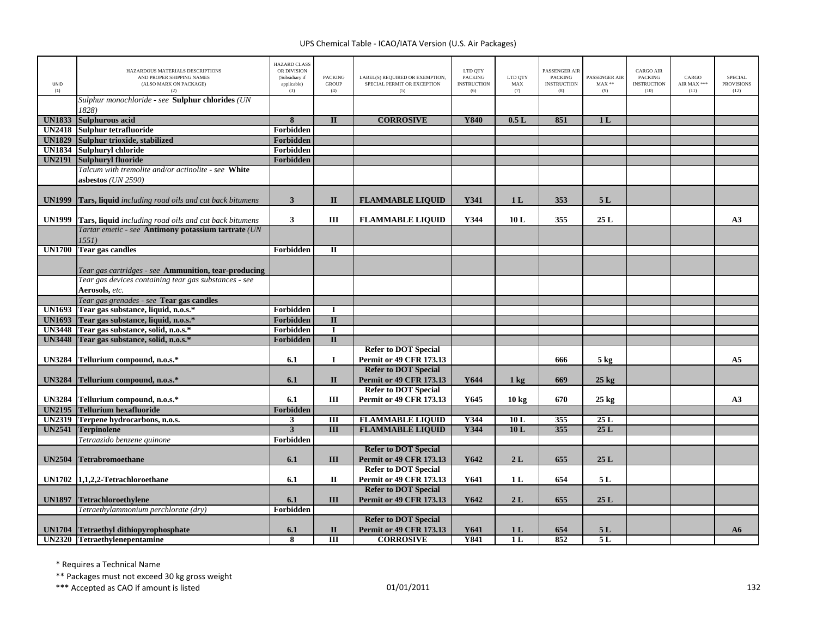| UNID<br>(1)   | HAZARDOUS MATERIALS DESCRIPTIONS<br>AND PROPER SHIPPING NAMES<br>(ALSO MARK ON PACKAGE)<br>(2) | <b>HAZARD CLASS</b><br>OR DIVISION<br>(Subsidiary if<br>applicable)<br>(3) | <b>PACKING</b><br><b>GROUP</b><br>(4) | LABEL(S) REQUIRED OR EXEMPTION,<br>SPECIAL PERMIT OR EXCEPTION<br>(5) | LTD QTY<br>PACKING<br><b>INSTRUCTION</b><br>(6) | LTD QTY<br>${\rm MAX}$<br>(7) | <b>PASSENGER AIR</b><br><b>PACKING</b><br><b>INSTRUCTION</b><br>(8) | PASSENGER AIR<br>$\text{MAX}$ **<br>(9) | CARGO AIR<br>PACKING<br><b>INSTRUCTION</b><br>(10) | CARGO<br>AIR MAX ***<br>(11) | <b>SPECIAL</b><br><b>PROVISIONS</b><br>(12) |
|---------------|------------------------------------------------------------------------------------------------|----------------------------------------------------------------------------|---------------------------------------|-----------------------------------------------------------------------|-------------------------------------------------|-------------------------------|---------------------------------------------------------------------|-----------------------------------------|----------------------------------------------------|------------------------------|---------------------------------------------|
|               | Sulphur monochloride - see Sulphur chlorides (UN<br>1828)                                      |                                                                            |                                       |                                                                       |                                                 |                               |                                                                     |                                         |                                                    |                              |                                             |
| <b>UN1833</b> | <b>Sulphurous acid</b>                                                                         | 8                                                                          | $\Pi$                                 | <b>CORROSIVE</b>                                                      | Y840                                            | 0.5L                          | 851                                                                 | 1 <sub>L</sub>                          |                                                    |                              |                                             |
| <b>UN2418</b> | Sulphur tetrafluoride                                                                          | Forbidden                                                                  |                                       |                                                                       |                                                 |                               |                                                                     |                                         |                                                    |                              |                                             |
| <b>UN1829</b> | Sulphur trioxide, stabilized                                                                   | <b>Forbidden</b>                                                           |                                       |                                                                       |                                                 |                               |                                                                     |                                         |                                                    |                              |                                             |
| <b>UN1834</b> | Sulphuryl chloride                                                                             | Forbidden                                                                  |                                       |                                                                       |                                                 |                               |                                                                     |                                         |                                                    |                              |                                             |
| <b>UN2191</b> | <b>Sulphuryl fluoride</b>                                                                      | Forbidden                                                                  |                                       |                                                                       |                                                 |                               |                                                                     |                                         |                                                    |                              |                                             |
|               | Talcum with tremolite and/or actinolite - see White                                            |                                                                            |                                       |                                                                       |                                                 |                               |                                                                     |                                         |                                                    |                              |                                             |
|               | asbestos (UN 2590)                                                                             |                                                                            |                                       |                                                                       |                                                 |                               |                                                                     |                                         |                                                    |                              |                                             |
|               |                                                                                                |                                                                            |                                       |                                                                       |                                                 |                               |                                                                     |                                         |                                                    |                              |                                             |
| <b>UN1999</b> | <b>Tars, liquid</b> including road oils and cut back bitumens                                  | $\mathbf{3}$                                                               | $\mathbf{I}$                          | <b>FLAMMABLE LIQUID</b>                                               | Y341                                            | 1 <sub>L</sub>                | 353                                                                 | 5L                                      |                                                    |                              |                                             |
|               |                                                                                                |                                                                            |                                       |                                                                       |                                                 |                               |                                                                     |                                         |                                                    |                              |                                             |
| <b>UN1999</b> | Tars, liquid including road oils and cut back bitumens                                         | $\mathbf{3}$                                                               | III                                   | <b>FLAMMABLE LIQUID</b>                                               | Y344                                            | 10L                           | 355                                                                 | 25L                                     |                                                    |                              | A3                                          |
|               | Tartar emetic - see Antimony potassium tartrate (UN<br>1551)                                   |                                                                            |                                       |                                                                       |                                                 |                               |                                                                     |                                         |                                                    |                              |                                             |
| <b>UN1700</b> | <b>Tear gas candles</b>                                                                        | Forbidden                                                                  | $\mathbf{I}$                          |                                                                       |                                                 |                               |                                                                     |                                         |                                                    |                              |                                             |
|               |                                                                                                |                                                                            |                                       |                                                                       |                                                 |                               |                                                                     |                                         |                                                    |                              |                                             |
|               | Tear gas cartridges - see Ammunition, tear-producing                                           |                                                                            |                                       |                                                                       |                                                 |                               |                                                                     |                                         |                                                    |                              |                                             |
|               | Tear gas devices containing tear gas substances - see                                          |                                                                            |                                       |                                                                       |                                                 |                               |                                                                     |                                         |                                                    |                              |                                             |
|               | Aerosols, etc.                                                                                 |                                                                            |                                       |                                                                       |                                                 |                               |                                                                     |                                         |                                                    |                              |                                             |
|               | Tear gas grenades - see Tear gas candles                                                       |                                                                            |                                       |                                                                       |                                                 |                               |                                                                     |                                         |                                                    |                              |                                             |
| <b>UN1693</b> | Tear gas substance, liquid, n.o.s.*                                                            | Forbidden                                                                  | $\bf{I}$                              |                                                                       |                                                 |                               |                                                                     |                                         |                                                    |                              |                                             |
| <b>UN1693</b> | Tear gas substance, liquid, n.o.s.*                                                            | Forbidden                                                                  | $\overline{\mathbf{u}}$               |                                                                       |                                                 |                               |                                                                     |                                         |                                                    |                              |                                             |
| <b>UN3448</b> | Tear gas substance, solid, n.o.s.*                                                             | Forbidden                                                                  | $\bf{I}$                              |                                                                       |                                                 |                               |                                                                     |                                         |                                                    |                              |                                             |
| <b>UN3448</b> | Tear gas substance, solid, n.o.s.*                                                             | Forbidden                                                                  | $\overline{\mathbf{u}}$               |                                                                       |                                                 |                               |                                                                     |                                         |                                                    |                              |                                             |
|               |                                                                                                |                                                                            |                                       | <b>Refer to DOT Special</b>                                           |                                                 |                               |                                                                     |                                         |                                                    |                              |                                             |
| <b>UN3284</b> | Tellurium compound, n.o.s.*                                                                    | 6.1                                                                        | $\bf{I}$                              | <b>Permit or 49 CFR 173.13</b>                                        |                                                 |                               | 666                                                                 | $5 \text{ kg}$                          |                                                    |                              | A <sub>5</sub>                              |
|               |                                                                                                |                                                                            |                                       | <b>Refer to DOT Special</b>                                           |                                                 |                               |                                                                     |                                         |                                                    |                              |                                             |
| <b>UN3284</b> | Tellurium compound, n.o.s.*                                                                    | 6.1                                                                        | $\mathbf{I}$                          | <b>Permit or 49 CFR 173.13</b>                                        | Y644                                            | $1 \text{ kg}$                | 669                                                                 | $25$ kg                                 |                                                    |                              |                                             |
|               |                                                                                                |                                                                            |                                       | <b>Refer to DOT Special</b>                                           |                                                 |                               |                                                                     |                                         |                                                    |                              |                                             |
| <b>UN3284</b> | Tellurium compound, n.o.s.*                                                                    | 6.1                                                                        | Ш                                     | Permit or 49 CFR 173.13                                               | Y645                                            | 10 <sub>kg</sub>              | 670                                                                 | $25$ kg                                 |                                                    |                              | A3                                          |
| <b>UN2195</b> | <b>Tellurium hexafluoride</b>                                                                  | Forbidden                                                                  |                                       |                                                                       |                                                 |                               |                                                                     |                                         |                                                    |                              |                                             |
| <b>UN2319</b> | Terpene hydrocarbons, n.o.s.                                                                   | $\mathbf{3}$                                                               | $\overline{III}$                      | <b>FLAMMABLE LIQUID</b>                                               | Y344                                            | 10L                           | 355                                                                 | 25L                                     |                                                    |                              |                                             |
| <b>UN2541</b> | <b>Terpinolene</b>                                                                             | $\overline{\mathbf{3}}$                                                    | III                                   | <b>FLAMMABLE LIQUID</b>                                               | Y344                                            | 10L                           | 355                                                                 | 25L                                     |                                                    |                              |                                             |
|               | Tetraazido benzene quinone                                                                     | Forbidden                                                                  |                                       | <b>Refer to DOT Special</b>                                           |                                                 |                               |                                                                     |                                         |                                                    |                              |                                             |
| <b>UN2504</b> | <b>Tetrabromoethane</b>                                                                        | 6.1                                                                        | III                                   | <b>Permit or 49 CFR 173.13</b>                                        | Y642                                            | 2L                            | 655                                                                 | 25L                                     |                                                    |                              |                                             |
|               | UN1702 1,1,2,2-Tetrachloroethane                                                               | 6.1                                                                        | $\mathbf{I}$                          | <b>Refer to DOT Special</b><br>Permit or 49 CFR 173.13                | Y641                                            | 1 <sub>L</sub>                | 654                                                                 | 5L                                      |                                                    |                              |                                             |
|               |                                                                                                |                                                                            |                                       | <b>Refer to DOT Special</b>                                           |                                                 |                               |                                                                     |                                         |                                                    |                              |                                             |
| <b>UN1897</b> | Tetrachloroethylene                                                                            | 6.1                                                                        | III                                   | <b>Permit or 49 CFR 173.13</b>                                        | Y642                                            | 2L                            | 655                                                                 | 25L                                     |                                                    |                              |                                             |
|               | Tetraethylammonium perchlorate (dry)                                                           | Forbidden                                                                  |                                       |                                                                       |                                                 |                               |                                                                     |                                         |                                                    |                              |                                             |
|               |                                                                                                |                                                                            |                                       | <b>Refer to DOT Special</b>                                           |                                                 |                               |                                                                     |                                         |                                                    |                              |                                             |
|               | UN1704 Tetraethyl dithiopyrophosphate                                                          | 6.1                                                                        | $\mathbf{I}$                          | <b>Permit or 49 CFR 173.13</b>                                        | Y641                                            | 1 <sub>L</sub>                | 654                                                                 | 5L                                      |                                                    |                              | A6                                          |
|               | UN2320 Tetraethylenepentamine                                                                  | 8                                                                          | $\overline{III}$                      | <b>CORROSIVE</b>                                                      | <b>Y841</b>                                     | 1 <sub>L</sub>                | 852                                                                 | 5L                                      |                                                    |                              |                                             |

\* Requires <sup>a</sup> Technical Name

\*\* Packages must not exceed 30 kg gross weight

\*\*\* Accepted as CAO if amount is listed 132 and the control of the control of the control of the control of the control of the control of the control of the control of the control of the control of the control of the contr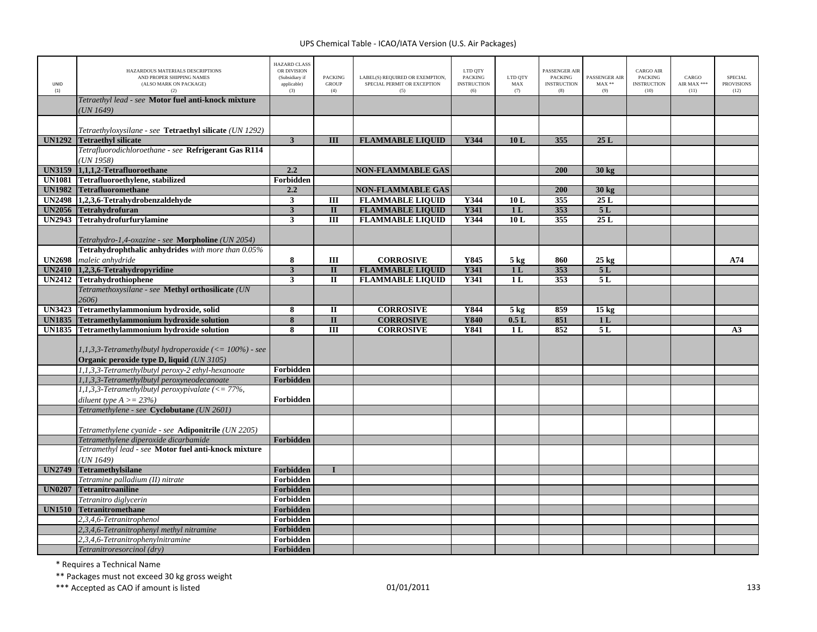| <b>UNID</b><br>(1) | HAZARDOUS MATERIALS DESCRIPTIONS<br>AND PROPER SHIPPING NAMES<br>(ALSO MARK ON PACKAGE)<br>(2) | <b>HAZARD CLASS</b><br>OR DIVISION<br>(Subsidiary if<br>applicable)<br>(3) | <b>PACKING</b><br><b>GROUP</b><br>(4) | LABEL(S) REQUIRED OR EXEMPTION,<br>SPECIAL PERMIT OR EXCEPTION<br>(5) | LTD QTY<br><b>PACKING</b><br><b>INSTRUCTION</b><br>(6) | LTD QTY<br>MAX<br>(7) | PASSENGER AIR<br>PACKING<br><b>INSTRUCTION</b><br>(8) | PASSENGER AIR<br>$MAX**$<br>(9) | <b>CARGO AIR</b><br>PACKING<br><b>INSTRUCTION</b><br>(10) | CARGO<br>AIR MAX ***<br>(11) | <b>SPECIAL</b><br><b>PROVISIONS</b><br>(12) |
|--------------------|------------------------------------------------------------------------------------------------|----------------------------------------------------------------------------|---------------------------------------|-----------------------------------------------------------------------|--------------------------------------------------------|-----------------------|-------------------------------------------------------|---------------------------------|-----------------------------------------------------------|------------------------------|---------------------------------------------|
|                    | Tetraethyl lead - see Motor fuel anti-knock mixture<br>UN 1649)                                |                                                                            |                                       |                                                                       |                                                        |                       |                                                       |                                 |                                                           |                              |                                             |
|                    |                                                                                                |                                                                            |                                       |                                                                       |                                                        |                       |                                                       |                                 |                                                           |                              |                                             |
| <b>UN1292</b>      | Tetraethyloxysilane - see <b>Tetraethyl silicate</b> (UN 1292)<br><b>Tetraethyl silicate</b>   | $\overline{\mathbf{3}}$                                                    | $\overline{\mathbf{H}}$               | <b>FLAMMABLE LIQUID</b>                                               | Y344                                                   | 10L                   | 355                                                   | 25L                             |                                                           |                              |                                             |
|                    | Tetrafluorodichloroethane - see Refrigerant Gas R114                                           |                                                                            |                                       |                                                                       |                                                        |                       |                                                       |                                 |                                                           |                              |                                             |
|                    | UN 1958)                                                                                       |                                                                            |                                       |                                                                       |                                                        |                       |                                                       |                                 |                                                           |                              |                                             |
| <b>UN3159</b>      | 1,1,1,2-Tetrafluoroethane                                                                      | 2.2                                                                        |                                       | <b>NON-FLAMMABLE GAS</b>                                              |                                                        |                       | 200                                                   | 30 kg                           |                                                           |                              |                                             |
| <b>UN1081</b>      | Tetrafluoroethylene, stabilized                                                                | Forbidden                                                                  |                                       |                                                                       |                                                        |                       |                                                       |                                 |                                                           |                              |                                             |
| <b>UN1982</b>      | <b>Tetrafluoromethane</b>                                                                      | 2.2                                                                        |                                       | <b>NON-FLAMMABLE GAS</b>                                              |                                                        |                       | 200                                                   | 30 kg                           |                                                           |                              |                                             |
| <b>UN2498</b>      | 1,2,3,6-Tetrahydrobenzaldehyde                                                                 | $\overline{\mathbf{3}}$                                                    | III                                   | <b>FLAMMABLE LIQUID</b>                                               | Y344                                                   | 10L                   | 355                                                   | 25L                             |                                                           |                              |                                             |
| <b>UN2056</b>      | Tetrahydrofuran                                                                                | $\overline{\mathbf{3}}$                                                    | $\mathbf{I}$                          | <b>FLAMMABLE LIQUID</b>                                               | Y341                                                   | 1 <sub>L</sub>        | 353                                                   | 5L                              |                                                           |                              |                                             |
| <b>UN2943</b>      | <b>Tetrahydrofurfurylamine</b>                                                                 | $\mathbf{3}$                                                               | Ш                                     | <b>FLAMMABLE LIQUID</b>                                               | Y344                                                   | 10L                   | 355                                                   | 25L                             |                                                           |                              |                                             |
|                    |                                                                                                |                                                                            |                                       |                                                                       |                                                        |                       |                                                       |                                 |                                                           |                              |                                             |
|                    | Tetrahydro-1,4-oxazine - see Morpholine (UN 2054)                                              |                                                                            |                                       |                                                                       |                                                        |                       |                                                       |                                 |                                                           |                              |                                             |
|                    | Tetrahydrophthalic anhydrides with more than 0.05%                                             |                                                                            |                                       |                                                                       |                                                        |                       |                                                       |                                 |                                                           |                              |                                             |
| <b>UN2698</b>      | maleic anhydride                                                                               | 8                                                                          | III                                   | <b>CORROSIVE</b>                                                      | Y845                                                   | $5 \text{ kg}$        | 860                                                   | $25 \text{ kg}$                 |                                                           |                              | A74                                         |
| <b>UN2410</b>      | 1,2,3,6-Tetrahydropyridine                                                                     | $\overline{\mathbf{3}}$                                                    | $\mathbf{I}$                          | <b>FLAMMABLE LIQUID</b>                                               | Y341                                                   | 1 <sub>L</sub>        | 353                                                   | 5L                              |                                                           |                              |                                             |
|                    | UN2412 Tetrahydrothiophene                                                                     | $\mathbf{3}$                                                               | $\mathbf{I}$                          | <b>FLAMMABLE LIQUID</b>                                               | Y341                                                   | 1 <sub>L</sub>        | 353                                                   | 5L                              |                                                           |                              |                                             |
|                    | Tetramethoxysilane - see Methyl orthosilicate (UN                                              |                                                                            |                                       |                                                                       |                                                        |                       |                                                       |                                 |                                                           |                              |                                             |
|                    | 2606)                                                                                          |                                                                            |                                       |                                                                       |                                                        |                       |                                                       |                                 |                                                           |                              |                                             |
| <b>UN3423</b>      | Tetramethylammonium hydroxide, solid                                                           | 8                                                                          | $\mathbf{I}$                          | <b>CORROSIVE</b>                                                      | Y844                                                   | $5$ kg                | 859                                                   | $15 \text{ kg}$                 |                                                           |                              |                                             |
| <b>UN1835</b>      | Tetramethylammonium hydroxide solution                                                         | 8                                                                          | $\mathbf{I}$                          | <b>CORROSIVE</b>                                                      | <b>Y840</b>                                            | 0.5L                  | 851                                                   | 1 <sub>L</sub>                  |                                                           |                              |                                             |
| <b>UN1835</b>      | Tetramethylammonium hydroxide solution                                                         | 8                                                                          | Ш                                     | <b>CORROSIVE</b>                                                      | Y841                                                   | 1 <sub>L</sub>        | 852                                                   | 5L                              |                                                           |                              | A <sub>3</sub>                              |
|                    |                                                                                                |                                                                            |                                       |                                                                       |                                                        |                       |                                                       |                                 |                                                           |                              |                                             |
|                    | 1,1,3,3-Tetramethylbutyl hydroperoxide $\left(\leq 100\%\right)$ - see                         |                                                                            |                                       |                                                                       |                                                        |                       |                                                       |                                 |                                                           |                              |                                             |
|                    | Organic peroxide type D, liquid (UN 3105)                                                      |                                                                            |                                       |                                                                       |                                                        |                       |                                                       |                                 |                                                           |                              |                                             |
|                    | 1,1,3,3-Tetramethylbutyl peroxy-2 ethyl-hexanoate                                              | Forbidden                                                                  |                                       |                                                                       |                                                        |                       |                                                       |                                 |                                                           |                              |                                             |
|                    | 1,1,3,3-Tetramethylbutyl peroxyneodecanoate                                                    | Forbidden                                                                  |                                       |                                                                       |                                                        |                       |                                                       |                                 |                                                           |                              |                                             |
|                    | 1,1,3,3-Tetramethylbutyl peroxypivalate $\ll 77\%$ ,                                           |                                                                            |                                       |                                                                       |                                                        |                       |                                                       |                                 |                                                           |                              |                                             |
|                    | diluent type $A \ge 23\%$                                                                      | Forbidden                                                                  |                                       |                                                                       |                                                        |                       |                                                       |                                 |                                                           |                              |                                             |
|                    | Tetramethylene - see Cyclobutane (UN 2601)                                                     |                                                                            |                                       |                                                                       |                                                        |                       |                                                       |                                 |                                                           |                              |                                             |
|                    |                                                                                                |                                                                            |                                       |                                                                       |                                                        |                       |                                                       |                                 |                                                           |                              |                                             |
|                    | Tetramethylene cyanide - see Adiponitrile (UN 2205)                                            |                                                                            |                                       |                                                                       |                                                        |                       |                                                       |                                 |                                                           |                              |                                             |
|                    | Tetramethylene diperoxide dicarbamide<br>Tetramethyl lead - see Motor fuel anti-knock mixture  | Forbidden                                                                  |                                       |                                                                       |                                                        |                       |                                                       |                                 |                                                           |                              |                                             |
|                    |                                                                                                |                                                                            |                                       |                                                                       |                                                        |                       |                                                       |                                 |                                                           |                              |                                             |
| <b>UN2749</b>      | (UN 1649)<br><b>Tetramethylsilane</b>                                                          | Forbidden                                                                  | $\mathbf{I}$                          |                                                                       |                                                        |                       |                                                       |                                 |                                                           |                              |                                             |
|                    |                                                                                                | Forbidden                                                                  |                                       |                                                                       |                                                        |                       |                                                       |                                 |                                                           |                              |                                             |
| <b>UN0207</b>      | Tetramine palladium (II) nitrate<br><b>Tetranitroaniline</b>                                   | Forbidden                                                                  |                                       |                                                                       |                                                        |                       |                                                       |                                 |                                                           |                              |                                             |
|                    | Tetranitro diglycerin                                                                          | Forbidden                                                                  |                                       |                                                                       |                                                        |                       |                                                       |                                 |                                                           |                              |                                             |
| <b>UN1510</b>      | <b>Tetranitromethane</b>                                                                       | Forbidden                                                                  |                                       |                                                                       |                                                        |                       |                                                       |                                 |                                                           |                              |                                             |
|                    | 2,3,4,6-Tetranitrophenol                                                                       | Forbidden                                                                  |                                       |                                                                       |                                                        |                       |                                                       |                                 |                                                           |                              |                                             |
|                    | 2.3.4.6-Tetranitrophenyl methyl nitramine                                                      | <b>Forbidden</b>                                                           |                                       |                                                                       |                                                        |                       |                                                       |                                 |                                                           |                              |                                             |
|                    | 2,3,4,6-Tetranitrophenylnitramine                                                              | Forbidden                                                                  |                                       |                                                                       |                                                        |                       |                                                       |                                 |                                                           |                              |                                             |
|                    | Tetranitroresorcinol (dry)                                                                     | Forbidden                                                                  |                                       |                                                                       |                                                        |                       |                                                       |                                 |                                                           |                              |                                             |

\* Requires <sup>a</sup> Technical Name

\*\* Packages must not exceed 30 kg gross weight

\*\*\* Accepted as CAO if amount is listed 133 and the control of the control of the control of the control of the control of the control of the control of the control of the control of the control of the control of the contr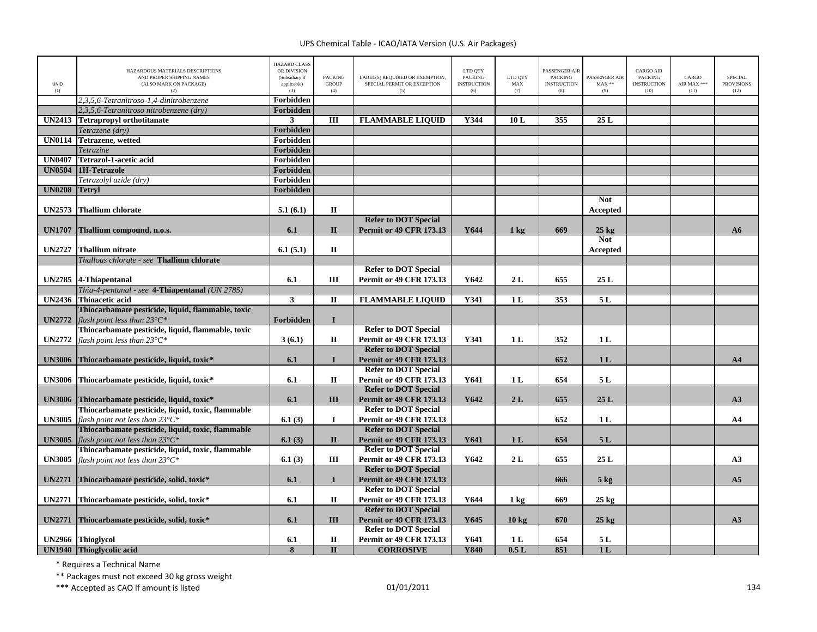| UNID<br>(1)   | HAZARDOUS MATERIALS DESCRIPTIONS<br>AND PROPER SHIPPING NAMES<br>(ALSO MARK ON PACKAGE)<br>(2) | <b>HAZARD CLASS</b><br>OR DIVISION<br>(Subsidiary if<br>applicable)<br>(3) | <b>PACKING</b><br><b>GROUP</b><br>(4) | LABEL(S) REQUIRED OR EXEMPTION,<br>SPECIAL PERMIT OR EXCEPTION<br>(5) | LTD QTY<br><b>PACKING</b><br><b>INSTRUCTION</b><br>(6) | LTD OTY<br>MAX<br>(7) | PASSENGER AIR<br><b>PACKING</b><br><b>INSTRUCTION</b><br>(8) | PASSENGER AIR<br>$MAX**$<br>(9) | <b>CARGO AIR</b><br><b>PACKING</b><br><b>INSTRUCTION</b><br>(10) | CARGO<br>AIR MAX ***<br>(11) | <b>SPECIAL</b><br><b>PROVISIONS</b><br>(12) |
|---------------|------------------------------------------------------------------------------------------------|----------------------------------------------------------------------------|---------------------------------------|-----------------------------------------------------------------------|--------------------------------------------------------|-----------------------|--------------------------------------------------------------|---------------------------------|------------------------------------------------------------------|------------------------------|---------------------------------------------|
|               | 2,3,5,6-Tetranitroso-1,4-dinitrobenzene                                                        | Forbidden                                                                  |                                       |                                                                       |                                                        |                       |                                                              |                                 |                                                                  |                              |                                             |
|               | 2,3,5,6-Tetranitroso nitrobenzene (dry)                                                        | Forbidden                                                                  |                                       |                                                                       |                                                        |                       |                                                              |                                 |                                                                  |                              |                                             |
|               | UN2413 Tetrapropyl orthotitanate                                                               | $\mathbf{3}$                                                               | Ш                                     | <b>FLAMMABLE LIQUID</b>                                               | Y344                                                   | 10L                   | 355                                                          | 25L                             |                                                                  |                              |                                             |
|               | Tetrazene (dry)                                                                                | <b>Forbidden</b>                                                           |                                       |                                                                       |                                                        |                       |                                                              |                                 |                                                                  |                              |                                             |
|               | <b>UN0114</b> Tetrazene, wetted                                                                | Forbidden                                                                  |                                       |                                                                       |                                                        |                       |                                                              |                                 |                                                                  |                              |                                             |
|               | Tetrazine                                                                                      | Forbidden                                                                  |                                       |                                                                       |                                                        |                       |                                                              |                                 |                                                                  |                              |                                             |
| <b>UN0407</b> | Tetrazol-1-acetic acid                                                                         | Forbidden                                                                  |                                       |                                                                       |                                                        |                       |                                                              |                                 |                                                                  |                              |                                             |
|               | UN0504 1H-Tetrazole                                                                            | Forbidden                                                                  |                                       |                                                                       |                                                        |                       |                                                              |                                 |                                                                  |                              |                                             |
|               | Tetrazolyl azide (dry)                                                                         | Forbidden                                                                  |                                       |                                                                       |                                                        |                       |                                                              |                                 |                                                                  |                              |                                             |
| <b>UN0208</b> | <b>Tetryl</b>                                                                                  | Forbidden                                                                  |                                       |                                                                       |                                                        |                       |                                                              |                                 |                                                                  |                              |                                             |
| <b>UN2573</b> | <b>Thallium chlorate</b>                                                                       | 5.1(6.1)                                                                   | $\mathbf{I}$                          |                                                                       |                                                        |                       |                                                              | <b>Not</b><br>Accepted          |                                                                  |                              |                                             |
|               |                                                                                                |                                                                            |                                       | <b>Refer to DOT Special</b>                                           |                                                        |                       |                                                              |                                 |                                                                  |                              |                                             |
| <b>UN1707</b> | Thallium compound, n.o.s.                                                                      | 6.1                                                                        | $\mathbf{I}$                          | <b>Permit or 49 CFR 173.13</b>                                        | Y644                                                   | $1 \text{ kg}$        | 669                                                          | $25 \text{ kg}$                 |                                                                  |                              | A6                                          |
|               |                                                                                                |                                                                            |                                       |                                                                       |                                                        |                       |                                                              | <b>Not</b>                      |                                                                  |                              |                                             |
| <b>UN2727</b> | <b>Thallium nitrate</b>                                                                        | 6.1(5.1)                                                                   | $\Pi$                                 |                                                                       |                                                        |                       |                                                              | Accepted                        |                                                                  |                              |                                             |
|               | Thallous chlorate - see Thallium chlorate                                                      |                                                                            |                                       |                                                                       |                                                        |                       |                                                              |                                 |                                                                  |                              |                                             |
|               |                                                                                                |                                                                            |                                       | <b>Refer to DOT Special</b>                                           |                                                        |                       |                                                              |                                 |                                                                  |                              |                                             |
|               | UN2785 4-Thiapentanal                                                                          | 6.1                                                                        | Ш                                     | <b>Permit or 49 CFR 173.13</b>                                        | Y642                                                   | 2L                    | 655                                                          | 25L                             |                                                                  |                              |                                             |
|               | Thia-4-pentanal - see 4-Thiapentanal (UN 2785)                                                 |                                                                            |                                       |                                                                       |                                                        |                       |                                                              |                                 |                                                                  |                              |                                             |
|               | UN2436 Thioacetic acid                                                                         | $\overline{\mathbf{3}}$                                                    | $\rm II$                              | <b>FLAMMABLE LIQUID</b>                                               | <b>Y341</b>                                            | 1 <sub>L</sub>        | 353                                                          | 5L                              |                                                                  |                              |                                             |
|               | Thiocarbamate pesticide, liquid, flammable, toxic                                              |                                                                            |                                       |                                                                       |                                                        |                       |                                                              |                                 |                                                                  |                              |                                             |
| <b>UN2772</b> | flash point less than $23^{\circ}C^*$                                                          | Forbidden                                                                  | $\mathbf{I}$                          |                                                                       |                                                        |                       |                                                              |                                 |                                                                  |                              |                                             |
|               | Thiocarbamate pesticide, liquid, flammable, toxic                                              |                                                                            |                                       | <b>Refer to DOT Special</b>                                           |                                                        |                       |                                                              |                                 |                                                                  |                              |                                             |
| <b>UN2772</b> | flash point less than $23^{\circ}C^*$                                                          | 3(6.1)                                                                     | П                                     | <b>Permit or 49 CFR 173.13</b>                                        | Y341                                                   | 1 <sub>L</sub>        | 352                                                          | 1 <sub>L</sub>                  |                                                                  |                              |                                             |
|               |                                                                                                |                                                                            |                                       | <b>Refer to DOT Special</b>                                           |                                                        |                       |                                                              |                                 |                                                                  |                              |                                             |
|               | UN3006 Thiocarbamate pesticide, liquid, toxic*                                                 | 6.1                                                                        | $\mathbf{I}$                          | <b>Permit or 49 CFR 173.13</b>                                        |                                                        |                       | 652                                                          | 1 <sub>L</sub>                  |                                                                  |                              | A <sub>4</sub>                              |
|               |                                                                                                |                                                                            |                                       | <b>Refer to DOT Special</b>                                           |                                                        |                       |                                                              |                                 |                                                                  |                              |                                             |
|               | UN3006 Thiocarbamate pesticide, liquid, toxic*                                                 | 6.1                                                                        | $\mathbf{I}$                          | <b>Permit or 49 CFR 173.13</b>                                        | Y641                                                   | 1 <sub>L</sub>        | 654                                                          | 5L                              |                                                                  |                              |                                             |
|               |                                                                                                |                                                                            |                                       | <b>Refer to DOT Special</b>                                           |                                                        |                       |                                                              |                                 |                                                                  |                              |                                             |
|               | UN3006 Thiocarbamate pesticide, liquid, toxic*                                                 | 6.1                                                                        | III                                   | <b>Permit or 49 CFR 173.13</b>                                        | Y642                                                   | 2L                    | 655                                                          | 25L                             |                                                                  |                              | A3                                          |
|               | Thiocarbamate pesticide, liquid, toxic, flammable                                              |                                                                            |                                       | <b>Refer to DOT Special</b>                                           |                                                        |                       |                                                              |                                 |                                                                  |                              |                                             |
| <b>UN3005</b> | flash point not less than $23^{\circ}C^*$                                                      | 6.1(3)                                                                     | $\bf{I}$                              | <b>Permit or 49 CFR 173.13</b>                                        |                                                        |                       | 652                                                          | 1 <sub>L</sub>                  |                                                                  |                              | A <sub>4</sub>                              |
|               | Thiocarbamate pesticide, liquid, toxic, flammable                                              |                                                                            |                                       | <b>Refer to DOT Special</b>                                           |                                                        |                       |                                                              |                                 |                                                                  |                              |                                             |
| <b>UN3005</b> | flash point not less than $23^{\circ}C^*$                                                      | 6.1(3)                                                                     | $\mathbf{I}$                          | <b>Permit or 49 CFR 173.13</b>                                        | Y641                                                   | 1 <sub>L</sub>        | 654                                                          | 5L                              |                                                                  |                              |                                             |
|               | Thiocarbamate pesticide, liquid, toxic, flammable                                              |                                                                            |                                       | <b>Refer to DOT Special</b>                                           |                                                        |                       |                                                              |                                 |                                                                  |                              |                                             |
|               | <b>UN3005</b> flash point not less than $23^{\circ}C^*$                                        | 6.1(3)                                                                     | Ш                                     | <b>Permit or 49 CFR 173.13</b>                                        | Y642                                                   | 2L                    | 655                                                          | 25L                             |                                                                  |                              | A3                                          |
|               |                                                                                                |                                                                            |                                       | <b>Refer to DOT Special</b>                                           |                                                        |                       |                                                              |                                 |                                                                  |                              |                                             |
| <b>UN2771</b> | Thiocarbamate pesticide, solid, toxic*                                                         | 6.1                                                                        | $\mathbf{I}$                          | <b>Permit or 49 CFR 173.13</b>                                        |                                                        |                       | 666                                                          | 5 <sub>kg</sub>                 |                                                                  |                              | A <sub>5</sub>                              |
|               |                                                                                                |                                                                            |                                       | <b>Refer to DOT Special</b>                                           |                                                        |                       |                                                              |                                 |                                                                  |                              |                                             |
| <b>UN2771</b> | Thiocarbamate pesticide, solid, toxic*                                                         | 6.1                                                                        | П                                     | <b>Permit or 49 CFR 173.13</b>                                        | Y644                                                   | $1 \text{ kg}$        | 669                                                          | $25 \text{ kg}$                 |                                                                  |                              |                                             |
|               |                                                                                                |                                                                            |                                       | <b>Refer to DOT Special</b>                                           |                                                        |                       |                                                              |                                 |                                                                  |                              |                                             |
| <b>UN2771</b> | Thiocarbamate pesticide, solid, toxic*                                                         | 6.1                                                                        | III                                   | <b>Permit or 49 CFR 173.13</b>                                        | Y645                                                   | $10 \text{ kg}$       | 670                                                          | $25 \text{ kg}$                 |                                                                  |                              | A3                                          |
|               |                                                                                                |                                                                            |                                       | <b>Refer to DOT Special</b>                                           |                                                        |                       |                                                              |                                 |                                                                  |                              |                                             |
|               | UN2966 Thioglycol                                                                              | 6.1                                                                        | $\mathbf I$                           | <b>Permit or 49 CFR 173.13</b>                                        | Y641                                                   | 1 <sub>L</sub>        | 654                                                          | 5L                              |                                                                  |                              |                                             |
|               | UN1940 Thioglycolic acid                                                                       | 8                                                                          | $\mathbf{I}$                          | <b>CORROSIVE</b>                                                      | <b>Y840</b>                                            | 0.5L                  | 851                                                          | 1 <sub>L</sub>                  |                                                                  |                              |                                             |

\* Requires <sup>a</sup> Technical Name

\*\* Packages must not exceed 30 kg gross weight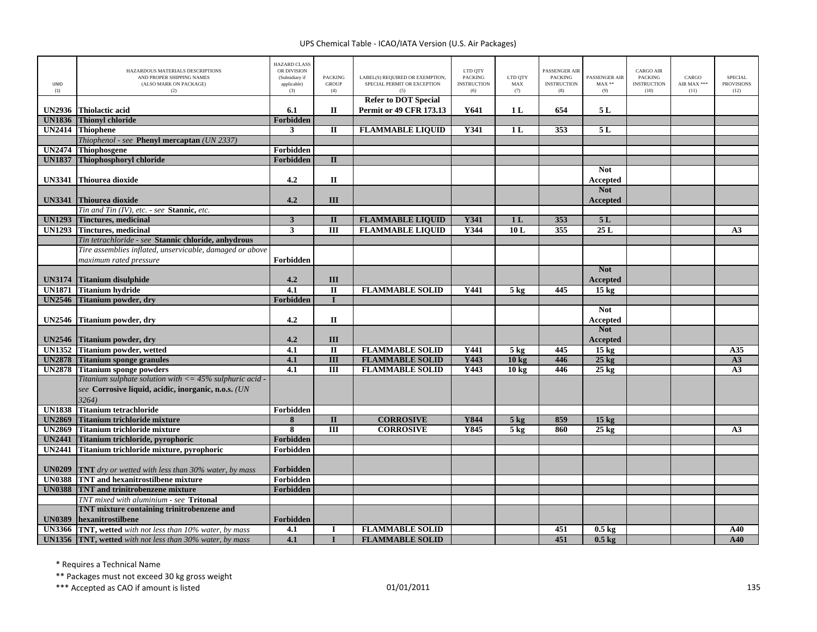| UNID<br>(1)   | HAZARDOUS MATERIALS DESCRIPTIONS<br>AND PROPER SHIPPING NAMES<br>(ALSO MARK ON PACKAGE)<br>(2) | <b>HAZARD CLASS</b><br>OR DIVISION<br>(Subsidiary if<br>applicable)<br>(3) | <b>PACKING</b><br><b>GROUP</b><br>(4) | LABEL(S) REQUIRED OR EXEMPTION,<br>SPECIAL PERMIT OR EXCEPTION | LTD QTY<br><b>PACKING</b><br><b>INSTRUCTION</b><br>(6) | LTD QTY<br>MAX<br>(7) | <b>PASSENGER AIR</b><br><b>PACKING</b><br><b>INSTRUCTION</b><br>(8) | PASSENGER AIR<br>$MAX**$<br>(9) | <b>CARGO AIR</b><br><b>PACKING</b><br><b>INSTRUCTION</b><br>(10) | CARGO<br>AIR MAX ***<br>(11) | <b>SPECIAL</b><br><b>PROVISIONS</b><br>(12) |
|---------------|------------------------------------------------------------------------------------------------|----------------------------------------------------------------------------|---------------------------------------|----------------------------------------------------------------|--------------------------------------------------------|-----------------------|---------------------------------------------------------------------|---------------------------------|------------------------------------------------------------------|------------------------------|---------------------------------------------|
| <b>UN2936</b> | <b>Thiolactic acid</b>                                                                         | 6.1                                                                        | П                                     | <b>Refer to DOT Special</b><br><b>Permit or 49 CFR 173.13</b>  | Y641                                                   | 1L                    | 654                                                                 | 5 L                             |                                                                  |                              |                                             |
| <b>UN1836</b> | <b>Thionyl chloride</b>                                                                        | Forbidden                                                                  |                                       |                                                                |                                                        |                       |                                                                     |                                 |                                                                  |                              |                                             |
| <b>UN2414</b> | <b>Thiophene</b>                                                                               | 3                                                                          | $\mathbf{I}$                          | <b>FLAMMABLE LIQUID</b>                                        | Y341                                                   | 1 <sub>L</sub>        | 353                                                                 | 5L                              |                                                                  |                              |                                             |
|               | Thiophenol - see Phenyl mercaptan (UN 2337)                                                    |                                                                            |                                       |                                                                |                                                        |                       |                                                                     |                                 |                                                                  |                              |                                             |
| <b>UN2474</b> | <b>Thiophosgene</b>                                                                            | Forbidden                                                                  |                                       |                                                                |                                                        |                       |                                                                     |                                 |                                                                  |                              |                                             |
| <b>UN1837</b> | Thiophosphoryl chloride                                                                        | Forbidden                                                                  | $\Pi$                                 |                                                                |                                                        |                       |                                                                     |                                 |                                                                  |                              |                                             |
|               |                                                                                                |                                                                            |                                       |                                                                |                                                        |                       |                                                                     | <b>Not</b>                      |                                                                  |                              |                                             |
| <b>UN3341</b> | Thiourea dioxide                                                                               | 4.2                                                                        | $\mathbf{I}$                          |                                                                |                                                        |                       |                                                                     | <b>Accepted</b>                 |                                                                  |                              |                                             |
|               |                                                                                                |                                                                            |                                       |                                                                |                                                        |                       |                                                                     | <b>Not</b>                      |                                                                  |                              |                                             |
| <b>UN3341</b> | Thiourea dioxide                                                                               | 4.2                                                                        | III                                   |                                                                |                                                        |                       |                                                                     | Accepted                        |                                                                  |                              |                                             |
|               | Tin and Tin (IV), etc. - see Stannic, etc.                                                     |                                                                            |                                       |                                                                |                                                        |                       |                                                                     |                                 |                                                                  |                              |                                             |
| <b>UN1293</b> | <b>Tinctures, medicinal</b>                                                                    | $\mathbf{3}$                                                               | $\mathbf{I}$                          | <b>FLAMMABLE LIQUID</b>                                        | Y341                                                   | 1 <sub>L</sub>        | 353                                                                 | 5L                              |                                                                  |                              |                                             |
| <b>UN1293</b> | <b>Tinctures, medicinal</b>                                                                    | $\overline{\mathbf{3}}$                                                    | $\overline{III}$                      | <b>FLAMMABLE LIQUID</b>                                        | Y344                                                   | 10L                   | 355                                                                 | 25L                             |                                                                  |                              | A <sub>3</sub>                              |
|               | Tin tetrachloride - see Stannic chloride, anhydrous                                            |                                                                            |                                       |                                                                |                                                        |                       |                                                                     |                                 |                                                                  |                              |                                             |
|               | Tire assemblies inflated, unservicable, damaged or above                                       |                                                                            |                                       |                                                                |                                                        |                       |                                                                     |                                 |                                                                  |                              |                                             |
|               | maximum rated pressure                                                                         | Forbidden                                                                  |                                       |                                                                |                                                        |                       |                                                                     |                                 |                                                                  |                              |                                             |
|               |                                                                                                |                                                                            |                                       |                                                                |                                                        |                       |                                                                     | <b>Not</b>                      |                                                                  |                              |                                             |
| <b>UN3174</b> | <b>Titanium disulphide</b>                                                                     | 4.2                                                                        | III                                   |                                                                |                                                        |                       |                                                                     | <b>Accepted</b>                 |                                                                  |                              |                                             |
| <b>UN1871</b> | Titanium hydride                                                                               | 4.1                                                                        | $\Pi$                                 | <b>FLAMMABLE SOLID</b>                                         | Y441                                                   | $5$ kg                | 445                                                                 | $15 \text{ kg}$                 |                                                                  |                              |                                             |
| <b>UN2546</b> | <b>Titanium powder, dry</b>                                                                    | Forbidden                                                                  | $\mathbf{I}$                          |                                                                |                                                        |                       |                                                                     |                                 |                                                                  |                              |                                             |
|               |                                                                                                |                                                                            |                                       |                                                                |                                                        |                       |                                                                     | <b>Not</b>                      |                                                                  |                              |                                             |
| <b>UN2546</b> | Titanium powder, dry                                                                           | 4.2                                                                        | $\mathbf{I}$                          |                                                                |                                                        |                       |                                                                     | Accepted                        |                                                                  |                              |                                             |
|               |                                                                                                |                                                                            |                                       |                                                                |                                                        |                       |                                                                     | <b>Not</b>                      |                                                                  |                              |                                             |
| <b>UN2546</b> | Titanium powder, dry                                                                           | 4.2                                                                        | III                                   |                                                                |                                                        |                       |                                                                     | Accepted                        |                                                                  |                              |                                             |
| <b>UN1352</b> | <b>Titanium powder, wetted</b>                                                                 | 4.1                                                                        | $\rm II$                              | <b>FLAMMABLE SOLID</b>                                         | Y441                                                   | $5 \text{ kg}$        | 445                                                                 | 15 <sub>kg</sub>                |                                                                  |                              | A35                                         |
| <b>UN2878</b> | <b>Titanium sponge granules</b>                                                                | 4.1                                                                        | $\overline{III}$                      | <b>FLAMMABLE SOLID</b>                                         | Y443                                                   | 10 kg                 | 446                                                                 | $25$ kg                         |                                                                  |                              | A3                                          |
| <b>UN2878</b> | <b>Titanium sponge powders</b>                                                                 | 4.1                                                                        | Ш                                     | <b>FLAMMABLE SOLID</b>                                         | Y443                                                   | 10 <sub>kg</sub>      | 446                                                                 | $25 \text{ kg}$                 |                                                                  |                              | A3                                          |
|               | Titanium sulphate solution with $<=45\%$ sulphuric acid -                                      |                                                                            |                                       |                                                                |                                                        |                       |                                                                     |                                 |                                                                  |                              |                                             |
|               | see Corrosive liquid, acidic, inorganic, n.o.s. (UN                                            |                                                                            |                                       |                                                                |                                                        |                       |                                                                     |                                 |                                                                  |                              |                                             |
|               | 3264)                                                                                          |                                                                            |                                       |                                                                |                                                        |                       |                                                                     |                                 |                                                                  |                              |                                             |
| <b>UN1838</b> | <b>Titanium tetrachloride</b>                                                                  | Forbidden                                                                  |                                       |                                                                |                                                        |                       |                                                                     |                                 |                                                                  |                              |                                             |
| <b>UN2869</b> | Titanium trichloride mixture                                                                   | 8                                                                          | $\mathbf{I}$                          | <b>CORROSIVE</b>                                               | Y844                                                   | $5$ kg                | 859                                                                 | 15 <sub>kg</sub>                |                                                                  |                              |                                             |
| <b>UN2869</b> | Titanium trichloride mixture                                                                   | $\overline{\mathbf{8}}$                                                    | $\overline{III}$                      | <b>CORROSIVE</b>                                               | Y845                                                   | 5 <sub>kg</sub>       | 860                                                                 | $25 \text{ kg}$                 |                                                                  |                              | A <sub>3</sub>                              |
| <b>UN2441</b> | Titanium trichloride, pyrophoric                                                               | Forbidden                                                                  |                                       |                                                                |                                                        |                       |                                                                     |                                 |                                                                  |                              |                                             |
| <b>UN2441</b> | Titanium trichloride mixture, pyrophoric                                                       | Forbidden                                                                  |                                       |                                                                |                                                        |                       |                                                                     |                                 |                                                                  |                              |                                             |
|               |                                                                                                |                                                                            |                                       |                                                                |                                                        |                       |                                                                     |                                 |                                                                  |                              |                                             |
| <b>UN0209</b> | <b>TNT</b> dry or wetted with less than $30\%$ water, by mass                                  | Forbidden                                                                  |                                       |                                                                |                                                        |                       |                                                                     |                                 |                                                                  |                              |                                             |
| <b>UN0388</b> | TNT and hexanitrostilbene mixture                                                              | Forbidden                                                                  |                                       |                                                                |                                                        |                       |                                                                     |                                 |                                                                  |                              |                                             |
| <b>UN0388</b> | <b>TNT</b> and trinitrobenzene mixture                                                         | Forbidden                                                                  |                                       |                                                                |                                                        |                       |                                                                     |                                 |                                                                  |                              |                                             |
|               | TNT mixed with aluminium - see Tritonal                                                        |                                                                            |                                       |                                                                |                                                        |                       |                                                                     |                                 |                                                                  |                              |                                             |
|               | TNT mixture containing trinitrobenzene and                                                     |                                                                            |                                       |                                                                |                                                        |                       |                                                                     |                                 |                                                                  |                              |                                             |
| <b>UN0389</b> | hexanitrostilbene                                                                              | Forbidden                                                                  |                                       |                                                                |                                                        |                       |                                                                     |                                 |                                                                  |                              |                                             |
| <b>UN3366</b> | TNT, wetted with not less than 10% water, by mass                                              | 4.1                                                                        |                                       | <b>FLAMMABLE SOLID</b>                                         |                                                        |                       | 451                                                                 | $0.5 \text{ kg}$                |                                                                  |                              | A40                                         |
|               | UN1356 TNT, wetted with not less than 30% water, by mass                                       | 4.1                                                                        |                                       | <b>FLAMMABLE SOLID</b>                                         |                                                        |                       | 451                                                                 | $0.5$ kg                        |                                                                  |                              | A40                                         |

\* Requires <sup>a</sup> Technical Name

\*\* Packages must not exceed 30 kg gross weight

\*\*\* Accepted as CAO if amount is listed 135 per control to the control of the 135 per control of the control of the control of the control of the control of the control of the control of the control of the control of the c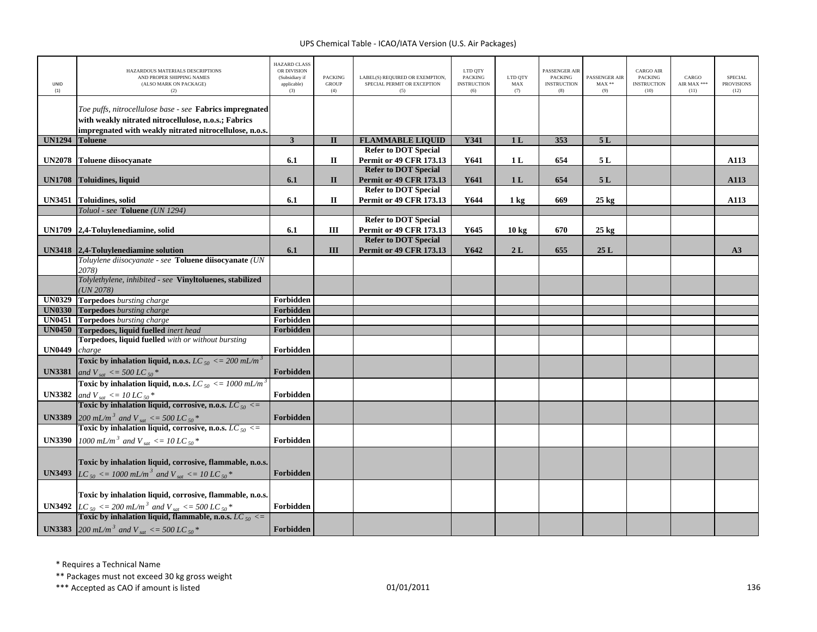| UNID<br>(1)   | HAZARDOUS MATERIALS DESCRIPTIONS<br>AND PROPER SHIPPING NAMES<br>(ALSO MARK ON PACKAGE)<br>(2)                                                       | <b>HAZARD CLASS</b><br>OR DIVISION<br>(Subsidiary if<br>applicable)<br>(3) | <b>PACKING</b><br><b>GROUP</b><br>(4) | LABEL(S) REQUIRED OR EXEMPTION,<br>SPECIAL PERMIT OR EXCEPTION<br>(5) | LTD QTY<br><b>PACKING</b><br><b>INSTRUCTION</b><br>(6) | LTD QTY<br>MAX<br>(7) | <b>PASSENGER AIR</b><br><b>PACKING</b><br><b>INSTRUCTION</b><br>(8) | PASSENGER AIR<br>$MAX**$<br>(9) | <b>CARGO AIR</b><br>PACKING<br><b>INSTRUCTION</b><br>(10) | CARGO<br>AIR MAX ***<br>(11) | <b>SPECIAL</b><br><b>PROVISIONS</b><br>(12) |
|---------------|------------------------------------------------------------------------------------------------------------------------------------------------------|----------------------------------------------------------------------------|---------------------------------------|-----------------------------------------------------------------------|--------------------------------------------------------|-----------------------|---------------------------------------------------------------------|---------------------------------|-----------------------------------------------------------|------------------------------|---------------------------------------------|
|               | Toe puffs, nitrocellulose base - see Fabrics impregnated                                                                                             |                                                                            |                                       |                                                                       |                                                        |                       |                                                                     |                                 |                                                           |                              |                                             |
|               | with weakly nitrated nitrocellulose, n.o.s.; Fabrics                                                                                                 |                                                                            |                                       |                                                                       |                                                        |                       |                                                                     |                                 |                                                           |                              |                                             |
|               | impregnated with weakly nitrated nitrocellulose, n.o.s.                                                                                              |                                                                            |                                       |                                                                       |                                                        |                       |                                                                     |                                 |                                                           |                              |                                             |
| <b>UN1294</b> | <b>Toluene</b>                                                                                                                                       | $\overline{\mathbf{3}}$                                                    | $\mathbf{I}$                          | <b>FLAMMABLE LIQUID</b>                                               | <b>Y341</b>                                            | 1L                    | 353                                                                 | 5L                              |                                                           |                              |                                             |
|               |                                                                                                                                                      |                                                                            |                                       | <b>Refer to DOT Special</b>                                           |                                                        |                       |                                                                     |                                 |                                                           |                              |                                             |
|               | UN2078 Toluene diisocyanate                                                                                                                          | 6.1                                                                        | $\mathbf H$                           | Permit or 49 CFR 173.13                                               | Y641                                                   | 1 <sub>L</sub>        | 654                                                                 | 5 L                             |                                                           |                              | A113                                        |
|               |                                                                                                                                                      |                                                                            |                                       | <b>Refer to DOT Special</b>                                           |                                                        |                       |                                                                     |                                 |                                                           |                              |                                             |
|               | UN1708 Toluidines, liquid                                                                                                                            | 6.1                                                                        | $\mathbf{I}$                          | <b>Permit or 49 CFR 173.13</b>                                        | Y641                                                   | 1 <sub>L</sub>        | 654                                                                 | 5L                              |                                                           |                              | A113                                        |
|               |                                                                                                                                                      |                                                                            |                                       | <b>Refer to DOT Special</b>                                           |                                                        |                       |                                                                     |                                 |                                                           |                              |                                             |
|               | UN3451 Toluidines, solid                                                                                                                             | 6.1                                                                        | П                                     | Permit or 49 CFR 173.13                                               | Y644                                                   | 1 kg                  | 669                                                                 | $25 \text{ kg}$                 |                                                           |                              | A113                                        |
|               | Toluol - see Toluene (UN 1294)                                                                                                                       |                                                                            |                                       |                                                                       |                                                        |                       |                                                                     |                                 |                                                           |                              |                                             |
|               |                                                                                                                                                      |                                                                            |                                       | <b>Refer to DOT Special</b>                                           |                                                        |                       |                                                                     |                                 |                                                           |                              |                                             |
| <b>UN1709</b> | 2,4-Toluylenediamine, solid                                                                                                                          | 6.1                                                                        | Ш                                     | <b>Permit or 49 CFR 173.13</b>                                        | Y645                                                   | 10 <sub>kg</sub>      | 670                                                                 | $25 \text{ kg}$                 |                                                           |                              |                                             |
|               | UN3418 2,4-Toluylenediamine solution                                                                                                                 | 6.1                                                                        | Ш                                     | <b>Refer to DOT Special</b><br><b>Permit or 49 CFR 173.13</b>         | Y642                                                   | 2L                    | 655                                                                 | 25L                             |                                                           |                              | A3                                          |
|               | Toluylene diisocyanate - see Toluene diisocyanate (UN                                                                                                |                                                                            |                                       |                                                                       |                                                        |                       |                                                                     |                                 |                                                           |                              |                                             |
|               | 2078)                                                                                                                                                |                                                                            |                                       |                                                                       |                                                        |                       |                                                                     |                                 |                                                           |                              |                                             |
|               | Tolylethylene, inhibited - see Vinyltoluenes, stabilized                                                                                             |                                                                            |                                       |                                                                       |                                                        |                       |                                                                     |                                 |                                                           |                              |                                             |
|               | (UN 2078)                                                                                                                                            |                                                                            |                                       |                                                                       |                                                        |                       |                                                                     |                                 |                                                           |                              |                                             |
|               | <b>UN0329</b> Torpedoes bursting charge                                                                                                              | Forbidden                                                                  |                                       |                                                                       |                                                        |                       |                                                                     |                                 |                                                           |                              |                                             |
| <b>UN0330</b> | <b>Torpedoes</b> bursting charge                                                                                                                     | Forbidden                                                                  |                                       |                                                                       |                                                        |                       |                                                                     |                                 |                                                           |                              |                                             |
| <b>UN0451</b> | <b>Torpedoes</b> bursting charge                                                                                                                     | Forbidden                                                                  |                                       |                                                                       |                                                        |                       |                                                                     |                                 |                                                           |                              |                                             |
| <b>UN0450</b> | Torpedoes, liquid fuelled inert head                                                                                                                 | Forbidden                                                                  |                                       |                                                                       |                                                        |                       |                                                                     |                                 |                                                           |                              |                                             |
|               | Torpedoes, liquid fuelled with or without bursting                                                                                                   |                                                                            |                                       |                                                                       |                                                        |                       |                                                                     |                                 |                                                           |                              |                                             |
| <b>UN0449</b> | charge                                                                                                                                               | Forbidden                                                                  |                                       |                                                                       |                                                        |                       |                                                                     |                                 |                                                           |                              |                                             |
|               | Toxic by inhalation liquid, n.o.s. LC $_{50}$ <= 200 mL/m <sup>3</sup>                                                                               | Forbidden                                                                  |                                       |                                                                       |                                                        |                       |                                                                     |                                 |                                                           |                              |                                             |
| <b>UN3381</b> | and V <sub>sat</sub> <= 500 LC <sub>50</sub> $*$                                                                                                     |                                                                            |                                       |                                                                       |                                                        |                       |                                                                     |                                 |                                                           |                              |                                             |
|               | Toxic by inhalation liquid, n.o.s. LC $_{50}$ <= 1000 mL/m <sup>3</sup>                                                                              |                                                                            |                                       |                                                                       |                                                        |                       |                                                                     |                                 |                                                           |                              |                                             |
| <b>UN3382</b> | and V <sub>sat</sub> <= 10 LC <sub>50</sub> *<br><b>Toxic by inhalation liquid, corrosive, n.o.s.</b> LC <sub>50</sub> <=                            | Forbidden                                                                  |                                       |                                                                       |                                                        |                       |                                                                     |                                 |                                                           |                              |                                             |
|               |                                                                                                                                                      |                                                                            |                                       |                                                                       |                                                        |                       |                                                                     |                                 |                                                           |                              |                                             |
| <b>UN3389</b> | 200 mL/m <sup>3</sup> and V <sub>sat</sub> <= 500 LC <sub>50</sub> <sup>*</sup><br>Toxic by inhalation liquid, corrosive, n.o.s. LC <sub>50</sub> <= | Forbidden                                                                  |                                       |                                                                       |                                                        |                       |                                                                     |                                 |                                                           |                              |                                             |
|               |                                                                                                                                                      |                                                                            |                                       |                                                                       |                                                        |                       |                                                                     |                                 |                                                           |                              |                                             |
| <b>UN3390</b> | 1000 mL/m <sup>3</sup> and V <sub>sat</sub> <= 10 LC <sub>50</sub> <sup>*</sup>                                                                      | Forbidden                                                                  |                                       |                                                                       |                                                        |                       |                                                                     |                                 |                                                           |                              |                                             |
|               |                                                                                                                                                      |                                                                            |                                       |                                                                       |                                                        |                       |                                                                     |                                 |                                                           |                              |                                             |
|               | Toxic by inhalation liquid, corrosive, flammable, n.o.s.                                                                                             |                                                                            |                                       |                                                                       |                                                        |                       |                                                                     |                                 |                                                           |                              |                                             |
|               | <b>UN3493</b> $LC_{50} \le 1000 \text{ mL/m}^3$ and $V_{sat} \le 10 \text{ LC}_{50}$ *                                                               | Forbidden                                                                  |                                       |                                                                       |                                                        |                       |                                                                     |                                 |                                                           |                              |                                             |
|               |                                                                                                                                                      |                                                                            |                                       |                                                                       |                                                        |                       |                                                                     |                                 |                                                           |                              |                                             |
|               | Toxic by inhalation liquid, corrosive, flammable, n.o.s.                                                                                             |                                                                            |                                       |                                                                       |                                                        |                       |                                                                     |                                 |                                                           |                              |                                             |
|               | <b>UN3492</b> $LC_{50} \le 200 \, \text{mL/m}^3$ and $V_{sat} \le 500 \, \text{LC}_{50}$ *                                                           | Forbidden                                                                  |                                       |                                                                       |                                                        |                       |                                                                     |                                 |                                                           |                              |                                             |
|               | Toxic by inhalation liquid, flammable, n.o.s. LC $_{50}$ <=                                                                                          |                                                                            |                                       |                                                                       |                                                        |                       |                                                                     |                                 |                                                           |                              |                                             |
|               | <b>UN3383</b> 200 mL/m <sup>3</sup> and V <sub>sat</sub> <= 500 LC <sub>50</sub> <sup>*</sup>                                                        | Forbidden                                                                  |                                       |                                                                       |                                                        |                       |                                                                     |                                 |                                                           |                              |                                             |

\* Requires <sup>a</sup> Technical Name

\*\* Packages must not exceed 30 kg gross weight

\*\*\* Accepted as CAO if amount is listed 136 per control to the control of the 136 per control of the control of the control of the control of the control of the control of the control of the control of the control of the c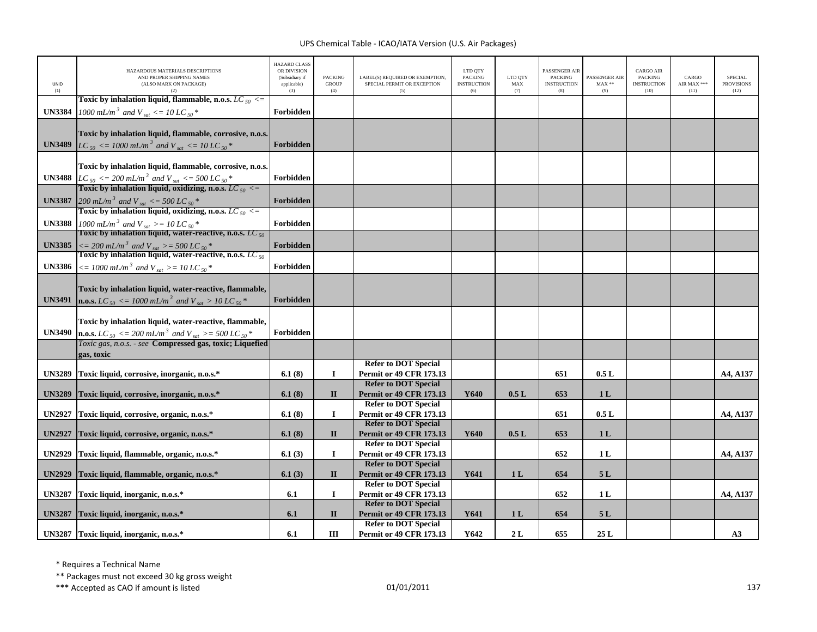| <b>UNID</b><br>(1) | HAZARDOUS MATERIALS DESCRIPTIONS<br>AND PROPER SHIPPING NAMES<br>(ALSO MARK ON PACKAGE)                                                                                                                             | <b>HAZARD CLASS</b><br>OR DIVISION<br>(Subsidiary if<br>applicable)<br>(3) | <b>PACKING</b><br><b>GROUP</b><br>(4) | LABEL(S) REOUIRED OR EXEMPTION.<br>SPECIAL PERMIT OR EXCEPTION<br>(5)                        | LTD OTY<br><b>PACKING</b><br><b>INSTRUCTION</b><br>(6) | LTD QTY<br>MAX<br>(7) | <b>ASSENGER AIR</b><br><b>PACKING</b><br><b>INSTRUCTION</b><br>(8) | <b>PASSENGER AIR</b><br>$MAX**$<br>(9) | <b>CARGO AIR</b><br><b>PACKING</b><br><b>INSTRUCTION</b><br>(10) | CARGO<br>AIR MAX ***<br>(11) | <b>SPECIAL</b><br><b>PROVISIONS</b><br>(12) |
|--------------------|---------------------------------------------------------------------------------------------------------------------------------------------------------------------------------------------------------------------|----------------------------------------------------------------------------|---------------------------------------|----------------------------------------------------------------------------------------------|--------------------------------------------------------|-----------------------|--------------------------------------------------------------------|----------------------------------------|------------------------------------------------------------------|------------------------------|---------------------------------------------|
| <b>UN3384</b>      | Toxic by inhalation liquid, flammable, n.o.s. LC $_{50}$ <=<br>1000 mL/m <sup>3</sup> and V <sub>sat</sub> <= 10 LC <sub>50</sub> *                                                                                 | Forbidden                                                                  |                                       |                                                                                              |                                                        |                       |                                                                    |                                        |                                                                  |                              |                                             |
|                    | Toxic by inhalation liquid, flammable, corrosive, n.o.s.<br><b>UN3489</b> LC <sub>50</sub> <= 1000 mL/m <sup>3</sup> and V <sub>sat</sub> <= 10 LC <sub>50</sub> <sup>*</sup>                                       | Forbidden                                                                  |                                       |                                                                                              |                                                        |                       |                                                                    |                                        |                                                                  |                              |                                             |
| <b>UN3488</b>      | Toxic by inhalation liquid, flammable, corrosive, n.o.s.<br>$LC_{50} \le 200 \, \text{mL/m}^3$ and $V_{sat} \le 500 \, \text{LC}_{50}$ *<br>Toxic by inhalation liquid, oxidizing, n.o.s. LC $_{50} \le$            | Forbidden                                                                  |                                       |                                                                                              |                                                        |                       |                                                                    |                                        |                                                                  |                              |                                             |
| <b>UN3387</b>      | $200 \text{ mL/m}^3$ and V <sub>sat</sub> <= 500 LC s <sub>0</sub> <sup>*</sup><br>Toxic by inhalation liquid, oxidizing, n.o.s. LC s <sub>0</sub> <=                                                               | Forbidden                                                                  |                                       |                                                                                              |                                                        |                       |                                                                    |                                        |                                                                  |                              |                                             |
| <b>UN3388</b>      | 1000 mL/m <sup>3</sup> and V <sub>sat</sub> > = 10 LC <sub>50</sub> *<br>Toxic by inhalation liquid, water-reactive, n.o.s. LC <sub>50</sub>                                                                        | Forbidden                                                                  |                                       |                                                                                              |                                                        |                       |                                                                    |                                        |                                                                  |                              |                                             |
| <b>UN3385</b>      | $\langle 2200 \, \frac{mL}{m^3} \rangle$ and V <sub>sat</sub> $> = 500 \, \frac{L}{m}$ s <sup>*</sup><br>Toxic by inhalation liquid, water-reactive, n.o.s. <i>LC</i> <sub>50</sub>                                 | Forbidden                                                                  |                                       |                                                                                              |                                                        |                       |                                                                    |                                        |                                                                  |                              |                                             |
| <b>UN3386</b>      | $\epsilon = 1000$ mL/m <sup>3</sup> and V <sub>sat</sub> >= 10 LC <sub>50</sub> *                                                                                                                                   | Forbidden                                                                  |                                       |                                                                                              |                                                        |                       |                                                                    |                                        |                                                                  |                              |                                             |
| <b>UN3491</b>      | Toxic by inhalation liquid, water-reactive, flammable,<br><b>n.o.s.</b> LC <sub>50</sub> <= 1000 mL/m <sup>3</sup> and V <sub>sat</sub> > 10 LC <sub>50</sub> *                                                     | Forbidden                                                                  |                                       |                                                                                              |                                                        |                       |                                                                    |                                        |                                                                  |                              |                                             |
| <b>UN3490</b>      | Toxic by inhalation liquid, water-reactive, flammable,<br><b>n.o.s.</b> $LC_{50} \le 200 \text{ mL/m}^3$ and $V_{sat} \ge 500 \text{ LC}_{50}^*$<br>Toxic gas, n.o.s. - see <b>Compressed gas, toxic; Liquefied</b> | Forbidden                                                                  |                                       |                                                                                              |                                                        |                       |                                                                    |                                        |                                                                  |                              |                                             |
|                    | gas, toxic                                                                                                                                                                                                          |                                                                            |                                       |                                                                                              |                                                        |                       |                                                                    |                                        |                                                                  |                              |                                             |
| <b>UN3289</b>      | Toxic liquid, corrosive, inorganic, n.o.s.*                                                                                                                                                                         | 6.1(8)                                                                     | $\mathbf I$                           | <b>Refer to DOT Special</b><br><b>Permit or 49 CFR 173.13</b>                                |                                                        |                       | 651                                                                | 0.5L                                   |                                                                  |                              | A4, A137                                    |
| <b>UN3289</b>      | Toxic liquid, corrosive, inorganic, n.o.s.*                                                                                                                                                                         | 6.1(8)                                                                     | $\mathbf{I}$                          | <b>Refer to DOT Special</b><br><b>Permit or 49 CFR 173.13</b>                                | Y640                                                   | 0.5L                  | 653                                                                | 1 <sub>L</sub>                         |                                                                  |                              |                                             |
| <b>UN2927</b>      | Toxic liquid, corrosive, organic, n.o.s.*                                                                                                                                                                           | 6.1(8)                                                                     | $\bf{I}$                              | <b>Refer to DOT Special</b><br><b>Permit or 49 CFR 173.13</b><br><b>Refer to DOT Special</b> |                                                        |                       | 651                                                                | 0.5L                                   |                                                                  |                              | A4, A137                                    |
| <b>UN2927</b>      | Toxic liquid, corrosive, organic, n.o.s.*                                                                                                                                                                           | 6.1(8)                                                                     | $\mathbf{I}$                          | <b>Permit or 49 CFR 173.13</b><br><b>Refer to DOT Special</b>                                | Y640                                                   | 0.5L                  | 653                                                                | 1 <sub>L</sub>                         |                                                                  |                              |                                             |
| <b>UN2929</b>      | Toxic liquid, flammable, organic, n.o.s.*                                                                                                                                                                           | 6.1(3)                                                                     | Ι.                                    | <b>Permit or 49 CFR 173.13</b><br><b>Refer to DOT Special</b>                                |                                                        |                       | 652                                                                | 1 <sub>L</sub>                         |                                                                  |                              | A4, A137                                    |
| <b>UN2929</b>      | Toxic liquid, flammable, organic, n.o.s.*                                                                                                                                                                           | 6.1(3)                                                                     | $\mathbf{I}$                          | <b>Permit or 49 CFR 173.13</b><br><b>Refer to DOT Special</b>                                | Y641                                                   | 1 <sub>L</sub>        | 654                                                                | 5L                                     |                                                                  |                              |                                             |
| <b>UN3287</b>      | Toxic liquid, inorganic, n.o.s.*                                                                                                                                                                                    | 6.1                                                                        | $\mathbf{I}$                          | <b>Permit or 49 CFR 173.13</b><br><b>Refer to DOT Special</b>                                |                                                        |                       | 652                                                                | 1 <sub>L</sub>                         |                                                                  |                              | A4, A137                                    |
| <b>UN3287</b>      | Toxic liquid, inorganic, n.o.s.*                                                                                                                                                                                    | 6.1                                                                        | $\mathbf{I}$                          | <b>Permit or 49 CFR 173.13</b><br><b>Refer to DOT Special</b>                                | Y641                                                   | 1 <sub>L</sub>        | 654                                                                | 5 L                                    |                                                                  |                              |                                             |
|                    | UN3287 Toxic liquid, inorganic, n.o.s.*                                                                                                                                                                             | 6.1                                                                        | Ш                                     | <b>Permit or 49 CFR 173.13</b>                                                               | Y642                                                   | 2L                    | 655                                                                | 25L                                    |                                                                  |                              | A3                                          |

\* Requires <sup>a</sup> Technical Name

\*\* Packages must not exceed 30 kg gross weight

\*\*\* Accepted as CAO if amount is listed 137 and the control of the control of the control of the control of the control of the control of the control of the control of the control of the control of the control of the contr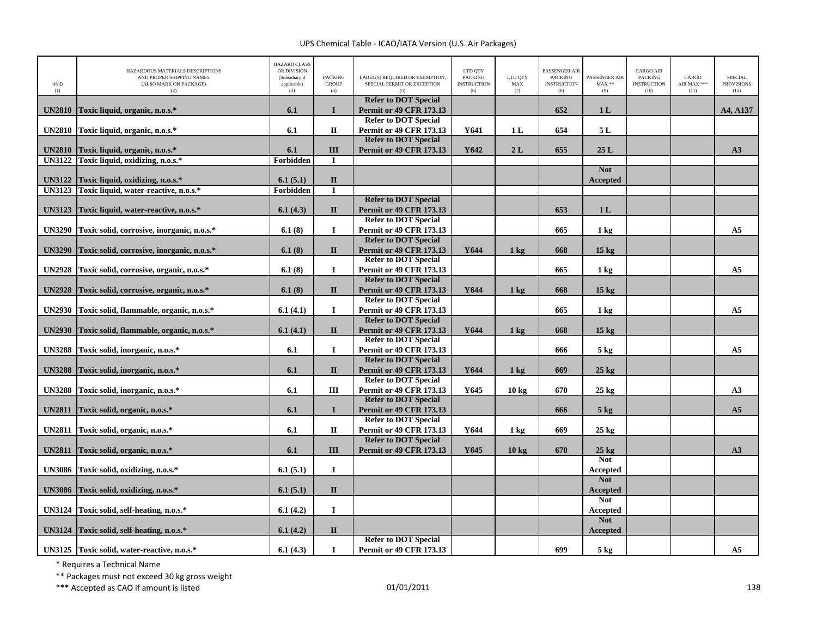| UNID<br>(1)   | HAZARDOUS MATERIALS DESCRIPTIONS<br>AND PROPER SHIPPING NAMES<br>(ALSO MARK ON PACKAGE)<br>(2) | <b>HAZARD CLASS</b><br>OR DIVISION<br>(Subsidiary if<br>applicable)<br>(3) | <b>PACKING</b><br><b>GROUP</b><br>(4) | LABEL(S) REQUIRED OR EXEMPTION.<br>SPECIAL PERMIT OR EXCEPTION<br>(5) | LTD QTY<br><b>PACKING</b><br><b>INSTRUCTION</b><br>(6) | LTD QTY<br>MAX<br>(7) | <b>PASSENGER AIR</b><br><b>PACKING</b><br><b>INSTRUCTION</b><br>(8) | PASSENGER AIR<br>$MAX**$<br>(9) | <b>CARGO AIR</b><br>PACKING<br><b>INSTRUCTION</b><br>(10) | CARGO<br>AIR MAX ***<br>(11) | SPECIAL<br><b>PROVISIONS</b><br>(12) |
|---------------|------------------------------------------------------------------------------------------------|----------------------------------------------------------------------------|---------------------------------------|-----------------------------------------------------------------------|--------------------------------------------------------|-----------------------|---------------------------------------------------------------------|---------------------------------|-----------------------------------------------------------|------------------------------|--------------------------------------|
|               |                                                                                                |                                                                            |                                       | <b>Refer to DOT Special</b>                                           |                                                        |                       |                                                                     |                                 |                                                           |                              |                                      |
| <b>UN2810</b> | Toxic liquid, organic, n.o.s.*                                                                 | 6.1                                                                        | $\mathbf I$                           | <b>Permit or 49 CFR 173.13</b>                                        |                                                        |                       | 652                                                                 | 1 <sub>L</sub>                  |                                                           |                              | A4, A137                             |
|               |                                                                                                |                                                                            |                                       | <b>Refer to DOT Special</b>                                           |                                                        |                       |                                                                     |                                 |                                                           |                              |                                      |
| <b>UN2810</b> | Toxic liquid, organic, n.o.s.*                                                                 | 6.1                                                                        | $\mathbf I$                           | <b>Permit or 49 CFR 173.13</b><br><b>Refer to DOT Special</b>         | Y641                                                   | 1 <sub>L</sub>        | 654                                                                 | 5L                              |                                                           |                              |                                      |
| <b>UN2810</b> |                                                                                                | 6.1                                                                        | III                                   | <b>Permit or 49 CFR 173.13</b>                                        | Y642                                                   | 2L                    | 655                                                                 | 25L                             |                                                           |                              | A3                                   |
| <b>UN3122</b> | Toxic liquid, organic, n.o.s.*<br>Toxic liquid, oxidizing, n.o.s.*                             | Forbidden                                                                  | $\mathbf I$                           |                                                                       |                                                        |                       |                                                                     |                                 |                                                           |                              |                                      |
|               |                                                                                                |                                                                            |                                       |                                                                       |                                                        |                       |                                                                     | <b>Not</b>                      |                                                           |                              |                                      |
| <b>UN3122</b> | Toxic liquid, oxidizing, n.o.s.*                                                               | 6.1(5.1)                                                                   | $\mathbf{I}$                          |                                                                       |                                                        |                       |                                                                     | Accepted                        |                                                           |                              |                                      |
| <b>UN3123</b> | Toxic liquid, water-reactive, n.o.s.*                                                          | Forbidden                                                                  | $\bf{I}$                              |                                                                       |                                                        |                       |                                                                     |                                 |                                                           |                              |                                      |
|               |                                                                                                |                                                                            |                                       | <b>Refer to DOT Special</b>                                           |                                                        |                       |                                                                     |                                 |                                                           |                              |                                      |
| <b>UN3123</b> | Toxic liquid, water-reactive, n.o.s.*                                                          | 6.1(4.3)                                                                   | $\mathbf{I}$                          | <b>Permit or 49 CFR 173.13</b>                                        |                                                        |                       | 653                                                                 | 1 <sub>L</sub>                  |                                                           |                              |                                      |
|               |                                                                                                |                                                                            |                                       | <b>Refer to DOT Special</b>                                           |                                                        |                       |                                                                     |                                 |                                                           |                              |                                      |
| <b>UN3290</b> | Toxic solid, corrosive, inorganic, n.o.s.*                                                     | 6.1(8)                                                                     | $\bf{I}$                              | <b>Permit or 49 CFR 173.13</b>                                        |                                                        |                       | 665                                                                 | 1 <sub>kg</sub>                 |                                                           |                              | A <sub>5</sub>                       |
|               |                                                                                                |                                                                            |                                       | <b>Refer to DOT Special</b>                                           |                                                        |                       |                                                                     |                                 |                                                           |                              |                                      |
| <b>UN3290</b> | Toxic solid, corrosive, inorganic, n.o.s.*                                                     | 6.1(8)                                                                     | $\mathbf{I}$                          | <b>Permit or 49 CFR 173.13</b>                                        | Y644                                                   | $1 \text{ kg}$        | 668                                                                 | 15 <sub>kg</sub>                |                                                           |                              |                                      |
|               |                                                                                                |                                                                            |                                       | <b>Refer to DOT Special</b>                                           |                                                        |                       |                                                                     |                                 |                                                           |                              |                                      |
| <b>UN2928</b> | Toxic solid, corrosive, organic, n.o.s.*                                                       | 6.1(8)                                                                     | $\bf{I}$                              | <b>Permit or 49 CFR 173.13</b>                                        |                                                        |                       | 665                                                                 | 1 <sub>kg</sub>                 |                                                           |                              | A <sub>5</sub>                       |
|               |                                                                                                |                                                                            |                                       | <b>Refer to DOT Special</b>                                           |                                                        |                       |                                                                     |                                 |                                                           |                              |                                      |
| <b>UN2928</b> | Toxic solid, corrosive, organic, n.o.s.*                                                       | 6.1(8)                                                                     | $\mathbf{I}$                          | <b>Permit or 49 CFR 173.13</b>                                        | Y644                                                   | $1 \text{ kg}$        | 668                                                                 | 15 <sub>kg</sub>                |                                                           |                              |                                      |
|               |                                                                                                |                                                                            |                                       | <b>Refer to DOT Special</b>                                           |                                                        |                       |                                                                     |                                 |                                                           |                              |                                      |
| <b>UN2930</b> | Toxic solid, flammable, organic, n.o.s.*                                                       | 6.1(4.1)                                                                   | $\mathbf{I}$                          | <b>Permit or 49 CFR 173.13</b>                                        |                                                        |                       | 665                                                                 | 1 <sub>kg</sub>                 |                                                           |                              | A <sub>5</sub>                       |
|               |                                                                                                |                                                                            |                                       | <b>Refer to DOT Special</b>                                           |                                                        |                       |                                                                     |                                 |                                                           |                              |                                      |
| <b>UN2930</b> | Toxic solid, flammable, organic, n.o.s.*                                                       | 6.1(4.1)                                                                   | $\mathbf{I}$                          | <b>Permit or 49 CFR 173.13</b>                                        | Y644                                                   | 1 <sub>kg</sub>       | 668                                                                 | 15 <sub>kg</sub>                |                                                           |                              |                                      |
|               |                                                                                                |                                                                            |                                       | <b>Refer to DOT Special</b>                                           |                                                        |                       |                                                                     |                                 |                                                           |                              |                                      |
| <b>UN3288</b> | Toxic solid, inorganic, n.o.s.*                                                                | 6.1                                                                        | $\mathbf{I}$                          | Permit or 49 CFR 173.13                                               |                                                        |                       | 666                                                                 | $5$ kg                          |                                                           |                              | A <sub>5</sub>                       |
|               |                                                                                                |                                                                            |                                       | <b>Refer to DOT Special</b>                                           |                                                        |                       |                                                                     |                                 |                                                           |                              |                                      |
| <b>UN3288</b> | Toxic solid, inorganic, n.o.s.*                                                                | 6.1                                                                        | $\mathbf{I}$                          | <b>Permit or 49 CFR 173.13</b>                                        | Y644                                                   | $1 \text{ kg}$        | 669                                                                 | $25 \text{ kg}$                 |                                                           |                              |                                      |
|               |                                                                                                |                                                                            |                                       | <b>Refer to DOT Special</b>                                           |                                                        |                       |                                                                     |                                 |                                                           |                              |                                      |
| <b>UN3288</b> | Toxic solid, inorganic, n.o.s.*                                                                | 6.1                                                                        | III                                   | <b>Permit or 49 CFR 173.13</b>                                        | Y645                                                   | $10 \text{ kg}$       | 670                                                                 | $25 \text{ kg}$                 |                                                           |                              | A3                                   |
|               |                                                                                                |                                                                            |                                       | <b>Refer to DOT Special</b>                                           |                                                        |                       |                                                                     |                                 |                                                           |                              |                                      |
| <b>UN2811</b> | Toxic solid, organic, n.o.s.*                                                                  | 6.1                                                                        | $\mathbf{I}$                          | <b>Permit or 49 CFR 173.13</b>                                        |                                                        |                       | 666                                                                 | $5 \text{ kg}$                  |                                                           |                              | A <sub>5</sub>                       |
|               |                                                                                                |                                                                            |                                       | <b>Refer to DOT Special</b>                                           |                                                        |                       |                                                                     |                                 |                                                           |                              |                                      |
| <b>UN2811</b> | Toxic solid, organic, n.o.s.*                                                                  | 6.1                                                                        | $\mathbf{I}$                          | <b>Permit or 49 CFR 173.13</b>                                        | Y644                                                   | 1 <sub>kg</sub>       | 669                                                                 | $25 \text{ kg}$                 |                                                           |                              |                                      |
|               |                                                                                                |                                                                            |                                       | <b>Refer to DOT Special</b>                                           |                                                        |                       |                                                                     |                                 |                                                           |                              |                                      |
| <b>UN2811</b> | Toxic solid, organic, n.o.s.*                                                                  | 6.1                                                                        | III                                   | <b>Permit or 49 CFR 173.13</b>                                        | Y645                                                   | $10 \text{ kg}$       | 670                                                                 | $25 \text{ kg}$                 |                                                           |                              | A3                                   |
|               |                                                                                                |                                                                            |                                       |                                                                       |                                                        |                       |                                                                     | <b>Not</b>                      |                                                           |                              |                                      |
| <b>UN3086</b> | Toxic solid, oxidizing, n.o.s.*                                                                | 6.1(5.1)                                                                   | $\mathbf{I}$                          |                                                                       |                                                        |                       |                                                                     | Accepted                        |                                                           |                              |                                      |
|               |                                                                                                |                                                                            |                                       |                                                                       |                                                        |                       |                                                                     | <b>Not</b>                      |                                                           |                              |                                      |
| <b>UN3086</b> | Toxic solid, oxidizing, n.o.s.*                                                                | 6.1(5.1)                                                                   | $\mathbf{I}$                          |                                                                       |                                                        |                       |                                                                     | <b>Accepted</b>                 |                                                           |                              |                                      |
|               |                                                                                                |                                                                            |                                       |                                                                       |                                                        |                       |                                                                     | <b>Not</b>                      |                                                           |                              |                                      |
| <b>UN3124</b> | Toxic solid, self-heating, n.o.s.*                                                             | 6.1(4.2)                                                                   | $\mathbf I$                           |                                                                       |                                                        |                       |                                                                     | Accepted                        |                                                           |                              |                                      |
|               |                                                                                                |                                                                            |                                       |                                                                       |                                                        |                       |                                                                     | <b>Not</b>                      |                                                           |                              |                                      |
| <b>UN3124</b> | Toxic solid, self-heating, n.o.s.*                                                             | 6.1(4.2)                                                                   | $\mathbf{I}$                          |                                                                       |                                                        |                       |                                                                     | <b>Accepted</b>                 |                                                           |                              |                                      |
|               |                                                                                                |                                                                            |                                       | <b>Refer to DOT Special</b>                                           |                                                        |                       |                                                                     |                                 |                                                           |                              |                                      |
|               | UN3125 Toxic solid, water-reactive, n.o.s.*                                                    | 6.1(4.3)                                                                   | $\bf{I}$                              | <b>Permit or 49 CFR 173.13</b>                                        |                                                        |                       | 699                                                                 | 5 kg                            |                                                           |                              | A <sub>5</sub>                       |

\* Requires <sup>a</sup> Technical Name

\*\* Packages must not exceed 30 kg gross weight

\*\*\* Accepted as CAO if amount is listed 138 and the control of the control of the control of the control of the control of the control of the control of the control of the control of the control of the control of the contr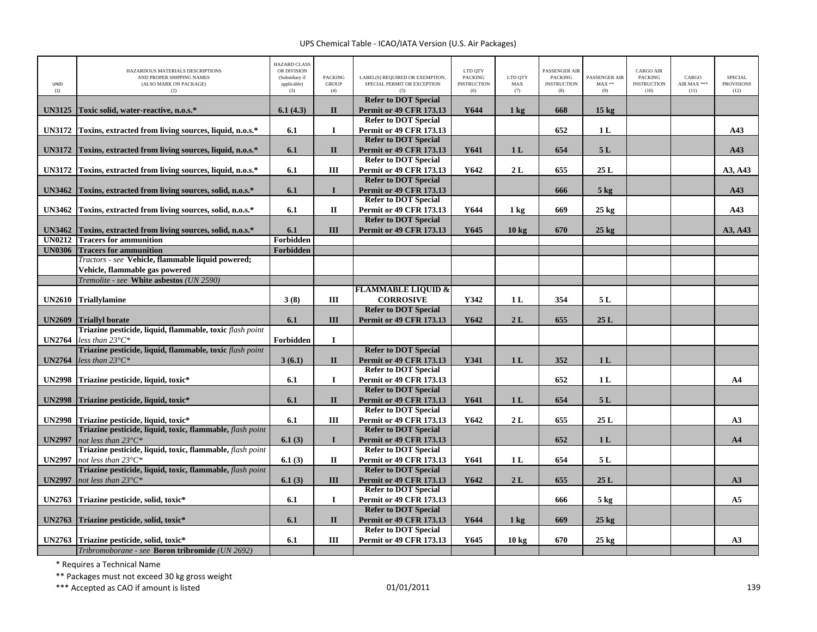| UNID<br>(1)   | HAZARDOUS MATERIALS DESCRIPTIONS<br>AND PROPER SHIPPING NAMES<br>(ALSO MARK ON PACKAGE)<br>(2) | <b>HAZARD CLASS</b><br>OR DIVISION<br>(Subsidiary if<br>applicable)<br>(3) | <b>PACKING</b><br><b>GROUP</b><br>(4) | LABEL(S) REQUIRED OR EXEMPTION,<br>SPECIAL PERMIT OR EXCEPTION | LTD QTY<br><b>PACKING</b><br><b>INSTRUCTION</b><br>(6) | LTD QTY<br>MAX<br>(7) | PASSENGER AIR<br><b>PACKING</b><br><b>INSTRUCTION</b><br>(8) | PASSENGER AIR<br>$MAX**$<br>(9) | <b>CARGO AIR</b><br><b>PACKING</b><br><b>INSTRUCTION</b><br>(10) | CARGO<br>AIR MAX ***<br>(11) | <b>SPECIAL</b><br><b>PROVISIONS</b><br>(12) |
|---------------|------------------------------------------------------------------------------------------------|----------------------------------------------------------------------------|---------------------------------------|----------------------------------------------------------------|--------------------------------------------------------|-----------------------|--------------------------------------------------------------|---------------------------------|------------------------------------------------------------------|------------------------------|---------------------------------------------|
| <b>UN3125</b> | Toxic solid, water-reactive, n.o.s.*                                                           | 6.1(4.3)                                                                   | $\mathbf{I}$                          | <b>Refer to DOT Special</b><br><b>Permit or 49 CFR 173.13</b>  | Y644                                                   | $1 \text{ kg}$        | 668                                                          | $15 \text{ kg}$                 |                                                                  |                              |                                             |
| <b>UN3172</b> | Toxins, extracted from living sources, liquid, n.o.s.*                                         | 6.1                                                                        | $\bf{I}$                              | <b>Refer to DOT Special</b><br><b>Permit or 49 CFR 173.13</b>  |                                                        |                       | 652                                                          | 1 <sub>L</sub>                  |                                                                  |                              | A43                                         |
|               |                                                                                                |                                                                            |                                       | <b>Refer to DOT Special</b>                                    |                                                        |                       |                                                              |                                 |                                                                  |                              |                                             |
| <b>UN3172</b> | Toxins, extracted from living sources, liquid, n.o.s.*                                         | 6.1                                                                        | $\mathbf{I}$                          | <b>Permit or 49 CFR 173.13</b>                                 | Y641                                                   | 1 <sub>L</sub>        | 654                                                          | 5L                              |                                                                  |                              | A43                                         |
| <b>UN3172</b> | Toxins, extracted from living sources, liquid, n.o.s.*                                         | 6.1                                                                        | Ш                                     | <b>Refer to DOT Special</b><br><b>Permit or 49 CFR 173.13</b>  | Y642                                                   | 2L                    | 655                                                          | 25L                             |                                                                  |                              | A3, A43                                     |
|               |                                                                                                |                                                                            |                                       | <b>Refer to DOT Special</b>                                    |                                                        |                       |                                                              |                                 |                                                                  |                              |                                             |
| <b>UN3462</b> | Toxins, extracted from living sources, solid, n.o.s.*                                          | 6.1                                                                        | $\mathbf{I}$                          | <b>Permit or 49 CFR 173.13</b>                                 |                                                        |                       | 666                                                          | $5$ kg                          |                                                                  |                              | A43                                         |
|               |                                                                                                |                                                                            |                                       | <b>Refer to DOT Special</b>                                    |                                                        |                       |                                                              |                                 |                                                                  |                              |                                             |
| <b>UN3462</b> | Toxins, extracted from living sources, solid, n.o.s.*                                          | 6.1                                                                        | $\mathbf{I}$                          | <b>Permit or 49 CFR 173.13</b><br><b>Refer to DOT Special</b>  | Y644                                                   | 1 <sub>kg</sub>       | 669                                                          | $25 \text{ kg}$                 |                                                                  |                              | A43                                         |
| <b>UN3462</b> | Toxins, extracted from living sources, solid, n.o.s.*                                          | 6.1                                                                        | III                                   | <b>Permit or 49 CFR 173.13</b>                                 | Y645                                                   | 10 <sub>kg</sub>      | 670                                                          | $25$ kg                         |                                                                  |                              | A3, A43                                     |
| <b>UN0212</b> | <b>Tracers for ammunition</b>                                                                  | Forbidden                                                                  |                                       |                                                                |                                                        |                       |                                                              |                                 |                                                                  |                              |                                             |
| <b>UN0306</b> | <b>Tracers for ammunition</b>                                                                  | Forbidden                                                                  |                                       |                                                                |                                                        |                       |                                                              |                                 |                                                                  |                              |                                             |
|               | Tractors - see Vehicle, flammable liquid powered;                                              |                                                                            |                                       |                                                                |                                                        |                       |                                                              |                                 |                                                                  |                              |                                             |
|               | Vehicle, flammable gas powered                                                                 |                                                                            |                                       |                                                                |                                                        |                       |                                                              |                                 |                                                                  |                              |                                             |
|               | Tremolite - see White asbestos (UN 2590)                                                       |                                                                            |                                       |                                                                |                                                        |                       |                                                              |                                 |                                                                  |                              |                                             |
| <b>UN2610</b> | <b>Triallylamine</b>                                                                           | 3(8)                                                                       | Ш                                     | <b>FLAMMABLE LIQUID &amp;</b><br><b>CORROSIVE</b>              | Y342                                                   | 1 L                   | 354                                                          | 5L                              |                                                                  |                              |                                             |
|               |                                                                                                |                                                                            |                                       | <b>Refer to DOT Special</b>                                    |                                                        |                       |                                                              |                                 |                                                                  |                              |                                             |
| <b>UN2609</b> | <b>Triallyl borate</b>                                                                         | 6.1                                                                        | III                                   | <b>Permit or 49 CFR 173.13</b>                                 | Y642                                                   | 2L                    | 655                                                          | $25 L$                          |                                                                  |                              |                                             |
|               | Triazine pesticide, liquid, flammable, toxic flash point                                       |                                                                            |                                       |                                                                |                                                        |                       |                                                              |                                 |                                                                  |                              |                                             |
| <b>UN2764</b> | less than $23^{\circ}C^*$                                                                      | Forbidden                                                                  | $\mathbf I$                           |                                                                |                                                        |                       |                                                              |                                 |                                                                  |                              |                                             |
|               | Triazine pesticide, liquid, flammable, toxic flash point                                       |                                                                            |                                       | <b>Refer to DOT Special</b>                                    |                                                        |                       |                                                              |                                 |                                                                  |                              |                                             |
| <b>UN2764</b> | less than $23^{\circ}C^*$                                                                      | 3(6.1)                                                                     | $\mathbf{I}$                          | <b>Permit or 49 CFR 173.13</b><br><b>Refer to DOT Special</b>  | Y341                                                   | 1 <sub>L</sub>        | 352                                                          | 1 <sub>L</sub>                  |                                                                  |                              |                                             |
| <b>UN2998</b> | Triazine pesticide, liquid, toxic*                                                             | 6.1                                                                        | $\bf{I}$                              | <b>Permit or 49 CFR 173.13</b>                                 |                                                        |                       | 652                                                          | 1 <sub>L</sub>                  |                                                                  |                              | A <sub>4</sub>                              |
|               |                                                                                                |                                                                            |                                       | <b>Refer to DOT Special</b>                                    |                                                        |                       |                                                              |                                 |                                                                  |                              |                                             |
| <b>UN2998</b> | Triazine pesticide, liquid, toxic*                                                             | 6.1                                                                        | $\mathbf{I}$                          | <b>Permit or 49 CFR 173.13</b>                                 | Y641                                                   | 1 <sub>L</sub>        | 654                                                          | 5L                              |                                                                  |                              |                                             |
|               |                                                                                                |                                                                            |                                       | <b>Refer to DOT Special</b>                                    |                                                        |                       |                                                              |                                 |                                                                  |                              |                                             |
| <b>UN2998</b> | Triazine pesticide, liquid, toxic*                                                             | 6.1                                                                        | III                                   | <b>Permit or 49 CFR 173.13</b>                                 | Y642                                                   | 2L                    | 655                                                          | 25L                             |                                                                  |                              | A3                                          |
|               | Triazine pesticide, liquid, toxic, flammable, flash point                                      |                                                                            |                                       | <b>Refer to DOT Special</b>                                    |                                                        |                       |                                                              |                                 |                                                                  |                              |                                             |
| <b>UN2997</b> | not less than $23^{\circ}C^*$<br>Triazine pesticide, liquid, toxic, flammable, flash point     | 6.1(3)                                                                     | $\mathbf{I}$                          | <b>Permit or 49 CFR 173.13</b><br><b>Refer to DOT Special</b>  |                                                        |                       | 652                                                          | 1 <sub>L</sub>                  |                                                                  |                              | A <sub>4</sub>                              |
| <b>UN2997</b> | not less than $23^{\circ}C^*$                                                                  | 6.1(3)                                                                     | П                                     | <b>Permit or 49 CFR 173.13</b>                                 | Y641                                                   | 1 <sub>L</sub>        | 654                                                          | 5L                              |                                                                  |                              |                                             |
|               | Triazine pesticide, liquid, toxic, flammable, flash point                                      |                                                                            |                                       | <b>Refer to DOT Special</b>                                    |                                                        |                       |                                                              |                                 |                                                                  |                              |                                             |
| <b>UN2997</b> | not less than $23^{\circ}C^*$                                                                  | 6.1(3)                                                                     | III                                   | <b>Permit or 49 CFR 173.13</b>                                 | Y642                                                   | 2L                    | 655                                                          | 25L                             |                                                                  |                              | A3                                          |
|               |                                                                                                |                                                                            |                                       | <b>Refer to DOT Special</b>                                    |                                                        |                       |                                                              |                                 |                                                                  |                              |                                             |
| <b>UN2763</b> | Triazine pesticide, solid, toxic*                                                              | 6.1                                                                        | $\bf I$                               | <b>Permit or 49 CFR 173.13</b>                                 |                                                        |                       | 666                                                          | $5$ kg                          |                                                                  |                              | A <sub>5</sub>                              |
| <b>UN2763</b> |                                                                                                | 6.1                                                                        | $\mathbf{I}$                          | <b>Refer to DOT Special</b><br><b>Permit or 49 CFR 173.13</b>  | Y644                                                   | 1 <sub>kg</sub>       | 669                                                          | $25 \text{ kg}$                 |                                                                  |                              |                                             |
|               | Triazine pesticide, solid, toxic*                                                              |                                                                            |                                       | <b>Refer to DOT Special</b>                                    |                                                        |                       |                                                              |                                 |                                                                  |                              |                                             |
| <b>UN2763</b> | Triazine pesticide, solid, toxic*                                                              | 6.1                                                                        | Ш                                     | <b>Permit or 49 CFR 173.13</b>                                 | Y645                                                   | 10 kg                 | 670                                                          | $25 \text{ kg}$                 |                                                                  |                              | A3                                          |
|               | Tribromoborane - see Boron tribromide (UN 2692)                                                |                                                                            |                                       |                                                                |                                                        |                       |                                                              |                                 |                                                                  |                              |                                             |

\* Requires <sup>a</sup> Technical Name

\*\* Packages must not exceed 30 kg gross weight

\*\*\* Accepted as CAO if amount is listed 01/01/2011 <sup>139</sup>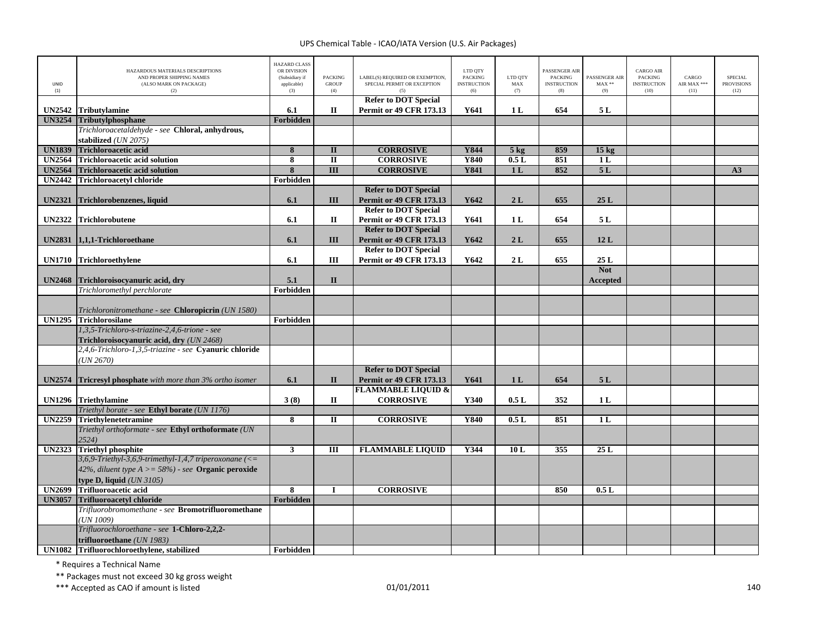| UNID          | HAZARDOUS MATERIALS DESCRIPTIONS<br>AND PROPER SHIPPING NAMES<br>(ALSO MARK ON PACKAGE)               | <b>HAZARD CLASS</b><br>OR DIVISION<br>(Subsidiary if<br>applicable) | <b>PACKING</b><br><b>GROUP</b> | LABEL(S) REQUIRED OR EXEMPTION,<br>SPECIAL PERMIT OR EXCEPTION | LTD QTY<br><b>PACKING</b><br><b>INSTRUCTION</b> | LTD QTY<br>MAX | PASSENGER AIR<br><b>PACKING</b><br><b>INSTRUCTION</b> | PASSENGER AIR<br>$\text{MAX}$ ** | CARGO AIR<br>PACKING<br><b>INSTRUCTION</b> | CARGO<br>AIR MAX *** | <b>SPECIAL</b><br><b>PROVISIONS</b> |
|---------------|-------------------------------------------------------------------------------------------------------|---------------------------------------------------------------------|--------------------------------|----------------------------------------------------------------|-------------------------------------------------|----------------|-------------------------------------------------------|----------------------------------|--------------------------------------------|----------------------|-------------------------------------|
| (1)           | (2)                                                                                                   | (3)                                                                 | (4)                            | (5)<br><b>Refer to DOT Special</b>                             | (6)                                             | (7)            | (8)                                                   | (9)                              | (10)                                       | (11)                 | (12)                                |
| <b>UN2542</b> | <b>Tributylamine</b>                                                                                  | 6.1                                                                 | $\mathbf{I}$                   | <b>Permit or 49 CFR 173.13</b>                                 | Y641                                            | 1 <sub>L</sub> | 654                                                   | 5L                               |                                            |                      |                                     |
|               | UN3254 Tributylphosphane                                                                              | Forbidden                                                           |                                |                                                                |                                                 |                |                                                       |                                  |                                            |                      |                                     |
|               | Trichloroacetaldehyde - see Chloral, anhydrous,                                                       |                                                                     |                                |                                                                |                                                 |                |                                                       |                                  |                                            |                      |                                     |
|               | stabilized (UN 2075)                                                                                  |                                                                     |                                |                                                                |                                                 |                |                                                       |                                  |                                            |                      |                                     |
| <b>UN1839</b> | <b>Trichloroacetic acid</b>                                                                           | 8                                                                   | $\mathbf{I}$                   | <b>CORROSIVE</b>                                               | Y844                                            | $5$ kg         | 859                                                   | 15 <sub>kg</sub>                 |                                            |                      |                                     |
| <b>UN2564</b> | <b>Trichloroacetic acid solution</b>                                                                  | $\overline{\mathbf{8}}$                                             | $\overline{\mathbf{u}}$        | <b>CORROSIVE</b>                                               | <b>Y840</b>                                     | 0.5L           | 851                                                   | 1 <sub>L</sub>                   |                                            |                      |                                     |
| <b>UN2564</b> | <b>Trichloroacetic acid solution</b>                                                                  | 8                                                                   | $\overline{III}$               | <b>CORROSIVE</b>                                               | <b>Y841</b>                                     | 1 <sub>L</sub> | 852                                                   | 5L                               |                                            |                      | A3                                  |
| <b>UN2442</b> | <b>Trichloroacetyl chloride</b>                                                                       | Forbidden                                                           |                                |                                                                |                                                 |                |                                                       |                                  |                                            |                      |                                     |
|               |                                                                                                       |                                                                     |                                | <b>Refer to DOT Special</b>                                    |                                                 |                |                                                       |                                  |                                            |                      |                                     |
| <b>UN2321</b> | Trichlorobenzenes, liquid                                                                             | 6.1                                                                 | III                            | <b>Permit or 49 CFR 173.13</b>                                 | Y642                                            | 2L             | 655                                                   | 25L                              |                                            |                      |                                     |
|               |                                                                                                       |                                                                     |                                | <b>Refer to DOT Special</b>                                    |                                                 |                |                                                       |                                  |                                            |                      |                                     |
| <b>UN2322</b> | <b>Trichlorobutene</b>                                                                                | 6.1                                                                 | $\mathbf{I}$                   | <b>Permit or 49 CFR 173.13</b>                                 | Y641                                            | 1 <sub>L</sub> | 654                                                   | 5 L                              |                                            |                      |                                     |
|               |                                                                                                       |                                                                     |                                | <b>Refer to DOT Special</b>                                    |                                                 |                |                                                       |                                  |                                            |                      |                                     |
| <b>UN2831</b> | 1,1,1-Trichloroethane                                                                                 | 6.1                                                                 | III                            | <b>Permit or 49 CFR 173.13</b>                                 | Y642                                            | 2L             | 655                                                   | 12L                              |                                            |                      |                                     |
|               |                                                                                                       |                                                                     |                                | <b>Refer to DOT Special</b>                                    |                                                 |                |                                                       |                                  |                                            |                      |                                     |
| <b>UN1710</b> | Trichloroethylene                                                                                     | 6.1                                                                 | III                            | <b>Permit or 49 CFR 173.13</b>                                 | Y642                                            | 2L             | 655                                                   | 25L                              |                                            |                      |                                     |
| <b>UN2468</b> | Trichloroisocyanuric acid, dry                                                                        | 5.1                                                                 | $\mathbf{I}$                   |                                                                |                                                 |                |                                                       | <b>Not</b><br>Accepted           |                                            |                      |                                     |
|               | Trichloromethyl perchlorate                                                                           | Forbidden                                                           |                                |                                                                |                                                 |                |                                                       |                                  |                                            |                      |                                     |
|               |                                                                                                       |                                                                     |                                |                                                                |                                                 |                |                                                       |                                  |                                            |                      |                                     |
|               | Trichloronitromethane - see Chloropicrin (UN 1580)                                                    |                                                                     |                                |                                                                |                                                 |                |                                                       |                                  |                                            |                      |                                     |
|               | UN1295 Trichlorosilane                                                                                | Forbidden                                                           |                                |                                                                |                                                 |                |                                                       |                                  |                                            |                      |                                     |
|               | 1,3,5-Trichloro-s-triazine-2,4,6-trione - see                                                         |                                                                     |                                |                                                                |                                                 |                |                                                       |                                  |                                            |                      |                                     |
|               | Trichloroisocyanuric acid, dry (UN 2468)                                                              |                                                                     |                                |                                                                |                                                 |                |                                                       |                                  |                                            |                      |                                     |
|               | 2,4,6-Trichloro-1,3,5-triazine - see Cyanuric chloride                                                |                                                                     |                                |                                                                |                                                 |                |                                                       |                                  |                                            |                      |                                     |
|               | (UN 2670)                                                                                             |                                                                     |                                |                                                                |                                                 |                |                                                       |                                  |                                            |                      |                                     |
|               |                                                                                                       |                                                                     |                                | <b>Refer to DOT Special</b>                                    |                                                 |                |                                                       |                                  |                                            |                      |                                     |
| <b>UN2574</b> | <b>Tricresyl phosphate</b> with more than 3% ortho isomer                                             | 6.1                                                                 | $\mathbf{I}$                   | <b>Permit or 49 CFR 173.13</b>                                 | Y641                                            | 1 <sub>L</sub> | 654                                                   | 5L                               |                                            |                      |                                     |
|               |                                                                                                       |                                                                     |                                | <b>FLAMMABLE LIQUID &amp;</b>                                  |                                                 |                |                                                       |                                  |                                            |                      |                                     |
|               | UN1296 Triethylamine                                                                                  | 3(8)                                                                | П                              | <b>CORROSIVE</b>                                               | Y340                                            | 0.5L           | 352                                                   | 1 <sub>L</sub>                   |                                            |                      |                                     |
|               | Triethyl borate - see Ethyl borate (UN 1176)                                                          |                                                                     |                                |                                                                |                                                 |                |                                                       |                                  |                                            |                      |                                     |
| <b>UN2259</b> | Triethylenetetramine                                                                                  | $\overline{\mathbf{8}}$                                             | П                              | <b>CORROSIVE</b>                                               | <b>Y840</b>                                     | 0.5L           | 851                                                   | 1 <sub>L</sub>                   |                                            |                      |                                     |
|               | Triethyl orthoformate - see Ethyl orthoformate (UN                                                    |                                                                     |                                |                                                                |                                                 |                |                                                       |                                  |                                            |                      |                                     |
|               | 2524)                                                                                                 |                                                                     |                                |                                                                |                                                 |                |                                                       |                                  |                                            |                      |                                     |
| <b>UN2323</b> | <b>Triethyl phosphite</b><br>3,6,9-Triethyl-3,6,9-trimethyl-1,4,7 triperoxonane $\left( \leq \right)$ | $\mathbf{3}$                                                        | III                            | <b>FLAMMABLE LIQUID</b>                                        | Y344                                            | 10L            | 355                                                   | 25L                              |                                            |                      |                                     |
|               | 42%, diluent type $A > = 58\%)$ - see <b>Organic peroxide</b>                                         |                                                                     |                                |                                                                |                                                 |                |                                                       |                                  |                                            |                      |                                     |
|               |                                                                                                       |                                                                     |                                |                                                                |                                                 |                |                                                       |                                  |                                            |                      |                                     |
| <b>UN2699</b> | type D, liquid (UN 3105)<br><b>Trifluoroacetic acid</b>                                               | $\overline{\mathbf{8}}$                                             | $\mathbf I$                    | <b>CORROSIVE</b>                                               |                                                 |                | 850                                                   | 0.5L                             |                                            |                      |                                     |
| <b>UN3057</b> | <b>Trifluoroacetyl chloride</b>                                                                       | Forbidden                                                           |                                |                                                                |                                                 |                |                                                       |                                  |                                            |                      |                                     |
|               | Trifluorobromomethane - see Bromotrifluoromethane                                                     |                                                                     |                                |                                                                |                                                 |                |                                                       |                                  |                                            |                      |                                     |
|               | (UN 1009)                                                                                             |                                                                     |                                |                                                                |                                                 |                |                                                       |                                  |                                            |                      |                                     |
|               | Trifluorochloroethane - see 1-Chloro-2,2,2-                                                           |                                                                     |                                |                                                                |                                                 |                |                                                       |                                  |                                            |                      |                                     |
|               | trifluoroethane (UN 1983)                                                                             |                                                                     |                                |                                                                |                                                 |                |                                                       |                                  |                                            |                      |                                     |
|               | UN1082 Trifluorochloroethylene, stabilized                                                            | Forbidden                                                           |                                |                                                                |                                                 |                |                                                       |                                  |                                            |                      |                                     |

\* Requires <sup>a</sup> Technical Name

\*\* Packages must not exceed 30 kg gross weight

\*\*\* Accepted as CAO if amount is listed 140  $01/01/2011$  and the set of the set of the set of the set of the set of the set of the set of the set of the set of the set of the set of the set of the set of the set of the set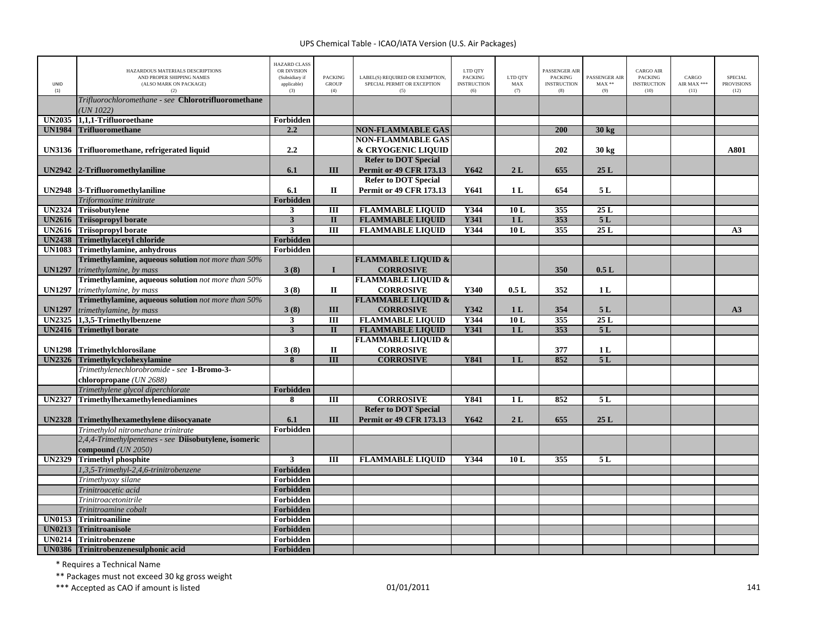| <b>UNID</b><br>(1) | HAZARDOUS MATERIALS DESCRIPTIONS<br>AND PROPER SHIPPING NAMES<br>(ALSO MARK ON PACKAGE)<br>(2) | <b>HAZARD CLASS</b><br>OR DIVISION<br>(Subsidiary if<br>applicable)<br>(3) | <b>PACKING</b><br><b>GROUP</b><br>(4) | LABEL(S) REQUIRED OR EXEMPTION,<br>SPECIAL PERMIT OR EXCEPTION<br>(5) | LTD QTY<br><b>PACKING</b><br><b>INSTRUCTION</b><br>(6) | LTD OTY<br>$\mathbf{MAX}$<br>(7) | <b>PASSENGER AIR</b><br><b>PACKING</b><br><b>INSTRUCTION</b><br>(8) | PASSENGER AIR<br>$MAX**$<br>(9) | <b>CARGO AIR</b><br><b>PACKING</b><br><b>INSTRUCTION</b><br>(10) | CARGO<br>AIR MAX ***<br>(11) | <b>SPECIAL</b><br><b>PROVISIONS</b><br>(12) |
|--------------------|------------------------------------------------------------------------------------------------|----------------------------------------------------------------------------|---------------------------------------|-----------------------------------------------------------------------|--------------------------------------------------------|----------------------------------|---------------------------------------------------------------------|---------------------------------|------------------------------------------------------------------|------------------------------|---------------------------------------------|
|                    | Trifluorochloromethane - see Chlorotrifluoromethane<br>UN $1022$ )                             |                                                                            |                                       |                                                                       |                                                        |                                  |                                                                     |                                 |                                                                  |                              |                                             |
| <b>UN2035</b>      | 1.1.1-Trifluoroethane                                                                          | Forbidden                                                                  |                                       |                                                                       |                                                        |                                  |                                                                     |                                 |                                                                  |                              |                                             |
| <b>UN1984</b>      | <b>Trifluoromethane</b>                                                                        | 2.2                                                                        |                                       | <b>NON-FLAMMABLE GAS</b>                                              |                                                        |                                  | 200                                                                 | 30 kg                           |                                                                  |                              |                                             |
|                    |                                                                                                |                                                                            |                                       | <b>NON-FLAMMABLE GAS</b>                                              |                                                        |                                  |                                                                     |                                 |                                                                  |                              |                                             |
| <b>UN3136</b>      | Trifluoromethane, refrigerated liquid                                                          | 2.2                                                                        |                                       | & CRYOGENIC LIQUID                                                    |                                                        |                                  | 202                                                                 | 30 kg                           |                                                                  |                              | A801                                        |
|                    |                                                                                                |                                                                            |                                       | <b>Refer to DOT Special</b>                                           |                                                        |                                  |                                                                     |                                 |                                                                  |                              |                                             |
| <b>UN2942</b>      | 2-Trifluoromethylaniline                                                                       | 6.1                                                                        | Ш                                     | <b>Permit or 49 CFR 173.13</b>                                        | Y642                                                   | 2L                               | 655                                                                 | 25L                             |                                                                  |                              |                                             |
|                    |                                                                                                |                                                                            |                                       | <b>Refer to DOT Special</b>                                           |                                                        |                                  |                                                                     |                                 |                                                                  |                              |                                             |
|                    | UN2948 3-Trifluoromethylaniline                                                                | 6.1                                                                        | $\mathbf H$                           | <b>Permit or 49 CFR 173.13</b>                                        | Y641                                                   | 1 <sub>L</sub>                   | 654                                                                 | 5 L                             |                                                                  |                              |                                             |
|                    | Triformoxime trinitrate                                                                        | Forbidden                                                                  |                                       |                                                                       |                                                        |                                  |                                                                     |                                 |                                                                  |                              |                                             |
| <b>UN2324</b>      | <b>Triisobutylene</b>                                                                          | $\mathbf{3}$                                                               | Ш                                     | <b>FLAMMABLE LIQUID</b>                                               | Y344                                                   | 10L                              | 355                                                                 | 25 L                            |                                                                  |                              |                                             |
| <b>UN2616</b>      | <b>Triisopropyl borate</b>                                                                     | $\overline{\mathbf{3}}$                                                    | $\mathbf{I}$                          | <b>FLAMMABLE LIQUID</b>                                               | <b>Y341</b>                                            | 1 <sub>L</sub>                   | 353                                                                 | 5L                              |                                                                  |                              |                                             |
| <b>UN2616</b>      | <b>Triisopropyl borate</b>                                                                     | $\overline{\mathbf{3}}$                                                    | $\overline{\mathbf{H}}$               | <b>FLAMMABLE LIQUID</b>                                               | Y344                                                   | 10L                              | 355                                                                 | 25L                             |                                                                  |                              | A3                                          |
| <b>UN2438</b>      | <b>Trimethylacetyl chloride</b>                                                                | Forbidden                                                                  |                                       |                                                                       |                                                        |                                  |                                                                     |                                 |                                                                  |                              |                                             |
| <b>UN1083</b>      | Trimethylamine, anhydrous                                                                      | Forbidden                                                                  |                                       |                                                                       |                                                        |                                  |                                                                     |                                 |                                                                  |                              |                                             |
|                    | Trimethylamine, aqueous solution not more than 50%                                             |                                                                            |                                       | <b>FLAMMABLE LIQUID &amp;</b>                                         |                                                        |                                  |                                                                     |                                 |                                                                  |                              |                                             |
| <b>UN1297</b>      | trimethylamine, by mass                                                                        | 3(8)                                                                       | $\mathbf I$                           | <b>CORROSIVE</b>                                                      |                                                        |                                  | 350                                                                 | 0.5L                            |                                                                  |                              |                                             |
|                    | Trimethylamine, aqueous solution not more than 50%                                             |                                                                            |                                       | <b>FLAMMABLE LIQUID &amp;</b>                                         |                                                        |                                  |                                                                     |                                 |                                                                  |                              |                                             |
| <b>UN1297</b>      | trimethylamine, by mass                                                                        | 3(8)                                                                       | $\mathbf{I}$                          | <b>CORROSIVE</b>                                                      | Y340                                                   | 0.5L                             | 352                                                                 | 1L                              |                                                                  |                              |                                             |
|                    | Trimethylamine, aqueous solution not more than 50%                                             |                                                                            |                                       | <b>FLAMMABLE LIQUID &amp;</b>                                         |                                                        |                                  |                                                                     |                                 |                                                                  |                              |                                             |
| <b>UN1297</b>      | trimethylamine, by mass                                                                        | 3(8)                                                                       | III                                   | <b>CORROSIVE</b>                                                      | Y342                                                   | 1 <sub>L</sub>                   | 354                                                                 | 5L                              |                                                                  |                              | A3                                          |
| <b>UN2325</b>      | 1,3,5-Trimethylbenzene                                                                         | $\mathbf{3}$                                                               | $\rm III$                             | <b>FLAMMABLE LIQUID</b>                                               | Y344                                                   | 10L                              | 355                                                                 | 25L                             |                                                                  |                              |                                             |
| <b>UN2416</b>      | <b>Trimethyl borate</b>                                                                        | $\overline{\mathbf{3}}$                                                    | $\mathbf{I}$                          | <b>FLAMMABLE LIQUID</b>                                               | Y341                                                   | 1 <sub>L</sub>                   | 353                                                                 | 5L                              |                                                                  |                              |                                             |
|                    |                                                                                                |                                                                            |                                       | <b>FLAMMABLE LIQUID &amp;</b>                                         |                                                        |                                  |                                                                     |                                 |                                                                  |                              |                                             |
|                    | UN1298 Trimethylchlorosilane                                                                   | 3(8)                                                                       | $\mathbf{I}$                          | <b>CORROSIVE</b>                                                      |                                                        |                                  | 377                                                                 | 1 <sub>L</sub>                  |                                                                  |                              |                                             |
| <b>UN2326</b>      | Trimethylcyclohexylamine                                                                       | 8                                                                          | $\overline{III}$                      | <b>CORROSIVE</b>                                                      | <b>Y841</b>                                            | 1 <sub>L</sub>                   | 852                                                                 | 5L                              |                                                                  |                              |                                             |
|                    | Trimethylenechlorobromide - see 1-Bromo-3-                                                     |                                                                            |                                       |                                                                       |                                                        |                                  |                                                                     |                                 |                                                                  |                              |                                             |
|                    | chloropropane (UN 2688)                                                                        |                                                                            |                                       |                                                                       |                                                        |                                  |                                                                     |                                 |                                                                  |                              |                                             |
|                    | Trimethylene glycol diperchlorate                                                              | Forbidden                                                                  |                                       |                                                                       |                                                        |                                  |                                                                     |                                 |                                                                  |                              |                                             |
| <b>UN2327</b>      | Trimethylhexamethylenediamines                                                                 | 8                                                                          | $\overline{\mathbf{H}}$               | <b>CORROSIVE</b>                                                      | <b>Y841</b>                                            | 1L                               | 852                                                                 | 5L                              |                                                                  |                              |                                             |
|                    |                                                                                                |                                                                            |                                       | <b>Refer to DOT Special</b>                                           |                                                        |                                  |                                                                     |                                 |                                                                  |                              |                                             |
| <b>UN2328</b>      | Trimethylhexamethylene diisocyanate                                                            | 6.1                                                                        | III                                   | <b>Permit or 49 CFR 173.13</b>                                        | Y642                                                   | 2L                               | 655                                                                 | 25L                             |                                                                  |                              |                                             |
|                    | Trimethylol nitromethane trinitrate                                                            | Forbidden                                                                  |                                       |                                                                       |                                                        |                                  |                                                                     |                                 |                                                                  |                              |                                             |
|                    | 2,4,4-Trimethylpentenes - see Diisobutylene, isomeric                                          |                                                                            |                                       |                                                                       |                                                        |                                  |                                                                     |                                 |                                                                  |                              |                                             |
|                    | compound $(UN 2050)$                                                                           |                                                                            |                                       |                                                                       |                                                        |                                  |                                                                     |                                 |                                                                  |                              |                                             |
| <b>UN2329</b>      | <b>Trimethyl phosphite</b>                                                                     | 3                                                                          | III                                   | <b>FLAMMABLE LIQUID</b>                                               | Y344                                                   | 10L                              | 355                                                                 | 5L                              |                                                                  |                              |                                             |
|                    | 1,3,5-Trimethyl-2,4,6-trinitrobenzene                                                          | <b>Forbidden</b>                                                           |                                       |                                                                       |                                                        |                                  |                                                                     |                                 |                                                                  |                              |                                             |
|                    | Trimethyoxy silane                                                                             | Forbidden                                                                  |                                       |                                                                       |                                                        |                                  |                                                                     |                                 |                                                                  |                              |                                             |
|                    | Trinitroacetic acid                                                                            | Forbidden                                                                  |                                       |                                                                       |                                                        |                                  |                                                                     |                                 |                                                                  |                              |                                             |
|                    | Trinitroacetonitrile                                                                           | Forbidden                                                                  |                                       |                                                                       |                                                        |                                  |                                                                     |                                 |                                                                  |                              |                                             |
|                    | Trinitroamine cobalt                                                                           | Forbidden                                                                  |                                       |                                                                       |                                                        |                                  |                                                                     |                                 |                                                                  |                              |                                             |
| <b>UN0153</b>      | <b>Trinitroaniline</b>                                                                         | Forbidden                                                                  |                                       |                                                                       |                                                        |                                  |                                                                     |                                 |                                                                  |                              |                                             |
| <b>UN0213</b>      | <b>Trinitroanisole</b>                                                                         | Forbidden                                                                  |                                       |                                                                       |                                                        |                                  |                                                                     |                                 |                                                                  |                              |                                             |
|                    | <b>UN0214 Trinitrobenzene</b>                                                                  | Forbidden                                                                  |                                       |                                                                       |                                                        |                                  |                                                                     |                                 |                                                                  |                              |                                             |
|                    | UN0386 Trinitrobenzenesulphonic acid                                                           | Forbidden                                                                  |                                       |                                                                       |                                                        |                                  |                                                                     |                                 |                                                                  |                              |                                             |

\* Requires <sup>a</sup> Technical Name

\*\* Packages must not exceed 30 kg gross weight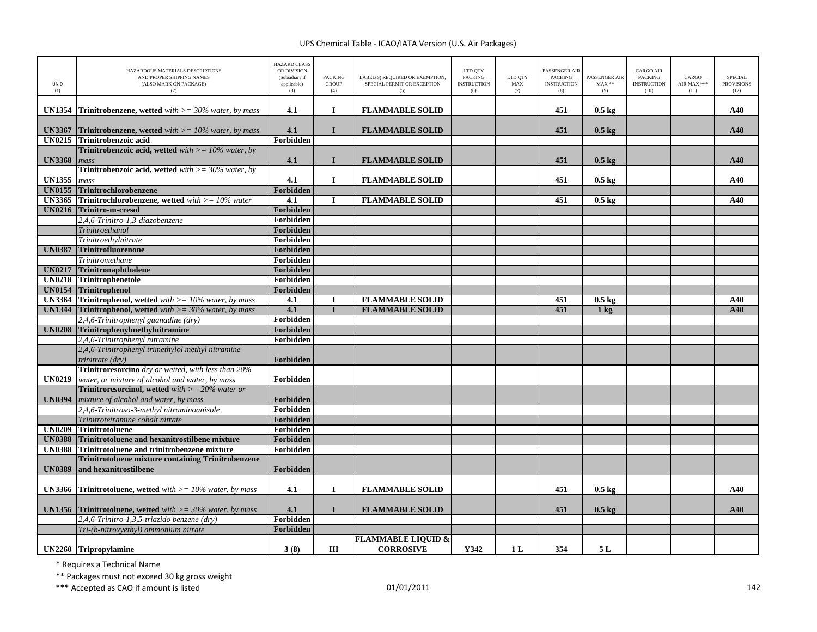| UNID<br>(1)   | HAZARDOUS MATERIALS DESCRIPTIONS<br>AND PROPER SHIPPING NAMES<br>(ALSO MARK ON PACKAGE)<br>(2) | <b>HAZARD CLASS</b><br>OR DIVISION<br>(Subsidiary if<br>applicable)<br>(3) | <b>PACKING</b><br><b>GROUP</b><br>(4) | LABEL(S) REQUIRED OR EXEMPTION,<br>SPECIAL PERMIT OR EXCEPTION<br>(5) | LTD QTY<br><b>PACKING</b><br><b>INSTRUCTION</b><br>(6) | LTD QTY<br>MAX<br>(7) | PASSENGER AIR<br><b>PACKING</b><br><b>INSTRUCTION</b><br>(8) | PASSENGER AIR<br>$MAX**$<br>(9) | <b>CARGO AIR</b><br><b>PACKING</b><br><b>INSTRUCTION</b><br>(10) | CARGO<br>AIR MAX ***<br>(11) | <b>SPECIAL</b><br><b>PROVISIONS</b><br>(12) |
|---------------|------------------------------------------------------------------------------------------------|----------------------------------------------------------------------------|---------------------------------------|-----------------------------------------------------------------------|--------------------------------------------------------|-----------------------|--------------------------------------------------------------|---------------------------------|------------------------------------------------------------------|------------------------------|---------------------------------------------|
| <b>UN1354</b> | <b>Trinitrobenzene, wetted</b> with $\geq$ = 30% water, by mass                                | 4.1                                                                        | $\mathbf I$                           | <b>FLAMMABLE SOLID</b>                                                |                                                        |                       | 451                                                          | $0.5 \text{ kg}$                |                                                                  |                              | A40                                         |
| <b>UN3367</b> | <b>Trinitrobenzene, wetted</b> with $\geq$ = 10% water, by mass                                | 4.1                                                                        | $\mathbf{I}$                          | <b>FLAMMABLE SOLID</b>                                                |                                                        |                       | 451                                                          | $0.5$ kg                        |                                                                  |                              | A40                                         |
| <b>UN0215</b> | Trinitrobenzoic acid                                                                           | Forbidden                                                                  |                                       |                                                                       |                                                        |                       |                                                              |                                 |                                                                  |                              |                                             |
|               | <b>Trinitrobenzoic acid, wetted</b> with $>= 10\%$ water, by                                   |                                                                            |                                       |                                                                       |                                                        |                       |                                                              |                                 |                                                                  |                              |                                             |
| <b>UN3368</b> | mass                                                                                           | 4.1                                                                        | L                                     | <b>FLAMMABLE SOLID</b>                                                |                                                        |                       | 451                                                          | $0.5 \text{ kg}$                |                                                                  |                              | A40                                         |
|               | <b>Trinitrobenzoic acid, wetted</b> with $>=$ 30% water, by                                    |                                                                            |                                       |                                                                       |                                                        |                       |                                                              |                                 |                                                                  |                              |                                             |
| <b>UN1355</b> | mass                                                                                           | 4.1                                                                        | $\bf{I}$                              | <b>FLAMMABLE SOLID</b>                                                |                                                        |                       | 451                                                          | $0.5 \text{ kg}$                |                                                                  |                              | A40                                         |
| <b>UN0155</b> | Trinitrochlorobenzene                                                                          | Forbidden                                                                  |                                       |                                                                       |                                                        |                       |                                                              |                                 |                                                                  |                              |                                             |
| <b>UN3365</b> | <b>Trinitrochlorobenzene, wetted</b> with $>= 10\%$ water                                      | $\overline{4.1}$                                                           | I                                     | <b>FLAMMABLE SOLID</b>                                                |                                                        |                       | 451                                                          | $0.5 \text{ kg}$                |                                                                  |                              | A40                                         |
| <b>UN0216</b> | Trinitro-m-cresol                                                                              | Forbidden                                                                  |                                       |                                                                       |                                                        |                       |                                                              |                                 |                                                                  |                              |                                             |
|               | 2,4,6-Trinitro-1,3-diazobenzene                                                                | Forbidden                                                                  |                                       |                                                                       |                                                        |                       |                                                              |                                 |                                                                  |                              |                                             |
|               | Trinitroethanol                                                                                | Forbidden                                                                  |                                       |                                                                       |                                                        |                       |                                                              |                                 |                                                                  |                              |                                             |
|               | Trinitroethylnitrate                                                                           | Forbidden                                                                  |                                       |                                                                       |                                                        |                       |                                                              |                                 |                                                                  |                              |                                             |
| <b>UN0387</b> | <b>Trinitrofluorenone</b>                                                                      | Forbidden                                                                  |                                       |                                                                       |                                                        |                       |                                                              |                                 |                                                                  |                              |                                             |
|               | Trinitromethane                                                                                | Forbidden                                                                  |                                       |                                                                       |                                                        |                       |                                                              |                                 |                                                                  |                              |                                             |
| <b>UN0217</b> | Trinitronaphthalene                                                                            | Forbidden                                                                  |                                       |                                                                       |                                                        |                       |                                                              |                                 |                                                                  |                              |                                             |
| <b>UN0218</b> | Trinitrophenetole                                                                              | Forbidden                                                                  |                                       |                                                                       |                                                        |                       |                                                              |                                 |                                                                  |                              |                                             |
| <b>UN0154</b> | <b>Trinitrophenol</b>                                                                          | Forbidden                                                                  |                                       |                                                                       |                                                        |                       |                                                              |                                 |                                                                  |                              |                                             |
| <b>UN3364</b> | <b>Trinitrophenol, wetted</b> with $>= 10\%$ water, by mass                                    | 4.1                                                                        | -1                                    | <b>FLAMMABLE SOLID</b>                                                |                                                        |                       | 451                                                          | $0.5 \text{ kg}$                |                                                                  |                              | A40                                         |
| <b>UN1344</b> | <b>Trinitrophenol, wetted</b> with $>=$ 30% water, by mass                                     | 4.1                                                                        | $\mathbf{I}$                          | <b>FLAMMABLE SOLID</b>                                                |                                                        |                       | 451                                                          | $1$ kg                          |                                                                  |                              | A40                                         |
|               | 2,4,6-Trinitrophenyl guanadine (dry)                                                           | Forbidden                                                                  |                                       |                                                                       |                                                        |                       |                                                              |                                 |                                                                  |                              |                                             |
| <b>UN0208</b> | Trinitrophenylmethylnitramine                                                                  | <b>Forbidden</b>                                                           |                                       |                                                                       |                                                        |                       |                                                              |                                 |                                                                  |                              |                                             |
|               | 2,4,6-Trinitrophenyl nitramine                                                                 | Forbidden                                                                  |                                       |                                                                       |                                                        |                       |                                                              |                                 |                                                                  |                              |                                             |
|               | 2,4,6-Trinitrophenyl trimethylol methyl nitramine                                              |                                                                            |                                       |                                                                       |                                                        |                       |                                                              |                                 |                                                                  |                              |                                             |
|               | trinitrate (dry)                                                                               | Forbidden                                                                  |                                       |                                                                       |                                                        |                       |                                                              |                                 |                                                                  |                              |                                             |
|               | Trinitroresorcino dry or wetted, with less than 20%                                            |                                                                            |                                       |                                                                       |                                                        |                       |                                                              |                                 |                                                                  |                              |                                             |
| <b>UN0219</b> | water, or mixture of alcohol and water, by mass                                                | Forbidden                                                                  |                                       |                                                                       |                                                        |                       |                                                              |                                 |                                                                  |                              |                                             |
|               | <b>Trinitroresorcinol, wetted</b> with $>= 20\%$ water or                                      |                                                                            |                                       |                                                                       |                                                        |                       |                                                              |                                 |                                                                  |                              |                                             |
| <b>UN0394</b> | mixture of alcohol and water, by mass                                                          | Forbidden                                                                  |                                       |                                                                       |                                                        |                       |                                                              |                                 |                                                                  |                              |                                             |
|               | 2,4,6-Trinitroso-3-methyl nitraminoanisole                                                     | Forbidden                                                                  |                                       |                                                                       |                                                        |                       |                                                              |                                 |                                                                  |                              |                                             |
|               | Trinitrotetramine cobalt nitrate                                                               | Forbidden                                                                  |                                       |                                                                       |                                                        |                       |                                                              |                                 |                                                                  |                              |                                             |
|               | UN0209 Trinitrotoluene                                                                         | Forbidden                                                                  |                                       |                                                                       |                                                        |                       |                                                              |                                 |                                                                  |                              |                                             |
| <b>UN0388</b> | Trinitrotoluene and hexanitrostilbene mixture                                                  | Forbidden                                                                  |                                       |                                                                       |                                                        |                       |                                                              |                                 |                                                                  |                              |                                             |
| <b>UN0388</b> | Trinitrotoluene and trinitrobenzene mixture                                                    | Forbidden                                                                  |                                       |                                                                       |                                                        |                       |                                                              |                                 |                                                                  |                              |                                             |
|               | <b>Trinitrotoluene mixture containing Trinitrobenzene</b>                                      |                                                                            |                                       |                                                                       |                                                        |                       |                                                              |                                 |                                                                  |                              |                                             |
| <b>UN0389</b> | and hexanitrostilbene                                                                          | Forbidden                                                                  |                                       |                                                                       |                                                        |                       |                                                              |                                 |                                                                  |                              |                                             |
| <b>UN3366</b> | <b>Trinitrotoluene, wetted</b> with $\geq$ 10% water, by mass                                  | 4.1                                                                        | 1                                     | <b>FLAMMABLE SOLID</b>                                                |                                                        |                       | 451                                                          | $0.5 \text{ kg}$                |                                                                  |                              | A40                                         |
|               | <b>UN1356</b> Trinitrotoluene, wetted with $\geq$ = 30% water, by mass                         | 4.1                                                                        | I                                     | <b>FLAMMABLE SOLID</b>                                                |                                                        |                       | 451                                                          | $0.5 \text{ kg}$                |                                                                  |                              | A40                                         |
|               | 2,4,6-Trinitro-1,3,5-triazido benzene (dry)                                                    | Forbidden                                                                  |                                       |                                                                       |                                                        |                       |                                                              |                                 |                                                                  |                              |                                             |
|               | Tri-(b-nitroxyethyl) ammonium nitrate                                                          | Forbidden                                                                  |                                       |                                                                       |                                                        |                       |                                                              |                                 |                                                                  |                              |                                             |
|               |                                                                                                |                                                                            |                                       | <b>FLAMMABLE LIQUID &amp;</b>                                         |                                                        |                       |                                                              |                                 |                                                                  |                              |                                             |
|               | UN2260 Tripropylamine                                                                          | 3(8)                                                                       | Ш                                     | <b>CORROSIVE</b>                                                      | Y342                                                   | 1 <sub>L</sub>        | 354                                                          | 5 L                             |                                                                  |                              |                                             |

\* Requires <sup>a</sup> Technical Name

\*\* Packages must not exceed 30 kg gross weight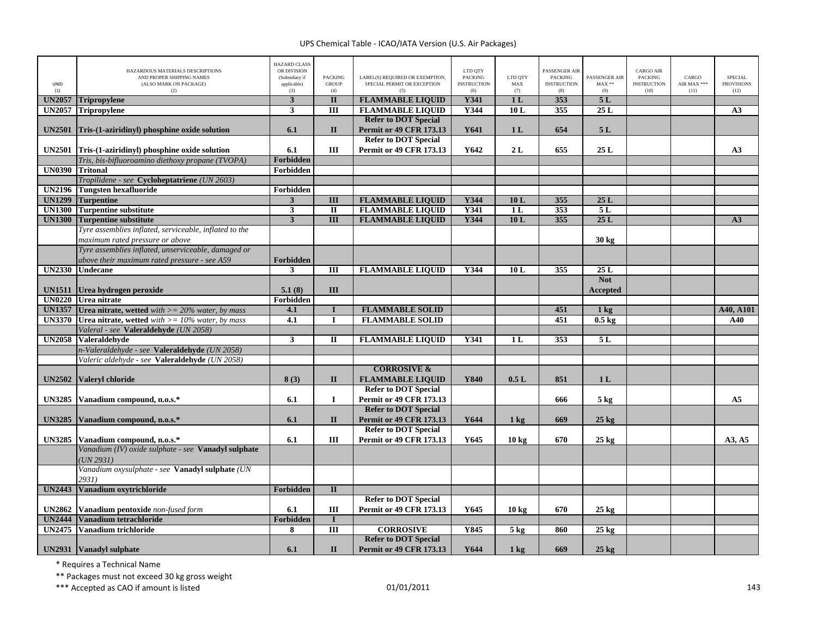| UNID<br>(1)   | HAZARDOUS MATERIALS DESCRIPTIONS<br>AND PROPER SHIPPING NAMES<br>(ALSO MARK ON PACKAGE)<br>(2)      | <b>HAZARD CLASS</b><br>OR DIVISION<br>(Subsidiary if<br>applicable)<br>(3) | <b>PACKING</b><br><b>GROUP</b><br>(4) | LABEL(S) REQUIRED OR EXEMPTION,<br>SPECIAL PERMIT OR EXCEPTION<br>(5) | LTD QTY<br><b>PACKING</b><br><b>INSTRUCTION</b><br>(6) | LTD QTY<br>MAX<br>(7) | PASSENGER AIR<br><b>PACKING</b><br><b>INSTRUCTION</b><br>(8) | PASSENGER AIR<br>$\text{MAX}$ **<br>(9) | <b>CARGO AIR</b><br>PACKING<br><b>INSTRUCTION</b><br>(10) | CARGO<br>AIR MAX ***<br>(11) | <b>SPECIAL</b><br><b>PROVISIONS</b><br>(12) |
|---------------|-----------------------------------------------------------------------------------------------------|----------------------------------------------------------------------------|---------------------------------------|-----------------------------------------------------------------------|--------------------------------------------------------|-----------------------|--------------------------------------------------------------|-----------------------------------------|-----------------------------------------------------------|------------------------------|---------------------------------------------|
| <b>UN2057</b> | <b>Tripropylene</b>                                                                                 | $\mathbf{3}$                                                               | $\overline{\mathbf{u}}$               | <b>FLAMMABLE LIQUID</b>                                               | <b>Y341</b>                                            | 1 <sub>L</sub>        | 353                                                          | 5L                                      |                                                           |                              |                                             |
| <b>UN2057</b> | Tripropylene                                                                                        | $\mathbf{3}$                                                               | $\overline{III}$                      | <b>FLAMMABLE LIQUID</b>                                               | Y344                                                   | 10L                   | 355                                                          | 25L                                     |                                                           |                              | A3                                          |
| <b>UN2501</b> | Tris-(1-aziridinyl) phosphine oxide solution                                                        | 6.1                                                                        | $\mathbf{I}$                          | <b>Refer to DOT Special</b><br><b>Permit or 49 CFR 173.13</b>         | Y641                                                   | 1 <sub>L</sub>        | 654                                                          | 5L                                      |                                                           |                              |                                             |
| <b>UN2501</b> | Tris-(1-aziridinyl) phosphine oxide solution                                                        | 6.1                                                                        | III                                   | <b>Refer to DOT Special</b><br><b>Permit or 49 CFR 173.13</b>         | Y642                                                   | 2L                    | 655                                                          | 25L                                     |                                                           |                              | A <sub>3</sub>                              |
|               | Tris, bis-bifluoroamino diethoxy propane (TVOPA)                                                    | Forbidden                                                                  |                                       |                                                                       |                                                        |                       |                                                              |                                         |                                                           |                              |                                             |
| <b>UN0390</b> | <b>Tritonal</b>                                                                                     | Forbidden                                                                  |                                       |                                                                       |                                                        |                       |                                                              |                                         |                                                           |                              |                                             |
|               | Tropilidene - see Cycloheptatriene (UN 2603)                                                        |                                                                            |                                       |                                                                       |                                                        |                       |                                                              |                                         |                                                           |                              |                                             |
| <b>UN2196</b> | <b>Tungsten hexafluoride</b>                                                                        | Forbidden                                                                  |                                       |                                                                       |                                                        |                       |                                                              |                                         |                                                           |                              |                                             |
| <b>UN1299</b> | <b>Turpentine</b>                                                                                   | $\mathbf{3}$                                                               | $\overline{\mathbf{III}}$             | <b>FLAMMABLE LIQUID</b>                                               | Y344                                                   | 10L                   | 355                                                          | 25 L                                    |                                                           |                              |                                             |
| <b>UN1300</b> | <b>Turpentine substitute</b>                                                                        | $\mathbf{3}$                                                               | $\overline{\mathbf{u}}$               | <b>FLAMMABLE LIQUID</b>                                               | Y341                                                   | 1 <sub>L</sub>        | 353                                                          | 5L                                      |                                                           |                              |                                             |
| <b>UN1300</b> | <b>Turpentine substitute</b>                                                                        | $\overline{\mathbf{3}}$                                                    | $\overline{III}$                      | <b>FLAMMABLE LIQUID</b>                                               | Y344                                                   | 10L                   | 355                                                          | 25L                                     |                                                           |                              | A3                                          |
|               | Tyre assemblies inflated, serviceable, inflated to the<br>maximum rated pressure or above           |                                                                            |                                       |                                                                       |                                                        |                       |                                                              | 30 kg                                   |                                                           |                              |                                             |
|               | Tyre assemblies inflated, unserviceable, damaged or<br>above their maximum rated pressure - see A59 | Forbidden                                                                  |                                       |                                                                       |                                                        |                       |                                                              |                                         |                                                           |                              |                                             |
| <b>UN2330</b> | <b>Undecane</b>                                                                                     | $\mathbf{3}$                                                               | Ш                                     | <b>FLAMMABLE LIQUID</b>                                               | Y344                                                   | 10L                   | 355                                                          | 25 L                                    |                                                           |                              |                                             |
| <b>UN1511</b> | Urea hydrogen peroxide                                                                              | 5.1(8)                                                                     | III                                   |                                                                       |                                                        |                       |                                                              | <b>Not</b><br><b>Accepted</b>           |                                                           |                              |                                             |
|               | UN0220 Urea nitrate                                                                                 | Forbidden                                                                  |                                       |                                                                       |                                                        |                       |                                                              |                                         |                                                           |                              |                                             |
|               | <b>UN1357</b> Urea nitrate, wetted with $>= 20\%$ water, by mass                                    | 4.1                                                                        | $\mathbf{I}$                          | <b>FLAMMABLE SOLID</b>                                                |                                                        |                       | 451                                                          | 1 <sub>kg</sub>                         |                                                           |                              | A40, A101                                   |
| <b>UN3370</b> | <b>Urea nitrate, wetted</b> with $>= 10\%$ water, by mass                                           | 4.1                                                                        | $\bf{I}$                              | <b>FLAMMABLE SOLID</b>                                                |                                                        |                       | 451                                                          | $0.5 \text{ kg}$                        |                                                           |                              | A40                                         |
|               | Valeral - see Valeraldehyde (UN 2058)                                                               |                                                                            |                                       |                                                                       |                                                        |                       |                                                              |                                         |                                                           |                              |                                             |
| <b>UN2058</b> | <b>Valeraldehyde</b>                                                                                | $\mathbf{3}$                                                               | П                                     | <b>FLAMMABLE LIQUID</b>                                               | Y341                                                   | 1 <sub>L</sub>        | 353                                                          | 5L                                      |                                                           |                              |                                             |
|               | n-Valeraldehyde - see Valeraldehyde (UN 2058)                                                       |                                                                            |                                       |                                                                       |                                                        |                       |                                                              |                                         |                                                           |                              |                                             |
|               | Valeric aldehyde - see Valeraldehyde (UN 2058)                                                      |                                                                            |                                       |                                                                       |                                                        |                       |                                                              |                                         |                                                           |                              |                                             |
|               |                                                                                                     |                                                                            |                                       | <b>CORROSIVE &amp;</b>                                                |                                                        |                       |                                                              |                                         |                                                           |                              |                                             |
| <b>UN2502</b> | Valeryl chloride                                                                                    | 8(3)                                                                       | П                                     | <b>FLAMMABLE LIQUID</b>                                               | <b>Y840</b>                                            | 0.5L                  | 851                                                          | 1 <sub>L</sub>                          |                                                           |                              |                                             |
|               |                                                                                                     |                                                                            |                                       | <b>Refer to DOT Special</b>                                           |                                                        |                       |                                                              |                                         |                                                           |                              |                                             |
| <b>UN3285</b> | Vanadium compound, n.o.s.*                                                                          | 6.1                                                                        | $\bf{I}$                              | <b>Permit or 49 CFR 173.13</b>                                        |                                                        |                       | 666                                                          | $5$ kg                                  |                                                           |                              | A <sub>5</sub>                              |
|               |                                                                                                     |                                                                            |                                       | <b>Refer to DOT Special</b>                                           |                                                        |                       |                                                              |                                         |                                                           |                              |                                             |
| <b>UN3285</b> | Vanadium compound, n.o.s.*                                                                          | 6.1                                                                        | $\mathbf{I}$                          | <b>Permit or 49 CFR 173.13</b>                                        | Y644                                                   | $1 \text{ kg}$        | 669                                                          | $25$ kg                                 |                                                           |                              |                                             |
|               |                                                                                                     |                                                                            |                                       | <b>Refer to DOT Special</b>                                           |                                                        |                       |                                                              |                                         |                                                           |                              |                                             |
| <b>UN3285</b> | Vanadium compound, n.o.s.*                                                                          | 6.1                                                                        | Ш                                     | <b>Permit or 49 CFR 173.13</b>                                        | Y645                                                   | 10 <sub>kg</sub>      | 670                                                          | $25 \text{ kg}$                         |                                                           |                              | A3, A5                                      |
|               | Vanadium (IV) oxide sulphate - see Vanadyl sulphate<br>UN 2931                                      |                                                                            |                                       |                                                                       |                                                        |                       |                                                              |                                         |                                                           |                              |                                             |
|               | Vanadium oxysulphate - see Vanadyl sulphate (UN<br>2931)                                            |                                                                            |                                       |                                                                       |                                                        |                       |                                                              |                                         |                                                           |                              |                                             |
| <b>UN2443</b> | Vanadium oxytrichloride                                                                             | Forbidden                                                                  | $\mathbf{I}$                          |                                                                       |                                                        |                       |                                                              |                                         |                                                           |                              |                                             |
|               |                                                                                                     |                                                                            |                                       | <b>Refer to DOT Special</b>                                           |                                                        |                       |                                                              |                                         |                                                           |                              |                                             |
| <b>UN2862</b> | Vanadium pentoxide non-fused form                                                                   | 6.1                                                                        | III                                   | <b>Permit or 49 CFR 173.13</b>                                        | Y645                                                   | 10 <sub>kg</sub>      | 670                                                          | $25 \text{ kg}$                         |                                                           |                              |                                             |
| <b>UN2444</b> | Vanadium tetrachloride                                                                              | Forbidden                                                                  | $\bf{I}$                              |                                                                       |                                                        |                       |                                                              |                                         |                                                           |                              |                                             |
| <b>UN2475</b> | Vanadium trichloride                                                                                | 8                                                                          | III                                   | <b>CORROSIVE</b>                                                      | Y845                                                   | $5 \text{ kg}$        | 860                                                          | $25 \text{ kg}$                         |                                                           |                              |                                             |
|               |                                                                                                     |                                                                            |                                       | <b>Refer to DOT Special</b>                                           |                                                        |                       |                                                              |                                         |                                                           |                              |                                             |
|               | UN2931 Vanadyl sulphate                                                                             | 6.1                                                                        | $\mathbf{I}$                          | <b>Permit or 49 CFR 173.13</b>                                        | Y644                                                   | $1 \text{ kg}$        | 669                                                          | $25 \text{ kg}$                         |                                                           |                              |                                             |

\* Requires <sup>a</sup> Technical Name

\*\* Packages must not exceed 30 kg gross weight

\*\*\* Accepted as CAO if amount is listed 143 and the control of the control of the control of the control of the control of the control of the control of the control of the control of the control of the control of the contr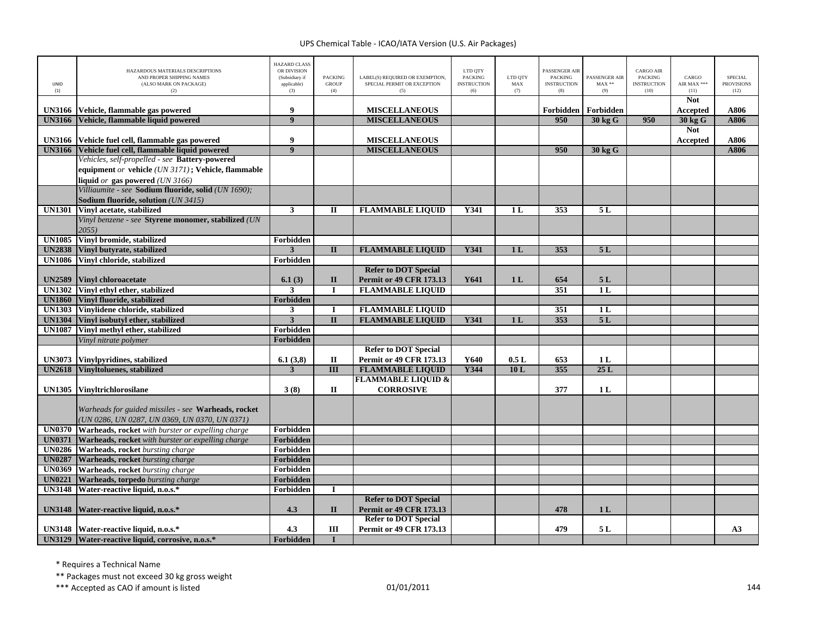| UNID<br>(1)   | HAZARDOUS MATERIALS DESCRIPTIONS<br>AND PROPER SHIPPING NAMES<br>(ALSO MARK ON PACKAGE)<br>(2)       | <b>HAZARD CLASS</b><br>OR DIVISION<br>(Subsidiary if<br>applicable)<br>(3) | <b>PACKING</b><br><b>GROUP</b><br>(4) | LABEL(S) REQUIRED OR EXEMPTION,<br>SPECIAL PERMIT OR EXCEPTION<br>(5) | LTD QTY<br><b>PACKING</b><br><b>INSTRUCTION</b><br>(6) | LTD QTY<br>MAX<br>(7) | <b>PASSENGER AIR</b><br><b>PACKING</b><br><b>INSTRUCTION</b><br>(8) | PASSENGER AIR<br>$MAX**$<br>(9) | <b>CARGO AIR</b><br><b>PACKING</b><br><b>INSTRUCTION</b><br>(10) | CARGO<br>AIR MAX ***<br>(11) | <b>SPECIAL</b><br><b>PROVISIONS</b><br>(12) |
|---------------|------------------------------------------------------------------------------------------------------|----------------------------------------------------------------------------|---------------------------------------|-----------------------------------------------------------------------|--------------------------------------------------------|-----------------------|---------------------------------------------------------------------|---------------------------------|------------------------------------------------------------------|------------------------------|---------------------------------------------|
| <b>UN3166</b> |                                                                                                      | 9                                                                          |                                       | <b>MISCELLANEOUS</b>                                                  |                                                        |                       | Forbidden                                                           | Forbidden                       |                                                                  | <b>Not</b><br>Accepted       | A806                                        |
| <b>UN3166</b> | Vehicle, flammable gas powered<br>Vehicle, flammable liquid powered                                  | $\overline{9}$                                                             |                                       | <b>MISCELLANEOUS</b>                                                  |                                                        |                       | 950                                                                 | 30 kg G                         | 950                                                              | 30 kg G                      | A806                                        |
|               |                                                                                                      |                                                                            |                                       |                                                                       |                                                        |                       |                                                                     |                                 |                                                                  | <b>Not</b>                   |                                             |
|               | UN3166 Vehicle fuel cell, flammable gas powered                                                      | 9                                                                          |                                       | <b>MISCELLANEOUS</b>                                                  |                                                        |                       |                                                                     |                                 |                                                                  | Accepted                     | A806                                        |
|               | UN3166 Vehicle fuel cell, flammable liquid powered                                                   | 9                                                                          |                                       | <b>MISCELLANEOUS</b>                                                  |                                                        |                       | 950                                                                 | 30 kg G                         |                                                                  |                              | A806                                        |
|               | Vehicles, self-propelled - see Battery-powered                                                       |                                                                            |                                       |                                                                       |                                                        |                       |                                                                     |                                 |                                                                  |                              |                                             |
|               | equipment or vehicle (UN 3171); Vehicle, flammable                                                   |                                                                            |                                       |                                                                       |                                                        |                       |                                                                     |                                 |                                                                  |                              |                                             |
|               | liquid or gas powered (UN 3166)                                                                      |                                                                            |                                       |                                                                       |                                                        |                       |                                                                     |                                 |                                                                  |                              |                                             |
|               | Villiaumite - see Sodium fluoride, solid (UN 1690);                                                  |                                                                            |                                       |                                                                       |                                                        |                       |                                                                     |                                 |                                                                  |                              |                                             |
|               | Sodium fluoride, solution (UN 3415)                                                                  |                                                                            |                                       |                                                                       |                                                        |                       |                                                                     |                                 |                                                                  |                              |                                             |
| <b>UN1301</b> | Vinyl acetate, stabilized                                                                            | $\overline{\mathbf{3}}$                                                    | $\mathbf{I}$                          | <b>FLAMMABLE LIQUID</b>                                               | Y341                                                   | 1 <sub>L</sub>        | 353                                                                 | 5L                              |                                                                  |                              |                                             |
|               | Vinyl benzene - see Styrene monomer, stabilized (UN                                                  |                                                                            |                                       |                                                                       |                                                        |                       |                                                                     |                                 |                                                                  |                              |                                             |
|               | 2055)                                                                                                |                                                                            |                                       |                                                                       |                                                        |                       |                                                                     |                                 |                                                                  |                              |                                             |
| <b>UN1085</b> | Vinyl bromide, stabilized                                                                            | Forbidden                                                                  |                                       |                                                                       |                                                        |                       |                                                                     |                                 |                                                                  |                              |                                             |
| <b>UN2838</b> | Vinyl butyrate, stabilized                                                                           | $\overline{3}$                                                             | $\Pi$                                 | <b>FLAMMABLE LIQUID</b>                                               | <b>Y341</b>                                            | 1L                    | 353                                                                 | 5L                              |                                                                  |                              |                                             |
| <b>UN1086</b> | Vinyl chloride, stabilized                                                                           | Forbidden                                                                  |                                       |                                                                       |                                                        |                       |                                                                     |                                 |                                                                  |                              |                                             |
|               |                                                                                                      |                                                                            |                                       | <b>Refer to DOT Special</b>                                           |                                                        |                       |                                                                     |                                 |                                                                  |                              |                                             |
| <b>UN2589</b> | <b>Vinyl chloroacetate</b>                                                                           | 6.1(3)                                                                     | $\mathbf{I}$                          | <b>Permit or 49 CFR 173.13</b>                                        | Y641                                                   | 1 <sub>L</sub>        | 654                                                                 | 5L                              |                                                                  |                              |                                             |
| <b>UN1302</b> | Vinyl ethyl ether, stabilized                                                                        | 3                                                                          |                                       | <b>FLAMMABLE LIQUID</b>                                               |                                                        |                       | 351                                                                 | 1L                              |                                                                  |                              |                                             |
| <b>UN1860</b> | Vinyl fluoride, stabilized                                                                           | Forbidden                                                                  |                                       |                                                                       |                                                        |                       |                                                                     |                                 |                                                                  |                              |                                             |
| <b>UN1303</b> | Vinylidene chloride, stabilized                                                                      | $\mathbf{3}$                                                               |                                       | <b>FLAMMABLE LIQUID</b>                                               |                                                        |                       | $\overline{351}$                                                    | 1 <sub>L</sub>                  |                                                                  |                              |                                             |
| <b>UN1304</b> | Vinyl isobutyl ether, stabilized                                                                     | $\overline{\mathbf{3}}$                                                    | $\mathbf{I}$                          | <b>FLAMMABLE LIQUID</b>                                               | Y341                                                   | 1 <sub>L</sub>        | 353                                                                 | 5L                              |                                                                  |                              |                                             |
| <b>UN1087</b> | Vinyl methyl ether, stabilized                                                                       | Forbidden                                                                  |                                       |                                                                       |                                                        |                       |                                                                     |                                 |                                                                  |                              |                                             |
|               | Vinyl nitrate polymer                                                                                | <b>Forbidden</b>                                                           |                                       |                                                                       |                                                        |                       |                                                                     |                                 |                                                                  |                              |                                             |
|               |                                                                                                      |                                                                            |                                       | <b>Refer to DOT Special</b>                                           |                                                        |                       |                                                                     |                                 |                                                                  |                              |                                             |
| <b>UN3073</b> | Vinylpyridines, stabilized                                                                           | 6.1(3,8)                                                                   | $\mathbf H$                           | Permit or 49 CFR 173.13                                               | Y640                                                   | 0.5L                  | 653                                                                 | 1L                              |                                                                  |                              |                                             |
| <b>UN2618</b> | Vinyltoluenes, stabilized                                                                            | 3                                                                          | $\overline{\mathbf{III}}$             | <b>FLAMMABLE LIQUID</b>                                               | <b>Y344</b>                                            | 10L                   | 355                                                                 | 25L                             |                                                                  |                              |                                             |
|               |                                                                                                      |                                                                            |                                       | <b>FLAMMABLE LIQUID &amp;</b>                                         |                                                        |                       |                                                                     |                                 |                                                                  |                              |                                             |
| <b>UN1305</b> | <b>Vinyltrichlorosilane</b>                                                                          | 3(8)                                                                       | $\mathbf{I}$                          | <b>CORROSIVE</b>                                                      |                                                        |                       | 377                                                                 | 1 <sub>L</sub>                  |                                                                  |                              |                                             |
|               | Warheads for guided missiles - see Warheads, rocket<br>(UN 0286, UN 0287, UN 0369, UN 0370, UN 0371) |                                                                            |                                       |                                                                       |                                                        |                       |                                                                     |                                 |                                                                  |                              |                                             |
| <b>UN0370</b> | <b>Warheads, rocket</b> with burster or expelling charge                                             | Forbidden                                                                  |                                       |                                                                       |                                                        |                       |                                                                     |                                 |                                                                  |                              |                                             |
|               | UN0371 Warheads, rocket with burster or expelling charge                                             | <b>Forbidden</b>                                                           |                                       |                                                                       |                                                        |                       |                                                                     |                                 |                                                                  |                              |                                             |
| <b>UN0286</b> | Warheads, rocket bursting charge                                                                     | Forbidden                                                                  |                                       |                                                                       |                                                        |                       |                                                                     |                                 |                                                                  |                              |                                             |
| <b>UN0287</b> | <b>Warheads, rocket</b> bursting charge                                                              | Forbidden                                                                  |                                       |                                                                       |                                                        |                       |                                                                     |                                 |                                                                  |                              |                                             |
| <b>UN0369</b> | Warheads, rocket bursting charge                                                                     | Forbidden                                                                  |                                       |                                                                       |                                                        |                       |                                                                     |                                 |                                                                  |                              |                                             |
| <b>UN0221</b> | Warheads, torpedo bursting charge                                                                    | <b>Forbidden</b>                                                           |                                       |                                                                       |                                                        |                       |                                                                     |                                 |                                                                  |                              |                                             |
| <b>UN3148</b> | Water-reactive liquid, n.o.s.*                                                                       | Forbidden                                                                  | $\mathbf I$                           |                                                                       |                                                        |                       |                                                                     |                                 |                                                                  |                              |                                             |
|               |                                                                                                      |                                                                            |                                       | <b>Refer to DOT Special</b>                                           |                                                        |                       |                                                                     |                                 |                                                                  |                              |                                             |
|               | UN3148   Water-reactive liquid, n.o.s.*                                                              | 4.3                                                                        | $\mathbf{I}$                          | <b>Permit or 49 CFR 173.13</b>                                        |                                                        |                       | 478                                                                 | 1 <sub>L</sub>                  |                                                                  |                              |                                             |
|               |                                                                                                      |                                                                            |                                       | <b>Refer to DOT Special</b>                                           |                                                        |                       |                                                                     |                                 |                                                                  |                              |                                             |
|               | UN3148   Water-reactive liquid, n.o.s.*                                                              | 4.3                                                                        | Ш                                     | <b>Permit or 49 CFR 173.13</b>                                        |                                                        |                       | 479                                                                 | 5L                              |                                                                  |                              | A3                                          |
|               | UN3129 Water-reactive liquid, corrosive, n.o.s.*                                                     | Forbidden                                                                  | T                                     |                                                                       |                                                        |                       |                                                                     |                                 |                                                                  |                              |                                             |

\* Requires <sup>a</sup> Technical Name

\*\* Packages must not exceed 30 kg gross weight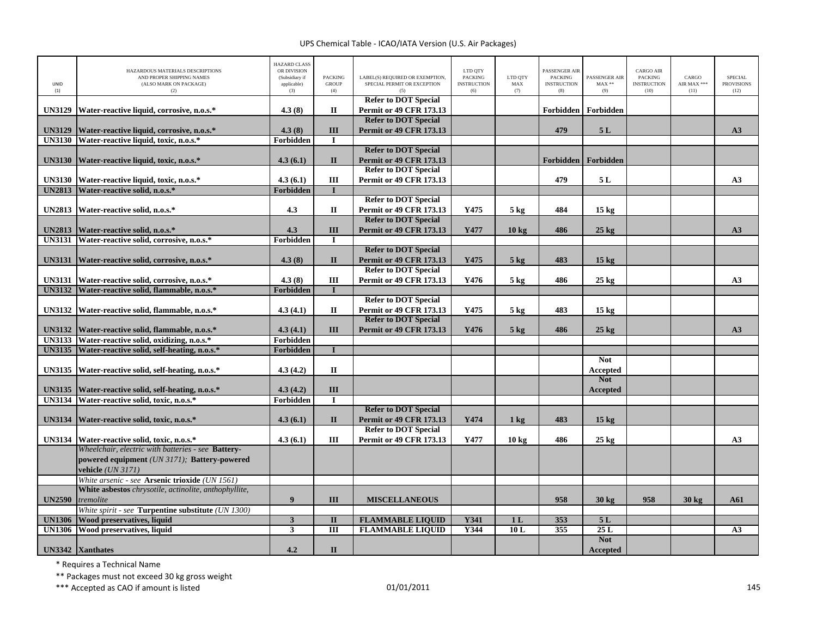## UPS Chemical Table ‐ ICAO/IATA Version (U.S. Air Packages)

| UNID<br>(1)   | HAZARDOUS MATERIALS DESCRIPTIONS<br>AND PROPER SHIPPING NAMES<br>(ALSO MARK ON PACKAGE)<br>(2)    | <b>HAZARD CLASS</b><br>OR DIVISION<br>(Subsidiary if<br>applicable)<br>(3) | <b>PACKING</b><br><b>GROUP</b><br>(4) | LABEL(S) REQUIRED OR EXEMPTION,<br>SPECIAL PERMIT OR EXCEPTION<br>(5) | LTD QTY<br><b>PACKING</b><br><b>INSTRUCTION</b><br>(6) | LTD QTY<br>${\rm MAX}$<br>(7) | PASSENGER AIR<br><b>PACKING</b><br><b>INSTRUCTION</b><br>(8) | PASSENGER AIR<br>$MAX**$<br>(9) | <b>CARGO AIR</b><br><b>PACKING</b><br><b>INSTRUCTION</b><br>(10) | CARGO<br>AIR MAX ***<br>(11) | <b>SPECIAL</b><br><b>PROVISIONS</b><br>(12) |
|---------------|---------------------------------------------------------------------------------------------------|----------------------------------------------------------------------------|---------------------------------------|-----------------------------------------------------------------------|--------------------------------------------------------|-------------------------------|--------------------------------------------------------------|---------------------------------|------------------------------------------------------------------|------------------------------|---------------------------------------------|
| <b>UN3129</b> |                                                                                                   | 4.3(8)                                                                     | $\mathbf{I}$                          | <b>Refer to DOT Special</b><br><b>Permit or 49 CFR 173.13</b>         |                                                        |                               | Forbidden                                                    | Forbidden                       |                                                                  |                              |                                             |
|               | Water-reactive liquid, corrosive, n.o.s.*                                                         |                                                                            |                                       | <b>Refer to DOT Special</b>                                           |                                                        |                               |                                                              |                                 |                                                                  |                              |                                             |
| <b>UN3129</b> | Water-reactive liquid, corrosive, n.o.s.*                                                         | 4.3(8)                                                                     | III                                   | <b>Permit or 49 CFR 173.13</b>                                        |                                                        |                               | 479                                                          | 5L                              |                                                                  |                              | A3                                          |
|               | UN3130 Water-reactive liquid, toxic, n.o.s.*                                                      | Forbidden                                                                  | $\mathbf I$                           |                                                                       |                                                        |                               |                                                              |                                 |                                                                  |                              |                                             |
|               |                                                                                                   |                                                                            |                                       | <b>Refer to DOT Special</b>                                           |                                                        |                               |                                                              |                                 |                                                                  |                              |                                             |
|               | UN3130 Water-reactive liquid, toxic, n.o.s.*                                                      | 4.3(6.1)                                                                   | $\mathbf{I}$                          | <b>Permit or 49 CFR 173.13</b>                                        |                                                        |                               |                                                              | Forbidden   Forbidden           |                                                                  |                              |                                             |
|               |                                                                                                   |                                                                            |                                       | <b>Refer to DOT Special</b>                                           |                                                        |                               |                                                              |                                 |                                                                  |                              |                                             |
| <b>UN3130</b> | Water-reactive liquid, toxic, n.o.s.*                                                             | 4.3(6.1)                                                                   | Ш                                     | <b>Permit or 49 CFR 173.13</b>                                        |                                                        |                               | 479                                                          | 5L                              |                                                                  |                              | A3                                          |
| <b>UN2813</b> | Water-reactive solid, n.o.s.*                                                                     | Forbidden                                                                  | п                                     |                                                                       |                                                        |                               |                                                              |                                 |                                                                  |                              |                                             |
|               |                                                                                                   |                                                                            |                                       | <b>Refer to DOT Special</b>                                           |                                                        |                               |                                                              |                                 |                                                                  |                              |                                             |
|               | UN2813 Water-reactive solid, n.o.s.*                                                              | 4.3                                                                        | $\mathbf{I}\mathbf{I}$                | Permit or 49 CFR 173.13                                               | Y475                                                   | $5 \text{ kg}$                | 484                                                          | 15 <sub>kg</sub>                |                                                                  |                              |                                             |
|               |                                                                                                   |                                                                            |                                       | <b>Refer to DOT Special</b>                                           |                                                        |                               |                                                              |                                 |                                                                  |                              |                                             |
| <b>UN2813</b> | Water-reactive solid, n.o.s.*                                                                     | 4.3                                                                        | III                                   | <b>Permit or 49 CFR 173.13</b>                                        | Y477                                                   | 10 <sub>kg</sub>              | 486                                                          | $25$ kg                         |                                                                  |                              | A3                                          |
|               | UN3131 Water-reactive solid, corrosive, n.o.s.*                                                   | Forbidden                                                                  | $\bf{I}$                              |                                                                       |                                                        |                               |                                                              |                                 |                                                                  |                              |                                             |
| <b>UN3131</b> | Water-reactive solid, corrosive, n.o.s.*                                                          | 4.3(8)                                                                     | $\mathbf{I}$                          | <b>Refer to DOT Special</b><br><b>Permit or 49 CFR 173.13</b>         | Y475                                                   | $5 \text{ kg}$                | 483                                                          | 15 <sub>kg</sub>                |                                                                  |                              |                                             |
|               |                                                                                                   |                                                                            |                                       | <b>Refer to DOT Special</b>                                           |                                                        |                               |                                                              |                                 |                                                                  |                              |                                             |
| <b>UN3131</b> | Water-reactive solid, corrosive, n.o.s.*                                                          | 4.3(8)                                                                     | Ш                                     | <b>Permit or 49 CFR 173.13</b>                                        | Y476                                                   | $5 \text{ kg}$                | 486                                                          | $25 \text{ kg}$                 |                                                                  |                              | A3                                          |
| <b>UN3132</b> | Water-reactive solid, flammable, n.o.s.*                                                          | Forbidden                                                                  |                                       |                                                                       |                                                        |                               |                                                              |                                 |                                                                  |                              |                                             |
|               |                                                                                                   |                                                                            |                                       | <b>Refer to DOT Special</b>                                           |                                                        |                               |                                                              |                                 |                                                                  |                              |                                             |
| <b>UN3132</b> | Water-reactive solid, flammable, n.o.s.*                                                          | 4.3(4.1)                                                                   | П                                     | <b>Permit or 49 CFR 173.13</b>                                        | Y475                                                   | $5 \text{ kg}$                | 483                                                          | $15 \text{ kg}$                 |                                                                  |                              |                                             |
|               |                                                                                                   |                                                                            |                                       | <b>Refer to DOT Special</b>                                           |                                                        |                               |                                                              |                                 |                                                                  |                              |                                             |
| <b>UN3132</b> | Water-reactive solid, flammable, n.o.s.*                                                          | 4.3(4.1)                                                                   | III                                   | <b>Permit or 49 CFR 173.13</b>                                        | Y476                                                   | $5 \text{ kg}$                | 486                                                          | $25 \text{ kg}$                 |                                                                  |                              | A3                                          |
| <b>UN3133</b> | Water-reactive solid, oxidizing, n.o.s.*                                                          | Forbidden                                                                  |                                       |                                                                       |                                                        |                               |                                                              |                                 |                                                                  |                              |                                             |
| <b>UN3135</b> | Water-reactive solid, self-heating, n.o.s.*                                                       | Forbidden                                                                  | $\mathbf{I}$                          |                                                                       |                                                        |                               |                                                              |                                 |                                                                  |                              |                                             |
|               |                                                                                                   |                                                                            |                                       |                                                                       |                                                        |                               |                                                              | <b>Not</b>                      |                                                                  |                              |                                             |
| <b>UN3135</b> | Water-reactive solid, self-heating, n.o.s.*                                                       | 4.3(4.2)                                                                   | $\mathbf{I}$                          |                                                                       |                                                        |                               |                                                              | Accepted                        |                                                                  |                              |                                             |
|               |                                                                                                   |                                                                            |                                       |                                                                       |                                                        |                               |                                                              | <b>Not</b>                      |                                                                  |                              |                                             |
| <b>UN3135</b> | Water-reactive solid, self-heating, n.o.s.*                                                       | 4.3(4.2)                                                                   | III                                   |                                                                       |                                                        |                               |                                                              | Accepted                        |                                                                  |                              |                                             |
| <b>UN3134</b> | Water-reactive solid, toxic, n.o.s.*                                                              | Forbidden                                                                  | $\bf{I}$                              |                                                                       |                                                        |                               |                                                              |                                 |                                                                  |                              |                                             |
|               |                                                                                                   |                                                                            |                                       | <b>Refer to DOT Special</b>                                           |                                                        |                               |                                                              |                                 |                                                                  |                              |                                             |
| <b>UN3134</b> | Water-reactive solid, toxic, n.o.s.*                                                              | 4.3(6.1)                                                                   | $\mathbf{I}$                          | <b>Permit or 49 CFR 173.13</b>                                        | Y474                                                   | $1 \text{ kg}$                | 483                                                          | $15 \text{ kg}$                 |                                                                  |                              |                                             |
|               |                                                                                                   |                                                                            |                                       | <b>Refer to DOT Special</b>                                           |                                                        |                               |                                                              |                                 |                                                                  |                              |                                             |
|               | UN3134 Water-reactive solid, toxic, n.o.s.*<br>Wheelchair, electric with batteries - see Battery- | 4.3(6.1)                                                                   | Ш                                     | <b>Permit or 49 CFR 173.13</b>                                        | Y477                                                   | $10 \text{ kg}$               | 486                                                          | $25 \text{ kg}$                 |                                                                  |                              | A3                                          |
|               | powered equipment (UN 3171); Battery-powered                                                      |                                                                            |                                       |                                                                       |                                                        |                               |                                                              |                                 |                                                                  |                              |                                             |
|               | vehicle (UN 3171)                                                                                 |                                                                            |                                       |                                                                       |                                                        |                               |                                                              |                                 |                                                                  |                              |                                             |
|               | White arsenic - see Arsenic trioxide (UN 1561)                                                    |                                                                            |                                       |                                                                       |                                                        |                               |                                                              |                                 |                                                                  |                              |                                             |
|               | White asbestos chrysotile, actinolite, anthophyllite,                                             |                                                                            |                                       |                                                                       |                                                        |                               |                                                              |                                 |                                                                  |                              |                                             |
| <b>UN2590</b> | tremolite                                                                                         | $\boldsymbol{9}$                                                           | III                                   | <b>MISCELLANEOUS</b>                                                  |                                                        |                               | 958                                                          | $30 \text{ kg}$                 | 958                                                              | $30 \text{ kg}$              | A61                                         |
|               | White spirit - see Turpentine substitute (UN 1300)                                                |                                                                            |                                       |                                                                       |                                                        |                               |                                                              |                                 |                                                                  |                              |                                             |
| <b>UN1306</b> | Wood preservatives, liquid                                                                        | 3                                                                          | $\mathbf{I}$                          | <b>FLAMMABLE LIQUID</b>                                               | Y341                                                   | 1 <sub>L</sub>                | 353                                                          | 5L                              |                                                                  |                              |                                             |
|               | UN1306 Wood preservatives, liquid                                                                 | 3                                                                          | $\overline{III}$                      | <b>FLAMMABLE LIQUID</b>                                               | Y344                                                   | 10L                           | 355                                                          | 25L                             |                                                                  |                              | A3                                          |
|               |                                                                                                   |                                                                            |                                       |                                                                       |                                                        |                               |                                                              | <b>Not</b>                      |                                                                  |                              |                                             |
|               | UN3342 Xanthates                                                                                  | 4.2                                                                        | $\mathbf{I}\mathbf{I}$                |                                                                       |                                                        |                               |                                                              | Accepted                        |                                                                  |                              |                                             |

\* Requires <sup>a</sup> Technical Name

\*\* Packages must not exceed 30 kg gross weight

\*\*\* Accepted as CAO if amount is listed 145 and the control of the control of the control of the control of the control of the control of the control of the control of the control of the control of the control of the contr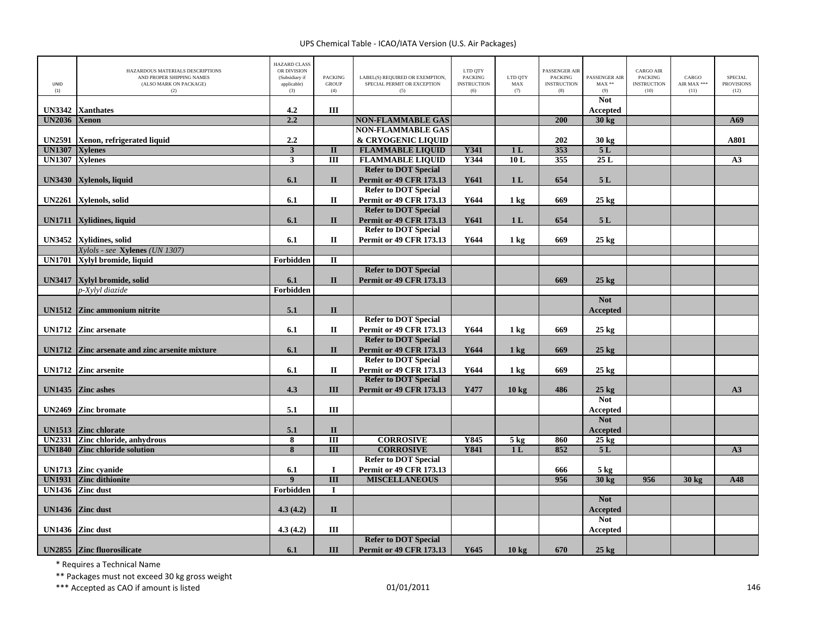## UPS Chemical Table ‐ ICAO/IATA Version (U.S. Air Packages)

| <b>UNID</b><br>(1) | HAZARDOUS MATERIALS DESCRIPTIONS<br>AND PROPER SHIPPING NAMES<br>(ALSO MARK ON PACKAGE)<br>(2) | <b>HAZARD CLASS</b><br>OR DIVISION<br>(Subsidiary if<br>applicable)<br>(3) | <b>PACKING</b><br><b>GROUP</b><br>(4) | LABEL(S) REQUIRED OR EXEMPTION.<br>SPECIAL PERMIT OR EXCEPTION<br>(5) | LTD QTY<br><b>PACKING</b><br><b>INSTRUCTION</b><br>(6) | LTD QTY<br>MAX<br>(7) | PASSENGER AIR<br><b>PACKING</b><br><b>INSTRUCTION</b><br>(8) | PASSENGER AIR<br>$MAX**$<br>(9) | <b>CARGO AIR</b><br>PACKING<br><b>INSTRUCTION</b><br>(10) | CARGO<br>AIR MAX ***<br>(11) | <b>SPECIAL</b><br><b>PROVISIONS</b><br>(12) |
|--------------------|------------------------------------------------------------------------------------------------|----------------------------------------------------------------------------|---------------------------------------|-----------------------------------------------------------------------|--------------------------------------------------------|-----------------------|--------------------------------------------------------------|---------------------------------|-----------------------------------------------------------|------------------------------|---------------------------------------------|
|                    |                                                                                                |                                                                            |                                       |                                                                       |                                                        |                       |                                                              | <b>Not</b>                      |                                                           |                              |                                             |
| <b>UN3342</b>      | <b>Xanthates</b>                                                                               | 4.2                                                                        | Ш                                     |                                                                       |                                                        |                       |                                                              | Accepted                        |                                                           |                              |                                             |
| <b>UN2036</b>      | <b>Xenon</b>                                                                                   | 2.2                                                                        |                                       | <b>NON-FLAMMABLE GAS</b>                                              |                                                        |                       | 200                                                          | 30 kg                           |                                                           |                              | A69                                         |
| <b>UN2591</b>      |                                                                                                | 2.2                                                                        |                                       | <b>NON-FLAMMABLE GAS</b><br>& CRYOGENIC LIQUID                        |                                                        |                       | 202                                                          | 30 kg                           |                                                           |                              | A801                                        |
| <b>UN1307</b>      | Xenon, refrigerated liquid<br><b>Xylenes</b>                                                   | $\mathbf{3}$                                                               | $\mathbf{I}$                          | <b>FLAMMABLE LIQUID</b>                                               | Y341                                                   | 1 <sub>L</sub>        | 353                                                          | 5L                              |                                                           |                              |                                             |
| <b>UN1307</b>      | <b>Xylenes</b>                                                                                 | $\mathbf{3}$                                                               | $\overline{III}$                      | <b>FLAMMABLE LIQUID</b>                                               | Y344                                                   | 10L                   | 355                                                          | 25L                             |                                                           |                              | A3                                          |
|                    |                                                                                                |                                                                            |                                       | <b>Refer to DOT Special</b>                                           |                                                        |                       |                                                              |                                 |                                                           |                              |                                             |
| <b>UN3430</b>      | Xylenols, liquid                                                                               | 6.1                                                                        | $\mathbf{I}$                          | <b>Permit or 49 CFR 173.13</b>                                        | Y641                                                   | 1 <sub>L</sub>        | 654                                                          | 5L                              |                                                           |                              |                                             |
|                    |                                                                                                |                                                                            |                                       | <b>Refer to DOT Special</b>                                           |                                                        |                       |                                                              |                                 |                                                           |                              |                                             |
| <b>UN2261</b>      | Xylenols, solid                                                                                | 6.1                                                                        | П                                     | <b>Permit or 49 CFR 173.13</b>                                        | Y644                                                   | $1 \text{ kg}$        | 669                                                          | $25 \text{ kg}$                 |                                                           |                              |                                             |
|                    |                                                                                                |                                                                            |                                       | <b>Refer to DOT Special</b>                                           |                                                        |                       |                                                              |                                 |                                                           |                              |                                             |
| <b>UN1711</b>      | Xylidines, liquid                                                                              | 6.1                                                                        | $\mathbf{I}$                          | <b>Permit or 49 CFR 173.13</b>                                        | Y641                                                   | 1 <sub>L</sub>        | 654                                                          | 5L                              |                                                           |                              |                                             |
|                    |                                                                                                |                                                                            |                                       | <b>Refer to DOT Special</b>                                           |                                                        |                       |                                                              |                                 |                                                           |                              |                                             |
|                    | UN3452 Xylidines, solid                                                                        | 6.1                                                                        | $\mathbf H$                           | <b>Permit or 49 CFR 173.13</b>                                        | Y644                                                   | $1$ kg                | 669                                                          | $25$ kg                         |                                                           |                              |                                             |
|                    | Xylols - see Xylenes (UN 1307)                                                                 |                                                                            |                                       |                                                                       |                                                        |                       |                                                              |                                 |                                                           |                              |                                             |
| <b>UN1701</b>      | Xylyl bromide, liquid                                                                          | Forbidden                                                                  | $\overline{\mathbf{u}}$               |                                                                       |                                                        |                       |                                                              |                                 |                                                           |                              |                                             |
|                    |                                                                                                |                                                                            |                                       | <b>Refer to DOT Special</b>                                           |                                                        |                       |                                                              |                                 |                                                           |                              |                                             |
| <b>UN3417</b>      | Xylyl bromide, solid                                                                           | 6.1                                                                        | $\mathbf{I}$                          | <b>Permit or 49 CFR 173.13</b>                                        |                                                        |                       | 669                                                          | $25 \text{ kg}$                 |                                                           |                              |                                             |
|                    | p-Xylyl diazide                                                                                | Forbidden                                                                  |                                       |                                                                       |                                                        |                       |                                                              |                                 |                                                           |                              |                                             |
|                    |                                                                                                |                                                                            |                                       |                                                                       |                                                        |                       |                                                              | <b>Not</b>                      |                                                           |                              |                                             |
|                    | UN1512 Zinc ammonium nitrite                                                                   | 5.1                                                                        | $\mathbf{I}$                          | <b>Refer to DOT Special</b>                                           |                                                        |                       |                                                              | <b>Accepted</b>                 |                                                           |                              |                                             |
|                    | UN1712 Zinc arsenate                                                                           | 6.1                                                                        | $\mathbf H$                           | Permit or 49 CFR 173.13                                               | Y644                                                   |                       | 669                                                          | $25 \text{ kg}$                 |                                                           |                              |                                             |
|                    |                                                                                                |                                                                            |                                       | <b>Refer to DOT Special</b>                                           |                                                        | $1 \text{ kg}$        |                                                              |                                 |                                                           |                              |                                             |
|                    | UN1712 Zinc arsenate and zinc arsenite mixture                                                 | 6.1                                                                        | $\Pi$                                 | <b>Permit or 49 CFR 173.13</b>                                        | Y644                                                   | $1 \text{ kg}$        | 669                                                          | $25 \text{ kg}$                 |                                                           |                              |                                             |
|                    |                                                                                                |                                                                            |                                       | <b>Refer to DOT Special</b>                                           |                                                        |                       |                                                              |                                 |                                                           |                              |                                             |
|                    | UN1712 Zinc arsenite                                                                           | 6.1                                                                        | $\mathbf{I}$                          | Permit or 49 CFR 173.13                                               | Y644                                                   | $1 \text{ kg}$        | 669                                                          | $25 \text{ kg}$                 |                                                           |                              |                                             |
|                    |                                                                                                |                                                                            |                                       | <b>Refer to DOT Special</b>                                           |                                                        |                       |                                                              |                                 |                                                           |                              |                                             |
| <b>UN1435</b>      | <b>Zinc</b> ashes                                                                              | 4.3                                                                        | III                                   | <b>Permit or 49 CFR 173.13</b>                                        | Y477                                                   | 10 <sub>kg</sub>      | 486                                                          | $25 \text{ kg}$                 |                                                           |                              | A3                                          |
|                    |                                                                                                |                                                                            |                                       |                                                                       |                                                        |                       |                                                              | <b>Not</b>                      |                                                           |                              |                                             |
| <b>UN2469</b>      | <b>Zinc bromate</b>                                                                            | 5.1                                                                        | Ш                                     |                                                                       |                                                        |                       |                                                              | Accepted                        |                                                           |                              |                                             |
|                    |                                                                                                |                                                                            |                                       |                                                                       |                                                        |                       |                                                              | <b>Not</b>                      |                                                           |                              |                                             |
| <b>UN1513</b>      | <b>Zinc chlorate</b>                                                                           | 5.1                                                                        | $\mathbf{I}$                          |                                                                       |                                                        |                       |                                                              | Accepted                        |                                                           |                              |                                             |
| <b>UN2331</b>      | Zinc chloride, anhydrous                                                                       | $\overline{\mathbf{8}}$                                                    | $\overline{III}$                      | <b>CORROSIVE</b>                                                      | Y845                                                   | 5 <sub>kg</sub>       | 860                                                          | $25$ kg                         |                                                           |                              |                                             |
| <b>UN1840</b>      | Zinc chloride solution                                                                         | $\overline{\mathbf{8}}$                                                    | $\overline{\mathbf{H}}$               | <b>CORROSIVE</b>                                                      | <b>Y841</b>                                            | 1 <sub>L</sub>        | 852                                                          | 5L                              |                                                           |                              | A3                                          |
|                    |                                                                                                |                                                                            |                                       | <b>Refer to DOT Special</b>                                           |                                                        |                       |                                                              |                                 |                                                           |                              |                                             |
| <b>UN1713</b>      | Zinc cyanide                                                                                   | 6.1                                                                        | $\mathbf{I}$                          | Permit or 49 CFR 173.13                                               |                                                        |                       | 666                                                          | $5$ kg                          |                                                           |                              |                                             |
| <b>UN1931</b>      | <b>Zinc dithionite</b>                                                                         | $\overline{9}$                                                             | $\overline{\mathbf{H}}$               | <b>MISCELLANEOUS</b>                                                  |                                                        |                       | 956                                                          | $30 \text{ kg}$                 | 956                                                       | $30 \text{ kg}$              | A48                                         |
| <b>UN1436</b>      | <b>Zinc</b> dust                                                                               | Forbidden                                                                  | $\mathbf I$                           |                                                                       |                                                        |                       |                                                              | <b>Not</b>                      |                                                           |                              |                                             |
|                    | UN1436 Zinc dust                                                                               | 4.3(4.2)                                                                   | $\mathbf{I}$                          |                                                                       |                                                        |                       |                                                              |                                 |                                                           |                              |                                             |
|                    |                                                                                                |                                                                            |                                       |                                                                       |                                                        |                       |                                                              | Accepted<br><b>Not</b>          |                                                           |                              |                                             |
|                    | UN1436 Zinc dust                                                                               | 4.3(4.2)                                                                   | Ш                                     |                                                                       |                                                        |                       |                                                              | Accepted                        |                                                           |                              |                                             |
|                    |                                                                                                |                                                                            |                                       | <b>Refer to DOT Special</b>                                           |                                                        |                       |                                                              |                                 |                                                           |                              |                                             |
|                    | UN2855 Zinc fluorosilicate                                                                     | 6.1                                                                        | III                                   | <b>Permit or 49 CFR 173.13</b>                                        | Y645                                                   | 10 kg                 | 670                                                          | 25 kg                           |                                                           |                              |                                             |
|                    |                                                                                                |                                                                            |                                       |                                                                       |                                                        |                       |                                                              |                                 |                                                           |                              |                                             |

\* Requires <sup>a</sup> Technical Name

\*\* Packages must not exceed 30 kg gross weight

\*\*\* Accepted as CAO if amount is listed 146 per control to the control of the control of the control of the control of the control of the control of the control of the control of the control of the control of the control o